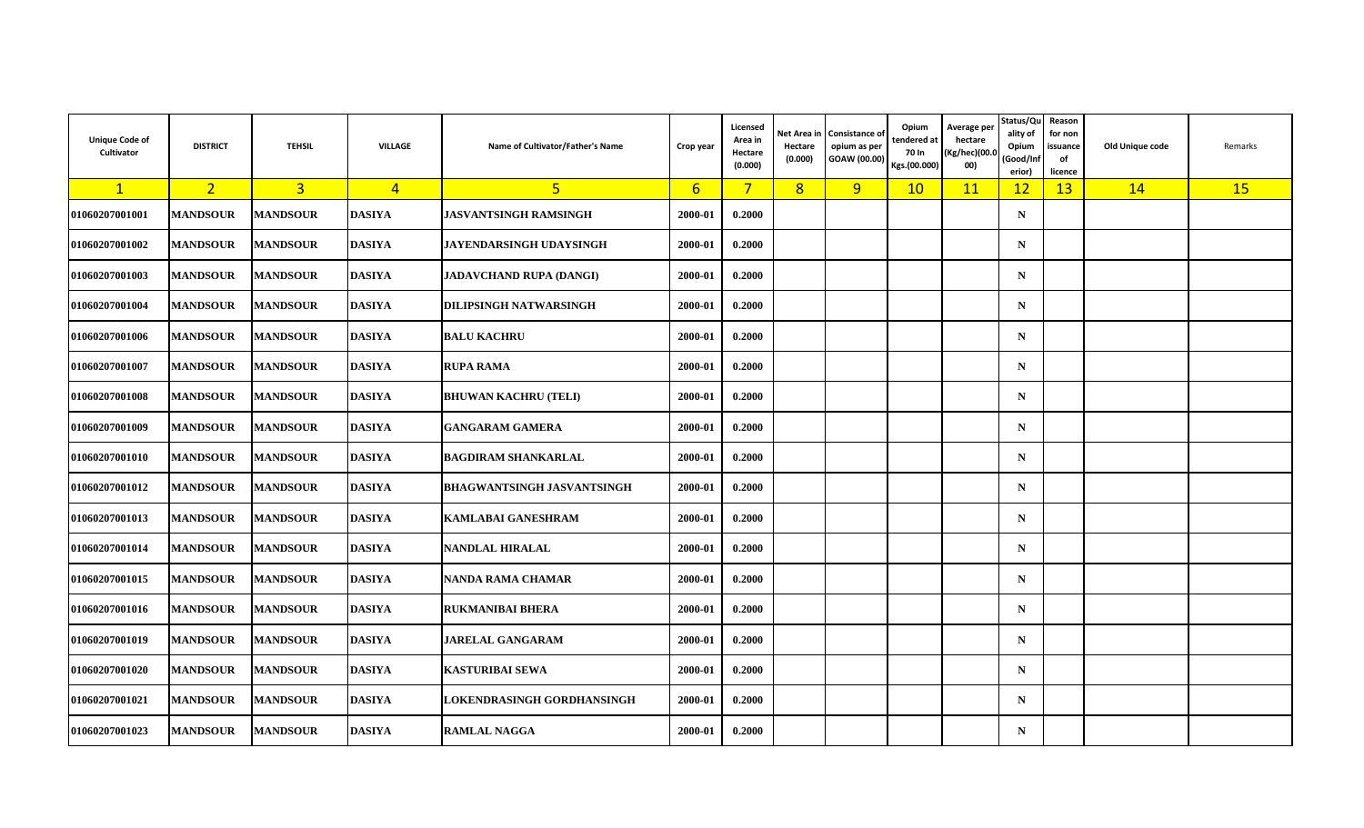| <b>Unique Code of</b><br>Cultivator | <b>DISTRICT</b> | <b>TEHSIL</b>   | <b>VILLAGE</b> | Name of Cultivator/Father's Name  | Crop year       | Licensed<br>Area in<br>Hectare<br>(0.000) | Net Area ir<br>Hectare<br>(0.000) | <b>Consistance of</b><br>opium as per<br>GOAW (00.00) | Opium<br>tendered at<br>70 In<br>Kgs.(00.000) | Average per<br>hectare<br>Kg/hec)(00.0)<br>00) | Status/Qu<br>ality of<br>Opium<br>Good/Inf<br>erior) | Reason<br>for non<br>issuance<br>of<br>licence | Old Unique code | Remarks   |
|-------------------------------------|-----------------|-----------------|----------------|-----------------------------------|-----------------|-------------------------------------------|-----------------------------------|-------------------------------------------------------|-----------------------------------------------|------------------------------------------------|------------------------------------------------------|------------------------------------------------|-----------------|-----------|
| $\mathbf{1}$                        | 2 <sup>1</sup>  | $\overline{3}$  | $\overline{4}$ | $5\overline{}$                    | $6\overline{6}$ | $\overline{7}$                            | 8                                 | 9                                                     | 10                                            | 11                                             | 12                                                   | 13                                             | 14              | <b>15</b> |
| 01060207001001                      | <b>MANDSOUR</b> | <b>MANDSOUR</b> | <b>DASIYA</b>  | <b>JASVANTSINGH RAMSINGH</b>      | 2000-01         | 0.2000                                    |                                   |                                                       |                                               |                                                | $\mathbf N$                                          |                                                |                 |           |
| 01060207001002                      | <b>MANDSOUR</b> | <b>MANDSOUR</b> | <b>DASIYA</b>  | <b>JAYENDARSINGH UDAYSINGH</b>    | 2000-01         | 0.2000                                    |                                   |                                                       |                                               |                                                | $\mathbf N$                                          |                                                |                 |           |
| 01060207001003                      | <b>MANDSOUR</b> | <b>MANDSOUR</b> | <b>DASIYA</b>  | <b>JADAVCHAND RUPA (DANGI)</b>    | 2000-01         | 0.2000                                    |                                   |                                                       |                                               |                                                | $\mathbf N$                                          |                                                |                 |           |
| 01060207001004                      | <b>MANDSOUR</b> | <b>MANDSOUR</b> | <b>DASIYA</b>  | <b>DILIPSINGH NATWARSINGH</b>     | 2000-01         | 0.2000                                    |                                   |                                                       |                                               |                                                | $\mathbf N$                                          |                                                |                 |           |
| 01060207001006                      | <b>MANDSOUR</b> | <b>MANDSOUR</b> | <b>DASIYA</b>  | <b>BALU KACHRU</b>                | 2000-01         | 0.2000                                    |                                   |                                                       |                                               |                                                | $\mathbf N$                                          |                                                |                 |           |
| 01060207001007                      | <b>MANDSOUR</b> | <b>MANDSOUR</b> | <b>DASIYA</b>  | <b>RUPA RAMA</b>                  | 2000-01         | 0.2000                                    |                                   |                                                       |                                               |                                                | $\mathbf N$                                          |                                                |                 |           |
| 01060207001008                      | <b>MANDSOUR</b> | <b>MANDSOUR</b> | <b>DASIYA</b>  | <b>BHUWAN KACHRU (TELI)</b>       | 2000-01         | 0.2000                                    |                                   |                                                       |                                               |                                                | $\mathbf N$                                          |                                                |                 |           |
| 01060207001009                      | <b>MANDSOUR</b> | <b>MANDSOUR</b> | <b>DASIYA</b>  | <b>GANGARAM GAMERA</b>            | 2000-01         | 0.2000                                    |                                   |                                                       |                                               |                                                | $\mathbf N$                                          |                                                |                 |           |
| 01060207001010                      | <b>MANDSOUR</b> | <b>MANDSOUR</b> | <b>DASIYA</b>  | <b>BAGDIRAM SHANKARLAL</b>        | 2000-01         | 0.2000                                    |                                   |                                                       |                                               |                                                | $\mathbf N$                                          |                                                |                 |           |
| 01060207001012                      | <b>MANDSOUR</b> | <b>MANDSOUR</b> | <b>DASIYA</b>  | <b>BHAGWANTSINGH JASVANTSINGH</b> | 2000-01         | 0.2000                                    |                                   |                                                       |                                               |                                                | $\mathbf N$                                          |                                                |                 |           |
| 01060207001013                      | <b>MANDSOUR</b> | <b>MANDSOUR</b> | <b>DASIYA</b>  | <b>KAMLABAI GANESHRAM</b>         | 2000-01         | 0.2000                                    |                                   |                                                       |                                               |                                                | $\mathbf N$                                          |                                                |                 |           |
| 01060207001014                      | <b>MANDSOUR</b> | <b>MANDSOUR</b> | <b>DASIYA</b>  | <b>NANDLAL HIRALAL</b>            | 2000-01         | 0.2000                                    |                                   |                                                       |                                               |                                                | $\mathbf N$                                          |                                                |                 |           |
| 01060207001015                      | <b>MANDSOUR</b> | <b>MANDSOUR</b> | <b>DASIYA</b>  | NANDA RAMA CHAMAR                 | 2000-01         | 0.2000                                    |                                   |                                                       |                                               |                                                | $\mathbf N$                                          |                                                |                 |           |
| 01060207001016                      | <b>MANDSOUR</b> | <b>MANDSOUR</b> | <b>DASIYA</b>  | RUKMANIBAI BHERA                  | 2000-01         | 0.2000                                    |                                   |                                                       |                                               |                                                | $\mathbf N$                                          |                                                |                 |           |
| 01060207001019                      | <b>MANDSOUR</b> | <b>MANDSOUR</b> | <b>DASIYA</b>  | <b>JARELAL GANGARAM</b>           | 2000-01         | 0.2000                                    |                                   |                                                       |                                               |                                                | $\mathbf N$                                          |                                                |                 |           |
| 01060207001020                      | <b>MANDSOUR</b> | <b>MANDSOUR</b> | <b>DASIYA</b>  | <b>KASTURIBAI SEWA</b>            | 2000-01         | 0.2000                                    |                                   |                                                       |                                               |                                                | $\mathbf N$                                          |                                                |                 |           |
| 01060207001021                      | <b>MANDSOUR</b> | <b>MANDSOUR</b> | <b>DASIYA</b>  | LOKENDRASINGH GORDHANSINGH        | 2000-01         | 0.2000                                    |                                   |                                                       |                                               |                                                | $\mathbf N$                                          |                                                |                 |           |
| 01060207001023                      | <b>MANDSOUR</b> | <b>MANDSOUR</b> | <b>DASIYA</b>  | <b>RAMLAL NAGGA</b>               | 2000-01         | 0.2000                                    |                                   |                                                       |                                               |                                                | $\mathbf N$                                          |                                                |                 |           |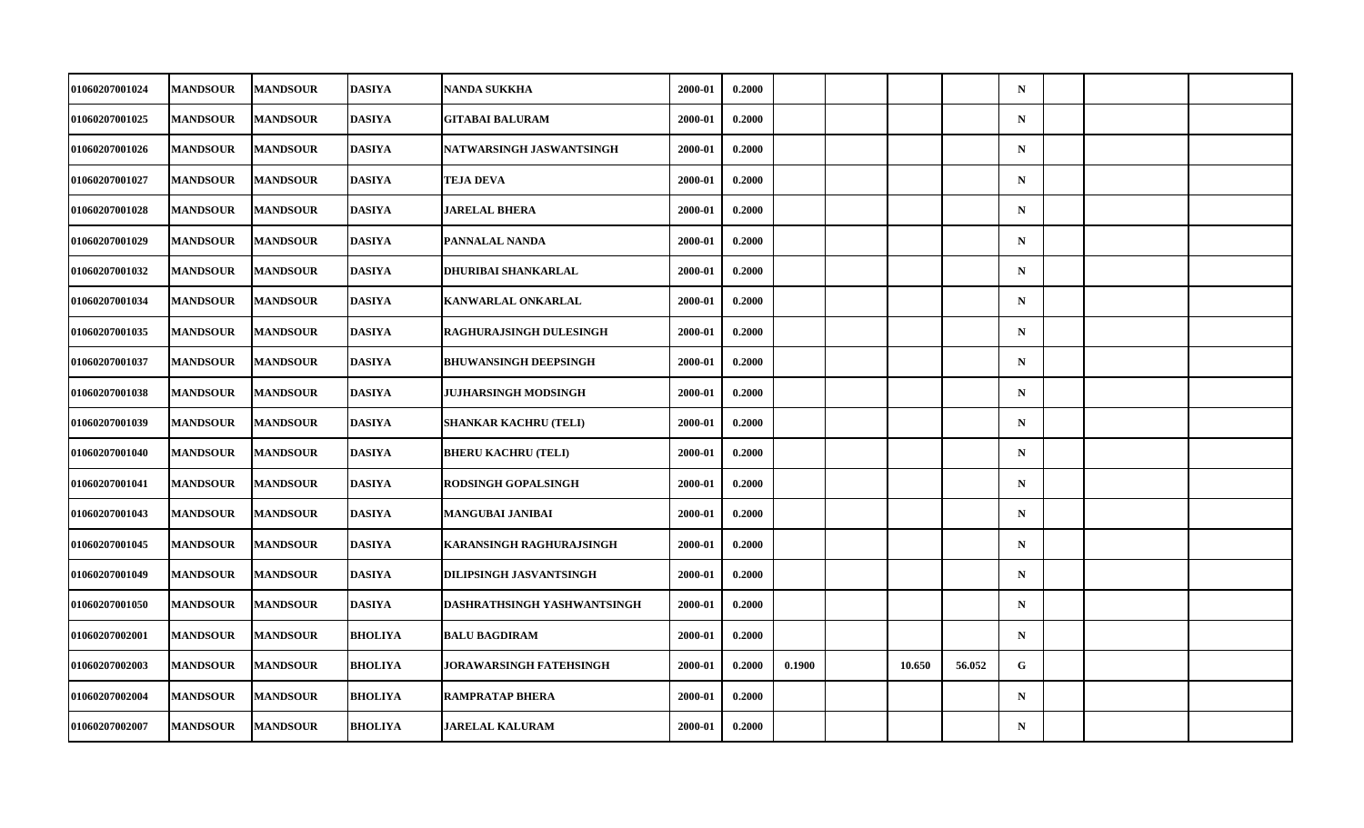| <b>01060207001024</b> | <b>MANDSOUR</b> | <b>MANDSOUR</b> | <b>DASIYA</b>  | <b>NANDA SUKKHA</b>            | 2000-01 | 0.2000 |        |        |        | $\mathbf N$ |  |  |
|-----------------------|-----------------|-----------------|----------------|--------------------------------|---------|--------|--------|--------|--------|-------------|--|--|
| 01060207001025        | <b>MANDSOUR</b> | <b>MANDSOUR</b> | <b>DASIYA</b>  | <b>GITABAI BALURAM</b>         | 2000-01 | 0.2000 |        |        |        | $\mathbf N$ |  |  |
| 01060207001026        | <b>MANDSOUR</b> | <b>MANDSOUR</b> | <b>DASIYA</b>  | NATWARSINGH JASWANTSINGH       | 2000-01 | 0.2000 |        |        |        | $\mathbf N$ |  |  |
| 01060207001027        | <b>MANDSOUR</b> | <b>MANDSOUR</b> | <b>DASIYA</b>  | <b>TEJA DEVA</b>               | 2000-01 | 0.2000 |        |        |        | $\mathbf N$ |  |  |
| <b>01060207001028</b> | <b>MANDSOUR</b> | <b>MANDSOUR</b> | DASIYA         | <b>JARELAL BHERA</b>           | 2000-01 | 0.2000 |        |        |        | $\mathbf N$ |  |  |
| 01060207001029        | <b>MANDSOUR</b> | <b>MANDSOUR</b> | <b>DASIYA</b>  | PANNALAL NANDA                 | 2000-01 | 0.2000 |        |        |        | $\mathbf N$ |  |  |
| 01060207001032        | <b>MANDSOUR</b> | <b>MANDSOUR</b> | <b>DASIYA</b>  | DHURIBAI SHANKARLAL            | 2000-01 | 0.2000 |        |        |        | $\mathbf N$ |  |  |
| 01060207001034        | <b>MANDSOUR</b> | <b>MANDSOUR</b> | DASIYA         | KANWARLAL ONKARLAL             | 2000-01 | 0.2000 |        |        |        | $\mathbf N$ |  |  |
| 01060207001035        | <b>MANDSOUR</b> | <b>MANDSOUR</b> | <b>DASIYA</b>  | RAGHURAJSINGH DULESINGH        | 2000-01 | 0.2000 |        |        |        | $\mathbf N$ |  |  |
| <b>01060207001037</b> | <b>MANDSOUR</b> | <b>MANDSOUR</b> | <b>DASIYA</b>  | <b>BHUWANSINGH DEEPSINGH</b>   | 2000-01 | 0.2000 |        |        |        | $\mathbf N$ |  |  |
| 01060207001038        | <b>MANDSOUR</b> | <b>MANDSOUR</b> | DASIYA         | <b>JUJHARSINGH MODSINGH</b>    | 2000-01 | 0.2000 |        |        |        | $\mathbf N$ |  |  |
| 01060207001039        | <b>MANDSOUR</b> | <b>MANDSOUR</b> | <b>DASIYA</b>  | <b>SHANKAR KACHRU (TELI)</b>   | 2000-01 | 0.2000 |        |        |        | $\mathbf N$ |  |  |
| 01060207001040        | <b>MANDSOUR</b> | <b>MANDSOUR</b> | <b>DASIYA</b>  | <b>BHERU KACHRU (TELI)</b>     | 2000-01 | 0.2000 |        |        |        | $\mathbf N$ |  |  |
| <b>01060207001041</b> | <b>MANDSOUR</b> | <b>MANDSOUR</b> | <b>DASIYA</b>  | <b>RODSINGH GOPALSINGH</b>     | 2000-01 | 0.2000 |        |        |        | $\mathbf N$ |  |  |
| <b>01060207001043</b> | <b>MANDSOUR</b> | <b>MANDSOUR</b> | <b>DASIYA</b>  | <b>MANGUBAI JANIBAI</b>        | 2000-01 | 0.2000 |        |        |        | $\mathbf N$ |  |  |
| 01060207001045        | <b>MANDSOUR</b> | <b>MANDSOUR</b> | <b>DASIYA</b>  | KARANSINGH RAGHURAJSINGH       | 2000-01 | 0.2000 |        |        |        | $\mathbf N$ |  |  |
| <b>01060207001049</b> | <b>MANDSOUR</b> | <b>MANDSOUR</b> | <b>DASIYA</b>  | DILIPSINGH JASVANTSINGH        | 2000-01 | 0.2000 |        |        |        | $\mathbf N$ |  |  |
| 01060207001050        | <b>MANDSOUR</b> | <b>MANDSOUR</b> | <b>DASIYA</b>  | DASHRATHSINGH YASHWANTSINGH    | 2000-01 | 0.2000 |        |        |        | $\mathbf N$ |  |  |
| <b>01060207002001</b> | <b>MANDSOUR</b> | <b>MANDSOUR</b> | <b>BHOLIYA</b> | <b>BALU BAGDIRAM</b>           | 2000-01 | 0.2000 |        |        |        | $\mathbf N$ |  |  |
| 01060207002003        | <b>MANDSOUR</b> | <b>MANDSOUR</b> | <b>BHOLIYA</b> | <b>JORAWARSINGH FATEHSINGH</b> | 2000-01 | 0.2000 | 0.1900 | 10.650 | 56.052 | G           |  |  |
| 01060207002004        | <b>MANDSOUR</b> | <b>MANDSOUR</b> | <b>BHOLIYA</b> | <b>RAMPRATAP BHERA</b>         | 2000-01 | 0.2000 |        |        |        | $\mathbf N$ |  |  |
| 01060207002007        | <b>MANDSOUR</b> | <b>MANDSOUR</b> | <b>BHOLIYA</b> | <b>JARELAL KALURAM</b>         | 2000-01 | 0.2000 |        |        |        | ${\bf N}$   |  |  |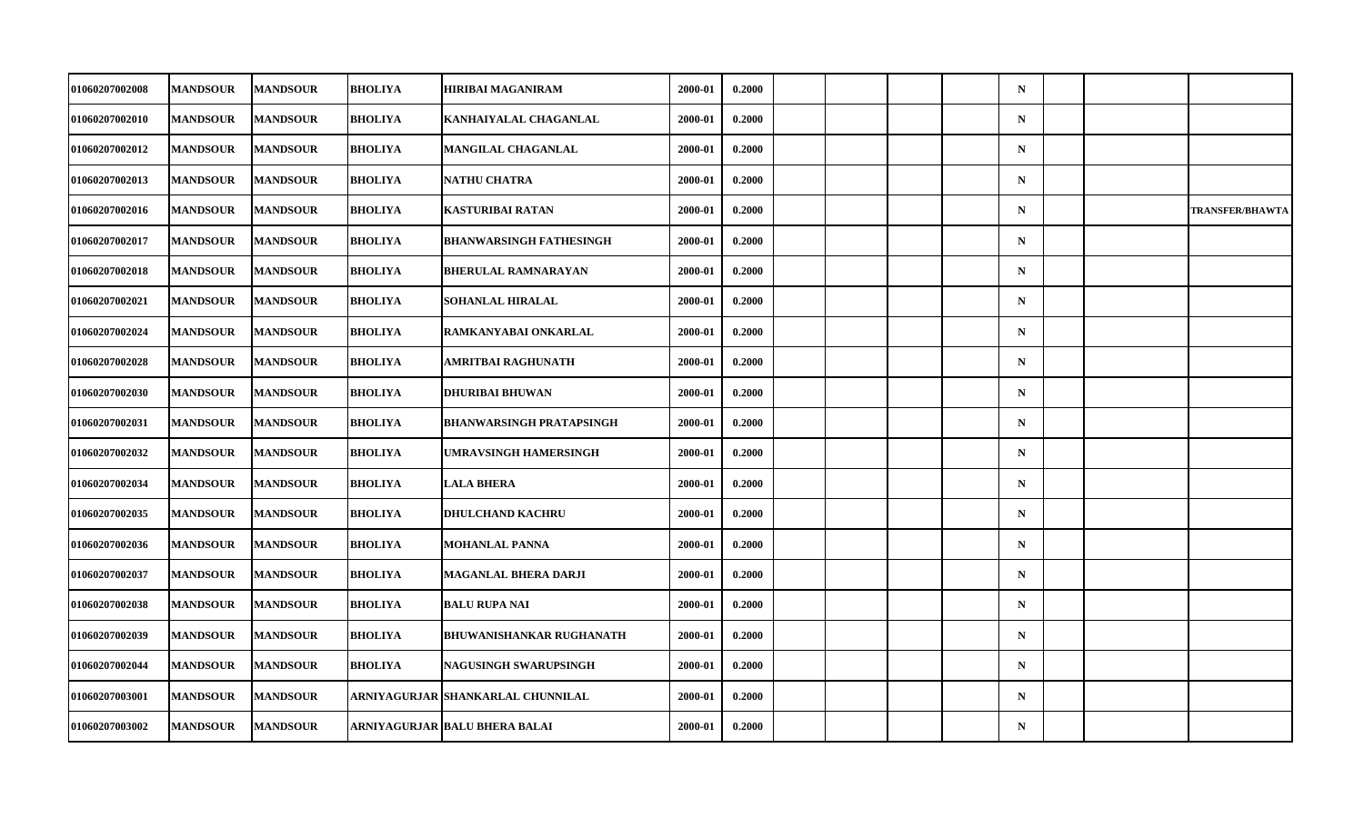| 01060207002008 | <b>MANDSOUR</b> | <b>MANDSOUR</b> | <b>BHOLIYA</b> | <b>HIRIBAI MAGANIRAM</b>          | 2000-01 | 0.2000 |  |  | $\mathbf N$ |  |                        |
|----------------|-----------------|-----------------|----------------|-----------------------------------|---------|--------|--|--|-------------|--|------------------------|
| 01060207002010 | <b>MANDSOUR</b> | <b>MANDSOUR</b> | <b>BHOLIYA</b> | KANHAIYALAL CHAGANLAL             | 2000-01 | 0.2000 |  |  | $\mathbf N$ |  |                        |
| 01060207002012 | <b>MANDSOUR</b> | <b>MANDSOUR</b> | <b>BHOLIYA</b> | <b>MANGILAL CHAGANLAL</b>         | 2000-01 | 0.2000 |  |  | $\mathbf N$ |  |                        |
| 01060207002013 | <b>MANDSOUR</b> | <b>MANDSOUR</b> | <b>BHOLIYA</b> | <b>NATHU CHATRA</b>               | 2000-01 | 0.2000 |  |  | $\mathbf N$ |  |                        |
| 01060207002016 | <b>MANDSOUR</b> | <b>MANDSOUR</b> | <b>BHOLIYA</b> | <b>KASTURIBAI RATAN</b>           | 2000-01 | 0.2000 |  |  | $\mathbf N$ |  | <b>TRANSFER/BHAWTA</b> |
| 01060207002017 | <b>MANDSOUR</b> | <b>MANDSOUR</b> | <b>BHOLIYA</b> | <b>BHANWARSINGH FATHESINGH</b>    | 2000-01 | 0.2000 |  |  | $\mathbf N$ |  |                        |
| 01060207002018 | <b>MANDSOUR</b> | <b>MANDSOUR</b> | <b>BHOLIYA</b> | <b>BHERULAL RAMNARAYAN</b>        | 2000-01 | 0.2000 |  |  | $\mathbf N$ |  |                        |
| 01060207002021 | <b>MANDSOUR</b> | <b>MANDSOUR</b> | <b>BHOLIYA</b> | <b>SOHANLAL HIRALAL</b>           | 2000-01 | 0.2000 |  |  | $\mathbf N$ |  |                        |
| 01060207002024 | <b>MANDSOUR</b> | <b>MANDSOUR</b> | <b>BHOLIYA</b> | RAMKANYABAI ONKARLAL              | 2000-01 | 0.2000 |  |  | $\mathbf N$ |  |                        |
| 01060207002028 | <b>MANDSOUR</b> | <b>MANDSOUR</b> | <b>BHOLIYA</b> | <b>AMRITBAI RAGHUNATH</b>         | 2000-01 | 0.2000 |  |  | $\mathbf N$ |  |                        |
| 01060207002030 | <b>MANDSOUR</b> | <b>MANDSOUR</b> | <b>BHOLIYA</b> | <b>DHURIBAI BHUWAN</b>            | 2000-01 | 0.2000 |  |  | $\mathbf N$ |  |                        |
| 01060207002031 | <b>MANDSOUR</b> | <b>MANDSOUR</b> | <b>BHOLIYA</b> | <b>BHANWARSINGH PRATAPSINGH</b>   | 2000-01 | 0.2000 |  |  | $\mathbf N$ |  |                        |
| 01060207002032 | <b>MANDSOUR</b> | <b>MANDSOUR</b> | <b>BHOLIYA</b> | <b>UMRAVSINGH HAMERSINGH</b>      | 2000-01 | 0.2000 |  |  | $\mathbf N$ |  |                        |
| 01060207002034 | <b>MANDSOUR</b> | <b>MANDSOUR</b> | <b>BHOLIYA</b> | <b>LALA BHERA</b>                 | 2000-01 | 0.2000 |  |  | $\mathbf N$ |  |                        |
| 01060207002035 | <b>MANDSOUR</b> | <b>MANDSOUR</b> | <b>BHOLIYA</b> | <b>DHULCHAND KACHRU</b>           | 2000-01 | 0.2000 |  |  | $\mathbf N$ |  |                        |
| 01060207002036 | <b>MANDSOUR</b> | <b>MANDSOUR</b> | <b>BHOLIYA</b> | <b>MOHANLAL PANNA</b>             | 2000-01 | 0.2000 |  |  | $\mathbf N$ |  |                        |
| 01060207002037 | <b>MANDSOUR</b> | <b>MANDSOUR</b> | <b>BHOLIYA</b> | <b>MAGANLAL BHERA DARJI</b>       | 2000-01 | 0.2000 |  |  | $\mathbf N$ |  |                        |
| 01060207002038 | <b>MANDSOUR</b> | <b>MANDSOUR</b> | <b>BHOLIYA</b> | <b>BALU RUPA NAI</b>              | 2000-01 | 0.2000 |  |  | $\mathbf N$ |  |                        |
| 01060207002039 | <b>MANDSOUR</b> | <b>MANDSOUR</b> | <b>BHOLIYA</b> | <b>BHUWANISHANKAR RUGHANATH</b>   | 2000-01 | 0.2000 |  |  | $\mathbf N$ |  |                        |
| 01060207002044 | <b>MANDSOUR</b> | <b>MANDSOUR</b> | <b>BHOLIYA</b> | <b>NAGUSINGH SWARUPSINGH</b>      | 2000-01 | 0.2000 |  |  | $\mathbf N$ |  |                        |
| 01060207003001 | <b>MANDSOUR</b> | <b>MANDSOUR</b> |                | ARNIYAGURJAR SHANKARLAL CHUNNILAL | 2000-01 | 0.2000 |  |  | $\mathbf N$ |  |                        |
| 01060207003002 | <b>MANDSOUR</b> | <b>MANDSOUR</b> |                | ARNIYAGURJAR  BALU BHERA BALAI    | 2000-01 | 0.2000 |  |  | $\mathbf N$ |  |                        |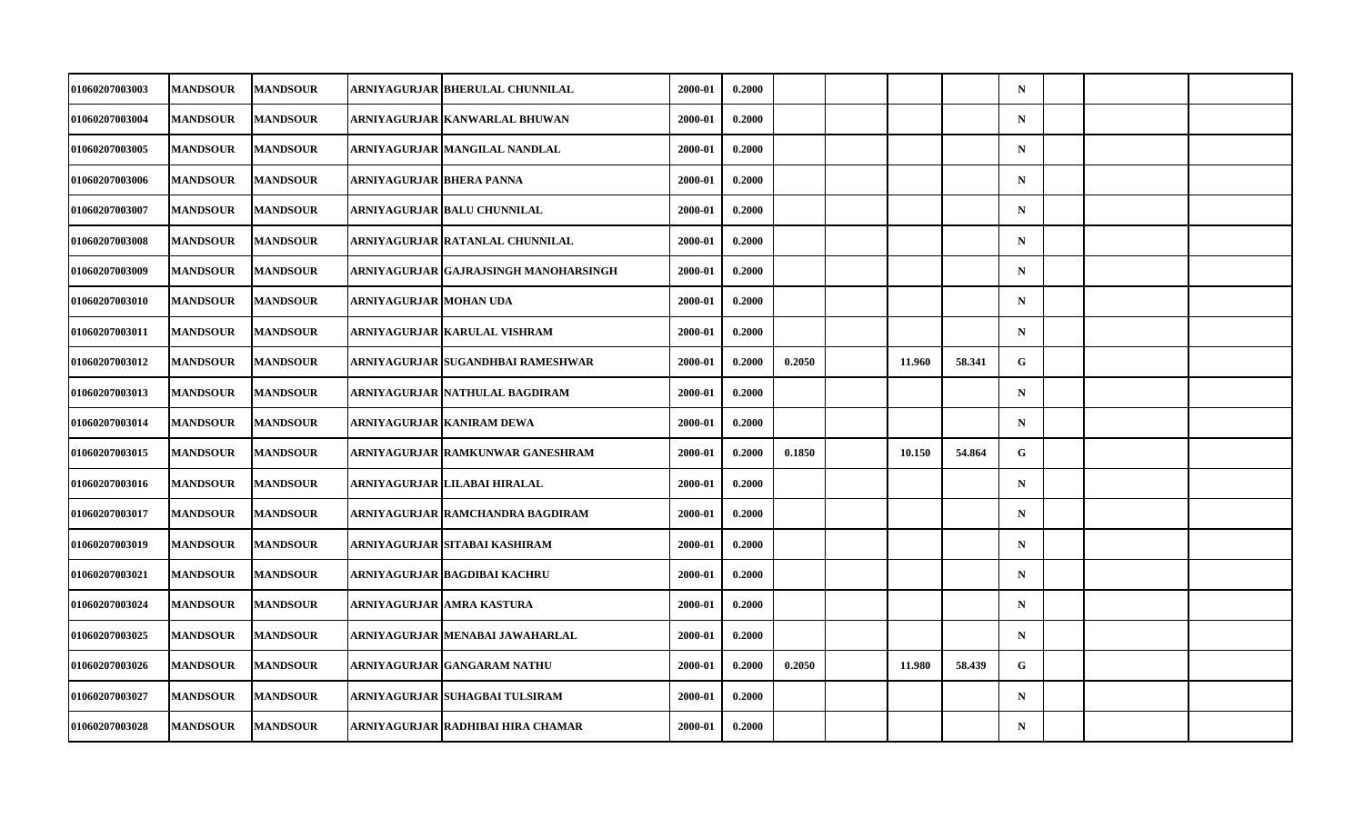| <b>01060207003003</b> | <b>MANDSOUR</b> | <b>MANDSOUR</b> |                          | ARNIYAGURJAR  BHERULAL CHUNNILAL      | 2000-01 | 0.2000 |        |        |        | $\mathbf N$ |  |  |
|-----------------------|-----------------|-----------------|--------------------------|---------------------------------------|---------|--------|--------|--------|--------|-------------|--|--|
| 01060207003004        | <b>MANDSOUR</b> | <b>MANDSOUR</b> |                          | ARNIYAGURJAR  KANWARLAL BHUWAN        | 2000-01 | 0.2000 |        |        |        | $\mathbf N$ |  |  |
| 01060207003005        | <b>MANDSOUR</b> | <b>MANDSOUR</b> |                          | ARNIYAGURJAR MANGILAL NANDLAL         | 2000-01 | 0.2000 |        |        |        | $\mathbf N$ |  |  |
| 01060207003006        | <b>MANDSOUR</b> | <b>MANDSOUR</b> | ARNIYAGURJAR BHERA PANNA |                                       | 2000-01 | 0.2000 |        |        |        | $\mathbf N$ |  |  |
| <b>01060207003007</b> | <b>MANDSOUR</b> | <b>MANDSOUR</b> |                          | ARNIYAGURJAR  BALU CHUNNILAL          | 2000-01 | 0.2000 |        |        |        | $\mathbf N$ |  |  |
| 01060207003008        | <b>MANDSOUR</b> | <b>MANDSOUR</b> |                          | ARNIYAGURJAR RATANLAL CHUNNILAL       | 2000-01 | 0.2000 |        |        |        | $\mathbf N$ |  |  |
| 01060207003009        | <b>MANDSOUR</b> | <b>MANDSOUR</b> |                          | ARNIYAGURJAR GAJRAJSINGH MANOHARSINGH | 2000-01 | 0.2000 |        |        |        | $\mathbf N$ |  |  |
| <b>01060207003010</b> | <b>MANDSOUR</b> | <b>MANDSOUR</b> | ARNIYAGURJAR  MOHAN UDA  |                                       | 2000-01 | 0.2000 |        |        |        | $\mathbf N$ |  |  |
| 01060207003011        | <b>MANDSOUR</b> | <b>MANDSOUR</b> |                          | ARNIYAGURJAR KARULAL VISHRAM          | 2000-01 | 0.2000 |        |        |        | $\mathbf N$ |  |  |
| 01060207003012        | <b>MANDSOUR</b> | <b>MANDSOUR</b> |                          | ARNIYAGURJAR SUGANDHBAI RAMESHWAR     | 2000-01 | 0.2000 | 0.2050 | 11.960 | 58.341 | G           |  |  |
| <b>01060207003013</b> | <b>MANDSOUR</b> | <b>MANDSOUR</b> |                          | ARNIYAGURJAR  NATHULAL BAGDIRAM       | 2000-01 | 0.2000 |        |        |        | $\mathbf N$ |  |  |
| 01060207003014        | <b>MANDSOUR</b> | <b>MANDSOUR</b> |                          | ARNIYAGURJAR KANIRAM DEWA             | 2000-01 | 0.2000 |        |        |        | $\mathbf N$ |  |  |
| 01060207003015        | <b>MANDSOUR</b> | <b>MANDSOUR</b> |                          | ARNIYAGURJAR RAMKUNWAR GANESHRAM      | 2000-01 | 0.2000 | 0.1850 | 10.150 | 54.864 | G           |  |  |
| <b>01060207003016</b> | <b>MANDSOUR</b> | <b>MANDSOUR</b> |                          | ARNIYAGURJAR   LILABAI HIRALAL        | 2000-01 | 0.2000 |        |        |        | $\mathbf N$ |  |  |
| 01060207003017        | <b>MANDSOUR</b> | <b>MANDSOUR</b> |                          | ARNIYAGURJAR  RAMCHANDRA BAGDIRAM     | 2000-01 | 0.2000 |        |        |        | $\mathbf N$ |  |  |
| 01060207003019        | <b>MANDSOUR</b> | <b>MANDSOUR</b> |                          | ARNIYAGURJAR SITABAI KASHIRAM         | 2000-01 | 0.2000 |        |        |        | $\mathbf N$ |  |  |
| 01060207003021        | <b>MANDSOUR</b> | <b>MANDSOUR</b> |                          | ARNIYAGURJAR  BAGDIBAI KACHRU         | 2000-01 | 0.2000 |        |        |        | $\mathbf N$ |  |  |
| 01060207003024        | <b>MANDSOUR</b> | <b>MANDSOUR</b> |                          | ARNIYAGURJAR AMRA KASTURA             | 2000-01 | 0.2000 |        |        |        | $\mathbf N$ |  |  |
| 01060207003025        | <b>MANDSOUR</b> | <b>MANDSOUR</b> |                          | ARNIYAGURJAR MENABAI JAWAHARLAL       | 2000-01 | 0.2000 |        |        |        | $\mathbf N$ |  |  |
| <b>01060207003026</b> | <b>MANDSOUR</b> | <b>MANDSOUR</b> |                          | ARNIYAGURJAR   GANGARAM NATHU         | 2000-01 | 0.2000 | 0.2050 | 11.980 | 58.439 | G           |  |  |
| 01060207003027        | <b>MANDSOUR</b> | <b>MANDSOUR</b> |                          | ARNIYAGURJAR SUHAGBAI TULSIRAM        | 2000-01 | 0.2000 |        |        |        | $\mathbf N$ |  |  |
| 01060207003028        | <b>MANDSOUR</b> | <b>MANDSOUR</b> |                          | ARNIYAGURJAR  RADHIBAI HIRA CHAMAR    | 2000-01 | 0.2000 |        |        |        | ${\bf N}$   |  |  |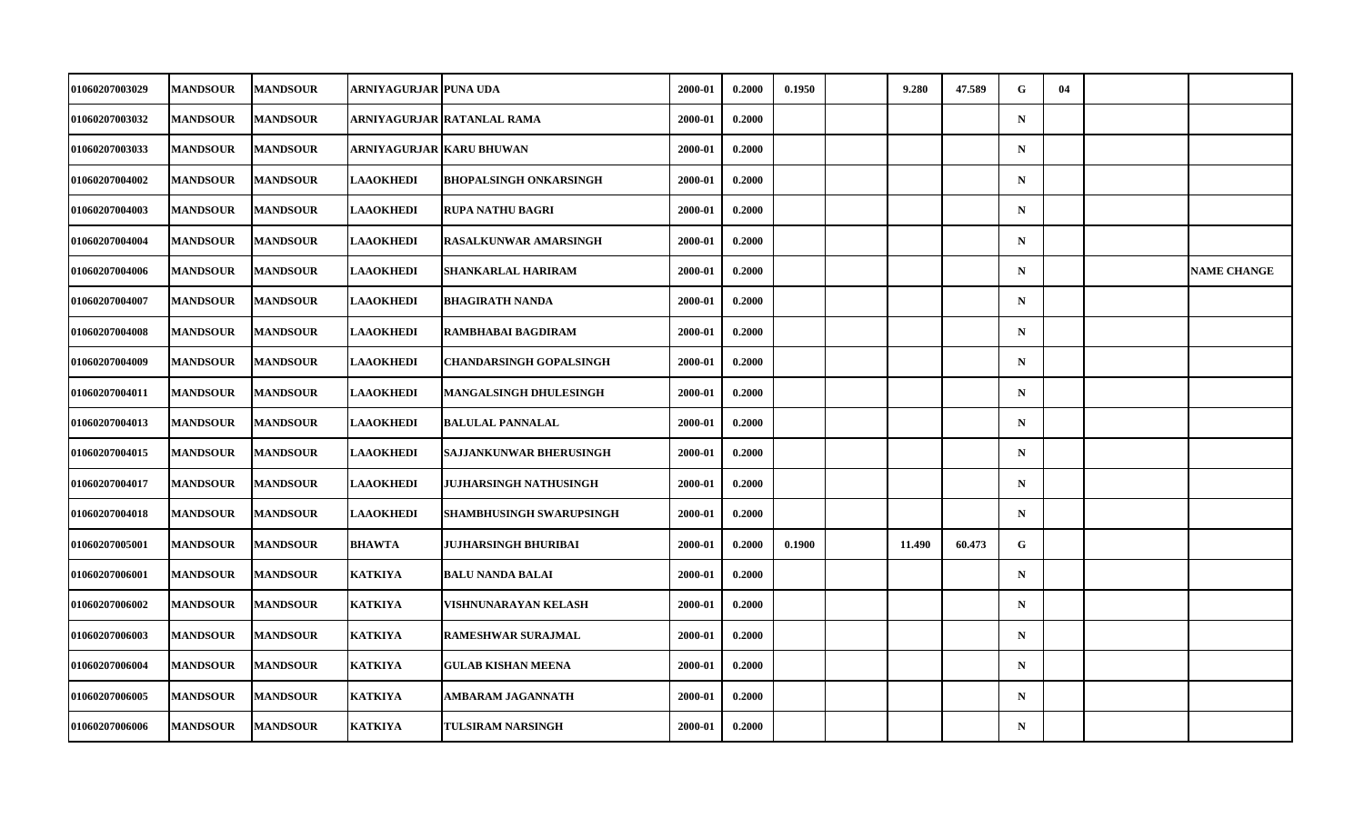| <b>01060207003029</b> | <b>MANDSOUR</b> | <b>MANDSOUR</b> | ARNIYAGURJAR  PUNA UDA |                                | 2000-01 | 0.2000 | 0.1950 | 9.280  | 47.589 | G           | 04 |                    |
|-----------------------|-----------------|-----------------|------------------------|--------------------------------|---------|--------|--------|--------|--------|-------------|----|--------------------|
| 01060207003032        | <b>MANDSOUR</b> | <b>MANDSOUR</b> |                        | ARNIYAGURJAR  RATANLAL RAMA    | 2000-01 | 0.2000 |        |        |        | $\mathbf N$ |    |                    |
| 01060207003033        | <b>MANDSOUR</b> | <b>MANDSOUR</b> |                        | ARNIYAGURJAR  KARU BHUWAN      | 2000-01 | 0.2000 |        |        |        | $\mathbf N$ |    |                    |
| 01060207004002        | <b>MANDSOUR</b> | <b>MANDSOUR</b> | <b>LAAOKHEDI</b>       | <b>BHOPALSINGH ONKARSINGH</b>  | 2000-01 | 0.2000 |        |        |        | $\mathbf N$ |    |                    |
| <b>01060207004003</b> | <b>MANDSOUR</b> | <b>MANDSOUR</b> | <b>LAAOKHEDI</b>       | <b>RUPA NATHU BAGRI</b>        | 2000-01 | 0.2000 |        |        |        | $\mathbf N$ |    |                    |
| 01060207004004        | <b>MANDSOUR</b> | <b>MANDSOUR</b> | <b>LAAOKHEDI</b>       | <b>RASALKUNWAR AMARSINGH</b>   | 2000-01 | 0.2000 |        |        |        | $\mathbf N$ |    |                    |
| 01060207004006        | <b>MANDSOUR</b> | <b>MANDSOUR</b> | <b>LAAOKHEDI</b>       | SHANKARLAL HARIRAM             | 2000-01 | 0.2000 |        |        |        | $\mathbf N$ |    | <b>NAME CHANGE</b> |
| <b>01060207004007</b> | <b>MANDSOUR</b> | <b>MANDSOUR</b> | <b>LAAOKHEDI</b>       | <b>BHAGIRATH NANDA</b>         | 2000-01 | 0.2000 |        |        |        | $\mathbf N$ |    |                    |
| 01060207004008        | <b>MANDSOUR</b> | <b>MANDSOUR</b> | <b>LAAOKHEDI</b>       | RAMBHABAI BAGDIRAM             | 2000-01 | 0.2000 |        |        |        | $\mathbf N$ |    |                    |
| 01060207004009        | <b>MANDSOUR</b> | <b>MANDSOUR</b> | <b>LAAOKHEDI</b>       | <b>CHANDARSINGH GOPALSINGH</b> | 2000-01 | 0.2000 |        |        |        | $\mathbf N$ |    |                    |
| <b>01060207004011</b> | <b>MANDSOUR</b> | <b>MANDSOUR</b> | <b>LAAOKHEDI</b>       | <b>MANGALSINGH DHULESINGH</b>  | 2000-01 | 0.2000 |        |        |        | $\mathbf N$ |    |                    |
| 01060207004013        | <b>MANDSOUR</b> | <b>MANDSOUR</b> | <b>LAAOKHEDI</b>       | <b>BALULAL PANNALAL</b>        | 2000-01 | 0.2000 |        |        |        | $\mathbf N$ |    |                    |
| 01060207004015        | <b>MANDSOUR</b> | <b>MANDSOUR</b> | <b>LAAOKHEDI</b>       | SAJJANKUNWAR BHERUSINGH        | 2000-01 | 0.2000 |        |        |        | $\mathbf N$ |    |                    |
| 01060207004017        | <b>MANDSOUR</b> | <b>MANDSOUR</b> | <b>LAAOKHEDI</b>       | JUJHARSINGH NATHUSINGH         | 2000-01 | 0.2000 |        |        |        | $\mathbf N$ |    |                    |
| 01060207004018        | <b>MANDSOUR</b> | <b>MANDSOUR</b> | <b>LAAOKHEDI</b>       | SHAMBHUSINGH SWARUPSINGH       | 2000-01 | 0.2000 |        |        |        | $\mathbf N$ |    |                    |
| 01060207005001        | <b>MANDSOUR</b> | <b>MANDSOUR</b> | <b>BHAWTA</b>          | JUJHARSINGH BHURIBAI           | 2000-01 | 0.2000 | 0.1900 | 11.490 | 60.473 | G           |    |                    |
| <b>01060207006001</b> | <b>MANDSOUR</b> | <b>MANDSOUR</b> | <b>KATKIYA</b>         | <b>BALU NANDA BALAI</b>        | 2000-01 | 0.2000 |        |        |        | $\mathbf N$ |    |                    |
| 01060207006002        | <b>MANDSOUR</b> | <b>MANDSOUR</b> | <b>KATKIYA</b>         | VISHNUNARAYAN KELASH           | 2000-01 | 0.2000 |        |        |        | $\mathbf N$ |    |                    |
| 01060207006003        | <b>MANDSOUR</b> | <b>MANDSOUR</b> | <b>KATKIYA</b>         | <b>RAMESHWAR SURAJMAL</b>      | 2000-01 | 0.2000 |        |        |        | $\mathbf N$ |    |                    |
| <b>01060207006004</b> | <b>MANDSOUR</b> | <b>MANDSOUR</b> | <b>KATKIYA</b>         | <b>GULAB KISHAN MEENA</b>      | 2000-01 | 0.2000 |        |        |        | $\mathbf N$ |    |                    |
| 01060207006005        | <b>MANDSOUR</b> | <b>MANDSOUR</b> | <b>KATKIYA</b>         | <b>AMBARAM JAGANNATH</b>       | 2000-01 | 0.2000 |        |        |        | $\mathbf N$ |    |                    |
| 01060207006006        | <b>MANDSOUR</b> | <b>MANDSOUR</b> | <b>KATKIYA</b>         | <b>TULSIRAM NARSINGH</b>       | 2000-01 | 0.2000 |        |        |        | $\mathbf N$ |    |                    |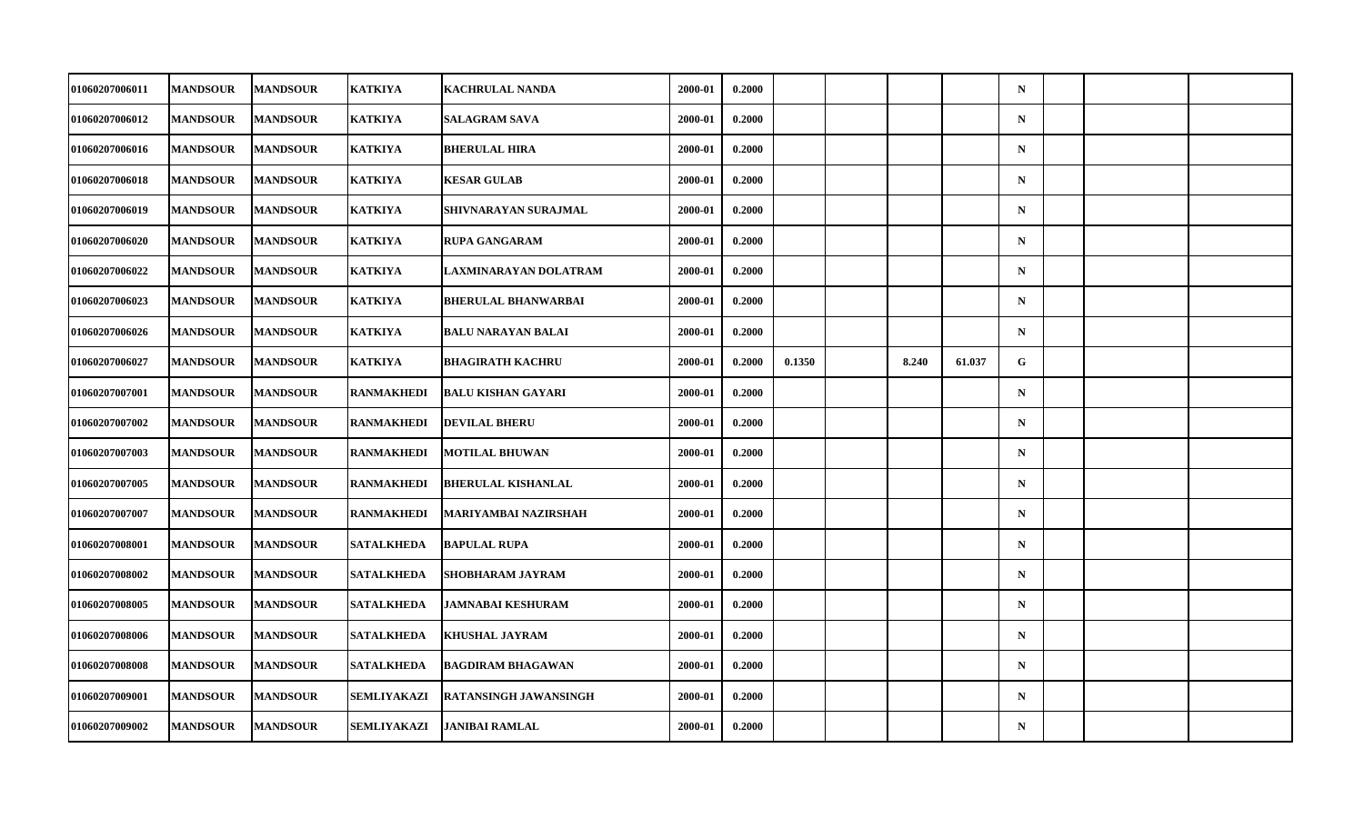| 01060207006011        | <b>MANDSOUR</b> | <b>MANDSOUR</b> | <b>KATKIYA</b>     | <b>KACHRULAL NANDA</b>     | 2000-01 | 0.2000 |        |       |        | $\mathbf N$ |  |  |
|-----------------------|-----------------|-----------------|--------------------|----------------------------|---------|--------|--------|-------|--------|-------------|--|--|
| 01060207006012        | <b>MANDSOUR</b> | <b>MANDSOUR</b> | KATKIYA            | <b>SALAGRAM SAVA</b>       | 2000-01 | 0.2000 |        |       |        | ${\bf N}$   |  |  |
| 01060207006016        | <b>MANDSOUR</b> | <b>MANDSOUR</b> | <b>KATKIYA</b>     | <b>BHERULAL HIRA</b>       | 2000-01 | 0.2000 |        |       |        | $\mathbf N$ |  |  |
| <b>01060207006018</b> | <b>MANDSOUR</b> | <b>MANDSOUR</b> | <b>KATKIYA</b>     | <b>KESAR GULAB</b>         | 2000-01 | 0.2000 |        |       |        | $\mathbf N$ |  |  |
| <b>01060207006019</b> | <b>MANDSOUR</b> | <b>MANDSOUR</b> | KATKIYA            | SHIVNARAYAN SURAJMAL       | 2000-01 | 0.2000 |        |       |        | $\mathbf N$ |  |  |
| 01060207006020        | <b>MANDSOUR</b> | <b>MANDSOUR</b> | <b>KATKIYA</b>     | <b>RUPA GANGARAM</b>       | 2000-01 | 0.2000 |        |       |        | $\mathbf N$ |  |  |
| 01060207006022        | <b>MANDSOUR</b> | <b>MANDSOUR</b> | <b>KATKIYA</b>     | LAXMINARAYAN DOLATRAM      | 2000-01 | 0.2000 |        |       |        | $\mathbf N$ |  |  |
| <b>01060207006023</b> | <b>MANDSOUR</b> | <b>MANDSOUR</b> | KATKIYA            | <b>BHERULAL BHANWARBAI</b> | 2000-01 | 0.2000 |        |       |        | $\mathbf N$ |  |  |
| 01060207006026        | <b>MANDSOUR</b> | <b>MANDSOUR</b> | <b>KATKIYA</b>     | <b>BALU NARAYAN BALAI</b>  | 2000-01 | 0.2000 |        |       |        | $\mathbf N$ |  |  |
| 01060207006027        | <b>MANDSOUR</b> | <b>MANDSOUR</b> | <b>KATKIYA</b>     | <b>BHAGIRATH KACHRU</b>    | 2000-01 | 0.2000 | 0.1350 | 8.240 | 61.037 | G           |  |  |
| <b>01060207007001</b> | <b>MANDSOUR</b> | <b>MANDSOUR</b> | RANMAKHEDI         | <b>BALU KISHAN GAYARI</b>  | 2000-01 | 0.2000 |        |       |        | $\mathbf N$ |  |  |
| <b>01060207007002</b> | <b>MANDSOUR</b> | <b>MANDSOUR</b> | <b>RANMAKHEDI</b>  | <b>DEVILAL BHERU</b>       | 2000-01 | 0.2000 |        |       |        | $\mathbf N$ |  |  |
| 01060207007003        | <b>MANDSOUR</b> | <b>MANDSOUR</b> | <b>RANMAKHEDI</b>  | <b>MOTILAL BHUWAN</b>      | 2000-01 | 0.2000 |        |       |        | ${\bf N}$   |  |  |
| <b>01060207007005</b> | <b>MANDSOUR</b> | <b>MANDSOUR</b> | RANMAKHEDI         | <b>BHERULAL KISHANLAL</b>  | 2000-01 | 0.2000 |        |       |        | $\mathbf N$ |  |  |
| 01060207007007        | <b>MANDSOUR</b> | <b>MANDSOUR</b> | <b>RANMAKHEDI</b>  | MARIYAMBAI NAZIRSHAH       | 2000-01 | 0.2000 |        |       |        | $\mathbf N$ |  |  |
| 01060207008001        | <b>MANDSOUR</b> | <b>MANDSOUR</b> | <b>SATALKHEDA</b>  | <b>BAPULAL RUPA</b>        | 2000-01 | 0.2000 |        |       |        | $\mathbf N$ |  |  |
| <b>01060207008002</b> | <b>MANDSOUR</b> | <b>MANDSOUR</b> | <b>SATALKHEDA</b>  | <b>SHOBHARAM JAYRAM</b>    | 2000-01 | 0.2000 |        |       |        | $\mathbf N$ |  |  |
| 01060207008005        | <b>MANDSOUR</b> | <b>MANDSOUR</b> | <b>SATALKHEDA</b>  | <b>JAMNABAI KESHURAM</b>   | 2000-01 | 0.2000 |        |       |        | $\mathbf N$ |  |  |
| <b>01060207008006</b> | <b>MANDSOUR</b> | <b>MANDSOUR</b> | <b>SATALKHEDA</b>  | <b>KHUSHAL JAYRAM</b>      | 2000-01 | 0.2000 |        |       |        | $\mathbf N$ |  |  |
| <b>01060207008008</b> | <b>MANDSOUR</b> | <b>MANDSOUR</b> | <b>SATALKHEDA</b>  | <b>BAGDIRAM BHAGAWAN</b>   | 2000-01 | 0.2000 |        |       |        | $\mathbf N$ |  |  |
| 01060207009001        | <b>MANDSOUR</b> | <b>MANDSOUR</b> | <b>SEMLIYAKAZI</b> | RATANSINGH JAWANSINGH      | 2000-01 | 0.2000 |        |       |        | $\mathbf N$ |  |  |
| 01060207009002        | <b>MANDSOUR</b> | <b>MANDSOUR</b> | SEMLIYAKAZI        | <b>JANIBAI RAMLAL</b>      | 2000-01 | 0.2000 |        |       |        | $\mathbf N$ |  |  |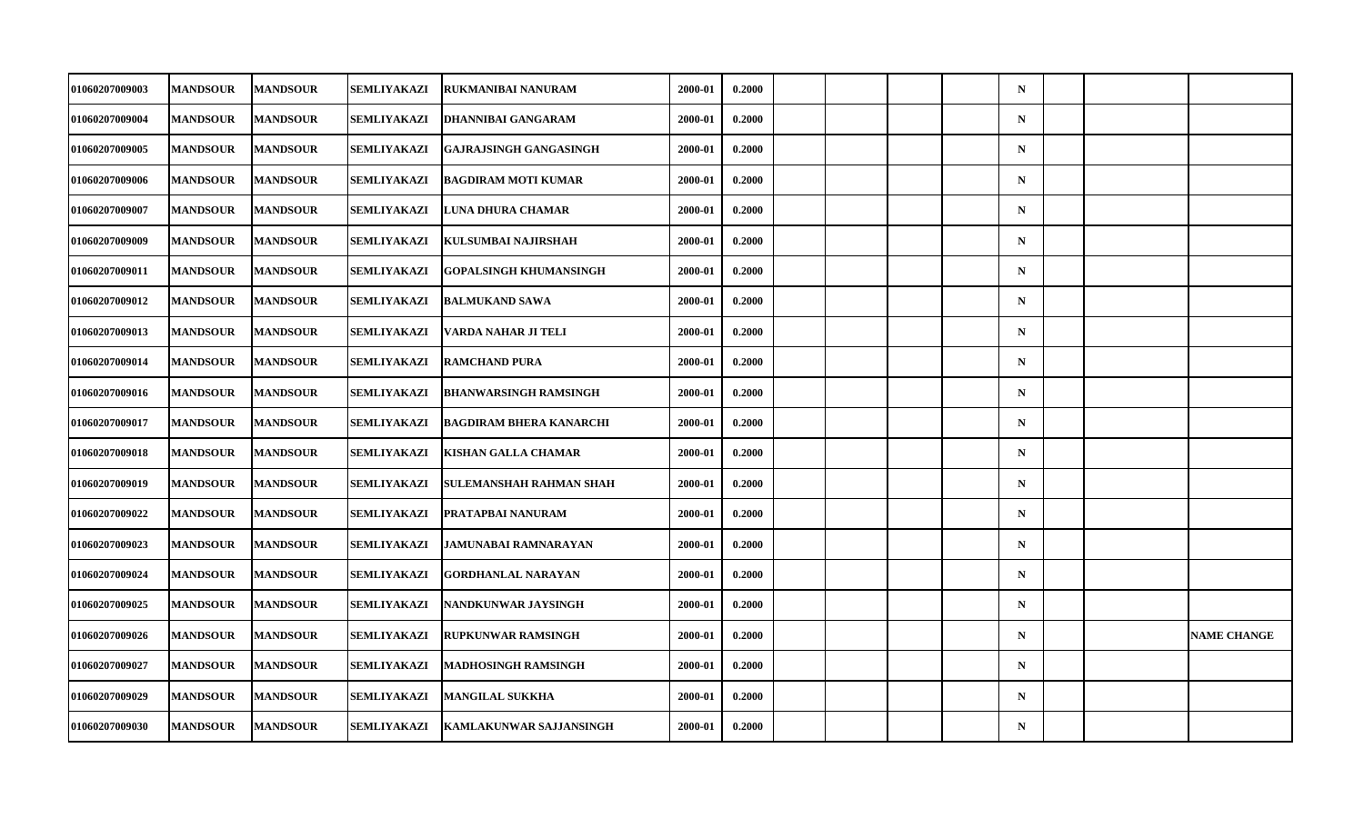| 01060207009003 | <b>MANDSOUR</b> | <b>MANDSOUR</b> | SEMLIYAKAZI        | RUKMANIBAI NANURAM             | 2000-01 | 0.2000 |  |  | $\mathbf N$ |  |                    |
|----------------|-----------------|-----------------|--------------------|--------------------------------|---------|--------|--|--|-------------|--|--------------------|
| 01060207009004 | <b>MANDSOUR</b> | <b>MANDSOUR</b> | SEMLIYAKAZI        | <b>DHANNIBAI GANGARAM</b>      | 2000-01 | 0.2000 |  |  | $\mathbf N$ |  |                    |
| 01060207009005 | <b>MANDSOUR</b> | <b>MANDSOUR</b> | <b>SEMLIYAKAZI</b> | <b>GAJRAJSINGH GANGASINGH</b>  | 2000-01 | 0.2000 |  |  | $\mathbf N$ |  |                    |
| 01060207009006 | <b>MANDSOUR</b> | <b>MANDSOUR</b> | SEMLIYAKAZI        | <b>BAGDIRAM MOTI KUMAR</b>     | 2000-01 | 0.2000 |  |  | $\mathbf N$ |  |                    |
| 01060207009007 | <b>MANDSOUR</b> | <b>MANDSOUR</b> | <b>SEMLIYAKAZI</b> | LUNA DHURA CHAMAR              | 2000-01 | 0.2000 |  |  | $\mathbf N$ |  |                    |
| 01060207009009 | <b>MANDSOUR</b> | <b>MANDSOUR</b> | SEMLIYAKAZI        | KULSUMBAI NAJIRSHAH            | 2000-01 | 0.2000 |  |  | $\mathbf N$ |  |                    |
| 01060207009011 | <b>MANDSOUR</b> | <b>MANDSOUR</b> | <b>SEMLIYAKAZI</b> | <b>GOPALSINGH KHUMANSINGH</b>  | 2000-01 | 0.2000 |  |  | $\mathbf N$ |  |                    |
| 01060207009012 | <b>MANDSOUR</b> | <b>MANDSOUR</b> | <b>SEMLIYAKAZI</b> | <b>BALMUKAND SAWA</b>          | 2000-01 | 0.2000 |  |  | $\mathbf N$ |  |                    |
| 01060207009013 | <b>MANDSOUR</b> | <b>MANDSOUR</b> | SEMLIYAKAZI        | VARDA NAHAR JI TELI            | 2000-01 | 0.2000 |  |  | $\mathbf N$ |  |                    |
| 01060207009014 | <b>MANDSOUR</b> | <b>MANDSOUR</b> | <b>SEMLIYAKAZI</b> | <b>RAMCHAND PURA</b>           | 2000-01 | 0.2000 |  |  | $\mathbf N$ |  |                    |
| 01060207009016 | <b>MANDSOUR</b> | <b>MANDSOUR</b> | SEMLIYAKAZI        | <b>BHANWARSINGH RAMSINGH</b>   | 2000-01 | 0.2000 |  |  | $\mathbf N$ |  |                    |
| 01060207009017 | <b>MANDSOUR</b> | <b>MANDSOUR</b> | SEMLIYAKAZI        | <b>BAGDIRAM BHERA KANARCHI</b> | 2000-01 | 0.2000 |  |  | $\mathbf N$ |  |                    |
| 01060207009018 | <b>MANDSOUR</b> | <b>MANDSOUR</b> | <b>SEMLIYAKAZI</b> | <b>KISHAN GALLA CHAMAR</b>     | 2000-01 | 0.2000 |  |  | $\mathbf N$ |  |                    |
| 01060207009019 | <b>MANDSOUR</b> | <b>MANDSOUR</b> | SEMLIYAKAZI        | <b>SULEMANSHAH RAHMAN SHAH</b> | 2000-01 | 0.2000 |  |  | $\mathbf N$ |  |                    |
| 01060207009022 | <b>MANDSOUR</b> | <b>MANDSOUR</b> | SEMLIYAKAZI        | <b>PRATAPBAI NANURAM</b>       | 2000-01 | 0.2000 |  |  | $\mathbf N$ |  |                    |
| 01060207009023 | <b>MANDSOUR</b> | <b>MANDSOUR</b> | SEMLIYAKAZI        | JAMUNABAI RAMNARAYAN           | 2000-01 | 0.2000 |  |  | $\mathbf N$ |  |                    |
| 01060207009024 | <b>MANDSOUR</b> | <b>MANDSOUR</b> | SEMLIYAKAZI        | <b>GORDHANLAL NARAYAN</b>      | 2000-01 | 0.2000 |  |  | $\mathbf N$ |  |                    |
| 01060207009025 | <b>MANDSOUR</b> | <b>MANDSOUR</b> | SEMLIYAKAZI        | NANDKUNWAR JAYSINGH            | 2000-01 | 0.2000 |  |  | $\mathbf N$ |  |                    |
| 01060207009026 | <b>MANDSOUR</b> | <b>MANDSOUR</b> | SEMLIYAKAZI        | <b>RUPKUNWAR RAMSINGH</b>      | 2000-01 | 0.2000 |  |  | $\mathbf N$ |  | <b>NAME CHANGE</b> |
| 01060207009027 | <b>MANDSOUR</b> | <b>MANDSOUR</b> | SEMLIYAKAZI        | <b>MADHOSINGH RAMSINGH</b>     | 2000-01 | 0.2000 |  |  | $\mathbf N$ |  |                    |
| 01060207009029 | <b>MANDSOUR</b> | <b>MANDSOUR</b> | SEMLIYAKAZI        | <b>MANGILAL SUKKHA</b>         | 2000-01 | 0.2000 |  |  | $\mathbf N$ |  |                    |
| 01060207009030 | <b>MANDSOUR</b> | <b>MANDSOUR</b> | SEMLIYAKAZI        | <b>KAMLAKUNWAR SAJJANSINGH</b> | 2000-01 | 0.2000 |  |  | $\mathbf N$ |  |                    |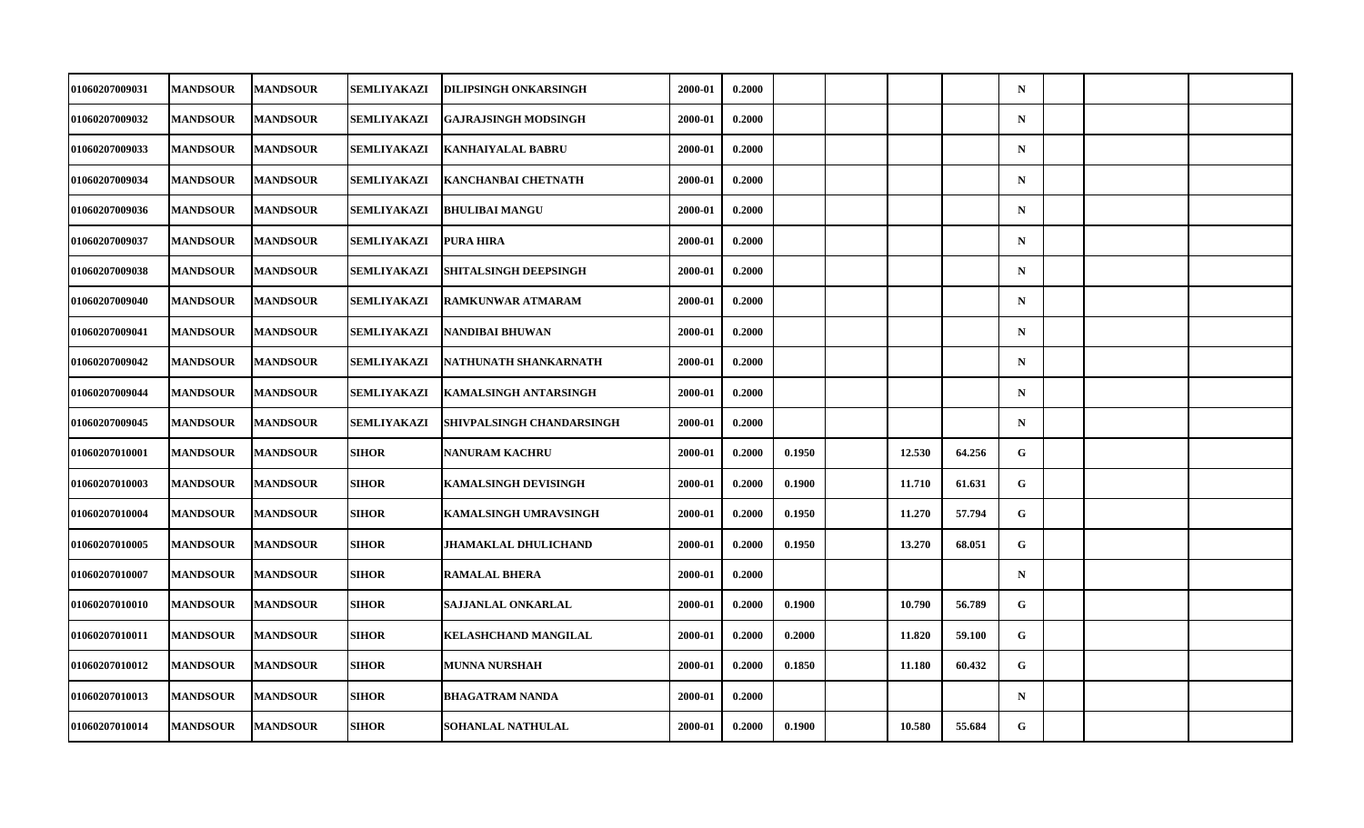| 01060207009031 | <b>MANDSOUR</b> | <b>MANDSOUR</b> | SEMLIYAKAZI        | <b>DILIPSINGH ONKARSINGH</b> | 2000-01 | 0.2000 |        |        |        | $\mathbf N$ |  |  |
|----------------|-----------------|-----------------|--------------------|------------------------------|---------|--------|--------|--------|--------|-------------|--|--|
| 01060207009032 | <b>MANDSOUR</b> | <b>MANDSOUR</b> | SEMLIYAKAZI        | <b>GAJRAJSINGH MODSINGH</b>  | 2000-01 | 0.2000 |        |        |        | $\mathbf N$ |  |  |
| 01060207009033 | <b>MANDSOUR</b> | <b>MANDSOUR</b> | SEMLIYAKAZI        | <b>KANHAIYALAL BABRU</b>     | 2000-01 | 0.2000 |        |        |        | $\mathbf N$ |  |  |
| 01060207009034 | <b>MANDSOUR</b> | <b>MANDSOUR</b> | SEMLIYAKAZI        | <b>KANCHANBAI CHETNATH</b>   | 2000-01 | 0.2000 |        |        |        | $\mathbf N$ |  |  |
| 01060207009036 | <b>MANDSOUR</b> | <b>MANDSOUR</b> | SEMLIYAKAZI        | <b>BHULIBAI MANGU</b>        | 2000-01 | 0.2000 |        |        |        | $\mathbf N$ |  |  |
| 01060207009037 | <b>MANDSOUR</b> | <b>MANDSOUR</b> | <b>SEMLIYAKAZI</b> | <b>PURA HIRA</b>             | 2000-01 | 0.2000 |        |        |        | $\mathbf N$ |  |  |
| 01060207009038 | <b>MANDSOUR</b> | <b>MANDSOUR</b> | SEMLIYAKAZI        | <b>SHITALSINGH DEEPSINGH</b> | 2000-01 | 0.2000 |        |        |        | $\mathbf N$ |  |  |
| 01060207009040 | <b>MANDSOUR</b> | <b>MANDSOUR</b> | SEMLIYAKAZI        | <b>RAMKUNWAR ATMARAM</b>     | 2000-01 | 0.2000 |        |        |        | $\mathbf N$ |  |  |
| 01060207009041 | <b>MANDSOUR</b> | <b>MANDSOUR</b> | SEMLIYAKAZI        | NANDIBAI BHUWAN              | 2000-01 | 0.2000 |        |        |        | $\mathbf N$ |  |  |
| 01060207009042 | <b>MANDSOUR</b> | <b>MANDSOUR</b> | SEMLIYAKAZI        | NATHUNATH SHANKARNATH        | 2000-01 | 0.2000 |        |        |        | $\mathbf N$ |  |  |
| 01060207009044 | <b>MANDSOUR</b> | <b>MANDSOUR</b> | SEMLIYAKAZI        | <b>KAMALSINGH ANTARSINGH</b> | 2000-01 | 0.2000 |        |        |        | $\mathbf N$ |  |  |
| 01060207009045 | <b>MANDSOUR</b> | <b>MANDSOUR</b> | SEMLIYAKAZI        | SHIVPALSINGH CHANDARSINGH    | 2000-01 | 0.2000 |        |        |        | $\mathbf N$ |  |  |
| 01060207010001 | <b>MANDSOUR</b> | <b>MANDSOUR</b> | <b>SIHOR</b>       | <b>NANURAM KACHRU</b>        | 2000-01 | 0.2000 | 0.1950 | 12.530 | 64.256 | G           |  |  |
| 01060207010003 | <b>MANDSOUR</b> | <b>MANDSOUR</b> | SIHOR              | <b>KAMALSINGH DEVISINGH</b>  | 2000-01 | 0.2000 | 0.1900 | 11.710 | 61.631 | G           |  |  |
| 01060207010004 | <b>MANDSOUR</b> | <b>MANDSOUR</b> | <b>SIHOR</b>       | KAMALSINGH UMRAVSINGH        | 2000-01 | 0.2000 | 0.1950 | 11.270 | 57.794 | G           |  |  |
| 01060207010005 | <b>MANDSOUR</b> | <b>MANDSOUR</b> | SIHOR              | <b>JHAMAKLAL DHULICHAND</b>  | 2000-01 | 0.2000 | 0.1950 | 13.270 | 68.051 | G           |  |  |
| 01060207010007 | <b>MANDSOUR</b> | <b>MANDSOUR</b> | <b>SIHOR</b>       | <b>RAMALAL BHERA</b>         | 2000-01 | 0.2000 |        |        |        | $\mathbf N$ |  |  |
| 01060207010010 | <b>MANDSOUR</b> | <b>MANDSOUR</b> | <b>SIHOR</b>       | <b>SAJJANLAL ONKARLAL</b>    | 2000-01 | 0.2000 | 0.1900 | 10.790 | 56.789 | G           |  |  |
| 01060207010011 | <b>MANDSOUR</b> | <b>MANDSOUR</b> | <b>SIHOR</b>       | <b>KELASHCHAND MANGILAL</b>  | 2000-01 | 0.2000 | 0.2000 | 11.820 | 59.100 | G           |  |  |
| 01060207010012 | <b>MANDSOUR</b> | <b>MANDSOUR</b> | <b>SIHOR</b>       | <b>MUNNA NURSHAH</b>         | 2000-01 | 0.2000 | 0.1850 | 11.180 | 60.432 | G           |  |  |
| 01060207010013 | <b>MANDSOUR</b> | <b>MANDSOUR</b> | <b>SIHOR</b>       | <b>BHAGATRAM NANDA</b>       | 2000-01 | 0.2000 |        |        |        | $\mathbf N$ |  |  |
| 01060207010014 | <b>MANDSOUR</b> | <b>MANDSOUR</b> | SIHOR              | <b>SOHANLAL NATHULAL</b>     | 2000-01 | 0.2000 | 0.1900 | 10.580 | 55.684 | G           |  |  |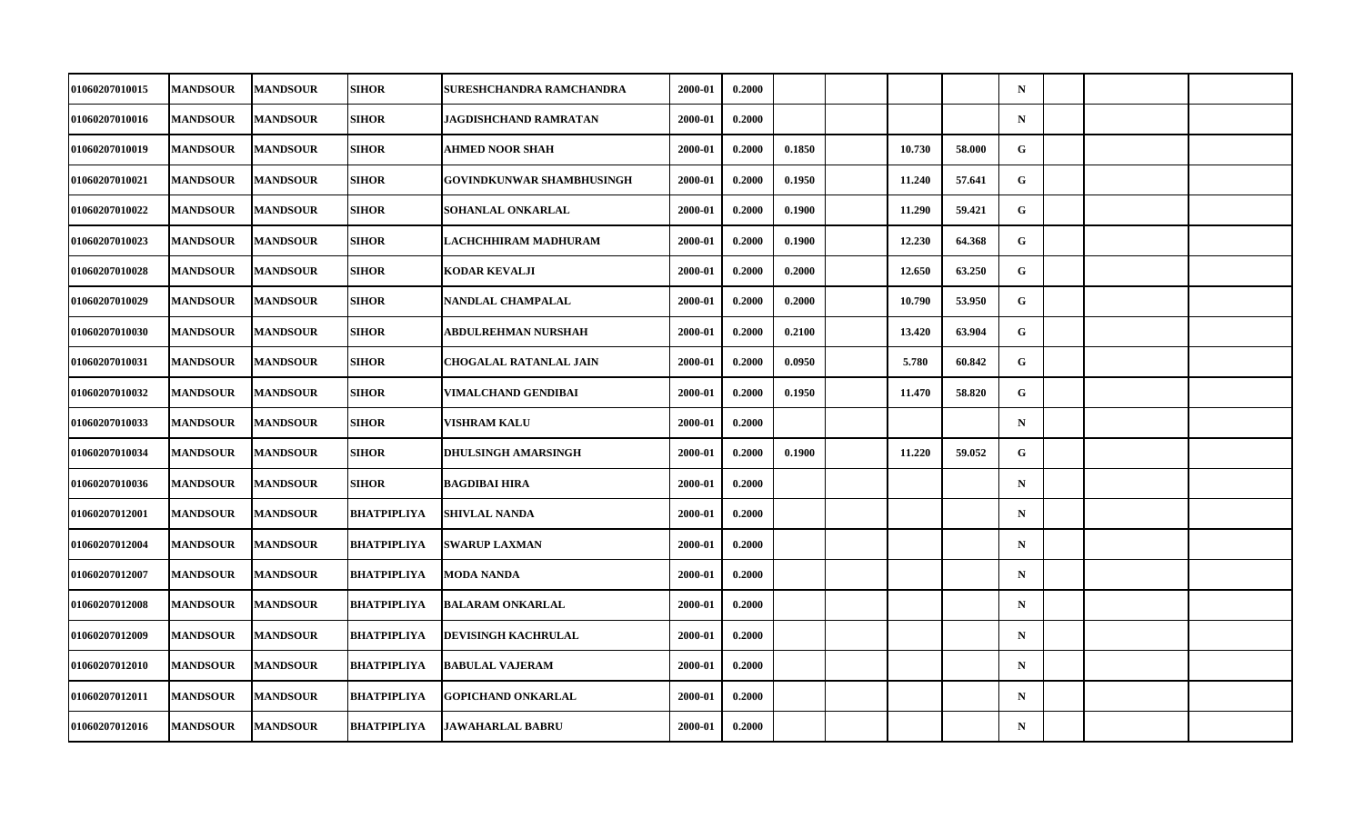| <b>01060207010015</b> | <b>MANDSOUR</b> | <b>MANDSOUR</b> | <b>SIHOR</b> | SURESHCHANDRA RAMCHANDRA         | 2000-01 | 0.2000 |        |        |        | $\mathbf N$  |  |  |
|-----------------------|-----------------|-----------------|--------------|----------------------------------|---------|--------|--------|--------|--------|--------------|--|--|
| 01060207010016        | <b>MANDSOUR</b> | <b>MANDSOUR</b> | SIHOR        | JAGDISHCHAND RAMRATAN            | 2000-01 | 0.2000 |        |        |        | $\mathbf N$  |  |  |
| 01060207010019        | <b>MANDSOUR</b> | <b>MANDSOUR</b> | SIHOR        | <b>AHMED NOOR SHAH</b>           | 2000-01 | 0.2000 | 0.1850 | 10.730 | 58.000 | G            |  |  |
| 01060207010021        | <b>MANDSOUR</b> | <b>MANDSOUR</b> | <b>SIHOR</b> | <b>GOVINDKUNWAR SHAMBHUSINGH</b> | 2000-01 | 0.2000 | 0.1950 | 11.240 | 57.641 | $\mathbf{G}$ |  |  |
| <b>01060207010022</b> | <b>MANDSOUR</b> | <b>MANDSOUR</b> | <b>SIHOR</b> | SOHANLAL ONKARLAL                | 2000-01 | 0.2000 | 0.1900 | 11.290 | 59.421 | $\mathbf{G}$ |  |  |
| 01060207010023        | <b>MANDSOUR</b> | <b>MANDSOUR</b> | SIHOR        | LACHCHHIRAM MADHURAM             | 2000-01 | 0.2000 | 0.1900 | 12.230 | 64.368 | G            |  |  |
| 01060207010028        | <b>MANDSOUR</b> | <b>MANDSOUR</b> | <b>SIHOR</b> | KODAR KEVALJI                    | 2000-01 | 0.2000 | 0.2000 | 12.650 | 63.250 | G            |  |  |
| <b>01060207010029</b> | <b>MANDSOUR</b> | <b>MANDSOUR</b> | <b>SIHOR</b> | NANDLAL CHAMPALAL                | 2000-01 | 0.2000 | 0.2000 | 10.790 | 53.950 | G.           |  |  |
| 01060207010030        | <b>MANDSOUR</b> | <b>MANDSOUR</b> | SIHOR        | ABDULREHMAN NURSHAH              | 2000-01 | 0.2000 | 0.2100 | 13.420 | 63.904 | G            |  |  |
| 01060207010031        | <b>MANDSOUR</b> | <b>MANDSOUR</b> | <b>SIHOR</b> | <b>CHOGALAL RATANLAL JAIN</b>    | 2000-01 | 0.2000 | 0.0950 | 5.780  | 60.842 | $\mathbf{G}$ |  |  |
| <b>01060207010032</b> | <b>MANDSOUR</b> | <b>MANDSOUR</b> | SIHOR        | VIMALCHAND GENDIBAI              | 2000-01 | 0.2000 | 0.1950 | 11.470 | 58.820 | G.           |  |  |
| 01060207010033        | <b>MANDSOUR</b> | <b>MANDSOUR</b> | SIHOR        | VISHRAM KALU                     | 2000-01 | 0.2000 |        |        |        | $\mathbf N$  |  |  |
| 01060207010034        | <b>MANDSOUR</b> | <b>MANDSOUR</b> | <b>SIHOR</b> | <b>DHULSINGH AMARSINGH</b>       | 2000-01 | 0.2000 | 0.1900 | 11.220 | 59.052 | G            |  |  |
| <b>01060207010036</b> | <b>MANDSOUR</b> | <b>MANDSOUR</b> | SIHOR        | <b>BAGDIBAI HIRA</b>             | 2000-01 | 0.2000 |        |        |        | $\mathbf N$  |  |  |
| 01060207012001        | <b>MANDSOUR</b> | <b>MANDSOUR</b> | BHATPIPLIYA  | <b>SHIVLAL NANDA</b>             | 2000-01 | 0.2000 |        |        |        | $\mathbf N$  |  |  |
| 01060207012004        | <b>MANDSOUR</b> | <b>MANDSOUR</b> | BHATPIPLIYA  | <b>SWARUP LAXMAN</b>             | 2000-01 | 0.2000 |        |        |        | $\mathbf N$  |  |  |
| <b>01060207012007</b> | <b>MANDSOUR</b> | <b>MANDSOUR</b> | BHATPIPLIYA  | MODA NANDA                       | 2000-01 | 0.2000 |        |        |        | $\mathbf N$  |  |  |
| 01060207012008        | <b>MANDSOUR</b> | <b>MANDSOUR</b> | BHATPIPLIYA  | <b>BALARAM ONKARLAL</b>          | 2000-01 | 0.2000 |        |        |        | $\mathbf N$  |  |  |
| <b>01060207012009</b> | <b>MANDSOUR</b> | <b>MANDSOUR</b> | BHATPIPLIYA  | <b>DEVISINGH KACHRULAL</b>       | 2000-01 | 0.2000 |        |        |        | $\mathbf N$  |  |  |
| <b>01060207012010</b> | <b>MANDSOUR</b> | <b>MANDSOUR</b> | BHATPIPLIYA  | <b>BABULAL VAJERAM</b>           | 2000-01 | 0.2000 |        |        |        | $\mathbf N$  |  |  |
| 01060207012011        | <b>MANDSOUR</b> | <b>MANDSOUR</b> | BHATPIPLIYA  | <b>GOPICHAND ONKARLAL</b>        | 2000-01 | 0.2000 |        |        |        | $\mathbf N$  |  |  |
| 01060207012016        | <b>MANDSOUR</b> | <b>MANDSOUR</b> | BHATPIPLIYA  | <b>JAWAHARLAL BABRU</b>          | 2000-01 | 0.2000 |        |        |        | $\mathbf N$  |  |  |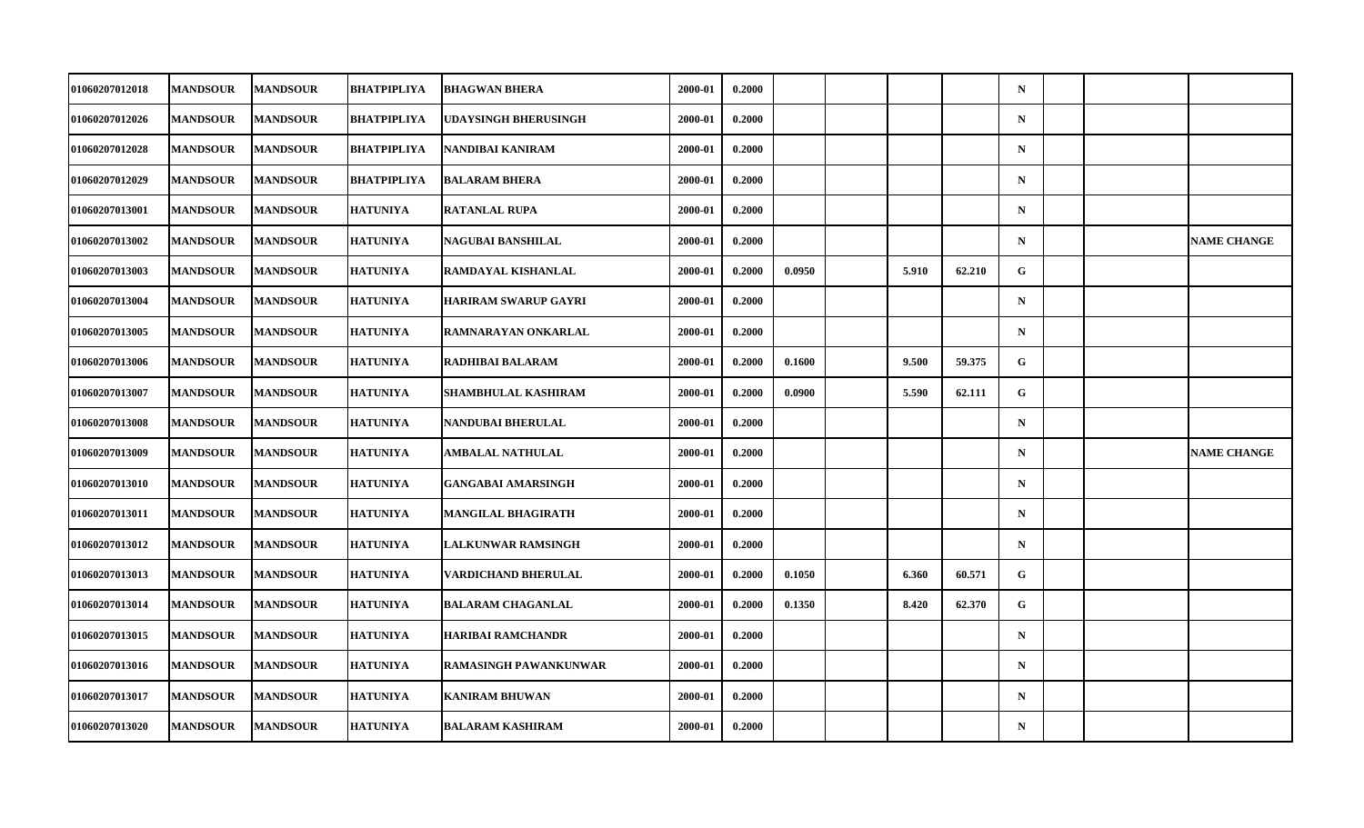| <b>01060207012018</b> | <b>MANDSOUR</b> | <b>MANDSOUR</b> | BHATPIPLIYA        | <b>BHAGWAN BHERA</b>         | 2000-01 | 0.2000 |        |       |        | $\mathbf N$ |  |                    |
|-----------------------|-----------------|-----------------|--------------------|------------------------------|---------|--------|--------|-------|--------|-------------|--|--------------------|
| 01060207012026        | <b>MANDSOUR</b> | <b>MANDSOUR</b> | BHATPIPLIYA        | UDAYSINGH BHERUSINGH         | 2000-01 | 0.2000 |        |       |        | ${\bf N}$   |  |                    |
| 01060207012028        | <b>MANDSOUR</b> | <b>MANDSOUR</b> | <b>BHATPIPLIYA</b> | NANDIBAI KANIRAM             | 2000-01 | 0.2000 |        |       |        | $\mathbf N$ |  |                    |
| <b>01060207012029</b> | <b>MANDSOUR</b> | <b>MANDSOUR</b> | BHATPIPLIYA        | <b>BALARAM BHERA</b>         | 2000-01 | 0.2000 |        |       |        | $\mathbf N$ |  |                    |
| <b>01060207013001</b> | <b>MANDSOUR</b> | <b>MANDSOUR</b> | <b>HATUNIYA</b>    | <b>RATANLAL RUPA</b>         | 2000-01 | 0.2000 |        |       |        | $\mathbf N$ |  |                    |
| 01060207013002        | <b>MANDSOUR</b> | <b>MANDSOUR</b> | <b>HATUNIYA</b>    | NAGUBAI BANSHILAL            | 2000-01 | 0.2000 |        |       |        | $\mathbf N$ |  | <b>NAME CHANGE</b> |
| 01060207013003        | <b>MANDSOUR</b> | <b>MANDSOUR</b> | <b>HATUNIYA</b>    | RAMDAYAL KISHANLAL           | 2000-01 | 0.2000 | 0.0950 | 5.910 | 62.210 | G.          |  |                    |
| <b>01060207013004</b> | <b>MANDSOUR</b> | <b>MANDSOUR</b> | <b>HATUNIYA</b>    | <b>HARIRAM SWARUP GAYRI</b>  | 2000-01 | 0.2000 |        |       |        | $\mathbf N$ |  |                    |
| 01060207013005        | <b>MANDSOUR</b> | <b>MANDSOUR</b> | <b>HATUNIYA</b>    | RAMNARAYAN ONKARLAL          | 2000-01 | 0.2000 |        |       |        | $\mathbf N$ |  |                    |
| 01060207013006        | <b>MANDSOUR</b> | <b>MANDSOUR</b> | <b>HATUNIYA</b>    | RADHIBAI BALARAM             | 2000-01 | 0.2000 | 0.1600 | 9.500 | 59.375 | G.          |  |                    |
| <b>01060207013007</b> | <b>MANDSOUR</b> | <b>MANDSOUR</b> | <b>HATUNIYA</b>    | SHAMBHULAL KASHIRAM          | 2000-01 | 0.2000 | 0.0900 | 5.590 | 62.111 | G           |  |                    |
| 01060207013008        | <b>MANDSOUR</b> | <b>MANDSOUR</b> | <b>HATUNIYA</b>    | NANDUBAI BHERULAL            | 2000-01 | 0.2000 |        |       |        | $\mathbf N$ |  |                    |
| 01060207013009        | <b>MANDSOUR</b> | <b>MANDSOUR</b> | <b>HATUNIYA</b>    | AMBALAL NATHULAL             | 2000-01 | 0.2000 |        |       |        | ${\bf N}$   |  | <b>NAME CHANGE</b> |
| <b>01060207013010</b> | <b>MANDSOUR</b> | <b>MANDSOUR</b> | <b>HATUNIYA</b>    | <b>GANGABAI AMARSINGH</b>    | 2000-01 | 0.2000 |        |       |        | $\mathbf N$ |  |                    |
| 01060207013011        | <b>MANDSOUR</b> | <b>MANDSOUR</b> | <b>HATUNIYA</b>    | MANGILAL BHAGIRATH           | 2000-01 | 0.2000 |        |       |        | $\mathbf N$ |  |                    |
| <b>01060207013012</b> | <b>MANDSOUR</b> | <b>MANDSOUR</b> | <b>HATUNIYA</b>    | LALKUNWAR RAMSINGH           | 2000-01 | 0.2000 |        |       |        | $\mathbf N$ |  |                    |
| <b>01060207013013</b> | <b>MANDSOUR</b> | <b>MANDSOUR</b> | <b>HATUNIYA</b>    | VARDICHAND BHERULAL          | 2000-01 | 0.2000 | 0.1050 | 6.360 | 60.571 | G           |  |                    |
| 01060207013014        | <b>MANDSOUR</b> | <b>MANDSOUR</b> | <b>HATUNIYA</b>    | <b>BALARAM CHAGANLAL</b>     | 2000-01 | 0.2000 | 0.1350 | 8.420 | 62.370 | $\mathbf G$ |  |                    |
| 01060207013015        | <b>MANDSOUR</b> | <b>MANDSOUR</b> | <b>HATUNIYA</b>    | <b>HARIBAI RAMCHANDR</b>     | 2000-01 | 0.2000 |        |       |        | $\mathbf N$ |  |                    |
| <b>01060207013016</b> | <b>MANDSOUR</b> | <b>MANDSOUR</b> | <b>HATUNIYA</b>    | <b>RAMASINGH PAWANKUNWAR</b> | 2000-01 | 0.2000 |        |       |        | $\mathbf N$ |  |                    |
| 01060207013017        | <b>MANDSOUR</b> | <b>MANDSOUR</b> | <b>HATUNIYA</b>    | <b>KANIRAM BHUWAN</b>        | 2000-01 | 0.2000 |        |       |        | $\mathbf N$ |  |                    |
| 01060207013020        | <b>MANDSOUR</b> | <b>MANDSOUR</b> | <b>HATUNIYA</b>    | <b>BALARAM KASHIRAM</b>      | 2000-01 | 0.2000 |        |       |        | $\mathbf N$ |  |                    |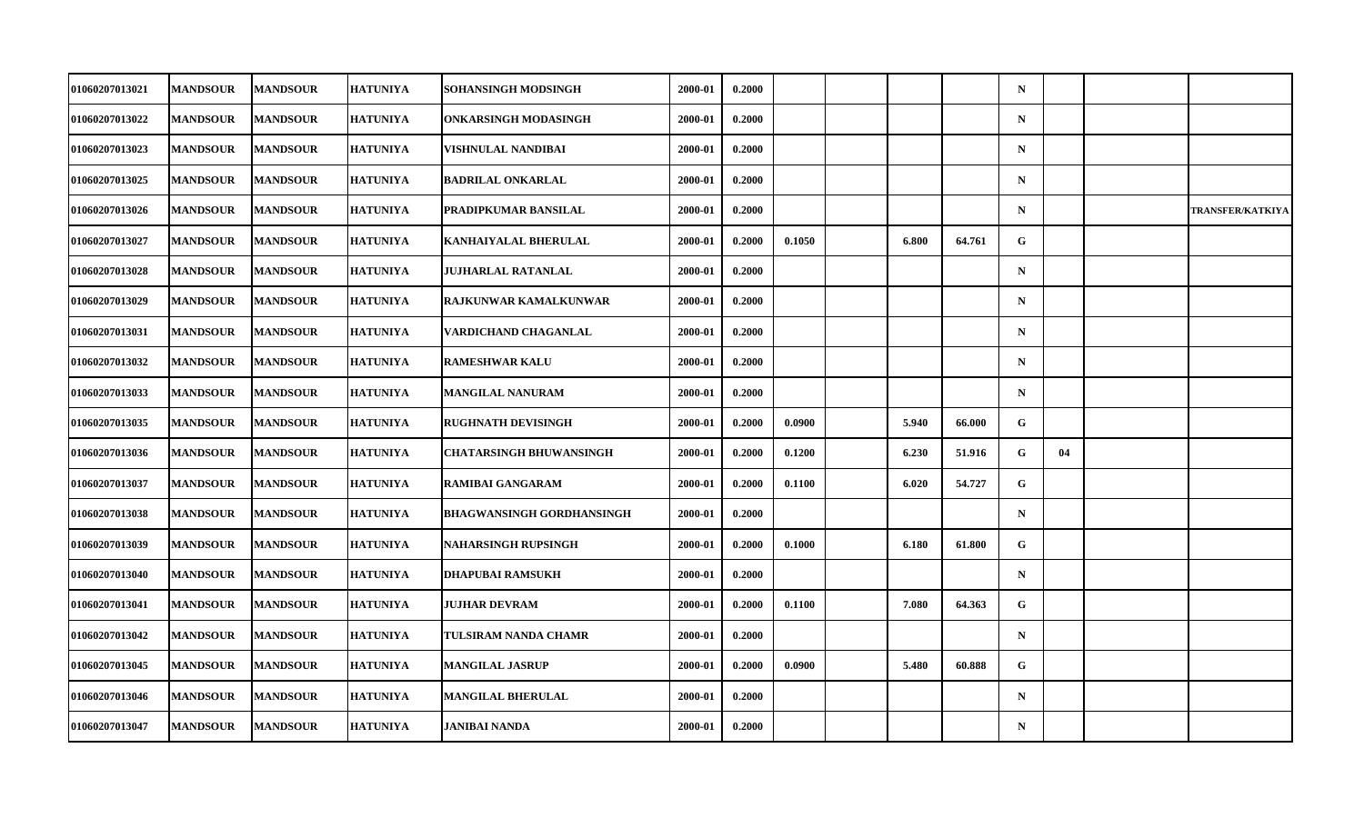| <b>01060207013021</b> | <b>MANDSOUR</b> | <b>MANDSOUR</b> | <b>HATUNIYA</b> | SOHANSINGH MODSINGH              | 2000-01 | 0.2000 |        |       |        | $\mathbf N$ |    |                         |
|-----------------------|-----------------|-----------------|-----------------|----------------------------------|---------|--------|--------|-------|--------|-------------|----|-------------------------|
| 01060207013022        | <b>MANDSOUR</b> | <b>MANDSOUR</b> | <b>HATUNIYA</b> | ONKARSINGH MODASINGH             | 2000-01 | 0.2000 |        |       |        | ${\bf N}$   |    |                         |
| 01060207013023        | <b>MANDSOUR</b> | <b>MANDSOUR</b> | <b>HATUNIYA</b> | VISHNULAL NANDIBAI               | 2000-01 | 0.2000 |        |       |        | $\mathbf N$ |    |                         |
| <b>01060207013025</b> | <b>MANDSOUR</b> | <b>MANDSOUR</b> | <b>HATUNIYA</b> | <b>BADRILAL ONKARLAL</b>         | 2000-01 | 0.2000 |        |       |        | $\mathbf N$ |    |                         |
| 01060207013026        | <b>MANDSOUR</b> | <b>MANDSOUR</b> | <b>HATUNIYA</b> | PRADIPKUMAR BANSILAL             | 2000-01 | 0.2000 |        |       |        | $\mathbf N$ |    | <b>TRANSFER/KATKIYA</b> |
| 01060207013027        | <b>MANDSOUR</b> | <b>MANDSOUR</b> | <b>HATUNIYA</b> | KANHAIYALAL BHERULAL             | 2000-01 | 0.2000 | 0.1050 | 6.800 | 64.761 | G           |    |                         |
| 01060207013028        | <b>MANDSOUR</b> | <b>MANDSOUR</b> | <b>HATUNIYA</b> | JUJHARLAL RATANLAL               | 2000-01 | 0.2000 |        |       |        | $\mathbf N$ |    |                         |
| <b>01060207013029</b> | <b>MANDSOUR</b> | <b>MANDSOUR</b> | <b>HATUNIYA</b> | <b>RAJKUNWAR KAMALKUNWAR</b>     | 2000-01 | 0.2000 |        |       |        | $\mathbf N$ |    |                         |
| <b>01060207013031</b> | <b>MANDSOUR</b> | <b>MANDSOUR</b> | <b>HATUNIYA</b> | VARDICHAND CHAGANLAL             | 2000-01 | 0.2000 |        |       |        | $\mathbf N$ |    |                         |
| 01060207013032        | <b>MANDSOUR</b> | <b>MANDSOUR</b> | <b>HATUNIYA</b> | <b>RAMESHWAR KALU</b>            | 2000-01 | 0.2000 |        |       |        | $\mathbf N$ |    |                         |
| <b>01060207013033</b> | <b>MANDSOUR</b> | <b>MANDSOUR</b> | <b>HATUNIYA</b> | <b>MANGILAL NANURAM</b>          | 2000-01 | 0.2000 |        |       |        | $\mathbf N$ |    |                         |
| <b>01060207013035</b> | <b>MANDSOUR</b> | <b>MANDSOUR</b> | <b>HATUNIYA</b> | <b>RUGHNATH DEVISINGH</b>        | 2000-01 | 0.2000 | 0.0900 | 5.940 | 66.000 | G           |    |                         |
| 01060207013036        | <b>MANDSOUR</b> | <b>MANDSOUR</b> | <b>HATUNIYA</b> | <b>CHATARSINGH BHUWANSINGH</b>   | 2000-01 | 0.2000 | 0.1200 | 6.230 | 51.916 | G.          | 04 |                         |
| <b>01060207013037</b> | <b>MANDSOUR</b> | <b>MANDSOUR</b> | <b>HATUNIYA</b> | <b>RAMIBAI GANGARAM</b>          | 2000-01 | 0.2000 | 0.1100 | 6.020 | 54.727 | G           |    |                         |
| 01060207013038        | <b>MANDSOUR</b> | <b>MANDSOUR</b> | <b>HATUNIYA</b> | <b>BHAGWANSINGH GORDHANSINGH</b> | 2000-01 | 0.2000 |        |       |        | $\mathbf N$ |    |                         |
| 01060207013039        | <b>MANDSOUR</b> | <b>MANDSOUR</b> | <b>HATUNIYA</b> | <b>NAHARSINGH RUPSINGH</b>       | 2000-01 | 0.2000 | 0.1000 | 6.180 | 61.800 | G           |    |                         |
| <b>01060207013040</b> | <b>MANDSOUR</b> | <b>MANDSOUR</b> | <b>HATUNIYA</b> | <b>DHAPUBAI RAMSUKH</b>          | 2000-01 | 0.2000 |        |       |        | $\mathbf N$ |    |                         |
| 01060207013041        | <b>MANDSOUR</b> | <b>MANDSOUR</b> | <b>HATUNIYA</b> | <b>JUJHAR DEVRAM</b>             | 2000-01 | 0.2000 | 0.1100 | 7.080 | 64.363 | $\mathbf G$ |    |                         |
| 01060207013042        | <b>MANDSOUR</b> | <b>MANDSOUR</b> | <b>HATUNIYA</b> | TULSIRAM NANDA CHAMR             | 2000-01 | 0.2000 |        |       |        | $\mathbf N$ |    |                         |
| 01060207013045        | <b>MANDSOUR</b> | <b>MANDSOUR</b> | <b>HATUNIYA</b> | <b>MANGILAL JASRUP</b>           | 2000-01 | 0.2000 | 0.0900 | 5.480 | 60.888 | G           |    |                         |
| 01060207013046        | <b>MANDSOUR</b> | <b>MANDSOUR</b> | <b>HATUNIYA</b> | <b>MANGILAL BHERULAL</b>         | 2000-01 | 0.2000 |        |       |        | $\mathbf N$ |    |                         |
| 01060207013047        | <b>MANDSOUR</b> | <b>MANDSOUR</b> | <b>HATUNIYA</b> | JANIBAI NANDA                    | 2000-01 | 0.2000 |        |       |        | $\mathbf N$ |    |                         |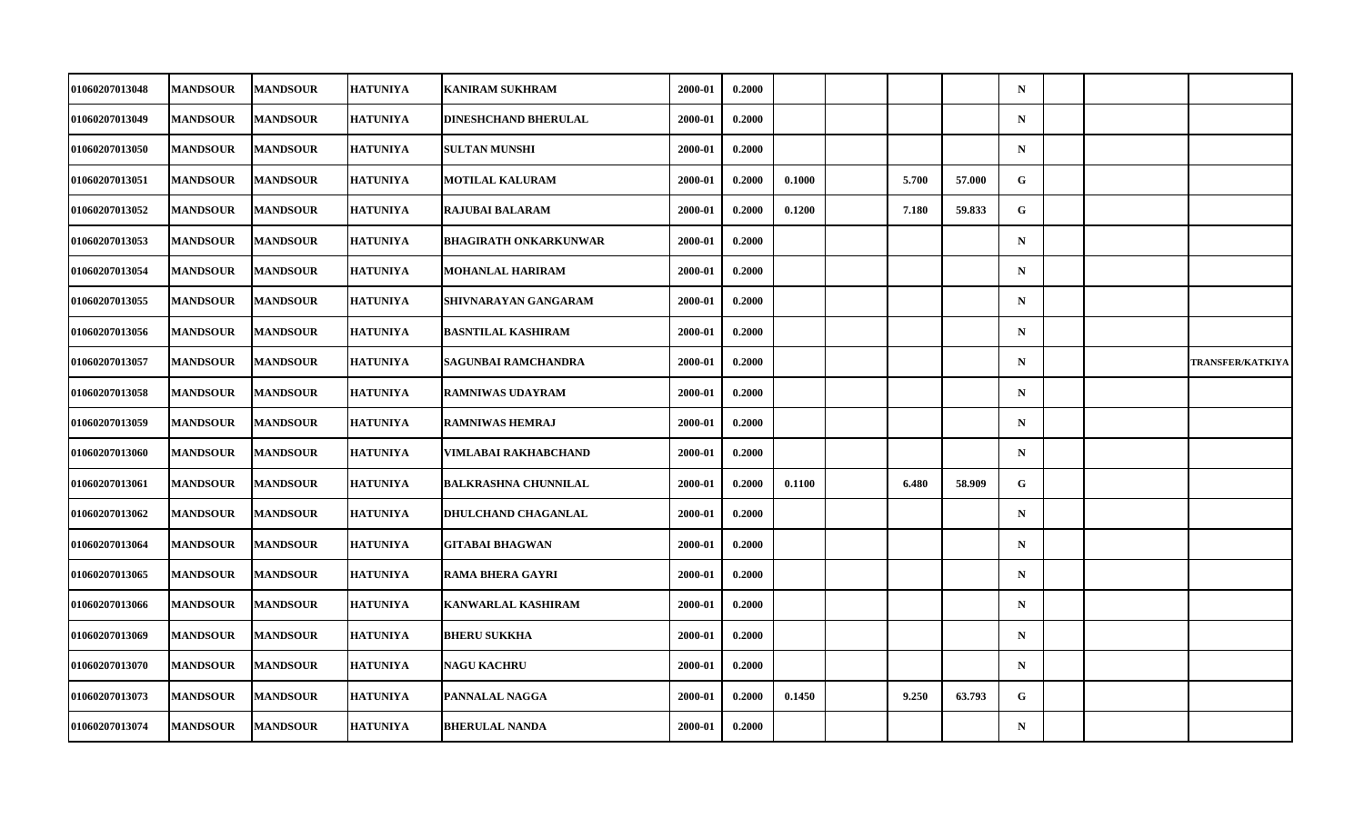| 01060207013048        | <b>MANDSOUR</b> | <b>MANDSOUR</b> | <b>HATUNIYA</b> | <b>KANIRAM SUKHRAM</b>       | 2000-01 | 0.2000 |        |       |        | $\mathbf N$ |  |                         |
|-----------------------|-----------------|-----------------|-----------------|------------------------------|---------|--------|--------|-------|--------|-------------|--|-------------------------|
| 01060207013049        | <b>MANDSOUR</b> | <b>MANDSOUR</b> | <b>HATUNIYA</b> | DINESHCHAND BHERULAL         | 2000-01 | 0.2000 |        |       |        | ${\bf N}$   |  |                         |
| 01060207013050        | <b>MANDSOUR</b> | <b>MANDSOUR</b> | <b>HATUNIYA</b> | <b>SULTAN MUNSHI</b>         | 2000-01 | 0.2000 |        |       |        | $\mathbf N$ |  |                         |
| 01060207013051        | <b>MANDSOUR</b> | <b>MANDSOUR</b> | <b>HATUNIYA</b> | <b>MOTILAL KALURAM</b>       | 2000-01 | 0.2000 | 0.1000 | 5.700 | 57.000 | G           |  |                         |
| 01060207013052        | <b>MANDSOUR</b> | <b>MANDSOUR</b> | <b>HATUNIYA</b> | <b>RAJUBAI BALARAM</b>       | 2000-01 | 0.2000 | 0.1200 | 7.180 | 59.833 | G           |  |                         |
| 01060207013053        | <b>MANDSOUR</b> | <b>MANDSOUR</b> | <b>HATUNIYA</b> | <b>BHAGIRATH ONKARKUNWAR</b> | 2000-01 | 0.2000 |        |       |        | $\mathbf N$ |  |                         |
| 01060207013054        | <b>MANDSOUR</b> | <b>MANDSOUR</b> | <b>HATUNIYA</b> | <b>MOHANLAL HARIRAM</b>      | 2000-01 | 0.2000 |        |       |        | $\mathbf N$ |  |                         |
| 01060207013055        | <b>MANDSOUR</b> | <b>MANDSOUR</b> | <b>HATUNIYA</b> | SHIVNARAYAN GANGARAM         | 2000-01 | 0.2000 |        |       |        | $\mathbf N$ |  |                         |
| 01060207013056        | <b>MANDSOUR</b> | <b>MANDSOUR</b> | <b>HATUNIYA</b> | <b>BASNTILAL KASHIRAM</b>    | 2000-01 | 0.2000 |        |       |        | $\mathbf N$ |  |                         |
| 01060207013057        | <b>MANDSOUR</b> | <b>MANDSOUR</b> | <b>HATUNIYA</b> | <b>SAGUNBAI RAMCHANDRA</b>   | 2000-01 | 0.2000 |        |       |        | $\mathbf N$ |  | <b>TRANSFER/KATKIYA</b> |
| 01060207013058        | <b>MANDSOUR</b> | <b>MANDSOUR</b> | <b>HATUNIYA</b> | <b>RAMNIWAS UDAYRAM</b>      | 2000-01 | 0.2000 |        |       |        | $\mathbf N$ |  |                         |
| <b>01060207013059</b> | <b>MANDSOUR</b> | <b>MANDSOUR</b> | <b>HATUNIYA</b> | <b>RAMNIWAS HEMRAJ</b>       | 2000-01 | 0.2000 |        |       |        | $\mathbf N$ |  |                         |
| 01060207013060        | <b>MANDSOUR</b> | <b>MANDSOUR</b> | <b>HATUNIYA</b> | VIMLABAI RAKHABCHAND         | 2000-01 | 0.2000 |        |       |        | $\mathbf N$ |  |                         |
| <b>01060207013061</b> | <b>MANDSOUR</b> | <b>MANDSOUR</b> | <b>HATUNIYA</b> | <b>BALKRASHNA CHUNNILAL</b>  | 2000-01 | 0.2000 | 0.1100 | 6.480 | 58.909 | G           |  |                         |
| 01060207013062        | <b>MANDSOUR</b> | <b>MANDSOUR</b> | <b>HATUNIYA</b> | <b>DHULCHAND CHAGANLAL</b>   | 2000-01 | 0.2000 |        |       |        | $\mathbf N$ |  |                         |
| 01060207013064        | <b>MANDSOUR</b> | <b>MANDSOUR</b> | <b>HATUNIYA</b> | <b>GITABAI BHAGWAN</b>       | 2000-01 | 0.2000 |        |       |        | $\mathbf N$ |  |                         |
| <b>01060207013065</b> | <b>MANDSOUR</b> | <b>MANDSOUR</b> | <b>HATUNIYA</b> | <b>RAMA BHERA GAYRI</b>      | 2000-01 | 0.2000 |        |       |        | $\mathbf N$ |  |                         |
| 01060207013066        | <b>MANDSOUR</b> | <b>MANDSOUR</b> | <b>HATUNIYA</b> | <b>KANWARLAL KASHIRAM</b>    | 2000-01 | 0.2000 |        |       |        | $\mathbf N$ |  |                         |
| <b>01060207013069</b> | <b>MANDSOUR</b> | <b>MANDSOUR</b> | <b>HATUNIYA</b> | <b>BHERU SUKKHA</b>          | 2000-01 | 0.2000 |        |       |        | $\mathbf N$ |  |                         |
| <b>01060207013070</b> | <b>MANDSOUR</b> | <b>MANDSOUR</b> | <b>HATUNIYA</b> | <b>NAGU KACHRU</b>           | 2000-01 | 0.2000 |        |       |        | $\mathbf N$ |  |                         |
| 01060207013073        | <b>MANDSOUR</b> | <b>MANDSOUR</b> | <b>HATUNIYA</b> | PANNALAL NAGGA               | 2000-01 | 0.2000 | 0.1450 | 9.250 | 63.793 | G           |  |                         |
| 01060207013074        | <b>MANDSOUR</b> | <b>MANDSOUR</b> | <b>HATUNIYA</b> | <b>BHERULAL NANDA</b>        | 2000-01 | 0.2000 |        |       |        | $\mathbf N$ |  |                         |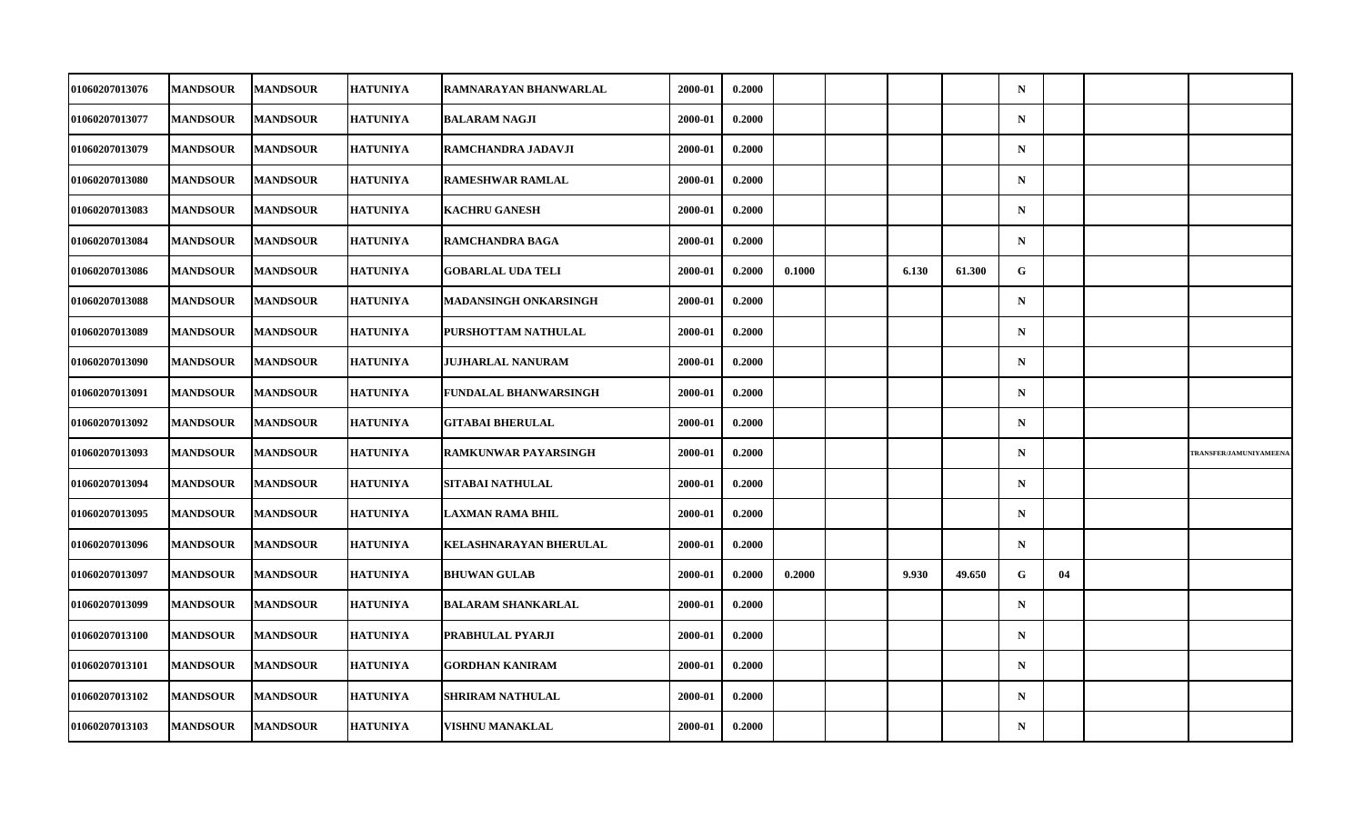| 01060207013076        | <b>MANDSOUR</b> | <b>MANDSOUR</b> | <b>HATUNIYA</b> | RAMNARAYAN BHANWARLAL         | 2000-01 | 0.2000 |        |       |        | $\mathbf N$ |    |                        |
|-----------------------|-----------------|-----------------|-----------------|-------------------------------|---------|--------|--------|-------|--------|-------------|----|------------------------|
| 01060207013077        | <b>MANDSOUR</b> | <b>MANDSOUR</b> | <b>HATUNIYA</b> | <b>BALARAM NAGJI</b>          | 2000-01 | 0.2000 |        |       |        | ${\bf N}$   |    |                        |
| 01060207013079        | <b>MANDSOUR</b> | <b>MANDSOUR</b> | <b>HATUNIYA</b> | RAMCHANDRA JADAVJI            | 2000-01 | 0.2000 |        |       |        | $\mathbf N$ |    |                        |
| <b>01060207013080</b> | <b>MANDSOUR</b> | <b>MANDSOUR</b> | <b>HATUNIYA</b> | <b>RAMESHWAR RAMLAL</b>       | 2000-01 | 0.2000 |        |       |        | $\mathbf N$ |    |                        |
| 01060207013083        | <b>MANDSOUR</b> | <b>MANDSOUR</b> | <b>HATUNIYA</b> | <b>KACHRU GANESH</b>          | 2000-01 | 0.2000 |        |       |        | $\mathbf N$ |    |                        |
| 01060207013084        | <b>MANDSOUR</b> | <b>MANDSOUR</b> | <b>HATUNIYA</b> | <b>RAMCHANDRA BAGA</b>        | 2000-01 | 0.2000 |        |       |        | $\mathbf N$ |    |                        |
| 01060207013086        | <b>MANDSOUR</b> | <b>MANDSOUR</b> | <b>HATUNIYA</b> | <b>GOBARLAL UDA TELI</b>      | 2000-01 | 0.2000 | 0.1000 | 6.130 | 61.300 | G.          |    |                        |
| 01060207013088        | <b>MANDSOUR</b> | <b>MANDSOUR</b> | <b>HATUNIYA</b> | MADANSINGH ONKARSINGH         | 2000-01 | 0.2000 |        |       |        | $\mathbf N$ |    |                        |
| <b>01060207013089</b> | <b>MANDSOUR</b> | <b>MANDSOUR</b> | <b>HATUNIYA</b> | PURSHOTTAM NATHULAL           | 2000-01 | 0.2000 |        |       |        | $\mathbf N$ |    |                        |
| 01060207013090        | <b>MANDSOUR</b> | <b>MANDSOUR</b> | <b>HATUNIYA</b> | <b>JUJHARLAL NANURAM</b>      | 2000-01 | 0.2000 |        |       |        | $\mathbf N$ |    |                        |
| <b>01060207013091</b> | <b>MANDSOUR</b> | <b>MANDSOUR</b> | <b>HATUNIYA</b> | FUNDALAL BHANWARSINGH         | 2000-01 | 0.2000 |        |       |        | $\mathbf N$ |    |                        |
| <b>01060207013092</b> | <b>MANDSOUR</b> | <b>MANDSOUR</b> | <b>HATUNIYA</b> | <b>GITABAI BHERULAL</b>       | 2000-01 | 0.2000 |        |       |        | $\mathbf N$ |    |                        |
| 01060207013093        | <b>MANDSOUR</b> | <b>MANDSOUR</b> | <b>HATUNIYA</b> | RAMKUNWAR PAYARSINGH          | 2000-01 | 0.2000 |        |       |        | ${\bf N}$   |    | TRANSFER/JAMUNIYAMEENA |
| <b>01060207013094</b> | <b>MANDSOUR</b> | <b>MANDSOUR</b> | <b>HATUNIYA</b> | SITABAI NATHULAL              | 2000-01 | 0.2000 |        |       |        | $\mathbf N$ |    |                        |
| 01060207013095        | <b>MANDSOUR</b> | <b>MANDSOUR</b> | <b>HATUNIYA</b> | <b>LAXMAN RAMA BHIL</b>       | 2000-01 | 0.2000 |        |       |        | $\mathbf N$ |    |                        |
| 01060207013096        | <b>MANDSOUR</b> | <b>MANDSOUR</b> | <b>HATUNIYA</b> | <b>KELASHNARAYAN BHERULAL</b> | 2000-01 | 0.2000 |        |       |        | $\mathbf N$ |    |                        |
| <b>01060207013097</b> | <b>MANDSOUR</b> | <b>MANDSOUR</b> | <b>HATUNIYA</b> | <b>BHUWAN GULAB</b>           | 2000-01 | 0.2000 | 0.2000 | 9.930 | 49.650 | G           | 04 |                        |
| 01060207013099        | <b>MANDSOUR</b> | <b>MANDSOUR</b> | <b>HATUNIYA</b> | <b>BALARAM SHANKARLAL</b>     | 2000-01 | 0.2000 |        |       |        | $\mathbf N$ |    |                        |
| <b>01060207013100</b> | <b>MANDSOUR</b> | <b>MANDSOUR</b> | <b>HATUNIYA</b> | PRABHULAL PYARJI              | 2000-01 | 0.2000 |        |       |        | $\mathbf N$ |    |                        |
| 01060207013101        | <b>MANDSOUR</b> | <b>MANDSOUR</b> | <b>HATUNIYA</b> | GORDHAN KANIRAM               | 2000-01 | 0.2000 |        |       |        | $\mathbf N$ |    |                        |
| 01060207013102        | <b>MANDSOUR</b> | <b>MANDSOUR</b> | <b>HATUNIYA</b> | <b>SHRIRAM NATHULAL</b>       | 2000-01 | 0.2000 |        |       |        | $\mathbf N$ |    |                        |
| 01060207013103        | <b>MANDSOUR</b> | <b>MANDSOUR</b> | <b>HATUNIYA</b> | <b>VISHNU MANAKLAL</b>        | 2000-01 | 0.2000 |        |       |        | $\mathbf N$ |    |                        |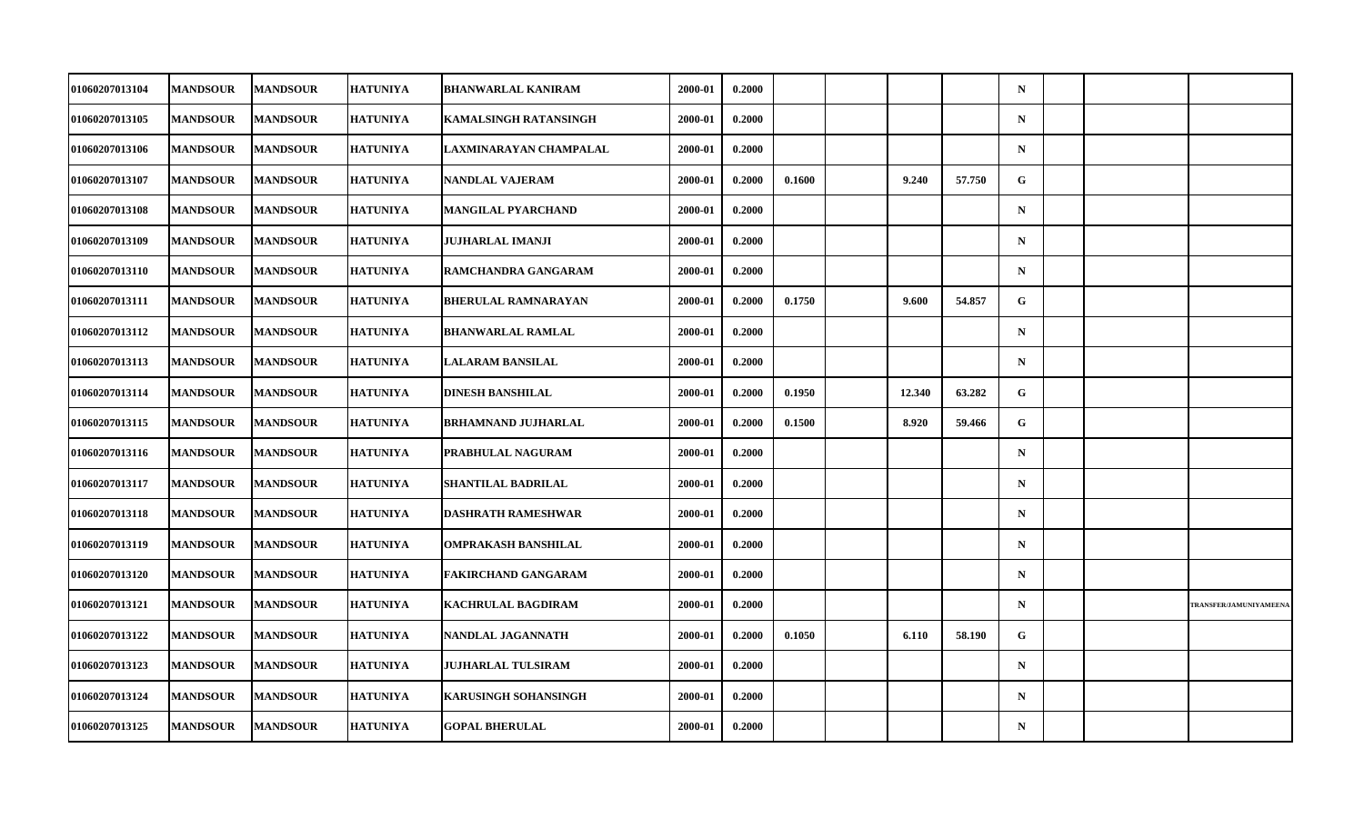| 01060207013104        | <b>MANDSOUR</b> | <b>MANDSOUR</b> | <b>HATUNIYA</b> | <b>BHANWARLAL KANIRAM</b>    | 2000-01 | 0.2000 |        |        |        | $\mathbf N$  |  |                        |
|-----------------------|-----------------|-----------------|-----------------|------------------------------|---------|--------|--------|--------|--------|--------------|--|------------------------|
| 01060207013105        | <b>MANDSOUR</b> | <b>MANDSOUR</b> | <b>HATUNIYA</b> | <b>KAMALSINGH RATANSINGH</b> | 2000-01 | 0.2000 |        |        |        | $\mathbf N$  |  |                        |
| 01060207013106        | <b>MANDSOUR</b> | <b>MANDSOUR</b> | <b>HATUNIYA</b> | LAXMINARAYAN CHAMPALAL       | 2000-01 | 0.2000 |        |        |        | $\mathbf N$  |  |                        |
| 01060207013107        | <b>MANDSOUR</b> | <b>MANDSOUR</b> | <b>HATUNIYA</b> | NANDLAL VAJERAM              | 2000-01 | 0.2000 | 0.1600 | 9.240  | 57.750 | $\mathbf{G}$ |  |                        |
| 01060207013108        | <b>MANDSOUR</b> | <b>MANDSOUR</b> | <b>HATUNIYA</b> | MANGILAL PYARCHAND           | 2000-01 | 0.2000 |        |        |        | $\mathbf N$  |  |                        |
| 01060207013109        | <b>MANDSOUR</b> | <b>MANDSOUR</b> | <b>HATUNIYA</b> | <b>JUJHARLAL IMANJI</b>      | 2000-01 | 0.2000 |        |        |        | $\mathbf N$  |  |                        |
| 01060207013110        | <b>MANDSOUR</b> | <b>MANDSOUR</b> | <b>HATUNIYA</b> | RAMCHANDRA GANGARAM          | 2000-01 | 0.2000 |        |        |        | $\mathbf N$  |  |                        |
| <b>01060207013111</b> | <b>MANDSOUR</b> | <b>MANDSOUR</b> | HATUNIYA        | <b>BHERULAL RAMNARAYAN</b>   | 2000-01 | 0.2000 | 0.1750 | 9.600  | 54.857 | G            |  |                        |
| 01060207013112        | <b>MANDSOUR</b> | <b>MANDSOUR</b> | <b>HATUNIYA</b> | <b>BHANWARLAL RAMLAL</b>     | 2000-01 | 0.2000 |        |        |        | $\mathbf N$  |  |                        |
| 01060207013113        | <b>MANDSOUR</b> | <b>MANDSOUR</b> | <b>HATUNIYA</b> | <b>LALARAM BANSILAL</b>      | 2000-01 | 0.2000 |        |        |        | $\mathbf N$  |  |                        |
| <b>01060207013114</b> | <b>MANDSOUR</b> | <b>MANDSOUR</b> | <b>HATUNIYA</b> | <b>DINESH BANSHILAL</b>      | 2000-01 | 0.2000 | 0.1950 | 12.340 | 63.282 | G            |  |                        |
| 01060207013115        | <b>MANDSOUR</b> | <b>MANDSOUR</b> | <b>HATUNIYA</b> | <b>BRHAMNAND JUJHARLAL</b>   | 2000-01 | 0.2000 | 0.1500 | 8.920  | 59.466 | $\mathbf{G}$ |  |                        |
| 01060207013116        | <b>MANDSOUR</b> | <b>MANDSOUR</b> | <b>HATUNIYA</b> | PRABHULAL NAGURAM            | 2000-01 | 0.2000 |        |        |        | $\mathbf N$  |  |                        |
| <b>01060207013117</b> | <b>MANDSOUR</b> | <b>MANDSOUR</b> | <b>HATUNIYA</b> | SHANTILAL BADRILAL           | 2000-01 | 0.2000 |        |        |        | $\mathbf N$  |  |                        |
| 01060207013118        | <b>MANDSOUR</b> | <b>MANDSOUR</b> | <b>HATUNIYA</b> | <b>DASHRATH RAMESHWAR</b>    | 2000-01 | 0.2000 |        |        |        | $\mathbf N$  |  |                        |
| 01060207013119        | <b>MANDSOUR</b> | <b>MANDSOUR</b> | <b>HATUNIYA</b> | OMPRAKASH BANSHILAL          | 2000-01 | 0.2000 |        |        |        | $\mathbf N$  |  |                        |
| <b>01060207013120</b> | <b>MANDSOUR</b> | <b>MANDSOUR</b> | <b>HATUNIYA</b> | FAKIRCHAND GANGARAM          | 2000-01 | 0.2000 |        |        |        | $\mathbf N$  |  |                        |
| 01060207013121        | <b>MANDSOUR</b> | <b>MANDSOUR</b> | <b>HATUNIYA</b> | <b>KACHRULAL BAGDIRAM</b>    | 2000-01 | 0.2000 |        |        |        | $\mathbf N$  |  | TRANSFER/JAMUNIYAMEENA |
| 01060207013122        | <b>MANDSOUR</b> | <b>MANDSOUR</b> | <b>HATUNIYA</b> | NANDLAL JAGANNATH            | 2000-01 | 0.2000 | 0.1050 | 6.110  | 58.190 | G            |  |                        |
| <b>01060207013123</b> | <b>MANDSOUR</b> | <b>MANDSOUR</b> | <b>HATUNIYA</b> | JUJHARLAL TULSIRAM           | 2000-01 | 0.2000 |        |        |        | $\mathbf N$  |  |                        |
| 01060207013124        | <b>MANDSOUR</b> | <b>MANDSOUR</b> | <b>HATUNIYA</b> | <b>KARUSINGH SOHANSINGH</b>  | 2000-01 | 0.2000 |        |        |        | $\mathbf N$  |  |                        |
| 01060207013125        | <b>MANDSOUR</b> | <b>MANDSOUR</b> | <b>HATUNIYA</b> | <b>GOPAL BHERULAL</b>        | 2000-01 | 0.2000 |        |        |        | $\mathbf N$  |  |                        |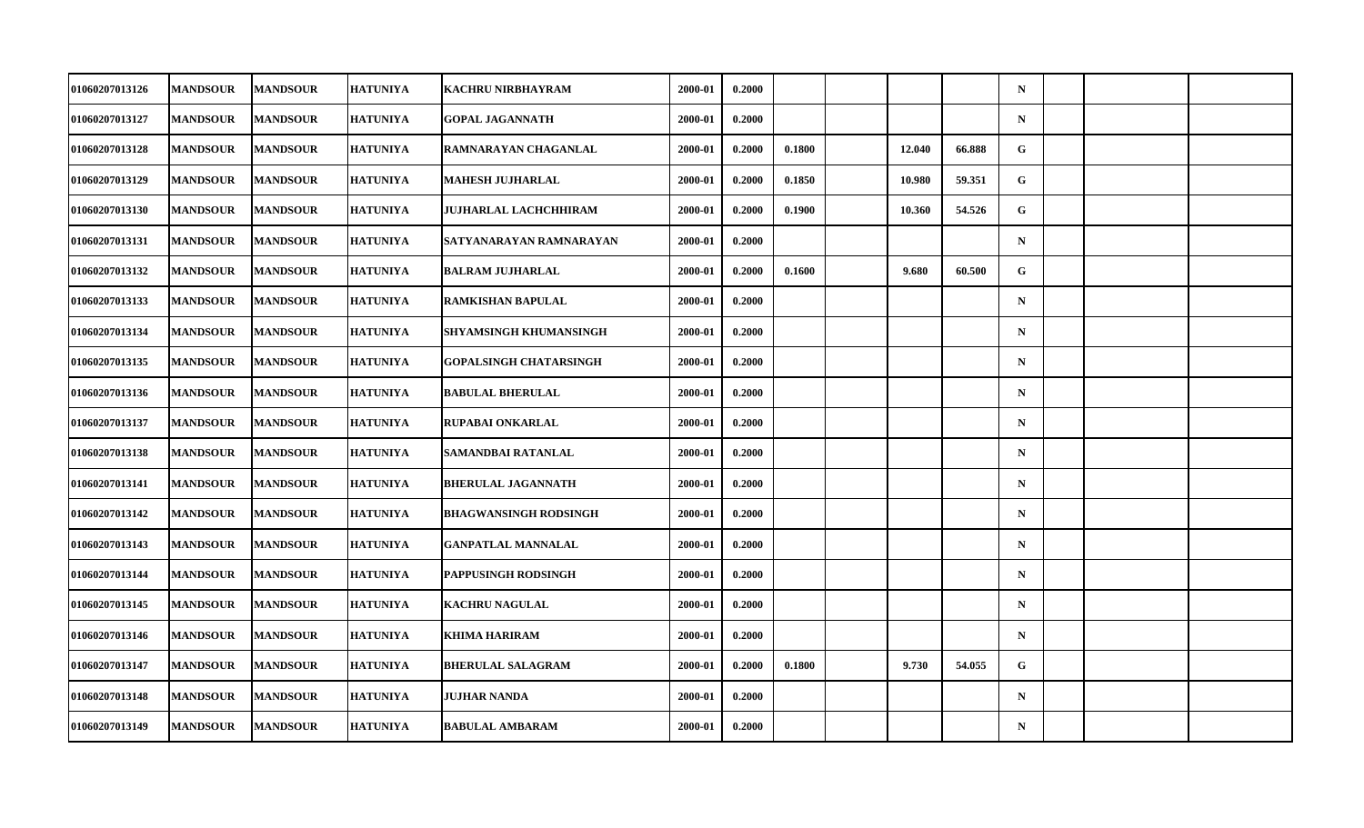| 01060207013126        | <b>MANDSOUR</b> | <b>MANDSOUR</b> | <b>HATUNIYA</b> | <b>KACHRU NIRBHAYRAM</b>      | 2000-01 | 0.2000 |        |        |        | $\mathbf N$ |  |  |
|-----------------------|-----------------|-----------------|-----------------|-------------------------------|---------|--------|--------|--------|--------|-------------|--|--|
| 01060207013127        | <b>MANDSOUR</b> | <b>MANDSOUR</b> | <b>HATUNIYA</b> | <b>GOPAL JAGANNATH</b>        | 2000-01 | 0.2000 |        |        |        | ${\bf N}$   |  |  |
| 01060207013128        | <b>MANDSOUR</b> | <b>MANDSOUR</b> | <b>HATUNIYA</b> | RAMNARAYAN CHAGANLAL          | 2000-01 | 0.2000 | 0.1800 | 12.040 | 66.888 | G           |  |  |
| <b>01060207013129</b> | <b>MANDSOUR</b> | <b>MANDSOUR</b> | <b>HATUNIYA</b> | MAHESH JUJHARLAL              | 2000-01 | 0.2000 | 0.1850 | 10.980 | 59.351 | G           |  |  |
| 01060207013130        | <b>MANDSOUR</b> | <b>MANDSOUR</b> | <b>HATUNIYA</b> | JUJHARLAL LACHCHHIRAM         | 2000-01 | 0.2000 | 0.1900 | 10.360 | 54.526 | G           |  |  |
| 01060207013131        | <b>MANDSOUR</b> | <b>MANDSOUR</b> | <b>HATUNIYA</b> | SATYANARAYAN RAMNARAYAN       | 2000-01 | 0.2000 |        |        |        | $\mathbf N$ |  |  |
| 01060207013132        | <b>MANDSOUR</b> | <b>MANDSOUR</b> | <b>HATUNIYA</b> | <b>BALRAM JUJHARLAL</b>       | 2000-01 | 0.2000 | 0.1600 | 9.680  | 60.500 | G.          |  |  |
| 01060207013133        | <b>MANDSOUR</b> | <b>MANDSOUR</b> | <b>HATUNIYA</b> | <b>RAMKISHAN BAPULAL</b>      | 2000-01 | 0.2000 |        |        |        | $\mathbf N$ |  |  |
| 01060207013134        | <b>MANDSOUR</b> | <b>MANDSOUR</b> | <b>HATUNIYA</b> | SHYAMSINGH KHUMANSINGH        | 2000-01 | 0.2000 |        |        |        | $\mathbf N$ |  |  |
| 01060207013135        | <b>MANDSOUR</b> | <b>MANDSOUR</b> | <b>HATUNIYA</b> | <b>GOPALSINGH CHATARSINGH</b> | 2000-01 | 0.2000 |        |        |        | $\mathbf N$ |  |  |
| 01060207013136        | <b>MANDSOUR</b> | <b>MANDSOUR</b> | <b>HATUNIYA</b> | <b>BABULAL BHERULAL</b>       | 2000-01 | 0.2000 |        |        |        | $\mathbf N$ |  |  |
| 01060207013137        | <b>MANDSOUR</b> | <b>MANDSOUR</b> | <b>HATUNIYA</b> | RUPABAI ONKARLAL              | 2000-01 | 0.2000 |        |        |        | $\mathbf N$ |  |  |
| 01060207013138        | <b>MANDSOUR</b> | <b>MANDSOUR</b> | <b>HATUNIYA</b> | SAMANDBAI RATANLAL            | 2000-01 | 0.2000 |        |        |        | ${\bf N}$   |  |  |
| 01060207013141        | <b>MANDSOUR</b> | <b>MANDSOUR</b> | <b>HATUNIYA</b> | <b>BHERULAL JAGANNATH</b>     | 2000-01 | 0.2000 |        |        |        | $\mathbf N$ |  |  |
| 01060207013142        | <b>MANDSOUR</b> | <b>MANDSOUR</b> | <b>HATUNIYA</b> | <b>BHAGWANSINGH RODSINGH</b>  | 2000-01 | 0.2000 |        |        |        | $\mathbf N$ |  |  |
| 01060207013143        | <b>MANDSOUR</b> | <b>MANDSOUR</b> | <b>HATUNIYA</b> | <b>GANPATLAL MANNALAL</b>     | 2000-01 | 0.2000 |        |        |        | $\mathbf N$ |  |  |
| <b>01060207013144</b> | <b>MANDSOUR</b> | <b>MANDSOUR</b> | <b>HATUNIYA</b> | PAPPUSINGH RODSINGH           | 2000-01 | 0.2000 |        |        |        | $\mathbf N$ |  |  |
| 01060207013145        | <b>MANDSOUR</b> | <b>MANDSOUR</b> | <b>HATUNIYA</b> | <b>KACHRU NAGULAL</b>         | 2000-01 | 0.2000 |        |        |        | $\mathbf N$ |  |  |
| 01060207013146        | <b>MANDSOUR</b> | <b>MANDSOUR</b> | <b>HATUNIYA</b> | <b>KHIMA HARIRAM</b>          | 2000-01 | 0.2000 |        |        |        | $\mathbf N$ |  |  |
| 01060207013147        | <b>MANDSOUR</b> | <b>MANDSOUR</b> | <b>HATUNIYA</b> | <b>BHERULAL SALAGRAM</b>      | 2000-01 | 0.2000 | 0.1800 | 9.730  | 54.055 | G           |  |  |
| 01060207013148        | <b>MANDSOUR</b> | <b>MANDSOUR</b> | <b>HATUNIYA</b> | <b>JUJHAR NANDA</b>           | 2000-01 | 0.2000 |        |        |        | $\mathbf N$ |  |  |
| 01060207013149        | <b>MANDSOUR</b> | <b>MANDSOUR</b> | <b>HATUNIYA</b> | <b>BABULAL AMBARAM</b>        | 2000-01 | 0.2000 |        |        |        | $\mathbf N$ |  |  |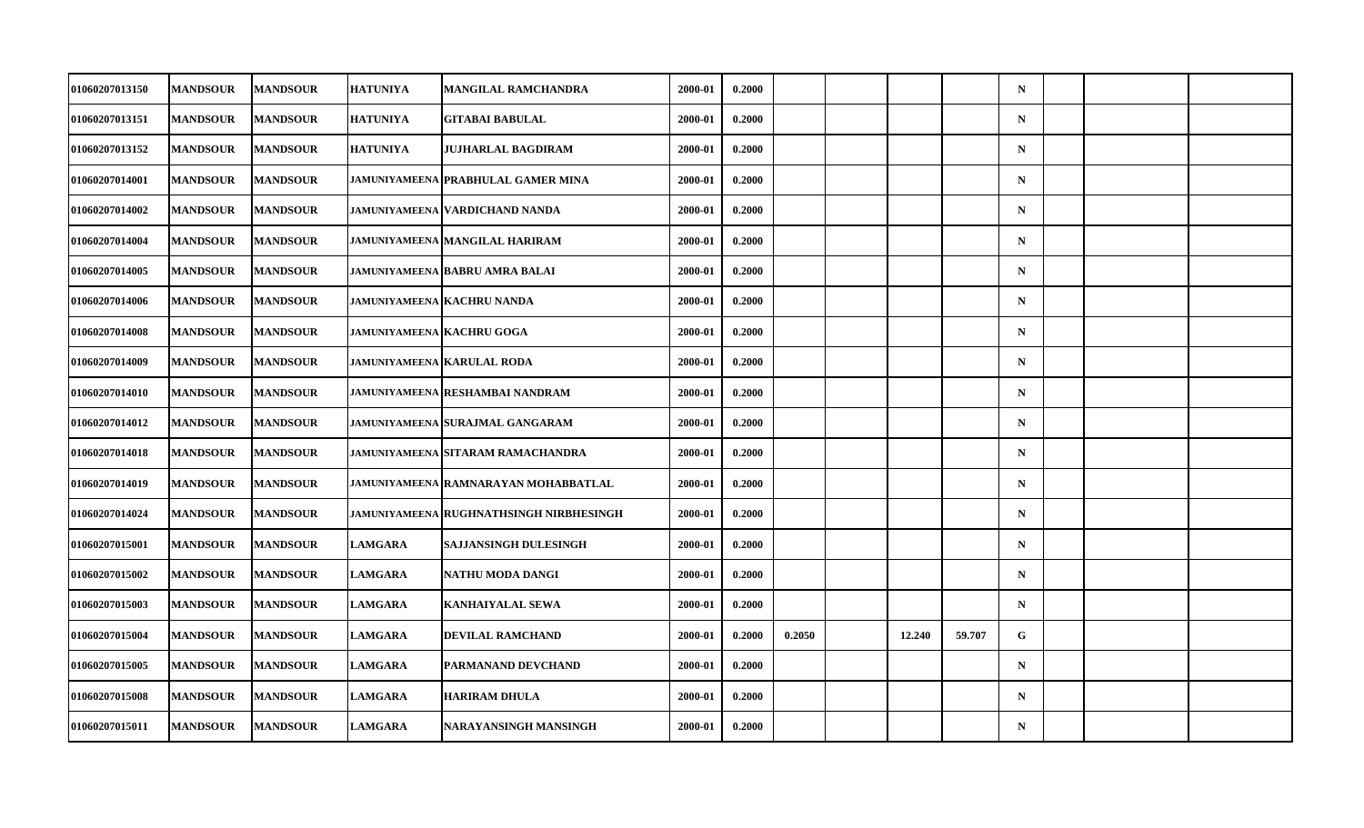| 01060207013150        | <b>MANDSOUR</b> | <b>MANDSOUR</b> | <b>HATUNIYA</b>                  | MANGILAL RAMCHANDRA                            | 2000-01 | 0.2000 |        |        |        | $\mathbf N$ |  |  |
|-----------------------|-----------------|-----------------|----------------------------------|------------------------------------------------|---------|--------|--------|--------|--------|-------------|--|--|
| 01060207013151        | <b>MANDSOUR</b> | <b>MANDSOUR</b> | <b>HATUNIYA</b>                  | <b>GITABAI BABULAL</b>                         | 2000-01 | 0.2000 |        |        |        | ${\bf N}$   |  |  |
| 01060207013152        | <b>MANDSOUR</b> | <b>MANDSOUR</b> | <b>HATUNIYA</b>                  | <b>JUJHARLAL BAGDIRAM</b>                      | 2000-01 | 0.2000 |        |        |        | $\mathbf N$ |  |  |
| 01060207014001        | <b>MANDSOUR</b> | <b>MANDSOUR</b> |                                  | <b>JAMUNIYAMEENA PRABHULAL GAMER MINA</b>      | 2000-01 | 0.2000 |        |        |        | $\mathbf N$ |  |  |
| 01060207014002        | <b>MANDSOUR</b> | <b>MANDSOUR</b> |                                  | JAMUNIYAMEENA   VARDICHAND NANDA               | 2000-01 | 0.2000 |        |        |        | $\mathbf N$ |  |  |
| 01060207014004        | <b>MANDSOUR</b> | <b>MANDSOUR</b> |                                  | <b>JAMUNIYAMEENA MANGILAL HARIRAM</b>          | 2000-01 | 0.2000 |        |        |        | $\mathbf N$ |  |  |
| 01060207014005        | <b>MANDSOUR</b> | <b>MANDSOUR</b> |                                  | <b>JAMUNIYAMEENA BABRU AMRA BALAI</b>          | 2000-01 | 0.2000 |        |        |        | $\mathbf N$ |  |  |
| 01060207014006        | <b>MANDSOUR</b> | <b>MANDSOUR</b> |                                  | JAMUNIYAMEENA KACHRU NANDA                     | 2000-01 | 0.2000 |        |        |        | $\mathbf N$ |  |  |
| 01060207014008        | <b>MANDSOUR</b> | <b>MANDSOUR</b> | <b>JAMUNIYAMEENA KACHRU GOGA</b> |                                                | 2000-01 | 0.2000 |        |        |        | $\mathbf N$ |  |  |
| 01060207014009        | <b>MANDSOUR</b> | <b>MANDSOUR</b> |                                  | <b>JAMUNIYAMEENA KARULAL RODA</b>              | 2000-01 | 0.2000 |        |        |        | $\mathbf N$ |  |  |
| <b>01060207014010</b> | <b>MANDSOUR</b> | <b>MANDSOUR</b> |                                  | JAMUNIYAMEENA   RESHAMBAI NANDRAM              | 2000-01 | 0.2000 |        |        |        | $\mathbf N$ |  |  |
| 01060207014012        | <b>MANDSOUR</b> | <b>MANDSOUR</b> |                                  | <b>JAMUNIYAMEENA SURAJMAL GANGARAM</b>         | 2000-01 | 0.2000 |        |        |        | $\mathbf N$ |  |  |
| 01060207014018        | <b>MANDSOUR</b> | <b>MANDSOUR</b> |                                  | <b>JAMUNIYAMEENA SITARAM RAMACHANDRA</b>       | 2000-01 | 0.2000 |        |        |        | ${\bf N}$   |  |  |
| <b>01060207014019</b> | <b>MANDSOUR</b> | <b>MANDSOUR</b> |                                  | JAMUNIYAMEENA RAMNARAYAN MOHABBATLAL           | 2000-01 | 0.2000 |        |        |        | $\mathbf N$ |  |  |
| 01060207014024        | <b>MANDSOUR</b> | <b>MANDSOUR</b> |                                  | <b>JAMUNIYAMEENA RUGHNATHSINGH NIRBHESINGH</b> | 2000-01 | 0.2000 |        |        |        | $\mathbf N$ |  |  |
| 01060207015001        | <b>MANDSOUR</b> | <b>MANDSOUR</b> | <b>LAMGARA</b>                   | SAJJANSINGH DULESINGH                          | 2000-01 | 0.2000 |        |        |        | $\mathbf N$ |  |  |
| <b>01060207015002</b> | <b>MANDSOUR</b> | <b>MANDSOUR</b> | <b>LAMGARA</b>                   | NATHU MODA DANGI                               | 2000-01 | 0.2000 |        |        |        | $\mathbf N$ |  |  |
| 01060207015003        | <b>MANDSOUR</b> | <b>MANDSOUR</b> | <b>LAMGARA</b>                   | <b>KANHAIYALAL SEWA</b>                        | 2000-01 | 0.2000 |        |        |        | $\mathbf N$ |  |  |
| 01060207015004        | <b>MANDSOUR</b> | <b>MANDSOUR</b> | <b>LAMGARA</b>                   | DEVILAL RAMCHAND                               | 2000-01 | 0.2000 | 0.2050 | 12.240 | 59.707 | G           |  |  |
| 01060207015005        | <b>MANDSOUR</b> | <b>MANDSOUR</b> | <b>LAMGARA</b>                   | PARMANAND DEVCHAND                             | 2000-01 | 0.2000 |        |        |        | $\mathbf N$ |  |  |
| 01060207015008        | <b>MANDSOUR</b> | <b>MANDSOUR</b> | <b>LAMGARA</b>                   | <b>HARIRAM DHULA</b>                           | 2000-01 | 0.2000 |        |        |        | $\mathbf N$ |  |  |
| 01060207015011        | <b>MANDSOUR</b> | <b>MANDSOUR</b> | <b>LAMGARA</b>                   | NARAYANSINGH MANSINGH                          | 2000-01 | 0.2000 |        |        |        | $\mathbf N$ |  |  |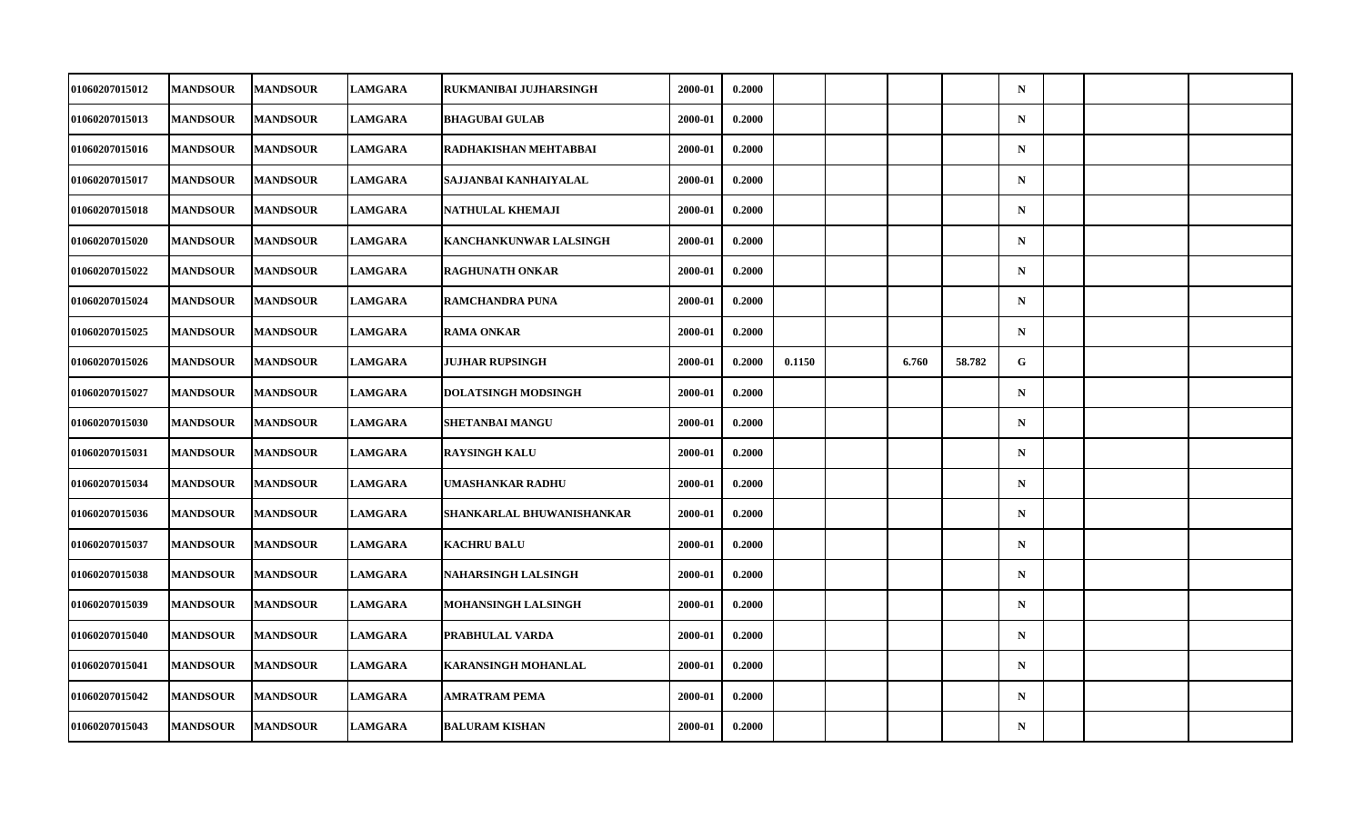| <b>01060207015012</b> | <b>MANDSOUR</b> | <b>MANDSOUR</b> | <b>LAMGARA</b> | RUKMANIBAI JUJHARSINGH        | 2000-01 | 0.2000 |        |       |        | $\mathbf N$ |  |  |
|-----------------------|-----------------|-----------------|----------------|-------------------------------|---------|--------|--------|-------|--------|-------------|--|--|
| <b>01060207015013</b> | <b>MANDSOUR</b> | <b>MANDSOUR</b> | <b>LAMGARA</b> | <b>BHAGUBAI GULAB</b>         | 2000-01 | 0.2000 |        |       |        | ${\bf N}$   |  |  |
| 01060207015016        | <b>MANDSOUR</b> | <b>MANDSOUR</b> | <b>LAMGARA</b> | RADHAKISHAN MEHTABBAI         | 2000-01 | 0.2000 |        |       |        | $\mathbf N$ |  |  |
| <b>01060207015017</b> | <b>MANDSOUR</b> | <b>MANDSOUR</b> | <b>LAMGARA</b> | SAJJANBAI KANHAIYALAL         | 2000-01 | 0.2000 |        |       |        | $\mathbf N$ |  |  |
| 01060207015018        | <b>MANDSOUR</b> | <b>MANDSOUR</b> | <b>LAMGARA</b> | NATHULAL KHEMAJI              | 2000-01 | 0.2000 |        |       |        | $\mathbf N$ |  |  |
| 01060207015020        | <b>MANDSOUR</b> | <b>MANDSOUR</b> | <b>LAMGARA</b> | <b>KANCHANKUNWAR LALSINGH</b> | 2000-01 | 0.2000 |        |       |        | $\mathbf N$ |  |  |
| 01060207015022        | <b>MANDSOUR</b> | <b>MANDSOUR</b> | <b>LAMGARA</b> | <b>RAGHUNATH ONKAR</b>        | 2000-01 | 0.2000 |        |       |        | $\mathbf N$ |  |  |
| <b>01060207015024</b> | <b>MANDSOUR</b> | <b>MANDSOUR</b> | <b>LAMGARA</b> | RAMCHANDRA PUNA               | 2000-01 | 0.2000 |        |       |        | $\mathbf N$ |  |  |
| 01060207015025        | <b>MANDSOUR</b> | <b>MANDSOUR</b> | <b>LAMGARA</b> | <b>RAMA ONKAR</b>             | 2000-01 | 0.2000 |        |       |        | $\mathbf N$ |  |  |
| 01060207015026        | <b>MANDSOUR</b> | <b>MANDSOUR</b> | <b>LAMGARA</b> | <b>JUJHAR RUPSINGH</b>        | 2000-01 | 0.2000 | 0.1150 | 6.760 | 58.782 | G           |  |  |
| <b>01060207015027</b> | <b>MANDSOUR</b> | <b>MANDSOUR</b> | <b>LAMGARA</b> | <b>DOLATSINGH MODSINGH</b>    | 2000-01 | 0.2000 |        |       |        | $\mathbf N$ |  |  |
| <b>01060207015030</b> | <b>MANDSOUR</b> | <b>MANDSOUR</b> | <b>LAMGARA</b> | SHETANBAI MANGU               | 2000-01 | 0.2000 |        |       |        | $\mathbf N$ |  |  |
| 01060207015031        | <b>MANDSOUR</b> | <b>MANDSOUR</b> | <b>LAMGARA</b> | <b>RAYSINGH KALU</b>          | 2000-01 | 0.2000 |        |       |        | ${\bf N}$   |  |  |
| 01060207015034        | <b>MANDSOUR</b> | <b>MANDSOUR</b> | <b>LAMGARA</b> | UMASHANKAR RADHU              | 2000-01 | 0.2000 |        |       |        | $\mathbf N$ |  |  |
| 01060207015036        | <b>MANDSOUR</b> | <b>MANDSOUR</b> | <b>LAMGARA</b> | SHANKARLAL BHUWANISHANKAR     | 2000-01 | 0.2000 |        |       |        | $\mathbf N$ |  |  |
| 01060207015037        | <b>MANDSOUR</b> | <b>MANDSOUR</b> | <b>LAMGARA</b> | <b>KACHRU BALU</b>            | 2000-01 | 0.2000 |        |       |        | $\mathbf N$ |  |  |
| <b>01060207015038</b> | <b>MANDSOUR</b> | <b>MANDSOUR</b> | <b>LAMGARA</b> | NAHARSINGH LALSINGH           | 2000-01 | 0.2000 |        |       |        | $\mathbf N$ |  |  |
| 01060207015039        | <b>MANDSOUR</b> | <b>MANDSOUR</b> | <b>LAMGARA</b> | <b>MOHANSINGH LALSINGH</b>    | 2000-01 | 0.2000 |        |       |        | $\mathbf N$ |  |  |
| <b>01060207015040</b> | <b>MANDSOUR</b> | <b>MANDSOUR</b> | <b>LAMGARA</b> | PRABHULAL VARDA               | 2000-01 | 0.2000 |        |       |        | $\mathbf N$ |  |  |
| 01060207015041        | <b>MANDSOUR</b> | <b>MANDSOUR</b> | <b>LAMGARA</b> | <b>KARANSINGH MOHANLAL</b>    | 2000-01 | 0.2000 |        |       |        | $\mathbf N$ |  |  |
| 01060207015042        | <b>MANDSOUR</b> | <b>MANDSOUR</b> | <b>LAMGARA</b> | <b>AMRATRAM PEMA</b>          | 2000-01 | 0.2000 |        |       |        | $\mathbf N$ |  |  |
| 01060207015043        | <b>MANDSOUR</b> | <b>MANDSOUR</b> | <b>LAMGARA</b> | <b>BALURAM KISHAN</b>         | 2000-01 | 0.2000 |        |       |        | ${\bf N}$   |  |  |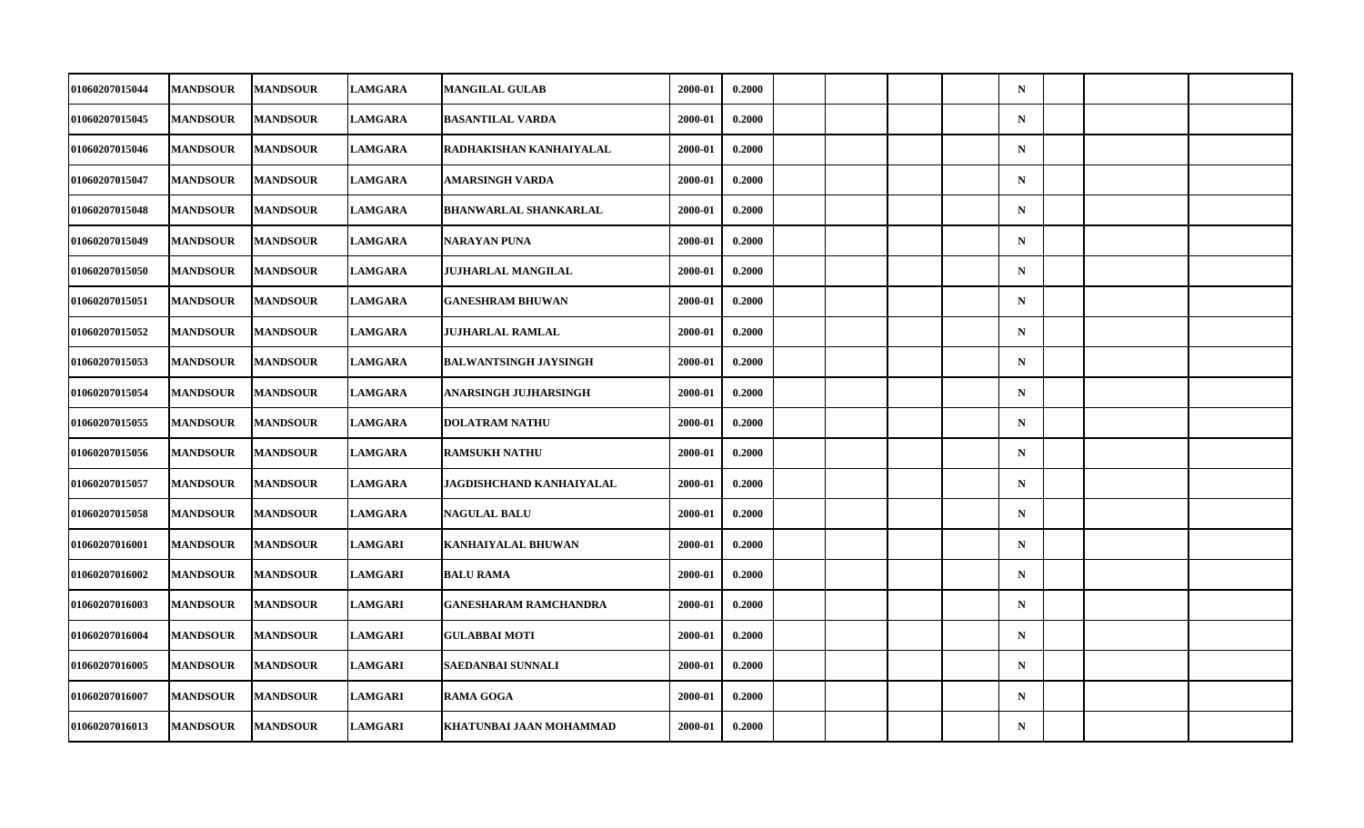| 01060207015044        | <b>MANDSOUR</b> | <b>MANDSOUR</b> | <b>LAMGARA</b> | <b>MANGILAL GULAB</b>        | 2000-01 | 0.2000 |  |  | $\mathbf N$ |  |  |
|-----------------------|-----------------|-----------------|----------------|------------------------------|---------|--------|--|--|-------------|--|--|
| 01060207015045        | <b>MANDSOUR</b> | <b>MANDSOUR</b> | <b>LAMGARA</b> | <b>BASANTILAL VARDA</b>      | 2000-01 | 0.2000 |  |  | ${\bf N}$   |  |  |
| 01060207015046        | <b>MANDSOUR</b> | <b>MANDSOUR</b> | <b>LAMGARA</b> | RADHAKISHAN KANHAIYALAL      | 2000-01 | 0.2000 |  |  | $\mathbf N$ |  |  |
| 01060207015047        | <b>MANDSOUR</b> | <b>MANDSOUR</b> | <b>LAMGARA</b> | AMARSINGH VARDA              | 2000-01 | 0.2000 |  |  | $\mathbf N$ |  |  |
| 01060207015048        | <b>MANDSOUR</b> | <b>MANDSOUR</b> | <b>LAMGARA</b> | <b>BHANWARLAL SHANKARLAL</b> | 2000-01 | 0.2000 |  |  | $\mathbf N$ |  |  |
| 01060207015049        | <b>MANDSOUR</b> | <b>MANDSOUR</b> | <b>LAMGARA</b> | <b>NARAYAN PUNA</b>          | 2000-01 | 0.2000 |  |  | $\mathbf N$ |  |  |
| 01060207015050        | <b>MANDSOUR</b> | <b>MANDSOUR</b> | <b>LAMGARA</b> | <b>JUJHARLAL MANGILAL</b>    | 2000-01 | 0.2000 |  |  | $\mathbf N$ |  |  |
| 01060207015051        | <b>MANDSOUR</b> | <b>MANDSOUR</b> | <b>LAMGARA</b> | <b>GANESHRAM BHUWAN</b>      | 2000-01 | 0.2000 |  |  | $\mathbf N$ |  |  |
| 01060207015052        | <b>MANDSOUR</b> | <b>MANDSOUR</b> | <b>LAMGARA</b> | <b>JUJHARLAL RAMLAL</b>      | 2000-01 | 0.2000 |  |  | $\mathbf N$ |  |  |
| 01060207015053        | <b>MANDSOUR</b> | <b>MANDSOUR</b> | <b>LAMGARA</b> | <b>BALWANTSINGH JAYSINGH</b> | 2000-01 | 0.2000 |  |  | $\mathbf N$ |  |  |
| 01060207015054        | <b>MANDSOUR</b> | <b>MANDSOUR</b> | <b>LAMGARA</b> | ANARSINGH JUJHARSINGH        | 2000-01 | 0.2000 |  |  | $\mathbf N$ |  |  |
| 01060207015055        | <b>MANDSOUR</b> | <b>MANDSOUR</b> | <b>LAMGARA</b> | <b>DOLATRAM NATHU</b>        | 2000-01 | 0.2000 |  |  | $\mathbf N$ |  |  |
| 01060207015056        | <b>MANDSOUR</b> | <b>MANDSOUR</b> | <b>LAMGARA</b> | <b>RAMSUKH NATHU</b>         | 2000-01 | 0.2000 |  |  | ${\bf N}$   |  |  |
| <b>01060207015057</b> | <b>MANDSOUR</b> | <b>MANDSOUR</b> | <b>LAMGARA</b> | JAGDISHCHAND KANHAIYALAL     | 2000-01 | 0.2000 |  |  | $\mathbf N$ |  |  |
| 01060207015058        | <b>MANDSOUR</b> | <b>MANDSOUR</b> | <b>LAMGARA</b> | <b>NAGULAL BALU</b>          | 2000-01 | 0.2000 |  |  | $\mathbf N$ |  |  |
| 01060207016001        | <b>MANDSOUR</b> | <b>MANDSOUR</b> | <b>LAMGARI</b> | <b>KANHAIYALAL BHUWAN</b>    | 2000-01 | 0.2000 |  |  | $\mathbf N$ |  |  |
| <b>01060207016002</b> | <b>MANDSOUR</b> | <b>MANDSOUR</b> | <b>LAMGARI</b> | <b>BALU RAMA</b>             | 2000-01 | 0.2000 |  |  | $\mathbf N$ |  |  |
| 01060207016003        | <b>MANDSOUR</b> | <b>MANDSOUR</b> | <b>LAMGARI</b> | <b>GANESHARAM RAMCHANDRA</b> | 2000-01 | 0.2000 |  |  | $\mathbf N$ |  |  |
| 01060207016004        | <b>MANDSOUR</b> | <b>MANDSOUR</b> | <b>LAMGARI</b> | <b>GULABBAI MOTI</b>         | 2000-01 | 0.2000 |  |  | $\mathbf N$ |  |  |
| <b>01060207016005</b> | <b>MANDSOUR</b> | <b>MANDSOUR</b> | <b>LAMGARI</b> | SAEDANBAI SUNNALI            | 2000-01 | 0.2000 |  |  | $\mathbf N$ |  |  |
| 01060207016007        | <b>MANDSOUR</b> | <b>MANDSOUR</b> | <b>LAMGARI</b> | <b>RAMA GOGA</b>             | 2000-01 | 0.2000 |  |  | $\mathbf N$ |  |  |
| 01060207016013        | <b>MANDSOUR</b> | <b>MANDSOUR</b> | <b>LAMGARI</b> | KHATUNBAI JAAN MOHAMMAD      | 2000-01 | 0.2000 |  |  | ${\bf N}$   |  |  |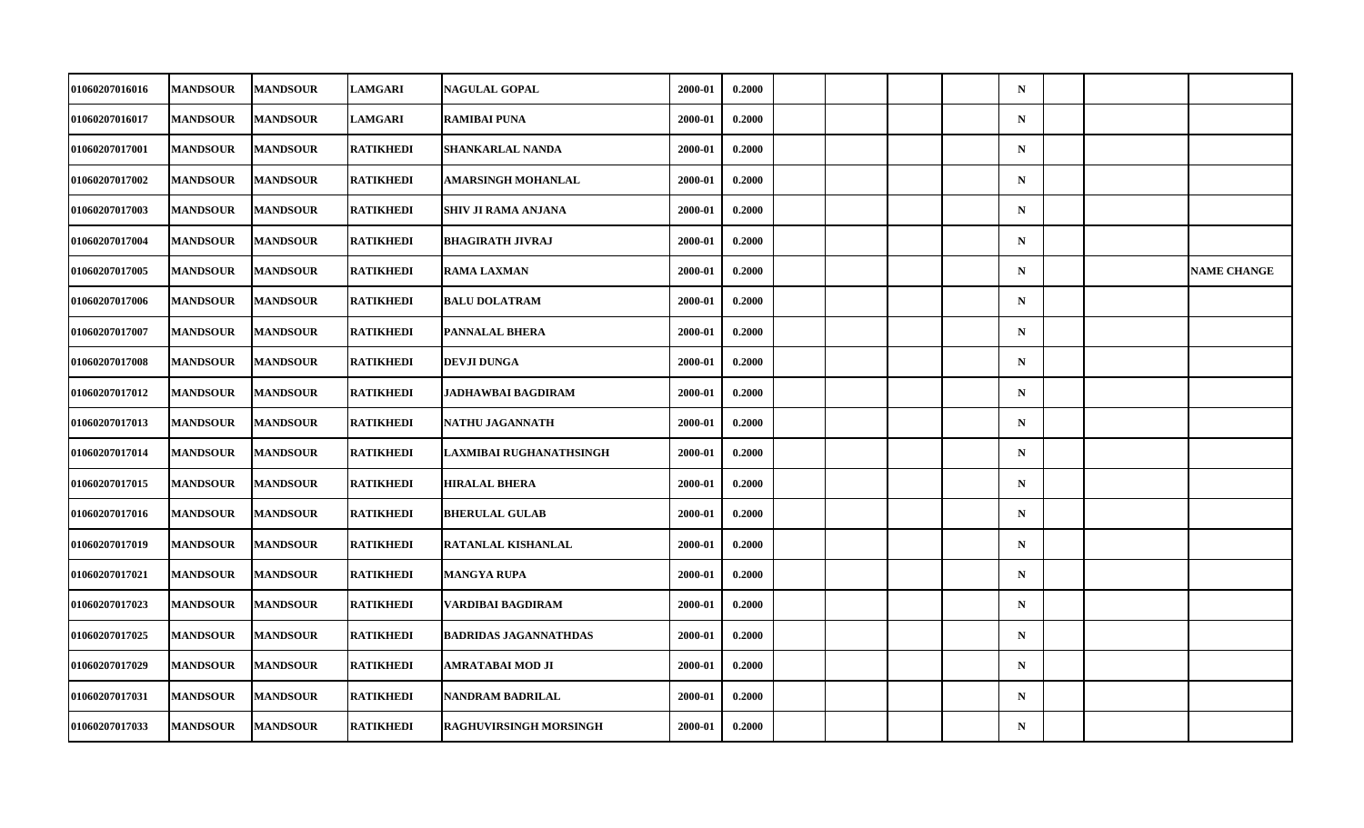| 01060207016016        | <b>MANDSOUR</b> | <b>MANDSOUR</b> | <b>LAMGARI</b>   | <b>NAGULAL GOPAL</b>          | 2000-01 | 0.2000 |  |  | $\mathbf N$ |  |                    |
|-----------------------|-----------------|-----------------|------------------|-------------------------------|---------|--------|--|--|-------------|--|--------------------|
| 01060207016017        | <b>MANDSOUR</b> | <b>MANDSOUR</b> | <b>LAMGARI</b>   | <b>RAMIBAI PUNA</b>           | 2000-01 | 0.2000 |  |  | ${\bf N}$   |  |                    |
| 01060207017001        | <b>MANDSOUR</b> | <b>MANDSOUR</b> | <b>RATIKHEDI</b> | <b>SHANKARLAL NANDA</b>       | 2000-01 | 0.2000 |  |  | $\mathbf N$ |  |                    |
| <b>01060207017002</b> | <b>MANDSOUR</b> | <b>MANDSOUR</b> | <b>RATIKHEDI</b> | AMARSINGH MOHANLAL            | 2000-01 | 0.2000 |  |  | $\mathbf N$ |  |                    |
| <b>01060207017003</b> | <b>MANDSOUR</b> | <b>MANDSOUR</b> | RATIKHEDI        | SHIV JI RAMA ANJANA           | 2000-01 | 0.2000 |  |  | $\mathbf N$ |  |                    |
| 01060207017004        | <b>MANDSOUR</b> | <b>MANDSOUR</b> | <b>RATIKHEDI</b> | <b>BHAGIRATH JIVRAJ</b>       | 2000-01 | 0.2000 |  |  | $\mathbf N$ |  |                    |
| 01060207017005        | <b>MANDSOUR</b> | <b>MANDSOUR</b> | <b>RATIKHEDI</b> | <b>RAMA LAXMAN</b>            | 2000-01 | 0.2000 |  |  | $\mathbf N$ |  | <b>NAME CHANGE</b> |
| 01060207017006        | <b>MANDSOUR</b> | <b>MANDSOUR</b> | RATIKHEDI        | <b>BALU DOLATRAM</b>          | 2000-01 | 0.2000 |  |  | $\mathbf N$ |  |                    |
| 01060207017007        | <b>MANDSOUR</b> | <b>MANDSOUR</b> | <b>RATIKHEDI</b> | PANNALAL BHERA                | 2000-01 | 0.2000 |  |  | $\mathbf N$ |  |                    |
| 01060207017008        | <b>MANDSOUR</b> | <b>MANDSOUR</b> | <b>RATIKHEDI</b> | <b>DEVJI DUNGA</b>            | 2000-01 | 0.2000 |  |  | $\mathbf N$ |  |                    |
| <b>01060207017012</b> | <b>MANDSOUR</b> | <b>MANDSOUR</b> | RATIKHEDI        | JADHAWBAI BAGDIRAM            | 2000-01 | 0.2000 |  |  | $\mathbf N$ |  |                    |
| <b>01060207017013</b> | <b>MANDSOUR</b> | <b>MANDSOUR</b> | <b>RATIKHEDI</b> | NATHU JAGANNATH               | 2000-01 | 0.2000 |  |  | $\mathbf N$ |  |                    |
| 01060207017014        | <b>MANDSOUR</b> | <b>MANDSOUR</b> | <b>RATIKHEDI</b> | LAXMIBAI RUGHANATHSINGH       | 2000-01 | 0.2000 |  |  | ${\bf N}$   |  |                    |
| <b>01060207017015</b> | <b>MANDSOUR</b> | <b>MANDSOUR</b> | <b>RATIKHEDI</b> | <b>HIRALAL BHERA</b>          | 2000-01 | 0.2000 |  |  | $\mathbf N$ |  |                    |
| <b>01060207017016</b> | <b>MANDSOUR</b> | <b>MANDSOUR</b> | <b>RATIKHEDI</b> | <b>BHERULAL GULAB</b>         | 2000-01 | 0.2000 |  |  | $\mathbf N$ |  |                    |
| 01060207017019        | <b>MANDSOUR</b> | <b>MANDSOUR</b> | <b>RATIKHEDI</b> | RATANLAL KISHANLAL            | 2000-01 | 0.2000 |  |  | $\mathbf N$ |  |                    |
| <b>01060207017021</b> | <b>MANDSOUR</b> | <b>MANDSOUR</b> | <b>RATIKHEDI</b> | MANGYA RUPA                   | 2000-01 | 0.2000 |  |  | $\mathbf N$ |  |                    |
| 01060207017023        | <b>MANDSOUR</b> | <b>MANDSOUR</b> | <b>RATIKHEDI</b> | VARDIBAI BAGDIRAM             | 2000-01 | 0.2000 |  |  | $\mathbf N$ |  |                    |
| 01060207017025        | <b>MANDSOUR</b> | <b>MANDSOUR</b> | RATIKHEDI        | <b>BADRIDAS JAGANNATHDAS</b>  | 2000-01 | 0.2000 |  |  | $\mathbf N$ |  |                    |
| <b>01060207017029</b> | <b>MANDSOUR</b> | <b>MANDSOUR</b> | <b>RATIKHEDI</b> | AMRATABAI MOD JI              | 2000-01 | 0.2000 |  |  | $\mathbf N$ |  |                    |
| 01060207017031        | <b>MANDSOUR</b> | <b>MANDSOUR</b> | <b>RATIKHEDI</b> | <b>NANDRAM BADRILAL</b>       | 2000-01 | 0.2000 |  |  | $\mathbf N$ |  |                    |
| 01060207017033        | <b>MANDSOUR</b> | <b>MANDSOUR</b> | <b>RATIKHEDI</b> | <b>RAGHUVIRSINGH MORSINGH</b> | 2000-01 | 0.2000 |  |  | ${\bf N}$   |  |                    |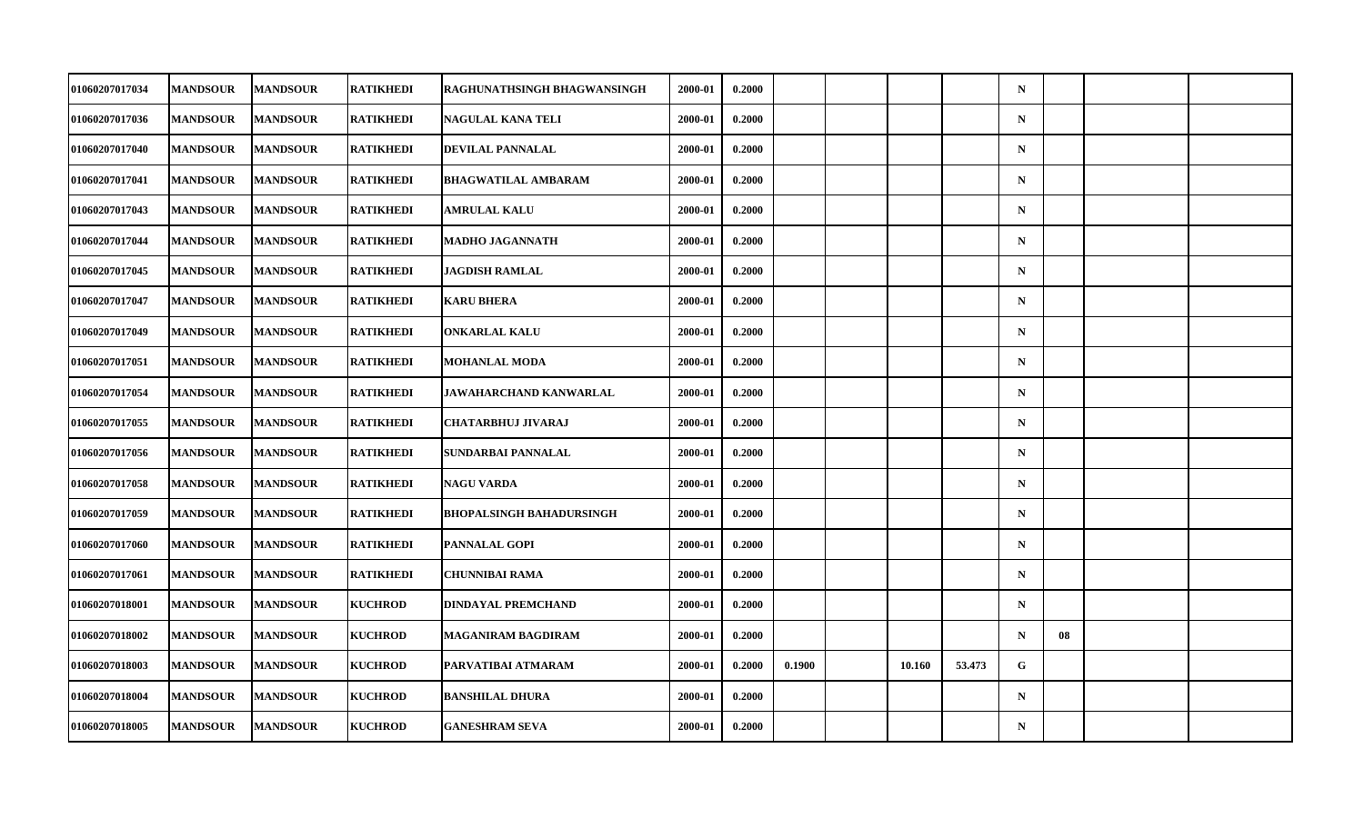| <b>01060207017034</b> | <b>MANDSOUR</b> | <b>MANDSOUR</b> | <b>RATIKHEDI</b> | RAGHUNATHSINGH BHAGWANSINGH     | 2000-01 | 0.2000 |        |        |        | $\mathbf N$ |    |  |
|-----------------------|-----------------|-----------------|------------------|---------------------------------|---------|--------|--------|--------|--------|-------------|----|--|
| 01060207017036        | <b>MANDSOUR</b> | <b>MANDSOUR</b> | <b>RATIKHEDI</b> | NAGULAL KANA TELI               | 2000-01 | 0.2000 |        |        |        | $\mathbf N$ |    |  |
| 01060207017040        | <b>MANDSOUR</b> | <b>MANDSOUR</b> | <b>RATIKHEDI</b> | DEVILAL PANNALAL                | 2000-01 | 0.2000 |        |        |        | $\mathbf N$ |    |  |
| 01060207017041        | <b>MANDSOUR</b> | <b>MANDSOUR</b> | <b>RATIKHEDI</b> | <b>BHAGWATILAL AMBARAM</b>      | 2000-01 | 0.2000 |        |        |        | $\mathbf N$ |    |  |
| <b>01060207017043</b> | <b>MANDSOUR</b> | <b>MANDSOUR</b> | RATIKHEDI        | AMRULAL KALU                    | 2000-01 | 0.2000 |        |        |        | $\mathbf N$ |    |  |
| 01060207017044        | <b>MANDSOUR</b> | <b>MANDSOUR</b> | <b>RATIKHEDI</b> | MADHO JAGANNATH                 | 2000-01 | 0.2000 |        |        |        | $\mathbf N$ |    |  |
| 01060207017045        | <b>MANDSOUR</b> | <b>MANDSOUR</b> | <b>RATIKHEDI</b> | JAGDISH RAMLAL                  | 2000-01 | 0.2000 |        |        |        | $\mathbf N$ |    |  |
| 01060207017047        | <b>MANDSOUR</b> | <b>MANDSOUR</b> | RATIKHEDI        | <b>KARU BHERA</b>               | 2000-01 | 0.2000 |        |        |        | $\mathbf N$ |    |  |
| 01060207017049        | <b>MANDSOUR</b> | <b>MANDSOUR</b> | <b>RATIKHEDI</b> | <b>ONKARLAL KALU</b>            | 2000-01 | 0.2000 |        |        |        | $\mathbf N$ |    |  |
| <b>01060207017051</b> | <b>MANDSOUR</b> | <b>MANDSOUR</b> | <b>RATIKHEDI</b> | MOHANLAL MODA                   | 2000-01 | 0.2000 |        |        |        | $\mathbf N$ |    |  |
| <b>01060207017054</b> | <b>MANDSOUR</b> | <b>MANDSOUR</b> | RATIKHEDI        | JAWAHARCHAND KANWARLAL          | 2000-01 | 0.2000 |        |        |        | $\mathbf N$ |    |  |
| 01060207017055        | <b>MANDSOUR</b> | <b>MANDSOUR</b> | <b>RATIKHEDI</b> | <b>CHATARBHUJ JIVARAJ</b>       | 2000-01 | 0.2000 |        |        |        | $\mathbf N$ |    |  |
| 01060207017056        | <b>MANDSOUR</b> | <b>MANDSOUR</b> | <b>RATIKHEDI</b> | SUNDARBAI PANNALAL              | 2000-01 | 0.2000 |        |        |        | $\mathbf N$ |    |  |
| 01060207017058        | <b>MANDSOUR</b> | <b>MANDSOUR</b> | <b>RATIKHEDI</b> | <b>NAGU VARDA</b>               | 2000-01 | 0.2000 |        |        |        | $\mathbf N$ |    |  |
| <b>01060207017059</b> | <b>MANDSOUR</b> | <b>MANDSOUR</b> | <b>RATIKHEDI</b> | <b>BHOPALSINGH BAHADURSINGH</b> | 2000-01 | 0.2000 |        |        |        | $\mathbf N$ |    |  |
| 01060207017060        | <b>MANDSOUR</b> | <b>MANDSOUR</b> | <b>RATIKHEDI</b> | <b>PANNALAL GOPI</b>            | 2000-01 | 0.2000 |        |        |        | $\mathbf N$ |    |  |
| <b>01060207017061</b> | <b>MANDSOUR</b> | <b>MANDSOUR</b> | <b>RATIKHEDI</b> | <b>CHUNNIBAI RAMA</b>           | 2000-01 | 0.2000 |        |        |        | $\mathbf N$ |    |  |
| 01060207018001        | <b>MANDSOUR</b> | <b>MANDSOUR</b> | <b>KUCHROD</b>   | <b>DINDAYAL PREMCHAND</b>       | 2000-01 | 0.2000 |        |        |        | $\mathbf N$ |    |  |
| <b>01060207018002</b> | <b>MANDSOUR</b> | <b>MANDSOUR</b> | <b>KUCHROD</b>   | <b>MAGANIRAM BAGDIRAM</b>       | 2000-01 | 0.2000 |        |        |        | $\mathbf N$ | 08 |  |
| 01060207018003        | <b>MANDSOUR</b> | <b>MANDSOUR</b> | <b>KUCHROD</b>   | PARVATIBAI ATMARAM              | 2000-01 | 0.2000 | 0.1900 | 10.160 | 53.473 | G           |    |  |
| 01060207018004        | <b>MANDSOUR</b> | <b>MANDSOUR</b> | <b>KUCHROD</b>   | <b>BANSHILAL DHURA</b>          | 2000-01 | 0.2000 |        |        |        | $\mathbf N$ |    |  |
| 01060207018005        | <b>MANDSOUR</b> | <b>MANDSOUR</b> | <b>KUCHROD</b>   | <b>GANESHRAM SEVA</b>           | 2000-01 | 0.2000 |        |        |        | $\mathbf N$ |    |  |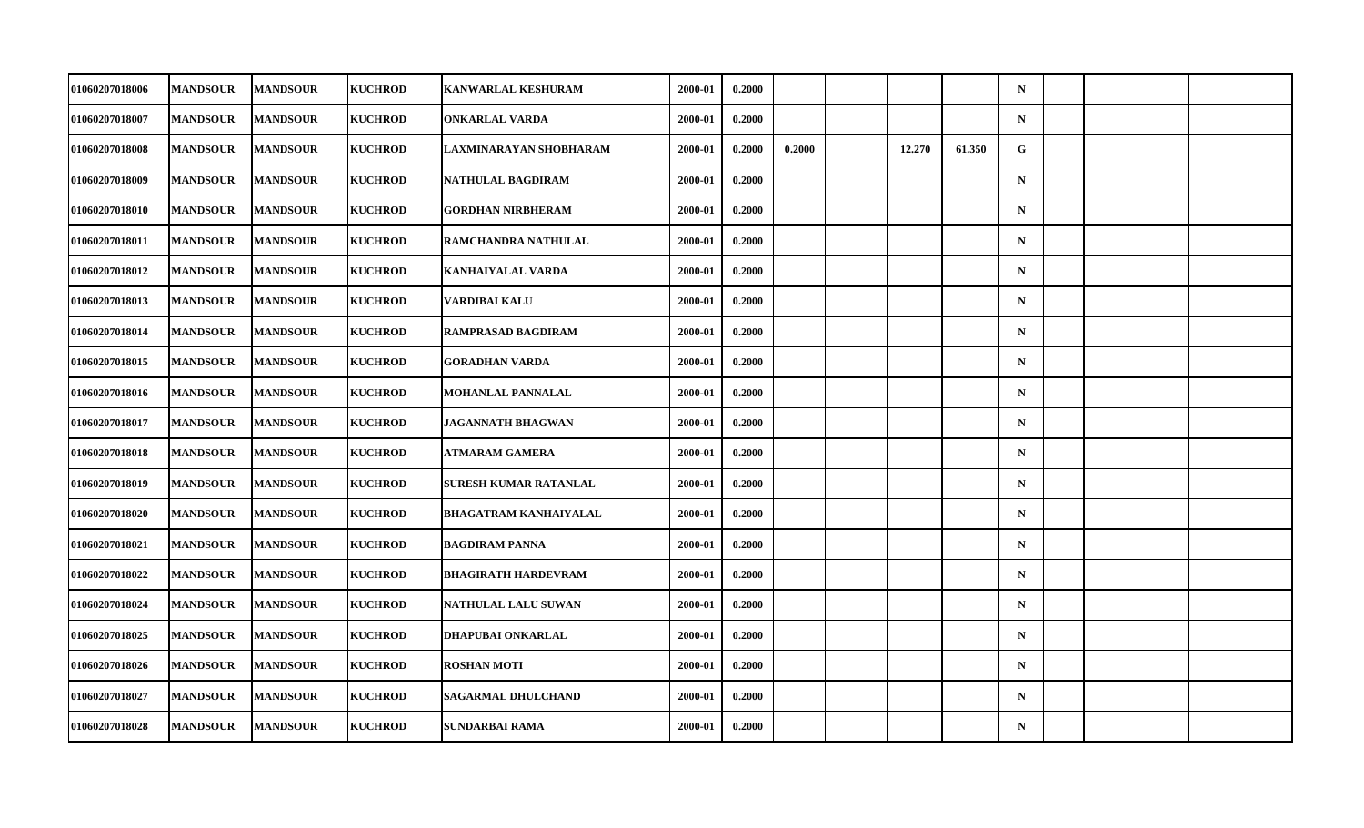| 01060207018006        | <b>MANDSOUR</b> | <b>MANDSOUR</b> | <b>KUCHROD</b> | <b>KANWARLAL KESHURAM</b>    | 2000-01 | 0.2000 |        |        |        | $\mathbf N$ |  |  |
|-----------------------|-----------------|-----------------|----------------|------------------------------|---------|--------|--------|--------|--------|-------------|--|--|
| <b>01060207018007</b> | <b>MANDSOUR</b> | <b>MANDSOUR</b> | <b>KUCHROD</b> | <b>ONKARLAL VARDA</b>        | 2000-01 | 0.2000 |        |        |        | $\mathbf N$ |  |  |
| 01060207018008        | <b>MANDSOUR</b> | <b>MANDSOUR</b> | <b>KUCHROD</b> | LAXMINARAYAN SHOBHARAM       | 2000-01 | 0.2000 | 0.2000 | 12.270 | 61.350 | G           |  |  |
| <b>01060207018009</b> | <b>MANDSOUR</b> | <b>MANDSOUR</b> | <b>KUCHROD</b> | NATHULAL BAGDIRAM            | 2000-01 | 0.2000 |        |        |        | $\mathbf N$ |  |  |
| <b>01060207018010</b> | <b>MANDSOUR</b> | <b>MANDSOUR</b> | <b>KUCHROD</b> | <b>GORDHAN NIRBHERAM</b>     | 2000-01 | 0.2000 |        |        |        | $\mathbf N$ |  |  |
| 01060207018011        | <b>MANDSOUR</b> | <b>MANDSOUR</b> | <b>KUCHROD</b> | RAMCHANDRA NATHULAL          | 2000-01 | 0.2000 |        |        |        | $\mathbf N$ |  |  |
| 01060207018012        | <b>MANDSOUR</b> | <b>MANDSOUR</b> | <b>KUCHROD</b> | KANHAIYALAL VARDA            | 2000-01 | 0.2000 |        |        |        | $\mathbf N$ |  |  |
| <b>01060207018013</b> | <b>MANDSOUR</b> | <b>MANDSOUR</b> | <b>KUCHROD</b> | VARDIBAI KALU                | 2000-01 | 0.2000 |        |        |        | $\mathbf N$ |  |  |
| <b>01060207018014</b> | <b>MANDSOUR</b> | <b>MANDSOUR</b> | <b>KUCHROD</b> | RAMPRASAD BAGDIRAM           | 2000-01 | 0.2000 |        |        |        | $\mathbf N$ |  |  |
| 01060207018015        | <b>MANDSOUR</b> | <b>MANDSOUR</b> | <b>KUCHROD</b> | <b>GORADHAN VARDA</b>        | 2000-01 | 0.2000 |        |        |        | $\mathbf N$ |  |  |
| 01060207018016        | <b>MANDSOUR</b> | <b>MANDSOUR</b> | <b>KUCHROD</b> | MOHANLAL PANNALAL            | 2000-01 | 0.2000 |        |        |        | $\mathbf N$ |  |  |
| <b>01060207018017</b> | <b>MANDSOUR</b> | <b>MANDSOUR</b> | <b>KUCHROD</b> | <b>JAGANNATH BHAGWAN</b>     | 2000-01 | 0.2000 |        |        |        | $\mathbf N$ |  |  |
| 01060207018018        | <b>MANDSOUR</b> | <b>MANDSOUR</b> | <b>KUCHROD</b> | <b>ATMARAM GAMERA</b>        | 2000-01 | 0.2000 |        |        |        | ${\bf N}$   |  |  |
| <b>01060207018019</b> | <b>MANDSOUR</b> | <b>MANDSOUR</b> | <b>KUCHROD</b> | SURESH KUMAR RATANLAL        | 2000-01 | 0.2000 |        |        |        | $\mathbf N$ |  |  |
| <b>01060207018020</b> | <b>MANDSOUR</b> | <b>MANDSOUR</b> | <b>KUCHROD</b> | <b>BHAGATRAM KANHAIYALAL</b> | 2000-01 | 0.2000 |        |        |        | $\mathbf N$ |  |  |
| <b>01060207018021</b> | <b>MANDSOUR</b> | <b>MANDSOUR</b> | <b>KUCHROD</b> | <b>BAGDIRAM PANNA</b>        | 2000-01 | 0.2000 |        |        |        | $\mathbf N$ |  |  |
| <b>01060207018022</b> | <b>MANDSOUR</b> | <b>MANDSOUR</b> | <b>KUCHROD</b> | <b>BHAGIRATH HARDEVRAM</b>   | 2000-01 | 0.2000 |        |        |        | $\mathbf N$ |  |  |
| 01060207018024        | <b>MANDSOUR</b> | <b>MANDSOUR</b> | <b>KUCHROD</b> | NATHULAL LALU SUWAN          | 2000-01 | 0.2000 |        |        |        | $\mathbf N$ |  |  |
| 01060207018025        | <b>MANDSOUR</b> | <b>MANDSOUR</b> | <b>KUCHROD</b> | DHAPUBAI ONKARLAL            | 2000-01 | 0.2000 |        |        |        | $\mathbf N$ |  |  |
| <b>01060207018026</b> | <b>MANDSOUR</b> | <b>MANDSOUR</b> | <b>KUCHROD</b> | <b>ROSHAN MOTI</b>           | 2000-01 | 0.2000 |        |        |        | $\mathbf N$ |  |  |
| 01060207018027        | <b>MANDSOUR</b> | <b>MANDSOUR</b> | <b>KUCHROD</b> | <b>SAGARMAL DHULCHAND</b>    | 2000-01 | 0.2000 |        |        |        | $\mathbf N$ |  |  |
| 01060207018028        | <b>MANDSOUR</b> | <b>MANDSOUR</b> | <b>KUCHROD</b> | SUNDARBAI RAMA               | 2000-01 | 0.2000 |        |        |        | $\mathbf N$ |  |  |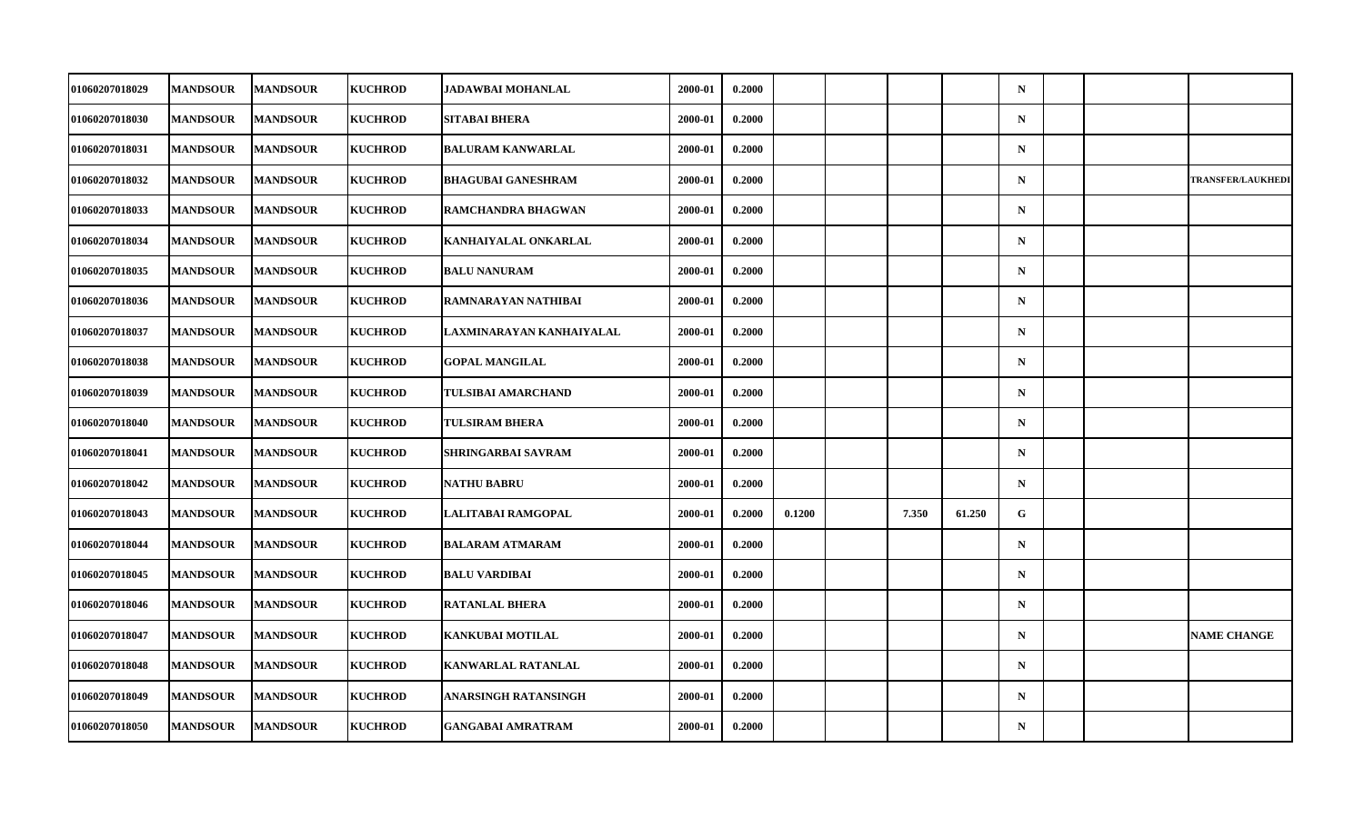| <b>01060207018029</b> | <b>MANDSOUR</b> | <b>MANDSOUR</b> | <b>KUCHROD</b> | JADAWBAI MOHANLAL         | 2000-01 | 0.2000 |        |       |        | $\mathbf N$ |  |                          |
|-----------------------|-----------------|-----------------|----------------|---------------------------|---------|--------|--------|-------|--------|-------------|--|--------------------------|
| 01060207018030        | <b>MANDSOUR</b> | <b>MANDSOUR</b> | <b>KUCHROD</b> | <b>SITABAI BHERA</b>      | 2000-01 | 0.2000 |        |       |        | $\mathbf N$ |  |                          |
| 01060207018031        | <b>MANDSOUR</b> | <b>MANDSOUR</b> | <b>KUCHROD</b> | <b>BALURAM KANWARLAL</b>  | 2000-01 | 0.2000 |        |       |        | $\mathbf N$ |  |                          |
| <b>01060207018032</b> | <b>MANDSOUR</b> | <b>MANDSOUR</b> | <b>KUCHROD</b> | <b>BHAGUBAI GANESHRAM</b> | 2000-01 | 0.2000 |        |       |        | $\mathbf N$ |  | <b>TRANSFER/LAUKHEDI</b> |
| <b>01060207018033</b> | <b>MANDSOUR</b> | <b>MANDSOUR</b> | <b>KUCHROD</b> | RAMCHANDRA BHAGWAN        | 2000-01 | 0.2000 |        |       |        | $\mathbf N$ |  |                          |
| 01060207018034        | <b>MANDSOUR</b> | <b>MANDSOUR</b> | <b>KUCHROD</b> | KANHAIYALAL ONKARLAL      | 2000-01 | 0.2000 |        |       |        | $\mathbf N$ |  |                          |
| 01060207018035        | <b>MANDSOUR</b> | <b>MANDSOUR</b> | <b>KUCHROD</b> | <b>BALU NANURAM</b>       | 2000-01 | 0.2000 |        |       |        | $\mathbf N$ |  |                          |
| <b>01060207018036</b> | <b>MANDSOUR</b> | <b>MANDSOUR</b> | <b>KUCHROD</b> | RAMNARAYAN NATHIBAI       | 2000-01 | 0.2000 |        |       |        | $\mathbf N$ |  |                          |
| 01060207018037        | <b>MANDSOUR</b> | <b>MANDSOUR</b> | <b>KUCHROD</b> | LAXMINARAYAN KANHAIYALAL  | 2000-01 | 0.2000 |        |       |        | $\mathbf N$ |  |                          |
| 01060207018038        | <b>MANDSOUR</b> | <b>MANDSOUR</b> | <b>KUCHROD</b> | <b>GOPAL MANGILAL</b>     | 2000-01 | 0.2000 |        |       |        | $\mathbf N$ |  |                          |
| <b>01060207018039</b> | <b>MANDSOUR</b> | <b>MANDSOUR</b> | <b>KUCHROD</b> | TULSIBAI AMARCHAND        | 2000-01 | 0.2000 |        |       |        | $\mathbf N$ |  |                          |
| 01060207018040        | <b>MANDSOUR</b> | <b>MANDSOUR</b> | <b>KUCHROD</b> | <b>TULSIRAM BHERA</b>     | 2000-01 | 0.2000 |        |       |        | $\mathbf N$ |  |                          |
| 01060207018041        | <b>MANDSOUR</b> | <b>MANDSOUR</b> | <b>KUCHROD</b> | SHRINGARBAI SAVRAM        | 2000-01 | 0.2000 |        |       |        | $\mathbf N$ |  |                          |
| 01060207018042        | <b>MANDSOUR</b> | <b>MANDSOUR</b> | <b>KUCHROD</b> | <b>NATHU BABRU</b>        | 2000-01 | 0.2000 |        |       |        | $\mathbf N$ |  |                          |
| 01060207018043        | <b>MANDSOUR</b> | <b>MANDSOUR</b> | <b>KUCHROD</b> | LALITABAI RAMGOPAL        | 2000-01 | 0.2000 | 0.1200 | 7.350 | 61.250 | $\mathbf G$ |  |                          |
| 01060207018044        | <b>MANDSOUR</b> | <b>MANDSOUR</b> | <b>KUCHROD</b> | <b>BALARAM ATMARAM</b>    | 2000-01 | 0.2000 |        |       |        | $\mathbf N$ |  |                          |
| 01060207018045        | <b>MANDSOUR</b> | <b>MANDSOUR</b> | <b>KUCHROD</b> | <b>BALU VARDIBAI</b>      | 2000-01 | 0.2000 |        |       |        | $\mathbf N$ |  |                          |
| 01060207018046        | <b>MANDSOUR</b> | <b>MANDSOUR</b> | <b>KUCHROD</b> | <b>RATANLAL BHERA</b>     | 2000-01 | 0.2000 |        |       |        | $\mathbf N$ |  |                          |
| 01060207018047        | <b>MANDSOUR</b> | <b>MANDSOUR</b> | <b>KUCHROD</b> | <b>KANKUBAI MOTILAL</b>   | 2000-01 | 0.2000 |        |       |        | $\mathbf N$ |  | <b>NAME CHANGE</b>       |
| 01060207018048        | <b>MANDSOUR</b> | <b>MANDSOUR</b> | <b>KUCHROD</b> | KANWARLAL RATANLAL        | 2000-01 | 0.2000 |        |       |        | $\mathbf N$ |  |                          |
| 01060207018049        | <b>MANDSOUR</b> | <b>MANDSOUR</b> | <b>KUCHROD</b> | ANARSINGH RATANSINGH      | 2000-01 | 0.2000 |        |       |        | $\mathbf N$ |  |                          |
| 01060207018050        | <b>MANDSOUR</b> | <b>MANDSOUR</b> | <b>KUCHROD</b> | <b>GANGABAI AMRATRAM</b>  | 2000-01 | 0.2000 |        |       |        | ${\bf N}$   |  |                          |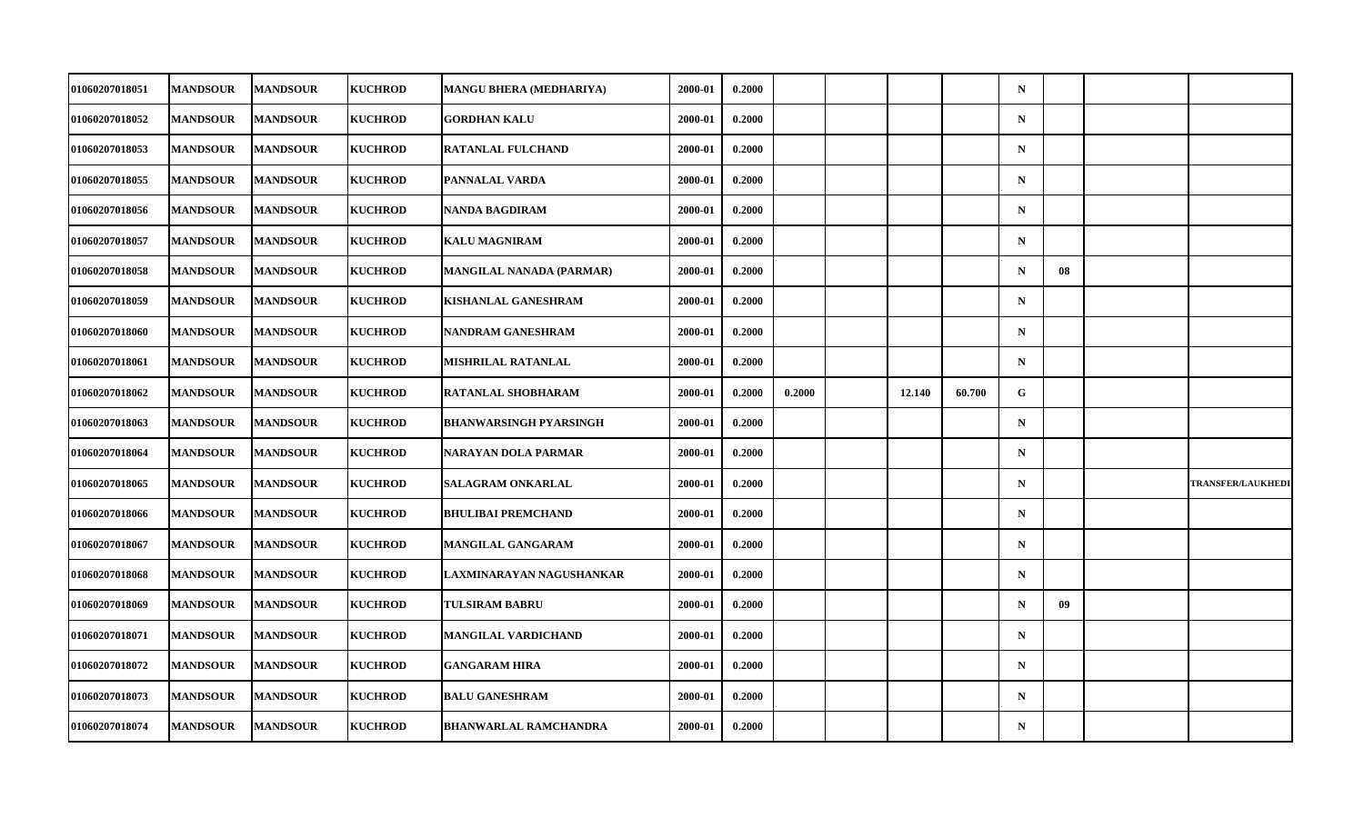| <b>01060207018051</b> | <b>MANDSOUR</b> | <b>MANDSOUR</b> | <b>KUCHROD</b> | MANGU BHERA (MEDHARIYA)         | 2000-01 | 0.2000 |        |        |        | $\mathbf N$ |    |                          |
|-----------------------|-----------------|-----------------|----------------|---------------------------------|---------|--------|--------|--------|--------|-------------|----|--------------------------|
| 01060207018052        | <b>MANDSOUR</b> | <b>MANDSOUR</b> | <b>KUCHROD</b> | <b>GORDHAN KALU</b>             | 2000-01 | 0.2000 |        |        |        | ${\bf N}$   |    |                          |
| 01060207018053        | <b>MANDSOUR</b> | <b>MANDSOUR</b> | <b>KUCHROD</b> | <b>RATANLAL FULCHAND</b>        | 2000-01 | 0.2000 |        |        |        | $\mathbf N$ |    |                          |
| 01060207018055        | <b>MANDSOUR</b> | <b>MANDSOUR</b> | <b>KUCHROD</b> | PANNALAL VARDA                  | 2000-01 | 0.2000 |        |        |        | $\mathbf N$ |    |                          |
| 01060207018056        | <b>MANDSOUR</b> | <b>MANDSOUR</b> | <b>KUCHROD</b> | NANDA BAGDIRAM                  | 2000-01 | 0.2000 |        |        |        | $\mathbf N$ |    |                          |
| 01060207018057        | <b>MANDSOUR</b> | <b>MANDSOUR</b> | <b>KUCHROD</b> | <b>KALU MAGNIRAM</b>            | 2000-01 | 0.2000 |        |        |        | $\mathbf N$ |    |                          |
| 01060207018058        | <b>MANDSOUR</b> | <b>MANDSOUR</b> | <b>KUCHROD</b> | <b>MANGILAL NANADA (PARMAR)</b> | 2000-01 | 0.2000 |        |        |        | $\mathbf N$ | 08 |                          |
| <b>01060207018059</b> | <b>MANDSOUR</b> | <b>MANDSOUR</b> | <b>KUCHROD</b> | KISHANLAL GANESHRAM             | 2000-01 | 0.2000 |        |        |        | $\mathbf N$ |    |                          |
| 01060207018060        | <b>MANDSOUR</b> | <b>MANDSOUR</b> | <b>KUCHROD</b> | NANDRAM GANESHRAM               | 2000-01 | 0.2000 |        |        |        | $\mathbf N$ |    |                          |
| 01060207018061        | <b>MANDSOUR</b> | <b>MANDSOUR</b> | <b>KUCHROD</b> | <b>MISHRILAL RATANLAL</b>       | 2000-01 | 0.2000 |        |        |        | $\mathbf N$ |    |                          |
| <b>01060207018062</b> | <b>MANDSOUR</b> | <b>MANDSOUR</b> | <b>KUCHROD</b> | RATANLAL SHOBHARAM              | 2000-01 | 0.2000 | 0.2000 | 12.140 | 60.700 | G           |    |                          |
| <b>01060207018063</b> | <b>MANDSOUR</b> | <b>MANDSOUR</b> | <b>KUCHROD</b> | <b>BHANWARSINGH PYARSINGH</b>   | 2000-01 | 0.2000 |        |        |        | $\mathbf N$ |    |                          |
| 01060207018064        | <b>MANDSOUR</b> | <b>MANDSOUR</b> | <b>KUCHROD</b> | NARAYAN DOLA PARMAR             | 2000-01 | 0.2000 |        |        |        | ${\bf N}$   |    |                          |
| 01060207018065        | <b>MANDSOUR</b> | <b>MANDSOUR</b> | <b>KUCHROD</b> | <b>SALAGRAM ONKARLAL</b>        | 2000-01 | 0.2000 |        |        |        | $\mathbf N$ |    | <b>TRANSFER/LAUKHEDI</b> |
| 01060207018066        | <b>MANDSOUR</b> | <b>MANDSOUR</b> | <b>KUCHROD</b> | <b>BHULIBAI PREMCHAND</b>       | 2000-01 | 0.2000 |        |        |        | $\mathbf N$ |    |                          |
| <b>01060207018067</b> | <b>MANDSOUR</b> | <b>MANDSOUR</b> | <b>KUCHROD</b> | <b>MANGILAL GANGARAM</b>        | 2000-01 | 0.2000 |        |        |        | $\mathbf N$ |    |                          |
| <b>01060207018068</b> | <b>MANDSOUR</b> | <b>MANDSOUR</b> | <b>KUCHROD</b> | LAXMINARAYAN NAGUSHANKAR        | 2000-01 | 0.2000 |        |        |        | $\mathbf N$ |    |                          |
| 01060207018069        | <b>MANDSOUR</b> | <b>MANDSOUR</b> | <b>KUCHROD</b> | <b>TULSIRAM BABRU</b>           | 2000-01 | 0.2000 |        |        |        | $\mathbf N$ | 09 |                          |
| 01060207018071        | <b>MANDSOUR</b> | <b>MANDSOUR</b> | <b>KUCHROD</b> | MANGILAL VARDICHAND             | 2000-01 | 0.2000 |        |        |        | $\mathbf N$ |    |                          |
| <b>01060207018072</b> | <b>MANDSOUR</b> | <b>MANDSOUR</b> | <b>KUCHROD</b> | <b>GANGARAM HIRA</b>            | 2000-01 | 0.2000 |        |        |        | $\mathbf N$ |    |                          |
| 01060207018073        | <b>MANDSOUR</b> | <b>MANDSOUR</b> | <b>KUCHROD</b> | <b>BALU GANESHRAM</b>           | 2000-01 | 0.2000 |        |        |        | $\mathbf N$ |    |                          |
| 01060207018074        | <b>MANDSOUR</b> | <b>MANDSOUR</b> | <b>KUCHROD</b> | <b>BHANWARLAL RAMCHANDRA</b>    | 2000-01 | 0.2000 |        |        |        | $\mathbf N$ |    |                          |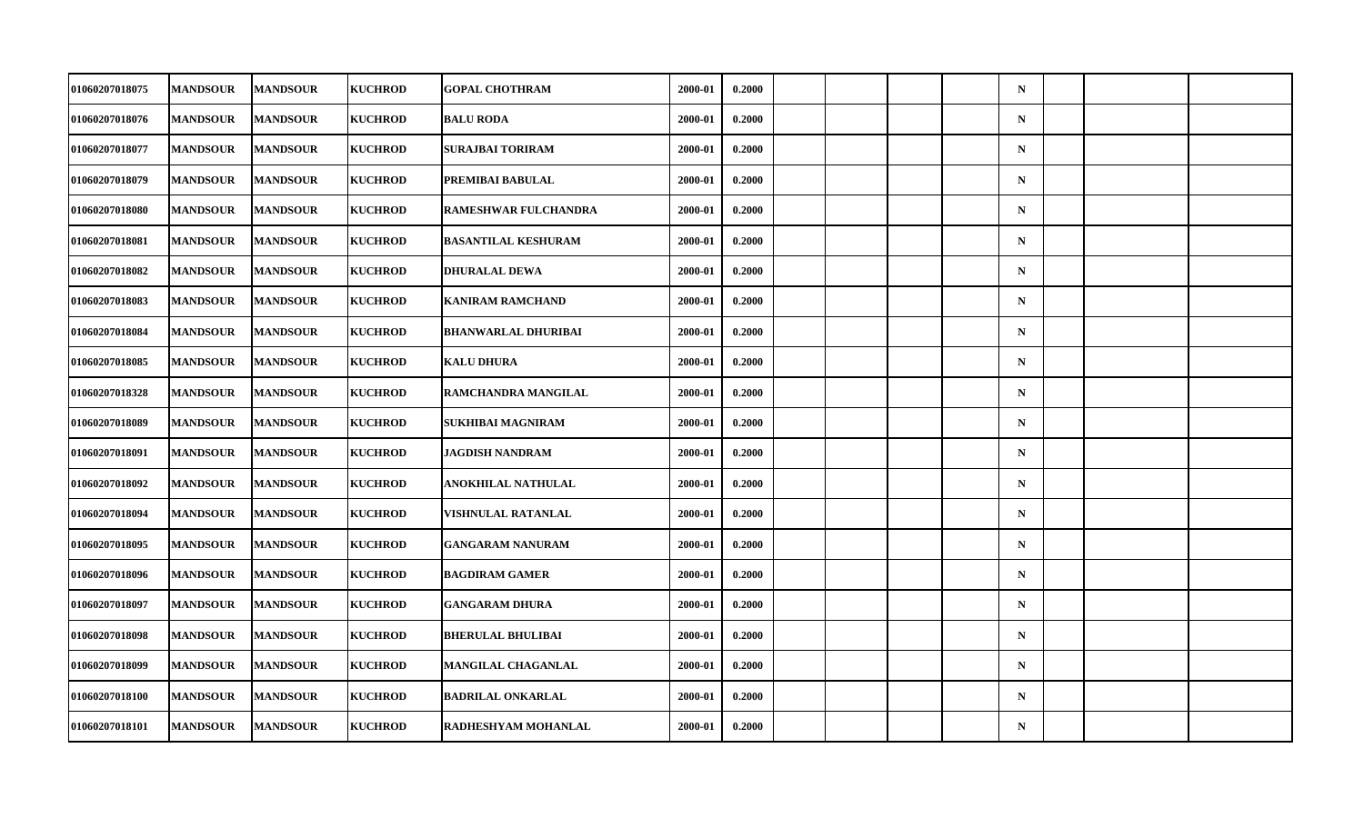| <b>01060207018075</b> | <b>MANDSOUR</b> | <b>MANDSOUR</b> | <b>KUCHROD</b> | <b>GOPAL CHOTHRAM</b>      | 2000-01 | 0.2000 |  |  | $\mathbf N$ |  |  |
|-----------------------|-----------------|-----------------|----------------|----------------------------|---------|--------|--|--|-------------|--|--|
| 01060207018076        | <b>MANDSOUR</b> | <b>MANDSOUR</b> | <b>KUCHROD</b> | <b>BALU RODA</b>           | 2000-01 | 0.2000 |  |  | $\mathbf N$ |  |  |
| 01060207018077        | <b>MANDSOUR</b> | <b>MANDSOUR</b> | <b>KUCHROD</b> | <b>SURAJBAI TORIRAM</b>    | 2000-01 | 0.2000 |  |  | $\mathbf N$ |  |  |
| <b>01060207018079</b> | <b>MANDSOUR</b> | <b>MANDSOUR</b> | <b>KUCHROD</b> | PREMIBAI BABULAL           | 2000-01 | 0.2000 |  |  | $\mathbf N$ |  |  |
| 01060207018080        | <b>MANDSOUR</b> | <b>MANDSOUR</b> | <b>KUCHROD</b> | RAMESHWAR FULCHANDRA       | 2000-01 | 0.2000 |  |  | $\mathbf N$ |  |  |
| 01060207018081        | <b>MANDSOUR</b> | <b>MANDSOUR</b> | <b>KUCHROD</b> | <b>BASANTILAL KESHURAM</b> | 2000-01 | 0.2000 |  |  | $\mathbf N$ |  |  |
| 01060207018082        | <b>MANDSOUR</b> | <b>MANDSOUR</b> | <b>KUCHROD</b> | <b>DHURALAL DEWA</b>       | 2000-01 | 0.2000 |  |  | $\mathbf N$ |  |  |
| <b>01060207018083</b> | <b>MANDSOUR</b> | <b>MANDSOUR</b> | <b>KUCHROD</b> | <b>KANIRAM RAMCHAND</b>    | 2000-01 | 0.2000 |  |  | $\mathbf N$ |  |  |
| 01060207018084        | <b>MANDSOUR</b> | <b>MANDSOUR</b> | <b>KUCHROD</b> | <b>BHANWARLAL DHURIBAI</b> | 2000-01 | 0.2000 |  |  | $\mathbf N$ |  |  |
| 01060207018085        | <b>MANDSOUR</b> | <b>MANDSOUR</b> | <b>KUCHROD</b> | <b>KALU DHURA</b>          | 2000-01 | 0.2000 |  |  | $\mathbf N$ |  |  |
| <b>01060207018328</b> | <b>MANDSOUR</b> | <b>MANDSOUR</b> | <b>KUCHROD</b> | RAMCHANDRA MANGILAL        | 2000-01 | 0.2000 |  |  | $\mathbf N$ |  |  |
| 01060207018089        | <b>MANDSOUR</b> | <b>MANDSOUR</b> | <b>KUCHROD</b> | SUKHIBAI MAGNIRAM          | 2000-01 | 0.2000 |  |  | $\mathbf N$ |  |  |
| 01060207018091        | <b>MANDSOUR</b> | <b>MANDSOUR</b> | <b>KUCHROD</b> | JAGDISH NANDRAM            | 2000-01 | 0.2000 |  |  | $\mathbf N$ |  |  |
| <b>01060207018092</b> | <b>MANDSOUR</b> | <b>MANDSOUR</b> | <b>KUCHROD</b> | ANOKHILAL NATHULAL         | 2000-01 | 0.2000 |  |  | $\mathbf N$ |  |  |
| 01060207018094        | <b>MANDSOUR</b> | <b>MANDSOUR</b> | <b>KUCHROD</b> | VISHNULAL RATANLAL         | 2000-01 | 0.2000 |  |  | $\mathbf N$ |  |  |
| 01060207018095        | <b>MANDSOUR</b> | <b>MANDSOUR</b> | <b>KUCHROD</b> | <b>GANGARAM NANURAM</b>    | 2000-01 | 0.2000 |  |  | $\mathbf N$ |  |  |
| 01060207018096        | <b>MANDSOUR</b> | <b>MANDSOUR</b> | <b>KUCHROD</b> | <b>BAGDIRAM GAMER</b>      | 2000-01 | 0.2000 |  |  | $\mathbf N$ |  |  |
| 01060207018097        | <b>MANDSOUR</b> | <b>MANDSOUR</b> | <b>KUCHROD</b> | <b>GANGARAM DHURA</b>      | 2000-01 | 0.2000 |  |  | $\mathbf N$ |  |  |
| 01060207018098        | <b>MANDSOUR</b> | <b>MANDSOUR</b> | <b>KUCHROD</b> | <b>BHERULAL BHULIBAI</b>   | 2000-01 | 0.2000 |  |  | $\mathbf N$ |  |  |
| <b>01060207018099</b> | <b>MANDSOUR</b> | <b>MANDSOUR</b> | <b>KUCHROD</b> | <b>MANGILAL CHAGANLAL</b>  | 2000-01 | 0.2000 |  |  | $\mathbf N$ |  |  |
| 01060207018100        | <b>MANDSOUR</b> | <b>MANDSOUR</b> | <b>KUCHROD</b> | <b>BADRILAL ONKARLAL</b>   | 2000-01 | 0.2000 |  |  | $\mathbf N$ |  |  |
| 01060207018101        | <b>MANDSOUR</b> | <b>MANDSOUR</b> | <b>KUCHROD</b> | RADHESHYAM MOHANLAL        | 2000-01 | 0.2000 |  |  | ${\bf N}$   |  |  |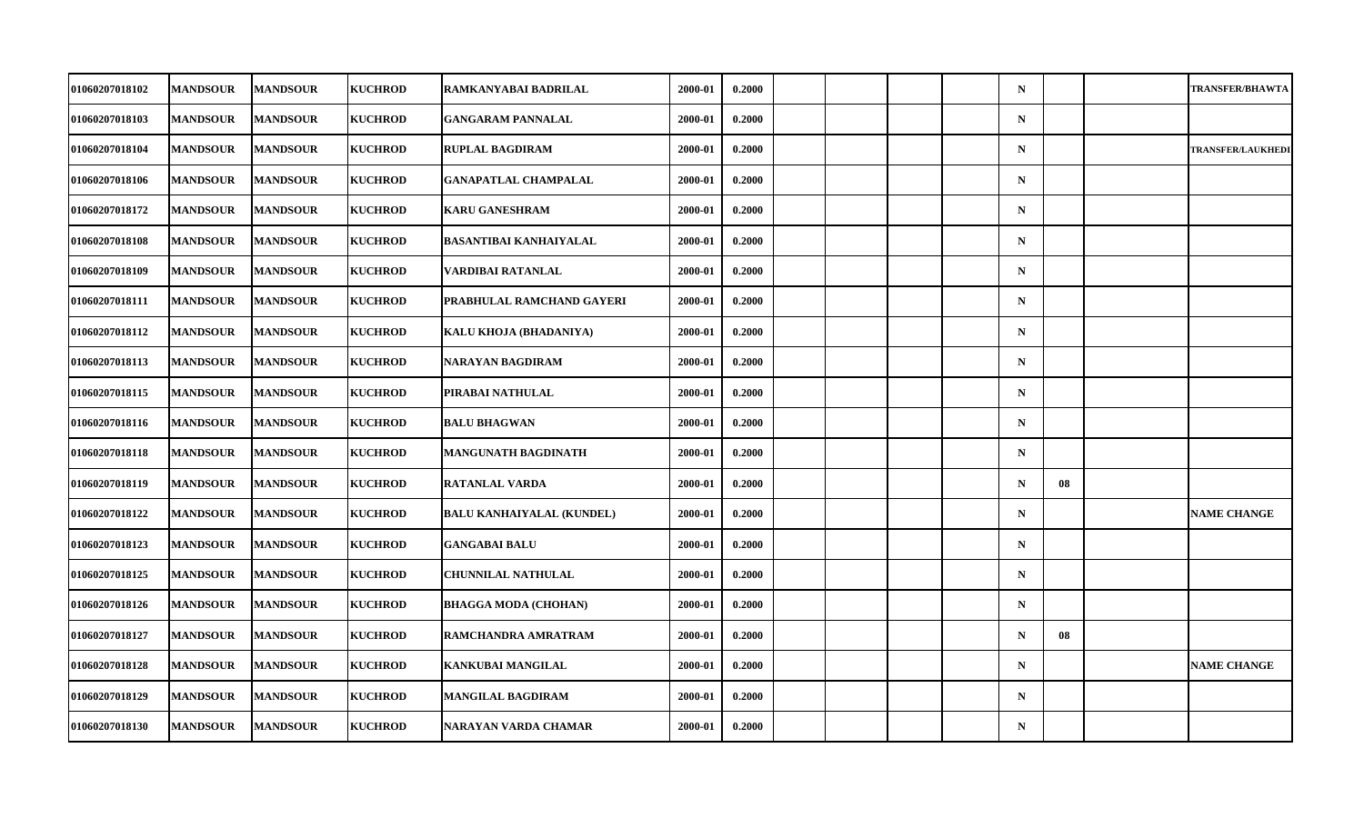| 01060207018102        | <b>MANDSOUR</b> | <b>MANDSOUR</b> | <b>KUCHROD</b> | RAMKANYABAI BADRILAL             | 2000-01 | 0.2000 |  |  | $\mathbf N$ |    | <b>TRANSFER/BHAWTA</b>   |
|-----------------------|-----------------|-----------------|----------------|----------------------------------|---------|--------|--|--|-------------|----|--------------------------|
| 01060207018103        | <b>MANDSOUR</b> | <b>MANDSOUR</b> | <b>KUCHROD</b> | <b>GANGARAM PANNALAL</b>         | 2000-01 | 0.2000 |  |  | $\mathbf N$ |    |                          |
| 01060207018104        | <b>MANDSOUR</b> | <b>MANDSOUR</b> | <b>KUCHROD</b> | <b>RUPLAL BAGDIRAM</b>           | 2000-01 | 0.2000 |  |  | $\mathbf N$ |    | <b>TRANSFER/LAUKHEDI</b> |
| 01060207018106        | <b>MANDSOUR</b> | <b>MANDSOUR</b> | <b>KUCHROD</b> | <b>GANAPATLAL CHAMPALAL</b>      | 2000-01 | 0.2000 |  |  | $\mathbf N$ |    |                          |
| <b>01060207018172</b> | <b>MANDSOUR</b> | <b>MANDSOUR</b> | <b>KUCHROD</b> | <b>KARU GANESHRAM</b>            | 2000-01 | 0.2000 |  |  | $\mathbf N$ |    |                          |
| 01060207018108        | <b>MANDSOUR</b> | <b>MANDSOUR</b> | <b>KUCHROD</b> | <b>BASANTIBAI KANHAIYALAL</b>    | 2000-01 | 0.2000 |  |  | $\mathbf N$ |    |                          |
| 01060207018109        | <b>MANDSOUR</b> | <b>MANDSOUR</b> | <b>KUCHROD</b> | VARDIBAI RATANLAL                | 2000-01 | 0.2000 |  |  | $\mathbf N$ |    |                          |
| <b>01060207018111</b> | <b>MANDSOUR</b> | <b>MANDSOUR</b> | <b>KUCHROD</b> | PRABHULAL RAMCHAND GAYERI        | 2000-01 | 0.2000 |  |  | $\mathbf N$ |    |                          |
| 01060207018112        | <b>MANDSOUR</b> | <b>MANDSOUR</b> | <b>KUCHROD</b> | KALU KHOJA (BHADANIYA)           | 2000-01 | 0.2000 |  |  | $\mathbf N$ |    |                          |
| 01060207018113        | <b>MANDSOUR</b> | <b>MANDSOUR</b> | <b>KUCHROD</b> | NARAYAN BAGDIRAM                 | 2000-01 | 0.2000 |  |  | $\mathbf N$ |    |                          |
| <b>01060207018115</b> | <b>MANDSOUR</b> | <b>MANDSOUR</b> | <b>KUCHROD</b> | PIRABAI NATHULAL                 | 2000-01 | 0.2000 |  |  | $\mathbf N$ |    |                          |
| 01060207018116        | <b>MANDSOUR</b> | <b>MANDSOUR</b> | <b>KUCHROD</b> | <b>BALU BHAGWAN</b>              | 2000-01 | 0.2000 |  |  | $\mathbf N$ |    |                          |
| 01060207018118        | <b>MANDSOUR</b> | <b>MANDSOUR</b> | <b>KUCHROD</b> | MANGUNATH BAGDINATH              | 2000-01 | 0.2000 |  |  | $\mathbf N$ |    |                          |
| <b>01060207018119</b> | <b>MANDSOUR</b> | <b>MANDSOUR</b> | <b>KUCHROD</b> | <b>RATANLAL VARDA</b>            | 2000-01 | 0.2000 |  |  | $\mathbf N$ | 08 |                          |
| 01060207018122        | <b>MANDSOUR</b> | <b>MANDSOUR</b> | <b>KUCHROD</b> | <b>BALU KANHAIYALAL (KUNDEL)</b> | 2000-01 | 0.2000 |  |  | $\mathbf N$ |    | <b>NAME CHANGE</b>       |
| 01060207018123        | <b>MANDSOUR</b> | <b>MANDSOUR</b> | <b>KUCHROD</b> | <b>GANGABAI BALU</b>             | 2000-01 | 0.2000 |  |  | $\mathbf N$ |    |                          |
| <b>01060207018125</b> | <b>MANDSOUR</b> | <b>MANDSOUR</b> | <b>KUCHROD</b> | CHUNNILAL NATHULAL               | 2000-01 | 0.2000 |  |  | $\mathbf N$ |    |                          |
| 01060207018126        | <b>MANDSOUR</b> | <b>MANDSOUR</b> | <b>KUCHROD</b> | <b>BHAGGA MODA (CHOHAN)</b>      | 2000-01 | 0.2000 |  |  | $\mathbf N$ |    |                          |
| 01060207018127        | <b>MANDSOUR</b> | <b>MANDSOUR</b> | <b>KUCHROD</b> | RAMCHANDRA AMRATRAM              | 2000-01 | 0.2000 |  |  | $\mathbf N$ | 08 |                          |
| 01060207018128        | <b>MANDSOUR</b> | <b>MANDSOUR</b> | <b>KUCHROD</b> | KANKUBAI MANGILAL                | 2000-01 | 0.2000 |  |  | $\mathbf N$ |    | <b>NAME CHANGE</b>       |
| 01060207018129        | <b>MANDSOUR</b> | <b>MANDSOUR</b> | <b>KUCHROD</b> | <b>MANGILAL BAGDIRAM</b>         | 2000-01 | 0.2000 |  |  | $\mathbf N$ |    |                          |
| 01060207018130        | <b>MANDSOUR</b> | <b>MANDSOUR</b> | <b>KUCHROD</b> | <b>NARAYAN VARDA CHAMAR</b>      | 2000-01 | 0.2000 |  |  | $\mathbf N$ |    |                          |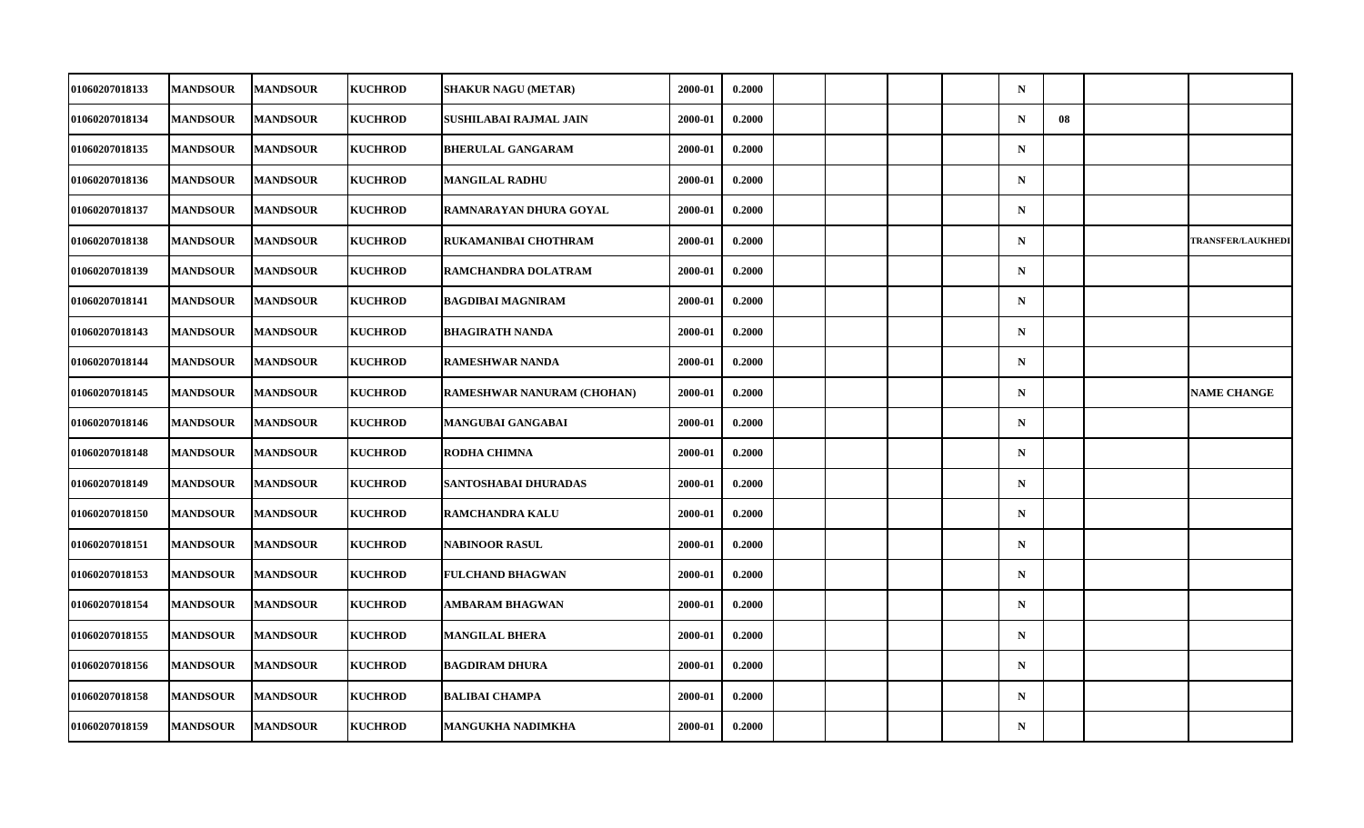| 01060207018133        | <b>MANDSOUR</b> | <b>MANDSOUR</b> | <b>KUCHROD</b> | SHAKUR NAGU (METAR)               | 2000-01 | 0.2000 |  |  | $\mathbf N$ |    |                          |
|-----------------------|-----------------|-----------------|----------------|-----------------------------------|---------|--------|--|--|-------------|----|--------------------------|
| 01060207018134        | <b>MANDSOUR</b> | <b>MANDSOUR</b> | <b>KUCHROD</b> | SUSHILABAI RAJMAL JAIN            | 2000-01 | 0.2000 |  |  | $\mathbf N$ | 08 |                          |
| 01060207018135        | <b>MANDSOUR</b> | <b>MANDSOUR</b> | <b>KUCHROD</b> | <b>BHERULAL GANGARAM</b>          | 2000-01 | 0.2000 |  |  | $\mathbf N$ |    |                          |
| 01060207018136        | <b>MANDSOUR</b> | <b>MANDSOUR</b> | <b>KUCHROD</b> | <b>MANGILAL RADHU</b>             | 2000-01 | 0.2000 |  |  | $\mathbf N$ |    |                          |
| 01060207018137        | <b>MANDSOUR</b> | <b>MANDSOUR</b> | <b>KUCHROD</b> | RAMNARAYAN DHURA GOYAL            | 2000-01 | 0.2000 |  |  | $\mathbf N$ |    |                          |
| 01060207018138        | <b>MANDSOUR</b> | <b>MANDSOUR</b> | <b>KUCHROD</b> | RUKAMANIBAI CHOTHRAM              | 2000-01 | 0.2000 |  |  | $\mathbf N$ |    | <b>TRANSFER/LAUKHEDI</b> |
| 01060207018139        | <b>MANDSOUR</b> | <b>MANDSOUR</b> | <b>KUCHROD</b> | RAMCHANDRA DOLATRAM               | 2000-01 | 0.2000 |  |  | $\mathbf N$ |    |                          |
| 01060207018141        | <b>MANDSOUR</b> | <b>MANDSOUR</b> | <b>KUCHROD</b> | <b>BAGDIBAI MAGNIRAM</b>          | 2000-01 | 0.2000 |  |  | $\mathbf N$ |    |                          |
| 01060207018143        | <b>MANDSOUR</b> | <b>MANDSOUR</b> | <b>KUCHROD</b> | <b>BHAGIRATH NANDA</b>            | 2000-01 | 0.2000 |  |  | $\mathbf N$ |    |                          |
| 01060207018144        | <b>MANDSOUR</b> | <b>MANDSOUR</b> | <b>KUCHROD</b> | <b>RAMESHWAR NANDA</b>            | 2000-01 | 0.2000 |  |  | $\mathbf N$ |    |                          |
| 01060207018145        | <b>MANDSOUR</b> | <b>MANDSOUR</b> | <b>KUCHROD</b> | <b>RAMESHWAR NANURAM (CHOHAN)</b> | 2000-01 | 0.2000 |  |  | $\mathbf N$ |    | <b>NAME CHANGE</b>       |
| 01060207018146        | <b>MANDSOUR</b> | <b>MANDSOUR</b> | <b>KUCHROD</b> | MANGUBAI GANGABAI                 | 2000-01 | 0.2000 |  |  | $\mathbf N$ |    |                          |
| 01060207018148        | <b>MANDSOUR</b> | <b>MANDSOUR</b> | <b>KUCHROD</b> | RODHA CHIMNA                      | 2000-01 | 0.2000 |  |  | ${\bf N}$   |    |                          |
| 01060207018149        | <b>MANDSOUR</b> | <b>MANDSOUR</b> | <b>KUCHROD</b> | SANTOSHABAI DHURADAS              | 2000-01 | 0.2000 |  |  | $\mathbf N$ |    |                          |
| 01060207018150        | <b>MANDSOUR</b> | <b>MANDSOUR</b> | <b>KUCHROD</b> | RAMCHANDRA KALU                   | 2000-01 | 0.2000 |  |  | $\mathbf N$ |    |                          |
| 01060207018151        | <b>MANDSOUR</b> | <b>MANDSOUR</b> | <b>KUCHROD</b> | <b>NABINOOR RASUL</b>             | 2000-01 | 0.2000 |  |  | $\mathbf N$ |    |                          |
| <b>01060207018153</b> | <b>MANDSOUR</b> | <b>MANDSOUR</b> | <b>KUCHROD</b> | <b>FULCHAND BHAGWAN</b>           | 2000-01 | 0.2000 |  |  | $\mathbf N$ |    |                          |
| 01060207018154        | <b>MANDSOUR</b> | <b>MANDSOUR</b> | <b>KUCHROD</b> | AMBARAM BHAGWAN                   | 2000-01 | 0.2000 |  |  | $\mathbf N$ |    |                          |
| 01060207018155        | <b>MANDSOUR</b> | <b>MANDSOUR</b> | <b>KUCHROD</b> | <b>MANGILAL BHERA</b>             | 2000-01 | 0.2000 |  |  | $\mathbf N$ |    |                          |
| 01060207018156        | <b>MANDSOUR</b> | <b>MANDSOUR</b> | <b>KUCHROD</b> | <b>BAGDIRAM DHURA</b>             | 2000-01 | 0.2000 |  |  | $\mathbf N$ |    |                          |
| 01060207018158        | <b>MANDSOUR</b> | <b>MANDSOUR</b> | <b>KUCHROD</b> | <b>BALIBAI CHAMPA</b>             | 2000-01 | 0.2000 |  |  | $\mathbf N$ |    |                          |
| 01060207018159        | <b>MANDSOUR</b> | <b>MANDSOUR</b> | <b>KUCHROD</b> | MANGUKHA NADIMKHA                 | 2000-01 | 0.2000 |  |  | $\mathbf N$ |    |                          |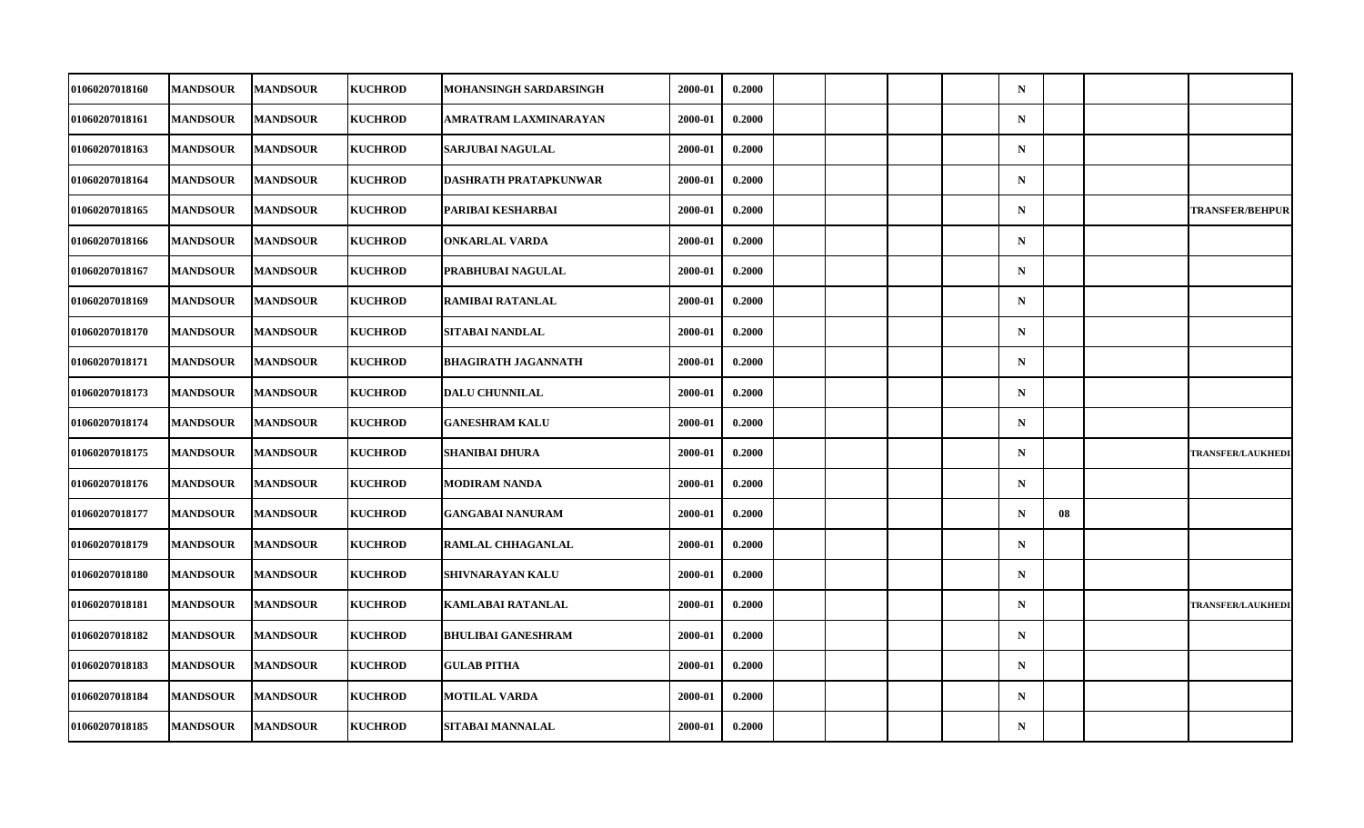| 01060207018160        | <b>MANDSOUR</b> | <b>MANDSOUR</b> | <b>KUCHROD</b> | MOHANSINGH SARDARSINGH     | 2000-01 | 0.2000 |  |  | $\mathbf N$ |    |                          |
|-----------------------|-----------------|-----------------|----------------|----------------------------|---------|--------|--|--|-------------|----|--------------------------|
| 01060207018161        | <b>MANDSOUR</b> | <b>MANDSOUR</b> | <b>KUCHROD</b> | AMRATRAM LAXMINARAYAN      | 2000-01 | 0.2000 |  |  | ${\bf N}$   |    |                          |
| 01060207018163        | <b>MANDSOUR</b> | <b>MANDSOUR</b> | <b>KUCHROD</b> | SARJUBAI NAGULAL           | 2000-01 | 0.2000 |  |  | $\mathbf N$ |    |                          |
| 01060207018164        | <b>MANDSOUR</b> | <b>MANDSOUR</b> | <b>KUCHROD</b> | DASHRATH PRATAPKUNWAR      | 2000-01 | 0.2000 |  |  | $\mathbf N$ |    |                          |
| 01060207018165        | <b>MANDSOUR</b> | <b>MANDSOUR</b> | <b>KUCHROD</b> | PARIBAI KESHARBAI          | 2000-01 | 0.2000 |  |  | $\mathbf N$ |    | <b>TRANSFER/BEHPUR</b>   |
| 01060207018166        | <b>MANDSOUR</b> | <b>MANDSOUR</b> | <b>KUCHROD</b> | <b>ONKARLAL VARDA</b>      | 2000-01 | 0.2000 |  |  | $\mathbf N$ |    |                          |
| 01060207018167        | <b>MANDSOUR</b> | <b>MANDSOUR</b> | <b>KUCHROD</b> | PRABHUBAI NAGULAL          | 2000-01 | 0.2000 |  |  | $\mathbf N$ |    |                          |
| <b>01060207018169</b> | <b>MANDSOUR</b> | <b>MANDSOUR</b> | <b>KUCHROD</b> | RAMIBAI RATANLAL           | 2000-01 | 0.2000 |  |  | $\mathbf N$ |    |                          |
| <b>01060207018170</b> | <b>MANDSOUR</b> | <b>MANDSOUR</b> | <b>KUCHROD</b> | SITABAI NANDLAL            | 2000-01 | 0.2000 |  |  | $\mathbf N$ |    |                          |
| 01060207018171        | <b>MANDSOUR</b> | <b>MANDSOUR</b> | <b>KUCHROD</b> | <b>BHAGIRATH JAGANNATH</b> | 2000-01 | 0.2000 |  |  | $\mathbf N$ |    |                          |
| <b>01060207018173</b> | <b>MANDSOUR</b> | <b>MANDSOUR</b> | <b>KUCHROD</b> | <b>DALU CHUNNILAL</b>      | 2000-01 | 0.2000 |  |  | $\mathbf N$ |    |                          |
| 01060207018174        | <b>MANDSOUR</b> | <b>MANDSOUR</b> | <b>KUCHROD</b> | <b>GANESHRAM KALU</b>      | 2000-01 | 0.2000 |  |  | $\mathbf N$ |    |                          |
| 01060207018175        | <b>MANDSOUR</b> | <b>MANDSOUR</b> | <b>KUCHROD</b> | SHANIBAI DHURA             | 2000-01 | 0.2000 |  |  | ${\bf N}$   |    | <b>TRANSFER/LAUKHEDI</b> |
| 01060207018176        | <b>MANDSOUR</b> | <b>MANDSOUR</b> | <b>KUCHROD</b> | MODIRAM NANDA              | 2000-01 | 0.2000 |  |  | $\mathbf N$ |    |                          |
| <b>01060207018177</b> | <b>MANDSOUR</b> | <b>MANDSOUR</b> | <b>KUCHROD</b> | <b>GANGABAI NANURAM</b>    | 2000-01 | 0.2000 |  |  | $\mathbf N$ | 08 |                          |
| <b>01060207018179</b> | <b>MANDSOUR</b> | <b>MANDSOUR</b> | <b>KUCHROD</b> | <b>RAMLAL CHHAGANLAL</b>   | 2000-01 | 0.2000 |  |  | $\mathbf N$ |    |                          |
| <b>01060207018180</b> | <b>MANDSOUR</b> | <b>MANDSOUR</b> | <b>KUCHROD</b> | SHIVNARAYAN KALU           | 2000-01 | 0.2000 |  |  | $\mathbf N$ |    |                          |
| 01060207018181        | <b>MANDSOUR</b> | <b>MANDSOUR</b> | <b>KUCHROD</b> | <b>KAMLABAI RATANLAL</b>   | 2000-01 | 0.2000 |  |  | $\mathbf N$ |    | <b>TRANSFER/LAUKHEDI</b> |
| 01060207018182        | <b>MANDSOUR</b> | <b>MANDSOUR</b> | <b>KUCHROD</b> | <b>BHULIBAI GANESHRAM</b>  | 2000-01 | 0.2000 |  |  | $\mathbf N$ |    |                          |
| 01060207018183        | <b>MANDSOUR</b> | <b>MANDSOUR</b> | <b>KUCHROD</b> | <b>GULAB PITHA</b>         | 2000-01 | 0.2000 |  |  | $\mathbf N$ |    |                          |
| 01060207018184        | <b>MANDSOUR</b> | <b>MANDSOUR</b> | <b>KUCHROD</b> | <b>MOTILAL VARDA</b>       | 2000-01 | 0.2000 |  |  | $\mathbf N$ |    |                          |
| 01060207018185        | <b>MANDSOUR</b> | <b>MANDSOUR</b> | <b>KUCHROD</b> | SITABAI MANNALAL           | 2000-01 | 0.2000 |  |  | $\mathbf N$ |    |                          |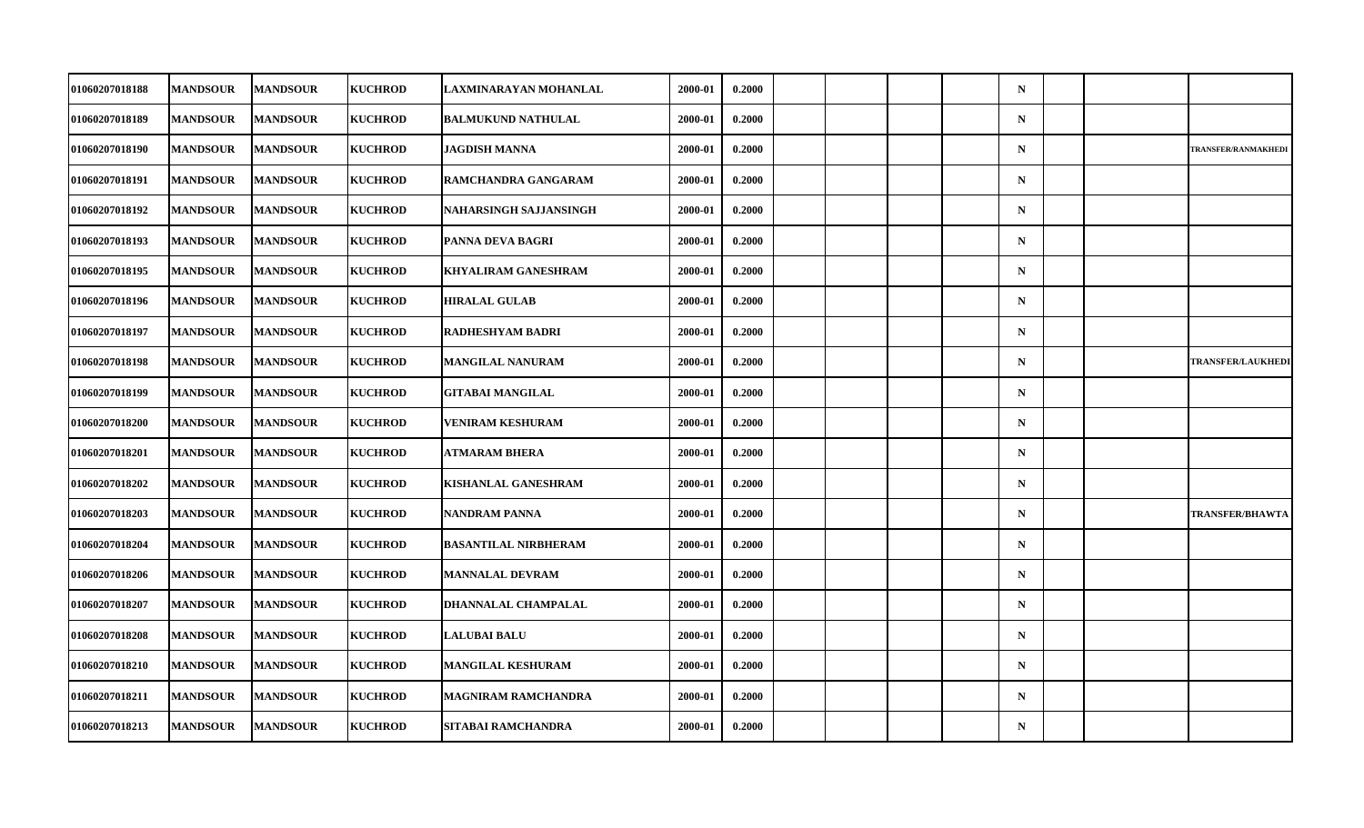| 01060207018188        | <b>MANDSOUR</b> | <b>MANDSOUR</b> | <b>KUCHROD</b> | LAXMINARAYAN MOHANLAL       | 2000-01 | 0.2000 |  |  | $\mathbf N$ |  |                            |
|-----------------------|-----------------|-----------------|----------------|-----------------------------|---------|--------|--|--|-------------|--|----------------------------|
| 01060207018189        | <b>MANDSOUR</b> | <b>MANDSOUR</b> | <b>KUCHROD</b> | <b>BALMUKUND NATHULAL</b>   | 2000-01 | 0.2000 |  |  | ${\bf N}$   |  |                            |
| 01060207018190        | <b>MANDSOUR</b> | <b>MANDSOUR</b> | <b>KUCHROD</b> | <b>JAGDISH MANNA</b>        | 2000-01 | 0.2000 |  |  | $\mathbf N$ |  | <b>TRANSFER/RANMAKHEDI</b> |
| <b>01060207018191</b> | <b>MANDSOUR</b> | <b>MANDSOUR</b> | <b>KUCHROD</b> | RAMCHANDRA GANGARAM         | 2000-01 | 0.2000 |  |  | $\mathbf N$ |  |                            |
| <b>01060207018192</b> | <b>MANDSOUR</b> | <b>MANDSOUR</b> | <b>KUCHROD</b> | NAHARSINGH SAJJANSINGH      | 2000-01 | 0.2000 |  |  | $\mathbf N$ |  |                            |
| 01060207018193        | <b>MANDSOUR</b> | <b>MANDSOUR</b> | <b>KUCHROD</b> | PANNA DEVA BAGRI            | 2000-01 | 0.2000 |  |  | $\mathbf N$ |  |                            |
| 01060207018195        | <b>MANDSOUR</b> | <b>MANDSOUR</b> | <b>KUCHROD</b> | <b>KHYALIRAM GANESHRAM</b>  | 2000-01 | 0.2000 |  |  | $\mathbf N$ |  |                            |
| 01060207018196        | <b>MANDSOUR</b> | <b>MANDSOUR</b> | <b>KUCHROD</b> | <b>HIRALAL GULAB</b>        | 2000-01 | 0.2000 |  |  | $\mathbf N$ |  |                            |
| <b>01060207018197</b> | <b>MANDSOUR</b> | <b>MANDSOUR</b> | <b>KUCHROD</b> | <b>RADHESHYAM BADRI</b>     | 2000-01 | 0.2000 |  |  | $\mathbf N$ |  |                            |
| 01060207018198        | <b>MANDSOUR</b> | <b>MANDSOUR</b> | <b>KUCHROD</b> | <b>MANGILAL NANURAM</b>     | 2000-01 | 0.2000 |  |  | $\mathbf N$ |  | <b>TRANSFER/LAUKHEDI</b>   |
| <b>01060207018199</b> | <b>MANDSOUR</b> | <b>MANDSOUR</b> | <b>KUCHROD</b> | <b>GITABAI MANGILAL</b>     | 2000-01 | 0.2000 |  |  | $\mathbf N$ |  |                            |
| <b>01060207018200</b> | <b>MANDSOUR</b> | <b>MANDSOUR</b> | <b>KUCHROD</b> | <b>VENIRAM KESHURAM</b>     | 2000-01 | 0.2000 |  |  | $\mathbf N$ |  |                            |
| 01060207018201        | <b>MANDSOUR</b> | <b>MANDSOUR</b> | <b>KUCHROD</b> | <b>ATMARAM BHERA</b>        | 2000-01 | 0.2000 |  |  | ${\bf N}$   |  |                            |
| <b>01060207018202</b> | <b>MANDSOUR</b> | <b>MANDSOUR</b> | <b>KUCHROD</b> | KISHANLAL GANESHRAM         | 2000-01 | 0.2000 |  |  | $\mathbf N$ |  |                            |
| 01060207018203        | <b>MANDSOUR</b> | <b>MANDSOUR</b> | <b>KUCHROD</b> | <b>NANDRAM PANNA</b>        | 2000-01 | 0.2000 |  |  | $\mathbf N$ |  | <b>TRANSFER/BHAWTA</b>     |
| <b>01060207018204</b> | <b>MANDSOUR</b> | <b>MANDSOUR</b> | <b>KUCHROD</b> | <b>BASANTILAL NIRBHERAM</b> | 2000-01 | 0.2000 |  |  | $\mathbf N$ |  |                            |
| <b>01060207018206</b> | <b>MANDSOUR</b> | <b>MANDSOUR</b> | <b>KUCHROD</b> | MANNALAL DEVRAM             | 2000-01 | 0.2000 |  |  | $\mathbf N$ |  |                            |
| 01060207018207        | <b>MANDSOUR</b> | <b>MANDSOUR</b> | <b>KUCHROD</b> | DHANNALAL CHAMPALAL         | 2000-01 | 0.2000 |  |  | $\mathbf N$ |  |                            |
| 01060207018208        | <b>MANDSOUR</b> | <b>MANDSOUR</b> | <b>KUCHROD</b> | <b>LALUBAI BALU</b>         | 2000-01 | 0.2000 |  |  | $\mathbf N$ |  |                            |
| <b>01060207018210</b> | <b>MANDSOUR</b> | <b>MANDSOUR</b> | <b>KUCHROD</b> | <b>MANGILAL KESHURAM</b>    | 2000-01 | 0.2000 |  |  | $\mathbf N$ |  |                            |
| 01060207018211        | <b>MANDSOUR</b> | <b>MANDSOUR</b> | <b>KUCHROD</b> | <b>MAGNIRAM RAMCHANDRA</b>  | 2000-01 | 0.2000 |  |  | $\mathbf N$ |  |                            |
| 01060207018213        | <b>MANDSOUR</b> | <b>MANDSOUR</b> | <b>KUCHROD</b> | SITABAI RAMCHANDRA          | 2000-01 | 0.2000 |  |  | $\mathbf N$ |  |                            |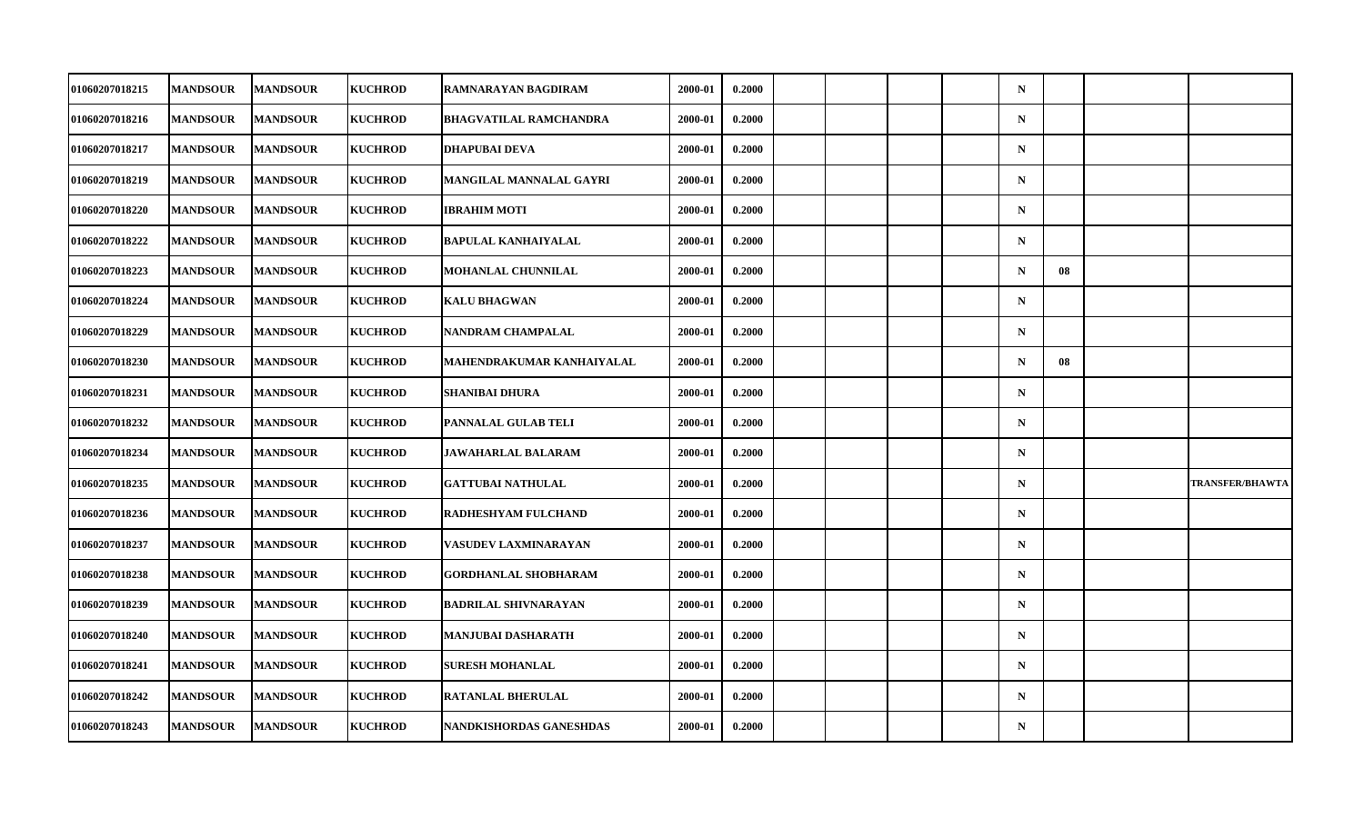| <b>01060207018215</b> | <b>MANDSOUR</b> | <b>MANDSOUR</b> | <b>KUCHROD</b> | RAMNARAYAN BAGDIRAM            | 2000-01 | 0.2000 |  |  | $\mathbf N$ |    |                        |
|-----------------------|-----------------|-----------------|----------------|--------------------------------|---------|--------|--|--|-------------|----|------------------------|
| 01060207018216        | <b>MANDSOUR</b> | <b>MANDSOUR</b> | <b>KUCHROD</b> | <b>BHAGVATILAL RAMCHANDRA</b>  | 2000-01 | 0.2000 |  |  | $\mathbf N$ |    |                        |
| 01060207018217        | <b>MANDSOUR</b> | <b>MANDSOUR</b> | <b>KUCHROD</b> | <b>DHAPUBAI DEVA</b>           | 2000-01 | 0.2000 |  |  | $\mathbf N$ |    |                        |
| <b>01060207018219</b> | <b>MANDSOUR</b> | <b>MANDSOUR</b> | <b>KUCHROD</b> | MANGILAL MANNALAL GAYRI        | 2000-01 | 0.2000 |  |  | $\mathbf N$ |    |                        |
| <b>01060207018220</b> | <b>MANDSOUR</b> | <b>MANDSOUR</b> | <b>KUCHROD</b> | <b>IBRAHIM MOTI</b>            | 2000-01 | 0.2000 |  |  | $\mathbf N$ |    |                        |
| 01060207018222        | <b>MANDSOUR</b> | <b>MANDSOUR</b> | <b>KUCHROD</b> | <b>BAPULAL KANHAIYALAL</b>     | 2000-01 | 0.2000 |  |  | $\mathbf N$ |    |                        |
| 01060207018223        | <b>MANDSOUR</b> | <b>MANDSOUR</b> | <b>KUCHROD</b> | MOHANLAL CHUNNILAL             | 2000-01 | 0.2000 |  |  | $\mathbf N$ | 08 |                        |
| <b>01060207018224</b> | <b>MANDSOUR</b> | <b>MANDSOUR</b> | <b>KUCHROD</b> | <b>KALU BHAGWAN</b>            | 2000-01 | 0.2000 |  |  | $\mathbf N$ |    |                        |
| 01060207018229        | <b>MANDSOUR</b> | <b>MANDSOUR</b> | <b>KUCHROD</b> | NANDRAM CHAMPALAL              | 2000-01 | 0.2000 |  |  | $\mathbf N$ |    |                        |
| 01060207018230        | <b>MANDSOUR</b> | <b>MANDSOUR</b> | <b>KUCHROD</b> | MAHENDRAKUMAR KANHAIYALAL      | 2000-01 | 0.2000 |  |  | $\mathbf N$ | 08 |                        |
| <b>01060207018231</b> | <b>MANDSOUR</b> | <b>MANDSOUR</b> | <b>KUCHROD</b> | SHANIBAI DHURA                 | 2000-01 | 0.2000 |  |  | $\mathbf N$ |    |                        |
| 01060207018232        | <b>MANDSOUR</b> | <b>MANDSOUR</b> | <b>KUCHROD</b> | PANNALAL GULAB TELI            | 2000-01 | 0.2000 |  |  | $\mathbf N$ |    |                        |
| 01060207018234        | <b>MANDSOUR</b> | <b>MANDSOUR</b> | <b>KUCHROD</b> | <b>JAWAHARLAL BALARAM</b>      | 2000-01 | 0.2000 |  |  | $\mathbf N$ |    |                        |
| <b>01060207018235</b> | <b>MANDSOUR</b> | <b>MANDSOUR</b> | <b>KUCHROD</b> | <b>GATTUBAI NATHULAL</b>       | 2000-01 | 0.2000 |  |  | $\mathbf N$ |    | <b>TRANSFER/BHAWTA</b> |
| 01060207018236        | <b>MANDSOUR</b> | <b>MANDSOUR</b> | <b>KUCHROD</b> | RADHESHYAM FULCHAND            | 2000-01 | 0.2000 |  |  | $\mathbf N$ |    |                        |
| 01060207018237        | <b>MANDSOUR</b> | <b>MANDSOUR</b> | <b>KUCHROD</b> | VASUDEV LAXMINARAYAN           | 2000-01 | 0.2000 |  |  | $\mathbf N$ |    |                        |
| 01060207018238        | <b>MANDSOUR</b> | <b>MANDSOUR</b> | <b>KUCHROD</b> | GORDHANLAL SHOBHARAM           | 2000-01 | 0.2000 |  |  | $\mathbf N$ |    |                        |
| 01060207018239        | <b>MANDSOUR</b> | <b>MANDSOUR</b> | <b>KUCHROD</b> | <b>BADRILAL SHIVNARAYAN</b>    | 2000-01 | 0.2000 |  |  | $\mathbf N$ |    |                        |
| 01060207018240        | <b>MANDSOUR</b> | <b>MANDSOUR</b> | <b>KUCHROD</b> | MANJUBAI DASHARATH             | 2000-01 | 0.2000 |  |  | $\mathbf N$ |    |                        |
| 01060207018241        | <b>MANDSOUR</b> | <b>MANDSOUR</b> | <b>KUCHROD</b> | <b>SURESH MOHANLAL</b>         | 2000-01 | 0.2000 |  |  | $\mathbf N$ |    |                        |
| 01060207018242        | <b>MANDSOUR</b> | <b>MANDSOUR</b> | <b>KUCHROD</b> | RATANLAL BHERULAL              | 2000-01 | 0.2000 |  |  | $\mathbf N$ |    |                        |
| 01060207018243        | <b>MANDSOUR</b> | <b>MANDSOUR</b> | <b>KUCHROD</b> | <b>NANDKISHORDAS GANESHDAS</b> | 2000-01 | 0.2000 |  |  | $\mathbf N$ |    |                        |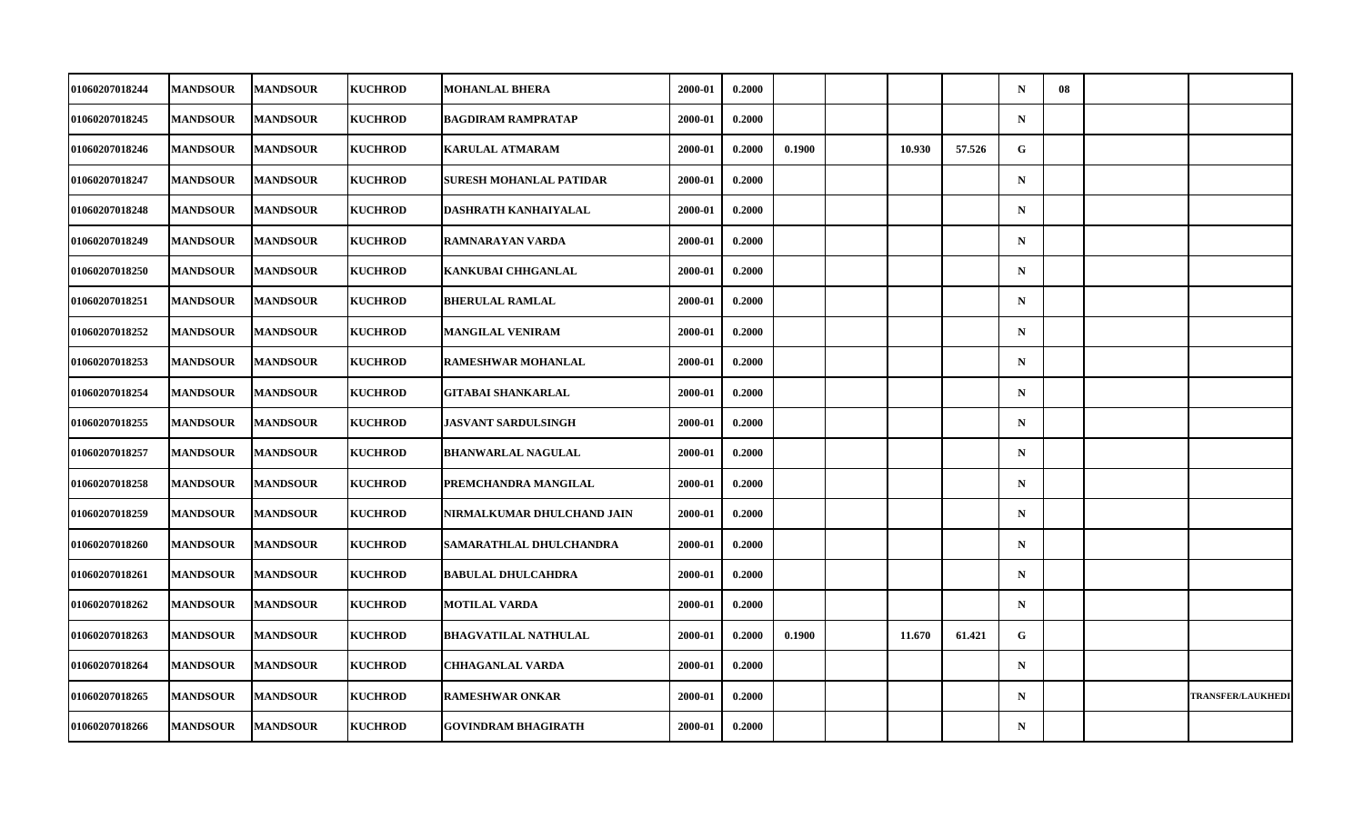| 01060207018244        | <b>MANDSOUR</b> | <b>MANDSOUR</b> | <b>KUCHROD</b> | <b>MOHANLAL BHERA</b>       | 2000-01 | 0.2000 |        |        |        | $\mathbf N$  | 08 |                          |
|-----------------------|-----------------|-----------------|----------------|-----------------------------|---------|--------|--------|--------|--------|--------------|----|--------------------------|
| 01060207018245        | <b>MANDSOUR</b> | <b>MANDSOUR</b> | <b>KUCHROD</b> | <b>BAGDIRAM RAMPRATAP</b>   | 2000-01 | 0.2000 |        |        |        | $\mathbf N$  |    |                          |
| 01060207018246        | <b>MANDSOUR</b> | <b>MANDSOUR</b> | <b>KUCHROD</b> | <b>KARULAL ATMARAM</b>      | 2000-01 | 0.2000 | 0.1900 | 10.930 | 57.526 | $\mathbf{G}$ |    |                          |
| <b>01060207018247</b> | <b>MANDSOUR</b> | <b>MANDSOUR</b> | <b>KUCHROD</b> | SURESH MOHANLAL PATIDAR     | 2000-01 | 0.2000 |        |        |        | $\mathbf N$  |    |                          |
| 01060207018248        | <b>MANDSOUR</b> | <b>MANDSOUR</b> | <b>KUCHROD</b> | DASHRATH KANHAIYALAL        | 2000-01 | 0.2000 |        |        |        | $\mathbf N$  |    |                          |
| 01060207018249        | <b>MANDSOUR</b> | <b>MANDSOUR</b> | <b>KUCHROD</b> | RAMNARAYAN VARDA            | 2000-01 | 0.2000 |        |        |        | $\mathbf N$  |    |                          |
| 01060207018250        | <b>MANDSOUR</b> | <b>MANDSOUR</b> | <b>KUCHROD</b> | KANKUBAI CHHGANLAL          | 2000-01 | 0.2000 |        |        |        | $\mathbf N$  |    |                          |
| 01060207018251        | <b>MANDSOUR</b> | <b>MANDSOUR</b> | <b>KUCHROD</b> | <b>BHERULAL RAMLAL</b>      | 2000-01 | 0.2000 |        |        |        | $\mathbf N$  |    |                          |
| 01060207018252        | <b>MANDSOUR</b> | <b>MANDSOUR</b> | <b>KUCHROD</b> | <b>MANGILAL VENIRAM</b>     | 2000-01 | 0.2000 |        |        |        | $\mathbf N$  |    |                          |
| 01060207018253        | <b>MANDSOUR</b> | <b>MANDSOUR</b> | <b>KUCHROD</b> | RAMESHWAR MOHANLAL          | 2000-01 | 0.2000 |        |        |        | $\mathbf N$  |    |                          |
| 01060207018254        | <b>MANDSOUR</b> | <b>MANDSOUR</b> | <b>KUCHROD</b> | <b>GITABAI SHANKARLAL</b>   | 2000-01 | 0.2000 |        |        |        | $\mathbf N$  |    |                          |
| 01060207018255        | <b>MANDSOUR</b> | <b>MANDSOUR</b> | <b>KUCHROD</b> | <b>JASVANT SARDULSINGH</b>  | 2000-01 | 0.2000 |        |        |        | $\mathbf N$  |    |                          |
| 01060207018257        | <b>MANDSOUR</b> | <b>MANDSOUR</b> | <b>KUCHROD</b> | <b>BHANWARLAL NAGULAL</b>   | 2000-01 | 0.2000 |        |        |        | ${\bf N}$    |    |                          |
| 01060207018258        | <b>MANDSOUR</b> | <b>MANDSOUR</b> | <b>KUCHROD</b> | PREMCHANDRA MANGILAL        | 2000-01 | 0.2000 |        |        |        | $\mathbf N$  |    |                          |
| 01060207018259        | <b>MANDSOUR</b> | <b>MANDSOUR</b> | <b>KUCHROD</b> | NIRMALKUMAR DHULCHAND JAIN  | 2000-01 | 0.2000 |        |        |        | $\mathbf N$  |    |                          |
| 01060207018260        | <b>MANDSOUR</b> | <b>MANDSOUR</b> | <b>KUCHROD</b> | SAMARATHLAL DHULCHANDRA     | 2000-01 | 0.2000 |        |        |        | $\mathbf N$  |    |                          |
| <b>01060207018261</b> | <b>MANDSOUR</b> | <b>MANDSOUR</b> | <b>KUCHROD</b> | <b>BABULAL DHULCAHDRA</b>   | 2000-01 | 0.2000 |        |        |        | $\mathbf N$  |    |                          |
| 01060207018262        | <b>MANDSOUR</b> | <b>MANDSOUR</b> | <b>KUCHROD</b> | <b>MOTILAL VARDA</b>        | 2000-01 | 0.2000 |        |        |        | $\mathbf N$  |    |                          |
| 01060207018263        | <b>MANDSOUR</b> | <b>MANDSOUR</b> | <b>KUCHROD</b> | <b>BHAGVATILAL NATHULAL</b> | 2000-01 | 0.2000 | 0.1900 | 11.670 | 61.421 | G            |    |                          |
| 01060207018264        | <b>MANDSOUR</b> | <b>MANDSOUR</b> | <b>KUCHROD</b> | <b>CHHAGANLAL VARDA</b>     | 2000-01 | 0.2000 |        |        |        | $\mathbf N$  |    |                          |
| 01060207018265        | <b>MANDSOUR</b> | <b>MANDSOUR</b> | <b>KUCHROD</b> | <b>RAMESHWAR ONKAR</b>      | 2000-01 | 0.2000 |        |        |        | $\mathbf N$  |    | <b>TRANSFER/LAUKHEDI</b> |
| 01060207018266        | <b>MANDSOUR</b> | <b>MANDSOUR</b> | <b>KUCHROD</b> | <b>GOVINDRAM BHAGIRATH</b>  | 2000-01 | 0.2000 |        |        |        | $\mathbf N$  |    |                          |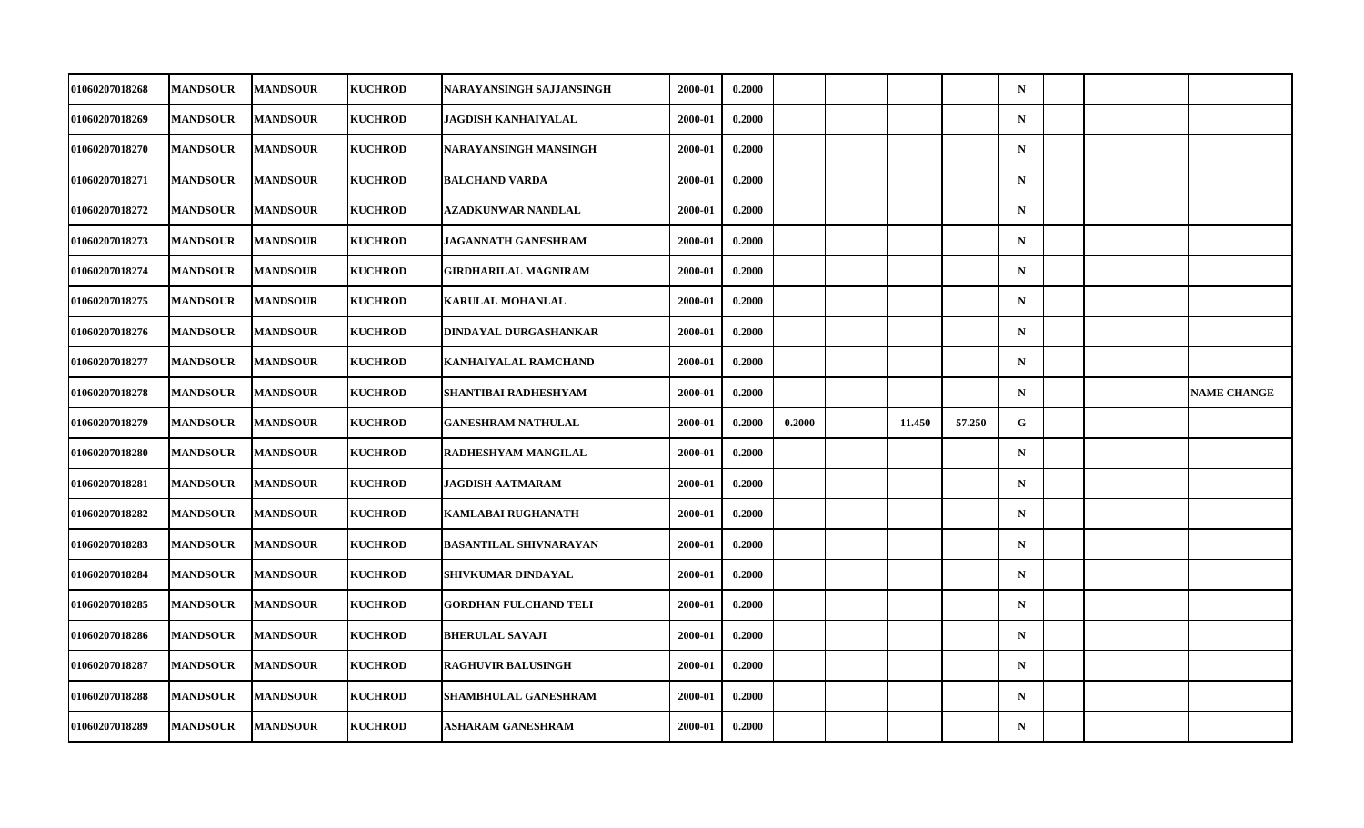| 01060207018268        | <b>MANDSOUR</b> | <b>MANDSOUR</b> | <b>KUCHROD</b> | NARAYANSINGH SAJJANSINGH      | 2000-01 | 0.2000 |        |        |        | $\mathbf N$ |  |                    |
|-----------------------|-----------------|-----------------|----------------|-------------------------------|---------|--------|--------|--------|--------|-------------|--|--------------------|
| 01060207018269        | <b>MANDSOUR</b> | <b>MANDSOUR</b> | <b>KUCHROD</b> | JAGDISH KANHAIYALAL           | 2000-01 | 0.2000 |        |        |        | ${\bf N}$   |  |                    |
| 01060207018270        | <b>MANDSOUR</b> | <b>MANDSOUR</b> | <b>KUCHROD</b> | NARAYANSINGH MANSINGH         | 2000-01 | 0.2000 |        |        |        | $\mathbf N$ |  |                    |
| 01060207018271        | <b>MANDSOUR</b> | <b>MANDSOUR</b> | <b>KUCHROD</b> | <b>BALCHAND VARDA</b>         | 2000-01 | 0.2000 |        |        |        | $\mathbf N$ |  |                    |
| <b>01060207018272</b> | <b>MANDSOUR</b> | <b>MANDSOUR</b> | <b>KUCHROD</b> | AZADKUNWAR NANDLAL            | 2000-01 | 0.2000 |        |        |        | $\mathbf N$ |  |                    |
| 01060207018273        | <b>MANDSOUR</b> | <b>MANDSOUR</b> | <b>KUCHROD</b> | <b>JAGANNATH GANESHRAM</b>    | 2000-01 | 0.2000 |        |        |        | $\mathbf N$ |  |                    |
| 01060207018274        | <b>MANDSOUR</b> | <b>MANDSOUR</b> | <b>KUCHROD</b> | GIRDHARILAL MAGNIRAM          | 2000-01 | 0.2000 |        |        |        | $\mathbf N$ |  |                    |
| <b>01060207018275</b> | <b>MANDSOUR</b> | <b>MANDSOUR</b> | <b>KUCHROD</b> | <b>KARULAL MOHANLAL</b>       | 2000-01 | 0.2000 |        |        |        | $\mathbf N$ |  |                    |
| <b>01060207018276</b> | <b>MANDSOUR</b> | <b>MANDSOUR</b> | <b>KUCHROD</b> | DINDAYAL DURGASHANKAR         | 2000-01 | 0.2000 |        |        |        | $\mathbf N$ |  |                    |
| 01060207018277        | <b>MANDSOUR</b> | <b>MANDSOUR</b> | <b>KUCHROD</b> | KANHAIYALAL RAMCHAND          | 2000-01 | 0.2000 |        |        |        | $\mathbf N$ |  |                    |
| 01060207018278        | <b>MANDSOUR</b> | <b>MANDSOUR</b> | <b>KUCHROD</b> | SHANTIBAI RADHESHYAM          | 2000-01 | 0.2000 |        |        |        | $\mathbf N$ |  | <b>NAME CHANGE</b> |
| <b>01060207018279</b> | <b>MANDSOUR</b> | <b>MANDSOUR</b> | <b>KUCHROD</b> | <b>GANESHRAM NATHULAL</b>     | 2000-01 | 0.2000 | 0.2000 | 11.450 | 57.250 | G           |  |                    |
| 01060207018280        | <b>MANDSOUR</b> | <b>MANDSOUR</b> | <b>KUCHROD</b> | RADHESHYAM MANGILAL           | 2000-01 | 0.2000 |        |        |        | ${\bf N}$   |  |                    |
| 01060207018281        | <b>MANDSOUR</b> | <b>MANDSOUR</b> | <b>KUCHROD</b> | JAGDISH AATMARAM              | 2000-01 | 0.2000 |        |        |        | $\mathbf N$ |  |                    |
| 01060207018282        | <b>MANDSOUR</b> | <b>MANDSOUR</b> | <b>KUCHROD</b> | <b>KAMLABAI RUGHANATH</b>     | 2000-01 | 0.2000 |        |        |        | $\mathbf N$ |  |                    |
| <b>01060207018283</b> | <b>MANDSOUR</b> | <b>MANDSOUR</b> | <b>KUCHROD</b> | <b>BASANTILAL SHIVNARAYAN</b> | 2000-01 | 0.2000 |        |        |        | $\mathbf N$ |  |                    |
| <b>01060207018284</b> | <b>MANDSOUR</b> | <b>MANDSOUR</b> | <b>KUCHROD</b> | SHIVKUMAR DINDAYAL            | 2000-01 | 0.2000 |        |        |        | $\mathbf N$ |  |                    |
| 01060207018285        | <b>MANDSOUR</b> | <b>MANDSOUR</b> | <b>KUCHROD</b> | <b>GORDHAN FULCHAND TELI</b>  | 2000-01 | 0.2000 |        |        |        | $\mathbf N$ |  |                    |
| 01060207018286        | <b>MANDSOUR</b> | <b>MANDSOUR</b> | <b>KUCHROD</b> | <b>BHERULAL SAVAJI</b>        | 2000-01 | 0.2000 |        |        |        | $\mathbf N$ |  |                    |
| 01060207018287        | <b>MANDSOUR</b> | <b>MANDSOUR</b> | <b>KUCHROD</b> | <b>RAGHUVIR BALUSINGH</b>     | 2000-01 | 0.2000 |        |        |        | $\mathbf N$ |  |                    |
| 01060207018288        | <b>MANDSOUR</b> | <b>MANDSOUR</b> | <b>KUCHROD</b> | SHAMBHULAL GANESHRAM          | 2000-01 | 0.2000 |        |        |        | $\mathbf N$ |  |                    |
| 01060207018289        | <b>MANDSOUR</b> | <b>MANDSOUR</b> | <b>KUCHROD</b> | ASHARAM GANESHRAM             | 2000-01 | 0.2000 |        |        |        | $\mathbf N$ |  |                    |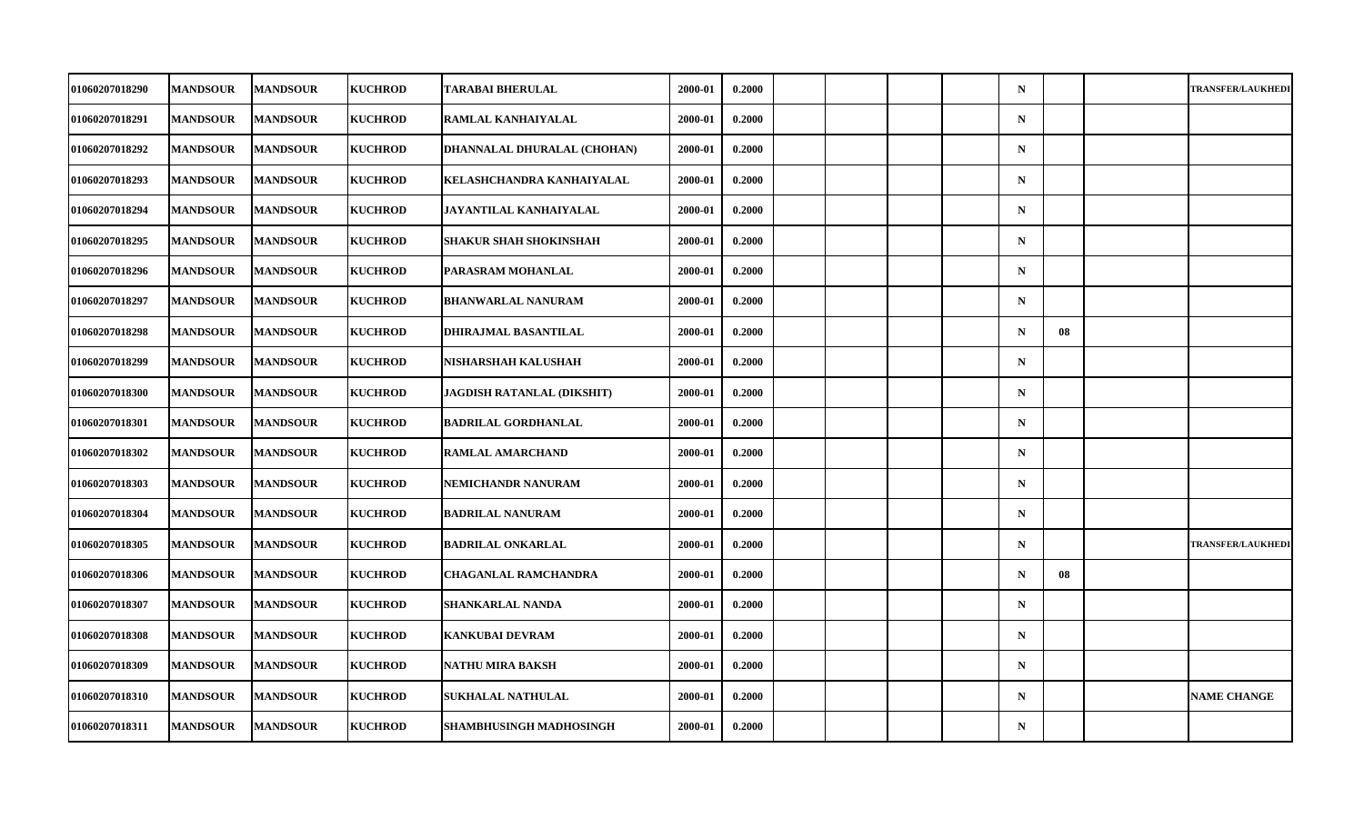| 01060207018290        | <b>MANDSOUR</b> | <b>MANDSOUR</b> | <b>KUCHROD</b> | <b>TARABAI BHERULAL</b>     | 2000-01 | 0.2000 |  |  | $\mathbf N$ |    | <b>TRANSFER/LAUKHEDI</b> |
|-----------------------|-----------------|-----------------|----------------|-----------------------------|---------|--------|--|--|-------------|----|--------------------------|
| <b>01060207018291</b> | <b>MANDSOUR</b> | <b>MANDSOUR</b> | <b>KUCHROD</b> | RAMLAL KANHAIYALAL          | 2000-01 | 0.2000 |  |  | $\mathbf N$ |    |                          |
| 01060207018292        | <b>MANDSOUR</b> | <b>MANDSOUR</b> | <b>KUCHROD</b> | DHANNALAL DHURALAL (CHOHAN) | 2000-01 | 0.2000 |  |  | $\mathbf N$ |    |                          |
| 01060207018293        | <b>MANDSOUR</b> | <b>MANDSOUR</b> | <b>KUCHROD</b> | KELASHCHANDRA KANHAIYALAL   | 2000-01 | 0.2000 |  |  | ${\bf N}$   |    |                          |
| <b>01060207018294</b> | <b>MANDSOUR</b> | <b>MANDSOUR</b> | <b>KUCHROD</b> | JAYANTILAL KANHAIYALAL      | 2000-01 | 0.2000 |  |  | $\mathbf N$ |    |                          |
| <b>01060207018295</b> | <b>MANDSOUR</b> | <b>MANDSOUR</b> | <b>KUCHROD</b> | SHAKUR SHAH SHOKINSHAH      | 2000-01 | 0.2000 |  |  | $\mathbf N$ |    |                          |
| 01060207018296        | <b>MANDSOUR</b> | <b>MANDSOUR</b> | <b>KUCHROD</b> | PARASRAM MOHANLAL           | 2000-01 | 0.2000 |  |  | $\mathbf N$ |    |                          |
| <b>01060207018297</b> | <b>MANDSOUR</b> | <b>MANDSOUR</b> | <b>KUCHROD</b> | <b>BHANWARLAL NANURAM</b>   | 2000-01 | 0.2000 |  |  | $\mathbf N$ |    |                          |
| <b>01060207018298</b> | <b>MANDSOUR</b> | <b>MANDSOUR</b> | <b>KUCHROD</b> | DHIRAJMAL BASANTILAL        | 2000-01 | 0.2000 |  |  | $\mathbf N$ | 08 |                          |
| 01060207018299        | <b>MANDSOUR</b> | <b>MANDSOUR</b> | <b>KUCHROD</b> | NISHARSHAH KALUSHAH         | 2000-01 | 0.2000 |  |  | $\mathbf N$ |    |                          |
| 01060207018300        | <b>MANDSOUR</b> | <b>MANDSOUR</b> | <b>KUCHROD</b> | JAGDISH RATANLAL (DIKSHIT)  | 2000-01 | 0.2000 |  |  | $\mathbf N$ |    |                          |
| <b>01060207018301</b> | <b>MANDSOUR</b> | <b>MANDSOUR</b> | <b>KUCHROD</b> | <b>BADRILAL GORDHANLAL</b>  | 2000-01 | 0.2000 |  |  | $\mathbf N$ |    |                          |
| 01060207018302        | <b>MANDSOUR</b> | <b>MANDSOUR</b> | <b>KUCHROD</b> | <b>RAMLAL AMARCHAND</b>     | 2000-01 | 0.2000 |  |  | $\mathbf N$ |    |                          |
| 01060207018303        | <b>MANDSOUR</b> | <b>MANDSOUR</b> | <b>KUCHROD</b> | NEMICHANDR NANURAM          | 2000-01 | 0.2000 |  |  | $\mathbf N$ |    |                          |
| 01060207018304        | <b>MANDSOUR</b> | <b>MANDSOUR</b> | <b>KUCHROD</b> | <b>BADRILAL NANURAM</b>     | 2000-01 | 0.2000 |  |  | $\mathbf N$ |    |                          |
| 01060207018305        | <b>MANDSOUR</b> | <b>MANDSOUR</b> | <b>KUCHROD</b> | <b>BADRILAL ONKARLAL</b>    | 2000-01 | 0.2000 |  |  | $\mathbf N$ |    | <b>TRANSFER/LAUKHEDI</b> |
| 01060207018306        | <b>MANDSOUR</b> | <b>MANDSOUR</b> | <b>KUCHROD</b> | <b>CHAGANLAL RAMCHANDRA</b> | 2000-01 | 0.2000 |  |  | $\mathbf N$ | 08 |                          |
| 01060207018307        | <b>MANDSOUR</b> | <b>MANDSOUR</b> | <b>KUCHROD</b> | SHANKARLAL NANDA            | 2000-01 | 0.2000 |  |  | $\mathbf N$ |    |                          |
| 01060207018308        | <b>MANDSOUR</b> | <b>MANDSOUR</b> | <b>KUCHROD</b> | <b>KANKUBAI DEVRAM</b>      | 2000-01 | 0.2000 |  |  | $\mathbf N$ |    |                          |
| 01060207018309        | <b>MANDSOUR</b> | <b>MANDSOUR</b> | <b>KUCHROD</b> | NATHU MIRA BAKSH            | 2000-01 | 0.2000 |  |  | $\mathbf N$ |    |                          |
| 01060207018310        | <b>MANDSOUR</b> | <b>MANDSOUR</b> | <b>KUCHROD</b> | SUKHALAL NATHULAL           | 2000-01 | 0.2000 |  |  | ${\bf N}$   |    | <b>NAME CHANGE</b>       |
| 01060207018311        | <b>MANDSOUR</b> | <b>MANDSOUR</b> | <b>KUCHROD</b> | SHAMBHUSINGH MADHOSINGH     | 2000-01 | 0.2000 |  |  | $\mathbf N$ |    |                          |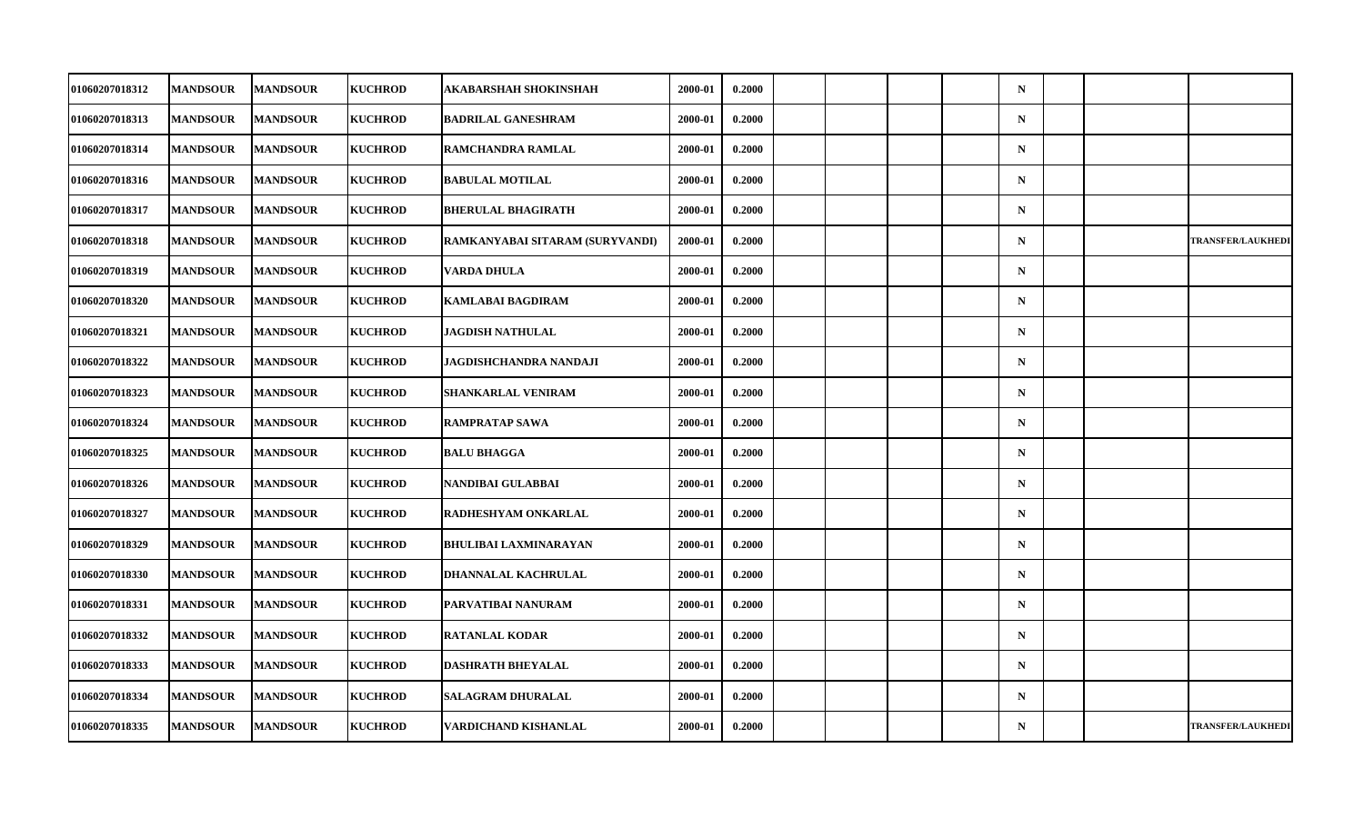| <b>01060207018312</b> | <b>MANDSOUR</b> | <b>MANDSOUR</b> | <b>KUCHROD</b> | AKABARSHAH SHOKINSHAH           | 2000-01 | 0.2000 |  |  | $\mathbf N$ |  |                          |
|-----------------------|-----------------|-----------------|----------------|---------------------------------|---------|--------|--|--|-------------|--|--------------------------|
| 01060207018313        | <b>MANDSOUR</b> | <b>MANDSOUR</b> | <b>KUCHROD</b> | <b>BADRILAL GANESHRAM</b>       | 2000-01 | 0.2000 |  |  | $\mathbf N$ |  |                          |
| 01060207018314        | <b>MANDSOUR</b> | <b>MANDSOUR</b> | <b>KUCHROD</b> | RAMCHANDRA RAMLAL               | 2000-01 | 0.2000 |  |  | $\mathbf N$ |  |                          |
| 01060207018316        | <b>MANDSOUR</b> | <b>MANDSOUR</b> | <b>KUCHROD</b> | <b>BABULAL MOTILAL</b>          | 2000-01 | 0.2000 |  |  | $\mathbf N$ |  |                          |
| <b>01060207018317</b> | <b>MANDSOUR</b> | <b>MANDSOUR</b> | <b>KUCHROD</b> | <b>BHERULAL BHAGIRATH</b>       | 2000-01 | 0.2000 |  |  | $\mathbf N$ |  |                          |
| 01060207018318        | <b>MANDSOUR</b> | <b>MANDSOUR</b> | <b>KUCHROD</b> | RAMKANYABAI SITARAM (SURYVANDI) | 2000-01 | 0.2000 |  |  | $\mathbf N$ |  | <b>TRANSFER/LAUKHEDI</b> |
| 01060207018319        | <b>MANDSOUR</b> | <b>MANDSOUR</b> | <b>KUCHROD</b> | VARDA DHULA                     | 2000-01 | 0.2000 |  |  | $\mathbf N$ |  |                          |
| 01060207018320        | <b>MANDSOUR</b> | <b>MANDSOUR</b> | <b>KUCHROD</b> | <b>KAMLABAI BAGDIRAM</b>        | 2000-01 | 0.2000 |  |  | $\mathbf N$ |  |                          |
| 01060207018321        | <b>MANDSOUR</b> | <b>MANDSOUR</b> | <b>KUCHROD</b> | <b>JAGDISH NATHULAL</b>         | 2000-01 | 0.2000 |  |  | $\mathbf N$ |  |                          |
| 01060207018322        | <b>MANDSOUR</b> | <b>MANDSOUR</b> | <b>KUCHROD</b> | JAGDISHCHANDRA NANDAJI          | 2000-01 | 0.2000 |  |  | $\mathbf N$ |  |                          |
| <b>01060207018323</b> | <b>MANDSOUR</b> | <b>MANDSOUR</b> | <b>KUCHROD</b> | SHANKARLAL VENIRAM              | 2000-01 | 0.2000 |  |  | $\mathbf N$ |  |                          |
| 01060207018324        | <b>MANDSOUR</b> | <b>MANDSOUR</b> | <b>KUCHROD</b> | <b>RAMPRATAP SAWA</b>           | 2000-01 | 0.2000 |  |  | $\mathbf N$ |  |                          |
| 01060207018325        | <b>MANDSOUR</b> | <b>MANDSOUR</b> | <b>KUCHROD</b> | <b>BALU BHAGGA</b>              | 2000-01 | 0.2000 |  |  | $\mathbf N$ |  |                          |
| 01060207018326        | <b>MANDSOUR</b> | <b>MANDSOUR</b> | <b>KUCHROD</b> | NANDIBAI GULABBAI               | 2000-01 | 0.2000 |  |  | $\mathbf N$ |  |                          |
| <b>01060207018327</b> | <b>MANDSOUR</b> | <b>MANDSOUR</b> | <b>KUCHROD</b> | RADHESHYAM ONKARLAL             | 2000-01 | 0.2000 |  |  | $\mathbf N$ |  |                          |
| 01060207018329        | <b>MANDSOUR</b> | <b>MANDSOUR</b> | <b>KUCHROD</b> | <b>BHULIBAI LAXMINARAYAN</b>    | 2000-01 | 0.2000 |  |  | $\mathbf N$ |  |                          |
| 01060207018330        | <b>MANDSOUR</b> | <b>MANDSOUR</b> | <b>KUCHROD</b> | DHANNALAL KACHRULAL             | 2000-01 | 0.2000 |  |  | $\mathbf N$ |  |                          |
| 01060207018331        | <b>MANDSOUR</b> | <b>MANDSOUR</b> | <b>KUCHROD</b> | PARVATIBAI NANURAM              | 2000-01 | 0.2000 |  |  | $\mathbf N$ |  |                          |
| <b>01060207018332</b> | <b>MANDSOUR</b> | <b>MANDSOUR</b> | <b>KUCHROD</b> | <b>RATANLAL KODAR</b>           | 2000-01 | 0.2000 |  |  | $\mathbf N$ |  |                          |
| 01060207018333        | <b>MANDSOUR</b> | <b>MANDSOUR</b> | <b>KUCHROD</b> | <b>DASHRATH BHEYALAL</b>        | 2000-01 | 0.2000 |  |  | $\mathbf N$ |  |                          |
| 01060207018334        | <b>MANDSOUR</b> | <b>MANDSOUR</b> | <b>KUCHROD</b> | <b>SALAGRAM DHURALAL</b>        | 2000-01 | 0.2000 |  |  | $\mathbf N$ |  |                          |
| 01060207018335        | <b>MANDSOUR</b> | <b>MANDSOUR</b> | <b>KUCHROD</b> | VARDICHAND KISHANLAL            | 2000-01 | 0.2000 |  |  | $\mathbf N$ |  | <b>TRANSFER/LAUKHEDI</b> |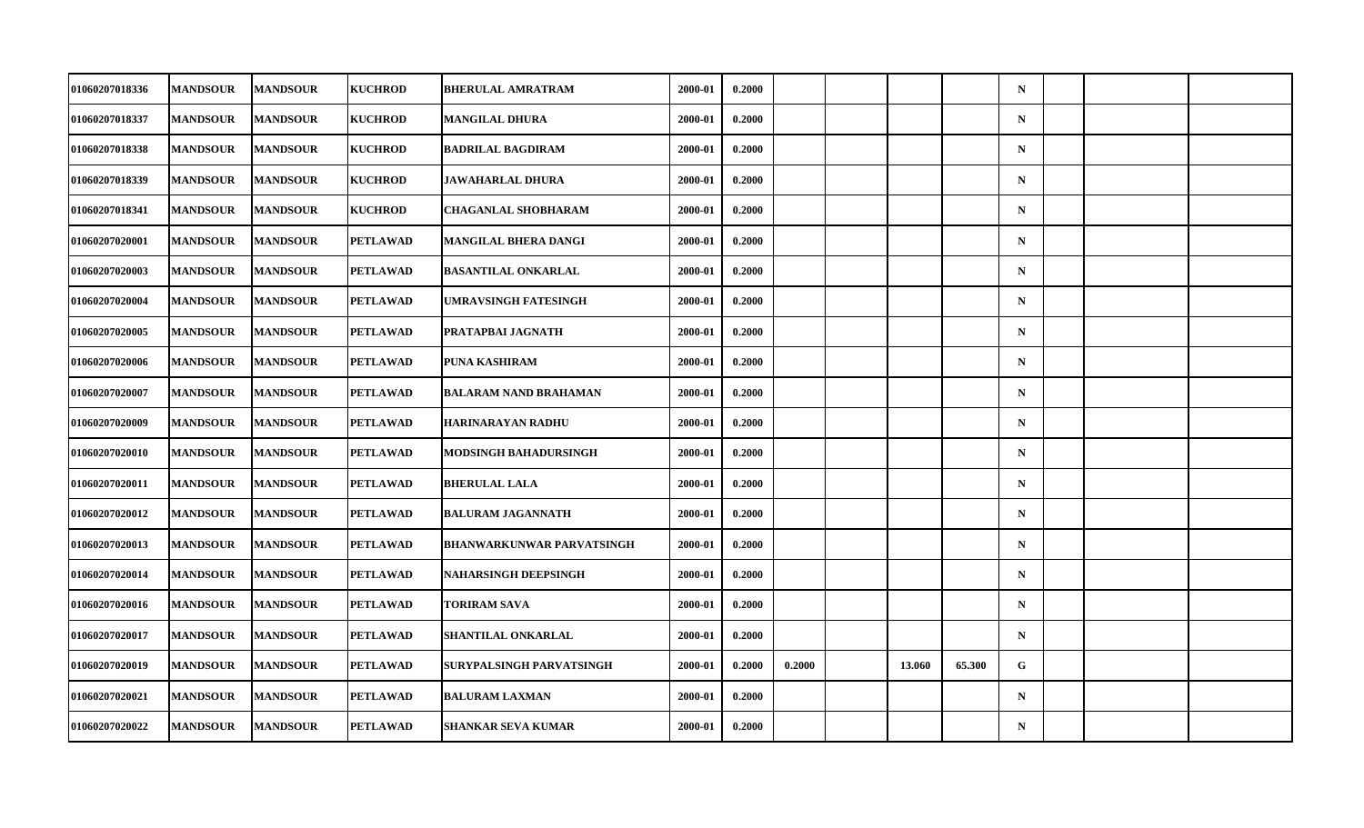| 01060207018336        | <b>MANDSOUR</b> | <b>MANDSOUR</b> | <b>KUCHROD</b>  | <b>BHERULAL AMRATRAM</b>         | 2000-01 | 0.2000 |        |        |        | $\mathbf N$ |  |  |
|-----------------------|-----------------|-----------------|-----------------|----------------------------------|---------|--------|--------|--------|--------|-------------|--|--|
| 01060207018337        | <b>MANDSOUR</b> | <b>MANDSOUR</b> | <b>KUCHROD</b>  | MANGILAL DHURA                   | 2000-01 | 0.2000 |        |        |        | ${\bf N}$   |  |  |
| 01060207018338        | <b>MANDSOUR</b> | <b>MANDSOUR</b> | <b>KUCHROD</b>  | <b>BADRILAL BAGDIRAM</b>         | 2000-01 | 0.2000 |        |        |        | $\mathbf N$ |  |  |
| 01060207018339        | <b>MANDSOUR</b> | <b>MANDSOUR</b> | <b>KUCHROD</b>  | JAWAHARLAL DHURA                 | 2000-01 | 0.2000 |        |        |        | $\mathbf N$ |  |  |
| 01060207018341        | <b>MANDSOUR</b> | <b>MANDSOUR</b> | <b>KUCHROD</b>  | <b>CHAGANLAL SHOBHARAM</b>       | 2000-01 | 0.2000 |        |        |        | $\mathbf N$ |  |  |
| 01060207020001        | <b>MANDSOUR</b> | <b>MANDSOUR</b> | <b>PETLAWAD</b> | <b>MANGILAL BHERA DANGI</b>      | 2000-01 | 0.2000 |        |        |        | $\mathbf N$ |  |  |
| 01060207020003        | <b>MANDSOUR</b> | <b>MANDSOUR</b> | <b>PETLAWAD</b> | <b>BASANTILAL ONKARLAL</b>       | 2000-01 | 0.2000 |        |        |        | $\mathbf N$ |  |  |
| <b>01060207020004</b> | <b>MANDSOUR</b> | <b>MANDSOUR</b> | <b>PETLAWAD</b> | <b>UMRAVSINGH FATESINGH</b>      | 2000-01 | 0.2000 |        |        |        | $\mathbf N$ |  |  |
| 01060207020005        | <b>MANDSOUR</b> | <b>MANDSOUR</b> | <b>PETLAWAD</b> | PRATAPBAI JAGNATH                | 2000-01 | 0.2000 |        |        |        | $\mathbf N$ |  |  |
| 01060207020006        | <b>MANDSOUR</b> | <b>MANDSOUR</b> | <b>PETLAWAD</b> | PUNA KASHIRAM                    | 2000-01 | 0.2000 |        |        |        | $\mathbf N$ |  |  |
| <b>01060207020007</b> | <b>MANDSOUR</b> | <b>MANDSOUR</b> | <b>PETLAWAD</b> | <b>BALARAM NAND BRAHAMAN</b>     | 2000-01 | 0.2000 |        |        |        | $\mathbf N$ |  |  |
| <b>01060207020009</b> | <b>MANDSOUR</b> | <b>MANDSOUR</b> | <b>PETLAWAD</b> | HARINARAYAN RADHU                | 2000-01 | 0.2000 |        |        |        | $\mathbf N$ |  |  |
| 01060207020010        | <b>MANDSOUR</b> | <b>MANDSOUR</b> | <b>PETLAWAD</b> | <b>MODSINGH BAHADURSINGH</b>     | 2000-01 | 0.2000 |        |        |        | ${\bf N}$   |  |  |
| 01060207020011        | <b>MANDSOUR</b> | <b>MANDSOUR</b> | PETLAWAD        | <b>BHERULAL LALA</b>             | 2000-01 | 0.2000 |        |        |        | $\mathbf N$ |  |  |
| 01060207020012        | <b>MANDSOUR</b> | <b>MANDSOUR</b> | <b>PETLAWAD</b> | <b>BALURAM JAGANNATH</b>         | 2000-01 | 0.2000 |        |        |        | $\mathbf N$ |  |  |
| <b>01060207020013</b> | <b>MANDSOUR</b> | <b>MANDSOUR</b> | <b>PETLAWAD</b> | <b>BHANWARKUNWAR PARVATSINGH</b> | 2000-01 | 0.2000 |        |        |        | $\mathbf N$ |  |  |
| <b>01060207020014</b> | <b>MANDSOUR</b> | <b>MANDSOUR</b> | <b>PETLAWAD</b> | <b>NAHARSINGH DEEPSINGH</b>      | 2000-01 | 0.2000 |        |        |        | $\mathbf N$ |  |  |
| 01060207020016        | <b>MANDSOUR</b> | <b>MANDSOUR</b> | <b>PETLAWAD</b> | <b>TORIRAM SAVA</b>              | 2000-01 | 0.2000 |        |        |        | $\mathbf N$ |  |  |
| <b>01060207020017</b> | <b>MANDSOUR</b> | <b>MANDSOUR</b> | <b>PETLAWAD</b> | SHANTILAL ONKARLAL               | 2000-01 | 0.2000 |        |        |        | $\mathbf N$ |  |  |
| <b>01060207020019</b> | <b>MANDSOUR</b> | <b>MANDSOUR</b> | <b>PETLAWAD</b> | SURYPALSINGH PARVATSINGH         | 2000-01 | 0.2000 | 0.2000 | 13.060 | 65.300 | G           |  |  |
| 01060207020021        | <b>MANDSOUR</b> | <b>MANDSOUR</b> | <b>PETLAWAD</b> | <b>BALURAM LAXMAN</b>            | 2000-01 | 0.2000 |        |        |        | $\mathbf N$ |  |  |
| 01060207020022        | <b>MANDSOUR</b> | <b>MANDSOUR</b> | <b>PETLAWAD</b> | <b>SHANKAR SEVA KUMAR</b>        | 2000-01 | 0.2000 |        |        |        | $\mathbf N$ |  |  |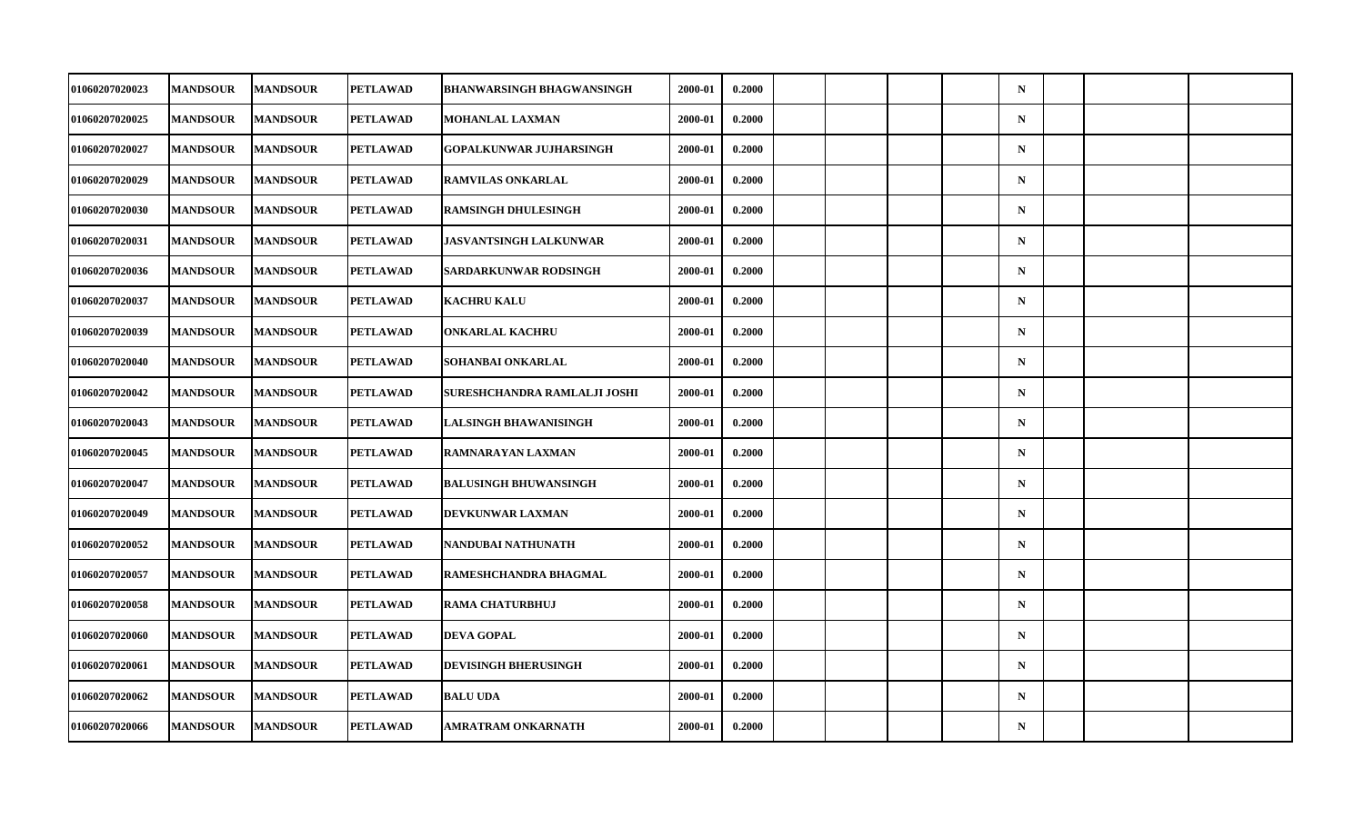| <b>01060207020023</b> | <b>MANDSOUR</b> | <b>MANDSOUR</b> | <b>PETLAWAD</b> | <b>BHANWARSINGH BHAGWANSINGH</b> | 2000-01 | 0.2000 |  |  | $\mathbf N$ |  |  |
|-----------------------|-----------------|-----------------|-----------------|----------------------------------|---------|--------|--|--|-------------|--|--|
| <b>01060207020025</b> | <b>MANDSOUR</b> | <b>MANDSOUR</b> | <b>PETLAWAD</b> | <b>MOHANLAL LAXMAN</b>           | 2000-01 | 0.2000 |  |  | ${\bf N}$   |  |  |
| 01060207020027        | <b>MANDSOUR</b> | <b>MANDSOUR</b> | <b>PETLAWAD</b> | <b>GOPALKUNWAR JUJHARSINGH</b>   | 2000-01 | 0.2000 |  |  | $\mathbf N$ |  |  |
| <b>01060207020029</b> | <b>MANDSOUR</b> | <b>MANDSOUR</b> | <b>PETLAWAD</b> | <b>RAMVILAS ONKARLAL</b>         | 2000-01 | 0.2000 |  |  | $\mathbf N$ |  |  |
| 01060207020030        | <b>MANDSOUR</b> | <b>MANDSOUR</b> | <b>PETLAWAD</b> | <b>RAMSINGH DHULESINGH</b>       | 2000-01 | 0.2000 |  |  | $\mathbf N$ |  |  |
| 01060207020031        | <b>MANDSOUR</b> | <b>MANDSOUR</b> | <b>PETLAWAD</b> | <b>JASVANTSINGH LALKUNWAR</b>    | 2000-01 | 0.2000 |  |  | $\mathbf N$ |  |  |
| 01060207020036        | <b>MANDSOUR</b> | <b>MANDSOUR</b> | <b>PETLAWAD</b> | SARDARKUNWAR RODSINGH            | 2000-01 | 0.2000 |  |  | $\mathbf N$ |  |  |
| <b>01060207020037</b> | <b>MANDSOUR</b> | <b>MANDSOUR</b> | <b>PETLAWAD</b> | <b>KACHRU KALU</b>               | 2000-01 | 0.2000 |  |  | $\mathbf N$ |  |  |
| 01060207020039        | <b>MANDSOUR</b> | <b>MANDSOUR</b> | <b>PETLAWAD</b> | <b>ONKARLAL KACHRU</b>           | 2000-01 | 0.2000 |  |  | $\mathbf N$ |  |  |
| 01060207020040        | <b>MANDSOUR</b> | <b>MANDSOUR</b> | <b>PETLAWAD</b> | SOHANBAI ONKARLAL                | 2000-01 | 0.2000 |  |  | $\mathbf N$ |  |  |
| <b>01060207020042</b> | <b>MANDSOUR</b> | <b>MANDSOUR</b> | <b>PETLAWAD</b> | SURESHCHANDRA RAMLALJI JOSHI     | 2000-01 | 0.2000 |  |  | $\mathbf N$ |  |  |
| <b>01060207020043</b> | <b>MANDSOUR</b> | <b>MANDSOUR</b> | <b>PETLAWAD</b> | <b>LALSINGH BHAWANISINGH</b>     | 2000-01 | 0.2000 |  |  | $\mathbf N$ |  |  |
| 01060207020045        | <b>MANDSOUR</b> | <b>MANDSOUR</b> | <b>PETLAWAD</b> | RAMNARAYAN LAXMAN                | 2000-01 | 0.2000 |  |  | ${\bf N}$   |  |  |
| 01060207020047        | <b>MANDSOUR</b> | <b>MANDSOUR</b> | PETLAWAD        | <b>BALUSINGH BHUWANSINGH</b>     | 2000-01 | 0.2000 |  |  | $\mathbf N$ |  |  |
| 01060207020049        | <b>MANDSOUR</b> | <b>MANDSOUR</b> | <b>PETLAWAD</b> | DEVKUNWAR LAXMAN                 | 2000-01 | 0.2000 |  |  | $\mathbf N$ |  |  |
| 01060207020052        | <b>MANDSOUR</b> | <b>MANDSOUR</b> | <b>PETLAWAD</b> | NANDUBAI NATHUNATH               | 2000-01 | 0.2000 |  |  | $\mathbf N$ |  |  |
| <b>01060207020057</b> | <b>MANDSOUR</b> | <b>MANDSOUR</b> | <b>PETLAWAD</b> | RAMESHCHANDRA BHAGMAL            | 2000-01 | 0.2000 |  |  | $\mathbf N$ |  |  |
| 01060207020058        | <b>MANDSOUR</b> | <b>MANDSOUR</b> | <b>PETLAWAD</b> | RAMA CHATURBHUJ                  | 2000-01 | 0.2000 |  |  | $\mathbf N$ |  |  |
| <b>01060207020060</b> | <b>MANDSOUR</b> | <b>MANDSOUR</b> | <b>PETLAWAD</b> | <b>DEVA GOPAL</b>                | 2000-01 | 0.2000 |  |  | $\mathbf N$ |  |  |
| <b>01060207020061</b> | <b>MANDSOUR</b> | <b>MANDSOUR</b> | <b>PETLAWAD</b> | <b>DEVISINGH BHERUSINGH</b>      | 2000-01 | 0.2000 |  |  | $\mathbf N$ |  |  |
| 01060207020062        | <b>MANDSOUR</b> | <b>MANDSOUR</b> | <b>PETLAWAD</b> | <b>BALU UDA</b>                  | 2000-01 | 0.2000 |  |  | $\mathbf N$ |  |  |
| 01060207020066        | <b>MANDSOUR</b> | <b>MANDSOUR</b> | <b>PETLAWAD</b> | AMRATRAM ONKARNATH               | 2000-01 | 0.2000 |  |  | $\mathbf N$ |  |  |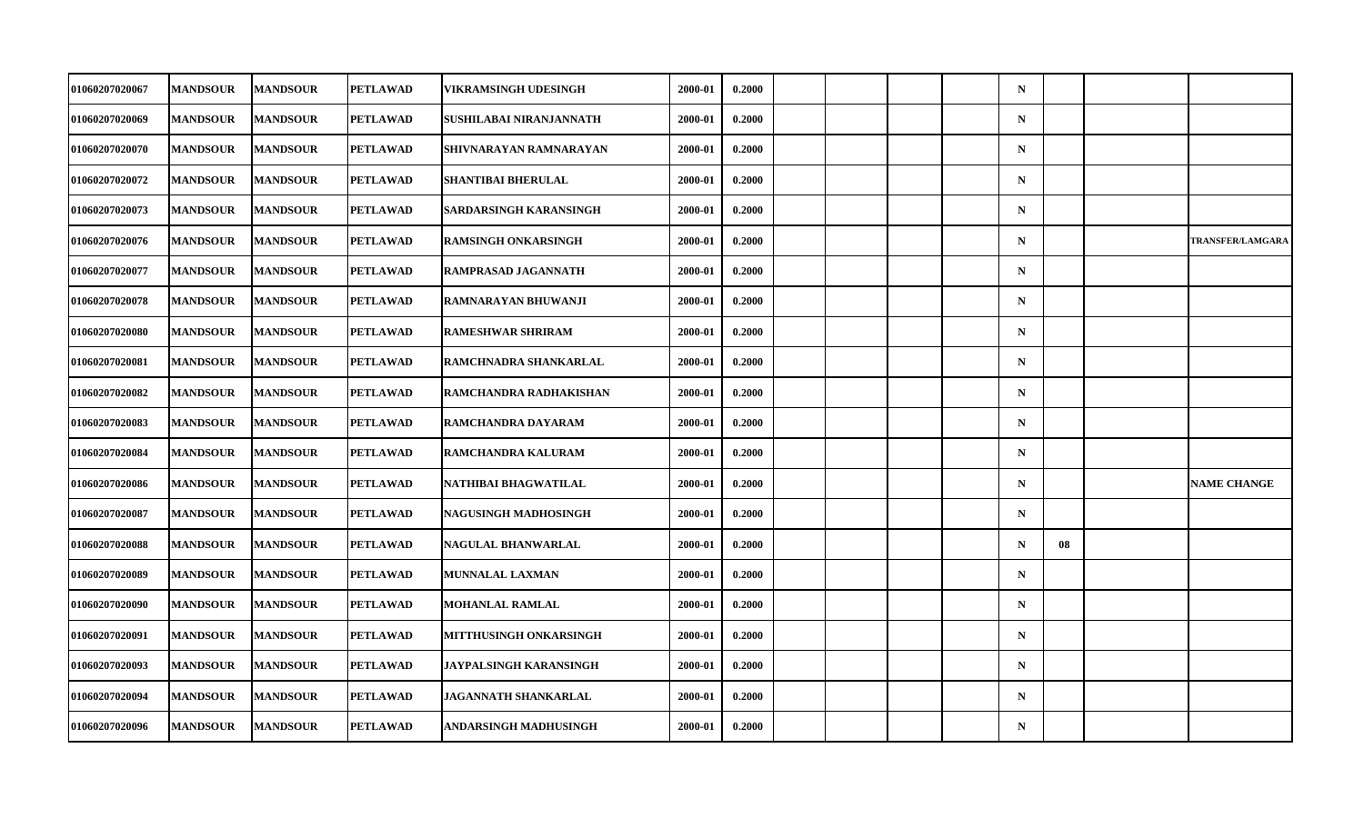| 01060207020067        | <b>MANDSOUR</b> | <b>MANDSOUR</b> | <b>PETLAWAD</b> | VIKRAMSINGH UDESINGH        | 2000-01 | 0.2000 |  |  | $\mathbf N$ |    |                         |
|-----------------------|-----------------|-----------------|-----------------|-----------------------------|---------|--------|--|--|-------------|----|-------------------------|
| 01060207020069        | <b>MANDSOUR</b> | <b>MANDSOUR</b> | <b>PETLAWAD</b> | SUSHILABAI NIRANJANNATH     | 2000-01 | 0.2000 |  |  | ${\bf N}$   |    |                         |
| 01060207020070        | <b>MANDSOUR</b> | <b>MANDSOUR</b> | <b>PETLAWAD</b> | SHIVNARAYAN RAMNARAYAN      | 2000-01 | 0.2000 |  |  | $\mathbf N$ |    |                         |
| 01060207020072        | <b>MANDSOUR</b> | <b>MANDSOUR</b> | PETLAWAD        | SHANTIBAI BHERULAL          | 2000-01 | 0.2000 |  |  | $\mathbf N$ |    |                         |
| <b>01060207020073</b> | <b>MANDSOUR</b> | <b>MANDSOUR</b> | <b>PETLAWAD</b> | SARDARSINGH KARANSINGH      | 2000-01 | 0.2000 |  |  | $\mathbf N$ |    |                         |
| 01060207020076        | <b>MANDSOUR</b> | <b>MANDSOUR</b> | <b>PETLAWAD</b> | <b>RAMSINGH ONKARSINGH</b>  | 2000-01 | 0.2000 |  |  | $\mathbf N$ |    | <b>TRANSFER/LAMGARA</b> |
| 01060207020077        | <b>MANDSOUR</b> | <b>MANDSOUR</b> | <b>PETLAWAD</b> | RAMPRASAD JAGANNATH         | 2000-01 | 0.2000 |  |  | $\mathbf N$ |    |                         |
| 01060207020078        | <b>MANDSOUR</b> | <b>MANDSOUR</b> | <b>PETLAWAD</b> | RAMNARAYAN BHUWANJI         | 2000-01 | 0.2000 |  |  | $\mathbf N$ |    |                         |
| 01060207020080        | <b>MANDSOUR</b> | <b>MANDSOUR</b> | <b>PETLAWAD</b> | <b>RAMESHWAR SHRIRAM</b>    | 2000-01 | 0.2000 |  |  | $\mathbf N$ |    |                         |
| 01060207020081        | <b>MANDSOUR</b> | <b>MANDSOUR</b> | <b>PETLAWAD</b> | RAMCHNADRA SHANKARLAL       | 2000-01 | 0.2000 |  |  | $\mathbf N$ |    |                         |
| <b>01060207020082</b> | <b>MANDSOUR</b> | <b>MANDSOUR</b> | PETLAWAD        | RAMCHANDRA RADHAKISHAN      | 2000-01 | 0.2000 |  |  | $\mathbf N$ |    |                         |
| 01060207020083        | <b>MANDSOUR</b> | <b>MANDSOUR</b> | <b>PETLAWAD</b> | RAMCHANDRA DAYARAM          | 2000-01 | 0.2000 |  |  | $\mathbf N$ |    |                         |
| 01060207020084        | <b>MANDSOUR</b> | <b>MANDSOUR</b> | <b>PETLAWAD</b> | RAMCHANDRA KALURAM          | 2000-01 | 0.2000 |  |  | $\mathbf N$ |    |                         |
| 01060207020086        | <b>MANDSOUR</b> | <b>MANDSOUR</b> | PETLAWAD        | NATHIBAI BHAGWATILAL        | 2000-01 | 0.2000 |  |  | $\mathbf N$ |    | <b>NAME CHANGE</b>      |
| 01060207020087        | <b>MANDSOUR</b> | <b>MANDSOUR</b> | <b>PETLAWAD</b> | NAGUSINGH MADHOSINGH        | 2000-01 | 0.2000 |  |  | $\mathbf N$ |    |                         |
| 01060207020088        | <b>MANDSOUR</b> | <b>MANDSOUR</b> | <b>PETLAWAD</b> | NAGULAL BHANWARLAL          | 2000-01 | 0.2000 |  |  | $\mathbf N$ | 08 |                         |
| <b>01060207020089</b> | <b>MANDSOUR</b> | <b>MANDSOUR</b> | <b>PETLAWAD</b> | MUNNALAL LAXMAN             | 2000-01 | 0.2000 |  |  | $\mathbf N$ |    |                         |
| 01060207020090        | <b>MANDSOUR</b> | <b>MANDSOUR</b> | <b>PETLAWAD</b> | <b>MOHANLAL RAMLAL</b>      | 2000-01 | 0.2000 |  |  | $\mathbf N$ |    |                         |
| 01060207020091        | <b>MANDSOUR</b> | <b>MANDSOUR</b> | <b>PETLAWAD</b> | MITTHUSINGH ONKARSINGH      | 2000-01 | 0.2000 |  |  | $\mathbf N$ |    |                         |
| 01060207020093        | <b>MANDSOUR</b> | <b>MANDSOUR</b> | <b>PETLAWAD</b> | JAYPALSINGH KARANSINGH      | 2000-01 | 0.2000 |  |  | $\mathbf N$ |    |                         |
| 01060207020094        | <b>MANDSOUR</b> | <b>MANDSOUR</b> | <b>PETLAWAD</b> | <b>JAGANNATH SHANKARLAL</b> | 2000-01 | 0.2000 |  |  | $\mathbf N$ |    |                         |
| 01060207020096        | <b>MANDSOUR</b> | <b>MANDSOUR</b> | <b>PETLAWAD</b> | ANDARSINGH MADHUSINGH       | 2000-01 | 0.2000 |  |  | $\mathbf N$ |    |                         |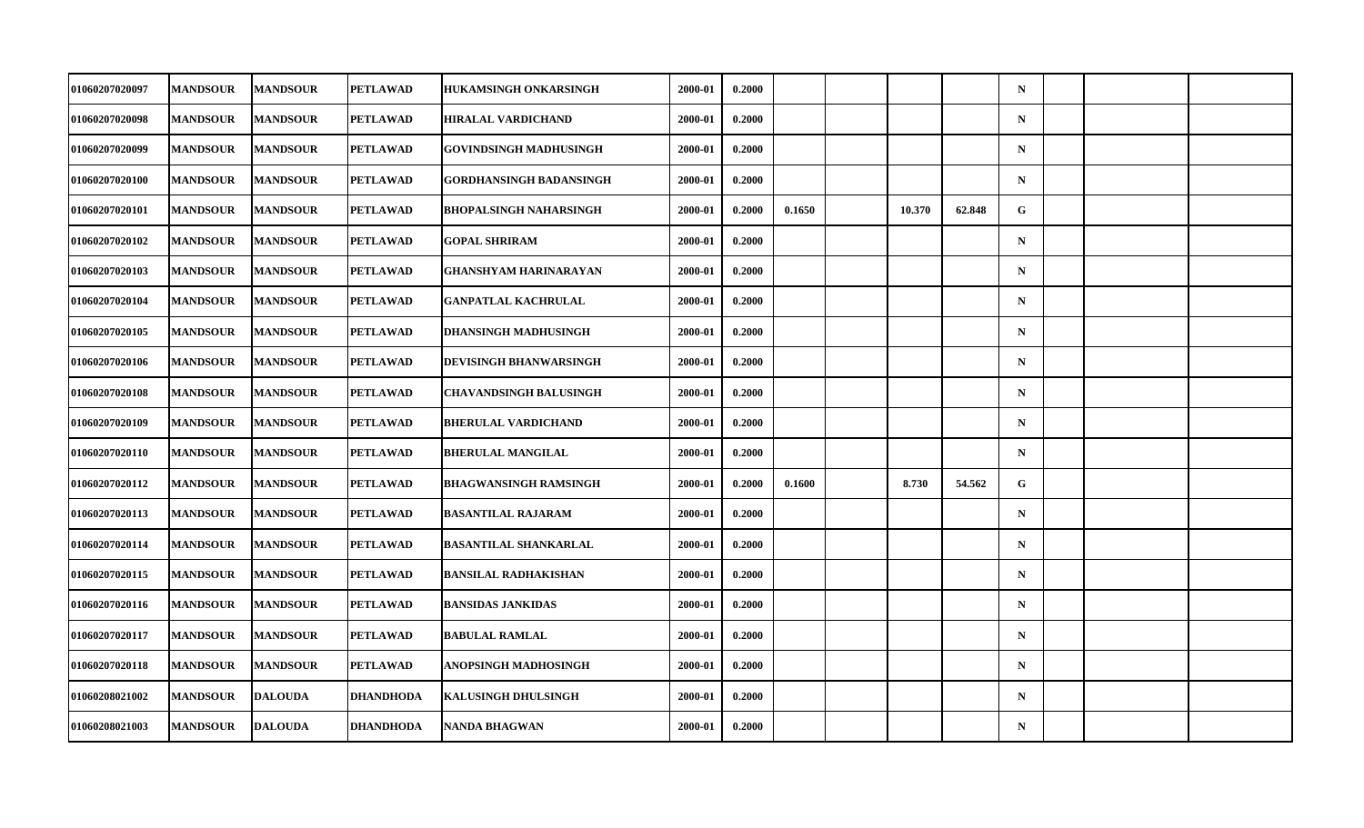| <b>01060207020097</b> | <b>MANDSOUR</b> | <b>MANDSOUR</b> | PETLAWAD         | <b>HUKAMSINGH ONKARSINGH</b>   | 2000-01 | 0.2000 |        |        |        | $\mathbf N$ |  |  |
|-----------------------|-----------------|-----------------|------------------|--------------------------------|---------|--------|--------|--------|--------|-------------|--|--|
| 01060207020098        | <b>MANDSOUR</b> | <b>MANDSOUR</b> | <b>PETLAWAD</b>  | <b>HIRALAL VARDICHAND</b>      | 2000-01 | 0.2000 |        |        |        | $\mathbf N$ |  |  |
| 01060207020099        | <b>MANDSOUR</b> | <b>MANDSOUR</b> | <b>PETLAWAD</b>  | <b>GOVINDSINGH MADHUSINGH</b>  | 2000-01 | 0.2000 |        |        |        | $\mathbf N$ |  |  |
| 01060207020100        | <b>MANDSOUR</b> | <b>MANDSOUR</b> | <b>PETLAWAD</b>  | <b>GORDHANSINGH BADANSINGH</b> | 2000-01 | 0.2000 |        |        |        | $\mathbf N$ |  |  |
| <b>01060207020101</b> | <b>MANDSOUR</b> | <b>MANDSOUR</b> | <b>PETLAWAD</b>  | <b>BHOPALSINGH NAHARSINGH</b>  | 2000-01 | 0.2000 | 0.1650 | 10.370 | 62.848 | G           |  |  |
| 01060207020102        | <b>MANDSOUR</b> | <b>MANDSOUR</b> | <b>PETLAWAD</b>  | <b>GOPAL SHRIRAM</b>           | 2000-01 | 0.2000 |        |        |        | $\mathbf N$ |  |  |
| 01060207020103        | <b>MANDSOUR</b> | <b>MANDSOUR</b> | <b>PETLAWAD</b>  | <b>GHANSHYAM HARINARAYAN</b>   | 2000-01 | 0.2000 |        |        |        | $\mathbf N$ |  |  |
| <b>01060207020104</b> | <b>MANDSOUR</b> | <b>MANDSOUR</b> | PETLAWAD         | <b>GANPATLAL KACHRULAL</b>     | 2000-01 | 0.2000 |        |        |        | $\mathbf N$ |  |  |
| 01060207020105        | <b>MANDSOUR</b> | <b>MANDSOUR</b> | <b>PETLAWAD</b>  | <b>DHANSINGH MADHUSINGH</b>    | 2000-01 | 0.2000 |        |        |        | $\mathbf N$ |  |  |
| 01060207020106        | <b>MANDSOUR</b> | <b>MANDSOUR</b> | <b>PETLAWAD</b>  | DEVISINGH BHANWARSINGH         | 2000-01 | 0.2000 |        |        |        | $\mathbf N$ |  |  |
| <b>01060207020108</b> | <b>MANDSOUR</b> | <b>MANDSOUR</b> | <b>PETLAWAD</b>  | <b>CHAVANDSINGH BALUSINGH</b>  | 2000-01 | 0.2000 |        |        |        | $\mathbf N$ |  |  |
| 01060207020109        | <b>MANDSOUR</b> | <b>MANDSOUR</b> | <b>PETLAWAD</b>  | <b>BHERULAL VARDICHAND</b>     | 2000-01 | 0.2000 |        |        |        | $\mathbf N$ |  |  |
| <b>01060207020110</b> | <b>MANDSOUR</b> | <b>MANDSOUR</b> | <b>PETLAWAD</b>  | <b>BHERULAL MANGILAL</b>       | 2000-01 | 0.2000 |        |        |        | $\mathbf N$ |  |  |
| 01060207020112        | <b>MANDSOUR</b> | <b>MANDSOUR</b> | <b>PETLAWAD</b>  | <b>BHAGWANSINGH RAMSINGH</b>   | 2000-01 | 0.2000 | 0.1600 | 8.730  | 54.562 | G           |  |  |
| 01060207020113        | <b>MANDSOUR</b> | <b>MANDSOUR</b> | <b>PETLAWAD</b>  | <b>BASANTILAL RAJARAM</b>      | 2000-01 | 0.2000 |        |        |        | $\mathbf N$ |  |  |
| 01060207020114        | <b>MANDSOUR</b> | <b>MANDSOUR</b> | <b>PETLAWAD</b>  | <b>BASANTILAL SHANKARLAL</b>   | 2000-01 | 0.2000 |        |        |        | $\mathbf N$ |  |  |
| 01060207020115        | <b>MANDSOUR</b> | <b>MANDSOUR</b> | <b>PETLAWAD</b>  | <b>BANSILAL RADHAKISHAN</b>    | 2000-01 | 0.2000 |        |        |        | $\mathbf N$ |  |  |
| 01060207020116        | <b>MANDSOUR</b> | <b>MANDSOUR</b> | <b>PETLAWAD</b>  | <b>BANSIDAS JANKIDAS</b>       | 2000-01 | 0.2000 |        |        |        | $\mathbf N$ |  |  |
| 01060207020117        | <b>MANDSOUR</b> | <b>MANDSOUR</b> | <b>PETLAWAD</b>  | <b>BABULAL RAMLAL</b>          | 2000-01 | 0.2000 |        |        |        | $\mathbf N$ |  |  |
| 01060207020118        | <b>MANDSOUR</b> | <b>MANDSOUR</b> | <b>PETLAWAD</b>  | ANOPSINGH MADHOSINGH           | 2000-01 | 0.2000 |        |        |        | $\mathbf N$ |  |  |
| 01060208021002        | <b>MANDSOUR</b> | <b>DALOUDA</b>  | <b>DHANDHODA</b> | <b>KALUSINGH DHULSINGH</b>     | 2000-01 | 0.2000 |        |        |        | $\mathbf N$ |  |  |
| 01060208021003        | <b>MANDSOUR</b> | <b>DALOUDA</b>  | <b>DHANDHODA</b> | <b>NANDA BHAGWAN</b>           | 2000-01 | 0.2000 |        |        |        | $\mathbf N$ |  |  |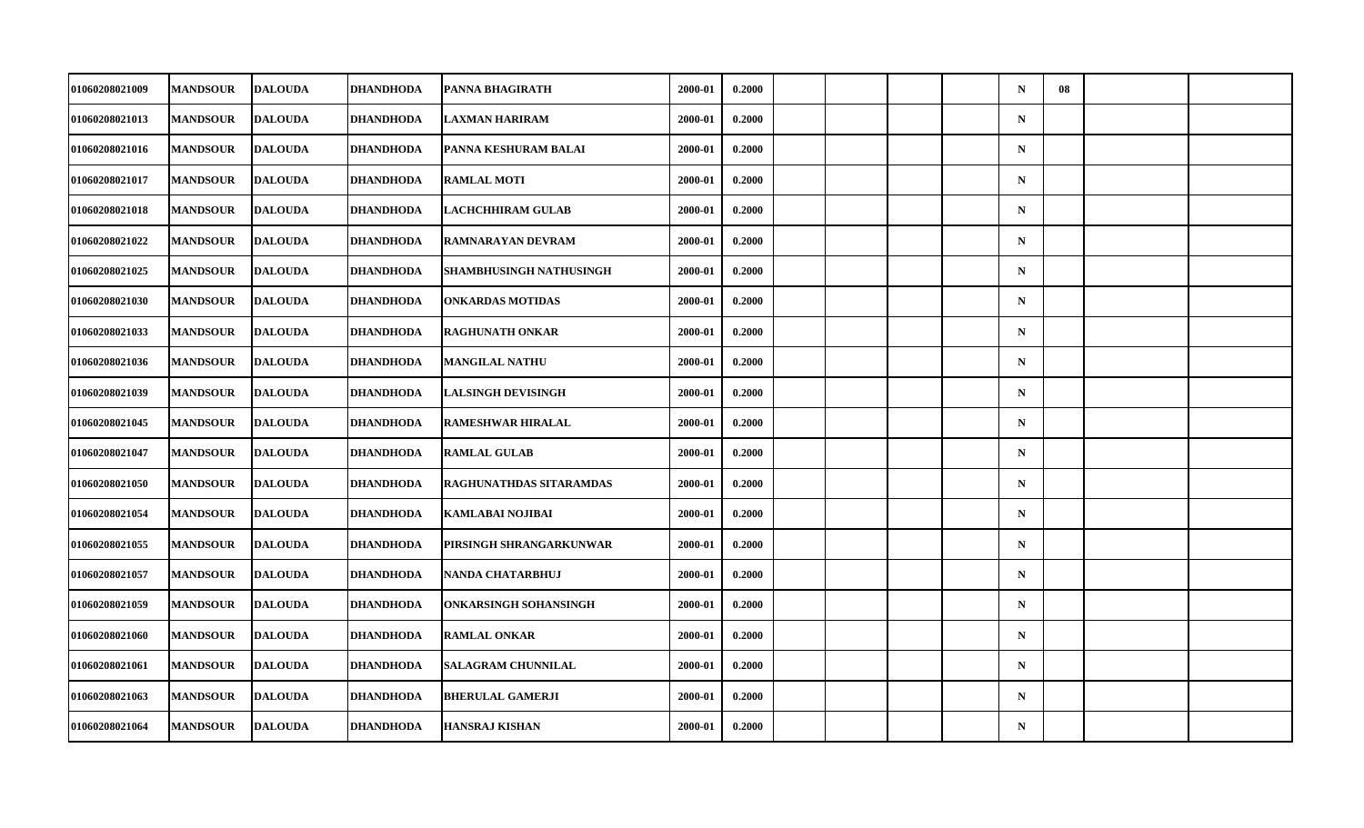| 01060208021009        | <b>MANDSOUR</b> | <b>DALOUDA</b> | DHANDHODA        | PANNA BHAGIRATH              | 2000-01 | 0.2000 |  |  | $\mathbf N$ | 08 |  |
|-----------------------|-----------------|----------------|------------------|------------------------------|---------|--------|--|--|-------------|----|--|
| 01060208021013        | <b>MANDSOUR</b> | <b>DALOUDA</b> | DHANDHODA        | LAXMAN HARIRAM               | 2000-01 | 0.2000 |  |  | $\mathbf N$ |    |  |
| 01060208021016        | <b>MANDSOUR</b> | <b>DALOUDA</b> | <b>DHANDHODA</b> | PANNA KESHURAM BALAI         | 2000-01 | 0.2000 |  |  | $\mathbf N$ |    |  |
| 01060208021017        | <b>MANDSOUR</b> | <b>DALOUDA</b> | DHANDHODA        | <b>RAMLAL MOTI</b>           | 2000-01 | 0.2000 |  |  | $\mathbf N$ |    |  |
| 01060208021018        | <b>MANDSOUR</b> | <b>DALOUDA</b> | DHANDHODA        | LACHCHHIRAM GULAB            | 2000-01 | 0.2000 |  |  | $\mathbf N$ |    |  |
| 01060208021022        | <b>MANDSOUR</b> | <b>DALOUDA</b> | <b>DHANDHODA</b> | <b>RAMNARAYAN DEVRAM</b>     | 2000-01 | 0.2000 |  |  | $\mathbf N$ |    |  |
| 01060208021025        | <b>MANDSOUR</b> | <b>DALOUDA</b> | <b>DHANDHODA</b> | SHAMBHUSINGH NATHUSINGH      | 2000-01 | 0.2000 |  |  | $\mathbf N$ |    |  |
| 01060208021030        | <b>MANDSOUR</b> | <b>DALOUDA</b> | DHANDHODA        | <b>ONKARDAS MOTIDAS</b>      | 2000-01 | 0.2000 |  |  | $\mathbf N$ |    |  |
| 01060208021033        | <b>MANDSOUR</b> | <b>DALOUDA</b> | <b>DHANDHODA</b> | <b>RAGHUNATH ONKAR</b>       | 2000-01 | 0.2000 |  |  | $\mathbf N$ |    |  |
| 01060208021036        | <b>MANDSOUR</b> | <b>DALOUDA</b> | <b>DHANDHODA</b> | <b>MANGILAL NATHU</b>        | 2000-01 | 0.2000 |  |  | $\mathbf N$ |    |  |
| 01060208021039        | <b>MANDSOUR</b> | <b>DALOUDA</b> | DHANDHODA        | <b>LALSINGH DEVISINGH</b>    | 2000-01 | 0.2000 |  |  | $\mathbf N$ |    |  |
| 01060208021045        | <b>MANDSOUR</b> | <b>DALOUDA</b> | <b>DHANDHODA</b> | <b>RAMESHWAR HIRALAL</b>     | 2000-01 | 0.2000 |  |  | $\mathbf N$ |    |  |
| 01060208021047        | <b>MANDSOUR</b> | <b>DALOUDA</b> | <b>DHANDHODA</b> | <b>RAMLAL GULAB</b>          | 2000-01 | 0.2000 |  |  | ${\bf N}$   |    |  |
| 01060208021050        | <b>MANDSOUR</b> | <b>DALOUDA</b> | DHANDHODA        | RAGHUNATHDAS SITARAMDAS      | 2000-01 | 0.2000 |  |  | $\mathbf N$ |    |  |
| 01060208021054        | <b>MANDSOUR</b> | <b>DALOUDA</b> | <b>DHANDHODA</b> | <b>KAMLABAI NOJIBAI</b>      | 2000-01 | 0.2000 |  |  | $\mathbf N$ |    |  |
| 01060208021055        | <b>MANDSOUR</b> | <b>DALOUDA</b> | <b>DHANDHODA</b> | PIRSINGH SHRANGARKUNWAR      | 2000-01 | 0.2000 |  |  | $\mathbf N$ |    |  |
| <b>01060208021057</b> | <b>MANDSOUR</b> | <b>DALOUDA</b> | <b>DHANDHODA</b> | <b>NANDA CHATARBHUJ</b>      | 2000-01 | 0.2000 |  |  | $\mathbf N$ |    |  |
| 01060208021059        | <b>MANDSOUR</b> | <b>DALOUDA</b> | <b>DHANDHODA</b> | <b>ONKARSINGH SOHANSINGH</b> | 2000-01 | 0.2000 |  |  | $\mathbf N$ |    |  |
| 01060208021060        | <b>MANDSOUR</b> | <b>DALOUDA</b> | <b>DHANDHODA</b> | <b>RAMLAL ONKAR</b>          | 2000-01 | 0.2000 |  |  | $\mathbf N$ |    |  |
| 01060208021061        | <b>MANDSOUR</b> | <b>DALOUDA</b> | <b>DHANDHODA</b> | <b>SALAGRAM CHUNNILAL</b>    | 2000-01 | 0.2000 |  |  | $\mathbf N$ |    |  |
| 01060208021063        | <b>MANDSOUR</b> | <b>DALOUDA</b> | <b>DHANDHODA</b> | <b>BHERULAL GAMERJI</b>      | 2000-01 | 0.2000 |  |  | $\mathbf N$ |    |  |
| 01060208021064        | <b>MANDSOUR</b> | <b>DALOUDA</b> | <b>DHANDHODA</b> | <b>HANSRAJ KISHAN</b>        | 2000-01 | 0.2000 |  |  | $\mathbf N$ |    |  |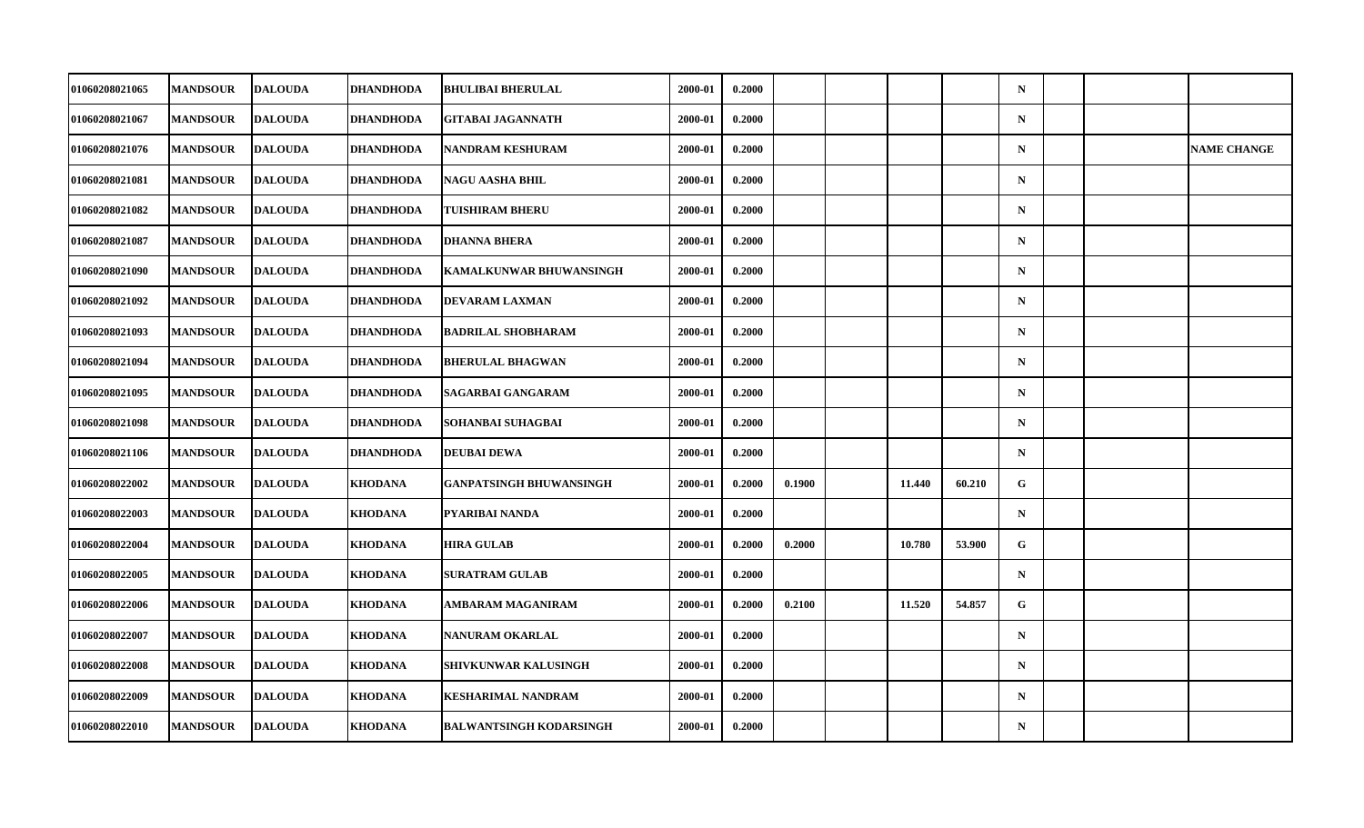| 01060208021065        | <b>MANDSOUR</b> | <b>DALOUDA</b> | DHANDHODA        | <b>BHULIBAI BHERULAL</b>       | 2000-01 | 0.2000 |        |        |        | $\mathbf N$ |  |                    |
|-----------------------|-----------------|----------------|------------------|--------------------------------|---------|--------|--------|--------|--------|-------------|--|--------------------|
| 01060208021067        | <b>MANDSOUR</b> | <b>DALOUDA</b> | <b>DHANDHODA</b> | <b>GITABAI JAGANNATH</b>       | 2000-01 | 0.2000 |        |        |        | $\mathbf N$ |  |                    |
| 01060208021076        | <b>MANDSOUR</b> | <b>DALOUDA</b> | <b>DHANDHODA</b> | <b>NANDRAM KESHURAM</b>        | 2000-01 | 0.2000 |        |        |        | $\mathbf N$ |  | <b>NAME CHANGE</b> |
| 01060208021081        | <b>MANDSOUR</b> | <b>DALOUDA</b> | DHANDHODA        | <b>NAGU AASHA BHIL</b>         | 2000-01 | 0.2000 |        |        |        | $\mathbf N$ |  |                    |
| 01060208021082        | <b>MANDSOUR</b> | <b>DALOUDA</b> | DHANDHODA        | <b>TUISHIRAM BHERU</b>         | 2000-01 | 0.2000 |        |        |        | $\mathbf N$ |  |                    |
| 01060208021087        | <b>MANDSOUR</b> | <b>DALOUDA</b> | <b>DHANDHODA</b> | <b>DHANNA BHERA</b>            | 2000-01 | 0.2000 |        |        |        | $\mathbf N$ |  |                    |
| 01060208021090        | <b>MANDSOUR</b> | <b>DALOUDA</b> | <b>DHANDHODA</b> | <b>KAMALKUNWAR BHUWANSINGH</b> | 2000-01 | 0.2000 |        |        |        | $\mathbf N$ |  |                    |
| <b>01060208021092</b> | <b>MANDSOUR</b> | <b>DALOUDA</b> | DHANDHODA        | <b>DEVARAM LAXMAN</b>          | 2000-01 | 0.2000 |        |        |        | $\mathbf N$ |  |                    |
| 01060208021093        | <b>MANDSOUR</b> | <b>DALOUDA</b> | <b>DHANDHODA</b> | <b>BADRILAL SHOBHARAM</b>      | 2000-01 | 0.2000 |        |        |        | $\mathbf N$ |  |                    |
| 01060208021094        | <b>MANDSOUR</b> | <b>DALOUDA</b> | <b>DHANDHODA</b> | <b>BHERULAL BHAGWAN</b>        | 2000-01 | 0.2000 |        |        |        | $\mathbf N$ |  |                    |
| <b>01060208021095</b> | <b>MANDSOUR</b> | <b>DALOUDA</b> | DHANDHODA        | SAGARBAI GANGARAM              | 2000-01 | 0.2000 |        |        |        | $\mathbf N$ |  |                    |
| 01060208021098        | <b>MANDSOUR</b> | <b>DALOUDA</b> | <b>DHANDHODA</b> | SOHANBAI SUHAGBAI              | 2000-01 | 0.2000 |        |        |        | $\mathbf N$ |  |                    |
| 01060208021106        | <b>MANDSOUR</b> | <b>DALOUDA</b> | <b>DHANDHODA</b> | <b>DEUBAI DEWA</b>             | 2000-01 | 0.2000 |        |        |        | $\mathbf N$ |  |                    |
| 01060208022002        | <b>MANDSOUR</b> | <b>DALOUDA</b> | <b>KHODANA</b>   | GANPATSINGH BHUWANSINGH        | 2000-01 | 0.2000 | 0.1900 | 11.440 | 60.210 | G           |  |                    |
| 01060208022003        | <b>MANDSOUR</b> | <b>DALOUDA</b> | <b>KHODANA</b>   | PYARIBAI NANDA                 | 2000-01 | 0.2000 |        |        |        | $\mathbf N$ |  |                    |
| 01060208022004        | <b>MANDSOUR</b> | <b>DALOUDA</b> | <b>KHODANA</b>   | <b>HIRA GULAB</b>              | 2000-01 | 0.2000 | 0.2000 | 10.780 | 53.900 | G           |  |                    |
| 01060208022005        | <b>MANDSOUR</b> | <b>DALOUDA</b> | <b>KHODANA</b>   | <b>SURATRAM GULAB</b>          | 2000-01 | 0.2000 |        |        |        | $\mathbf N$ |  |                    |
| 01060208022006        | <b>MANDSOUR</b> | <b>DALOUDA</b> | <b>KHODANA</b>   | <b>AMBARAM MAGANIRAM</b>       | 2000-01 | 0.2000 | 0.2100 | 11.520 | 54.857 | $\mathbf G$ |  |                    |
| 01060208022007        | <b>MANDSOUR</b> | <b>DALOUDA</b> | <b>KHODANA</b>   | NANURAM OKARLAL                | 2000-01 | 0.2000 |        |        |        | $\mathbf N$ |  |                    |
| 01060208022008        | <b>MANDSOUR</b> | <b>DALOUDA</b> | <b>KHODANA</b>   | SHIVKUNWAR KALUSINGH           | 2000-01 | 0.2000 |        |        |        | $\mathbf N$ |  |                    |
| 01060208022009        | <b>MANDSOUR</b> | <b>DALOUDA</b> | <b>KHODANA</b>   | <b>KESHARIMAL NANDRAM</b>      | 2000-01 | 0.2000 |        |        |        | $\mathbf N$ |  |                    |
| 01060208022010        | <b>MANDSOUR</b> | <b>DALOUDA</b> | <b>KHODANA</b>   | <b>BALWANTSINGH KODARSINGH</b> | 2000-01 | 0.2000 |        |        |        | $\mathbf N$ |  |                    |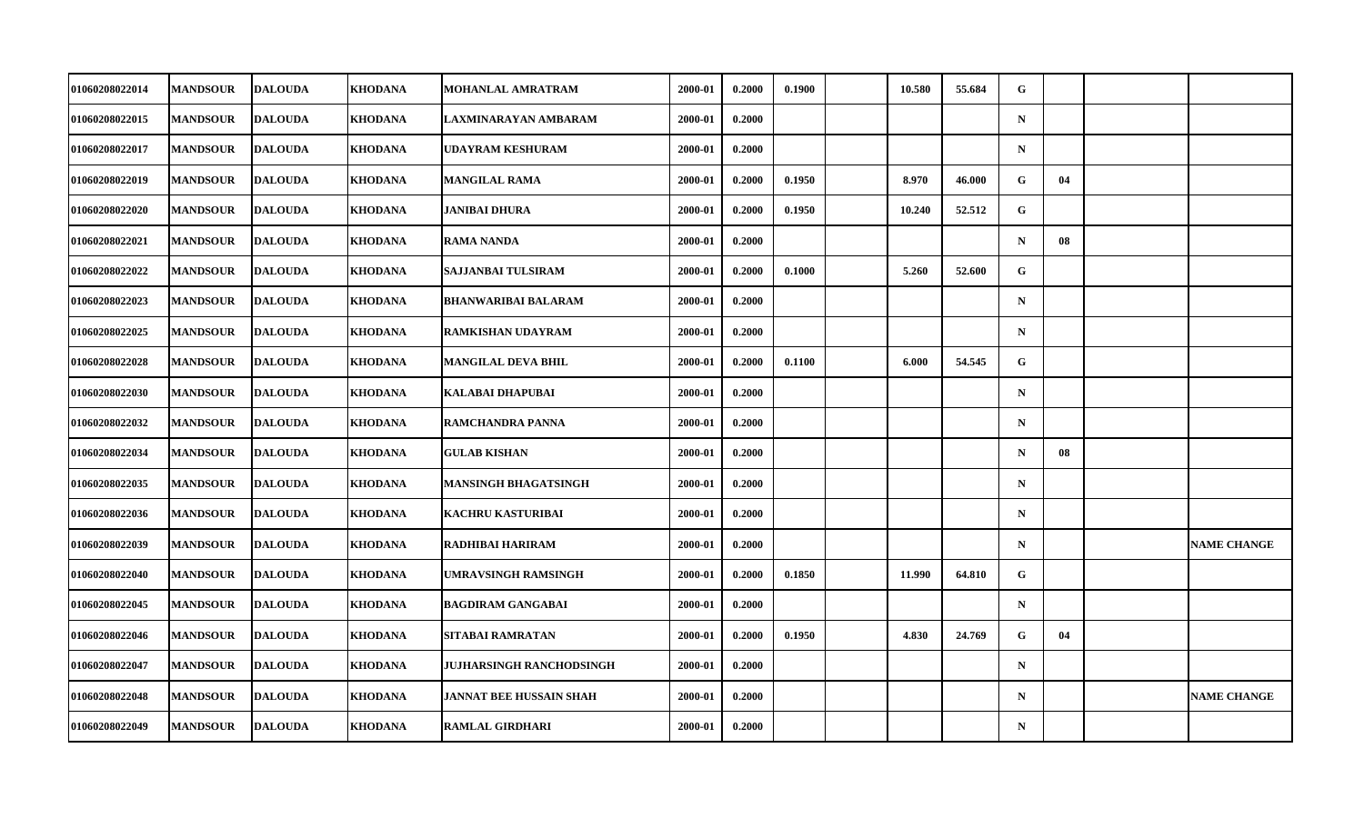| 01060208022014        | <b>MANDSOUR</b> | <b>DALOUDA</b> | KHODANA        | MOHANLAL AMRATRAM              | 2000-01 | 0.2000 | 0.1900 | 10.580 | 55.684 | G           |    |                    |
|-----------------------|-----------------|----------------|----------------|--------------------------------|---------|--------|--------|--------|--------|-------------|----|--------------------|
| 01060208022015        | <b>MANDSOUR</b> | <b>DALOUDA</b> | <b>KHODANA</b> | LAXMINARAYAN AMBARAM           | 2000-01 | 0.2000 |        |        |        | $\mathbf N$ |    |                    |
| 01060208022017        | <b>MANDSOUR</b> | <b>DALOUDA</b> | <b>KHODANA</b> | <b>UDAYRAM KESHURAM</b>        | 2000-01 | 0.2000 |        |        |        | $\mathbf N$ |    |                    |
| 01060208022019        | <b>MANDSOUR</b> | <b>DALOUDA</b> | <b>KHODANA</b> | MANGILAL RAMA                  | 2000-01 | 0.2000 | 0.1950 | 8.970  | 46.000 | G.          | 04 |                    |
| 01060208022020        | <b>MANDSOUR</b> | <b>DALOUDA</b> | <b>KHODANA</b> | JANIBAI DHURA                  | 2000-01 | 0.2000 | 0.1950 | 10.240 | 52.512 | G           |    |                    |
| 01060208022021        | <b>MANDSOUR</b> | <b>DALOUDA</b> | <b>KHODANA</b> | <b>RAMA NANDA</b>              | 2000-01 | 0.2000 |        |        |        | $\mathbf N$ | 08 |                    |
| 01060208022022        | <b>MANDSOUR</b> | <b>DALOUDA</b> | <b>KHODANA</b> | SAJJANBAI TULSIRAM             | 2000-01 | 0.2000 | 0.1000 | 5.260  | 52.600 | G           |    |                    |
| 01060208022023        | <b>MANDSOUR</b> | <b>DALOUDA</b> | KHODANA        | <b>BHANWARIBAI BALARAM</b>     | 2000-01 | 0.2000 |        |        |        | $\mathbf N$ |    |                    |
| 01060208022025        | <b>MANDSOUR</b> | <b>DALOUDA</b> | <b>KHODANA</b> | RAMKISHAN UDAYRAM              | 2000-01 | 0.2000 |        |        |        | $\mathbf N$ |    |                    |
| 01060208022028        | <b>MANDSOUR</b> | <b>DALOUDA</b> | <b>KHODANA</b> | MANGILAL DEVA BHIL             | 2000-01 | 0.2000 | 0.1100 | 6.000  | 54.545 | G           |    |                    |
| <b>01060208022030</b> | <b>MANDSOUR</b> | <b>DALOUDA</b> | KHODANA        | KALABAI DHAPUBAI               | 2000-01 | 0.2000 |        |        |        | $\mathbf N$ |    |                    |
| 01060208022032        | <b>MANDSOUR</b> | <b>DALOUDA</b> | <b>KHODANA</b> | RAMCHANDRA PANNA               | 2000-01 | 0.2000 |        |        |        | $\mathbf N$ |    |                    |
| 01060208022034        | <b>MANDSOUR</b> | <b>DALOUDA</b> | <b>KHODANA</b> | <b>GULAB KISHAN</b>            | 2000-01 | 0.2000 |        |        |        | $\mathbf N$ | 08 |                    |
| 01060208022035        | <b>MANDSOUR</b> | <b>DALOUDA</b> | <b>KHODANA</b> | MANSINGH BHAGATSINGH           | 2000-01 | 0.2000 |        |        |        | $\mathbf N$ |    |                    |
| 01060208022036        | <b>MANDSOUR</b> | <b>DALOUDA</b> | <b>KHODANA</b> | <b>KACHRU KASTURIBAI</b>       | 2000-01 | 0.2000 |        |        |        | $\mathbf N$ |    |                    |
| 01060208022039        | <b>MANDSOUR</b> | <b>DALOUDA</b> | <b>KHODANA</b> | RADHIBAI HARIRAM               | 2000-01 | 0.2000 |        |        |        | $\mathbf N$ |    | <b>NAME CHANGE</b> |
| 01060208022040        | <b>MANDSOUR</b> | <b>DALOUDA</b> | <b>KHODANA</b> | UMRAVSINGH RAMSINGH            | 2000-01 | 0.2000 | 0.1850 | 11.990 | 64.810 | G           |    |                    |
| 01060208022045        | <b>MANDSOUR</b> | <b>DALOUDA</b> | <b>KHODANA</b> | <b>BAGDIRAM GANGABAI</b>       | 2000-01 | 0.2000 |        |        |        | $\mathbf N$ |    |                    |
| 01060208022046        | <b>MANDSOUR</b> | <b>DALOUDA</b> | <b>KHODANA</b> | SITABAI RAMRATAN               | 2000-01 | 0.2000 | 0.1950 | 4.830  | 24.769 | G           | 04 |                    |
| 01060208022047        | <b>MANDSOUR</b> | <b>DALOUDA</b> | <b>KHODANA</b> | JUJHARSINGH RANCHODSINGH       | 2000-01 | 0.2000 |        |        |        | $\mathbf N$ |    |                    |
| 01060208022048        | <b>MANDSOUR</b> | <b>DALOUDA</b> | <b>KHODANA</b> | <b>JANNAT BEE HUSSAIN SHAH</b> | 2000-01 | 0.2000 |        |        |        | $\mathbf N$ |    | <b>NAME CHANGE</b> |
| 01060208022049        | <b>MANDSOUR</b> | <b>DALOUDA</b> | <b>KHODANA</b> | <b>RAMLAL GIRDHARI</b>         | 2000-01 | 0.2000 |        |        |        | $\mathbf N$ |    |                    |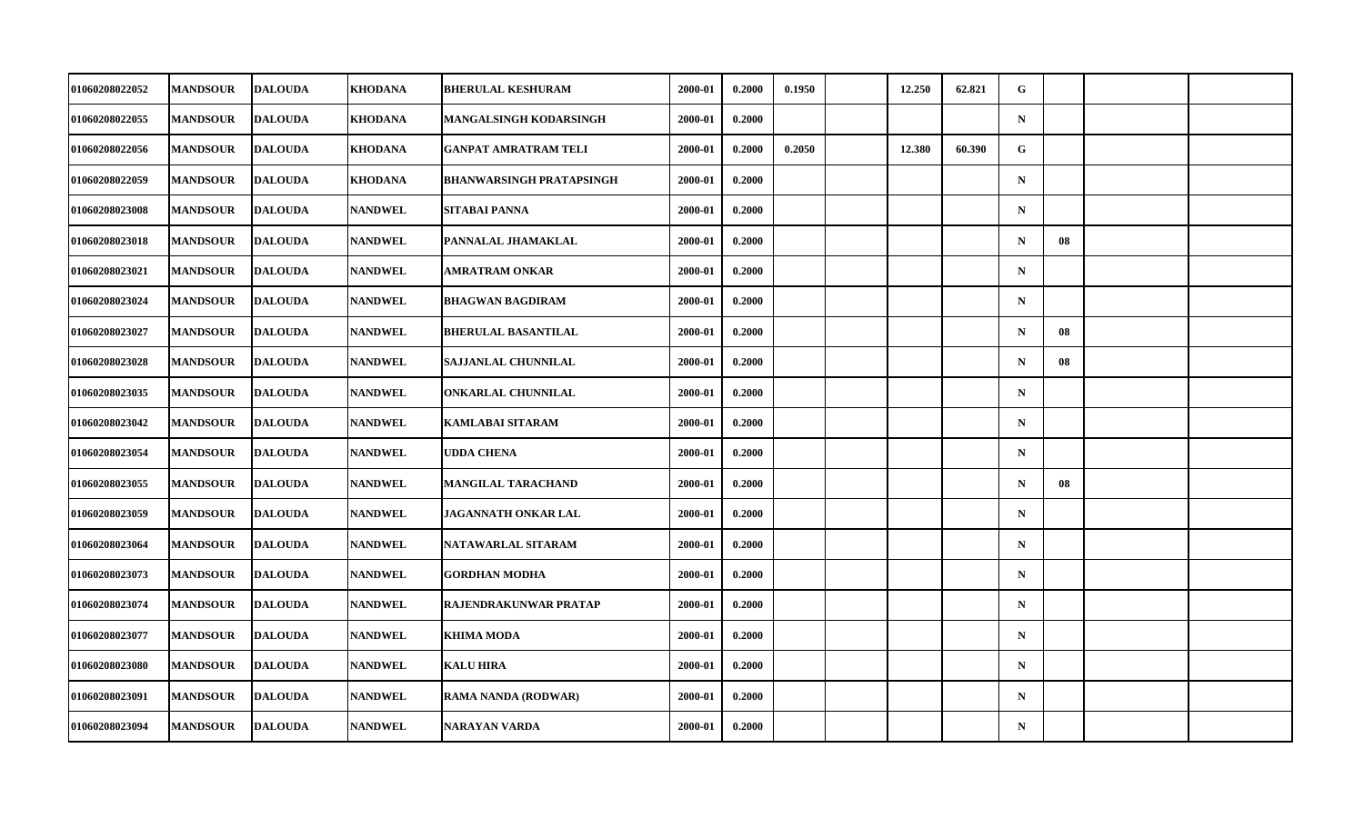| 01060208022052 | <b>MANDSOUR</b> | <b>DALOUDA</b> | KHODANA        | <b>BHERULAL KESHURAM</b>        | 2000-01 | 0.2000 | 0.1950 | 12.250 | 62.821 | G           |    |  |
|----------------|-----------------|----------------|----------------|---------------------------------|---------|--------|--------|--------|--------|-------------|----|--|
| 01060208022055 | <b>MANDSOUR</b> | <b>DALOUDA</b> | <b>KHODANA</b> | MANGALSINGH KODARSINGH          | 2000-01 | 0.2000 |        |        |        | $\mathbf N$ |    |  |
| 01060208022056 | <b>MANDSOUR</b> | <b>DALOUDA</b> | <b>KHODANA</b> | <b>GANPAT AMRATRAM TELI</b>     | 2000-01 | 0.2000 | 0.2050 | 12.380 | 60.390 | G           |    |  |
| 01060208022059 | <b>MANDSOUR</b> | <b>DALOUDA</b> | <b>KHODANA</b> | <b>BHANWARSINGH PRATAPSINGH</b> | 2000-01 | 0.2000 |        |        |        | $\mathbf N$ |    |  |
| 01060208023008 | <b>MANDSOUR</b> | <b>DALOUDA</b> | <b>NANDWEL</b> | <b>SITABAI PANNA</b>            | 2000-01 | 0.2000 |        |        |        | $\mathbf N$ |    |  |
| 01060208023018 | <b>MANDSOUR</b> | <b>DALOUDA</b> | <b>NANDWEL</b> | PANNALAL JHAMAKLAL              | 2000-01 | 0.2000 |        |        |        | $\mathbf N$ | 08 |  |
| 01060208023021 | <b>MANDSOUR</b> | <b>DALOUDA</b> | <b>NANDWEL</b> | <b>AMRATRAM ONKAR</b>           | 2000-01 | 0.2000 |        |        |        | $\mathbf N$ |    |  |
| 01060208023024 | <b>MANDSOUR</b> | <b>DALOUDA</b> | <b>NANDWEL</b> | <b>BHAGWAN BAGDIRAM</b>         | 2000-01 | 0.2000 |        |        |        | $\mathbf N$ |    |  |
| 01060208023027 | <b>MANDSOUR</b> | <b>DALOUDA</b> | <b>NANDWEL</b> | <b>BHERULAL BASANTILAL</b>      | 2000-01 | 0.2000 |        |        |        | $\mathbf N$ | 08 |  |
| 01060208023028 | <b>MANDSOUR</b> | <b>DALOUDA</b> | <b>NANDWEL</b> | SAJJANLAL CHUNNILAL             | 2000-01 | 0.2000 |        |        |        | $\mathbf N$ | 08 |  |
| 01060208023035 | <b>MANDSOUR</b> | <b>DALOUDA</b> | <b>NANDWEL</b> | ONKARLAL CHUNNILAL              | 2000-01 | 0.2000 |        |        |        | $\mathbf N$ |    |  |
| 01060208023042 | <b>MANDSOUR</b> | <b>DALOUDA</b> | <b>NANDWEL</b> | <b>KAMLABAI SITARAM</b>         | 2000-01 | 0.2000 |        |        |        | $\mathbf N$ |    |  |
| 01060208023054 | <b>MANDSOUR</b> | <b>DALOUDA</b> | <b>NANDWEL</b> | <b>UDDA CHENA</b>               | 2000-01 | 0.2000 |        |        |        | $\mathbf N$ |    |  |
| 01060208023055 | <b>MANDSOUR</b> | <b>DALOUDA</b> | <b>NANDWEL</b> | MANGILAL TARACHAND              | 2000-01 | 0.2000 |        |        |        | $\mathbf N$ | 08 |  |
| 01060208023059 | <b>MANDSOUR</b> | <b>DALOUDA</b> | <b>NANDWEL</b> | <b>JAGANNATH ONKAR LAL</b>      | 2000-01 | 0.2000 |        |        |        | $\mathbf N$ |    |  |
| 01060208023064 | <b>MANDSOUR</b> | <b>DALOUDA</b> | <b>NANDWEL</b> | NATAWARLAL SITARAM              | 2000-01 | 0.2000 |        |        |        | $\mathbf N$ |    |  |
| 01060208023073 | <b>MANDSOUR</b> | <b>DALOUDA</b> | <b>NANDWEL</b> | <b>GORDHAN MODHA</b>            | 2000-01 | 0.2000 |        |        |        | $\mathbf N$ |    |  |
| 01060208023074 | <b>MANDSOUR</b> | <b>DALOUDA</b> | <b>NANDWEL</b> | RAJENDRAKUNWAR PRATAP           | 2000-01 | 0.2000 |        |        |        | $\mathbf N$ |    |  |
| 01060208023077 | <b>MANDSOUR</b> | <b>DALOUDA</b> | <b>NANDWEL</b> | <b>KHIMA MODA</b>               | 2000-01 | 0.2000 |        |        |        | $\mathbf N$ |    |  |
| 01060208023080 | <b>MANDSOUR</b> | <b>DALOUDA</b> | <b>NANDWEL</b> | <b>KALU HIRA</b>                | 2000-01 | 0.2000 |        |        |        | $\mathbf N$ |    |  |
| 01060208023091 | <b>MANDSOUR</b> | <b>DALOUDA</b> | <b>NANDWEL</b> | RAMA NANDA (RODWAR)             | 2000-01 | 0.2000 |        |        |        | $\mathbf N$ |    |  |
| 01060208023094 | <b>MANDSOUR</b> | <b>DALOUDA</b> | <b>NANDWEL</b> | <b>NARAYAN VARDA</b>            | 2000-01 | 0.2000 |        |        |        | ${\bf N}$   |    |  |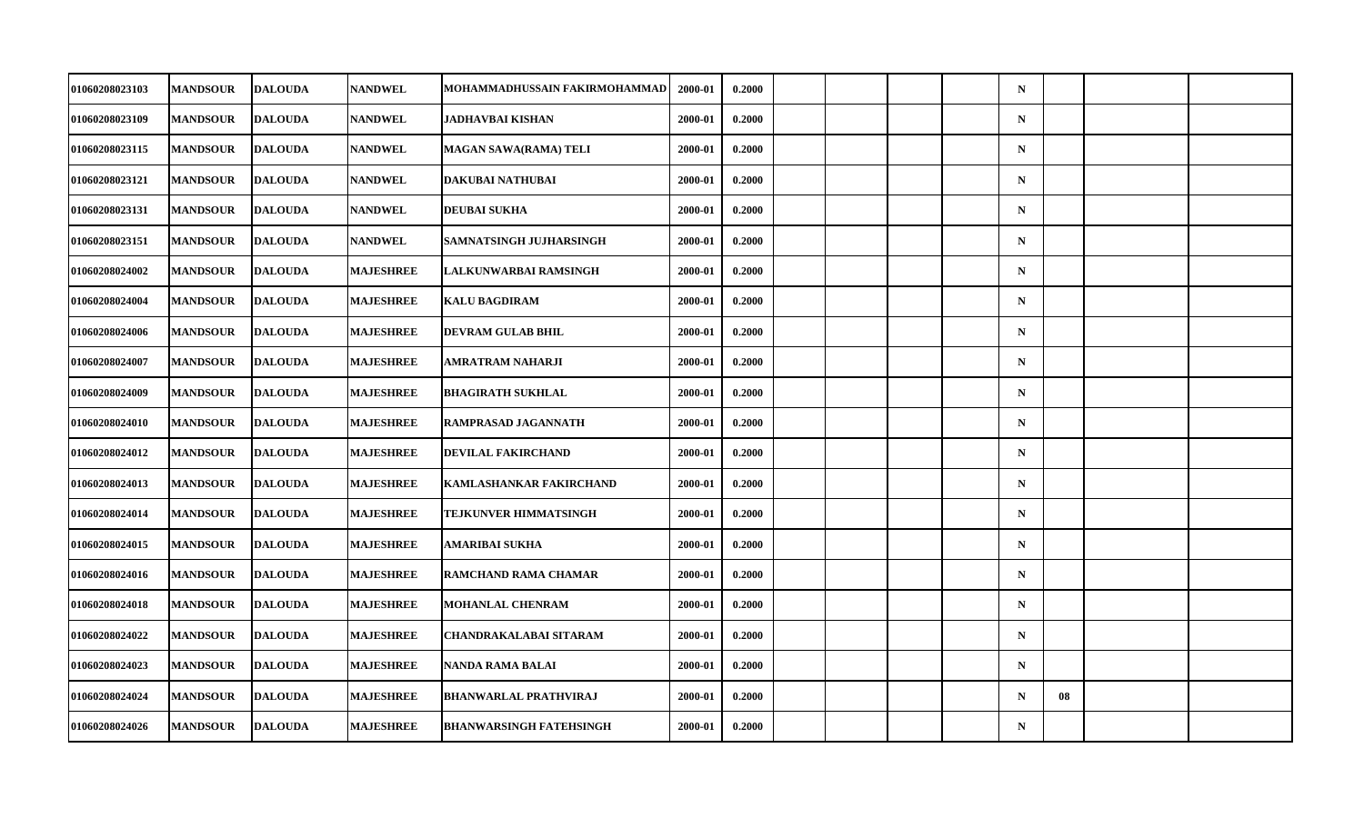| <b>MANDSOUR</b> | <b>DALOUDA</b> | <b>NANDWEL</b>                                                                                                                                                                                                       |                                | 2000-01 | 0.2000                        |  |  | $\mathbf N$ |    |  |
|-----------------|----------------|----------------------------------------------------------------------------------------------------------------------------------------------------------------------------------------------------------------------|--------------------------------|---------|-------------------------------|--|--|-------------|----|--|
| <b>MANDSOUR</b> | <b>DALOUDA</b> | <b>NANDWEL</b>                                                                                                                                                                                                       | JADHAVBAI KISHAN               | 2000-01 | 0.2000                        |  |  | ${\bf N}$   |    |  |
| <b>MANDSOUR</b> | <b>DALOUDA</b> | <b>NANDWEL</b>                                                                                                                                                                                                       | MAGAN SAWA(RAMA) TELI          | 2000-01 | 0.2000                        |  |  | $\mathbf N$ |    |  |
| <b>MANDSOUR</b> |                | <b>NANDWEL</b>                                                                                                                                                                                                       | DAKUBAI NATHUBAI               | 2000-01 | 0.2000                        |  |  | $\mathbf N$ |    |  |
| <b>MANDSOUR</b> |                | <b>NANDWEL</b>                                                                                                                                                                                                       | <b>DEUBAI SUKHA</b>            | 2000-01 | 0.2000                        |  |  | $\mathbf N$ |    |  |
| <b>MANDSOUR</b> | <b>DALOUDA</b> | <b>NANDWEL</b>                                                                                                                                                                                                       | SAMNATSINGH JUJHARSINGH        | 2000-01 | 0.2000                        |  |  | $\mathbf N$ |    |  |
| <b>MANDSOUR</b> | <b>DALOUDA</b> | <b>MAJESHREE</b>                                                                                                                                                                                                     | LALKUNWARBAI RAMSINGH          | 2000-01 | 0.2000                        |  |  | $\mathbf N$ |    |  |
| <b>MANDSOUR</b> |                | <b>MAJESHREE</b>                                                                                                                                                                                                     | <b>KALU BAGDIRAM</b>           | 2000-01 | 0.2000                        |  |  | $\mathbf N$ |    |  |
| <b>MANDSOUR</b> | <b>DALOUDA</b> | <b>MAJESHREE</b>                                                                                                                                                                                                     | <b>DEVRAM GULAB BHIL</b>       | 2000-01 | 0.2000                        |  |  | $\mathbf N$ |    |  |
| <b>MANDSOUR</b> |                | <b>MAJESHREE</b>                                                                                                                                                                                                     | AMRATRAM NAHARJI               | 2000-01 | 0.2000                        |  |  | $\mathbf N$ |    |  |
| <b>MANDSOUR</b> |                | <b>MAJESHREE</b>                                                                                                                                                                                                     | <b>BHAGIRATH SUKHLAL</b>       | 2000-01 | 0.2000                        |  |  | $\mathbf N$ |    |  |
| <b>MANDSOUR</b> | <b>DALOUDA</b> | <b>MAJESHREE</b>                                                                                                                                                                                                     | RAMPRASAD JAGANNATH            | 2000-01 | 0.2000                        |  |  | $\mathbf N$ |    |  |
| <b>MANDSOUR</b> |                | <b>MAJESHREE</b>                                                                                                                                                                                                     | DEVILAL FAKIRCHAND             | 2000-01 | 0.2000                        |  |  | ${\bf N}$   |    |  |
| <b>MANDSOUR</b> |                | <b>MAJESHREE</b>                                                                                                                                                                                                     | KAMLASHANKAR FAKIRCHAND        | 2000-01 | 0.2000                        |  |  | $\mathbf N$ |    |  |
| <b>MANDSOUR</b> | <b>DALOUDA</b> | <b>MAJESHREE</b>                                                                                                                                                                                                     | TEJKUNVER HIMMATSINGH          | 2000-01 | 0.2000                        |  |  | $\mathbf N$ |    |  |
| <b>MANDSOUR</b> |                | <b>MAJESHREE</b>                                                                                                                                                                                                     | AMARIBAI SUKHA                 | 2000-01 | 0.2000                        |  |  | $\mathbf N$ |    |  |
| <b>MANDSOUR</b> |                | <b>MAJESHREE</b>                                                                                                                                                                                                     | RAMCHAND RAMA CHAMAR           | 2000-01 | 0.2000                        |  |  | $\mathbf N$ |    |  |
| <b>MANDSOUR</b> | <b>DALOUDA</b> | <b>MAJESHREE</b>                                                                                                                                                                                                     | <b>MOHANLAL CHENRAM</b>        | 2000-01 | 0.2000                        |  |  | $\mathbf N$ |    |  |
| <b>MANDSOUR</b> |                | <b>MAJESHREE</b>                                                                                                                                                                                                     | <b>CHANDRAKALABAI SITARAM</b>  | 2000-01 | 0.2000                        |  |  | $\mathbf N$ |    |  |
| <b>MANDSOUR</b> |                | <b>MAJESHREE</b>                                                                                                                                                                                                     | NANDA RAMA BALAI               | 2000-01 | 0.2000                        |  |  | $\mathbf N$ |    |  |
| <b>MANDSOUR</b> | <b>DALOUDA</b> | <b>MAJESHREE</b>                                                                                                                                                                                                     | <b>BHANWARLAL PRATHVIRAJ</b>   | 2000-01 | 0.2000                        |  |  | $\mathbf N$ | 08 |  |
| <b>MANDSOUR</b> |                | <b>MAJESHREE</b>                                                                                                                                                                                                     | <b>BHANWARSINGH FATEHSINGH</b> | 2000-01 | 0.2000                        |  |  | $\mathbf N$ |    |  |
|                 |                | <b>DALOUDA</b><br><b>DALOUDA</b><br><b>DALOUDA</b><br><b>DALOUDA</b><br><b>DALOUDA</b><br><b>DALOUDA</b><br><b>DALOUDA</b><br><b>DALOUDA</b><br><b>DALOUDA</b><br><b>DALOUDA</b><br><b>DALOUDA</b><br><b>DALOUDA</b> |                                |         | MOHAMMADHUSSAIN FAKIRMOHAMMAD |  |  |             |    |  |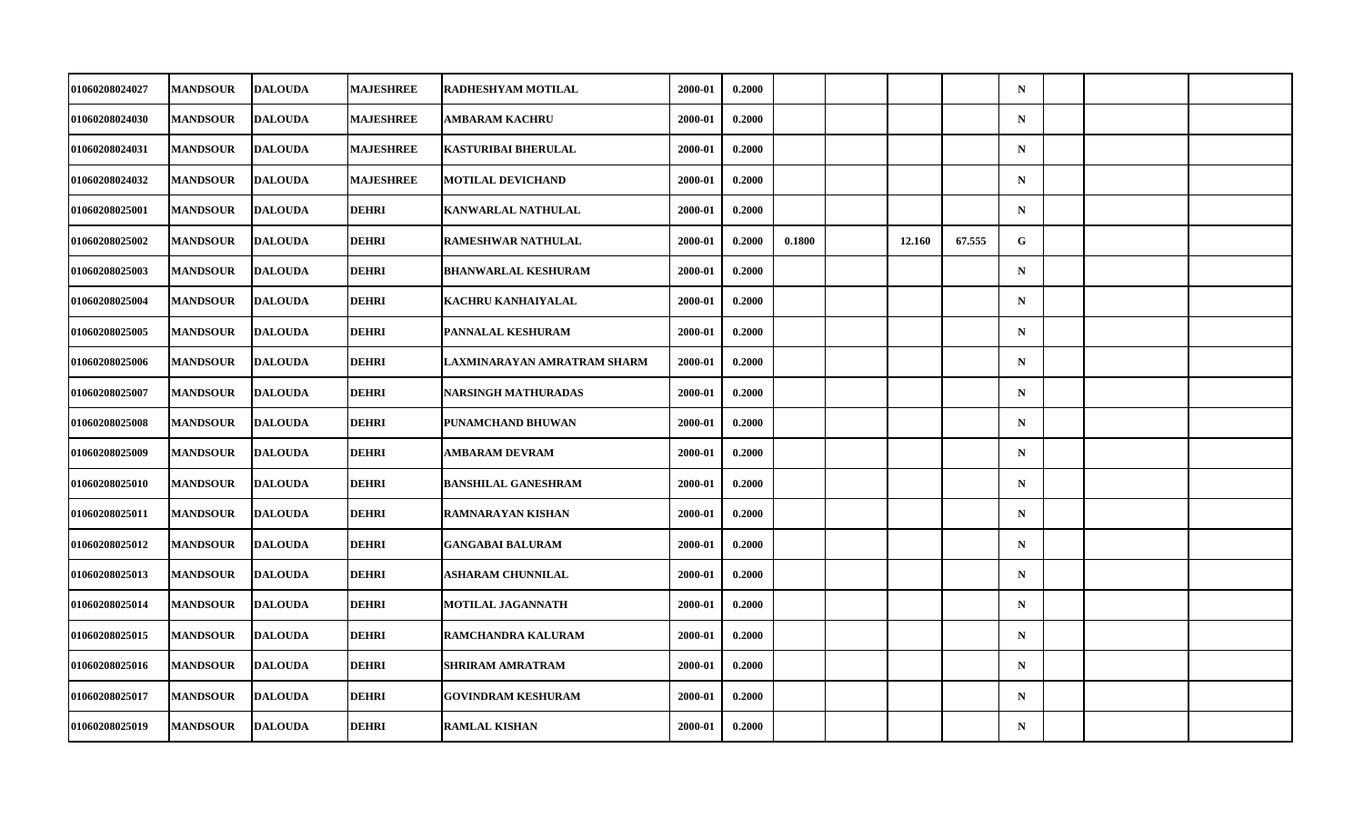| 01060208024027 | <b>MANDSOUR</b> | <b>DALOUDA</b> | <b>MAJESHREE</b> | RADHESHYAM MOTILAL          | 2000-01 | 0.2000 |        |        |        | $\mathbf N$ |  |  |
|----------------|-----------------|----------------|------------------|-----------------------------|---------|--------|--------|--------|--------|-------------|--|--|
| 01060208024030 | <b>MANDSOUR</b> | <b>DALOUDA</b> | <b>MAJESHREE</b> | AMBARAM KACHRU              | 2000-01 | 0.2000 |        |        |        | $\mathbf N$ |  |  |
| 01060208024031 | <b>MANDSOUR</b> | <b>DALOUDA</b> | <b>MAJESHREE</b> | <b>KASTURIBAI BHERULAL</b>  | 2000-01 | 0.2000 |        |        |        | $\mathbf N$ |  |  |
| 01060208024032 | <b>MANDSOUR</b> | <b>DALOUDA</b> | <b>MAJESHREE</b> | <b>MOTILAL DEVICHAND</b>    | 2000-01 | 0.2000 |        |        |        | $\mathbf N$ |  |  |
| 01060208025001 | <b>MANDSOUR</b> | <b>DALOUDA</b> | <b>DEHRI</b>     | KANWARLAL NATHULAL          | 2000-01 | 0.2000 |        |        |        | $\mathbf N$ |  |  |
| 01060208025002 | <b>MANDSOUR</b> | <b>DALOUDA</b> | <b>DEHRI</b>     | <b>RAMESHWAR NATHULAL</b>   | 2000-01 | 0.2000 | 0.1800 | 12.160 | 67.555 | G           |  |  |
| 01060208025003 | <b>MANDSOUR</b> | <b>DALOUDA</b> | <b>DEHRI</b>     | <b>BHANWARLAL KESHURAM</b>  | 2000-01 | 0.2000 |        |        |        | $\mathbf N$ |  |  |
| 01060208025004 | <b>MANDSOUR</b> | <b>DALOUDA</b> | <b>DEHRI</b>     | KACHRU KANHAIYALAL          | 2000-01 | 0.2000 |        |        |        | $\mathbf N$ |  |  |
| 01060208025005 | <b>MANDSOUR</b> | <b>DALOUDA</b> | <b>DEHRI</b>     | PANNALAL KESHURAM           | 2000-01 | 0.2000 |        |        |        | $\mathbf N$ |  |  |
| 01060208025006 | <b>MANDSOUR</b> | <b>DALOUDA</b> | <b>DEHRI</b>     | LAXMINARAYAN AMRATRAM SHARM | 2000-01 | 0.2000 |        |        |        | $\mathbf N$ |  |  |
| 01060208025007 | <b>MANDSOUR</b> | <b>DALOUDA</b> | DEHRI            | <b>NARSINGH MATHURADAS</b>  | 2000-01 | 0.2000 |        |        |        | $\mathbf N$ |  |  |
| 01060208025008 | <b>MANDSOUR</b> | <b>DALOUDA</b> | <b>DEHRI</b>     | PUNAMCHAND BHUWAN           | 2000-01 | 0.2000 |        |        |        | $\mathbf N$ |  |  |
| 01060208025009 | <b>MANDSOUR</b> | <b>DALOUDA</b> | <b>DEHRI</b>     | <b>AMBARAM DEVRAM</b>       | 2000-01 | 0.2000 |        |        |        | $\mathbf N$ |  |  |
| 01060208025010 | <b>MANDSOUR</b> | <b>DALOUDA</b> | <b>DEHRI</b>     | <b>BANSHILAL GANESHRAM</b>  | 2000-01 | 0.2000 |        |        |        | $\mathbf N$ |  |  |
| 01060208025011 | <b>MANDSOUR</b> | <b>DALOUDA</b> | <b>DEHRI</b>     | <b>RAMNARAYAN KISHAN</b>    | 2000-01 | 0.2000 |        |        |        | $\mathbf N$ |  |  |
| 01060208025012 | <b>MANDSOUR</b> | <b>DALOUDA</b> | <b>DEHRI</b>     | <b>GANGABAI BALURAM</b>     | 2000-01 | 0.2000 |        |        |        | $\mathbf N$ |  |  |
| 01060208025013 | <b>MANDSOUR</b> | <b>DALOUDA</b> | <b>DEHRI</b>     | <b>ASHARAM CHUNNILAL</b>    | 2000-01 | 0.2000 |        |        |        | $\mathbf N$ |  |  |
| 01060208025014 | <b>MANDSOUR</b> | <b>DALOUDA</b> | <b>DEHRI</b>     | <b>MOTILAL JAGANNATH</b>    | 2000-01 | 0.2000 |        |        |        | $\mathbf N$ |  |  |
| 01060208025015 | <b>MANDSOUR</b> | <b>DALOUDA</b> | <b>DEHRI</b>     | RAMCHANDRA KALURAM          | 2000-01 | 0.2000 |        |        |        | $\mathbf N$ |  |  |
| 01060208025016 | <b>MANDSOUR</b> | <b>DALOUDA</b> | <b>DEHRI</b>     | SHRIRAM AMRATRAM            | 2000-01 | 0.2000 |        |        |        | $\mathbf N$ |  |  |
| 01060208025017 | <b>MANDSOUR</b> | <b>DALOUDA</b> | <b>DEHRI</b>     | <b>GOVINDRAM KESHURAM</b>   | 2000-01 | 0.2000 |        |        |        | $\mathbf N$ |  |  |
| 01060208025019 | <b>MANDSOUR</b> | <b>DALOUDA</b> | <b>DEHRI</b>     | <b>RAMLAL KISHAN</b>        | 2000-01 | 0.2000 |        |        |        | ${\bf N}$   |  |  |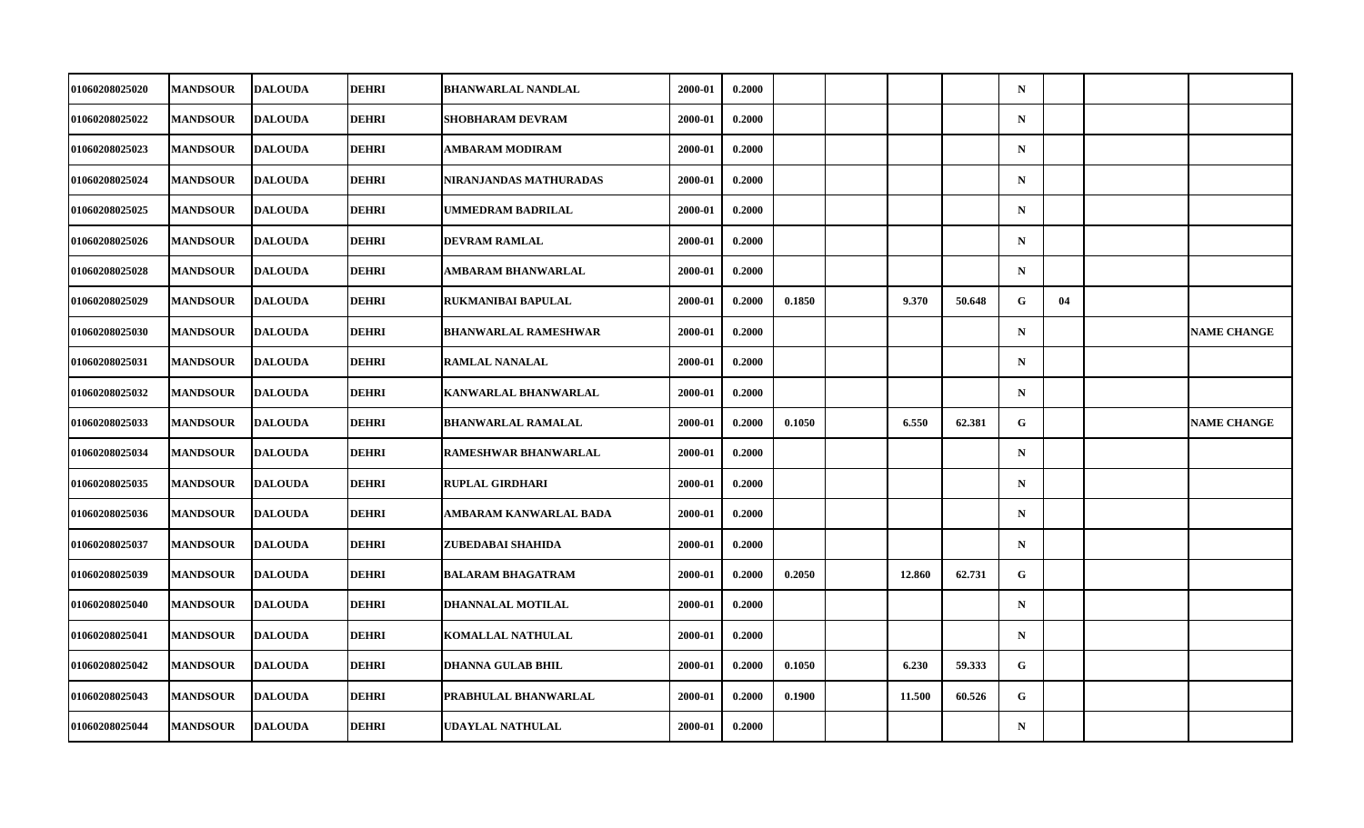| 01060208025020 | <b>MANDSOUR</b> | <b>DALOUDA</b> | DEHRI        | <b>BHANWARLAL NANDLAL</b>   | 2000-01 | 0.2000 |        |        |        | $\mathbf N$  |    |                    |
|----------------|-----------------|----------------|--------------|-----------------------------|---------|--------|--------|--------|--------|--------------|----|--------------------|
| 01060208025022 | <b>MANDSOUR</b> | <b>DALOUDA</b> | <b>DEHRI</b> | SHOBHARAM DEVRAM            | 2000-01 | 0.2000 |        |        |        | $\mathbf N$  |    |                    |
| 01060208025023 | <b>MANDSOUR</b> | <b>DALOUDA</b> | <b>DEHRI</b> | <b>AMBARAM MODIRAM</b>      | 2000-01 | 0.2000 |        |        |        | $\mathbf N$  |    |                    |
| 01060208025024 | <b>MANDSOUR</b> | <b>DALOUDA</b> | DEHRI        | NIRANJANDAS MATHURADAS      | 2000-01 | 0.2000 |        |        |        | $\mathbf N$  |    |                    |
| 01060208025025 | <b>MANDSOUR</b> | <b>DALOUDA</b> | <b>DEHRI</b> | UMMEDRAM BADRILAL           | 2000-01 | 0.2000 |        |        |        | $\mathbf N$  |    |                    |
| 01060208025026 | <b>MANDSOUR</b> | <b>DALOUDA</b> | <b>DEHRI</b> | <b>DEVRAM RAMLAL</b>        | 2000-01 | 0.2000 |        |        |        | $\mathbf N$  |    |                    |
| 01060208025028 | <b>MANDSOUR</b> | <b>DALOUDA</b> | <b>DEHRI</b> | AMBARAM BHANWARLAL          | 2000-01 | 0.2000 |        |        |        | $\mathbf N$  |    |                    |
| 01060208025029 | <b>MANDSOUR</b> | <b>DALOUDA</b> | <b>DEHRI</b> | <b>RUKMANIBAI BAPULAL</b>   | 2000-01 | 0.2000 | 0.1850 | 9.370  | 50.648 | G            | 04 |                    |
| 01060208025030 | <b>MANDSOUR</b> | <b>DALOUDA</b> | <b>DEHRI</b> | <b>BHANWARLAL RAMESHWAR</b> | 2000-01 | 0.2000 |        |        |        | $\mathbf N$  |    | <b>NAME CHANGE</b> |
| 01060208025031 | <b>MANDSOUR</b> | <b>DALOUDA</b> | <b>DEHRI</b> | <b>RAMLAL NANALAL</b>       | 2000-01 | 0.2000 |        |        |        | $\mathbf N$  |    |                    |
| 01060208025032 | <b>MANDSOUR</b> | <b>DALOUDA</b> | DEHRI        | <b>KANWARLAL BHANWARLAL</b> | 2000-01 | 0.2000 |        |        |        | $\mathbf N$  |    |                    |
| 01060208025033 | <b>MANDSOUR</b> | <b>DALOUDA</b> | <b>DEHRI</b> | <b>BHANWARLAL RAMALAL</b>   | 2000-01 | 0.2000 | 0.1050 | 6.550  | 62.381 | $\mathbf{G}$ |    | <b>NAME CHANGE</b> |
| 01060208025034 | <b>MANDSOUR</b> | <b>DALOUDA</b> | <b>DEHRI</b> | RAMESHWAR BHANWARLAL        | 2000-01 | 0.2000 |        |        |        | $\mathbf N$  |    |                    |
| 01060208025035 | <b>MANDSOUR</b> | <b>DALOUDA</b> | <b>DEHRI</b> | <b>RUPLAL GIRDHARI</b>      | 2000-01 | 0.2000 |        |        |        | $\mathbf N$  |    |                    |
| 01060208025036 | <b>MANDSOUR</b> | <b>DALOUDA</b> | <b>DEHRI</b> | AMBARAM KANWARLAL BADA      | 2000-01 | 0.2000 |        |        |        | $\mathbf N$  |    |                    |
| 01060208025037 | <b>MANDSOUR</b> | <b>DALOUDA</b> | <b>DEHRI</b> | ZUBEDABAI SHAHIDA           | 2000-01 | 0.2000 |        |        |        | $\mathbf N$  |    |                    |
| 01060208025039 | <b>MANDSOUR</b> | <b>DALOUDA</b> | <b>DEHRI</b> | <b>BALARAM BHAGATRAM</b>    | 2000-01 | 0.2000 | 0.2050 | 12.860 | 62.731 | G            |    |                    |
| 01060208025040 | <b>MANDSOUR</b> | <b>DALOUDA</b> | <b>DEHRI</b> | DHANNALAL MOTILAL           | 2000-01 | 0.2000 |        |        |        | $\mathbf N$  |    |                    |
| 01060208025041 | <b>MANDSOUR</b> | <b>DALOUDA</b> | <b>DEHRI</b> | KOMALLAL NATHULAL           | 2000-01 | 0.2000 |        |        |        | $\mathbf N$  |    |                    |
| 01060208025042 | <b>MANDSOUR</b> | <b>DALOUDA</b> | <b>DEHRI</b> | <b>DHANNA GULAB BHIL</b>    | 2000-01 | 0.2000 | 0.1050 | 6.230  | 59.333 | G            |    |                    |
| 01060208025043 | <b>MANDSOUR</b> | <b>DALOUDA</b> | <b>DEHRI</b> | PRABHULAL BHANWARLAL        | 2000-01 | 0.2000 | 0.1900 | 11.500 | 60.526 | G.           |    |                    |
| 01060208025044 | <b>MANDSOUR</b> | <b>DALOUDA</b> | <b>DEHRI</b> | UDAYLAL NATHULAL            | 2000-01 | 0.2000 |        |        |        | $\mathbf N$  |    |                    |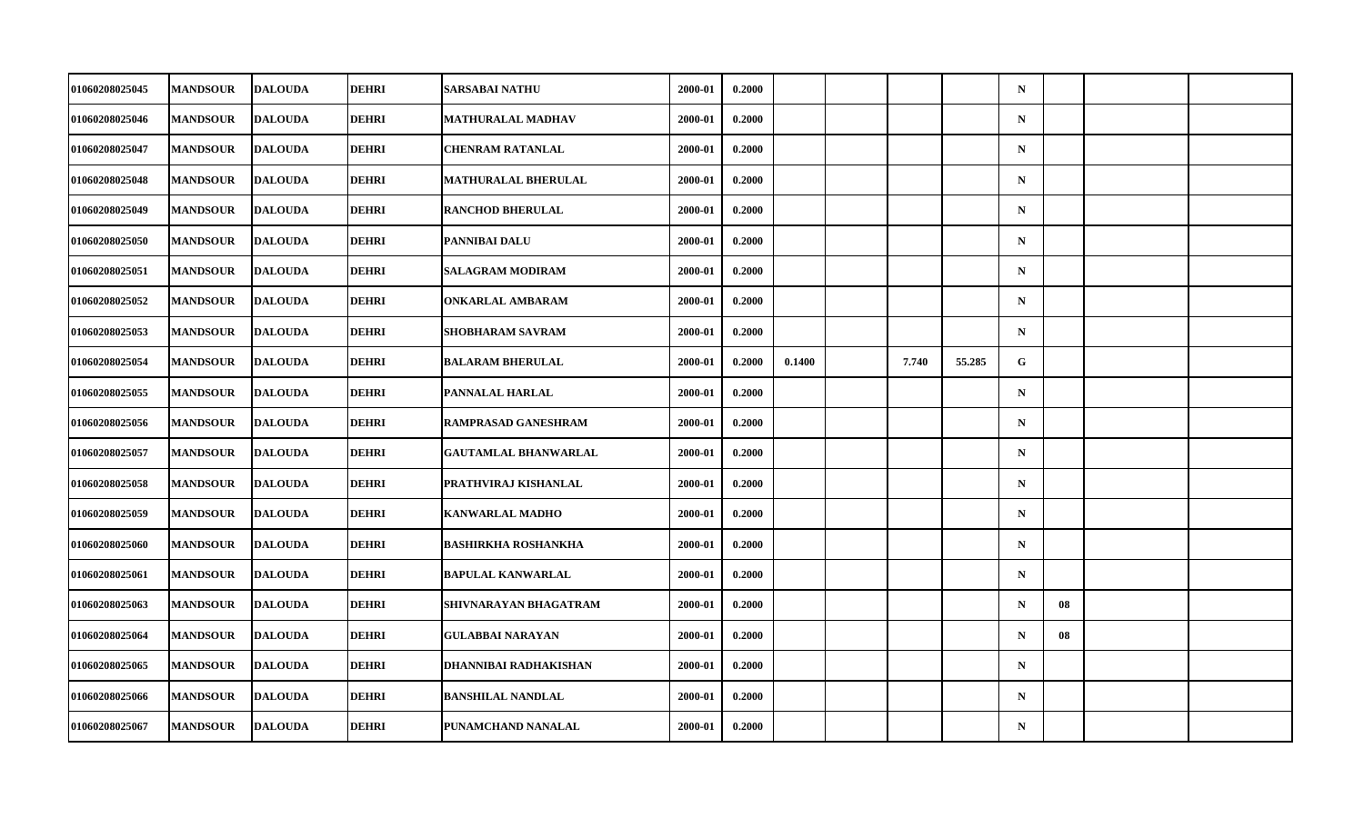| 01060208025045        | <b>MANDSOUR</b> | <b>DALOUDA</b> | DEHRI        | <b>SARSABAI NATHU</b>       | 2000-01 | 0.2000 |        |       |        | $\mathbf N$ |    |  |
|-----------------------|-----------------|----------------|--------------|-----------------------------|---------|--------|--------|-------|--------|-------------|----|--|
| 01060208025046        | <b>MANDSOUR</b> | <b>DALOUDA</b> | <b>DEHRI</b> | MATHURALAL MADHAV           | 2000-01 | 0.2000 |        |       |        | ${\bf N}$   |    |  |
| 01060208025047        | <b>MANDSOUR</b> | <b>DALOUDA</b> | <b>DEHRI</b> | <b>CHENRAM RATANLAL</b>     | 2000-01 | 0.2000 |        |       |        | $\mathbf N$ |    |  |
| 01060208025048        | <b>MANDSOUR</b> | <b>DALOUDA</b> | DEHRI        | <b>MATHURALAL BHERULAL</b>  | 2000-01 | 0.2000 |        |       |        | $\mathbf N$ |    |  |
| 01060208025049        | <b>MANDSOUR</b> | <b>DALOUDA</b> | <b>DEHRI</b> | <b>RANCHOD BHERULAL</b>     | 2000-01 | 0.2000 |        |       |        | $\mathbf N$ |    |  |
| 01060208025050        | <b>MANDSOUR</b> | <b>DALOUDA</b> | <b>DEHRI</b> | PANNIBAI DALU               | 2000-01 | 0.2000 |        |       |        | $\mathbf N$ |    |  |
| 01060208025051        | <b>MANDSOUR</b> | <b>DALOUDA</b> | <b>DEHRI</b> | SALAGRAM MODIRAM            | 2000-01 | 0.2000 |        |       |        | $\mathbf N$ |    |  |
| 01060208025052        | <b>MANDSOUR</b> | <b>DALOUDA</b> | <b>DEHRI</b> | <b>ONKARLAL AMBARAM</b>     | 2000-01 | 0.2000 |        |       |        | $\mathbf N$ |    |  |
| 01060208025053        | <b>MANDSOUR</b> | <b>DALOUDA</b> | <b>DEHRI</b> | SHOBHARAM SAVRAM            | 2000-01 | 0.2000 |        |       |        | $\mathbf N$ |    |  |
| 01060208025054        | <b>MANDSOUR</b> | <b>DALOUDA</b> | <b>DEHRI</b> | <b>BALARAM BHERULAL</b>     | 2000-01 | 0.2000 | 0.1400 | 7.740 | 55,285 | G.          |    |  |
| 01060208025055        | <b>MANDSOUR</b> | <b>DALOUDA</b> | <b>DEHRI</b> | PANNALAL HARLAL             | 2000-01 | 0.2000 |        |       |        | $\mathbf N$ |    |  |
| 01060208025056        | <b>MANDSOUR</b> | <b>DALOUDA</b> | <b>DEHRI</b> | RAMPRASAD GANESHRAM         | 2000-01 | 0.2000 |        |       |        | $\mathbf N$ |    |  |
| 01060208025057        | <b>MANDSOUR</b> | <b>DALOUDA</b> | <b>DEHRI</b> | <b>GAUTAMLAL BHANWARLAL</b> | 2000-01 | 0.2000 |        |       |        | ${\bf N}$   |    |  |
| 01060208025058        | <b>MANDSOUR</b> | <b>DALOUDA</b> | <b>DEHRI</b> | PRATHVIRAJ KISHANLAL        | 2000-01 | 0.2000 |        |       |        | $\mathbf N$ |    |  |
| 01060208025059        | <b>MANDSOUR</b> | <b>DALOUDA</b> | <b>DEHRI</b> | <b>KANWARLAL MADHO</b>      | 2000-01 | 0.2000 |        |       |        | $\mathbf N$ |    |  |
| 01060208025060        | <b>MANDSOUR</b> | <b>DALOUDA</b> | <b>DEHRI</b> | <b>BASHIRKHA ROSHANKHA</b>  | 2000-01 | 0.2000 |        |       |        | $\mathbf N$ |    |  |
| <b>01060208025061</b> | <b>MANDSOUR</b> | <b>DALOUDA</b> | <b>DEHRI</b> | <b>BAPULAL KANWARLAL</b>    | 2000-01 | 0.2000 |        |       |        | $\mathbf N$ |    |  |
| 01060208025063        | <b>MANDSOUR</b> | <b>DALOUDA</b> | <b>DEHRI</b> | SHIVNARAYAN BHAGATRAM       | 2000-01 | 0.2000 |        |       |        | $\mathbf N$ | 08 |  |
| 01060208025064        | <b>MANDSOUR</b> | <b>DALOUDA</b> | <b>DEHRI</b> | <b>GULABBAI NARAYAN</b>     | 2000-01 | 0.2000 |        |       |        | $\mathbf N$ | 08 |  |
| 01060208025065        | <b>MANDSOUR</b> | <b>DALOUDA</b> | <b>DEHRI</b> | DHANNIBAI RADHAKISHAN       | 2000-01 | 0.2000 |        |       |        | $\mathbf N$ |    |  |
| 01060208025066        | <b>MANDSOUR</b> | <b>DALOUDA</b> | <b>DEHRI</b> | <b>BANSHILAL NANDLAL</b>    | 2000-01 | 0.2000 |        |       |        | $\mathbf N$ |    |  |
| 01060208025067        | <b>MANDSOUR</b> | <b>DALOUDA</b> | <b>DEHRI</b> | PUNAMCHAND NANALAL          | 2000-01 | 0.2000 |        |       |        | ${\bf N}$   |    |  |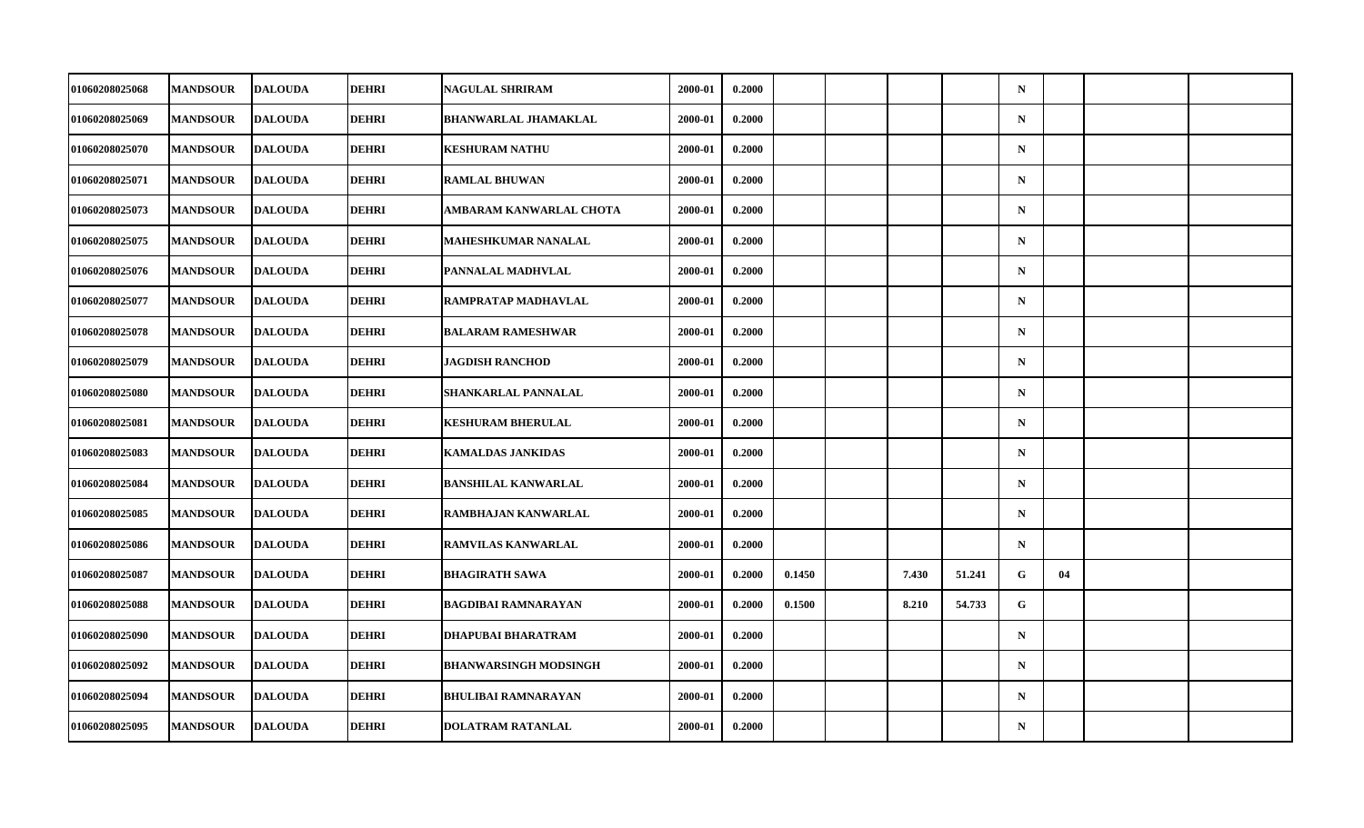| 01060208025068        | <b>MANDSOUR</b> | <b>DALOUDA</b> | DEHRI        | <b>NAGULAL SHRIRAM</b>       | 2000-01 | 0.2000 |        |       |        | $\mathbf N$ |    |  |
|-----------------------|-----------------|----------------|--------------|------------------------------|---------|--------|--------|-------|--------|-------------|----|--|
| 01060208025069        | <b>MANDSOUR</b> | <b>DALOUDA</b> | <b>DEHRI</b> | <b>BHANWARLAL JHAMAKLAL</b>  | 2000-01 | 0.2000 |        |       |        | ${\bf N}$   |    |  |
| 01060208025070        | <b>MANDSOUR</b> | <b>DALOUDA</b> | <b>DEHRI</b> | <b>KESHURAM NATHU</b>        | 2000-01 | 0.2000 |        |       |        | $\mathbf N$ |    |  |
| 01060208025071        | <b>MANDSOUR</b> | <b>DALOUDA</b> | DEHRI        | <b>RAMLAL BHUWAN</b>         | 2000-01 | 0.2000 |        |       |        | $\mathbf N$ |    |  |
| 01060208025073        | <b>MANDSOUR</b> | <b>DALOUDA</b> | <b>DEHRI</b> | AMBARAM KANWARLAL CHOTA      | 2000-01 | 0.2000 |        |       |        | $\mathbf N$ |    |  |
| 01060208025075        | <b>MANDSOUR</b> | <b>DALOUDA</b> | <b>DEHRI</b> | <b>MAHESHKUMAR NANALAL</b>   | 2000-01 | 0.2000 |        |       |        | $\mathbf N$ |    |  |
| 01060208025076        | <b>MANDSOUR</b> | <b>DALOUDA</b> | <b>DEHRI</b> | PANNALAL MADHVLAL            | 2000-01 | 0.2000 |        |       |        | $\mathbf N$ |    |  |
| 01060208025077        | <b>MANDSOUR</b> | <b>DALOUDA</b> | <b>DEHRI</b> | RAMPRATAP MADHAVLAL          | 2000-01 | 0.2000 |        |       |        | $\mathbf N$ |    |  |
| 01060208025078        | <b>MANDSOUR</b> | <b>DALOUDA</b> | <b>DEHRI</b> | <b>BALARAM RAMESHWAR</b>     | 2000-01 | 0.2000 |        |       |        | $\mathbf N$ |    |  |
| 01060208025079        | <b>MANDSOUR</b> | <b>DALOUDA</b> | <b>DEHRI</b> | <b>JAGDISH RANCHOD</b>       | 2000-01 | 0.2000 |        |       |        | $\mathbf N$ |    |  |
| 01060208025080        | <b>MANDSOUR</b> | <b>DALOUDA</b> | DEHRI        | SHANKARLAL PANNALAL          | 2000-01 | 0.2000 |        |       |        | $\mathbf N$ |    |  |
| 01060208025081        | <b>MANDSOUR</b> | <b>DALOUDA</b> | <b>DEHRI</b> | <b>KESHURAM BHERULAL</b>     | 2000-01 | 0.2000 |        |       |        | $\mathbf N$ |    |  |
| 01060208025083        | <b>MANDSOUR</b> | <b>DALOUDA</b> | <b>DEHRI</b> | <b>KAMALDAS JANKIDAS</b>     | 2000-01 | 0.2000 |        |       |        | ${\bf N}$   |    |  |
| 01060208025084        | <b>MANDSOUR</b> | <b>DALOUDA</b> | <b>DEHRI</b> | <b>BANSHILAL KANWARLAL</b>   | 2000-01 | 0.2000 |        |       |        | $\mathbf N$ |    |  |
| 01060208025085        | <b>MANDSOUR</b> | <b>DALOUDA</b> | <b>DEHRI</b> | RAMBHAJAN KANWARLAL          | 2000-01 | 0.2000 |        |       |        | $\mathbf N$ |    |  |
| 01060208025086        | <b>MANDSOUR</b> | <b>DALOUDA</b> | <b>DEHRI</b> | RAMVILAS KANWARLAL           | 2000-01 | 0.2000 |        |       |        | $\mathbf N$ |    |  |
| <b>01060208025087</b> | <b>MANDSOUR</b> | <b>DALOUDA</b> | <b>DEHRI</b> | <b>BHAGIRATH SAWA</b>        | 2000-01 | 0.2000 | 0.1450 | 7.430 | 51.241 | G           | 04 |  |
| 01060208025088        | <b>MANDSOUR</b> | <b>DALOUDA</b> | <b>DEHRI</b> | <b>BAGDIBAI RAMNARAYAN</b>   | 2000-01 | 0.2000 | 0.1500 | 8.210 | 54.733 | $\mathbf G$ |    |  |
| <b>01060208025090</b> | <b>MANDSOUR</b> | <b>DALOUDA</b> | <b>DEHRI</b> | DHAPUBAI BHARATRAM           | 2000-01 | 0.2000 |        |       |        | $\mathbf N$ |    |  |
| <b>01060208025092</b> | <b>MANDSOUR</b> | <b>DALOUDA</b> | <b>DEHRI</b> | <b>BHANWARSINGH MODSINGH</b> | 2000-01 | 0.2000 |        |       |        | $\mathbf N$ |    |  |
| 01060208025094        | <b>MANDSOUR</b> | <b>DALOUDA</b> | <b>DEHRI</b> | <b>BHULIBAI RAMNARAYAN</b>   | 2000-01 | 0.2000 |        |       |        | $\mathbf N$ |    |  |
| 01060208025095        | <b>MANDSOUR</b> | <b>DALOUDA</b> | <b>DEHRI</b> | DOLATRAM RATANLAL            | 2000-01 | 0.2000 |        |       |        | ${\bf N}$   |    |  |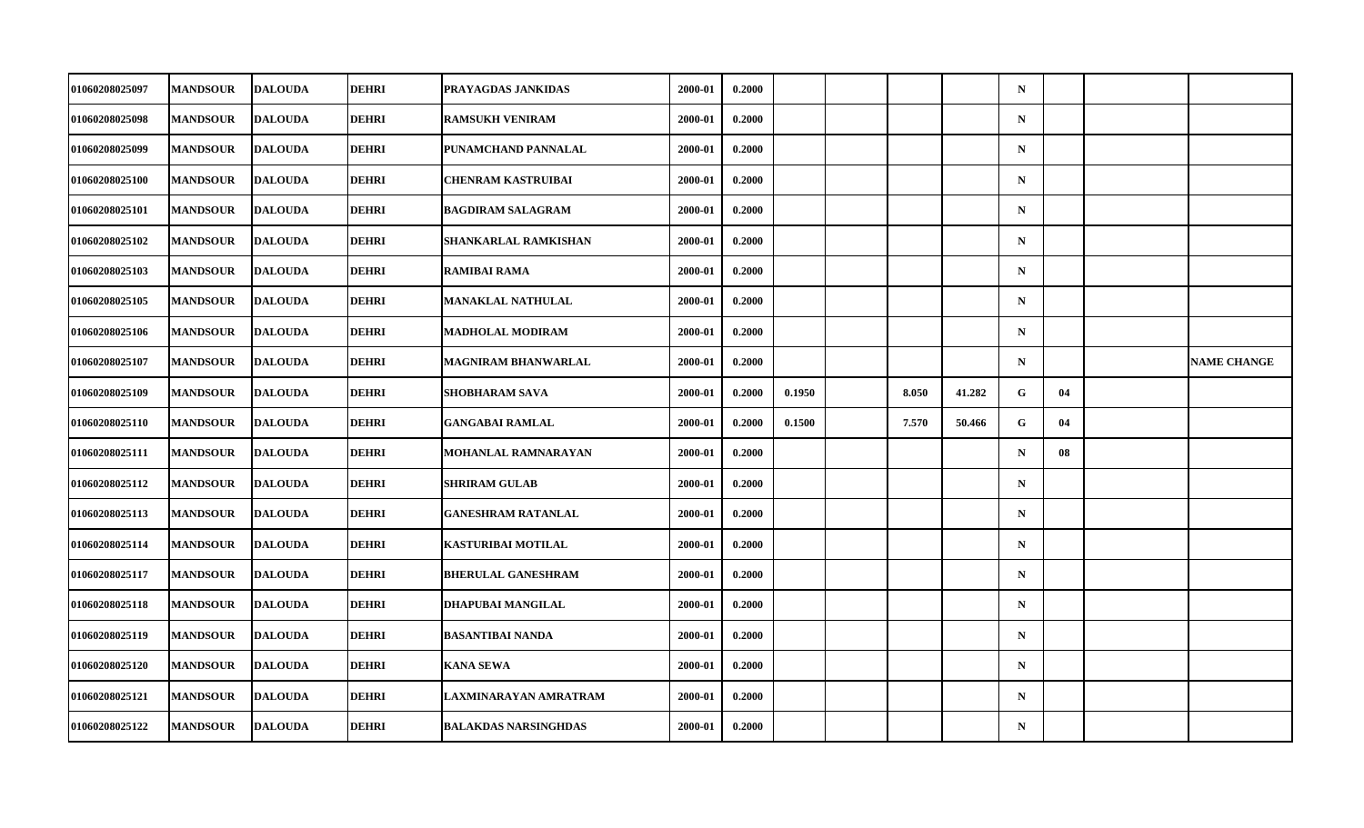| 01060208025097        | <b>MANDSOUR</b> | <b>DALOUDA</b> | DEHRI        | PRAYAGDAS JANKIDAS           | 2000-01 | 0.2000 |        |       |        | $\mathbf N$ |    |                    |
|-----------------------|-----------------|----------------|--------------|------------------------------|---------|--------|--------|-------|--------|-------------|----|--------------------|
| 01060208025098        | <b>MANDSOUR</b> | <b>DALOUDA</b> | <b>DEHRI</b> | <b>RAMSUKH VENIRAM</b>       | 2000-01 | 0.2000 |        |       |        | $\mathbf N$ |    |                    |
| 01060208025099        | <b>MANDSOUR</b> | <b>DALOUDA</b> | <b>DEHRI</b> | PUNAMCHAND PANNALAL          | 2000-01 | 0.2000 |        |       |        | $\mathbf N$ |    |                    |
| 01060208025100        | <b>MANDSOUR</b> | <b>DALOUDA</b> | <b>DEHRI</b> | <b>CHENRAM KASTRUIBAI</b>    | 2000-01 | 0.2000 |        |       |        | $\mathbf N$ |    |                    |
| 01060208025101        | <b>MANDSOUR</b> | <b>DALOUDA</b> | <b>DEHRI</b> | <b>BAGDIRAM SALAGRAM</b>     | 2000-01 | 0.2000 |        |       |        | $\mathbf N$ |    |                    |
| 01060208025102        | <b>MANDSOUR</b> | <b>DALOUDA</b> | <b>DEHRI</b> | <b>SHANKARLAL RAMKISHAN</b>  | 2000-01 | 0.2000 |        |       |        | $\mathbf N$ |    |                    |
| 01060208025103        | <b>MANDSOUR</b> | <b>DALOUDA</b> | <b>DEHRI</b> | <b>RAMIBAI RAMA</b>          | 2000-01 | 0.2000 |        |       |        | $\mathbf N$ |    |                    |
| 01060208025105        | <b>MANDSOUR</b> | <b>DALOUDA</b> | <b>DEHRI</b> | <b>MANAKLAL NATHULAL</b>     | 2000-01 | 0.2000 |        |       |        | $\mathbf N$ |    |                    |
| 01060208025106        | <b>MANDSOUR</b> | <b>DALOUDA</b> | <b>DEHRI</b> | <b>MADHOLAL MODIRAM</b>      | 2000-01 | 0.2000 |        |       |        | $\mathbf N$ |    |                    |
| 01060208025107        | <b>MANDSOUR</b> | <b>DALOUDA</b> | <b>DEHRI</b> | <b>MAGNIRAM BHANWARLAL</b>   | 2000-01 | 0.2000 |        |       |        | $\mathbf N$ |    | <b>NAME CHANGE</b> |
| <b>01060208025109</b> | <b>MANDSOUR</b> | <b>DALOUDA</b> | DEHRI        | SHOBHARAM SAVA               | 2000-01 | 0.2000 | 0.1950 | 8.050 | 41.282 | G           | 04 |                    |
| 01060208025110        | <b>MANDSOUR</b> | <b>DALOUDA</b> | <b>DEHRI</b> | <b>GANGABAI RAMLAL</b>       | 2000-01 | 0.2000 | 0.1500 | 7.570 | 50.466 | G           | 04 |                    |
| 01060208025111        | <b>MANDSOUR</b> | <b>DALOUDA</b> | <b>DEHRI</b> | MOHANLAL RAMNARAYAN          | 2000-01 | 0.2000 |        |       |        | $\mathbf N$ | 08 |                    |
| 01060208025112        | <b>MANDSOUR</b> | <b>DALOUDA</b> | <b>DEHRI</b> | <b>SHRIRAM GULAB</b>         | 2000-01 | 0.2000 |        |       |        | ${\bf N}$   |    |                    |
| 01060208025113        | <b>MANDSOUR</b> | <b>DALOUDA</b> | <b>DEHRI</b> | <b>GANESHRAM RATANLAL</b>    | 2000-01 | 0.2000 |        |       |        | $\mathbf N$ |    |                    |
| 01060208025114        | <b>MANDSOUR</b> | <b>DALOUDA</b> | <b>DEHRI</b> | <b>KASTURIBAI MOTILAL</b>    | 2000-01 | 0.2000 |        |       |        | $\mathbf N$ |    |                    |
| 01060208025117        | <b>MANDSOUR</b> | <b>DALOUDA</b> | <b>DEHRI</b> | <b>BHERULAL GANESHRAM</b>    | 2000-01 | 0.2000 |        |       |        | $\mathbf N$ |    |                    |
| 01060208025118        | <b>MANDSOUR</b> | <b>DALOUDA</b> | <b>DEHRI</b> | DHAPUBAI MANGILAL            | 2000-01 | 0.2000 |        |       |        | $\mathbf N$ |    |                    |
| 01060208025119        | <b>MANDSOUR</b> | <b>DALOUDA</b> | <b>DEHRI</b> | <b>BASANTIBAI NANDA</b>      | 2000-01 | 0.2000 |        |       |        | $\mathbf N$ |    |                    |
| <b>01060208025120</b> | <b>MANDSOUR</b> | <b>DALOUDA</b> | <b>DEHRI</b> | <b>KANA SEWA</b>             | 2000-01 | 0.2000 |        |       |        | $\mathbf N$ |    |                    |
| 01060208025121        | <b>MANDSOUR</b> | <b>DALOUDA</b> | <b>DEHRI</b> | <b>LAXMINARAYAN AMRATRAM</b> | 2000-01 | 0.2000 |        |       |        | $\mathbf N$ |    |                    |
| 01060208025122        | <b>MANDSOUR</b> | <b>DALOUDA</b> | <b>DEHRI</b> | <b>BALAKDAS NARSINGHDAS</b>  | 2000-01 | 0.2000 |        |       |        | ${\bf N}$   |    |                    |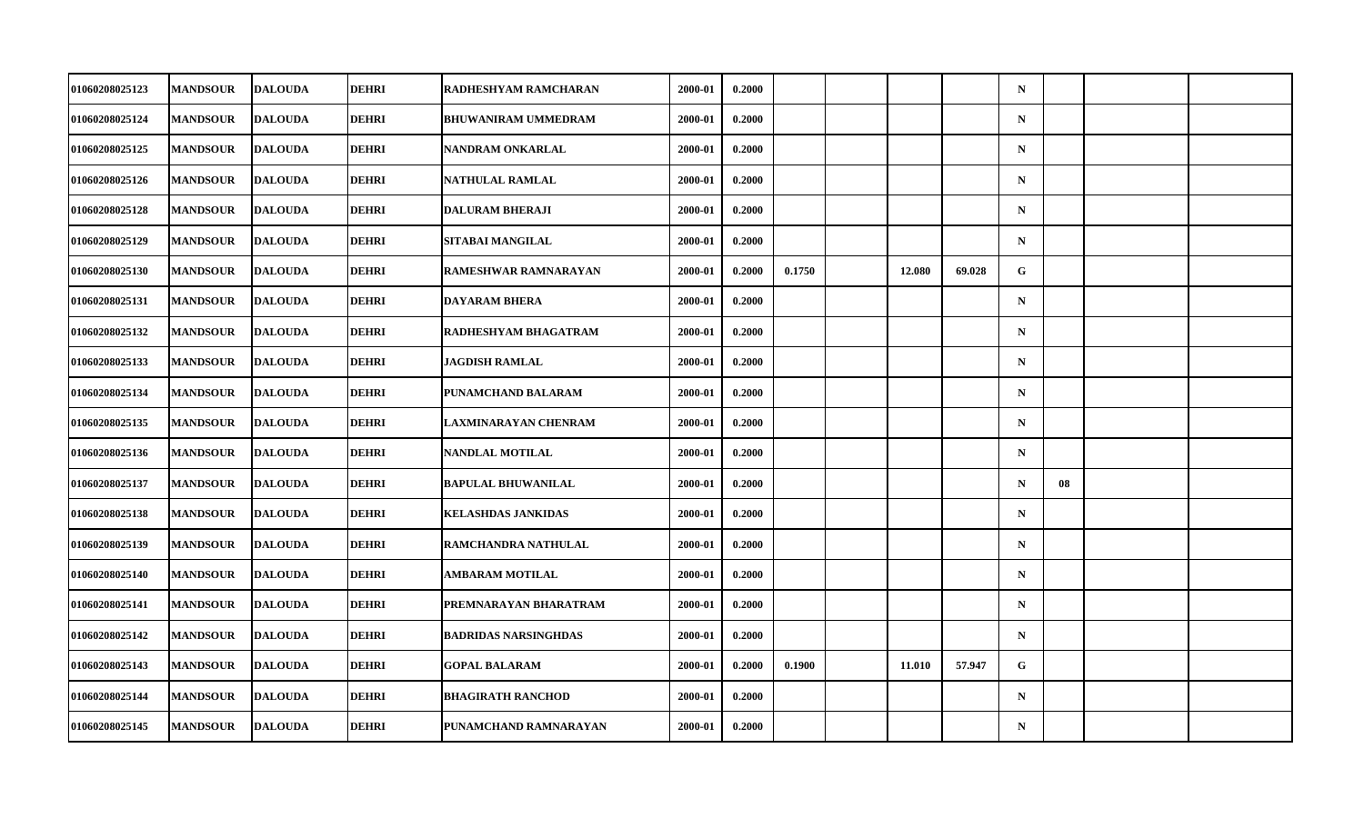| <b>01060208025123</b> | <b>MANDSOUR</b> | <b>DALOUDA</b> | DEHRI        | RADHESHYAM RAMCHARAN        | 2000-01 | 0.2000 |        |        |        | $\mathbf N$ |    |  |
|-----------------------|-----------------|----------------|--------------|-----------------------------|---------|--------|--------|--------|--------|-------------|----|--|
| 01060208025124        | <b>MANDSOUR</b> | <b>DALOUDA</b> | <b>DEHRI</b> | <b>BHUWANIRAM UMMEDRAM</b>  | 2000-01 | 0.2000 |        |        |        | ${\bf N}$   |    |  |
| 01060208025125        | <b>MANDSOUR</b> | <b>DALOUDA</b> | <b>DEHRI</b> | NANDRAM ONKARLAL            | 2000-01 | 0.2000 |        |        |        | $\mathbf N$ |    |  |
| 01060208025126        | <b>MANDSOUR</b> | <b>DALOUDA</b> | DEHRI        | NATHULAL RAMLAL             | 2000-01 | 0.2000 |        |        |        | $\mathbf N$ |    |  |
| 01060208025128        | <b>MANDSOUR</b> | <b>DALOUDA</b> | <b>DEHRI</b> | <b>DALURAM BHERAJI</b>      | 2000-01 | 0.2000 |        |        |        | $\mathbf N$ |    |  |
| 01060208025129        | <b>MANDSOUR</b> | <b>DALOUDA</b> | <b>DEHRI</b> | SITABAI MANGILAL            | 2000-01 | 0.2000 |        |        |        | $\mathbf N$ |    |  |
| 01060208025130        | <b>MANDSOUR</b> | <b>DALOUDA</b> | <b>DEHRI</b> | RAMESHWAR RAMNARAYAN        | 2000-01 | 0.2000 | 0.1750 | 12.080 | 69.028 | G.          |    |  |
| 01060208025131        | <b>MANDSOUR</b> | <b>DALOUDA</b> | <b>DEHRI</b> | <b>DAYARAM BHERA</b>        | 2000-01 | 0.2000 |        |        |        | $\mathbf N$ |    |  |
| 01060208025132        | <b>MANDSOUR</b> | <b>DALOUDA</b> | <b>DEHRI</b> | RADHESHYAM BHAGATRAM        | 2000-01 | 0.2000 |        |        |        | $\mathbf N$ |    |  |
| 01060208025133        | <b>MANDSOUR</b> | <b>DALOUDA</b> | <b>DEHRI</b> | <b>JAGDISH RAMLAL</b>       | 2000-01 | 0.2000 |        |        |        | $\mathbf N$ |    |  |
| 01060208025134        | <b>MANDSOUR</b> | <b>DALOUDA</b> | DEHRI        | PUNAMCHAND BALARAM          | 2000-01 | 0.2000 |        |        |        | $\mathbf N$ |    |  |
| 01060208025135        | <b>MANDSOUR</b> | <b>DALOUDA</b> | <b>DEHRI</b> | <b>LAXMINARAYAN CHENRAM</b> | 2000-01 | 0.2000 |        |        |        | $\mathbf N$ |    |  |
| 01060208025136        | <b>MANDSOUR</b> | <b>DALOUDA</b> | <b>DEHRI</b> | NANDLAL MOTILAL             | 2000-01 | 0.2000 |        |        |        | ${\bf N}$   |    |  |
| 01060208025137        | <b>MANDSOUR</b> | <b>DALOUDA</b> | <b>DEHRI</b> | <b>BAPULAL BHUWANILAL</b>   | 2000-01 | 0.2000 |        |        |        | $\mathbf N$ | 08 |  |
| 01060208025138        | <b>MANDSOUR</b> | <b>DALOUDA</b> | <b>DEHRI</b> | <b>KELASHDAS JANKIDAS</b>   | 2000-01 | 0.2000 |        |        |        | $\mathbf N$ |    |  |
| 01060208025139        | <b>MANDSOUR</b> | <b>DALOUDA</b> | <b>DEHRI</b> | RAMCHANDRA NATHULAL         | 2000-01 | 0.2000 |        |        |        | $\mathbf N$ |    |  |
| <b>01060208025140</b> | <b>MANDSOUR</b> | <b>DALOUDA</b> | <b>DEHRI</b> | <b>AMBARAM MOTILAL</b>      | 2000-01 | 0.2000 |        |        |        | $\mathbf N$ |    |  |
| 01060208025141        | <b>MANDSOUR</b> | <b>DALOUDA</b> | <b>DEHRI</b> | PREMNARAYAN BHARATRAM       | 2000-01 | 0.2000 |        |        |        | $\mathbf N$ |    |  |
| 01060208025142        | <b>MANDSOUR</b> | <b>DALOUDA</b> | <b>DEHRI</b> | <b>BADRIDAS NARSINGHDAS</b> | 2000-01 | 0.2000 |        |        |        | $\mathbf N$ |    |  |
| 01060208025143        | <b>MANDSOUR</b> | <b>DALOUDA</b> | <b>DEHRI</b> | <b>GOPAL BALARAM</b>        | 2000-01 | 0.2000 | 0.1900 | 11.010 | 57.947 | G           |    |  |
| 01060208025144        | <b>MANDSOUR</b> | <b>DALOUDA</b> | <b>DEHRI</b> | <b>BHAGIRATH RANCHOD</b>    | 2000-01 | 0.2000 |        |        |        | $\mathbf N$ |    |  |
| 01060208025145        | <b>MANDSOUR</b> | <b>DALOUDA</b> | <b>DEHRI</b> | PUNAMCHAND RAMNARAYAN       | 2000-01 | 0.2000 |        |        |        | ${\bf N}$   |    |  |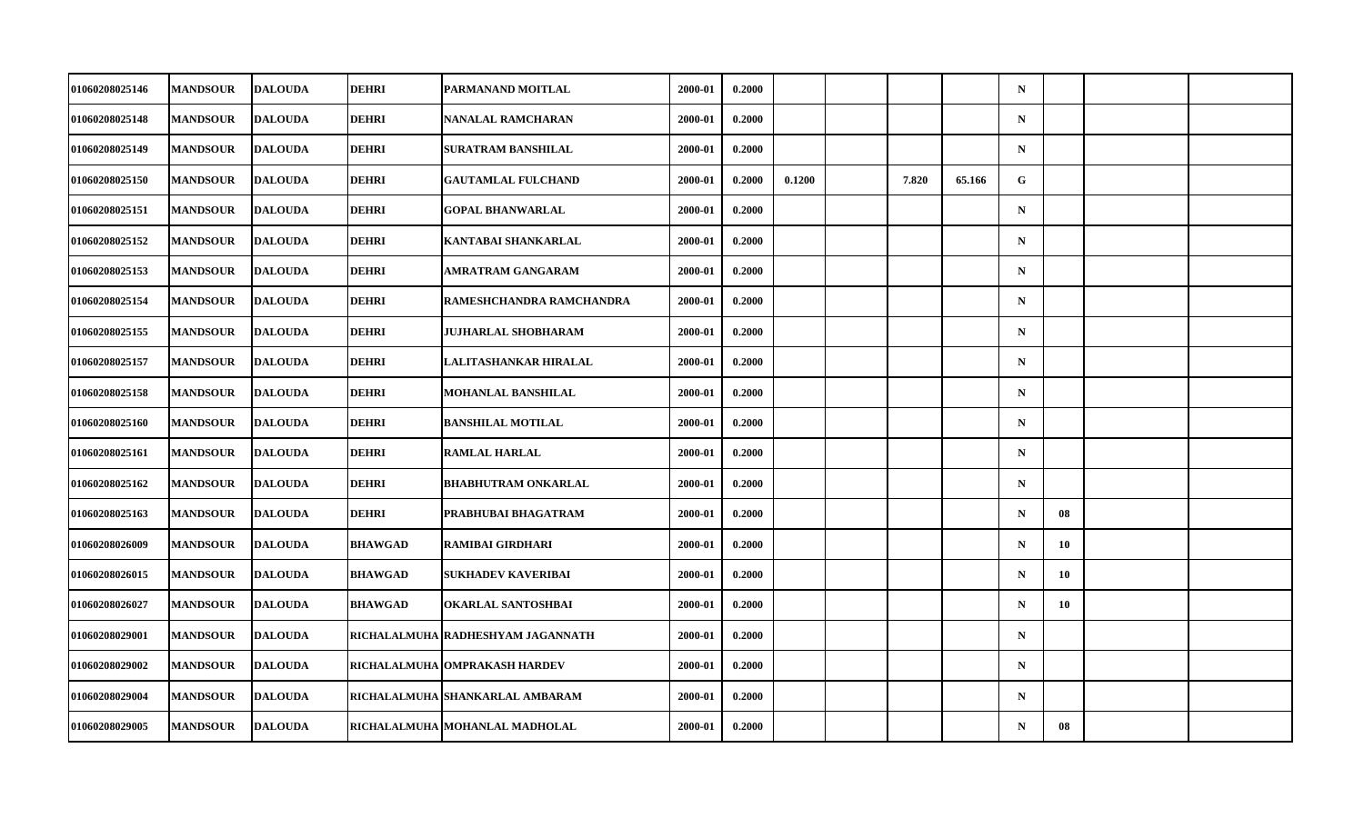| 01060208025146 | <b>MANDSOUR</b> | <b>DALOUDA</b> | <b>DEHRI</b>   | <b>PARMANAND MOITLAL</b>          | 2000-01 | 0.2000 |        |       |        | $\mathbf N$ |                 |  |
|----------------|-----------------|----------------|----------------|-----------------------------------|---------|--------|--------|-------|--------|-------------|-----------------|--|
| 01060208025148 | <b>MANDSOUR</b> | <b>DALOUDA</b> | <b>DEHRI</b>   | NANALAL RAMCHARAN                 | 2000-01 | 0.2000 |        |       |        | $\mathbf N$ |                 |  |
| 01060208025149 | <b>MANDSOUR</b> | <b>DALOUDA</b> | <b>DEHRI</b>   | <b>SURATRAM BANSHILAL</b>         | 2000-01 | 0.2000 |        |       |        | $\mathbf N$ |                 |  |
| 01060208025150 | <b>MANDSOUR</b> | <b>DALOUDA</b> | <b>DEHRI</b>   | <b>GAUTAMLAL FULCHAND</b>         | 2000-01 | 0.2000 | 0.1200 | 7.820 | 65.166 | G           |                 |  |
| 01060208025151 | <b>MANDSOUR</b> | <b>DALOUDA</b> | <b>DEHRI</b>   | <b>GOPAL BHANWARLAL</b>           | 2000-01 | 0.2000 |        |       |        | $\mathbf N$ |                 |  |
| 01060208025152 | <b>MANDSOUR</b> | <b>DALOUDA</b> | <b>DEHRI</b>   | KANTABAI SHANKARLAL               | 2000-01 | 0.2000 |        |       |        | $\mathbf N$ |                 |  |
| 01060208025153 | <b>MANDSOUR</b> | <b>DALOUDA</b> | <b>DEHRI</b>   | AMRATRAM GANGARAM                 | 2000-01 | 0.2000 |        |       |        | $\mathbf N$ |                 |  |
| 01060208025154 | <b>MANDSOUR</b> | <b>DALOUDA</b> | <b>DEHRI</b>   | RAMESHCHANDRA RAMCHANDRA          | 2000-01 | 0.2000 |        |       |        | $\mathbf N$ |                 |  |
| 01060208025155 | <b>MANDSOUR</b> | <b>DALOUDA</b> | <b>DEHRI</b>   | <b>JUJHARLAL SHOBHARAM</b>        | 2000-01 | 0.2000 |        |       |        | $\mathbf N$ |                 |  |
| 01060208025157 | <b>MANDSOUR</b> | <b>DALOUDA</b> | <b>DEHRI</b>   | LALITASHANKAR HIRALAL             | 2000-01 | 0.2000 |        |       |        | $\mathbf N$ |                 |  |
| 01060208025158 | <b>MANDSOUR</b> | <b>DALOUDA</b> | <b>DEHRI</b>   | MOHANLAL BANSHILAL                | 2000-01 | 0.2000 |        |       |        | $\mathbf N$ |                 |  |
| 01060208025160 | <b>MANDSOUR</b> | <b>DALOUDA</b> | <b>DEHRI</b>   | <b>BANSHILAL MOTILAL</b>          | 2000-01 | 0.2000 |        |       |        | $\mathbf N$ |                 |  |
| 01060208025161 | <b>MANDSOUR</b> | <b>DALOUDA</b> | <b>DEHRI</b>   | <b>RAMLAL HARLAL</b>              | 2000-01 | 0.2000 |        |       |        | $\mathbf N$ |                 |  |
| 01060208025162 | <b>MANDSOUR</b> | <b>DALOUDA</b> | <b>DEHRI</b>   | <b>BHABHUTRAM ONKARLAL</b>        | 2000-01 | 0.2000 |        |       |        | $\mathbf N$ |                 |  |
| 01060208025163 | <b>MANDSOUR</b> | <b>DALOUDA</b> | <b>DEHRI</b>   | PRABHUBAI BHAGATRAM               | 2000-01 | 0.2000 |        |       |        | $\mathbf N$ | 08              |  |
| 01060208026009 | <b>MANDSOUR</b> | <b>DALOUDA</b> | <b>BHAWGAD</b> | RAMIBAI GIRDHARI                  | 2000-01 | 0.2000 |        |       |        | $\mathbf N$ | 10              |  |
| 01060208026015 | <b>MANDSOUR</b> | <b>DALOUDA</b> | <b>BHAWGAD</b> | SUKHADEV KAVERIBAI                | 2000-01 | 0.2000 |        |       |        | $\mathbf N$ | 10 <sup>°</sup> |  |
| 01060208026027 | <b>MANDSOUR</b> | <b>DALOUDA</b> | <b>BHAWGAD</b> | <b>OKARLAL SANTOSHBAI</b>         | 2000-01 | 0.2000 |        |       |        | $\mathbf N$ | 10              |  |
| 01060208029001 | <b>MANDSOUR</b> | <b>DALOUDA</b> |                | RICHALALMUHA RADHESHYAM JAGANNATH | 2000-01 | 0.2000 |        |       |        | $\mathbf N$ |                 |  |
| 01060208029002 | <b>MANDSOUR</b> | <b>DALOUDA</b> |                | RICHALALMUHA OMPRAKASH HARDEV     | 2000-01 | 0.2000 |        |       |        | $\mathbf N$ |                 |  |
| 01060208029004 | <b>MANDSOUR</b> | <b>DALOUDA</b> |                | RICHALALMUHA SHANKARLAL AMBARAM   | 2000-01 | 0.2000 |        |       |        | $\mathbf N$ |                 |  |
| 01060208029005 | <b>MANDSOUR</b> | <b>DALOUDA</b> |                | RICHALALMUHA MOHANLAL MADHOLAL    | 2000-01 | 0.2000 |        |       |        | $\mathbf N$ | 08              |  |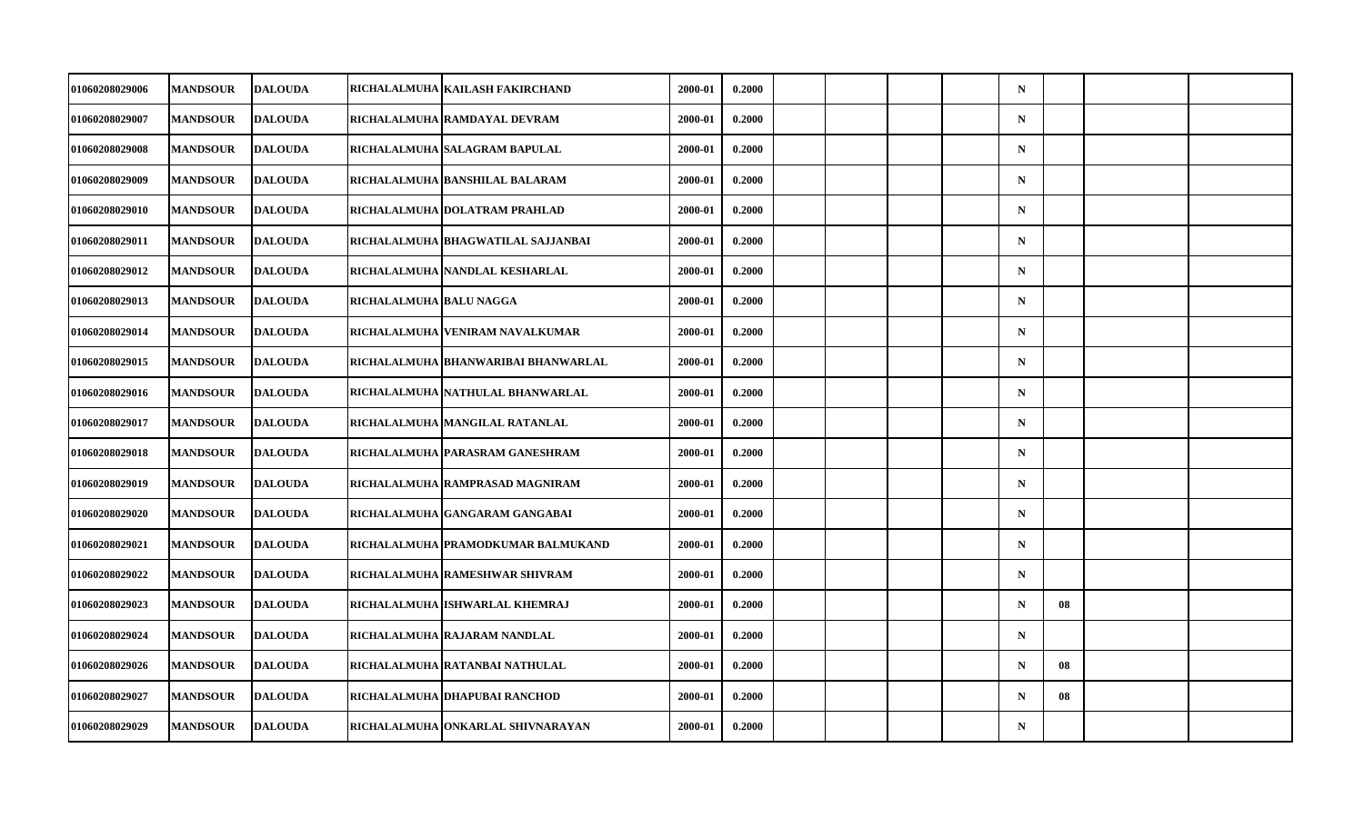| 01060208029006 | <b>MANDSOUR</b> | <b>DALOUDA</b> |                         | RICHALALMUHA   KAILASH FAKIRCHAND   | 2000-01 | 0.2000 |  |  | $\mathbf N$ |    |  |
|----------------|-----------------|----------------|-------------------------|-------------------------------------|---------|--------|--|--|-------------|----|--|
| 01060208029007 | <b>MANDSOUR</b> | <b>DALOUDA</b> |                         | RICHALALMUHA RAMDAYAL DEVRAM        | 2000-01 | 0.2000 |  |  | $\mathbf N$ |    |  |
| 01060208029008 | <b>MANDSOUR</b> | <b>DALOUDA</b> |                         | RICHALALMUHA SALAGRAM BAPULAL       | 2000-01 | 0.2000 |  |  | $\mathbf N$ |    |  |
| 01060208029009 | <b>MANDSOUR</b> | <b>DALOUDA</b> |                         | RICHALALMUHA BANSHILAL BALARAM      | 2000-01 | 0.2000 |  |  | $\mathbf N$ |    |  |
| 01060208029010 | <b>MANDSOUR</b> | <b>DALOUDA</b> |                         | RICHALALMUHA DOLATRAM PRAHLAD       | 2000-01 | 0.2000 |  |  | $\mathbf N$ |    |  |
| 01060208029011 | <b>MANDSOUR</b> | <b>DALOUDA</b> |                         | RICHALALMUHA  BHAGWATILAL SAJJANBAI | 2000-01 | 0.2000 |  |  | $\mathbf N$ |    |  |
| 01060208029012 | <b>MANDSOUR</b> | <b>DALOUDA</b> |                         | RICHALALMUHA NANDLAL KESHARLAL      | 2000-01 | 0.2000 |  |  | $\mathbf N$ |    |  |
| 01060208029013 | <b>MANDSOUR</b> | <b>DALOUDA</b> | RICHALALMUHA BALU NAGGA |                                     | 2000-01 | 0.2000 |  |  | $\mathbf N$ |    |  |
| 01060208029014 | <b>MANDSOUR</b> | <b>DALOUDA</b> |                         | RICHALALMUHA VENIRAM NAVALKUMAR     | 2000-01 | 0.2000 |  |  | $\mathbf N$ |    |  |
| 01060208029015 | <b>MANDSOUR</b> | <b>DALOUDA</b> |                         | RICHALALMUHA BHANWARIBAI BHANWARLAL | 2000-01 | 0.2000 |  |  | $\mathbf N$ |    |  |
| 01060208029016 | <b>MANDSOUR</b> | <b>DALOUDA</b> |                         | RICHALALMUHA NATHULAL BHANWARLAL    | 2000-01 | 0.2000 |  |  | $\mathbf N$ |    |  |
| 01060208029017 | <b>MANDSOUR</b> | <b>DALOUDA</b> |                         | RICHALALMUHA MANGILAL RATANLAL      | 2000-01 | 0.2000 |  |  | $\mathbf N$ |    |  |
| 01060208029018 | <b>MANDSOUR</b> | <b>DALOUDA</b> |                         | RICHALALMUHA PARASRAM GANESHRAM     | 2000-01 | 0.2000 |  |  | $\mathbf N$ |    |  |
| 01060208029019 | <b>MANDSOUR</b> | <b>DALOUDA</b> |                         | RICHALALMUHA RAMPRASAD MAGNIRAM     | 2000-01 | 0.2000 |  |  | $\mathbf N$ |    |  |
| 01060208029020 | <b>MANDSOUR</b> | <b>DALOUDA</b> |                         | RICHALALMUHA GANGARAM GANGABAI      | 2000-01 | 0.2000 |  |  | $\mathbf N$ |    |  |
| 01060208029021 | <b>MANDSOUR</b> | <b>DALOUDA</b> |                         | RICHALALMUHA PRAMODKUMAR BALMUKAND  | 2000-01 | 0.2000 |  |  | $\mathbf N$ |    |  |
| 01060208029022 | <b>MANDSOUR</b> | <b>DALOUDA</b> |                         | RICHALALMUHA RAMESHWAR SHIVRAM      | 2000-01 | 0.2000 |  |  | $\mathbf N$ |    |  |
| 01060208029023 | <b>MANDSOUR</b> | <b>DALOUDA</b> |                         | RICHALALMUHA ISHWARLAL KHEMRAJ      | 2000-01 | 0.2000 |  |  | $\mathbf N$ | 08 |  |
| 01060208029024 | <b>MANDSOUR</b> | <b>DALOUDA</b> |                         | RICHALALMUHA RAJARAM NANDLAL        | 2000-01 | 0.2000 |  |  | $\mathbf N$ |    |  |
| 01060208029026 | <b>MANDSOUR</b> | <b>DALOUDA</b> |                         | RICHALALMUHA RATANBAI NATHULAL      | 2000-01 | 0.2000 |  |  | $\mathbf N$ | 08 |  |
| 01060208029027 | <b>MANDSOUR</b> | <b>DALOUDA</b> |                         | RICHALALMUHA DHAPUBAI RANCHOD       | 2000-01 | 0.2000 |  |  | $\mathbf N$ | 08 |  |
| 01060208029029 | <b>MANDSOUR</b> | <b>DALOUDA</b> |                         | RICHALALMUHA ONKARLAL SHIVNARAYAN   | 2000-01 | 0.2000 |  |  | $\mathbf N$ |    |  |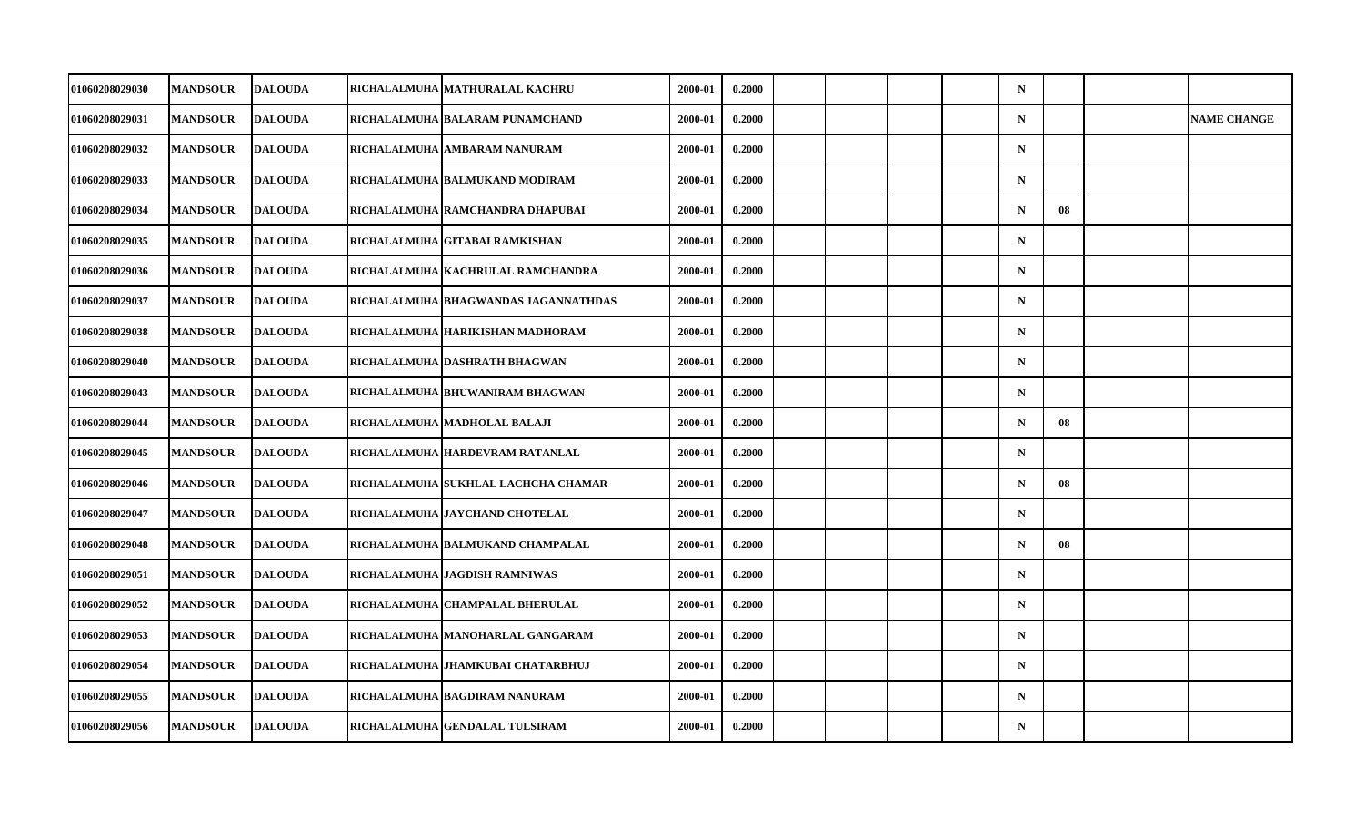| 01060208029030        | <b>MANDSOUR</b> | <b>DALOUDA</b> | RICHALALMUHA   MATHURALAL KACHRU     | 2000-01 | 0.2000 |  |  | $\mathbf N$ |    |                    |
|-----------------------|-----------------|----------------|--------------------------------------|---------|--------|--|--|-------------|----|--------------------|
| 01060208029031        | <b>MANDSOUR</b> | <b>DALOUDA</b> | RICHALALMUHA BALARAM PUNAMCHAND      | 2000-01 | 0.2000 |  |  | $\mathbf N$ |    | <b>NAME CHANGE</b> |
| 01060208029032        | <b>MANDSOUR</b> | <b>DALOUDA</b> | RICHALALMUHA AMBARAM NANURAM         | 2000-01 | 0.2000 |  |  | $\mathbf N$ |    |                    |
| <b>01060208029033</b> | <b>MANDSOUR</b> | <b>DALOUDA</b> | RICHALALMUHA BALMUKAND MODIRAM       | 2000-01 | 0.2000 |  |  | $\mathbf N$ |    |                    |
| 01060208029034        | <b>MANDSOUR</b> | <b>DALOUDA</b> | RICHALALMUHA RAMCHANDRA DHAPUBAI     | 2000-01 | 0.2000 |  |  | $\mathbf N$ | 08 |                    |
| 01060208029035        | <b>MANDSOUR</b> | <b>DALOUDA</b> | RICHALALMUHA GITABAI RAMKISHAN       | 2000-01 | 0.2000 |  |  | $\mathbf N$ |    |                    |
| 01060208029036        | <b>MANDSOUR</b> | <b>DALOUDA</b> | RICHALALMUHA KACHRULAL RAMCHANDRA    | 2000-01 | 0.2000 |  |  | $\mathbf N$ |    |                    |
| 01060208029037        | <b>MANDSOUR</b> | <b>DALOUDA</b> | RICHALALMUHA BHAGWANDAS JAGANNATHDAS | 2000-01 | 0.2000 |  |  | $\mathbf N$ |    |                    |
| 01060208029038        | <b>MANDSOUR</b> | <b>DALOUDA</b> | RICHALALMUHA HARIKISHAN MADHORAM     | 2000-01 | 0.2000 |  |  | $\mathbf N$ |    |                    |
| 01060208029040        | <b>MANDSOUR</b> | <b>DALOUDA</b> | RICHALALMUHA DASHRATH BHAGWAN        | 2000-01 | 0.2000 |  |  | $\mathbf N$ |    |                    |
| 01060208029043        | <b>MANDSOUR</b> | <b>DALOUDA</b> | RICHALALMUHA BHUWANIRAM BHAGWAN      | 2000-01 | 0.2000 |  |  | $\mathbf N$ |    |                    |
| 01060208029044        | <b>MANDSOUR</b> | <b>DALOUDA</b> | RICHALALMUHA MADHOLAL BALAJI         | 2000-01 | 0.2000 |  |  | $\mathbf N$ | 08 |                    |
| 01060208029045        | <b>MANDSOUR</b> | <b>DALOUDA</b> | RICHALALMUHA HARDEVRAM RATANLAL      | 2000-01 | 0.2000 |  |  | $\mathbf N$ |    |                    |
| 01060208029046        | <b>MANDSOUR</b> | <b>DALOUDA</b> | RICHALALMUHA  SUKHLAL LACHCHA CHAMAR | 2000-01 | 0.2000 |  |  | $\mathbf N$ | 08 |                    |
| 01060208029047        | <b>MANDSOUR</b> | <b>DALOUDA</b> | RICHALALMUHA JAYCHAND CHOTELAL       | 2000-01 | 0.2000 |  |  | N           |    |                    |
| 01060208029048        | <b>MANDSOUR</b> | <b>DALOUDA</b> | RICHALALMUHA BALMUKAND CHAMPALAL     | 2000-01 | 0.2000 |  |  | $\mathbf N$ | 08 |                    |
| 01060208029051        | <b>MANDSOUR</b> | <b>DALOUDA</b> | RICHALALMUHA JAGDISH RAMNIWAS        | 2000-01 | 0.2000 |  |  | $\mathbf N$ |    |                    |
| 01060208029052        | <b>MANDSOUR</b> | <b>DALOUDA</b> | RICHALALMUHA CHAMPALAL BHERULAL      | 2000-01 | 0.2000 |  |  | $\mathbf N$ |    |                    |
| 01060208029053        | <b>MANDSOUR</b> | <b>DALOUDA</b> | RICHALALMUHA  MANOHARLAL GANGARAM    | 2000-01 | 0.2000 |  |  | $\mathbf N$ |    |                    |
| 01060208029054        | <b>MANDSOUR</b> | <b>DALOUDA</b> | RICHALALMUHA JHAMKUBAI CHATARBHUJ    | 2000-01 | 0.2000 |  |  | $\mathbf N$ |    |                    |
| 01060208029055        | <b>MANDSOUR</b> | <b>DALOUDA</b> | RICHALALMUHA BAGDIRAM NANURAM        | 2000-01 | 0.2000 |  |  | $\mathbf N$ |    |                    |
| 01060208029056        | <b>MANDSOUR</b> | <b>DALOUDA</b> | RICHALALMUHA GENDALAL TULSIRAM       | 2000-01 | 0.2000 |  |  | N           |    |                    |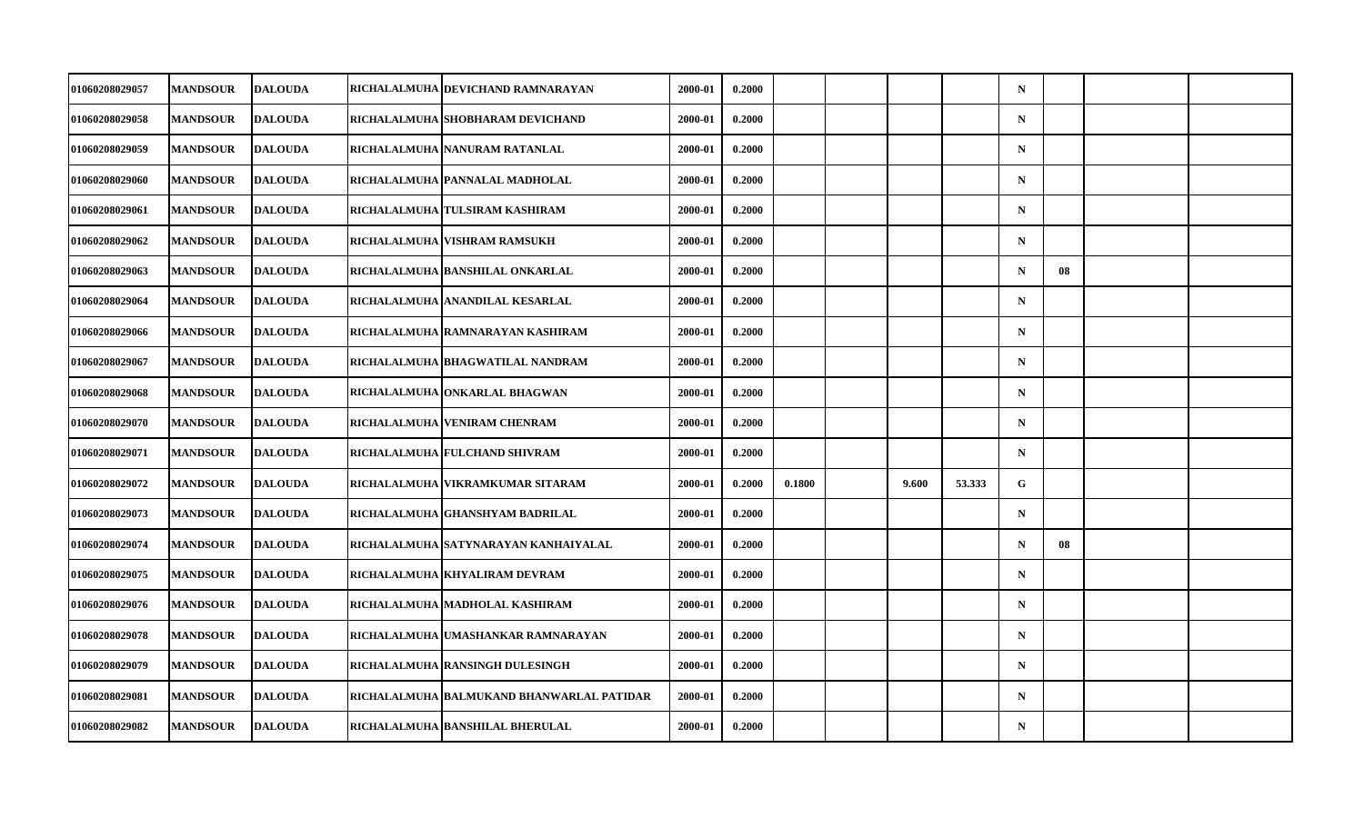| 01060208029057 | <b>MANDSOUR</b> | <b>DALOUDA</b> | RICHALALMUHA DEVICHAND RAMNARAYAN         | 2000-01 | 0.2000 |        |       |        | $\mathbf N$ |    |  |
|----------------|-----------------|----------------|-------------------------------------------|---------|--------|--------|-------|--------|-------------|----|--|
| 01060208029058 | <b>MANDSOUR</b> | <b>DALOUDA</b> | RICHALALMUHA SHOBHARAM DEVICHAND          | 2000-01 | 0.2000 |        |       |        | $\mathbf N$ |    |  |
| 01060208029059 | <b>MANDSOUR</b> | <b>DALOUDA</b> | RICHALALMUHA NANURAM RATANLAL             | 2000-01 | 0.2000 |        |       |        | $\mathbf N$ |    |  |
| 01060208029060 | <b>MANDSOUR</b> | <b>DALOUDA</b> | RICHALALMUHA PANNALAL MADHOLAL            | 2000-01 | 0.2000 |        |       |        | $\mathbf N$ |    |  |
| 01060208029061 | <b>MANDSOUR</b> | <b>DALOUDA</b> | RICHALALMUHA TULSIRAM KASHIRAM            | 2000-01 | 0.2000 |        |       |        | $\mathbf N$ |    |  |
| 01060208029062 | <b>MANDSOUR</b> | <b>DALOUDA</b> | RICHALALMUHA VISHRAM RAMSUKH              | 2000-01 | 0.2000 |        |       |        | $\mathbf N$ |    |  |
| 01060208029063 | <b>MANDSOUR</b> | <b>DALOUDA</b> | RICHALALMUHA BANSHILAL ONKARLAL           | 2000-01 | 0.2000 |        |       |        | $\mathbf N$ | 08 |  |
| 01060208029064 | <b>MANDSOUR</b> | <b>DALOUDA</b> | RICHALALMUHA ANANDILAL KESARLAL           | 2000-01 | 0.2000 |        |       |        | $\mathbf N$ |    |  |
| 01060208029066 | <b>MANDSOUR</b> | <b>DALOUDA</b> | RICHALALMUHA RAMNARAYAN KASHIRAM          | 2000-01 | 0.2000 |        |       |        | $\mathbf N$ |    |  |
| 01060208029067 | <b>MANDSOUR</b> | <b>DALOUDA</b> | RICHALALMUHA BHAGWATILAL NANDRAM          | 2000-01 | 0.2000 |        |       |        | $\mathbf N$ |    |  |
| 01060208029068 | <b>MANDSOUR</b> | <b>DALOUDA</b> | RICHALALMUHA ONKARLAL BHAGWAN             | 2000-01 | 0.2000 |        |       |        | $\mathbf N$ |    |  |
| 01060208029070 | <b>MANDSOUR</b> | <b>DALOUDA</b> | RICHALALMUHA VENIRAM CHENRAM              | 2000-01 | 0.2000 |        |       |        | $\mathbf N$ |    |  |
| 01060208029071 | <b>MANDSOUR</b> | <b>DALOUDA</b> | RICHALALMUHA FULCHAND SHIVRAM             | 2000-01 | 0.2000 |        |       |        | $\mathbf N$ |    |  |
| 01060208029072 | <b>MANDSOUR</b> | <b>DALOUDA</b> | RICHALALMUHA VIKRAMKUMAR SITARAM          | 2000-01 | 0.2000 | 0.1800 | 9.600 | 53.333 | G           |    |  |
| 01060208029073 | <b>MANDSOUR</b> | <b>DALOUDA</b> | RICHALALMUHA GHANSHYAM BADRILAL           | 2000-01 | 0.2000 |        |       |        | $\mathbf N$ |    |  |
| 01060208029074 | <b>MANDSOUR</b> | <b>DALOUDA</b> | RICHALALMUHA SATYNARAYAN KANHAIYALAL      | 2000-01 | 0.2000 |        |       |        | $\mathbf N$ | 08 |  |
| 01060208029075 | <b>MANDSOUR</b> | <b>DALOUDA</b> | RICHALALMUHA KHYALIRAM DEVRAM             | 2000-01 | 0.2000 |        |       |        | $\mathbf N$ |    |  |
| 01060208029076 | <b>MANDSOUR</b> | <b>DALOUDA</b> | RICHALALMUHA MADHOLAL KASHIRAM            | 2000-01 | 0.2000 |        |       |        | $\mathbf N$ |    |  |
| 01060208029078 | <b>MANDSOUR</b> | <b>DALOUDA</b> | RICHALALMUHA  UMASHANKAR RAMNARAYAN       | 2000-01 | 0.2000 |        |       |        | $\mathbf N$ |    |  |
| 01060208029079 | <b>MANDSOUR</b> | <b>DALOUDA</b> | RICHALALMUHA RANSINGH DULESINGH           | 2000-01 | 0.2000 |        |       |        | $\mathbf N$ |    |  |
| 01060208029081 | <b>MANDSOUR</b> | <b>DALOUDA</b> | RICHALALMUHA BALMUKAND BHANWARLAL PATIDAR | 2000-01 | 0.2000 |        |       |        | $\mathbf N$ |    |  |
| 01060208029082 | <b>MANDSOUR</b> | <b>DALOUDA</b> | RICHALALMUHA BANSHILAL BHERULAL           | 2000-01 | 0.2000 |        |       |        | $\mathbf N$ |    |  |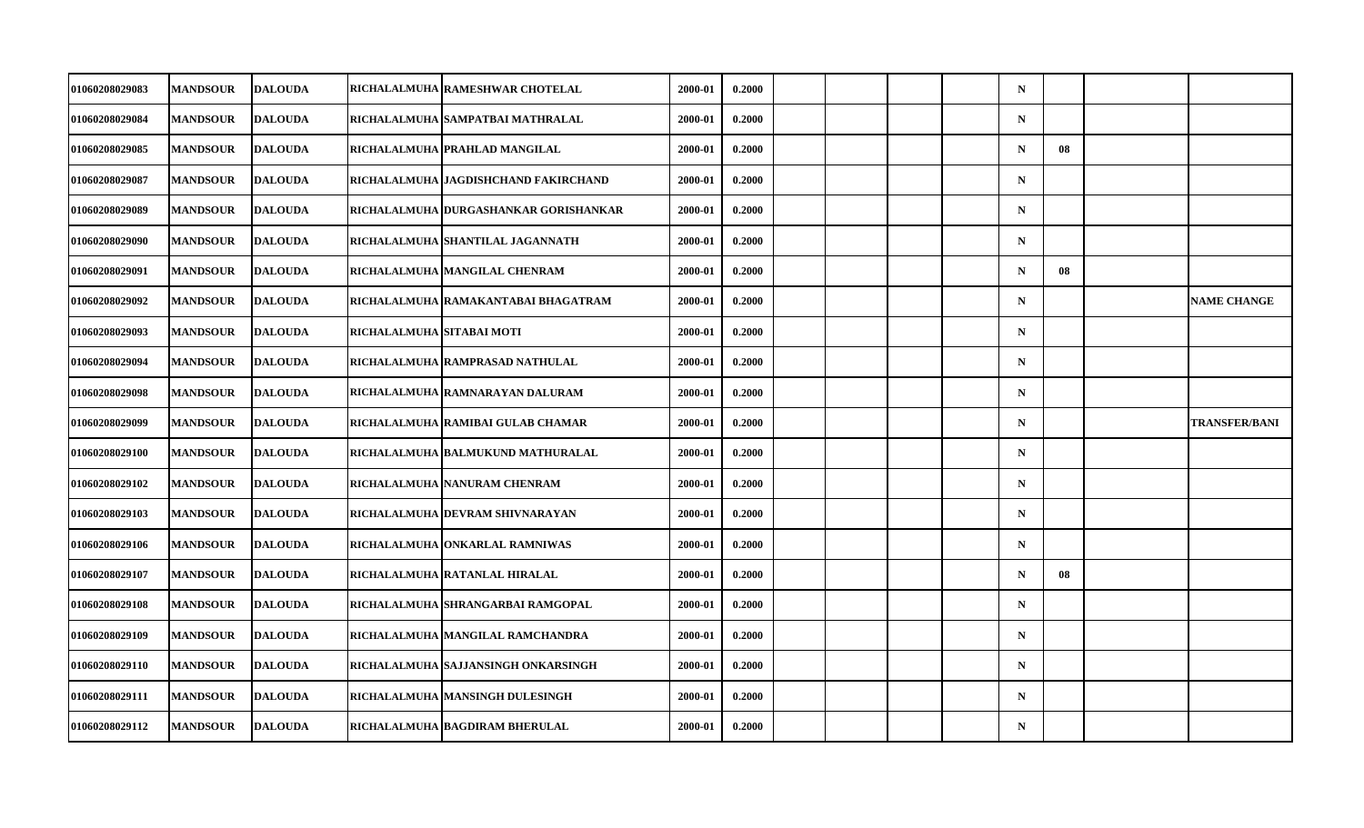| 01060208029083 | <b>MANDSOUR</b> | <b>DALOUDA</b> |                           | RICHALALMUHA RAMESHWAR CHOTELAL        | 2000-01 | 0.2000 |  |  | $\mathbf N$ |    |                      |
|----------------|-----------------|----------------|---------------------------|----------------------------------------|---------|--------|--|--|-------------|----|----------------------|
| 01060208029084 | <b>MANDSOUR</b> | <b>DALOUDA</b> |                           | RICHALALMUHA  SAMPATBAI MATHRALAL      | 2000-01 | 0.2000 |  |  | $\mathbf N$ |    |                      |
| 01060208029085 | <b>MANDSOUR</b> | <b>DALOUDA</b> |                           | RICHALALMUHA PRAHLAD MANGILAL          | 2000-01 | 0.2000 |  |  | $\mathbf N$ | 08 |                      |
| 01060208029087 | <b>MANDSOUR</b> | <b>DALOUDA</b> |                           | RICHALALMUHA   JAGDISHCHAND FAKIRCHAND | 2000-01 | 0.2000 |  |  | $\mathbf N$ |    |                      |
| 01060208029089 | <b>MANDSOUR</b> | <b>DALOUDA</b> |                           | RICHALALMUHA DURGASHANKAR GORISHANKAR  | 2000-01 | 0.2000 |  |  | $\mathbf N$ |    |                      |
| 01060208029090 | <b>MANDSOUR</b> | <b>DALOUDA</b> |                           | RICHALALMUHA SHANTILAL JAGANNATH       | 2000-01 | 0.2000 |  |  | $\mathbf N$ |    |                      |
| 01060208029091 | <b>MANDSOUR</b> | <b>DALOUDA</b> |                           | RICHALALMUHA MANGILAL CHENRAM          | 2000-01 | 0.2000 |  |  | $\mathbf N$ | 08 |                      |
| 01060208029092 | <b>MANDSOUR</b> | <b>DALOUDA</b> |                           | RICHALALMUHA RAMAKANTABAI BHAGATRAM    | 2000-01 | 0.2000 |  |  | $\mathbf N$ |    | <b>NAME CHANGE</b>   |
| 01060208029093 | <b>MANDSOUR</b> | <b>DALOUDA</b> | RICHALALMUHA SITABAI MOTI |                                        | 2000-01 | 0.2000 |  |  | $\mathbf N$ |    |                      |
| 01060208029094 | <b>MANDSOUR</b> | <b>DALOUDA</b> |                           | RICHALALMUHA RAMPRASAD NATHULAL        | 2000-01 | 0.2000 |  |  | $\mathbf N$ |    |                      |
| 01060208029098 | <b>MANDSOUR</b> | <b>DALOUDA</b> |                           | RICHALALMUHA RAMNARAYAN DALURAM        | 2000-01 | 0.2000 |  |  | $\mathbf N$ |    |                      |
| 01060208029099 | <b>MANDSOUR</b> | <b>DALOUDA</b> |                           | RICHALALMUHA RAMIBAI GULAB CHAMAR      | 2000-01 | 0.2000 |  |  | $\mathbf N$ |    | <b>TRANSFER/BANI</b> |
| 01060208029100 | <b>MANDSOUR</b> | <b>DALOUDA</b> |                           | RICHALALMUHA BALMUKUND MATHURALAL      | 2000-01 | 0.2000 |  |  | $\mathbf N$ |    |                      |
| 01060208029102 | <b>MANDSOUR</b> | <b>DALOUDA</b> |                           | RICHALALMUHA   NANURAM CHENRAM         | 2000-01 | 0.2000 |  |  | $\mathbf N$ |    |                      |
| 01060208029103 | <b>MANDSOUR</b> | <b>DALOUDA</b> |                           | RICHALALMUHA DEVRAM SHIVNARAYAN        | 2000-01 | 0.2000 |  |  | $\mathbf N$ |    |                      |
| 01060208029106 | <b>MANDSOUR</b> | <b>DALOUDA</b> |                           | RICHALALMUHA ONKARLAL RAMNIWAS         | 2000-01 | 0.2000 |  |  | $\mathbf N$ |    |                      |
| 01060208029107 | <b>MANDSOUR</b> | <b>DALOUDA</b> |                           | RICHALALMUHA RATANLAL HIRALAL          | 2000-01 | 0.2000 |  |  | $\mathbf N$ | 08 |                      |
| 01060208029108 | <b>MANDSOUR</b> | <b>DALOUDA</b> |                           | RICHALALMUHA SHRANGARBAI RAMGOPAL      | 2000-01 | 0.2000 |  |  | $\mathbf N$ |    |                      |
| 01060208029109 | <b>MANDSOUR</b> | <b>DALOUDA</b> |                           | RICHALALMUHA   MANGILAL RAMCHANDRA     | 2000-01 | 0.2000 |  |  | $\mathbf N$ |    |                      |
| 01060208029110 | <b>MANDSOUR</b> | <b>DALOUDA</b> |                           | RICHALALMUHA SAJJANSINGH ONKARSINGH    | 2000-01 | 0.2000 |  |  | $\mathbf N$ |    |                      |
| 01060208029111 | <b>MANDSOUR</b> | <b>DALOUDA</b> |                           | RICHALALMUHA MANSINGH DULESINGH        | 2000-01 | 0.2000 |  |  | $\mathbf N$ |    |                      |
| 01060208029112 | <b>MANDSOUR</b> | <b>DALOUDA</b> |                           | RICHALALMUHA BAGDIRAM BHERULAL         | 2000-01 | 0.2000 |  |  | $\mathbf N$ |    |                      |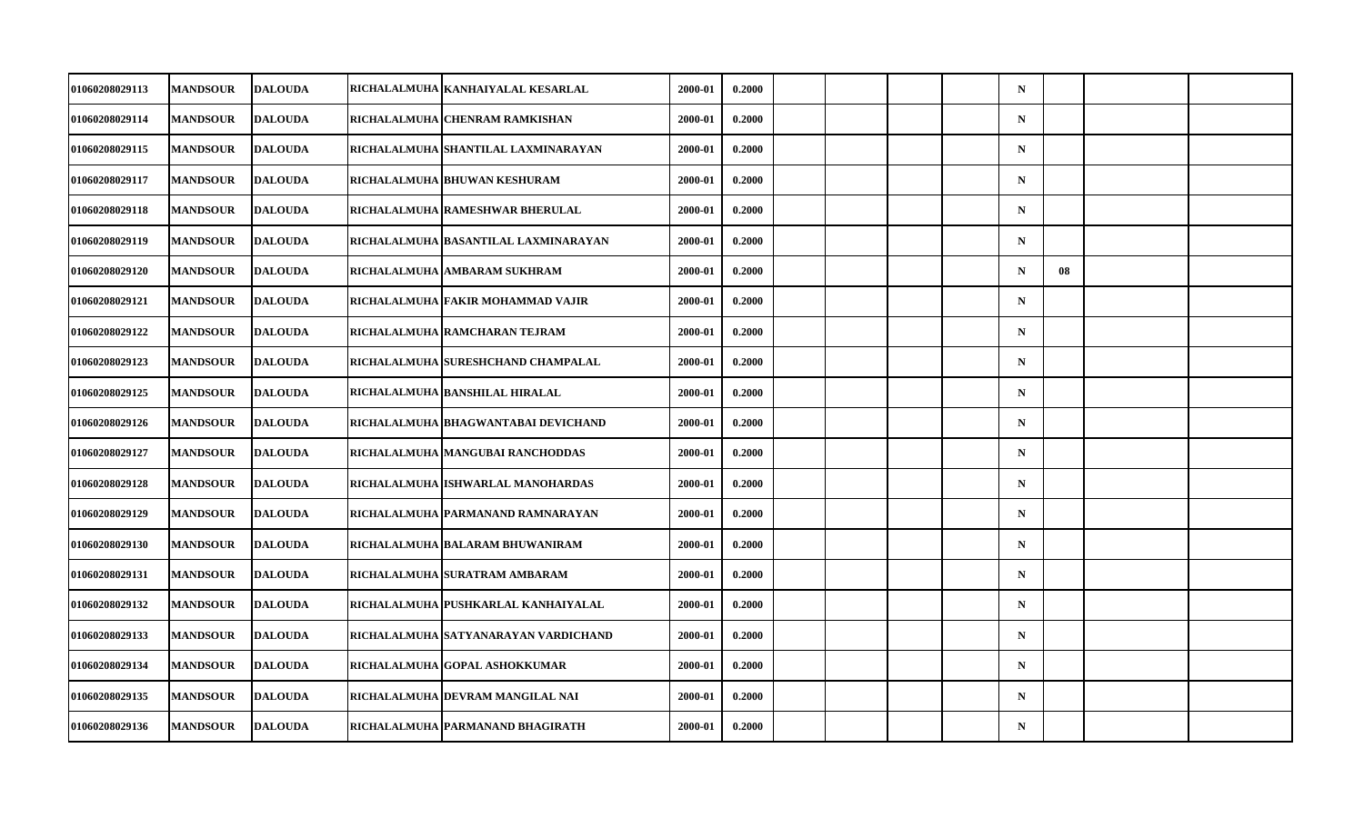| 01060208029113 | <b>MANDSOUR</b> | <b>DALOUDA</b> | RICHALALMUHA KANHAIYALAL KESARLAL     | 2000-01 | 0.2000 |  |  | $\mathbf N$ |    |  |
|----------------|-----------------|----------------|---------------------------------------|---------|--------|--|--|-------------|----|--|
| 01060208029114 | <b>MANDSOUR</b> | <b>DALOUDA</b> | RICHALALMUHA CHENRAM RAMKISHAN        | 2000-01 | 0.2000 |  |  | $\mathbf N$ |    |  |
| 01060208029115 | <b>MANDSOUR</b> | <b>DALOUDA</b> | RICHALALMUHA SHANTILAL LAXMINARAYAN   | 2000-01 | 0.2000 |  |  | $\mathbf N$ |    |  |
| 01060208029117 | <b>MANDSOUR</b> | <b>DALOUDA</b> | RICHALALMUHA BHUWAN KESHURAM          | 2000-01 | 0.2000 |  |  | $\mathbf N$ |    |  |
| 01060208029118 | <b>MANDSOUR</b> | <b>DALOUDA</b> | RICHALALMUHA RAMESHWAR BHERULAL       | 2000-01 | 0.2000 |  |  | $\mathbf N$ |    |  |
| 01060208029119 | <b>MANDSOUR</b> | <b>DALOUDA</b> | RICHALALMUHA  BASANTILAL LAXMINARAYAN | 2000-01 | 0.2000 |  |  | $\mathbf N$ |    |  |
| 01060208029120 | <b>MANDSOUR</b> | <b>DALOUDA</b> | RICHALALMUHA AMBARAM SUKHRAM          | 2000-01 | 0.2000 |  |  | $\mathbf N$ | 08 |  |
| 01060208029121 | <b>MANDSOUR</b> | <b>DALOUDA</b> | RICHALALMUHA FAKIR MOHAMMAD VAJIR     | 2000-01 | 0.2000 |  |  | $\mathbf N$ |    |  |
| 01060208029122 | <b>MANDSOUR</b> | <b>DALOUDA</b> | RICHALALMUHA RAMCHARAN TEJRAM         | 2000-01 | 0.2000 |  |  | $\mathbf N$ |    |  |
| 01060208029123 | <b>MANDSOUR</b> | <b>DALOUDA</b> | RICHALALMUHA SURESHCHAND CHAMPALAL    | 2000-01 | 0.2000 |  |  | $\mathbf N$ |    |  |
| 01060208029125 | <b>MANDSOUR</b> | <b>DALOUDA</b> | RICHALALMUHA BANSHILAL HIRALAL        | 2000-01 | 0.2000 |  |  | $\mathbf N$ |    |  |
| 01060208029126 | <b>MANDSOUR</b> | <b>DALOUDA</b> | RICHALALMUHA  BHAGWANTABAI DEVICHAND  | 2000-01 | 0.2000 |  |  | $\mathbf N$ |    |  |
| 01060208029127 | <b>MANDSOUR</b> | <b>DALOUDA</b> | RICHALALMUHA MANGUBAI RANCHODDAS      | 2000-01 | 0.2000 |  |  | $\mathbf N$ |    |  |
| 01060208029128 | <b>MANDSOUR</b> | <b>DALOUDA</b> | RICHALALMUHA ISHWARLAL MANOHARDAS     | 2000-01 | 0.2000 |  |  | $\mathbf N$ |    |  |
| 01060208029129 | <b>MANDSOUR</b> | <b>DALOUDA</b> | RICHALALMUHA PARMANAND RAMNARAYAN     | 2000-01 | 0.2000 |  |  | $\mathbf N$ |    |  |
| 01060208029130 | <b>MANDSOUR</b> | <b>DALOUDA</b> | RICHALALMUHA BALARAM BHUWANIRAM       | 2000-01 | 0.2000 |  |  | $\mathbf N$ |    |  |
| 01060208029131 | <b>MANDSOUR</b> | <b>DALOUDA</b> | RICHALALMUHA SURATRAM AMBARAM         | 2000-01 | 0.2000 |  |  | $\mathbf N$ |    |  |
| 01060208029132 | <b>MANDSOUR</b> | <b>DALOUDA</b> | RICHALALMUHA PUSHKARLAL KANHAIYALAL   | 2000-01 | 0.2000 |  |  | $\mathbf N$ |    |  |
| 01060208029133 | <b>MANDSOUR</b> | <b>DALOUDA</b> | RICHALALMUHA SATYANARAYAN VARDICHAND  | 2000-01 | 0.2000 |  |  | $\mathbf N$ |    |  |
| 01060208029134 | <b>MANDSOUR</b> | <b>DALOUDA</b> | RICHALALMUHA GOPAL ASHOKKUMAR         | 2000-01 | 0.2000 |  |  | $\mathbf N$ |    |  |
| 01060208029135 | <b>MANDSOUR</b> | <b>DALOUDA</b> | RICHALALMUHA DEVRAM MANGILAL NAI      | 2000-01 | 0.2000 |  |  | $\mathbf N$ |    |  |
| 01060208029136 | <b>MANDSOUR</b> | <b>DALOUDA</b> | RICHALALMUHA PARMANAND BHAGIRATH      | 2000-01 | 0.2000 |  |  | $\mathbf N$ |    |  |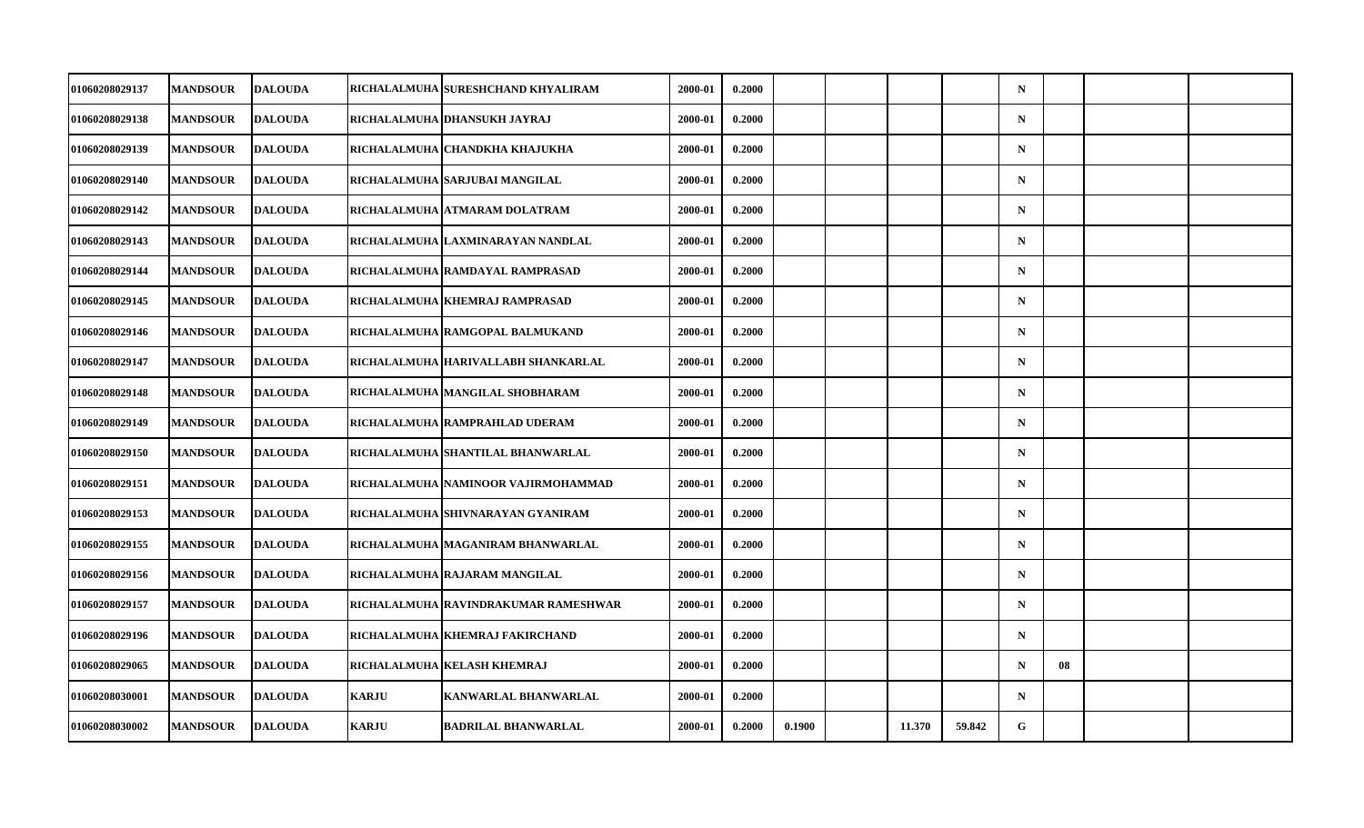| <b>MANDSOUR</b><br><b>MANDSOUR</b> | <b>DALOUDA</b> |                                                                                                                                                                                                                                                                                                                                                    | RICHALALMUHA  SURESHCHAND KHYALIRAM | 2000-01                                                                                                                                                                                                                                                                                                                                                                                                                                                                                                                                                                                                                                                                                          | 0.2000 |        |        |        | $\mathbf N$ |    |  |
|------------------------------------|----------------|----------------------------------------------------------------------------------------------------------------------------------------------------------------------------------------------------------------------------------------------------------------------------------------------------------------------------------------------------|-------------------------------------|--------------------------------------------------------------------------------------------------------------------------------------------------------------------------------------------------------------------------------------------------------------------------------------------------------------------------------------------------------------------------------------------------------------------------------------------------------------------------------------------------------------------------------------------------------------------------------------------------------------------------------------------------------------------------------------------------|--------|--------|--------|--------|-------------|----|--|
|                                    |                |                                                                                                                                                                                                                                                                                                                                                    |                                     |                                                                                                                                                                                                                                                                                                                                                                                                                                                                                                                                                                                                                                                                                                  |        |        |        |        |             |    |  |
|                                    | <b>DALOUDA</b> |                                                                                                                                                                                                                                                                                                                                                    | RICHALALMUHA   DHANSUKH JAYRAJ      | 2000-01                                                                                                                                                                                                                                                                                                                                                                                                                                                                                                                                                                                                                                                                                          | 0.2000 |        |        |        | ${\bf N}$   |    |  |
| <b>MANDSOUR</b>                    | <b>DALOUDA</b> |                                                                                                                                                                                                                                                                                                                                                    | RICHALALMUHA   CHANDKHA KHAJUKHA    | 2000-01                                                                                                                                                                                                                                                                                                                                                                                                                                                                                                                                                                                                                                                                                          | 0.2000 |        |        |        | $\mathbf N$ |    |  |
| <b>MANDSOUR</b>                    |                |                                                                                                                                                                                                                                                                                                                                                    |                                     | 2000-01                                                                                                                                                                                                                                                                                                                                                                                                                                                                                                                                                                                                                                                                                          | 0.2000 |        |        |        | $\mathbf N$ |    |  |
| <b>MANDSOUR</b>                    |                |                                                                                                                                                                                                                                                                                                                                                    |                                     | 2000-01                                                                                                                                                                                                                                                                                                                                                                                                                                                                                                                                                                                                                                                                                          | 0.2000 |        |        |        | $\mathbf N$ |    |  |
| <b>MANDSOUR</b>                    |                |                                                                                                                                                                                                                                                                                                                                                    |                                     | 2000-01                                                                                                                                                                                                                                                                                                                                                                                                                                                                                                                                                                                                                                                                                          | 0.2000 |        |        |        | $\mathbf N$ |    |  |
| <b>MANDSOUR</b>                    |                |                                                                                                                                                                                                                                                                                                                                                    |                                     | 2000-01                                                                                                                                                                                                                                                                                                                                                                                                                                                                                                                                                                                                                                                                                          | 0.2000 |        |        |        | $\mathbf N$ |    |  |
| <b>MANDSOUR</b>                    |                |                                                                                                                                                                                                                                                                                                                                                    |                                     | 2000-01                                                                                                                                                                                                                                                                                                                                                                                                                                                                                                                                                                                                                                                                                          | 0.2000 |        |        |        | $\mathbf N$ |    |  |
| <b>MANDSOUR</b>                    |                |                                                                                                                                                                                                                                                                                                                                                    |                                     | 2000-01                                                                                                                                                                                                                                                                                                                                                                                                                                                                                                                                                                                                                                                                                          | 0.2000 |        |        |        | $\mathbf N$ |    |  |
| <b>MANDSOUR</b>                    |                |                                                                                                                                                                                                                                                                                                                                                    |                                     | 2000-01                                                                                                                                                                                                                                                                                                                                                                                                                                                                                                                                                                                                                                                                                          | 0.2000 |        |        |        | $\mathbf N$ |    |  |
| <b>MANDSOUR</b>                    |                |                                                                                                                                                                                                                                                                                                                                                    |                                     | 2000-01                                                                                                                                                                                                                                                                                                                                                                                                                                                                                                                                                                                                                                                                                          | 0.2000 |        |        |        | $\mathbf N$ |    |  |
| <b>MANDSOUR</b>                    |                |                                                                                                                                                                                                                                                                                                                                                    |                                     | 2000-01                                                                                                                                                                                                                                                                                                                                                                                                                                                                                                                                                                                                                                                                                          | 0.2000 |        |        |        | $\mathbf N$ |    |  |
| <b>MANDSOUR</b>                    |                |                                                                                                                                                                                                                                                                                                                                                    |                                     | 2000-01                                                                                                                                                                                                                                                                                                                                                                                                                                                                                                                                                                                                                                                                                          | 0.2000 |        |        |        | ${\bf N}$   |    |  |
| <b>MANDSOUR</b>                    |                |                                                                                                                                                                                                                                                                                                                                                    |                                     | 2000-01                                                                                                                                                                                                                                                                                                                                                                                                                                                                                                                                                                                                                                                                                          | 0.2000 |        |        |        | $\mathbf N$ |    |  |
| <b>MANDSOUR</b>                    |                |                                                                                                                                                                                                                                                                                                                                                    |                                     | 2000-01                                                                                                                                                                                                                                                                                                                                                                                                                                                                                                                                                                                                                                                                                          | 0.2000 |        |        |        | $\mathbf N$ |    |  |
| <b>MANDSOUR</b>                    |                |                                                                                                                                                                                                                                                                                                                                                    |                                     | 2000-01                                                                                                                                                                                                                                                                                                                                                                                                                                                                                                                                                                                                                                                                                          | 0.2000 |        |        |        | $\mathbf N$ |    |  |
| <b>MANDSOUR</b>                    |                |                                                                                                                                                                                                                                                                                                                                                    |                                     | 2000-01                                                                                                                                                                                                                                                                                                                                                                                                                                                                                                                                                                                                                                                                                          | 0.2000 |        |        |        | $\mathbf N$ |    |  |
| <b>MANDSOUR</b>                    |                |                                                                                                                                                                                                                                                                                                                                                    |                                     | 2000-01                                                                                                                                                                                                                                                                                                                                                                                                                                                                                                                                                                                                                                                                                          | 0.2000 |        |        |        | $\mathbf N$ |    |  |
| <b>MANDSOUR</b>                    |                |                                                                                                                                                                                                                                                                                                                                                    |                                     | 2000-01                                                                                                                                                                                                                                                                                                                                                                                                                                                                                                                                                                                                                                                                                          | 0.2000 |        |        |        | $\mathbf N$ |    |  |
| <b>MANDSOUR</b>                    |                |                                                                                                                                                                                                                                                                                                                                                    |                                     | 2000-01                                                                                                                                                                                                                                                                                                                                                                                                                                                                                                                                                                                                                                                                                          | 0.2000 |        |        |        | $\mathbf N$ | 08 |  |
| <b>MANDSOUR</b>                    |                | <b>KARJU</b>                                                                                                                                                                                                                                                                                                                                       |                                     | 2000-01                                                                                                                                                                                                                                                                                                                                                                                                                                                                                                                                                                                                                                                                                          | 0.2000 |        |        |        | $\mathbf N$ |    |  |
| <b>MANDSOUR</b>                    |                | <b>KARJU</b>                                                                                                                                                                                                                                                                                                                                       |                                     | 2000-01                                                                                                                                                                                                                                                                                                                                                                                                                                                                                                                                                                                                                                                                                          | 0.2000 | 0.1900 | 11.370 | 59.842 | G           |    |  |
|                                    |                | <b>DALOUDA</b><br><b>DALOUDA</b><br><b>DALOUDA</b><br><b>DALOUDA</b><br><b>DALOUDA</b><br><b>DALOUDA</b><br><b>DALOUDA</b><br><b>DALOUDA</b><br><b>DALOUDA</b><br><b>DALOUDA</b><br><b>DALOUDA</b><br><b>DALOUDA</b><br><b>DALOUDA</b><br><b>DALOUDA</b><br><b>DALOUDA</b><br><b>DALOUDA</b><br><b>DALOUDA</b><br><b>DALOUDA</b><br><b>DALOUDA</b> |                                     | RICHALALMUHA SARJUBAI MANGILAL<br>RICHALALMUHA   ATMARAM DOLATRAM<br>RICHALALMUHA LAXMINARAYAN NANDLAL<br>RICHALALMUHA RAMDAYAL RAMPRASAD<br>RICHALALMUHA KHEMRAJ RAMPRASAD<br>RICHALALMUHA RAMGOPAL BALMUKAND<br>RICHALALMUHA HARIVALLABH SHANKARLAL<br>RICHALALMUHA   MANGILAL SHOBHARAM<br>RICHALALMUHA RAMPRAHLAD UDERAM<br>RICHALALMUHA SHANTILAL BHANWARLAL<br>RICHALALMUHA  NAMINOOR VAJIRMOHAMMAD<br>RICHALALMUHA SHIVNARAYAN GYANIRAM<br>RICHALALMUHA  MAGANIRAM BHANWARLAL<br>RICHALALMUHA   RAJARAM MANGILAL<br>RICHALALMUHA RAVINDRAKUMAR RAMESHWAR<br>RICHALALMUHA  KHEMRAJ FAKIRCHAND<br>RICHALALMUHA  KELASH KHEMRAJ<br><b>KANWARLAL BHANWARLAL</b><br><b>BADRILAL BHANWARLAL</b> |        |        |        |        |             |    |  |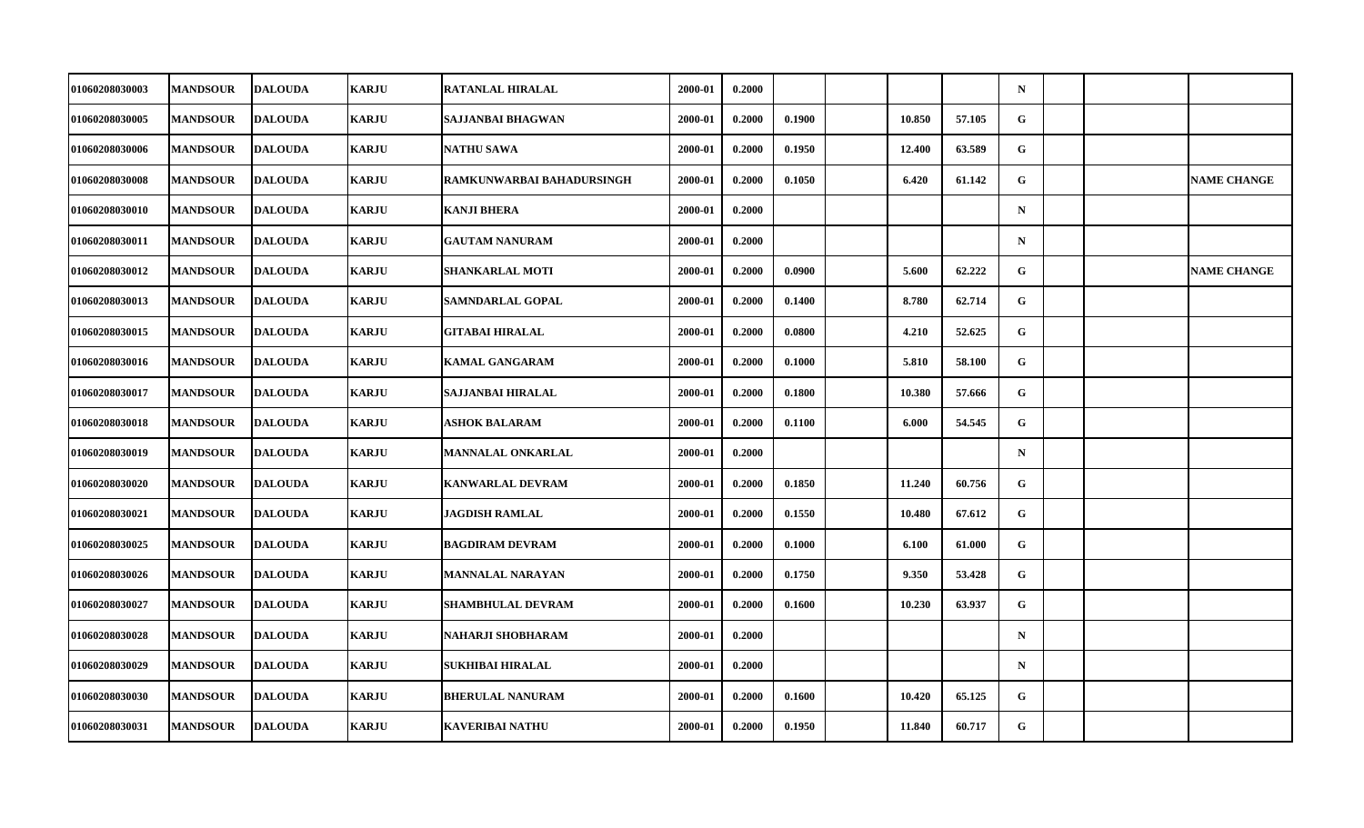| <b>01060208030003</b> | <b>MANDSOUR</b> | <b>DALOUDA</b> | <b>KARJU</b> | <b>RATANLAL HIRALAL</b>   | 2000-01 | 0.2000 |        |        |        | $\mathbf N$  |  |                    |
|-----------------------|-----------------|----------------|--------------|---------------------------|---------|--------|--------|--------|--------|--------------|--|--------------------|
| 01060208030005        | <b>MANDSOUR</b> | <b>DALOUDA</b> | <b>KARJU</b> | SAJJANBAI BHAGWAN         | 2000-01 | 0.2000 | 0.1900 | 10.850 | 57.105 | $\mathbf G$  |  |                    |
| 01060208030006        | <b>MANDSOUR</b> | <b>DALOUDA</b> | <b>KARJU</b> | <b>NATHU SAWA</b>         | 2000-01 | 0.2000 | 0.1950 | 12.400 | 63.589 | G.           |  |                    |
| 01060208030008        | <b>MANDSOUR</b> | <b>DALOUDA</b> | <b>KARJU</b> | RAMKUNWARBAI BAHADURSINGH | 2000-01 | 0.2000 | 0.1050 | 6.420  | 61.142 | $\mathbf{G}$ |  | <b>NAME CHANGE</b> |
| <b>01060208030010</b> | <b>MANDSOUR</b> | <b>DALOUDA</b> | <b>KARJU</b> | <b>KANJI BHERA</b>        | 2000-01 | 0.2000 |        |        |        | $\mathbf N$  |  |                    |
| 01060208030011        | <b>MANDSOUR</b> | <b>DALOUDA</b> | <b>KARJU</b> | <b>GAUTAM NANURAM</b>     | 2000-01 | 0.2000 |        |        |        | $\mathbf N$  |  |                    |
| 01060208030012        | <b>MANDSOUR</b> | <b>DALOUDA</b> | <b>KARJU</b> | SHANKARLAL MOTI           | 2000-01 | 0.2000 | 0.0900 | 5.600  | 62.222 | $\mathbf G$  |  | <b>NAME CHANGE</b> |
| 01060208030013        | <b>MANDSOUR</b> | <b>DALOUDA</b> | <b>KARJU</b> | SAMNDARLAL GOPAL          | 2000-01 | 0.2000 | 0.1400 | 8.780  | 62.714 | G            |  |                    |
| 01060208030015        | <b>MANDSOUR</b> | <b>DALOUDA</b> | <b>KARJU</b> | <b>GITABAI HIRALAL</b>    | 2000-01 | 0.2000 | 0.0800 | 4.210  | 52.625 | G            |  |                    |
| 01060208030016        | <b>MANDSOUR</b> | <b>DALOUDA</b> | <b>KARJU</b> | <b>KAMAL GANGARAM</b>     | 2000-01 | 0.2000 | 0.1000 | 5.810  | 58.100 | G.           |  |                    |
| 01060208030017        | <b>MANDSOUR</b> | <b>DALOUDA</b> | <b>KARJU</b> | SAJJANBAI HIRALAL         | 2000-01 | 0.2000 | 0.1800 | 10.380 | 57.666 | G            |  |                    |
| 01060208030018        | <b>MANDSOUR</b> | <b>DALOUDA</b> | <b>KARJU</b> | <b>ASHOK BALARAM</b>      | 2000-01 | 0.2000 | 0.1100 | 6.000  | 54.545 | $\mathbf{G}$ |  |                    |
| 01060208030019        | <b>MANDSOUR</b> | <b>DALOUDA</b> | <b>KARJU</b> | <b>MANNALAL ONKARLAL</b>  | 2000-01 | 0.2000 |        |        |        | $\mathbf N$  |  |                    |
| 01060208030020        | <b>MANDSOUR</b> | <b>DALOUDA</b> | <b>KARJU</b> | <b>KANWARLAL DEVRAM</b>   | 2000-01 | 0.2000 | 0.1850 | 11.240 | 60.756 | G            |  |                    |
| <b>01060208030021</b> | <b>MANDSOUR</b> | <b>DALOUDA</b> | <b>KARJU</b> | JAGDISH RAMLAL            | 2000-01 | 0.2000 | 0.1550 | 10.480 | 67.612 | G            |  |                    |
| 01060208030025        | <b>MANDSOUR</b> | <b>DALOUDA</b> | <b>KARJU</b> | <b>BAGDIRAM DEVRAM</b>    | 2000-01 | 0.2000 | 0.1000 | 6.100  | 61.000 | G            |  |                    |
| 01060208030026        | <b>MANDSOUR</b> | <b>DALOUDA</b> | <b>KARJU</b> | <b>MANNALAL NARAYAN</b>   | 2000-01 | 0.2000 | 0.1750 | 9.350  | 53.428 | G            |  |                    |
| 01060208030027        | <b>MANDSOUR</b> | <b>DALOUDA</b> | <b>KARJU</b> | <b>SHAMBHULAL DEVRAM</b>  | 2000-01 | 0.2000 | 0.1600 | 10.230 | 63.937 | G            |  |                    |
| 01060208030028        | <b>MANDSOUR</b> | <b>DALOUDA</b> | <b>KARJU</b> | NAHARJI SHOBHARAM         | 2000-01 | 0.2000 |        |        |        | $\mathbf N$  |  |                    |
| 01060208030029        | <b>MANDSOUR</b> | <b>DALOUDA</b> | <b>KARJU</b> | SUKHIBAI HIRALAL          | 2000-01 | 0.2000 |        |        |        | $\mathbf N$  |  |                    |
| 01060208030030        | <b>MANDSOUR</b> | <b>DALOUDA</b> | <b>KARJU</b> | <b>BHERULAL NANURAM</b>   | 2000-01 | 0.2000 | 0.1600 | 10.420 | 65.125 | $\mathbf{G}$ |  |                    |
| 01060208030031        | <b>MANDSOUR</b> | <b>DALOUDA</b> | <b>KARJU</b> | <b>KAVERIBAI NATHU</b>    | 2000-01 | 0.2000 | 0.1950 | 11.840 | 60.717 | G            |  |                    |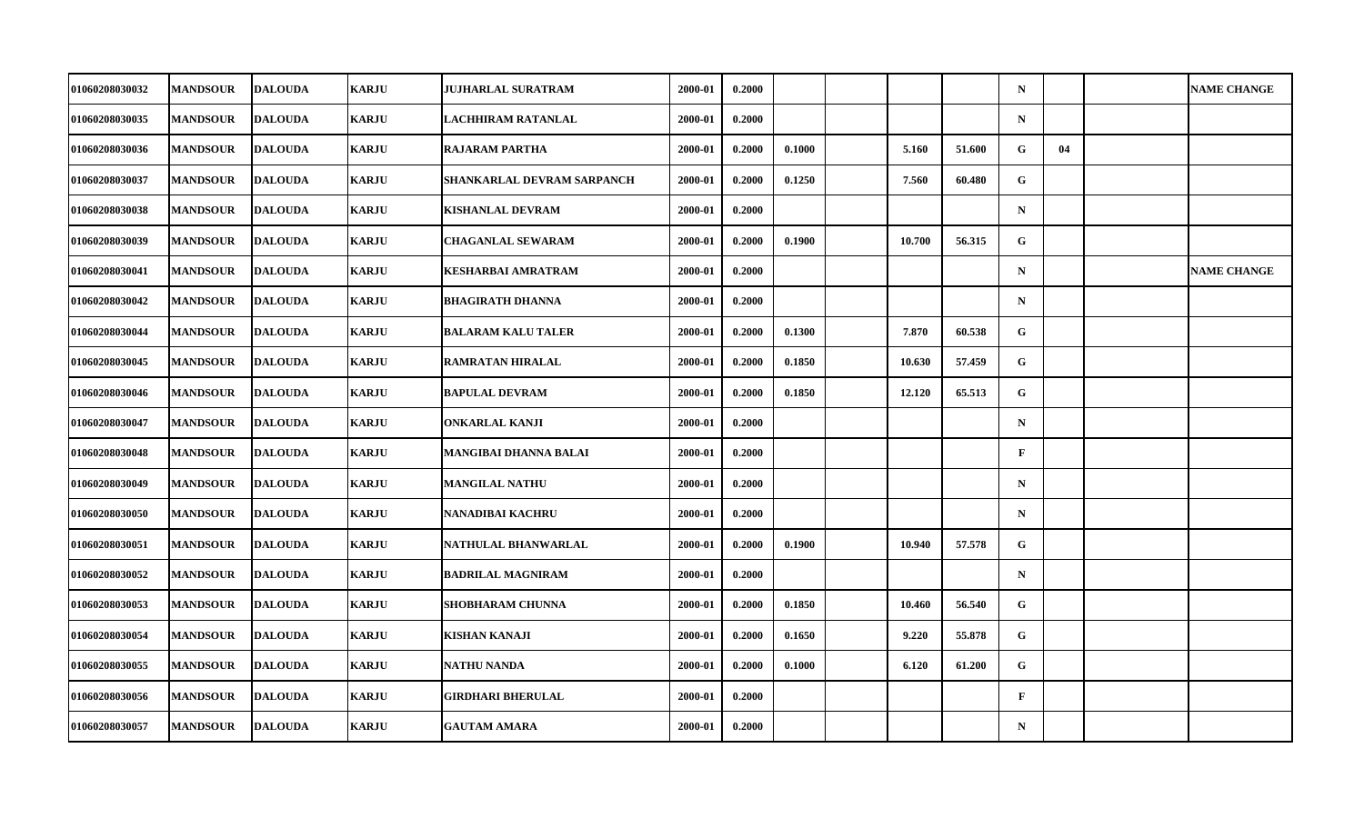| 01060208030032        | <b>MANDSOUR</b> | <b>DALOUDA</b> | <b>KARJU</b> | JUJHARLAL SURATRAM         | 2000-01 | 0.2000 |        |        |        | $\mathbf N$  |    | <b>NAME CHANGE</b> |
|-----------------------|-----------------|----------------|--------------|----------------------------|---------|--------|--------|--------|--------|--------------|----|--------------------|
| 01060208030035        | <b>MANDSOUR</b> | <b>DALOUDA</b> | <b>KARJU</b> | <b>LACHHIRAM RATANLAL</b>  | 2000-01 | 0.2000 |        |        |        | $\mathbf N$  |    |                    |
| 01060208030036        | <b>MANDSOUR</b> | <b>DALOUDA</b> | <b>KARJU</b> | <b>RAJARAM PARTHA</b>      | 2000-01 | 0.2000 | 0.1000 | 5.160  | 51.600 | G            | 04 |                    |
| 01060208030037        | <b>MANDSOUR</b> | <b>DALOUDA</b> | <b>KARJU</b> | SHANKARLAL DEVRAM SARPANCH | 2000-01 | 0.2000 | 0.1250 | 7.560  | 60.480 | $\mathbf{G}$ |    |                    |
| 01060208030038        | <b>MANDSOUR</b> | <b>DALOUDA</b> | <b>KARJU</b> | KISHANLAL DEVRAM           | 2000-01 | 0.2000 |        |        |        | $\mathbf N$  |    |                    |
| 01060208030039        | <b>MANDSOUR</b> | <b>DALOUDA</b> | <b>KARJU</b> | <b>CHAGANLAL SEWARAM</b>   | 2000-01 | 0.2000 | 0.1900 | 10.700 | 56.315 | G            |    |                    |
| 01060208030041        | <b>MANDSOUR</b> | <b>DALOUDA</b> | <b>KARJU</b> | KESHARBAI AMRATRAM         | 2000-01 | 0.2000 |        |        |        | $\mathbf N$  |    | <b>NAME CHANGE</b> |
| 01060208030042        | <b>MANDSOUR</b> | <b>DALOUDA</b> | <b>KARJU</b> | <b>BHAGIRATH DHANNA</b>    | 2000-01 | 0.2000 |        |        |        | $\mathbf N$  |    |                    |
| 01060208030044        | <b>MANDSOUR</b> | <b>DALOUDA</b> | <b>KARJU</b> | <b>BALARAM KALU TALER</b>  | 2000-01 | 0.2000 | 0.1300 | 7.870  | 60.538 | G            |    |                    |
| 01060208030045        | <b>MANDSOUR</b> | <b>DALOUDA</b> | <b>KARJU</b> | <b>RAMRATAN HIRALAL</b>    | 2000-01 | 0.2000 | 0.1850 | 10.630 | 57.459 | G            |    |                    |
| <b>01060208030046</b> | <b>MANDSOUR</b> | <b>DALOUDA</b> | <b>KARJU</b> | <b>BAPULAL DEVRAM</b>      | 2000-01 | 0.2000 | 0.1850 | 12.120 | 65.513 | G.           |    |                    |
| 01060208030047        | <b>MANDSOUR</b> | <b>DALOUDA</b> | <b>KARJU</b> | <b>ONKARLAL KANJI</b>      | 2000-01 | 0.2000 |        |        |        | $\mathbf N$  |    |                    |
| 01060208030048        | <b>MANDSOUR</b> | <b>DALOUDA</b> | <b>KARJU</b> | MANGIBAI DHANNA BALAI      | 2000-01 | 0.2000 |        |        |        | $\mathbf{F}$ |    |                    |
| 01060208030049        | <b>MANDSOUR</b> | <b>DALOUDA</b> | <b>KARJU</b> | <b>MANGILAL NATHU</b>      | 2000-01 | 0.2000 |        |        |        | $\mathbf N$  |    |                    |
| 01060208030050        | <b>MANDSOUR</b> | <b>DALOUDA</b> | <b>KARJU</b> | NANADIBAI KACHRU           | 2000-01 | 0.2000 |        |        |        | $\mathbf N$  |    |                    |
| 01060208030051        | <b>MANDSOUR</b> | <b>DALOUDA</b> | <b>KARJU</b> | NATHULAL BHANWARLAL        | 2000-01 | 0.2000 | 0.1900 | 10.940 | 57.578 | G            |    |                    |
| 01060208030052        | <b>MANDSOUR</b> | <b>DALOUDA</b> | <b>KARJU</b> | <b>BADRILAL MAGNIRAM</b>   | 2000-01 | 0.2000 |        |        |        | $\mathbf N$  |    |                    |
| 01060208030053        | <b>MANDSOUR</b> | <b>DALOUDA</b> | <b>KARJU</b> | <b>SHOBHARAM CHUNNA</b>    | 2000-01 | 0.2000 | 0.1850 | 10.460 | 56.540 | $\mathbf G$  |    |                    |
| 01060208030054        | <b>MANDSOUR</b> | <b>DALOUDA</b> | <b>KARJU</b> | <b>KISHAN KANAJI</b>       | 2000-01 | 0.2000 | 0.1650 | 9.220  | 55.878 | G            |    |                    |
| 01060208030055        | <b>MANDSOUR</b> | <b>DALOUDA</b> | <b>KARJU</b> | <b>NATHU NANDA</b>         | 2000-01 | 0.2000 | 0.1000 | 6.120  | 61.200 | G            |    |                    |
| 01060208030056        | <b>MANDSOUR</b> | <b>DALOUDA</b> | <b>KARJU</b> | <b>GIRDHARI BHERULAL</b>   | 2000-01 | 0.2000 |        |        |        | $\mathbf{F}$ |    |                    |
| 01060208030057        | <b>MANDSOUR</b> | <b>DALOUDA</b> | <b>KARJU</b> | <b>GAUTAM AMARA</b>        | 2000-01 | 0.2000 |        |        |        | $\mathbf N$  |    |                    |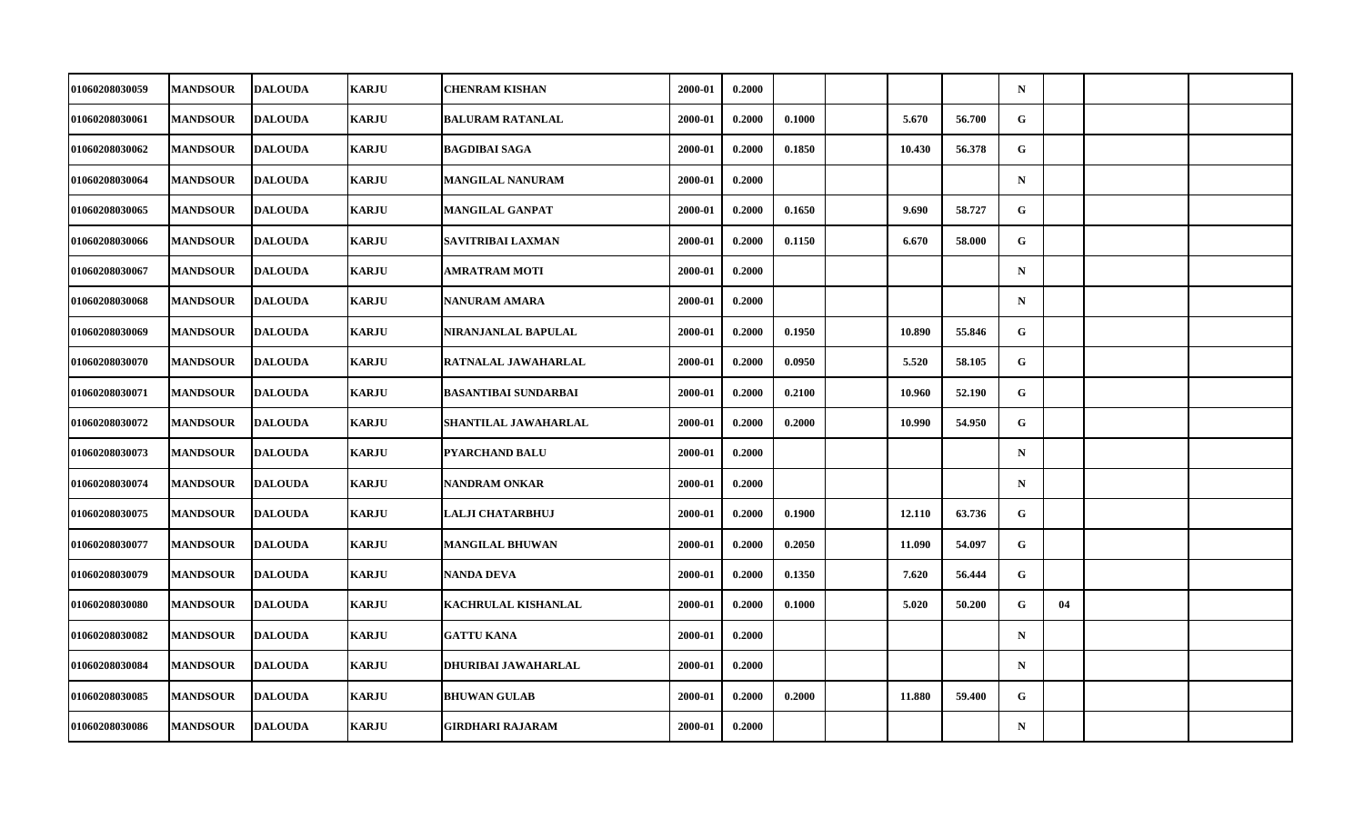| <b>01060208030059</b> | <b>MANDSOUR</b> | <b>DALOUDA</b> | <b>KARJU</b> | <b>CHENRAM KISHAN</b>       | 2000-01 | 0.2000 |        |        |        | $\mathbf N$ |    |  |
|-----------------------|-----------------|----------------|--------------|-----------------------------|---------|--------|--------|--------|--------|-------------|----|--|
| 01060208030061        | <b>MANDSOUR</b> | <b>DALOUDA</b> | <b>KARJU</b> | <b>BALURAM RATANLAL</b>     | 2000-01 | 0.2000 | 0.1000 | 5.670  | 56.700 | G           |    |  |
| 01060208030062        | <b>MANDSOUR</b> | <b>DALOUDA</b> | <b>KARJU</b> | <b>BAGDIBAI SAGA</b>        | 2000-01 | 0.2000 | 0.1850 | 10.430 | 56.378 | G           |    |  |
| 01060208030064        | <b>MANDSOUR</b> | <b>DALOUDA</b> | <b>KARJU</b> | <b>MANGILAL NANURAM</b>     | 2000-01 | 0.2000 |        |        |        | $\mathbf N$ |    |  |
| 01060208030065        | <b>MANDSOUR</b> | <b>DALOUDA</b> | <b>KARJU</b> | <b>MANGILAL GANPAT</b>      | 2000-01 | 0.2000 | 0.1650 | 9.690  | 58.727 | G           |    |  |
| 01060208030066        | <b>MANDSOUR</b> | <b>DALOUDA</b> | <b>KARJU</b> | SAVITRIBAI LAXMAN           | 2000-01 | 0.2000 | 0.1150 | 6.670  | 58.000 | G           |    |  |
| 01060208030067        | <b>MANDSOUR</b> | <b>DALOUDA</b> | <b>KARJU</b> | <b>AMRATRAM MOTI</b>        | 2000-01 | 0.2000 |        |        |        | $\mathbf N$ |    |  |
| 01060208030068        | <b>MANDSOUR</b> | <b>DALOUDA</b> | <b>KARJU</b> | <b>NANURAM AMARA</b>        | 2000-01 | 0.2000 |        |        |        | $\mathbf N$ |    |  |
| 01060208030069        | <b>MANDSOUR</b> | <b>DALOUDA</b> | <b>KARJU</b> | NIRANJANLAL BAPULAL         | 2000-01 | 0.2000 | 0.1950 | 10.890 | 55.846 | G           |    |  |
| 01060208030070        | <b>MANDSOUR</b> | <b>DALOUDA</b> | <b>KARJU</b> | RATNALAL JAWAHARLAL         | 2000-01 | 0.2000 | 0.0950 | 5.520  | 58.105 | G.          |    |  |
| 01060208030071        | <b>MANDSOUR</b> | <b>DALOUDA</b> | <b>KARJU</b> | <b>BASANTIBAI SUNDARBAI</b> | 2000-01 | 0.2000 | 0.2100 | 10.960 | 52.190 | G           |    |  |
| 01060208030072        | <b>MANDSOUR</b> | <b>DALOUDA</b> | <b>KARJU</b> | SHANTILAL JAWAHARLAL        | 2000-01 | 0.2000 | 0.2000 | 10.990 | 54.950 | G           |    |  |
| 01060208030073        | <b>MANDSOUR</b> | <b>DALOUDA</b> | <b>KARJU</b> | <b>PYARCHAND BALU</b>       | 2000-01 | 0.2000 |        |        |        | ${\bf N}$   |    |  |
| 01060208030074        | <b>MANDSOUR</b> | <b>DALOUDA</b> | <b>KARJU</b> | NANDRAM ONKAR               | 2000-01 | 0.2000 |        |        |        | $\mathbf N$ |    |  |
| 01060208030075        | <b>MANDSOUR</b> | <b>DALOUDA</b> | <b>KARJU</b> | <b>LALJI CHATARBHUJ</b>     | 2000-01 | 0.2000 | 0.1900 | 12.110 | 63.736 | G           |    |  |
| 01060208030077        | <b>MANDSOUR</b> | <b>DALOUDA</b> | <b>KARJU</b> | <b>MANGILAL BHUWAN</b>      | 2000-01 | 0.2000 | 0.2050 | 11.090 | 54.097 | G           |    |  |
| <b>01060208030079</b> | <b>MANDSOUR</b> | <b>DALOUDA</b> | <b>KARJU</b> | <b>NANDA DEVA</b>           | 2000-01 | 0.2000 | 0.1350 | 7.620  | 56.444 | G           |    |  |
| 01060208030080        | <b>MANDSOUR</b> | <b>DALOUDA</b> | <b>KARJU</b> | <b>KACHRULAL KISHANLAL</b>  | 2000-01 | 0.2000 | 0.1000 | 5.020  | 50.200 | G           | 04 |  |
| 01060208030082        | <b>MANDSOUR</b> | <b>DALOUDA</b> | <b>KARJU</b> | <b>GATTU KANA</b>           | 2000-01 | 0.2000 |        |        |        | $\mathbf N$ |    |  |
| 01060208030084        | <b>MANDSOUR</b> | <b>DALOUDA</b> | <b>KARJU</b> | DHURIBAI JAWAHARLAL         | 2000-01 | 0.2000 |        |        |        | $\mathbf N$ |    |  |
| 01060208030085        | <b>MANDSOUR</b> | <b>DALOUDA</b> | <b>KARJU</b> | <b>BHUWAN GULAB</b>         | 2000-01 | 0.2000 | 0.2000 | 11.880 | 59.400 | G           |    |  |
| 01060208030086        | <b>MANDSOUR</b> | <b>DALOUDA</b> | <b>KARJU</b> | <b>GIRDHARI RAJARAM</b>     | 2000-01 | 0.2000 |        |        |        | $\mathbf N$ |    |  |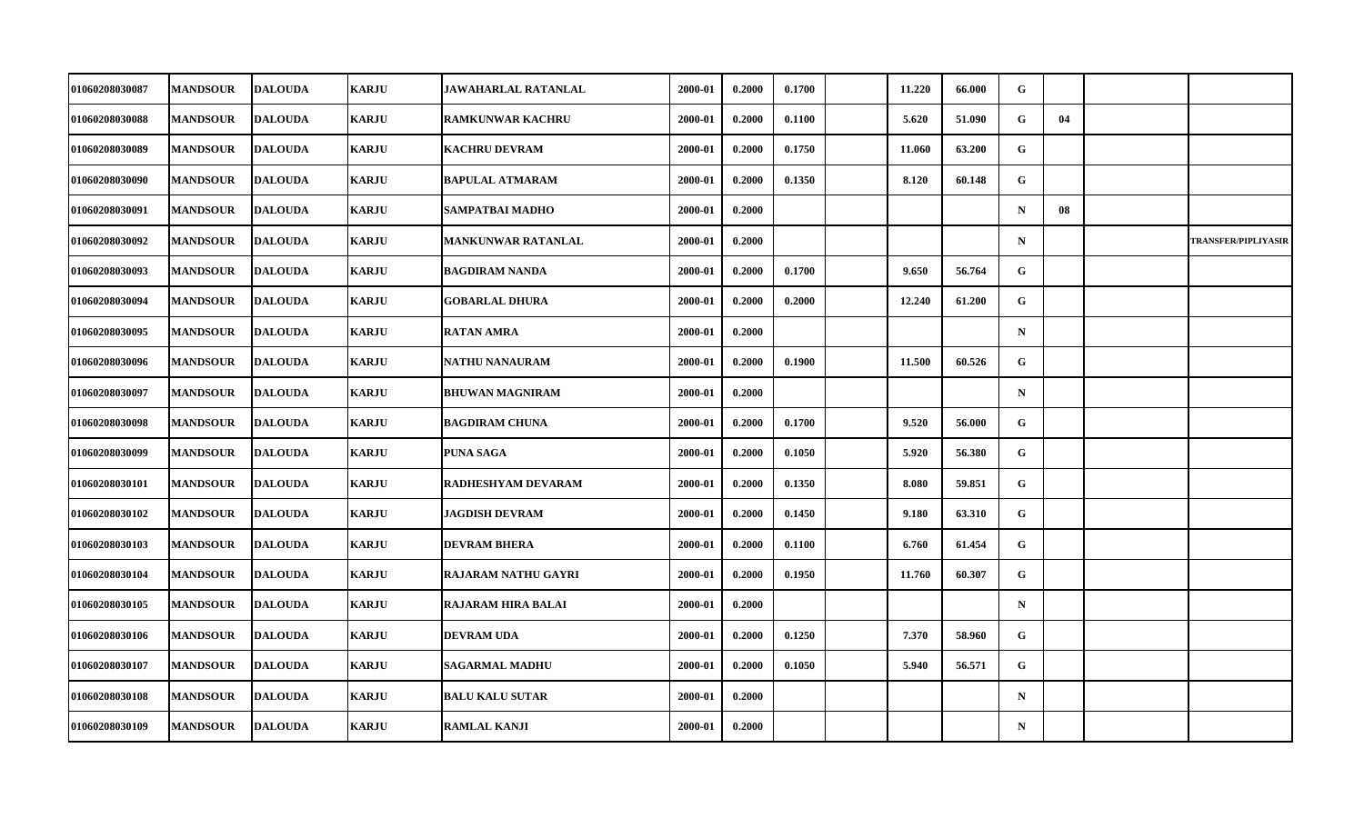| 01060208030087        | <b>MANDSOUR</b> | <b>DALOUDA</b> | <b>KARJU</b> | JAWAHARLAL RATANLAL        | 2000-01 | 0.2000 | 0.1700 | 11.220 | 66.000 | G            |    |                            |
|-----------------------|-----------------|----------------|--------------|----------------------------|---------|--------|--------|--------|--------|--------------|----|----------------------------|
| 01060208030088        | <b>MANDSOUR</b> | <b>DALOUDA</b> | <b>KARJU</b> | <b>RAMKUNWAR KACHRU</b>    | 2000-01 | 0.2000 | 0.1100 | 5.620  | 51.090 | G            | 04 |                            |
| 01060208030089        | <b>MANDSOUR</b> | <b>DALOUDA</b> | <b>KARJU</b> | <b>KACHRU DEVRAM</b>       | 2000-01 | 0.2000 | 0.1750 | 11.060 | 63.200 | G            |    |                            |
| <b>01060208030090</b> | <b>MANDSOUR</b> | <b>DALOUDA</b> | <b>KARJU</b> | <b>BAPULAL ATMARAM</b>     | 2000-01 | 0.2000 | 0.1350 | 8.120  | 60.148 | G            |    |                            |
| 01060208030091        | <b>MANDSOUR</b> | <b>DALOUDA</b> | <b>KARJU</b> | SAMPATBAI MADHO            | 2000-01 | 0.2000 |        |        |        | $\mathbf N$  | 08 |                            |
| 01060208030092        | <b>MANDSOUR</b> | <b>DALOUDA</b> | <b>KARJU</b> | <b>MANKUNWAR RATANLAL</b>  | 2000-01 | 0.2000 |        |        |        | $\mathbf N$  |    | <b>TRANSFER/PIPLIYASIR</b> |
| 01060208030093        | <b>MANDSOUR</b> | <b>DALOUDA</b> | <b>KARJU</b> | <b>BAGDIRAM NANDA</b>      | 2000-01 | 0.2000 | 0.1700 | 9.650  | 56.764 | G.           |    |                            |
| 01060208030094        | <b>MANDSOUR</b> | <b>DALOUDA</b> | <b>KARJU</b> | <b>GOBARLAL DHURA</b>      | 2000-01 | 0.2000 | 0.2000 | 12.240 | 61.200 | G            |    |                            |
| 01060208030095        | <b>MANDSOUR</b> | <b>DALOUDA</b> | <b>KARJU</b> | <b>RATAN AMRA</b>          | 2000-01 | 0.2000 |        |        |        | $\mathbf N$  |    |                            |
| 01060208030096        | <b>MANDSOUR</b> | <b>DALOUDA</b> | <b>KARJU</b> | NATHU NANAURAM             | 2000-01 | 0.2000 | 0.1900 | 11.500 | 60.526 | G.           |    |                            |
| <b>01060208030097</b> | <b>MANDSOUR</b> | <b>DALOUDA</b> | <b>KARJU</b> | <b>BHUWAN MAGNIRAM</b>     | 2000-01 | 0.2000 |        |        |        | $\mathbf N$  |    |                            |
| 01060208030098        | <b>MANDSOUR</b> | <b>DALOUDA</b> | <b>KARJU</b> | <b>BAGDIRAM CHUNA</b>      | 2000-01 | 0.2000 | 0.1700 | 9.520  | 56.000 | G            |    |                            |
| 01060208030099        | <b>MANDSOUR</b> | <b>DALOUDA</b> | <b>KARJU</b> | PUNA SAGA                  | 2000-01 | 0.2000 | 0.1050 | 5.920  | 56.380 | G            |    |                            |
| <b>01060208030101</b> | <b>MANDSOUR</b> | <b>DALOUDA</b> | <b>KARJU</b> | RADHESHYAM DEVARAM         | 2000-01 | 0.2000 | 0.1350 | 8.080  | 59.851 | $\mathbf{G}$ |    |                            |
| 01060208030102        | <b>MANDSOUR</b> | <b>DALOUDA</b> | <b>KARJU</b> | <b>JAGDISH DEVRAM</b>      | 2000-01 | 0.2000 | 0.1450 | 9.180  | 63.310 | G            |    |                            |
| 01060208030103        | <b>MANDSOUR</b> | <b>DALOUDA</b> | <b>KARJU</b> | <b>DEVRAM BHERA</b>        | 2000-01 | 0.2000 | 0.1100 | 6.760  | 61.454 | G            |    |                            |
| <b>01060208030104</b> | <b>MANDSOUR</b> | <b>DALOUDA</b> | <b>KARJU</b> | <b>RAJARAM NATHU GAYRI</b> | 2000-01 | 0.2000 | 0.1950 | 11.760 | 60.307 | G            |    |                            |
| 01060208030105        | <b>MANDSOUR</b> | <b>DALOUDA</b> | <b>KARJU</b> | <b>RAJARAM HIRA BALAI</b>  | 2000-01 | 0.2000 |        |        |        | $\mathbf N$  |    |                            |
| 01060208030106        | <b>MANDSOUR</b> | <b>DALOUDA</b> | <b>KARJU</b> | <b>DEVRAM UDA</b>          | 2000-01 | 0.2000 | 0.1250 | 7.370  | 58.960 | G            |    |                            |
| 01060208030107        | <b>MANDSOUR</b> | <b>DALOUDA</b> | <b>KARJU</b> | <b>SAGARMAL MADHU</b>      | 2000-01 | 0.2000 | 0.1050 | 5.940  | 56.571 | G            |    |                            |
| 01060208030108        | <b>MANDSOUR</b> | <b>DALOUDA</b> | <b>KARJU</b> | <b>BALU KALU SUTAR</b>     | 2000-01 | 0.2000 |        |        |        | $\mathbf N$  |    |                            |
| 01060208030109        | <b>MANDSOUR</b> | <b>DALOUDA</b> | <b>KARJU</b> | <b>RAMLAL KANJI</b>        | 2000-01 | 0.2000 |        |        |        | $\mathbf N$  |    |                            |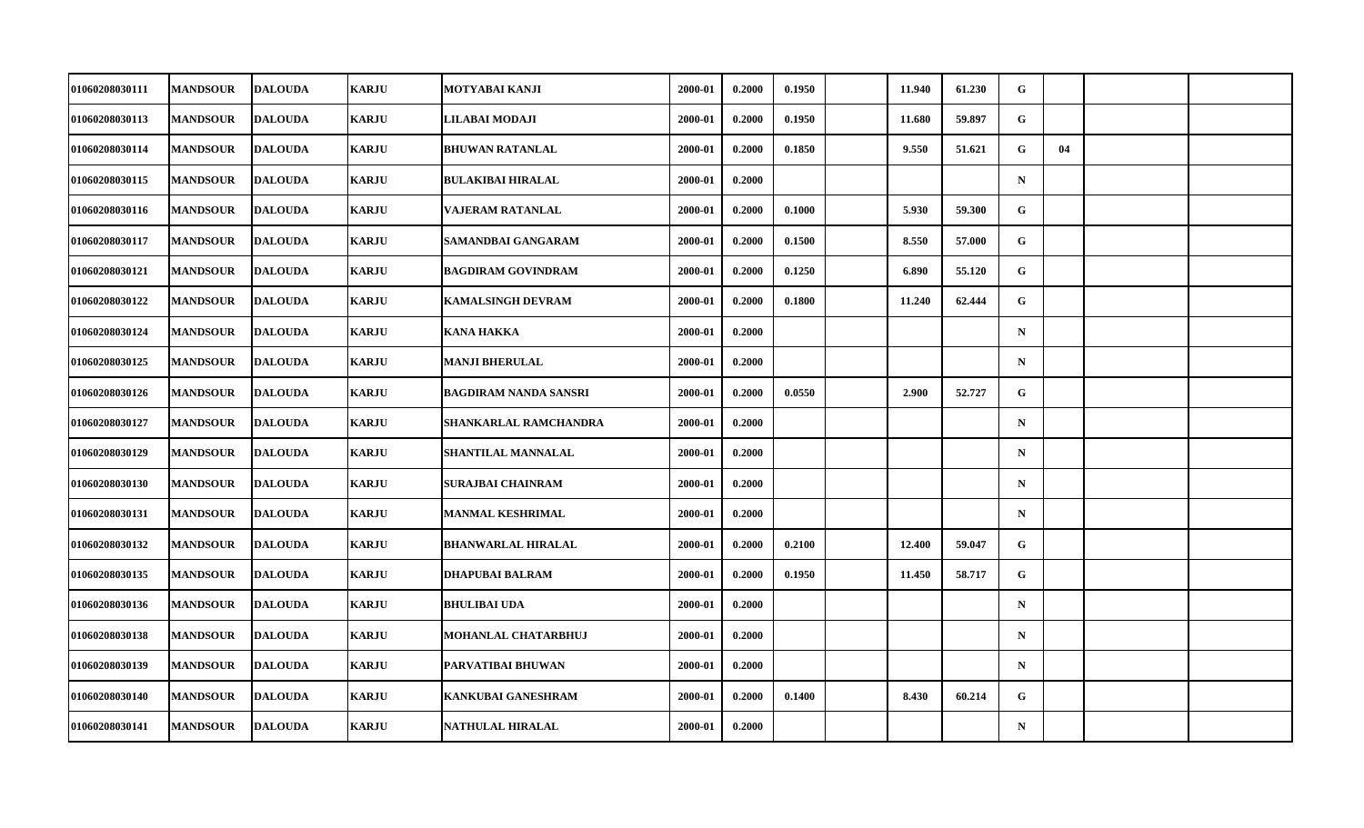| 01060208030111        | <b>MANDSOUR</b> | <b>DALOUDA</b> | <b>KARJU</b> | MOTYABAI KANJI               | 2000-01 | 0.2000 | 0.1950 | 11.940 | 61.230 | G           |    |  |
|-----------------------|-----------------|----------------|--------------|------------------------------|---------|--------|--------|--------|--------|-------------|----|--|
| 01060208030113        | <b>MANDSOUR</b> | <b>DALOUDA</b> | <b>KARJU</b> | LILABAI MODAJI               | 2000-01 | 0.2000 | 0.1950 | 11.680 | 59.897 | G           |    |  |
| 01060208030114        | <b>MANDSOUR</b> | <b>DALOUDA</b> | <b>KARJU</b> | <b>BHUWAN RATANLAL</b>       | 2000-01 | 0.2000 | 0.1850 | 9.550  | 51.621 | G           | 04 |  |
| 01060208030115        | <b>MANDSOUR</b> | <b>DALOUDA</b> | <b>KARJU</b> | <b>BULAKIBAI HIRALAL</b>     | 2000-01 | 0.2000 |        |        |        | $\mathbf N$ |    |  |
| 01060208030116        | <b>MANDSOUR</b> | <b>DALOUDA</b> | <b>KARJU</b> | VAJERAM RATANLAL             | 2000-01 | 0.2000 | 0.1000 | 5.930  | 59.300 | G           |    |  |
| 01060208030117        | <b>MANDSOUR</b> | <b>DALOUDA</b> | <b>KARJU</b> | SAMANDBAI GANGARAM           | 2000-01 | 0.2000 | 0.1500 | 8.550  | 57.000 | G           |    |  |
| 01060208030121        | <b>MANDSOUR</b> | <b>DALOUDA</b> | <b>KARJU</b> | <b>BAGDIRAM GOVINDRAM</b>    | 2000-01 | 0.2000 | 0.1250 | 6.890  | 55.120 | G           |    |  |
| <b>01060208030122</b> | <b>MANDSOUR</b> | <b>DALOUDA</b> | <b>KARJU</b> | <b>KAMALSINGH DEVRAM</b>     | 2000-01 | 0.2000 | 0.1800 | 11.240 | 62.444 | G.          |    |  |
| 01060208030124        | <b>MANDSOUR</b> | <b>DALOUDA</b> | <b>KARJU</b> | <b>KANA HAKKA</b>            | 2000-01 | 0.2000 |        |        |        | $\mathbf N$ |    |  |
| 01060208030125        | <b>MANDSOUR</b> | <b>DALOUDA</b> | <b>KARJU</b> | <b>MANJI BHERULAL</b>        | 2000-01 | 0.2000 |        |        |        | $\mathbf N$ |    |  |
| <b>01060208030126</b> | <b>MANDSOUR</b> | <b>DALOUDA</b> | <b>KARJU</b> | <b>BAGDIRAM NANDA SANSRI</b> | 2000-01 | 0.2000 | 0.0550 | 2.900  | 52.727 | G.          |    |  |
| 01060208030127        | <b>MANDSOUR</b> | <b>DALOUDA</b> | <b>KARJU</b> | SHANKARLAL RAMCHANDRA        | 2000-01 | 0.2000 |        |        |        | $\mathbf N$ |    |  |
| 01060208030129        | <b>MANDSOUR</b> | <b>DALOUDA</b> | <b>KARJU</b> | <b>SHANTILAL MANNALAL</b>    | 2000-01 | 0.2000 |        |        |        | $\mathbf N$ |    |  |
| 01060208030130        | <b>MANDSOUR</b> | <b>DALOUDA</b> | <b>KARJU</b> | <b>SURAJBAI CHAINRAM</b>     | 2000-01 | 0.2000 |        |        |        | $\mathbf N$ |    |  |
| 01060208030131        | <b>MANDSOUR</b> | <b>DALOUDA</b> | <b>KARJU</b> | <b>MANMAL KESHRIMAL</b>      | 2000-01 | 0.2000 |        |        |        | $\mathbf N$ |    |  |
| 01060208030132        | <b>MANDSOUR</b> | <b>DALOUDA</b> | <b>KARJU</b> | <b>BHANWARLAL HIRALAL</b>    | 2000-01 | 0.2000 | 0.2100 | 12.400 | 59.047 | G           |    |  |
| 01060208030135        | <b>MANDSOUR</b> | <b>DALOUDA</b> | <b>KARJU</b> | <b>DHAPUBAI BALRAM</b>       | 2000-01 | 0.2000 | 0.1950 | 11.450 | 58.717 | G           |    |  |
| 01060208030136        | <b>MANDSOUR</b> | <b>DALOUDA</b> | <b>KARJU</b> | <b>BHULIBAI UDA</b>          | 2000-01 | 0.2000 |        |        |        | $\mathbf N$ |    |  |
| 01060208030138        | <b>MANDSOUR</b> | <b>DALOUDA</b> | <b>KARJU</b> | <b>MOHANLAL CHATARBHUJ</b>   | 2000-01 | 0.2000 |        |        |        | $\mathbf N$ |    |  |
| 01060208030139        | <b>MANDSOUR</b> | <b>DALOUDA</b> | <b>KARJU</b> | PARVATIBAI BHUWAN            | 2000-01 | 0.2000 |        |        |        | $\mathbf N$ |    |  |
| 01060208030140        | <b>MANDSOUR</b> | <b>DALOUDA</b> | <b>KARJU</b> | <b>KANKUBAI GANESHRAM</b>    | 2000-01 | 0.2000 | 0.1400 | 8.430  | 60.214 | $\mathbf G$ |    |  |
| 01060208030141        | <b>MANDSOUR</b> | <b>DALOUDA</b> | <b>KARJU</b> | NATHULAL HIRALAL             | 2000-01 | 0.2000 |        |        |        | ${\bf N}$   |    |  |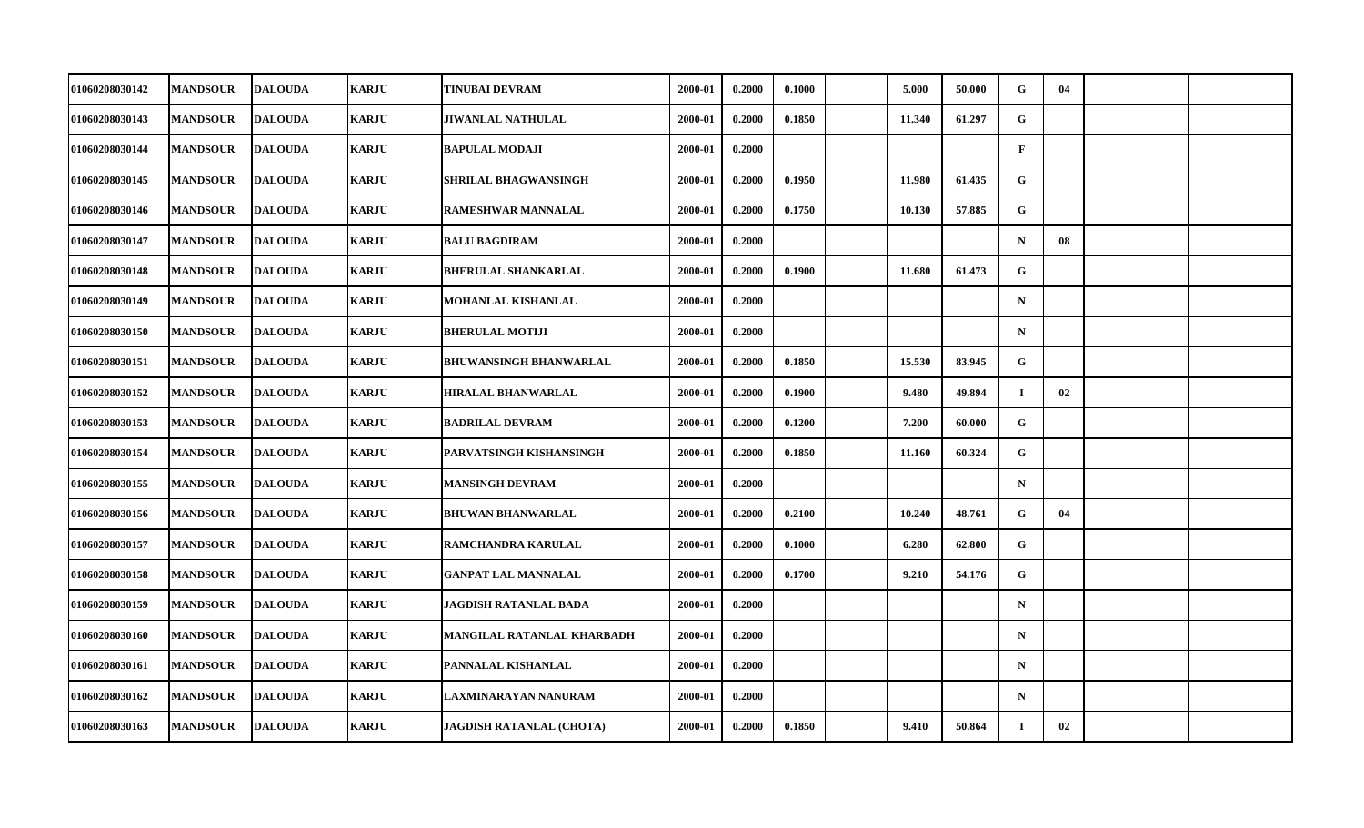| 01060208030142 | <b>MANDSOUR</b> | <b>DALOUDA</b> | <b>KARJU</b> | <b>TINUBAI DEVRAM</b>           | 2000-01 | 0.2000 | 0.1000 | 5.000  | 50.000 | G            | 04 |  |
|----------------|-----------------|----------------|--------------|---------------------------------|---------|--------|--------|--------|--------|--------------|----|--|
| 01060208030143 | <b>MANDSOUR</b> | <b>DALOUDA</b> | <b>KARJU</b> | <b>JIWANLAL NATHULAL</b>        | 2000-01 | 0.2000 | 0.1850 | 11.340 | 61.297 | ${\bf G}$    |    |  |
| 01060208030144 | <b>MANDSOUR</b> | <b>DALOUDA</b> | <b>KARJU</b> | <b>BAPULAL MODAJI</b>           | 2000-01 | 0.2000 |        |        |        | $\mathbf{F}$ |    |  |
| 01060208030145 | <b>MANDSOUR</b> | <b>DALOUDA</b> | <b>KARJU</b> | SHRILAL BHAGWANSINGH            | 2000-01 | 0.2000 | 0.1950 | 11.980 | 61.435 | G            |    |  |
| 01060208030146 | <b>MANDSOUR</b> | <b>DALOUDA</b> | <b>KARJU</b> | <b>RAMESHWAR MANNALAL</b>       | 2000-01 | 0.2000 | 0.1750 | 10.130 | 57.885 | G            |    |  |
| 01060208030147 | <b>MANDSOUR</b> | <b>DALOUDA</b> | <b>KARJU</b> | <b>BALU BAGDIRAM</b>            | 2000-01 | 0.2000 |        |        |        | $\mathbf N$  | 08 |  |
| 01060208030148 | <b>MANDSOUR</b> | <b>DALOUDA</b> | <b>KARJU</b> | <b>BHERULAL SHANKARLAL</b>      | 2000-01 | 0.2000 | 0.1900 | 11.680 | 61.473 | G            |    |  |
| 01060208030149 | <b>MANDSOUR</b> | <b>DALOUDA</b> | <b>KARJU</b> | MOHANLAL KISHANLAL              | 2000-01 | 0.2000 |        |        |        | $\mathbf N$  |    |  |
| 01060208030150 | <b>MANDSOUR</b> | <b>DALOUDA</b> | <b>KARJU</b> | <b>BHERULAL MOTIJI</b>          | 2000-01 | 0.2000 |        |        |        | $\mathbf N$  |    |  |
| 01060208030151 | <b>MANDSOUR</b> | <b>DALOUDA</b> | <b>KARJU</b> | <b>BHUWANSINGH BHANWARLAL</b>   | 2000-01 | 0.2000 | 0.1850 | 15.530 | 83.945 | ${\bf G}$    |    |  |
| 01060208030152 | <b>MANDSOUR</b> | <b>DALOUDA</b> | <b>KARJU</b> | <b>HIRALAL BHANWARLAL</b>       | 2000-01 | 0.2000 | 0.1900 | 9.480  | 49.894 | $\mathbf I$  | 02 |  |
| 01060208030153 | <b>MANDSOUR</b> | <b>DALOUDA</b> | <b>KARJU</b> | <b>BADRILAL DEVRAM</b>          | 2000-01 | 0.2000 | 0.1200 | 7.200  | 60.000 | G            |    |  |
| 01060208030154 | <b>MANDSOUR</b> | <b>DALOUDA</b> | <b>KARJU</b> | <b>PARVATSINGH KISHANSINGH</b>  | 2000-01 | 0.2000 | 0.1850 | 11.160 | 60.324 | $\mathbf G$  |    |  |
| 01060208030155 | <b>MANDSOUR</b> | <b>DALOUDA</b> | <b>KARJU</b> | <b>MANSINGH DEVRAM</b>          | 2000-01 | 0.2000 |        |        |        | $\mathbf N$  |    |  |
| 01060208030156 | <b>MANDSOUR</b> | <b>DALOUDA</b> | <b>KARJU</b> | <b>BHUWAN BHANWARLAL</b>        | 2000-01 | 0.2000 | 0.2100 | 10.240 | 48.761 | G            | 04 |  |
| 01060208030157 | <b>MANDSOUR</b> | <b>DALOUDA</b> | <b>KARJU</b> | RAMCHANDRA KARULAL              | 2000-01 | 0.2000 | 0.1000 | 6.280  | 62.800 | G            |    |  |
| 01060208030158 | <b>MANDSOUR</b> | <b>DALOUDA</b> | <b>KARJU</b> | <b>GANPAT LAL MANNALAL</b>      | 2000-01 | 0.2000 | 0.1700 | 9.210  | 54.176 | G            |    |  |
| 01060208030159 | <b>MANDSOUR</b> | <b>DALOUDA</b> | <b>KARJU</b> | <b>JAGDISH RATANLAL BADA</b>    | 2000-01 | 0.2000 |        |        |        | $\mathbf N$  |    |  |
| 01060208030160 | <b>MANDSOUR</b> | <b>DALOUDA</b> | <b>KARJU</b> | MANGILAL RATANLAL KHARBADH      | 2000-01 | 0.2000 |        |        |        | $\mathbf N$  |    |  |
| 01060208030161 | <b>MANDSOUR</b> | <b>DALOUDA</b> | <b>KARJU</b> | PANNALAL KISHANLAL              | 2000-01 | 0.2000 |        |        |        | $\mathbf N$  |    |  |
| 01060208030162 | <b>MANDSOUR</b> | <b>DALOUDA</b> | <b>KARJU</b> | LAXMINARAYAN NANURAM            | 2000-01 | 0.2000 |        |        |        | $\mathbf N$  |    |  |
| 01060208030163 | <b>MANDSOUR</b> | <b>DALOUDA</b> | <b>KARJU</b> | <b>JAGDISH RATANLAL (CHOTA)</b> | 2000-01 | 0.2000 | 0.1850 | 9.410  | 50.864 | <b>I</b>     | 02 |  |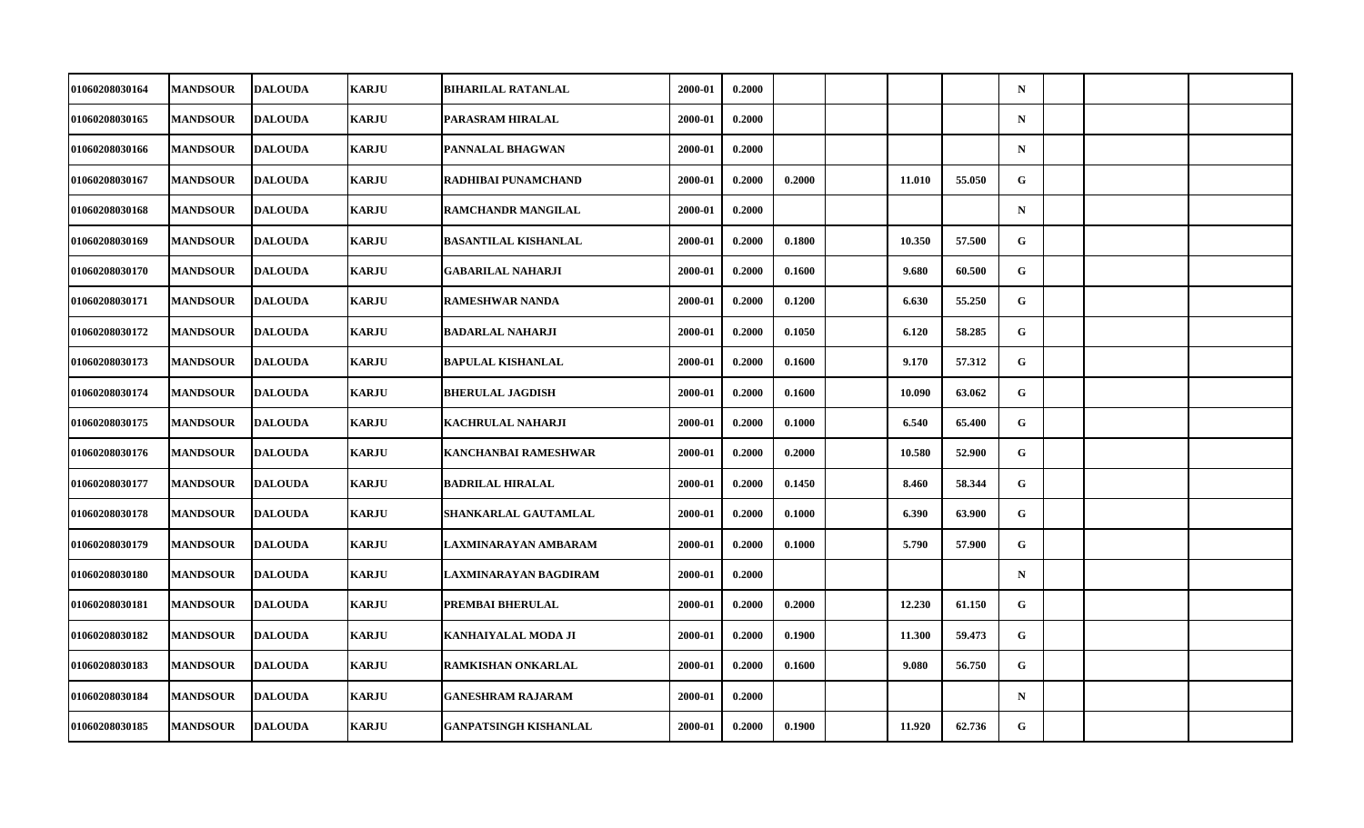| 01060208030164        | <b>MANDSOUR</b> | <b>DALOUDA</b> | <b>KARJU</b> | <b>BIHARILAL RATANLAL</b>    | 2000-01 | 0.2000 |        |        |        | $\mathbf N$ |  |  |
|-----------------------|-----------------|----------------|--------------|------------------------------|---------|--------|--------|--------|--------|-------------|--|--|
| 01060208030165        | <b>MANDSOUR</b> | <b>DALOUDA</b> | <b>KARJU</b> | PARASRAM HIRALAL             | 2000-01 | 0.2000 |        |        |        | $\mathbf N$ |  |  |
| 01060208030166        | <b>MANDSOUR</b> | <b>DALOUDA</b> | <b>KARJU</b> | PANNALAL BHAGWAN             | 2000-01 | 0.2000 |        |        |        | $\mathbf N$ |  |  |
| 01060208030167        | <b>MANDSOUR</b> | <b>DALOUDA</b> | <b>KARJU</b> | RADHIBAI PUNAMCHAND          | 2000-01 | 0.2000 | 0.2000 | 11.010 | 55.050 | G           |  |  |
| 01060208030168        | <b>MANDSOUR</b> | <b>DALOUDA</b> | <b>KARJU</b> | <b>RAMCHANDR MANGILAL</b>    | 2000-01 | 0.2000 |        |        |        | $\mathbf N$ |  |  |
| 01060208030169        | <b>MANDSOUR</b> | <b>DALOUDA</b> | <b>KARJU</b> | <b>BASANTILAL KISHANLAL</b>  | 2000-01 | 0.2000 | 0.1800 | 10.350 | 57.500 | G           |  |  |
| 01060208030170        | <b>MANDSOUR</b> | <b>DALOUDA</b> | <b>KARJU</b> | <b>GABARILAL NAHARJI</b>     | 2000-01 | 0.2000 | 0.1600 | 9.680  | 60.500 | G           |  |  |
| 01060208030171        | <b>MANDSOUR</b> | <b>DALOUDA</b> | <b>KARJU</b> | <b>RAMESHWAR NANDA</b>       | 2000-01 | 0.2000 | 0.1200 | 6.630  | 55.250 | G           |  |  |
| 01060208030172        | <b>MANDSOUR</b> | <b>DALOUDA</b> | <b>KARJU</b> | <b>BADARLAL NAHARJI</b>      | 2000-01 | 0.2000 | 0.1050 | 6.120  | 58.285 | G           |  |  |
| 01060208030173        | <b>MANDSOUR</b> | <b>DALOUDA</b> | <b>KARJU</b> | <b>BAPULAL KISHANLAL</b>     | 2000-01 | 0.2000 | 0.1600 | 9.170  | 57.312 | G           |  |  |
| 01060208030174        | <b>MANDSOUR</b> | <b>DALOUDA</b> | <b>KARJU</b> | <b>BHERULAL JAGDISH</b>      | 2000-01 | 0.2000 | 0.1600 | 10.090 | 63.062 | G           |  |  |
| 01060208030175        | <b>MANDSOUR</b> | <b>DALOUDA</b> | <b>KARJU</b> | KACHRULAL NAHARJI            | 2000-01 | 0.2000 | 0.1000 | 6.540  | 65.400 | G           |  |  |
| 01060208030176        | <b>MANDSOUR</b> | <b>DALOUDA</b> | <b>KARJU</b> | KANCHANBAI RAMESHWAR         | 2000-01 | 0.2000 | 0.2000 | 10.580 | 52.900 | G           |  |  |
| 01060208030177        | <b>MANDSOUR</b> | <b>DALOUDA</b> | <b>KARJU</b> | <b>BADRILAL HIRALAL</b>      | 2000-01 | 0.2000 | 0.1450 | 8.460  | 58.344 | G           |  |  |
| 01060208030178        | <b>MANDSOUR</b> | <b>DALOUDA</b> | <b>KARJU</b> | SHANKARLAL GAUTAMLAL         | 2000-01 | 0.2000 | 0.1000 | 6.390  | 63.900 | G           |  |  |
| 01060208030179        | <b>MANDSOUR</b> | <b>DALOUDA</b> | <b>KARJU</b> | LAXMINARAYAN AMBARAM         | 2000-01 | 0.2000 | 0.1000 | 5.790  | 57.900 | G           |  |  |
| <b>01060208030180</b> | <b>MANDSOUR</b> | <b>DALOUDA</b> | <b>KARJU</b> | LAXMINARAYAN BAGDIRAM        | 2000-01 | 0.2000 |        |        |        | $\mathbf N$ |  |  |
| 01060208030181        | <b>MANDSOUR</b> | <b>DALOUDA</b> | <b>KARJU</b> | PREMBAI BHERULAL             | 2000-01 | 0.2000 | 0.2000 | 12.230 | 61.150 | G           |  |  |
| 01060208030182        | <b>MANDSOUR</b> | <b>DALOUDA</b> | <b>KARJU</b> | KANHAIYALAL MODA JI          | 2000-01 | 0.2000 | 0.1900 | 11.300 | 59.473 | G           |  |  |
| 01060208030183        | <b>MANDSOUR</b> | <b>DALOUDA</b> | <b>KARJU</b> | RAMKISHAN ONKARLAL           | 2000-01 | 0.2000 | 0.1600 | 9.080  | 56.750 | G           |  |  |
| 01060208030184        | <b>MANDSOUR</b> | <b>DALOUDA</b> | <b>KARJU</b> | <b>GANESHRAM RAJARAM</b>     | 2000-01 | 0.2000 |        |        |        | $\mathbf N$ |  |  |
| 01060208030185        | <b>MANDSOUR</b> | <b>DALOUDA</b> | <b>KARJU</b> | <b>GANPATSINGH KISHANLAL</b> | 2000-01 | 0.2000 | 0.1900 | 11.920 | 62.736 | G           |  |  |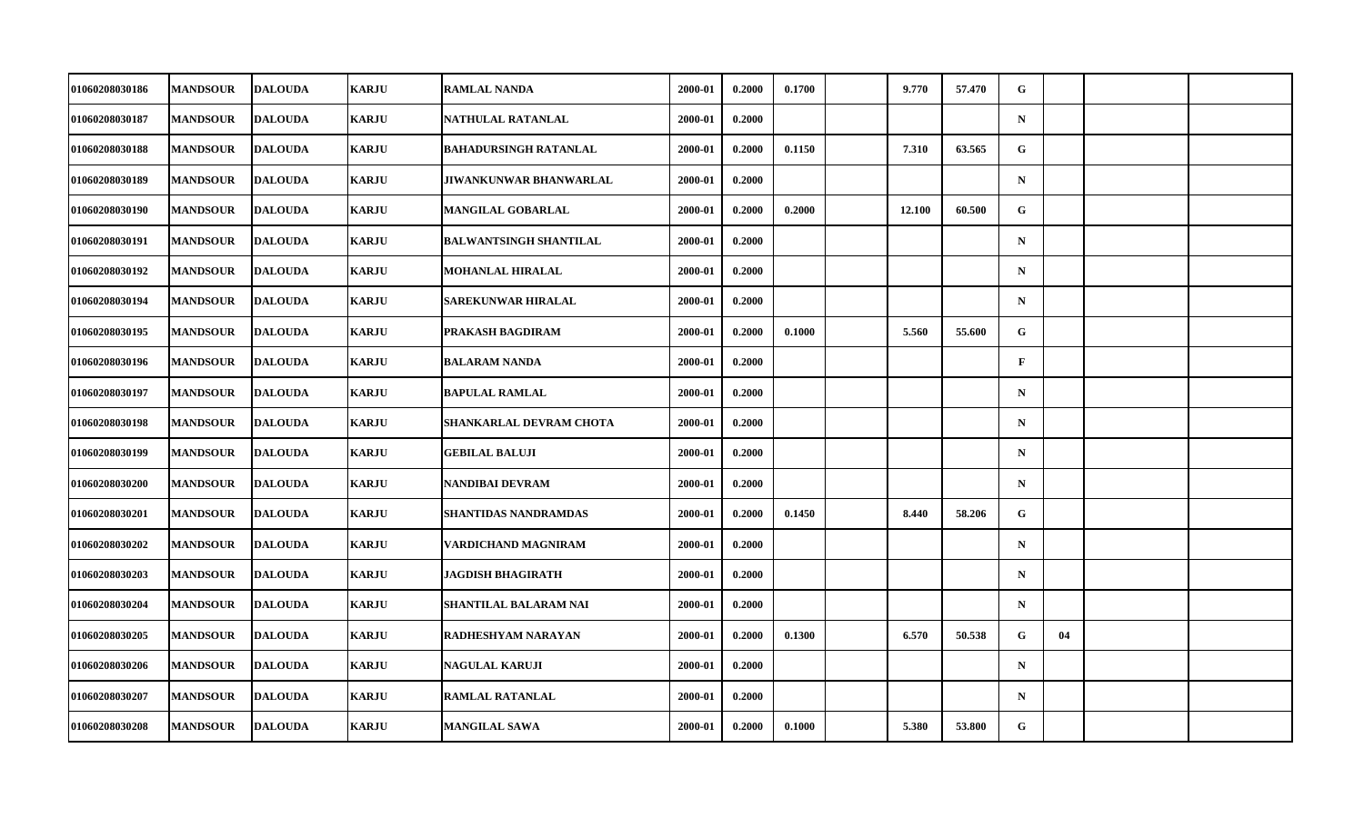| 01060208030186        | <b>MANDSOUR</b> | <b>DALOUDA</b> | <b>KARJU</b> | <b>RAMLAL NANDA</b>           | 2000-01 | 0.2000 | 0.1700 | 9.770  | 57.470 | G            |    |  |
|-----------------------|-----------------|----------------|--------------|-------------------------------|---------|--------|--------|--------|--------|--------------|----|--|
| 01060208030187        | <b>MANDSOUR</b> | <b>DALOUDA</b> | <b>KARJU</b> | NATHULAL RATANLAL             | 2000-01 | 0.2000 |        |        |        | $\mathbf N$  |    |  |
| 01060208030188        | <b>MANDSOUR</b> | <b>DALOUDA</b> | <b>KARJU</b> | <b>BAHADURSINGH RATANLAL</b>  | 2000-01 | 0.2000 | 0.1150 | 7.310  | 63.565 | G            |    |  |
| 01060208030189        | <b>MANDSOUR</b> | <b>DALOUDA</b> | <b>KARJU</b> | JIWANKUNWAR BHANWARLAL        | 2000-01 | 0.2000 |        |        |        | $\mathbf N$  |    |  |
| 01060208030190        | <b>MANDSOUR</b> | <b>DALOUDA</b> | <b>KARJU</b> | <b>MANGILAL GOBARLAL</b>      | 2000-01 | 0.2000 | 0.2000 | 12.100 | 60.500 | G            |    |  |
| 01060208030191        | <b>MANDSOUR</b> | <b>DALOUDA</b> | <b>KARJU</b> | <b>BALWANTSINGH SHANTILAL</b> | 2000-01 | 0.2000 |        |        |        | $\mathbf N$  |    |  |
| 01060208030192        | <b>MANDSOUR</b> | <b>DALOUDA</b> | <b>KARJU</b> | <b>MOHANLAL HIRALAL</b>       | 2000-01 | 0.2000 |        |        |        | $\mathbf N$  |    |  |
| <b>01060208030194</b> | <b>MANDSOUR</b> | <b>DALOUDA</b> | <b>KARJU</b> | SAREKUNWAR HIRALAL            | 2000-01 | 0.2000 |        |        |        | $\mathbf N$  |    |  |
| 01060208030195        | <b>MANDSOUR</b> | <b>DALOUDA</b> | <b>KARJU</b> | PRAKASH BAGDIRAM              | 2000-01 | 0.2000 | 0.1000 | 5.560  | 55.600 | G            |    |  |
| 01060208030196        | <b>MANDSOUR</b> | <b>DALOUDA</b> | <b>KARJU</b> | <b>BALARAM NANDA</b>          | 2000-01 | 0.2000 |        |        |        | $\mathbf{F}$ |    |  |
| <b>01060208030197</b> | <b>MANDSOUR</b> | <b>DALOUDA</b> | <b>KARJU</b> | <b>BAPULAL RAMLAL</b>         | 2000-01 | 0.2000 |        |        |        | $\mathbf N$  |    |  |
| 01060208030198        | <b>MANDSOUR</b> | <b>DALOUDA</b> | <b>KARJU</b> | SHANKARLAL DEVRAM CHOTA       | 2000-01 | 0.2000 |        |        |        | $\mathbf N$  |    |  |
| 01060208030199        | <b>MANDSOUR</b> | <b>DALOUDA</b> | <b>KARJU</b> | <b>GEBILAL BALUJI</b>         | 2000-01 | 0.2000 |        |        |        | $\mathbf N$  |    |  |
| 01060208030200        | <b>MANDSOUR</b> | <b>DALOUDA</b> | <b>KARJU</b> | NANDIBAI DEVRAM               | 2000-01 | 0.2000 |        |        |        | $\mathbf N$  |    |  |
| 01060208030201        | <b>MANDSOUR</b> | <b>DALOUDA</b> | <b>KARJU</b> | <b>SHANTIDAS NANDRAMDAS</b>   | 2000-01 | 0.2000 | 0.1450 | 8.440  | 58.206 | $\mathbf G$  |    |  |
| 01060208030202        | <b>MANDSOUR</b> | <b>DALOUDA</b> | <b>KARJU</b> | VARDICHAND MAGNIRAM           | 2000-01 | 0.2000 |        |        |        | $\mathbf N$  |    |  |
| 01060208030203        | <b>MANDSOUR</b> | <b>DALOUDA</b> | <b>KARJU</b> | JAGDISH BHAGIRATH             | 2000-01 | 0.2000 |        |        |        | $\mathbf N$  |    |  |
| 01060208030204        | <b>MANDSOUR</b> | <b>DALOUDA</b> | <b>KARJU</b> | <b>SHANTILAL BALARAM NAI</b>  | 2000-01 | 0.2000 |        |        |        | $\mathbf N$  |    |  |
| 01060208030205        | <b>MANDSOUR</b> | <b>DALOUDA</b> | <b>KARJU</b> | RADHESHYAM NARAYAN            | 2000-01 | 0.2000 | 0.1300 | 6.570  | 50.538 | G            | 04 |  |
| 01060208030206        | <b>MANDSOUR</b> | <b>DALOUDA</b> | <b>KARJU</b> | <b>NAGULAL KARUJI</b>         | 2000-01 | 0.2000 |        |        |        | $\mathbf N$  |    |  |
| 01060208030207        | <b>MANDSOUR</b> | <b>DALOUDA</b> | <b>KARJU</b> | <b>RAMLAL RATANLAL</b>        | 2000-01 | 0.2000 |        |        |        | $\mathbf N$  |    |  |
| 01060208030208        | <b>MANDSOUR</b> | <b>DALOUDA</b> | <b>KARJU</b> | <b>MANGILAL SAWA</b>          | 2000-01 | 0.2000 | 0.1000 | 5.380  | 53.800 | G            |    |  |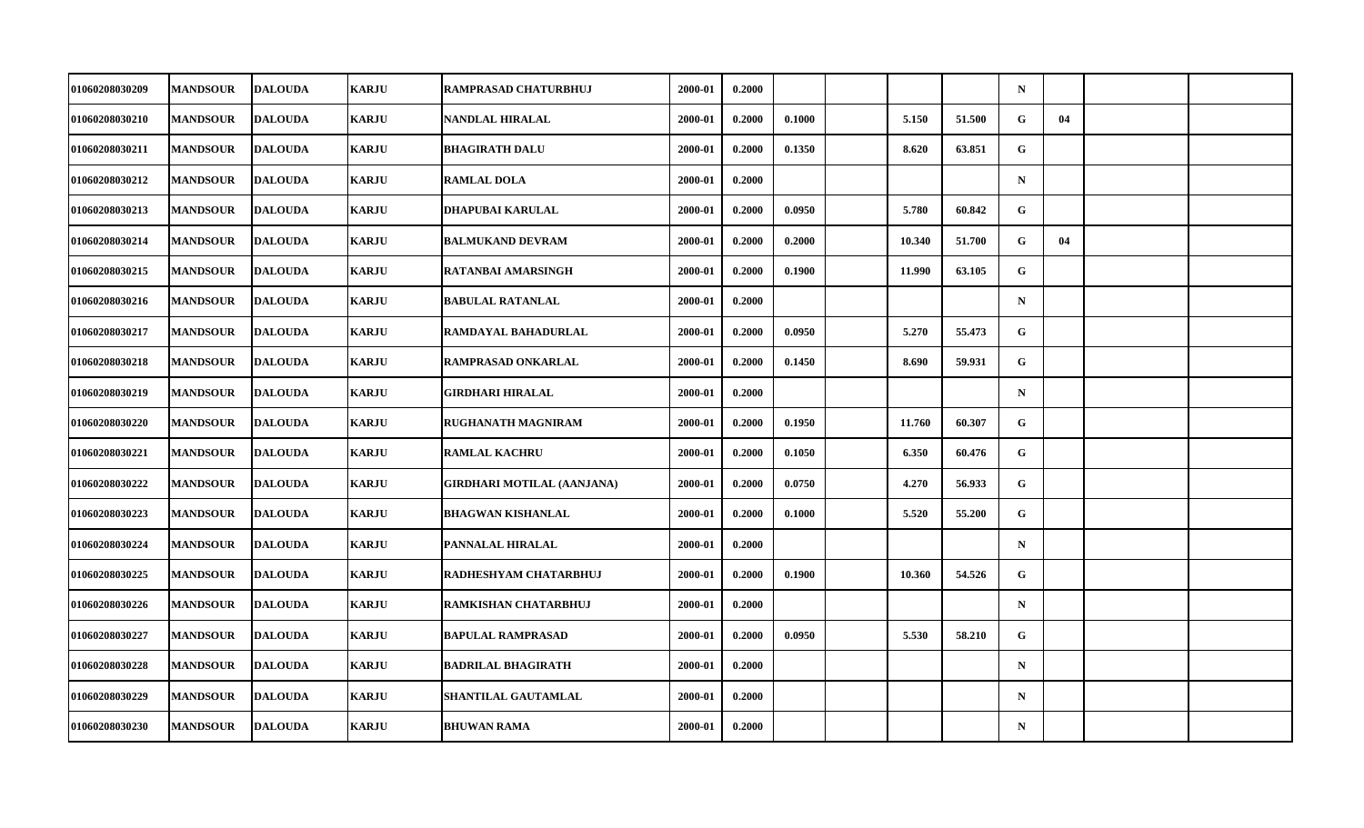| 01060208030209        | <b>MANDSOUR</b> | <b>DALOUDA</b> | <b>KARJU</b> | <b>RAMPRASAD CHATURBHUJ</b>       | 2000-01 | 0.2000 |        |        |        | $\mathbf N$  |    |  |
|-----------------------|-----------------|----------------|--------------|-----------------------------------|---------|--------|--------|--------|--------|--------------|----|--|
| 01060208030210        | <b>MANDSOUR</b> | <b>DALOUDA</b> | <b>KARJU</b> | <b>NANDLAL HIRALAL</b>            | 2000-01 | 0.2000 | 0.1000 | 5.150  | 51.500 | G            | 04 |  |
| 01060208030211        | <b>MANDSOUR</b> | <b>DALOUDA</b> | <b>KARJU</b> | <b>BHAGIRATH DALU</b>             | 2000-01 | 0.2000 | 0.1350 | 8.620  | 63.851 | $\mathbf{G}$ |    |  |
| <b>01060208030212</b> | <b>MANDSOUR</b> | <b>DALOUDA</b> | <b>KARJU</b> | <b>RAMLAL DOLA</b>                | 2000-01 | 0.2000 |        |        |        | $\mathbf N$  |    |  |
| <b>01060208030213</b> | <b>MANDSOUR</b> | <b>DALOUDA</b> | <b>KARJU</b> | DHAPUBAI KARULAL                  | 2000-01 | 0.2000 | 0.0950 | 5.780  | 60.842 | G            |    |  |
| 01060208030214        | <b>MANDSOUR</b> | <b>DALOUDA</b> | <b>KARJU</b> | <b>BALMUKAND DEVRAM</b>           | 2000-01 | 0.2000 | 0.2000 | 10.340 | 51.700 | G            | 04 |  |
| 01060208030215        | <b>MANDSOUR</b> | <b>DALOUDA</b> | <b>KARJU</b> | RATANBAI AMARSINGH                | 2000-01 | 0.2000 | 0.1900 | 11.990 | 63.105 | G.           |    |  |
| 01060208030216        | <b>MANDSOUR</b> | <b>DALOUDA</b> | <b>KARJU</b> | <b>BABULAL RATANLAL</b>           | 2000-01 | 0.2000 |        |        |        | $\mathbf N$  |    |  |
| 01060208030217        | <b>MANDSOUR</b> | <b>DALOUDA</b> | <b>KARJU</b> | RAMDAYAL BAHADURLAL               | 2000-01 | 0.2000 | 0.0950 | 5.270  | 55.473 | G            |    |  |
| 01060208030218        | <b>MANDSOUR</b> | <b>DALOUDA</b> | <b>KARJU</b> | RAMPRASAD ONKARLAL                | 2000-01 | 0.2000 | 0.1450 | 8.690  | 59.931 | G.           |    |  |
| <b>01060208030219</b> | <b>MANDSOUR</b> | <b>DALOUDA</b> | <b>KARJU</b> | GIRDHARI HIRALAL                  | 2000-01 | 0.2000 |        |        |        | $\mathbf N$  |    |  |
| 01060208030220        | <b>MANDSOUR</b> | <b>DALOUDA</b> | <b>KARJU</b> | RUGHANATH MAGNIRAM                | 2000-01 | 0.2000 | 0.1950 | 11.760 | 60.307 | G            |    |  |
| 01060208030221        | <b>MANDSOUR</b> | <b>DALOUDA</b> | <b>KARJU</b> | <b>RAMLAL KACHRU</b>              | 2000-01 | 0.2000 | 0.1050 | 6.350  | 60.476 | G            |    |  |
| 01060208030222        | <b>MANDSOUR</b> | <b>DALOUDA</b> | <b>KARJU</b> | <b>GIRDHARI MOTILAL (AANJANA)</b> | 2000-01 | 0.2000 | 0.0750 | 4.270  | 56.933 | $\mathbf{G}$ |    |  |
| 01060208030223        | <b>MANDSOUR</b> | <b>DALOUDA</b> | <b>KARJU</b> | <b>BHAGWAN KISHANLAL</b>          | 2000-01 | 0.2000 | 0.1000 | 5.520  | 55.200 | G            |    |  |
| 01060208030224        | <b>MANDSOUR</b> | <b>DALOUDA</b> | <b>KARJU</b> | PANNALAL HIRALAL                  | 2000-01 | 0.2000 |        |        |        | $\mathbf N$  |    |  |
| <b>01060208030225</b> | <b>MANDSOUR</b> | <b>DALOUDA</b> | <b>KARJU</b> | RADHESHYAM CHATARBHUJ             | 2000-01 | 0.2000 | 0.1900 | 10.360 | 54.526 | G            |    |  |
| 01060208030226        | <b>MANDSOUR</b> | <b>DALOUDA</b> | <b>KARJU</b> | <b>RAMKISHAN CHATARBHUJ</b>       | 2000-01 | 0.2000 |        |        |        | $\mathbf N$  |    |  |
| <b>01060208030227</b> | <b>MANDSOUR</b> | <b>DALOUDA</b> | <b>KARJU</b> | <b>BAPULAL RAMPRASAD</b>          | 2000-01 | 0.2000 | 0.0950 | 5.530  | 58.210 | G            |    |  |
| 01060208030228        | <b>MANDSOUR</b> | <b>DALOUDA</b> | <b>KARJU</b> | <b>BADRILAL BHAGIRATH</b>         | 2000-01 | 0.2000 |        |        |        | $\mathbf N$  |    |  |
| 01060208030229        | <b>MANDSOUR</b> | <b>DALOUDA</b> | <b>KARJU</b> | SHANTILAL GAUTAMLAL               | 2000-01 | 0.2000 |        |        |        | $\mathbf N$  |    |  |
| 01060208030230        | <b>MANDSOUR</b> | <b>DALOUDA</b> | <b>KARJU</b> | <b>BHUWAN RAMA</b>                | 2000-01 | 0.2000 |        |        |        | $\mathbf N$  |    |  |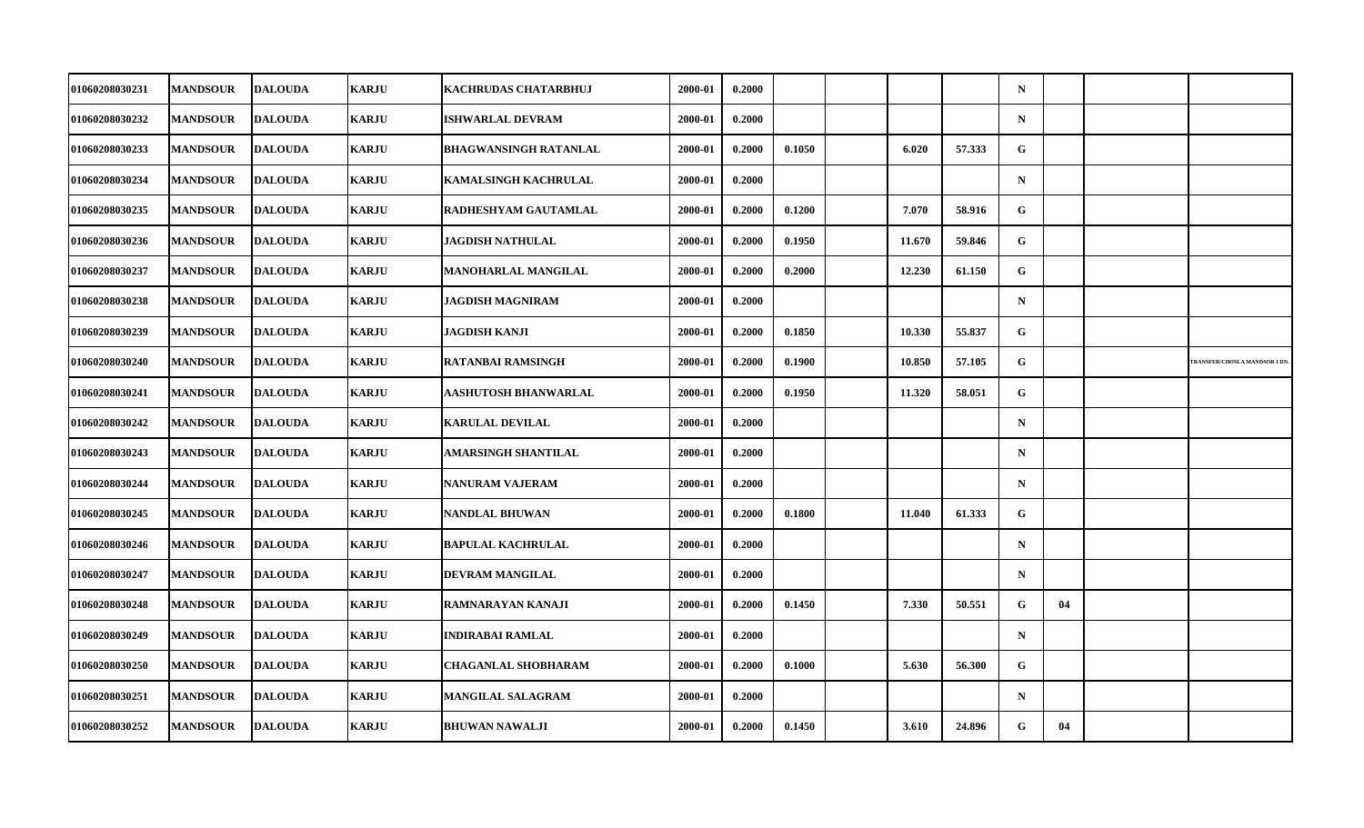| 01060208030231 | <b>MANDSOUR</b> | <b>DALOUDA</b> | <b>KARJU</b> | <b>KACHRUDAS CHATARBHUJ</b>  | 2000-01 | 0.2000 |        |        |        | $\mathbf N$ |    |                                     |
|----------------|-----------------|----------------|--------------|------------------------------|---------|--------|--------|--------|--------|-------------|----|-------------------------------------|
| 01060208030232 | <b>MANDSOUR</b> | <b>DALOUDA</b> | <b>KARJU</b> | <b>ISHWARLAL DEVRAM</b>      | 2000-01 | 0.2000 |        |        |        | $\mathbf N$ |    |                                     |
| 01060208030233 | <b>MANDSOUR</b> | <b>DALOUDA</b> | <b>KARJU</b> | <b>BHAGWANSINGH RATANLAL</b> | 2000-01 | 0.2000 | 0.1050 | 6.020  | 57.333 | G           |    |                                     |
| 01060208030234 | <b>MANDSOUR</b> | <b>DALOUDA</b> | <b>KARJU</b> | <b>KAMALSINGH KACHRULAL</b>  | 2000-01 | 0.2000 |        |        |        | $\mathbf N$ |    |                                     |
| 01060208030235 | <b>MANDSOUR</b> | <b>DALOUDA</b> | <b>KARJU</b> | <b>RADHESHYAM GAUTAMLAL</b>  | 2000-01 | 0.2000 | 0.1200 | 7.070  | 58.916 | G           |    |                                     |
| 01060208030236 | <b>MANDSOUR</b> | <b>DALOUDA</b> | <b>KARJU</b> | <b>JAGDISH NATHULAL</b>      | 2000-01 | 0.2000 | 0.1950 | 11.670 | 59.846 | G           |    |                                     |
| 01060208030237 | <b>MANDSOUR</b> | <b>DALOUDA</b> | <b>KARJU</b> | <b>MANOHARLAL MANGILAL</b>   | 2000-01 | 0.2000 | 0.2000 | 12.230 | 61.150 | G           |    |                                     |
| 01060208030238 | <b>MANDSOUR</b> | <b>DALOUDA</b> | <b>KARJU</b> | <b>JAGDISH MAGNIRAM</b>      | 2000-01 | 0.2000 |        |        |        | $\mathbf N$ |    |                                     |
| 01060208030239 | <b>MANDSOUR</b> | <b>DALOUDA</b> | <b>KARJU</b> | JAGDISH KANJI                | 2000-01 | 0.2000 | 0.1850 | 10.330 | 55.837 | G           |    |                                     |
| 01060208030240 | <b>MANDSOUR</b> | <b>DALOUDA</b> | <b>KARJU</b> | <b>RATANBAI RAMSINGH</b>     | 2000-01 | 0.2000 | 0.1900 | 10.850 | 57.105 | ${\bf G}$   |    | <b>RANSFER/CHOSLA MANDSOR I DN.</b> |
| 01060208030241 | <b>MANDSOUR</b> | <b>DALOUDA</b> | <b>KARJU</b> | AASHUTOSH BHANWARLAL         | 2000-01 | 0.2000 | 0.1950 | 11.320 | 58.051 | G           |    |                                     |
| 01060208030242 | <b>MANDSOUR</b> | <b>DALOUDA</b> | <b>KARJU</b> | <b>KARULAL DEVILAL</b>       | 2000-01 | 0.2000 |        |        |        | $\mathbf N$ |    |                                     |
| 01060208030243 | <b>MANDSOUR</b> | <b>DALOUDA</b> | <b>KARJU</b> | AMARSINGH SHANTILAL          | 2000-01 | 0.2000 |        |        |        | $\mathbf N$ |    |                                     |
| 01060208030244 | <b>MANDSOUR</b> | <b>DALOUDA</b> | <b>KARJU</b> | <b>NANURAM VAJERAM</b>       | 2000-01 | 0.2000 |        |        |        | $\mathbf N$ |    |                                     |
| 01060208030245 | <b>MANDSOUR</b> | <b>DALOUDA</b> | <b>KARJU</b> | <b>NANDLAL BHUWAN</b>        | 2000-01 | 0.2000 | 0.1800 | 11.040 | 61.333 | G           |    |                                     |
| 01060208030246 | <b>MANDSOUR</b> | <b>DALOUDA</b> | <b>KARJU</b> | <b>BAPULAL KACHRULAL</b>     | 2000-01 | 0.2000 |        |        |        | $\mathbf N$ |    |                                     |
| 01060208030247 | <b>MANDSOUR</b> | <b>DALOUDA</b> | <b>KARJU</b> | DEVRAM MANGILAL              | 2000-01 | 0.2000 |        |        |        | $\mathbf N$ |    |                                     |
| 01060208030248 | <b>MANDSOUR</b> | <b>DALOUDA</b> | <b>KARJU</b> | RAMNARAYAN KANAJI            | 2000-01 | 0.2000 | 0.1450 | 7.330  | 50.551 | G           | 04 |                                     |
| 01060208030249 | <b>MANDSOUR</b> | <b>DALOUDA</b> | <b>KARJU</b> | <b>INDIRABAI RAMLAL</b>      | 2000-01 | 0.2000 |        |        |        | $\mathbf N$ |    |                                     |
| 01060208030250 | <b>MANDSOUR</b> | <b>DALOUDA</b> | <b>KARJU</b> | <b>CHAGANLAL SHOBHARAM</b>   | 2000-01 | 0.2000 | 0.1000 | 5.630  | 56.300 | G           |    |                                     |
| 01060208030251 | <b>MANDSOUR</b> | <b>DALOUDA</b> | <b>KARJU</b> | <b>MANGILAL SALAGRAM</b>     | 2000-01 | 0.2000 |        |        |        | $\mathbf N$ |    |                                     |
| 01060208030252 | <b>MANDSOUR</b> | <b>DALOUDA</b> | <b>KARJU</b> | <b>BHUWAN NAWALJI</b>        | 2000-01 | 0.2000 | 0.1450 | 3.610  | 24.896 | G           | 04 |                                     |
|                |                 |                |              |                              |         |        |        |        |        |             |    |                                     |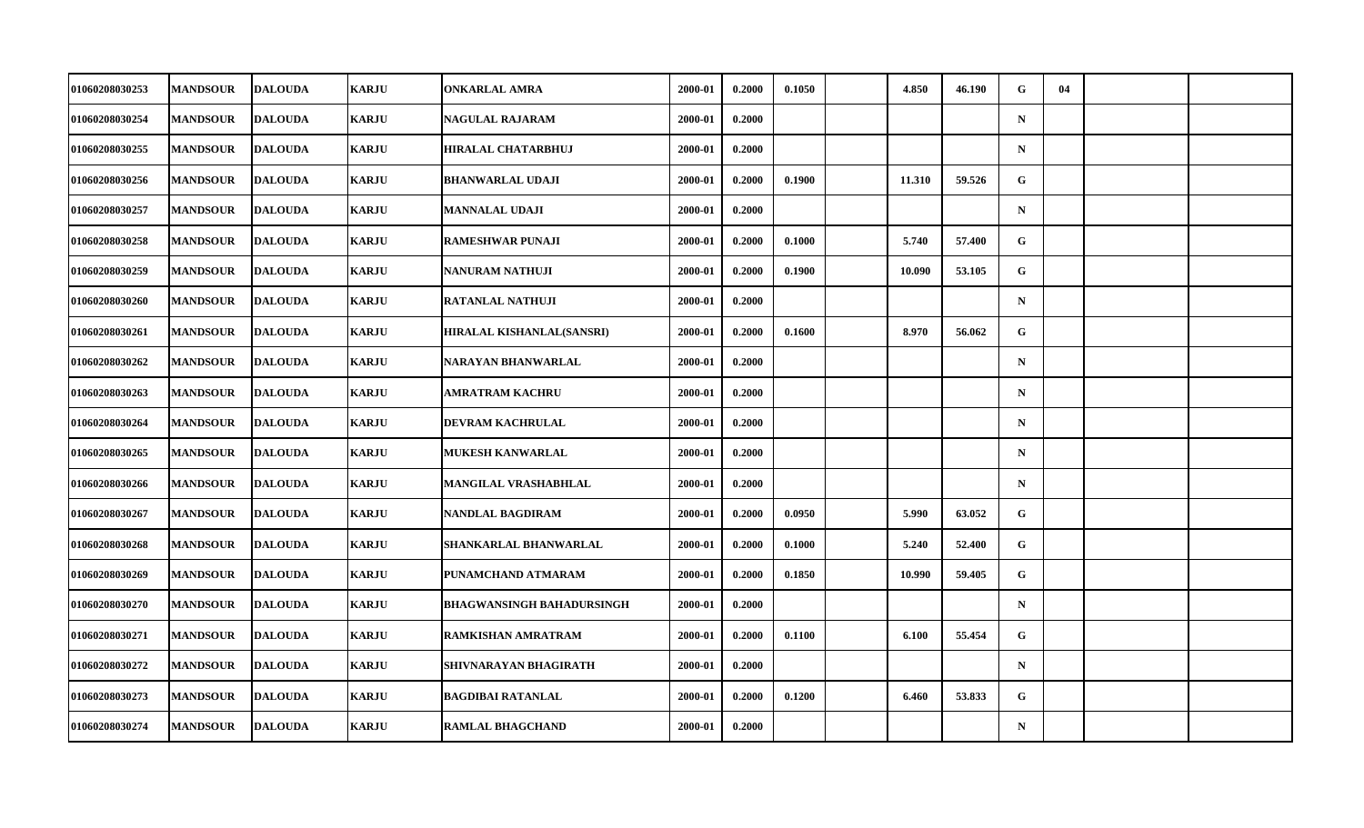| 01060208030253        | <b>MANDSOUR</b> | <b>DALOUDA</b> | <b>KARJU</b> | <b>ONKARLAL AMRA</b>             | 2000-01 | 0.2000 | 0.1050 | 4.850  | 46.190 | G            | 04 |  |
|-----------------------|-----------------|----------------|--------------|----------------------------------|---------|--------|--------|--------|--------|--------------|----|--|
| 01060208030254        | <b>MANDSOUR</b> | <b>DALOUDA</b> | <b>KARJU</b> | <b>NAGULAL RAJARAM</b>           | 2000-01 | 0.2000 |        |        |        | $\mathbf N$  |    |  |
| 01060208030255        | <b>MANDSOUR</b> | <b>DALOUDA</b> | <b>KARJU</b> | <b>HIRALAL CHATARBHUJ</b>        | 2000-01 | 0.2000 |        |        |        | $\mathbf N$  |    |  |
| 01060208030256        | <b>MANDSOUR</b> | <b>DALOUDA</b> | <b>KARJU</b> | <b>BHANWARLAL UDAJI</b>          | 2000-01 | 0.2000 | 0.1900 | 11.310 | 59.526 | $\mathbf{G}$ |    |  |
| 01060208030257        | <b>MANDSOUR</b> | <b>DALOUDA</b> | <b>KARJU</b> | MANNALAL UDAJI                   | 2000-01 | 0.2000 |        |        |        | $\mathbf N$  |    |  |
| 01060208030258        | <b>MANDSOUR</b> | <b>DALOUDA</b> | <b>KARJU</b> | <b>RAMESHWAR PUNAJI</b>          | 2000-01 | 0.2000 | 0.1000 | 5.740  | 57.400 | G            |    |  |
| 01060208030259        | <b>MANDSOUR</b> | <b>DALOUDA</b> | <b>KARJU</b> | NANURAM NATHUJI                  | 2000-01 | 0.2000 | 0.1900 | 10.090 | 53.105 | G            |    |  |
| <b>01060208030260</b> | <b>MANDSOUR</b> | <b>DALOUDA</b> | <b>KARJU</b> | <b>RATANLAL NATHUJI</b>          | 2000-01 | 0.2000 |        |        |        | $\mathbf N$  |    |  |
| 01060208030261        | <b>MANDSOUR</b> | <b>DALOUDA</b> | <b>KARJU</b> | <b>HIRALAL KISHANLAL(SANSRI)</b> | 2000-01 | 0.2000 | 0.1600 | 8.970  | 56.062 | G            |    |  |
| 01060208030262        | <b>MANDSOUR</b> | <b>DALOUDA</b> | <b>KARJU</b> | NARAYAN BHANWARLAL               | 2000-01 | 0.2000 |        |        |        | $\mathbf N$  |    |  |
| <b>01060208030263</b> | <b>MANDSOUR</b> | <b>DALOUDA</b> | <b>KARJU</b> | <b>AMRATRAM KACHRU</b>           | 2000-01 | 0.2000 |        |        |        | $\mathbf N$  |    |  |
| 01060208030264        | <b>MANDSOUR</b> | <b>DALOUDA</b> | <b>KARJU</b> | <b>DEVRAM KACHRULAL</b>          | 2000-01 | 0.2000 |        |        |        | $\mathbf N$  |    |  |
| 01060208030265        | <b>MANDSOUR</b> | <b>DALOUDA</b> | <b>KARJU</b> | <b>MUKESH KANWARLAL</b>          | 2000-01 | 0.2000 |        |        |        | $\mathbf N$  |    |  |
| 01060208030266        | <b>MANDSOUR</b> | <b>DALOUDA</b> | <b>KARJU</b> | MANGILAL VRASHABHLAL             | 2000-01 | 0.2000 |        |        |        | $\mathbf N$  |    |  |
| 01060208030267        | <b>MANDSOUR</b> | <b>DALOUDA</b> | <b>KARJU</b> | NANDLAL BAGDIRAM                 | 2000-01 | 0.2000 | 0.0950 | 5.990  | 63.052 | $\mathbf G$  |    |  |
| 01060208030268        | <b>MANDSOUR</b> | <b>DALOUDA</b> | <b>KARJU</b> | SHANKARLAL BHANWARLAL            | 2000-01 | 0.2000 | 0.1000 | 5.240  | 52.400 | G            |    |  |
| 01060208030269        | <b>MANDSOUR</b> | <b>DALOUDA</b> | <b>KARJU</b> | PUNAMCHAND ATMARAM               | 2000-01 | 0.2000 | 0.1850 | 10.990 | 59.405 | G            |    |  |
| 01060208030270        | <b>MANDSOUR</b> | <b>DALOUDA</b> | <b>KARJU</b> | <b>BHAGWANSINGH BAHADURSINGH</b> | 2000-01 | 0.2000 |        |        |        | $\mathbf N$  |    |  |
| 01060208030271        | <b>MANDSOUR</b> | <b>DALOUDA</b> | <b>KARJU</b> | RAMKISHAN AMRATRAM               | 2000-01 | 0.2000 | 0.1100 | 6.100  | 55.454 | G            |    |  |
| 01060208030272        | <b>MANDSOUR</b> | <b>DALOUDA</b> | <b>KARJU</b> | SHIVNARAYAN BHAGIRATH            | 2000-01 | 0.2000 |        |        |        | $\mathbf N$  |    |  |
| 01060208030273        | <b>MANDSOUR</b> | <b>DALOUDA</b> | <b>KARJU</b> | <b>BAGDIBAI RATANLAL</b>         | 2000-01 | 0.2000 | 0.1200 | 6.460  | 53.833 | G            |    |  |
| 01060208030274        | <b>MANDSOUR</b> | <b>DALOUDA</b> | <b>KARJU</b> | <b>RAMLAL BHAGCHAND</b>          | 2000-01 | 0.2000 |        |        |        | $\mathbf N$  |    |  |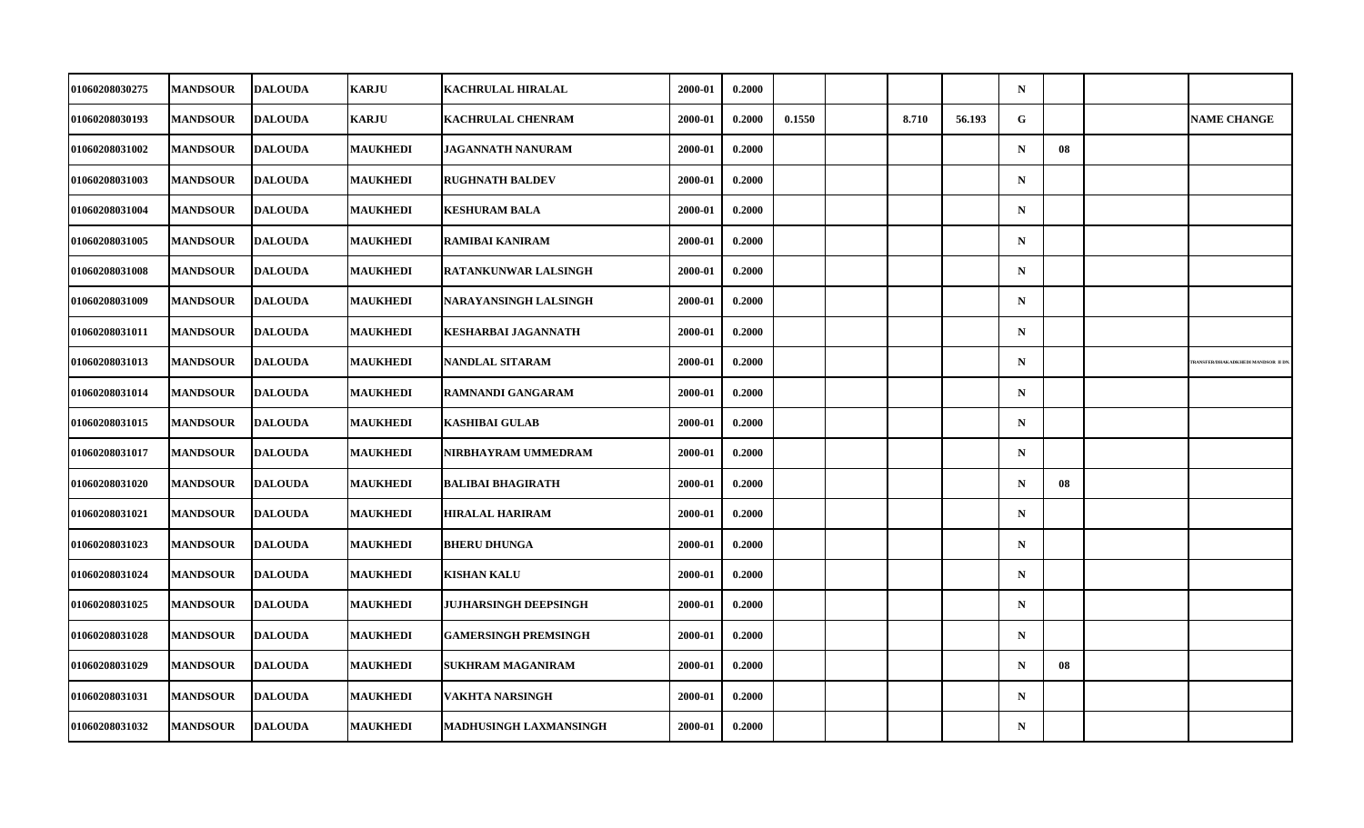| 01060208030275 | <b>MANDSOUR</b> | <b>DALOUDA</b> | <b>KARJU</b>    | KACHRULAL HIRALAL             | 2000-01 | 0.2000 |        |       |        | $\mathbf N$ |    |                                          |
|----------------|-----------------|----------------|-----------------|-------------------------------|---------|--------|--------|-------|--------|-------------|----|------------------------------------------|
| 01060208030193 | <b>MANDSOUR</b> | <b>DALOUDA</b> | <b>KARJU</b>    | <b>KACHRULAL CHENRAM</b>      | 2000-01 | 0.2000 | 0.1550 | 8.710 | 56.193 | G           |    | <b>NAME CHANGE</b>                       |
| 01060208031002 | <b>MANDSOUR</b> | <b>DALOUDA</b> | <b>MAUKHEDI</b> | <b>JAGANNATH NANURAM</b>      | 2000-01 | 0.2000 |        |       |        | $\mathbf N$ | 08 |                                          |
| 01060208031003 | <b>MANDSOUR</b> | <b>DALOUDA</b> | <b>MAUKHEDI</b> | <b>RUGHNATH BALDEV</b>        | 2000-01 | 0.2000 |        |       |        | $\mathbf N$ |    |                                          |
| 01060208031004 | <b>MANDSOUR</b> | <b>DALOUDA</b> | <b>MAUKHEDI</b> | <b>KESHURAM BALA</b>          | 2000-01 | 0.2000 |        |       |        | $\mathbf N$ |    |                                          |
| 01060208031005 | <b>MANDSOUR</b> | <b>DALOUDA</b> | <b>MAUKHEDI</b> | RAMIBAI KANIRAM               | 2000-01 | 0.2000 |        |       |        | $\mathbf N$ |    |                                          |
| 01060208031008 | <b>MANDSOUR</b> | <b>DALOUDA</b> | <b>MAUKHEDI</b> | <b>RATANKUNWAR LALSINGH</b>   | 2000-01 | 0.2000 |        |       |        | ${\bf N}$   |    |                                          |
| 01060208031009 | <b>MANDSOUR</b> | <b>DALOUDA</b> | <b>MAUKHEDI</b> | <b>NARAYANSINGH LALSINGH</b>  | 2000-01 | 0.2000 |        |       |        | $\mathbf N$ |    |                                          |
| 01060208031011 | <b>MANDSOUR</b> | <b>DALOUDA</b> | <b>MAUKHEDI</b> | <b>KESHARBAI JAGANNATH</b>    | 2000-01 | 0.2000 |        |       |        | $\mathbf N$ |    |                                          |
| 01060208031013 | <b>MANDSOUR</b> | <b>DALOUDA</b> | <b>MAUKHEDI</b> | <b>NANDLAL SITARAM</b>        | 2000-01 | 0.2000 |        |       |        | $\mathbf N$ |    | <b>TRANSFER/DHAKADKHEDI MANDSOR II D</b> |
| 01060208031014 | <b>MANDSOUR</b> | <b>DALOUDA</b> | <b>MAUKHEDI</b> | <b>RAMNANDI GANGARAM</b>      | 2000-01 | 0.2000 |        |       |        | $\mathbf N$ |    |                                          |
| 01060208031015 | <b>MANDSOUR</b> | <b>DALOUDA</b> | <b>MAUKHEDI</b> | <b>KASHIBAI GULAB</b>         | 2000-01 | 0.2000 |        |       |        | $\mathbf N$ |    |                                          |
| 01060208031017 | <b>MANDSOUR</b> | <b>DALOUDA</b> | <b>MAUKHEDI</b> | NIRBHAYRAM UMMEDRAM           | 2000-01 | 0.2000 |        |       |        | $\mathbf N$ |    |                                          |
| 01060208031020 | <b>MANDSOUR</b> | <b>DALOUDA</b> | <b>MAUKHEDI</b> | <b>BALIBAI BHAGIRATH</b>      | 2000-01 | 0.2000 |        |       |        | $\mathbf N$ | 08 |                                          |
| 01060208031021 | <b>MANDSOUR</b> | <b>DALOUDA</b> | <b>MAUKHEDI</b> | <b>HIRALAL HARIRAM</b>        | 2000-01 | 0.2000 |        |       |        | $\mathbf N$ |    |                                          |
| 01060208031023 | <b>MANDSOUR</b> | <b>DALOUDA</b> | <b>MAUKHEDI</b> | <b>BHERU DHUNGA</b>           | 2000-01 | 0.2000 |        |       |        | $\mathbf N$ |    |                                          |
| 01060208031024 | <b>MANDSOUR</b> | <b>DALOUDA</b> | <b>MAUKHEDI</b> | <b>KISHAN KALU</b>            | 2000-01 | 0.2000 |        |       |        | $\mathbf N$ |    |                                          |
| 01060208031025 | <b>MANDSOUR</b> | <b>DALOUDA</b> | <b>MAUKHEDI</b> | <b>JUJHARSINGH DEEPSINGH</b>  | 2000-01 | 0.2000 |        |       |        | $\mathbf N$ |    |                                          |
| 01060208031028 | <b>MANDSOUR</b> | <b>DALOUDA</b> | <b>MAUKHEDI</b> | <b>GAMERSINGH PREMSINGH</b>   | 2000-01 | 0.2000 |        |       |        | $\mathbf N$ |    |                                          |
| 01060208031029 | <b>MANDSOUR</b> | <b>DALOUDA</b> | <b>MAUKHEDI</b> | <b>SUKHRAM MAGANIRAM</b>      | 2000-01 | 0.2000 |        |       |        | $\mathbf N$ | 08 |                                          |
| 01060208031031 | <b>MANDSOUR</b> | <b>DALOUDA</b> | <b>MAUKHEDI</b> | VAKHTA NARSINGH               | 2000-01 | 0.2000 |        |       |        | $\mathbf N$ |    |                                          |
| 01060208031032 | <b>MANDSOUR</b> | <b>DALOUDA</b> | <b>MAUKHEDI</b> | <b>MADHUSINGH LAXMANSINGH</b> | 2000-01 | 0.2000 |        |       |        | $\mathbf N$ |    |                                          |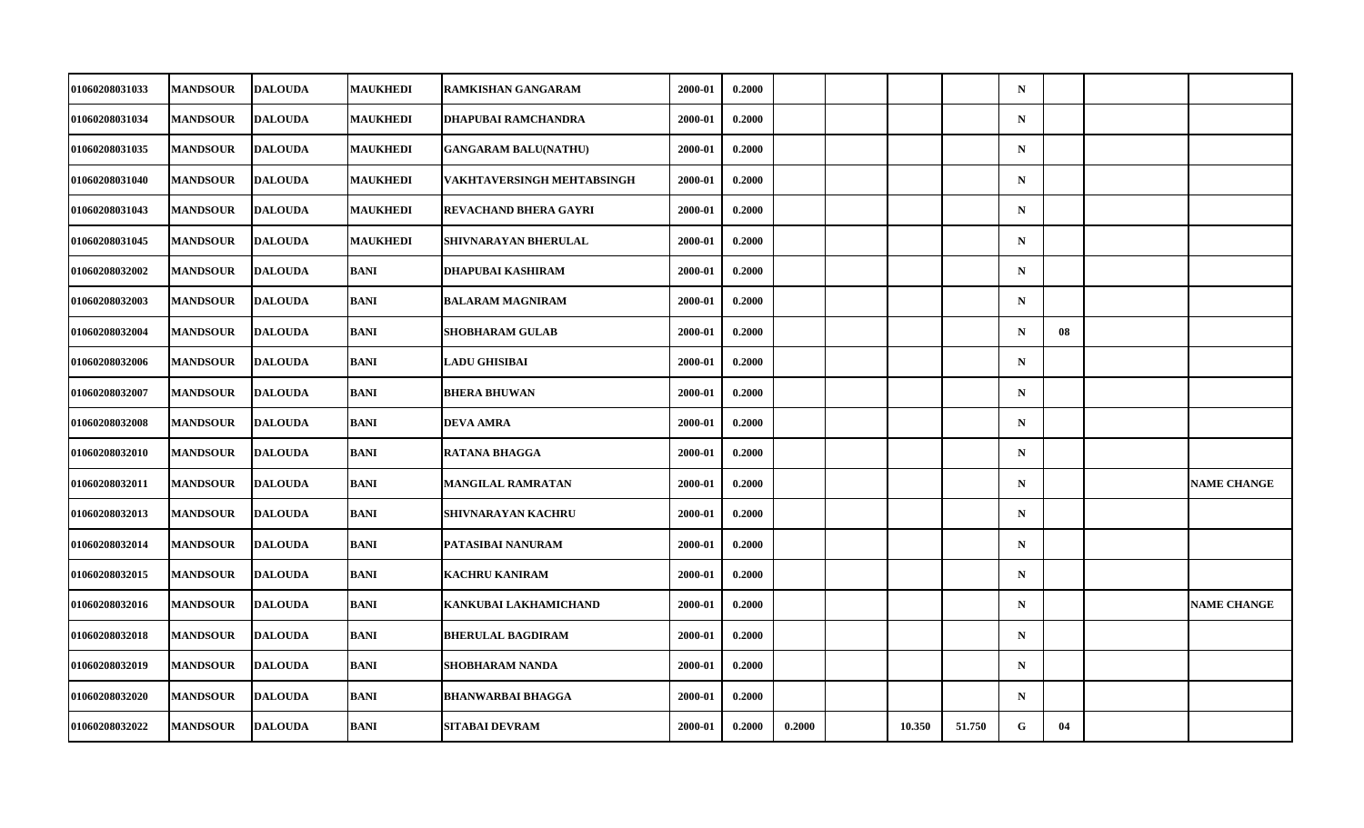| 01060208031033 | <b>MANDSOUR</b> | <b>DALOUDA</b> | <b>MAUKHEDI</b> | <b>RAMKISHAN GANGARAM</b>    | 2000-01 | 0.2000 |        |        |        | $\mathbf N$ |    |                    |
|----------------|-----------------|----------------|-----------------|------------------------------|---------|--------|--------|--------|--------|-------------|----|--------------------|
| 01060208031034 | <b>MANDSOUR</b> | <b>DALOUDA</b> | <b>MAUKHEDI</b> | <b>DHAPUBAI RAMCHANDRA</b>   | 2000-01 | 0.2000 |        |        |        | $\mathbf N$ |    |                    |
| 01060208031035 | <b>MANDSOUR</b> | <b>DALOUDA</b> | <b>MAUKHEDI</b> | <b>GANGARAM BALU(NATHU)</b>  | 2000-01 | 0.2000 |        |        |        | $\mathbf N$ |    |                    |
| 01060208031040 | <b>MANDSOUR</b> | DALOUDA        | <b>MAUKHEDI</b> | VAKHTAVERSINGH MEHTABSINGH   | 2000-01 | 0.2000 |        |        |        | $\mathbf N$ |    |                    |
| 01060208031043 | <b>MANDSOUR</b> | <b>DALOUDA</b> | <b>MAUKHEDI</b> | <b>REVACHAND BHERA GAYRI</b> | 2000-01 | 0.2000 |        |        |        | $\mathbf N$ |    |                    |
| 01060208031045 | <b>MANDSOUR</b> | <b>DALOUDA</b> | <b>MAUKHEDI</b> | SHIVNARAYAN BHERULAL         | 2000-01 | 0.2000 |        |        |        | $\mathbf N$ |    |                    |
| 01060208032002 | <b>MANDSOUR</b> | <b>DALOUDA</b> | <b>BANI</b>     | <b>DHAPUBAI KASHIRAM</b>     | 2000-01 | 0.2000 |        |        |        | $\mathbf N$ |    |                    |
| 01060208032003 | <b>MANDSOUR</b> | <b>DALOUDA</b> | <b>BANI</b>     | <b>BALARAM MAGNIRAM</b>      | 2000-01 | 0.2000 |        |        |        | $\mathbf N$ |    |                    |
| 01060208032004 | <b>MANDSOUR</b> | <b>DALOUDA</b> | <b>BANI</b>     | <b>SHOBHARAM GULAB</b>       | 2000-01 | 0.2000 |        |        |        | $\mathbf N$ | 08 |                    |
| 01060208032006 | <b>MANDSOUR</b> | <b>DALOUDA</b> | <b>BANI</b>     | <b>LADU GHISIBAI</b>         | 2000-01 | 0.2000 |        |        |        | $\mathbf N$ |    |                    |
| 01060208032007 | <b>MANDSOUR</b> | <b>DALOUDA</b> | <b>BANI</b>     | <b>BHERA BHUWAN</b>          | 2000-01 | 0.2000 |        |        |        | $\mathbf N$ |    |                    |
| 01060208032008 | <b>MANDSOUR</b> | <b>DALOUDA</b> | <b>BANI</b>     | <b>DEVA AMRA</b>             | 2000-01 | 0.2000 |        |        |        | $\mathbf N$ |    |                    |
| 01060208032010 | <b>MANDSOUR</b> | <b>DALOUDA</b> | <b>BANI</b>     | <b>RATANA BHAGGA</b>         | 2000-01 | 0.2000 |        |        |        | $\mathbf N$ |    |                    |
| 01060208032011 | <b>MANDSOUR</b> | <b>DALOUDA</b> | BANI            | <b>MANGILAL RAMRATAN</b>     | 2000-01 | 0.2000 |        |        |        | $\mathbf N$ |    | <b>NAME CHANGE</b> |
| 01060208032013 | <b>MANDSOUR</b> | <b>DALOUDA</b> | BANI            | <b>SHIVNARAYAN KACHRU</b>    | 2000-01 | 0.2000 |        |        |        | $\mathbf N$ |    |                    |
| 01060208032014 | <b>MANDSOUR</b> | <b>DALOUDA</b> | <b>BANI</b>     | PATASIBAI NANURAM            | 2000-01 | 0.2000 |        |        |        | $\mathbf N$ |    |                    |
| 01060208032015 | <b>MANDSOUR</b> | <b>DALOUDA</b> | BANI            | <b>KACHRU KANIRAM</b>        | 2000-01 | 0.2000 |        |        |        | $\mathbf N$ |    |                    |
| 01060208032016 | <b>MANDSOUR</b> | <b>DALOUDA</b> | <b>BANI</b>     | KANKUBAI LAKHAMICHAND        | 2000-01 | 0.2000 |        |        |        | $\mathbf N$ |    | <b>NAME CHANGE</b> |
| 01060208032018 | <b>MANDSOUR</b> | <b>DALOUDA</b> | <b>BANI</b>     | <b>BHERULAL BAGDIRAM</b>     | 2000-01 | 0.2000 |        |        |        | $\mathbf N$ |    |                    |
| 01060208032019 | <b>MANDSOUR</b> | <b>DALOUDA</b> | <b>BANI</b>     | <b>SHOBHARAM NANDA</b>       | 2000-01 | 0.2000 |        |        |        | $\mathbf N$ |    |                    |
| 01060208032020 | <b>MANDSOUR</b> | <b>DALOUDA</b> | <b>BANI</b>     | <b>BHANWARBAI BHAGGA</b>     | 2000-01 | 0.2000 |        |        |        | $\mathbf N$ |    |                    |
| 01060208032022 | <b>MANDSOUR</b> | <b>DALOUDA</b> | BANI            | <b>SITABAI DEVRAM</b>        | 2000-01 | 0.2000 | 0.2000 | 10.350 | 51.750 | G           | 04 |                    |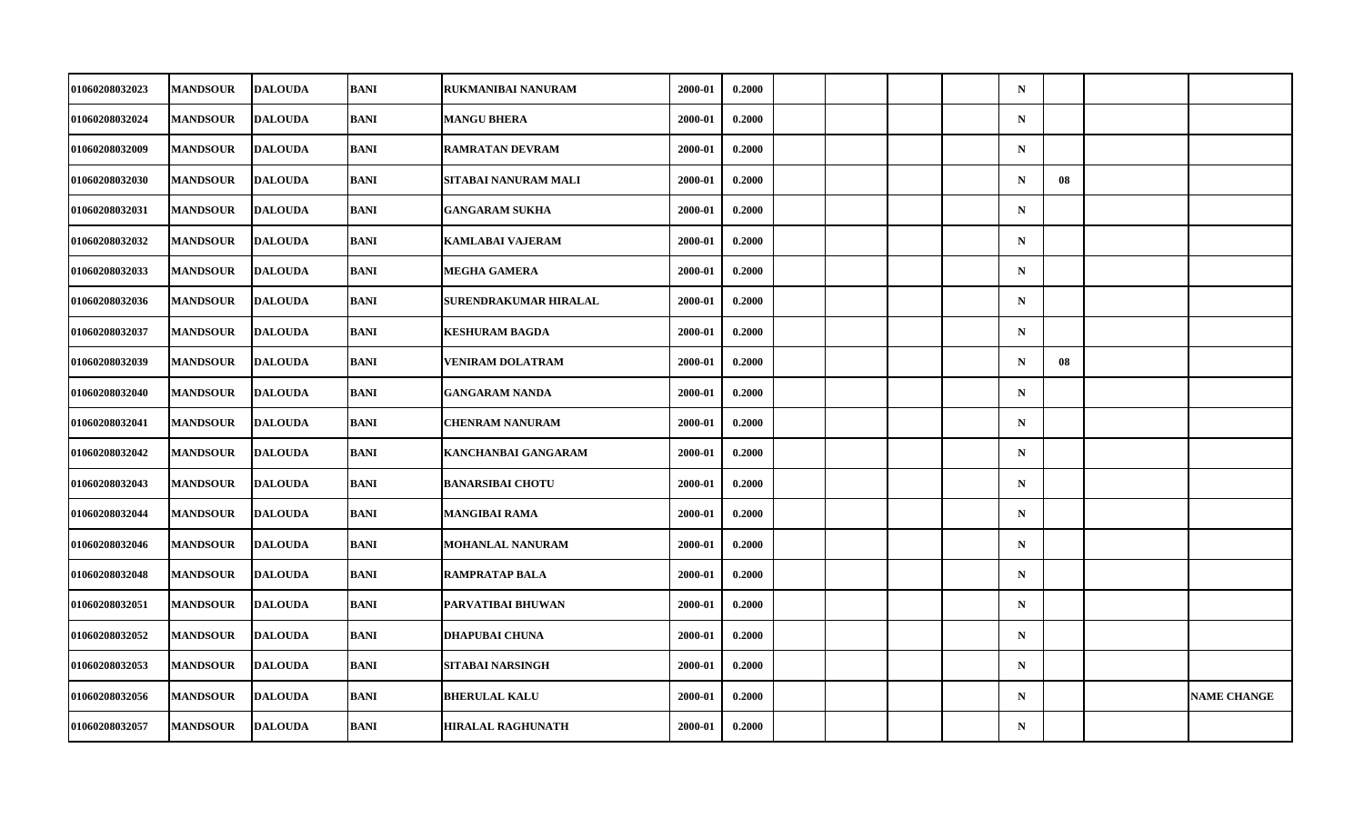| <b>01060208032023</b> | <b>MANDSOUR</b> | <b>DALOUDA</b> | BANI        | <b>RUKMANIBAI NANURAM</b> | 2000-01 | 0.2000 |  |  | $\mathbf N$ |    |                    |
|-----------------------|-----------------|----------------|-------------|---------------------------|---------|--------|--|--|-------------|----|--------------------|
| 01060208032024        | <b>MANDSOUR</b> | <b>DALOUDA</b> | BANI        | <b>MANGU BHERA</b>        | 2000-01 | 0.2000 |  |  | ${\bf N}$   |    |                    |
| 01060208032009        | <b>MANDSOUR</b> | <b>DALOUDA</b> | <b>BANI</b> | <b>RAMRATAN DEVRAM</b>    | 2000-01 | 0.2000 |  |  | $\mathbf N$ |    |                    |
| <b>01060208032030</b> | <b>MANDSOUR</b> | <b>DALOUDA</b> | <b>BANI</b> | SITABAI NANURAM MALI      | 2000-01 | 0.2000 |  |  | $\mathbf N$ | 08 |                    |
| 01060208032031        | <b>MANDSOUR</b> | <b>DALOUDA</b> | BANI        | <b>GANGARAM SUKHA</b>     | 2000-01 | 0.2000 |  |  | $\mathbf N$ |    |                    |
| 01060208032032        | <b>MANDSOUR</b> | <b>DALOUDA</b> | <b>BANI</b> | <b>KAMLABAI VAJERAM</b>   | 2000-01 | 0.2000 |  |  | $\mathbf N$ |    |                    |
| 01060208032033        | <b>MANDSOUR</b> | <b>DALOUDA</b> | <b>BANI</b> | <b>MEGHA GAMERA</b>       | 2000-01 | 0.2000 |  |  | $\mathbf N$ |    |                    |
| 01060208032036        | <b>MANDSOUR</b> | <b>DALOUDA</b> | BANI        | SURENDRAKUMAR HIRALAL     | 2000-01 | 0.2000 |  |  | $\mathbf N$ |    |                    |
| 01060208032037        | <b>MANDSOUR</b> | <b>DALOUDA</b> | BANI        | <b>KESHURAM BAGDA</b>     | 2000-01 | 0.2000 |  |  | $\mathbf N$ |    |                    |
| 01060208032039        | <b>MANDSOUR</b> | <b>DALOUDA</b> | <b>BANI</b> | <b>VENIRAM DOLATRAM</b>   | 2000-01 | 0.2000 |  |  | $\mathbf N$ | 08 |                    |
| 01060208032040        | <b>MANDSOUR</b> | <b>DALOUDA</b> | BANI        | <b>GANGARAM NANDA</b>     | 2000-01 | 0.2000 |  |  | $\mathbf N$ |    |                    |
| 01060208032041        | <b>MANDSOUR</b> | <b>DALOUDA</b> | BANI        | <b>CHENRAM NANURAM</b>    | 2000-01 | 0.2000 |  |  | $\mathbf N$ |    |                    |
| 01060208032042        | <b>MANDSOUR</b> | <b>DALOUDA</b> | <b>BANI</b> | KANCHANBAI GANGARAM       | 2000-01 | 0.2000 |  |  | ${\bf N}$   |    |                    |
| 01060208032043        | <b>MANDSOUR</b> | <b>DALOUDA</b> | <b>BANI</b> | <b>BANARSIBAI CHOTU</b>   | 2000-01 | 0.2000 |  |  | $\mathbf N$ |    |                    |
| 01060208032044        | <b>MANDSOUR</b> | <b>DALOUDA</b> | BANI        | <b>MANGIBAI RAMA</b>      | 2000-01 | 0.2000 |  |  | $\mathbf N$ |    |                    |
| 01060208032046        | <b>MANDSOUR</b> | <b>DALOUDA</b> | <b>BANI</b> | MOHANLAL NANURAM          | 2000-01 | 0.2000 |  |  | $\mathbf N$ |    |                    |
| 01060208032048        | <b>MANDSOUR</b> | <b>DALOUDA</b> | <b>BANI</b> | <b>RAMPRATAP BALA</b>     | 2000-01 | 0.2000 |  |  | $\mathbf N$ |    |                    |
| 01060208032051        | <b>MANDSOUR</b> | <b>DALOUDA</b> | <b>BANI</b> | PARVATIBAI BHUWAN         | 2000-01 | 0.2000 |  |  | $\mathbf N$ |    |                    |
| 01060208032052        | <b>MANDSOUR</b> | <b>DALOUDA</b> | BANI        | <b>DHAPUBAI CHUNA</b>     | 2000-01 | 0.2000 |  |  | $\mathbf N$ |    |                    |
| 01060208032053        | <b>MANDSOUR</b> | <b>DALOUDA</b> | BANI        | SITABAI NARSINGH          | 2000-01 | 0.2000 |  |  | $\mathbf N$ |    |                    |
| 01060208032056        | <b>MANDSOUR</b> | <b>DALOUDA</b> | <b>BANI</b> | <b>BHERULAL KALU</b>      | 2000-01 | 0.2000 |  |  | $\mathbf N$ |    | <b>NAME CHANGE</b> |
| 01060208032057        | <b>MANDSOUR</b> | <b>DALOUDA</b> | BANI        | <b>HIRALAL RAGHUNATH</b>  | 2000-01 | 0.2000 |  |  | ${\bf N}$   |    |                    |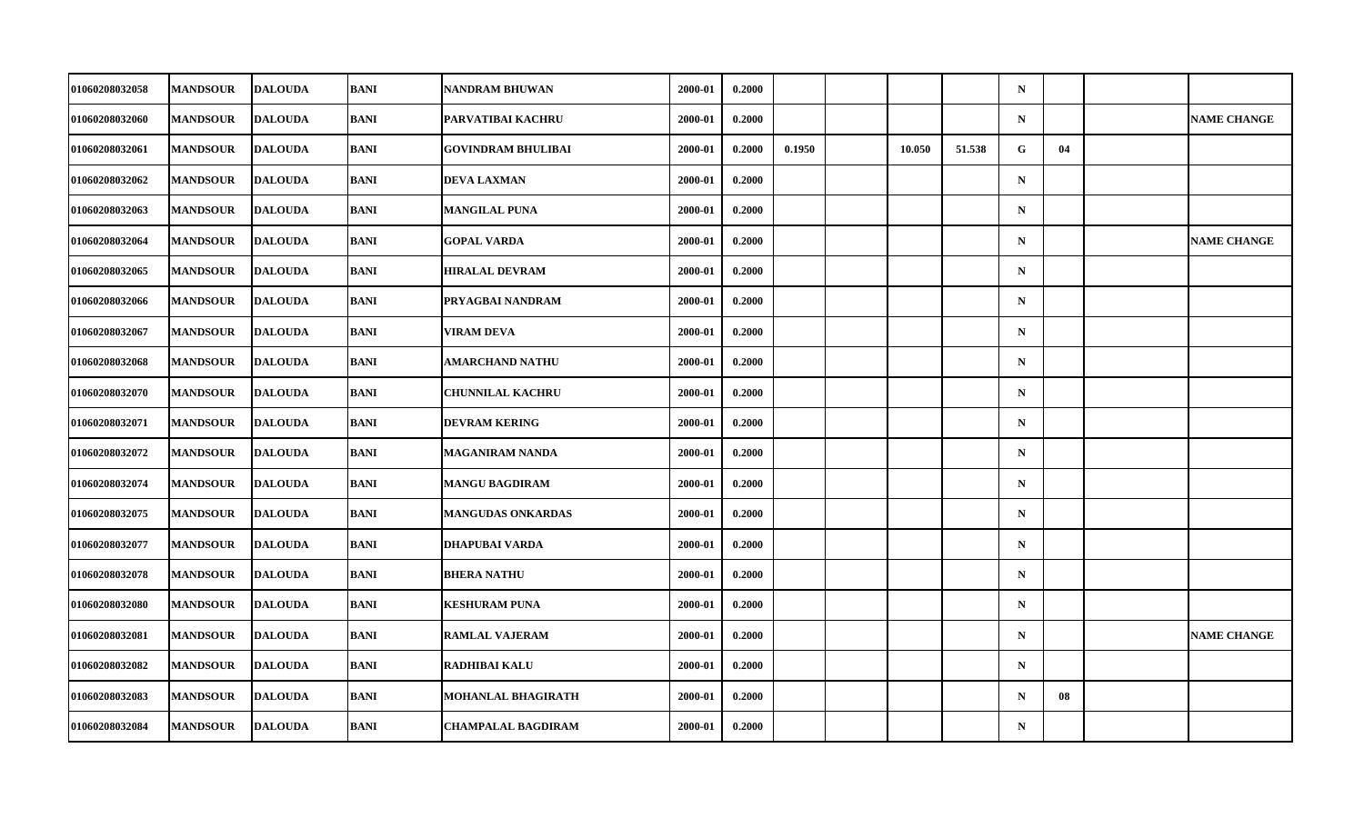| 01060208032058        | <b>MANDSOUR</b> | <b>DALOUDA</b> | BANI        | <b>NANDRAM BHUWAN</b>     | 2000-01 | 0.2000 |        |        |        | $\mathbf N$ |    |                    |
|-----------------------|-----------------|----------------|-------------|---------------------------|---------|--------|--------|--------|--------|-------------|----|--------------------|
| 01060208032060        | <b>MANDSOUR</b> | <b>DALOUDA</b> | BANI        | PARVATIBAI KACHRU         | 2000-01 | 0.2000 |        |        |        | ${\bf N}$   |    | <b>NAME CHANGE</b> |
| 01060208032061        | <b>MANDSOUR</b> | <b>DALOUDA</b> | <b>BANI</b> | <b>GOVINDRAM BHULIBAI</b> | 2000-01 | 0.2000 | 0.1950 | 10.050 | 51.538 | G           | 04 |                    |
| 01060208032062        | <b>MANDSOUR</b> | <b>DALOUDA</b> | <b>BANI</b> | <b>DEVA LAXMAN</b>        | 2000-01 | 0.2000 |        |        |        | $\mathbf N$ |    |                    |
| 01060208032063        | <b>MANDSOUR</b> | <b>DALOUDA</b> | BANI        | <b>MANGILAL PUNA</b>      | 2000-01 | 0.2000 |        |        |        | $\mathbf N$ |    |                    |
| 01060208032064        | <b>MANDSOUR</b> | <b>DALOUDA</b> | <b>BANI</b> | <b>GOPAL VARDA</b>        | 2000-01 | 0.2000 |        |        |        | $\mathbf N$ |    | <b>NAME CHANGE</b> |
| 01060208032065        | <b>MANDSOUR</b> | <b>DALOUDA</b> | <b>BANI</b> | <b>HIRALAL DEVRAM</b>     | 2000-01 | 0.2000 |        |        |        | $\mathbf N$ |    |                    |
| 01060208032066        | <b>MANDSOUR</b> | <b>DALOUDA</b> | BANI        | PRYAGBAI NANDRAM          | 2000-01 | 0.2000 |        |        |        | $\mathbf N$ |    |                    |
| 01060208032067        | <b>MANDSOUR</b> | <b>DALOUDA</b> | <b>BANI</b> | <b>VIRAM DEVA</b>         | 2000-01 | 0.2000 |        |        |        | $\mathbf N$ |    |                    |
| 01060208032068        | <b>MANDSOUR</b> | <b>DALOUDA</b> | <b>BANI</b> | <b>AMARCHAND NATHU</b>    | 2000-01 | 0.2000 |        |        |        | $\mathbf N$ |    |                    |
| 01060208032070        | <b>MANDSOUR</b> | <b>DALOUDA</b> | BANI        | <b>CHUNNILAL KACHRU</b>   | 2000-01 | 0.2000 |        |        |        | $\mathbf N$ |    |                    |
| 01060208032071        | <b>MANDSOUR</b> | <b>DALOUDA</b> | BANI        | <b>DEVRAM KERING</b>      | 2000-01 | 0.2000 |        |        |        | $\mathbf N$ |    |                    |
| 01060208032072        | <b>MANDSOUR</b> | <b>DALOUDA</b> | <b>BANI</b> | <b>MAGANIRAM NANDA</b>    | 2000-01 | 0.2000 |        |        |        | ${\bf N}$   |    |                    |
| 01060208032074        | <b>MANDSOUR</b> | <b>DALOUDA</b> | <b>BANI</b> | <b>MANGU BAGDIRAM</b>     | 2000-01 | 0.2000 |        |        |        | $\mathbf N$ |    |                    |
| 01060208032075        | <b>MANDSOUR</b> | <b>DALOUDA</b> | BANI        | <b>MANGUDAS ONKARDAS</b>  | 2000-01 | 0.2000 |        |        |        | $\mathbf N$ |    |                    |
| 01060208032077        | <b>MANDSOUR</b> | <b>DALOUDA</b> | <b>BANI</b> | DHAPUBAI VARDA            | 2000-01 | 0.2000 |        |        |        | $\mathbf N$ |    |                    |
| <b>01060208032078</b> | <b>MANDSOUR</b> | <b>DALOUDA</b> | <b>BANI</b> | <b>BHERA NATHU</b>        | 2000-01 | 0.2000 |        |        |        | $\mathbf N$ |    |                    |
| 01060208032080        | <b>MANDSOUR</b> | <b>DALOUDA</b> | <b>BANI</b> | <b>KESHURAM PUNA</b>      | 2000-01 | 0.2000 |        |        |        | $\mathbf N$ |    |                    |
| 01060208032081        | <b>MANDSOUR</b> | <b>DALOUDA</b> | BANI        | <b>RAMLAL VAJERAM</b>     | 2000-01 | 0.2000 |        |        |        | $\mathbf N$ |    | <b>NAME CHANGE</b> |
| 01060208032082        | <b>MANDSOUR</b> | <b>DALOUDA</b> | BANI        | <b>RADHIBAI KALU</b>      | 2000-01 | 0.2000 |        |        |        | $\mathbf N$ |    |                    |
| 01060208032083        | <b>MANDSOUR</b> | <b>DALOUDA</b> | <b>BANI</b> | <b>MOHANLAL BHAGIRATH</b> | 2000-01 | 0.2000 |        |        |        | $\mathbf N$ | 08 |                    |
| 01060208032084        | <b>MANDSOUR</b> | <b>DALOUDA</b> | BANI        | <b>CHAMPALAL BAGDIRAM</b> | 2000-01 | 0.2000 |        |        |        | ${\bf N}$   |    |                    |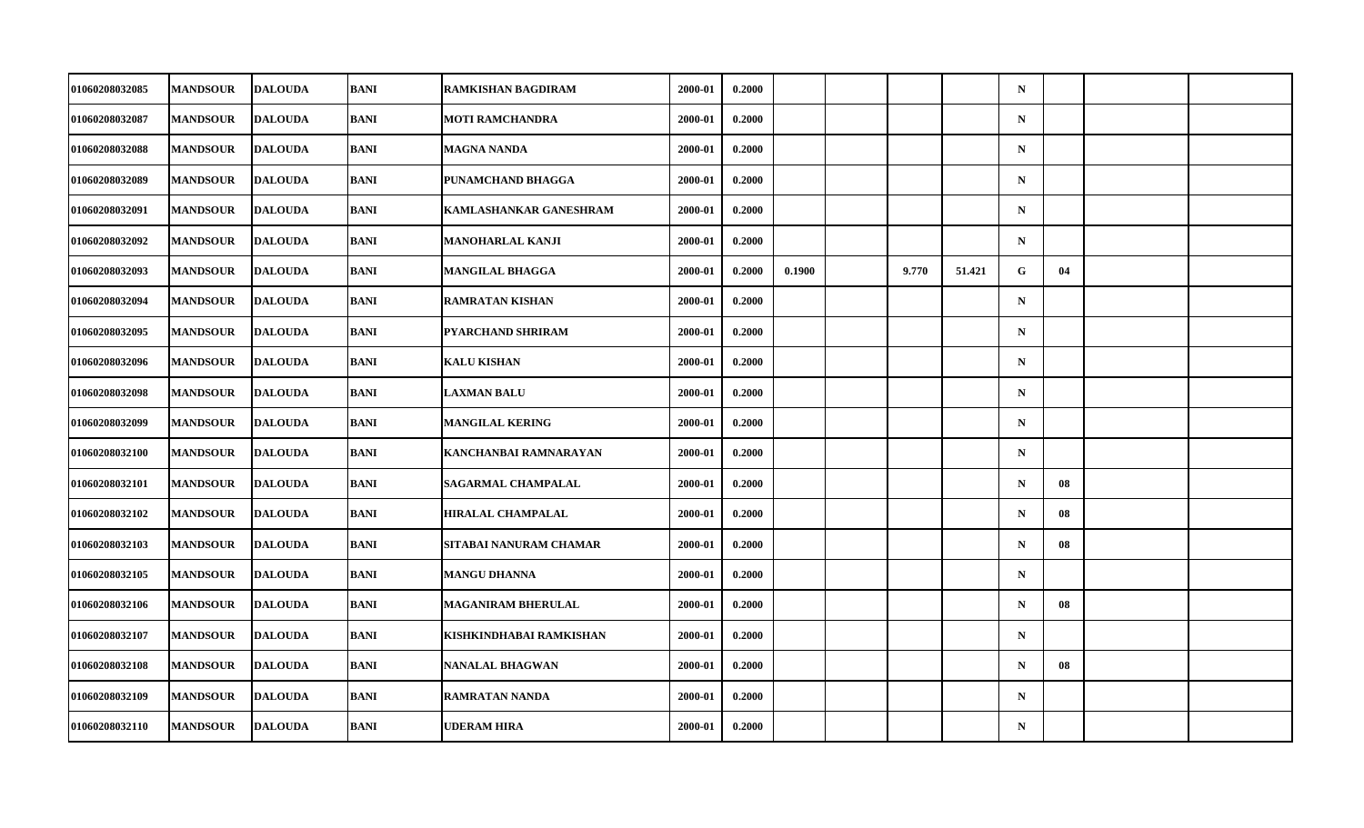| 01060208032085        | <b>MANDSOUR</b> | <b>DALOUDA</b> | BANI        | <b>RAMKISHAN BAGDIRAM</b> | 2000-01 | 0.2000 |        |       |        | $\mathbf N$ |    |  |
|-----------------------|-----------------|----------------|-------------|---------------------------|---------|--------|--------|-------|--------|-------------|----|--|
| 01060208032087        | <b>MANDSOUR</b> | <b>DALOUDA</b> | BANI        | <b>MOTI RAMCHANDRA</b>    | 2000-01 | 0.2000 |        |       |        | ${\bf N}$   |    |  |
| 01060208032088        | <b>MANDSOUR</b> | <b>DALOUDA</b> | <b>BANI</b> | <b>MAGNA NANDA</b>        | 2000-01 | 0.2000 |        |       |        | $\mathbf N$ |    |  |
| <b>01060208032089</b> | <b>MANDSOUR</b> | <b>DALOUDA</b> | <b>BANI</b> | PUNAMCHAND BHAGGA         | 2000-01 | 0.2000 |        |       |        | $\mathbf N$ |    |  |
| 01060208032091        | <b>MANDSOUR</b> | <b>DALOUDA</b> | BANI        | KAMLASHANKAR GANESHRAM    | 2000-01 | 0.2000 |        |       |        | $\mathbf N$ |    |  |
| 01060208032092        | <b>MANDSOUR</b> | <b>DALOUDA</b> | <b>BANI</b> | <b>MANOHARLAL KANJI</b>   | 2000-01 | 0.2000 |        |       |        | $\mathbf N$ |    |  |
| 01060208032093        | <b>MANDSOUR</b> | <b>DALOUDA</b> | <b>BANI</b> | <b>MANGILAL BHAGGA</b>    | 2000-01 | 0.2000 | 0.1900 | 9.770 | 51.421 | G.          | 04 |  |
| 01060208032094        | <b>MANDSOUR</b> | <b>DALOUDA</b> | BANI        | <b>RAMRATAN KISHAN</b>    | 2000-01 | 0.2000 |        |       |        | $\mathbf N$ |    |  |
| 01060208032095        | <b>MANDSOUR</b> | <b>DALOUDA</b> | BANI        | PYARCHAND SHRIRAM         | 2000-01 | 0.2000 |        |       |        | $\mathbf N$ |    |  |
| 01060208032096        | <b>MANDSOUR</b> | <b>DALOUDA</b> | <b>BANI</b> | <b>KALU KISHAN</b>        | 2000-01 | 0.2000 |        |       |        | $\mathbf N$ |    |  |
| 01060208032098        | <b>MANDSOUR</b> | <b>DALOUDA</b> | BANI        | <b>LAXMAN BALU</b>        | 2000-01 | 0.2000 |        |       |        | $\mathbf N$ |    |  |
| 01060208032099        | <b>MANDSOUR</b> | <b>DALOUDA</b> | BANI        | <b>MANGILAL KERING</b>    | 2000-01 | 0.2000 |        |       |        | $\mathbf N$ |    |  |
| 01060208032100        | <b>MANDSOUR</b> | <b>DALOUDA</b> | <b>BANI</b> | KANCHANBAI RAMNARAYAN     | 2000-01 | 0.2000 |        |       |        | ${\bf N}$   |    |  |
| 01060208032101        | <b>MANDSOUR</b> | <b>DALOUDA</b> | BANI        | <b>SAGARMAL CHAMPALAL</b> | 2000-01 | 0.2000 |        |       |        | $\mathbf N$ | 08 |  |
| 01060208032102        | <b>MANDSOUR</b> | <b>DALOUDA</b> | BANI        | <b>HIRALAL CHAMPALAL</b>  | 2000-01 | 0.2000 |        |       |        | $\mathbf N$ | 08 |  |
| 01060208032103        | <b>MANDSOUR</b> | <b>DALOUDA</b> | <b>BANI</b> | SITABAI NANURAM CHAMAR    | 2000-01 | 0.2000 |        |       |        | $\mathbf N$ | 08 |  |
| 01060208032105        | <b>MANDSOUR</b> | <b>DALOUDA</b> | <b>BANI</b> | <b>MANGU DHANNA</b>       | 2000-01 | 0.2000 |        |       |        | $\mathbf N$ |    |  |
| 01060208032106        | <b>MANDSOUR</b> | <b>DALOUDA</b> | <b>BANI</b> | <b>MAGANIRAM BHERULAL</b> | 2000-01 | 0.2000 |        |       |        | $\mathbf N$ | 08 |  |
| 01060208032107        | <b>MANDSOUR</b> | <b>DALOUDA</b> | BANI        | KISHKINDHABAI RAMKISHAN   | 2000-01 | 0.2000 |        |       |        | $\mathbf N$ |    |  |
| 01060208032108        | <b>MANDSOUR</b> | <b>DALOUDA</b> | BANI        | <b>NANALAL BHAGWAN</b>    | 2000-01 | 0.2000 |        |       |        | $\mathbf N$ | 08 |  |
| 01060208032109        | <b>MANDSOUR</b> | <b>DALOUDA</b> | <b>BANI</b> | <b>RAMRATAN NANDA</b>     | 2000-01 | 0.2000 |        |       |        | $\mathbf N$ |    |  |
| 01060208032110        | <b>MANDSOUR</b> | <b>DALOUDA</b> | BANI        | <b>UDERAM HIRA</b>        | 2000-01 | 0.2000 |        |       |        | ${\bf N}$   |    |  |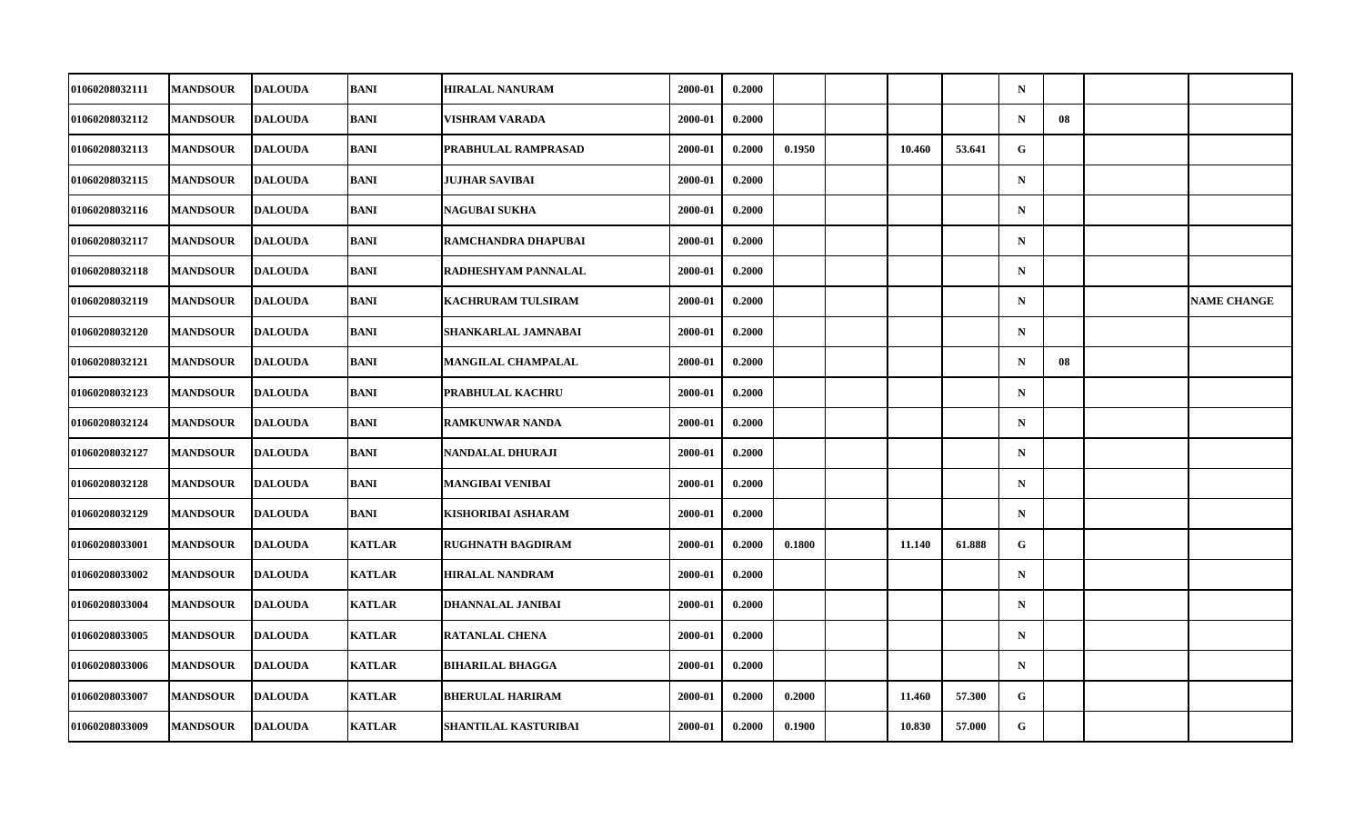| 01060208032111 | <b>MANDSOUR</b> | <b>DALOUDA</b> | <b>BANI</b>   | <b>HIRALAL NANURAM</b>      | 2000-01 | 0.2000 |        |        |        | $\mathbf N$ |    |                    |
|----------------|-----------------|----------------|---------------|-----------------------------|---------|--------|--------|--------|--------|-------------|----|--------------------|
| 01060208032112 | <b>MANDSOUR</b> | <b>DALOUDA</b> | BANI          | <b>VISHRAM VARADA</b>       | 2000-01 | 0.2000 |        |        |        | $\mathbf N$ | 08 |                    |
| 01060208032113 | <b>MANDSOUR</b> | <b>DALOUDA</b> | <b>BANI</b>   | <b>PRABHULAL RAMPRASAD</b>  | 2000-01 | 0.2000 | 0.1950 | 10.460 | 53.641 | G           |    |                    |
| 01060208032115 | <b>MANDSOUR</b> | <b>DALOUDA</b> | BANI          | <b>JUJHAR SAVIBAI</b>       | 2000-01 | 0.2000 |        |        |        | $\mathbf N$ |    |                    |
| 01060208032116 | <b>MANDSOUR</b> | <b>DALOUDA</b> | <b>BANI</b>   | <b>NAGUBAI SUKHA</b>        | 2000-01 | 0.2000 |        |        |        | $\mathbf N$ |    |                    |
| 01060208032117 | <b>MANDSOUR</b> | <b>DALOUDA</b> | <b>BANI</b>   | RAMCHANDRA DHAPUBAI         | 2000-01 | 0.2000 |        |        |        | $\mathbf N$ |    |                    |
| 01060208032118 | <b>MANDSOUR</b> | <b>DALOUDA</b> | <b>BANI</b>   | <b>RADHESHYAM PANNALAL</b>  | 2000-01 | 0.2000 |        |        |        | $\mathbf N$ |    |                    |
| 01060208032119 | <b>MANDSOUR</b> | <b>DALOUDA</b> | BANI          | <b>KACHRURAM TULSIRAM</b>   | 2000-01 | 0.2000 |        |        |        | $\mathbf N$ |    | <b>NAME CHANGE</b> |
| 01060208032120 | <b>MANDSOUR</b> | <b>DALOUDA</b> | <b>BANI</b>   | SHANKARLAL JAMNABAI         | 2000-01 | 0.2000 |        |        |        | $\mathbf N$ |    |                    |
| 01060208032121 | <b>MANDSOUR</b> | <b>DALOUDA</b> | <b>BANI</b>   | <b>MANGILAL CHAMPALAL</b>   | 2000-01 | 0.2000 |        |        |        | $\mathbf N$ | 08 |                    |
| 01060208032123 | <b>MANDSOUR</b> | <b>DALOUDA</b> | <b>BANI</b>   | <b>PRABHULAL KACHRU</b>     | 2000-01 | 0.2000 |        |        |        | $\mathbf N$ |    |                    |
| 01060208032124 | <b>MANDSOUR</b> | <b>DALOUDA</b> | BANI          | <b>RAMKUNWAR NANDA</b>      | 2000-01 | 0.2000 |        |        |        | $\mathbf N$ |    |                    |
| 01060208032127 | <b>MANDSOUR</b> | <b>DALOUDA</b> | <b>BANI</b>   | NANDALAL DHURAJI            | 2000-01 | 0.2000 |        |        |        | $\mathbf N$ |    |                    |
| 01060208032128 | <b>MANDSOUR</b> | <b>DALOUDA</b> | <b>BANI</b>   | <b>MANGIBAI VENIBAI</b>     | 2000-01 | 0.2000 |        |        |        | $\mathbf N$ |    |                    |
| 01060208032129 | <b>MANDSOUR</b> | <b>DALOUDA</b> | BANI          | KISHORIBAI ASHARAM          | 2000-01 | 0.2000 |        |        |        | $\mathbf N$ |    |                    |
| 01060208033001 | <b>MANDSOUR</b> | <b>DALOUDA</b> | <b>KATLAR</b> | <b>RUGHNATH BAGDIRAM</b>    | 2000-01 | 0.2000 | 0.1800 | 11.140 | 61.888 | G           |    |                    |
| 01060208033002 | <b>MANDSOUR</b> | <b>DALOUDA</b> | <b>KATLAR</b> | <b>HIRALAL NANDRAM</b>      | 2000-01 | 0.2000 |        |        |        | $\mathbf N$ |    |                    |
| 01060208033004 | <b>MANDSOUR</b> | <b>DALOUDA</b> | <b>KATLAR</b> | <b>DHANNALAL JANIBAI</b>    | 2000-01 | 0.2000 |        |        |        | $\mathbf N$ |    |                    |
| 01060208033005 | <b>MANDSOUR</b> | <b>DALOUDA</b> | <b>KATLAR</b> | <b>RATANLAL CHENA</b>       | 2000-01 | 0.2000 |        |        |        | $\mathbf N$ |    |                    |
| 01060208033006 | <b>MANDSOUR</b> | <b>DALOUDA</b> | <b>KATLAR</b> | <b>BIHARILAL BHAGGA</b>     | 2000-01 | 0.2000 |        |        |        | $\mathbf N$ |    |                    |
| 01060208033007 | <b>MANDSOUR</b> | <b>DALOUDA</b> | <b>KATLAR</b> | <b>BHERULAL HARIRAM</b>     | 2000-01 | 0.2000 | 0.2000 | 11.460 | 57.300 | G           |    |                    |
| 01060208033009 | <b>MANDSOUR</b> | <b>DALOUDA</b> | <b>KATLAR</b> | <b>SHANTILAL KASTURIBAI</b> | 2000-01 | 0.2000 | 0.1900 | 10.830 | 57.000 | G           |    |                    |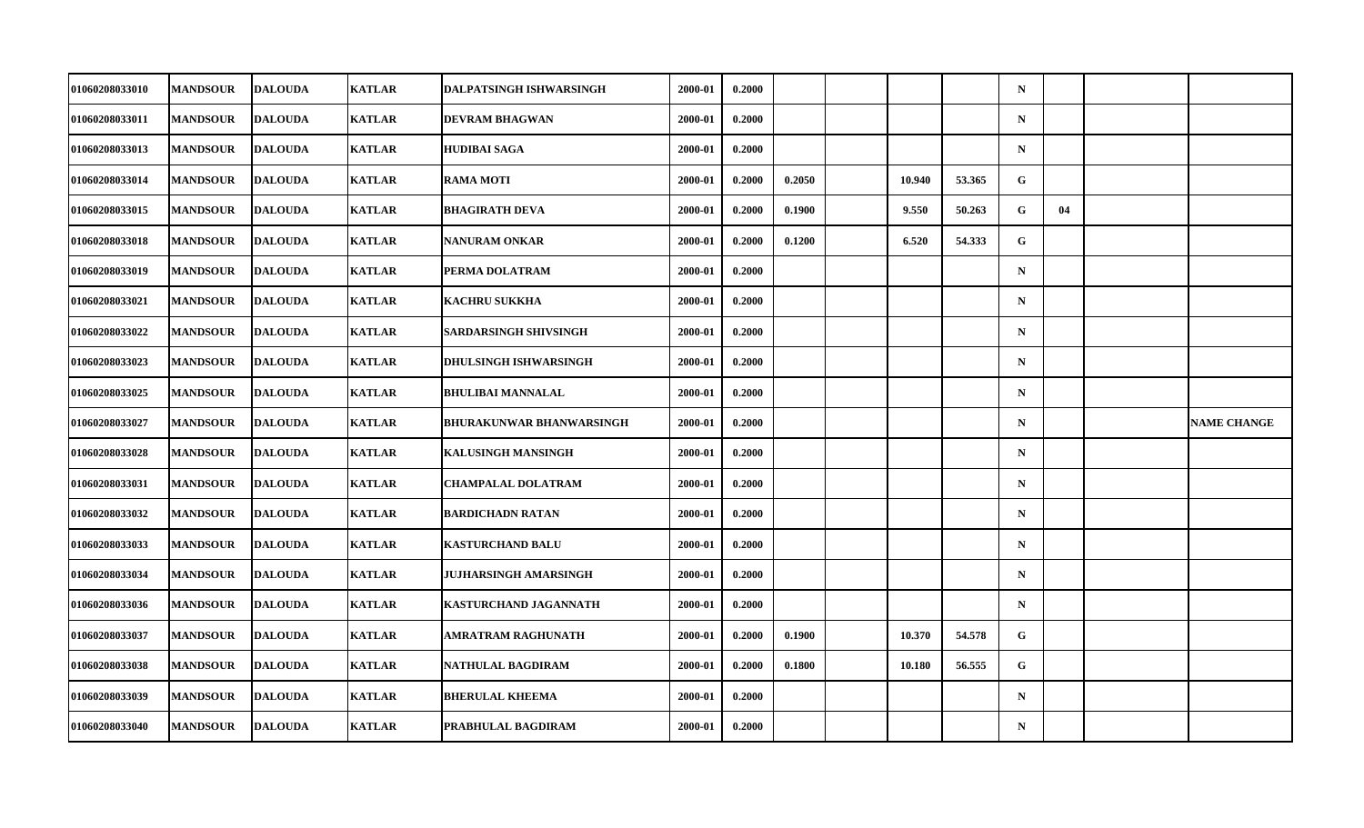| 01060208033010 | <b>MANDSOUR</b> | <b>DALOUDA</b> | <b>KATLAR</b> | <b>DALPATSINGH ISHWARSINGH</b>  | 2000-01 | 0.2000 |        |        |        | $\mathbf N$ |    |                    |
|----------------|-----------------|----------------|---------------|---------------------------------|---------|--------|--------|--------|--------|-------------|----|--------------------|
| 01060208033011 | <b>MANDSOUR</b> | <b>DALOUDA</b> | <b>KATLAR</b> | <b>DEVRAM BHAGWAN</b>           | 2000-01 | 0.2000 |        |        |        | $\mathbf N$ |    |                    |
| 01060208033013 | <b>MANDSOUR</b> | <b>DALOUDA</b> | <b>KATLAR</b> | <b>HUDIBAI SAGA</b>             | 2000-01 | 0.2000 |        |        |        | $\mathbf N$ |    |                    |
| 01060208033014 | <b>MANDSOUR</b> | DALOUDA        | <b>KATLAR</b> | <b>RAMA MOTI</b>                | 2000-01 | 0.2000 | 0.2050 | 10.940 | 53.365 | G           |    |                    |
| 01060208033015 | <b>MANDSOUR</b> | <b>DALOUDA</b> | <b>KATLAR</b> | <b>BHAGIRATH DEVA</b>           | 2000-01 | 0.2000 | 0.1900 | 9.550  | 50.263 | G           | 04 |                    |
| 01060208033018 | <b>MANDSOUR</b> | <b>DALOUDA</b> | <b>KATLAR</b> | <b>NANURAM ONKAR</b>            | 2000-01 | 0.2000 | 0.1200 | 6.520  | 54.333 | G           |    |                    |
| 01060208033019 | <b>MANDSOUR</b> | <b>DALOUDA</b> | <b>KATLAR</b> | PERMA DOLATRAM                  | 2000-01 | 0.2000 |        |        |        | $\mathbf N$ |    |                    |
| 01060208033021 | <b>MANDSOUR</b> | <b>DALOUDA</b> | <b>KATLAR</b> | <b>KACHRU SUKKHA</b>            | 2000-01 | 0.2000 |        |        |        | $\mathbf N$ |    |                    |
| 01060208033022 | <b>MANDSOUR</b> | <b>DALOUDA</b> | <b>KATLAR</b> | <b>SARDARSINGH SHIVSINGH</b>    | 2000-01 | 0.2000 |        |        |        | $\mathbf N$ |    |                    |
| 01060208033023 | <b>MANDSOUR</b> | <b>DALOUDA</b> | <b>KATLAR</b> | <b>DHULSINGH ISHWARSINGH</b>    | 2000-01 | 0.2000 |        |        |        | $\mathbf N$ |    |                    |
| 01060208033025 | <b>MANDSOUR</b> | <b>DALOUDA</b> | <b>KATLAR</b> | <b>BHULIBAI MANNALAL</b>        | 2000-01 | 0.2000 |        |        |        | $\mathbf N$ |    |                    |
| 01060208033027 | <b>MANDSOUR</b> | <b>DALOUDA</b> | <b>KATLAR</b> | <b>BHURAKUNWAR BHANWARSINGH</b> | 2000-01 | 0.2000 |        |        |        | $\mathbf N$ |    | <b>NAME CHANGE</b> |
| 01060208033028 | <b>MANDSOUR</b> | <b>DALOUDA</b> | <b>KATLAR</b> | <b>KALUSINGH MANSINGH</b>       | 2000-01 | 0.2000 |        |        |        | $\mathbf N$ |    |                    |
| 01060208033031 |                 |                |               |                                 |         |        |        |        |        | $\mathbf N$ |    |                    |
|                | <b>MANDSOUR</b> | <b>DALOUDA</b> | <b>KATLAR</b> | <b>CHAMPALAL DOLATRAM</b>       | 2000-01 | 0.2000 |        |        |        |             |    |                    |
| 01060208033032 | <b>MANDSOUR</b> | <b>DALOUDA</b> | <b>KATLAR</b> | <b>BARDICHADN RATAN</b>         | 2000-01 | 0.2000 |        |        |        | $\mathbf N$ |    |                    |
| 01060208033033 | <b>MANDSOUR</b> | <b>DALOUDA</b> | <b>KATLAR</b> | <b>KASTURCHAND BALU</b>         | 2000-01 | 0.2000 |        |        |        | $\mathbf N$ |    |                    |
| 01060208033034 | <b>MANDSOUR</b> | <b>DALOUDA</b> | <b>KATLAR</b> | <b>JUJHARSINGH AMARSINGH</b>    | 2000-01 | 0.2000 |        |        |        | $\mathbf N$ |    |                    |
| 01060208033036 | <b>MANDSOUR</b> | <b>DALOUDA</b> | <b>KATLAR</b> | <b>KASTURCHAND JAGANNATH</b>    | 2000-01 | 0.2000 |        |        |        | $\mathbf N$ |    |                    |
| 01060208033037 | <b>MANDSOUR</b> | <b>DALOUDA</b> | <b>KATLAR</b> | AMRATRAM RAGHUNATH              | 2000-01 | 0.2000 | 0.1900 | 10.370 | 54.578 | G           |    |                    |
| 01060208033038 | <b>MANDSOUR</b> | <b>DALOUDA</b> | <b>KATLAR</b> | NATHULAL BAGDIRAM               | 2000-01 | 0.2000 | 0.1800 | 10.180 | 56.555 | G           |    |                    |
| 01060208033039 | <b>MANDSOUR</b> | <b>DALOUDA</b> | <b>KATLAR</b> | <b>BHERULAL KHEEMA</b>          | 2000-01 | 0.2000 |        |        |        | $\mathbf N$ |    |                    |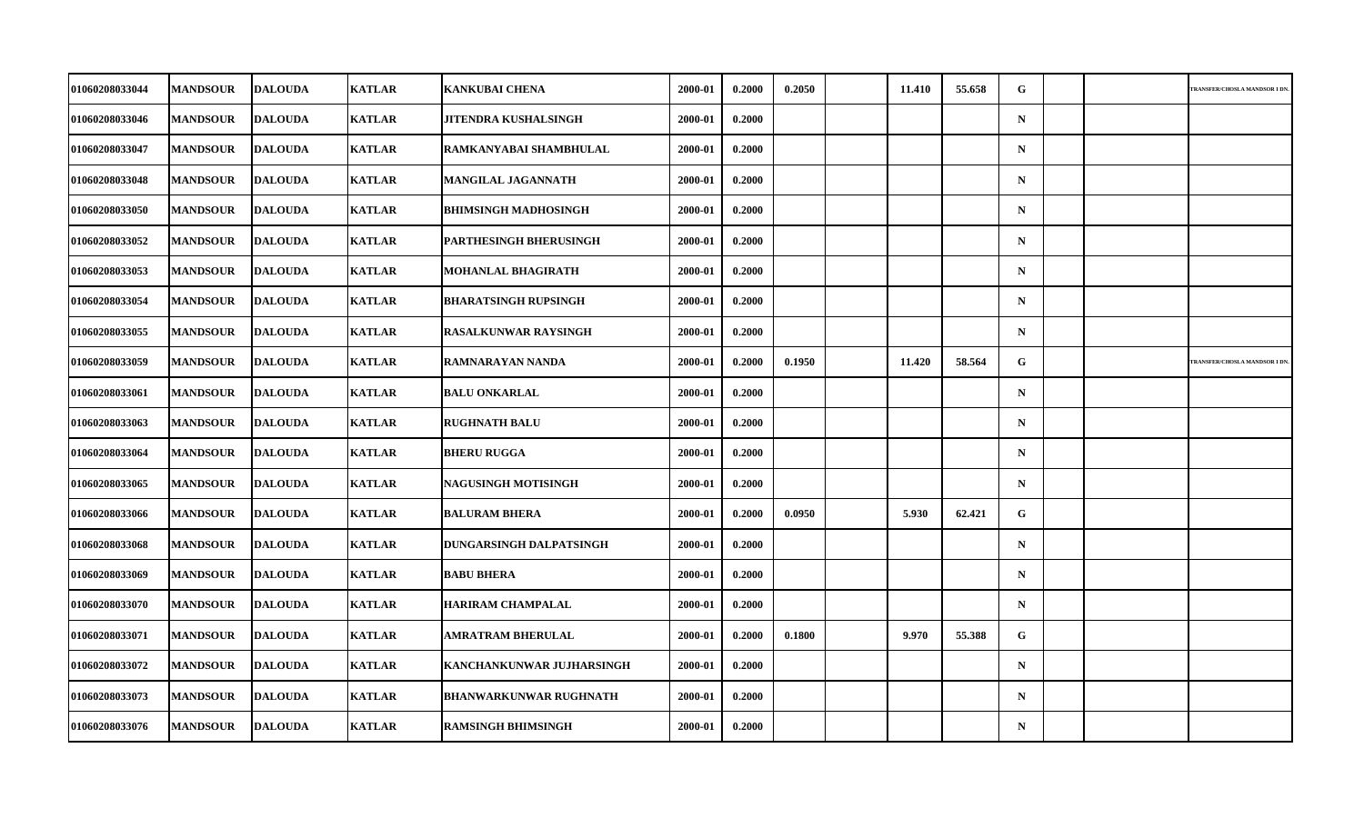| 01060208033044 | <b>MANDSOUR</b> | <b>DALOUDA</b> | <b>KATLAR</b> | <b>KANKUBAI CHENA</b>         | 2000-01 | 0.2000 | 0.2050 | 11.410 | 55.658 | G.          |  | TRANSFER/CHOSLA MANDSOR I DN |
|----------------|-----------------|----------------|---------------|-------------------------------|---------|--------|--------|--------|--------|-------------|--|------------------------------|
|                |                 |                |               |                               |         |        |        |        |        |             |  |                              |
| 01060208033046 | <b>MANDSOUR</b> | <b>DALOUDA</b> | <b>KATLAR</b> | JITENDRA KUSHALSINGH          | 2000-01 | 0.2000 |        |        |        | $\mathbf N$ |  |                              |
| 01060208033047 | <b>MANDSOUR</b> | <b>DALOUDA</b> | <b>KATLAR</b> | RAMKANYABAI SHAMBHULAL        | 2000-01 | 0.2000 |        |        |        | $\mathbf N$ |  |                              |
| 01060208033048 | <b>MANDSOUR</b> | <b>DALOUDA</b> | <b>KATLAR</b> | MANGILAL JAGANNATH            | 2000-01 | 0.2000 |        |        |        | ${\bf N}$   |  |                              |
| 01060208033050 | <b>MANDSOUR</b> | <b>DALOUDA</b> | <b>KATLAR</b> | <b>BHIMSINGH MADHOSINGH</b>   | 2000-01 | 0.2000 |        |        |        | $\mathbf N$ |  |                              |
| 01060208033052 | <b>MANDSOUR</b> | <b>DALOUDA</b> | <b>KATLAR</b> | <b>PARTHESINGH BHERUSINGH</b> | 2000-01 | 0.2000 |        |        |        | $\mathbf N$ |  |                              |
| 01060208033053 | <b>MANDSOUR</b> | <b>DALOUDA</b> | <b>KATLAR</b> | <b>MOHANLAL BHAGIRATH</b>     | 2000-01 | 0.2000 |        |        |        | $\mathbf N$ |  |                              |
| 01060208033054 | <b>MANDSOUR</b> | <b>DALOUDA</b> | <b>KATLAR</b> | <b>BHARATSINGH RUPSINGH</b>   | 2000-01 | 0.2000 |        |        |        | $\mathbf N$ |  |                              |
| 01060208033055 | <b>MANDSOUR</b> | <b>DALOUDA</b> | <b>KATLAR</b> | <b>RASALKUNWAR RAYSINGH</b>   | 2000-01 | 0.2000 |        |        |        | $\mathbf N$ |  |                              |
| 01060208033059 | <b>MANDSOUR</b> | <b>DALOUDA</b> | <b>KATLAR</b> | RAMNARAYAN NANDA              | 2000-01 | 0.2000 | 0.1950 | 11.420 | 58.564 | G           |  | TRANSFER/CHOSLA MANDSOR I DN |
| 01060208033061 | <b>MANDSOUR</b> | <b>DALOUDA</b> | <b>KATLAR</b> | <b>BALU ONKARLAL</b>          | 2000-01 | 0.2000 |        |        |        | $\mathbf N$ |  |                              |
| 01060208033063 | <b>MANDSOUR</b> | <b>DALOUDA</b> | <b>KATLAR</b> | <b>RUGHNATH BALU</b>          | 2000-01 | 0.2000 |        |        |        | $\mathbf N$ |  |                              |
| 01060208033064 | <b>MANDSOUR</b> | <b>DALOUDA</b> | <b>KATLAR</b> | <b>BHERU RUGGA</b>            | 2000-01 | 0.2000 |        |        |        | $\mathbf N$ |  |                              |
| 01060208033065 | <b>MANDSOUR</b> | <b>DALOUDA</b> | <b>KATLAR</b> | <b>NAGUSINGH MOTISINGH</b>    | 2000-01 | 0.2000 |        |        |        | $\mathbf N$ |  |                              |
| 01060208033066 | <b>MANDSOUR</b> | <b>DALOUDA</b> | <b>KATLAR</b> | <b>BALURAM BHERA</b>          | 2000-01 | 0.2000 | 0.0950 | 5.930  | 62.421 | G           |  |                              |
| 01060208033068 | <b>MANDSOUR</b> | <b>DALOUDA</b> | <b>KATLAR</b> | DUNGARSINGH DALPATSINGH       | 2000-01 | 0.2000 |        |        |        | $\mathbf N$ |  |                              |
| 01060208033069 | <b>MANDSOUR</b> | <b>DALOUDA</b> | <b>KATLAR</b> | <b>BABU BHERA</b>             | 2000-01 | 0.2000 |        |        |        | $\mathbf N$ |  |                              |
| 01060208033070 | <b>MANDSOUR</b> | <b>DALOUDA</b> | <b>KATLAR</b> | <b>HARIRAM CHAMPALAL</b>      | 2000-01 | 0.2000 |        |        |        | $\mathbf N$ |  |                              |
| 01060208033071 | <b>MANDSOUR</b> | <b>DALOUDA</b> | <b>KATLAR</b> | <b>AMRATRAM BHERULAL</b>      | 2000-01 | 0.2000 | 0.1800 | 9.970  | 55.388 | G           |  |                              |
| 01060208033072 | <b>MANDSOUR</b> | <b>DALOUDA</b> | <b>KATLAR</b> | KANCHANKUNWAR JUJHARSINGH     | 2000-01 | 0.2000 |        |        |        | $\mathbf N$ |  |                              |
| 01060208033073 | <b>MANDSOUR</b> | <b>DALOUDA</b> | <b>KATLAR</b> | <b>BHANWARKUNWAR RUGHNATH</b> | 2000-01 | 0.2000 |        |        |        | ${\bf N}$   |  |                              |
| 01060208033076 | <b>MANDSOUR</b> | <b>DALOUDA</b> | <b>KATLAR</b> | <b>RAMSINGH BHIMSINGH</b>     | 2000-01 | 0.2000 |        |        |        | $\mathbf N$ |  |                              |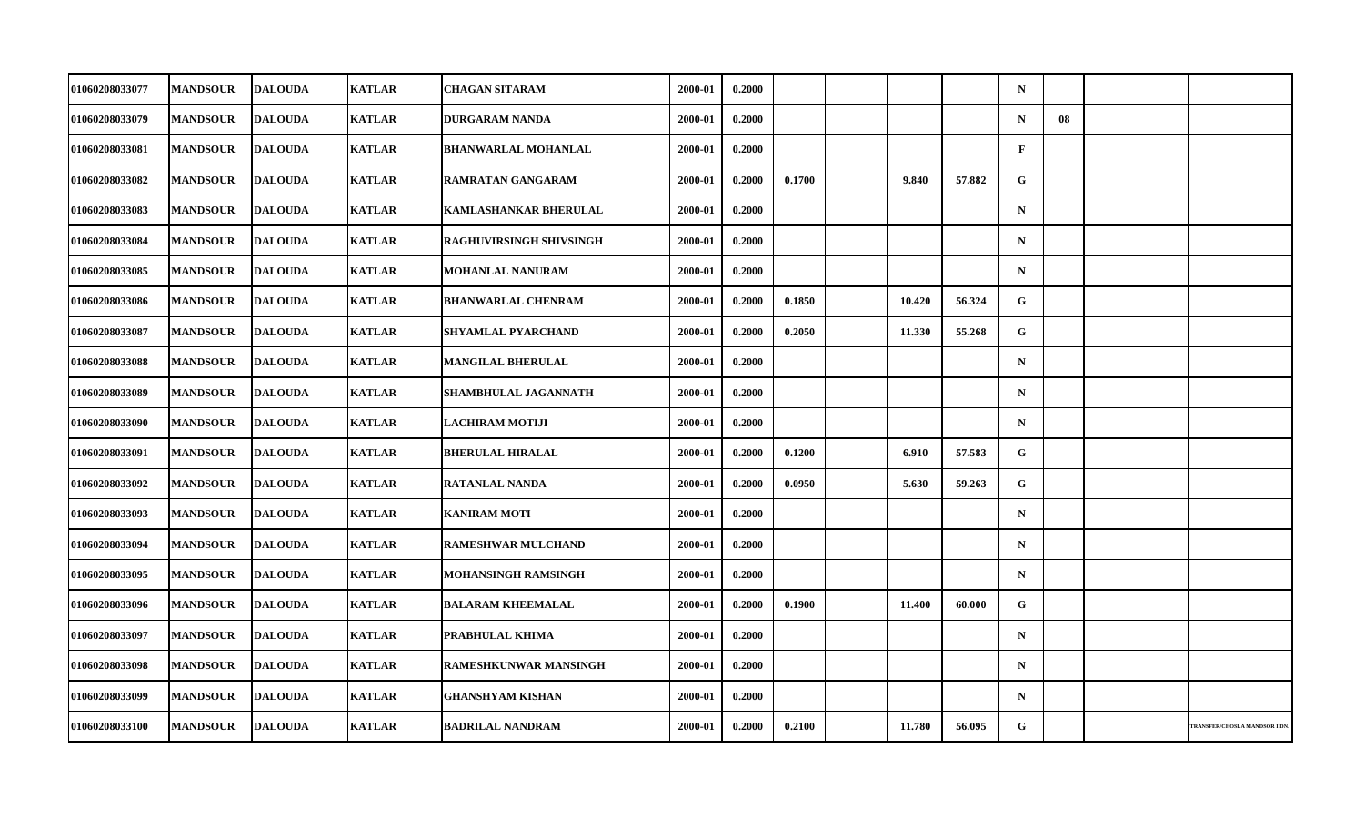| 01060208033077        | <b>MANDSOUR</b> | <b>DALOUDA</b> | <b>KATLAR</b> | <b>CHAGAN SITARAM</b>        | 2000-01 | 0.2000 |        |        |        | $\mathbf N$  |    |                              |
|-----------------------|-----------------|----------------|---------------|------------------------------|---------|--------|--------|--------|--------|--------------|----|------------------------------|
| 01060208033079        | <b>MANDSOUR</b> | <b>DALOUDA</b> | <b>KATLAR</b> | <b>DURGARAM NANDA</b>        | 2000-01 | 0.2000 |        |        |        | ${\bf N}$    | 08 |                              |
| 01060208033081        | <b>MANDSOUR</b> | <b>DALOUDA</b> | <b>KATLAR</b> | <b>BHANWARLAL MOHANLAL</b>   | 2000-01 | 0.2000 |        |        |        | $\mathbf{F}$ |    |                              |
| 01060208033082        | <b>MANDSOUR</b> | <b>DALOUDA</b> | <b>KATLAR</b> | RAMRATAN GANGARAM            | 2000-01 | 0.2000 | 0.1700 | 9.840  | 57.882 | G            |    |                              |
| 01060208033083        | <b>MANDSOUR</b> | <b>DALOUDA</b> | <b>KATLAR</b> | <b>KAMLASHANKAR BHERULAL</b> | 2000-01 | 0.2000 |        |        |        | $\mathbf N$  |    |                              |
| 01060208033084        | <b>MANDSOUR</b> | <b>DALOUDA</b> | <b>KATLAR</b> | RAGHUVIRSINGH SHIVSINGH      | 2000-01 | 0.2000 |        |        |        | $\mathbf N$  |    |                              |
| 01060208033085        | <b>MANDSOUR</b> | <b>DALOUDA</b> | <b>KATLAR</b> | MOHANLAL NANURAM             | 2000-01 | 0.2000 |        |        |        | $\mathbf N$  |    |                              |
| 01060208033086        | <b>MANDSOUR</b> | <b>DALOUDA</b> | <b>KATLAR</b> | <b>BHANWARLAL CHENRAM</b>    | 2000-01 | 0.2000 | 0.1850 | 10.420 | 56.324 | G            |    |                              |
| 01060208033087        | <b>MANDSOUR</b> | <b>DALOUDA</b> | <b>KATLAR</b> | SHYAMLAL PYARCHAND           | 2000-01 | 0.2000 | 0.2050 | 11.330 | 55.268 | G            |    |                              |
| 01060208033088        | <b>MANDSOUR</b> | <b>DALOUDA</b> | <b>KATLAR</b> | <b>MANGILAL BHERULAL</b>     | 2000-01 | 0.2000 |        |        |        | $\mathbf N$  |    |                              |
| 01060208033089        | <b>MANDSOUR</b> | <b>DALOUDA</b> | <b>KATLAR</b> | SHAMBHULAL JAGANNATH         | 2000-01 | 0.2000 |        |        |        | $\mathbf N$  |    |                              |
| 01060208033090        | <b>MANDSOUR</b> | <b>DALOUDA</b> | <b>KATLAR</b> | <b>LACHIRAM MOTIJI</b>       | 2000-01 | 0.2000 |        |        |        | $\mathbf N$  |    |                              |
| 01060208033091        | <b>MANDSOUR</b> | <b>DALOUDA</b> | <b>KATLAR</b> | <b>BHERULAL HIRALAL</b>      | 2000-01 | 0.2000 | 0.1200 | 6.910  | 57.583 | G            |    |                              |
| 01060208033092        | <b>MANDSOUR</b> | <b>DALOUDA</b> | <b>KATLAR</b> | RATANLAL NANDA               | 2000-01 | 0.2000 | 0.0950 | 5.630  | 59.263 | G            |    |                              |
| 01060208033093        | <b>MANDSOUR</b> | <b>DALOUDA</b> | <b>KATLAR</b> | <b>KANIRAM MOTI</b>          | 2000-01 | 0.2000 |        |        |        | $\mathbf N$  |    |                              |
| 01060208033094        | <b>MANDSOUR</b> | <b>DALOUDA</b> | <b>KATLAR</b> | <b>RAMESHWAR MULCHAND</b>    | 2000-01 | 0.2000 |        |        |        | $\mathbf N$  |    |                              |
| <b>01060208033095</b> | <b>MANDSOUR</b> | <b>DALOUDA</b> | <b>KATLAR</b> | MOHANSINGH RAMSINGH          | 2000-01 | 0.2000 |        |        |        | $\mathbf N$  |    |                              |
| 01060208033096        | <b>MANDSOUR</b> | <b>DALOUDA</b> | <b>KATLAR</b> | <b>BALARAM KHEEMALAL</b>     | 2000-01 | 0.2000 | 0.1900 | 11.400 | 60.000 | $\mathbf G$  |    |                              |
| 01060208033097        | <b>MANDSOUR</b> | <b>DALOUDA</b> | <b>KATLAR</b> | PRABHULAL KHIMA              | 2000-01 | 0.2000 |        |        |        | $\mathbf N$  |    |                              |
| 01060208033098        | <b>MANDSOUR</b> | <b>DALOUDA</b> | <b>KATLAR</b> | <b>RAMESHKUNWAR MANSINGH</b> | 2000-01 | 0.2000 |        |        |        | $\mathbf N$  |    |                              |
| 01060208033099        | <b>MANDSOUR</b> | <b>DALOUDA</b> | <b>KATLAR</b> | <b>GHANSHYAM KISHAN</b>      | 2000-01 | 0.2000 |        |        |        | $\mathbf N$  |    |                              |
| 01060208033100        | <b>MANDSOUR</b> | <b>DALOUDA</b> | <b>KATLAR</b> | <b>BADRILAL NANDRAM</b>      | 2000-01 | 0.2000 | 0.2100 | 11.780 | 56.095 | G            |    | TRANSFER/CHOSLA MANDSOR I DN |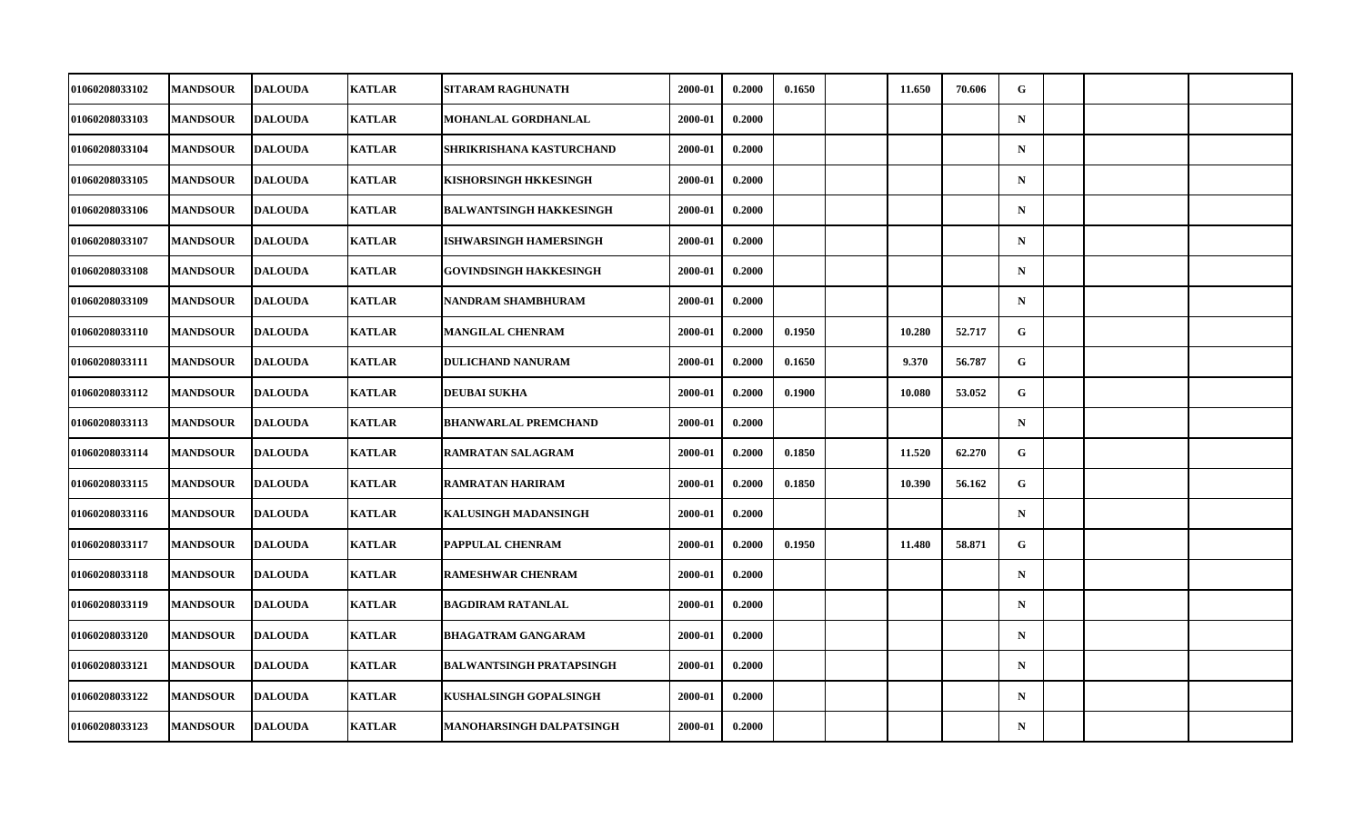| 01060208033102        | <b>MANDSOUR</b> | <b>DALOUDA</b> | <b>KATLAR</b> | <b>SITARAM RAGHUNATH</b>        | 2000-01 | 0.2000 | 0.1650 | 11.650 | 70.606 | G           |  |  |
|-----------------------|-----------------|----------------|---------------|---------------------------------|---------|--------|--------|--------|--------|-------------|--|--|
| 01060208033103        | <b>MANDSOUR</b> | <b>DALOUDA</b> | <b>KATLAR</b> | MOHANLAL GORDHANLAL             | 2000-01 | 0.2000 |        |        |        | $\mathbf N$ |  |  |
| 01060208033104        | <b>MANDSOUR</b> | <b>DALOUDA</b> | <b>KATLAR</b> | SHRIKRISHANA KASTURCHAND        | 2000-01 | 0.2000 |        |        |        | $\mathbf N$ |  |  |
| 01060208033105        | <b>MANDSOUR</b> | <b>DALOUDA</b> | <b>KATLAR</b> | KISHORSINGH HKKESINGH           | 2000-01 | 0.2000 |        |        |        | $\mathbf N$ |  |  |
| 01060208033106        | <b>MANDSOUR</b> | <b>DALOUDA</b> | <b>KATLAR</b> | <b>BALWANTSINGH HAKKESINGH</b>  | 2000-01 | 0.2000 |        |        |        | $\mathbf N$ |  |  |
| 01060208033107        | <b>MANDSOUR</b> | <b>DALOUDA</b> | <b>KATLAR</b> | <b>ISHWARSINGH HAMERSINGH</b>   | 2000-01 | 0.2000 |        |        |        | $\mathbf N$ |  |  |
| 01060208033108        | <b>MANDSOUR</b> | <b>DALOUDA</b> | <b>KATLAR</b> | <b>GOVINDSINGH HAKKESINGH</b>   | 2000-01 | 0.2000 |        |        |        | $\mathbf N$ |  |  |
| <b>01060208033109</b> | <b>MANDSOUR</b> | <b>DALOUDA</b> | <b>KATLAR</b> | NANDRAM SHAMBHURAM              | 2000-01 | 0.2000 |        |        |        | $\mathbf N$ |  |  |
| 01060208033110        | <b>MANDSOUR</b> | <b>DALOUDA</b> | <b>KATLAR</b> | <b>MANGILAL CHENRAM</b>         | 2000-01 | 0.2000 | 0.1950 | 10.280 | 52.717 | G           |  |  |
| 01060208033111        | <b>MANDSOUR</b> | <b>DALOUDA</b> | <b>KATLAR</b> | <b>DULICHAND NANURAM</b>        | 2000-01 | 0.2000 | 0.1650 | 9.370  | 56.787 | G           |  |  |
| <b>01060208033112</b> | <b>MANDSOUR</b> | <b>DALOUDA</b> | <b>KATLAR</b> | <b>DEUBAI SUKHA</b>             | 2000-01 | 0.2000 | 0.1900 | 10.080 | 53.052 | G.          |  |  |
| 01060208033113        | <b>MANDSOUR</b> | <b>DALOUDA</b> | <b>KATLAR</b> | <b>BHANWARLAL PREMCHAND</b>     | 2000-01 | 0.2000 |        |        |        | $\mathbf N$ |  |  |
| 01060208033114        | <b>MANDSOUR</b> | <b>DALOUDA</b> | <b>KATLAR</b> | RAMRATAN SALAGRAM               | 2000-01 | 0.2000 | 0.1850 | 11.520 | 62.270 | G           |  |  |
| 01060208033115        | <b>MANDSOUR</b> | <b>DALOUDA</b> | <b>KATLAR</b> | <b>RAMRATAN HARIRAM</b>         | 2000-01 | 0.2000 | 0.1850 | 10.390 | 56.162 | G           |  |  |
| 01060208033116        | <b>MANDSOUR</b> | <b>DALOUDA</b> | <b>KATLAR</b> | <b>KALUSINGH MADANSINGH</b>     | 2000-01 | 0.2000 |        |        |        | $\mathbf N$ |  |  |
| 01060208033117        | <b>MANDSOUR</b> | <b>DALOUDA</b> | <b>KATLAR</b> | PAPPULAL CHENRAM                | 2000-01 | 0.2000 | 0.1950 | 11.480 | 58.871 | G           |  |  |
| 01060208033118        | <b>MANDSOUR</b> | <b>DALOUDA</b> | <b>KATLAR</b> | <b>RAMESHWAR CHENRAM</b>        | 2000-01 | 0.2000 |        |        |        | $\mathbf N$ |  |  |
| 01060208033119        | <b>MANDSOUR</b> | <b>DALOUDA</b> | <b>KATLAR</b> | <b>BAGDIRAM RATANLAL</b>        | 2000-01 | 0.2000 |        |        |        | $\mathbf N$ |  |  |
| 01060208033120        | <b>MANDSOUR</b> | <b>DALOUDA</b> | <b>KATLAR</b> | <b>BHAGATRAM GANGARAM</b>       | 2000-01 | 0.2000 |        |        |        | $\mathbf N$ |  |  |
| 01060208033121        | <b>MANDSOUR</b> | <b>DALOUDA</b> | <b>KATLAR</b> | <b>BALWANTSINGH PRATAPSINGH</b> | 2000-01 | 0.2000 |        |        |        | $\mathbf N$ |  |  |
| 01060208033122        | <b>MANDSOUR</b> | <b>DALOUDA</b> | <b>KATLAR</b> | KUSHALSINGH GOPALSINGH          | 2000-01 | 0.2000 |        |        |        | $\mathbf N$ |  |  |
| 01060208033123        | <b>MANDSOUR</b> | <b>DALOUDA</b> | <b>KATLAR</b> | MANOHARSINGH DALPATSINGH        | 2000-01 | 0.2000 |        |        |        | ${\bf N}$   |  |  |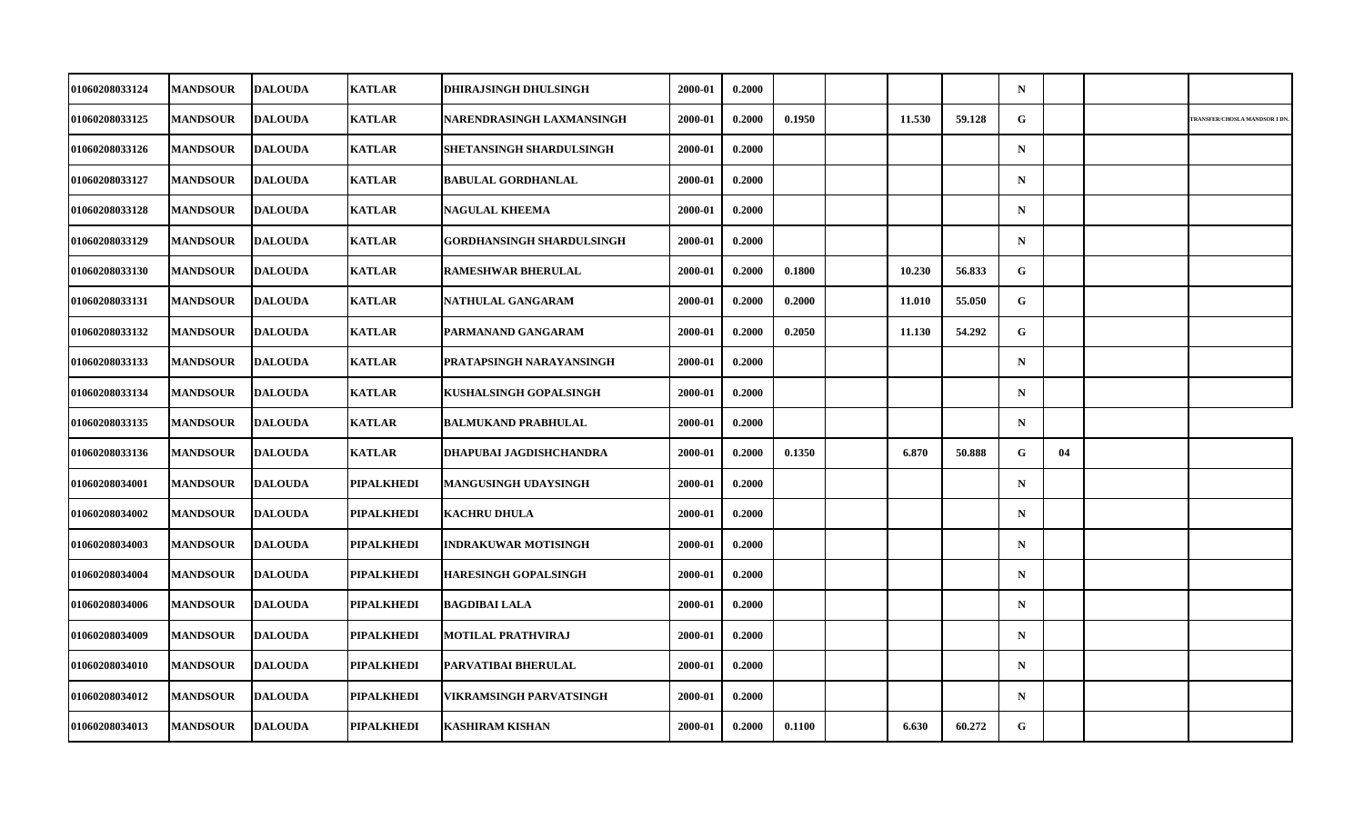| 01060208033124        | <b>MANDSOUR</b> | <b>DALOUDA</b> | <b>KATLAR</b>     | <b>DHIRAJSINGH DHULSINGH</b>     | 2000-01 | 0.2000 |        |        |        | $\mathbf N$ |    |                              |
|-----------------------|-----------------|----------------|-------------------|----------------------------------|---------|--------|--------|--------|--------|-------------|----|------------------------------|
| 01060208033125        | <b>MANDSOUR</b> | <b>DALOUDA</b> | <b>KATLAR</b>     | NARENDRASINGH LAXMANSINGH        | 2000-01 | 0.2000 | 0.1950 | 11.530 | 59.128 | G           |    | TRANSFER/CHOSLA MANDSOR I DN |
| 01060208033126        | <b>MANDSOUR</b> | <b>DALOUDA</b> | <b>KATLAR</b>     | SHETANSINGH SHARDULSINGH         | 2000-01 | 0.2000 |        |        |        | $\mathbf N$ |    |                              |
| <b>01060208033127</b> | <b>MANDSOUR</b> | <b>DALOUDA</b> | <b>KATLAR</b>     | <b>BABULAL GORDHANLAL</b>        | 2000-01 | 0.2000 |        |        |        | $\mathbf N$ |    |                              |
| 01060208033128        | <b>MANDSOUR</b> | <b>DALOUDA</b> | <b>KATLAR</b>     | <b>NAGULAL KHEEMA</b>            | 2000-01 | 0.2000 |        |        |        | $\mathbf N$ |    |                              |
| 01060208033129        | <b>MANDSOUR</b> | <b>DALOUDA</b> | <b>KATLAR</b>     | <b>GORDHANSINGH SHARDULSINGH</b> | 2000-01 | 0.2000 |        |        |        | $\mathbf N$ |    |                              |
| 01060208033130        | <b>MANDSOUR</b> | <b>DALOUDA</b> | <b>KATLAR</b>     | <b>RAMESHWAR BHERULAL</b>        | 2000-01 | 0.2000 | 0.1800 | 10.230 | 56.833 | G.          |    |                              |
| 01060208033131        | <b>MANDSOUR</b> | <b>DALOUDA</b> | <b>KATLAR</b>     | NATHULAL GANGARAM                | 2000-01 | 0.2000 | 0.2000 | 11.010 | 55.050 | G           |    |                              |
| 01060208033132        | <b>MANDSOUR</b> | <b>DALOUDA</b> | <b>KATLAR</b>     | PARMANAND GANGARAM               | 2000-01 | 0.2000 | 0.2050 | 11.130 | 54.292 | G           |    |                              |
| 01060208033133        | <b>MANDSOUR</b> | <b>DALOUDA</b> | <b>KATLAR</b>     | PRATAPSINGH NARAYANSINGH         | 2000-01 | 0.2000 |        |        |        | $\mathbf N$ |    |                              |
| 01060208033134        | <b>MANDSOUR</b> | <b>DALOUDA</b> | <b>KATLAR</b>     | KUSHALSINGH GOPALSINGH           | 2000-01 | 0.2000 |        |        |        | $\mathbf N$ |    |                              |
| 01060208033135        | <b>MANDSOUR</b> | <b>DALOUDA</b> | <b>KATLAR</b>     | <b>BALMUKAND PRABHULAL</b>       | 2000-01 | 0.2000 |        |        |        | $\mathbf N$ |    |                              |
| 01060208033136        | <b>MANDSOUR</b> | <b>DALOUDA</b> | <b>KATLAR</b>     | DHAPUBAI JAGDISHCHANDRA          | 2000-01 | 0.2000 | 0.1350 | 6.870  | 50.888 | G           | 04 |                              |
| 01060208034001        | <b>MANDSOUR</b> | <b>DALOUDA</b> | PIPALKHEDI        | <b>MANGUSINGH UDAYSINGH</b>      | 2000-01 | 0.2000 |        |        |        | $\mathbf N$ |    |                              |
| 01060208034002        | <b>MANDSOUR</b> | <b>DALOUDA</b> | PIPALKHEDI        | <b>KACHRU DHULA</b>              | 2000-01 | 0.2000 |        |        |        | $\mathbf N$ |    |                              |
| 01060208034003        | <b>MANDSOUR</b> | <b>DALOUDA</b> | PIPALKHEDI        | <b>INDRAKUWAR MOTISINGH</b>      | 2000-01 | 0.2000 |        |        |        | $\mathbf N$ |    |                              |
| <b>01060208034004</b> | <b>MANDSOUR</b> | <b>DALOUDA</b> | PIPALKHEDI        | <b>HARESINGH GOPALSINGH</b>      | 2000-01 | 0.2000 |        |        |        | $\mathbf N$ |    |                              |
| 01060208034006        | <b>MANDSOUR</b> | <b>DALOUDA</b> | PIPALKHEDI        | <b>BAGDIBAI LALA</b>             | 2000-01 | 0.2000 |        |        |        | $\mathbf N$ |    |                              |
| 01060208034009        | <b>MANDSOUR</b> | <b>DALOUDA</b> | PIPALKHEDI        | <b>MOTILAL PRATHVIRAJ</b>        | 2000-01 | 0.2000 |        |        |        | $\mathbf N$ |    |                              |
| 01060208034010        | <b>MANDSOUR</b> | <b>DALOUDA</b> | PIPALKHEDI        | PARVATIBAI BHERULAL              | 2000-01 | 0.2000 |        |        |        | $\mathbf N$ |    |                              |
| 01060208034012        | <b>MANDSOUR</b> | <b>DALOUDA</b> | <b>PIPALKHEDI</b> | VIKRAMSINGH PARVATSINGH          | 2000-01 | 0.2000 |        |        |        | $\mathbf N$ |    |                              |
| 01060208034013        | <b>MANDSOUR</b> | <b>DALOUDA</b> | <b>PIPALKHEDI</b> | <b>KASHIRAM KISHAN</b>           | 2000-01 | 0.2000 | 0.1100 | 6.630  | 60.272 | G           |    |                              |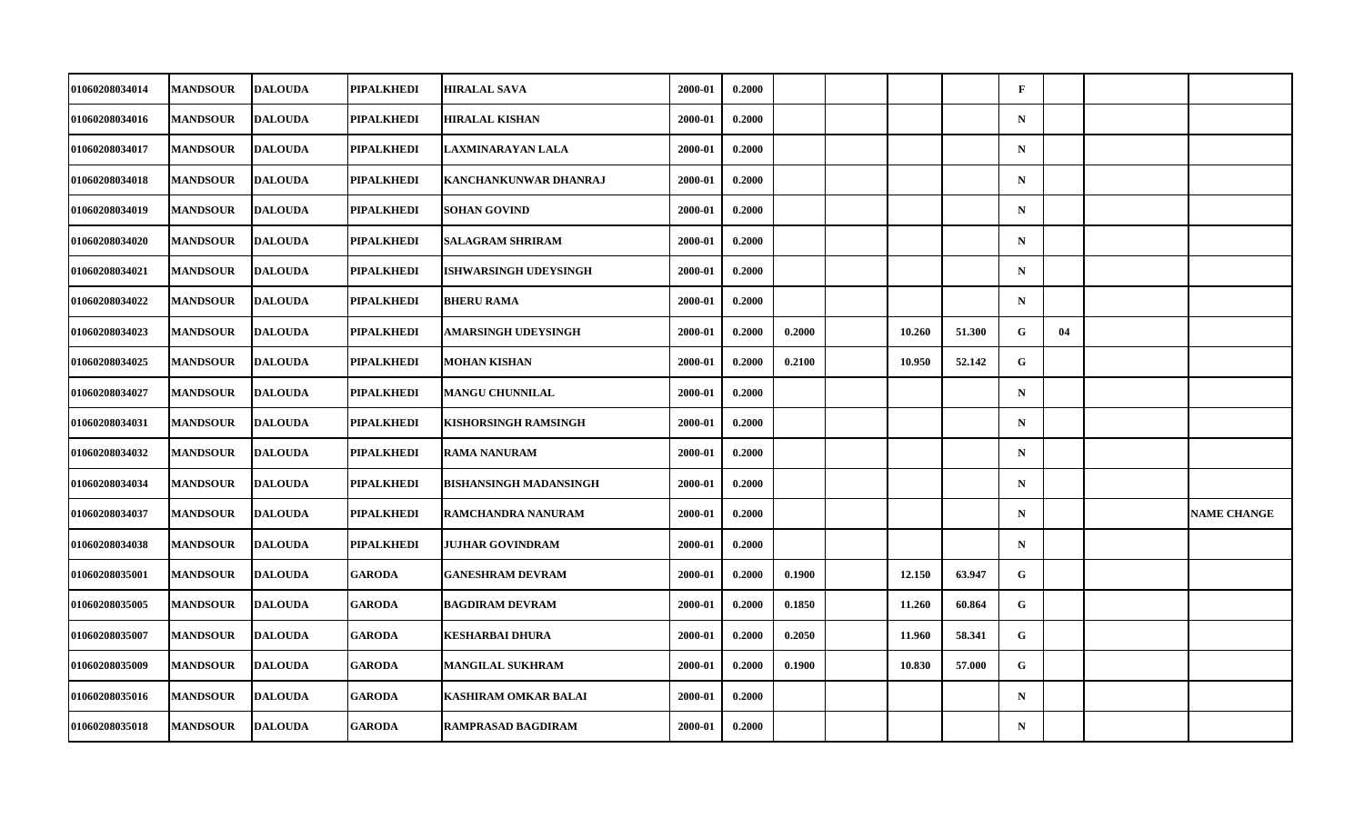| 01060208034014        | <b>MANDSOUR</b> | <b>DALOUDA</b> | PIPALKHEDI        | <b>HIRALAL SAVA</b>           | 2000-01 | 0.2000 |        |        |        | $\mathbf{F}$ |    |                    |
|-----------------------|-----------------|----------------|-------------------|-------------------------------|---------|--------|--------|--------|--------|--------------|----|--------------------|
| 01060208034016        | <b>MANDSOUR</b> | <b>DALOUDA</b> | PIPALKHEDI        | <b>HIRALAL KISHAN</b>         | 2000-01 | 0.2000 |        |        |        | ${\bf N}$    |    |                    |
| 01060208034017        | <b>MANDSOUR</b> | <b>DALOUDA</b> | PIPALKHEDI        | LAXMINARAYAN LALA             | 2000-01 | 0.2000 |        |        |        | $\mathbf N$  |    |                    |
| 01060208034018        | <b>MANDSOUR</b> | <b>DALOUDA</b> | PIPALKHEDI        | KANCHANKUNWAR DHANRAJ         | 2000-01 | 0.2000 |        |        |        | $\mathbf N$  |    |                    |
| 01060208034019        | <b>MANDSOUR</b> | <b>DALOUDA</b> | PIPALKHEDI        | <b>SOHAN GOVIND</b>           | 2000-01 | 0.2000 |        |        |        | $\mathbf N$  |    |                    |
| 01060208034020        | <b>MANDSOUR</b> | <b>DALOUDA</b> | <b>PIPALKHEDI</b> | <b>SALAGRAM SHRIRAM</b>       | 2000-01 | 0.2000 |        |        |        | $\mathbf N$  |    |                    |
| 01060208034021        | <b>MANDSOUR</b> | <b>DALOUDA</b> | PIPALKHEDI        | ISHWARSINGH UDEYSINGH         | 2000-01 | 0.2000 |        |        |        | $\mathbf N$  |    |                    |
| 01060208034022        | <b>MANDSOUR</b> | <b>DALOUDA</b> | PIPALKHEDI        | <b>BHERU RAMA</b>             | 2000-01 | 0.2000 |        |        |        | $\mathbf N$  |    |                    |
| 01060208034023        | <b>MANDSOUR</b> | <b>DALOUDA</b> | PIPALKHEDI        | AMARSINGH UDEYSINGH           | 2000-01 | 0.2000 | 0.2000 | 10.260 | 51.300 | G            | 04 |                    |
| 01060208034025        | <b>MANDSOUR</b> | <b>DALOUDA</b> | PIPALKHEDI        | <b>MOHAN KISHAN</b>           | 2000-01 | 0.2000 | 0.2100 | 10.950 | 52.142 | $\mathbf{G}$ |    |                    |
| 01060208034027        | <b>MANDSOUR</b> | <b>DALOUDA</b> | PIPALKHEDI        | <b>MANGU CHUNNILAL</b>        | 2000-01 | 0.2000 |        |        |        | $\mathbf N$  |    |                    |
| 01060208034031        | <b>MANDSOUR</b> | <b>DALOUDA</b> | PIPALKHEDI        | <b>KISHORSINGH RAMSINGH</b>   | 2000-01 | 0.2000 |        |        |        | $\mathbf N$  |    |                    |
| 01060208034032        | <b>MANDSOUR</b> | <b>DALOUDA</b> | PIPALKHEDI        | <b>RAMA NANURAM</b>           | 2000-01 | 0.2000 |        |        |        | ${\bf N}$    |    |                    |
| 01060208034034        | <b>MANDSOUR</b> | <b>DALOUDA</b> | PIPALKHEDI        | <b>BISHANSINGH MADANSINGH</b> | 2000-01 | 0.2000 |        |        |        | $\mathbf N$  |    |                    |
| 01060208034037        | <b>MANDSOUR</b> | <b>DALOUDA</b> | PIPALKHEDI        | RAMCHANDRA NANURAM            | 2000-01 | 0.2000 |        |        |        | $\mathbf N$  |    | <b>NAME CHANGE</b> |
| 01060208034038        | <b>MANDSOUR</b> | <b>DALOUDA</b> | PIPALKHEDI        | <b>JUJHAR GOVINDRAM</b>       | 2000-01 | 0.2000 |        |        |        | $\mathbf N$  |    |                    |
| <b>01060208035001</b> | <b>MANDSOUR</b> | <b>DALOUDA</b> | <b>GARODA</b>     | <b>GANESHRAM DEVRAM</b>       | 2000-01 | 0.2000 | 0.1900 | 12.150 | 63.947 | G            |    |                    |
| 01060208035005        | <b>MANDSOUR</b> | <b>DALOUDA</b> | <b>GARODA</b>     | <b>BAGDIRAM DEVRAM</b>        | 2000-01 | 0.2000 | 0.1850 | 11.260 | 60.864 | $\mathbf G$  |    |                    |
| 01060208035007        | <b>MANDSOUR</b> | <b>DALOUDA</b> | <b>GARODA</b>     | <b>KESHARBAI DHURA</b>        | 2000-01 | 0.2000 | 0.2050 | 11.960 | 58.341 | G            |    |                    |
| 01060208035009        | <b>MANDSOUR</b> | <b>DALOUDA</b> | <b>GARODA</b>     | <b>MANGILAL SUKHRAM</b>       | 2000-01 | 0.2000 | 0.1900 | 10.830 | 57.000 | G            |    |                    |
| 01060208035016        | <b>MANDSOUR</b> | <b>DALOUDA</b> | <b>GARODA</b>     | KASHIRAM OMKAR BALAI          | 2000-01 | 0.2000 |        |        |        | $\mathbf N$  |    |                    |
| 01060208035018        | <b>MANDSOUR</b> | <b>DALOUDA</b> | <b>GARODA</b>     | <b>RAMPRASAD BAGDIRAM</b>     | 2000-01 | 0.2000 |        |        |        | $\mathbf N$  |    |                    |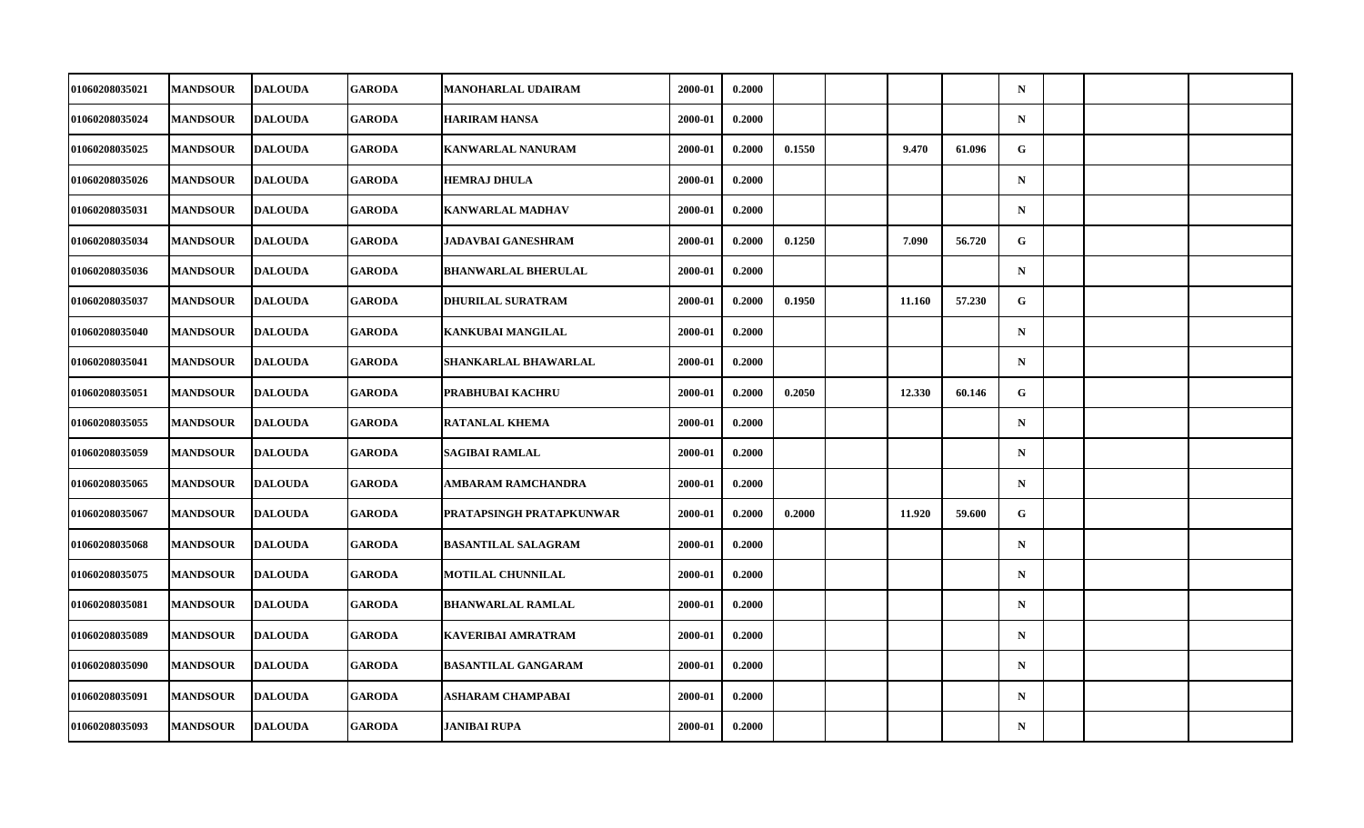| 01060208035021        | <b>MANDSOUR</b> | <b>DALOUDA</b> | <b>GARODA</b> | MANOHARLAL UDAIRAM         | 2000-01 | 0.2000 |        |        |        | $\mathbf N$ |  |  |
|-----------------------|-----------------|----------------|---------------|----------------------------|---------|--------|--------|--------|--------|-------------|--|--|
| 01060208035024        | <b>MANDSOUR</b> | <b>DALOUDA</b> | <b>GARODA</b> | <b>HARIRAM HANSA</b>       | 2000-01 | 0.2000 |        |        |        | ${\bf N}$   |  |  |
| 01060208035025        | <b>MANDSOUR</b> | <b>DALOUDA</b> | <b>GARODA</b> | <b>KANWARLAL NANURAM</b>   | 2000-01 | 0.2000 | 0.1550 | 9.470  | 61.096 | G           |  |  |
| 01060208035026        | <b>MANDSOUR</b> | <b>DALOUDA</b> | <b>GARODA</b> | <b>HEMRAJ DHULA</b>        | 2000-01 | 0.2000 |        |        |        | $\mathbf N$ |  |  |
| 01060208035031        | <b>MANDSOUR</b> | <b>DALOUDA</b> | <b>GARODA</b> | <b>KANWARLAL MADHAV</b>    | 2000-01 | 0.2000 |        |        |        | $\mathbf N$ |  |  |
| 01060208035034        | <b>MANDSOUR</b> | <b>DALOUDA</b> | <b>GARODA</b> | <b>JADAVBAI GANESHRAM</b>  | 2000-01 | 0.2000 | 0.1250 | 7.090  | 56.720 | G           |  |  |
| 01060208035036        | <b>MANDSOUR</b> | <b>DALOUDA</b> | <b>GARODA</b> | <b>BHANWARLAL BHERULAL</b> | 2000-01 | 0.2000 |        |        |        | $\mathbf N$ |  |  |
| 01060208035037        | <b>MANDSOUR</b> | <b>DALOUDA</b> | <b>GARODA</b> | <b>DHURILAL SURATRAM</b>   | 2000-01 | 0.2000 | 0.1950 | 11.160 | 57.230 | G           |  |  |
| 01060208035040        | <b>MANDSOUR</b> | <b>DALOUDA</b> | <b>GARODA</b> | KANKUBAI MANGILAL          | 2000-01 | 0.2000 |        |        |        | $\mathbf N$ |  |  |
| 01060208035041        | <b>MANDSOUR</b> | <b>DALOUDA</b> | <b>GARODA</b> | SHANKARLAL BHAWARLAL       | 2000-01 | 0.2000 |        |        |        | $\mathbf N$ |  |  |
| 01060208035051        | <b>MANDSOUR</b> | <b>DALOUDA</b> | <b>GARODA</b> | PRABHUBAI KACHRU           | 2000-01 | 0.2000 | 0.2050 | 12.330 | 60.146 | G           |  |  |
| 01060208035055        | <b>MANDSOUR</b> | <b>DALOUDA</b> | <b>GARODA</b> | <b>RATANLAL KHEMA</b>      | 2000-01 | 0.2000 |        |        |        | $\mathbf N$ |  |  |
| 01060208035059        | <b>MANDSOUR</b> | <b>DALOUDA</b> | <b>GARODA</b> | <b>SAGIBAI RAMLAL</b>      | 2000-01 | 0.2000 |        |        |        | ${\bf N}$   |  |  |
| 01060208035065        | <b>MANDSOUR</b> | <b>DALOUDA</b> | <b>GARODA</b> | AMBARAM RAMCHANDRA         | 2000-01 | 0.2000 |        |        |        | $\mathbf N$ |  |  |
| 01060208035067        | <b>MANDSOUR</b> | <b>DALOUDA</b> | <b>GARODA</b> | PRATAPSINGH PRATAPKUNWAR   | 2000-01 | 0.2000 | 0.2000 | 11.920 | 59.600 | G           |  |  |
| 01060208035068        | <b>MANDSOUR</b> | <b>DALOUDA</b> | <b>GARODA</b> | <b>BASANTILAL SALAGRAM</b> | 2000-01 | 0.2000 |        |        |        | $\mathbf N$ |  |  |
| <b>01060208035075</b> | <b>MANDSOUR</b> | <b>DALOUDA</b> | <b>GARODA</b> | MOTILAL CHUNNILAL          | 2000-01 | 0.2000 |        |        |        | $\mathbf N$ |  |  |
| 01060208035081        | <b>MANDSOUR</b> | <b>DALOUDA</b> | <b>GARODA</b> | <b>BHANWARLAL RAMLAL</b>   | 2000-01 | 0.2000 |        |        |        | $\mathbf N$ |  |  |
| 01060208035089        | <b>MANDSOUR</b> | <b>DALOUDA</b> | <b>GARODA</b> | <b>KAVERIBAI AMRATRAM</b>  | 2000-01 | 0.2000 |        |        |        | $\mathbf N$ |  |  |
| 01060208035090        | <b>MANDSOUR</b> | <b>DALOUDA</b> | <b>GARODA</b> | <b>BASANTILAL GANGARAM</b> | 2000-01 | 0.2000 |        |        |        | $\mathbf N$ |  |  |
| 01060208035091        | <b>MANDSOUR</b> | <b>DALOUDA</b> | <b>GARODA</b> | <b>ASHARAM CHAMPABAI</b>   | 2000-01 | 0.2000 |        |        |        | $\mathbf N$ |  |  |
| 01060208035093        | <b>MANDSOUR</b> | <b>DALOUDA</b> | <b>GARODA</b> | <b>JANIBAI RUPA</b>        | 2000-01 | 0.2000 |        |        |        | $\mathbf N$ |  |  |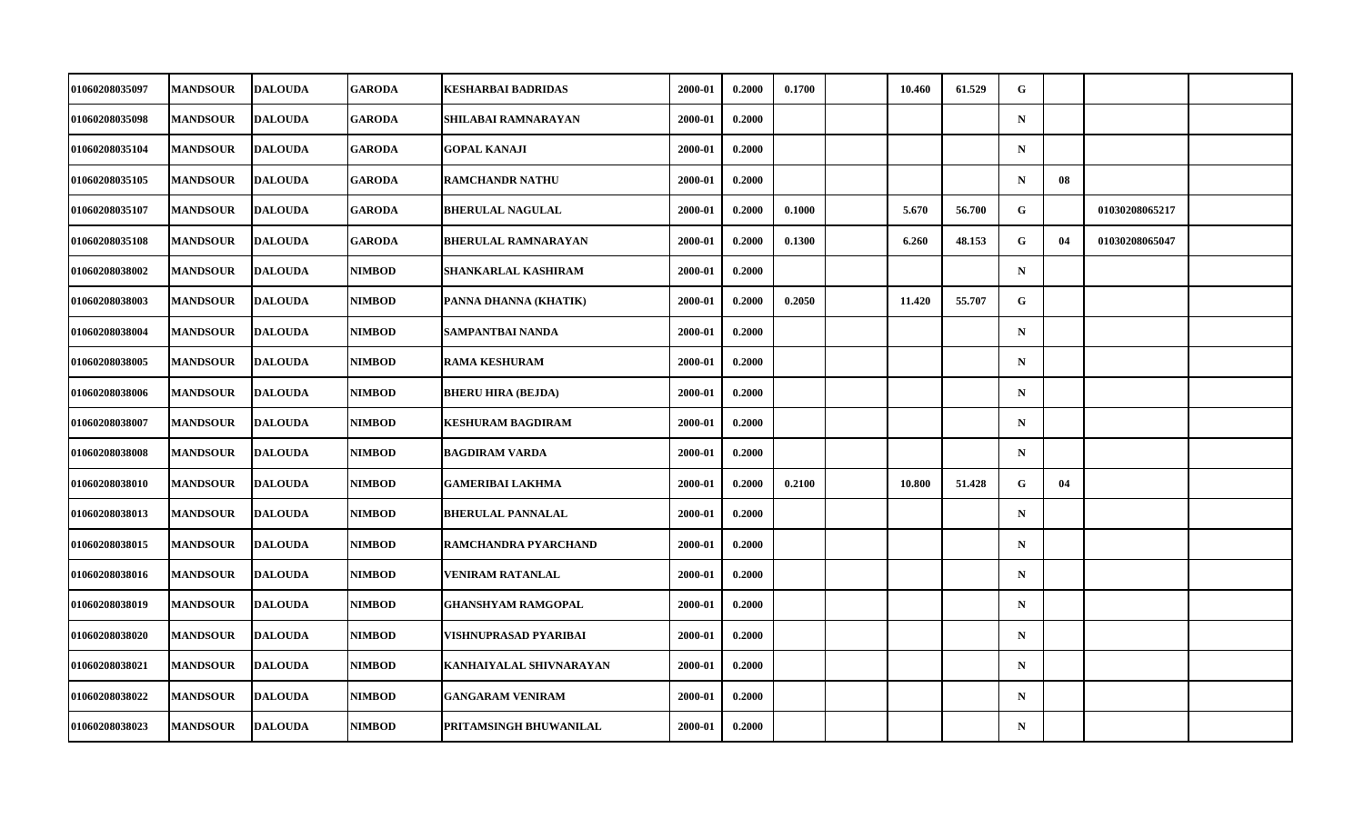| 01060208035097        | <b>MANDSOUR</b> | <b>DALOUDA</b> | GARODA        | KESHARBAI BADRIDAS         | 2000-01 | 0.2000 | 0.1700 | 10.460 | 61.529 | G           |    |                |  |
|-----------------------|-----------------|----------------|---------------|----------------------------|---------|--------|--------|--------|--------|-------------|----|----------------|--|
| 01060208035098        | <b>MANDSOUR</b> | <b>DALOUDA</b> | <b>GARODA</b> | SHILABAI RAMNARAYAN        | 2000-01 | 0.2000 |        |        |        | $\mathbf N$ |    |                |  |
| 01060208035104        | <b>MANDSOUR</b> | <b>DALOUDA</b> | <b>GARODA</b> | <b>GOPAL KANAJI</b>        | 2000-01 | 0.2000 |        |        |        | $\mathbf N$ |    |                |  |
| 01060208035105        | <b>MANDSOUR</b> | <b>DALOUDA</b> | <b>GARODA</b> | <b>RAMCHANDR NATHU</b>     | 2000-01 | 0.2000 |        |        |        | $\mathbf N$ | 08 |                |  |
| 01060208035107        | <b>MANDSOUR</b> | <b>DALOUDA</b> | <b>GARODA</b> | <b>BHERULAL NAGULAL</b>    | 2000-01 | 0.2000 | 0.1000 | 5.670  | 56.700 | G           |    | 01030208065217 |  |
| 01060208035108        | <b>MANDSOUR</b> | <b>DALOUDA</b> | <b>GARODA</b> | <b>BHERULAL RAMNARAYAN</b> | 2000-01 | 0.2000 | 0.1300 | 6.260  | 48.153 | G           | 04 | 01030208065047 |  |
| 01060208038002        | <b>MANDSOUR</b> | <b>DALOUDA</b> | <b>NIMBOD</b> | SHANKARLAL KASHIRAM        | 2000-01 | 0.2000 |        |        |        | $\mathbf N$ |    |                |  |
| <b>01060208038003</b> | <b>MANDSOUR</b> | <b>DALOUDA</b> | <b>NIMBOD</b> | PANNA DHANNA (KHATIK)      | 2000-01 | 0.2000 | 0.2050 | 11.420 | 55.707 | G           |    |                |  |
| 01060208038004        | <b>MANDSOUR</b> | <b>DALOUDA</b> | <b>NIMBOD</b> | SAMPANTBAI NANDA           | 2000-01 | 0.2000 |        |        |        | $\mathbf N$ |    |                |  |
| 01060208038005        | <b>MANDSOUR</b> | <b>DALOUDA</b> | <b>NIMBOD</b> | <b>RAMA KESHURAM</b>       | 2000-01 | 0.2000 |        |        |        | $\mathbf N$ |    |                |  |
| <b>01060208038006</b> | <b>MANDSOUR</b> | <b>DALOUDA</b> | <b>NIMBOD</b> | <b>BHERU HIRA (BEJDA)</b>  | 2000-01 | 0.2000 |        |        |        | $\mathbf N$ |    |                |  |
| 01060208038007        | <b>MANDSOUR</b> | <b>DALOUDA</b> | <b>NIMBOD</b> | <b>KESHURAM BAGDIRAM</b>   | 2000-01 | 0.2000 |        |        |        | $\mathbf N$ |    |                |  |
| 01060208038008        | <b>MANDSOUR</b> | <b>DALOUDA</b> | <b>NIMBOD</b> | <b>BAGDIRAM VARDA</b>      | 2000-01 | 0.2000 |        |        |        | $\mathbf N$ |    |                |  |
| <b>01060208038010</b> | <b>MANDSOUR</b> | <b>DALOUDA</b> | <b>NIMBOD</b> | <b>GAMERIBAI LAKHMA</b>    | 2000-01 | 0.2000 | 0.2100 | 10.800 | 51.428 | G           | 04 |                |  |
| 01060208038013        | <b>MANDSOUR</b> | <b>DALOUDA</b> | <b>NIMBOD</b> | <b>BHERULAL PANNALAL</b>   | 2000-01 | 0.2000 |        |        |        | $\mathbf N$ |    |                |  |
| 01060208038015        | <b>MANDSOUR</b> | <b>DALOUDA</b> | <b>NIMBOD</b> | RAMCHANDRA PYARCHAND       | 2000-01 | 0.2000 |        |        |        | $\mathbf N$ |    |                |  |
| <b>01060208038016</b> | <b>MANDSOUR</b> | <b>DALOUDA</b> | <b>NIMBOD</b> | VENIRAM RATANLAL           | 2000-01 | 0.2000 |        |        |        | $\mathbf N$ |    |                |  |
| 01060208038019        | <b>MANDSOUR</b> | <b>DALOUDA</b> | <b>NIMBOD</b> | <b>GHANSHYAM RAMGOPAL</b>  | 2000-01 | 0.2000 |        |        |        | $\mathbf N$ |    |                |  |
| 01060208038020        | <b>MANDSOUR</b> | <b>DALOUDA</b> | <b>NIMBOD</b> | VISHNUPRASAD PYARIBAI      | 2000-01 | 0.2000 |        |        |        | $\mathbf N$ |    |                |  |
| 01060208038021        | <b>MANDSOUR</b> | <b>DALOUDA</b> | <b>NIMBOD</b> | KANHAIYALAL SHIVNARAYAN    | 2000-01 | 0.2000 |        |        |        | $\mathbf N$ |    |                |  |
| 01060208038022        | <b>MANDSOUR</b> | <b>DALOUDA</b> | <b>NIMBOD</b> | <b>GANGARAM VENIRAM</b>    | 2000-01 | 0.2000 |        |        |        | $\mathbf N$ |    |                |  |
| 01060208038023        | <b>MANDSOUR</b> | <b>DALOUDA</b> | <b>NIMBOD</b> | PRITAMSINGH BHUWANILAL     | 2000-01 | 0.2000 |        |        |        | $\mathbf N$ |    |                |  |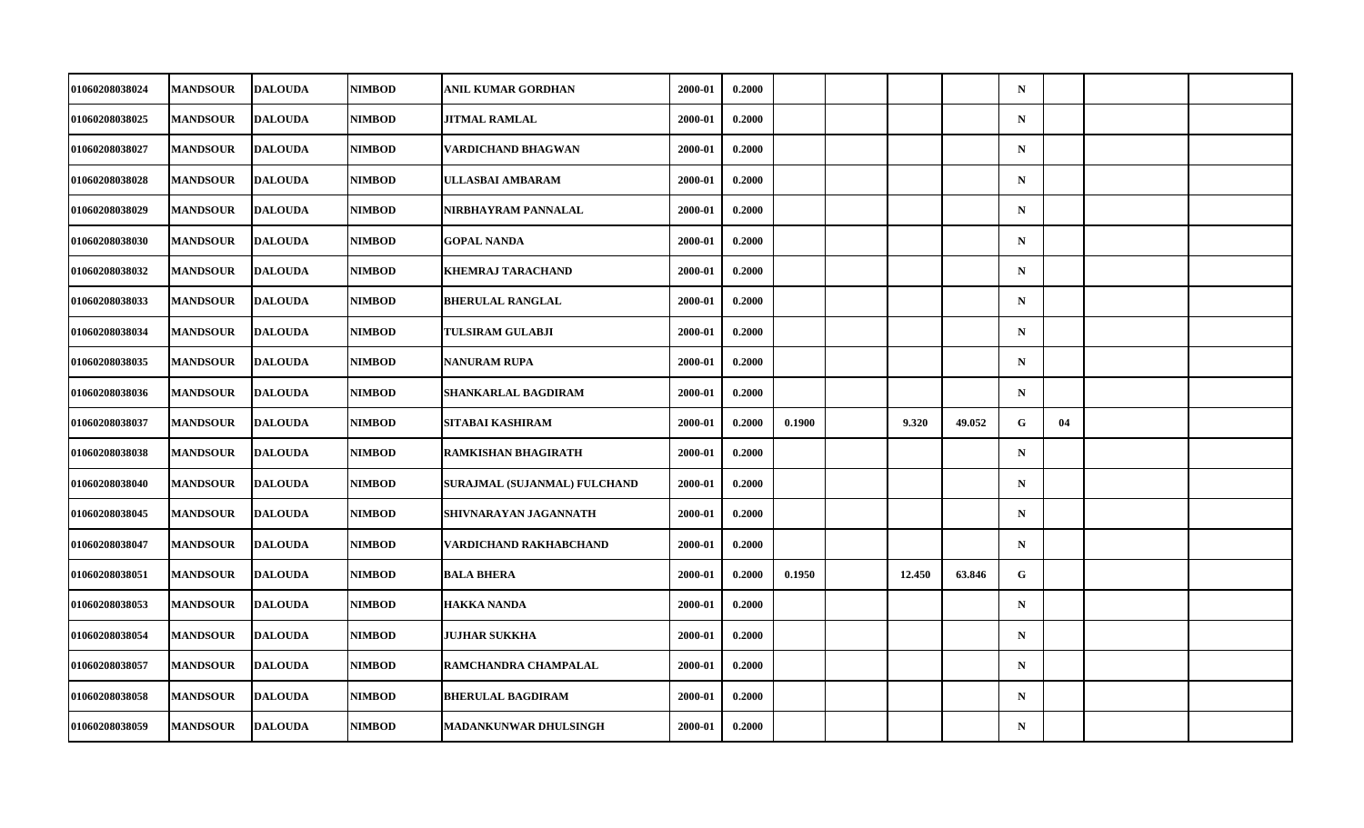| 01060208038024        | <b>MANDSOUR</b> | <b>DALOUDA</b> | <b>NIMBOD</b> | ANIL KUMAR GORDHAN           | 2000-01 | 0.2000 |        |        |        | $\mathbf N$ |    |  |
|-----------------------|-----------------|----------------|---------------|------------------------------|---------|--------|--------|--------|--------|-------------|----|--|
| 01060208038025        | <b>MANDSOUR</b> | <b>DALOUDA</b> | <b>NIMBOD</b> | <b>JITMAL RAMLAL</b>         | 2000-01 | 0.2000 |        |        |        | ${\bf N}$   |    |  |
| 01060208038027        | <b>MANDSOUR</b> | <b>DALOUDA</b> | <b>NIMBOD</b> | VARDICHAND BHAGWAN           | 2000-01 | 0.2000 |        |        |        | $\mathbf N$ |    |  |
| 01060208038028        | <b>MANDSOUR</b> | <b>DALOUDA</b> | <b>NIMBOD</b> | ULLASBAI AMBARAM             | 2000-01 | 0.2000 |        |        |        | $\mathbf N$ |    |  |
| 01060208038029        | <b>MANDSOUR</b> | <b>DALOUDA</b> | <b>NIMBOD</b> | NIRBHAYRAM PANNALAL          | 2000-01 | 0.2000 |        |        |        | $\mathbf N$ |    |  |
| 01060208038030        | <b>MANDSOUR</b> | <b>DALOUDA</b> | <b>NIMBOD</b> | <b>GOPAL NANDA</b>           | 2000-01 | 0.2000 |        |        |        | $\mathbf N$ |    |  |
| 01060208038032        | <b>MANDSOUR</b> | <b>DALOUDA</b> | <b>NIMBOD</b> | <b>KHEMRAJ TARACHAND</b>     | 2000-01 | 0.2000 |        |        |        | $\mathbf N$ |    |  |
| 01060208038033        | <b>MANDSOUR</b> | <b>DALOUDA</b> | <b>NIMBOD</b> | <b>BHERULAL RANGLAL</b>      | 2000-01 | 0.2000 |        |        |        | $\mathbf N$ |    |  |
| 01060208038034        | <b>MANDSOUR</b> | <b>DALOUDA</b> | <b>NIMBOD</b> | <b>TULSIRAM GULABJI</b>      | 2000-01 | 0.2000 |        |        |        | $\mathbf N$ |    |  |
| 01060208038035        | <b>MANDSOUR</b> | <b>DALOUDA</b> | <b>NIMBOD</b> | <b>NANURAM RUPA</b>          | 2000-01 | 0.2000 |        |        |        | $\mathbf N$ |    |  |
| 01060208038036        | <b>MANDSOUR</b> | <b>DALOUDA</b> | <b>NIMBOD</b> | SHANKARLAL BAGDIRAM          | 2000-01 | 0.2000 |        |        |        | $\mathbf N$ |    |  |
| 01060208038037        | <b>MANDSOUR</b> | <b>DALOUDA</b> | <b>NIMBOD</b> | SITABAI KASHIRAM             | 2000-01 | 0.2000 | 0.1900 | 9.320  | 49.052 | G           | 04 |  |
| 01060208038038        | <b>MANDSOUR</b> | <b>DALOUDA</b> | <b>NIMBOD</b> | RAMKISHAN BHAGIRATH          | 2000-01 | 0.2000 |        |        |        | ${\bf N}$   |    |  |
| 01060208038040        | <b>MANDSOUR</b> | <b>DALOUDA</b> | <b>NIMBOD</b> | SURAJMAL (SUJANMAL) FULCHAND | 2000-01 | 0.2000 |        |        |        | $\mathbf N$ |    |  |
| 01060208038045        | <b>MANDSOUR</b> | <b>DALOUDA</b> | <b>NIMBOD</b> | SHIVNARAYAN JAGANNATH        | 2000-01 | 0.2000 |        |        |        | $\mathbf N$ |    |  |
| 01060208038047        | <b>MANDSOUR</b> | <b>DALOUDA</b> | <b>NIMBOD</b> | VARDICHAND RAKHABCHAND       | 2000-01 | 0.2000 |        |        |        | $\mathbf N$ |    |  |
| <b>01060208038051</b> | <b>MANDSOUR</b> | <b>DALOUDA</b> | <b>NIMBOD</b> | <b>BALA BHERA</b>            | 2000-01 | 0.2000 | 0.1950 | 12.450 | 63.846 | G           |    |  |
| 01060208038053        | <b>MANDSOUR</b> | <b>DALOUDA</b> | <b>NIMBOD</b> | <b>HAKKA NANDA</b>           | 2000-01 | 0.2000 |        |        |        | $\mathbf N$ |    |  |
| 01060208038054        | <b>MANDSOUR</b> | <b>DALOUDA</b> | <b>NIMBOD</b> | JUJHAR SUKKHA                | 2000-01 | 0.2000 |        |        |        | $\mathbf N$ |    |  |
| 01060208038057        | <b>MANDSOUR</b> | <b>DALOUDA</b> | <b>NIMBOD</b> | RAMCHANDRA CHAMPALAL         | 2000-01 | 0.2000 |        |        |        | $\mathbf N$ |    |  |
| 01060208038058        | <b>MANDSOUR</b> | <b>DALOUDA</b> | NIMBOD        | <b>BHERULAL BAGDIRAM</b>     | 2000-01 | 0.2000 |        |        |        | $\mathbf N$ |    |  |
| 01060208038059        | <b>MANDSOUR</b> | <b>DALOUDA</b> | <b>NIMBOD</b> | <b>MADANKUNWAR DHULSINGH</b> | 2000-01 | 0.2000 |        |        |        | ${\bf N}$   |    |  |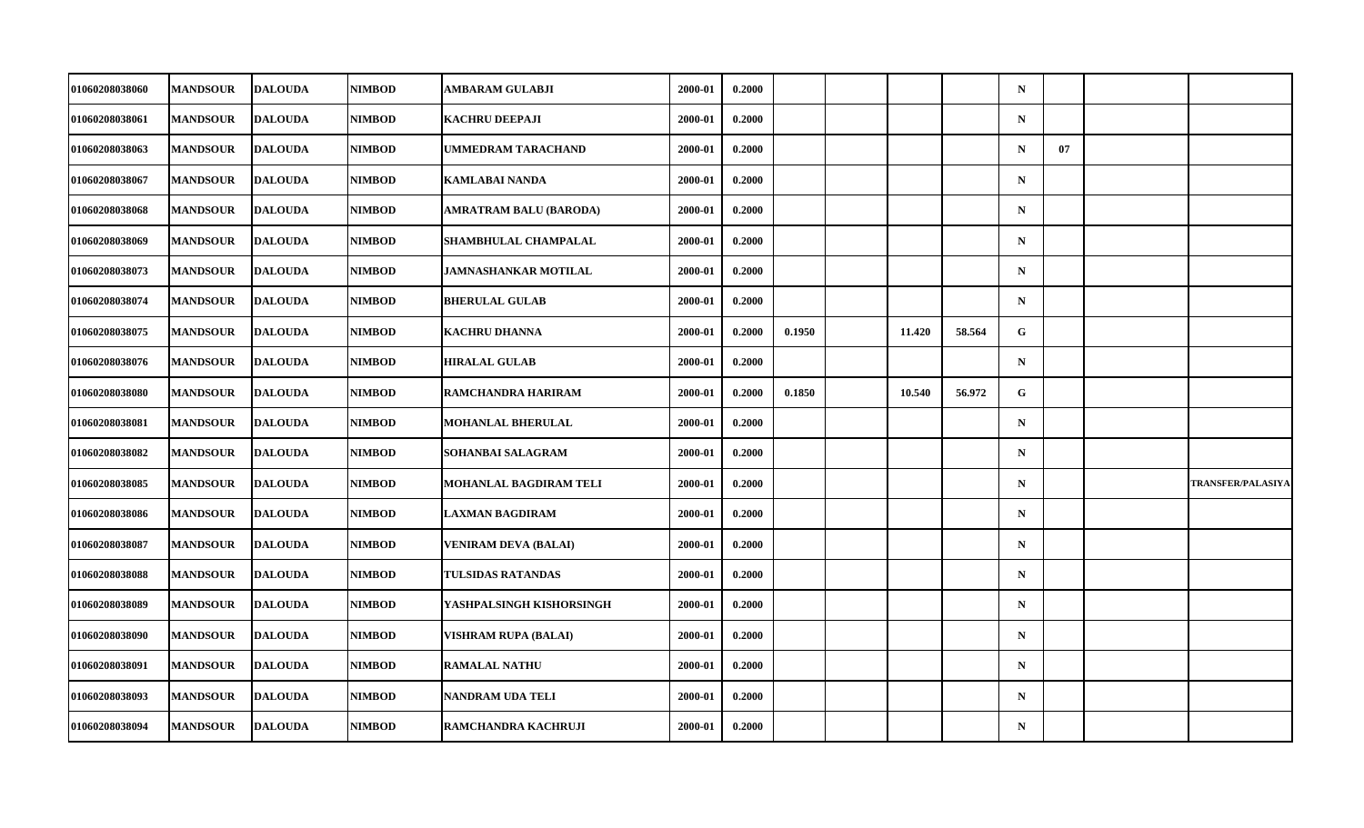| 01060208038060 | <b>MANDSOUR</b> | <b>DALOUDA</b> | <b>NIMBOD</b> | <b>AMBARAM GULABJI</b>        | 2000-01 | 0.2000 |        |        |        | $\mathbf N$ |    |                          |
|----------------|-----------------|----------------|---------------|-------------------------------|---------|--------|--------|--------|--------|-------------|----|--------------------------|
| 01060208038061 | <b>MANDSOUR</b> | <b>DALOUDA</b> | <b>NIMBOD</b> | <b>KACHRU DEEPAJI</b>         | 2000-01 | 0.2000 |        |        |        | $\mathbf N$ |    |                          |
| 01060208038063 | <b>MANDSOUR</b> | <b>DALOUDA</b> | <b>NIMBOD</b> | UMMEDRAM TARACHAND            | 2000-01 | 0.2000 |        |        |        | $\mathbf N$ | 07 |                          |
| 01060208038067 | <b>MANDSOUR</b> | <b>DALOUDA</b> | <b>NIMBOD</b> | <b>KAMLABAI NANDA</b>         | 2000-01 | 0.2000 |        |        |        | $\mathbf N$ |    |                          |
| 01060208038068 | <b>MANDSOUR</b> | <b>DALOUDA</b> | <b>NIMBOD</b> | <b>AMRATRAM BALU (BARODA)</b> | 2000-01 | 0.2000 |        |        |        | $\mathbf N$ |    |                          |
| 01060208038069 | <b>MANDSOUR</b> | <b>DALOUDA</b> | <b>NIMBOD</b> | <b>SHAMBHULAL CHAMPALAL</b>   | 2000-01 | 0.2000 |        |        |        | $\mathbf N$ |    |                          |
| 01060208038073 | <b>MANDSOUR</b> | <b>DALOUDA</b> | <b>NIMBOD</b> | <b>JAMNASHANKAR MOTILAL</b>   | 2000-01 | 0.2000 |        |        |        | $\mathbf N$ |    |                          |
| 01060208038074 | <b>MANDSOUR</b> | <b>DALOUDA</b> | <b>NIMBOD</b> | <b>BHERULAL GULAB</b>         | 2000-01 | 0.2000 |        |        |        | $\mathbf N$ |    |                          |
| 01060208038075 | <b>MANDSOUR</b> | <b>DALOUDA</b> | <b>NIMBOD</b> | <b>KACHRU DHANNA</b>          | 2000-01 | 0.2000 | 0.1950 | 11.420 | 58.564 | G           |    |                          |
| 01060208038076 | <b>MANDSOUR</b> | <b>DALOUDA</b> | <b>NIMBOD</b> | <b>HIRALAL GULAB</b>          | 2000-01 | 0.2000 |        |        |        | $\mathbf N$ |    |                          |
| 01060208038080 | <b>MANDSOUR</b> | <b>DALOUDA</b> | <b>NIMBOD</b> | <b>RAMCHANDRA HARIRAM</b>     | 2000-01 | 0.2000 | 0.1850 | 10.540 | 56.972 | G           |    |                          |
| 01060208038081 | <b>MANDSOUR</b> | <b>DALOUDA</b> | <b>NIMBOD</b> | <b>MOHANLAL BHERULAL</b>      | 2000-01 | 0.2000 |        |        |        | $\mathbf N$ |    |                          |
| 01060208038082 | <b>MANDSOUR</b> | <b>DALOUDA</b> | <b>NIMBOD</b> | <b>SOHANBAI SALAGRAM</b>      | 2000-01 | 0.2000 |        |        |        | $\mathbf N$ |    |                          |
| 01060208038085 | <b>MANDSOUR</b> | <b>DALOUDA</b> | <b>NIMBOD</b> | <b>MOHANLAL BAGDIRAM TELI</b> | 2000-01 | 0.2000 |        |        |        | $\mathbf N$ |    | <b>TRANSFER/PALASIYA</b> |
| 01060208038086 | <b>MANDSOUR</b> | <b>DALOUDA</b> | <b>NIMBOD</b> | <b>LAXMAN BAGDIRAM</b>        | 2000-01 | 0.2000 |        |        |        | $\mathbf N$ |    |                          |
| 01060208038087 | <b>MANDSOUR</b> | <b>DALOUDA</b> | <b>NIMBOD</b> | <b>VENIRAM DEVA (BALAI)</b>   | 2000-01 | 0.2000 |        |        |        | $\mathbf N$ |    |                          |
| 01060208038088 | <b>MANDSOUR</b> | <b>DALOUDA</b> | <b>NIMBOD</b> | <b>TULSIDAS RATANDAS</b>      | 2000-01 | 0.2000 |        |        |        | $\mathbf N$ |    |                          |
| 01060208038089 | <b>MANDSOUR</b> | <b>DALOUDA</b> | <b>NIMBOD</b> | YASHPALSINGH KISHORSINGH      | 2000-01 | 0.2000 |        |        |        | $\mathbf N$ |    |                          |
| 01060208038090 | <b>MANDSOUR</b> | <b>DALOUDA</b> | <b>NIMBOD</b> | <b>VISHRAM RUPA (BALAI)</b>   | 2000-01 | 0.2000 |        |        |        | $\mathbf N$ |    |                          |
| 01060208038091 | <b>MANDSOUR</b> | <b>DALOUDA</b> | <b>NIMBOD</b> | <b>RAMALAL NATHU</b>          | 2000-01 | 0.2000 |        |        |        | $\mathbf N$ |    |                          |
| 01060208038093 | <b>MANDSOUR</b> | <b>DALOUDA</b> | <b>NIMBOD</b> | <b>NANDRAM UDA TELI</b>       | 2000-01 | 0.2000 |        |        |        | $\mathbf N$ |    |                          |
| 01060208038094 | <b>MANDSOUR</b> | <b>DALOUDA</b> | <b>NIMBOD</b> | RAMCHANDRA KACHRUJI           | 2000-01 | 0.2000 |        |        |        | $\mathbf N$ |    |                          |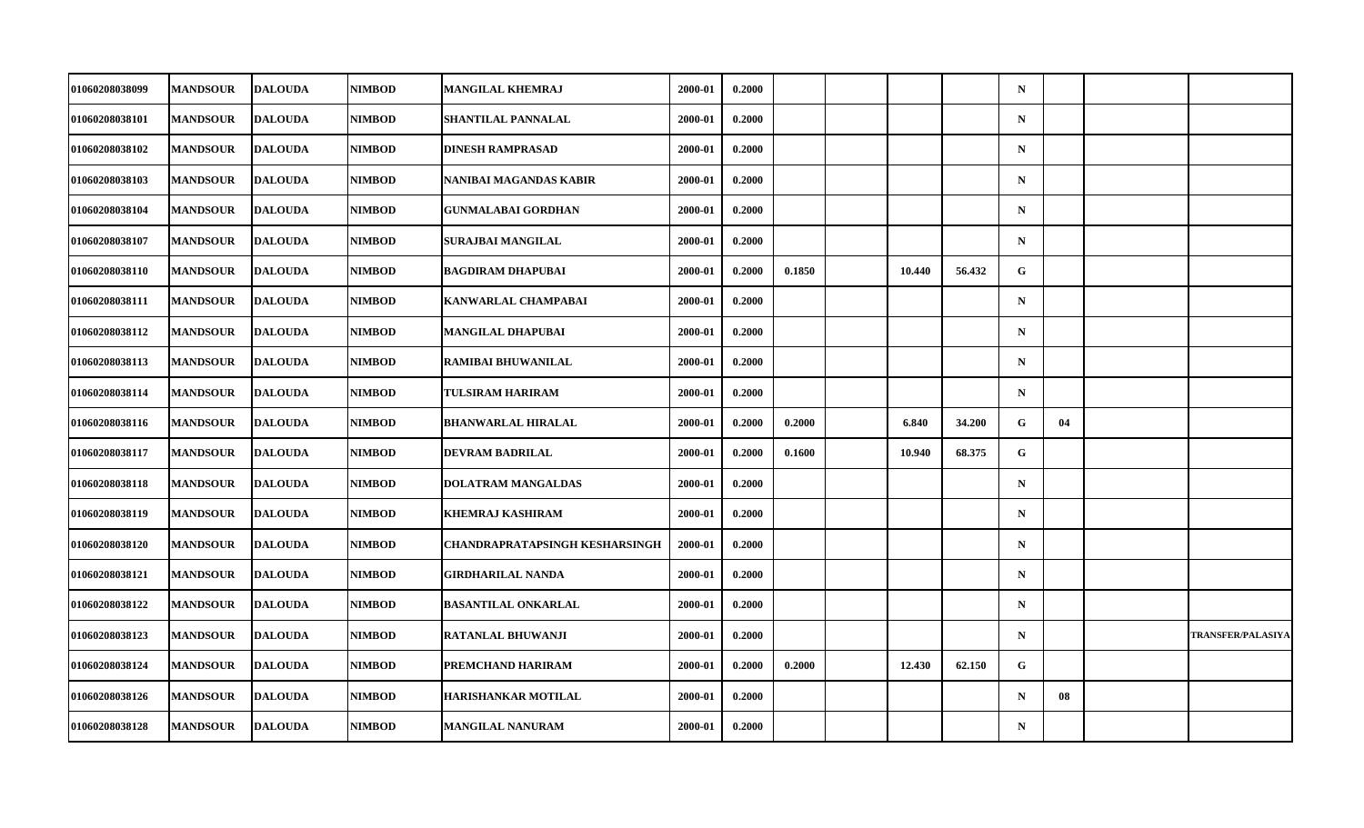| 01060208038099        | <b>MANDSOUR</b> | <b>DALOUDA</b> | <b>NIMBOD</b> | <b>MANGILAL KHEMRAJ</b>               | 2000-01 | 0.2000 |        |        |        | $\mathbf N$ |    |                          |
|-----------------------|-----------------|----------------|---------------|---------------------------------------|---------|--------|--------|--------|--------|-------------|----|--------------------------|
| 01060208038101        | <b>MANDSOUR</b> | <b>DALOUDA</b> | <b>NIMBOD</b> | SHANTILAL PANNALAL                    | 2000-01 | 0.2000 |        |        |        | ${\bf N}$   |    |                          |
| 01060208038102        | <b>MANDSOUR</b> | <b>DALOUDA</b> | <b>NIMBOD</b> | <b>DINESH RAMPRASAD</b>               | 2000-01 | 0.2000 |        |        |        | $\mathbf N$ |    |                          |
| 01060208038103        | <b>MANDSOUR</b> | <b>DALOUDA</b> | <b>NIMBOD</b> | NANIBAI MAGANDAS KABIR                | 2000-01 | 0.2000 |        |        |        | $\mathbf N$ |    |                          |
| 01060208038104        | <b>MANDSOUR</b> | <b>DALOUDA</b> | <b>NIMBOD</b> | <b>GUNMALABAI GORDHAN</b>             | 2000-01 | 0.2000 |        |        |        | $\mathbf N$ |    |                          |
| 01060208038107        | <b>MANDSOUR</b> | <b>DALOUDA</b> | <b>NIMBOD</b> | SURAJBAI MANGILAL                     | 2000-01 | 0.2000 |        |        |        | $\mathbf N$ |    |                          |
| 01060208038110        | <b>MANDSOUR</b> | <b>DALOUDA</b> | <b>NIMBOD</b> | <b>BAGDIRAM DHAPUBAI</b>              | 2000-01 | 0.2000 | 0.1850 | 10.440 | 56.432 | G.          |    |                          |
| 01060208038111        | <b>MANDSOUR</b> | <b>DALOUDA</b> | <b>NIMBOD</b> | KANWARLAL CHAMPABAI                   | 2000-01 | 0.2000 |        |        |        | $\mathbf N$ |    |                          |
| 01060208038112        | <b>MANDSOUR</b> | <b>DALOUDA</b> | <b>NIMBOD</b> | MANGILAL DHAPUBAI                     | 2000-01 | 0.2000 |        |        |        | $\mathbf N$ |    |                          |
| 01060208038113        | <b>MANDSOUR</b> | <b>DALOUDA</b> | <b>NIMBOD</b> | <b>RAMIBAI BHUWANILAL</b>             | 2000-01 | 0.2000 |        |        |        | $\mathbf N$ |    |                          |
| 01060208038114        | <b>MANDSOUR</b> | <b>DALOUDA</b> | <b>NIMBOD</b> | <b>TULSIRAM HARIRAM</b>               | 2000-01 | 0.2000 |        |        |        | $\mathbf N$ |    |                          |
| 01060208038116        | <b>MANDSOUR</b> | <b>DALOUDA</b> | <b>NIMBOD</b> | <b>BHANWARLAL HIRALAL</b>             | 2000-01 | 0.2000 | 0.2000 | 6.840  | 34.200 | G           | 04 |                          |
| 01060208038117        | <b>MANDSOUR</b> | <b>DALOUDA</b> | <b>NIMBOD</b> | DEVRAM BADRILAL                       | 2000-01 | 0.2000 | 0.1600 | 10.940 | 68.375 | G           |    |                          |
| 01060208038118        | <b>MANDSOUR</b> | <b>DALOUDA</b> | <b>NIMBOD</b> | <b>DOLATRAM MANGALDAS</b>             | 2000-01 | 0.2000 |        |        |        | $\mathbf N$ |    |                          |
| <b>01060208038119</b> | <b>MANDSOUR</b> | <b>DALOUDA</b> | <b>NIMBOD</b> | KHEMRAJ KASHIRAM                      | 2000-01 | 0.2000 |        |        |        | $\mathbf N$ |    |                          |
| <b>01060208038120</b> | <b>MANDSOUR</b> | <b>DALOUDA</b> | <b>NIMBOD</b> | <b>CHANDRAPRATAPSINGH KESHARSINGH</b> | 2000-01 | 0.2000 |        |        |        | $\mathbf N$ |    |                          |
| <b>01060208038121</b> | <b>MANDSOUR</b> | <b>DALOUDA</b> | <b>NIMBOD</b> | GIRDHARILAL NANDA                     | 2000-01 | 0.2000 |        |        |        | $\mathbf N$ |    |                          |
| 01060208038122        | <b>MANDSOUR</b> | <b>DALOUDA</b> | <b>NIMBOD</b> | <b>BASANTILAL ONKARLAL</b>            | 2000-01 | 0.2000 |        |        |        | $\mathbf N$ |    |                          |
| 01060208038123        | <b>MANDSOUR</b> | <b>DALOUDA</b> | <b>NIMBOD</b> | RATANLAL BHUWANJI                     | 2000-01 | 0.2000 |        |        |        | $\mathbf N$ |    | <b>TRANSFER/PALASIYA</b> |
| 01060208038124        | <b>MANDSOUR</b> | <b>DALOUDA</b> | <b>NIMBOD</b> | PREMCHAND HARIRAM                     | 2000-01 | 0.2000 | 0.2000 | 12.430 | 62.150 | G           |    |                          |
| 01060208038126        | <b>MANDSOUR</b> | <b>DALOUDA</b> | <b>NIMBOD</b> | <b>HARISHANKAR MOTILAL</b>            | 2000-01 | 0.2000 |        |        |        | $\mathbf N$ | 08 |                          |
| 01060208038128        | <b>MANDSOUR</b> | <b>DALOUDA</b> | <b>NIMBOD</b> | <b>MANGILAL NANURAM</b>               | 2000-01 | 0.2000 |        |        |        | $\mathbf N$ |    |                          |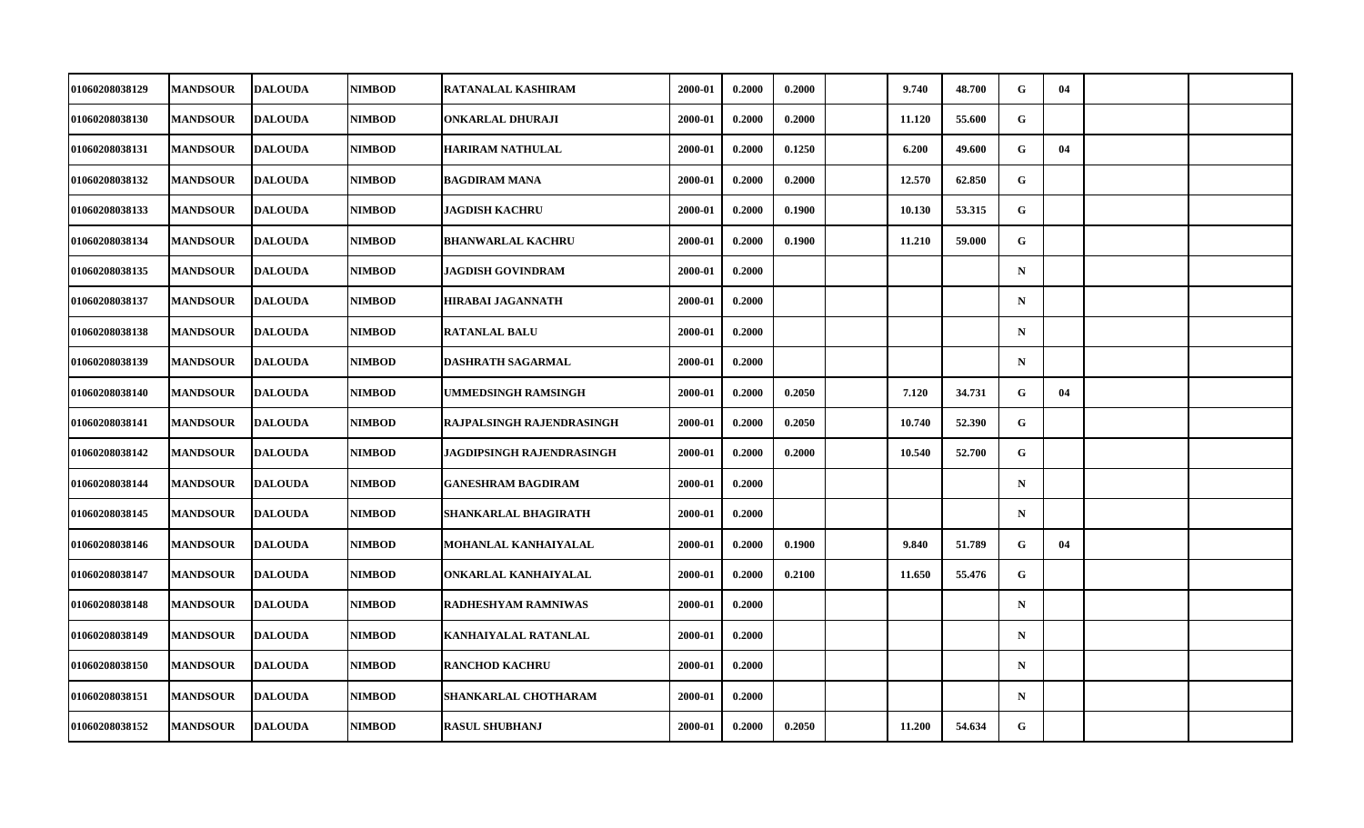| 01060208038129 | <b>MANDSOUR</b> | <b>DALOUDA</b> | NIMBOD        | RATANALAL KASHIRAM               | 2000-01 | 0.2000 | 0.2000 | 9.740  | 48.700 | G           | 04 |  |
|----------------|-----------------|----------------|---------------|----------------------------------|---------|--------|--------|--------|--------|-------------|----|--|
| 01060208038130 | <b>MANDSOUR</b> | <b>DALOUDA</b> | <b>NIMBOD</b> | <b>ONKARLAL DHURAJI</b>          | 2000-01 | 0.2000 | 0.2000 | 11.120 | 55.600 | $\mathbf G$ |    |  |
| 01060208038131 | <b>MANDSOUR</b> | <b>DALOUDA</b> | <b>NIMBOD</b> | <b>HARIRAM NATHULAL</b>          | 2000-01 | 0.2000 | 0.1250 | 6.200  | 49.600 | G           | 04 |  |
| 01060208038132 | <b>MANDSOUR</b> | <b>DALOUDA</b> | <b>NIMBOD</b> | <b>BAGDIRAM MANA</b>             | 2000-01 | 0.2000 | 0.2000 | 12.570 | 62.850 | G           |    |  |
| 01060208038133 | <b>MANDSOUR</b> | <b>DALOUDA</b> | <b>NIMBOD</b> | <b>JAGDISH KACHRU</b>            | 2000-01 | 0.2000 | 0.1900 | 10.130 | 53.315 | G           |    |  |
| 01060208038134 | <b>MANDSOUR</b> | <b>DALOUDA</b> | <b>NIMBOD</b> | <b>BHANWARLAL KACHRU</b>         | 2000-01 | 0.2000 | 0.1900 | 11.210 | 59.000 | G           |    |  |
| 01060208038135 | <b>MANDSOUR</b> | <b>DALOUDA</b> | <b>NIMBOD</b> | <b>JAGDISH GOVINDRAM</b>         | 2000-01 | 0.2000 |        |        |        | $\mathbf N$ |    |  |
| 01060208038137 | <b>MANDSOUR</b> | <b>DALOUDA</b> | <b>NIMBOD</b> | <b>HIRABAI JAGANNATH</b>         | 2000-01 | 0.2000 |        |        |        | $\mathbf N$ |    |  |
| 01060208038138 | <b>MANDSOUR</b> | <b>DALOUDA</b> | <b>NIMBOD</b> | <b>RATANLAL BALU</b>             | 2000-01 | 0.2000 |        |        |        | $\mathbf N$ |    |  |
| 01060208038139 | <b>MANDSOUR</b> | <b>DALOUDA</b> | NIMBOD        | <b>DASHRATH SAGARMAL</b>         | 2000-01 | 0.2000 |        |        |        | $\mathbf N$ |    |  |
| 01060208038140 | <b>MANDSOUR</b> | <b>DALOUDA</b> | <b>NIMBOD</b> | UMMEDSINGH RAMSINGH              | 2000-01 | 0.2000 | 0.2050 | 7.120  | 34.731 | G           | 04 |  |
| 01060208038141 | <b>MANDSOUR</b> | <b>DALOUDA</b> | NIMBOD        | RAJPALSINGH RAJENDRASINGH        | 2000-01 | 0.2000 | 0.2050 | 10.740 | 52.390 | G           |    |  |
| 01060208038142 | <b>MANDSOUR</b> | <b>DALOUDA</b> | <b>NIMBOD</b> | <b>JAGDIPSINGH RAJENDRASINGH</b> | 2000-01 | 0.2000 | 0.2000 | 10.540 | 52.700 | $\mathbf G$ |    |  |
| 01060208038144 | <b>MANDSOUR</b> | <b>DALOUDA</b> | NIMBOD        | <b>GANESHRAM BAGDIRAM</b>        | 2000-01 | 0.2000 |        |        |        | $\mathbf N$ |    |  |
| 01060208038145 | <b>MANDSOUR</b> | <b>DALOUDA</b> | <b>NIMBOD</b> | SHANKARLAL BHAGIRATH             | 2000-01 | 0.2000 |        |        |        | $\mathbf N$ |    |  |
| 01060208038146 | <b>MANDSOUR</b> | <b>DALOUDA</b> | <b>NIMBOD</b> | MOHANLAL KANHAIYALAL             | 2000-01 | 0.2000 | 0.1900 | 9.840  | 51.789 | G           | 04 |  |
| 01060208038147 | <b>MANDSOUR</b> | <b>DALOUDA</b> | NIMBOD        | ONKARLAL KANHAIYALAL             | 2000-01 | 0.2000 | 0.2100 | 11.650 | 55,476 | G           |    |  |
| 01060208038148 | <b>MANDSOUR</b> | <b>DALOUDA</b> | NIMBOD        | <b>RADHESHYAM RAMNIWAS</b>       | 2000-01 | 0.2000 |        |        |        | $\mathbf N$ |    |  |
| 01060208038149 | <b>MANDSOUR</b> | <b>DALOUDA</b> | <b>NIMBOD</b> | KANHAIYALAL RATANLAL             | 2000-01 | 0.2000 |        |        |        | $\mathbf N$ |    |  |
| 01060208038150 | <b>MANDSOUR</b> | <b>DALOUDA</b> | NIMBOD        | <b>RANCHOD KACHRU</b>            | 2000-01 | 0.2000 |        |        |        | $\mathbf N$ |    |  |
| 01060208038151 | <b>MANDSOUR</b> | <b>DALOUDA</b> | NIMBOD        | SHANKARLAL CHOTHARAM             | 2000-01 | 0.2000 |        |        |        | $\mathbf N$ |    |  |
| 01060208038152 | <b>MANDSOUR</b> | <b>DALOUDA</b> | NIMBOD        | <b>RASUL SHUBHANJ</b>            | 2000-01 | 0.2000 | 0.2050 | 11.200 | 54.634 | G           |    |  |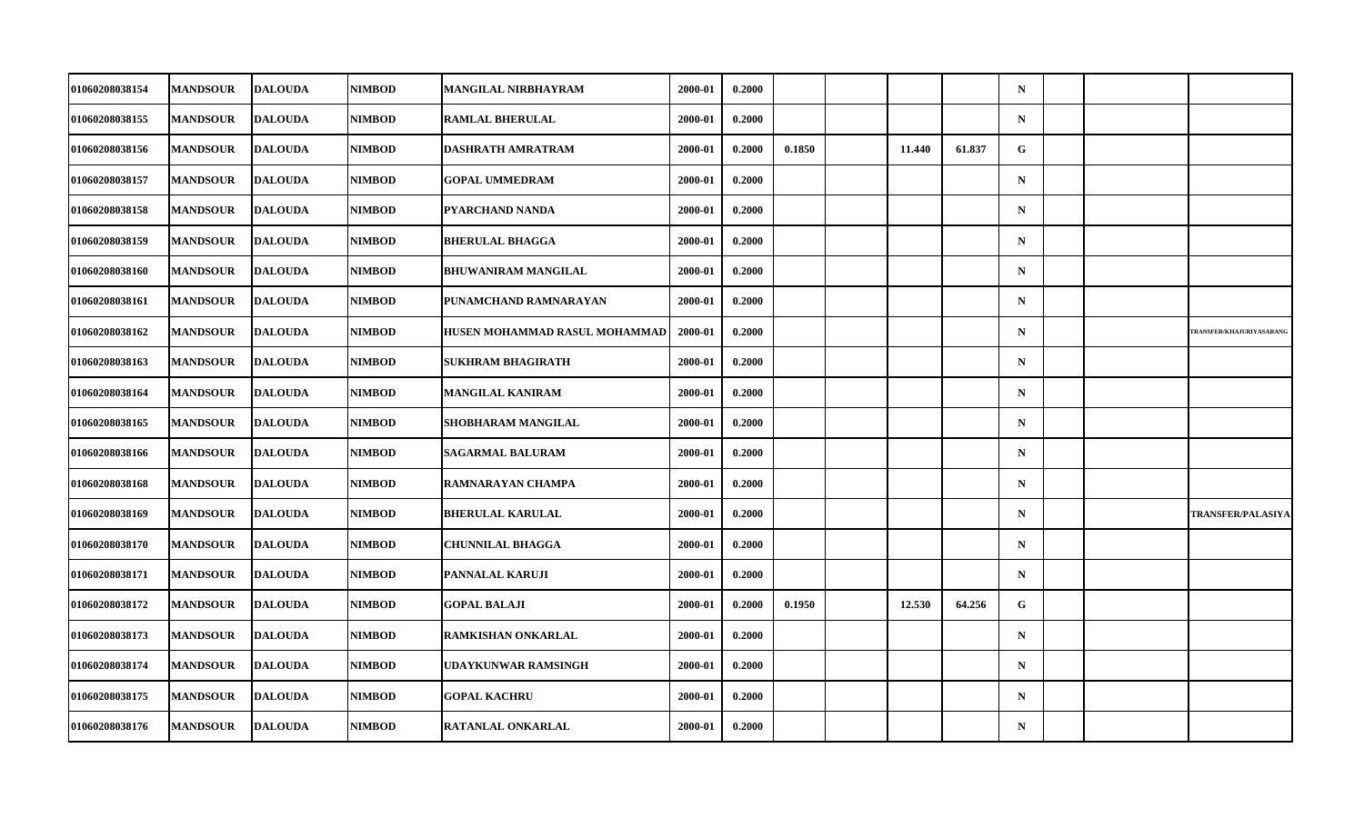| 01060208038154        | <b>MANDSOUR</b> | <b>DALOUDA</b> | <b>NIMBOD</b> | MANGILAL NIRBHAYRAM           | 2000-01 | 0.2000 |        |        |        | $\mathbf N$ |  |                          |
|-----------------------|-----------------|----------------|---------------|-------------------------------|---------|--------|--------|--------|--------|-------------|--|--------------------------|
| 01060208038155        | <b>MANDSOUR</b> | <b>DALOUDA</b> | <b>NIMBOD</b> | <b>RAMLAL BHERULAL</b>        | 2000-01 | 0.2000 |        |        |        | ${\bf N}$   |  |                          |
| 01060208038156        | <b>MANDSOUR</b> | <b>DALOUDA</b> | <b>NIMBOD</b> | DASHRATH AMRATRAM             | 2000-01 | 0.2000 | 0.1850 | 11.440 | 61.837 | G           |  |                          |
| 01060208038157        | <b>MANDSOUR</b> | <b>DALOUDA</b> | <b>NIMBOD</b> | <b>GOPAL UMMEDRAM</b>         | 2000-01 | 0.2000 |        |        |        | $\mathbf N$ |  |                          |
| 01060208038158        | <b>MANDSOUR</b> | <b>DALOUDA</b> | <b>NIMBOD</b> | PYARCHAND NANDA               | 2000-01 | 0.2000 |        |        |        | $\mathbf N$ |  |                          |
| 01060208038159        | <b>MANDSOUR</b> | <b>DALOUDA</b> | <b>NIMBOD</b> | <b>BHERULAL BHAGGA</b>        | 2000-01 | 0.2000 |        |        |        | $\mathbf N$ |  |                          |
| 01060208038160        | <b>MANDSOUR</b> | <b>DALOUDA</b> | <b>NIMBOD</b> | <b>BHUWANIRAM MANGILAL</b>    | 2000-01 | 0.2000 |        |        |        | $\mathbf N$ |  |                          |
| 01060208038161        | <b>MANDSOUR</b> | <b>DALOUDA</b> | <b>NIMBOD</b> | PUNAMCHAND RAMNARAYAN         | 2000-01 | 0.2000 |        |        |        | $\mathbf N$ |  |                          |
| 01060208038162        | <b>MANDSOUR</b> | <b>DALOUDA</b> | <b>NIMBOD</b> | HUSEN MOHAMMAD RASUL MOHAMMAD | 2000-01 | 0.2000 |        |        |        | $\mathbf N$ |  | TRANSFER/KHAJURIYASARANG |
| 01060208038163        | <b>MANDSOUR</b> | <b>DALOUDA</b> | <b>NIMBOD</b> | <b>SUKHRAM BHAGIRATH</b>      | 2000-01 | 0.2000 |        |        |        | $\mathbf N$ |  |                          |
| 01060208038164        | <b>MANDSOUR</b> | <b>DALOUDA</b> | <b>NIMBOD</b> | <b>MANGILAL KANIRAM</b>       | 2000-01 | 0.2000 |        |        |        | $\mathbf N$ |  |                          |
| 01060208038165        | <b>MANDSOUR</b> | <b>DALOUDA</b> | <b>NIMBOD</b> | SHOBHARAM MANGILAL            | 2000-01 | 0.2000 |        |        |        | $\mathbf N$ |  |                          |
| 01060208038166        | <b>MANDSOUR</b> | <b>DALOUDA</b> | <b>NIMBOD</b> | <b>SAGARMAL BALURAM</b>       | 2000-01 | 0.2000 |        |        |        | ${\bf N}$   |  |                          |
| 01060208038168        | <b>MANDSOUR</b> | <b>DALOUDA</b> | <b>NIMBOD</b> | RAMNARAYAN CHAMPA             | 2000-01 | 0.2000 |        |        |        | $\mathbf N$ |  |                          |
| 01060208038169        | <b>MANDSOUR</b> | <b>DALOUDA</b> | <b>NIMBOD</b> | <b>BHERULAL KARULAL</b>       | 2000-01 | 0.2000 |        |        |        | $\mathbf N$ |  | <b>TRANSFER/PALASIYA</b> |
| <b>01060208038170</b> | <b>MANDSOUR</b> | <b>DALOUDA</b> | <b>NIMBOD</b> | <b>CHUNNILAL BHAGGA</b>       | 2000-01 | 0.2000 |        |        |        | $\mathbf N$ |  |                          |
| <b>01060208038171</b> | <b>MANDSOUR</b> | <b>DALOUDA</b> | <b>NIMBOD</b> | PANNALAL KARUJI               | 2000-01 | 0.2000 |        |        |        | $\mathbf N$ |  |                          |
| 01060208038172        | <b>MANDSOUR</b> | <b>DALOUDA</b> | <b>NIMBOD</b> | <b>GOPAL BALAJI</b>           | 2000-01 | 0.2000 | 0.1950 | 12.530 | 64.256 | $\mathbf G$ |  |                          |
| 01060208038173        | <b>MANDSOUR</b> | <b>DALOUDA</b> | <b>NIMBOD</b> | RAMKISHAN ONKARLAL            | 2000-01 | 0.2000 |        |        |        | $\mathbf N$ |  |                          |
| 01060208038174        | <b>MANDSOUR</b> | <b>DALOUDA</b> | <b>NIMBOD</b> | UDAYKUNWAR RAMSINGH           | 2000-01 | 0.2000 |        |        |        | $\mathbf N$ |  |                          |
| 01060208038175        | <b>MANDSOUR</b> | <b>DALOUDA</b> | <b>NIMBOD</b> | <b>GOPAL KACHRU</b>           | 2000-01 | 0.2000 |        |        |        | $\mathbf N$ |  |                          |
| 01060208038176        | <b>MANDSOUR</b> | <b>DALOUDA</b> | <b>NIMBOD</b> | RATANLAL ONKARLAL             | 2000-01 | 0.2000 |        |        |        | $\mathbf N$ |  |                          |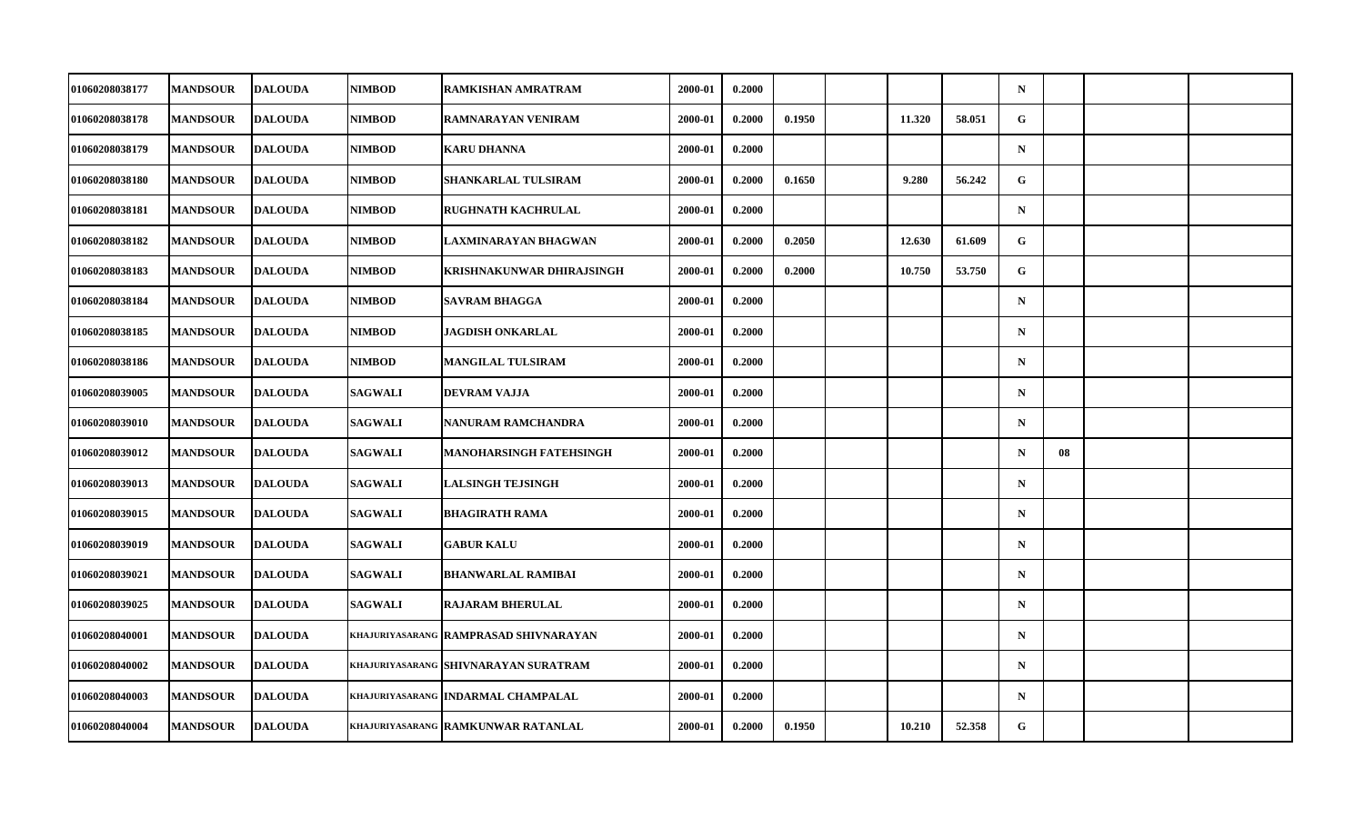| 01060208038177 | <b>MANDSOUR</b> | <b>DALOUDA</b> | <b>NIMBOD</b>  | RAMKISHAN AMRATRAM                             | 2000-01 | 0.2000 |        |        |        | $\mathbf N$ |    |  |
|----------------|-----------------|----------------|----------------|------------------------------------------------|---------|--------|--------|--------|--------|-------------|----|--|
| 01060208038178 | <b>MANDSOUR</b> | <b>DALOUDA</b> | <b>NIMBOD</b>  | RAMNARAYAN VENIRAM                             | 2000-01 | 0.2000 | 0.1950 | 11.320 | 58.051 | $\mathbf G$ |    |  |
| 01060208038179 | <b>MANDSOUR</b> | <b>DALOUDA</b> | <b>NIMBOD</b>  | <b>KARU DHANNA</b>                             | 2000-01 | 0.2000 |        |        |        | $\mathbf N$ |    |  |
| 01060208038180 | <b>MANDSOUR</b> | <b>DALOUDA</b> | <b>NIMBOD</b>  | SHANKARLAL TULSIRAM                            | 2000-01 | 0.2000 | 0.1650 | 9.280  | 56.242 | G           |    |  |
| 01060208038181 | <b>MANDSOUR</b> | <b>DALOUDA</b> | <b>NIMBOD</b>  | <b>RUGHNATH KACHRULAL</b>                      | 2000-01 | 0.2000 |        |        |        | $\mathbf N$ |    |  |
| 01060208038182 | <b>MANDSOUR</b> | <b>DALOUDA</b> | <b>NIMBOD</b>  | LAXMINARAYAN BHAGWAN                           | 2000-01 | 0.2000 | 0.2050 | 12.630 | 61.609 | G           |    |  |
| 01060208038183 | <b>MANDSOUR</b> | <b>DALOUDA</b> | <b>NIMBOD</b>  | KRISHNAKUNWAR DHIRAJSINGH                      | 2000-01 | 0.2000 | 0.2000 | 10.750 | 53.750 | G           |    |  |
| 01060208038184 | <b>MANDSOUR</b> | <b>DALOUDA</b> | <b>NIMBOD</b>  | <b>SAVRAM BHAGGA</b>                           | 2000-01 | 0.2000 |        |        |        | $\mathbf N$ |    |  |
| 01060208038185 | <b>MANDSOUR</b> | <b>DALOUDA</b> | <b>NIMBOD</b>  | <b>JAGDISH ONKARLAL</b>                        | 2000-01 | 0.2000 |        |        |        | $\mathbf N$ |    |  |
| 01060208038186 | <b>MANDSOUR</b> | <b>DALOUDA</b> | <b>NIMBOD</b>  | <b>MANGILAL TULSIRAM</b>                       | 2000-01 | 0.2000 |        |        |        | $\mathbf N$ |    |  |
| 01060208039005 | <b>MANDSOUR</b> | <b>DALOUDA</b> | <b>SAGWALI</b> | DEVRAM VAJJA                                   | 2000-01 | 0.2000 |        |        |        | $\mathbf N$ |    |  |
| 01060208039010 | <b>MANDSOUR</b> | <b>DALOUDA</b> | <b>SAGWALI</b> | <b>NANURAM RAMCHANDRA</b>                      | 2000-01 | 0.2000 |        |        |        | $\mathbf N$ |    |  |
| 01060208039012 | <b>MANDSOUR</b> | <b>DALOUDA</b> | <b>SAGWALI</b> | <b>MANOHARSINGH FATEHSINGH</b>                 | 2000-01 | 0.2000 |        |        |        | $\mathbf N$ | 08 |  |
| 01060208039013 | <b>MANDSOUR</b> | <b>DALOUDA</b> | <b>SAGWALI</b> | <b>LALSINGH TEJSINGH</b>                       | 2000-01 | 0.2000 |        |        |        | $\mathbf N$ |    |  |
| 01060208039015 | <b>MANDSOUR</b> | <b>DALOUDA</b> | <b>SAGWALI</b> | <b>BHAGIRATH RAMA</b>                          | 2000-01 | 0.2000 |        |        |        | $\mathbf N$ |    |  |
| 01060208039019 | <b>MANDSOUR</b> | <b>DALOUDA</b> | <b>SAGWALI</b> | <b>GABUR KALU</b>                              | 2000-01 | 0.2000 |        |        |        | $\mathbf N$ |    |  |
| 01060208039021 | <b>MANDSOUR</b> | <b>DALOUDA</b> | <b>SAGWALI</b> | <b>BHANWARLAL RAMIBAI</b>                      | 2000-01 | 0.2000 |        |        |        | $\mathbf N$ |    |  |
| 01060208039025 | <b>MANDSOUR</b> | <b>DALOUDA</b> | <b>SAGWALI</b> | <b>RAJARAM BHERULAL</b>                        | 2000-01 | 0.2000 |        |        |        | $\mathbf N$ |    |  |
| 01060208040001 | <b>MANDSOUR</b> | <b>DALOUDA</b> |                | khajuriyasarang <b>  RAMPRASAD SHIVNARAYAN</b> | 2000-01 | 0.2000 |        |        |        | $\mathbf N$ |    |  |
| 01060208040002 | <b>MANDSOUR</b> | <b>DALOUDA</b> |                | khajuriyasarang <b>Shivnarayan Suratram</b>    | 2000-01 | 0.2000 |        |        |        | $\mathbf N$ |    |  |
| 01060208040003 | <b>MANDSOUR</b> | <b>DALOUDA</b> |                | KHAJURIYASARANG INDARMAL CHAMPALAL             | 2000-01 | 0.2000 |        |        |        | $\mathbf N$ |    |  |
| 01060208040004 | <b>MANDSOUR</b> | <b>DALOUDA</b> |                | <b>KHAJURIYASARANG RAMKUNWAR RATANLAL</b>      | 2000-01 | 0.2000 | 0.1950 | 10.210 | 52.358 | G           |    |  |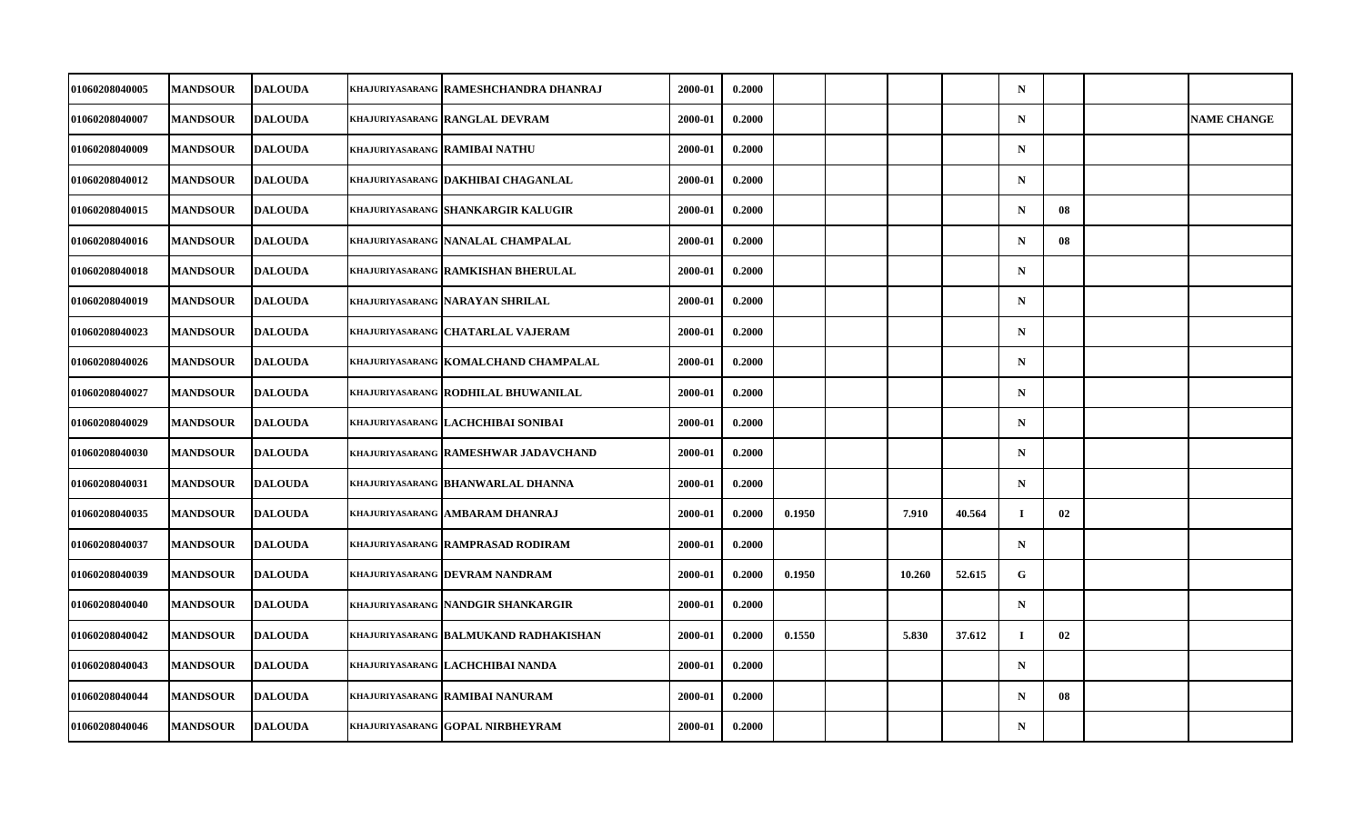| 01060208040005        | <b>MANDSOUR</b> | <b>DALOUDA</b> | khajuriyasarang   RAMESHCHANDRA DHANRAJ    | 2000-01 | 0.2000 |        |        |        | $\mathbf N$ |    |                    |
|-----------------------|-----------------|----------------|--------------------------------------------|---------|--------|--------|--------|--------|-------------|----|--------------------|
| 01060208040007        | <b>MANDSOUR</b> | <b>DALOUDA</b> | <b>KHAJURIYASARANG RANGLAL DEVRAM</b>      | 2000-01 | 0.2000 |        |        |        | $\mathbf N$ |    | <b>NAME CHANGE</b> |
| 01060208040009        | <b>MANDSOUR</b> | <b>DALOUDA</b> | <b>KHAJURIYASARANG RAMIBAI NATHU</b>       | 2000-01 | 0.2000 |        |        |        | $\mathbf N$ |    |                    |
| 01060208040012        | <b>MANDSOUR</b> | <b>DALOUDA</b> | khajuriyasarang <b> DAKHIBAI CHAGANLAL</b> | 2000-01 | 0.2000 |        |        |        | $\mathbf N$ |    |                    |
| 01060208040015        | <b>MANDSOUR</b> | <b>DALOUDA</b> | khajuriyasarang SHANKARGIR KALUGIR         | 2000-01 | 0.2000 |        |        |        | $\mathbf N$ | 08 |                    |
| 01060208040016        | <b>MANDSOUR</b> | <b>DALOUDA</b> | KHAJURIYASARANG NANALAL CHAMPALAL          | 2000-01 | 0.2000 |        |        |        | $\mathbf N$ | 08 |                    |
| 01060208040018        | <b>MANDSOUR</b> | <b>DALOUDA</b> | KHAJURIYASARANG RAMKISHAN BHERULAL         | 2000-01 | 0.2000 |        |        |        | $\mathbf N$ |    |                    |
| <b>01060208040019</b> | <b>MANDSOUR</b> | <b>DALOUDA</b> | khajuriyasarang  NARAYAN SHRILAL           | 2000-01 | 0.2000 |        |        |        | $\mathbf N$ |    |                    |
| 01060208040023        | <b>MANDSOUR</b> | <b>DALOUDA</b> | KHAJURIYASARANG CHATARLAL VAJERAM          | 2000-01 | 0.2000 |        |        |        | $\mathbf N$ |    |                    |
| 01060208040026        | <b>MANDSOUR</b> | <b>DALOUDA</b> | khajuriyasarang KOMALCHAND CHAMPALAL       | 2000-01 | 0.2000 |        |        |        | $\mathbf N$ |    |                    |
| <b>01060208040027</b> | <b>MANDSOUR</b> | <b>DALOUDA</b> | khajuriyasarang   RODHILAL BHUWANILAL      | 2000-01 | 0.2000 |        |        |        | $\mathbf N$ |    |                    |
| 01060208040029        | <b>MANDSOUR</b> | <b>DALOUDA</b> | khajuriyasarang  LACHCHIBAI SONIBAI        | 2000-01 | 0.2000 |        |        |        | $\mathbf N$ |    |                    |
| 01060208040030        | <b>MANDSOUR</b> | <b>DALOUDA</b> | khajuriyasarang RAMESHWAR JADAVCHAND       | 2000-01 | 0.2000 |        |        |        | $\mathbf N$ |    |                    |
| 01060208040031        | <b>MANDSOUR</b> | <b>DALOUDA</b> | khajuriyasarang  BHANWARLAL DHANNA         | 2000-01 | 0.2000 |        |        |        | $\mathbf N$ |    |                    |
| 01060208040035        | <b>MANDSOUR</b> | <b>DALOUDA</b> | KHAJURIYASARANG AMBARAM DHANRAJ            | 2000-01 | 0.2000 | 0.1950 | 7.910  | 40.564 | $\bf{I}$    | 02 |                    |
| 01060208040037        | <b>MANDSOUR</b> | <b>DALOUDA</b> | khajuriyasarang <b>  RAMPRASAD RODIRAM</b> | 2000-01 | 0.2000 |        |        |        | $\mathbf N$ |    |                    |
| 01060208040039        | <b>MANDSOUR</b> | <b>DALOUDA</b> | khajuriyasarang <b> DEVRAM NANDRAM</b>     | 2000-01 | 0.2000 | 0.1950 | 10.260 | 52.615 | G           |    |                    |
| 01060208040040        | <b>MANDSOUR</b> | <b>DALOUDA</b> | KHAJURIYASARANG NANDGIR SHANKARGIR         | 2000-01 | 0.2000 |        |        |        | $\mathbf N$ |    |                    |
| 01060208040042        | <b>MANDSOUR</b> | <b>DALOUDA</b> | KHAJURIYASARANG BALMUKAND RADHAKISHAN      | 2000-01 | 0.2000 | 0.1550 | 5.830  | 37.612 | $\bf{I}$    | 02 |                    |
| 01060208040043        | <b>MANDSOUR</b> | <b>DALOUDA</b> | khajuriyasarang  LACHCHIBAI NANDA          | 2000-01 | 0.2000 |        |        |        | $\mathbf N$ |    |                    |
| 01060208040044        | <b>MANDSOUR</b> | <b>DALOUDA</b> | KHAJURIYASARANG RAMIBAI NANURAM            | 2000-01 | 0.2000 |        |        |        | $\mathbf N$ | 08 |                    |
| 01060208040046        | <b>MANDSOUR</b> | <b>DALOUDA</b> | khajuriyasarang  GOPAL NIRBHEYRAM          | 2000-01 | 0.2000 |        |        |        | $\mathbf N$ |    |                    |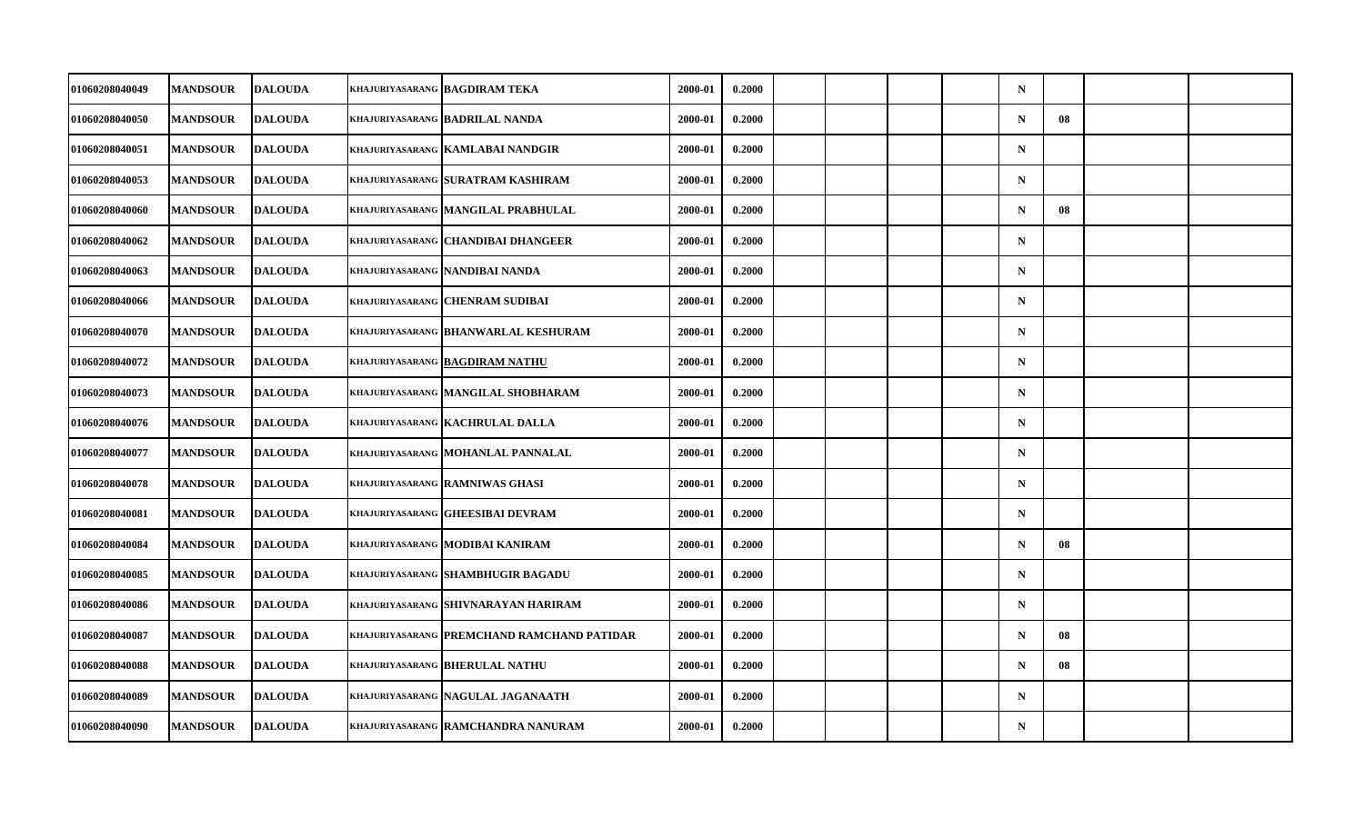| 01060208040049 | <b>MANDSOUR</b> | <b>DALOUDA</b> | <b>KHAJURIYASARANG BAGDIRAM TEKA</b>        | 2000-01 | 0.2000 |  |  | $\mathbf N$ |    |  |
|----------------|-----------------|----------------|---------------------------------------------|---------|--------|--|--|-------------|----|--|
| 01060208040050 | <b>MANDSOUR</b> | <b>DALOUDA</b> | KHAJURIYASARANG BADRILAL NANDA              | 2000-01 | 0.2000 |  |  | $\mathbf N$ | 08 |  |
| 01060208040051 | <b>MANDSOUR</b> | <b>DALOUDA</b> | KHAJURIYASARANG KAMLABAI NANDGIR            | 2000-01 | 0.2000 |  |  | $\mathbf N$ |    |  |
| 01060208040053 | <b>MANDSOUR</b> | <b>DALOUDA</b> | khajuriyasarang SURATRAM KASHIRAM           | 2000-01 | 0.2000 |  |  | $\mathbf N$ |    |  |
| 01060208040060 | <b>MANDSOUR</b> | <b>DALOUDA</b> | KHAJURIYASARANG MANGILAL PRABHULAL          | 2000-01 | 0.2000 |  |  | $\mathbf N$ | 08 |  |
| 01060208040062 | <b>MANDSOUR</b> | <b>DALOUDA</b> | KHAJURIYASARANG CHANDIBAI DHANGEER          | 2000-01 | 0.2000 |  |  | $\mathbf N$ |    |  |
| 01060208040063 | <b>MANDSOUR</b> | <b>DALOUDA</b> | khajuriyasarang  NANDIBAI NANDA             | 2000-01 | 0.2000 |  |  | $\mathbf N$ |    |  |
| 01060208040066 | <b>MANDSOUR</b> | <b>DALOUDA</b> | KHAJURIYASARANG CHENRAM SUDIBAI             | 2000-01 | 0.2000 |  |  | $\mathbf N$ |    |  |
| 01060208040070 | <b>MANDSOUR</b> | <b>DALOUDA</b> | <b>KHAJURIYASARANG BHANWARLAL KESHURAM</b>  | 2000-01 | 0.2000 |  |  | $\mathbf N$ |    |  |
| 01060208040072 | <b>MANDSOUR</b> | <b>DALOUDA</b> | KHAJURIYASARANG BAGDIRAM NATHU              | 2000-01 | 0.2000 |  |  | $\mathbf N$ |    |  |
| 01060208040073 | <b>MANDSOUR</b> | <b>DALOUDA</b> | KHAJURIYASARANG MANGILAL SHOBHARAM          | 2000-01 | 0.2000 |  |  | $\mathbf N$ |    |  |
| 01060208040076 | <b>MANDSOUR</b> | <b>DALOUDA</b> | <b>KHAJURIYASARANG KACHRULAL DALLA</b>      | 2000-01 | 0.2000 |  |  | $\mathbf N$ |    |  |
| 01060208040077 | <b>MANDSOUR</b> | <b>DALOUDA</b> | KHAJURIYASARANG MOHANLAL PANNALAL           | 2000-01 | 0.2000 |  |  | $\mathbf N$ |    |  |
| 01060208040078 | <b>MANDSOUR</b> | <b>DALOUDA</b> | khajuriyasarang  RAMNIWAS GHASI             | 2000-01 | 0.2000 |  |  | $\mathbf N$ |    |  |
| 01060208040081 | <b>MANDSOUR</b> | <b>DALOUDA</b> | KHAJURIYASARANG GHEESIBAI DEVRAM            | 2000-01 | 0.2000 |  |  | $\mathbf N$ |    |  |
| 01060208040084 | <b>MANDSOUR</b> | <b>DALOUDA</b> | KHAJURIYASARANG MODIBAI KANIRAM             | 2000-01 | 0.2000 |  |  | $\mathbf N$ | 08 |  |
| 01060208040085 | <b>MANDSOUR</b> | <b>DALOUDA</b> | <b>KHAJURIYASARANG SHAMBHUGIR BAGADU</b>    | 2000-01 | 0.2000 |  |  | $\mathbf N$ |    |  |
| 01060208040086 | <b>MANDSOUR</b> | <b>DALOUDA</b> | KHAJURIYASARANG SHIVNARAYAN HARIRAM         | 2000-01 | 0.2000 |  |  | $\mathbf N$ |    |  |
| 01060208040087 | <b>MANDSOUR</b> | <b>DALOUDA</b> | khajuriyasarang  PREMCHAND RAMCHAND PATIDAR | 2000-01 | 0.2000 |  |  | $\mathbf N$ | 08 |  |
| 01060208040088 | <b>MANDSOUR</b> | <b>DALOUDA</b> | KHAJURIYASARANG BHERULAL NATHU              | 2000-01 | 0.2000 |  |  | $\mathbf N$ | 08 |  |
| 01060208040089 | <b>MANDSOUR</b> | <b>DALOUDA</b> | KHAJURIYASARANG NAGULAL JAGANAATH           | 2000-01 | 0.2000 |  |  | $\mathbf N$ |    |  |
| 01060208040090 | <b>MANDSOUR</b> | <b>DALOUDA</b> | <b>KHAJURIYASARANG RAMCHANDRA NANURAM</b>   | 2000-01 | 0.2000 |  |  | $\mathbf N$ |    |  |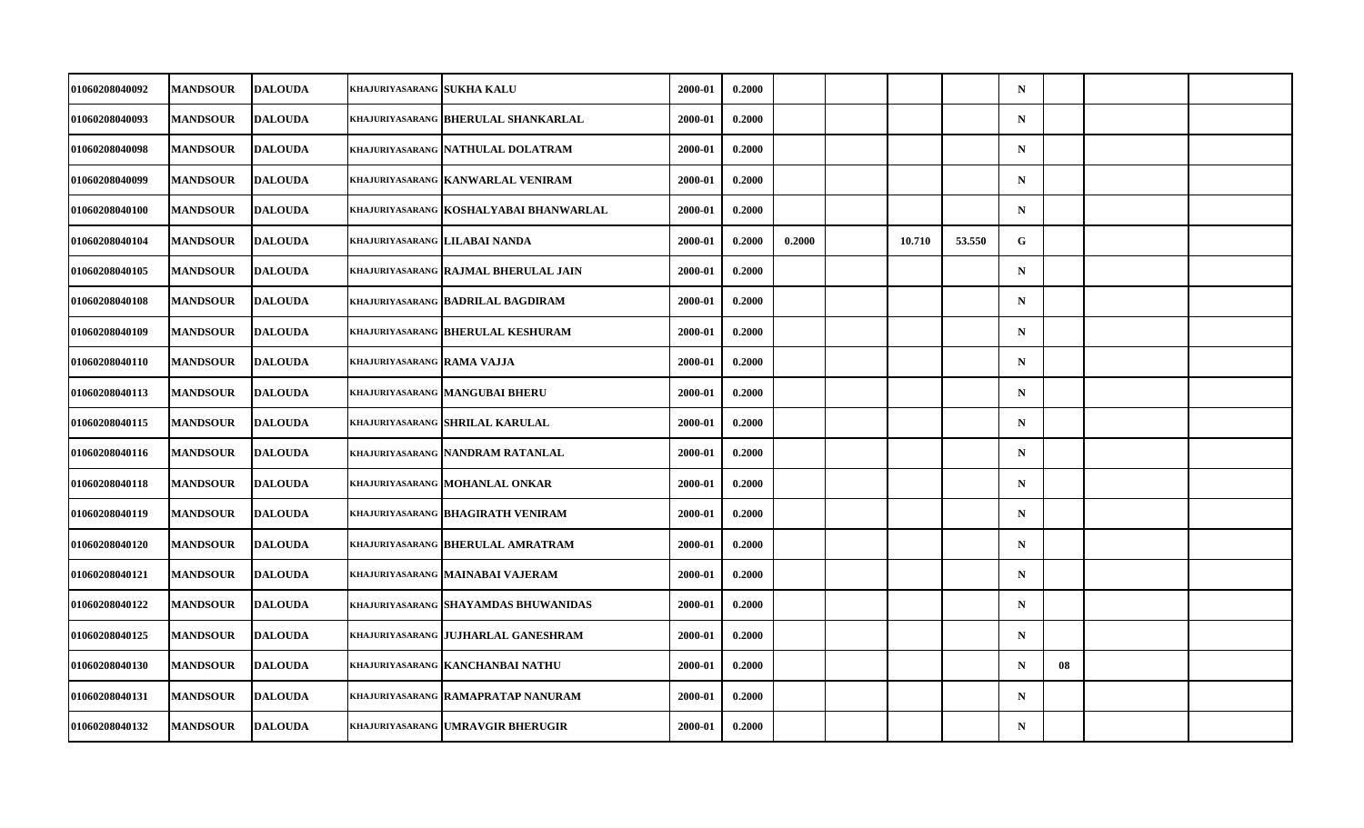| 01060208040092 | <b>MANDSOUR</b> | <b>DALOUDA</b> | <b>KHAJURIYASARANG SUKHA KALU</b> |                                             | 2000-01 | 0.2000 |        |        |        | $\mathbf N$ |    |  |
|----------------|-----------------|----------------|-----------------------------------|---------------------------------------------|---------|--------|--------|--------|--------|-------------|----|--|
| 01060208040093 | <b>MANDSOUR</b> | <b>DALOUDA</b> |                                   | KHAJURIYASARANG BHERULAL SHANKARLAL         | 2000-01 | 0.2000 |        |        |        | $\mathbf N$ |    |  |
| 01060208040098 | <b>MANDSOUR</b> | <b>DALOUDA</b> |                                   | KHAJURIYASARANG NATHULAL DOLATRAM           | 2000-01 | 0.2000 |        |        |        | $\mathbf N$ |    |  |
| 01060208040099 | <b>MANDSOUR</b> | <b>DALOUDA</b> |                                   | khajuriyasarang KANWARLAL VENIRAM           | 2000-01 | 0.2000 |        |        |        | $\mathbf N$ |    |  |
| 01060208040100 | <b>MANDSOUR</b> | <b>DALOUDA</b> |                                   | KHAJURIYASARANG KOSHALYABAI BHANWARLAL      | 2000-01 | 0.2000 |        |        |        | $\mathbf N$ |    |  |
| 01060208040104 | <b>MANDSOUR</b> | <b>DALOUDA</b> |                                   | KHAJURIYASARANG LILABAI NANDA               | 2000-01 | 0.2000 | 0.2000 | 10.710 | 53.550 | G           |    |  |
| 01060208040105 | <b>MANDSOUR</b> | <b>DALOUDA</b> |                                   | <b>KHAJURIYASARANG RAJMAL BHERULAL JAIN</b> | 2000-01 | 0.2000 |        |        |        | $\mathbf N$ |    |  |
| 01060208040108 | <b>MANDSOUR</b> | <b>DALOUDA</b> |                                   | KHAJURIYASARANG BADRILAL BAGDIRAM           | 2000-01 | 0.2000 |        |        |        | $\mathbf N$ |    |  |
| 01060208040109 | <b>MANDSOUR</b> | <b>DALOUDA</b> |                                   | <b>KHAJURIYASARANG BHERULAL KESHURAM</b>    | 2000-01 | 0.2000 |        |        |        | $\mathbf N$ |    |  |
| 01060208040110 | <b>MANDSOUR</b> | <b>DALOUDA</b> | KHAJURIYASARANG RAMA VAJJA        |                                             | 2000-01 | 0.2000 |        |        |        | $\mathbf N$ |    |  |
| 01060208040113 | <b>MANDSOUR</b> | <b>DALOUDA</b> |                                   | KHAJURIYASARANG MANGUBAI BHERU              | 2000-01 | 0.2000 |        |        |        | $\mathbf N$ |    |  |
| 01060208040115 | <b>MANDSOUR</b> | <b>DALOUDA</b> |                                   | khajuriyasarang SHRILAL KARULAL             | 2000-01 | 0.2000 |        |        |        | $\mathbf N$ |    |  |
| 01060208040116 | <b>MANDSOUR</b> | <b>DALOUDA</b> |                                   | KHAJURIYASARANG NANDRAM RATANLAL            | 2000-01 | 0.2000 |        |        |        | $\mathbf N$ |    |  |
| 01060208040118 | <b>MANDSOUR</b> | <b>DALOUDA</b> |                                   | khajuriyasarang  MOHANLAL ONKAR             | 2000-01 | 0.2000 |        |        |        | $\mathbf N$ |    |  |
| 01060208040119 | <b>MANDSOUR</b> | <b>DALOUDA</b> |                                   | KHAJURIYASARANG BHAGIRATH VENIRAM           | 2000-01 | 0.2000 |        |        |        | $\mathbf N$ |    |  |
| 01060208040120 | <b>MANDSOUR</b> | <b>DALOUDA</b> |                                   | KHAJURIYASARANG BHERULAL AMRATRAM           | 2000-01 | 0.2000 |        |        |        | $\mathbf N$ |    |  |
| 01060208040121 | <b>MANDSOUR</b> | <b>DALOUDA</b> |                                   | KHAJURIYASARANG MAINABAI VAJERAM            | 2000-01 | 0.2000 |        |        |        | $\mathbf N$ |    |  |
| 01060208040122 | <b>MANDSOUR</b> | <b>DALOUDA</b> |                                   | KHAJURIYASARANG SHAYAMDAS BHUWANIDAS        | 2000-01 | 0.2000 |        |        |        | $\mathbf N$ |    |  |
| 01060208040125 | <b>MANDSOUR</b> | <b>DALOUDA</b> |                                   | <b>KHAJURIYASARANG JUJHARLAL GANESHRAM</b>  | 2000-01 | 0.2000 |        |        |        | $\mathbf N$ |    |  |
| 01060208040130 | <b>MANDSOUR</b> | <b>DALOUDA</b> |                                   | KHAJURIYASARANG KANCHANBAI NATHU            | 2000-01 | 0.2000 |        |        |        | $\mathbf N$ | 08 |  |
| 01060208040131 | <b>MANDSOUR</b> | <b>DALOUDA</b> |                                   | <b>KHAJURIYASARANG RAMAPRATAP NANURAM</b>   | 2000-01 | 0.2000 |        |        |        | $\mathbf N$ |    |  |
| 01060208040132 | <b>MANDSOUR</b> | <b>DALOUDA</b> |                                   | khajuriyasarang  UMRAVGIR BHERUGIR          | 2000-01 | 0.2000 |        |        |        | $\mathbf N$ |    |  |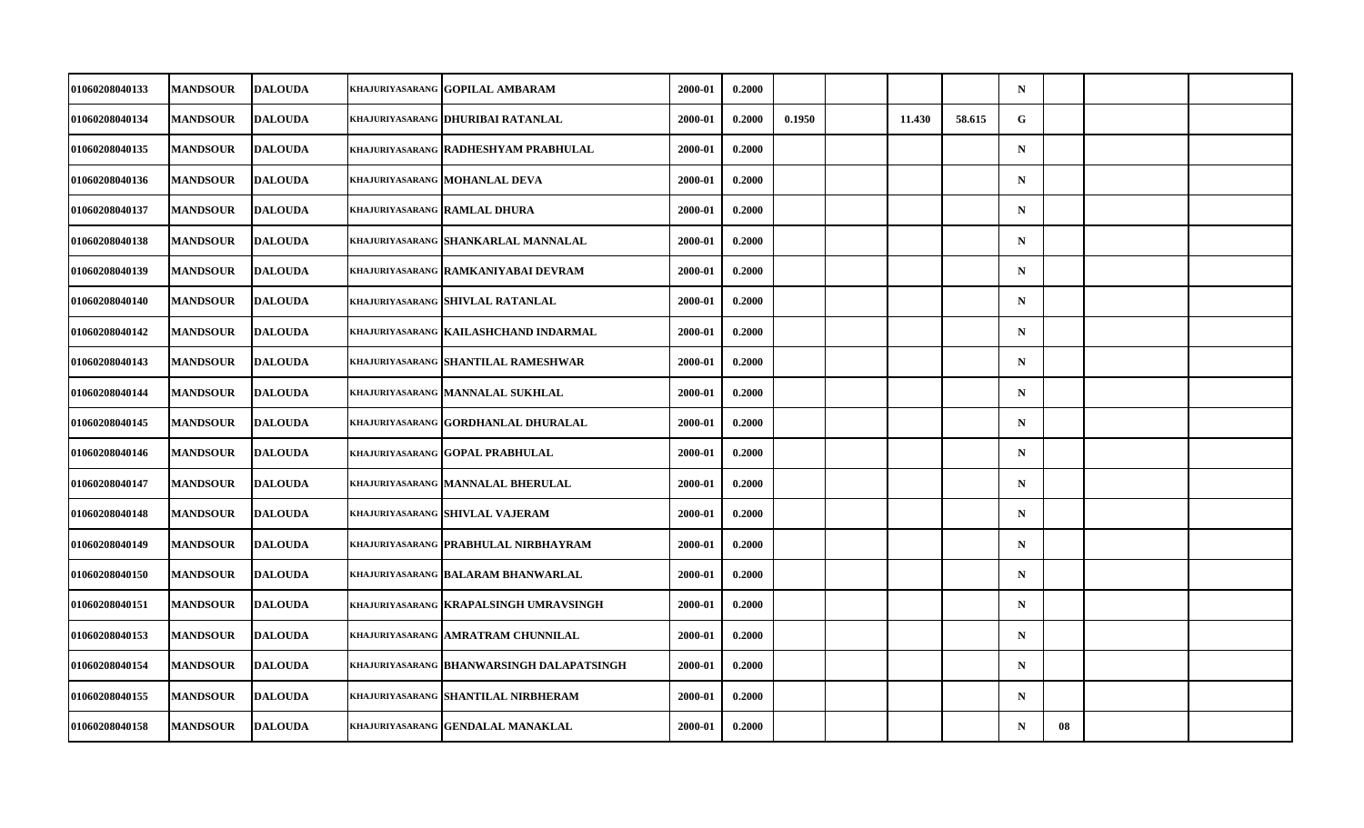| khajuriyasarang  GOPILAL AMBARAM<br>khajuriyasarang  DHURIBAI RATANLAL<br><b>KHAJURIYASARANG RADHESHYAM PRABHULAL</b><br>khajuriyasarang  MOHANLAL DEVA<br>khajuriyasarang  RAMLAL DHURA | 2000-01<br>2000-01<br>2000-01<br>2000-01 | 0.2000<br>0.2000<br>0.2000                                                                                                                                                   | 0.1950 | 11.430 | 58.615 | $\mathbf N$<br>G |    |  |
|------------------------------------------------------------------------------------------------------------------------------------------------------------------------------------------|------------------------------------------|------------------------------------------------------------------------------------------------------------------------------------------------------------------------------|--------|--------|--------|------------------|----|--|
|                                                                                                                                                                                          |                                          |                                                                                                                                                                              |        |        |        |                  |    |  |
|                                                                                                                                                                                          |                                          |                                                                                                                                                                              |        |        |        |                  |    |  |
|                                                                                                                                                                                          |                                          |                                                                                                                                                                              |        |        |        | $\mathbf N$      |    |  |
|                                                                                                                                                                                          |                                          | 0.2000                                                                                                                                                                       |        |        |        | $\mathbf N$      |    |  |
|                                                                                                                                                                                          | 2000-01                                  | 0.2000                                                                                                                                                                       |        |        |        | $\mathbf N$      |    |  |
| KHAJURIYASARANG SHANKARLAL MANNALAL                                                                                                                                                      | 2000-01                                  | 0.2000                                                                                                                                                                       |        |        |        | $\mathbf N$      |    |  |
| KHAJURIYASARANG RAMKANIYABAI DEVRAM                                                                                                                                                      |                                          | 0.2000                                                                                                                                                                       |        |        |        | $\mathbf N$      |    |  |
| khajuriyasarang <b> shivlal ratanlal</b>                                                                                                                                                 |                                          | 0.2000                                                                                                                                                                       |        |        |        | $\mathbf N$      |    |  |
| khajuriyasarang KAILASHCHAND INDARMAL                                                                                                                                                    |                                          | 0.2000                                                                                                                                                                       |        |        |        | $\mathbf N$      |    |  |
| <b>KHAJURIYASARANG SHANTILAL RAMESHWAR</b>                                                                                                                                               |                                          | 0.2000                                                                                                                                                                       |        |        |        | $\mathbf N$      |    |  |
| khajuriyasarang  MANNALAL SUKHLAL                                                                                                                                                        |                                          | 0.2000                                                                                                                                                                       |        |        |        | $\mathbf N$      |    |  |
| KHAJURIYASARANG GORDHANLAL DHURALAL                                                                                                                                                      |                                          | 0.2000                                                                                                                                                                       |        |        |        | $\mathbf N$      |    |  |
| KHAJURIYASARANG GOPAL PRABHULAL                                                                                                                                                          |                                          | 0.2000                                                                                                                                                                       |        |        |        | ${\bf N}$        |    |  |
| <b>KHAJURIYASARANG MANNALAL BHERULAL</b>                                                                                                                                                 |                                          | 0.2000                                                                                                                                                                       |        |        |        | $\mathbf N$      |    |  |
| khajuriyasarang Shivlal Vajeram                                                                                                                                                          |                                          | 0.2000                                                                                                                                                                       |        |        |        | $\mathbf N$      |    |  |
| khajuriyasarang <b>  prabhulal nirbhayram</b>                                                                                                                                            |                                          | 0.2000                                                                                                                                                                       |        |        |        | $\mathbf N$      |    |  |
| khajuriyasarang  BALARAM BHANWARLAL                                                                                                                                                      |                                          | 0.2000                                                                                                                                                                       |        |        |        | $\mathbf N$      |    |  |
| KHAJURIYASARANG KRAPALSINGH UMRAVSINGH                                                                                                                                                   |                                          | 0.2000                                                                                                                                                                       |        |        |        | $\mathbf N$      |    |  |
| KHAJURIYASARANG AMRATRAM CHUNNILAL                                                                                                                                                       |                                          | 0.2000                                                                                                                                                                       |        |        |        | $\mathbf N$      |    |  |
| khajuriyasarang  BHANWARSINGH DALAPATSINGH                                                                                                                                               |                                          | 0.2000                                                                                                                                                                       |        |        |        | $\mathbf N$      |    |  |
| KHAJURIYASARANG SHANTILAL NIRBHERAM                                                                                                                                                      |                                          | 0.2000                                                                                                                                                                       |        |        |        | $\mathbf N$      |    |  |
| KHAJURIYASARANG GENDALAL MANAKLAL                                                                                                                                                        |                                          | 0.2000                                                                                                                                                                       |        |        |        | $\mathbf N$      | 08 |  |
|                                                                                                                                                                                          |                                          | 2000-01<br>2000-01<br>2000-01<br>2000-01<br>2000-01<br>2000-01<br>2000-01<br>2000-01<br>2000-01<br>2000-01<br>2000-01<br>2000-01<br>2000-01<br>2000-01<br>2000-01<br>2000-01 |        |        |        |                  |    |  |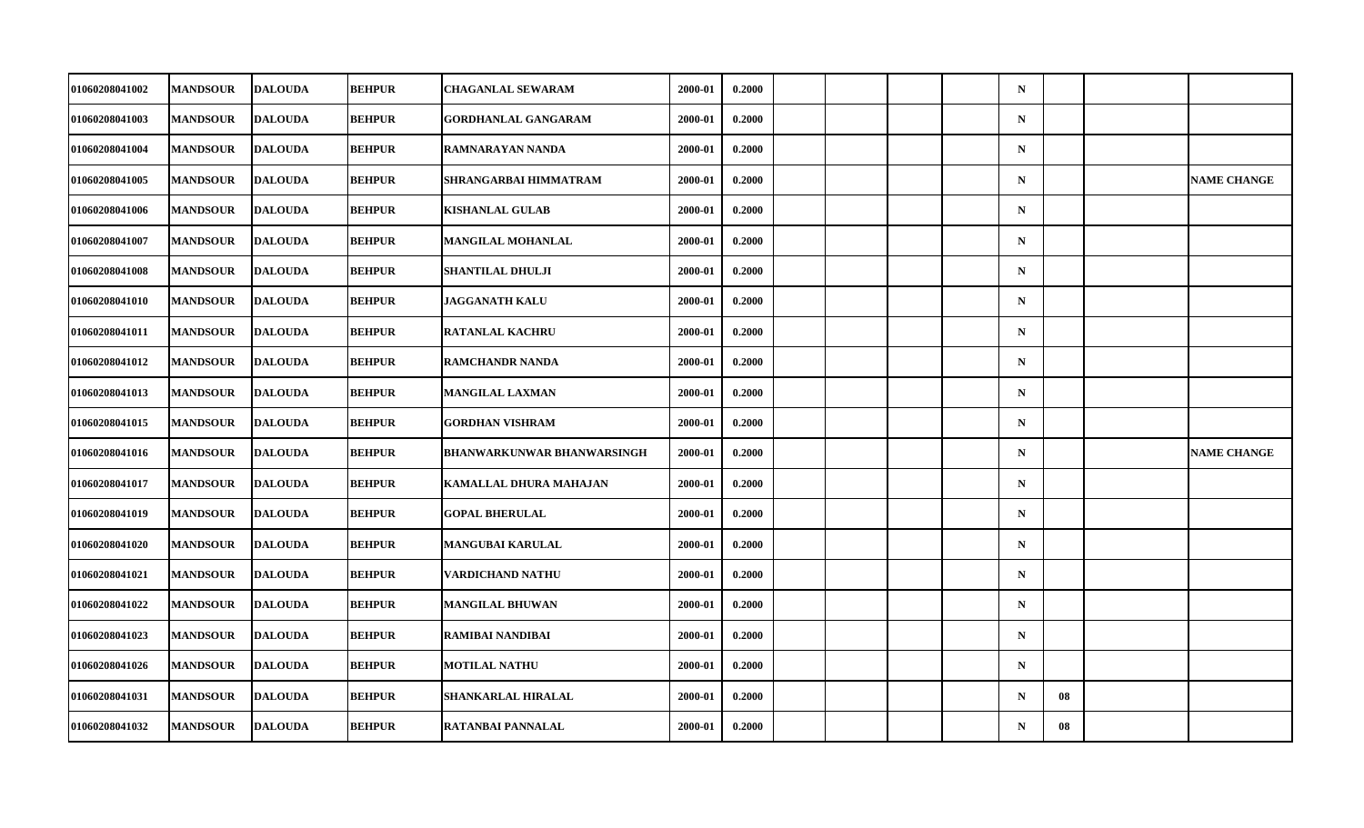| 01060208041002 | <b>MANDSOUR</b> | <b>DALOUDA</b> | <b>BEHPUR</b> | <b>CHAGANLAL SEWARAM</b>          | 2000-01 | 0.2000 |  |  | $\mathbf N$ |    |                    |
|----------------|-----------------|----------------|---------------|-----------------------------------|---------|--------|--|--|-------------|----|--------------------|
| 01060208041003 | <b>MANDSOUR</b> | <b>DALOUDA</b> | <b>BEHPUR</b> | <b>GORDHANLAL GANGARAM</b>        | 2000-01 | 0.2000 |  |  | $\mathbf N$ |    |                    |
| 01060208041004 | <b>MANDSOUR</b> | <b>DALOUDA</b> | <b>BEHPUR</b> | RAMNARAYAN NANDA                  | 2000-01 | 0.2000 |  |  | $\mathbf N$ |    |                    |
| 01060208041005 | <b>MANDSOUR</b> | <b>DALOUDA</b> | <b>BEHPUR</b> | SHRANGARBAI HIMMATRAM             | 2000-01 | 0.2000 |  |  | $\mathbf N$ |    | <b>NAME CHANGE</b> |
| 01060208041006 | <b>MANDSOUR</b> | <b>DALOUDA</b> | <b>BEHPUR</b> | <b>KISHANLAL GULAB</b>            | 2000-01 | 0.2000 |  |  | $\mathbf N$ |    |                    |
| 01060208041007 | <b>MANDSOUR</b> | <b>DALOUDA</b> | <b>BEHPUR</b> | <b>MANGILAL MOHANLAL</b>          | 2000-01 | 0.2000 |  |  | $\mathbf N$ |    |                    |
| 01060208041008 | <b>MANDSOUR</b> | <b>DALOUDA</b> | <b>BEHPUR</b> | <b>SHANTILAL DHULJI</b>           | 2000-01 | 0.2000 |  |  | $\mathbf N$ |    |                    |
| 01060208041010 | <b>MANDSOUR</b> | <b>DALOUDA</b> | <b>BEHPUR</b> | JAGGANATH KALU                    | 2000-01 | 0.2000 |  |  | $\mathbf N$ |    |                    |
| 01060208041011 | <b>MANDSOUR</b> | <b>DALOUDA</b> | <b>BEHPUR</b> | <b>RATANLAL KACHRU</b>            | 2000-01 | 0.2000 |  |  | $\mathbf N$ |    |                    |
| 01060208041012 | <b>MANDSOUR</b> | <b>DALOUDA</b> | <b>BEHPUR</b> | <b>RAMCHANDR NANDA</b>            | 2000-01 | 0.2000 |  |  | $\mathbf N$ |    |                    |
| 01060208041013 | <b>MANDSOUR</b> | <b>DALOUDA</b> | <b>BEHPUR</b> | <b>MANGILAL LAXMAN</b>            | 2000-01 | 0.2000 |  |  | $\mathbf N$ |    |                    |
| 01060208041015 | <b>MANDSOUR</b> | <b>DALOUDA</b> | <b>BEHPUR</b> | <b>GORDHAN VISHRAM</b>            | 2000-01 | 0.2000 |  |  | $\mathbf N$ |    |                    |
| 01060208041016 | <b>MANDSOUR</b> | <b>DALOUDA</b> | <b>BEHPUR</b> | <b>BHANWARKUNWAR BHANWARSINGH</b> | 2000-01 | 0.2000 |  |  | $\mathbf N$ |    | <b>NAME CHANGE</b> |
| 01060208041017 | <b>MANDSOUR</b> | <b>DALOUDA</b> | <b>BEHPUR</b> | KAMALLAL DHURA MAHAJAN            | 2000-01 | 0.2000 |  |  | $\mathbf N$ |    |                    |
| 01060208041019 | <b>MANDSOUR</b> | <b>DALOUDA</b> | <b>BEHPUR</b> | <b>GOPAL BHERULAL</b>             | 2000-01 | 0.2000 |  |  | $\mathbf N$ |    |                    |
| 01060208041020 | <b>MANDSOUR</b> | <b>DALOUDA</b> | <b>BEHPUR</b> | <b>MANGUBAI KARULAL</b>           | 2000-01 | 0.2000 |  |  | $\mathbf N$ |    |                    |
| 01060208041021 | <b>MANDSOUR</b> | <b>DALOUDA</b> | <b>BEHPUR</b> | VARDICHAND NATHU                  | 2000-01 | 0.2000 |  |  | $\mathbf N$ |    |                    |
| 01060208041022 | <b>MANDSOUR</b> | <b>DALOUDA</b> | <b>BEHPUR</b> | <b>MANGILAL BHUWAN</b>            | 2000-01 | 0.2000 |  |  | $\mathbf N$ |    |                    |
| 01060208041023 | <b>MANDSOUR</b> | <b>DALOUDA</b> | <b>BEHPUR</b> | RAMIBAI NANDIBAI                  | 2000-01 | 0.2000 |  |  | $\mathbf N$ |    |                    |
| 01060208041026 | <b>MANDSOUR</b> | <b>DALOUDA</b> | <b>BEHPUR</b> | <b>MOTILAL NATHU</b>              | 2000-01 | 0.2000 |  |  | $\mathbf N$ |    |                    |
| 01060208041031 | <b>MANDSOUR</b> | <b>DALOUDA</b> | <b>BEHPUR</b> | SHANKARLAL HIRALAL                | 2000-01 | 0.2000 |  |  | $\mathbf N$ | 08 |                    |
| 01060208041032 | <b>MANDSOUR</b> | <b>DALOUDA</b> | <b>BEHPUR</b> | RATANBAI PANNALAL                 | 2000-01 | 0.2000 |  |  | $\mathbf N$ | 08 |                    |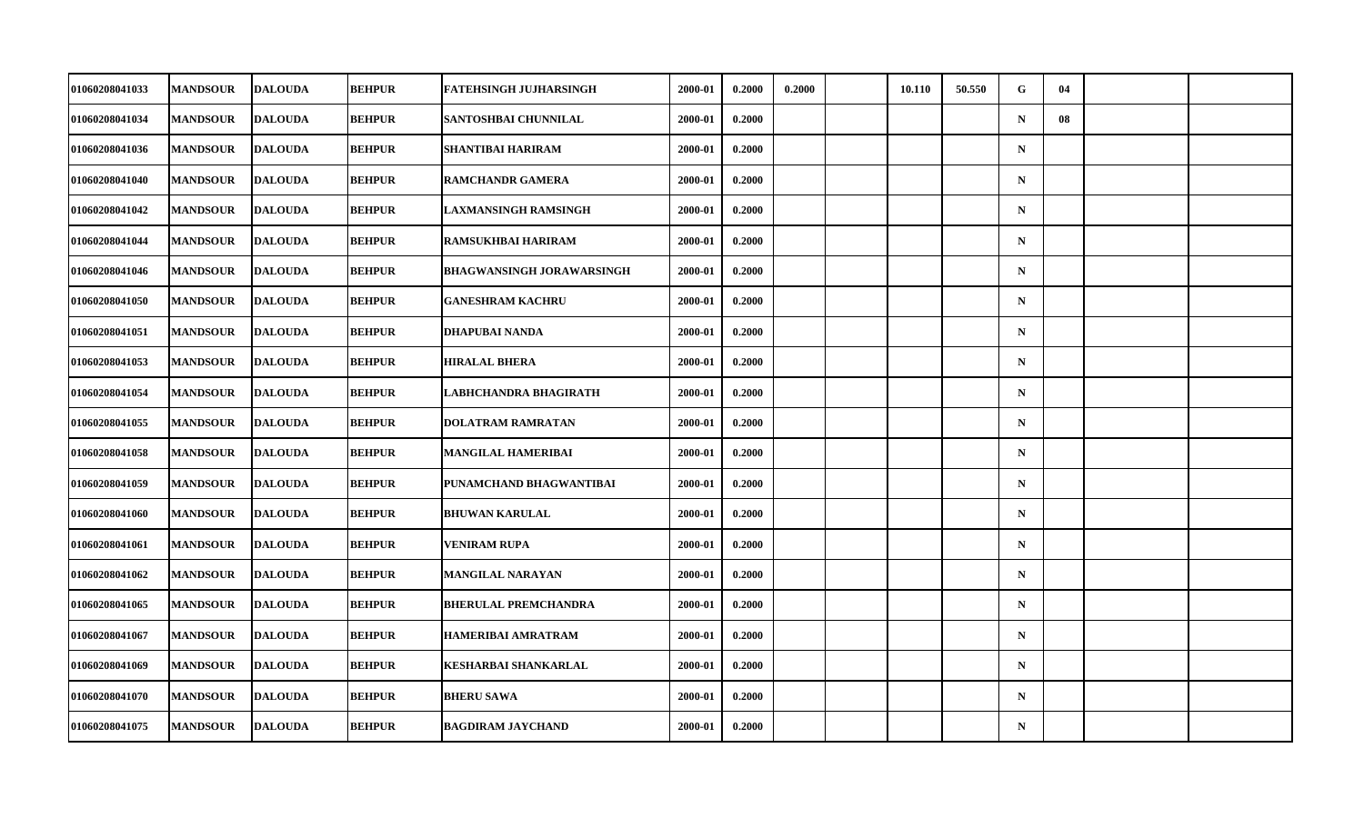| 01060208041033 | <b>MANDSOUR</b> | <b>DALOUDA</b> | <b>BEHPUR</b> | <b>FATEHSINGH JUJHARSINGH</b>    | 2000-01 | 0.2000 | 0.2000 | 10.110 | 50.550 | G           | 04 |  |
|----------------|-----------------|----------------|---------------|----------------------------------|---------|--------|--------|--------|--------|-------------|----|--|
| 01060208041034 | <b>MANDSOUR</b> | <b>DALOUDA</b> | <b>BEHPUR</b> | SANTOSHBAI CHUNNILAL             | 2000-01 | 0.2000 |        |        |        | $\mathbf N$ | 08 |  |
| 01060208041036 | <b>MANDSOUR</b> | <b>DALOUDA</b> | <b>BEHPUR</b> | SHANTIBAI HARIRAM                | 2000-01 | 0.2000 |        |        |        | $\mathbf N$ |    |  |
| 01060208041040 | <b>MANDSOUR</b> | <b>DALOUDA</b> | <b>BEHPUR</b> | <b>RAMCHANDR GAMERA</b>          | 2000-01 | 0.2000 |        |        |        | $\mathbf N$ |    |  |
| 01060208041042 | <b>MANDSOUR</b> | <b>DALOUDA</b> | <b>BEHPUR</b> | LAXMANSINGH RAMSINGH             | 2000-01 | 0.2000 |        |        |        | $\mathbf N$ |    |  |
| 01060208041044 | <b>MANDSOUR</b> | <b>DALOUDA</b> | <b>BEHPUR</b> | <b>RAMSUKHBAI HARIRAM</b>        | 2000-01 | 0.2000 |        |        |        | $\mathbf N$ |    |  |
| 01060208041046 | <b>MANDSOUR</b> | <b>DALOUDA</b> | <b>BEHPUR</b> | <b>BHAGWANSINGH JORAWARSINGH</b> | 2000-01 | 0.2000 |        |        |        | $\mathbf N$ |    |  |
| 01060208041050 | <b>MANDSOUR</b> | <b>DALOUDA</b> | <b>BEHPUR</b> | <b>GANESHRAM KACHRU</b>          | 2000-01 | 0.2000 |        |        |        | $\mathbf N$ |    |  |
| 01060208041051 | <b>MANDSOUR</b> | <b>DALOUDA</b> | <b>BEHPUR</b> | DHAPUBAI NANDA                   | 2000-01 | 0.2000 |        |        |        | $\mathbf N$ |    |  |
| 01060208041053 | <b>MANDSOUR</b> | <b>DALOUDA</b> | <b>BEHPUR</b> | <b>HIRALAL BHERA</b>             | 2000-01 | 0.2000 |        |        |        | $\mathbf N$ |    |  |
| 01060208041054 | <b>MANDSOUR</b> | <b>DALOUDA</b> | <b>BEHPUR</b> | LABHCHANDRA BHAGIRATH            | 2000-01 | 0.2000 |        |        |        | $\mathbf N$ |    |  |
| 01060208041055 | <b>MANDSOUR</b> | <b>DALOUDA</b> | <b>BEHPUR</b> | <b>DOLATRAM RAMRATAN</b>         | 2000-01 | 0.2000 |        |        |        | $\mathbf N$ |    |  |
| 01060208041058 | <b>MANDSOUR</b> | <b>DALOUDA</b> | <b>BEHPUR</b> | <b>MANGILAL HAMERIBAI</b>        | 2000-01 | 0.2000 |        |        |        | $\mathbf N$ |    |  |
| 01060208041059 | <b>MANDSOUR</b> | <b>DALOUDA</b> | <b>BEHPUR</b> | PUNAMCHAND BHAGWANTIBAI          | 2000-01 | 0.2000 |        |        |        | $\mathbf N$ |    |  |
| 01060208041060 | <b>MANDSOUR</b> | <b>DALOUDA</b> | <b>BEHPUR</b> | <b>BHUWAN KARULAL</b>            | 2000-01 | 0.2000 |        |        |        | $\mathbf N$ |    |  |
| 01060208041061 | <b>MANDSOUR</b> | <b>DALOUDA</b> | <b>BEHPUR</b> | <b>VENIRAM RUPA</b>              | 2000-01 | 0.2000 |        |        |        | $\mathbf N$ |    |  |
| 01060208041062 | <b>MANDSOUR</b> | <b>DALOUDA</b> | <b>BEHPUR</b> | <b>MANGILAL NARAYAN</b>          | 2000-01 | 0.2000 |        |        |        | $\mathbf N$ |    |  |
| 01060208041065 | <b>MANDSOUR</b> | <b>DALOUDA</b> | <b>BEHPUR</b> | <b>BHERULAL PREMCHANDRA</b>      | 2000-01 | 0.2000 |        |        |        | $\mathbf N$ |    |  |
| 01060208041067 | <b>MANDSOUR</b> | <b>DALOUDA</b> | <b>BEHPUR</b> | <b>HAMERIBAI AMRATRAM</b>        | 2000-01 | 0.2000 |        |        |        | $\mathbf N$ |    |  |
| 01060208041069 | <b>MANDSOUR</b> | <b>DALOUDA</b> | <b>BEHPUR</b> | <b>KESHARBAI SHANKARLAL</b>      | 2000-01 | 0.2000 |        |        |        | $\mathbf N$ |    |  |
| 01060208041070 | <b>MANDSOUR</b> | <b>DALOUDA</b> | <b>BEHPUR</b> | <b>BHERU SAWA</b>                | 2000-01 | 0.2000 |        |        |        | $\mathbf N$ |    |  |
| 01060208041075 | <b>MANDSOUR</b> | <b>DALOUDA</b> | <b>BEHPUR</b> | <b>BAGDIRAM JAYCHAND</b>         | 2000-01 | 0.2000 |        |        |        | ${\bf N}$   |    |  |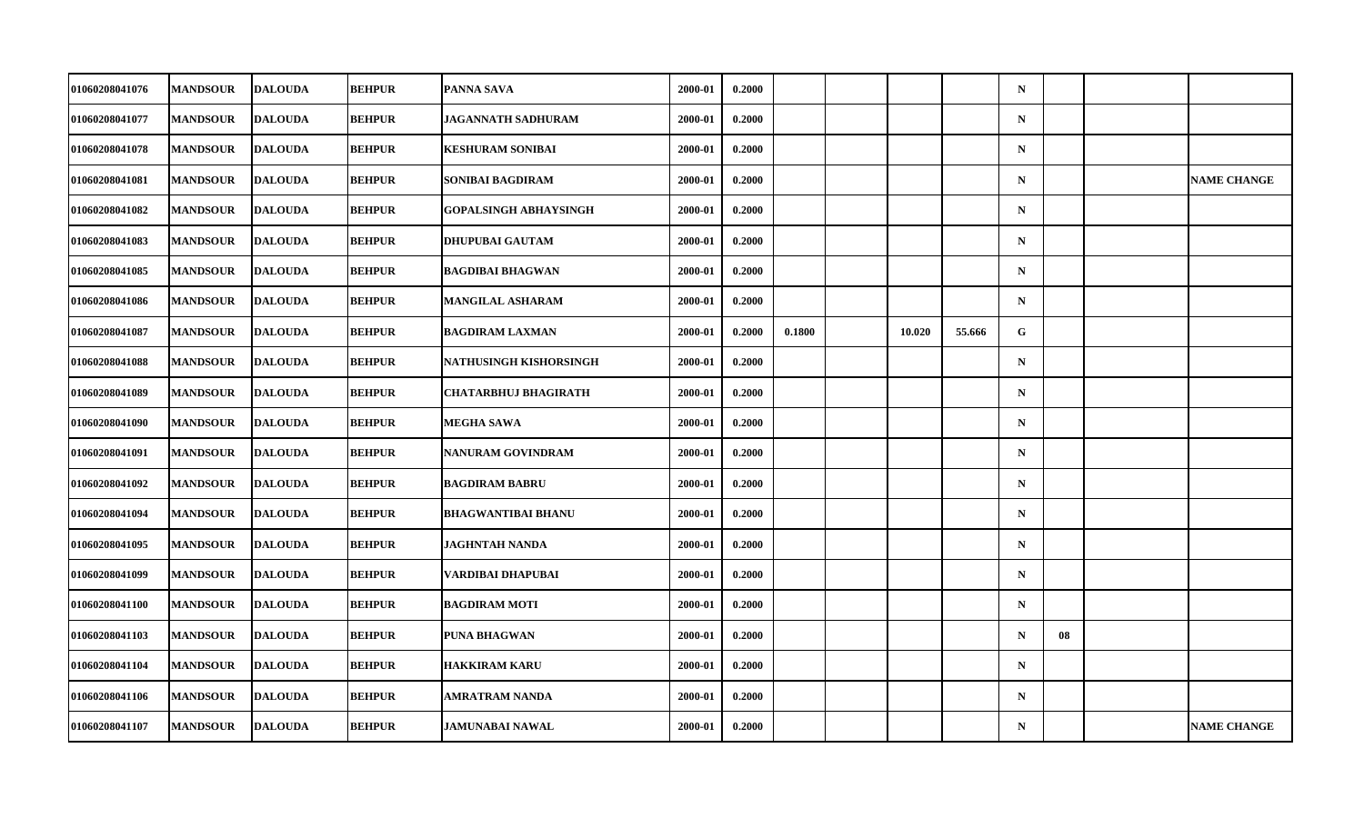| 01060208041076 | <b>MANDSOUR</b> | <b>DALOUDA</b> | <b>BEHPUR</b> | <b>PANNA SAVA</b>            | 2000-01 | 0.2000 |        |        |        | $\mathbf N$ |    |                    |
|----------------|-----------------|----------------|---------------|------------------------------|---------|--------|--------|--------|--------|-------------|----|--------------------|
| 01060208041077 | <b>MANDSOUR</b> | <b>DALOUDA</b> | <b>BEHPUR</b> | <b>JAGANNATH SADHURAM</b>    | 2000-01 | 0.2000 |        |        |        | $\mathbf N$ |    |                    |
| 01060208041078 | <b>MANDSOUR</b> | <b>DALOUDA</b> | <b>BEHPUR</b> | <b>KESHURAM SONIBAI</b>      | 2000-01 | 0.2000 |        |        |        | $\mathbf N$ |    |                    |
| 01060208041081 | <b>MANDSOUR</b> | <b>DALOUDA</b> | <b>BEHPUR</b> | <b>SONIBAI BAGDIRAM</b>      | 2000-01 | 0.2000 |        |        |        | $\mathbf N$ |    | <b>NAME CHANGE</b> |
| 01060208041082 | <b>MANDSOUR</b> | <b>DALOUDA</b> | <b>BEHPUR</b> | <b>GOPALSINGH ABHAYSINGH</b> | 2000-01 | 0.2000 |        |        |        | $\mathbf N$ |    |                    |
| 01060208041083 | <b>MANDSOUR</b> | <b>DALOUDA</b> | <b>BEHPUR</b> | <b>DHUPUBAI GAUTAM</b>       | 2000-01 | 0.2000 |        |        |        | $\mathbf N$ |    |                    |
| 01060208041085 | <b>MANDSOUR</b> | <b>DALOUDA</b> | <b>BEHPUR</b> | <b>BAGDIBAI BHAGWAN</b>      | 2000-01 | 0.2000 |        |        |        | ${\bf N}$   |    |                    |
| 01060208041086 | <b>MANDSOUR</b> | <b>DALOUDA</b> | <b>BEHPUR</b> | <b>MANGILAL ASHARAM</b>      | 2000-01 | 0.2000 |        |        |        | $\mathbf N$ |    |                    |
| 01060208041087 | <b>MANDSOUR</b> | <b>DALOUDA</b> | <b>BEHPUR</b> | <b>BAGDIRAM LAXMAN</b>       | 2000-01 | 0.2000 | 0.1800 | 10.020 | 55.666 | G           |    |                    |
| 01060208041088 | <b>MANDSOUR</b> | <b>DALOUDA</b> | <b>BEHPUR</b> | NATHUSINGH KISHORSINGH       | 2000-01 | 0.2000 |        |        |        | $\mathbf N$ |    |                    |
| 01060208041089 | <b>MANDSOUR</b> | <b>DALOUDA</b> | <b>BEHPUR</b> | <b>CHATARBHUJ BHAGIRATH</b>  | 2000-01 | 0.2000 |        |        |        | $\mathbf N$ |    |                    |
| 01060208041090 | <b>MANDSOUR</b> | <b>DALOUDA</b> | <b>BEHPUR</b> | <b>MEGHA SAWA</b>            | 2000-01 | 0.2000 |        |        |        | $\mathbf N$ |    |                    |
| 01060208041091 | <b>MANDSOUR</b> | <b>DALOUDA</b> | <b>BEHPUR</b> | NANURAM GOVINDRAM            | 2000-01 | 0.2000 |        |        |        | $\mathbf N$ |    |                    |
| 01060208041092 | <b>MANDSOUR</b> | <b>DALOUDA</b> | <b>BEHPUR</b> | <b>BAGDIRAM BABRU</b>        | 2000-01 | 0.2000 |        |        |        | $\mathbf N$ |    |                    |
| 01060208041094 | <b>MANDSOUR</b> | <b>DALOUDA</b> | <b>BEHPUR</b> | <b>BHAGWANTIBAI BHANU</b>    | 2000-01 | 0.2000 |        |        |        | $\mathbf N$ |    |                    |
| 01060208041095 | <b>MANDSOUR</b> | <b>DALOUDA</b> | <b>BEHPUR</b> | <b>JAGHNTAH NANDA</b>        | 2000-01 | 0.2000 |        |        |        | $\mathbf N$ |    |                    |
| 01060208041099 | <b>MANDSOUR</b> | <b>DALOUDA</b> | <b>BEHPUR</b> | VARDIBAI DHAPUBAI            | 2000-01 | 0.2000 |        |        |        | $\mathbf N$ |    |                    |
| 01060208041100 | <b>MANDSOUR</b> | <b>DALOUDA</b> | <b>BEHPUR</b> | <b>BAGDIRAM MOTI</b>         | 2000-01 | 0.2000 |        |        |        | $\mathbf N$ |    |                    |
| 01060208041103 | <b>MANDSOUR</b> | <b>DALOUDA</b> | <b>BEHPUR</b> | <b>PUNA BHAGWAN</b>          | 2000-01 | 0.2000 |        |        |        | $\mathbf N$ | 08 |                    |
| 01060208041104 | <b>MANDSOUR</b> | <b>DALOUDA</b> | <b>BEHPUR</b> | <b>HAKKIRAM KARU</b>         | 2000-01 | 0.2000 |        |        |        | $\mathbf N$ |    |                    |
| 01060208041106 | <b>MANDSOUR</b> | <b>DALOUDA</b> | <b>BEHPUR</b> | <b>AMRATRAM NANDA</b>        | 2000-01 | 0.2000 |        |        |        | $\mathbf N$ |    |                    |
| 01060208041107 | <b>MANDSOUR</b> | <b>DALOUDA</b> | <b>BEHPUR</b> | <b>JAMUNABAI NAWAL</b>       | 2000-01 | 0.2000 |        |        |        | $\mathbf N$ |    | <b>NAME CHANGE</b> |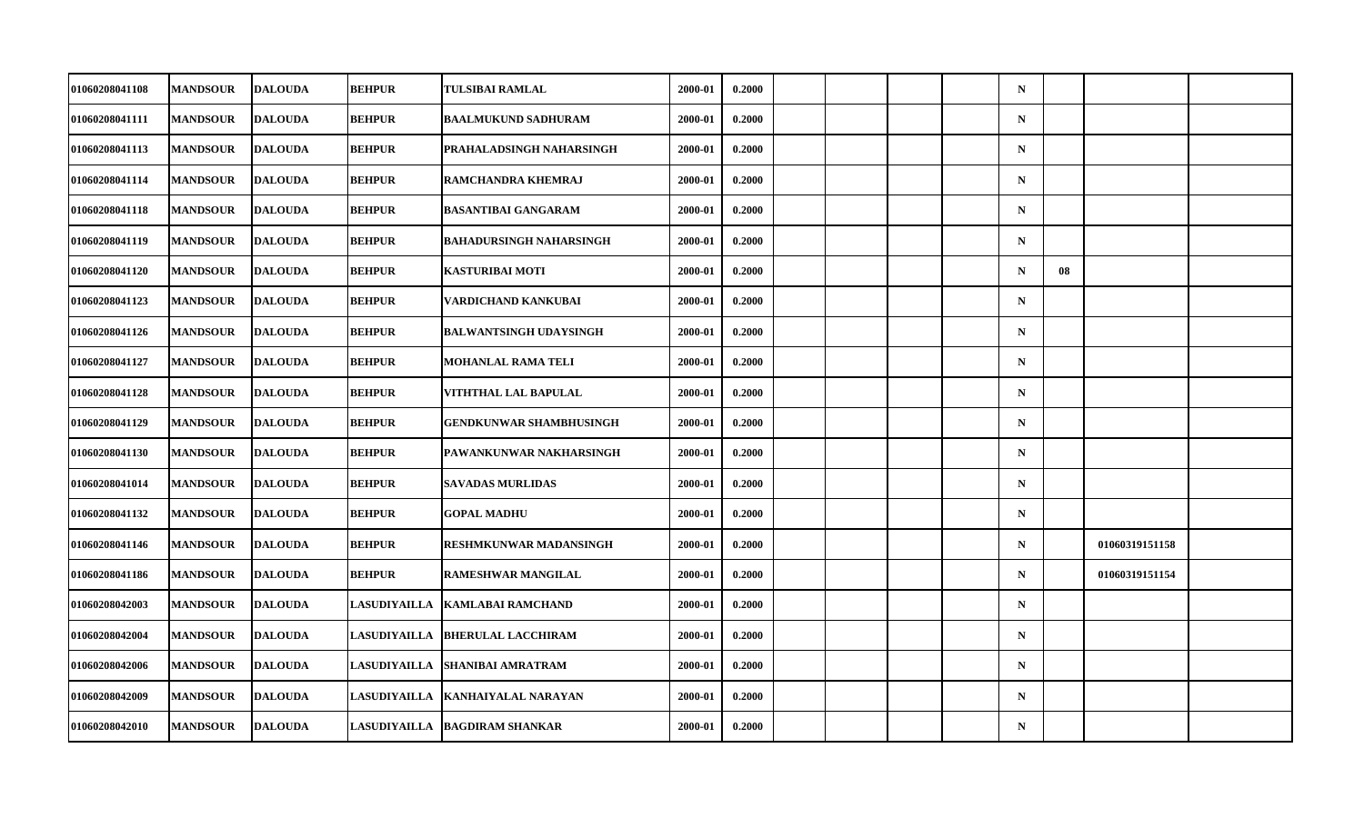| 01060208041108 | <b>MANDSOUR</b> | <b>DALOUDA</b> | <b>BEHPUR</b>       | <b>TULSIBAI RAMLAL</b>           | 2000-01 | 0.2000 |  |  | $\mathbf N$ |    |                |  |
|----------------|-----------------|----------------|---------------------|----------------------------------|---------|--------|--|--|-------------|----|----------------|--|
| 01060208041111 | <b>MANDSOUR</b> | <b>DALOUDA</b> | <b>BEHPUR</b>       | <b>BAALMUKUND SADHURAM</b>       | 2000-01 | 0.2000 |  |  | $\mathbf N$ |    |                |  |
| 01060208041113 | <b>MANDSOUR</b> | <b>DALOUDA</b> | <b>BEHPUR</b>       | <b>PRAHALADSINGH NAHARSINGH</b>  | 2000-01 | 0.2000 |  |  | $\mathbf N$ |    |                |  |
| 01060208041114 | <b>MANDSOUR</b> | <b>DALOUDA</b> | <b>BEHPUR</b>       | <b>RAMCHANDRA KHEMRAJ</b>        | 2000-01 | 0.2000 |  |  | $\mathbf N$ |    |                |  |
| 01060208041118 | <b>MANDSOUR</b> | <b>DALOUDA</b> | <b>BEHPUR</b>       | <b>BASANTIBAI GANGARAM</b>       | 2000-01 | 0.2000 |  |  | $\mathbf N$ |    |                |  |
| 01060208041119 | <b>MANDSOUR</b> | <b>DALOUDA</b> | <b>BEHPUR</b>       | <b>BAHADURSINGH NAHARSINGH</b>   | 2000-01 | 0.2000 |  |  | $\mathbf N$ |    |                |  |
| 01060208041120 | <b>MANDSOUR</b> | <b>DALOUDA</b> | <b>BEHPUR</b>       | KASTURIBAI MOTI                  | 2000-01 | 0.2000 |  |  | $\mathbf N$ | 08 |                |  |
| 01060208041123 | <b>MANDSOUR</b> | <b>DALOUDA</b> | <b>BEHPUR</b>       | VARDICHAND KANKUBAI              | 2000-01 | 0.2000 |  |  | $\mathbf N$ |    |                |  |
| 01060208041126 | <b>MANDSOUR</b> | <b>DALOUDA</b> | <b>BEHPUR</b>       | <b>BALWANTSINGH UDAYSINGH</b>    | 2000-01 | 0.2000 |  |  | $\mathbf N$ |    |                |  |
| 01060208041127 | <b>MANDSOUR</b> | <b>DALOUDA</b> | <b>BEHPUR</b>       | <b>MOHANLAL RAMA TELI</b>        | 2000-01 | 0.2000 |  |  | $\mathbf N$ |    |                |  |
| 01060208041128 | <b>MANDSOUR</b> | <b>DALOUDA</b> | <b>BEHPUR</b>       | VITHTHAL LAL BAPULAL             | 2000-01 | 0.2000 |  |  | $\mathbf N$ |    |                |  |
| 01060208041129 | <b>MANDSOUR</b> | <b>DALOUDA</b> | <b>BEHPUR</b>       | <b>GENDKUNWAR SHAMBHUSINGH</b>   | 2000-01 | 0.2000 |  |  | $\mathbf N$ |    |                |  |
| 01060208041130 | <b>MANDSOUR</b> | <b>DALOUDA</b> | <b>BEHPUR</b>       | PAWANKUNWAR NAKHARSINGH          | 2000-01 | 0.2000 |  |  | $\mathbf N$ |    |                |  |
| 01060208041014 | <b>MANDSOUR</b> | <b>DALOUDA</b> | <b>BEHPUR</b>       | <b>SAVADAS MURLIDAS</b>          | 2000-01 | 0.2000 |  |  | $\mathbf N$ |    |                |  |
| 01060208041132 | <b>MANDSOUR</b> | <b>DALOUDA</b> | <b>BEHPUR</b>       | <b>GOPAL MADHU</b>               | 2000-01 | 0.2000 |  |  | $\mathbf N$ |    |                |  |
| 01060208041146 | <b>MANDSOUR</b> | <b>DALOUDA</b> | <b>BEHPUR</b>       | RESHMKUNWAR MADANSINGH           | 2000-01 | 0.2000 |  |  | $\mathbf N$ |    | 01060319151158 |  |
| 01060208041186 | <b>MANDSOUR</b> | <b>DALOUDA</b> | <b>BEHPUR</b>       | <b>RAMESHWAR MANGILAL</b>        | 2000-01 | 0.2000 |  |  | $\mathbf N$ |    | 01060319151154 |  |
| 01060208042003 | <b>MANDSOUR</b> | <b>DALOUDA</b> |                     | LASUDIYAILLA KAMLABAI RAMCHAND   | 2000-01 | 0.2000 |  |  | $\mathbf N$ |    |                |  |
| 01060208042004 | <b>MANDSOUR</b> | <b>DALOUDA</b> |                     | LASUDIYAILLA  BHERULAL LACCHIRAM | 2000-01 | 0.2000 |  |  | $\mathbf N$ |    |                |  |
| 01060208042006 | <b>MANDSOUR</b> | <b>DALOUDA</b> | <b>LASUDIYAILLA</b> | <b>SHANIBAI AMRATRAM</b>         | 2000-01 | 0.2000 |  |  | $\mathbf N$ |    |                |  |
| 01060208042009 | <b>MANDSOUR</b> | <b>DALOUDA</b> |                     | LASUDIYAILLA KANHAIYALAL NARAYAN | 2000-01 | 0.2000 |  |  | $\mathbf N$ |    |                |  |
| 01060208042010 | <b>MANDSOUR</b> | <b>DALOUDA</b> |                     | LASUDIYAILLA  BAGDIRAM SHANKAR   | 2000-01 | 0.2000 |  |  | $\mathbf N$ |    |                |  |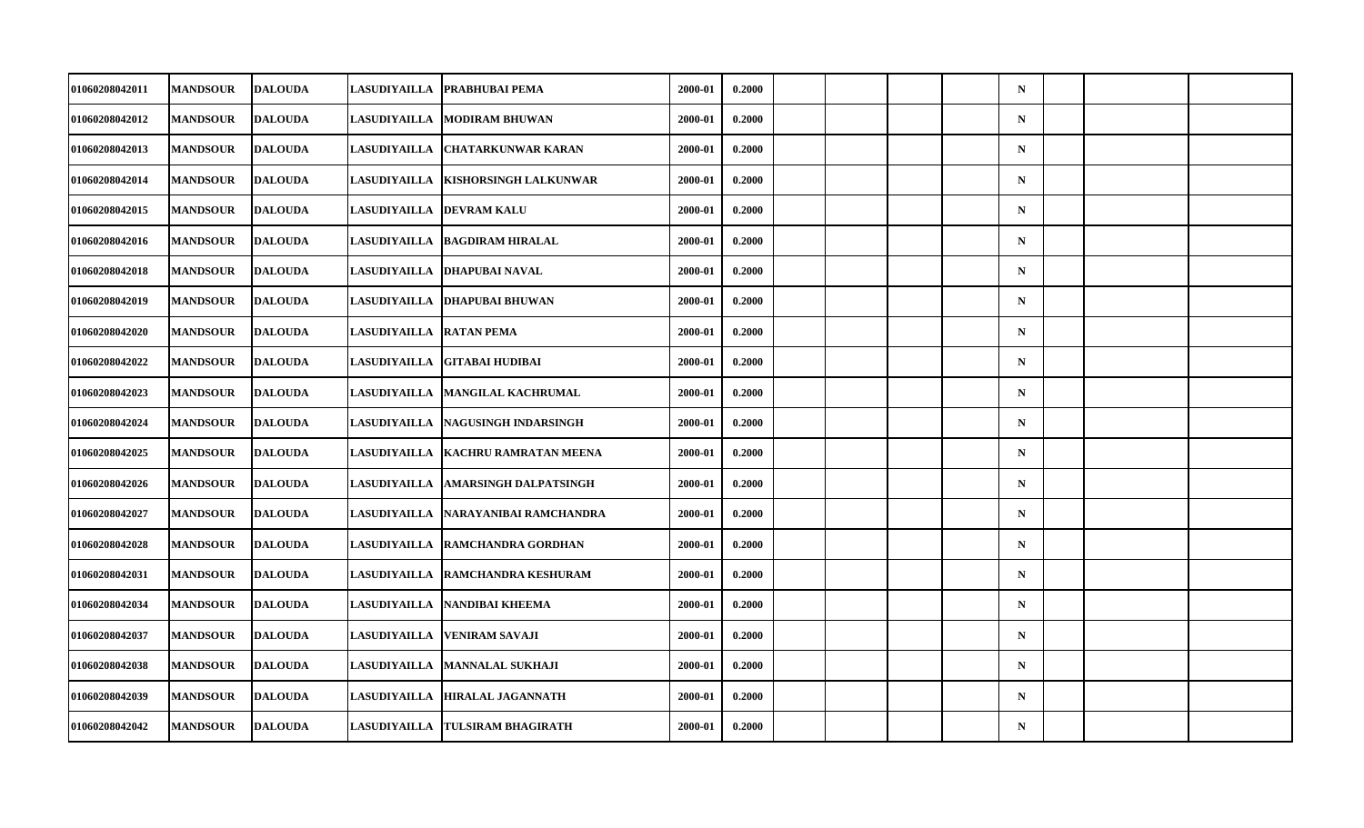| 01060208042011        | <b>MANDSOUR</b> | <b>DALOUDA</b> | <b>LASUDIYAILLA</b> | <b>PRABHUBAI PEMA</b>             | 2000-01 | 0.2000 |  |  | $\mathbf N$ |  |  |
|-----------------------|-----------------|----------------|---------------------|-----------------------------------|---------|--------|--|--|-------------|--|--|
| 01060208042012        | <b>MANDSOUR</b> | <b>DALOUDA</b> | LASUDIYAILLA        | <b>MODIRAM BHUWAN</b>             | 2000-01 | 0.2000 |  |  | ${\bf N}$   |  |  |
| 01060208042013        | <b>MANDSOUR</b> | <b>DALOUDA</b> | <b>LASUDIYAILLA</b> | <b>CHATARKUNWAR KARAN</b>         | 2000-01 | 0.2000 |  |  | $\mathbf N$ |  |  |
| 01060208042014        | <b>MANDSOUR</b> | <b>DALOUDA</b> | LASUDIYAILLA        | <b>KISHORSINGH LALKUNWAR</b>      | 2000-01 | 0.2000 |  |  | $\mathbf N$ |  |  |
| 01060208042015        | <b>MANDSOUR</b> | <b>DALOUDA</b> |                     | LASUDIYAILLA  DEVRAM KALU         | 2000-01 | 0.2000 |  |  | $\mathbf N$ |  |  |
| 01060208042016        | <b>MANDSOUR</b> | <b>DALOUDA</b> | <b>LASUDIYAILLA</b> | <b>BAGDIRAM HIRALAL</b>           | 2000-01 | 0.2000 |  |  | ${\bf N}$   |  |  |
| 01060208042018        | <b>MANDSOUR</b> | <b>DALOUDA</b> | LASUDIYAILLA        | <b>DHAPUBAI NAVAL</b>             | 2000-01 | 0.2000 |  |  | $\mathbf N$ |  |  |
| 01060208042019        | <b>MANDSOUR</b> | <b>DALOUDA</b> | <b>LASUDIYAILLA</b> | <b>DHAPUBAI BHUWAN</b>            | 2000-01 | 0.2000 |  |  | $\mathbf N$ |  |  |
| 01060208042020        | <b>MANDSOUR</b> | <b>DALOUDA</b> | <b>LASUDIYAILLA</b> | <b>RATAN PEMA</b>                 | 2000-01 | 0.2000 |  |  | $\mathbf N$ |  |  |
| 01060208042022        | <b>MANDSOUR</b> | <b>DALOUDA</b> | <b>LASUDIYAILLA</b> | <b>GITABAI HUDIBAI</b>            | 2000-01 | 0.2000 |  |  | $\mathbf N$ |  |  |
| 01060208042023        | <b>MANDSOUR</b> | <b>DALOUDA</b> | <b>LASUDIYAILLA</b> | <b>MANGILAL KACHRUMAL</b>         | 2000-01 | 0.2000 |  |  | $\mathbf N$ |  |  |
| 01060208042024        | <b>MANDSOUR</b> | <b>DALOUDA</b> | <b>LASUDIYAILLA</b> | <b>NAGUSINGH INDARSINGH</b>       | 2000-01 | 0.2000 |  |  | $\mathbf N$ |  |  |
| 01060208042025        | <b>MANDSOUR</b> | <b>DALOUDA</b> | <b>LASUDIYAILLA</b> | <b>KACHRU RAMRATAN MEENA</b>      | 2000-01 | 0.2000 |  |  | ${\bf N}$   |  |  |
| 01060208042026        | <b>MANDSOUR</b> | <b>DALOUDA</b> | <b>LASUDIYAILLA</b> | <b>AMARSINGH DALPATSINGH</b>      | 2000-01 | 0.2000 |  |  | $\mathbf N$ |  |  |
| 01060208042027        | <b>MANDSOUR</b> | <b>DALOUDA</b> | LASUDIYAILLA        | NARAYANIBAI RAMCHANDRA            | 2000-01 | 0.2000 |  |  | $\mathbf N$ |  |  |
| 01060208042028        | <b>MANDSOUR</b> | <b>DALOUDA</b> | <b>LASUDIYAILLA</b> | <b>RAMCHANDRA GORDHAN</b>         | 2000-01 | 0.2000 |  |  | $\mathbf N$ |  |  |
| <b>01060208042031</b> | <b>MANDSOUR</b> | <b>DALOUDA</b> |                     | LASUDIYAILLA  RAMCHANDRA KESHURAM | 2000-01 | 0.2000 |  |  | $\mathbf N$ |  |  |
| 01060208042034        | <b>MANDSOUR</b> | <b>DALOUDA</b> | <b>LASUDIYAILLA</b> | <b>NANDIBAI KHEEMA</b>            | 2000-01 | 0.2000 |  |  | $\mathbf N$ |  |  |
| 01060208042037        | <b>MANDSOUR</b> | <b>DALOUDA</b> | LASUDIYAILLA        | VENIRAM SAVAJI                    | 2000-01 | 0.2000 |  |  | $\mathbf N$ |  |  |
| 01060208042038        | <b>MANDSOUR</b> | <b>DALOUDA</b> | <b>LASUDIYAILLA</b> | <b>MANNALAL SUKHAJI</b>           | 2000-01 | 0.2000 |  |  | $\mathbf N$ |  |  |
| 01060208042039        | <b>MANDSOUR</b> | <b>DALOUDA</b> | <b>LASUDIYAILLA</b> | <b>HIRALAL JAGANNATH</b>          | 2000-01 | 0.2000 |  |  | $\mathbf N$ |  |  |
| 01060208042042        | <b>MANDSOUR</b> | <b>DALOUDA</b> | <b>LASUDIYAILLA</b> | <b>TULSIRAM BHAGIRATH</b>         | 2000-01 | 0.2000 |  |  | $\mathbf N$ |  |  |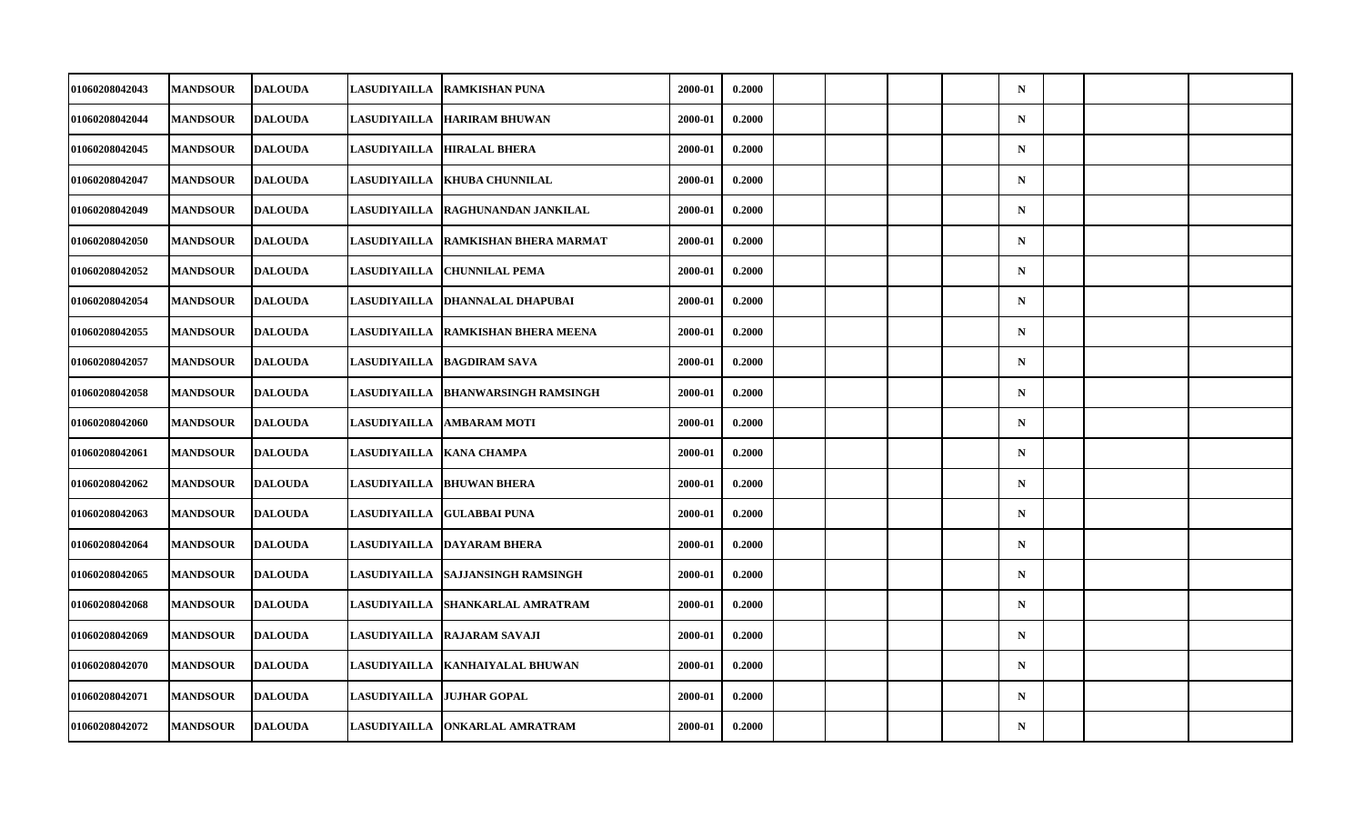| 01060208042043 | <b>MANDSOUR</b> | <b>DALOUDA</b> | <b>LASUDIYAILLA</b> | <b>RAMKISHAN PUNA</b>            | 2000-01 | 0.2000 |  |  | $\mathbf N$ |  |  |
|----------------|-----------------|----------------|---------------------|----------------------------------|---------|--------|--|--|-------------|--|--|
| 01060208042044 | <b>MANDSOUR</b> | <b>DALOUDA</b> | <b>LASUDIYAILLA</b> | <b>HARIRAM BHUWAN</b>            | 2000-01 | 0.2000 |  |  | ${\bf N}$   |  |  |
| 01060208042045 | <b>MANDSOUR</b> | <b>DALOUDA</b> | LASUDIYAILLA        | <b>HIRALAL BHERA</b>             | 2000-01 | 0.2000 |  |  | $\mathbf N$ |  |  |
| 01060208042047 | <b>MANDSOUR</b> | <b>DALOUDA</b> | LASUDIYAILLA        | <b>KHUBA CHUNNILAL</b>           | 2000-01 | 0.2000 |  |  | $\mathbf N$ |  |  |
| 01060208042049 | <b>MANDSOUR</b> | <b>DALOUDA</b> | <b>LASUDIYAILLA</b> | <b>RAGHUNANDAN JANKILAL</b>      | 2000-01 | 0.2000 |  |  | $\mathbf N$ |  |  |
| 01060208042050 | <b>MANDSOUR</b> | <b>DALOUDA</b> | <b>LASUDIYAILLA</b> | RAMKISHAN BHERA MARMAT           | 2000-01 | 0.2000 |  |  | ${\bf N}$   |  |  |
| 01060208042052 | <b>MANDSOUR</b> | <b>DALOUDA</b> | LASUDIYAILLA        | <b>CHUNNILAL PEMA</b>            | 2000-01 | 0.2000 |  |  | $\mathbf N$ |  |  |
| 01060208042054 | <b>MANDSOUR</b> | <b>DALOUDA</b> | <b>LASUDIYAILLA</b> | DHANNALAL DHAPUBAI               | 2000-01 | 0.2000 |  |  | $\mathbf N$ |  |  |
| 01060208042055 | <b>MANDSOUR</b> | <b>DALOUDA</b> | <b>LASUDIYAILLA</b> | <b>RAMKISHAN BHERA MEENA</b>     | 2000-01 | 0.2000 |  |  | $\mathbf N$ |  |  |
| 01060208042057 | <b>MANDSOUR</b> | <b>DALOUDA</b> | <b>LASUDIYAILLA</b> | <b>BAGDIRAM SAVA</b>             | 2000-01 | 0.2000 |  |  | $\mathbf N$ |  |  |
| 01060208042058 | <b>MANDSOUR</b> | <b>DALOUDA</b> | <b>LASUDIYAILLA</b> | <b>BHANWARSINGH RAMSINGH</b>     | 2000-01 | 0.2000 |  |  | $\mathbf N$ |  |  |
| 01060208042060 | <b>MANDSOUR</b> | <b>DALOUDA</b> | <b>LASUDIYAILLA</b> | <b>AMBARAM MOTI</b>              | 2000-01 | 0.2000 |  |  | $\mathbf N$ |  |  |
| 01060208042061 | <b>MANDSOUR</b> | <b>DALOUDA</b> | <b>LASUDIYAILLA</b> | <b>KANA CHAMPA</b>               | 2000-01 | 0.2000 |  |  | ${\bf N}$   |  |  |
| 01060208042062 | <b>MANDSOUR</b> | <b>DALOUDA</b> |                     | LASUDIYAILLA  BHUWAN BHERA       | 2000-01 | 0.2000 |  |  | $\mathbf N$ |  |  |
| 01060208042063 | <b>MANDSOUR</b> | <b>DALOUDA</b> | LASUDIYAILLA        | <b>GULABBAI PUNA</b>             | 2000-01 | 0.2000 |  |  | $\mathbf N$ |  |  |
| 01060208042064 | <b>MANDSOUR</b> | <b>DALOUDA</b> | <b>LASUDIYAILLA</b> | <b>DAYARAM BHERA</b>             | 2000-01 | 0.2000 |  |  | $\mathbf N$ |  |  |
| 01060208042065 | <b>MANDSOUR</b> | <b>DALOUDA</b> | <b>LASUDIYAILLA</b> | <b>ISAJJANSINGH RAMSINGH</b>     | 2000-01 | 0.2000 |  |  | $\mathbf N$ |  |  |
| 01060208042068 | <b>MANDSOUR</b> | <b>DALOUDA</b> | LASUDIYAILLA        | <b>SHANKARLAL AMRATRAM</b>       | 2000-01 | 0.2000 |  |  | $\mathbf N$ |  |  |
| 01060208042069 | <b>MANDSOUR</b> | <b>DALOUDA</b> | <b>LASUDIYAILLA</b> | <b>RAJARAM SAVAJI</b>            | 2000-01 | 0.2000 |  |  | $\mathbf N$ |  |  |
| 01060208042070 | <b>MANDSOUR</b> | <b>DALOUDA</b> |                     | LASUDIYAILLA  KANHAIYALAL BHUWAN | 2000-01 | 0.2000 |  |  | $\mathbf N$ |  |  |
| 01060208042071 | <b>MANDSOUR</b> | <b>DALOUDA</b> | <b>LASUDIYAILLA</b> | <b>JUJHAR GOPAL</b>              | 2000-01 | 0.2000 |  |  | $\mathbf N$ |  |  |
| 01060208042072 | <b>MANDSOUR</b> | <b>DALOUDA</b> | <b>LASUDIYAILLA</b> | <b>ONKARLAL AMRATRAM</b>         | 2000-01 | 0.2000 |  |  | $\mathbf N$ |  |  |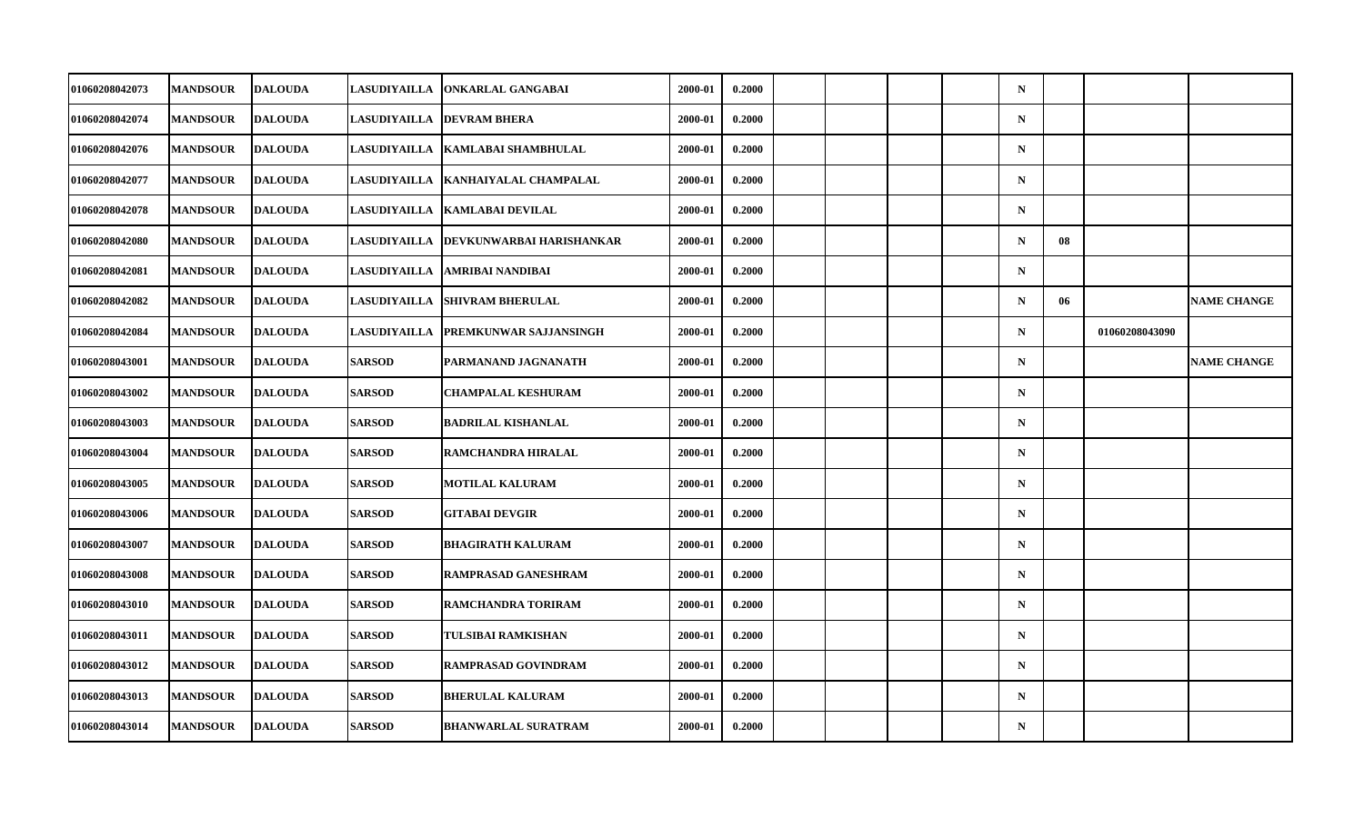| 01060208042073 | <b>MANDSOUR</b> | <b>DALOUDA</b> | <b>LASUDIYAILLA</b> | <b>ONKARLAL GANGABAI</b>        | 2000-01 | 0.2000 |  |  | $\mathbf N$ |    |                |                    |
|----------------|-----------------|----------------|---------------------|---------------------------------|---------|--------|--|--|-------------|----|----------------|--------------------|
| 01060208042074 | <b>MANDSOUR</b> | <b>DALOUDA</b> | <b>LASUDIYAILLA</b> | <b>DEVRAM BHERA</b>             | 2000-01 | 0.2000 |  |  | $\mathbf N$ |    |                |                    |
| 01060208042076 | <b>MANDSOUR</b> | <b>DALOUDA</b> | <b>LASUDIYAILLA</b> | KAMLABAI SHAMBHULAL             | 2000-01 | 0.2000 |  |  | $\mathbf N$ |    |                |                    |
| 01060208042077 | <b>MANDSOUR</b> | <b>DALOUDA</b> | LASUDIYAILLA        | KANHAIYALAL CHAMPALAL           | 2000-01 | 0.2000 |  |  | $\mathbf N$ |    |                |                    |
| 01060208042078 | <b>MANDSOUR</b> | <b>DALOUDA</b> | <b>LASUDIYAILLA</b> | <b>KAMLABAI DEVILAL</b>         | 2000-01 | 0.2000 |  |  | $\mathbf N$ |    |                |                    |
| 01060208042080 | <b>MANDSOUR</b> | <b>DALOUDA</b> | <b>LASUDIYAILLA</b> | <b>DEVKUNWARBAI HARISHANKAR</b> | 2000-01 | 0.2000 |  |  | $\mathbf N$ | 08 |                |                    |
| 01060208042081 | <b>MANDSOUR</b> | <b>DALOUDA</b> | LASUDIYAILLA        | AMRIBAI NANDIBAI                | 2000-01 | 0.2000 |  |  | $\mathbf N$ |    |                |                    |
| 01060208042082 | <b>MANDSOUR</b> | <b>DALOUDA</b> | <b>LASUDIYAILLA</b> | <b>SHIVRAM BHERULAL</b>         | 2000-01 | 0.2000 |  |  | $\mathbf N$ | 06 |                | <b>NAME CHANGE</b> |
| 01060208042084 | <b>MANDSOUR</b> | <b>DALOUDA</b> | <b>LASUDIYAILLA</b> | <b>PREMKUNWAR SAJJANSINGH</b>   | 2000-01 | 0.2000 |  |  | $\mathbf N$ |    | 01060208043090 |                    |
| 01060208043001 | <b>MANDSOUR</b> | <b>DALOUDA</b> | <b>SARSOD</b>       | PARMANAND JAGNANATH             | 2000-01 | 0.2000 |  |  | $\mathbf N$ |    |                | <b>NAME CHANGE</b> |
| 01060208043002 | <b>MANDSOUR</b> | <b>DALOUDA</b> | <b>SARSOD</b>       | <b>CHAMPALAL KESHURAM</b>       | 2000-01 | 0.2000 |  |  | $\mathbf N$ |    |                |                    |
| 01060208043003 | <b>MANDSOUR</b> | <b>DALOUDA</b> | <b>SARSOD</b>       | <b>BADRILAL KISHANLAL</b>       | 2000-01 | 0.2000 |  |  | $\mathbf N$ |    |                |                    |
| 01060208043004 | <b>MANDSOUR</b> | <b>DALOUDA</b> | <b>SARSOD</b>       | RAMCHANDRA HIRALAL              | 2000-01 | 0.2000 |  |  | $\mathbf N$ |    |                |                    |
| 01060208043005 | <b>MANDSOUR</b> | <b>DALOUDA</b> | <b>SARSOD</b>       | <b>MOTILAL KALURAM</b>          | 2000-01 | 0.2000 |  |  | $\mathbf N$ |    |                |                    |
| 01060208043006 | <b>MANDSOUR</b> | <b>DALOUDA</b> | <b>SARSOD</b>       | <b>GITABAI DEVGIR</b>           | 2000-01 | 0.2000 |  |  | $\mathbf N$ |    |                |                    |
| 01060208043007 | <b>MANDSOUR</b> | <b>DALOUDA</b> | <b>SARSOD</b>       | <b>BHAGIRATH KALURAM</b>        | 2000-01 | 0.2000 |  |  | $\mathbf N$ |    |                |                    |
| 01060208043008 | <b>MANDSOUR</b> | <b>DALOUDA</b> | <b>SARSOD</b>       | RAMPRASAD GANESHRAM             | 2000-01 | 0.2000 |  |  | $\mathbf N$ |    |                |                    |
| 01060208043010 | <b>MANDSOUR</b> | <b>DALOUDA</b> | <b>SARSOD</b>       | RAMCHANDRA TORIRAM              | 2000-01 | 0.2000 |  |  | $\mathbf N$ |    |                |                    |
| 01060208043011 | <b>MANDSOUR</b> | <b>DALOUDA</b> | <b>SARSOD</b>       | TULSIBAI RAMKISHAN              | 2000-01 | 0.2000 |  |  | $\mathbf N$ |    |                |                    |
| 01060208043012 | <b>MANDSOUR</b> | <b>DALOUDA</b> | <b>SARSOD</b>       | <b>RAMPRASAD GOVINDRAM</b>      | 2000-01 | 0.2000 |  |  | $\mathbf N$ |    |                |                    |
| 01060208043013 | <b>MANDSOUR</b> | <b>DALOUDA</b> | <b>SARSOD</b>       | <b>BHERULAL KALURAM</b>         | 2000-01 | 0.2000 |  |  | $\mathbf N$ |    |                |                    |
| 01060208043014 | <b>MANDSOUR</b> | <b>DALOUDA</b> | <b>SARSOD</b>       | <b>BHANWARLAL SURATRAM</b>      | 2000-01 | 0.2000 |  |  | $\mathbf N$ |    |                |                    |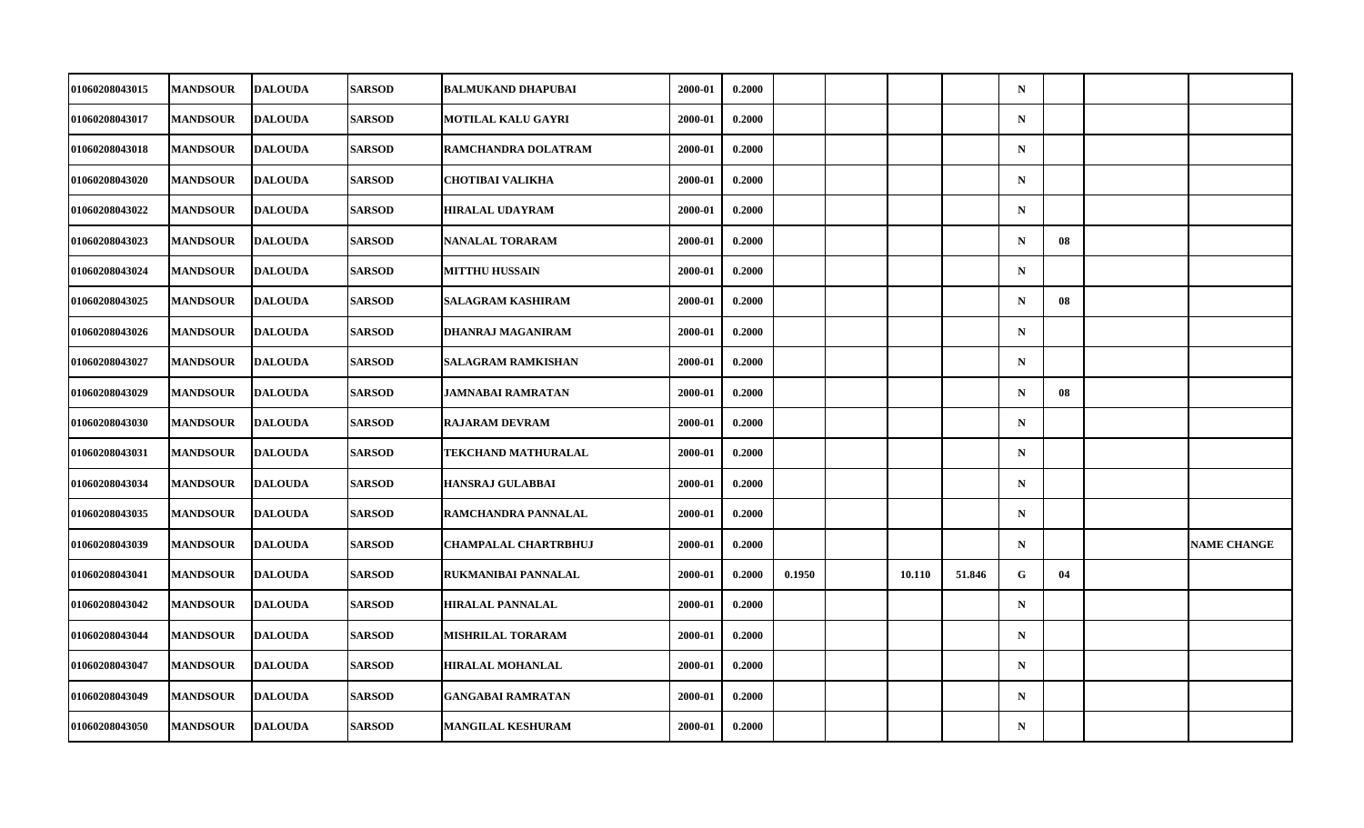| 01060208043015        | <b>MANDSOUR</b> | <b>DALOUDA</b> | <b>SARSOD</b> | <b>BALMUKAND DHAPUBAI</b>   | 2000-01 | 0.2000 |        |        |        | $\mathbf N$ |    |                    |
|-----------------------|-----------------|----------------|---------------|-----------------------------|---------|--------|--------|--------|--------|-------------|----|--------------------|
| 01060208043017        | <b>MANDSOUR</b> | <b>DALOUDA</b> | <b>SARSOD</b> | MOTILAL KALU GAYRI          | 2000-01 | 0.2000 |        |        |        | ${\bf N}$   |    |                    |
| 01060208043018        | <b>MANDSOUR</b> | <b>DALOUDA</b> | <b>SARSOD</b> | RAMCHANDRA DOLATRAM         | 2000-01 | 0.2000 |        |        |        | $\mathbf N$ |    |                    |
| <b>01060208043020</b> | <b>MANDSOUR</b> | <b>DALOUDA</b> | <b>SARSOD</b> | <b>CHOTIBAI VALIKHA</b>     | 2000-01 | 0.2000 |        |        |        | $\mathbf N$ |    |                    |
| 01060208043022        | <b>MANDSOUR</b> | <b>DALOUDA</b> | <b>SARSOD</b> | <b>HIRALAL UDAYRAM</b>      | 2000-01 | 0.2000 |        |        |        | $\mathbf N$ |    |                    |
| 01060208043023        | <b>MANDSOUR</b> | <b>DALOUDA</b> | <b>SARSOD</b> | <b>NANALAL TORARAM</b>      | 2000-01 | 0.2000 |        |        |        | $\mathbf N$ | 08 |                    |
| 01060208043024        | <b>MANDSOUR</b> | <b>DALOUDA</b> | <b>SARSOD</b> | <b>MITTHU HUSSAIN</b>       | 2000-01 | 0.2000 |        |        |        | $\mathbf N$ |    |                    |
| 01060208043025        | <b>MANDSOUR</b> | <b>DALOUDA</b> | <b>SARSOD</b> | <b>SALAGRAM KASHIRAM</b>    | 2000-01 | 0.2000 |        |        |        | $\mathbf N$ | 08 |                    |
| 01060208043026        | <b>MANDSOUR</b> | <b>DALOUDA</b> | <b>SARSOD</b> | DHANRAJ MAGANIRAM           | 2000-01 | 0.2000 |        |        |        | $\mathbf N$ |    |                    |
| 01060208043027        | <b>MANDSOUR</b> | <b>DALOUDA</b> | <b>SARSOD</b> | <b>SALAGRAM RAMKISHAN</b>   | 2000-01 | 0.2000 |        |        |        | $\mathbf N$ |    |                    |
| 01060208043029        | <b>MANDSOUR</b> | <b>DALOUDA</b> | <b>SARSOD</b> | JAMNABAI RAMRATAN           | 2000-01 | 0.2000 |        |        |        | $\mathbf N$ | 08 |                    |
| 01060208043030        | <b>MANDSOUR</b> | <b>DALOUDA</b> | <b>SARSOD</b> | <b>RAJARAM DEVRAM</b>       | 2000-01 | 0.2000 |        |        |        | $\mathbf N$ |    |                    |
| 01060208043031        | <b>MANDSOUR</b> | <b>DALOUDA</b> | <b>SARSOD</b> | TEKCHAND MATHURALAL         | 2000-01 | 0.2000 |        |        |        | ${\bf N}$   |    |                    |
| 01060208043034        | <b>MANDSOUR</b> | <b>DALOUDA</b> | <b>SARSOD</b> | <b>HANSRAJ GULABBAI</b>     | 2000-01 | 0.2000 |        |        |        | $\mathbf N$ |    |                    |
| 01060208043035        | <b>MANDSOUR</b> | <b>DALOUDA</b> | <b>SARSOD</b> | RAMCHANDRA PANNALAL         | 2000-01 | 0.2000 |        |        |        | $\mathbf N$ |    |                    |
| 01060208043039        | <b>MANDSOUR</b> | <b>DALOUDA</b> | <b>SARSOD</b> | <b>CHAMPALAL CHARTRBHUJ</b> | 2000-01 | 0.2000 |        |        |        | $\mathbf N$ |    | <b>NAME CHANGE</b> |
| <b>01060208043041</b> | <b>MANDSOUR</b> | <b>DALOUDA</b> | <b>SARSOD</b> | <b>RUKMANIBAI PANNALAL</b>  | 2000-01 | 0.2000 | 0.1950 | 10.110 | 51.846 | G           | 04 |                    |
| 01060208043042        | <b>MANDSOUR</b> | <b>DALOUDA</b> | <b>SARSOD</b> | <b>HIRALAL PANNALAL</b>     | 2000-01 | 0.2000 |        |        |        | $\mathbf N$ |    |                    |
| 01060208043044        | <b>MANDSOUR</b> | <b>DALOUDA</b> | <b>SARSOD</b> | <b>MISHRILAL TORARAM</b>    | 2000-01 | 0.2000 |        |        |        | $\mathbf N$ |    |                    |
| 01060208043047        | <b>MANDSOUR</b> | <b>DALOUDA</b> | <b>SARSOD</b> | <b>HIRALAL MOHANLAL</b>     | 2000-01 | 0.2000 |        |        |        | $\mathbf N$ |    |                    |
| 01060208043049        | <b>MANDSOUR</b> | <b>DALOUDA</b> | <b>SARSOD</b> | <b>GANGABAI RAMRATAN</b>    | 2000-01 | 0.2000 |        |        |        | $\mathbf N$ |    |                    |
| 01060208043050        | <b>MANDSOUR</b> | <b>DALOUDA</b> | <b>SARSOD</b> | <b>MANGILAL KESHURAM</b>    | 2000-01 | 0.2000 |        |        |        | ${\bf N}$   |    |                    |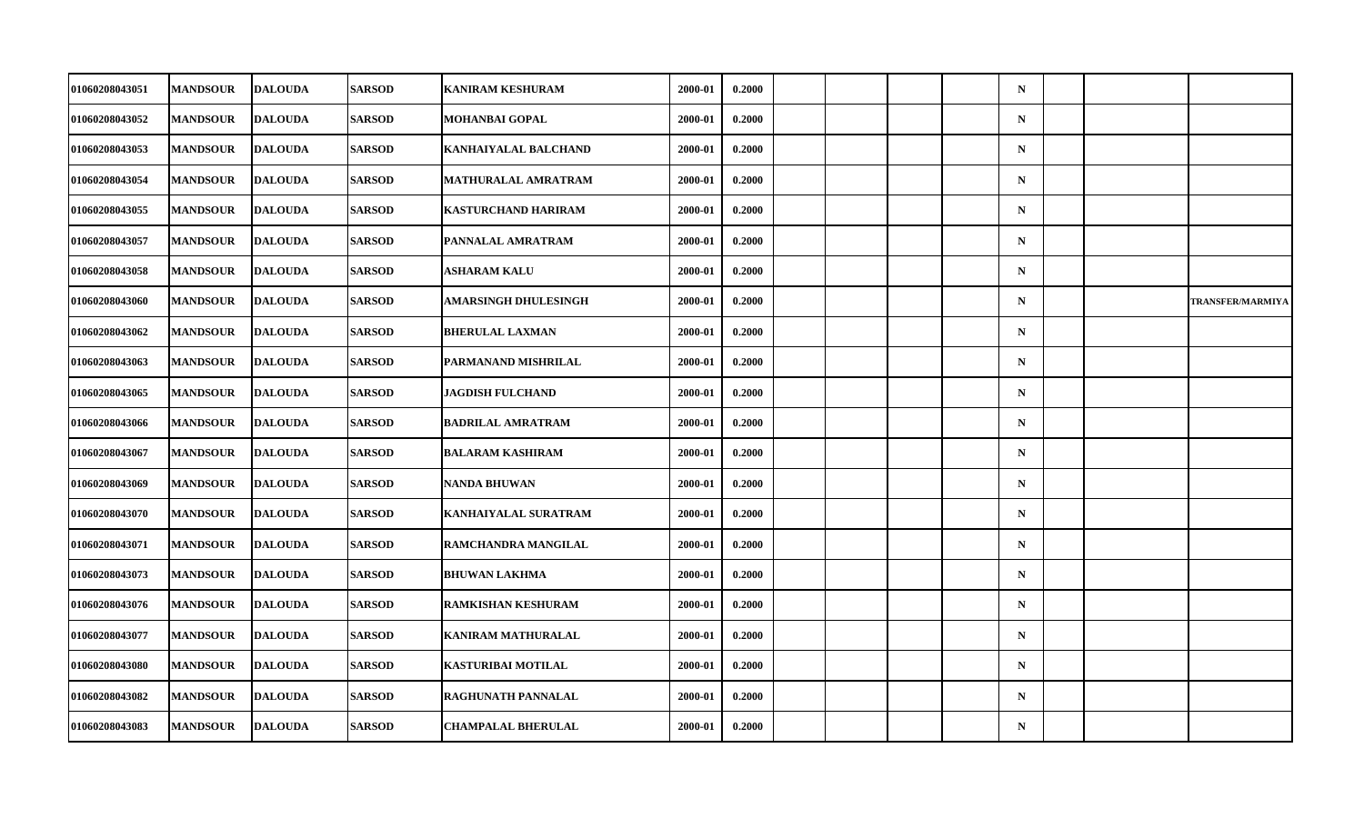| 01060208043051 | <b>MANDSOUR</b> | <b>DALOUDA</b> | <b>SARSOD</b> | <b>KANIRAM KESHURAM</b>     | 2000-01 | 0.2000 |  |  | $\mathbf N$ |  |                         |
|----------------|-----------------|----------------|---------------|-----------------------------|---------|--------|--|--|-------------|--|-------------------------|
| 01060208043052 | <b>MANDSOUR</b> | <b>DALOUDA</b> | <b>SARSOD</b> | <b>MOHANBAI GOPAL</b>       | 2000-01 | 0.2000 |  |  | $\mathbf N$ |  |                         |
| 01060208043053 | <b>MANDSOUR</b> | <b>DALOUDA</b> | <b>SARSOD</b> | <b>KANHAIYALAL BALCHAND</b> | 2000-01 | 0.2000 |  |  | $\mathbf N$ |  |                         |
| 01060208043054 | <b>MANDSOUR</b> | <b>DALOUDA</b> | <b>SARSOD</b> | MATHURALAL AMRATRAM         | 2000-01 | 0.2000 |  |  | $\mathbf N$ |  |                         |
| 01060208043055 | <b>MANDSOUR</b> | <b>DALOUDA</b> | <b>SARSOD</b> | <b>KASTURCHAND HARIRAM</b>  | 2000-01 | 0.2000 |  |  | $\mathbf N$ |  |                         |
| 01060208043057 | <b>MANDSOUR</b> | <b>DALOUDA</b> | <b>SARSOD</b> | PANNALAL AMRATRAM           | 2000-01 | 0.2000 |  |  | $\mathbf N$ |  |                         |
| 01060208043058 | <b>MANDSOUR</b> | <b>DALOUDA</b> | <b>SARSOD</b> | ASHARAM KALU                | 2000-01 | 0.2000 |  |  | $\mathbf N$ |  |                         |
| 01060208043060 | <b>MANDSOUR</b> | <b>DALOUDA</b> | <b>SARSOD</b> | <b>AMARSINGH DHULESINGH</b> | 2000-01 | 0.2000 |  |  | $\mathbf N$ |  | <b>TRANSFER/MARMIYA</b> |
| 01060208043062 | <b>MANDSOUR</b> | <b>DALOUDA</b> | <b>SARSOD</b> | <b>BHERULAL LAXMAN</b>      | 2000-01 | 0.2000 |  |  | $\mathbf N$ |  |                         |
| 01060208043063 | <b>MANDSOUR</b> | <b>DALOUDA</b> | <b>SARSOD</b> | PARMANAND MISHRILAL         | 2000-01 | 0.2000 |  |  | $\mathbf N$ |  |                         |
| 01060208043065 | <b>MANDSOUR</b> | <b>DALOUDA</b> | <b>SARSOD</b> | <b>JAGDISH FULCHAND</b>     | 2000-01 | 0.2000 |  |  | $\mathbf N$ |  |                         |
| 01060208043066 | <b>MANDSOUR</b> | <b>DALOUDA</b> | <b>SARSOD</b> | <b>BADRILAL AMRATRAM</b>    | 2000-01 | 0.2000 |  |  | $\mathbf N$ |  |                         |
| 01060208043067 | <b>MANDSOUR</b> | <b>DALOUDA</b> | <b>SARSOD</b> | <b>BALARAM KASHIRAM</b>     | 2000-01 | 0.2000 |  |  | $\mathbf N$ |  |                         |
| 01060208043069 | <b>MANDSOUR</b> | <b>DALOUDA</b> | <b>SARSOD</b> | <b>NANDA BHUWAN</b>         | 2000-01 | 0.2000 |  |  | $\mathbf N$ |  |                         |
| 01060208043070 | <b>MANDSOUR</b> | <b>DALOUDA</b> | <b>SARSOD</b> | <b>KANHAIYALAL SURATRAM</b> | 2000-01 | 0.2000 |  |  | $\mathbf N$ |  |                         |
| 01060208043071 | <b>MANDSOUR</b> | <b>DALOUDA</b> | <b>SARSOD</b> | RAMCHANDRA MANGILAL         | 2000-01 | 0.2000 |  |  | $\mathbf N$ |  |                         |
| 01060208043073 | <b>MANDSOUR</b> | <b>DALOUDA</b> | <b>SARSOD</b> | <b>BHUWAN LAKHMA</b>        | 2000-01 | 0.2000 |  |  | $\mathbf N$ |  |                         |
| 01060208043076 | <b>MANDSOUR</b> | <b>DALOUDA</b> | <b>SARSOD</b> | <b>RAMKISHAN KESHURAM</b>   | 2000-01 | 0.2000 |  |  | $\mathbf N$ |  |                         |
| 01060208043077 | <b>MANDSOUR</b> | <b>DALOUDA</b> | <b>SARSOD</b> | KANIRAM MATHURALAL          | 2000-01 | 0.2000 |  |  | $\mathbf N$ |  |                         |
| 01060208043080 | <b>MANDSOUR</b> | <b>DALOUDA</b> | <b>SARSOD</b> | <b>KASTURIBAI MOTILAL</b>   | 2000-01 | 0.2000 |  |  | $\mathbf N$ |  |                         |
| 01060208043082 | <b>MANDSOUR</b> | <b>DALOUDA</b> | <b>SARSOD</b> | RAGHUNATH PANNALAL          | 2000-01 | 0.2000 |  |  | $\mathbf N$ |  |                         |
| 01060208043083 | <b>MANDSOUR</b> | <b>DALOUDA</b> | <b>SARSOD</b> | <b>CHAMPALAL BHERULAL</b>   | 2000-01 | 0.2000 |  |  | ${\bf N}$   |  |                         |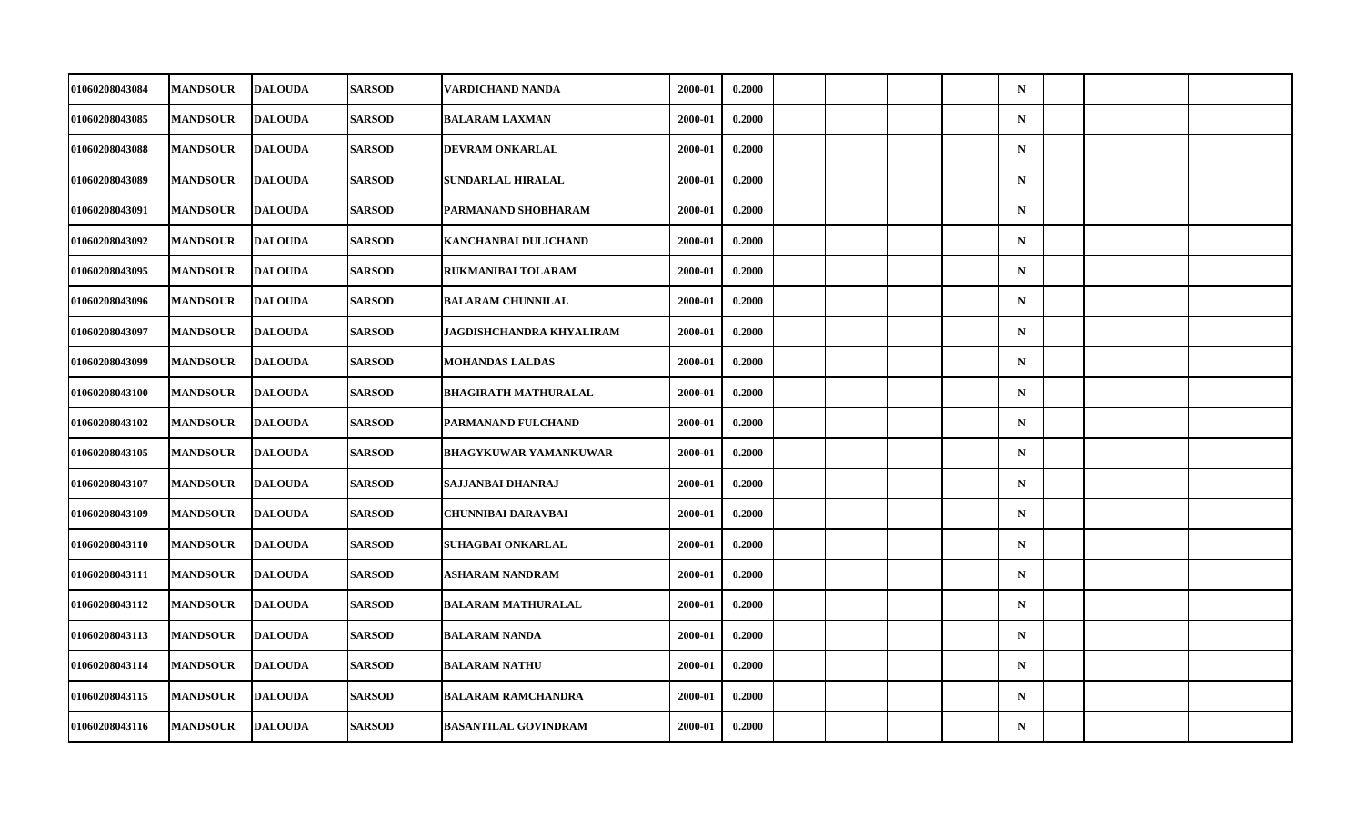| 01060208043084        | <b>MANDSOUR</b> | <b>DALOUDA</b> | <b>SARSOD</b> | VARDICHAND NANDA             | 2000-01 | 0.2000 |  |  | $\mathbf N$ |  |  |
|-----------------------|-----------------|----------------|---------------|------------------------------|---------|--------|--|--|-------------|--|--|
| 01060208043085        | <b>MANDSOUR</b> | <b>DALOUDA</b> | <b>SARSOD</b> | <b>BALARAM LAXMAN</b>        | 2000-01 | 0.2000 |  |  | ${\bf N}$   |  |  |
| 01060208043088        | <b>MANDSOUR</b> | <b>DALOUDA</b> | <b>SARSOD</b> | DEVRAM ONKARLAL              | 2000-01 | 0.2000 |  |  | $\mathbf N$ |  |  |
| 01060208043089        | <b>MANDSOUR</b> | <b>DALOUDA</b> | <b>SARSOD</b> | SUNDARLAL HIRALAL            | 2000-01 | 0.2000 |  |  | $\mathbf N$ |  |  |
| 01060208043091        | <b>MANDSOUR</b> | <b>DALOUDA</b> | <b>SARSOD</b> | PARMANAND SHOBHARAM          | 2000-01 | 0.2000 |  |  | $\mathbf N$ |  |  |
| 01060208043092        | <b>MANDSOUR</b> | <b>DALOUDA</b> | <b>SARSOD</b> | KANCHANBAI DULICHAND         | 2000-01 | 0.2000 |  |  | $\mathbf N$ |  |  |
| 01060208043095        | <b>MANDSOUR</b> | <b>DALOUDA</b> | <b>SARSOD</b> | RUKMANIBAI TOLARAM           | 2000-01 | 0.2000 |  |  | $\mathbf N$ |  |  |
| 01060208043096        | <b>MANDSOUR</b> | <b>DALOUDA</b> | <b>SARSOD</b> | <b>BALARAM CHUNNILAL</b>     | 2000-01 | 0.2000 |  |  | $\mathbf N$ |  |  |
| 01060208043097        | <b>MANDSOUR</b> | <b>DALOUDA</b> | <b>SARSOD</b> | JAGDISHCHANDRA KHYALIRAM     | 2000-01 | 0.2000 |  |  | $\mathbf N$ |  |  |
| 01060208043099        | <b>MANDSOUR</b> | <b>DALOUDA</b> | <b>SARSOD</b> | <b>MOHANDAS LALDAS</b>       | 2000-01 | 0.2000 |  |  | $\mathbf N$ |  |  |
| 01060208043100        | <b>MANDSOUR</b> | <b>DALOUDA</b> | <b>SARSOD</b> | <b>BHAGIRATH MATHURALAL</b>  | 2000-01 | 0.2000 |  |  | $\mathbf N$ |  |  |
| 01060208043102        | <b>MANDSOUR</b> | <b>DALOUDA</b> | <b>SARSOD</b> | PARMANAND FULCHAND           | 2000-01 | 0.2000 |  |  | $\mathbf N$ |  |  |
| 01060208043105        | <b>MANDSOUR</b> | <b>DALOUDA</b> | <b>SARSOD</b> | <b>BHAGYKUWAR YAMANKUWAR</b> | 2000-01 | 0.2000 |  |  | ${\bf N}$   |  |  |
| 01060208043107        | <b>MANDSOUR</b> | <b>DALOUDA</b> | <b>SARSOD</b> | SAJJANBAI DHANRAJ            | 2000-01 | 0.2000 |  |  | $\mathbf N$ |  |  |
| 01060208043109        | <b>MANDSOUR</b> | <b>DALOUDA</b> | <b>SARSOD</b> | <b>CHUNNIBAI DARAVBAI</b>    | 2000-01 | 0.2000 |  |  | $\mathbf N$ |  |  |
| 01060208043110        | <b>MANDSOUR</b> | <b>DALOUDA</b> | <b>SARSOD</b> | <b>SUHAGBAI ONKARLAL</b>     | 2000-01 | 0.2000 |  |  | $\mathbf N$ |  |  |
| <b>01060208043111</b> | <b>MANDSOUR</b> | <b>DALOUDA</b> | <b>SARSOD</b> | ASHARAM NANDRAM              | 2000-01 | 0.2000 |  |  | $\mathbf N$ |  |  |
| 01060208043112        | <b>MANDSOUR</b> | <b>DALOUDA</b> | <b>SARSOD</b> | <b>BALARAM MATHURALAL</b>    | 2000-01 | 0.2000 |  |  | $\mathbf N$ |  |  |
| 01060208043113        | <b>MANDSOUR</b> | <b>DALOUDA</b> | <b>SARSOD</b> | <b>BALARAM NANDA</b>         | 2000-01 | 0.2000 |  |  | $\mathbf N$ |  |  |
| 01060208043114        | <b>MANDSOUR</b> | <b>DALOUDA</b> | <b>SARSOD</b> | <b>BALARAM NATHU</b>         | 2000-01 | 0.2000 |  |  | $\mathbf N$ |  |  |
| 01060208043115        | <b>MANDSOUR</b> | <b>DALOUDA</b> | <b>SARSOD</b> | <b>BALARAM RAMCHANDRA</b>    | 2000-01 | 0.2000 |  |  | $\mathbf N$ |  |  |
| 01060208043116        | <b>MANDSOUR</b> | <b>DALOUDA</b> | <b>SARSOD</b> | <b>BASANTILAL GOVINDRAM</b>  | 2000-01 | 0.2000 |  |  | ${\bf N}$   |  |  |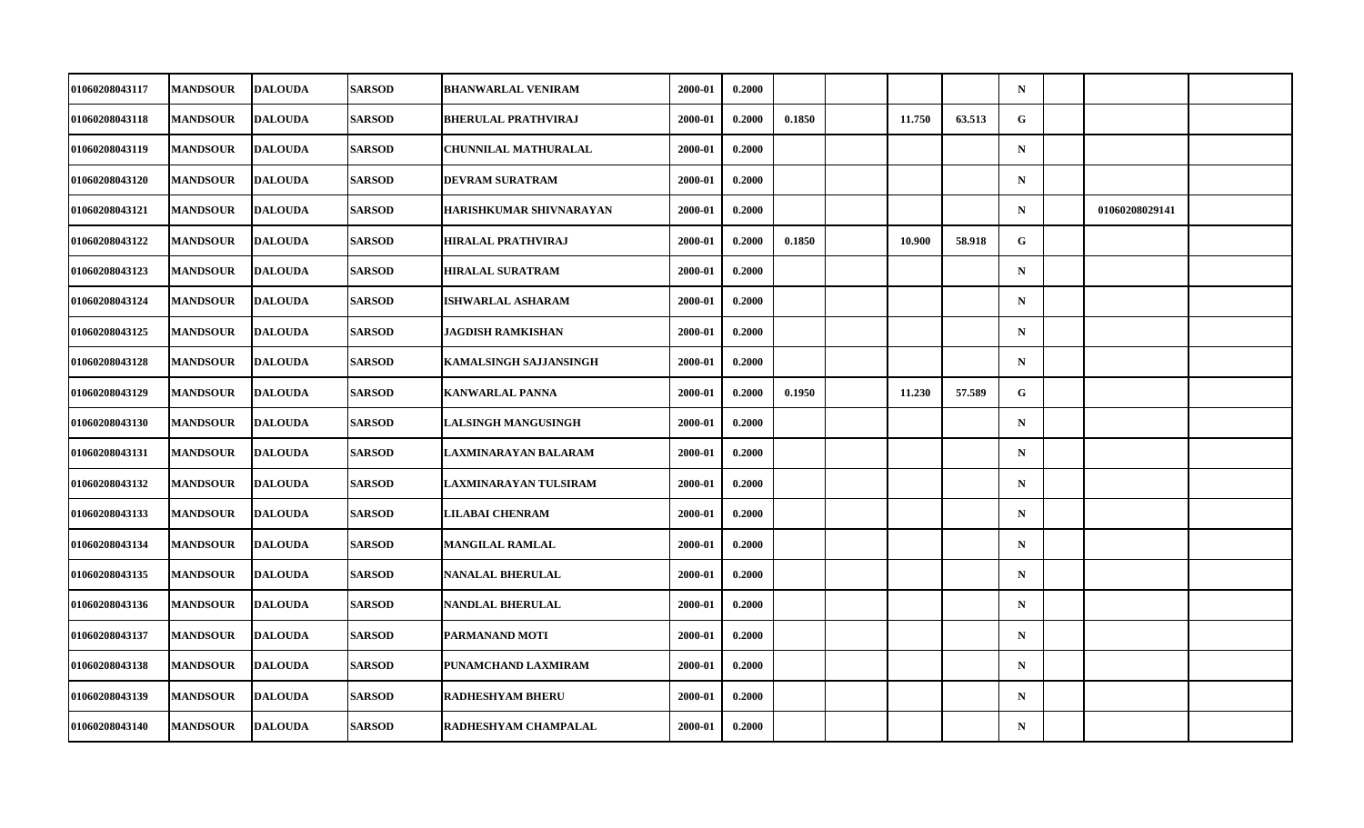| 01060208043117        | <b>MANDSOUR</b> | <b>DALOUDA</b> | <b>SARSOD</b> | <b>BHANWARLAL VENIRAM</b>     | 2000-01 | 0.2000 |        |        |        | $\mathbf N$ |                |  |
|-----------------------|-----------------|----------------|---------------|-------------------------------|---------|--------|--------|--------|--------|-------------|----------------|--|
| 01060208043118        | <b>MANDSOUR</b> | <b>DALOUDA</b> | <b>SARSOD</b> | <b>BHERULAL PRATHVIRAJ</b>    | 2000-01 | 0.2000 | 0.1850 | 11.750 | 63.513 | G           |                |  |
| 01060208043119        | <b>MANDSOUR</b> | <b>DALOUDA</b> | <b>SARSOD</b> | <b>CHUNNILAL MATHURALAL</b>   | 2000-01 | 0.2000 |        |        |        | $\mathbf N$ |                |  |
| 01060208043120        | <b>MANDSOUR</b> | <b>DALOUDA</b> | <b>SARSOD</b> | DEVRAM SURATRAM               | 2000-01 | 0.2000 |        |        |        | $\mathbf N$ |                |  |
| 01060208043121        | <b>MANDSOUR</b> | <b>DALOUDA</b> | <b>SARSOD</b> | HARISHKUMAR SHIVNARAYAN       | 2000-01 | 0.2000 |        |        |        | $\mathbf N$ | 01060208029141 |  |
| 01060208043122        | <b>MANDSOUR</b> | <b>DALOUDA</b> | <b>SARSOD</b> | <b>HIRALAL PRATHVIRAJ</b>     | 2000-01 | 0.2000 | 0.1850 | 10.900 | 58.918 | G           |                |  |
| 01060208043123        | <b>MANDSOUR</b> | <b>DALOUDA</b> | <b>SARSOD</b> | HIRALAL SURATRAM              | 2000-01 | 0.2000 |        |        |        | $\mathbf N$ |                |  |
| 01060208043124        | <b>MANDSOUR</b> | <b>DALOUDA</b> | <b>SARSOD</b> | <b>ISHWARLAL ASHARAM</b>      | 2000-01 | 0.2000 |        |        |        | $\mathbf N$ |                |  |
| 01060208043125        | <b>MANDSOUR</b> | <b>DALOUDA</b> | <b>SARSOD</b> | JAGDISH RAMKISHAN             | 2000-01 | 0.2000 |        |        |        | $\mathbf N$ |                |  |
| 01060208043128        | <b>MANDSOUR</b> | <b>DALOUDA</b> | <b>SARSOD</b> | <b>KAMALSINGH SAJJANSINGH</b> | 2000-01 | 0.2000 |        |        |        | $\mathbf N$ |                |  |
| 01060208043129        | <b>MANDSOUR</b> | <b>DALOUDA</b> | <b>SARSOD</b> | <b>KANWARLAL PANNA</b>        | 2000-01 | 0.2000 | 0.1950 | 11.230 | 57.589 | G           |                |  |
| 01060208043130        | <b>MANDSOUR</b> | <b>DALOUDA</b> | <b>SARSOD</b> | <b>LALSINGH MANGUSINGH</b>    | 2000-01 | 0.2000 |        |        |        | $\mathbf N$ |                |  |
| 01060208043131        | <b>MANDSOUR</b> | <b>DALOUDA</b> | <b>SARSOD</b> | LAXMINARAYAN BALARAM          | 2000-01 | 0.2000 |        |        |        | ${\bf N}$   |                |  |
| 01060208043132        | <b>MANDSOUR</b> | <b>DALOUDA</b> | <b>SARSOD</b> | LAXMINARAYAN TULSIRAM         | 2000-01 | 0.2000 |        |        |        | $\mathbf N$ |                |  |
| 01060208043133        | <b>MANDSOUR</b> | <b>DALOUDA</b> | <b>SARSOD</b> | <b>LILABAI CHENRAM</b>        | 2000-01 | 0.2000 |        |        |        | $\mathbf N$ |                |  |
| 01060208043134        | <b>MANDSOUR</b> | <b>DALOUDA</b> | <b>SARSOD</b> | <b>MANGILAL RAMLAL</b>        | 2000-01 | 0.2000 |        |        |        | $\mathbf N$ |                |  |
| <b>01060208043135</b> | <b>MANDSOUR</b> | <b>DALOUDA</b> | <b>SARSOD</b> | <b>NANALAL BHERULAL</b>       | 2000-01 | 0.2000 |        |        |        | $\mathbf N$ |                |  |
| 01060208043136        | <b>MANDSOUR</b> | <b>DALOUDA</b> | <b>SARSOD</b> | NANDLAL BHERULAL              | 2000-01 | 0.2000 |        |        |        | $\mathbf N$ |                |  |
| 01060208043137        | <b>MANDSOUR</b> | <b>DALOUDA</b> | <b>SARSOD</b> | PARMANAND MOTI                | 2000-01 | 0.2000 |        |        |        | $\mathbf N$ |                |  |
| 01060208043138        | <b>MANDSOUR</b> | <b>DALOUDA</b> | <b>SARSOD</b> | PUNAMCHAND LAXMIRAM           | 2000-01 | 0.2000 |        |        |        | $\mathbf N$ |                |  |
| 01060208043139        | <b>MANDSOUR</b> | <b>DALOUDA</b> | <b>SARSOD</b> | <b>RADHESHYAM BHERU</b>       | 2000-01 | 0.2000 |        |        |        | $\mathbf N$ |                |  |
| 01060208043140        | <b>MANDSOUR</b> | <b>DALOUDA</b> | <b>SARSOD</b> | RADHESHYAM CHAMPALAL          | 2000-01 | 0.2000 |        |        |        | $\mathbf N$ |                |  |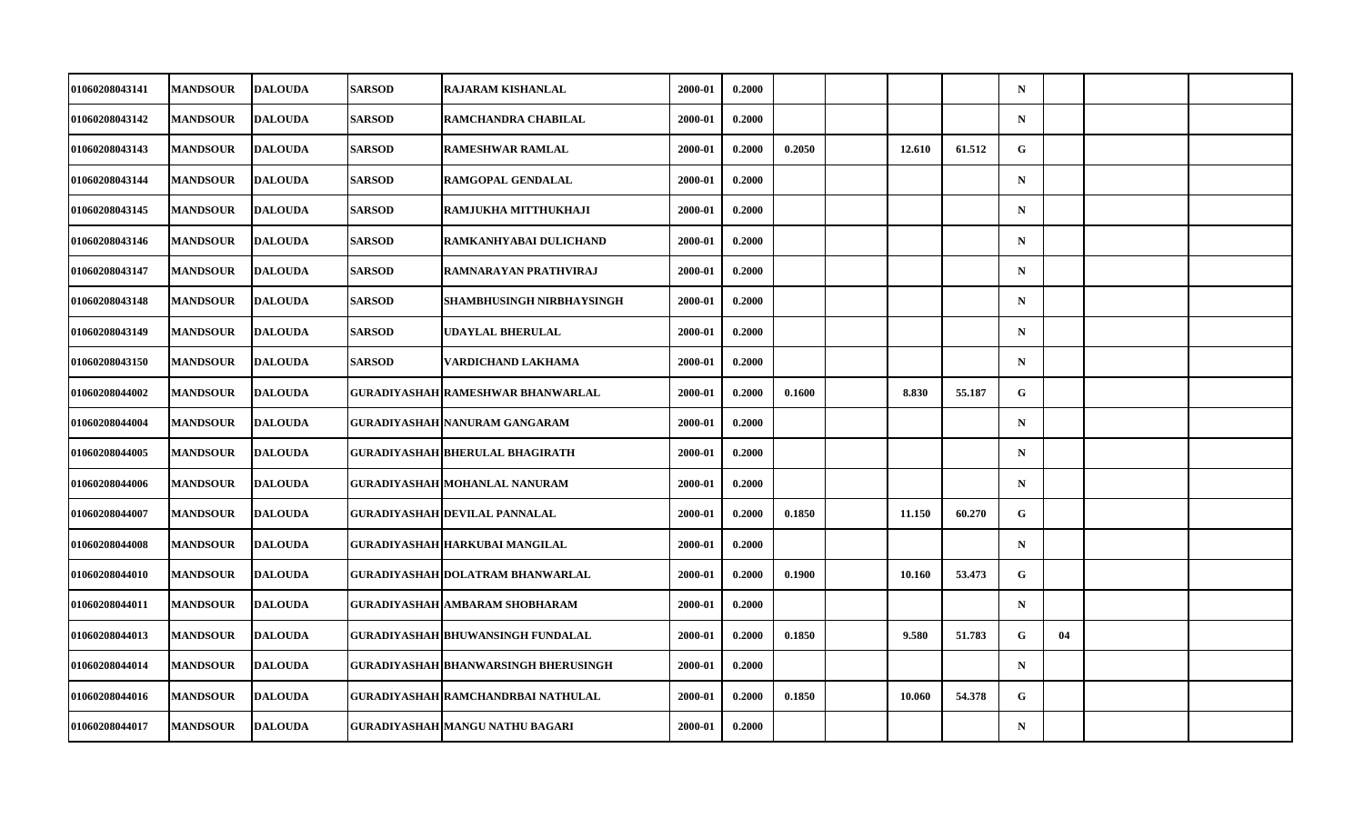| 01060208043141 | <b>MANDSOUR</b> | <b>DALOUDA</b> | <b>SARSOD</b> | <b>RAJARAM KISHANLAL</b>              | 2000-01 | 0.2000 |        |        |        | $\mathbf N$ |    |  |
|----------------|-----------------|----------------|---------------|---------------------------------------|---------|--------|--------|--------|--------|-------------|----|--|
| 01060208043142 | <b>MANDSOUR</b> | <b>DALOUDA</b> | <b>SARSOD</b> | RAMCHANDRA CHABILAL                   | 2000-01 | 0.2000 |        |        |        | $\mathbf N$ |    |  |
| 01060208043143 | <b>MANDSOUR</b> | <b>DALOUDA</b> | <b>SARSOD</b> | <b>RAMESHWAR RAMLAL</b>               | 2000-01 | 0.2000 | 0.2050 | 12.610 | 61.512 | G           |    |  |
| 01060208043144 | <b>MANDSOUR</b> | <b>DALOUDA</b> | <b>SARSOD</b> | RAMGOPAL GENDALAL                     | 2000-01 | 0.2000 |        |        |        | $\mathbf N$ |    |  |
| 01060208043145 | <b>MANDSOUR</b> | <b>DALOUDA</b> | <b>SARSOD</b> | RAMJUKHA MITTHUKHAJI                  | 2000-01 | 0.2000 |        |        |        | $\mathbf N$ |    |  |
| 01060208043146 | <b>MANDSOUR</b> | <b>DALOUDA</b> | <b>SARSOD</b> | RAMKANHYABAI DULICHAND                | 2000-01 | 0.2000 |        |        |        | $\mathbf N$ |    |  |
| 01060208043147 | <b>MANDSOUR</b> | <b>DALOUDA</b> | <b>SARSOD</b> | RAMNARAYAN PRATHVIRAJ                 | 2000-01 | 0.2000 |        |        |        | $\mathbf N$ |    |  |
| 01060208043148 | <b>MANDSOUR</b> | <b>DALOUDA</b> | <b>SARSOD</b> | <b>SHAMBHUSINGH NIRBHAYSINGH</b>      | 2000-01 | 0.2000 |        |        |        | $\mathbf N$ |    |  |
| 01060208043149 | <b>MANDSOUR</b> | <b>DALOUDA</b> | <b>SARSOD</b> | <b>UDAYLAL BHERULAL</b>               | 2000-01 | 0.2000 |        |        |        | $\mathbf N$ |    |  |
| 01060208043150 | <b>MANDSOUR</b> | <b>DALOUDA</b> | <b>SARSOD</b> | VARDICHAND LAKHAMA                    | 2000-01 | 0.2000 |        |        |        | $\mathbf N$ |    |  |
| 01060208044002 | <b>MANDSOUR</b> | <b>DALOUDA</b> |               | GURADIYASHAH RAMESHWAR BHANWARLAL     | 2000-01 | 0.2000 | 0.1600 | 8.830  | 55.187 | G           |    |  |
| 01060208044004 | <b>MANDSOUR</b> | <b>DALOUDA</b> |               | GURADIYASHAH NANURAM GANGARAM         | 2000-01 | 0.2000 |        |        |        | $\mathbf N$ |    |  |
| 01060208044005 | <b>MANDSOUR</b> | <b>DALOUDA</b> |               | GURADIYASHAH BHERULAL BHAGIRATH       | 2000-01 | 0.2000 |        |        |        | $\mathbf N$ |    |  |
| 01060208044006 | <b>MANDSOUR</b> | <b>DALOUDA</b> |               | GURADIYASHAH MOHANLAL NANURAM         | 2000-01 | 0.2000 |        |        |        | $\mathbf N$ |    |  |
| 01060208044007 | <b>MANDSOUR</b> | <b>DALOUDA</b> |               | GURADIYASHAH DEVILAL PANNALAL         | 2000-01 | 0.2000 | 0.1850 | 11.150 | 60.270 | G           |    |  |
| 01060208044008 | <b>MANDSOUR</b> | <b>DALOUDA</b> |               | GURADIYASHAH HARKUBAI MANGILAL        | 2000-01 | 0.2000 |        |        |        | $\mathbf N$ |    |  |
| 01060208044010 | <b>MANDSOUR</b> | <b>DALOUDA</b> |               | GURADIYASHAH DOLATRAM BHANWARLAL      | 2000-01 | 0.2000 | 0.1900 | 10.160 | 53.473 | G           |    |  |
| 01060208044011 | <b>MANDSOUR</b> | <b>DALOUDA</b> |               | <b>GURADIYASHAH AMBARAM SHOBHARAM</b> | 2000-01 | 0.2000 |        |        |        | $\mathbf N$ |    |  |
| 01060208044013 | <b>MANDSOUR</b> | <b>DALOUDA</b> |               | GURADIYASHAH BHUWANSINGH FUNDALAL     | 2000-01 | 0.2000 | 0.1850 | 9.580  | 51.783 | G           | 04 |  |
| 01060208044014 | <b>MANDSOUR</b> | <b>DALOUDA</b> |               | GURADIYASHAH BHANWARSINGH BHERUSINGH  | 2000-01 | 0.2000 |        |        |        | $\mathbf N$ |    |  |
| 01060208044016 | <b>MANDSOUR</b> | <b>DALOUDA</b> |               | GURADIYASHAH RAMCHANDRBAI NATHULAL    | 2000-01 | 0.2000 | 0.1850 | 10.060 | 54.378 | G           |    |  |
| 01060208044017 | <b>MANDSOUR</b> | <b>DALOUDA</b> |               | GURADIYASHAH MANGU NATHU BAGARI       | 2000-01 | 0.2000 |        |        |        | $\mathbf N$ |    |  |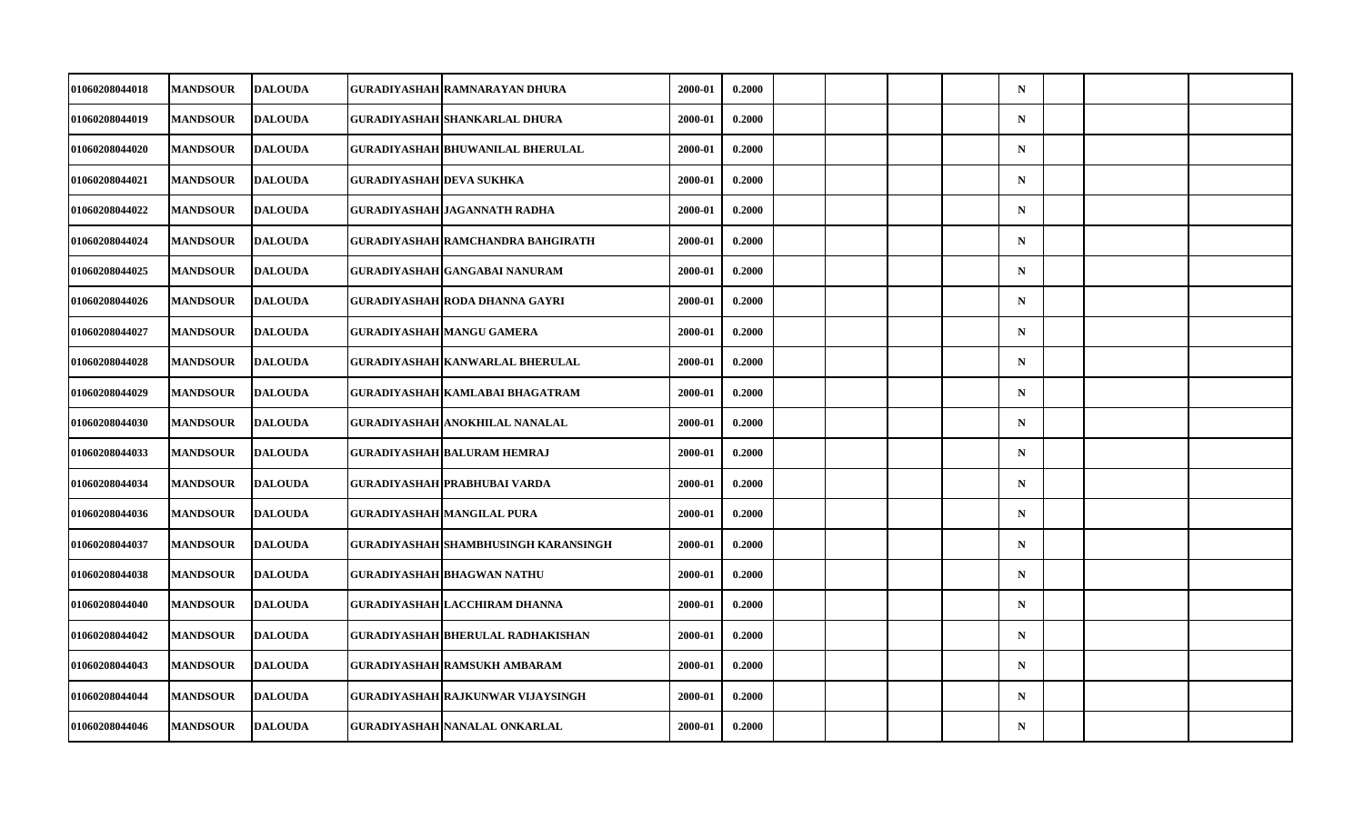| 01060208044018 | <b>MANDSOUR</b> | <b>DALOUDA</b> |                          | GURADIYASHAH RAMNARAYAN DHURA           | 2000-01 | 0.2000 |  |  | $\mathbf N$ |  |  |
|----------------|-----------------|----------------|--------------------------|-----------------------------------------|---------|--------|--|--|-------------|--|--|
| 01060208044019 | <b>MANDSOUR</b> | <b>DALOUDA</b> |                          | <b>GURADIYASHAH SHANKARLAL DHURA</b>    | 2000-01 | 0.2000 |  |  | $\mathbf N$ |  |  |
| 01060208044020 | <b>MANDSOUR</b> | <b>DALOUDA</b> |                          | <b>GURADIYASHAH BHUWANILAL BHERULAL</b> | 2000-01 | 0.2000 |  |  | $\mathbf N$ |  |  |
| 01060208044021 | <b>MANDSOUR</b> | <b>DALOUDA</b> | GURADIYASHAH DEVA SUKHKA |                                         | 2000-01 | 0.2000 |  |  | $\mathbf N$ |  |  |
| 01060208044022 | <b>MANDSOUR</b> | <b>DALOUDA</b> |                          | <b>GURADIYASHAH JAGANNATH RADHA</b>     | 2000-01 | 0.2000 |  |  | $\mathbf N$ |  |  |
| 01060208044024 | <b>MANDSOUR</b> | <b>DALOUDA</b> |                          | GURADIYASHAH RAMCHANDRA BAHGIRATH       | 2000-01 | 0.2000 |  |  | $\mathbf N$ |  |  |
| 01060208044025 | <b>MANDSOUR</b> | <b>DALOUDA</b> |                          | GURADIYASHAH GANGABAI NANURAM           | 2000-01 | 0.2000 |  |  | $\mathbf N$ |  |  |
| 01060208044026 | <b>MANDSOUR</b> | <b>DALOUDA</b> |                          | GURADIYASHAH RODA DHANNA GAYRI          | 2000-01 | 0.2000 |  |  | $\mathbf N$ |  |  |
| 01060208044027 | <b>MANDSOUR</b> | <b>DALOUDA</b> |                          | GURADIYASHAH MANGU GAMERA               | 2000-01 | 0.2000 |  |  | $\mathbf N$ |  |  |
| 01060208044028 | <b>MANDSOUR</b> | <b>DALOUDA</b> |                          | <b>GURADIYASHAH KANWARLAL BHERULAL</b>  | 2000-01 | 0.2000 |  |  | $\mathbf N$ |  |  |
| 01060208044029 | <b>MANDSOUR</b> | <b>DALOUDA</b> |                          | GURADIYASHAH KAMLABAI BHAGATRAM         | 2000-01 | 0.2000 |  |  | $\mathbf N$ |  |  |
| 01060208044030 | <b>MANDSOUR</b> | <b>DALOUDA</b> |                          | GURADIYASHAH ANOKHILAL NANALAL          | 2000-01 | 0.2000 |  |  | $\mathbf N$ |  |  |
| 01060208044033 | <b>MANDSOUR</b> | <b>DALOUDA</b> |                          | GURADIYASHAH BALURAM HEMRAJ             | 2000-01 | 0.2000 |  |  | $\mathbf N$ |  |  |
| 01060208044034 | <b>MANDSOUR</b> | <b>DALOUDA</b> |                          | GURADIYASHAH PRABHUBAI VARDA            | 2000-01 | 0.2000 |  |  | $\mathbf N$ |  |  |
| 01060208044036 | <b>MANDSOUR</b> | <b>DALOUDA</b> |                          | <b>GURADIYASHAH MANGILAL PURA</b>       | 2000-01 | 0.2000 |  |  | $\mathbf N$ |  |  |
| 01060208044037 | <b>MANDSOUR</b> | <b>DALOUDA</b> |                          | GURADIYASHAH SHAMBHUSINGH KARANSINGH    | 2000-01 | 0.2000 |  |  | $\mathbf N$ |  |  |
| 01060208044038 | <b>MANDSOUR</b> | <b>DALOUDA</b> |                          | <b>GURADIYASHAH BHAGWAN NATHU</b>       | 2000-01 | 0.2000 |  |  | $\mathbf N$ |  |  |
| 01060208044040 | <b>MANDSOUR</b> | <b>DALOUDA</b> |                          | GURADIYASHAH LACCHIRAM DHANNA           | 2000-01 | 0.2000 |  |  | $\mathbf N$ |  |  |
| 01060208044042 | <b>MANDSOUR</b> | <b>DALOUDA</b> |                          | GURADIYASHAH BHERULAL RADHAKISHAN       | 2000-01 | 0.2000 |  |  | $\mathbf N$ |  |  |
| 01060208044043 | <b>MANDSOUR</b> | <b>DALOUDA</b> |                          | <b>GURADIYASHAH RAMSUKH AMBARAM</b>     | 2000-01 | 0.2000 |  |  | $\mathbf N$ |  |  |
| 01060208044044 | <b>MANDSOUR</b> | <b>DALOUDA</b> |                          | GURADIYASHAH RAJKUNWAR VIJAYSINGH       | 2000-01 | 0.2000 |  |  | $\mathbf N$ |  |  |
| 01060208044046 | <b>MANDSOUR</b> | <b>DALOUDA</b> |                          | <b>GURADIYASHAH NANALAL ONKARLAL</b>    | 2000-01 | 0.2000 |  |  | $\mathbf N$ |  |  |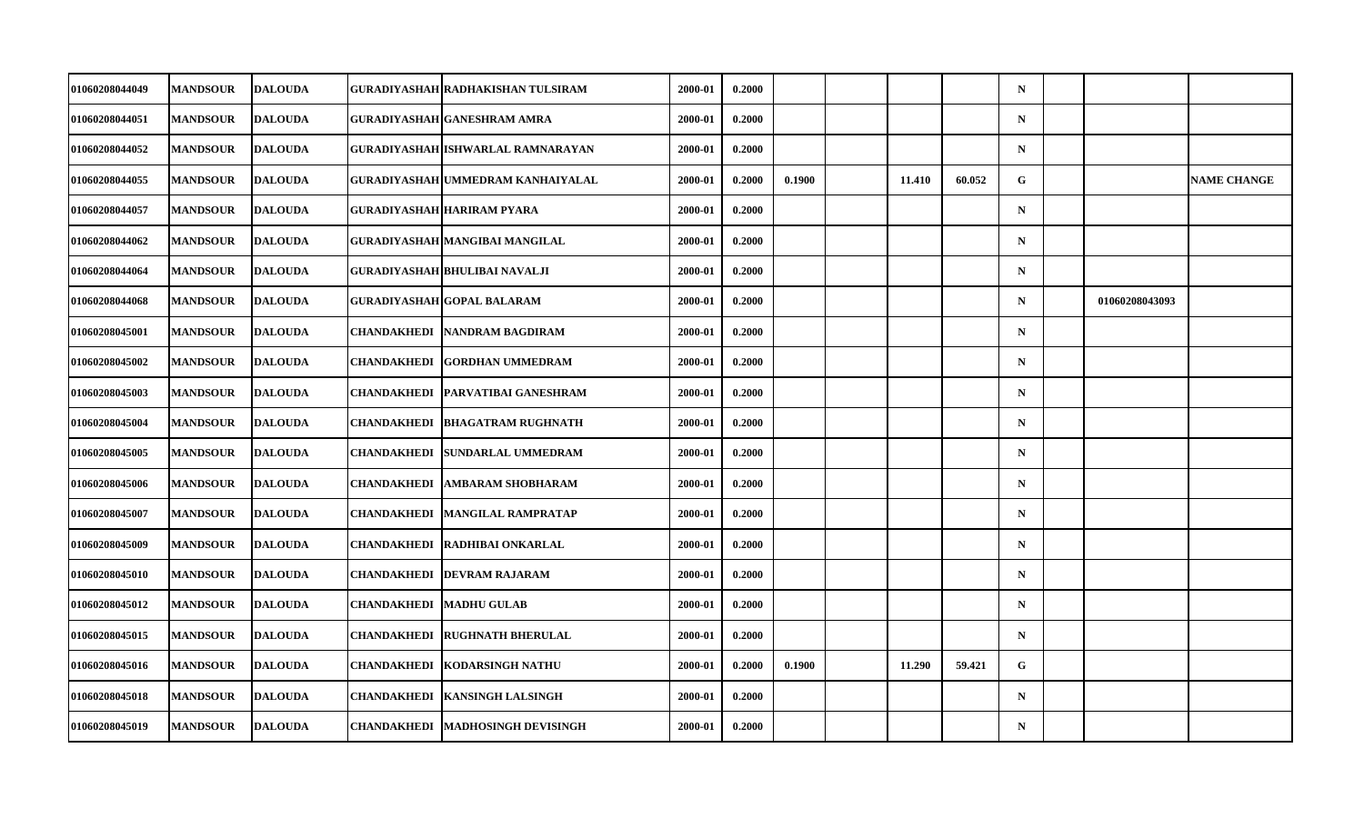| 01060208044049 | <b>MANDSOUR</b> | <b>DALOUDA</b> | GURADIYASHAH RADHAKISHAN TULSIRAM        | 2000-01     | 0.2000 |        |        |        | $\mathbf N$ |                |                    |
|----------------|-----------------|----------------|------------------------------------------|-------------|--------|--------|--------|--------|-------------|----------------|--------------------|
| 01060208044051 | <b>MANDSOUR</b> | <b>DALOUDA</b> | <b>GURADIYASHAH GANESHRAM AMRA</b>       | $2000 - 01$ | 0.2000 |        |        |        | $\mathbf N$ |                |                    |
| 01060208044052 | <b>MANDSOUR</b> | <b>DALOUDA</b> | <b>GURADIYASHAH ISHWARLAL RAMNARAYAN</b> | 2000-01     | 0.2000 |        |        |        | $\mathbf N$ |                |                    |
| 01060208044055 | <b>MANDSOUR</b> | <b>DALOUDA</b> | GURADIYASHAH UMMEDRAM KANHAIYALAL        | 2000-01     | 0.2000 | 0.1900 | 11.410 | 60.052 | G           |                | <b>NAME CHANGE</b> |
| 01060208044057 | <b>MANDSOUR</b> | <b>DALOUDA</b> | <b>GURADIYASHAH HARIRAM PYARA</b>        | 2000-01     | 0.2000 |        |        |        | $\mathbf N$ |                |                    |
| 01060208044062 | <b>MANDSOUR</b> | <b>DALOUDA</b> | GURADIYASHAH MANGIBAI MANGILAL           | 2000-01     | 0.2000 |        |        |        | $\mathbf N$ |                |                    |
| 01060208044064 | <b>MANDSOUR</b> | <b>DALOUDA</b> | GURADIYASHAH BHULIBAI NAVALJI            | 2000-01     | 0.2000 |        |        |        | $\mathbf N$ |                |                    |
| 01060208044068 | <b>MANDSOUR</b> | <b>DALOUDA</b> | <b>GURADIYASHAH GOPAL BALARAM</b>        | 2000-01     | 0.2000 |        |        |        | $\mathbf N$ | 01060208043093 |                    |
| 01060208045001 | <b>MANDSOUR</b> | <b>DALOUDA</b> | CHANDAKHEDI  NANDRAM BAGDIRAM            | 2000-01     | 0.2000 |        |        |        | $\mathbf N$ |                |                    |
| 01060208045002 | <b>MANDSOUR</b> | <b>DALOUDA</b> | CHANDAKHEDI GORDHAN UMMEDRAM             | 2000-01     | 0.2000 |        |        |        | $\mathbf N$ |                |                    |
| 01060208045003 | <b>MANDSOUR</b> | <b>DALOUDA</b> | CHANDAKHEDI   PARVATIBAI GANESHRAM       | 2000-01     | 0.2000 |        |        |        | $\mathbf N$ |                |                    |
| 01060208045004 | <b>MANDSOUR</b> | <b>DALOUDA</b> | CHANDAKHEDI   BHAGATRAM RUGHNATH         | 2000-01     | 0.2000 |        |        |        | $\mathbf N$ |                |                    |
| 01060208045005 | <b>MANDSOUR</b> | <b>DALOUDA</b> | CHANDAKHEDI SUNDARLAL UMMEDRAM           | 2000-01     | 0.2000 |        |        |        | $\mathbf N$ |                |                    |
| 01060208045006 | <b>MANDSOUR</b> | <b>DALOUDA</b> | CHANDAKHEDI  AMBARAM SHOBHARAM           | 2000-01     | 0.2000 |        |        |        | $\mathbf N$ |                |                    |
| 01060208045007 | <b>MANDSOUR</b> | <b>DALOUDA</b> | CHANDAKHEDI MANGILAL RAMPRATAP           | 2000-01     | 0.2000 |        |        |        | N           |                |                    |
| 01060208045009 | <b>MANDSOUR</b> | <b>DALOUDA</b> | CHANDAKHEDI   RADHIBAI ONKARLAL          | 2000-01     | 0.2000 |        |        |        | $\mathbf N$ |                |                    |
| 01060208045010 | <b>MANDSOUR</b> | <b>DALOUDA</b> | <b>CHANDAKHEDI DEVRAM RAJARAM</b>        | 2000-01     | 0.2000 |        |        |        | $\mathbf N$ |                |                    |
| 01060208045012 | <b>MANDSOUR</b> | <b>DALOUDA</b> | <b>CHANDAKHEDI   MADHU GULAB</b>         | 2000-01     | 0.2000 |        |        |        | $\mathbf N$ |                |                    |
| 01060208045015 | <b>MANDSOUR</b> | <b>DALOUDA</b> | CHANDAKHEDI  RUGHNATH BHERULAL           | 2000-01     | 0.2000 |        |        |        | $\mathbf N$ |                |                    |
| 01060208045016 | <b>MANDSOUR</b> | <b>DALOUDA</b> | <b>CHANDAKHEDI KODARSINGH NATHU</b>      | 2000-01     | 0.2000 | 0.1900 | 11.290 | 59.421 | ${\bf G}$   |                |                    |
| 01060208045018 | <b>MANDSOUR</b> | <b>DALOUDA</b> | <b>CHANDAKHEDI KANSINGH LALSINGH</b>     | 2000-01     | 0.2000 |        |        |        | $\mathbf N$ |                |                    |
| 01060208045019 | <b>MANDSOUR</b> | <b>DALOUDA</b> | CHANDAKHEDI  MADHOSINGH DEVISINGH        | 2000-01     | 0.2000 |        |        |        | $\mathbf N$ |                |                    |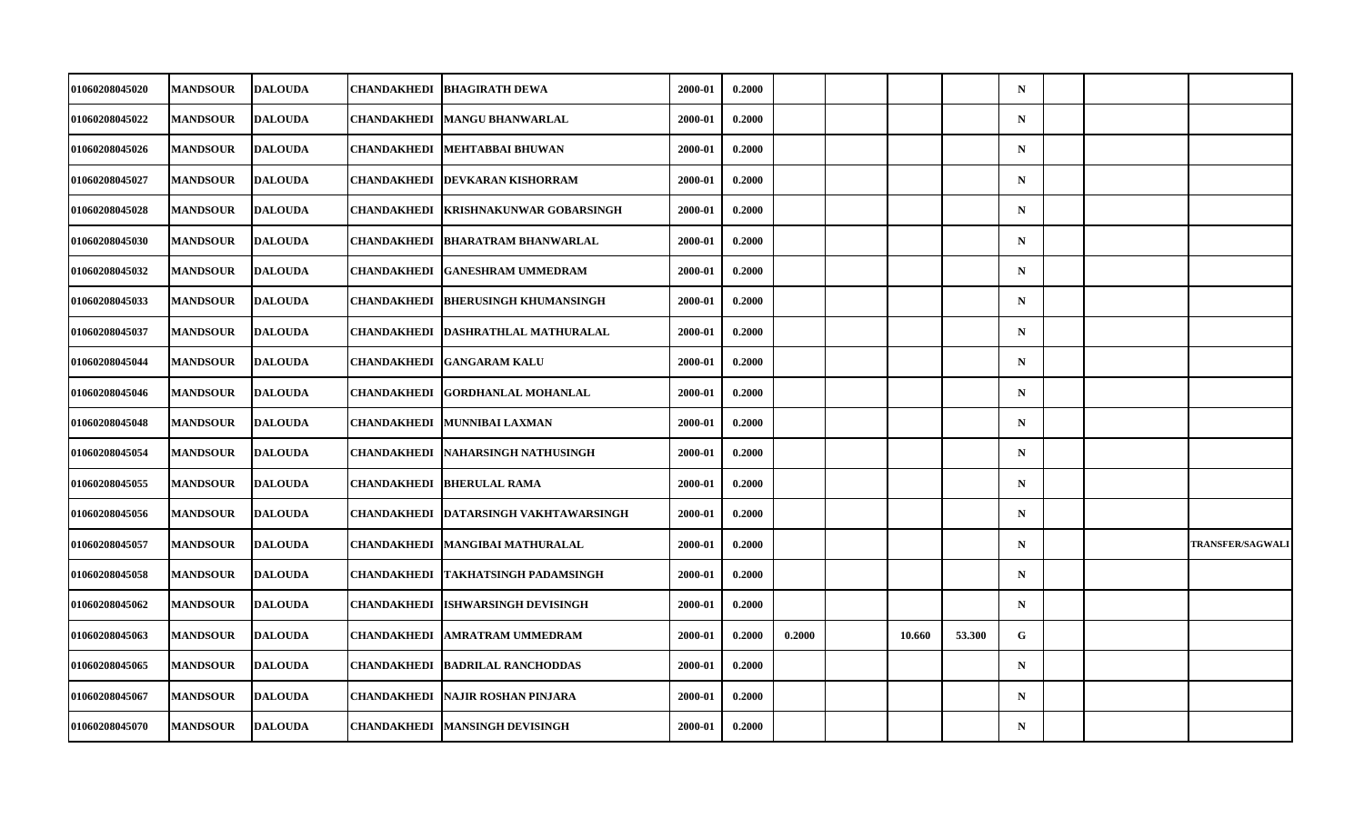| 01060208045020 | <b>MANDSOUR</b> | <b>DALOUDA</b> | CHANDAKHEDI        | <b>BHAGIRATH DEWA</b>            | 2000-01 | 0.2000 |        |        |        | $\mathbf N$ |  |                         |
|----------------|-----------------|----------------|--------------------|----------------------------------|---------|--------|--------|--------|--------|-------------|--|-------------------------|
| 01060208045022 | <b>MANDSOUR</b> | <b>DALOUDA</b> | CHANDAKHEDI        | <b>MANGU BHANWARLAL</b>          | 2000-01 | 0.2000 |        |        |        | $\mathbf N$ |  |                         |
| 01060208045026 | <b>MANDSOUR</b> | <b>DALOUDA</b> | <b>CHANDAKHEDI</b> | MEHTABBAI BHUWAN                 | 2000-01 | 0.2000 |        |        |        | $\mathbf N$ |  |                         |
| 01060208045027 | <b>MANDSOUR</b> | <b>DALOUDA</b> | <b>CHANDAKHEDI</b> | <b>DEVKARAN KISHORRAM</b>        | 2000-01 | 0.2000 |        |        |        | $\mathbf N$ |  |                         |
| 01060208045028 | <b>MANDSOUR</b> | <b>DALOUDA</b> | CHANDAKHEDI        | <b>KRISHNAKUNWAR GOBARSINGH</b>  | 2000-01 | 0.2000 |        |        |        | $\mathbf N$ |  |                         |
| 01060208045030 | <b>MANDSOUR</b> | <b>DALOUDA</b> | <b>CHANDAKHEDI</b> | <b>BHARATRAM BHANWARLAL</b>      | 2000-01 | 0.2000 |        |        |        | $\mathbf N$ |  |                         |
| 01060208045032 | <b>MANDSOUR</b> | <b>DALOUDA</b> | CHANDAKHEDI        | <b>GANESHRAM UMMEDRAM</b>        | 2000-01 | 0.2000 |        |        |        | $\mathbf N$ |  |                         |
| 01060208045033 | <b>MANDSOUR</b> | <b>DALOUDA</b> | CHANDAKHEDI        | <b>BHERUSINGH KHUMANSINGH</b>    | 2000-01 | 0.2000 |        |        |        | $\mathbf N$ |  |                         |
| 01060208045037 | <b>MANDSOUR</b> | <b>DALOUDA</b> | <b>CHANDAKHEDI</b> | DASHRATHLAL MATHURALAL           | 2000-01 | 0.2000 |        |        |        | $\mathbf N$ |  |                         |
| 01060208045044 | <b>MANDSOUR</b> | <b>DALOUDA</b> | CHANDAKHEDI        | <b>GANGARAM KALU</b>             | 2000-01 | 0.2000 |        |        |        | $\mathbf N$ |  |                         |
| 01060208045046 | <b>MANDSOUR</b> | <b>DALOUDA</b> | CHANDAKHEDI        | <b>GORDHANLAL MOHANLAL</b>       | 2000-01 | 0.2000 |        |        |        | $\mathbf N$ |  |                         |
| 01060208045048 | <b>MANDSOUR</b> | <b>DALOUDA</b> | <b>CHANDAKHEDI</b> | <b>MUNNIBAI LAXMAN</b>           | 2000-01 | 0.2000 |        |        |        | $\mathbf N$ |  |                         |
| 01060208045054 | <b>MANDSOUR</b> | <b>DALOUDA</b> | CHANDAKHEDI        | NAHARSINGH NATHUSINGH            | 2000-01 | 0.2000 |        |        |        | $\mathbf N$ |  |                         |
| 01060208045055 | <b>MANDSOUR</b> | <b>DALOUDA</b> |                    | CHANDAKHEDI  BHERULAL RAMA       | 2000-01 | 0.2000 |        |        |        | $\mathbf N$ |  |                         |
| 01060208045056 | <b>MANDSOUR</b> | <b>DALOUDA</b> | <b>CHANDAKHEDI</b> | <b>DATARSINGH VAKHTAWARSINGH</b> | 2000-01 | 0.2000 |        |        |        | $\mathbf N$ |  |                         |
| 01060208045057 | <b>MANDSOUR</b> | <b>DALOUDA</b> | CHANDAKHEDI        | <b>MANGIBAI MATHURALAL</b>       | 2000-01 | 0.2000 |        |        |        | $\mathbf N$ |  | <b>TRANSFER/SAGWALI</b> |
| 01060208045058 | <b>MANDSOUR</b> | <b>DALOUDA</b> | CHANDAKHEDI        | TAKHATSINGH PADAMSINGH           | 2000-01 | 0.2000 |        |        |        | $\mathbf N$ |  |                         |
| 01060208045062 | <b>MANDSOUR</b> | <b>DALOUDA</b> | <b>CHANDAKHEDI</b> | <b>ISHWARSINGH DEVISINGH</b>     | 2000-01 | 0.2000 |        |        |        | $\mathbf N$ |  |                         |
| 01060208045063 | <b>MANDSOUR</b> | <b>DALOUDA</b> | CHANDAKHEDI        | <b>AMRATRAM UMMEDRAM</b>         | 2000-01 | 0.2000 | 0.2000 | 10.660 | 53.300 | $\mathbf G$ |  |                         |
| 01060208045065 | <b>MANDSOUR</b> | <b>DALOUDA</b> | CHANDAKHEDI        | <b>BADRILAL RANCHODDAS</b>       | 2000-01 | 0.2000 |        |        |        | $\mathbf N$ |  |                         |
| 01060208045067 | <b>MANDSOUR</b> | <b>DALOUDA</b> | CHANDAKHEDI        | <b>NAJIR ROSHAN PINJARA</b>      | 2000-01 | 0.2000 |        |        |        | $\mathbf N$ |  |                         |
| 01060208045070 | <b>MANDSOUR</b> | <b>DALOUDA</b> | CHANDAKHEDI        | <b>MANSINGH DEVISINGH</b>        | 2000-01 | 0.2000 |        |        |        | $\mathbf N$ |  |                         |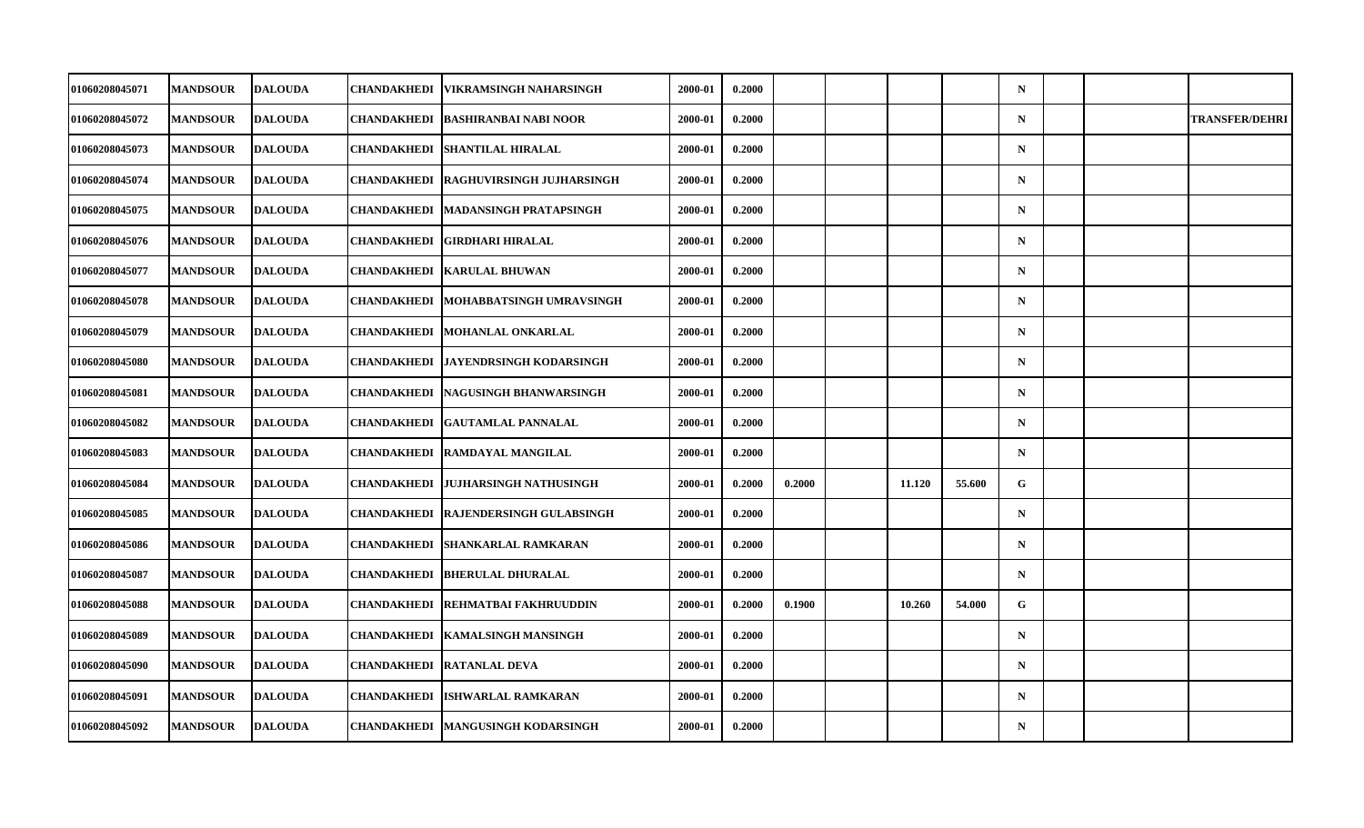| 01060208045071 | <b>MANDSOUR</b> | <b>DALOUDA</b> | CHANDAKHEDI   VIKRAMSINGH NAHARSINGH        | 2000-01 | 0.2000 |        |        |        | $\mathbf N$ |  |                       |
|----------------|-----------------|----------------|---------------------------------------------|---------|--------|--------|--------|--------|-------------|--|-----------------------|
| 01060208045072 | <b>MANDSOUR</b> | <b>DALOUDA</b> | CHANDAKHEDI   BASHIRANBAI NABI NOOR         | 2000-01 | 0.2000 |        |        |        | $\mathbf N$ |  | <b>TRANSFER/DEHRI</b> |
| 01060208045073 | <b>MANDSOUR</b> | <b>DALOUDA</b> | <b>CHANDAKHEDI SHANTILAL HIRALAL</b>        | 2000-01 | 0.2000 |        |        |        | $\mathbf N$ |  |                       |
| 01060208045074 | <b>MANDSOUR</b> | <b>DALOUDA</b> | CHANDAKHEDI  RAGHUVIRSINGH JUJHARSINGH      | 2000-01 | 0.2000 |        |        |        | $\mathbf N$ |  |                       |
| 01060208045075 | <b>MANDSOUR</b> | <b>DALOUDA</b> | CHANDAKHEDI   MADANSINGH PRATAPSINGH        | 2000-01 | 0.2000 |        |        |        | $\mathbf N$ |  |                       |
| 01060208045076 | <b>MANDSOUR</b> | <b>DALOUDA</b> | CHANDAKHEDI GIRDHARI HIRALAL                | 2000-01 | 0.2000 |        |        |        | $\mathbf N$ |  |                       |
| 01060208045077 | <b>MANDSOUR</b> | <b>DALOUDA</b> | <b>CHANDAKHEDI   KARULAL BHUWAN</b>         | 2000-01 | 0.2000 |        |        |        | $\mathbf N$ |  |                       |
| 01060208045078 | <b>MANDSOUR</b> | <b>DALOUDA</b> | CHANDAKHEDI MOHABBATSINGH UMRAVSINGH        | 2000-01 | 0.2000 |        |        |        | $\mathbf N$ |  |                       |
| 01060208045079 | <b>MANDSOUR</b> | <b>DALOUDA</b> | <b>CHANDAKHEDI MOHANLAL ONKARLAL</b>        | 2000-01 | 0.2000 |        |        |        | $\mathbf N$ |  |                       |
| 01060208045080 | <b>MANDSOUR</b> | <b>DALOUDA</b> | CHANDAKHEDI   JAYENDRSINGH KODARSINGH       | 2000-01 | 0.2000 |        |        |        | $\mathbf N$ |  |                       |
| 01060208045081 | <b>MANDSOUR</b> | <b>DALOUDA</b> | <b>CHANDAKHEDI   NAGUSINGH BHANWARSINGH</b> | 2000-01 | 0.2000 |        |        |        | $\mathbf N$ |  |                       |
| 01060208045082 | <b>MANDSOUR</b> | <b>DALOUDA</b> | <b>CHANDAKHEDI GAUTAMLAL PANNALAL</b>       | 2000-01 | 0.2000 |        |        |        | $\mathbf N$ |  |                       |
| 01060208045083 | <b>MANDSOUR</b> | <b>DALOUDA</b> | <b>CHANDAKHEDI RAMDAYAL MANGILAL</b>        | 2000-01 | 0.2000 |        |        |        | $\mathbf N$ |  |                       |
| 01060208045084 | <b>MANDSOUR</b> | <b>DALOUDA</b> | CHANDAKHEDI  JUJHARSINGH NATHUSINGH         | 2000-01 | 0.2000 | 0.2000 | 11.120 | 55.600 | G           |  |                       |
| 01060208045085 | <b>MANDSOUR</b> | <b>DALOUDA</b> | <b>CHANDAKHEDI RAJENDERSINGH GULABSINGH</b> | 2000-01 | 0.2000 |        |        |        | $\mathbf N$ |  |                       |
| 01060208045086 | <b>MANDSOUR</b> | <b>DALOUDA</b> | <b>CHANDAKHEDI SHANKARLAL RAMKARAN</b>      | 2000-01 | 0.2000 |        |        |        | $\mathbf N$ |  |                       |
| 01060208045087 | <b>MANDSOUR</b> | <b>DALOUDA</b> | <b>CHANDAKHEDI BHERULAL DHURALAL</b>        | 2000-01 | 0.2000 |        |        |        | $\mathbf N$ |  |                       |
| 01060208045088 | <b>MANDSOUR</b> | <b>DALOUDA</b> | <b>CHANDAKHEDI REHMATBAI FAKHRUUDDIN</b>    | 2000-01 | 0.2000 | 0.1900 | 10.260 | 54.000 | G           |  |                       |
| 01060208045089 | <b>MANDSOUR</b> | <b>DALOUDA</b> | CHANDAKHEDI   KAMALSINGH MANSINGH           | 2000-01 | 0.2000 |        |        |        | $\mathbf N$ |  |                       |
| 01060208045090 | <b>MANDSOUR</b> | <b>DALOUDA</b> | <b>CHANDAKHEDI RATANLAL DEVA</b>            | 2000-01 | 0.2000 |        |        |        | $\mathbf N$ |  |                       |
| 01060208045091 | <b>MANDSOUR</b> | <b>DALOUDA</b> | <b>CHANDAKHEDI ISHWARLAL RAMKARAN</b>       | 2000-01 | 0.2000 |        |        |        | $\mathbf N$ |  |                       |
| 01060208045092 | <b>MANDSOUR</b> | <b>DALOUDA</b> | CHANDAKHEDI   MANGUSINGH KODARSINGH         | 2000-01 | 0.2000 |        |        |        | $\mathbf N$ |  |                       |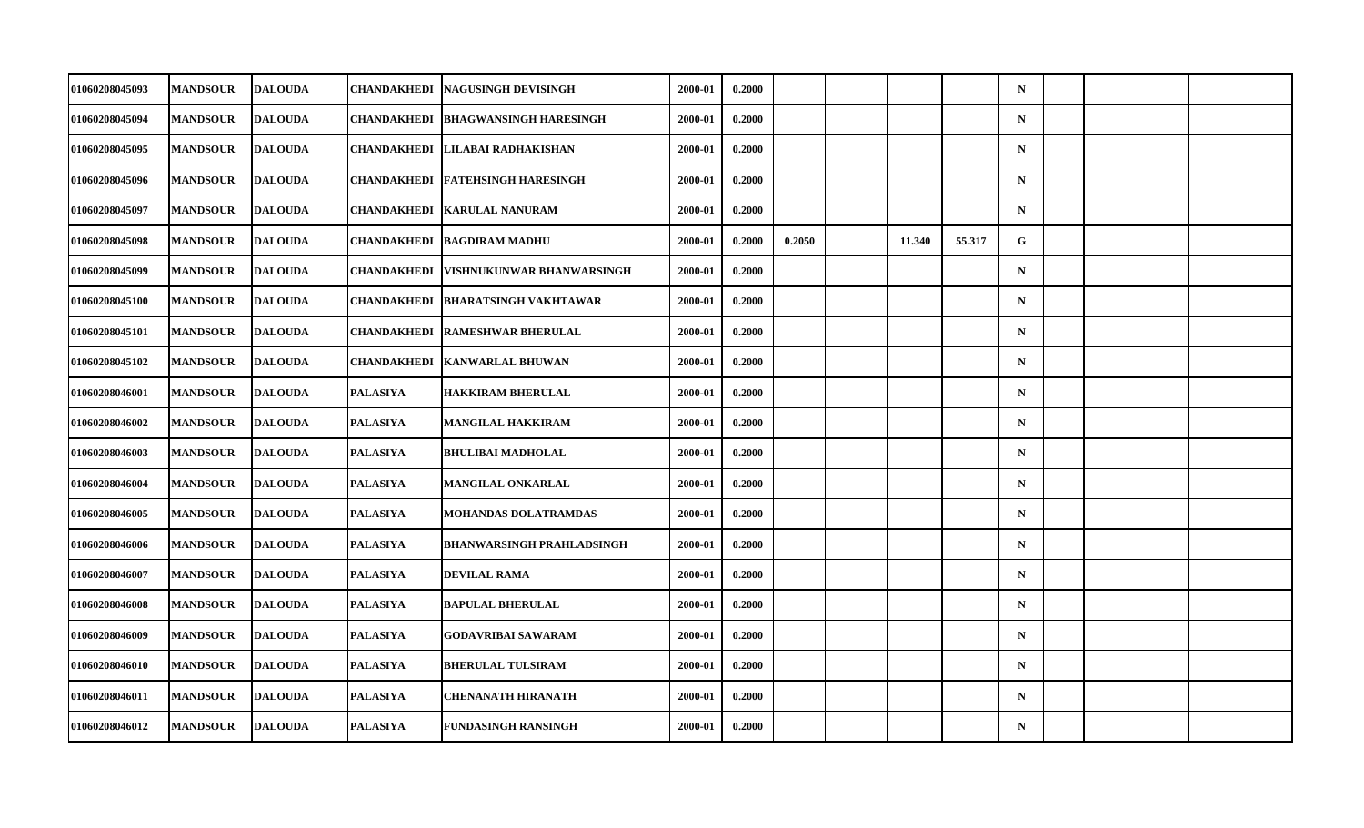| 01060208045093        | <b>MANDSOUR</b> | <b>DALOUDA</b> | CHANDAKHEDI        | NAGUSINGH DEVISINGH              | 2000-01 | 0.2000 |        |        |        | $\mathbf N$ |  |  |
|-----------------------|-----------------|----------------|--------------------|----------------------------------|---------|--------|--------|--------|--------|-------------|--|--|
| 01060208045094        | <b>MANDSOUR</b> | <b>DALOUDA</b> | CHANDAKHEDI        | <b>BHAGWANSINGH HARESINGH</b>    | 2000-01 | 0.2000 |        |        |        | $\mathbf N$ |  |  |
| 01060208045095        | <b>MANDSOUR</b> | <b>DALOUDA</b> | <b>CHANDAKHEDI</b> | LILABAI RADHAKISHAN              | 2000-01 | 0.2000 |        |        |        | $\mathbf N$ |  |  |
| 01060208045096        | <b>MANDSOUR</b> | <b>DALOUDA</b> | <b>CHANDAKHEDI</b> | <b>FATEHSINGH HARESINGH</b>      | 2000-01 | 0.2000 |        |        |        | $\mathbf N$ |  |  |
| 01060208045097        | <b>MANDSOUR</b> | <b>DALOUDA</b> | CHANDAKHEDI        | <b>KARULAL NANURAM</b>           | 2000-01 | 0.2000 |        |        |        | $\mathbf N$ |  |  |
| 01060208045098        | <b>MANDSOUR</b> | <b>DALOUDA</b> | <b>CHANDAKHEDI</b> | <b>BAGDIRAM MADHU</b>            | 2000-01 | 0.2000 | 0.2050 | 11.340 | 55.317 | G           |  |  |
| 01060208045099        | <b>MANDSOUR</b> | <b>DALOUDA</b> | CHANDAKHEDI        | VISHNUKUNWAR BHANWARSINGH        | 2000-01 | 0.2000 |        |        |        | $\mathbf N$ |  |  |
| <b>01060208045100</b> | <b>MANDSOUR</b> | <b>DALOUDA</b> | CHANDAKHEDI        | <b>BHARATSINGH VAKHTAWAR</b>     | 2000-01 | 0.2000 |        |        |        | $\mathbf N$ |  |  |
| 01060208045101        | <b>MANDSOUR</b> | <b>DALOUDA</b> | <b>CHANDAKHEDI</b> | <b>RAMESHWAR BHERULAL</b>        | 2000-01 | 0.2000 |        |        |        | $\mathbf N$ |  |  |
| 01060208045102        | <b>MANDSOUR</b> | <b>DALOUDA</b> | CHANDAKHEDI        | <b>KANWARLAL BHUWAN</b>          | 2000-01 | 0.2000 |        |        |        | $\mathbf N$ |  |  |
| <b>01060208046001</b> | <b>MANDSOUR</b> | <b>DALOUDA</b> | PALASIYA           | <b>HAKKIRAM BHERULAL</b>         | 2000-01 | 0.2000 |        |        |        | $\mathbf N$ |  |  |
| 01060208046002        | <b>MANDSOUR</b> | <b>DALOUDA</b> | <b>PALASIYA</b>    | MANGILAL HAKKIRAM                | 2000-01 | 0.2000 |        |        |        | $\mathbf N$ |  |  |
| 01060208046003        | <b>MANDSOUR</b> | <b>DALOUDA</b> | <b>PALASIYA</b>    | <b>BHULIBAI MADHOLAL</b>         | 2000-01 | 0.2000 |        |        |        | $\mathbf N$ |  |  |
| 01060208046004        | <b>MANDSOUR</b> | <b>DALOUDA</b> | <b>PALASIYA</b>    | MANGILAL ONKARLAL                | 2000-01 | 0.2000 |        |        |        | $\mathbf N$ |  |  |
| 01060208046005        | <b>MANDSOUR</b> | <b>DALOUDA</b> | <b>PALASIYA</b>    | <b>MOHANDAS DOLATRAMDAS</b>      | 2000-01 | 0.2000 |        |        |        | $\mathbf N$ |  |  |
| 01060208046006        | <b>MANDSOUR</b> | <b>DALOUDA</b> | <b>PALASIYA</b>    | <b>BHANWARSINGH PRAHLADSINGH</b> | 2000-01 | 0.2000 |        |        |        | $\mathbf N$ |  |  |
| 01060208046007        | <b>MANDSOUR</b> | <b>DALOUDA</b> | <b>PALASIYA</b>    | <b>DEVILAL RAMA</b>              | 2000-01 | 0.2000 |        |        |        | $\mathbf N$ |  |  |
| 01060208046008        | <b>MANDSOUR</b> | <b>DALOUDA</b> | <b>PALASIYA</b>    | <b>BAPULAL BHERULAL</b>          | 2000-01 | 0.2000 |        |        |        | $\mathbf N$ |  |  |
| 01060208046009        | <b>MANDSOUR</b> | <b>DALOUDA</b> | <b>PALASIYA</b>    | <b>GODAVRIBAI SAWARAM</b>        | 2000-01 | 0.2000 |        |        |        | $\mathbf N$ |  |  |
| 01060208046010        | <b>MANDSOUR</b> | <b>DALOUDA</b> | <b>PALASIYA</b>    | <b>BHERULAL TULSIRAM</b>         | 2000-01 | 0.2000 |        |        |        | $\mathbf N$ |  |  |
| 01060208046011        | <b>MANDSOUR</b> | <b>DALOUDA</b> | <b>PALASIYA</b>    | <b>CHENANATH HIRANATH</b>        | 2000-01 | 0.2000 |        |        |        | $\mathbf N$ |  |  |
| 01060208046012        | <b>MANDSOUR</b> | <b>DALOUDA</b> | <b>PALASIYA</b>    | <b>FUNDASINGH RANSINGH</b>       | 2000-01 | 0.2000 |        |        |        | $\mathbf N$ |  |  |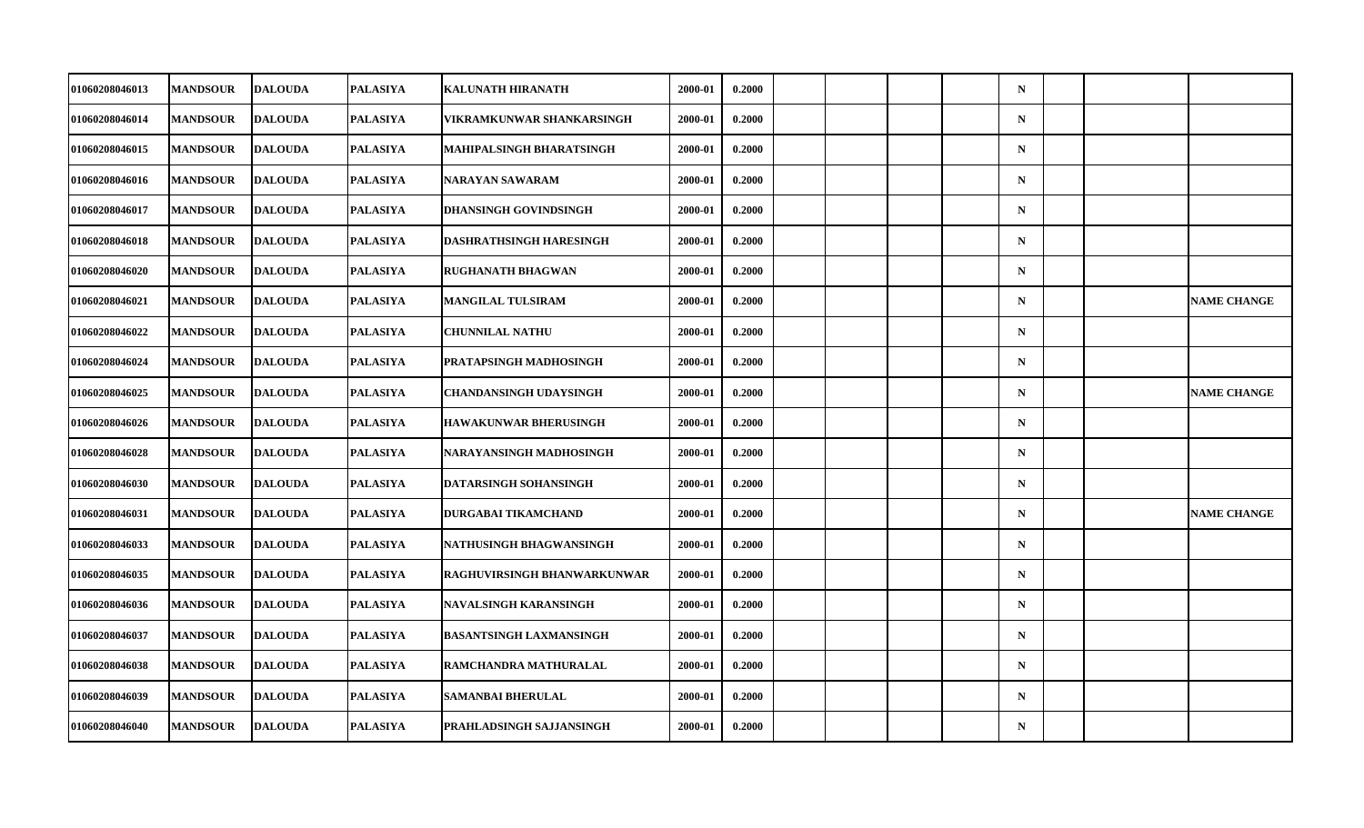| 01060208046013        | <b>MANDSOUR</b> | <b>DALOUDA</b> | <b>PALASIYA</b> | <b>KALUNATH HIRANATH</b>       | 2000-01 | 0.2000 |  |  | $\mathbf N$ |  |                    |
|-----------------------|-----------------|----------------|-----------------|--------------------------------|---------|--------|--|--|-------------|--|--------------------|
| 01060208046014        | <b>MANDSOUR</b> | <b>DALOUDA</b> | PALASIYA        | VIKRAMKUNWAR SHANKARSINGH      | 2000-01 | 0.2000 |  |  | $\mathbf N$ |  |                    |
| 01060208046015        | <b>MANDSOUR</b> | <b>DALOUDA</b> | <b>PALASIYA</b> | MAHIPALSINGH BHARATSINGH       | 2000-01 | 0.2000 |  |  | $\mathbf N$ |  |                    |
| 01060208046016        | <b>MANDSOUR</b> | <b>DALOUDA</b> | <b>PALASIYA</b> | NARAYAN SAWARAM                | 2000-01 | 0.2000 |  |  | $\mathbf N$ |  |                    |
| 01060208046017        | <b>MANDSOUR</b> | <b>DALOUDA</b> | PALASIYA        | <b>DHANSINGH GOVINDSINGH</b>   | 2000-01 | 0.2000 |  |  | $\mathbf N$ |  |                    |
| 01060208046018        | <b>MANDSOUR</b> | <b>DALOUDA</b> | <b>PALASIYA</b> | <b>DASHRATHSINGH HARESINGH</b> | 2000-01 | 0.2000 |  |  | $\mathbf N$ |  |                    |
| 01060208046020        | <b>MANDSOUR</b> | <b>DALOUDA</b> | <b>PALASIYA</b> | <b>RUGHANATH BHAGWAN</b>       | 2000-01 | 0.2000 |  |  | $\mathbf N$ |  |                    |
| <b>01060208046021</b> | <b>MANDSOUR</b> | <b>DALOUDA</b> | PALASIYA        | MANGILAL TULSIRAM              | 2000-01 | 0.2000 |  |  | $\mathbf N$ |  | <b>NAME CHANGE</b> |
| 01060208046022        | <b>MANDSOUR</b> | <b>DALOUDA</b> | <b>PALASIYA</b> | <b>CHUNNILAL NATHU</b>         | 2000-01 | 0.2000 |  |  | $\mathbf N$ |  |                    |
| 01060208046024        | <b>MANDSOUR</b> | <b>DALOUDA</b> | <b>PALASIYA</b> | PRATAPSINGH MADHOSINGH         | 2000-01 | 0.2000 |  |  | $\mathbf N$ |  |                    |
| 01060208046025        | <b>MANDSOUR</b> | <b>DALOUDA</b> | PALASIYA        | <b>CHANDANSINGH UDAYSINGH</b>  | 2000-01 | 0.2000 |  |  | $\mathbf N$ |  | <b>NAME CHANGE</b> |
| 01060208046026        | <b>MANDSOUR</b> | <b>DALOUDA</b> | <b>PALASIYA</b> | <b>HAWAKUNWAR BHERUSINGH</b>   | 2000-01 | 0.2000 |  |  | $\mathbf N$ |  |                    |
| 01060208046028        | <b>MANDSOUR</b> | <b>DALOUDA</b> | <b>PALASIYA</b> | NARAYANSINGH MADHOSINGH        | 2000-01 | 0.2000 |  |  | $\mathbf N$ |  |                    |
| 01060208046030        | <b>MANDSOUR</b> | <b>DALOUDA</b> | <b>PALASIYA</b> | DATARSINGH SOHANSINGH          | 2000-01 | 0.2000 |  |  | $\mathbf N$ |  |                    |
| 01060208046031        | <b>MANDSOUR</b> | <b>DALOUDA</b> | <b>PALASIYA</b> | DURGABAI TIKAMCHAND            | 2000-01 | 0.2000 |  |  | $\mathbf N$ |  | <b>NAME CHANGE</b> |
| 01060208046033        | <b>MANDSOUR</b> | <b>DALOUDA</b> | <b>PALASIYA</b> | NATHUSINGH BHAGWANSINGH        | 2000-01 | 0.2000 |  |  | $\mathbf N$ |  |                    |
| 01060208046035        | <b>MANDSOUR</b> | <b>DALOUDA</b> | <b>PALASIYA</b> | RAGHUVIRSINGH BHANWARKUNWAR    | 2000-01 | 0.2000 |  |  | $\mathbf N$ |  |                    |
| 01060208046036        | <b>MANDSOUR</b> | <b>DALOUDA</b> | <b>PALASIYA</b> | <b>NAVALSINGH KARANSINGH</b>   | 2000-01 | 0.2000 |  |  | $\mathbf N$ |  |                    |
| 01060208046037        | <b>MANDSOUR</b> | <b>DALOUDA</b> | <b>PALASIYA</b> | <b>BASANTSINGH LAXMANSINGH</b> | 2000-01 | 0.2000 |  |  | $\mathbf N$ |  |                    |
| 01060208046038        | <b>MANDSOUR</b> | <b>DALOUDA</b> | <b>PALASIYA</b> | RAMCHANDRA MATHURALAL          | 2000-01 | 0.2000 |  |  | $\mathbf N$ |  |                    |
| 01060208046039        | <b>MANDSOUR</b> | <b>DALOUDA</b> | <b>PALASIYA</b> | <b>SAMANBAI BHERULAL</b>       | 2000-01 | 0.2000 |  |  | $\mathbf N$ |  |                    |
| 01060208046040        | <b>MANDSOUR</b> | <b>DALOUDA</b> | <b>PALASIYA</b> | PRAHLADSINGH SAJJANSINGH       | 2000-01 | 0.2000 |  |  | $\mathbf N$ |  |                    |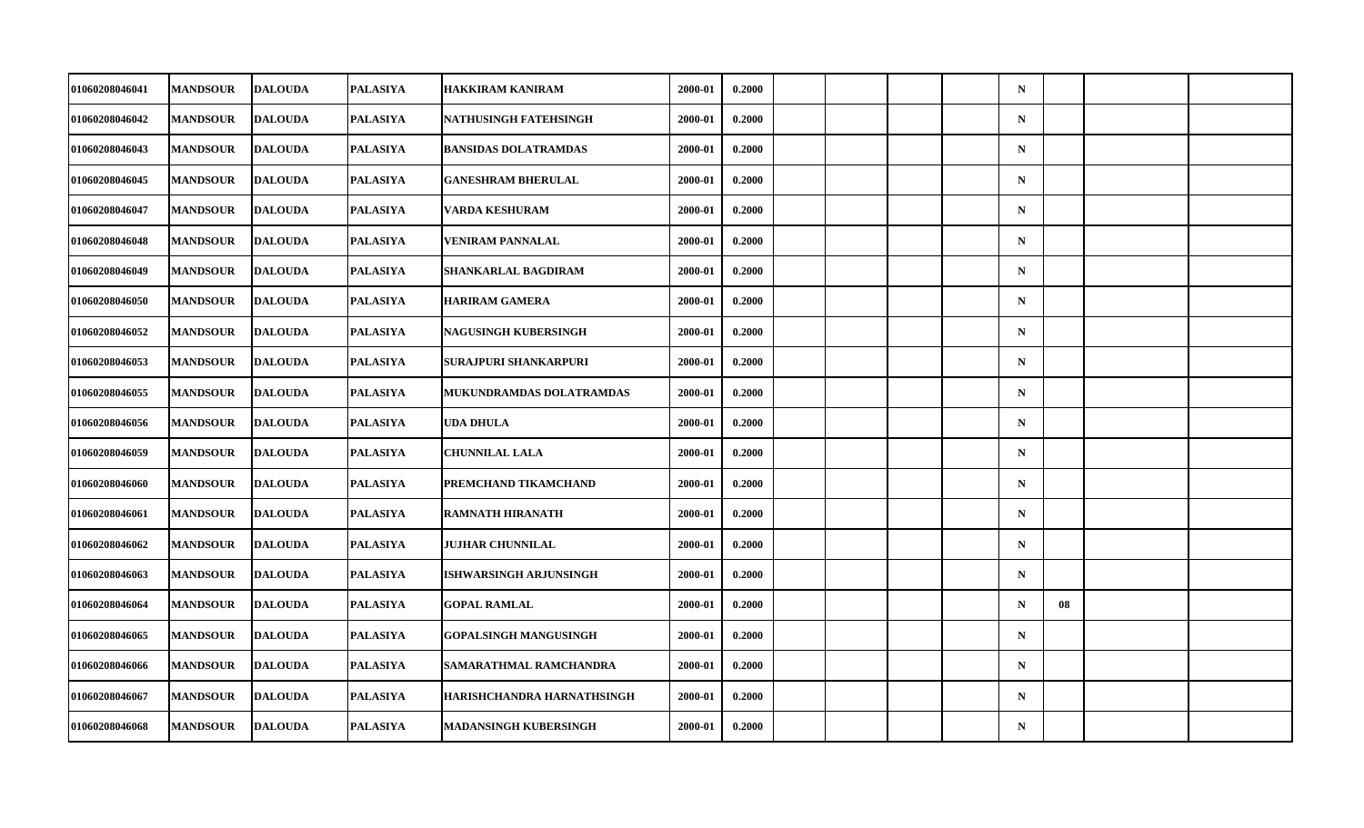| 01060208046041 | <b>MANDSOUR</b> | <b>DALOUDA</b> | <b>PALASIYA</b> | <b>HAKKIRAM KANIRAM</b>      | 2000-01 | 0.2000 |  |  | $\mathbf N$ |    |  |
|----------------|-----------------|----------------|-----------------|------------------------------|---------|--------|--|--|-------------|----|--|
| 01060208046042 | <b>MANDSOUR</b> | <b>DALOUDA</b> | PALASIYA        | NATHUSINGH FATEHSINGH        | 2000-01 | 0.2000 |  |  | $\mathbf N$ |    |  |
| 01060208046043 | <b>MANDSOUR</b> | <b>DALOUDA</b> | <b>PALASIYA</b> | <b>BANSIDAS DOLATRAMDAS</b>  | 2000-01 | 0.2000 |  |  | $\mathbf N$ |    |  |
| 01060208046045 | <b>MANDSOUR</b> | <b>DALOUDA</b> | <b>PALASIYA</b> | <b>GANESHRAM BHERULAL</b>    | 2000-01 | 0.2000 |  |  | $\mathbf N$ |    |  |
| 01060208046047 | <b>MANDSOUR</b> | <b>DALOUDA</b> | PALASIYA        | VARDA KESHURAM               | 2000-01 | 0.2000 |  |  | $\mathbf N$ |    |  |
| 01060208046048 | <b>MANDSOUR</b> | <b>DALOUDA</b> | <b>PALASIYA</b> | <b>VENIRAM PANNALAL</b>      | 2000-01 | 0.2000 |  |  | $\mathbf N$ |    |  |
| 01060208046049 | <b>MANDSOUR</b> | <b>DALOUDA</b> | <b>PALASIYA</b> | SHANKARLAL BAGDIRAM          | 2000-01 | 0.2000 |  |  | $\mathbf N$ |    |  |
| 01060208046050 | <b>MANDSOUR</b> | <b>DALOUDA</b> | PALASIYA        | <b>HARIRAM GAMERA</b>        | 2000-01 | 0.2000 |  |  | $\mathbf N$ |    |  |
| 01060208046052 | <b>MANDSOUR</b> | <b>DALOUDA</b> | <b>PALASIYA</b> | <b>NAGUSINGH KUBERSINGH</b>  | 2000-01 | 0.2000 |  |  | $\mathbf N$ |    |  |
| 01060208046053 | <b>MANDSOUR</b> | <b>DALOUDA</b> | <b>PALASIYA</b> | SURAJPURI SHANKARPURI        | 2000-01 | 0.2000 |  |  | $\mathbf N$ |    |  |
| 01060208046055 | <b>MANDSOUR</b> | <b>DALOUDA</b> | PALASIYA        | MUKUNDRAMDAS DOLATRAMDAS     | 2000-01 | 0.2000 |  |  | $\mathbf N$ |    |  |
| 01060208046056 | <b>MANDSOUR</b> | <b>DALOUDA</b> | <b>PALASIYA</b> | UDA DHULA                    | 2000-01 | 0.2000 |  |  | $\mathbf N$ |    |  |
| 01060208046059 | <b>MANDSOUR</b> | <b>DALOUDA</b> | <b>PALASIYA</b> | <b>CHUNNILAL LALA</b>        | 2000-01 | 0.2000 |  |  | $\mathbf N$ |    |  |
| 01060208046060 | <b>MANDSOUR</b> | <b>DALOUDA</b> | <b>PALASIYA</b> | PREMCHAND TIKAMCHAND         | 2000-01 | 0.2000 |  |  | $\mathbf N$ |    |  |
| 01060208046061 | <b>MANDSOUR</b> | <b>DALOUDA</b> | <b>PALASIYA</b> | <b>RAMNATH HIRANATH</b>      | 2000-01 | 0.2000 |  |  | $\mathbf N$ |    |  |
| 01060208046062 | <b>MANDSOUR</b> | <b>DALOUDA</b> | <b>PALASIYA</b> | <b>JUJHAR CHUNNILAL</b>      | 2000-01 | 0.2000 |  |  | $\mathbf N$ |    |  |
| 01060208046063 | <b>MANDSOUR</b> | <b>DALOUDA</b> | <b>PALASIYA</b> | ISHWARSINGH ARJUNSINGH       | 2000-01 | 0.2000 |  |  | $\mathbf N$ |    |  |
| 01060208046064 | <b>MANDSOUR</b> | <b>DALOUDA</b> | <b>PALASIYA</b> | <b>GOPAL RAMLAL</b>          | 2000-01 | 0.2000 |  |  | $\mathbf N$ | 08 |  |
| 01060208046065 | <b>MANDSOUR</b> | <b>DALOUDA</b> | <b>PALASIYA</b> | <b>GOPALSINGH MANGUSINGH</b> | 2000-01 | 0.2000 |  |  | $\mathbf N$ |    |  |
| 01060208046066 | <b>MANDSOUR</b> | <b>DALOUDA</b> | <b>PALASIYA</b> | SAMARATHMAL RAMCHANDRA       | 2000-01 | 0.2000 |  |  | $\mathbf N$ |    |  |
| 01060208046067 | <b>MANDSOUR</b> | <b>DALOUDA</b> | <b>PALASIYA</b> | HARISHCHANDRA HARNATHSINGH   | 2000-01 | 0.2000 |  |  | $\mathbf N$ |    |  |
| 01060208046068 | <b>MANDSOUR</b> | <b>DALOUDA</b> | <b>PALASIYA</b> | <b>MADANSINGH KUBERSINGH</b> | 2000-01 | 0.2000 |  |  | ${\bf N}$   |    |  |
|                |                 |                |                 |                              |         |        |  |  |             |    |  |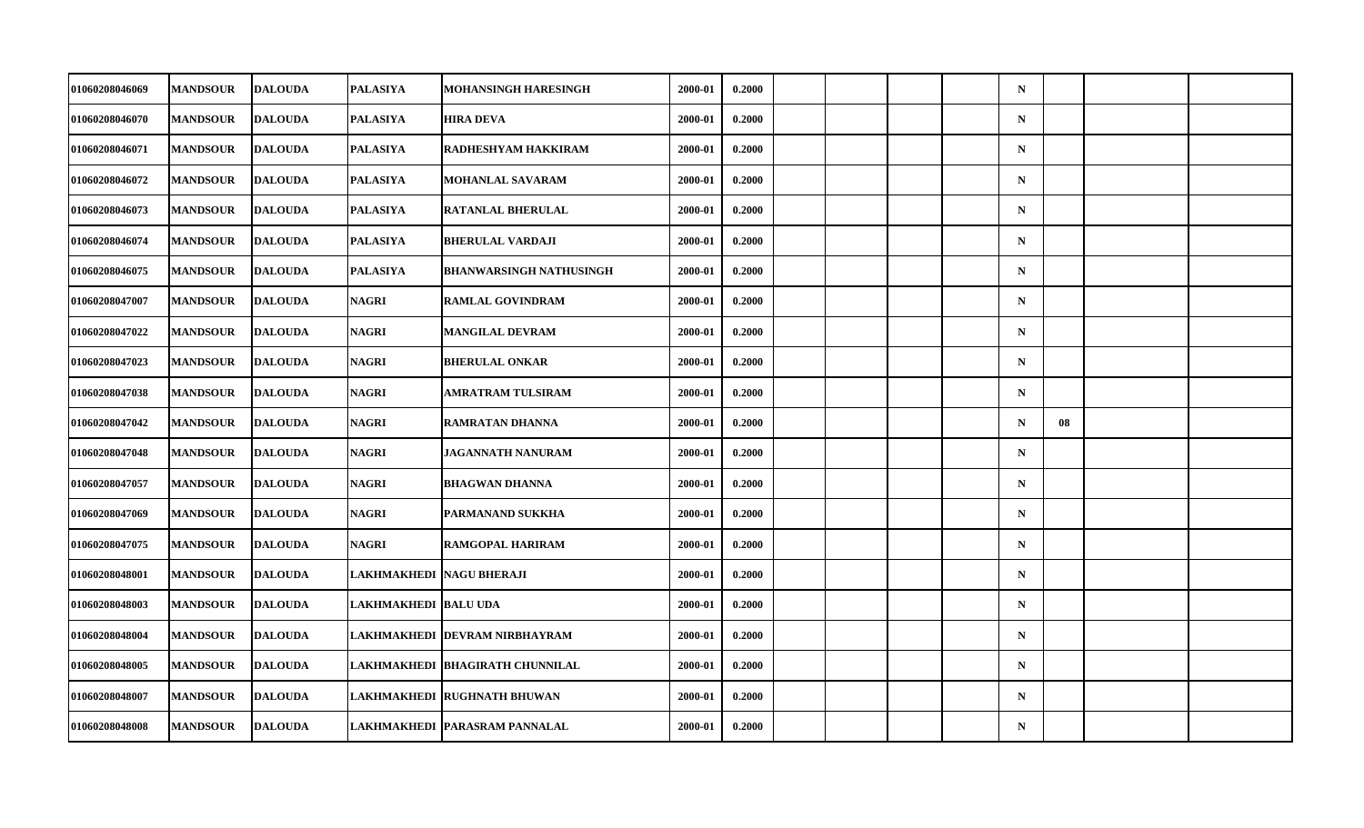| 01060208046069        | <b>MANDSOUR</b> | <b>DALOUDA</b> | <b>PALASIYA</b>             | MOHANSINGH HARESINGH             | 2000-01 | 0.2000 |  |  | $\mathbf N$ |    |  |
|-----------------------|-----------------|----------------|-----------------------------|----------------------------------|---------|--------|--|--|-------------|----|--|
| 01060208046070        | <b>MANDSOUR</b> | <b>DALOUDA</b> | <b>PALASIYA</b>             | <b>HIRA DEVA</b>                 | 2000-01 | 0.2000 |  |  | ${\bf N}$   |    |  |
| 01060208046071        | <b>MANDSOUR</b> | <b>DALOUDA</b> | <b>PALASIYA</b>             | RADHESHYAM HAKKIRAM              | 2000-01 | 0.2000 |  |  | $\mathbf N$ |    |  |
| 01060208046072        | <b>MANDSOUR</b> | <b>DALOUDA</b> | <b>PALASIYA</b>             | <b>MOHANLAL SAVARAM</b>          | 2000-01 | 0.2000 |  |  | $\mathbf N$ |    |  |
| 01060208046073        | <b>MANDSOUR</b> | <b>DALOUDA</b> | PALASIYA                    | RATANLAL BHERULAL                | 2000-01 | 0.2000 |  |  | $\mathbf N$ |    |  |
| 01060208046074        | <b>MANDSOUR</b> | <b>DALOUDA</b> | <b>PALASIYA</b>             | <b>BHERULAL VARDAJI</b>          | 2000-01 | 0.2000 |  |  | $\mathbf N$ |    |  |
| 01060208046075        | <b>MANDSOUR</b> | <b>DALOUDA</b> | <b>PALASIYA</b>             | <b>BHANWARSINGH NATHUSINGH</b>   | 2000-01 | 0.2000 |  |  | $\mathbf N$ |    |  |
| 01060208047007        | <b>MANDSOUR</b> | <b>DALOUDA</b> | NAGRI                       | <b>RAMLAL GOVINDRAM</b>          | 2000-01 | 0.2000 |  |  | $\mathbf N$ |    |  |
| 01060208047022        | <b>MANDSOUR</b> | <b>DALOUDA</b> | <b>NAGRI</b>                | <b>MANGILAL DEVRAM</b>           | 2000-01 | 0.2000 |  |  | $\mathbf N$ |    |  |
| 01060208047023        | <b>MANDSOUR</b> | <b>DALOUDA</b> | <b>NAGRI</b>                | <b>BHERULAL ONKAR</b>            | 2000-01 | 0.2000 |  |  | $\mathbf N$ |    |  |
| 01060208047038        | <b>MANDSOUR</b> | <b>DALOUDA</b> | NAGRI                       | AMRATRAM TULSIRAM                | 2000-01 | 0.2000 |  |  | $\mathbf N$ |    |  |
| 01060208047042        | <b>MANDSOUR</b> | <b>DALOUDA</b> | <b>NAGRI</b>                | RAMRATAN DHANNA                  | 2000-01 | 0.2000 |  |  | $\mathbf N$ | 08 |  |
| 01060208047048        | <b>MANDSOUR</b> | <b>DALOUDA</b> | <b>NAGRI</b>                | <b>JAGANNATH NANURAM</b>         | 2000-01 | 0.2000 |  |  | ${\bf N}$   |    |  |
| 01060208047057        | <b>MANDSOUR</b> | <b>DALOUDA</b> | NAGRI                       | <b>BHAGWAN DHANNA</b>            | 2000-01 | 0.2000 |  |  | $\mathbf N$ |    |  |
| 01060208047069        | <b>MANDSOUR</b> | <b>DALOUDA</b> | <b>NAGRI</b>                | PARMANAND SUKKHA                 | 2000-01 | 0.2000 |  |  | $\mathbf N$ |    |  |
| 01060208047075        | <b>MANDSOUR</b> | <b>DALOUDA</b> | <b>NAGRI</b>                | <b>RAMGOPAL HARIRAM</b>          | 2000-01 | 0.2000 |  |  | $\mathbf N$ |    |  |
| <b>01060208048001</b> | <b>MANDSOUR</b> | <b>DALOUDA</b> | LAKHMAKHEDI  NAGU BHERAJI   |                                  | 2000-01 | 0.2000 |  |  | $\mathbf N$ |    |  |
| 01060208048003        | <b>MANDSOUR</b> | <b>DALOUDA</b> | <b>LAKHMAKHEDI BALU UDA</b> |                                  | 2000-01 | 0.2000 |  |  | $\mathbf N$ |    |  |
| 01060208048004        | <b>MANDSOUR</b> | <b>DALOUDA</b> |                             | LAKHMAKHEDI DEVRAM NIRBHAYRAM    | 2000-01 | 0.2000 |  |  | $\mathbf N$ |    |  |
| 01060208048005        | <b>MANDSOUR</b> | <b>DALOUDA</b> |                             | LAKHMAKHEDI  BHAGIRATH CHUNNILAL | 2000-01 | 0.2000 |  |  | $\mathbf N$ |    |  |
| 01060208048007        | <b>MANDSOUR</b> | <b>DALOUDA</b> |                             | LAKHMAKHEDI RUGHNATH BHUWAN      | 2000-01 | 0.2000 |  |  | $\mathbf N$ |    |  |
| 01060208048008        | <b>MANDSOUR</b> | <b>DALOUDA</b> |                             | LAKHMAKHEDI PARASRAM PANNALAL    | 2000-01 | 0.2000 |  |  | ${\bf N}$   |    |  |
|                       |                 |                |                             |                                  |         |        |  |  |             |    |  |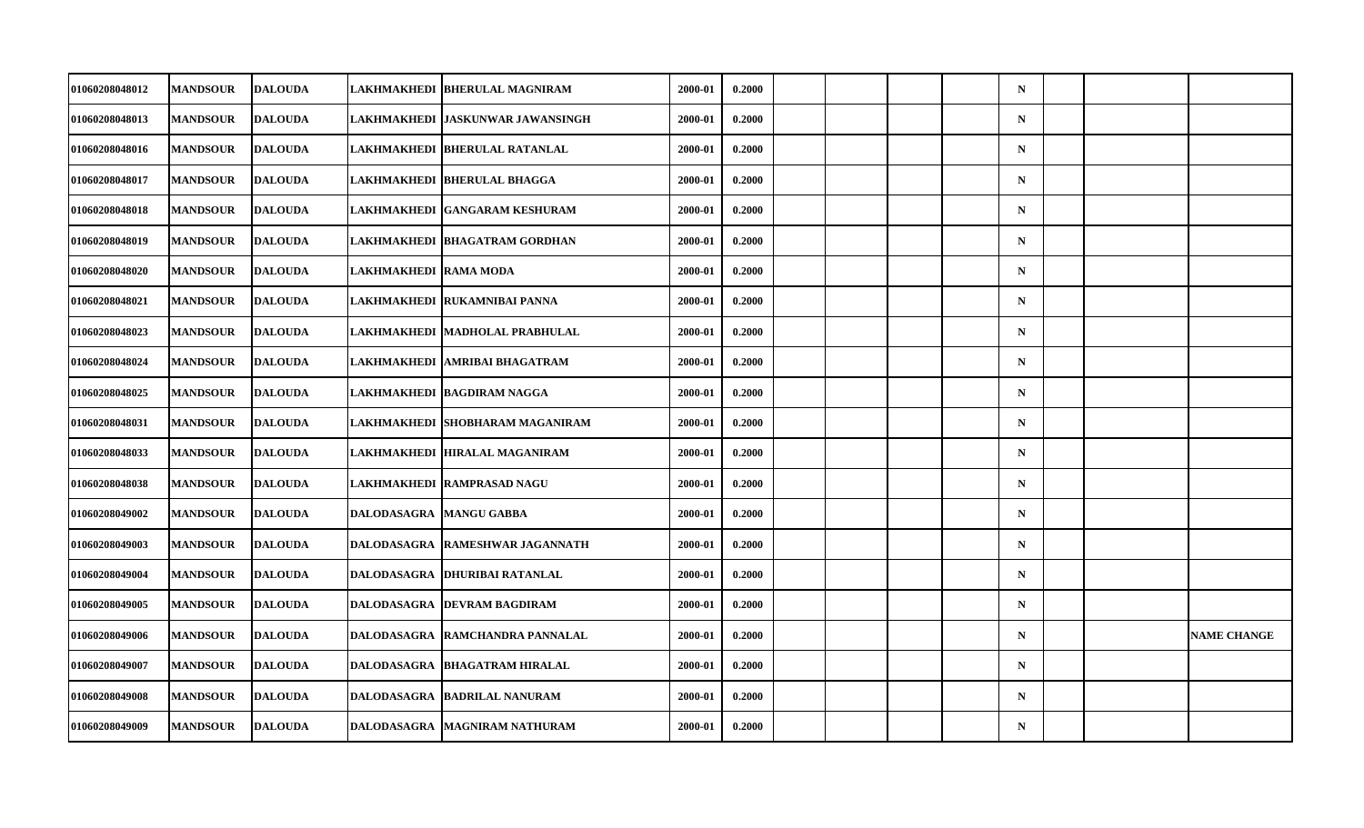| 01060208048012 | <b>MANDSOUR</b> | <b>DALOUDA</b> |                       | LAKHMAKHEDI  BHERULAL MAGNIRAM    | 2000-01 | 0.2000 |  |  | $\mathbf N$ |  |                    |
|----------------|-----------------|----------------|-----------------------|-----------------------------------|---------|--------|--|--|-------------|--|--------------------|
| 01060208048013 | <b>MANDSOUR</b> | <b>DALOUDA</b> |                       | LAKHMAKHEDI  JASKUNWAR JAWANSINGH | 2000-01 | 0.2000 |  |  | $\mathbf N$ |  |                    |
| 01060208048016 | <b>MANDSOUR</b> | <b>DALOUDA</b> |                       | LAKHMAKHEDI BHERULAL RATANLAL     | 2000-01 | 0.2000 |  |  | $\mathbf N$ |  |                    |
| 01060208048017 | <b>MANDSOUR</b> | <b>DALOUDA</b> |                       | LAKHMAKHEDI  BHERULAL BHAGGA      | 2000-01 | 0.2000 |  |  | $\mathbf N$ |  |                    |
| 01060208048018 | <b>MANDSOUR</b> | <b>DALOUDA</b> |                       | LAKHMAKHEDI  GANGARAM KESHURAM    | 2000-01 | 0.2000 |  |  | $\mathbf N$ |  |                    |
| 01060208048019 | <b>MANDSOUR</b> | <b>DALOUDA</b> |                       | LAKHMAKHEDI BHAGATRAM GORDHAN     | 2000-01 | 0.2000 |  |  | $\mathbf N$ |  |                    |
| 01060208048020 | <b>MANDSOUR</b> | <b>DALOUDA</b> | LAKHMAKHEDI RAMA MODA |                                   | 2000-01 | 0.2000 |  |  | $\mathbf N$ |  |                    |
| 01060208048021 | <b>MANDSOUR</b> | <b>DALOUDA</b> |                       | LAKHMAKHEDI  RUKAMNIBAI PANNA     | 2000-01 | 0.2000 |  |  | $\mathbf N$ |  |                    |
| 01060208048023 | <b>MANDSOUR</b> | <b>DALOUDA</b> |                       | LAKHMAKHEDI MADHOLAL PRABHULAL    | 2000-01 | 0.2000 |  |  | $\mathbf N$ |  |                    |
| 01060208048024 | <b>MANDSOUR</b> | <b>DALOUDA</b> | <b>LAKHMAKHEDI</b>    | <b>AMRIBAI BHAGATRAM</b>          | 2000-01 | 0.2000 |  |  | $\mathbf N$ |  |                    |
| 01060208048025 | <b>MANDSOUR</b> | <b>DALOUDA</b> |                       | LAKHMAKHEDI  BAGDIRAM NAGGA       | 2000-01 | 0.2000 |  |  | $\mathbf N$ |  |                    |
| 01060208048031 | <b>MANDSOUR</b> | <b>DALOUDA</b> | <b>LAKHMAKHEDI</b>    | <b>SHOBHARAM MAGANIRAM</b>        | 2000-01 | 0.2000 |  |  | $\mathbf N$ |  |                    |
| 01060208048033 | <b>MANDSOUR</b> | <b>DALOUDA</b> |                       | LAKHMAKHEDI  HIRALAL MAGANIRAM    | 2000-01 | 0.2000 |  |  | $\mathbf N$ |  |                    |
| 01060208048038 | <b>MANDSOUR</b> | <b>DALOUDA</b> |                       | LAKHMAKHEDI  RAMPRASAD NAGU       | 2000-01 | 0.2000 |  |  | $\mathbf N$ |  |                    |
| 01060208049002 | <b>MANDSOUR</b> | <b>DALOUDA</b> | <b>DALODASAGRA</b>    | <b>MANGU GABBA</b>                | 2000-01 | 0.2000 |  |  | $\mathbf N$ |  |                    |
| 01060208049003 | <b>MANDSOUR</b> | <b>DALOUDA</b> | <b>DALODASAGRA</b>    | <b>RAMESHWAR JAGANNATH</b>        | 2000-01 | 0.2000 |  |  | $\mathbf N$ |  |                    |
| 01060208049004 | <b>MANDSOUR</b> | <b>DALOUDA</b> |                       | DALODASAGRA   DHURIBAI RATANLAL   | 2000-01 | 0.2000 |  |  | $\mathbf N$ |  |                    |
| 01060208049005 | <b>MANDSOUR</b> | <b>DALOUDA</b> |                       | DALODASAGRA DEVRAM BAGDIRAM       | 2000-01 | 0.2000 |  |  | $\mathbf N$ |  |                    |
| 01060208049006 | <b>MANDSOUR</b> | <b>DALOUDA</b> |                       | DALODASAGRA   RAMCHANDRA PANNALAL | 2000-01 | 0.2000 |  |  | $\mathbf N$ |  | <b>NAME CHANGE</b> |
| 01060208049007 | <b>MANDSOUR</b> | <b>DALOUDA</b> |                       | DALODASAGRA  BHAGATRAM HIRALAL    | 2000-01 | 0.2000 |  |  | $\mathbf N$ |  |                    |
| 01060208049008 | <b>MANDSOUR</b> | <b>DALOUDA</b> | <b>DALODASAGRA</b>    | <b>BADRILAL NANURAM</b>           | 2000-01 | 0.2000 |  |  | $\mathbf N$ |  |                    |
| 01060208049009 | <b>MANDSOUR</b> | <b>DALOUDA</b> | DALODASAGRA           | MAGNIRAM NATHURAM                 | 2000-01 | 0.2000 |  |  | ${\bf N}$   |  |                    |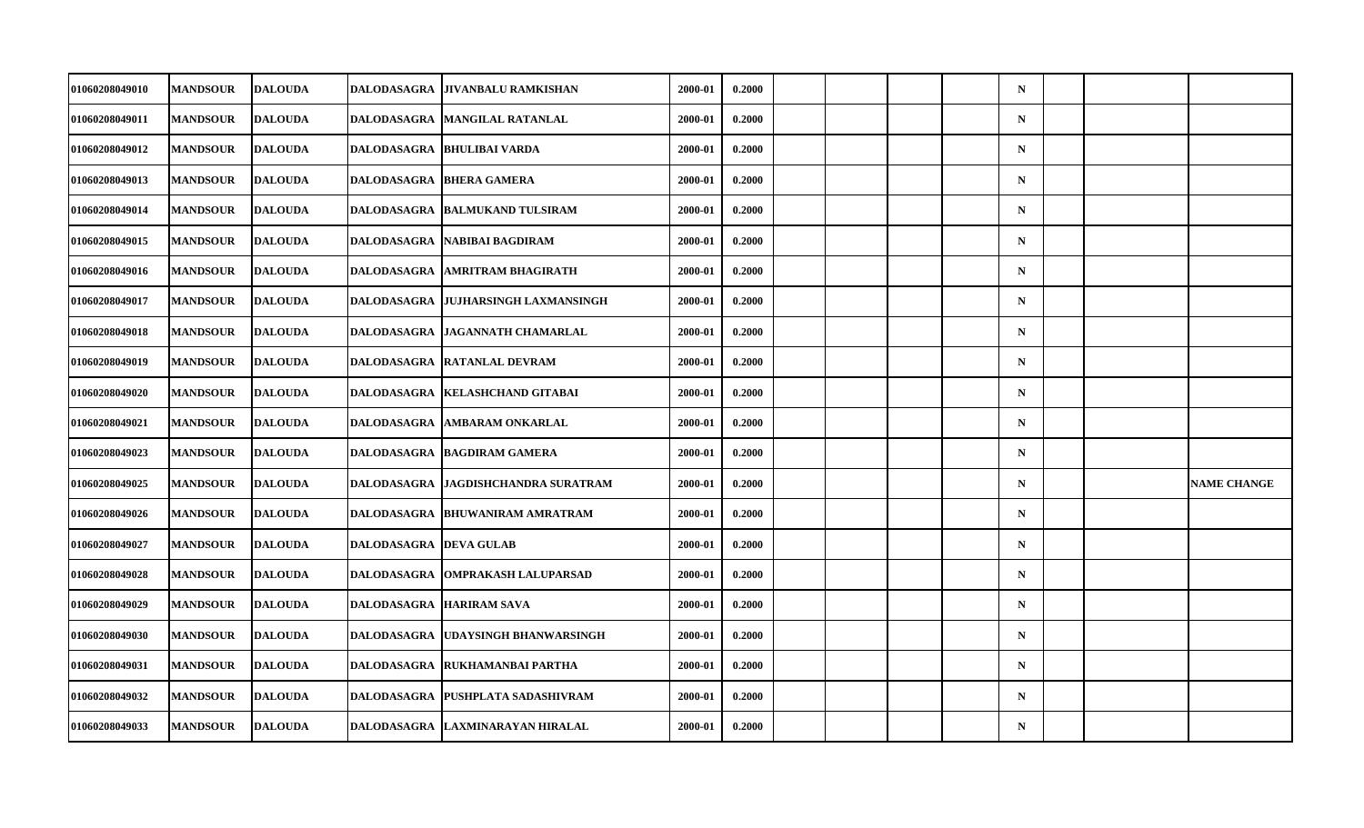| 01060208049010        | <b>MANDSOUR</b> | <b>DALOUDA</b> | DALODASAGRA                   | <b>JIVANBALU RAMKISHAN</b>            | 2000-01 | 0.2000 |  |  | $\mathbf N$ |  |                    |
|-----------------------|-----------------|----------------|-------------------------------|---------------------------------------|---------|--------|--|--|-------------|--|--------------------|
| 01060208049011        | <b>MANDSOUR</b> | <b>DALOUDA</b> |                               | DALODASAGRA MANGILAL RATANLAL         | 2000-01 | 0.2000 |  |  | $\mathbf N$ |  |                    |
| 01060208049012        | <b>MANDSOUR</b> | <b>DALOUDA</b> |                               | DALODASAGRA BHULIBAI VARDA            | 2000-01 | 0.2000 |  |  | $\mathbf N$ |  |                    |
| 01060208049013        | <b>MANDSOUR</b> | <b>DALOUDA</b> |                               | DALODASAGRA  BHERA GAMERA             | 2000-01 | 0.2000 |  |  | $\mathbf N$ |  |                    |
| 01060208049014        | <b>MANDSOUR</b> | <b>DALOUDA</b> |                               | DALODASAGRA BALMUKAND TULSIRAM        | 2000-01 | 0.2000 |  |  | $\mathbf N$ |  |                    |
| 01060208049015        | <b>MANDSOUR</b> | <b>DALOUDA</b> | <b>DALODASAGRA</b>            | NABIBAI BAGDIRAM                      | 2000-01 | 0.2000 |  |  | $\mathbf N$ |  |                    |
| 01060208049016        | <b>MANDSOUR</b> | <b>DALOUDA</b> | <b>DALODASAGRA</b>            | <b>AMRITRAM BHAGIRATH</b>             | 2000-01 | 0.2000 |  |  | $\mathbf N$ |  |                    |
| 01060208049017        | <b>MANDSOUR</b> | <b>DALOUDA</b> |                               | DALODASAGRA  JUJHARSINGH LAXMANSINGH  | 2000-01 | 0.2000 |  |  | $\mathbf N$ |  |                    |
| 01060208049018        | <b>MANDSOUR</b> | <b>DALOUDA</b> | <b>DALODASAGRA</b>            | <b>JAGANNATH CHAMARLAL</b>            | 2000-01 | 0.2000 |  |  | $\mathbf N$ |  |                    |
| 01060208049019        | <b>MANDSOUR</b> | <b>DALOUDA</b> | DALODASAGRA                   | <b>RATANLAL DEVRAM</b>                | 2000-01 | 0.2000 |  |  | $\mathbf N$ |  |                    |
| <b>01060208049020</b> | <b>MANDSOUR</b> | <b>DALOUDA</b> |                               | DALODASAGRA   KELASHCHAND GITABAI     | 2000-01 | 0.2000 |  |  | $\mathbf N$ |  |                    |
| 01060208049021        | <b>MANDSOUR</b> | <b>DALOUDA</b> | <b>DALODASAGRA</b>            | <b>AMBARAM ONKARLAL</b>               | 2000-01 | 0.2000 |  |  | $\mathbf N$ |  |                    |
| 01060208049023        | <b>MANDSOUR</b> | <b>DALOUDA</b> | <b>DALODASAGRA</b>            | <b>BAGDIRAM GAMERA</b>                | 2000-01 | 0.2000 |  |  | $\mathbf N$ |  |                    |
| 01060208049025        | <b>MANDSOUR</b> | <b>DALOUDA</b> |                               | DALODASAGRA   JAGDISHCHANDRA SURATRAM | 2000-01 | 0.2000 |  |  | $\mathbf N$ |  | <b>NAME CHANGE</b> |
| 01060208049026        | <b>MANDSOUR</b> | <b>DALOUDA</b> | <b>DALODASAGRA</b>            | <b>BHUWANIRAM AMRATRAM</b>            | 2000-01 | 0.2000 |  |  | $\mathbf N$ |  |                    |
| 01060208049027        | <b>MANDSOUR</b> | <b>DALOUDA</b> | <b>DALODASAGRA DEVA GULAB</b> |                                       | 2000-01 | 0.2000 |  |  | $\mathbf N$ |  |                    |
| 01060208049028        | <b>MANDSOUR</b> | <b>DALOUDA</b> |                               | DALODASAGRA   OMPRAKASH LALUPARSAD    | 2000-01 | 0.2000 |  |  | $\mathbf N$ |  |                    |
| 01060208049029        | <b>MANDSOUR</b> | <b>DALOUDA</b> |                               | DALODASAGRA HARIRAM SAVA              | 2000-01 | 0.2000 |  |  | $\mathbf N$ |  |                    |
| 01060208049030        | <b>MANDSOUR</b> | <b>DALOUDA</b> | DALODASAGRA                   | UDAYSINGH BHANWARSINGH                | 2000-01 | 0.2000 |  |  | $\mathbf N$ |  |                    |
| 01060208049031        | <b>MANDSOUR</b> | <b>DALOUDA</b> |                               | DALODASAGRA RUKHAMANBAI PARTHA        | 2000-01 | 0.2000 |  |  | $\mathbf N$ |  |                    |
| 01060208049032        | <b>MANDSOUR</b> | <b>DALOUDA</b> | DALODASAGRA                   | <b>PUSHPLATA SADASHIVRAM</b>          | 2000-01 | 0.2000 |  |  | $\mathbf N$ |  |                    |
| 01060208049033        | <b>MANDSOUR</b> | <b>DALOUDA</b> |                               | DALODASAGRA LAXMINARAYAN HIRALAL      | 2000-01 | 0.2000 |  |  | ${\bf N}$   |  |                    |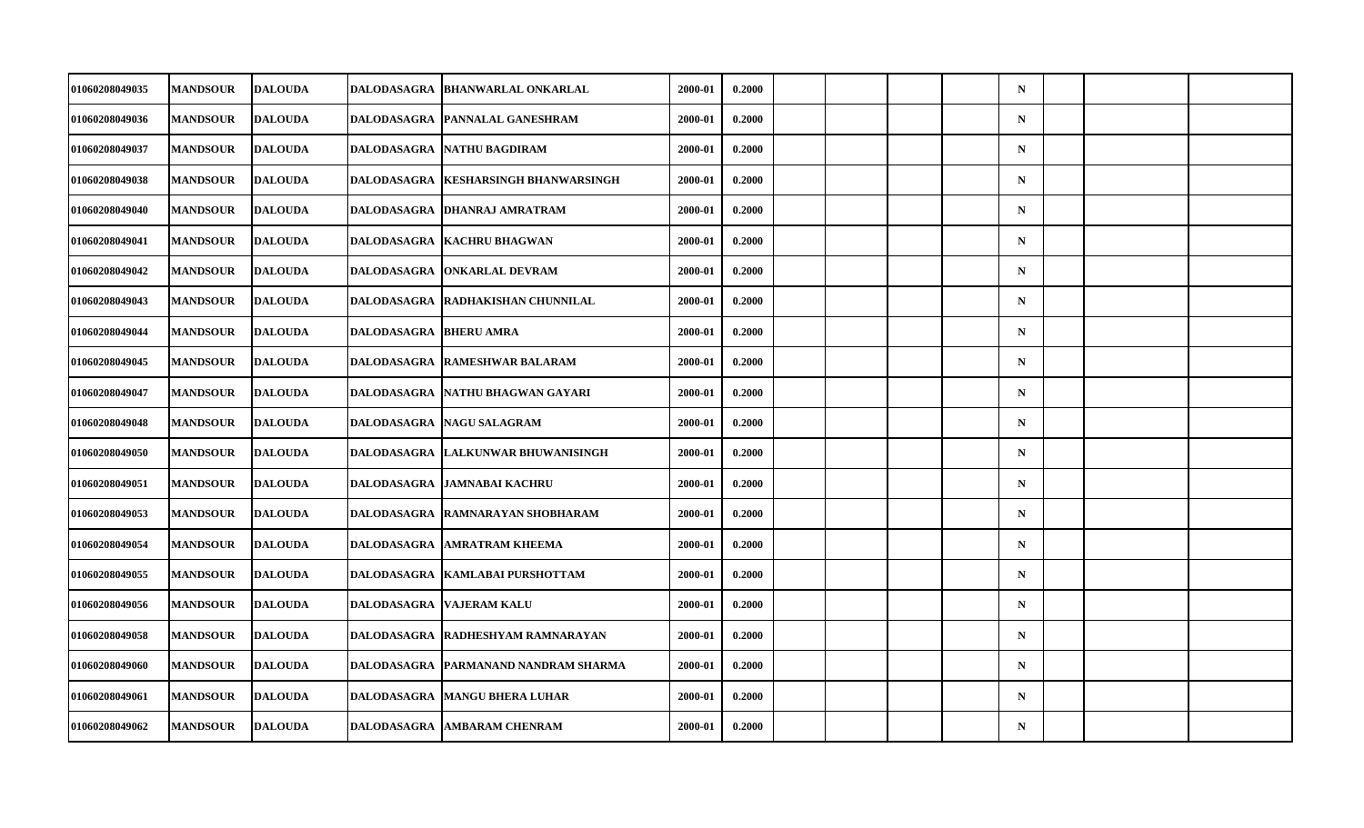| 01060208049035        |                 |                |                    |                                        |         |        |  |  |             |  |  |
|-----------------------|-----------------|----------------|--------------------|----------------------------------------|---------|--------|--|--|-------------|--|--|
|                       | <b>MANDSOUR</b> | <b>DALOUDA</b> |                    | DALODASAGRA   BHANWARLAL ONKARLAL      | 2000-01 | 0.2000 |  |  | $\mathbf N$ |  |  |
| 01060208049036        | <b>MANDSOUR</b> | <b>DALOUDA</b> | DALODASAGRA        | PANNALAL GANESHRAM                     | 2000-01 | 0.2000 |  |  | ${\bf N}$   |  |  |
| 01060208049037        | <b>MANDSOUR</b> | <b>DALOUDA</b> | <b>DALODASAGRA</b> | NATHU BAGDIRAM                         | 2000-01 | 0.2000 |  |  | $\mathbf N$ |  |  |
| 01060208049038        | <b>MANDSOUR</b> | <b>DALOUDA</b> | DALODASAGRA        | <b>KESHARSINGH BHANWARSINGH</b>        | 2000-01 | 0.2000 |  |  | $\mathbf N$ |  |  |
| 01060208049040        | <b>MANDSOUR</b> | <b>DALOUDA</b> |                    | DALODASAGRA  DHANRAJ AMRATRAM          | 2000-01 | 0.2000 |  |  | $\mathbf N$ |  |  |
| 01060208049041        | <b>MANDSOUR</b> | <b>DALOUDA</b> | <b>DALODASAGRA</b> | <b>KACHRU BHAGWAN</b>                  | 2000-01 | 0.2000 |  |  | $\mathbf N$ |  |  |
| 01060208049042        | <b>MANDSOUR</b> | <b>DALOUDA</b> | <b>DALODASAGRA</b> | <b>ONKARLAL DEVRAM</b>                 | 2000-01 | 0.2000 |  |  | $\mathbf N$ |  |  |
| 01060208049043        | <b>MANDSOUR</b> | <b>DALOUDA</b> |                    | DALODASAGRA  RADHAKISHAN CHUNNILAL     | 2000-01 | 0.2000 |  |  | $\mathbf N$ |  |  |
| 01060208049044        | <b>MANDSOUR</b> | <b>DALOUDA</b> | DALODASAGRA        | <b>BHERU AMRA</b>                      | 2000-01 | 0.2000 |  |  | $\mathbf N$ |  |  |
| 01060208049045        | <b>MANDSOUR</b> | <b>DALOUDA</b> | <b>DALODASAGRA</b> | <b>RAMESHWAR BALARAM</b>               | 2000-01 | 0.2000 |  |  | $\mathbf N$ |  |  |
| 01060208049047        | <b>MANDSOUR</b> | <b>DALOUDA</b> |                    | DALODASAGRA  NATHU BHAGWAN GAYARI      | 2000-01 | 0.2000 |  |  | $\mathbf N$ |  |  |
| 01060208049048        | <b>MANDSOUR</b> | <b>DALOUDA</b> | <b>DALODASAGRA</b> | <b>NAGU SALAGRAM</b>                   | 2000-01 | 0.2000 |  |  | $\mathbf N$ |  |  |
| 01060208049050        | <b>MANDSOUR</b> | <b>DALOUDA</b> | DALODASAGRA        | LALKUNWAR BHUWANISINGH                 | 2000-01 | 0.2000 |  |  | ${\bf N}$   |  |  |
| 01060208049051        | <b>MANDSOUR</b> | <b>DALOUDA</b> |                    | DALODASAGRA JAMNABAI KACHRU            | 2000-01 | 0.2000 |  |  | $\mathbf N$ |  |  |
| 01060208049053        | <b>MANDSOUR</b> | <b>DALOUDA</b> | <b>DALODASAGRA</b> | RAMNARAYAN SHOBHARAM                   | 2000-01 | 0.2000 |  |  | $\mathbf N$ |  |  |
| 01060208049054        | <b>MANDSOUR</b> | <b>DALOUDA</b> | <b>DALODASAGRA</b> | <b>AMRATRAM KHEEMA</b>                 | 2000-01 | 0.2000 |  |  | $\mathbf N$ |  |  |
| <b>01060208049055</b> | <b>MANDSOUR</b> | <b>DALOUDA</b> |                    | DALODASAGRA   KAMLABAI PURSHOTTAM      | 2000-01 | 0.2000 |  |  | $\mathbf N$ |  |  |
| 01060208049056        | <b>MANDSOUR</b> | <b>DALOUDA</b> | <b>DALODASAGRA</b> | <b>VAJERAM KALU</b>                    | 2000-01 | 0.2000 |  |  | $\mathbf N$ |  |  |
| 01060208049058        | <b>MANDSOUR</b> | <b>DALOUDA</b> |                    | DALODASAGRA RADHESHYAM RAMNARAYAN      | 2000-01 | 0.2000 |  |  | $\mathbf N$ |  |  |
| 01060208049060        | <b>MANDSOUR</b> | <b>DALOUDA</b> |                    | DALODASAGRA   PARMANAND NANDRAM SHARMA | 2000-01 | 0.2000 |  |  | $\mathbf N$ |  |  |
| 01060208049061        | <b>MANDSOUR</b> | <b>DALOUDA</b> | <b>DALODASAGRA</b> | <b>MANGU BHERA LUHAR</b>               | 2000-01 | 0.2000 |  |  | $\mathbf N$ |  |  |
| 01060208049062        | <b>MANDSOUR</b> | <b>DALOUDA</b> | <b>DALODASAGRA</b> | <b>AMBARAM CHENRAM</b>                 | 2000-01 | 0.2000 |  |  | $\mathbf N$ |  |  |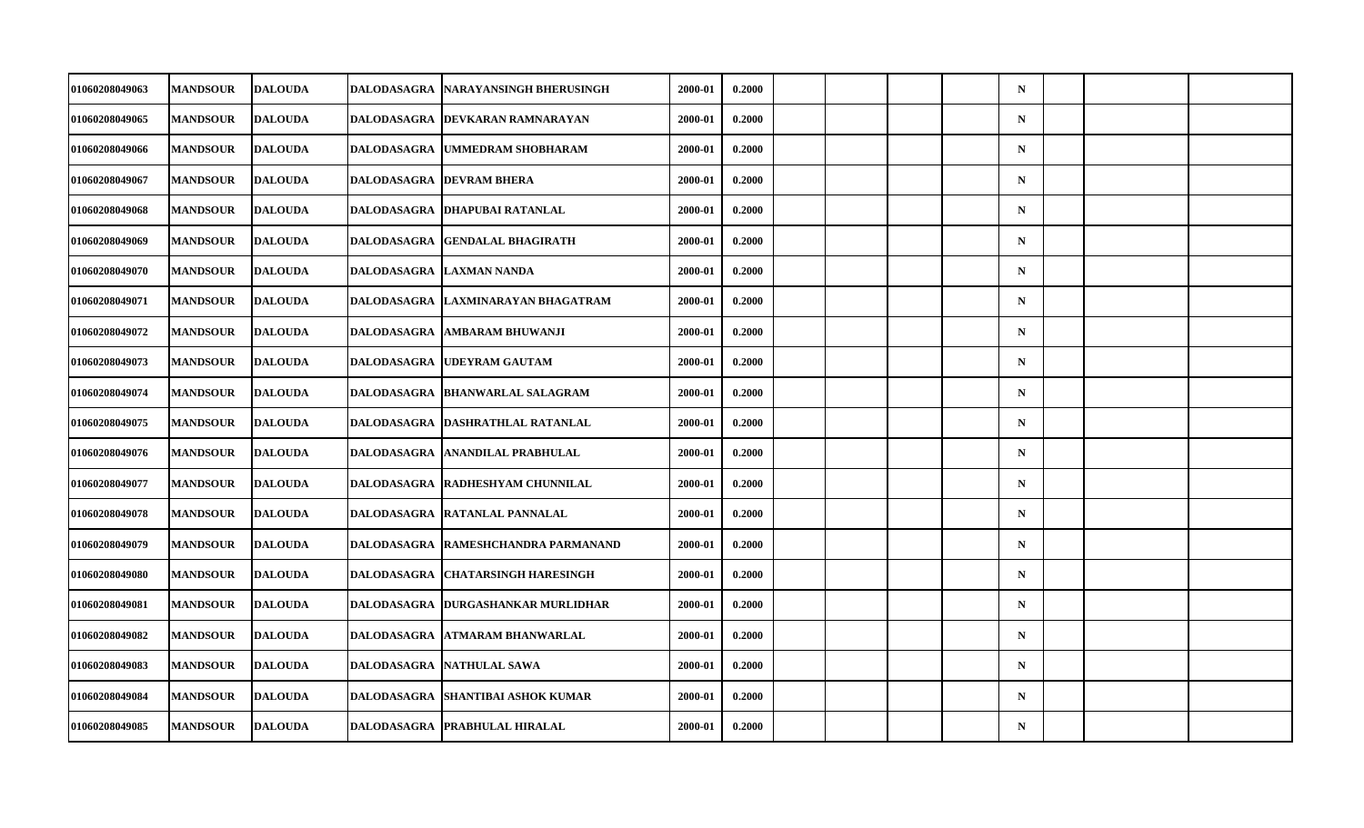| 01060208049063        | <b>MANDSOUR</b> | <b>DALOUDA</b> | DALODASAGRA        | NARAYANSINGH BHERUSINGH             | 2000-01 | 0.2000 |  |  | $\mathbf N$ |  |  |
|-----------------------|-----------------|----------------|--------------------|-------------------------------------|---------|--------|--|--|-------------|--|--|
| 01060208049065        | <b>MANDSOUR</b> | <b>DALOUDA</b> |                    | DALODASAGRA   DEVKARAN RAMNARAYAN   | 2000-01 | 0.2000 |  |  | $\mathbf N$ |  |  |
| 01060208049066        | <b>MANDSOUR</b> | <b>DALOUDA</b> |                    | DALODASAGRA UMMEDRAM SHOBHARAM      | 2000-01 | 0.2000 |  |  | $\mathbf N$ |  |  |
| 01060208049067        | <b>MANDSOUR</b> | <b>DALOUDA</b> |                    | <b>DALODASAGRA  DEVRAM BHERA</b>    | 2000-01 | 0.2000 |  |  | $\mathbf N$ |  |  |
| 01060208049068        | <b>MANDSOUR</b> | <b>DALOUDA</b> |                    | DALODASAGRA DHAPUBAI RATANLAL       | 2000-01 | 0.2000 |  |  | $\mathbf N$ |  |  |
| 01060208049069        | <b>MANDSOUR</b> | <b>DALOUDA</b> | <b>DALODASAGRA</b> | <b>GENDALAL BHAGIRATH</b>           | 2000-01 | 0.2000 |  |  | $\mathbf N$ |  |  |
| 01060208049070        | <b>MANDSOUR</b> | <b>DALOUDA</b> | <b>DALODASAGRA</b> | <b>LAXMAN NANDA</b>                 | 2000-01 | 0.2000 |  |  | $\mathbf N$ |  |  |
| <b>01060208049071</b> | <b>MANDSOUR</b> | <b>DALOUDA</b> |                    | DALODASAGRA  LAXMINARAYAN BHAGATRAM | 2000-01 | 0.2000 |  |  | $\mathbf N$ |  |  |
| 01060208049072        | <b>MANDSOUR</b> | <b>DALOUDA</b> | <b>DALODASAGRA</b> | <b>AMBARAM BHUWANJI</b>             | 2000-01 | 0.2000 |  |  | $\mathbf N$ |  |  |
| 01060208049073        | <b>MANDSOUR</b> | <b>DALOUDA</b> | <b>DALODASAGRA</b> | <b>UDEYRAM GAUTAM</b>               | 2000-01 | 0.2000 |  |  | $\mathbf N$ |  |  |
| <b>01060208049074</b> | <b>MANDSOUR</b> | <b>DALOUDA</b> |                    | DALODASAGRA  BHANWARLAL SALAGRAM    | 2000-01 | 0.2000 |  |  | $\mathbf N$ |  |  |
| 01060208049075        | <b>MANDSOUR</b> | <b>DALOUDA</b> | <b>DALODASAGRA</b> | DASHRATHLAL RATANLAL                | 2000-01 | 0.2000 |  |  | $\mathbf N$ |  |  |
| 01060208049076        | <b>MANDSOUR</b> | <b>DALOUDA</b> | <b>DALODASAGRA</b> | <b>ANANDILAL PRABHULAL</b>          | 2000-01 | 0.2000 |  |  | $\mathbf N$ |  |  |
| 01060208049077        | <b>MANDSOUR</b> | <b>DALOUDA</b> |                    | DALODASAGRA RADHESHYAM CHUNNILAL    | 2000-01 | 0.2000 |  |  | $\mathbf N$ |  |  |
| 01060208049078        | <b>MANDSOUR</b> | <b>DALOUDA</b> | <b>DALODASAGRA</b> | <b>RATANLAL PANNALAL</b>            | 2000-01 | 0.2000 |  |  | $\mathbf N$ |  |  |
| 01060208049079        | <b>MANDSOUR</b> | <b>DALOUDA</b> | <b>DALODASAGRA</b> | RAMESHCHANDRA PARMANAND             | 2000-01 | 0.2000 |  |  | $\mathbf N$ |  |  |
| 01060208049080        | <b>MANDSOUR</b> | <b>DALOUDA</b> | DALODASAGRA        | <b>CHATARSINGH HARESINGH</b>        | 2000-01 | 0.2000 |  |  | $\mathbf N$ |  |  |
| 01060208049081        | <b>MANDSOUR</b> | <b>DALOUDA</b> | <b>DALODASAGRA</b> | <b>DURGASHANKAR MURLIDHAR</b>       | 2000-01 | 0.2000 |  |  | $\mathbf N$ |  |  |
| 01060208049082        | <b>MANDSOUR</b> | <b>DALOUDA</b> | <b>DALODASAGRA</b> | <b>ATMARAM BHANWARLAL</b>           | 2000-01 | 0.2000 |  |  | $\mathbf N$ |  |  |
| 01060208049083        | <b>MANDSOUR</b> | <b>DALOUDA</b> |                    | DALODASAGRA   NATHULAL SAWA         | 2000-01 | 0.2000 |  |  | $\mathbf N$ |  |  |
| 01060208049084        | <b>MANDSOUR</b> | <b>DALOUDA</b> | <b>DALODASAGRA</b> | <b>SHANTIBAI ASHOK KUMAR</b>        | 2000-01 | 0.2000 |  |  | $\mathbf N$ |  |  |
| 01060208049085        | <b>MANDSOUR</b> | <b>DALOUDA</b> |                    | DALODASAGRA   PRABHULAL HIRALAL     | 2000-01 | 0.2000 |  |  | ${\bf N}$   |  |  |
|                       |                 |                |                    |                                     |         |        |  |  |             |  |  |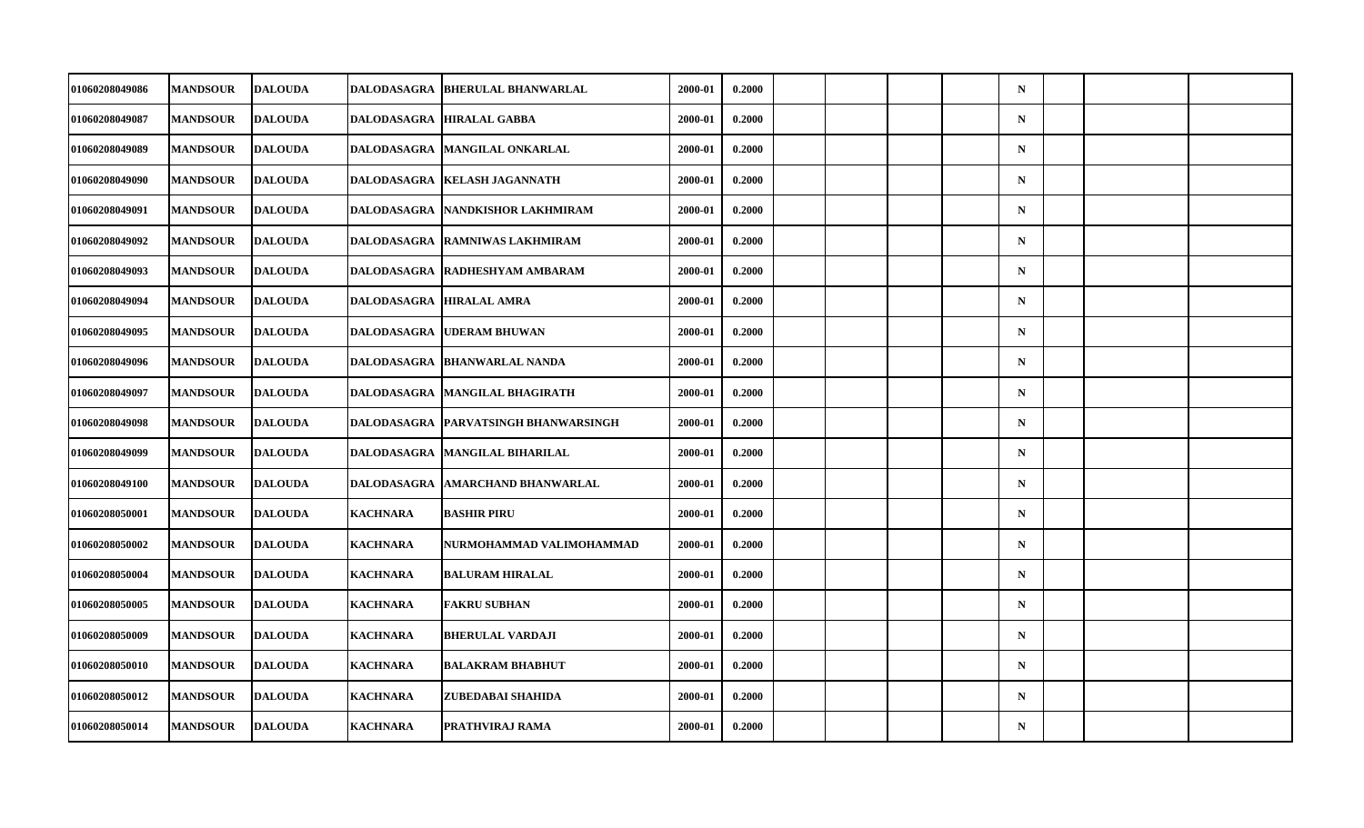| 01060208049086<br><b>MANDSOUR</b><br>0.2000<br>$\mathbf N$<br><b>DALOUDA</b><br>DALODASAGRA<br><b>BHERULAL BHANWARLAL</b><br>2000-01<br>01060208049087<br><b>MANDSOUR</b><br><b>DALOUDA</b><br>2000-01<br>0.2000<br>$\mathbf N$<br>DALODASAGRA HIRALAL GABBA<br>01060208049089<br><b>MANDSOUR</b><br><b>DALOUDA</b><br>DALODASAGRA   MANGILAL ONKARLAL<br>2000-01<br>0.2000<br>$\mathbf N$<br>0.2000<br><b>MANDSOUR</b><br><b>DALOUDA</b><br>$\mathbf N$<br>01060208049090<br>DALODASAGRA<br><b>KELASH JAGANNATH</b><br>2000-01<br>0.2000<br><b>DALOUDA</b><br>2000-01<br>$\mathbf N$<br>01060208049091<br><b>MANDSOUR</b><br>DALODASAGRA  NANDKISHOR LAKHMIRAM <br>01060208049092<br><b>MANDSOUR</b><br><b>DALOUDA</b><br>2000-01<br>0.2000<br>$\mathbf N$<br><b>DALODASAGRA</b><br><b>RAMNIWAS LAKHMIRAM</b><br>0.2000<br>01060208049093<br><b>MANDSOUR</b><br><b>DALOUDA</b><br><b>DALODASAGRA</b><br><b>RADHESHYAM AMBARAM</b><br>2000-01<br>$\mathbf N$<br>0.2000<br>01060208049094<br><b>DALOUDA</b><br>2000-01<br>$\mathbf N$<br><b>MANDSOUR</b><br>DALODASAGRA  HIRALAL AMRA<br>01060208049095<br><b>MANDSOUR</b><br><b>DALOUDA</b><br><b>DALODASAGRA</b><br><b>UDERAM BHUWAN</b><br>2000-01<br>0.2000<br>$\mathbf N$<br>0.2000<br>01060208049096<br><b>MANDSOUR</b><br><b>DALOUDA</b><br><b>BHANWARLAL NANDA</b><br>2000-01<br>$\mathbf N$<br><b>DALODASAGRA</b><br>0.2000<br>01060208049097<br><b>MANDSOUR</b><br><b>DALOUDA</b><br>2000-01<br>$\mathbf N$<br>DALODASAGRA   MANGILAL BHAGIRATH<br>01060208049098<br><b>MANDSOUR</b><br><b>DALOUDA</b><br>2000-01<br>0.2000<br>$\mathbf N$<br><b>DALODASAGRA</b><br><b>PARVATSINGH BHANWARSINGH</b><br>01060208049099<br><b>MANDSOUR</b><br><b>DALOUDA</b><br>2000-01<br>0.2000<br>$\mathbf N$<br><b>DALODASAGRA</b><br><b>MANGILAL BIHARILAL</b><br>0.2000<br>01060208049100<br><b>MANDSOUR</b><br><b>DALOUDA</b><br>2000-01<br>$\mathbf N$<br>DALODASAGRA<br>AMARCHAND BHANWARLAL<br>0.2000<br>01060208050001<br><b>MANDSOUR</b><br><b>DALOUDA</b><br><b>KACHNARA</b><br><b>BASHIR PIRU</b><br>2000-01<br>$\mathbf N$<br>0.2000<br>01060208050002<br><b>MANDSOUR</b><br><b>DALOUDA</b><br><b>KACHNARA</b><br>2000-01<br>$\mathbf N$<br>NURMOHAMMAD VALIMOHAMMAD<br>0.2000<br>$\mathbf N$<br>01060208050004<br><b>MANDSOUR</b><br><b>DALOUDA</b><br><b>KACHNARA</b><br><b>BALURAM HIRALAL</b><br>2000-01<br><b>DALOUDA</b><br><b>KACHNARA</b><br>0.2000<br>01060208050005<br><b>MANDSOUR</b><br><b>FAKRU SUBHAN</b><br>2000-01<br>$\mathbf N$ |                |                 |                |                 |                         |         |        |  |  |             |  |  |
|---------------------------------------------------------------------------------------------------------------------------------------------------------------------------------------------------------------------------------------------------------------------------------------------------------------------------------------------------------------------------------------------------------------------------------------------------------------------------------------------------------------------------------------------------------------------------------------------------------------------------------------------------------------------------------------------------------------------------------------------------------------------------------------------------------------------------------------------------------------------------------------------------------------------------------------------------------------------------------------------------------------------------------------------------------------------------------------------------------------------------------------------------------------------------------------------------------------------------------------------------------------------------------------------------------------------------------------------------------------------------------------------------------------------------------------------------------------------------------------------------------------------------------------------------------------------------------------------------------------------------------------------------------------------------------------------------------------------------------------------------------------------------------------------------------------------------------------------------------------------------------------------------------------------------------------------------------------------------------------------------------------------------------------------------------------------------------------------------------------------------------------------------------------------------------------------------------------------------------------------------------------------------------------------------------------------------------------------------------------------------------------------------------------------------------------------------------------------------------------------------------|----------------|-----------------|----------------|-----------------|-------------------------|---------|--------|--|--|-------------|--|--|
|                                                                                                                                                                                                                                                                                                                                                                                                                                                                                                                                                                                                                                                                                                                                                                                                                                                                                                                                                                                                                                                                                                                                                                                                                                                                                                                                                                                                                                                                                                                                                                                                                                                                                                                                                                                                                                                                                                                                                                                                                                                                                                                                                                                                                                                                                                                                                                                                                                                                                                         |                |                 |                |                 |                         |         |        |  |  |             |  |  |
|                                                                                                                                                                                                                                                                                                                                                                                                                                                                                                                                                                                                                                                                                                                                                                                                                                                                                                                                                                                                                                                                                                                                                                                                                                                                                                                                                                                                                                                                                                                                                                                                                                                                                                                                                                                                                                                                                                                                                                                                                                                                                                                                                                                                                                                                                                                                                                                                                                                                                                         |                |                 |                |                 |                         |         |        |  |  |             |  |  |
|                                                                                                                                                                                                                                                                                                                                                                                                                                                                                                                                                                                                                                                                                                                                                                                                                                                                                                                                                                                                                                                                                                                                                                                                                                                                                                                                                                                                                                                                                                                                                                                                                                                                                                                                                                                                                                                                                                                                                                                                                                                                                                                                                                                                                                                                                                                                                                                                                                                                                                         |                |                 |                |                 |                         |         |        |  |  |             |  |  |
|                                                                                                                                                                                                                                                                                                                                                                                                                                                                                                                                                                                                                                                                                                                                                                                                                                                                                                                                                                                                                                                                                                                                                                                                                                                                                                                                                                                                                                                                                                                                                                                                                                                                                                                                                                                                                                                                                                                                                                                                                                                                                                                                                                                                                                                                                                                                                                                                                                                                                                         |                |                 |                |                 |                         |         |        |  |  |             |  |  |
|                                                                                                                                                                                                                                                                                                                                                                                                                                                                                                                                                                                                                                                                                                                                                                                                                                                                                                                                                                                                                                                                                                                                                                                                                                                                                                                                                                                                                                                                                                                                                                                                                                                                                                                                                                                                                                                                                                                                                                                                                                                                                                                                                                                                                                                                                                                                                                                                                                                                                                         |                |                 |                |                 |                         |         |        |  |  |             |  |  |
|                                                                                                                                                                                                                                                                                                                                                                                                                                                                                                                                                                                                                                                                                                                                                                                                                                                                                                                                                                                                                                                                                                                                                                                                                                                                                                                                                                                                                                                                                                                                                                                                                                                                                                                                                                                                                                                                                                                                                                                                                                                                                                                                                                                                                                                                                                                                                                                                                                                                                                         |                |                 |                |                 |                         |         |        |  |  |             |  |  |
|                                                                                                                                                                                                                                                                                                                                                                                                                                                                                                                                                                                                                                                                                                                                                                                                                                                                                                                                                                                                                                                                                                                                                                                                                                                                                                                                                                                                                                                                                                                                                                                                                                                                                                                                                                                                                                                                                                                                                                                                                                                                                                                                                                                                                                                                                                                                                                                                                                                                                                         |                |                 |                |                 |                         |         |        |  |  |             |  |  |
|                                                                                                                                                                                                                                                                                                                                                                                                                                                                                                                                                                                                                                                                                                                                                                                                                                                                                                                                                                                                                                                                                                                                                                                                                                                                                                                                                                                                                                                                                                                                                                                                                                                                                                                                                                                                                                                                                                                                                                                                                                                                                                                                                                                                                                                                                                                                                                                                                                                                                                         |                |                 |                |                 |                         |         |        |  |  |             |  |  |
|                                                                                                                                                                                                                                                                                                                                                                                                                                                                                                                                                                                                                                                                                                                                                                                                                                                                                                                                                                                                                                                                                                                                                                                                                                                                                                                                                                                                                                                                                                                                                                                                                                                                                                                                                                                                                                                                                                                                                                                                                                                                                                                                                                                                                                                                                                                                                                                                                                                                                                         |                |                 |                |                 |                         |         |        |  |  |             |  |  |
|                                                                                                                                                                                                                                                                                                                                                                                                                                                                                                                                                                                                                                                                                                                                                                                                                                                                                                                                                                                                                                                                                                                                                                                                                                                                                                                                                                                                                                                                                                                                                                                                                                                                                                                                                                                                                                                                                                                                                                                                                                                                                                                                                                                                                                                                                                                                                                                                                                                                                                         |                |                 |                |                 |                         |         |        |  |  |             |  |  |
|                                                                                                                                                                                                                                                                                                                                                                                                                                                                                                                                                                                                                                                                                                                                                                                                                                                                                                                                                                                                                                                                                                                                                                                                                                                                                                                                                                                                                                                                                                                                                                                                                                                                                                                                                                                                                                                                                                                                                                                                                                                                                                                                                                                                                                                                                                                                                                                                                                                                                                         |                |                 |                |                 |                         |         |        |  |  |             |  |  |
|                                                                                                                                                                                                                                                                                                                                                                                                                                                                                                                                                                                                                                                                                                                                                                                                                                                                                                                                                                                                                                                                                                                                                                                                                                                                                                                                                                                                                                                                                                                                                                                                                                                                                                                                                                                                                                                                                                                                                                                                                                                                                                                                                                                                                                                                                                                                                                                                                                                                                                         |                |                 |                |                 |                         |         |        |  |  |             |  |  |
|                                                                                                                                                                                                                                                                                                                                                                                                                                                                                                                                                                                                                                                                                                                                                                                                                                                                                                                                                                                                                                                                                                                                                                                                                                                                                                                                                                                                                                                                                                                                                                                                                                                                                                                                                                                                                                                                                                                                                                                                                                                                                                                                                                                                                                                                                                                                                                                                                                                                                                         |                |                 |                |                 |                         |         |        |  |  |             |  |  |
|                                                                                                                                                                                                                                                                                                                                                                                                                                                                                                                                                                                                                                                                                                                                                                                                                                                                                                                                                                                                                                                                                                                                                                                                                                                                                                                                                                                                                                                                                                                                                                                                                                                                                                                                                                                                                                                                                                                                                                                                                                                                                                                                                                                                                                                                                                                                                                                                                                                                                                         |                |                 |                |                 |                         |         |        |  |  |             |  |  |
|                                                                                                                                                                                                                                                                                                                                                                                                                                                                                                                                                                                                                                                                                                                                                                                                                                                                                                                                                                                                                                                                                                                                                                                                                                                                                                                                                                                                                                                                                                                                                                                                                                                                                                                                                                                                                                                                                                                                                                                                                                                                                                                                                                                                                                                                                                                                                                                                                                                                                                         |                |                 |                |                 |                         |         |        |  |  |             |  |  |
|                                                                                                                                                                                                                                                                                                                                                                                                                                                                                                                                                                                                                                                                                                                                                                                                                                                                                                                                                                                                                                                                                                                                                                                                                                                                                                                                                                                                                                                                                                                                                                                                                                                                                                                                                                                                                                                                                                                                                                                                                                                                                                                                                                                                                                                                                                                                                                                                                                                                                                         |                |                 |                |                 |                         |         |        |  |  |             |  |  |
|                                                                                                                                                                                                                                                                                                                                                                                                                                                                                                                                                                                                                                                                                                                                                                                                                                                                                                                                                                                                                                                                                                                                                                                                                                                                                                                                                                                                                                                                                                                                                                                                                                                                                                                                                                                                                                                                                                                                                                                                                                                                                                                                                                                                                                                                                                                                                                                                                                                                                                         |                |                 |                |                 |                         |         |        |  |  |             |  |  |
|                                                                                                                                                                                                                                                                                                                                                                                                                                                                                                                                                                                                                                                                                                                                                                                                                                                                                                                                                                                                                                                                                                                                                                                                                                                                                                                                                                                                                                                                                                                                                                                                                                                                                                                                                                                                                                                                                                                                                                                                                                                                                                                                                                                                                                                                                                                                                                                                                                                                                                         |                |                 |                |                 |                         |         |        |  |  |             |  |  |
|                                                                                                                                                                                                                                                                                                                                                                                                                                                                                                                                                                                                                                                                                                                                                                                                                                                                                                                                                                                                                                                                                                                                                                                                                                                                                                                                                                                                                                                                                                                                                                                                                                                                                                                                                                                                                                                                                                                                                                                                                                                                                                                                                                                                                                                                                                                                                                                                                                                                                                         | 01060208050009 | <b>MANDSOUR</b> | <b>DALOUDA</b> | <b>KACHNARA</b> | <b>BHERULAL VARDAJI</b> | 2000-01 | 0.2000 |  |  | $\mathbf N$ |  |  |
| 0.2000<br><b>01060208050010</b><br><b>MANDSOUR</b><br><b>DALOUDA</b><br><b>KACHNARA</b><br><b>BALAKRAM BHABHUT</b><br>2000-01<br>$\mathbf N$                                                                                                                                                                                                                                                                                                                                                                                                                                                                                                                                                                                                                                                                                                                                                                                                                                                                                                                                                                                                                                                                                                                                                                                                                                                                                                                                                                                                                                                                                                                                                                                                                                                                                                                                                                                                                                                                                                                                                                                                                                                                                                                                                                                                                                                                                                                                                            |                |                 |                |                 |                         |         |        |  |  |             |  |  |
| 01060208050012<br><b>DALOUDA</b><br><b>KACHNARA</b><br>2000-01<br>0.2000<br><b>MANDSOUR</b><br>ZUBEDABAI SHAHIDA<br>$\mathbf N$                                                                                                                                                                                                                                                                                                                                                                                                                                                                                                                                                                                                                                                                                                                                                                                                                                                                                                                                                                                                                                                                                                                                                                                                                                                                                                                                                                                                                                                                                                                                                                                                                                                                                                                                                                                                                                                                                                                                                                                                                                                                                                                                                                                                                                                                                                                                                                         |                |                 |                |                 |                         |         |        |  |  |             |  |  |
| 0.2000<br>${\bf N}$<br>01060208050014<br><b>MANDSOUR</b><br><b>DALOUDA</b><br><b>KACHNARA</b><br>PRATHVIRAJ RAMA<br>2000-01                                                                                                                                                                                                                                                                                                                                                                                                                                                                                                                                                                                                                                                                                                                                                                                                                                                                                                                                                                                                                                                                                                                                                                                                                                                                                                                                                                                                                                                                                                                                                                                                                                                                                                                                                                                                                                                                                                                                                                                                                                                                                                                                                                                                                                                                                                                                                                             |                |                 |                |                 |                         |         |        |  |  |             |  |  |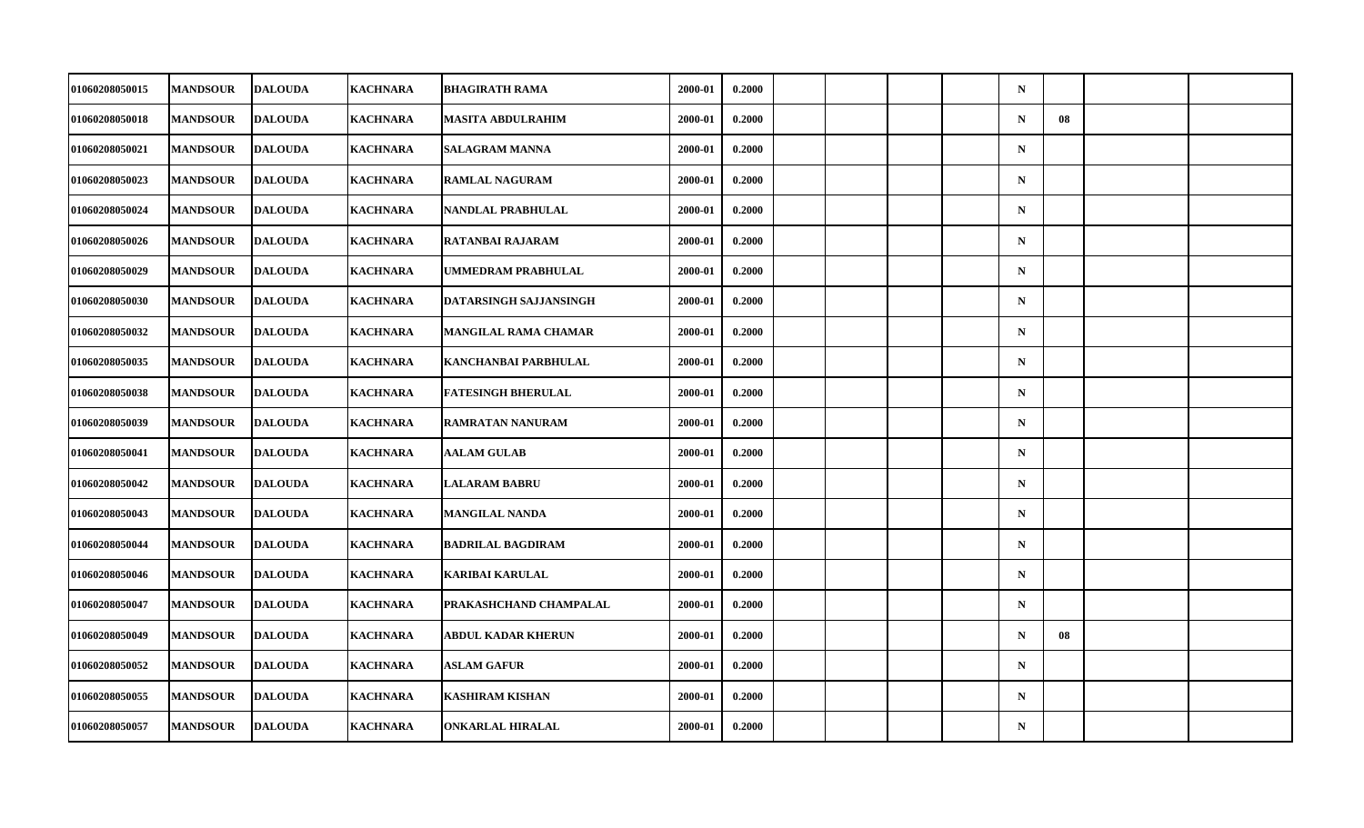| 01060208050015        | <b>MANDSOUR</b> | <b>DALOUDA</b> | <b>KACHNARA</b> | <b>BHAGIRATH RAMA</b>     | 2000-01 | 0.2000 |  |  | $\mathbf N$ |    |  |
|-----------------------|-----------------|----------------|-----------------|---------------------------|---------|--------|--|--|-------------|----|--|
| 01060208050018        | <b>MANDSOUR</b> | <b>DALOUDA</b> | <b>KACHNARA</b> | MASITA ABDULRAHIM         | 2000-01 | 0.2000 |  |  | $\mathbf N$ | 08 |  |
| 01060208050021        | <b>MANDSOUR</b> | <b>DALOUDA</b> | <b>KACHNARA</b> | <b>SALAGRAM MANNA</b>     | 2000-01 | 0.2000 |  |  | $\mathbf N$ |    |  |
| <b>01060208050023</b> | <b>MANDSOUR</b> | <b>DALOUDA</b> | <b>KACHNARA</b> | <b>RAMLAL NAGURAM</b>     | 2000-01 | 0.2000 |  |  | $\mathbf N$ |    |  |
| 01060208050024        | <b>MANDSOUR</b> | <b>DALOUDA</b> | <b>KACHNARA</b> | NANDLAL PRABHULAL         | 2000-01 | 0.2000 |  |  | $\mathbf N$ |    |  |
| 01060208050026        | <b>MANDSOUR</b> | <b>DALOUDA</b> | <b>KACHNARA</b> | <b>RATANBAI RAJARAM</b>   | 2000-01 | 0.2000 |  |  | $\mathbf N$ |    |  |
| 01060208050029        | <b>MANDSOUR</b> | <b>DALOUDA</b> | <b>KACHNARA</b> | <b>UMMEDRAM PRABHULAL</b> | 2000-01 | 0.2000 |  |  | $\mathbf N$ |    |  |
| 01060208050030        | <b>MANDSOUR</b> | <b>DALOUDA</b> | <b>KACHNARA</b> | DATARSINGH SAJJANSINGH    | 2000-01 | 0.2000 |  |  | $\mathbf N$ |    |  |
| 01060208050032        | <b>MANDSOUR</b> | <b>DALOUDA</b> | <b>KACHNARA</b> | MANGILAL RAMA CHAMAR      | 2000-01 | 0.2000 |  |  | $\mathbf N$ |    |  |
| 01060208050035        | <b>MANDSOUR</b> | <b>DALOUDA</b> | <b>KACHNARA</b> | KANCHANBAI PARBHULAL      | 2000-01 | 0.2000 |  |  | $\mathbf N$ |    |  |
| 01060208050038        | <b>MANDSOUR</b> | <b>DALOUDA</b> | <b>KACHNARA</b> | <b>FATESINGH BHERULAL</b> | 2000-01 | 0.2000 |  |  | $\mathbf N$ |    |  |
| 01060208050039        | <b>MANDSOUR</b> | <b>DALOUDA</b> | <b>KACHNARA</b> | RAMRATAN NANURAM          | 2000-01 | 0.2000 |  |  | $\mathbf N$ |    |  |
| 01060208050041        | <b>MANDSOUR</b> | <b>DALOUDA</b> | <b>KACHNARA</b> | <b>AALAM GULAB</b>        | 2000-01 | 0.2000 |  |  | ${\bf N}$   |    |  |
| 01060208050042        | <b>MANDSOUR</b> | <b>DALOUDA</b> | <b>KACHNARA</b> | <b>LALARAM BABRU</b>      | 2000-01 | 0.2000 |  |  | $\mathbf N$ |    |  |
| 01060208050043        | <b>MANDSOUR</b> | <b>DALOUDA</b> | <b>KACHNARA</b> | <b>MANGILAL NANDA</b>     | 2000-01 | 0.2000 |  |  | $\mathbf N$ |    |  |
| 01060208050044        | <b>MANDSOUR</b> | <b>DALOUDA</b> | <b>KACHNARA</b> | <b>BADRILAL BAGDIRAM</b>  | 2000-01 | 0.2000 |  |  | $\mathbf N$ |    |  |
| <b>01060208050046</b> | <b>MANDSOUR</b> | <b>DALOUDA</b> | <b>KACHNARA</b> | KARIBAI KARULAL           | 2000-01 | 0.2000 |  |  | $\mathbf N$ |    |  |
| 01060208050047        | <b>MANDSOUR</b> | <b>DALOUDA</b> | <b>KACHNARA</b> | PRAKASHCHAND CHAMPALAL    | 2000-01 | 0.2000 |  |  | $\mathbf N$ |    |  |
| 01060208050049        | <b>MANDSOUR</b> | <b>DALOUDA</b> | <b>KACHNARA</b> | <b>ABDUL KADAR KHERUN</b> | 2000-01 | 0.2000 |  |  | $\mathbf N$ | 08 |  |
| 01060208050052        | <b>MANDSOUR</b> | <b>DALOUDA</b> | <b>KACHNARA</b> | <b>ASLAM GAFUR</b>        | 2000-01 | 0.2000 |  |  | $\mathbf N$ |    |  |
| 01060208050055        | <b>MANDSOUR</b> | <b>DALOUDA</b> | <b>KACHNARA</b> | <b>KASHIRAM KISHAN</b>    | 2000-01 | 0.2000 |  |  | $\mathbf N$ |    |  |
| 01060208050057        | <b>MANDSOUR</b> | <b>DALOUDA</b> | <b>KACHNARA</b> | <b>ONKARLAL HIRALAL</b>   | 2000-01 | 0.2000 |  |  | $\mathbf N$ |    |  |
|                       |                 |                |                 |                           |         |        |  |  |             |    |  |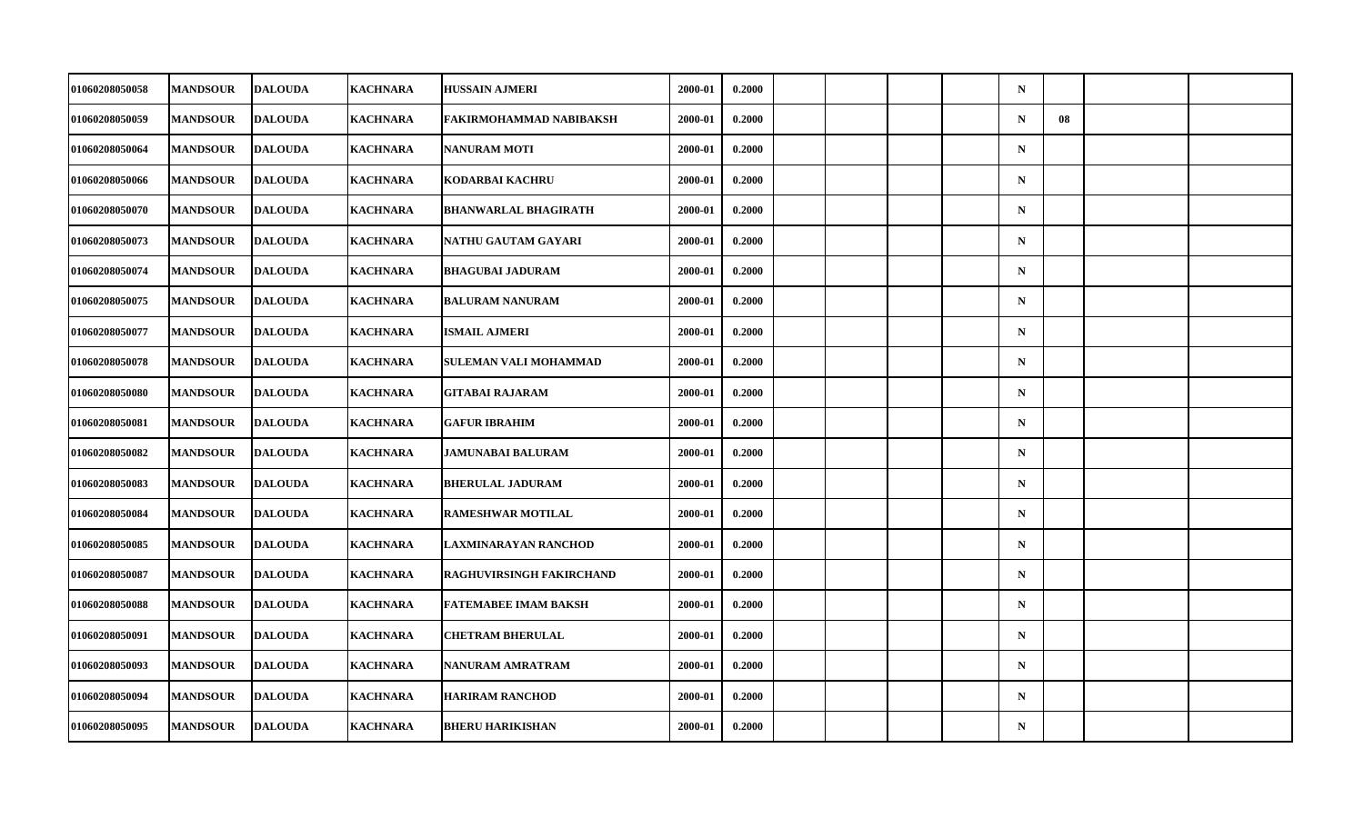| 01060208050058        | <b>MANDSOUR</b> | <b>DALOUDA</b> | <b>KACHNARA</b> | <b>HUSSAIN AJMERI</b>           | 2000-01 | 0.2000 |  |  | $\mathbf N$ |    |  |
|-----------------------|-----------------|----------------|-----------------|---------------------------------|---------|--------|--|--|-------------|----|--|
| 01060208050059        | <b>MANDSOUR</b> | <b>DALOUDA</b> | <b>KACHNARA</b> | FAKIRMOHAMMAD NABIBAKSH         | 2000-01 | 0.2000 |  |  | $\mathbf N$ | 08 |  |
| 01060208050064        | <b>MANDSOUR</b> | <b>DALOUDA</b> | <b>KACHNARA</b> | <b>NANURAM MOTI</b>             | 2000-01 | 0.2000 |  |  | $\mathbf N$ |    |  |
| 01060208050066        | <b>MANDSOUR</b> | <b>DALOUDA</b> | <b>KACHNARA</b> | KODARBAI KACHRU                 | 2000-01 | 0.2000 |  |  | $\mathbf N$ |    |  |
| 01060208050070        | <b>MANDSOUR</b> | <b>DALOUDA</b> | <b>KACHNARA</b> | <b>BHANWARLAL BHAGIRATH</b>     | 2000-01 | 0.2000 |  |  | $\mathbf N$ |    |  |
| 01060208050073        | <b>MANDSOUR</b> | <b>DALOUDA</b> | <b>KACHNARA</b> | NATHU GAUTAM GAYARI             | 2000-01 | 0.2000 |  |  | $\mathbf N$ |    |  |
| 01060208050074        | <b>MANDSOUR</b> | <b>DALOUDA</b> | <b>KACHNARA</b> | <b>BHAGUBAI JADURAM</b>         | 2000-01 | 0.2000 |  |  | $\mathbf N$ |    |  |
| <b>01060208050075</b> | <b>MANDSOUR</b> | <b>DALOUDA</b> | KACHNARA        | <b>BALURAM NANURAM</b>          | 2000-01 | 0.2000 |  |  | $\mathbf N$ |    |  |
| 01060208050077        | <b>MANDSOUR</b> | <b>DALOUDA</b> | <b>KACHNARA</b> | <b>ISMAIL AJMERI</b>            | 2000-01 | 0.2000 |  |  | $\mathbf N$ |    |  |
| 01060208050078        | <b>MANDSOUR</b> | <b>DALOUDA</b> | <b>KACHNARA</b> | SULEMAN VALI MOHAMMAD           | 2000-01 | 0.2000 |  |  | $\mathbf N$ |    |  |
| <b>01060208050080</b> | <b>MANDSOUR</b> | <b>DALOUDA</b> | <b>KACHNARA</b> | GITABAI RAJARAM                 | 2000-01 | 0.2000 |  |  | $\mathbf N$ |    |  |
| 01060208050081        | <b>MANDSOUR</b> | <b>DALOUDA</b> | <b>KACHNARA</b> | <b>GAFUR IBRAHIM</b>            | 2000-01 | 0.2000 |  |  | $\mathbf N$ |    |  |
| 01060208050082        | <b>MANDSOUR</b> | <b>DALOUDA</b> | <b>KACHNARA</b> | <b>JAMUNABAI BALURAM</b>        | 2000-01 | 0.2000 |  |  | $\mathbf N$ |    |  |
| 01060208050083        | <b>MANDSOUR</b> | <b>DALOUDA</b> | <b>KACHNARA</b> | <b>BHERULAL JADURAM</b>         | 2000-01 | 0.2000 |  |  | $\mathbf N$ |    |  |
| 01060208050084        | <b>MANDSOUR</b> | <b>DALOUDA</b> | <b>KACHNARA</b> | <b>RAMESHWAR MOTILAL</b>        | 2000-01 | 0.2000 |  |  | $\mathbf N$ |    |  |
| 01060208050085        | <b>MANDSOUR</b> | <b>DALOUDA</b> | <b>KACHNARA</b> | LAXMINARAYAN RANCHOD            | 2000-01 | 0.2000 |  |  | $\mathbf N$ |    |  |
| 01060208050087        | <b>MANDSOUR</b> | <b>DALOUDA</b> | <b>KACHNARA</b> | <b>RAGHUVIRSINGH FAKIRCHAND</b> | 2000-01 | 0.2000 |  |  | $\mathbf N$ |    |  |
| 01060208050088        | <b>MANDSOUR</b> | <b>DALOUDA</b> | <b>KACHNARA</b> | <b>FATEMABEE IMAM BAKSH</b>     | 2000-01 | 0.2000 |  |  | $\mathbf N$ |    |  |
| 01060208050091        | <b>MANDSOUR</b> | <b>DALOUDA</b> | <b>KACHNARA</b> | <b>CHETRAM BHERULAL</b>         | 2000-01 | 0.2000 |  |  | $\mathbf N$ |    |  |
| 01060208050093        | <b>MANDSOUR</b> | <b>DALOUDA</b> | <b>KACHNARA</b> | NANURAM AMRATRAM                | 2000-01 | 0.2000 |  |  | $\mathbf N$ |    |  |
| 01060208050094        | <b>MANDSOUR</b> | <b>DALOUDA</b> | <b>KACHNARA</b> | <b>HARIRAM RANCHOD</b>          | 2000-01 | 0.2000 |  |  | $\mathbf N$ |    |  |
| 01060208050095        | <b>MANDSOUR</b> | <b>DALOUDA</b> | <b>KACHNARA</b> | <b>BHERU HARIKISHAN</b>         | 2000-01 | 0.2000 |  |  | ${\bf N}$   |    |  |
|                       |                 |                |                 |                                 |         |        |  |  |             |    |  |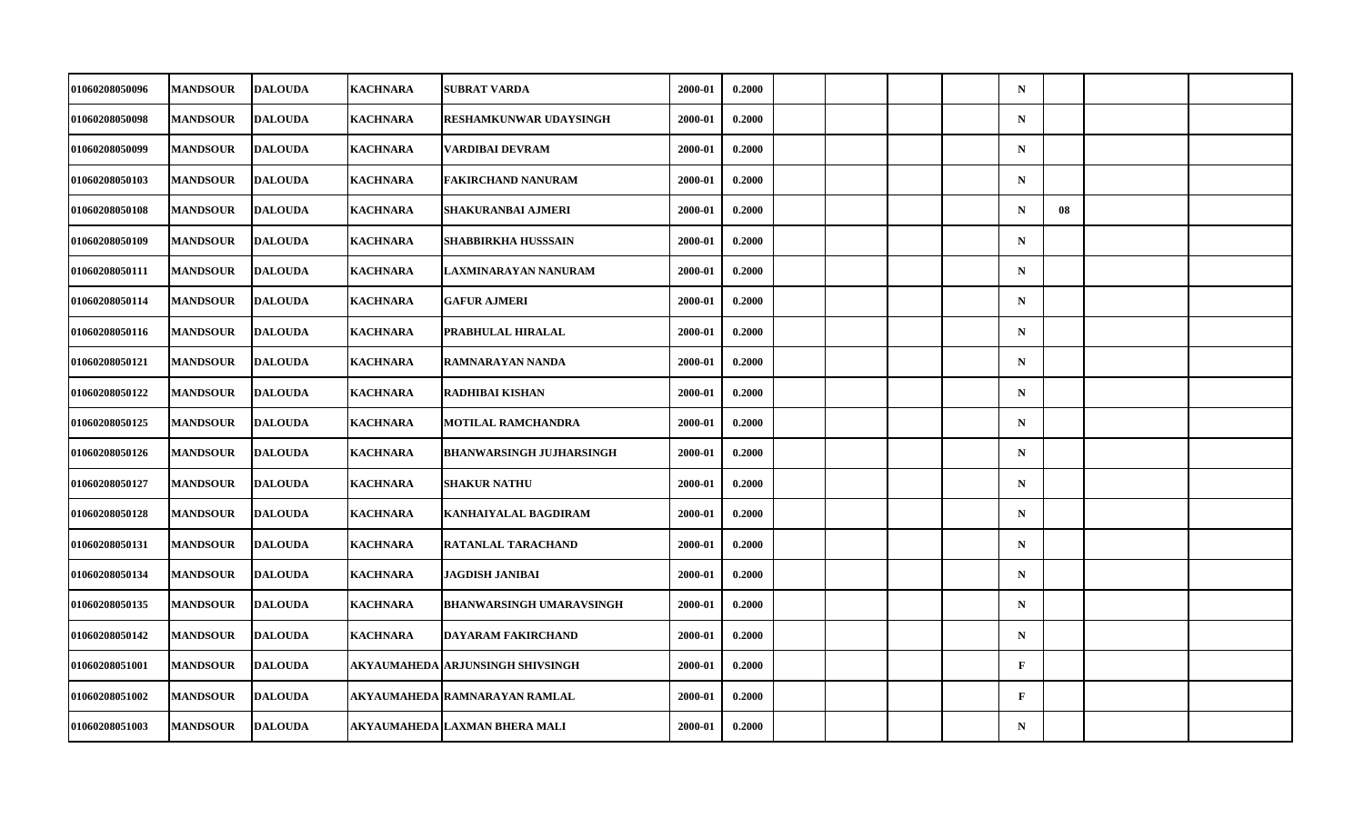| 01060208050096        | <b>MANDSOUR</b> | <b>DALOUDA</b> | <b>KACHNARA</b> | SUBRAT VARDA                       | 2000-01 | 0.2000 |  |  | $\mathbf N$  |    |  |
|-----------------------|-----------------|----------------|-----------------|------------------------------------|---------|--------|--|--|--------------|----|--|
| 01060208050098        | <b>MANDSOUR</b> | <b>DALOUDA</b> | <b>KACHNARA</b> | RESHAMKUNWAR UDAYSINGH             | 2000-01 | 0.2000 |  |  | ${\bf N}$    |    |  |
| 01060208050099        | <b>MANDSOUR</b> | <b>DALOUDA</b> | <b>KACHNARA</b> | VARDIBAI DEVRAM                    | 2000-01 | 0.2000 |  |  | $\mathbf N$  |    |  |
| 01060208050103        | <b>MANDSOUR</b> | <b>DALOUDA</b> | <b>KACHNARA</b> | FAKIRCHAND NANURAM                 | 2000-01 | 0.2000 |  |  | $\mathbf N$  |    |  |
| 01060208050108        | <b>MANDSOUR</b> | <b>DALOUDA</b> | <b>KACHNARA</b> | SHAKURANBAI AJMERI                 | 2000-01 | 0.2000 |  |  | $\mathbf N$  | 08 |  |
| 01060208050109        | <b>MANDSOUR</b> | <b>DALOUDA</b> | <b>KACHNARA</b> | SHABBIRKHA HUSSSAIN                | 2000-01 | 0.2000 |  |  | $\mathbf N$  |    |  |
| 01060208050111        | <b>MANDSOUR</b> | <b>DALOUDA</b> | <b>KACHNARA</b> | LAXMINARAYAN NANURAM               | 2000-01 | 0.2000 |  |  | $\mathbf N$  |    |  |
| 01060208050114        | <b>MANDSOUR</b> | <b>DALOUDA</b> | <b>KACHNARA</b> | <b>GAFUR AJMERI</b>                | 2000-01 | 0.2000 |  |  | $\mathbf N$  |    |  |
| 01060208050116        | <b>MANDSOUR</b> | <b>DALOUDA</b> | <b>KACHNARA</b> | PRABHULAL HIRALAL                  | 2000-01 | 0.2000 |  |  | $\mathbf N$  |    |  |
| 01060208050121        | <b>MANDSOUR</b> | <b>DALOUDA</b> | <b>KACHNARA</b> | RAMNARAYAN NANDA                   | 2000-01 | 0.2000 |  |  | $\mathbf N$  |    |  |
| <b>01060208050122</b> | <b>MANDSOUR</b> | <b>DALOUDA</b> | <b>KACHNARA</b> | <b>RADHIBAI KISHAN</b>             | 2000-01 | 0.2000 |  |  | $\mathbf N$  |    |  |
| 01060208050125        | <b>MANDSOUR</b> | <b>DALOUDA</b> | <b>KACHNARA</b> | <b>MOTILAL RAMCHANDRA</b>          | 2000-01 | 0.2000 |  |  | $\mathbf N$  |    |  |
| 01060208050126        | <b>MANDSOUR</b> | <b>DALOUDA</b> | <b>KACHNARA</b> | <b>BHANWARSINGH JUJHARSINGH</b>    | 2000-01 | 0.2000 |  |  | ${\bf N}$    |    |  |
| 01060208050127        | <b>MANDSOUR</b> | <b>DALOUDA</b> | <b>KACHNARA</b> | <b>SHAKUR NATHU</b>                | 2000-01 | 0.2000 |  |  | $\mathbf N$  |    |  |
| 01060208050128        | <b>MANDSOUR</b> | <b>DALOUDA</b> | <b>KACHNARA</b> | <b>KANHAIYALAL BAGDIRAM</b>        | 2000-01 | 0.2000 |  |  | $\mathbf N$  |    |  |
| 01060208050131        | <b>MANDSOUR</b> | <b>DALOUDA</b> | <b>KACHNARA</b> | RATANLAL TARACHAND                 | 2000-01 | 0.2000 |  |  | $\mathbf N$  |    |  |
| <b>01060208050134</b> | <b>MANDSOUR</b> | <b>DALOUDA</b> | <b>KACHNARA</b> | JAGDISH JANIBAI                    | 2000-01 | 0.2000 |  |  | $\mathbf N$  |    |  |
| 01060208050135        | <b>MANDSOUR</b> | <b>DALOUDA</b> | <b>KACHNARA</b> | <b>BHANWARSINGH UMARAVSINGH</b>    | 2000-01 | 0.2000 |  |  | $\mathbf N$  |    |  |
| 01060208050142        | <b>MANDSOUR</b> | <b>DALOUDA</b> | <b>KACHNARA</b> | <b>DAYARAM FAKIRCHAND</b>          | 2000-01 | 0.2000 |  |  | $\mathbf N$  |    |  |
| 01060208051001        | <b>MANDSOUR</b> | <b>DALOUDA</b> |                 | AKYAUMAHEDA   ARJUNSINGH SHIVSINGH | 2000-01 | 0.2000 |  |  | $\mathbf{F}$ |    |  |
| 01060208051002        | <b>MANDSOUR</b> | <b>DALOUDA</b> |                 | AKYAUMAHEDA RAMNARAYAN RAMLAL      | 2000-01 | 0.2000 |  |  | $\mathbf{F}$ |    |  |
| 01060208051003        | <b>MANDSOUR</b> | <b>DALOUDA</b> |                 | AKYAUMAHEDA LAXMAN BHERA MALI      | 2000-01 | 0.2000 |  |  | $\mathbf N$  |    |  |
|                       |                 |                |                 |                                    |         |        |  |  |              |    |  |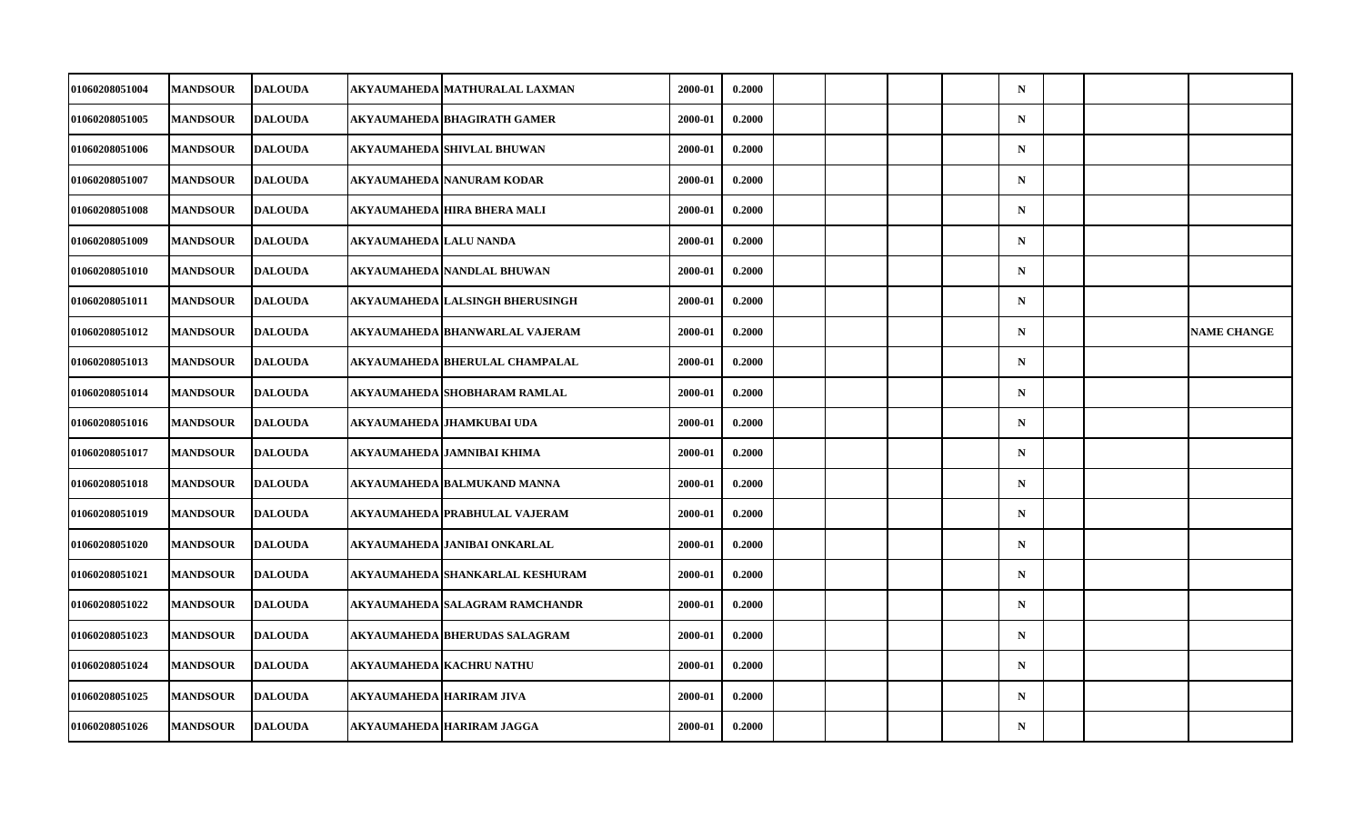| 01060208051004 | <b>MANDSOUR</b> | <b>DALOUDA</b> |                          | AKYAUMAHEDA MATHURALAL LAXMAN    | 2000-01 | 0.2000 |  |  | $\mathbf N$ |  |                    |
|----------------|-----------------|----------------|--------------------------|----------------------------------|---------|--------|--|--|-------------|--|--------------------|
| 01060208051005 | <b>MANDSOUR</b> | <b>DALOUDA</b> |                          | AKYAUMAHEDA BHAGIRATH GAMER      | 2000-01 | 0.2000 |  |  | $\mathbf N$ |  |                    |
| 01060208051006 | <b>MANDSOUR</b> | <b>DALOUDA</b> |                          | AKYAUMAHEDA SHIVLAL BHUWAN       | 2000-01 | 0.2000 |  |  | $\mathbf N$ |  |                    |
| 01060208051007 | <b>MANDSOUR</b> | <b>DALOUDA</b> |                          | AKYAUMAHEDA NANURAM KODAR        | 2000-01 | 0.2000 |  |  | $\mathbf N$ |  |                    |
| 01060208051008 | <b>MANDSOUR</b> | <b>DALOUDA</b> |                          | AKYAUMAHEDA HIRA BHERA MALI      | 2000-01 | 0.2000 |  |  | $\mathbf N$ |  |                    |
| 01060208051009 | <b>MANDSOUR</b> | <b>DALOUDA</b> | AKYAUMAHEDA   LALU NANDA |                                  | 2000-01 | 0.2000 |  |  | $\mathbf N$ |  |                    |
| 01060208051010 | <b>MANDSOUR</b> | <b>DALOUDA</b> |                          | AKYAUMAHEDA NANDLAL BHUWAN       | 2000-01 | 0.2000 |  |  | $\mathbf N$ |  |                    |
| 01060208051011 | <b>MANDSOUR</b> | <b>DALOUDA</b> |                          | AKYAUMAHEDA LALSINGH BHERUSINGH  | 2000-01 | 0.2000 |  |  | $\mathbf N$ |  |                    |
| 01060208051012 | <b>MANDSOUR</b> | <b>DALOUDA</b> |                          | AKYAUMAHEDA BHANWARLAL VAJERAM   | 2000-01 | 0.2000 |  |  | $\mathbf N$ |  | <b>NAME CHANGE</b> |
| 01060208051013 | <b>MANDSOUR</b> | <b>DALOUDA</b> |                          | AKYAUMAHEDA BHERULAL CHAMPALAL   | 2000-01 | 0.2000 |  |  | $\mathbf N$ |  |                    |
| 01060208051014 | <b>MANDSOUR</b> | <b>DALOUDA</b> |                          | AKYAUMAHEDA SHOBHARAM RAMLAL     | 2000-01 | 0.2000 |  |  | $\mathbf N$ |  |                    |
| 01060208051016 | <b>MANDSOUR</b> | <b>DALOUDA</b> |                          | AKYAUMAHEDA JHAMKUBAI UDA        | 2000-01 | 0.2000 |  |  | $\mathbf N$ |  |                    |
| 01060208051017 | <b>MANDSOUR</b> | <b>DALOUDA</b> |                          | AKYAUMAHEDA JAMNIBAI KHIMA       | 2000-01 | 0.2000 |  |  | $\mathbf N$ |  |                    |
| 01060208051018 | <b>MANDSOUR</b> | <b>DALOUDA</b> |                          | AKYAUMAHEDA BALMUKAND MANNA      | 2000-01 | 0.2000 |  |  | $\mathbf N$ |  |                    |
| 01060208051019 | <b>MANDSOUR</b> | <b>DALOUDA</b> |                          | AKYAUMAHEDA PRABHULAL VAJERAM    | 2000-01 | 0.2000 |  |  | $\mathbf N$ |  |                    |
| 01060208051020 | <b>MANDSOUR</b> | <b>DALOUDA</b> |                          | AKYAUMAHEDA JANIBAI ONKARLAL     | 2000-01 | 0.2000 |  |  | $\mathbf N$ |  |                    |
| 01060208051021 | <b>MANDSOUR</b> | <b>DALOUDA</b> |                          | AKYAUMAHEDA SHANKARLAL KESHURAM  | 2000-01 | 0.2000 |  |  | $\mathbf N$ |  |                    |
| 01060208051022 | <b>MANDSOUR</b> | <b>DALOUDA</b> |                          | AKYAUMAHEDA SALAGRAM RAMCHANDR   | 2000-01 | 0.2000 |  |  | $\mathbf N$ |  |                    |
| 01060208051023 | <b>MANDSOUR</b> | <b>DALOUDA</b> |                          | AKYAUMAHEDA BHERUDAS SALAGRAM    | 2000-01 | 0.2000 |  |  | $\mathbf N$ |  |                    |
| 01060208051024 | <b>MANDSOUR</b> | <b>DALOUDA</b> |                          | AKYAUMAHEDA KACHRU NATHU         | 2000-01 | 0.2000 |  |  | $\mathbf N$ |  |                    |
| 01060208051025 | <b>MANDSOUR</b> | <b>DALOUDA</b> |                          | AKYAUMAHEDA HARIRAM JIVA         | 2000-01 | 0.2000 |  |  | $\mathbf N$ |  |                    |
| 01060208051026 | <b>MANDSOUR</b> | <b>DALOUDA</b> |                          | <b>AKYAUMAHEDA HARIRAM JAGGA</b> | 2000-01 | 0.2000 |  |  | $\mathbf N$ |  |                    |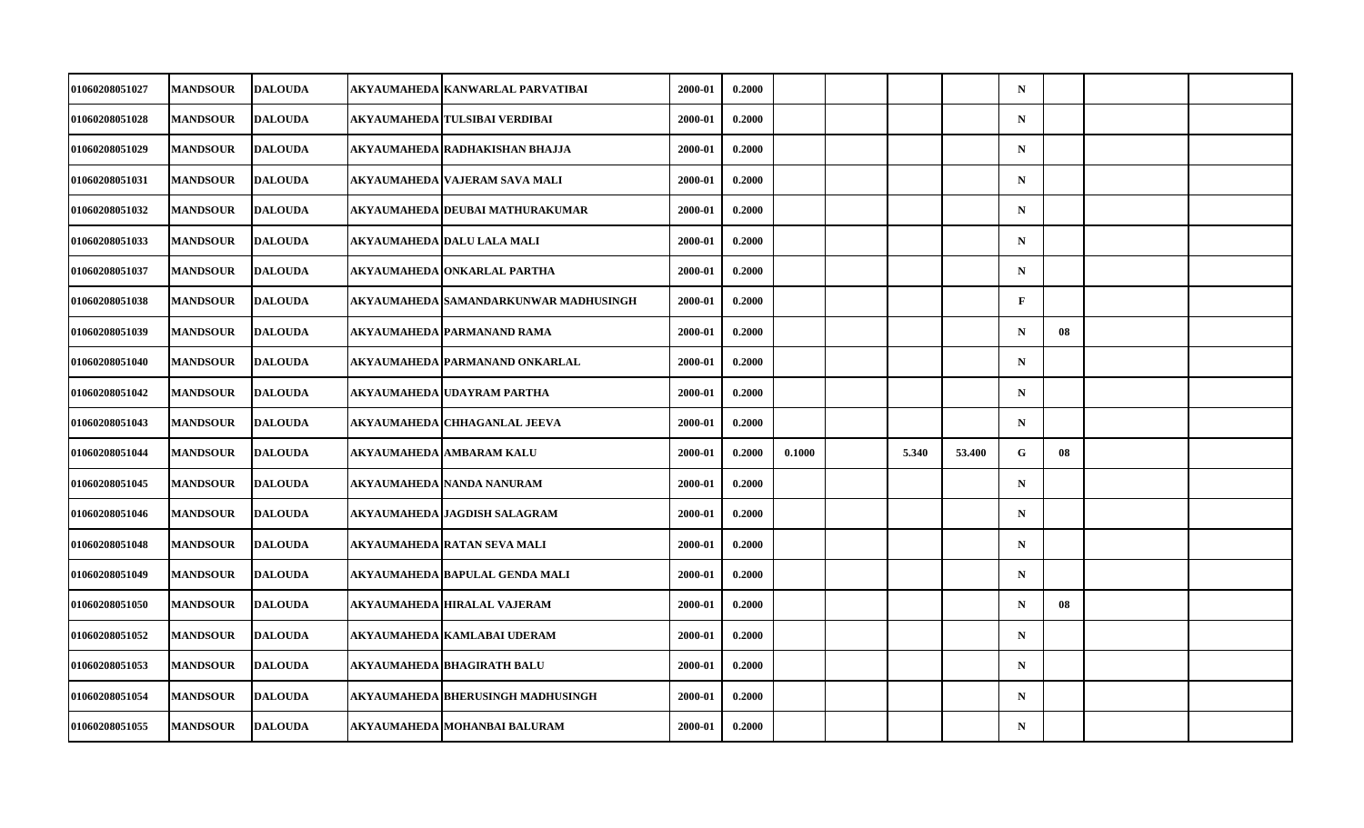| 01060208051027        | <b>MANDSOUR</b> | <b>DALOUDA</b> | AKYAUMAHEDA   KANWARLAL PARVATIBAI      | 2000-01 | 0.2000 |        |       |        | $\mathbf N$  |    |  |
|-----------------------|-----------------|----------------|-----------------------------------------|---------|--------|--------|-------|--------|--------------|----|--|
| 01060208051028        | <b>MANDSOUR</b> | <b>DALOUDA</b> | AKYAUMAHEDA TULSIBAI VERDIBAI           | 2000-01 | 0.2000 |        |       |        | $\mathbf N$  |    |  |
| 01060208051029        | <b>MANDSOUR</b> | <b>DALOUDA</b> | AKYAUMAHEDA RADHAKISHAN BHAJJA          | 2000-01 | 0.2000 |        |       |        | $\mathbf N$  |    |  |
| 01060208051031        | <b>MANDSOUR</b> | <b>DALOUDA</b> | AKYAUMAHEDA   VAJERAM SAVA MALI         | 2000-01 | 0.2000 |        |       |        | $\mathbf N$  |    |  |
| 01060208051032        | <b>MANDSOUR</b> | <b>DALOUDA</b> | AKYAUMAHEDA   DEUBAI MATHURAKUMAR       | 2000-01 | 0.2000 |        |       |        | $\mathbf N$  |    |  |
| 01060208051033        | <b>MANDSOUR</b> | <b>DALOUDA</b> | AKYAUMAHEDA   DALU LALA MALI            | 2000-01 | 0.2000 |        |       |        | $\mathbf N$  |    |  |
| 01060208051037        | <b>MANDSOUR</b> | <b>DALOUDA</b> | AKYAUMAHEDA ONKARLAL PARTHA             | 2000-01 | 0.2000 |        |       |        | $\mathbf N$  |    |  |
| <b>01060208051038</b> | <b>MANDSOUR</b> | <b>DALOUDA</b> | AKYAUMAHEDA   SAMANDARKUNWAR MADHUSINGH | 2000-01 | 0.2000 |        |       |        | $\mathbf{F}$ |    |  |
| 01060208051039        | <b>MANDSOUR</b> | <b>DALOUDA</b> | AKYAUMAHEDA PARMANAND RAMA              | 2000-01 | 0.2000 |        |       |        | $\mathbf N$  | 08 |  |
| 01060208051040        | <b>MANDSOUR</b> | <b>DALOUDA</b> | AKYAUMAHEDA PARMANAND ONKARLAL          | 2000-01 | 0.2000 |        |       |        | $\mathbf N$  |    |  |
| 01060208051042        | <b>MANDSOUR</b> | <b>DALOUDA</b> | AKYAUMAHEDA   UDAYRAM PARTHA            | 2000-01 | 0.2000 |        |       |        | $\mathbf N$  |    |  |
| 01060208051043        | <b>MANDSOUR</b> | <b>DALOUDA</b> | AKYAUMAHEDA CHHAGANLAL JEEVA            | 2000-01 | 0.2000 |        |       |        | $\mathbf N$  |    |  |
| 01060208051044        | <b>MANDSOUR</b> | <b>DALOUDA</b> | AKYAUMAHEDA AMBARAM KALU                | 2000-01 | 0.2000 | 0.1000 | 5.340 | 53.400 | G            | 08 |  |
| 01060208051045        | <b>MANDSOUR</b> | <b>DALOUDA</b> | AKYAUMAHEDA   NANDA NANURAM             | 2000-01 | 0.2000 |        |       |        | $\mathbf N$  |    |  |
| 01060208051046        | <b>MANDSOUR</b> | <b>DALOUDA</b> | AKYAUMAHEDA JAGDISH SALAGRAM            | 2000-01 | 0.2000 |        |       |        | $\mathbf N$  |    |  |
| 01060208051048        | <b>MANDSOUR</b> | <b>DALOUDA</b> | AKYAUMAHEDA RATAN SEVA MALI             | 2000-01 | 0.2000 |        |       |        | $\mathbf N$  |    |  |
| 01060208051049        | <b>MANDSOUR</b> | <b>DALOUDA</b> | AKYAUMAHEDA BAPULAL GENDA MALI          | 2000-01 | 0.2000 |        |       |        | $\mathbf N$  |    |  |
| 01060208051050        | <b>MANDSOUR</b> | <b>DALOUDA</b> | AKYAUMAHEDA HIRALAL VAJERAM             | 2000-01 | 0.2000 |        |       |        | $\mathbf N$  | 08 |  |
| 01060208051052        | <b>MANDSOUR</b> | <b>DALOUDA</b> | AKYAUMAHEDA KAMLABAI UDERAM             | 2000-01 | 0.2000 |        |       |        | $\mathbf N$  |    |  |
| 01060208051053        | <b>MANDSOUR</b> | <b>DALOUDA</b> | AKYAUMAHEDA BHAGIRATH BALU              | 2000-01 | 0.2000 |        |       |        | $\mathbf N$  |    |  |
| 01060208051054        | <b>MANDSOUR</b> | <b>DALOUDA</b> | AKYAUMAHEDA BHERUSINGH MADHUSINGH       | 2000-01 | 0.2000 |        |       |        | $\mathbf N$  |    |  |
| 01060208051055        | <b>MANDSOUR</b> | <b>DALOUDA</b> | AKYAUMAHEDA MOHANBAI BALURAM            | 2000-01 | 0.2000 |        |       |        | ${\bf N}$    |    |  |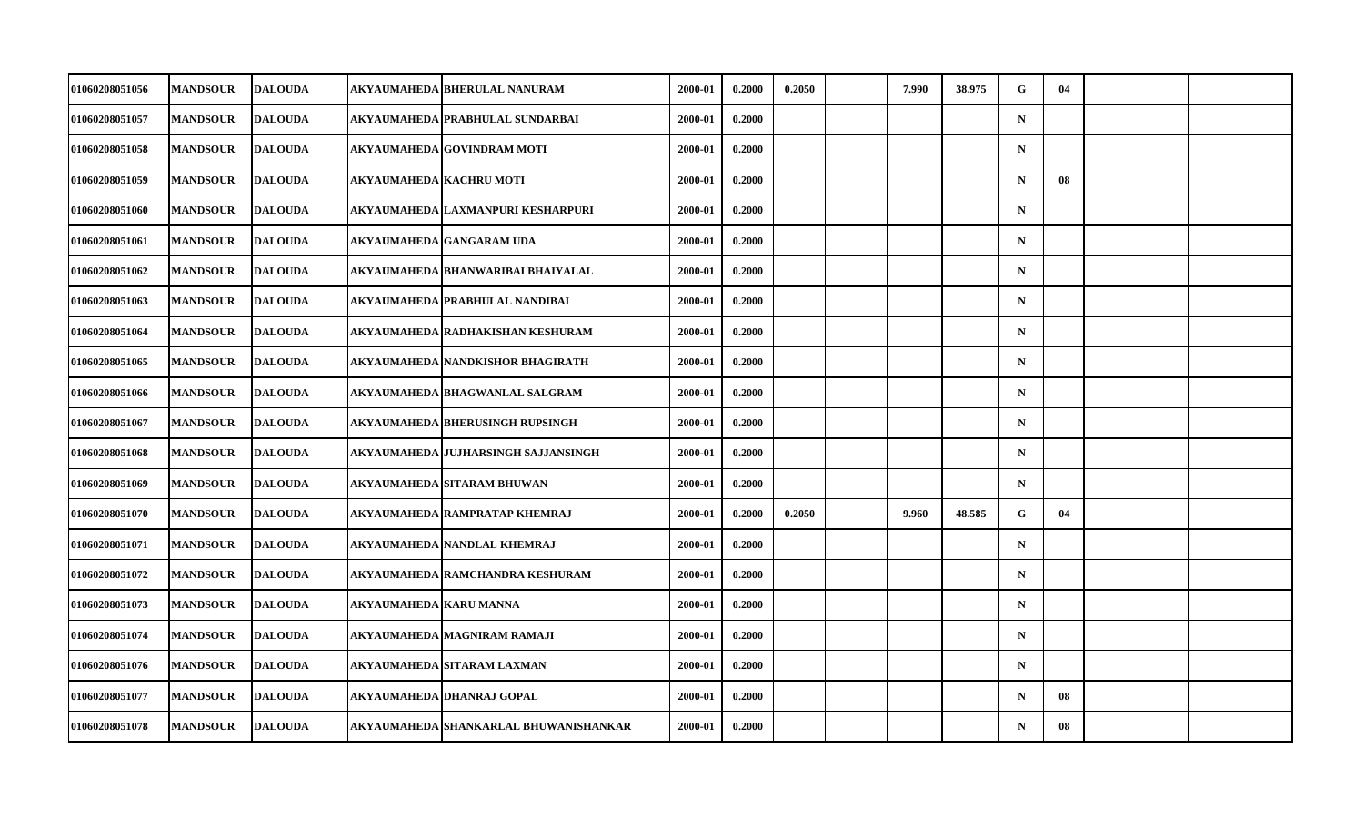| 01060208051056 | <b>MANDSOUR</b> | <b>DALOUDA</b> |                               | AKYAUMAHEDA BHERULAL NANURAM          | 2000-01 | 0.2000 | 0.2050 | 7.990 | 38.975 | G           | 04 |  |
|----------------|-----------------|----------------|-------------------------------|---------------------------------------|---------|--------|--------|-------|--------|-------------|----|--|
| 01060208051057 | <b>MANDSOUR</b> | <b>DALOUDA</b> |                               | AKYAUMAHEDA PRABHULAL SUNDARBAI       | 2000-01 | 0.2000 |        |       |        | $\mathbf N$ |    |  |
| 01060208051058 | <b>MANDSOUR</b> | <b>DALOUDA</b> |                               | AKYAUMAHEDA GOVINDRAM MOTI            | 2000-01 | 0.2000 |        |       |        | $\mathbf N$ |    |  |
| 01060208051059 | <b>MANDSOUR</b> | <b>DALOUDA</b> |                               | AKYAUMAHEDA KACHRU MOTI               | 2000-01 | 0.2000 |        |       |        | $\mathbf N$ | 08 |  |
| 01060208051060 | <b>MANDSOUR</b> | <b>DALOUDA</b> |                               | AKYAUMAHEDA LAXMANPURI KESHARPURI     | 2000-01 | 0.2000 |        |       |        | $\mathbf N$ |    |  |
| 01060208051061 | <b>MANDSOUR</b> | <b>DALOUDA</b> |                               | AKYAUMAHEDA GANGARAM UDA              | 2000-01 | 0.2000 |        |       |        | $\mathbf N$ |    |  |
| 01060208051062 | <b>MANDSOUR</b> | <b>DALOUDA</b> |                               | AKYAUMAHEDA BHANWARIBAI BHAIYALAL     | 2000-01 | 0.2000 |        |       |        | $\mathbf N$ |    |  |
| 01060208051063 | <b>MANDSOUR</b> | <b>DALOUDA</b> |                               | AKYAUMAHEDA PRABHULAL NANDIBAI        | 2000-01 | 0.2000 |        |       |        | $\mathbf N$ |    |  |
| 01060208051064 | <b>MANDSOUR</b> | <b>DALOUDA</b> |                               | AKYAUMAHEDA RADHAKISHAN KESHURAM      | 2000-01 | 0.2000 |        |       |        | $\mathbf N$ |    |  |
| 01060208051065 | <b>MANDSOUR</b> | <b>DALOUDA</b> |                               | AKYAUMAHEDA NANDKISHOR BHAGIRATH      | 2000-01 | 0.2000 |        |       |        | $\mathbf N$ |    |  |
| 01060208051066 | <b>MANDSOUR</b> | <b>DALOUDA</b> |                               | AKYAUMAHEDA BHAGWANLAL SALGRAM        | 2000-01 | 0.2000 |        |       |        | $\mathbf N$ |    |  |
| 01060208051067 | <b>MANDSOUR</b> | <b>DALOUDA</b> |                               | AKYAUMAHEDA BHERUSINGH RUPSINGH       | 2000-01 | 0.2000 |        |       |        | $\mathbf N$ |    |  |
| 01060208051068 | <b>MANDSOUR</b> | <b>DALOUDA</b> |                               | AKYAUMAHEDA JUJHARSINGH SAJJANSINGH   | 2000-01 | 0.2000 |        |       |        | $\mathbf N$ |    |  |
| 01060208051069 | <b>MANDSOUR</b> | <b>DALOUDA</b> |                               | AKYAUMAHEDA SITARAM BHUWAN            | 2000-01 | 0.2000 |        |       |        | $\mathbf N$ |    |  |
| 01060208051070 | <b>MANDSOUR</b> | <b>DALOUDA</b> |                               | AKYAUMAHEDA   RAMPRATAP KHEMRAJ       | 2000-01 | 0.2000 | 0.2050 | 9.960 | 48.585 | G           | 04 |  |
| 01060208051071 | <b>MANDSOUR</b> | <b>DALOUDA</b> |                               | AKYAUMAHEDA NANDLAL KHEMRAJ           | 2000-01 | 0.2000 |        |       |        | $\mathbf N$ |    |  |
| 01060208051072 | <b>MANDSOUR</b> | <b>DALOUDA</b> |                               | AKYAUMAHEDA RAMCHANDRA KESHURAM       | 2000-01 | 0.2000 |        |       |        | $\mathbf N$ |    |  |
| 01060208051073 | <b>MANDSOUR</b> | <b>DALOUDA</b> | <b>AKYAUMAHEDA KARU MANNA</b> |                                       | 2000-01 | 0.2000 |        |       |        | $\mathbf N$ |    |  |
| 01060208051074 | <b>MANDSOUR</b> | <b>DALOUDA</b> |                               | AKYAUMAHEDA MAGNIRAM RAMAJI           | 2000-01 | 0.2000 |        |       |        | $\mathbf N$ |    |  |
| 01060208051076 | <b>MANDSOUR</b> | <b>DALOUDA</b> |                               | AKYAUMAHEDA SITARAM LAXMAN            | 2000-01 | 0.2000 |        |       |        | $\mathbf N$ |    |  |
| 01060208051077 | <b>MANDSOUR</b> | <b>DALOUDA</b> |                               | AKYAUMAHEDA DHANRAJ GOPAL             | 2000-01 | 0.2000 |        |       |        | $\mathbf N$ | 08 |  |
| 01060208051078 | <b>MANDSOUR</b> | <b>DALOUDA</b> |                               | AKYAUMAHEDA SHANKARLAL BHUWANISHANKAR | 2000-01 | 0.2000 |        |       |        | $\mathbf N$ | 08 |  |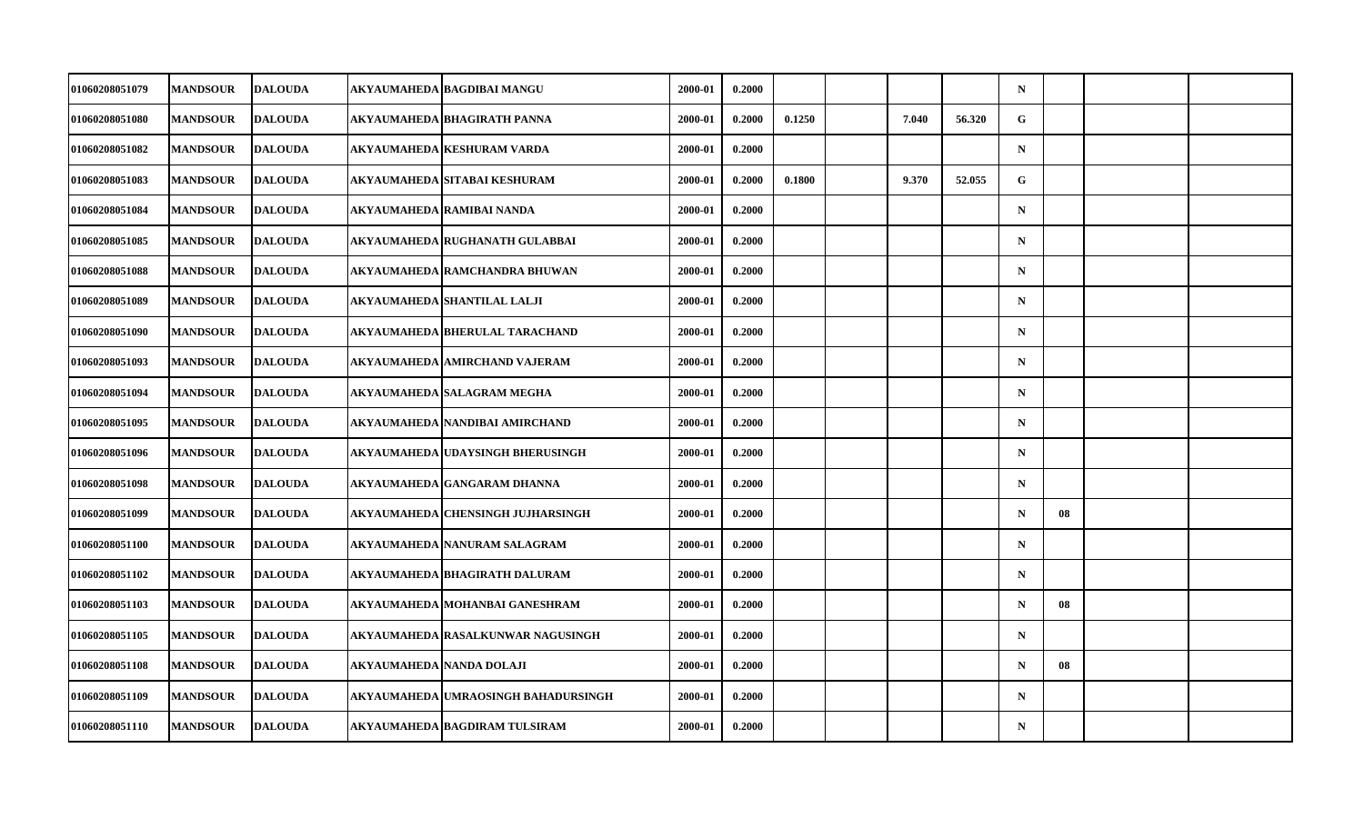| 01060208051079        | <b>MANDSOUR</b> | <b>DALOUDA</b> | AKYAUMAHEDA  BAGDIBAI MANGU          | 2000-01 | 0.2000 |        |       |        | $\mathbf N$ |    |  |
|-----------------------|-----------------|----------------|--------------------------------------|---------|--------|--------|-------|--------|-------------|----|--|
| 01060208051080        | <b>MANDSOUR</b> | <b>DALOUDA</b> | AKYAUMAHEDA BHAGIRATH PANNA          | 2000-01 | 0.2000 | 0.1250 | 7.040 | 56.320 | G           |    |  |
| 01060208051082        | <b>MANDSOUR</b> | <b>DALOUDA</b> | <b>AKYAUMAHEDA KESHURAM VARDA</b>    | 2000-01 | 0.2000 |        |       |        | $\mathbf N$ |    |  |
| 01060208051083        | <b>MANDSOUR</b> | <b>DALOUDA</b> | AKYAUMAHEDA SITABAI KESHURAM         | 2000-01 | 0.2000 | 0.1800 | 9.370 | 52.055 | G           |    |  |
| 01060208051084        | <b>MANDSOUR</b> | <b>DALOUDA</b> | AKYAUMAHEDA RAMIBAI NANDA            | 2000-01 | 0.2000 |        |       |        | $\mathbf N$ |    |  |
| 01060208051085        | <b>MANDSOUR</b> | <b>DALOUDA</b> | AKYAUMAHEDA RUGHANATH GULABBAI       | 2000-01 | 0.2000 |        |       |        | $\mathbf N$ |    |  |
| 01060208051088        | <b>MANDSOUR</b> | <b>DALOUDA</b> | AKYAUMAHEDA RAMCHANDRA BHUWAN        | 2000-01 | 0.2000 |        |       |        | $\mathbf N$ |    |  |
| 01060208051089        | <b>MANDSOUR</b> | <b>DALOUDA</b> | AKYAUMAHEDA SHANTILAL LALJI          | 2000-01 | 0.2000 |        |       |        | $\mathbf N$ |    |  |
| <b>01060208051090</b> | <b>MANDSOUR</b> | <b>DALOUDA</b> | AKYAUMAHEDA BHERULAL TARACHAND       | 2000-01 | 0.2000 |        |       |        | $\mathbf N$ |    |  |
| 01060208051093        | <b>MANDSOUR</b> | <b>DALOUDA</b> | <b>AKYAUMAHEDA AMIRCHAND VAJERAM</b> | 2000-01 | 0.2000 |        |       |        | $\mathbf N$ |    |  |
| 01060208051094        | <b>MANDSOUR</b> | <b>DALOUDA</b> | AKYAUMAHEDA SALAGRAM MEGHA           | 2000-01 | 0.2000 |        |       |        | $\mathbf N$ |    |  |
| 01060208051095        | <b>MANDSOUR</b> | <b>DALOUDA</b> | AKYAUMAHEDA NANDIBAI AMIRCHAND       | 2000-01 | 0.2000 |        |       |        | $\mathbf N$ |    |  |
| 01060208051096        | <b>MANDSOUR</b> | <b>DALOUDA</b> | AKYAUMAHEDA UDAYSINGH BHERUSINGH     | 2000-01 | 0.2000 |        |       |        | $\mathbf N$ |    |  |
| 01060208051098        | <b>MANDSOUR</b> | <b>DALOUDA</b> | AKYAUMAHEDA GANGARAM DHANNA          | 2000-01 | 0.2000 |        |       |        | $\mathbf N$ |    |  |
| 01060208051099        | <b>MANDSOUR</b> | <b>DALOUDA</b> | AKYAUMAHEDA CHENSINGH JUJHARSINGH    | 2000-01 | 0.2000 |        |       |        | $\mathbf N$ | 08 |  |
| 01060208051100        | <b>MANDSOUR</b> | <b>DALOUDA</b> | AKYAUMAHEDA NANURAM SALAGRAM         | 2000-01 | 0.2000 |        |       |        | $\mathbf N$ |    |  |
| 01060208051102        | <b>MANDSOUR</b> | <b>DALOUDA</b> | AKYAUMAHEDA BHAGIRATH DALURAM        | 2000-01 | 0.2000 |        |       |        | $\mathbf N$ |    |  |
| 01060208051103        | <b>MANDSOUR</b> | <b>DALOUDA</b> | AKYAUMAHEDA MOHANBAI GANESHRAM       | 2000-01 | 0.2000 |        |       |        | N           | 08 |  |
| 01060208051105        | <b>MANDSOUR</b> | <b>DALOUDA</b> | AKYAUMAHEDA RASALKUNWAR NAGUSINGH    | 2000-01 | 0.2000 |        |       |        | $\mathbf N$ |    |  |
| 01060208051108        | <b>MANDSOUR</b> | <b>DALOUDA</b> | AKYAUMAHEDA NANDA DOLAJI             | 2000-01 | 0.2000 |        |       |        | N           | 08 |  |
| 01060208051109        | <b>MANDSOUR</b> | <b>DALOUDA</b> | AKYAUMAHEDA UMRAOSINGH BAHADURSINGH  | 2000-01 | 0.2000 |        |       |        | $\mathbf N$ |    |  |
| 01060208051110        | <b>MANDSOUR</b> | <b>DALOUDA</b> | AKYAUMAHEDA BAGDIRAM TULSIRAM        | 2000-01 | 0.2000 |        |       |        | $\mathbf N$ |    |  |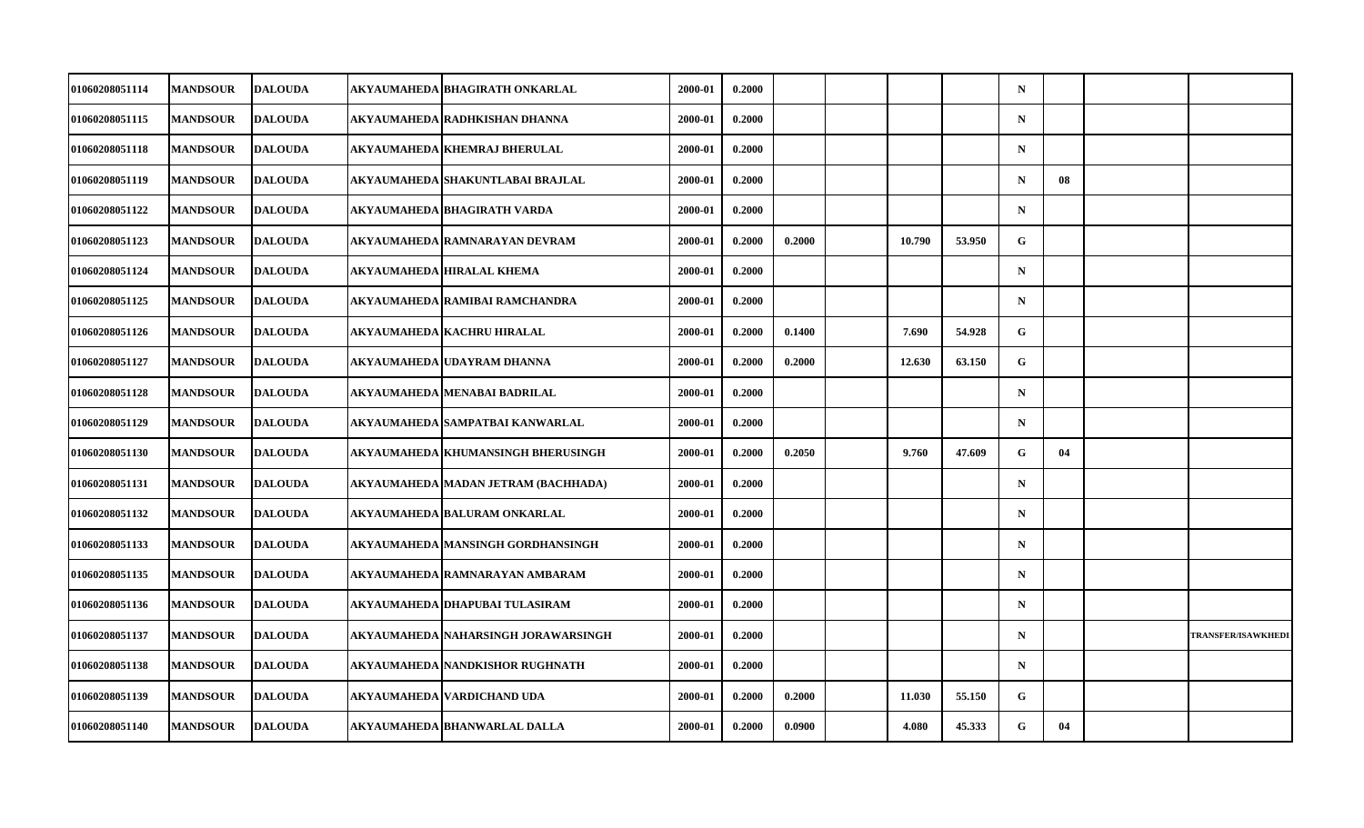| 01060208051114 | <b>MANDSOUR</b> | <b>DALOUDA</b> | AKYAUMAHEDA BHAGIRATH ONKARLAL        | 2000-01 | 0.2000 |        |        |        | $\mathbf N$ |    |                           |
|----------------|-----------------|----------------|---------------------------------------|---------|--------|--------|--------|--------|-------------|----|---------------------------|
| 01060208051115 | <b>MANDSOUR</b> | <b>DALOUDA</b> | AKYAUMAHEDA   RADHKISHAN DHANNA       | 2000-01 | 0.2000 |        |        |        | $\mathbf N$ |    |                           |
| 01060208051118 | <b>MANDSOUR</b> | <b>DALOUDA</b> | AKYAUMAHEDA KHEMRAJ BHERULAL          | 2000-01 | 0.2000 |        |        |        | $\mathbf N$ |    |                           |
| 01060208051119 | <b>MANDSOUR</b> | <b>DALOUDA</b> | AKYAUMAHEDA   SHAKUNTLABAI BRAJLAL    | 2000-01 | 0.2000 |        |        |        | $\mathbf N$ | 08 |                           |
| 01060208051122 | <b>MANDSOUR</b> | <b>DALOUDA</b> | AKYAUMAHEDA BHAGIRATH VARDA           | 2000-01 | 0.2000 |        |        |        | $\mathbf N$ |    |                           |
| 01060208051123 | <b>MANDSOUR</b> | <b>DALOUDA</b> | AKYAUMAHEDA   RAMNARAYAN DEVRAM       | 2000-01 | 0.2000 | 0.2000 | 10.790 | 53.950 | G           |    |                           |
| 01060208051124 | <b>MANDSOUR</b> | <b>DALOUDA</b> | AKYAUMAHEDA HIRALAL KHEMA             | 2000-01 | 0.2000 |        |        |        | $\mathbf N$ |    |                           |
| 01060208051125 | <b>MANDSOUR</b> | <b>DALOUDA</b> | AKYAUMAHEDA RAMIBAI RAMCHANDRA        | 2000-01 | 0.2000 |        |        |        | $\mathbf N$ |    |                           |
| 01060208051126 | <b>MANDSOUR</b> | <b>DALOUDA</b> | AKYAUMAHEDA   KACHRU HIRALAL          | 2000-01 | 0.2000 | 0.1400 | 7.690  | 54.928 | G           |    |                           |
| 01060208051127 | <b>MANDSOUR</b> | <b>DALOUDA</b> | AKYAUMAHEDA UDAYRAM DHANNA            | 2000-01 | 0.2000 | 0.2000 | 12.630 | 63.150 | G           |    |                           |
| 01060208051128 | <b>MANDSOUR</b> | <b>DALOUDA</b> | AKYAUMAHEDA MENABAI BADRILAL          | 2000-01 | 0.2000 |        |        |        | $\mathbf N$ |    |                           |
| 01060208051129 | <b>MANDSOUR</b> | <b>DALOUDA</b> | AKYAUMAHEDA  SAMPATBAI KANWARLAL      | 2000-01 | 0.2000 |        |        |        | $\mathbf N$ |    |                           |
| 01060208051130 | <b>MANDSOUR</b> | <b>DALOUDA</b> | AKYAUMAHEDA KHUMANSINGH BHERUSINGH    | 2000-01 | 0.2000 | 0.2050 | 9.760  | 47.609 | G           | 04 |                           |
| 01060208051131 | <b>MANDSOUR</b> | <b>DALOUDA</b> | AKYAUMAHEDA MADAN JETRAM (BACHHADA)   | 2000-01 | 0.2000 |        |        |        | $\mathbf N$ |    |                           |
| 01060208051132 | <b>MANDSOUR</b> | <b>DALOUDA</b> | AKYAUMAHEDA BALURAM ONKARLAL          | 2000-01 | 0.2000 |        |        |        | $\mathbf N$ |    |                           |
| 01060208051133 | <b>MANDSOUR</b> | <b>DALOUDA</b> | AKYAUMAHEDA   MANSINGH GORDHANSINGH   | 2000-01 | 0.2000 |        |        |        | $\mathbf N$ |    |                           |
| 01060208051135 | <b>MANDSOUR</b> | <b>DALOUDA</b> | AKYAUMAHEDA RAMNARAYAN AMBARAM        | 2000-01 | 0.2000 |        |        |        | $\mathbf N$ |    |                           |
| 01060208051136 | <b>MANDSOUR</b> | <b>DALOUDA</b> | AKYAUMAHEDA DHAPUBAI TULASIRAM        | 2000-01 | 0.2000 |        |        |        | $\mathbf N$ |    |                           |
| 01060208051137 | <b>MANDSOUR</b> | <b>DALOUDA</b> | AKYAUMAHEDA   NAHARSINGH JORAWARSINGH | 2000-01 | 0.2000 |        |        |        | $\mathbf N$ |    | <b>TRANSFER/ISAWKHEDI</b> |
| 01060208051138 | <b>MANDSOUR</b> | <b>DALOUDA</b> | AKYAUMAHEDA NANDKISHOR RUGHNATH       | 2000-01 | 0.2000 |        |        |        | $\mathbf N$ |    |                           |
| 01060208051139 | <b>MANDSOUR</b> | <b>DALOUDA</b> | AKYAUMAHEDA VARDICHAND UDA            | 2000-01 | 0.2000 | 0.2000 | 11.030 | 55.150 | G           |    |                           |
| 01060208051140 | <b>MANDSOUR</b> | <b>DALOUDA</b> | AKYAUMAHEDA BHANWARLAL DALLA          | 2000-01 | 0.2000 | 0.0900 | 4.080  | 45.333 | G           | 04 |                           |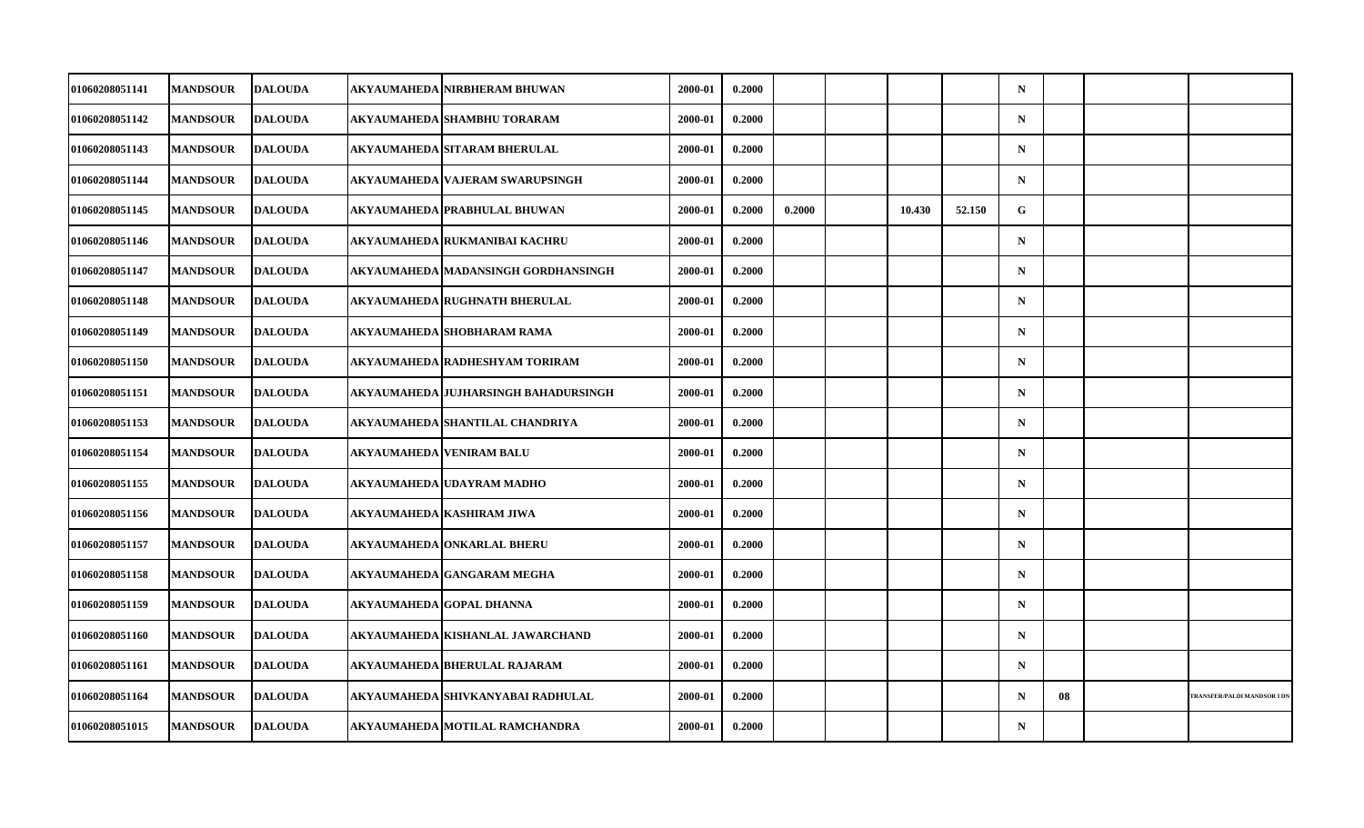| 01060208051141 | <b>MANDSOUR</b> | <b>DALOUDA</b> | AKYAUMAHEDA NIRBHERAM BHUWAN           | 2000-01 | 0.2000 |        |        |        | $\mathbf N$ |    |                                    |
|----------------|-----------------|----------------|----------------------------------------|---------|--------|--------|--------|--------|-------------|----|------------------------------------|
| 01060208051142 | <b>MANDSOUR</b> | <b>DALOUDA</b> | AKYAUMAHEDA SHAMBHU TORARAM            | 2000-01 | 0.2000 |        |        |        | $\mathbf N$ |    |                                    |
| 01060208051143 | <b>MANDSOUR</b> | <b>DALOUDA</b> | AKYAUMAHEDA SITARAM BHERULAL           | 2000-01 | 0.2000 |        |        |        | $\mathbf N$ |    |                                    |
| 01060208051144 | <b>MANDSOUR</b> | <b>DALOUDA</b> | AKYAUMAHEDA   VAJERAM SWARUPSINGH      | 2000-01 | 0.2000 |        |        |        | $\mathbf N$ |    |                                    |
| 01060208051145 | <b>MANDSOUR</b> | <b>DALOUDA</b> | AKYAUMAHEDA PRABHULAL BHUWAN           | 2000-01 | 0.2000 | 0.2000 | 10.430 | 52.150 | G           |    |                                    |
| 01060208051146 | <b>MANDSOUR</b> | <b>DALOUDA</b> | AKYAUMAHEDA RUKMANIBAI KACHRU          | 2000-01 | 0.2000 |        |        |        | $\mathbf N$ |    |                                    |
| 01060208051147 | <b>MANDSOUR</b> | <b>DALOUDA</b> | AKYAUMAHEDA MADANSINGH GORDHANSINGH    | 2000-01 | 0.2000 |        |        |        | $\mathbf N$ |    |                                    |
| 01060208051148 | <b>MANDSOUR</b> | <b>DALOUDA</b> | AKYAUMAHEDA RUGHNATH BHERULAL          | 2000-01 | 0.2000 |        |        |        | $\mathbf N$ |    |                                    |
| 01060208051149 | <b>MANDSOUR</b> | <b>DALOUDA</b> | AKYAUMAHEDA SHOBHARAM RAMA             | 2000-01 | 0.2000 |        |        |        | $\mathbf N$ |    |                                    |
| 01060208051150 | <b>MANDSOUR</b> | <b>DALOUDA</b> | AKYAUMAHEDA RADHESHYAM TORIRAM         | 2000-01 | 0.2000 |        |        |        | $\mathbf N$ |    |                                    |
| 01060208051151 | <b>MANDSOUR</b> | <b>DALOUDA</b> | AKYAUMAHEDA   JUJHARSINGH BAHADURSINGH | 2000-01 | 0.2000 |        |        |        | $\mathbf N$ |    |                                    |
| 01060208051153 | <b>MANDSOUR</b> | <b>DALOUDA</b> | AKYAUMAHEDA SHANTILAL CHANDRIYA        | 2000-01 | 0.2000 |        |        |        | $\mathbf N$ |    |                                    |
| 01060208051154 | <b>MANDSOUR</b> | <b>DALOUDA</b> | AKYAUMAHEDA VENIRAM BALU               | 2000-01 | 0.2000 |        |        |        | $\mathbf N$ |    |                                    |
| 01060208051155 | <b>MANDSOUR</b> | <b>DALOUDA</b> | <b>AKYAUMAHEDA UDAYRAM MADHO</b>       | 2000-01 | 0.2000 |        |        |        | $\mathbf N$ |    |                                    |
| 01060208051156 | <b>MANDSOUR</b> | <b>DALOUDA</b> | AKYAUMAHEDA KASHIRAM JIWA              | 2000-01 | 0.2000 |        |        |        | $\mathbf N$ |    |                                    |
| 01060208051157 | <b>MANDSOUR</b> | <b>DALOUDA</b> | AKYAUMAHEDA ONKARLAL BHERU             | 2000-01 | 0.2000 |        |        |        | $\mathbf N$ |    |                                    |
| 01060208051158 | <b>MANDSOUR</b> | <b>DALOUDA</b> | AKYAUMAHEDA GANGARAM MEGHA             | 2000-01 | 0.2000 |        |        |        | $\mathbf N$ |    |                                    |
| 01060208051159 | <b>MANDSOUR</b> | <b>DALOUDA</b> | AKYAUMAHEDA GOPAL DHANNA               | 2000-01 | 0.2000 |        |        |        | $\mathbf N$ |    |                                    |
| 01060208051160 | <b>MANDSOUR</b> | <b>DALOUDA</b> | AKYAUMAHEDA KISHANLAL JAWARCHAND       | 2000-01 | 0.2000 |        |        |        | $\mathbf N$ |    |                                    |
| 01060208051161 | <b>MANDSOUR</b> | <b>DALOUDA</b> | AKYAUMAHEDA BHERULAL RAJARAM           | 2000-01 | 0.2000 |        |        |        | $\mathbf N$ |    |                                    |
| 01060208051164 | <b>MANDSOUR</b> | <b>DALOUDA</b> | AKYAUMAHEDA SHIVKANYABAI RADHULAL      | 2000-01 | 0.2000 |        |        |        | $\mathbf N$ | 08 | <b>TRANSFER/PALDI MANDSOR I DI</b> |
| 01060208051015 | <b>MANDSOUR</b> | <b>DALOUDA</b> | AKYAUMAHEDA MOTILAL RAMCHANDRA         | 2000-01 | 0.2000 |        |        |        | $\mathbf N$ |    |                                    |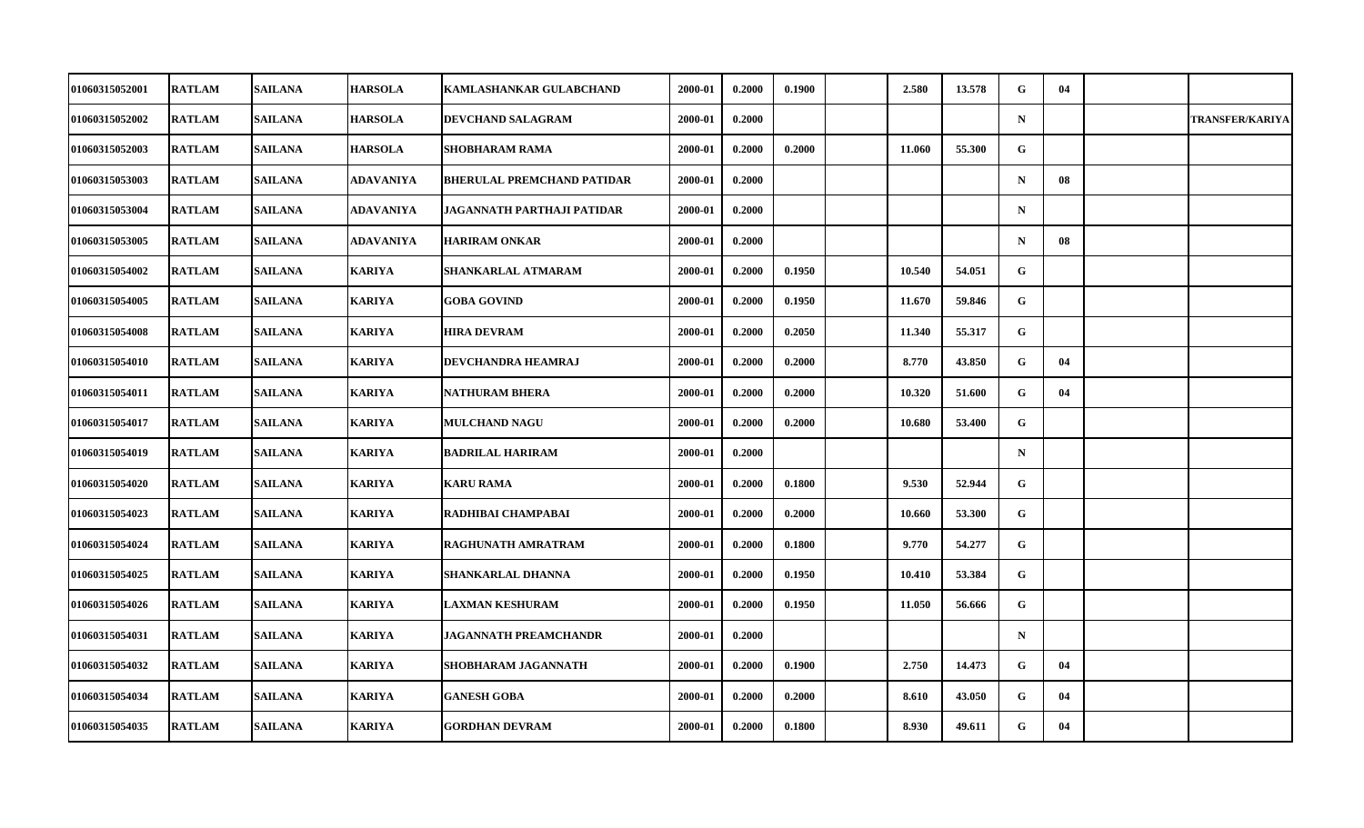| 01060315052001        | <b>RATLAM</b> | <b>SAILANA</b> | <b>HARSOLA</b> | <b>KAMLASHANKAR GULABCHAND</b>    | 2000-01 | 0.2000 | 0.1900 | 2.580  | 13.578 | G            | 04 |                        |
|-----------------------|---------------|----------------|----------------|-----------------------------------|---------|--------|--------|--------|--------|--------------|----|------------------------|
| 01060315052002        | <b>RATLAM</b> | <b>SAILANA</b> | <b>HARSOLA</b> | DEVCHAND SALAGRAM                 | 2000-01 | 0.2000 |        |        |        | $\mathbf N$  |    | <b>TRANSFER/KARIYA</b> |
| 01060315052003        | <b>RATLAM</b> | <b>SAILANA</b> | <b>HARSOLA</b> | <b>SHOBHARAM RAMA</b>             | 2000-01 | 0.2000 | 0.2000 | 11.060 | 55.300 | G            |    |                        |
| 01060315053003        | <b>RATLAM</b> | <b>SAILANA</b> | ADAVANIYA      | <b>BHERULAL PREMCHAND PATIDAR</b> | 2000-01 | 0.2000 |        |        |        | $\mathbf N$  | 08 |                        |
| 01060315053004        | <b>RATLAM</b> | <b>SAILANA</b> | ADAVANIYA      | JAGANNATH PARTHAJI PATIDAR        | 2000-01 | 0.2000 |        |        |        | $\mathbf N$  |    |                        |
| 01060315053005        | <b>RATLAM</b> | <b>SAILANA</b> | ADAVANIYA      | <b>HARIRAM ONKAR</b>              | 2000-01 | 0.2000 |        |        |        | $\mathbf N$  | 08 |                        |
| 01060315054002        | <b>RATLAM</b> | <b>SAILANA</b> | <b>KARIYA</b>  | SHANKARLAL ATMARAM                | 2000-01 | 0.2000 | 0.1950 | 10.540 | 54.051 | G            |    |                        |
| <b>01060315054005</b> | <b>RATLAM</b> | <b>SAILANA</b> | KARIYA         | <b>GOBA GOVIND</b>                | 2000-01 | 0.2000 | 0.1950 | 11.670 | 59.846 | G            |    |                        |
| 01060315054008        | <b>RATLAM</b> | <b>SAILANA</b> | <b>KARIYA</b>  | <b>HIRA DEVRAM</b>                | 2000-01 | 0.2000 | 0.2050 | 11.340 | 55.317 | G            |    |                        |
| 01060315054010        | <b>RATLAM</b> | <b>SAILANA</b> | <b>KARIYA</b>  | DEVCHANDRA HEAMRAJ                | 2000-01 | 0.2000 | 0.2000 | 8.770  | 43.850 | G            | 04 |                        |
| <b>01060315054011</b> | <b>RATLAM</b> | <b>SAILANA</b> | KARIYA         | <b>NATHURAM BHERA</b>             | 2000-01 | 0.2000 | 0.2000 | 10.320 | 51.600 | G            | 04 |                        |
| 01060315054017        | <b>RATLAM</b> | <b>SAILANA</b> | <b>KARIYA</b>  | <b>MULCHAND NAGU</b>              | 2000-01 | 0.2000 | 0.2000 | 10.680 | 53.400 | $\mathbf{G}$ |    |                        |
| 01060315054019        | <b>RATLAM</b> | <b>SAILANA</b> | <b>KARIYA</b>  | <b>BADRILAL HARIRAM</b>           | 2000-01 | 0.2000 |        |        |        | $\mathbf N$  |    |                        |
| 01060315054020        | <b>RATLAM</b> | <b>SAILANA</b> | KARIYA         | <b>KARU RAMA</b>                  | 2000-01 | 0.2000 | 0.1800 | 9.530  | 52.944 | G            |    |                        |
| 01060315054023        | <b>RATLAM</b> | <b>SAILANA</b> | <b>KARIYA</b>  | RADHIBAI CHAMPABAI                | 2000-01 | 0.2000 | 0.2000 | 10.660 | 53.300 | $\mathbf{G}$ |    |                        |
| 01060315054024        | <b>RATLAM</b> | <b>SAILANA</b> | <b>KARIYA</b>  | RAGHUNATH AMRATRAM                | 2000-01 | 0.2000 | 0.1800 | 9.770  | 54.277 | $\mathbf{G}$ |    |                        |
| 01060315054025        | <b>RATLAM</b> | <b>SAILANA</b> | <b>KARIYA</b>  | SHANKARLAL DHANNA                 | 2000-01 | 0.2000 | 0.1950 | 10.410 | 53.384 | G            |    |                        |
| 01060315054026        | <b>RATLAM</b> | <b>SAILANA</b> | <b>KARIYA</b>  | <b>LAXMAN KESHURAM</b>            | 2000-01 | 0.2000 | 0.1950 | 11.050 | 56.666 | G            |    |                        |
| 01060315054031        | <b>RATLAM</b> | <b>SAILANA</b> | <b>KARIYA</b>  | <b>JAGANNATH PREAMCHANDR</b>      | 2000-01 | 0.2000 |        |        |        | $\mathbf N$  |    |                        |
| 01060315054032        | <b>RATLAM</b> | <b>SAILANA</b> | <b>KARIYA</b>  | SHOBHARAM JAGANNATH               | 2000-01 | 0.2000 | 0.1900 | 2.750  | 14.473 | G            | 04 |                        |
| 01060315054034        | <b>RATLAM</b> | <b>SAILANA</b> | <b>KARIYA</b>  | <b>GANESH GOBA</b>                | 2000-01 | 0.2000 | 0.2000 | 8.610  | 43.050 | $\mathbf{G}$ | 04 |                        |
| 01060315054035        | <b>RATLAM</b> | <b>SAILANA</b> | <b>KARIYA</b>  | <b>GORDHAN DEVRAM</b>             | 2000-01 | 0.2000 | 0.1800 | 8.930  | 49.611 | $\mathbf{G}$ | 04 |                        |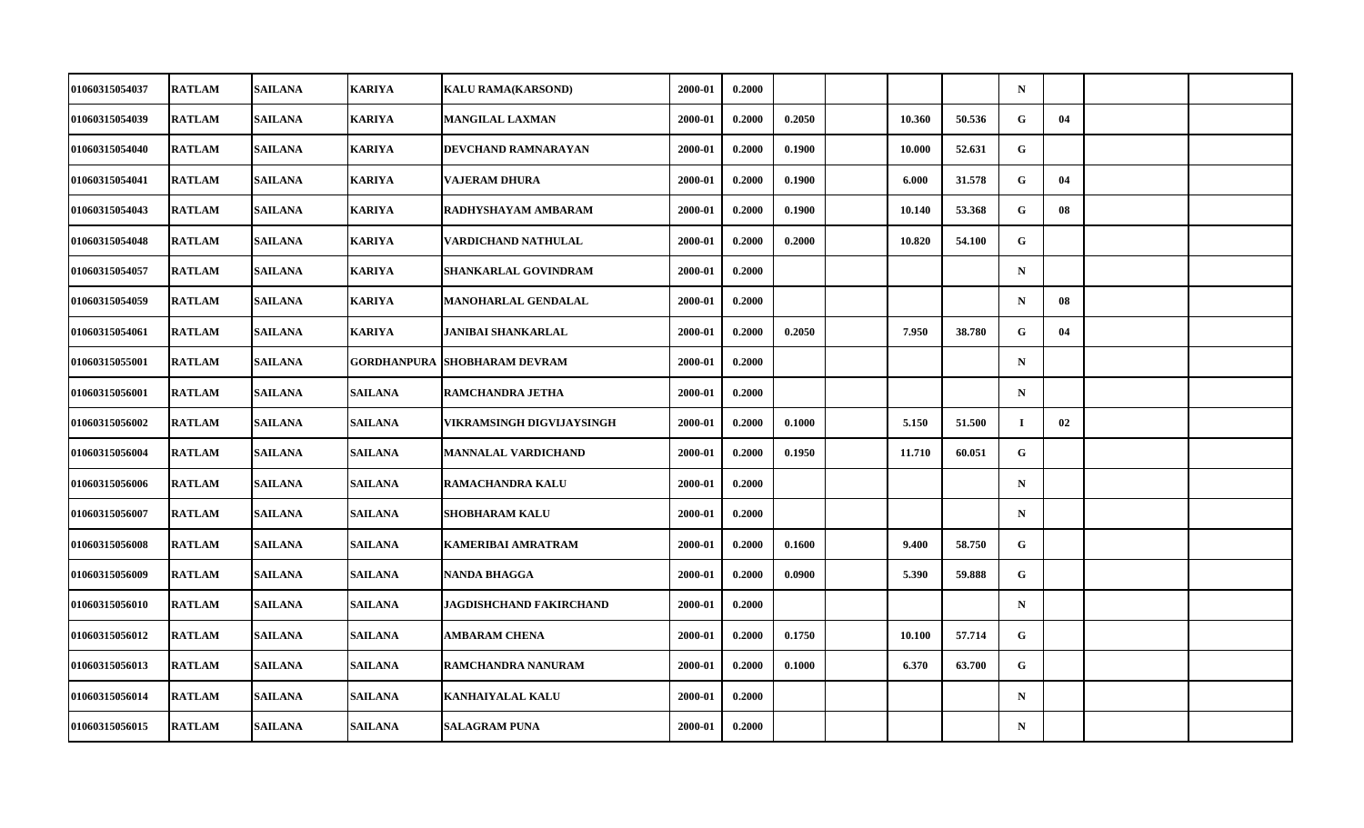| 01060315054037        | <b>RATLAM</b> | <b>SAILANA</b> | <b>KARIYA</b>      | <b>KALU RAMA(KARSOND)</b>  | 2000-01 | 0.2000 |        |        |        | $\mathbf N$ |    |  |
|-----------------------|---------------|----------------|--------------------|----------------------------|---------|--------|--------|--------|--------|-------------|----|--|
| 01060315054039        | <b>RATLAM</b> | <b>SAILANA</b> | <b>KARIYA</b>      | <b>MANGILAL LAXMAN</b>     | 2000-01 | 0.2000 | 0.2050 | 10.360 | 50.536 | G           | 04 |  |
| 01060315054040        | <b>RATLAM</b> | <b>SAILANA</b> | <b>KARIYA</b>      | DEVCHAND RAMNARAYAN        | 2000-01 | 0.2000 | 0.1900 | 10.000 | 52.631 | G           |    |  |
| 01060315054041        | <b>RATLAM</b> | <b>SAILANA</b> | <b>KARIYA</b>      | <b>VAJERAM DHURA</b>       | 2000-01 | 0.2000 | 0.1900 | 6.000  | 31.578 | G           | 04 |  |
| 01060315054043        | <b>RATLAM</b> | <b>SAILANA</b> | <b>KARIYA</b>      | RADHYSHAYAM AMBARAM        | 2000-01 | 0.2000 | 0.1900 | 10.140 | 53.368 | G           | 08 |  |
| 01060315054048        | <b>RATLAM</b> | <b>SAILANA</b> | <b>KARIYA</b>      | VARDICHAND NATHULAL        | 2000-01 | 0.2000 | 0.2000 | 10.820 | 54.100 | G           |    |  |
| 01060315054057        | <b>RATLAM</b> | <b>SAILANA</b> | <b>KARIYA</b>      | SHANKARLAL GOVINDRAM       | 2000-01 | 0.2000 |        |        |        | $\mathbf N$ |    |  |
| 01060315054059        | <b>RATLAM</b> | <b>SAILANA</b> | <b>KARIYA</b>      | MANOHARLAL GENDALAL        | 2000-01 | 0.2000 |        |        |        | $\mathbf N$ | 08 |  |
| 01060315054061        | <b>RATLAM</b> | <b>SAILANA</b> | <b>KARIYA</b>      | JANIBAI SHANKARLAL         | 2000-01 | 0.2000 | 0.2050 | 7.950  | 38.780 | G           | 04 |  |
| 01060315055001        | <b>RATLAM</b> | <b>SAILANA</b> | <b>GORDHANPURA</b> | <b>SHOBHARAM DEVRAM</b>    | 2000-01 | 0.2000 |        |        |        | $\mathbf N$ |    |  |
| 01060315056001        | <b>RATLAM</b> | <b>SAILANA</b> | <b>SAILANA</b>     | RAMCHANDRA JETHA           | 2000-01 | 0.2000 |        |        |        | $\mathbf N$ |    |  |
| 01060315056002        | <b>RATLAM</b> | <b>SAILANA</b> | <b>SAILANA</b>     | VIKRAMSINGH DIGVIJAYSINGH  | 2000-01 | 0.2000 | 0.1000 | 5.150  | 51.500 | $\bf{I}$    | 02 |  |
| 01060315056004        | <b>RATLAM</b> | <b>SAILANA</b> | <b>SAILANA</b>     | <b>MANNALAL VARDICHAND</b> | 2000-01 | 0.2000 | 0.1950 | 11.710 | 60.051 | G           |    |  |
| 01060315056006        | <b>RATLAM</b> | <b>SAILANA</b> | <b>SAILANA</b>     | RAMACHANDRA KALU           | 2000-01 | 0.2000 |        |        |        | $\mathbf N$ |    |  |
| 01060315056007        | <b>RATLAM</b> | <b>SAILANA</b> | <b>SAILANA</b>     | <b>SHOBHARAM KALU</b>      | 2000-01 | 0.2000 |        |        |        | $\mathbf N$ |    |  |
| 01060315056008        | <b>RATLAM</b> | <b>SAILANA</b> | <b>SAILANA</b>     | <b>KAMERIBAI AMRATRAM</b>  | 2000-01 | 0.2000 | 0.1600 | 9.400  | 58.750 | G           |    |  |
| <b>01060315056009</b> | <b>RATLAM</b> | <b>SAILANA</b> | <b>SAILANA</b>     | <b>NANDA BHAGGA</b>        | 2000-01 | 0.2000 | 0.0900 | 5.390  | 59.888 | G           |    |  |
| 01060315056010        | <b>RATLAM</b> | <b>SAILANA</b> | <b>SAILANA</b>     | JAGDISHCHAND FAKIRCHAND    | 2000-01 | 0.2000 |        |        |        | $\mathbf N$ |    |  |
| 01060315056012        | <b>RATLAM</b> | <b>SAILANA</b> | <b>SAILANA</b>     | <b>AMBARAM CHENA</b>       | 2000-01 | 0.2000 | 0.1750 | 10.100 | 57.714 | G           |    |  |
| 01060315056013        | <b>RATLAM</b> | <b>SAILANA</b> | <b>SAILANA</b>     | RAMCHANDRA NANURAM         | 2000-01 | 0.2000 | 0.1000 | 6.370  | 63.700 | G           |    |  |
| 01060315056014        | <b>RATLAM</b> | <b>SAILANA</b> | <b>SAILANA</b>     | <b>KANHAIYALAL KALU</b>    | 2000-01 | 0.2000 |        |        |        | $\mathbf N$ |    |  |
| 01060315056015        | <b>RATLAM</b> | <b>SAILANA</b> | <b>SAILANA</b>     | <b>SALAGRAM PUNA</b>       | 2000-01 | 0.2000 |        |        |        | ${\bf N}$   |    |  |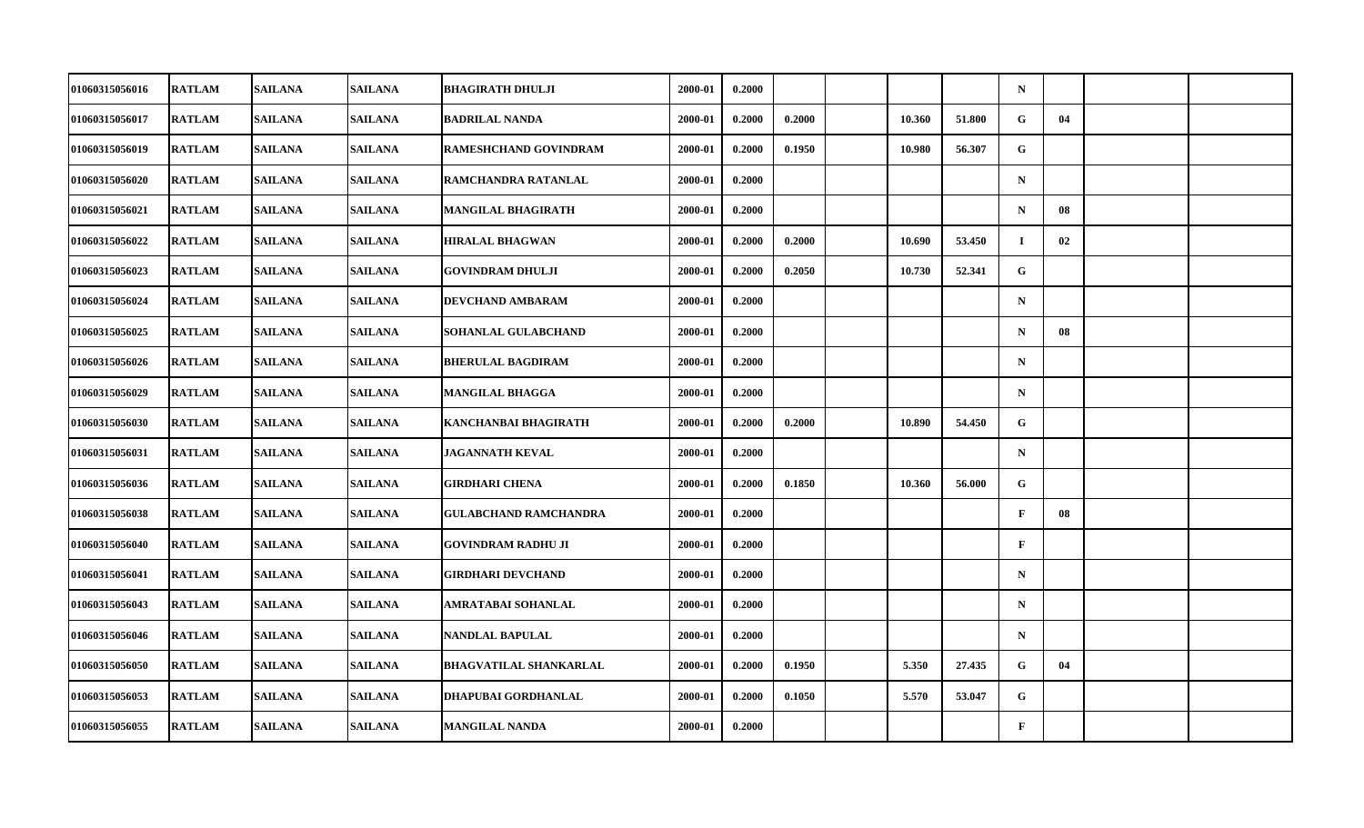| 01060315056016        | <b>RATLAM</b> | <b>SAILANA</b> | <b>SAILANA</b> | <b>BHAGIRATH DHULJI</b>       | 2000-01 | 0.2000 |        |        |        | $\mathbf N$  |    |  |
|-----------------------|---------------|----------------|----------------|-------------------------------|---------|--------|--------|--------|--------|--------------|----|--|
| 01060315056017        | <b>RATLAM</b> | <b>SAILANA</b> | <b>SAILANA</b> | <b>BADRILAL NANDA</b>         | 2000-01 | 0.2000 | 0.2000 | 10.360 | 51.800 | G            | 04 |  |
| 01060315056019        | <b>RATLAM</b> | <b>SAILANA</b> | <b>SAILANA</b> | RAMESHCHAND GOVINDRAM         | 2000-01 | 0.2000 | 0.1950 | 10.980 | 56.307 | G            |    |  |
| 01060315056020        | <b>RATLAM</b> | <b>SAILANA</b> | <b>SAILANA</b> | RAMCHANDRA RATANLAL           | 2000-01 | 0.2000 |        |        |        | $\mathbf N$  |    |  |
| 01060315056021        | <b>RATLAM</b> | <b>SAILANA</b> | <b>SAILANA</b> | <b>MANGILAL BHAGIRATH</b>     | 2000-01 | 0.2000 |        |        |        | $\mathbf N$  | 08 |  |
| 01060315056022        | <b>RATLAM</b> | <b>SAILANA</b> | <b>SAILANA</b> | <b>HIRALAL BHAGWAN</b>        | 2000-01 | 0.2000 | 0.2000 | 10.690 | 53.450 | $\bf{I}$     | 02 |  |
| 01060315056023        | <b>RATLAM</b> | <b>SAILANA</b> | <b>SAILANA</b> | <b>GOVINDRAM DHULJI</b>       | 2000-01 | 0.2000 | 0.2050 | 10.730 | 52.341 | G.           |    |  |
| 01060315056024        | <b>RATLAM</b> | <b>SAILANA</b> | <b>SAILANA</b> | DEVCHAND AMBARAM              | 2000-01 | 0.2000 |        |        |        | $\mathbf N$  |    |  |
| 01060315056025        | <b>RATLAM</b> | <b>SAILANA</b> | <b>SAILANA</b> | SOHANLAL GULABCHAND           | 2000-01 | 0.2000 |        |        |        | $\mathbf N$  | 08 |  |
| 01060315056026        | <b>RATLAM</b> | <b>SAILANA</b> | <b>SAILANA</b> | <b>BHERULAL BAGDIRAM</b>      | 2000-01 | 0.2000 |        |        |        | $\mathbf N$  |    |  |
| 01060315056029        | <b>RATLAM</b> | <b>SAILANA</b> | <b>SAILANA</b> | <b>MANGILAL BHAGGA</b>        | 2000-01 | 0.2000 |        |        |        | $\mathbf N$  |    |  |
| 01060315056030        | <b>RATLAM</b> | <b>SAILANA</b> | <b>SAILANA</b> | KANCHANBAI BHAGIRATH          | 2000-01 | 0.2000 | 0.2000 | 10.890 | 54.450 | G            |    |  |
| 01060315056031        | <b>RATLAM</b> | <b>SAILANA</b> | <b>SAILANA</b> | <b>JAGANNATH KEVAL</b>        | 2000-01 | 0.2000 |        |        |        | ${\bf N}$    |    |  |
| 01060315056036        | <b>RATLAM</b> | <b>SAILANA</b> | <b>SAILANA</b> | <b>GIRDHARI CHENA</b>         | 2000-01 | 0.2000 | 0.1850 | 10.360 | 56.000 | G            |    |  |
| 01060315056038        | <b>RATLAM</b> | <b>SAILANA</b> | <b>SAILANA</b> | <b>GULABCHAND RAMCHANDRA</b>  | 2000-01 | 0.2000 |        |        |        | $\mathbf{F}$ | 08 |  |
| 01060315056040        | <b>RATLAM</b> | <b>SAILANA</b> | <b>SAILANA</b> | <b>GOVINDRAM RADHU JI</b>     | 2000-01 | 0.2000 |        |        |        | $\mathbf{F}$ |    |  |
| <b>01060315056041</b> | <b>RATLAM</b> | <b>SAILANA</b> | <b>SAILANA</b> | GIRDHARI DEVCHAND             | 2000-01 | 0.2000 |        |        |        | $\mathbf N$  |    |  |
| 01060315056043        | <b>RATLAM</b> | <b>SAILANA</b> | <b>SAILANA</b> | AMRATABAI SOHANLAL            | 2000-01 | 0.2000 |        |        |        | $\mathbf N$  |    |  |
| 01060315056046        | <b>RATLAM</b> | <b>SAILANA</b> | <b>SAILANA</b> | NANDLAL BAPULAL               | 2000-01 | 0.2000 |        |        |        | $\mathbf N$  |    |  |
| 01060315056050        | <b>RATLAM</b> | <b>SAILANA</b> | <b>SAILANA</b> | <b>BHAGVATILAL SHANKARLAL</b> | 2000-01 | 0.2000 | 0.1950 | 5.350  | 27.435 | G            | 04 |  |
| 01060315056053        | <b>RATLAM</b> | <b>SAILANA</b> | <b>SAILANA</b> | DHAPUBAI GORDHANLAL           | 2000-01 | 0.2000 | 0.1050 | 5.570  | 53.047 | $\mathbf{G}$ |    |  |
| 01060315056055        | <b>RATLAM</b> | <b>SAILANA</b> | <b>SAILANA</b> | <b>MANGILAL NANDA</b>         | 2000-01 | 0.2000 |        |        |        | $\mathbf F$  |    |  |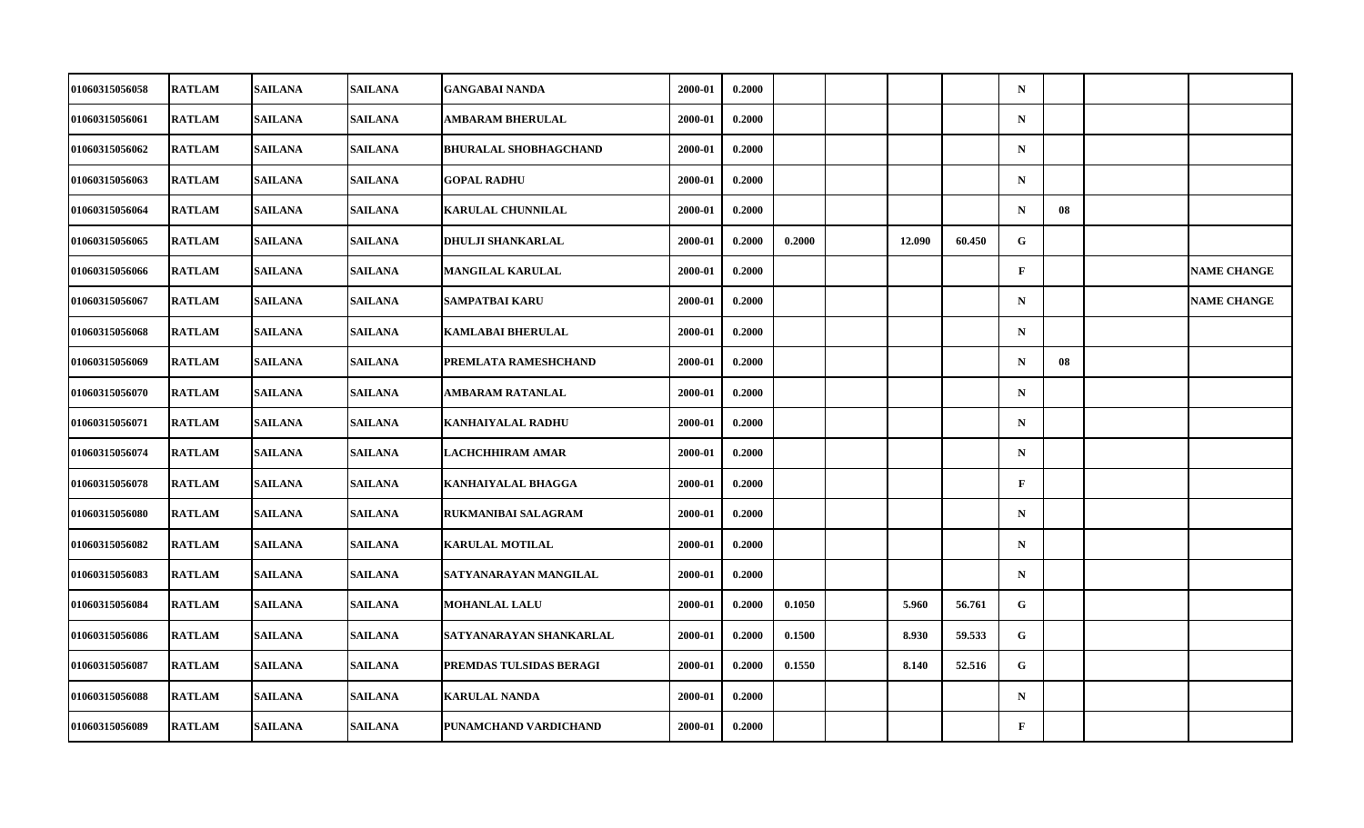| 01060315056058        | <b>RATLAM</b> | <b>SAILANA</b> | <b>SAILANA</b> | <b>GANGABAI NANDA</b>        | 2000-01 | 0.2000 |        |        |        | $\mathbf N$  |    |                    |
|-----------------------|---------------|----------------|----------------|------------------------------|---------|--------|--------|--------|--------|--------------|----|--------------------|
| 01060315056061        | <b>RATLAM</b> | <b>SAILANA</b> | <b>SAILANA</b> | AMBARAM BHERULAL             | 2000-01 | 0.2000 |        |        |        | ${\bf N}$    |    |                    |
| 01060315056062        | <b>RATLAM</b> | <b>SAILANA</b> | <b>SAILANA</b> | <b>BHURALAL SHOBHAGCHAND</b> | 2000-01 | 0.2000 |        |        |        | ${\bf N}$    |    |                    |
| 01060315056063        | <b>RATLAM</b> | <b>SAILANA</b> | <b>SAILANA</b> | <b>GOPAL RADHU</b>           | 2000-01 | 0.2000 |        |        |        | $\mathbf N$  |    |                    |
| 01060315056064        | <b>RATLAM</b> | <b>SAILANA</b> | <b>SAILANA</b> | <b>KARULAL CHUNNILAL</b>     | 2000-01 | 0.2000 |        |        |        | $\mathbf N$  | 08 |                    |
| 01060315056065        | <b>RATLAM</b> | <b>SAILANA</b> | <b>SAILANA</b> | <b>DHULJI SHANKARLAL</b>     | 2000-01 | 0.2000 | 0.2000 | 12.090 | 60.450 | G            |    |                    |
| 01060315056066        | <b>RATLAM</b> | <b>SAILANA</b> | <b>SAILANA</b> | <b>MANGILAL KARULAL</b>      | 2000-01 | 0.2000 |        |        |        | $\mathbf{F}$ |    | <b>NAME CHANGE</b> |
| 01060315056067        | <b>RATLAM</b> | <b>SAILANA</b> | <b>SAILANA</b> | SAMPATBAI KARU               | 2000-01 | 0.2000 |        |        |        | $\mathbf N$  |    | <b>NAME CHANGE</b> |
| 01060315056068        | <b>RATLAM</b> | <b>SAILANA</b> | <b>SAILANA</b> | <b>KAMLABAI BHERULAL</b>     | 2000-01 | 0.2000 |        |        |        | $\mathbf N$  |    |                    |
| 01060315056069        | <b>RATLAM</b> | <b>SAILANA</b> | <b>SAILANA</b> | PREMLATA RAMESHCHAND         | 2000-01 | 0.2000 |        |        |        | $\mathbf N$  | 08 |                    |
| 01060315056070        | <b>RATLAM</b> | <b>SAILANA</b> | <b>SAILANA</b> | <b>AMBARAM RATANLAL</b>      | 2000-01 | 0.2000 |        |        |        | $\mathbf N$  |    |                    |
| 01060315056071        | <b>RATLAM</b> | <b>SAILANA</b> | <b>SAILANA</b> | <b>KANHAIYALAL RADHU</b>     | 2000-01 | 0.2000 |        |        |        | $\mathbf N$  |    |                    |
| 01060315056074        | <b>RATLAM</b> | <b>SAILANA</b> | <b>SAILANA</b> | LACHCHHIRAM AMAR             | 2000-01 | 0.2000 |        |        |        | ${\bf N}$    |    |                    |
| 01060315056078        | <b>RATLAM</b> | <b>SAILANA</b> | <b>SAILANA</b> | <b>KANHAIYALAL BHAGGA</b>    | 2000-01 | 0.2000 |        |        |        | $\mathbf{F}$ |    |                    |
| 01060315056080        | <b>RATLAM</b> | <b>SAILANA</b> | <b>SAILANA</b> | RUKMANIBAI SALAGRAM          | 2000-01 | 0.2000 |        |        |        | $\mathbf N$  |    |                    |
| 01060315056082        | <b>RATLAM</b> | <b>SAILANA</b> | <b>SAILANA</b> | <b>KARULAL MOTILAL</b>       | 2000-01 | 0.2000 |        |        |        | $\mathbf N$  |    |                    |
| <b>01060315056083</b> | <b>RATLAM</b> | <b>SAILANA</b> | <b>SAILANA</b> | SATYANARAYAN MANGILAL        | 2000-01 | 0.2000 |        |        |        | $\mathbf N$  |    |                    |
| 01060315056084        | <b>RATLAM</b> | <b>SAILANA</b> | <b>SAILANA</b> | <b>MOHANLAL LALU</b>         | 2000-01 | 0.2000 | 0.1050 | 5.960  | 56.761 | $\mathbf G$  |    |                    |
| 01060315056086        | <b>RATLAM</b> | <b>SAILANA</b> | <b>SAILANA</b> | SATYANARAYAN SHANKARLAL      | 2000-01 | 0.2000 | 0.1500 | 8.930  | 59.533 | G            |    |                    |
| 01060315056087        | <b>RATLAM</b> | <b>SAILANA</b> | <b>SAILANA</b> | PREMDAS TULSIDAS BERAGI      | 2000-01 | 0.2000 | 0.1550 | 8.140  | 52.516 | G            |    |                    |
| 01060315056088        | <b>RATLAM</b> | <b>SAILANA</b> | <b>SAILANA</b> | <b>KARULAL NANDA</b>         | 2000-01 | 0.2000 |        |        |        | $\mathbf N$  |    |                    |
| 01060315056089        | <b>RATLAM</b> | <b>SAILANA</b> | <b>SAILANA</b> | PUNAMCHAND VARDICHAND        | 2000-01 | 0.2000 |        |        |        | $\mathbf F$  |    |                    |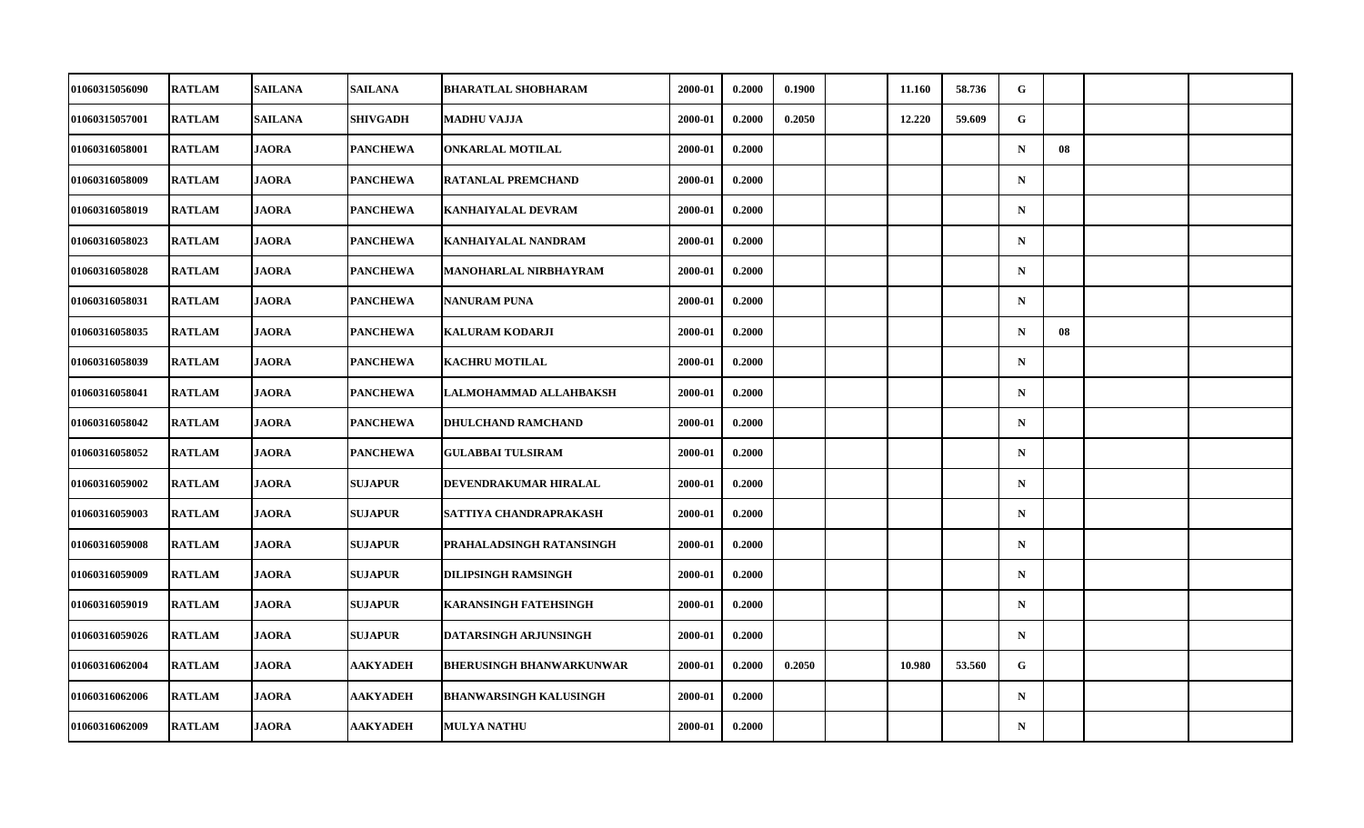| 01060315056090        | <b>RATLAM</b> | <b>SAILANA</b> | <b>SAILANA</b>  | <b>BHARATLAL SHOBHARAM</b>      | 2000-01 | 0.2000 | 0.1900 | 11.160 | 58.736 | G           |    |  |
|-----------------------|---------------|----------------|-----------------|---------------------------------|---------|--------|--------|--------|--------|-------------|----|--|
| 01060315057001        | <b>RATLAM</b> | <b>SAILANA</b> | <b>SHIVGADH</b> | MADHU VAJJA                     | 2000-01 | 0.2000 | 0.2050 | 12.220 | 59.609 | G           |    |  |
| 01060316058001        | <b>RATLAM</b> | <b>JAORA</b>   | <b>PANCHEWA</b> | <b>ONKARLAL MOTILAL</b>         | 2000-01 | 0.2000 |        |        |        | $\mathbf N$ | 08 |  |
| 01060316058009        | <b>RATLAM</b> | <b>JAORA</b>   | PANCHEWA        | RATANLAL PREMCHAND              | 2000-01 | 0.2000 |        |        |        | $\mathbf N$ |    |  |
| 01060316058019        | <b>RATLAM</b> | <b>JAORA</b>   | <b>PANCHEWA</b> | <b>KANHAIYALAL DEVRAM</b>       | 2000-01 | 0.2000 |        |        |        | $\mathbf N$ |    |  |
| 01060316058023        | <b>RATLAM</b> | <b>JAORA</b>   | <b>PANCHEWA</b> | <b>KANHAIYALAL NANDRAM</b>      | 2000-01 | 0.2000 |        |        |        | $\mathbf N$ |    |  |
| 01060316058028        | <b>RATLAM</b> | <b>JAORA</b>   | <b>PANCHEWA</b> | <b>MANOHARLAL NIRBHAYRAM</b>    | 2000-01 | 0.2000 |        |        |        | $\mathbf N$ |    |  |
| 01060316058031        | <b>RATLAM</b> | <b>JAORA</b>   | <b>PANCHEWA</b> | NANURAM PUNA                    | 2000-01 | 0.2000 |        |        |        | $\mathbf N$ |    |  |
| 01060316058035        | <b>RATLAM</b> | <b>JAORA</b>   | <b>PANCHEWA</b> | <b>KALURAM KODARJI</b>          | 2000-01 | 0.2000 |        |        |        | $\mathbf N$ | 08 |  |
| 01060316058039        | <b>RATLAM</b> | <b>JAORA</b>   | <b>PANCHEWA</b> | <b>KACHRU MOTILAL</b>           | 2000-01 | 0.2000 |        |        |        | $\mathbf N$ |    |  |
| 01060316058041        | <b>RATLAM</b> | <b>JAORA</b>   | PANCHEWA        | LALMOHAMMAD ALLAHBAKSH          | 2000-01 | 0.2000 |        |        |        | $\mathbf N$ |    |  |
| 01060316058042        | <b>RATLAM</b> | <b>JAORA</b>   | <b>PANCHEWA</b> | <b>DHULCHAND RAMCHAND</b>       | 2000-01 | 0.2000 |        |        |        | $\mathbf N$ |    |  |
| 01060316058052        | <b>RATLAM</b> | <b>JAORA</b>   | <b>PANCHEWA</b> | <b>GULABBAI TULSIRAM</b>        | 2000-01 | 0.2000 |        |        |        | ${\bf N}$   |    |  |
| 01060316059002        | <b>RATLAM</b> | <b>JAORA</b>   | <b>SUJAPUR</b>  | DEVENDRAKUMAR HIRALAL           | 2000-01 | 0.2000 |        |        |        | $\mathbf N$ |    |  |
| 01060316059003        | <b>RATLAM</b> | <b>JAORA</b>   | <b>SUJAPUR</b>  | SATTIYA CHANDRAPRAKASH          | 2000-01 | 0.2000 |        |        |        | $\mathbf N$ |    |  |
| 01060316059008        | <b>RATLAM</b> | <b>JAORA</b>   | <b>SUJAPUR</b>  | PRAHALADSINGH RATANSINGH        | 2000-01 | 0.2000 |        |        |        | $\mathbf N$ |    |  |
| <b>01060316059009</b> | <b>RATLAM</b> | <b>JAORA</b>   | <b>SUJAPUR</b>  | <b>DILIPSINGH RAMSINGH</b>      | 2000-01 | 0.2000 |        |        |        | $\mathbf N$ |    |  |
| 01060316059019        | <b>RATLAM</b> | <b>JAORA</b>   | <b>SUJAPUR</b>  | <b>KARANSINGH FATEHSINGH</b>    | 2000-01 | 0.2000 |        |        |        | $\mathbf N$ |    |  |
| 01060316059026        | <b>RATLAM</b> | <b>JAORA</b>   | <b>SUJAPUR</b>  | DATARSINGH ARJUNSINGH           | 2000-01 | 0.2000 |        |        |        | $\mathbf N$ |    |  |
| 01060316062004        | <b>RATLAM</b> | <b>JAORA</b>   | AAKYADEH        | <b>BHERUSINGH BHANWARKUNWAR</b> | 2000-01 | 0.2000 | 0.2050 | 10.980 | 53.560 | G           |    |  |
| 01060316062006        | <b>RATLAM</b> | <b>JAORA</b>   | <b>AAKYADEH</b> | <b>BHANWARSINGH KALUSINGH</b>   | 2000-01 | 0.2000 |        |        |        | $\mathbf N$ |    |  |
| 01060316062009        | <b>RATLAM</b> | <b>JAORA</b>   | <b>AAKYADEH</b> | <b>MULYA NATHU</b>              | 2000-01 | 0.2000 |        |        |        | ${\bf N}$   |    |  |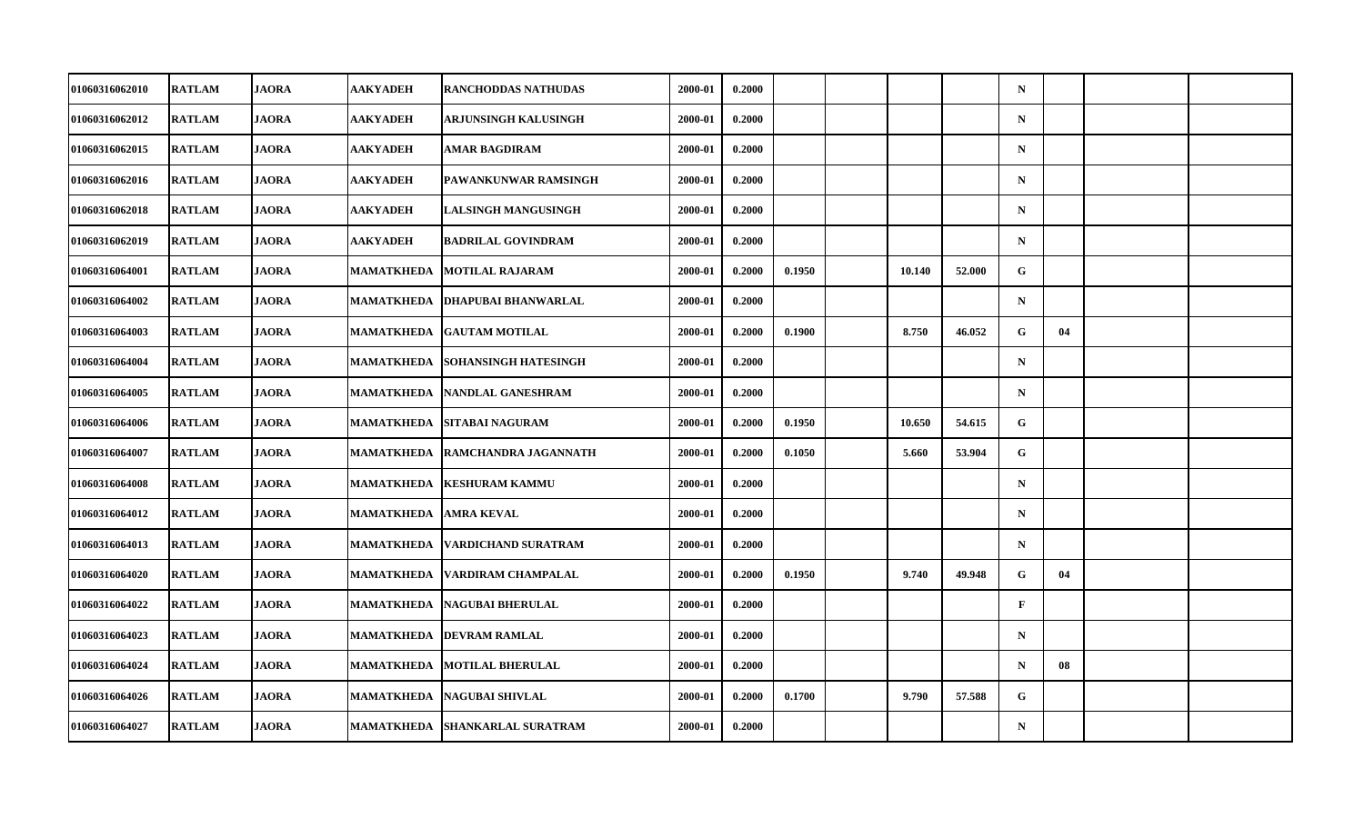| <b>01060316062010</b> | <b>RATLAM</b> | <b>JAORA</b> | <b>AAKYADEH</b>   | <b>RANCHODDAS NATHUDAS</b>  | 2000-01 | 0.2000 |        |        |        | $\mathbf N$  |    |  |
|-----------------------|---------------|--------------|-------------------|-----------------------------|---------|--------|--------|--------|--------|--------------|----|--|
| 01060316062012        | <b>RATLAM</b> | <b>JAORA</b> | <b>AAKYADEH</b>   | ARJUNSINGH KALUSINGH        | 2000-01 | 0.2000 |        |        |        | ${\bf N}$    |    |  |
| 01060316062015        | <b>RATLAM</b> | <b>JAORA</b> | <b>AAKYADEH</b>   | <b>AMAR BAGDIRAM</b>        | 2000-01 | 0.2000 |        |        |        | $\mathbf N$  |    |  |
| 01060316062016        | <b>RATLAM</b> | <b>JAORA</b> | AAKYADEH          | PAWANKUNWAR RAMSINGH        | 2000-01 | 0.2000 |        |        |        | $\mathbf N$  |    |  |
| 01060316062018        | <b>RATLAM</b> | <b>JAORA</b> | AAKYADEH          | LALSINGH MANGUSINGH         | 2000-01 | 0.2000 |        |        |        | $\mathbf N$  |    |  |
| 01060316062019        | <b>RATLAM</b> | <b>JAORA</b> | <b>AAKYADEH</b>   | <b>BADRILAL GOVINDRAM</b>   | 2000-01 | 0.2000 |        |        |        | $\mathbf N$  |    |  |
| 01060316064001        | <b>RATLAM</b> | <b>JAORA</b> | MAMATKHEDA        | <b>MOTILAL RAJARAM</b>      | 2000-01 | 0.2000 | 0.1950 | 10.140 | 52.000 | $\mathbf{G}$ |    |  |
| 01060316064002        | <b>RATLAM</b> | <b>JAORA</b> | MAMATKHEDA        | <b>DHAPUBAI BHANWARLAL</b>  | 2000-01 | 0.2000 |        |        |        | $\mathbf N$  |    |  |
| 01060316064003        | <b>RATLAM</b> | <b>JAORA</b> | <b>MAMATKHEDA</b> | <b>GAUTAM MOTILAL</b>       | 2000-01 | 0.2000 | 0.1900 | 8.750  | 46.052 | G            | 04 |  |
| 01060316064004        | <b>RATLAM</b> | <b>JAORA</b> | MAMATKHEDA        | <b>SOHANSINGH HATESINGH</b> | 2000-01 | 0.2000 |        |        |        | $\mathbf N$  |    |  |
| 01060316064005        | <b>RATLAM</b> | <b>JAORA</b> | MAMATKHEDA        | NANDLAL GANESHRAM           | 2000-01 | 0.2000 |        |        |        | $\mathbf N$  |    |  |
| 01060316064006        | <b>RATLAM</b> | <b>JAORA</b> | MAMATKHEDA        | <b>SITABAI NAGURAM</b>      | 2000-01 | 0.2000 | 0.1950 | 10.650 | 54.615 | G            |    |  |
| 01060316064007        | <b>RATLAM</b> | <b>JAORA</b> | <b>MAMATKHEDA</b> | RAMCHANDRA JAGANNATH        | 2000-01 | 0.2000 | 0.1050 | 5.660  | 53.904 | $\mathbf G$  |    |  |
| 01060316064008        | <b>RATLAM</b> | <b>JAORA</b> | MAMATKHEDA        | <b>KESHURAM KAMMU</b>       | 2000-01 | 0.2000 |        |        |        | $\mathbf N$  |    |  |
| 01060316064012        | <b>RATLAM</b> | <b>JAORA</b> | MAMATKHEDA        | <b>AMRA KEVAL</b>           | 2000-01 | 0.2000 |        |        |        | $\mathbf N$  |    |  |
| 01060316064013        | <b>RATLAM</b> | <b>JAORA</b> | <b>MAMATKHEDA</b> | <b>VARDICHAND SURATRAM</b>  | 2000-01 | 0.2000 |        |        |        | $\mathbf N$  |    |  |
| <b>01060316064020</b> | <b>RATLAM</b> | <b>JAORA</b> | MAMATKHEDA        | VARDIRAM CHAMPALAL          | 2000-01 | 0.2000 | 0.1950 | 9.740  | 49.948 | G            | 04 |  |
| 01060316064022        | <b>RATLAM</b> | <b>JAORA</b> | MAMATKHEDA        | <b>NAGUBAI BHERULAL</b>     | 2000-01 | 0.2000 |        |        |        | $\mathbf{F}$ |    |  |
| 01060316064023        | <b>RATLAM</b> | <b>JAORA</b> | MAMATKHEDA        | <b>DEVRAM RAMLAL</b>        | 2000-01 | 0.2000 |        |        |        | $\mathbf N$  |    |  |
| 01060316064024        | <b>RATLAM</b> | <b>JAORA</b> | MAMATKHEDA        | <b>MOTILAL BHERULAL</b>     | 2000-01 | 0.2000 |        |        |        | $\mathbf N$  | 08 |  |
| 01060316064026        | <b>RATLAM</b> | <b>JAORA</b> | MAMATKHEDA        | <b>NAGUBAI SHIVLAL</b>      | 2000-01 | 0.2000 | 0.1700 | 9.790  | 57.588 | G            |    |  |
| 01060316064027        | <b>RATLAM</b> | <b>JAORA</b> | MAMATKHEDA        | <b>SHANKARLAL SURATRAM</b>  | 2000-01 | 0.2000 |        |        |        | ${\bf N}$    |    |  |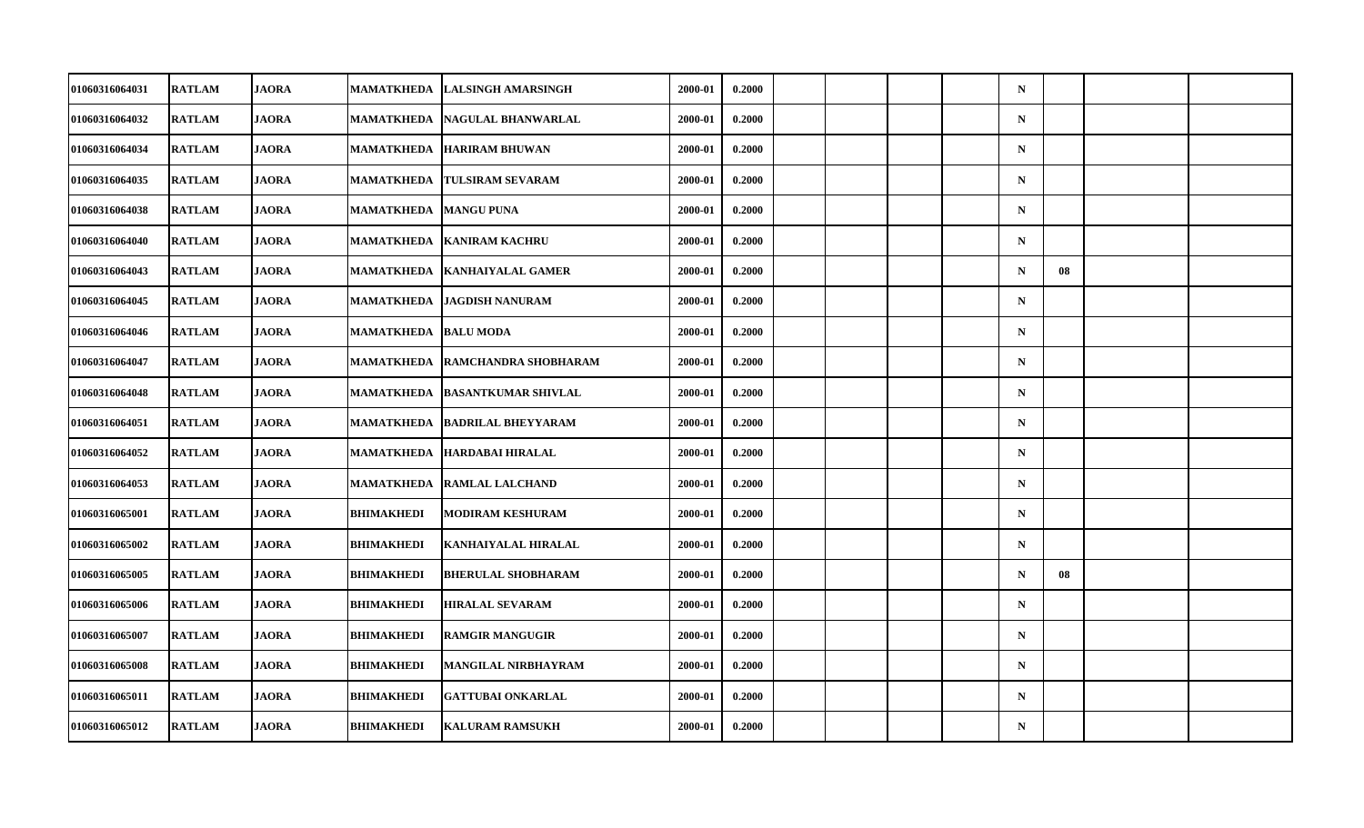| 01060316064031        | <b>RATLAM</b> | <b>JAORA</b> | MAMATKHEDA        | <b>LALSINGH AMARSINGH</b>  | 2000-01 | 0.2000 |  |  | $\mathbf N$ |    |  |
|-----------------------|---------------|--------------|-------------------|----------------------------|---------|--------|--|--|-------------|----|--|
| 01060316064032        | <b>RATLAM</b> | <b>JAORA</b> | MAMATKHEDA        | NAGULAL BHANWARLAL         | 2000-01 | 0.2000 |  |  | ${\bf N}$   |    |  |
| 01060316064034        | <b>RATLAM</b> | <b>JAORA</b> | <b>MAMATKHEDA</b> | <b>HARIRAM BHUWAN</b>      | 2000-01 | 0.2000 |  |  | $\mathbf N$ |    |  |
| 01060316064035        | <b>RATLAM</b> | <b>JAORA</b> | MAMATKHEDA        | <b>TULSIRAM SEVARAM</b>    | 2000-01 | 0.2000 |  |  | $\mathbf N$ |    |  |
| 01060316064038        | <b>RATLAM</b> | <b>JAORA</b> | MAMATKHEDA        | <b>MANGU PUNA</b>          | 2000-01 | 0.2000 |  |  | $\mathbf N$ |    |  |
| 01060316064040        | <b>RATLAM</b> | <b>JAORA</b> | <b>MAMATKHEDA</b> | <b>KANIRAM KACHRU</b>      | 2000-01 | 0.2000 |  |  | $\mathbf N$ |    |  |
| 01060316064043        | <b>RATLAM</b> | <b>JAORA</b> | MAMATKHEDA        | <b>KANHAIYALAL GAMER</b>   | 2000-01 | 0.2000 |  |  | $\mathbf N$ | 08 |  |
| 01060316064045        | <b>RATLAM</b> | <b>JAORA</b> | MAMATKHEDA        | <b>JAGDISH NANURAM</b>     | 2000-01 | 0.2000 |  |  | $\mathbf N$ |    |  |
| 01060316064046        | <b>RATLAM</b> | <b>JAORA</b> | <b>MAMATKHEDA</b> | <b>BALU MODA</b>           | 2000-01 | 0.2000 |  |  | $\mathbf N$ |    |  |
| 01060316064047        | <b>RATLAM</b> | <b>JAORA</b> | <b>MAMATKHEDA</b> | RAMCHANDRA SHOBHARAM       | 2000-01 | 0.2000 |  |  | $\mathbf N$ |    |  |
| 01060316064048        | <b>RATLAM</b> | <b>JAORA</b> | MAMATKHEDA        | <b>BASANTKUMAR SHIVLAL</b> | 2000-01 | 0.2000 |  |  | $\mathbf N$ |    |  |
| 01060316064051        | <b>RATLAM</b> | <b>JAORA</b> | <b>MAMATKHEDA</b> | <b>BADRILAL BHEYYARAM</b>  | 2000-01 | 0.2000 |  |  | $\mathbf N$ |    |  |
| 01060316064052        | <b>RATLAM</b> | <b>JAORA</b> | <b>MAMATKHEDA</b> | <b>HARDABAI HIRALAL</b>    | 2000-01 | 0.2000 |  |  | ${\bf N}$   |    |  |
| 01060316064053        | <b>RATLAM</b> | <b>JAORA</b> | MAMATKHEDA        | <b>RAMLAL LALCHAND</b>     | 2000-01 | 0.2000 |  |  | $\mathbf N$ |    |  |
| 01060316065001        | <b>RATLAM</b> | <b>JAORA</b> | BHIMAKHEDI        | <b>MODIRAM KESHURAM</b>    | 2000-01 | 0.2000 |  |  | $\mathbf N$ |    |  |
| 01060316065002        | <b>RATLAM</b> | <b>JAORA</b> | BHIMAKHEDI        | KANHAIYALAL HIRALAL        | 2000-01 | 0.2000 |  |  | $\mathbf N$ |    |  |
| <b>01060316065005</b> | <b>RATLAM</b> | <b>JAORA</b> | BHIMAKHEDI        | <b>BHERULAL SHOBHARAM</b>  | 2000-01 | 0.2000 |  |  | $\mathbf N$ | 08 |  |
| 01060316065006        | <b>RATLAM</b> | <b>JAORA</b> | <b>BHIMAKHEDI</b> | <b>HIRALAL SEVARAM</b>     | 2000-01 | 0.2000 |  |  | $\mathbf N$ |    |  |
| 01060316065007        | <b>RATLAM</b> | <b>JAORA</b> | BHIMAKHEDI        | <b>RAMGIR MANGUGIR</b>     | 2000-01 | 0.2000 |  |  | $\mathbf N$ |    |  |
| 01060316065008        | <b>RATLAM</b> | <b>JAORA</b> | BHIMAKHEDI        | <b>MANGILAL NIRBHAYRAM</b> | 2000-01 | 0.2000 |  |  | $\mathbf N$ |    |  |
| 01060316065011        | <b>RATLAM</b> | <b>JAORA</b> | <b>BHIMAKHEDI</b> | <b>GATTUBAI ONKARLAL</b>   | 2000-01 | 0.2000 |  |  | $\mathbf N$ |    |  |
| 01060316065012        | <b>RATLAM</b> | <b>JAORA</b> | BHIMAKHEDI        | <b>KALURAM RAMSUKH</b>     | 2000-01 | 0.2000 |  |  | $\mathbf N$ |    |  |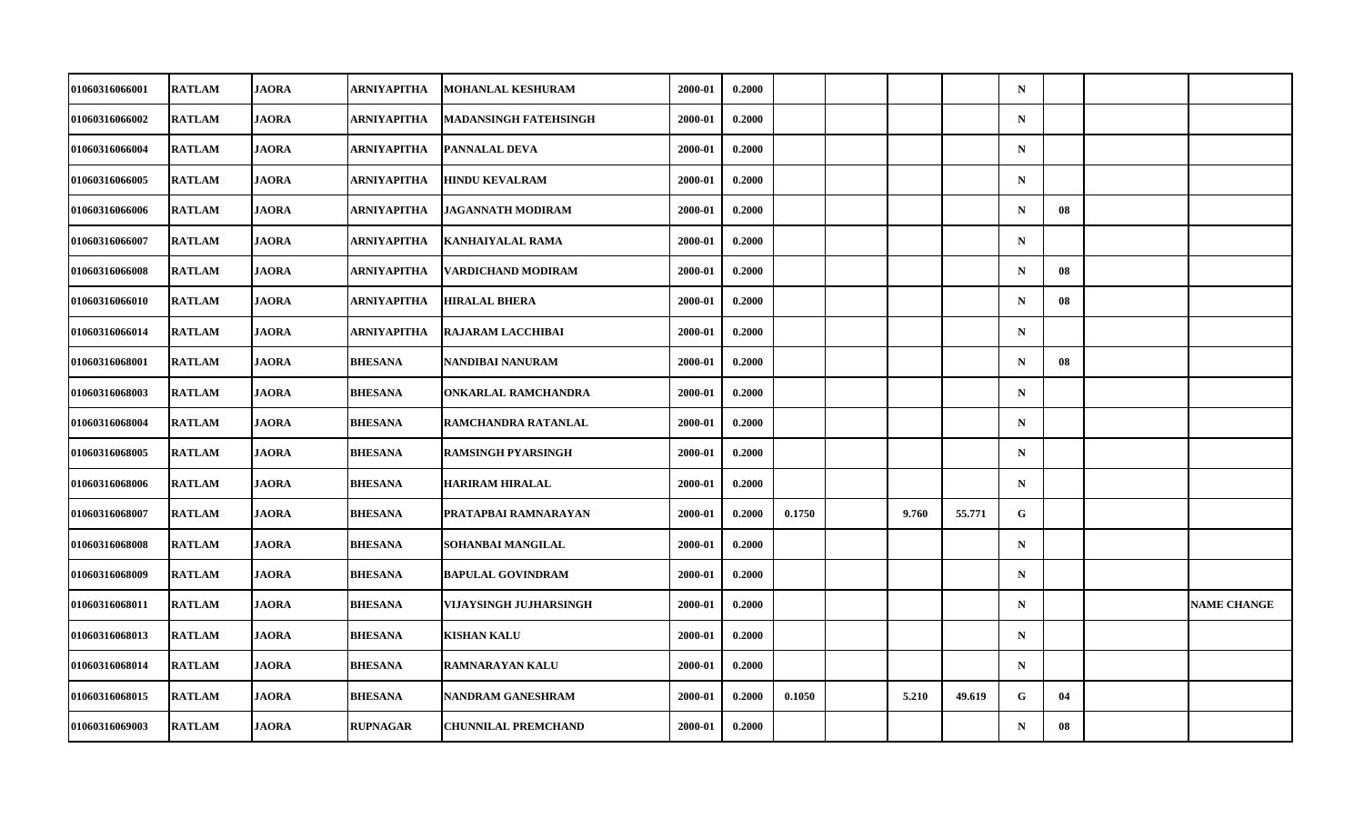| 01060316066001        | <b>RATLAM</b> | <b>JAORA</b> | ARNIYAPITHA     | MOHANLAL KESHURAM            | 2000-01 | 0.2000 |        |       |        | $\mathbf N$ |    |                    |
|-----------------------|---------------|--------------|-----------------|------------------------------|---------|--------|--------|-------|--------|-------------|----|--------------------|
| 01060316066002        | <b>RATLAM</b> | <b>JAORA</b> | ARNIYAPITHA     | <b>MADANSINGH FATEHSINGH</b> | 2000-01 | 0.2000 |        |       |        | $\mathbf N$ |    |                    |
| 01060316066004        | <b>RATLAM</b> | <b>JAORA</b> | ARNIYAPITHA     | PANNALAL DEVA                | 2000-01 | 0.2000 |        |       |        | $\mathbf N$ |    |                    |
| 01060316066005        | <b>RATLAM</b> | <b>JAORA</b> | ARNIYAPITHA     | <b>HINDU KEVALRAM</b>        | 2000-01 | 0.2000 |        |       |        | $\mathbf N$ |    |                    |
| 01060316066006        | <b>RATLAM</b> | <b>JAORA</b> | ARNIYAPITHA     | <b>JAGANNATH MODIRAM</b>     | 2000-01 | 0.2000 |        |       |        | $\mathbf N$ | 08 |                    |
| 01060316066007        | <b>RATLAM</b> | <b>JAORA</b> | ARNIYAPITHA     | <b>KANHAIYALAL RAMA</b>      | 2000-01 | 0.2000 |        |       |        | $\mathbf N$ |    |                    |
| 01060316066008        | <b>RATLAM</b> | <b>JAORA</b> | ARNIYAPITHA     | VARDICHAND MODIRAM           | 2000-01 | 0.2000 |        |       |        | $\mathbf N$ | 08 |                    |
| <b>01060316066010</b> | <b>RATLAM</b> | <b>JAORA</b> | ARNIYAPITHA     | <b>HIRALAL BHERA</b>         | 2000-01 | 0.2000 |        |       |        | $\mathbf N$ | 08 |                    |
| 01060316066014        | <b>RATLAM</b> | <b>JAORA</b> | ARNIYAPITHA     | <b>RAJARAM LACCHIBAI</b>     | 2000-01 | 0.2000 |        |       |        | $\mathbf N$ |    |                    |
| 01060316068001        | <b>RATLAM</b> | <b>JAORA</b> | <b>BHESANA</b>  | NANDIBAI NANURAM             | 2000-01 | 0.2000 |        |       |        | $\mathbf N$ | 08 |                    |
| <b>01060316068003</b> | <b>RATLAM</b> | <b>JAORA</b> | <b>BHESANA</b>  | <b>ONKARLAL RAMCHANDRA</b>   | 2000-01 | 0.2000 |        |       |        | $\mathbf N$ |    |                    |
| 01060316068004        | <b>RATLAM</b> | <b>JAORA</b> | <b>BHESANA</b>  | RAMCHANDRA RATANLAL          | 2000-01 | 0.2000 |        |       |        | $\mathbf N$ |    |                    |
| 01060316068005        | <b>RATLAM</b> | <b>JAORA</b> | <b>BHESANA</b>  | <b>RAMSINGH PYARSINGH</b>    | 2000-01 | 0.2000 |        |       |        | $\mathbf N$ |    |                    |
| 01060316068006        | <b>RATLAM</b> | <b>JAORA</b> | <b>BHESANA</b>  | <b>HARIRAM HIRALAL</b>       | 2000-01 | 0.2000 |        |       |        | $\mathbf N$ |    |                    |
| 01060316068007        | <b>RATLAM</b> | <b>JAORA</b> | <b>BHESANA</b>  | PRATAPBAI RAMNARAYAN         | 2000-01 | 0.2000 | 0.1750 | 9.760 | 55.771 | $\mathbf G$ |    |                    |
| 01060316068008        | <b>RATLAM</b> | <b>JAORA</b> | <b>BHESANA</b>  | SOHANBAI MANGILAL            | 2000-01 | 0.2000 |        |       |        | $\mathbf N$ |    |                    |
| 01060316068009        | <b>RATLAM</b> | <b>JAORA</b> | <b>BHESANA</b>  | <b>BAPULAL GOVINDRAM</b>     | 2000-01 | 0.2000 |        |       |        | $\mathbf N$ |    |                    |
| 01060316068011        | <b>RATLAM</b> | <b>JAORA</b> | <b>BHESANA</b>  | VIJAYSINGH JUJHARSINGH       | 2000-01 | 0.2000 |        |       |        | $\mathbf N$ |    | <b>NAME CHANGE</b> |
| 01060316068013        | <b>RATLAM</b> | <b>JAORA</b> | <b>BHESANA</b>  | <b>KISHAN KALU</b>           | 2000-01 | 0.2000 |        |       |        | $\mathbf N$ |    |                    |
| 01060316068014        | <b>RATLAM</b> | <b>JAORA</b> | <b>BHESANA</b>  | <b>RAMNARAYAN KALU</b>       | 2000-01 | 0.2000 |        |       |        | $\mathbf N$ |    |                    |
| 01060316068015        | <b>RATLAM</b> | <b>JAORA</b> | <b>BHESANA</b>  | NANDRAM GANESHRAM            | 2000-01 | 0.2000 | 0.1050 | 5.210 | 49.619 | G           | 04 |                    |
| 01060316069003        | <b>RATLAM</b> | <b>JAORA</b> | <b>RUPNAGAR</b> | <b>CHUNNILAL PREMCHAND</b>   | 2000-01 | 0.2000 |        |       |        | $\mathbf N$ | 08 |                    |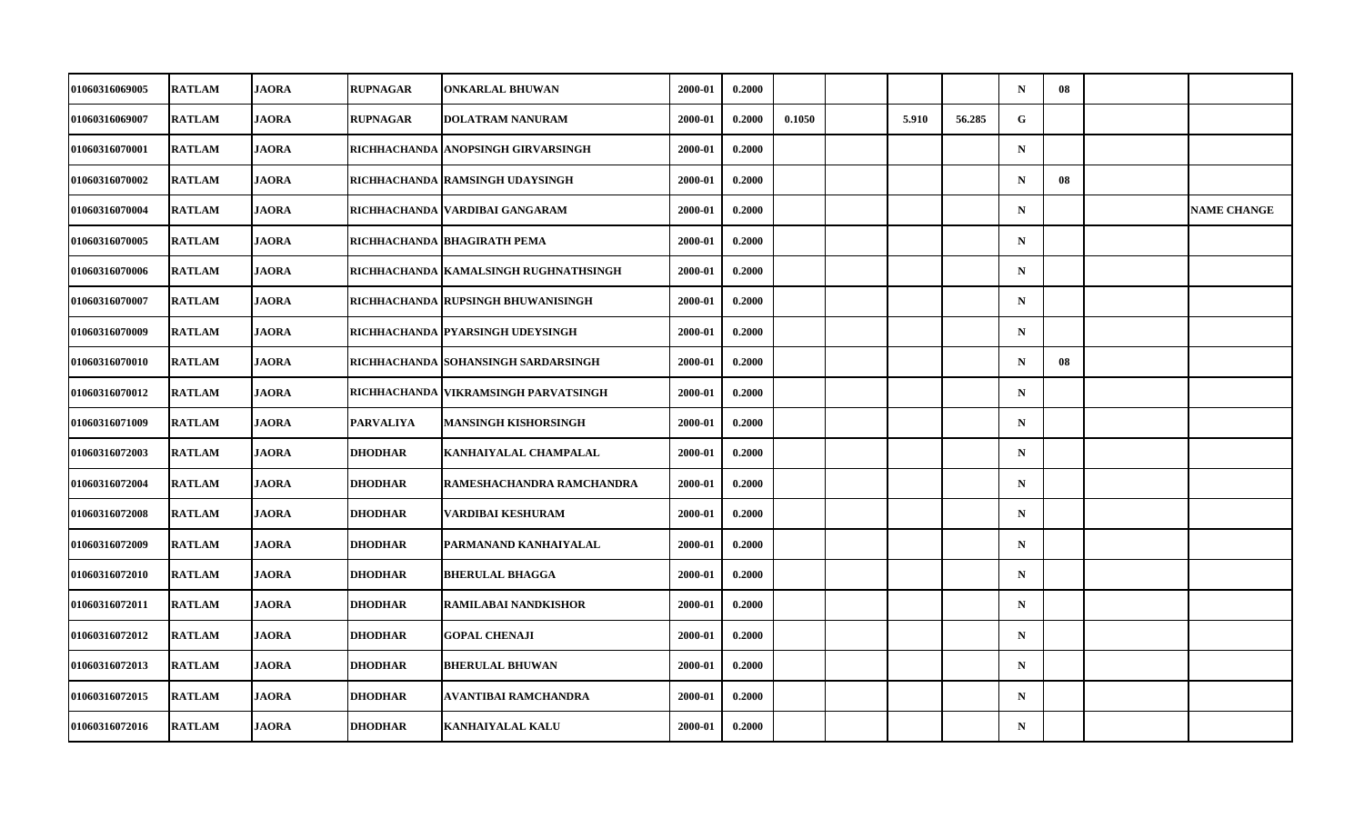| 01060316069005        | <b>RATLAM</b> | <b>JAORA</b> | <b>RUPNAGAR</b>  | <b>ONKARLAL BHUWAN</b>                 | 2000-01 | 0.2000 |        |       |        | $\mathbf N$ | 08 |                    |
|-----------------------|---------------|--------------|------------------|----------------------------------------|---------|--------|--------|-------|--------|-------------|----|--------------------|
|                       |               |              |                  |                                        |         |        |        |       |        |             |    |                    |
| 01060316069007        | <b>RATLAM</b> | <b>JAORA</b> | <b>RUPNAGAR</b>  | <b>DOLATRAM NANURAM</b>                | 2000-01 | 0.2000 | 0.1050 | 5.910 | 56.285 | G           |    |                    |
| 01060316070001        | <b>RATLAM</b> | <b>JAORA</b> |                  | RICHHACHANDA ANOPSINGH GIRVARSINGH     | 2000-01 | 0.2000 |        |       |        | $\mathbf N$ |    |                    |
| <b>01060316070002</b> | <b>RATLAM</b> | <b>JAORA</b> |                  | RICHHACHANDA RAMSINGH UDAYSINGH        | 2000-01 | 0.2000 |        |       |        | $\mathbf N$ | 08 |                    |
| <b>01060316070004</b> | <b>RATLAM</b> | <b>JAORA</b> |                  | RICHHACHANDA   VARDIBAI GANGARAM       | 2000-01 | 0.2000 |        |       |        | $\mathbf N$ |    | <b>NAME CHANGE</b> |
| 01060316070005        | <b>RATLAM</b> | <b>JAORA</b> |                  | RICHHACHANDA BHAGIRATH PEMA            | 2000-01 | 0.2000 |        |       |        | $\mathbf N$ |    |                    |
| 01060316070006        | <b>RATLAM</b> | <b>JAORA</b> |                  | RICHHACHANDA KAMALSINGH RUGHNATHSINGH  | 2000-01 | 0.2000 |        |       |        | $\mathbf N$ |    |                    |
| 01060316070007        | <b>RATLAM</b> | <b>JAORA</b> |                  | RICHHACHANDA   RUPSINGH BHUWANISINGH   | 2000-01 | 0.2000 |        |       |        | $\mathbf N$ |    |                    |
| 01060316070009        | <b>RATLAM</b> | <b>JAORA</b> |                  | RICHHACHANDA PYARSINGH UDEYSINGH       | 2000-01 | 0.2000 |        |       |        | $\mathbf N$ |    |                    |
| 01060316070010        | <b>RATLAM</b> | <b>JAORA</b> |                  | RICHHACHANDA SOHANSINGH SARDARSINGH    | 2000-01 | 0.2000 |        |       |        | $\mathbf N$ | 08 |                    |
| <b>01060316070012</b> | <b>RATLAM</b> | <b>JAORA</b> |                  | RICHHACHANDA   VIKRAMSINGH PARVATSINGH | 2000-01 | 0.2000 |        |       |        | $\mathbf N$ |    |                    |
| 01060316071009        | <b>RATLAM</b> | <b>JAORA</b> | <b>PARVALIYA</b> | MANSINGH KISHORSINGH                   | 2000-01 | 0.2000 |        |       |        | $\mathbf N$ |    |                    |
| 01060316072003        | <b>RATLAM</b> | <b>JAORA</b> | <b>DHODHAR</b>   | KANHAIYALAL CHAMPALAL                  | 2000-01 | 0.2000 |        |       |        | ${\bf N}$   |    |                    |
| 01060316072004        | <b>RATLAM</b> | <b>JAORA</b> | <b>DHODHAR</b>   | RAMESHACHANDRA RAMCHANDRA              | 2000-01 | 0.2000 |        |       |        | $\mathbf N$ |    |                    |
| 01060316072008        | <b>RATLAM</b> | <b>JAORA</b> | <b>DHODHAR</b>   | VARDIBAI KESHURAM                      | 2000-01 | 0.2000 |        |       |        | $\mathbf N$ |    |                    |
| <b>01060316072009</b> | <b>RATLAM</b> | <b>JAORA</b> | <b>DHODHAR</b>   | PARMANAND KANHAIYALAL                  | 2000-01 | 0.2000 |        |       |        | $\mathbf N$ |    |                    |
| <b>01060316072010</b> | <b>RATLAM</b> | <b>JAORA</b> | <b>DHODHAR</b>   | <b>BHERULAL BHAGGA</b>                 | 2000-01 | 0.2000 |        |       |        | $\mathbf N$ |    |                    |
| 01060316072011        | <b>RATLAM</b> | <b>JAORA</b> | <b>DHODHAR</b>   | RAMILABAI NANDKISHOR                   | 2000-01 | 0.2000 |        |       |        | $\mathbf N$ |    |                    |
| <b>01060316072012</b> | <b>RATLAM</b> | <b>JAORA</b> | <b>DHODHAR</b>   | <b>GOPAL CHENAJI</b>                   | 2000-01 | 0.2000 |        |       |        | $\mathbf N$ |    |                    |
| 01060316072013        | <b>RATLAM</b> | <b>JAORA</b> | <b>DHODHAR</b>   | <b>BHERULAL BHUWAN</b>                 | 2000-01 | 0.2000 |        |       |        | $\mathbf N$ |    |                    |
| 01060316072015        | <b>RATLAM</b> | <b>JAORA</b> | <b>DHODHAR</b>   | AVANTIBAI RAMCHANDRA                   | 2000-01 | 0.2000 |        |       |        | $\mathbf N$ |    |                    |
| 01060316072016        | <b>RATLAM</b> | <b>JAORA</b> | <b>DHODHAR</b>   | <b>KANHAIYALAL KALU</b>                | 2000-01 | 0.2000 |        |       |        | $\mathbf N$ |    |                    |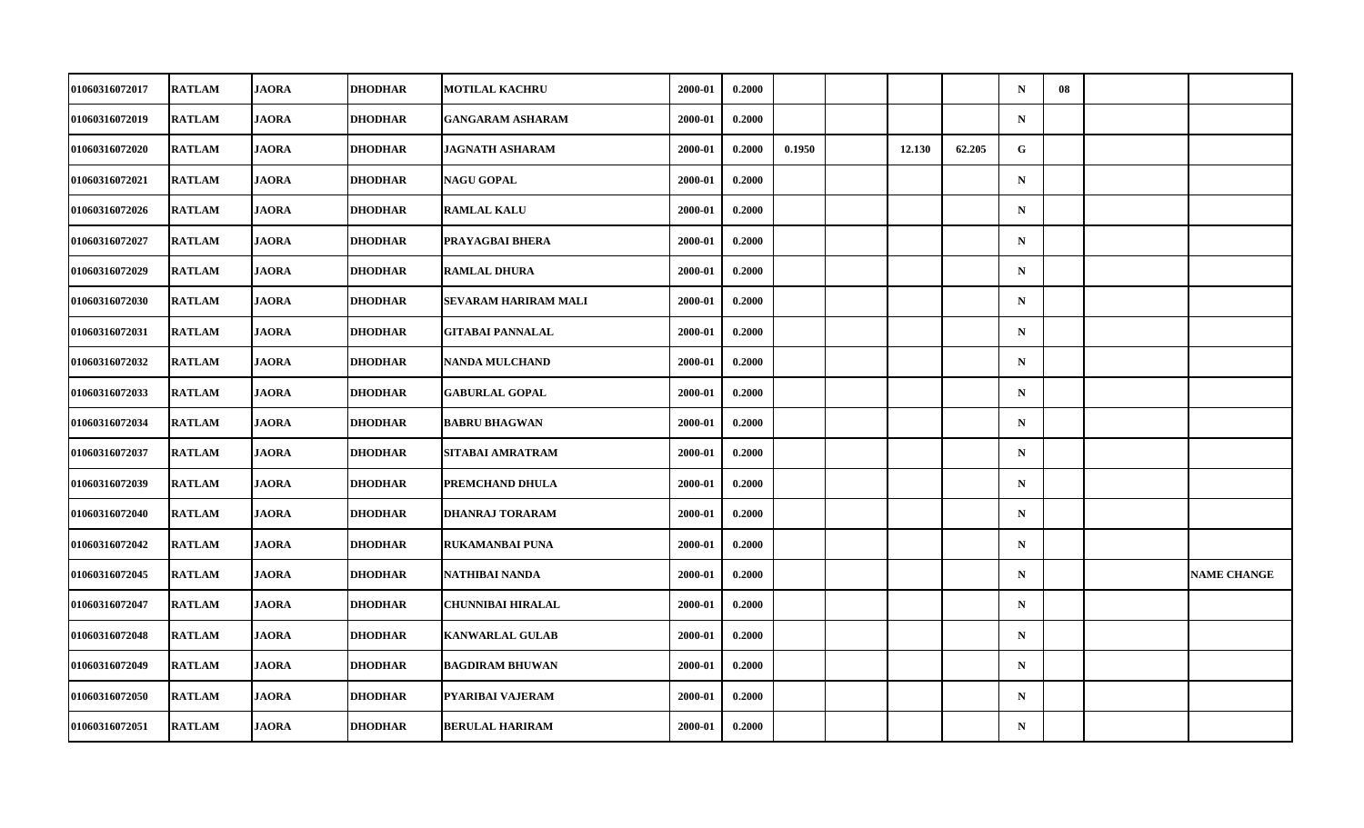| <b>01060316072017</b> | <b>RATLAM</b> | <b>JAORA</b> | <b>DHODHAR</b> | <b>MOTILAL KACHRU</b>    | 2000-01 | 0.2000 |        |        |        | $\mathbf N$ | 08 |                    |
|-----------------------|---------------|--------------|----------------|--------------------------|---------|--------|--------|--------|--------|-------------|----|--------------------|
| <b>01060316072019</b> | <b>RATLAM</b> | <b>JAORA</b> | <b>DHODHAR</b> | <b>GANGARAM ASHARAM</b>  | 2000-01 | 0.2000 |        |        |        | $\mathbf N$ |    |                    |
| 01060316072020        | <b>RATLAM</b> | <b>JAORA</b> | <b>DHODHAR</b> | <b>JAGNATH ASHARAM</b>   | 2000-01 | 0.2000 | 0.1950 | 12.130 | 62.205 | G           |    |                    |
| 01060316072021        | <b>RATLAM</b> | <b>JAORA</b> | <b>DHODHAR</b> | <b>NAGU GOPAL</b>        | 2000-01 | 0.2000 |        |        |        | $\mathbf N$ |    |                    |
| 01060316072026        | <b>RATLAM</b> | <b>JAORA</b> | DHODHAR        | <b>RAMLAL KALU</b>       | 2000-01 | 0.2000 |        |        |        | $\mathbf N$ |    |                    |
| 01060316072027        | <b>RATLAM</b> | <b>JAORA</b> | <b>DHODHAR</b> | PRAYAGBAI BHERA          | 2000-01 | 0.2000 |        |        |        | ${\bf N}$   |    |                    |
| 01060316072029        | <b>RATLAM</b> | <b>JAORA</b> | <b>DHODHAR</b> | <b>RAMLAL DHURA</b>      | 2000-01 | 0.2000 |        |        |        | $\mathbf N$ |    |                    |
| 01060316072030        | <b>RATLAM</b> | <b>JAORA</b> | DHODHAR        | SEVARAM HARIRAM MALI     | 2000-01 | 0.2000 |        |        |        | $\mathbf N$ |    |                    |
| 01060316072031        | <b>RATLAM</b> | <b>JAORA</b> | <b>DHODHAR</b> | <b>GITABAI PANNALAL</b>  | 2000-01 | 0.2000 |        |        |        | $\mathbf N$ |    |                    |
| 01060316072032        | <b>RATLAM</b> | <b>JAORA</b> | <b>DHODHAR</b> | <b>NANDA MULCHAND</b>    | 2000-01 | 0.2000 |        |        |        | $\mathbf N$ |    |                    |
| 01060316072033        | <b>RATLAM</b> | <b>JAORA</b> | <b>DHODHAR</b> | <b>GABURLAL GOPAL</b>    | 2000-01 | 0.2000 |        |        |        | $\mathbf N$ |    |                    |
| 01060316072034        | <b>RATLAM</b> | <b>JAORA</b> | <b>DHODHAR</b> | <b>BABRU BHAGWAN</b>     | 2000-01 | 0.2000 |        |        |        | $\mathbf N$ |    |                    |
| 01060316072037        | <b>RATLAM</b> | <b>JAORA</b> | <b>DHODHAR</b> | SITABAI AMRATRAM         | 2000-01 | 0.2000 |        |        |        | ${\bf N}$   |    |                    |
| 01060316072039        | <b>RATLAM</b> | <b>JAORA</b> | <b>DHODHAR</b> | PREMCHAND DHULA          | 2000-01 | 0.2000 |        |        |        | $\mathbf N$ |    |                    |
| 01060316072040        | <b>RATLAM</b> | <b>JAORA</b> | <b>DHODHAR</b> | <b>DHANRAJ TORARAM</b>   | 2000-01 | 0.2000 |        |        |        | $\mathbf N$ |    |                    |
| 01060316072042        | <b>RATLAM</b> | <b>JAORA</b> | <b>DHODHAR</b> | <b>RUKAMANBAI PUNA</b>   | 2000-01 | 0.2000 |        |        |        | $\mathbf N$ |    |                    |
| <b>01060316072045</b> | <b>RATLAM</b> | <b>JAORA</b> | <b>DHODHAR</b> | NATHIBAI NANDA           | 2000-01 | 0.2000 |        |        |        | $\mathbf N$ |    | <b>NAME CHANGE</b> |
| 01060316072047        | <b>RATLAM</b> | <b>JAORA</b> | <b>DHODHAR</b> | <b>CHUNNIBAI HIRALAL</b> | 2000-01 | 0.2000 |        |        |        | $\mathbf N$ |    |                    |
| 01060316072048        | <b>RATLAM</b> | <b>JAORA</b> | <b>DHODHAR</b> | <b>KANWARLAL GULAB</b>   | 2000-01 | 0.2000 |        |        |        | $\mathbf N$ |    |                    |
| 01060316072049        | <b>RATLAM</b> | <b>JAORA</b> | <b>DHODHAR</b> | <b>BAGDIRAM BHUWAN</b>   | 2000-01 | 0.2000 |        |        |        | $\mathbf N$ |    |                    |
| 01060316072050        | <b>RATLAM</b> | <b>JAORA</b> | <b>DHODHAR</b> | PYARIBAI VAJERAM         | 2000-01 | 0.2000 |        |        |        | $\mathbf N$ |    |                    |
| 01060316072051        | <b>RATLAM</b> | <b>JAORA</b> | <b>DHODHAR</b> | <b>BERULAL HARIRAM</b>   | 2000-01 | 0.2000 |        |        |        | ${\bf N}$   |    |                    |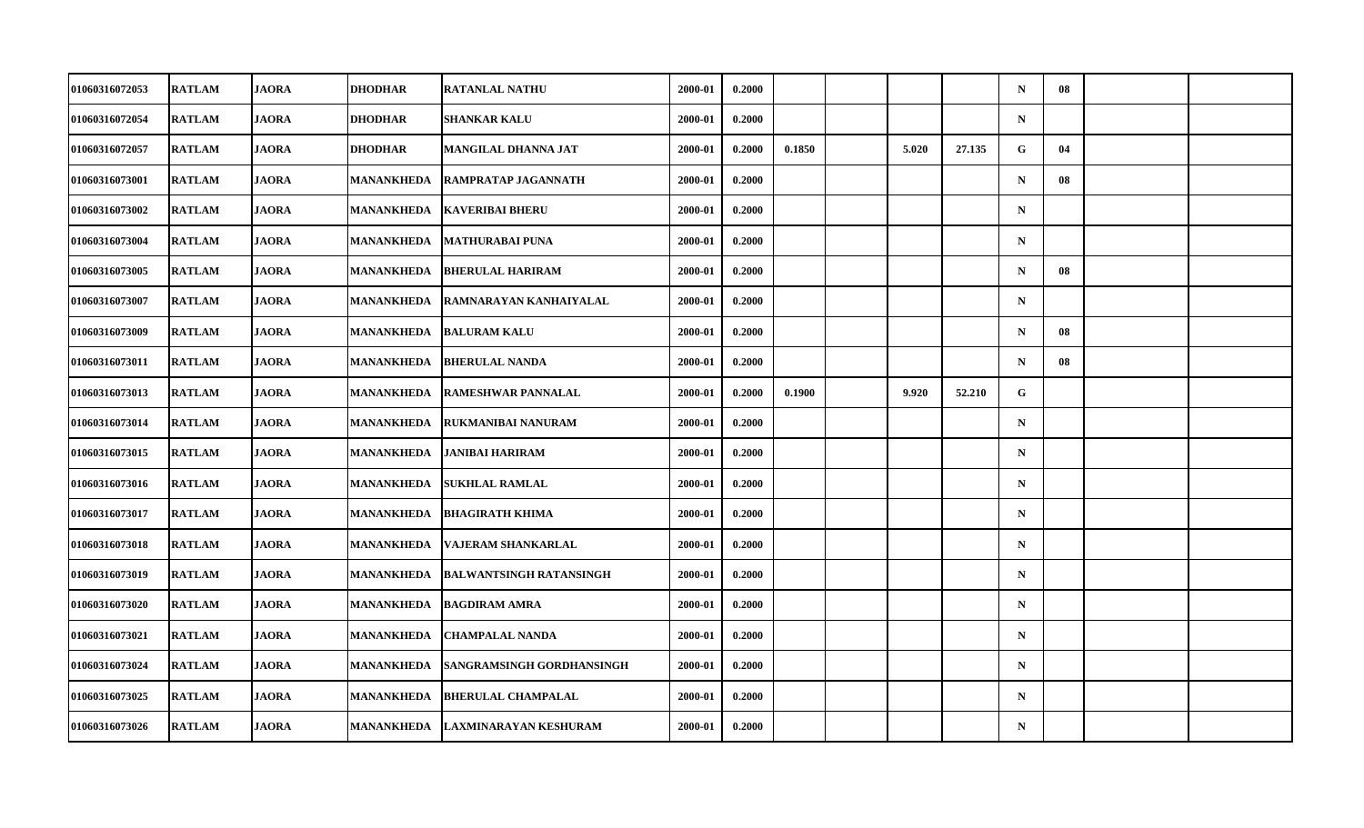| 01060316072053        | <b>RATLAM</b> | <b>JAORA</b> | <b>DHODHAR</b>    | <b>RATANLAL NATHU</b>          | 2000-01 | 0.2000 |        |       |        | $\mathbf N$ | 08 |  |
|-----------------------|---------------|--------------|-------------------|--------------------------------|---------|--------|--------|-------|--------|-------------|----|--|
| 01060316072054        | <b>RATLAM</b> | <b>JAORA</b> | <b>DHODHAR</b>    | SHANKAR KALU                   | 2000-01 | 0.2000 |        |       |        | $\mathbf N$ |    |  |
| 01060316072057        | <b>RATLAM</b> | <b>JAORA</b> | <b>DHODHAR</b>    | MANGILAL DHANNA JAT            | 2000-01 | 0.2000 | 0.1850 | 5.020 | 27.135 | G           | 04 |  |
| 01060316073001        | <b>RATLAM</b> | <b>JAORA</b> | MANANKHEDA        | RAMPRATAP JAGANNATH            | 2000-01 | 0.2000 |        |       |        | $\mathbf N$ | 08 |  |
| 01060316073002        | <b>RATLAM</b> | <b>JAORA</b> | MANANKHEDA        | <b>KAVERIBAI BHERU</b>         | 2000-01 | 0.2000 |        |       |        | $\mathbf N$ |    |  |
| 01060316073004        | <b>RATLAM</b> | <b>JAORA</b> | <b>MANANKHEDA</b> | <b>MATHURABAI PUNA</b>         | 2000-01 | 0.2000 |        |       |        | $\mathbf N$ |    |  |
| 01060316073005        | <b>RATLAM</b> | <b>JAORA</b> | <b>MANANKHEDA</b> | <b>BHERULAL HARIRAM</b>        | 2000-01 | 0.2000 |        |       |        | $\mathbf N$ | 08 |  |
| 01060316073007        | <b>RATLAM</b> | <b>JAORA</b> | MANANKHEDA        | RAMNARAYAN KANHAIYALAL         | 2000-01 | 0.2000 |        |       |        | $\mathbf N$ |    |  |
| 01060316073009        | <b>RATLAM</b> | <b>JAORA</b> | <b>MANANKHEDA</b> | <b>BALURAM KALU</b>            | 2000-01 | 0.2000 |        |       |        | $\mathbf N$ | 08 |  |
| 01060316073011        | <b>RATLAM</b> | <b>JAORA</b> | <b>MANANKHEDA</b> | <b>BHERULAL NANDA</b>          | 2000-01 | 0.2000 |        |       |        | $\mathbf N$ | 08 |  |
| <b>01060316073013</b> | <b>RATLAM</b> | <b>JAORA</b> | MANANKHEDA        | <b>RAMESHWAR PANNALAL</b>      | 2000-01 | 0.2000 | 0.1900 | 9.920 | 52.210 | G           |    |  |
| 01060316073014        | <b>RATLAM</b> | <b>JAORA</b> | MANANKHEDA        | <b>RUKMANIBAI NANURAM</b>      | 2000-01 | 0.2000 |        |       |        | $\mathbf N$ |    |  |
| 01060316073015        | <b>RATLAM</b> | <b>JAORA</b> | <b>MANANKHEDA</b> | <b>JANIBAI HARIRAM</b>         | 2000-01 | 0.2000 |        |       |        | ${\bf N}$   |    |  |
| 01060316073016        | <b>RATLAM</b> | <b>JAORA</b> | MANANKHEDA        | <b>SUKHLAL RAMLAL</b>          | 2000-01 | 0.2000 |        |       |        | $\mathbf N$ |    |  |
| 01060316073017        | <b>RATLAM</b> | <b>JAORA</b> | MANANKHEDA        | <b>BHAGIRATH KHIMA</b>         | 2000-01 | 0.2000 |        |       |        | $\mathbf N$ |    |  |
| 01060316073018        | <b>RATLAM</b> | <b>JAORA</b> | <b>MANANKHEDA</b> | VAJERAM SHANKARLAL             | 2000-01 | 0.2000 |        |       |        | $\mathbf N$ |    |  |
| <b>01060316073019</b> | <b>RATLAM</b> | <b>JAORA</b> | MANANKHEDA        | <b>BALWANTSINGH RATANSINGH</b> | 2000-01 | 0.2000 |        |       |        | $\mathbf N$ |    |  |
| 01060316073020        | <b>RATLAM</b> | <b>JAORA</b> | <b>MANANKHEDA</b> | <b>BAGDIRAM AMRA</b>           | 2000-01 | 0.2000 |        |       |        | $\mathbf N$ |    |  |
| 01060316073021        | <b>RATLAM</b> | <b>JAORA</b> | <b>MANANKHEDA</b> | <b>CHAMPALAL NANDA</b>         | 2000-01 | 0.2000 |        |       |        | $\mathbf N$ |    |  |
| 01060316073024        | <b>RATLAM</b> | <b>JAORA</b> | MANANKHEDA        | SANGRAMSINGH GORDHANSINGH      | 2000-01 | 0.2000 |        |       |        | $\mathbf N$ |    |  |
| 01060316073025        | <b>RATLAM</b> | <b>JAORA</b> | MANANKHEDA        | <b>BHERULAL CHAMPALAL</b>      | 2000-01 | 0.2000 |        |       |        | $\mathbf N$ |    |  |
| 01060316073026        | <b>RATLAM</b> | <b>JAORA</b> | MANANKHEDA        | <b>LAXMINARAYAN KESHURAM</b>   | 2000-01 | 0.2000 |        |       |        | $\mathbf N$ |    |  |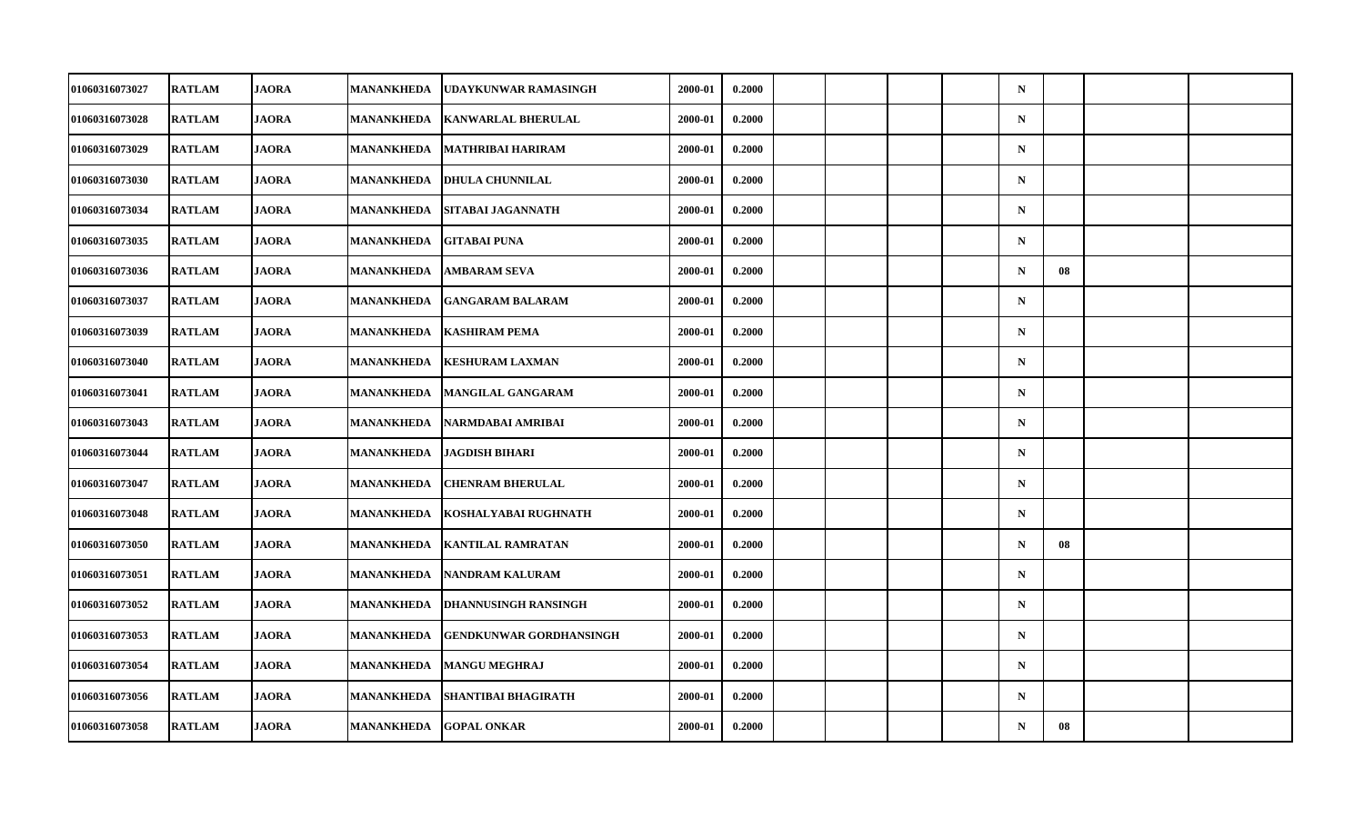| 01060316073027        | <b>RATLAM</b> | <b>JAORA</b> | <b>MANANKHEDA</b> | UDAYKUNWAR RAMASINGH           | 2000-01 | 0.2000 |  |  | $\mathbf N$ |    |  |
|-----------------------|---------------|--------------|-------------------|--------------------------------|---------|--------|--|--|-------------|----|--|
| 01060316073028        | <b>RATLAM</b> | <b>JAORA</b> | MANANKHEDA        | <b>KANWARLAL BHERULAL</b>      | 2000-01 | 0.2000 |  |  | ${\bf N}$   |    |  |
| 01060316073029        | <b>RATLAM</b> | <b>JAORA</b> | <b>MANANKHEDA</b> | <b>MATHRIBAI HARIRAM</b>       | 2000-01 | 0.2000 |  |  | $\mathbf N$ |    |  |
| 01060316073030        | <b>RATLAM</b> | <b>JAORA</b> | MANANKHEDA        | <b>DHULA CHUNNILAL</b>         | 2000-01 | 0.2000 |  |  | $\mathbf N$ |    |  |
| 01060316073034        | <b>RATLAM</b> | <b>JAORA</b> | MANANKHEDA        | SITABAI JAGANNATH              | 2000-01 | 0.2000 |  |  | $\mathbf N$ |    |  |
| 01060316073035        | <b>RATLAM</b> | <b>JAORA</b> | <b>MANANKHEDA</b> | <b>GITABAI PUNA</b>            | 2000-01 | 0.2000 |  |  | $\mathbf N$ |    |  |
| 01060316073036        | <b>RATLAM</b> | <b>JAORA</b> | <b>MANANKHEDA</b> | <b>AMBARAM SEVA</b>            | 2000-01 | 0.2000 |  |  | $\mathbf N$ | 08 |  |
| 01060316073037        | <b>RATLAM</b> | <b>JAORA</b> | MANANKHEDA        | <b>GANGARAM BALARAM</b>        | 2000-01 | 0.2000 |  |  | $\mathbf N$ |    |  |
| 01060316073039        | <b>RATLAM</b> | <b>JAORA</b> | <b>MANANKHEDA</b> | <b>KASHIRAM PEMA</b>           | 2000-01 | 0.2000 |  |  | $\mathbf N$ |    |  |
| 01060316073040        | <b>RATLAM</b> | <b>JAORA</b> | <b>MANANKHEDA</b> | <b>KESHURAM LAXMAN</b>         | 2000-01 | 0.2000 |  |  | $\mathbf N$ |    |  |
| 01060316073041        | <b>RATLAM</b> | <b>JAORA</b> | MANANKHEDA        | <b>MANGILAL GANGARAM</b>       | 2000-01 | 0.2000 |  |  | $\mathbf N$ |    |  |
| 01060316073043        | <b>RATLAM</b> | <b>JAORA</b> | <b>MANANKHEDA</b> | NARMDABAI AMRIBAI              | 2000-01 | 0.2000 |  |  | $\mathbf N$ |    |  |
| 01060316073044        | <b>RATLAM</b> | <b>JAORA</b> | <b>MANANKHEDA</b> | <b>JAGDISH BIHARI</b>          | 2000-01 | 0.2000 |  |  | ${\bf N}$   |    |  |
| 01060316073047        | <b>RATLAM</b> | <b>JAORA</b> | MANANKHEDA        | <b>CHENRAM BHERULAL</b>        | 2000-01 | 0.2000 |  |  | $\mathbf N$ |    |  |
| 01060316073048        | <b>RATLAM</b> | <b>JAORA</b> | MANANKHEDA        | KOSHALYABAI RUGHNATH           | 2000-01 | 0.2000 |  |  | $\mathbf N$ |    |  |
| 01060316073050        | <b>RATLAM</b> | <b>JAORA</b> | <b>MANANKHEDA</b> | <b>KANTILAL RAMRATAN</b>       | 2000-01 | 0.2000 |  |  | $\mathbf N$ | 08 |  |
| <b>01060316073051</b> | <b>RATLAM</b> | <b>JAORA</b> | MANANKHEDA        | <b>NANDRAM KALURAM</b>         | 2000-01 | 0.2000 |  |  | $\mathbf N$ |    |  |
| 01060316073052        | <b>RATLAM</b> | <b>JAORA</b> | <b>MANANKHEDA</b> | <b>DHANNUSINGH RANSINGH</b>    | 2000-01 | 0.2000 |  |  | $\mathbf N$ |    |  |
| 01060316073053        | <b>RATLAM</b> | <b>JAORA</b> | <b>MANANKHEDA</b> | <b>GENDKUNWAR GORDHANSINGH</b> | 2000-01 | 0.2000 |  |  | $\mathbf N$ |    |  |
| 01060316073054        | <b>RATLAM</b> | <b>JAORA</b> | <b>MANANKHEDA</b> | <b>MANGU MEGHRAJ</b>           | 2000-01 | 0.2000 |  |  | $\mathbf N$ |    |  |
| 01060316073056        | <b>RATLAM</b> | <b>JAORA</b> | MANANKHEDA        | <b>SHANTIBAI BHAGIRATH</b>     | 2000-01 | 0.2000 |  |  | $\mathbf N$ |    |  |
| 01060316073058        | <b>RATLAM</b> | <b>JAORA</b> | <b>MANANKHEDA</b> | <b>GOPAL ONKAR</b>             | 2000-01 | 0.2000 |  |  | $\mathbf N$ | 08 |  |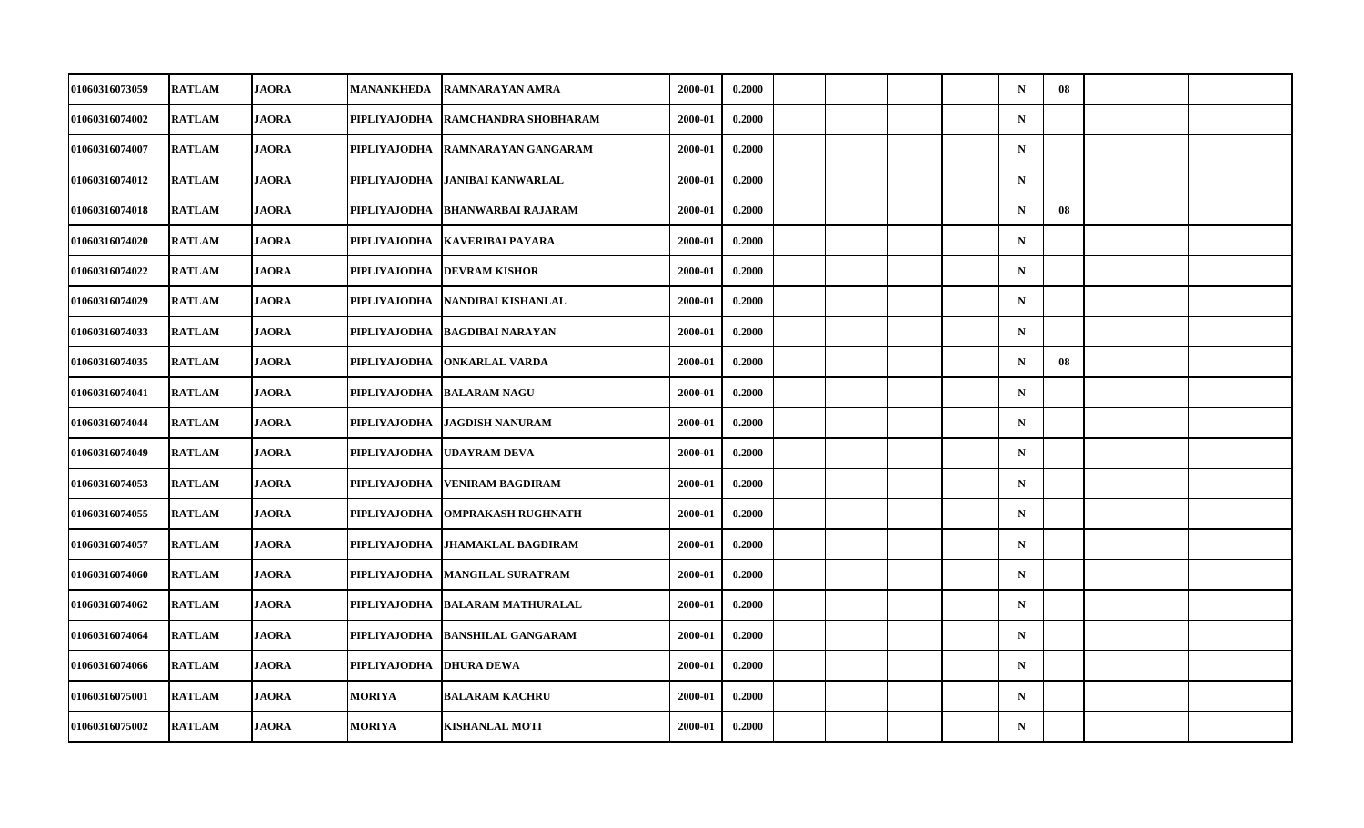| 01060316073059        | <b>RATLAM</b> | <b>JAORA</b> | MANANKHEDA          | <b>RAMNARAYAN AMRA</b>      | 2000-01 | 0.2000 |  |  | $\mathbf N$ | 08 |  |
|-----------------------|---------------|--------------|---------------------|-----------------------------|---------|--------|--|--|-------------|----|--|
| 01060316074002        | <b>RATLAM</b> | <b>JAORA</b> | PIPLIYAJODHA        | <b>RAMCHANDRA SHOBHARAM</b> | 2000-01 | 0.2000 |  |  | $\mathbf N$ |    |  |
| 01060316074007        | <b>RATLAM</b> | <b>JAORA</b> | <b>PIPLIYAJODHA</b> | <b>RAMNARAYAN GANGARAM</b>  | 2000-01 | 0.2000 |  |  | $\mathbf N$ |    |  |
| 01060316074012        | <b>RATLAM</b> | <b>JAORA</b> | PIPLIYAJODHA        | <b>JANIBAI KANWARLAL</b>    | 2000-01 | 0.2000 |  |  | $\mathbf N$ |    |  |
| 01060316074018        | <b>RATLAM</b> | <b>JAORA</b> | PIPLIYAJODHA        | <b>BHANWARBAI RAJARAM</b>   | 2000-01 | 0.2000 |  |  | $\mathbf N$ | 08 |  |
| 01060316074020        | <b>RATLAM</b> | <b>JAORA</b> | PIPLIYAJODHA        | <b>KAVERIBAI PAYARA</b>     | 2000-01 | 0.2000 |  |  | $\mathbf N$ |    |  |
| 01060316074022        | <b>RATLAM</b> | <b>JAORA</b> | <b>PIPLIYAJODHA</b> | <b>DEVRAM KISHOR</b>        | 2000-01 | 0.2000 |  |  | $\mathbf N$ |    |  |
| <b>01060316074029</b> | <b>RATLAM</b> | <b>JAORA</b> | PIPLIYAJODHA        | NANDIBAI KISHANLAL          | 2000-01 | 0.2000 |  |  | $\mathbf N$ |    |  |
| 01060316074033        | <b>RATLAM</b> | <b>JAORA</b> | PIPLIYAJODHA        | <b>BAGDIBAI NARAYAN</b>     | 2000-01 | 0.2000 |  |  | $\mathbf N$ |    |  |
| 01060316074035        | <b>RATLAM</b> | <b>JAORA</b> | <b>PIPLIYAJODHA</b> | <b>ONKARLAL VARDA</b>       | 2000-01 | 0.2000 |  |  | $\mathbf N$ | 08 |  |
| <b>01060316074041</b> | <b>RATLAM</b> | <b>JAORA</b> | PIPLIYAJODHA        | <b>BALARAM NAGU</b>         | 2000-01 | 0.2000 |  |  | $\mathbf N$ |    |  |
| 01060316074044        | <b>RATLAM</b> | <b>JAORA</b> | PIPLIYAJODHA        | <b>JAGDISH NANURAM</b>      | 2000-01 | 0.2000 |  |  | $\mathbf N$ |    |  |
| 01060316074049        | <b>RATLAM</b> | <b>JAORA</b> | <b>PIPLIYAJODHA</b> | <b>UDAYRAM DEVA</b>         | 2000-01 | 0.2000 |  |  | $\mathbf N$ |    |  |
| 01060316074053        | <b>RATLAM</b> | <b>JAORA</b> | PIPLIYAJODHA        | <b>VENIRAM BAGDIRAM</b>     | 2000-01 | 0.2000 |  |  | $\mathbf N$ |    |  |
| 01060316074055        | <b>RATLAM</b> | <b>JAORA</b> | PIPLIYAJODHA        | <b>OMPRAKASH RUGHNATH</b>   | 2000-01 | 0.2000 |  |  | $\mathbf N$ |    |  |
| 01060316074057        | <b>RATLAM</b> | <b>JAORA</b> | PIPLIYAJODHA        | <b>JHAMAKLAL BAGDIRAM</b>   | 2000-01 | 0.2000 |  |  | $\mathbf N$ |    |  |
| <b>01060316074060</b> | <b>RATLAM</b> | <b>JAORA</b> | PIPLIYAJODHA        | <b>MANGILAL SURATRAM</b>    | 2000-01 | 0.2000 |  |  | $\mathbf N$ |    |  |
| 01060316074062        | <b>RATLAM</b> | <b>JAORA</b> | PIPLIYAJODHA        | <b>BALARAM MATHURALAL</b>   | 2000-01 | 0.2000 |  |  | $\mathbf N$ |    |  |
| 01060316074064        | <b>RATLAM</b> | <b>JAORA</b> | PIPLIYAJODHA        | <b>BANSHILAL GANGARAM</b>   | 2000-01 | 0.2000 |  |  | $\mathbf N$ |    |  |
| 01060316074066        | <b>RATLAM</b> | <b>JAORA</b> | PIPLIYAJODHA        | <b>DHURA DEWA</b>           | 2000-01 | 0.2000 |  |  | $\mathbf N$ |    |  |
| 01060316075001        | <b>RATLAM</b> | <b>JAORA</b> | <b>MORIYA</b>       | <b>BALARAM KACHRU</b>       | 2000-01 | 0.2000 |  |  | $\mathbf N$ |    |  |
| 01060316075002        | <b>RATLAM</b> | <b>JAORA</b> | <b>MORIYA</b>       | <b>KISHANLAL MOTI</b>       | 2000-01 | 0.2000 |  |  | ${\bf N}$   |    |  |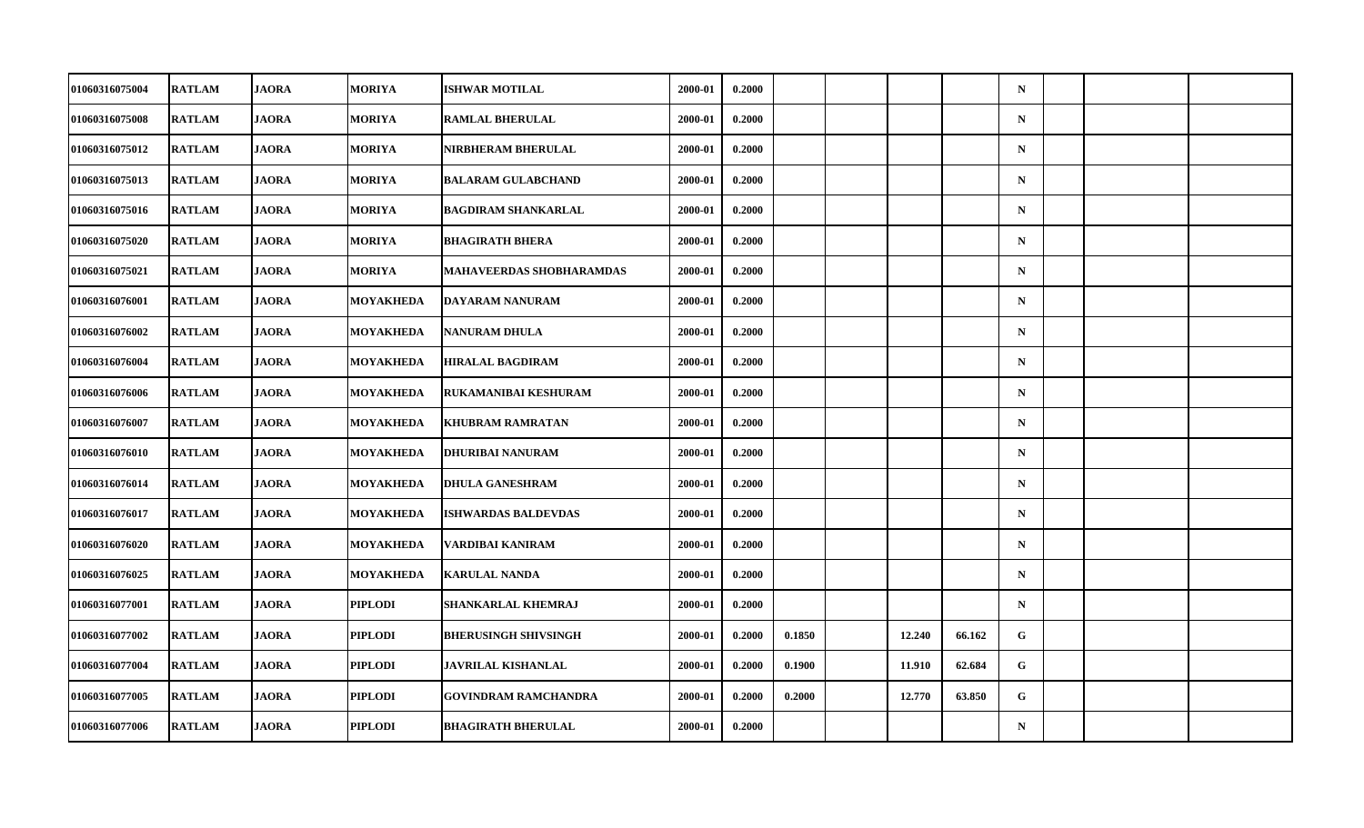| 01060316075004        | <b>RATLAM</b> | <b>JAORA</b> | MORIYA           | <b>ISHWAR MOTILAL</b>           | 2000-01 | 0.2000 |        |        |        | $\mathbf N$ |  |  |
|-----------------------|---------------|--------------|------------------|---------------------------------|---------|--------|--------|--------|--------|-------------|--|--|
| 01060316075008        | <b>RATLAM</b> | <b>JAORA</b> | <b>MORIYA</b>    | <b>RAMLAL BHERULAL</b>          | 2000-01 | 0.2000 |        |        |        | $\mathbf N$ |  |  |
| 01060316075012        | <b>RATLAM</b> | <b>JAORA</b> | <b>MORIYA</b>    | <b>NIRBHERAM BHERULAL</b>       | 2000-01 | 0.2000 |        |        |        | $\mathbf N$ |  |  |
| 01060316075013        | <b>RATLAM</b> | <b>JAORA</b> | <b>MORIYA</b>    | <b>BALARAM GULABCHAND</b>       | 2000-01 | 0.2000 |        |        |        | $\mathbf N$ |  |  |
| 01060316075016        | <b>RATLAM</b> | <b>JAORA</b> | <b>MORIYA</b>    | <b>BAGDIRAM SHANKARLAL</b>      | 2000-01 | 0.2000 |        |        |        | $\mathbf N$ |  |  |
| 01060316075020        | <b>RATLAM</b> | <b>JAORA</b> | <b>MORIYA</b>    | <b>BHAGIRATH BHERA</b>          | 2000-01 | 0.2000 |        |        |        | $\mathbf N$ |  |  |
| 01060316075021        | <b>RATLAM</b> | <b>JAORA</b> | <b>MORIYA</b>    | <b>MAHAVEERDAS SHOBHARAMDAS</b> | 2000-01 | 0.2000 |        |        |        | ${\bf N}$   |  |  |
| 01060316076001        | <b>RATLAM</b> | <b>JAORA</b> | MOYAKHEDA        | DAYARAM NANURAM                 | 2000-01 | 0.2000 |        |        |        | $\mathbf N$ |  |  |
| 01060316076002        | <b>RATLAM</b> | <b>JAORA</b> | MOYAKHEDA        | <b>NANURAM DHULA</b>            | 2000-01 | 0.2000 |        |        |        | $\mathbf N$ |  |  |
| 01060316076004        | <b>RATLAM</b> | <b>JAORA</b> | MOYAKHEDA        | <b>HIRALAL BAGDIRAM</b>         | 2000-01 | 0.2000 |        |        |        | $\mathbf N$ |  |  |
| 01060316076006        | <b>RATLAM</b> | <b>JAORA</b> | MOYAKHEDA        | RUKAMANIBAI KESHURAM            | 2000-01 | 0.2000 |        |        |        | $\mathbf N$ |  |  |
| 01060316076007        | <b>RATLAM</b> | <b>JAORA</b> | <b>MOYAKHEDA</b> | <b>KHUBRAM RAMRATAN</b>         | 2000-01 | 0.2000 |        |        |        | $\mathbf N$ |  |  |
| 01060316076010        | <b>RATLAM</b> | <b>JAORA</b> | <b>MOYAKHEDA</b> | <b>DHURIBAI NANURAM</b>         | 2000-01 | 0.2000 |        |        |        | $\mathbf N$ |  |  |
| 01060316076014        | <b>RATLAM</b> | <b>JAORA</b> | MOYAKHEDA        | <b>DHULA GANESHRAM</b>          | 2000-01 | 0.2000 |        |        |        | $\mathbf N$ |  |  |
| 01060316076017        | <b>RATLAM</b> | <b>JAORA</b> | MOYAKHEDA        | <b>ISHWARDAS BALDEVDAS</b>      | 2000-01 | 0.2000 |        |        |        | $\mathbf N$ |  |  |
| 01060316076020        | <b>RATLAM</b> | <b>JAORA</b> | MOYAKHEDA        | VARDIBAI KANIRAM                | 2000-01 | 0.2000 |        |        |        | $\mathbf N$ |  |  |
| 01060316076025        | <b>RATLAM</b> | <b>JAORA</b> | MOYAKHEDA        | <b>KARULAL NANDA</b>            | 2000-01 | 0.2000 |        |        |        | $\mathbf N$ |  |  |
| 01060316077001        | <b>RATLAM</b> | <b>JAORA</b> | PIPLODI          | SHANKARLAL KHEMRAJ              | 2000-01 | 0.2000 |        |        |        | $\mathbf N$ |  |  |
| <b>01060316077002</b> | <b>RATLAM</b> | <b>JAORA</b> | PIPLODI          | <b>BHERUSINGH SHIVSINGH</b>     | 2000-01 | 0.2000 | 0.1850 | 12.240 | 66.162 | G           |  |  |
| 01060316077004        | <b>RATLAM</b> | <b>JAORA</b> | PIPLODI          | JAVRILAL KISHANLAL              | 2000-01 | 0.2000 | 0.1900 | 11.910 | 62.684 | G           |  |  |
| 01060316077005        | <b>RATLAM</b> | <b>JAORA</b> | <b>PIPLODI</b>   | <b>GOVINDRAM RAMCHANDRA</b>     | 2000-01 | 0.2000 | 0.2000 | 12.770 | 63.850 | G           |  |  |
| 01060316077006        | <b>RATLAM</b> | <b>JAORA</b> | PIPLODI          | <b>BHAGIRATH BHERULAL</b>       | 2000-01 | 0.2000 |        |        |        | $\mathbf N$ |  |  |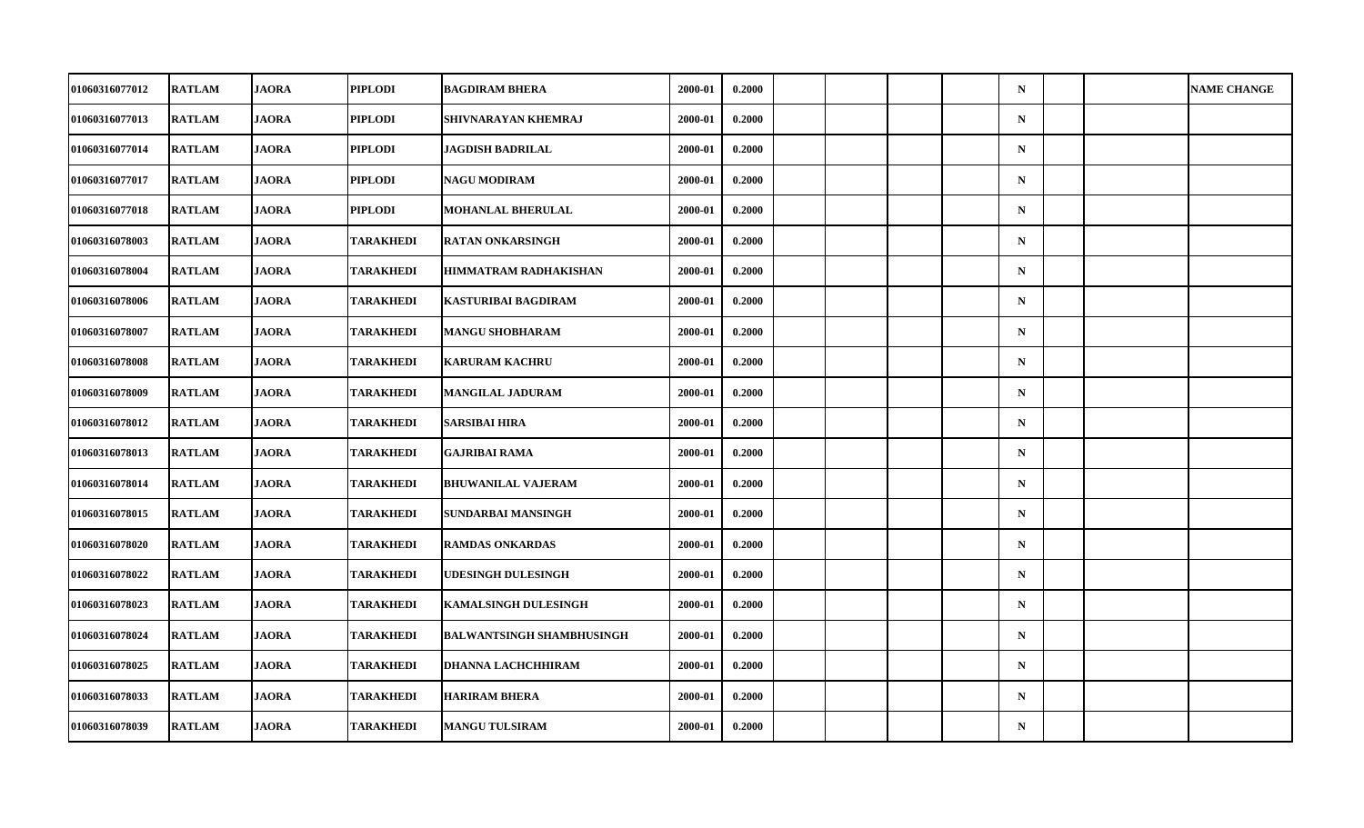| <b>01060316077012</b> | <b>RATLAM</b> | <b>JAORA</b> | PIPLODI          | <b>BAGDIRAM BHERA</b>            | 2000-01 | 0.2000 |  |  | $\mathbf N$ |  | <b>NAME CHANGE</b> |
|-----------------------|---------------|--------------|------------------|----------------------------------|---------|--------|--|--|-------------|--|--------------------|
| 01060316077013        | <b>RATLAM</b> | <b>JAORA</b> | <b>PIPLODI</b>   | SHIVNARAYAN KHEMRAJ              | 2000-01 | 0.2000 |  |  | $\mathbf N$ |  |                    |
| 01060316077014        | <b>RATLAM</b> | <b>JAORA</b> | <b>PIPLODI</b>   | <b>JAGDISH BADRILAL</b>          | 2000-01 | 0.2000 |  |  | $\mathbf N$ |  |                    |
| 01060316077017        | <b>RATLAM</b> | <b>JAORA</b> | PIPLODI          | <b>NAGU MODIRAM</b>              | 2000-01 | 0.2000 |  |  | $\mathbf N$ |  |                    |
| 01060316077018        | <b>RATLAM</b> | <b>JAORA</b> | <b>PIPLODI</b>   | <b>MOHANLAL BHERULAL</b>         | 2000-01 | 0.2000 |  |  | $\mathbf N$ |  |                    |
| 01060316078003        | <b>RATLAM</b> | <b>JAORA</b> | <b>TARAKHEDI</b> | <b>RATAN ONKARSINGH</b>          | 2000-01 | 0.2000 |  |  | $\mathbf N$ |  |                    |
| 01060316078004        | <b>RATLAM</b> | <b>JAORA</b> | <b>TARAKHEDI</b> | HIMMATRAM RADHAKISHAN            | 2000-01 | 0.2000 |  |  | $\mathbf N$ |  |                    |
| <b>01060316078006</b> | <b>RATLAM</b> | <b>JAORA</b> | TARAKHEDI        | KASTURIBAI BAGDIRAM              | 2000-01 | 0.2000 |  |  | $\mathbf N$ |  |                    |
| 01060316078007        | <b>RATLAM</b> | <b>JAORA</b> | <b>TARAKHEDI</b> | <b>MANGU SHOBHARAM</b>           | 2000-01 | 0.2000 |  |  | $\mathbf N$ |  |                    |
| 01060316078008        | <b>RATLAM</b> | <b>JAORA</b> | <b>TARAKHEDI</b> | <b>KARURAM KACHRU</b>            | 2000-01 | 0.2000 |  |  | $\mathbf N$ |  |                    |
| <b>01060316078009</b> | <b>RATLAM</b> | <b>JAORA</b> | TARAKHEDI        | MANGILAL JADURAM                 | 2000-01 | 0.2000 |  |  | $\mathbf N$ |  |                    |
| 01060316078012        | <b>RATLAM</b> | <b>JAORA</b> | <b>TARAKHEDI</b> | <b>SARSIBAI HIRA</b>             | 2000-01 | 0.2000 |  |  | $\mathbf N$ |  |                    |
| 01060316078013        | <b>RATLAM</b> | <b>JAORA</b> | <b>TARAKHEDI</b> | <b>GAJRIBAI RAMA</b>             | 2000-01 | 0.2000 |  |  | $\mathbf N$ |  |                    |
| 01060316078014        | <b>RATLAM</b> | <b>JAORA</b> | TARAKHEDI        | <b>BHUWANILAL VAJERAM</b>        | 2000-01 | 0.2000 |  |  | $\mathbf N$ |  |                    |
| 01060316078015        | <b>RATLAM</b> | <b>JAORA</b> | <b>TARAKHEDI</b> | SUNDARBAI MANSINGH               | 2000-01 | 0.2000 |  |  | $\mathbf N$ |  |                    |
| 01060316078020        | <b>RATLAM</b> | <b>JAORA</b> | <b>TARAKHEDI</b> | <b>RAMDAS ONKARDAS</b>           | 2000-01 | 0.2000 |  |  | $\mathbf N$ |  |                    |
| <b>01060316078022</b> | <b>RATLAM</b> | <b>JAORA</b> | TARAKHEDI        | <b>UDESINGH DULESINGH</b>        | 2000-01 | 0.2000 |  |  | $\mathbf N$ |  |                    |
| 01060316078023        | <b>RATLAM</b> | <b>JAORA</b> | <b>TARAKHEDI</b> | <b>KAMALSINGH DULESINGH</b>      | 2000-01 | 0.2000 |  |  | $\mathbf N$ |  |                    |
| 01060316078024        | <b>RATLAM</b> | <b>JAORA</b> | <b>TARAKHEDI</b> | <b>BALWANTSINGH SHAMBHUSINGH</b> | 2000-01 | 0.2000 |  |  | $\mathbf N$ |  |                    |
| 01060316078025        | <b>RATLAM</b> | <b>JAORA</b> | <b>TARAKHEDI</b> | DHANNA LACHCHHIRAM               | 2000-01 | 0.2000 |  |  | $\mathbf N$ |  |                    |
| 01060316078033        | <b>RATLAM</b> | <b>JAORA</b> | <b>TARAKHEDI</b> | <b>HARIRAM BHERA</b>             | 2000-01 | 0.2000 |  |  | $\mathbf N$ |  |                    |
| 01060316078039        | <b>RATLAM</b> | <b>JAORA</b> | <b>TARAKHEDI</b> | <b>MANGU TULSIRAM</b>            | 2000-01 | 0.2000 |  |  | ${\bf N}$   |  |                    |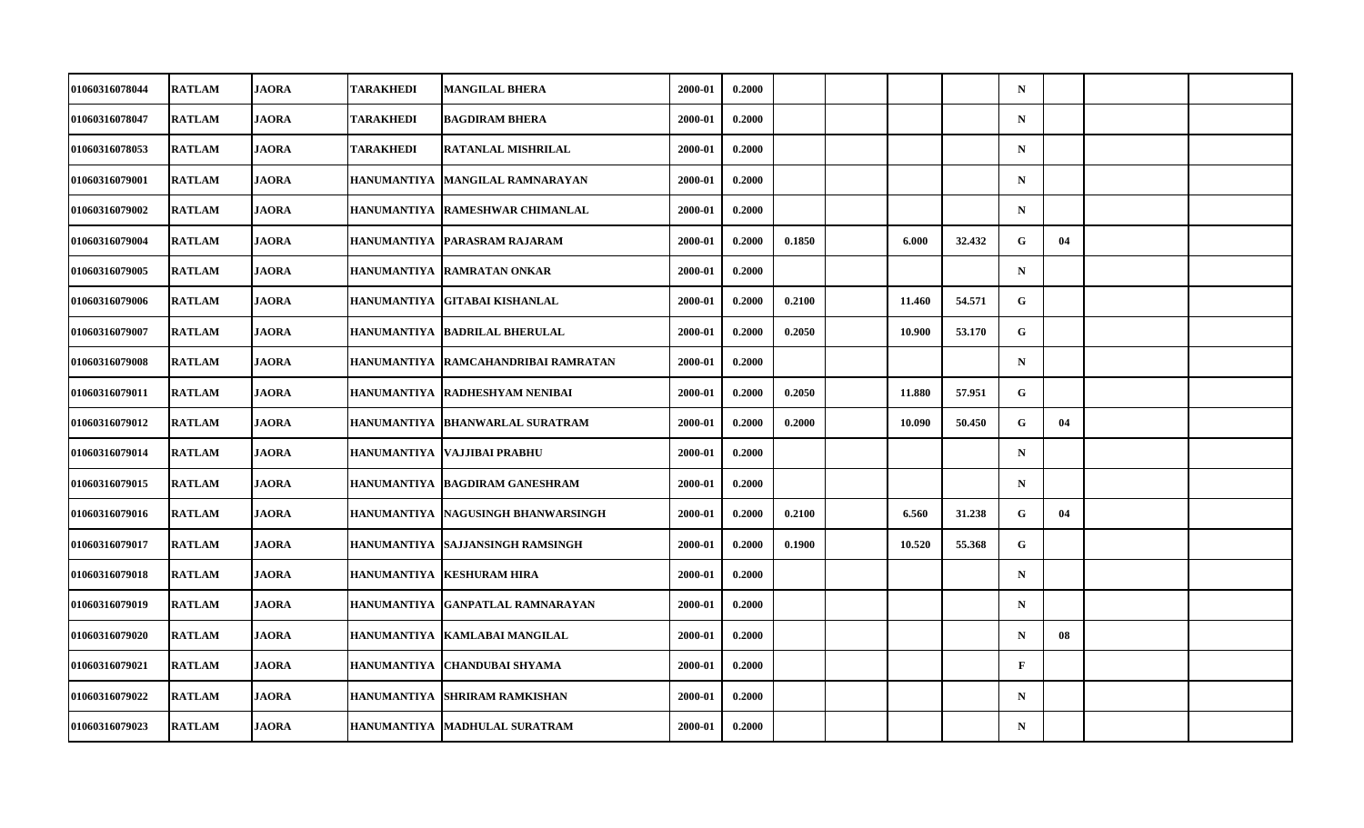| 01060316078044        | <b>RATLAM</b> | <b>JAORA</b> | TARAKHEDI          | <b>MANGILAL BHERA</b>                | 2000-01 | 0.2000 |        |        |        | $\mathbf N$  |    |  |
|-----------------------|---------------|--------------|--------------------|--------------------------------------|---------|--------|--------|--------|--------|--------------|----|--|
| 01060316078047        | <b>RATLAM</b> | <b>JAORA</b> | TARAKHEDI          | <b>BAGDIRAM BHERA</b>                | 2000-01 | 0.2000 |        |        |        | ${\bf N}$    |    |  |
| 01060316078053        | <b>RATLAM</b> | <b>JAORA</b> | <b>TARAKHEDI</b>   | <b>RATANLAL MISHRILAL</b>            | 2000-01 | 0.2000 |        |        |        | $\mathbf N$  |    |  |
| 01060316079001        | <b>RATLAM</b> | <b>JAORA</b> | <b>HANUMANTIYA</b> | <b>MANGILAL RAMNARAYAN</b>           | 2000-01 | 0.2000 |        |        |        | $\mathbf N$  |    |  |
| 01060316079002        | <b>RATLAM</b> | <b>JAORA</b> |                    | HANUMANTIYA   RAMESHWAR CHIMANLAL    | 2000-01 | 0.2000 |        |        |        | $\mathbf N$  |    |  |
| 01060316079004        | <b>RATLAM</b> | <b>JAORA</b> |                    | HANUMANTIYA PARASRAM RAJARAM         | 2000-01 | 0.2000 | 0.1850 | 6.000  | 32.432 | G            | 04 |  |
| 01060316079005        | <b>RATLAM</b> | <b>JAORA</b> | <b>HANUMANTIYA</b> | <b>RAMRATAN ONKAR</b>                | 2000-01 | 0.2000 |        |        |        | $\mathbf N$  |    |  |
| 01060316079006        | <b>RATLAM</b> | <b>JAORA</b> |                    | HANUMANTIYA  GITABAI KISHANLAL       | 2000-01 | 0.2000 | 0.2100 | 11.460 | 54.571 | G            |    |  |
| 01060316079007        | <b>RATLAM</b> | <b>JAORA</b> | <b>HANUMANTIYA</b> | <b>BADRILAL BHERULAL</b>             | 2000-01 | 0.2000 | 0.2050 | 10.900 | 53.170 | G            |    |  |
| 01060316079008        | <b>RATLAM</b> | <b>JAORA</b> | <b>HANUMANTIYA</b> | <b>RAMCAHANDRIBAI RAMRATAN</b>       | 2000-01 | 0.2000 |        |        |        | $\mathbf N$  |    |  |
| 01060316079011        | <b>RATLAM</b> | <b>JAORA</b> |                    | HANUMANTIYA  RADHESHYAM NENIBAI      | 2000-01 | 0.2000 | 0.2050 | 11.880 | 57.951 | G            |    |  |
| 01060316079012        | <b>RATLAM</b> | <b>JAORA</b> |                    | HANUMANTIYA   BHANWARLAL SURATRAM    | 2000-01 | 0.2000 | 0.2000 | 10.090 | 50.450 | G            | 04 |  |
| 01060316079014        | <b>RATLAM</b> | <b>JAORA</b> | <b>HANUMANTIYA</b> | VAJJIBAI PRABHU                      | 2000-01 | 0.2000 |        |        |        | ${\bf N}$    |    |  |
| 01060316079015        | <b>RATLAM</b> | <b>JAORA</b> |                    | HANUMANTIYA BAGDIRAM GANESHRAM       | 2000-01 | 0.2000 |        |        |        | $\mathbf N$  |    |  |
| 01060316079016        | <b>RATLAM</b> | <b>JAORA</b> |                    | HANUMANTIYA   NAGUSINGH BHANWARSINGH | 2000-01 | 0.2000 | 0.2100 | 6.560  | 31.238 | G            | 04 |  |
| 01060316079017        | <b>RATLAM</b> | <b>JAORA</b> | <b>HANUMANTIYA</b> | <b>SAJJANSINGH RAMSINGH</b>          | 2000-01 | 0.2000 | 0.1900 | 10.520 | 55.368 | G            |    |  |
| <b>01060316079018</b> | <b>RATLAM</b> | JAORA        |                    | HANUMANTIYA   KESHURAM HIRA          | 2000-01 | 0.2000 |        |        |        | $\mathbf N$  |    |  |
| 01060316079019        | <b>RATLAM</b> | <b>JAORA</b> |                    | HANUMANTIYA GANPATLAL RAMNARAYAN     | 2000-01 | 0.2000 |        |        |        | $\mathbf N$  |    |  |
| 01060316079020        | <b>RATLAM</b> | <b>JAORA</b> |                    | HANUMANTIYA   KAMLABAI MANGILAL      | 2000-01 | 0.2000 |        |        |        | $\mathbf N$  | 08 |  |
| 01060316079021        | <b>RATLAM</b> | <b>JAORA</b> |                    | HANUMANTIYA   CHANDUBAI SHYAMA       | 2000-01 | 0.2000 |        |        |        | $\mathbf{F}$ |    |  |
| 01060316079022        | <b>RATLAM</b> | <b>JAORA</b> | <b>HANUMANTIYA</b> | <b>SHRIRAM RAMKISHAN</b>             | 2000-01 | 0.2000 |        |        |        | $\mathbf N$  |    |  |
| 01060316079023        | <b>RATLAM</b> | <b>JAORA</b> | <b>HANUMANTIYA</b> | <b>MADHULAL SURATRAM</b>             | 2000-01 | 0.2000 |        |        |        | $\mathbf N$  |    |  |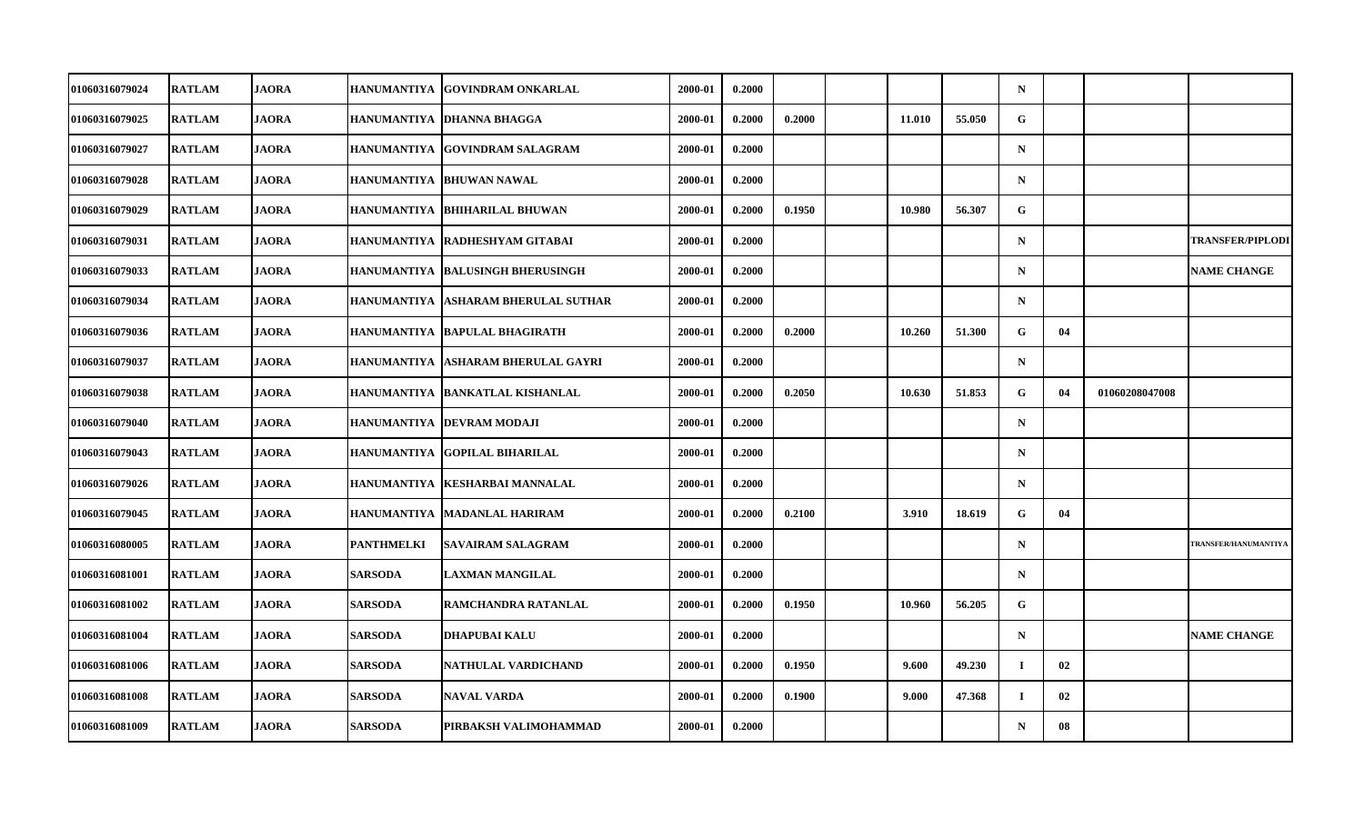| 01060316079024        | <b>RATLAM</b> | <b>JAORA</b> | HANUMANTIYA        | <b>GOVINDRAM ONKARLAL</b>            | 2000-01 | 0.2000 |        |        |        | $\mathbf N$ |    |                |                         |
|-----------------------|---------------|--------------|--------------------|--------------------------------------|---------|--------|--------|--------|--------|-------------|----|----------------|-------------------------|
| 01060316079025        | <b>RATLAM</b> | <b>JAORA</b> |                    | HANUMANTIYA DHANNA BHAGGA            | 2000-01 | 0.2000 | 0.2000 | 11.010 | 55.050 | G           |    |                |                         |
| 01060316079027        | <b>RATLAM</b> | <b>JAORA</b> | <b>HANUMANTIYA</b> | <b>GOVINDRAM SALAGRAM</b>            | 2000-01 | 0.2000 |        |        |        | $\mathbf N$ |    |                |                         |
| 01060316079028        | <b>RATLAM</b> | <b>JAORA</b> |                    | HANUMANTIYA   BHUWAN NAWAL           | 2000-01 | 0.2000 |        |        |        | $\mathbf N$ |    |                |                         |
| 01060316079029        | <b>RATLAM</b> | <b>JAORA</b> |                    | HANUMANTIYA  BHIHARILAL BHUWAN       | 2000-01 | 0.2000 | 0.1950 | 10.980 | 56.307 | G           |    |                |                         |
| 01060316079031        | <b>RATLAM</b> | <b>JAORA</b> | <b>HANUMANTIYA</b> | RADHESHYAM GITABAI                   | 2000-01 | 0.2000 |        |        |        | $\mathbf N$ |    |                | <b>TRANSFER/PIPLODI</b> |
| 01060316079033        | <b>RATLAM</b> | <b>JAORA</b> | <b>HANUMANTIYA</b> | <b>BALUSINGH BHERUSINGH</b>          | 2000-01 | 0.2000 |        |        |        | $\mathbf N$ |    |                | <b>NAME CHANGE</b>      |
| <b>01060316079034</b> | <b>RATLAM</b> | <b>JAORA</b> |                    | HANUMANTIYA  ASHARAM BHERULAL SUTHAR | 2000-01 | 0.2000 |        |        |        | $\mathbf N$ |    |                |                         |
| 01060316079036        | <b>RATLAM</b> | <b>JAORA</b> | <b>HANUMANTIYA</b> | <b>BAPULAL BHAGIRATH</b>             | 2000-01 | 0.2000 | 0.2000 | 10.260 | 51.300 | G           | 04 |                |                         |
| 01060316079037        | <b>RATLAM</b> | <b>JAORA</b> | <b>HANUMANTIYA</b> | <b>ASHARAM BHERULAL GAYRI</b>        | 2000-01 | 0.2000 |        |        |        | $\mathbf N$ |    |                |                         |
| <b>01060316079038</b> | <b>RATLAM</b> | <b>JAORA</b> |                    | HANUMANTIYA  BANKATLAL KISHANLAL     | 2000-01 | 0.2000 | 0.2050 | 10.630 | 51.853 | G           | 04 | 01060208047008 |                         |
| 01060316079040        | <b>RATLAM</b> | <b>JAORA</b> |                    | HANUMANTIYA   DEVRAM MODAJI          | 2000-01 | 0.2000 |        |        |        | $\mathbf N$ |    |                |                         |
| 01060316079043        | <b>RATLAM</b> | <b>JAORA</b> | <b>HANUMANTIYA</b> | <b>GOPILAL BIHARILAL</b>             | 2000-01 | 0.2000 |        |        |        | $\mathbf N$ |    |                |                         |
| 01060316079026        | <b>RATLAM</b> | <b>JAORA</b> |                    | HANUMANTIYA KESHARBAI MANNALAL       | 2000-01 | 0.2000 |        |        |        | $\mathbf N$ |    |                |                         |
| 01060316079045        | <b>RATLAM</b> | <b>JAORA</b> | <b>HANUMANTIYA</b> | <b>MADANLAL HARIRAM</b>              | 2000-01 | 0.2000 | 0.2100 | 3.910  | 18.619 | G           | 04 |                |                         |
| 01060316080005        | <b>RATLAM</b> | <b>JAORA</b> | <b>PANTHMELKI</b>  | <b>SAVAIRAM SALAGRAM</b>             | 2000-01 | 0.2000 |        |        |        | $\mathbf N$ |    |                | TRANSFER/HANUMANTIYA    |
| <b>01060316081001</b> | <b>RATLAM</b> | <b>JAORA</b> | <b>SARSODA</b>     | LAXMAN MANGILAL                      | 2000-01 | 0.2000 |        |        |        | $\mathbf N$ |    |                |                         |
| 01060316081002        | <b>RATLAM</b> | <b>JAORA</b> | <b>SARSODA</b>     | RAMCHANDRA RATANLAL                  | 2000-01 | 0.2000 | 0.1950 | 10.960 | 56.205 | $\mathbf G$ |    |                |                         |
| 01060316081004        | <b>RATLAM</b> | <b>JAORA</b> | <b>SARSODA</b>     | <b>DHAPUBAI KALU</b>                 | 2000-01 | 0.2000 |        |        |        | $\mathbf N$ |    |                | <b>NAME CHANGE</b>      |
| 01060316081006        | <b>RATLAM</b> | <b>JAORA</b> | <b>SARSODA</b>     | NATHULAL VARDICHAND                  | 2000-01 | 0.2000 | 0.1950 | 9.600  | 49.230 | $\mathbf I$ | 02 |                |                         |
| 01060316081008        | <b>RATLAM</b> | <b>JAORA</b> | <b>SARSODA</b>     | <b>NAVAL VARDA</b>                   | 2000-01 | 0.2000 | 0.1900 | 9.000  | 47.368 | $\bf{I}$    | 02 |                |                         |
| 01060316081009        | <b>RATLAM</b> | <b>JAORA</b> | <b>SARSODA</b>     | PIRBAKSH VALIMOHAMMAD                | 2000-01 | 0.2000 |        |        |        | $\mathbf N$ | 08 |                |                         |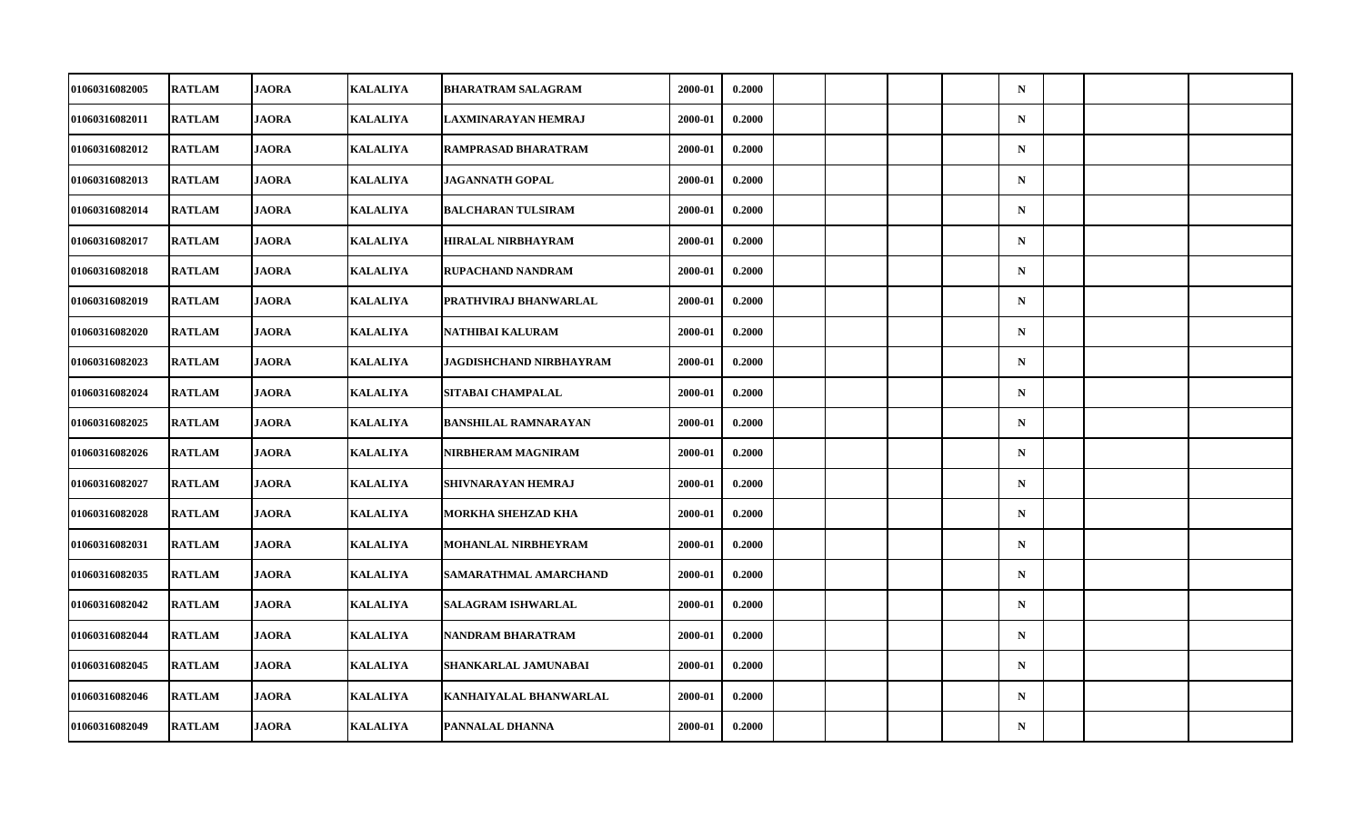| 01060316082005        | <b>RATLAM</b> | <b>JAORA</b> | <b>KALALIYA</b> | <b>BHARATRAM SALAGRAM</b>   | 2000-01 | 0.2000 |  |  | $\mathbf N$ |  |  |
|-----------------------|---------------|--------------|-----------------|-----------------------------|---------|--------|--|--|-------------|--|--|
| 01060316082011        | <b>RATLAM</b> | <b>JAORA</b> | <b>KALALIYA</b> | LAXMINARAYAN HEMRAJ         | 2000-01 | 0.2000 |  |  | ${\bf N}$   |  |  |
| 01060316082012        | <b>RATLAM</b> | <b>JAORA</b> | <b>KALALIYA</b> | RAMPRASAD BHARATRAM         | 2000-01 | 0.2000 |  |  | ${\bf N}$   |  |  |
| 01060316082013        | <b>RATLAM</b> | <b>JAORA</b> | <b>KALALIYA</b> | <b>JAGANNATH GOPAL</b>      | 2000-01 | 0.2000 |  |  | $\mathbf N$ |  |  |
| 01060316082014        | <b>RATLAM</b> | <b>JAORA</b> | <b>KALALIYA</b> | <b>BALCHARAN TULSIRAM</b>   | 2000-01 | 0.2000 |  |  | $\mathbf N$ |  |  |
| 01060316082017        | <b>RATLAM</b> | <b>JAORA</b> | <b>KALALIYA</b> | <b>HIRALAL NIRBHAYRAM</b>   | 2000-01 | 0.2000 |  |  | $\mathbf N$ |  |  |
| 01060316082018        | <b>RATLAM</b> | <b>JAORA</b> | <b>KALALIYA</b> | RUPACHAND NANDRAM           | 2000-01 | 0.2000 |  |  | $\mathbf N$ |  |  |
| <b>01060316082019</b> | <b>RATLAM</b> | <b>JAORA</b> | <b>KALALIYA</b> | PRATHVIRAJ BHANWARLAL       | 2000-01 | 0.2000 |  |  | $\mathbf N$ |  |  |
| 01060316082020        | <b>RATLAM</b> | <b>JAORA</b> | <b>KALALIYA</b> | NATHIBAI KALURAM            | 2000-01 | 0.2000 |  |  | $\mathbf N$ |  |  |
| 01060316082023        | <b>RATLAM</b> | <b>JAORA</b> | <b>KALALIYA</b> | JAGDISHCHAND NIRBHAYRAM     | 2000-01 | 0.2000 |  |  | $\mathbf N$ |  |  |
| 01060316082024        | <b>RATLAM</b> | <b>JAORA</b> | <b>KALALIYA</b> | SITABAI CHAMPALAL           | 2000-01 | 0.2000 |  |  | $\mathbf N$ |  |  |
| 01060316082025        | <b>RATLAM</b> | <b>JAORA</b> | <b>KALALIYA</b> | <b>BANSHILAL RAMNARAYAN</b> | 2000-01 | 0.2000 |  |  | $\mathbf N$ |  |  |
| 01060316082026        | <b>RATLAM</b> | <b>JAORA</b> | <b>KALALIYA</b> | NIRBHERAM MAGNIRAM          | 2000-01 | 0.2000 |  |  | ${\bf N}$   |  |  |
| 01060316082027        | <b>RATLAM</b> | <b>JAORA</b> | <b>KALALIYA</b> | SHIVNARAYAN HEMRAJ          | 2000-01 | 0.2000 |  |  | $\mathbf N$ |  |  |
| 01060316082028        | <b>RATLAM</b> | <b>JAORA</b> | <b>KALALIYA</b> | MORKHA SHEHZAD KHA          | 2000-01 | 0.2000 |  |  | $\mathbf N$ |  |  |
| 01060316082031        | <b>RATLAM</b> | <b>JAORA</b> | <b>KALALIYA</b> | <b>MOHANLAL NIRBHEYRAM</b>  | 2000-01 | 0.2000 |  |  | $\mathbf N$ |  |  |
| <b>01060316082035</b> | <b>RATLAM</b> | <b>JAORA</b> | <b>KALALIYA</b> | SAMARATHMAL AMARCHAND       | 2000-01 | 0.2000 |  |  | $\mathbf N$ |  |  |
| 01060316082042        | <b>RATLAM</b> | <b>JAORA</b> | <b>KALALIYA</b> | <b>SALAGRAM ISHWARLAL</b>   | 2000-01 | 0.2000 |  |  | $\mathbf N$ |  |  |
| 01060316082044        | <b>RATLAM</b> | <b>JAORA</b> | <b>KALALIYA</b> | NANDRAM BHARATRAM           | 2000-01 | 0.2000 |  |  | $\mathbf N$ |  |  |
| 01060316082045        | <b>RATLAM</b> | <b>JAORA</b> | <b>KALALIYA</b> | SHANKARLAL JAMUNABAI        | 2000-01 | 0.2000 |  |  | $\mathbf N$ |  |  |
| 01060316082046        | <b>RATLAM</b> | <b>JAORA</b> | <b>KALALIYA</b> | KANHAIYALAL BHANWARLAL      | 2000-01 | 0.2000 |  |  | $\mathbf N$ |  |  |
| 01060316082049        | <b>RATLAM</b> | <b>JAORA</b> | <b>KALALIYA</b> | PANNALAL DHANNA             | 2000-01 | 0.2000 |  |  | ${\bf N}$   |  |  |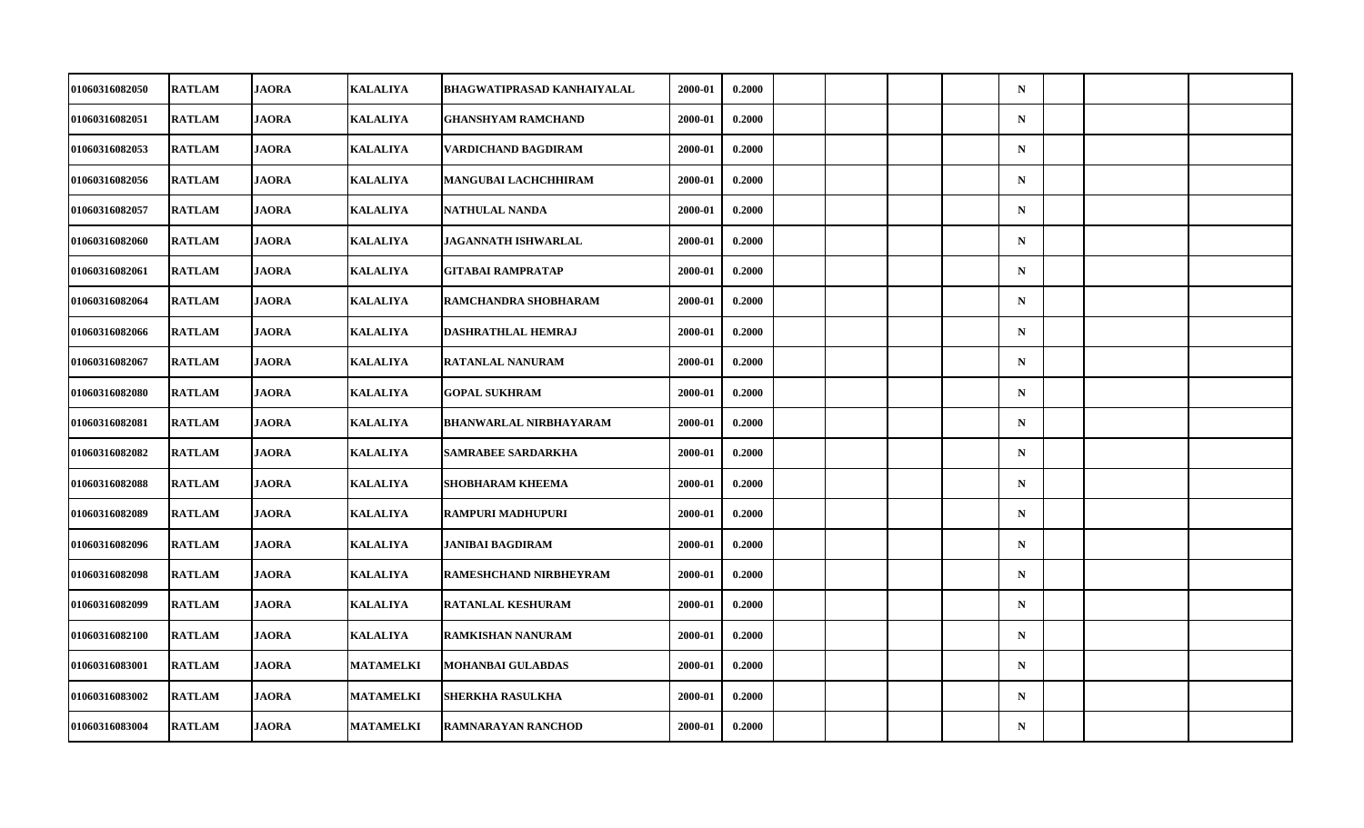| 01060316082050        | <b>RATLAM</b> | <b>JAORA</b> | <b>KALALIYA</b>  | <b>BHAGWATIPRASAD KANHAIYALAL</b> | 2000-01 | 0.2000 |  |  | $\mathbf N$ |  |  |
|-----------------------|---------------|--------------|------------------|-----------------------------------|---------|--------|--|--|-------------|--|--|
| 01060316082051        | <b>RATLAM</b> | <b>JAORA</b> | KALALIYA         | <b>GHANSHYAM RAMCHAND</b>         | 2000-01 | 0.2000 |  |  | ${\bf N}$   |  |  |
| 01060316082053        | <b>RATLAM</b> | <b>JAORA</b> | <b>KALALIYA</b>  | VARDICHAND BAGDIRAM               | 2000-01 | 0.2000 |  |  | ${\bf N}$   |  |  |
| 01060316082056        | <b>RATLAM</b> | <b>JAORA</b> | <b>KALALIYA</b>  | MANGUBAI LACHCHHIRAM              | 2000-01 | 0.2000 |  |  | $\mathbf N$ |  |  |
| 01060316082057        | <b>RATLAM</b> | <b>JAORA</b> | <b>KALALIYA</b>  | NATHULAL NANDA                    | 2000-01 | 0.2000 |  |  | $\mathbf N$ |  |  |
| 01060316082060        | <b>RATLAM</b> | <b>JAORA</b> | <b>KALALIYA</b>  | <b>JAGANNATH ISHWARLAL</b>        | 2000-01 | 0.2000 |  |  | $\mathbf N$ |  |  |
| 01060316082061        | <b>RATLAM</b> | <b>JAORA</b> | <b>KALALIYA</b>  | <b>GITABAI RAMPRATAP</b>          | 2000-01 | 0.2000 |  |  | $\mathbf N$ |  |  |
| 01060316082064        | <b>RATLAM</b> | <b>JAORA</b> | <b>KALALIYA</b>  | RAMCHANDRA SHOBHARAM              | 2000-01 | 0.2000 |  |  | $\mathbf N$ |  |  |
| 01060316082066        | <b>RATLAM</b> | <b>JAORA</b> | <b>KALALIYA</b>  | DASHRATHLAL HEMRAJ                | 2000-01 | 0.2000 |  |  | $\mathbf N$ |  |  |
| 01060316082067        | <b>RATLAM</b> | <b>JAORA</b> | <b>KALALIYA</b>  | RATANLAL NANURAM                  | 2000-01 | 0.2000 |  |  | $\mathbf N$ |  |  |
| 01060316082080        | <b>RATLAM</b> | <b>JAORA</b> | <b>KALALIYA</b>  | <b>GOPAL SUKHRAM</b>              | 2000-01 | 0.2000 |  |  | $\mathbf N$ |  |  |
| 01060316082081        | <b>RATLAM</b> | <b>JAORA</b> | <b>KALALIYA</b>  | <b>BHANWARLAL NIRBHAYARAM</b>     | 2000-01 | 0.2000 |  |  | $\mathbf N$ |  |  |
| 01060316082082        | <b>RATLAM</b> | <b>JAORA</b> | <b>KALALIYA</b>  | SAMRABEE SARDARKHA                | 2000-01 | 0.2000 |  |  | ${\bf N}$   |  |  |
| 01060316082088        | <b>RATLAM</b> | <b>JAORA</b> | <b>KALALIYA</b>  | <b>SHOBHARAM KHEEMA</b>           | 2000-01 | 0.2000 |  |  | $\mathbf N$ |  |  |
| 01060316082089        | <b>RATLAM</b> | <b>JAORA</b> | <b>KALALIYA</b>  | RAMPURI MADHUPURI                 | 2000-01 | 0.2000 |  |  | $\mathbf N$ |  |  |
| 01060316082096        | <b>RATLAM</b> | <b>JAORA</b> | <b>KALALIYA</b>  | JANIBAI BAGDIRAM                  | 2000-01 | 0.2000 |  |  | $\mathbf N$ |  |  |
| <b>01060316082098</b> | <b>RATLAM</b> | <b>JAORA</b> | <b>KALALIYA</b>  | RAMESHCHAND NIRBHEYRAM            | 2000-01 | 0.2000 |  |  | $\mathbf N$ |  |  |
| 01060316082099        | <b>RATLAM</b> | <b>JAORA</b> | <b>KALALIYA</b>  | <b>RATANLAL KESHURAM</b>          | 2000-01 | 0.2000 |  |  | $\mathbf N$ |  |  |
| 01060316082100        | <b>RATLAM</b> | <b>JAORA</b> | <b>KALALIYA</b>  | RAMKISHAN NANURAM                 | 2000-01 | 0.2000 |  |  | $\mathbf N$ |  |  |
| 01060316083001        | <b>RATLAM</b> | <b>JAORA</b> | <b>MATAMELKI</b> | <b>MOHANBAI GULABDAS</b>          | 2000-01 | 0.2000 |  |  | $\mathbf N$ |  |  |
| 01060316083002        | <b>RATLAM</b> | <b>JAORA</b> | <b>MATAMELKI</b> | SHERKHA RASULKHA                  | 2000-01 | 0.2000 |  |  | $\mathbf N$ |  |  |
| 01060316083004        | <b>RATLAM</b> | <b>JAORA</b> | <b>MATAMELKI</b> | RAMNARAYAN RANCHOD                | 2000-01 | 0.2000 |  |  | ${\bf N}$   |  |  |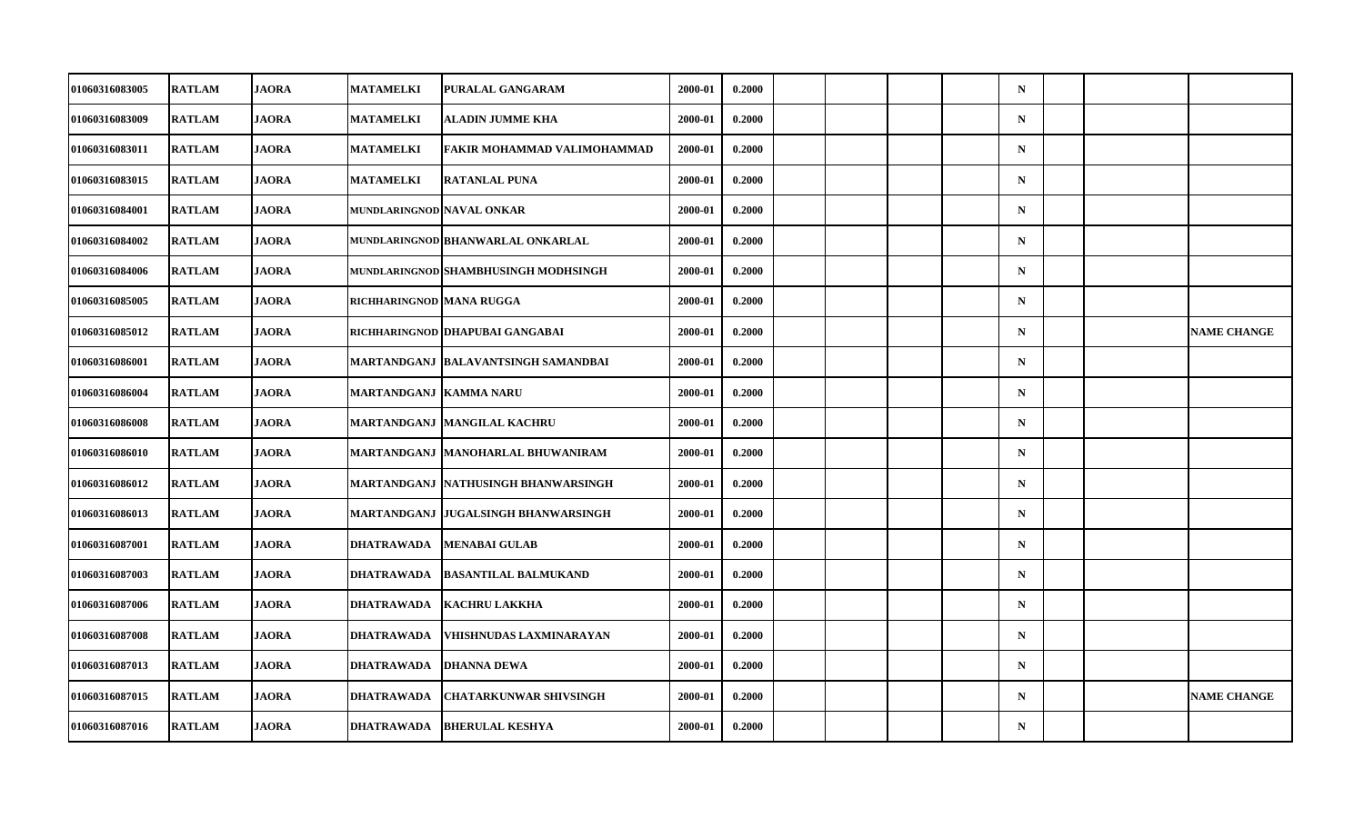| 01060316083005        | <b>RATLAM</b> | <b>JAORA</b> | <b>MATAMELKI</b>           | PURALAL GANGARAM                     | 2000-01 | 0.2000 |  |  | $\mathbf N$ |  |                    |
|-----------------------|---------------|--------------|----------------------------|--------------------------------------|---------|--------|--|--|-------------|--|--------------------|
| 01060316083009        | <b>RATLAM</b> | <b>JAORA</b> | <b>MATAMELKI</b>           | ALADIN JUMME KHA                     | 2000-01 | 0.2000 |  |  | ${\bf N}$   |  |                    |
| 01060316083011        | <b>RATLAM</b> | <b>JAORA</b> | <b>MATAMELKI</b>           | FAKIR MOHAMMAD VALIMOHAMMAD          | 2000-01 | 0.2000 |  |  | $\mathbf N$ |  |                    |
| 01060316083015        | <b>RATLAM</b> | <b>JAORA</b> | <b>MATAMELKI</b>           | <b>RATANLAL PUNA</b>                 | 2000-01 | 0.2000 |  |  | $\mathbf N$ |  |                    |
| 01060316084001        | <b>RATLAM</b> | <b>JAORA</b> | MUNDLARINGNOD NAVAL ONKAR  |                                      | 2000-01 | 0.2000 |  |  | $\mathbf N$ |  |                    |
| 01060316084002        | <b>RATLAM</b> | <b>JAORA</b> |                            | MUNDLARINGNOD BHANWARLAL ONKARLAL    | 2000-01 | 0.2000 |  |  | $\mathbf N$ |  |                    |
| 01060316084006        | <b>RATLAM</b> | <b>JAORA</b> |                            | MUNDLARINGNOD SHAMBHUSINGH MODHSINGH | 2000-01 | 0.2000 |  |  | $\mathbf N$ |  |                    |
| 01060316085005        | <b>RATLAM</b> | <b>JAORA</b> | RICHHARINGNOD   MANA RUGGA |                                      | 2000-01 | 0.2000 |  |  | $\mathbf N$ |  |                    |
| 01060316085012        | <b>RATLAM</b> | <b>JAORA</b> |                            | RICHHARINGNOD   DHAPUBAI GANGABAI    | 2000-01 | 0.2000 |  |  | $\mathbf N$ |  | <b>NAME CHANGE</b> |
| 01060316086001        | <b>RATLAM</b> | <b>JAORA</b> |                            | MARTANDGANJ  BALAVANTSINGH SAMANDBAI | 2000-01 | 0.2000 |  |  | $\mathbf N$ |  |                    |
| 01060316086004        | <b>RATLAM</b> | <b>JAORA</b> | MARTANDGANJ  KAMMA NARU    |                                      | 2000-01 | 0.2000 |  |  | $\mathbf N$ |  |                    |
| 01060316086008        | <b>RATLAM</b> | <b>JAORA</b> |                            | MARTANDGANJ  MANGILAL KACHRU         | 2000-01 | 0.2000 |  |  | $\mathbf N$ |  |                    |
| 01060316086010        | <b>RATLAM</b> | <b>JAORA</b> |                            | MARTANDGANJ MANOHARLAL BHUWANIRAM    | 2000-01 | 0.2000 |  |  | ${\bf N}$   |  |                    |
| 01060316086012        | <b>RATLAM</b> | <b>JAORA</b> |                            | MARTANDGANJ  NATHUSINGH BHANWARSINGH | 2000-01 | 0.2000 |  |  | $\mathbf N$ |  |                    |
| 01060316086013        | <b>RATLAM</b> | <b>JAORA</b> |                            | MARTANDGANJ  JUGALSINGH BHANWARSINGH | 2000-01 | 0.2000 |  |  | $\mathbf N$ |  |                    |
| 01060316087001        | <b>RATLAM</b> | <b>JAORA</b> | <b>DHATRAWADA</b>          | <b>MENABAI GULAB</b>                 | 2000-01 | 0.2000 |  |  | $\mathbf N$ |  |                    |
| <b>01060316087003</b> | <b>RATLAM</b> | <b>JAORA</b> | DHATRAWADA                 | <b>BASANTILAL BALMUKAND</b>          | 2000-01 | 0.2000 |  |  | $\mathbf N$ |  |                    |
| 01060316087006        | <b>RATLAM</b> | <b>JAORA</b> | <b>DHATRAWADA</b>          | <b>KACHRU LAKKHA</b>                 | 2000-01 | 0.2000 |  |  | $\mathbf N$ |  |                    |
| 01060316087008        | <b>RATLAM</b> | <b>JAORA</b> | <b>DHATRAWADA</b>          | VHISHNUDAS LAXMINARAYAN              | 2000-01 | 0.2000 |  |  | $\mathbf N$ |  |                    |
| 01060316087013        | <b>RATLAM</b> | <b>JAORA</b> | DHATRAWADA                 | <b>DHANNA DEWA</b>                   | 2000-01 | 0.2000 |  |  | $\mathbf N$ |  |                    |
| 01060316087015        | <b>RATLAM</b> | <b>JAORA</b> | <b>DHATRAWADA</b>          | <b>CHATARKUNWAR SHIVSINGH</b>        | 2000-01 | 0.2000 |  |  | $\mathbf N$ |  | <b>NAME CHANGE</b> |
| 01060316087016        | <b>RATLAM</b> | <b>JAORA</b> | <b>DHATRAWADA</b>          | <b>BHERULAL KESHYA</b>               | 2000-01 | 0.2000 |  |  | ${\bf N}$   |  |                    |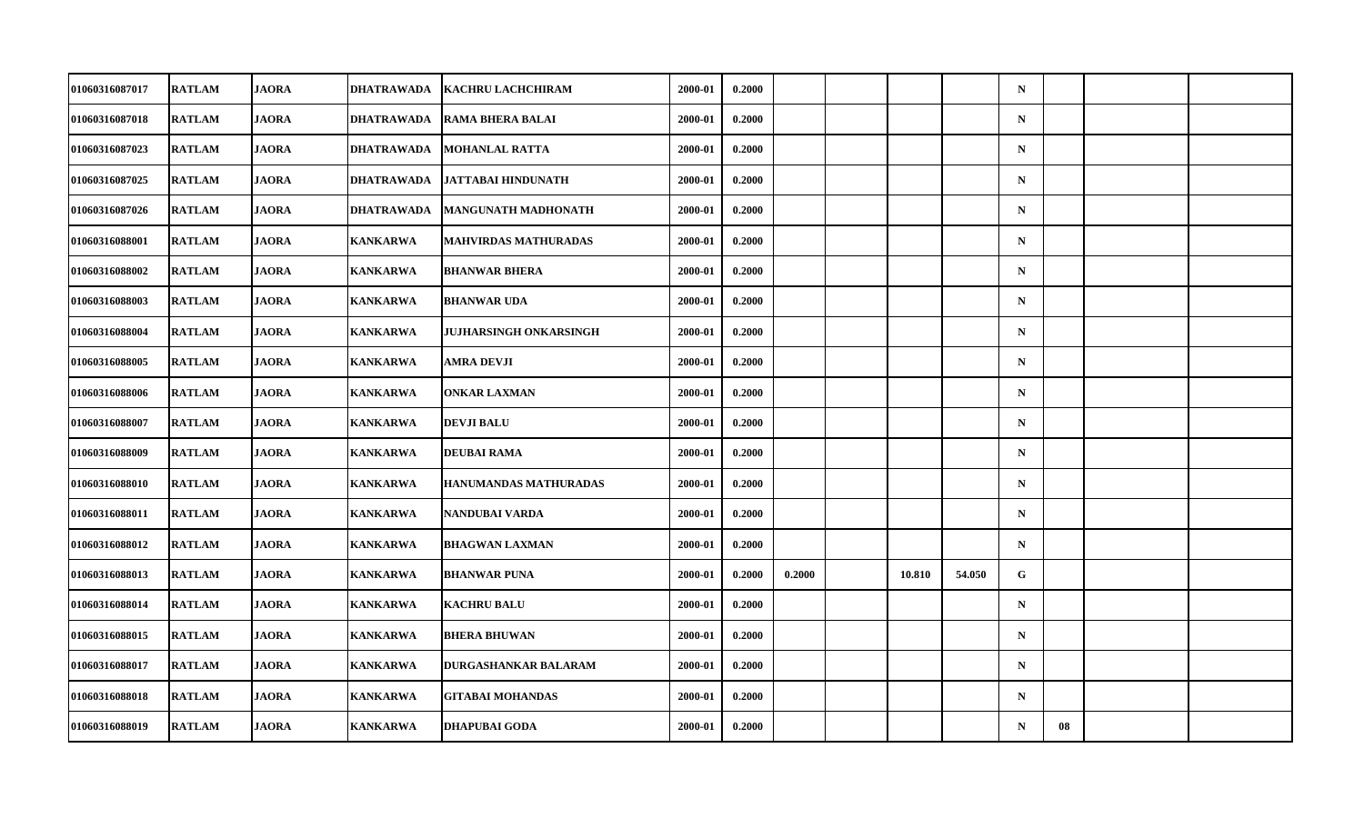| 01060316087017        | <b>RATLAM</b> | <b>JAORA</b> | <b>DHATRAWADA</b> | KACHRU LACHCHIRAM             | 2000-01 | 0.2000 |        |        |        | $\mathbf N$ |    |  |
|-----------------------|---------------|--------------|-------------------|-------------------------------|---------|--------|--------|--------|--------|-------------|----|--|
| 01060316087018        | <b>RATLAM</b> | <b>JAORA</b> | <b>DHATRAWADA</b> | <b>RAMA BHERA BALAI</b>       | 2000-01 | 0.2000 |        |        |        | ${\bf N}$   |    |  |
| 01060316087023        | <b>RATLAM</b> | <b>JAORA</b> | <b>DHATRAWADA</b> | <b>MOHANLAL RATTA</b>         | 2000-01 | 0.2000 |        |        |        | $\mathbf N$ |    |  |
| 01060316087025        | <b>RATLAM</b> | <b>JAORA</b> | <b>DHATRAWADA</b> | <b>JATTABAI HINDUNATH</b>     | 2000-01 | 0.2000 |        |        |        | $\mathbf N$ |    |  |
| 01060316087026        | <b>RATLAM</b> | <b>JAORA</b> | DHATRAWADA        | <b>MANGUNATH MADHONATH</b>    | 2000-01 | 0.2000 |        |        |        | $\mathbf N$ |    |  |
| 01060316088001        | <b>RATLAM</b> | <b>JAORA</b> | <b>KANKARWA</b>   | <b>MAHVIRDAS MATHURADAS</b>   | 2000-01 | 0.2000 |        |        |        | ${\bf N}$   |    |  |
| 01060316088002        | <b>RATLAM</b> | <b>JAORA</b> | <b>KANKARWA</b>   | <b>BHANWAR BHERA</b>          | 2000-01 | 0.2000 |        |        |        | $\mathbf N$ |    |  |
| 01060316088003        | <b>RATLAM</b> | <b>JAORA</b> | KANKARWA          | <b>BHANWAR UDA</b>            | 2000-01 | 0.2000 |        |        |        | $\mathbf N$ |    |  |
| 01060316088004        | <b>RATLAM</b> | <b>JAORA</b> | <b>KANKARWA</b>   | <b>JUJHARSINGH ONKARSINGH</b> | 2000-01 | 0.2000 |        |        |        | $\mathbf N$ |    |  |
| 01060316088005        | <b>RATLAM</b> | <b>JAORA</b> | <b>KANKARWA</b>   | <b>AMRA DEVJI</b>             | 2000-01 | 0.2000 |        |        |        | $\mathbf N$ |    |  |
| 01060316088006        | <b>RATLAM</b> | <b>JAORA</b> | KANKARWA          | <b>ONKAR LAXMAN</b>           | 2000-01 | 0.2000 |        |        |        | $\mathbf N$ |    |  |
| 01060316088007        | <b>RATLAM</b> | <b>JAORA</b> | <b>KANKARWA</b>   | <b>DEVJI BALU</b>             | 2000-01 | 0.2000 |        |        |        | $\mathbf N$ |    |  |
| 01060316088009        | <b>RATLAM</b> | <b>JAORA</b> | <b>KANKARWA</b>   | <b>DEUBAI RAMA</b>            | 2000-01 | 0.2000 |        |        |        | ${\bf N}$   |    |  |
| 01060316088010        | <b>RATLAM</b> | <b>JAORA</b> | <b>KANKARWA</b>   | HANUMANDAS MATHURADAS         | 2000-01 | 0.2000 |        |        |        | $\mathbf N$ |    |  |
| 01060316088011        | <b>RATLAM</b> | <b>JAORA</b> | <b>KANKARWA</b>   | NANDUBAI VARDA                | 2000-01 | 0.2000 |        |        |        | $\mathbf N$ |    |  |
| 01060316088012        | <b>RATLAM</b> | <b>JAORA</b> | <b>KANKARWA</b>   | <b>BHAGWAN LAXMAN</b>         | 2000-01 | 0.2000 |        |        |        | $\mathbf N$ |    |  |
| <b>01060316088013</b> | <b>RATLAM</b> | <b>JAORA</b> | KANKARWA          | <b>BHANWAR PUNA</b>           | 2000-01 | 0.2000 | 0.2000 | 10.810 | 54.050 | G           |    |  |
| 01060316088014        | <b>RATLAM</b> | <b>JAORA</b> | <b>KANKARWA</b>   | <b>KACHRU BALU</b>            | 2000-01 | 0.2000 |        |        |        | $\mathbf N$ |    |  |
| 01060316088015        | <b>RATLAM</b> | <b>JAORA</b> | <b>KANKARWA</b>   | <b>BHERA BHUWAN</b>           | 2000-01 | 0.2000 |        |        |        | $\mathbf N$ |    |  |
| 01060316088017        | <b>RATLAM</b> | <b>JAORA</b> | <b>KANKARWA</b>   | DURGASHANKAR BALARAM          | 2000-01 | 0.2000 |        |        |        | $\mathbf N$ |    |  |
| 01060316088018        | <b>RATLAM</b> | <b>JAORA</b> | <b>KANKARWA</b>   | <b>GITABAI MOHANDAS</b>       | 2000-01 | 0.2000 |        |        |        | $\mathbf N$ |    |  |
| 01060316088019        | <b>RATLAM</b> | <b>JAORA</b> | <b>KANKARWA</b>   | <b>DHAPUBAI GODA</b>          | 2000-01 | 0.2000 |        |        |        | $\mathbf N$ | 08 |  |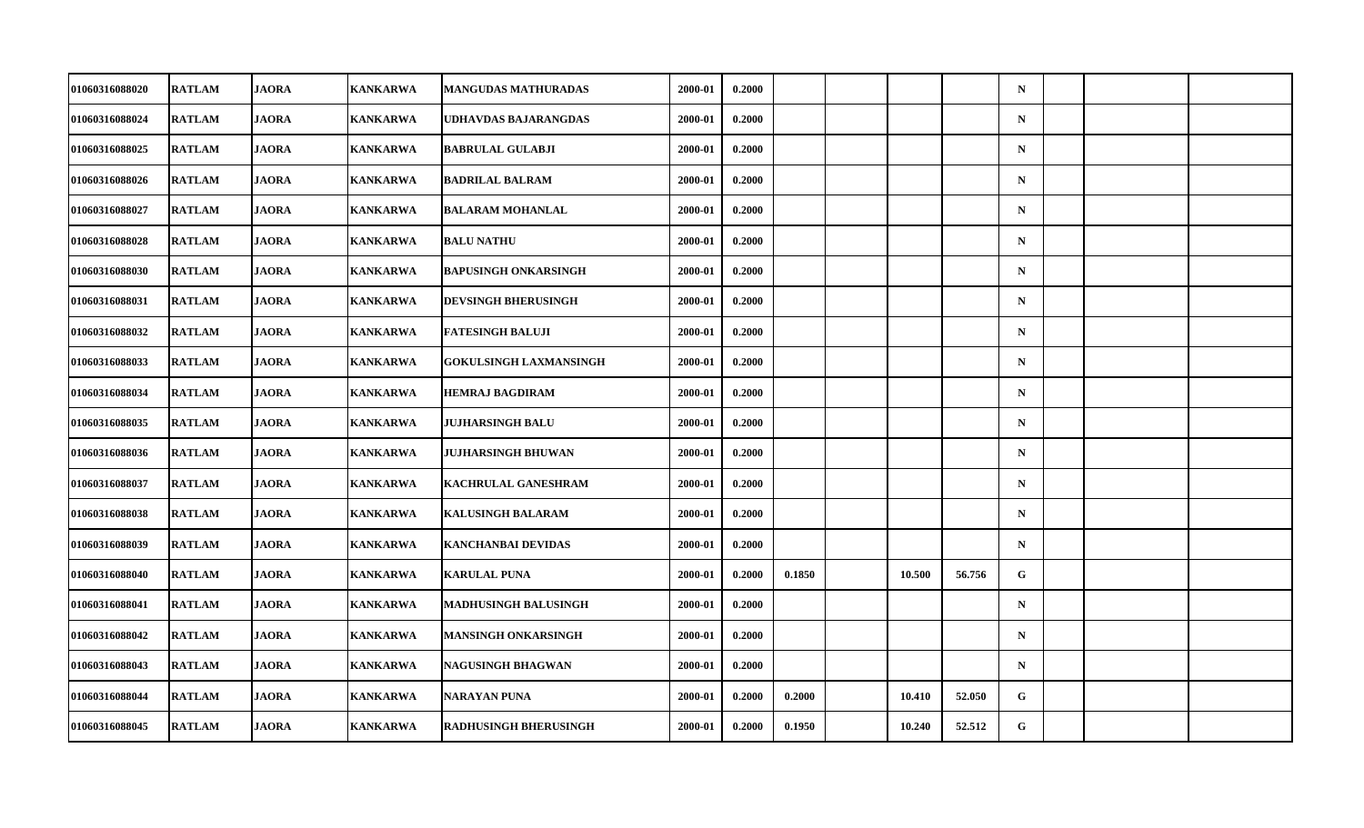| 01060316088020        | <b>RATLAM</b> | <b>JAORA</b> | <b>KANKARWA</b> | <b>MANGUDAS MATHURADAS</b>    | 2000-01 | 0.2000 |        |        |        | $\mathbf N$ |  |  |
|-----------------------|---------------|--------------|-----------------|-------------------------------|---------|--------|--------|--------|--------|-------------|--|--|
| 01060316088024        | <b>RATLAM</b> | <b>JAORA</b> | KANKARWA        | UDHAVDAS BAJARANGDAS          | 2000-01 | 0.2000 |        |        |        | ${\bf N}$   |  |  |
| 01060316088025        | <b>RATLAM</b> | <b>JAORA</b> | <b>KANKARWA</b> | <b>BABRULAL GULABJI</b>       | 2000-01 | 0.2000 |        |        |        | ${\bf N}$   |  |  |
| 01060316088026        | <b>RATLAM</b> | <b>JAORA</b> | <b>KANKARWA</b> | <b>BADRILAL BALRAM</b>        | 2000-01 | 0.2000 |        |        |        | $\mathbf N$ |  |  |
| 01060316088027        | <b>RATLAM</b> | <b>JAORA</b> | KANKARWA        | <b>BALARAM MOHANLAL</b>       | 2000-01 | 0.2000 |        |        |        | $\mathbf N$ |  |  |
| 01060316088028        | <b>RATLAM</b> | <b>JAORA</b> | <b>KANKARWA</b> | <b>BALU NATHU</b>             | 2000-01 | 0.2000 |        |        |        | $\mathbf N$ |  |  |
| 01060316088030        | <b>RATLAM</b> | <b>JAORA</b> | <b>KANKARWA</b> | <b>BAPUSINGH ONKARSINGH</b>   | 2000-01 | 0.2000 |        |        |        | $\mathbf N$ |  |  |
| 01060316088031        | <b>RATLAM</b> | <b>JAORA</b> | KANKARWA        | <b>DEVSINGH BHERUSINGH</b>    | 2000-01 | 0.2000 |        |        |        | $\mathbf N$ |  |  |
| 01060316088032        | <b>RATLAM</b> | <b>JAORA</b> | <b>KANKARWA</b> | <b>FATESINGH BALUJI</b>       | 2000-01 | 0.2000 |        |        |        | $\mathbf N$ |  |  |
| 01060316088033        | <b>RATLAM</b> | <b>JAORA</b> | <b>KANKARWA</b> | <b>GOKULSINGH LAXMANSINGH</b> | 2000-01 | 0.2000 |        |        |        | $\mathbf N$ |  |  |
| 01060316088034        | <b>RATLAM</b> | <b>JAORA</b> | KANKARWA        | <b>HEMRAJ BAGDIRAM</b>        | 2000-01 | 0.2000 |        |        |        | $\mathbf N$ |  |  |
| 01060316088035        | <b>RATLAM</b> | <b>JAORA</b> | <b>KANKARWA</b> | <b>JUJHARSINGH BALU</b>       | 2000-01 | 0.2000 |        |        |        | $\mathbf N$ |  |  |
| 01060316088036        | <b>RATLAM</b> | <b>JAORA</b> | <b>KANKARWA</b> | <b>JUJHARSINGH BHUWAN</b>     | 2000-01 | 0.2000 |        |        |        | ${\bf N}$   |  |  |
| 01060316088037        | <b>RATLAM</b> | <b>JAORA</b> | KANKARWA        | KACHRULAL GANESHRAM           | 2000-01 | 0.2000 |        |        |        | $\mathbf N$ |  |  |
| 01060316088038        | <b>RATLAM</b> | <b>JAORA</b> | <b>KANKARWA</b> | <b>KALUSINGH BALARAM</b>      | 2000-01 | 0.2000 |        |        |        | $\mathbf N$ |  |  |
| 01060316088039        | <b>RATLAM</b> | <b>JAORA</b> | <b>KANKARWA</b> | <b>KANCHANBAI DEVIDAS</b>     | 2000-01 | 0.2000 |        |        |        | $\mathbf N$ |  |  |
| <b>01060316088040</b> | <b>RATLAM</b> | <b>JAORA</b> | KANKARWA        | <b>KARULAL PUNA</b>           | 2000-01 | 0.2000 | 0.1850 | 10.500 | 56.756 | G           |  |  |
| 01060316088041        | <b>RATLAM</b> | <b>JAORA</b> | <b>KANKARWA</b> | <b>MADHUSINGH BALUSINGH</b>   | 2000-01 | 0.2000 |        |        |        | $\mathbf N$ |  |  |
| 01060316088042        | <b>RATLAM</b> | <b>JAORA</b> | <b>KANKARWA</b> | MANSINGH ONKARSINGH           | 2000-01 | 0.2000 |        |        |        | $\mathbf N$ |  |  |
| 01060316088043        | <b>RATLAM</b> | <b>JAORA</b> | <b>KANKARWA</b> | <b>NAGUSINGH BHAGWAN</b>      | 2000-01 | 0.2000 |        |        |        | $\mathbf N$ |  |  |
| 01060316088044        | <b>RATLAM</b> | <b>JAORA</b> | <b>KANKARWA</b> | NARAYAN PUNA                  | 2000-01 | 0.2000 | 0.2000 | 10.410 | 52.050 | G           |  |  |
| 01060316088045        | <b>RATLAM</b> | <b>JAORA</b> | <b>KANKARWA</b> | <b>RADHUSINGH BHERUSINGH</b>  | 2000-01 | 0.2000 | 0.1950 | 10.240 | 52.512 | G           |  |  |
|                       |               |              |                 |                               |         |        |        |        |        |             |  |  |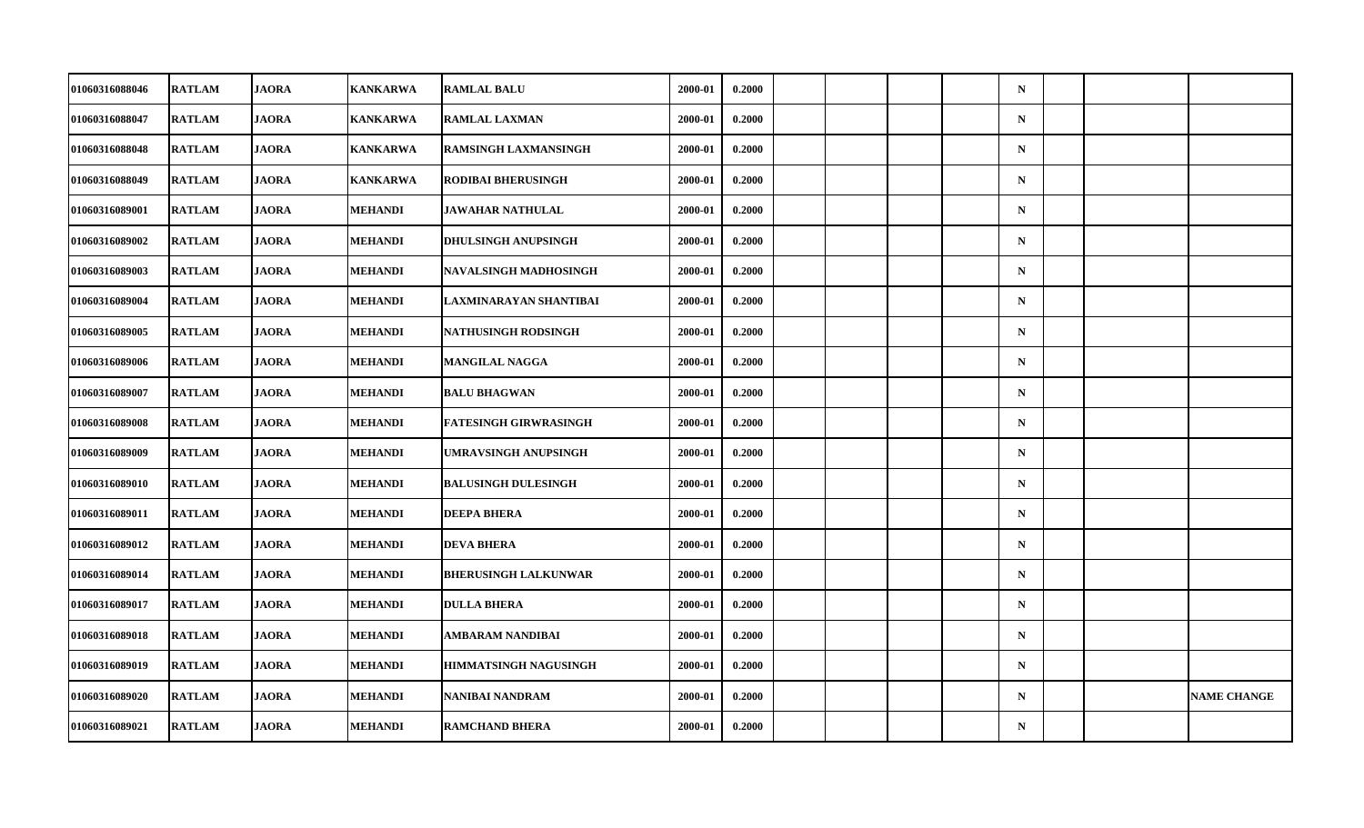| 01060316088046        | <b>RATLAM</b> | <b>JAORA</b> | <b>KANKARWA</b> | <b>RAMLAL BALU</b>           | 2000-01 | 0.2000 |  |  | $\mathbf N$ |  |                    |
|-----------------------|---------------|--------------|-----------------|------------------------------|---------|--------|--|--|-------------|--|--------------------|
| 01060316088047        | <b>RATLAM</b> | <b>JAORA</b> | KANKARWA        | <b>RAMLAL LAXMAN</b>         | 2000-01 | 0.2000 |  |  | ${\bf N}$   |  |                    |
| 01060316088048        | <b>RATLAM</b> | <b>JAORA</b> | <b>KANKARWA</b> | RAMSINGH LAXMANSINGH         | 2000-01 | 0.2000 |  |  | ${\bf N}$   |  |                    |
| 01060316088049        | <b>RATLAM</b> | <b>JAORA</b> | <b>KANKARWA</b> | <b>RODIBAI BHERUSINGH</b>    | 2000-01 | 0.2000 |  |  | $\mathbf N$ |  |                    |
| 01060316089001        | <b>RATLAM</b> | <b>JAORA</b> | MEHANDI         | JAWAHAR NATHULAL             | 2000-01 | 0.2000 |  |  | $\mathbf N$ |  |                    |
| 01060316089002        | <b>RATLAM</b> | <b>JAORA</b> | <b>MEHANDI</b>  | <b>DHULSINGH ANUPSINGH</b>   | 2000-01 | 0.2000 |  |  | $\mathbf N$ |  |                    |
| 01060316089003        | <b>RATLAM</b> | <b>JAORA</b> | <b>MEHANDI</b>  | <b>NAVALSINGH MADHOSINGH</b> | 2000-01 | 0.2000 |  |  | $\mathbf N$ |  |                    |
| 01060316089004        | <b>RATLAM</b> | <b>JAORA</b> | <b>MEHANDI</b>  | LAXMINARAYAN SHANTIBAI       | 2000-01 | 0.2000 |  |  | $\mathbf N$ |  |                    |
| 01060316089005        | <b>RATLAM</b> | <b>JAORA</b> | <b>MEHANDI</b>  | <b>NATHUSINGH RODSINGH</b>   | 2000-01 | 0.2000 |  |  | $\mathbf N$ |  |                    |
| 01060316089006        | <b>RATLAM</b> | <b>JAORA</b> | <b>MEHANDI</b>  | MANGILAL NAGGA               | 2000-01 | 0.2000 |  |  | $\mathbf N$ |  |                    |
| 01060316089007        | <b>RATLAM</b> | <b>JAORA</b> | MEHANDI         | <b>BALU BHAGWAN</b>          | 2000-01 | 0.2000 |  |  | $\mathbf N$ |  |                    |
| 01060316089008        | <b>RATLAM</b> | <b>JAORA</b> | <b>MEHANDI</b>  | <b>FATESINGH GIRWRASINGH</b> | 2000-01 | 0.2000 |  |  | $\mathbf N$ |  |                    |
| 01060316089009        | <b>RATLAM</b> | <b>JAORA</b> | <b>MEHANDI</b>  | UMRAVSINGH ANUPSINGH         | 2000-01 | 0.2000 |  |  | ${\bf N}$   |  |                    |
| 01060316089010        | <b>RATLAM</b> | <b>JAORA</b> | <b>MEHANDI</b>  | <b>BALUSINGH DULESINGH</b>   | 2000-01 | 0.2000 |  |  | $\mathbf N$ |  |                    |
| 01060316089011        | <b>RATLAM</b> | <b>JAORA</b> | <b>MEHANDI</b>  | <b>DEEPA BHERA</b>           | 2000-01 | 0.2000 |  |  | $\mathbf N$ |  |                    |
| 01060316089012        | <b>RATLAM</b> | <b>JAORA</b> | <b>MEHANDI</b>  | <b>DEVA BHERA</b>            | 2000-01 | 0.2000 |  |  | $\mathbf N$ |  |                    |
| <b>01060316089014</b> | <b>RATLAM</b> | <b>JAORA</b> | <b>MEHANDI</b>  | <b>BHERUSINGH LALKUNWAR</b>  | 2000-01 | 0.2000 |  |  | $\mathbf N$ |  |                    |
| 01060316089017        | <b>RATLAM</b> | <b>JAORA</b> | <b>MEHANDI</b>  | <b>DULLA BHERA</b>           | 2000-01 | 0.2000 |  |  | $\mathbf N$ |  |                    |
| 01060316089018        | <b>RATLAM</b> | <b>JAORA</b> | <b>MEHANDI</b>  | <b>AMBARAM NANDIBAI</b>      | 2000-01 | 0.2000 |  |  | $\mathbf N$ |  |                    |
| 01060316089019        | <b>RATLAM</b> | <b>JAORA</b> | MEHANDI         | <b>HIMMATSINGH NAGUSINGH</b> | 2000-01 | 0.2000 |  |  | $\mathbf N$ |  |                    |
| 01060316089020        | <b>RATLAM</b> | <b>JAORA</b> | <b>MEHANDI</b>  | NANIBAI NANDRAM              | 2000-01 | 0.2000 |  |  | $\mathbf N$ |  | <b>NAME CHANGE</b> |
| 01060316089021        | <b>RATLAM</b> | <b>JAORA</b> | <b>MEHANDI</b>  | <b>RAMCHAND BHERA</b>        | 2000-01 | 0.2000 |  |  | ${\bf N}$   |  |                    |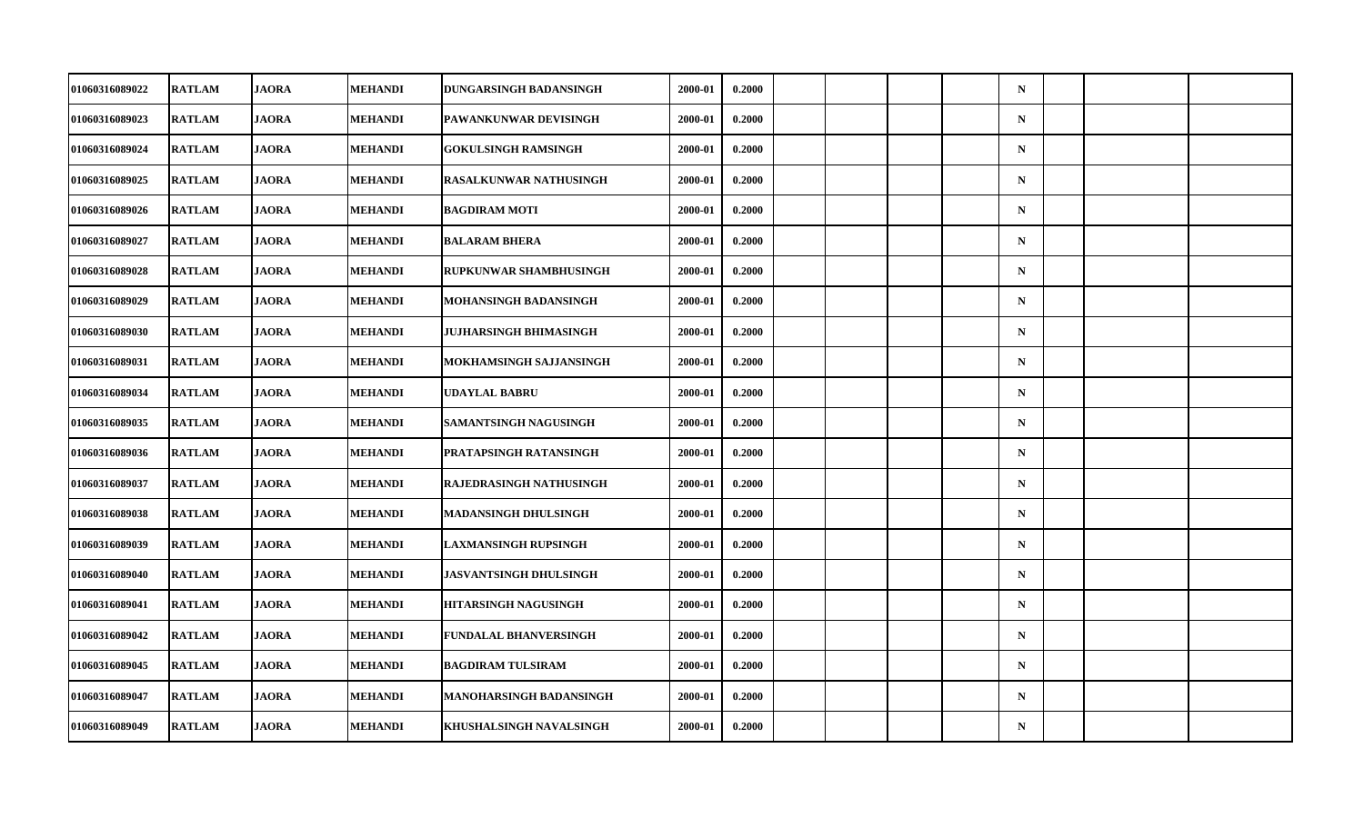| 01060316089022        | <b>RATLAM</b> | <b>JAORA</b> | <b>MEHANDI</b> | DUNGARSINGH BADANSINGH         | 2000-01 | 0.2000 |  |  | $\mathbf N$ |  |  |
|-----------------------|---------------|--------------|----------------|--------------------------------|---------|--------|--|--|-------------|--|--|
| 01060316089023        | <b>RATLAM</b> | <b>JAORA</b> | <b>MEHANDI</b> | PAWANKUNWAR DEVISINGH          | 2000-01 | 0.2000 |  |  | ${\bf N}$   |  |  |
| 01060316089024        | <b>RATLAM</b> | <b>JAORA</b> | <b>MEHANDI</b> | <b>GOKULSINGH RAMSINGH</b>     | 2000-01 | 0.2000 |  |  | $\mathbf N$ |  |  |
| 01060316089025        | <b>RATLAM</b> | <b>JAORA</b> | <b>MEHANDI</b> | <b>RASALKUNWAR NATHUSINGH</b>  | 2000-01 | 0.2000 |  |  | $\mathbf N$ |  |  |
| 01060316089026        | <b>RATLAM</b> | <b>JAORA</b> | <b>MEHANDI</b> | <b>BAGDIRAM MOTI</b>           | 2000-01 | 0.2000 |  |  | $\mathbf N$ |  |  |
| 01060316089027        | <b>RATLAM</b> | <b>JAORA</b> | <b>MEHANDI</b> | <b>BALARAM BHERA</b>           | 2000-01 | 0.2000 |  |  | $\mathbf N$ |  |  |
| 01060316089028        | <b>RATLAM</b> | <b>JAORA</b> | <b>MEHANDI</b> | RUPKUNWAR SHAMBHUSINGH         | 2000-01 | 0.2000 |  |  | $\mathbf N$ |  |  |
| 01060316089029        | <b>RATLAM</b> | <b>JAORA</b> | MEHANDI        | MOHANSINGH BADANSINGH          | 2000-01 | 0.2000 |  |  | $\mathbf N$ |  |  |
| 01060316089030        | <b>RATLAM</b> | <b>JAORA</b> | <b>MEHANDI</b> | JUJHARSINGH BHIMASINGH         | 2000-01 | 0.2000 |  |  | $\mathbf N$ |  |  |
| 01060316089031        | <b>RATLAM</b> | <b>JAORA</b> | <b>MEHANDI</b> | MOKHAMSINGH SAJJANSINGH        | 2000-01 | 0.2000 |  |  | $\mathbf N$ |  |  |
| 01060316089034        | <b>RATLAM</b> | <b>JAORA</b> | MEHANDI        | UDAYLAL BABRU                  | 2000-01 | 0.2000 |  |  | $\mathbf N$ |  |  |
| 01060316089035        | <b>RATLAM</b> | <b>JAORA</b> | <b>MEHANDI</b> | SAMANTSINGH NAGUSINGH          | 2000-01 | 0.2000 |  |  | $\mathbf N$ |  |  |
| 01060316089036        | <b>RATLAM</b> | <b>JAORA</b> | <b>MEHANDI</b> | PRATAPSINGH RATANSINGH         | 2000-01 | 0.2000 |  |  | ${\bf N}$   |  |  |
| 01060316089037        | <b>RATLAM</b> | <b>JAORA</b> | <b>MEHANDI</b> | RAJEDRASINGH NATHUSINGH        | 2000-01 | 0.2000 |  |  | $\mathbf N$ |  |  |
| 01060316089038        | <b>RATLAM</b> | <b>JAORA</b> | <b>MEHANDI</b> | <b>MADANSINGH DHULSINGH</b>    | 2000-01 | 0.2000 |  |  | $\mathbf N$ |  |  |
| 01060316089039        | <b>RATLAM</b> | <b>JAORA</b> | <b>MEHANDI</b> | LAXMANSINGH RUPSINGH           | 2000-01 | 0.2000 |  |  | $\mathbf N$ |  |  |
| <b>01060316089040</b> | <b>RATLAM</b> | <b>JAORA</b> | <b>MEHANDI</b> | JASVANTSINGH DHULSINGH         | 2000-01 | 0.2000 |  |  | $\mathbf N$ |  |  |
| 01060316089041        | <b>RATLAM</b> | <b>JAORA</b> | <b>MEHANDI</b> | <b>HITARSINGH NAGUSINGH</b>    | 2000-01 | 0.2000 |  |  | $\mathbf N$ |  |  |
| 01060316089042        | <b>RATLAM</b> | <b>JAORA</b> | MEHANDI        | FUNDALAL BHANVERSINGH          | 2000-01 | 0.2000 |  |  | $\mathbf N$ |  |  |
| 01060316089045        | <b>RATLAM</b> | <b>JAORA</b> | MEHANDI        | <b>BAGDIRAM TULSIRAM</b>       | 2000-01 | 0.2000 |  |  | $\mathbf N$ |  |  |
| 01060316089047        | <b>RATLAM</b> | <b>JAORA</b> | <b>MEHANDI</b> | <b>MANOHARSINGH BADANSINGH</b> | 2000-01 | 0.2000 |  |  | $\mathbf N$ |  |  |
| 01060316089049        | <b>RATLAM</b> | <b>JAORA</b> | <b>MEHANDI</b> | KHUSHALSINGH NAVALSINGH        | 2000-01 | 0.2000 |  |  | ${\bf N}$   |  |  |
|                       |               |              |                |                                |         |        |  |  |             |  |  |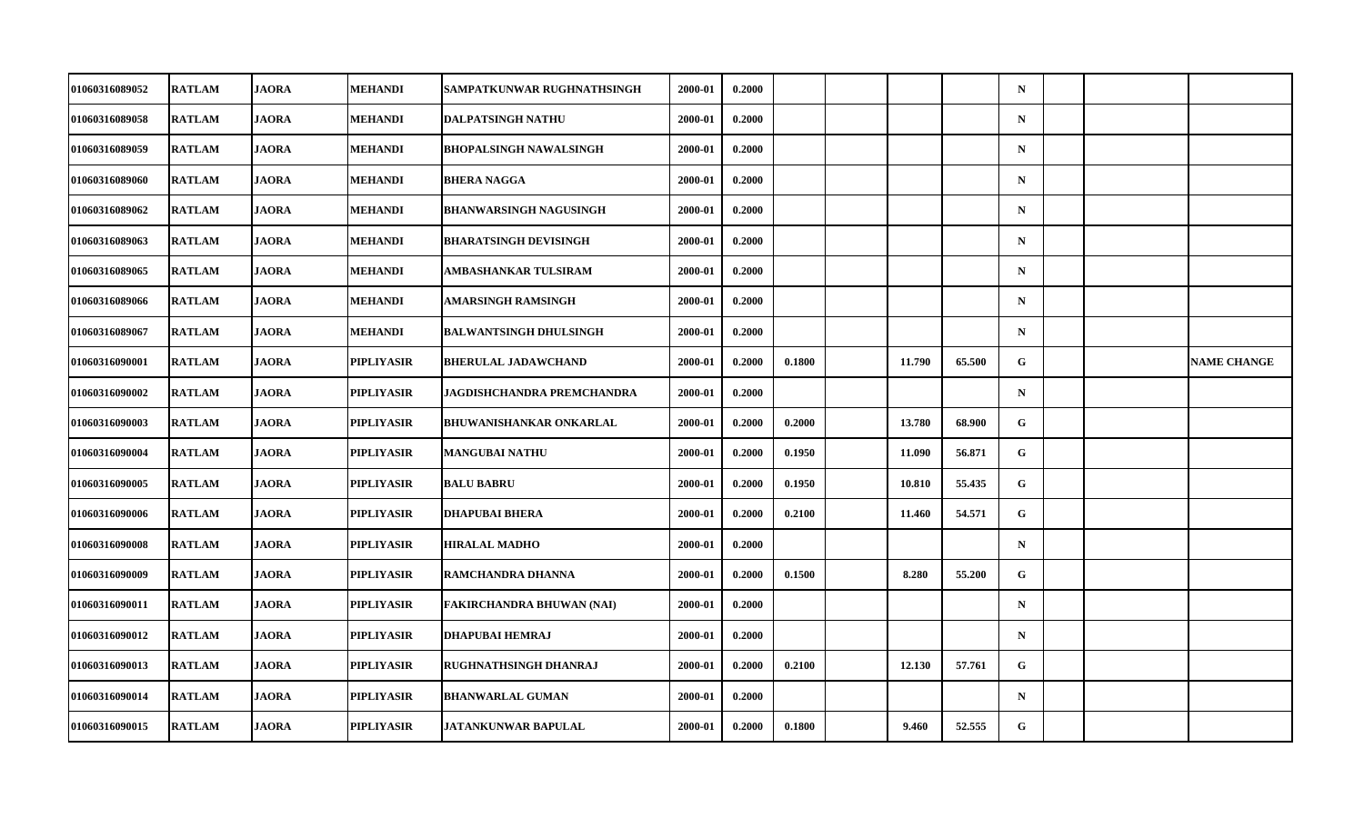| 01060316089052        | <b>RATLAM</b> | <b>JAORA</b> | <b>MEHANDI</b>    | SAMPATKUNWAR RUGHNATHSINGH       | 2000-01 | 0.2000 |        |        |        | $\mathbf N$ |  |                    |
|-----------------------|---------------|--------------|-------------------|----------------------------------|---------|--------|--------|--------|--------|-------------|--|--------------------|
| 01060316089058        | <b>RATLAM</b> | <b>JAORA</b> | <b>MEHANDI</b>    | <b>DALPATSINGH NATHU</b>         | 2000-01 | 0.2000 |        |        |        | ${\bf N}$   |  |                    |
| 01060316089059        | <b>RATLAM</b> | <b>JAORA</b> | <b>MEHANDI</b>    | <b>BHOPALSINGH NAWALSINGH</b>    | 2000-01 | 0.2000 |        |        |        | $\mathbf N$ |  |                    |
| 01060316089060        | <b>RATLAM</b> | <b>JAORA</b> | MEHANDI           | <b>BHERA NAGGA</b>               | 2000-01 | 0.2000 |        |        |        | $\mathbf N$ |  |                    |
| 01060316089062        | <b>RATLAM</b> | <b>JAORA</b> | MEHANDI           | <b>BHANWARSINGH NAGUSINGH</b>    | 2000-01 | 0.2000 |        |        |        | $\mathbf N$ |  |                    |
| 01060316089063        | <b>RATLAM</b> | <b>JAORA</b> | <b>MEHANDI</b>    | <b>BHARATSINGH DEVISINGH</b>     | 2000-01 | 0.2000 |        |        |        | $\mathbf N$ |  |                    |
| 01060316089065        | <b>RATLAM</b> | <b>JAORA</b> | <b>MEHANDI</b>    | AMBASHANKAR TULSIRAM             | 2000-01 | 0.2000 |        |        |        | $\mathbf N$ |  |                    |
| 01060316089066        | <b>RATLAM</b> | <b>JAORA</b> | <b>MEHANDI</b>    | AMARSINGH RAMSINGH               | 2000-01 | 0.2000 |        |        |        | $\mathbf N$ |  |                    |
| 01060316089067        | <b>RATLAM</b> | <b>JAORA</b> | MEHANDI           | <b>BALWANTSINGH DHULSINGH</b>    | 2000-01 | 0.2000 |        |        |        | $\mathbf N$ |  |                    |
| 01060316090001        | <b>RATLAM</b> | <b>JAORA</b> | <b>PIPLIYASIR</b> | <b>BHERULAL JADAWCHAND</b>       | 2000-01 | 0.2000 | 0.1800 | 11.790 | 65.500 | G.          |  | <b>NAME CHANGE</b> |
| 01060316090002        | <b>RATLAM</b> | <b>JAORA</b> | PIPLIYASIR        | JAGDISHCHANDRA PREMCHANDRA       | 2000-01 | 0.2000 |        |        |        | $\mathbf N$ |  |                    |
| 01060316090003        | <b>RATLAM</b> | <b>JAORA</b> | PIPLIYASIR        | <b>BHUWANISHANKAR ONKARLAL</b>   | 2000-01 | 0.2000 | 0.2000 | 13.780 | 68.900 | G           |  |                    |
| 01060316090004        | <b>RATLAM</b> | <b>JAORA</b> | PIPLIYASIR        | <b>MANGUBAI NATHU</b>            | 2000-01 | 0.2000 | 0.1950 | 11.090 | 56.871 | G           |  |                    |
| 01060316090005        | <b>RATLAM</b> | <b>JAORA</b> | <b>PIPLIYASIR</b> | <b>BALU BABRU</b>                | 2000-01 | 0.2000 | 0.1950 | 10.810 | 55.435 | G           |  |                    |
| 01060316090006        | <b>RATLAM</b> | <b>JAORA</b> | PIPLIYASIR        | <b>DHAPUBAI BHERA</b>            | 2000-01 | 0.2000 | 0.2100 | 11.460 | 54.571 | G           |  |                    |
| 01060316090008        | <b>RATLAM</b> | <b>JAORA</b> | <b>PIPLIYASIR</b> | <b>HIRALAL MADHO</b>             | 2000-01 | 0.2000 |        |        |        | $\mathbf N$ |  |                    |
| <b>01060316090009</b> | <b>RATLAM</b> | JAORA        | PIPLIYASIR        | RAMCHANDRA DHANNA                | 2000-01 | 0.2000 | 0.1500 | 8.280  | 55,200 | G           |  |                    |
| 01060316090011        | <b>RATLAM</b> | <b>JAORA</b> | PIPLIYASIR        | <b>FAKIRCHANDRA BHUWAN (NAI)</b> | 2000-01 | 0.2000 |        |        |        | $\mathbf N$ |  |                    |
| 01060316090012        | <b>RATLAM</b> | <b>JAORA</b> | PIPLIYASIR        | <b>DHAPUBAI HEMRAJ</b>           | 2000-01 | 0.2000 |        |        |        | $\mathbf N$ |  |                    |
| 01060316090013        | <b>RATLAM</b> | <b>JAORA</b> | PIPLIYASIR        | RUGHNATHSINGH DHANRAJ            | 2000-01 | 0.2000 | 0.2100 | 12.130 | 57.761 | G           |  |                    |
| 01060316090014        | <b>RATLAM</b> | <b>JAORA</b> | PIPLIYASIR        | <b>BHANWARLAL GUMAN</b>          | 2000-01 | 0.2000 |        |        |        | $\mathbf N$ |  |                    |
| 01060316090015        | <b>RATLAM</b> | <b>JAORA</b> | PIPLIYASIR        | <b>JATANKUNWAR BAPULAL</b>       | 2000-01 | 0.2000 | 0.1800 | 9.460  | 52.555 | G           |  |                    |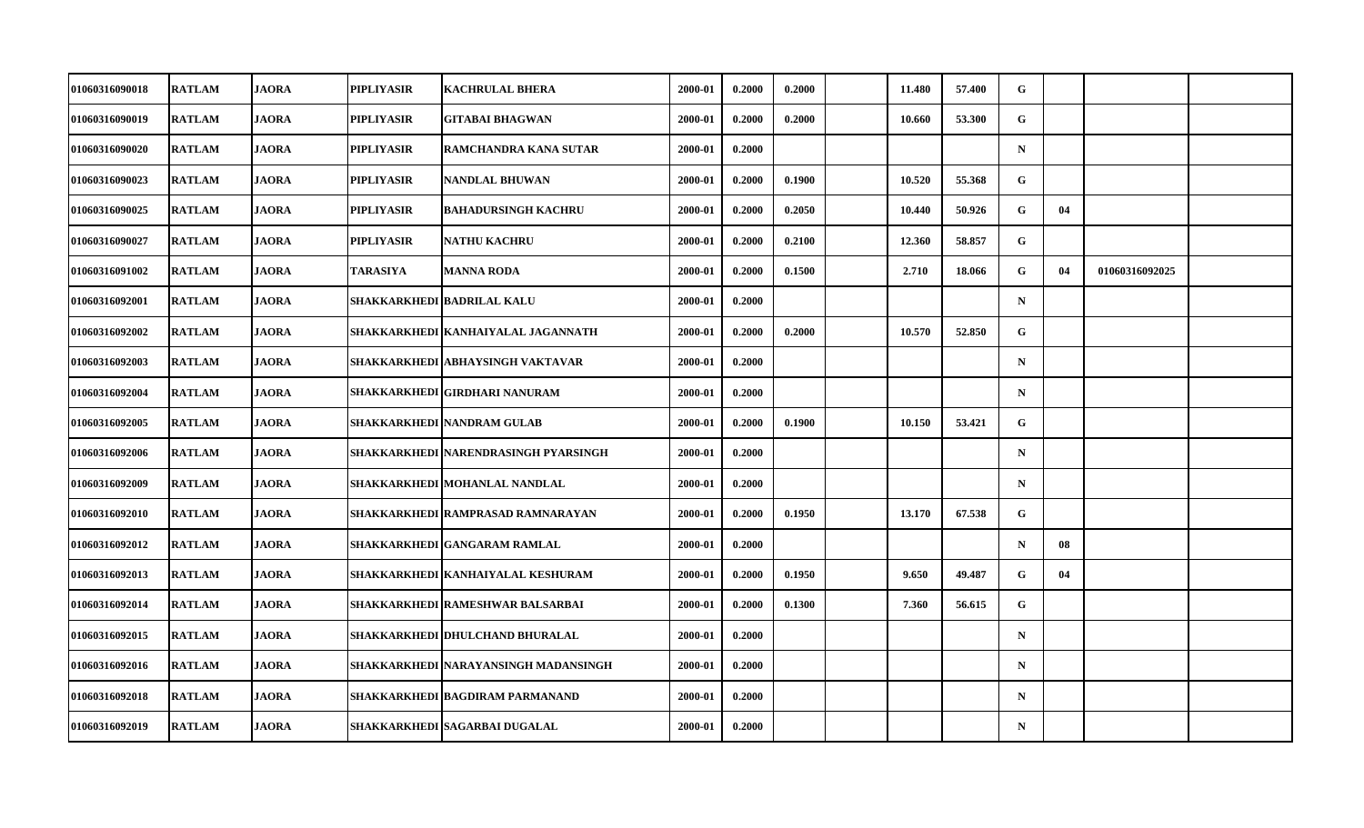| 01060316090018 | <b>RATLAM</b> | <b>JAORA</b> | <b>PIPLIYASIR</b> | <b>KACHRULAL BHERA</b>               | 2000-01 | 0.2000 | 0.2000 | 11.480 | 57.400 | G           |    |                |  |
|----------------|---------------|--------------|-------------------|--------------------------------------|---------|--------|--------|--------|--------|-------------|----|----------------|--|
| 01060316090019 | <b>RATLAM</b> | <b>JAORA</b> | <b>PIPLIYASIR</b> | GITABAI BHAGWAN                      | 2000-01 | 0.2000 | 0.2000 | 10.660 | 53.300 | G           |    |                |  |
| 01060316090020 | <b>RATLAM</b> | <b>JAORA</b> | <b>PIPLIYASIR</b> | RAMCHANDRA KANA SUTAR                | 2000-01 | 0.2000 |        |        |        | $\mathbf N$ |    |                |  |
| 01060316090023 | <b>RATLAM</b> | <b>JAORA</b> | <b>PIPLIYASIR</b> | <b>NANDLAL BHUWAN</b>                | 2000-01 | 0.2000 | 0.1900 | 10.520 | 55.368 | G           |    |                |  |
| 01060316090025 | <b>RATLAM</b> | <b>JAORA</b> | <b>PIPLIYASIR</b> | <b>BAHADURSINGH KACHRU</b>           | 2000-01 | 0.2000 | 0.2050 | 10.440 | 50.926 | G           | 04 |                |  |
| 01060316090027 | <b>RATLAM</b> | <b>JAORA</b> | <b>PIPLIYASIR</b> | <b>NATHU KACHRU</b>                  | 2000-01 | 0.2000 | 0.2100 | 12.360 | 58.857 | G           |    |                |  |
| 01060316091002 | <b>RATLAM</b> | <b>JAORA</b> | TARASIYA          | <b>MANNA RODA</b>                    | 2000-01 | 0.2000 | 0.1500 | 2.710  | 18.066 | G           | 04 | 01060316092025 |  |
| 01060316092001 | <b>RATLAM</b> | <b>JAORA</b> |                   | SHAKKARKHEDI BADRILAL KALU           | 2000-01 | 0.2000 |        |        |        | $\mathbf N$ |    |                |  |
| 01060316092002 | <b>RATLAM</b> | <b>JAORA</b> |                   | SHAKKARKHEDI   KANHAIYALAL JAGANNATH | 2000-01 | 0.2000 | 0.2000 | 10.570 | 52.850 | G           |    |                |  |
| 01060316092003 | <b>RATLAM</b> | <b>JAORA</b> |                   | SHAKKARKHEDI ABHAYSINGH VAKTAVAR     | 2000-01 | 0.2000 |        |        |        | $\mathbf N$ |    |                |  |
| 01060316092004 | <b>RATLAM</b> | <b>JAORA</b> |                   | SHAKKARKHEDI GIRDHARI NANURAM        | 2000-01 | 0.2000 |        |        |        | $\mathbf N$ |    |                |  |
| 01060316092005 | <b>RATLAM</b> | <b>JAORA</b> |                   | SHAKKARKHEDI NANDRAM GULAB           | 2000-01 | 0.2000 | 0.1900 | 10.150 | 53.421 | G           |    |                |  |
| 01060316092006 | <b>RATLAM</b> | <b>JAORA</b> |                   | SHAKKARKHEDI NARENDRASINGH PYARSINGH | 2000-01 | 0.2000 |        |        |        | $\mathbf N$ |    |                |  |
| 01060316092009 | <b>RATLAM</b> | <b>JAORA</b> |                   | SHAKKARKHEDI   MOHANLAL NANDLAL      | 2000-01 | 0.2000 |        |        |        | $\mathbf N$ |    |                |  |
| 01060316092010 | <b>RATLAM</b> | <b>JAORA</b> |                   | SHAKKARKHEDI RAMPRASAD RAMNARAYAN    | 2000-01 | 0.2000 | 0.1950 | 13.170 | 67.538 | G           |    |                |  |
| 01060316092012 | <b>RATLAM</b> | <b>JAORA</b> |                   | SHAKKARKHEDI GANGARAM RAMLAL         | 2000-01 | 0.2000 |        |        |        | $\mathbf N$ | 08 |                |  |
| 01060316092013 | <b>RATLAM</b> | <b>JAORA</b> |                   | SHAKKARKHEDI KANHAIYALAL KESHURAM    | 2000-01 | 0.2000 | 0.1950 | 9.650  | 49.487 | $\mathbf G$ | 04 |                |  |
| 01060316092014 | <b>RATLAM</b> | <b>JAORA</b> |                   | SHAKKARKHEDI RAMESHWAR BALSARBAI     | 2000-01 | 0.2000 | 0.1300 | 7.360  | 56.615 | G           |    |                |  |
| 01060316092015 | <b>RATLAM</b> | <b>JAORA</b> |                   | SHAKKARKHEDI DHULCHAND BHURALAL      | 2000-01 | 0.2000 |        |        |        | $\mathbf N$ |    |                |  |
| 01060316092016 | <b>RATLAM</b> | <b>JAORA</b> |                   | SHAKKARKHEDI NARAYANSINGH MADANSINGH | 2000-01 | 0.2000 |        |        |        | N           |    |                |  |
| 01060316092018 | <b>RATLAM</b> | <b>JAORA</b> |                   | SHAKKARKHEDI BAGDIRAM PARMANAND      | 2000-01 | 0.2000 |        |        |        | $\mathbf N$ |    |                |  |
| 01060316092019 | <b>RATLAM</b> | <b>JAORA</b> |                   | SHAKKARKHEDI   SAGARBAI DUGALAL      | 2000-01 | 0.2000 |        |        |        | $\mathbf N$ |    |                |  |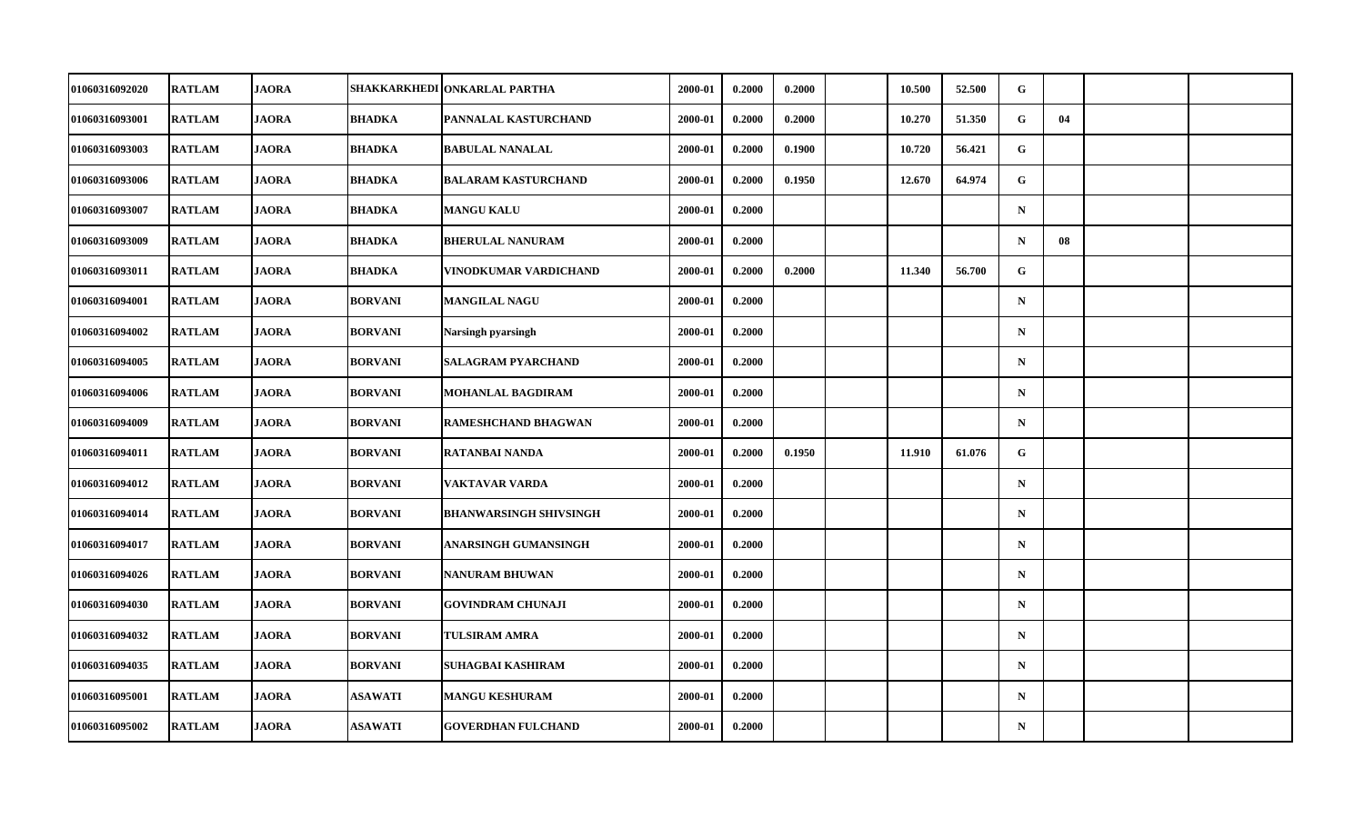| 01060316092020 | <b>RATLAM</b> | <b>JAORA</b> |                | SHAKKARKHEDI  ONKARLAL PARTHA | 2000-01 | 0.2000 | 0.2000 | 10.500 | 52.500 | G            |    |  |
|----------------|---------------|--------------|----------------|-------------------------------|---------|--------|--------|--------|--------|--------------|----|--|
| 01060316093001 | <b>RATLAM</b> | <b>JAORA</b> | <b>BHADKA</b>  | PANNALAL KASTURCHAND          | 2000-01 | 0.2000 | 0.2000 | 10.270 | 51.350 | G            | 04 |  |
| 01060316093003 | <b>RATLAM</b> | <b>JAORA</b> | <b>BHADKA</b>  | <b>BABULAL NANALAL</b>        | 2000-01 | 0.2000 | 0.1900 | 10.720 | 56.421 | G            |    |  |
| 01060316093006 | <b>RATLAM</b> | <b>JAORA</b> | <b>BHADKA</b>  | <b>BALARAM KASTURCHAND</b>    | 2000-01 | 0.2000 | 0.1950 | 12.670 | 64.974 | $\mathbf{G}$ |    |  |
| 01060316093007 | <b>RATLAM</b> | <b>JAORA</b> | <b>BHADKA</b>  | <b>MANGU KALU</b>             | 2000-01 | 0.2000 |        |        |        | $\mathbf N$  |    |  |
| 01060316093009 | <b>RATLAM</b> | <b>JAORA</b> | <b>BHADKA</b>  | <b>BHERULAL NANURAM</b>       | 2000-01 | 0.2000 |        |        |        | $\mathbf N$  | 08 |  |
| 01060316093011 | <b>RATLAM</b> | <b>JAORA</b> | <b>BHADKA</b>  | VINODKUMAR VARDICHAND         | 2000-01 | 0.2000 | 0.2000 | 11.340 | 56.700 | G            |    |  |
| 01060316094001 | <b>RATLAM</b> | <b>JAORA</b> | <b>BORVANI</b> | <b>MANGILAL NAGU</b>          | 2000-01 | 0.2000 |        |        |        | $\mathbf N$  |    |  |
| 01060316094002 | <b>RATLAM</b> | <b>JAORA</b> | <b>BORVANI</b> | Narsingh pyarsingh            | 2000-01 | 0.2000 |        |        |        | $\mathbf N$  |    |  |
| 01060316094005 | <b>RATLAM</b> | <b>JAORA</b> | <b>BORVANI</b> | <b>SALAGRAM PYARCHAND</b>     | 2000-01 | 0.2000 |        |        |        | $\mathbf N$  |    |  |
| 01060316094006 | <b>RATLAM</b> | <b>JAORA</b> | <b>BORVANI</b> | <b>MOHANLAL BAGDIRAM</b>      | 2000-01 | 0.2000 |        |        |        | $\mathbf N$  |    |  |
| 01060316094009 | <b>RATLAM</b> | <b>JAORA</b> | <b>BORVANI</b> | <b>RAMESHCHAND BHAGWAN</b>    | 2000-01 | 0.2000 |        |        |        | $\mathbf N$  |    |  |
| 01060316094011 | <b>RATLAM</b> | <b>JAORA</b> | <b>BORVANI</b> | RATANBAI NANDA                | 2000-01 | 0.2000 | 0.1950 | 11.910 | 61.076 | G            |    |  |
| 01060316094012 | <b>RATLAM</b> | <b>JAORA</b> | <b>BORVANI</b> | VAKTAVAR VARDA                | 2000-01 | 0.2000 |        |        |        | $\mathbf N$  |    |  |
| 01060316094014 | <b>RATLAM</b> | <b>JAORA</b> | <b>BORVANI</b> | <b>BHANWARSINGH SHIVSINGH</b> | 2000-01 | 0.2000 |        |        |        | $\mathbf N$  |    |  |
| 01060316094017 | <b>RATLAM</b> | <b>JAORA</b> | <b>BORVANI</b> | ANARSINGH GUMANSINGH          | 2000-01 | 0.2000 |        |        |        | $\mathbf N$  |    |  |
| 01060316094026 | <b>RATLAM</b> | <b>JAORA</b> | <b>BORVANI</b> | <b>NANURAM BHUWAN</b>         | 2000-01 | 0.2000 |        |        |        | $\mathbf N$  |    |  |
| 01060316094030 | <b>RATLAM</b> | <b>JAORA</b> | <b>BORVANI</b> | <b>GOVINDRAM CHUNAJI</b>      | 2000-01 | 0.2000 |        |        |        | $\mathbf N$  |    |  |
| 01060316094032 | <b>RATLAM</b> | <b>JAORA</b> | <b>BORVANI</b> | <b>TULSIRAM AMRA</b>          | 2000-01 | 0.2000 |        |        |        | $\mathbf N$  |    |  |
| 01060316094035 | <b>RATLAM</b> | <b>JAORA</b> | <b>BORVANI</b> | SUHAGBAI KASHIRAM             | 2000-01 | 0.2000 |        |        |        | $\mathbf N$  |    |  |
| 01060316095001 | <b>RATLAM</b> | <b>JAORA</b> | <b>ASAWATI</b> | <b>MANGU KESHURAM</b>         | 2000-01 | 0.2000 |        |        |        | $\mathbf N$  |    |  |
| 01060316095002 | <b>RATLAM</b> | <b>JAORA</b> | <b>ASAWATI</b> | <b>GOVERDHAN FULCHAND</b>     | 2000-01 | 0.2000 |        |        |        | ${\bf N}$    |    |  |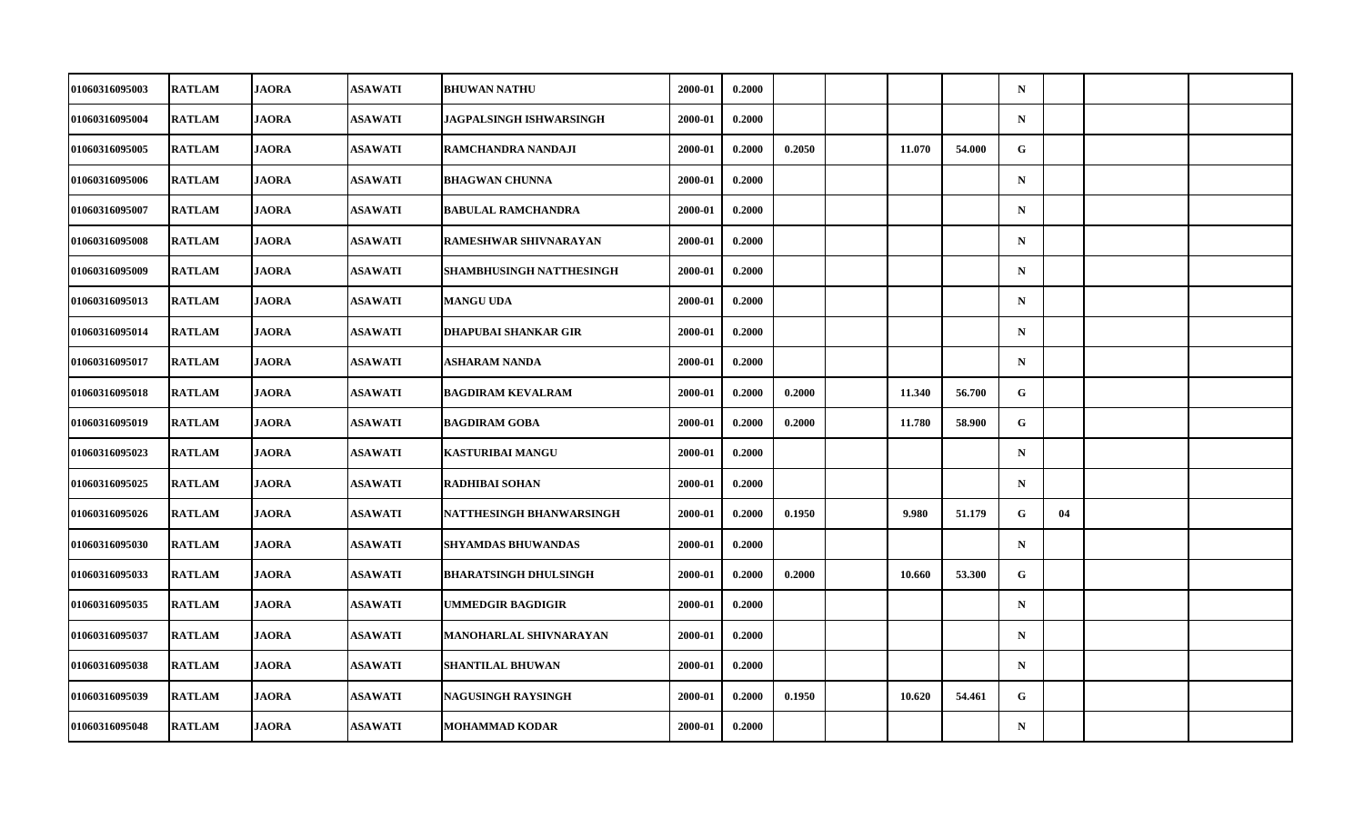| 01060316095003 | <b>RATLAM</b> | <b>JAORA</b> | <b>ASAWATI</b> | <b>BHUWAN NATHU</b>          | 2000-01 | 0.2000 |        |        |        | $\mathbf N$ |    |  |
|----------------|---------------|--------------|----------------|------------------------------|---------|--------|--------|--------|--------|-------------|----|--|
| 01060316095004 | <b>RATLAM</b> | <b>JAORA</b> | <b>ASAWATI</b> | JAGPALSINGH ISHWARSINGH      | 2000-01 | 0.2000 |        |        |        | $\mathbf N$ |    |  |
| 01060316095005 | <b>RATLAM</b> | <b>JAORA</b> | <b>ASAWATI</b> | RAMCHANDRA NANDAJI           | 2000-01 | 0.2000 | 0.2050 | 11.070 | 54.000 | $\mathbf G$ |    |  |
| 01060316095006 | <b>RATLAM</b> | <b>JAORA</b> | <b>ASAWATI</b> | <b>BHAGWAN CHUNNA</b>        | 2000-01 | 0.2000 |        |        |        | $\mathbf N$ |    |  |
| 01060316095007 | <b>RATLAM</b> | <b>JAORA</b> | <b>ASAWATI</b> | <b>BABULAL RAMCHANDRA</b>    | 2000-01 | 0.2000 |        |        |        | $\mathbf N$ |    |  |
| 01060316095008 | <b>RATLAM</b> | <b>JAORA</b> | <b>ASAWATI</b> | RAMESHWAR SHIVNARAYAN        | 2000-01 | 0.2000 |        |        |        | $\mathbf N$ |    |  |
| 01060316095009 | <b>RATLAM</b> | <b>JAORA</b> | <b>ASAWATI</b> | SHAMBHUSINGH NATTHESINGH     | 2000-01 | 0.2000 |        |        |        | $\mathbf N$ |    |  |
| 01060316095013 | <b>RATLAM</b> | <b>JAORA</b> | <b>ASAWATI</b> | <b>MANGU UDA</b>             | 2000-01 | 0.2000 |        |        |        | $\mathbf N$ |    |  |
| 01060316095014 | <b>RATLAM</b> | <b>JAORA</b> | <b>ASAWATI</b> | <b>DHAPUBAI SHANKAR GIR</b>  | 2000-01 | 0.2000 |        |        |        | $\mathbf N$ |    |  |
| 01060316095017 | <b>RATLAM</b> | <b>JAORA</b> | <b>ASAWATI</b> | ASHARAM NANDA                | 2000-01 | 0.2000 |        |        |        | $\mathbf N$ |    |  |
| 01060316095018 | <b>RATLAM</b> | <b>JAORA</b> | <b>ASAWATI</b> | <b>BAGDIRAM KEVALRAM</b>     | 2000-01 | 0.2000 | 0.2000 | 11.340 | 56.700 | G           |    |  |
| 01060316095019 | <b>RATLAM</b> | <b>JAORA</b> | <b>ASAWATI</b> | <b>BAGDIRAM GOBA</b>         | 2000-01 | 0.2000 | 0.2000 | 11.780 | 58.900 | G           |    |  |
| 01060316095023 | <b>RATLAM</b> | <b>JAORA</b> | <b>ASAWATI</b> | <b>KASTURIBAI MANGU</b>      | 2000-01 | 0.2000 |        |        |        | $\mathbf N$ |    |  |
| 01060316095025 | <b>RATLAM</b> | <b>JAORA</b> | <b>ASAWATI</b> | <b>RADHIBAI SOHAN</b>        | 2000-01 | 0.2000 |        |        |        | $\mathbf N$ |    |  |
| 01060316095026 | <b>RATLAM</b> | <b>JAORA</b> | <b>ASAWATI</b> | NATTHESINGH BHANWARSINGH     | 2000-01 | 0.2000 | 0.1950 | 9.980  | 51.179 | G           | 04 |  |
| 01060316095030 | <b>RATLAM</b> | <b>JAORA</b> | <b>ASAWATI</b> | <b>SHYAMDAS BHUWANDAS</b>    | 2000-01 | 0.2000 |        |        |        | $\mathbf N$ |    |  |
| 01060316095033 | <b>RATLAM</b> | <b>JAORA</b> | <b>ASAWATI</b> | <b>BHARATSINGH DHULSINGH</b> | 2000-01 | 0.2000 | 0.2000 | 10.660 | 53.300 | G           |    |  |
| 01060316095035 | <b>RATLAM</b> | <b>JAORA</b> | <b>ASAWATI</b> | <b>UMMEDGIR BAGDIGIR</b>     | 2000-01 | 0.2000 |        |        |        | $\mathbf N$ |    |  |
| 01060316095037 | <b>RATLAM</b> | <b>JAORA</b> | <b>ASAWATI</b> | MANOHARLAL SHIVNARAYAN       | 2000-01 | 0.2000 |        |        |        | $\mathbf N$ |    |  |
| 01060316095038 | <b>RATLAM</b> | <b>JAORA</b> | <b>ASAWATI</b> | <b>SHANTILAL BHUWAN</b>      | 2000-01 | 0.2000 |        |        |        | $\mathbf N$ |    |  |
| 01060316095039 | <b>RATLAM</b> | <b>JAORA</b> | <b>ASAWATI</b> | <b>NAGUSINGH RAYSINGH</b>    | 2000-01 | 0.2000 | 0.1950 | 10.620 | 54.461 | G           |    |  |
| 01060316095048 | <b>RATLAM</b> | <b>JAORA</b> | <b>ASAWATI</b> | <b>MOHAMMAD KODAR</b>        | 2000-01 | 0.2000 |        |        |        | $\mathbf N$ |    |  |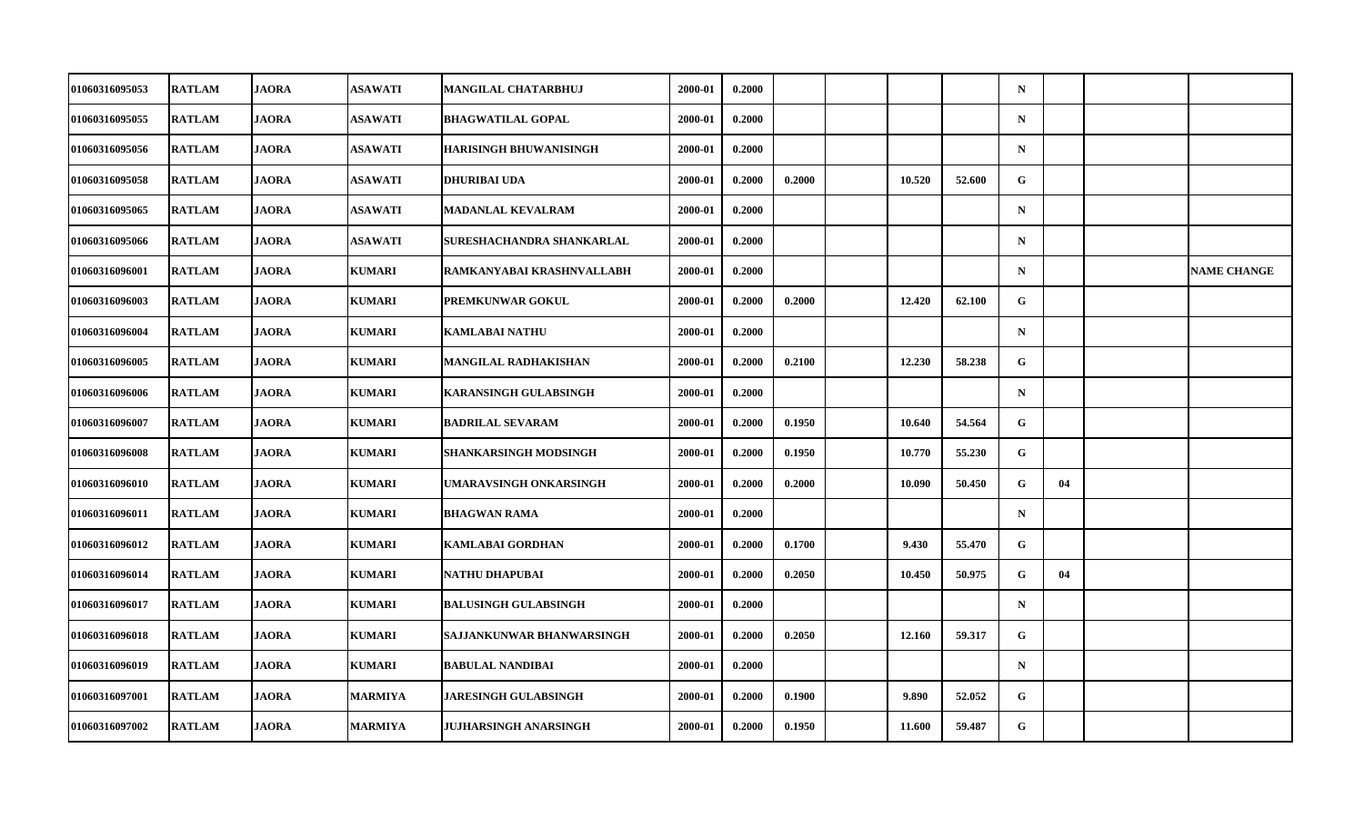| 01060316095053 | <b>RATLAM</b> | <b>JAORA</b> | <b>ASAWATI</b> | <b>MANGILAL CHATARBHUJ</b>    | 2000-01 | 0.2000 |        |        |        | $\mathbf N$ |    |                    |
|----------------|---------------|--------------|----------------|-------------------------------|---------|--------|--------|--------|--------|-------------|----|--------------------|
| 01060316095055 | <b>RATLAM</b> | <b>JAORA</b> | <b>ASAWATI</b> | <b>BHAGWATILAL GOPAL</b>      | 2000-01 | 0.2000 |        |        |        | $\mathbf N$ |    |                    |
| 01060316095056 | <b>RATLAM</b> | <b>JAORA</b> | <b>ASAWATI</b> | <b>HARISINGH BHUWANISINGH</b> | 2000-01 | 0.2000 |        |        |        | $\mathbf N$ |    |                    |
| 01060316095058 | <b>RATLAM</b> | <b>JAORA</b> | <b>ASAWATI</b> | <b>DHURIBAI UDA</b>           | 2000-01 | 0.2000 | 0.2000 | 10.520 | 52.600 | G           |    |                    |
| 01060316095065 | <b>RATLAM</b> | <b>JAORA</b> | <b>ASAWATI</b> | <b>MADANLAL KEVALRAM</b>      | 2000-01 | 0.2000 |        |        |        | $\mathbf N$ |    |                    |
| 01060316095066 | <b>RATLAM</b> | <b>JAORA</b> | <b>ASAWATI</b> | SURESHACHANDRA SHANKARLAL     | 2000-01 | 0.2000 |        |        |        | $\mathbf N$ |    |                    |
| 01060316096001 | <b>RATLAM</b> | <b>JAORA</b> | <b>KUMARI</b>  | RAMKANYABAI KRASHNVALLABH     | 2000-01 | 0.2000 |        |        |        | $\mathbf N$ |    | <b>NAME CHANGE</b> |
| 01060316096003 | <b>RATLAM</b> | <b>JAORA</b> | <b>KUMARI</b>  | PREMKUNWAR GOKUL              | 2000-01 | 0.2000 | 0.2000 | 12.420 | 62.100 | G           |    |                    |
| 01060316096004 | <b>RATLAM</b> | <b>JAORA</b> | <b>KUMARI</b>  | <b>KAMLABAI NATHU</b>         | 2000-01 | 0.2000 |        |        |        | $\mathbf N$ |    |                    |
| 01060316096005 | <b>RATLAM</b> | <b>JAORA</b> | <b>KUMARI</b>  | <b>MANGILAL RADHAKISHAN</b>   | 2000-01 | 0.2000 | 0.2100 | 12.230 | 58.238 | ${\bf G}$   |    |                    |
| 01060316096006 | <b>RATLAM</b> | <b>JAORA</b> | <b>KUMARI</b>  | <b>KARANSINGH GULABSINGH</b>  | 2000-01 | 0.2000 |        |        |        | $\mathbf N$ |    |                    |
| 01060316096007 | <b>RATLAM</b> | <b>JAORA</b> | <b>KUMARI</b>  | <b>BADRILAL SEVARAM</b>       | 2000-01 | 0.2000 | 0.1950 | 10.640 | 54.564 | G           |    |                    |
| 01060316096008 | <b>RATLAM</b> | <b>JAORA</b> | <b>KUMARI</b>  | <b>SHANKARSINGH MODSINGH</b>  | 2000-01 | 0.2000 | 0.1950 | 10.770 | 55.230 | $\mathbf G$ |    |                    |
| 01060316096010 | <b>RATLAM</b> | <b>JAORA</b> | <b>KUMARI</b>  | UMARAVSINGH ONKARSINGH        | 2000-01 | 0.2000 | 0.2000 | 10.090 | 50.450 | G           | 04 |                    |
| 01060316096011 | <b>RATLAM</b> | <b>JAORA</b> | <b>KUMARI</b>  | <b>BHAGWAN RAMA</b>           | 2000-01 | 0.2000 |        |        |        | $\mathbf N$ |    |                    |
| 01060316096012 | <b>RATLAM</b> | <b>JAORA</b> | <b>KUMARI</b>  | <b>KAMLABAI GORDHAN</b>       | 2000-01 | 0.2000 | 0.1700 | 9.430  | 55.470 | G           |    |                    |
| 01060316096014 | <b>RATLAM</b> | <b>JAORA</b> | <b>KUMARI</b>  | NATHU DHAPUBAI                | 2000-01 | 0.2000 | 0.2050 | 10.450 | 50.975 | G           | 04 |                    |
| 01060316096017 | <b>RATLAM</b> | <b>JAORA</b> | <b>KUMARI</b>  | <b>BALUSINGH GULABSINGH</b>   | 2000-01 | 0.2000 |        |        |        | $\mathbf N$ |    |                    |
| 01060316096018 | <b>RATLAM</b> | <b>JAORA</b> | <b>KUMARI</b>  | SAJJANKUNWAR BHANWARSINGH     | 2000-01 | 0.2000 | 0.2050 | 12.160 | 59.317 | G           |    |                    |
| 01060316096019 | <b>RATLAM</b> | <b>JAORA</b> | <b>KUMARI</b>  | <b>BABULAL NANDIBAI</b>       | 2000-01 | 0.2000 |        |        |        | $\mathbf N$ |    |                    |
| 01060316097001 | <b>RATLAM</b> | <b>JAORA</b> | <b>MARMIYA</b> | <b>JARESINGH GULABSINGH</b>   | 2000-01 | 0.2000 | 0.1900 | 9.890  | 52.052 | G           |    |                    |
| 01060316097002 | <b>RATLAM</b> | <b>JAORA</b> | <b>MARMIYA</b> | JUJHARSINGH ANARSINGH         | 2000-01 | 0.2000 | 0.1950 | 11.600 | 59.487 | G           |    |                    |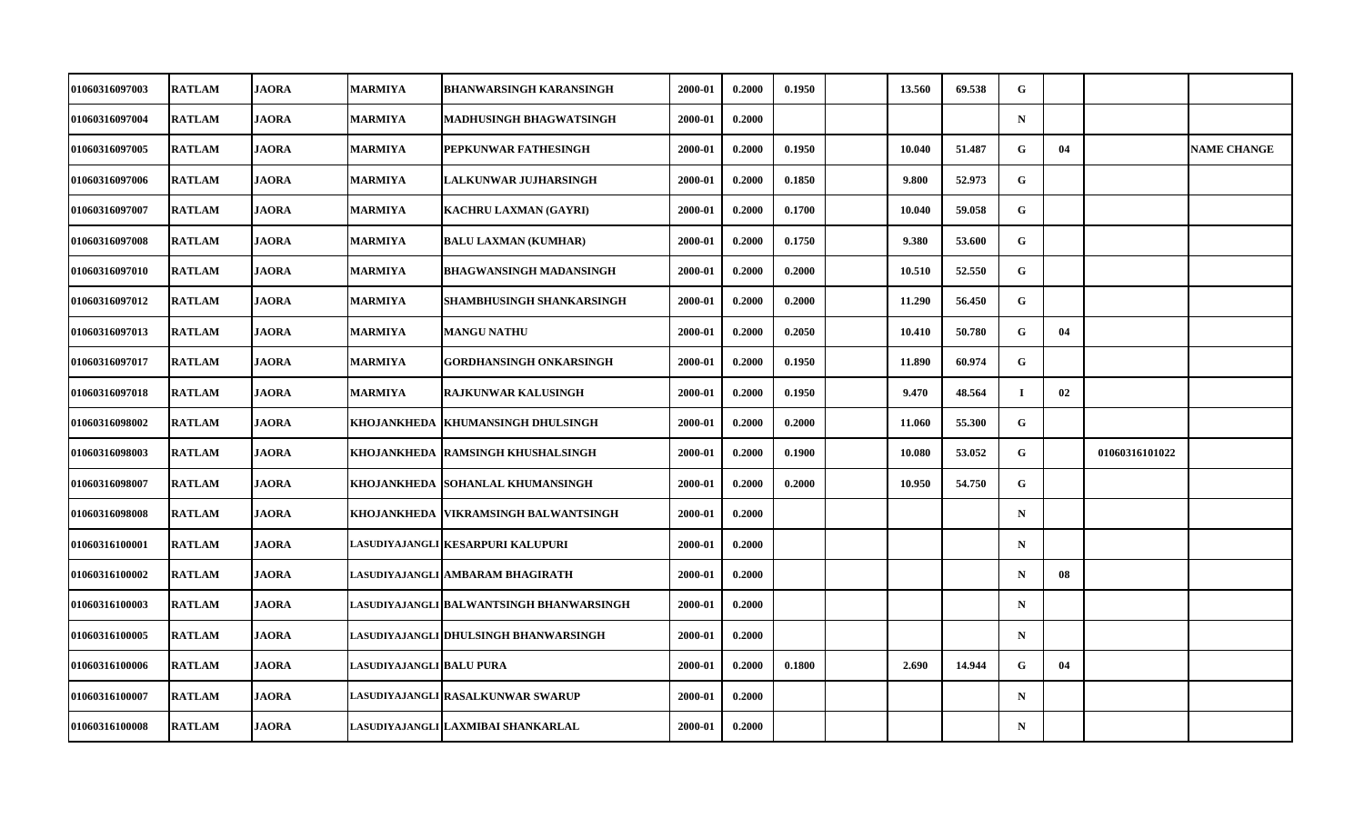| <b>01060316097003</b> | <b>RATLAM</b> | <b>JAORA</b> | <b>MARMIYA</b>           | <b>BHANWARSINGH KARANSINGH</b>           | 2000-01 | 0.2000 | 0.1950 | 13.560 | 69.538 | G           |    |                |                    |
|-----------------------|---------------|--------------|--------------------------|------------------------------------------|---------|--------|--------|--------|--------|-------------|----|----------------|--------------------|
| <b>01060316097004</b> | <b>RATLAM</b> | <b>JAORA</b> | <b>MARMIYA</b>           | <b>MADHUSINGH BHAGWATSINGH</b>           | 2000-01 | 0.2000 |        |        |        | $\mathbf N$ |    |                |                    |
| 01060316097005        | <b>RATLAM</b> | <b>JAORA</b> | <b>MARMIYA</b>           | PEPKUNWAR FATHESINGH                     | 2000-01 | 0.2000 | 0.1950 | 10.040 | 51.487 | G           | 04 |                | <b>NAME CHANGE</b> |
| 01060316097006        | <b>RATLAM</b> | <b>JAORA</b> | <b>MARMIYA</b>           | LALKUNWAR JUJHARSINGH                    | 2000-01 | 0.2000 | 0.1850 | 9.800  | 52.973 | G           |    |                |                    |
| 01060316097007        | <b>RATLAM</b> | <b>JAORA</b> | <b>MARMIYA</b>           | <b>KACHRU LAXMAN (GAYRI)</b>             | 2000-01 | 0.2000 | 0.1700 | 10.040 | 59.058 | G           |    |                |                    |
| 01060316097008        | <b>RATLAM</b> | <b>JAORA</b> | <b>MARMIYA</b>           | <b>BALU LAXMAN (KUMHAR)</b>              | 2000-01 | 0.2000 | 0.1750 | 9.380  | 53.600 | G           |    |                |                    |
| 01060316097010        | <b>RATLAM</b> | <b>JAORA</b> | <b>MARMIYA</b>           | <b>BHAGWANSINGH MADANSINGH</b>           | 2000-01 | 0.2000 | 0.2000 | 10.510 | 52.550 | G           |    |                |                    |
| 01060316097012        | <b>RATLAM</b> | <b>JAORA</b> | <b>MARMIYA</b>           | SHAMBHUSINGH SHANKARSINGH                | 2000-01 | 0.2000 | 0.2000 | 11.290 | 56.450 | G           |    |                |                    |
| 01060316097013        | <b>RATLAM</b> | <b>JAORA</b> | MARMIYA                  | <b>MANGU NATHU</b>                       | 2000-01 | 0.2000 | 0.2050 | 10.410 | 50.780 | G           | 04 |                |                    |
| 01060316097017        | <b>RATLAM</b> | <b>JAORA</b> | <b>MARMIYA</b>           | <b>GORDHANSINGH ONKARSINGH</b>           | 2000-01 | 0.2000 | 0.1950 | 11.890 | 60.974 | G           |    |                |                    |
| 01060316097018        | <b>RATLAM</b> | <b>JAORA</b> | <b>MARMIYA</b>           | <b>RAJKUNWAR KALUSINGH</b>               | 2000-01 | 0.2000 | 0.1950 | 9.470  | 48.564 | $\bf{I}$    | 02 |                |                    |
| 01060316098002        | <b>RATLAM</b> | <b>JAORA</b> | <b>KHOJANKHEDA</b>       | <b>KHUMANSINGH DHULSINGH</b>             | 2000-01 | 0.2000 | 0.2000 | 11.060 | 55.300 | G           |    |                |                    |
| 01060316098003        | <b>RATLAM</b> | <b>JAORA</b> |                          | KHOJANKHEDA RAMSINGH KHUSHALSINGH        | 2000-01 | 0.2000 | 0.1900 | 10.080 | 53.052 | G           |    | 01060316101022 |                    |
| 01060316098007        | <b>RATLAM</b> | <b>JAORA</b> |                          | KHOJANKHEDA SOHANLAL KHUMANSINGH         | 2000-01 | 0.2000 | 0.2000 | 10.950 | 54.750 | G           |    |                |                    |
| 01060316098008        | <b>RATLAM</b> | <b>JAORA</b> |                          | KHOJANKHEDA VIKRAMSINGH BALWANTSINGH     | 2000-01 | 0.2000 |        |        |        | $\mathbf N$ |    |                |                    |
| 01060316100001        | <b>RATLAM</b> | <b>JAORA</b> |                          | LASUDIYAJANGLI KESARPURI KALUPURI        | 2000-01 | 0.2000 |        |        |        | $\mathbf N$ |    |                |                    |
| 01060316100002        | <b>RATLAM</b> | <b>JAORA</b> |                          | LASUDIYAJANGLI AMBARAM BHAGIRATH         | 2000-01 | 0.2000 |        |        |        | $\mathbf N$ | 08 |                |                    |
| 01060316100003        | <b>RATLAM</b> | <b>JAORA</b> |                          | LASUDIYAJANGLI BALWANTSINGH BHANWARSINGH | 2000-01 | 0.2000 |        |        |        | $\mathbf N$ |    |                |                    |
| 01060316100005        | <b>RATLAM</b> | <b>JAORA</b> |                          | LASUDIYAJANGLI DHULSINGH BHANWARSINGH    | 2000-01 | 0.2000 |        |        |        | $\mathbf N$ |    |                |                    |
| 01060316100006        | <b>RATLAM</b> | <b>JAORA</b> | LASUDIYAJANGLI BALU PURA |                                          | 2000-01 | 0.2000 | 0.1800 | 2.690  | 14.944 | G           | 04 |                |                    |
| 01060316100007        | <b>RATLAM</b> | <b>JAORA</b> |                          | LASUDIYAJANGLI RASALKUNWAR SWARUP        | 2000-01 | 0.2000 |        |        |        | $\mathbf N$ |    |                |                    |
| 01060316100008        | <b>RATLAM</b> | <b>JAORA</b> |                          | LASUDIYAJANGLI LAXMIBAI SHANKARLAL       | 2000-01 | 0.2000 |        |        |        | $\mathbf N$ |    |                |                    |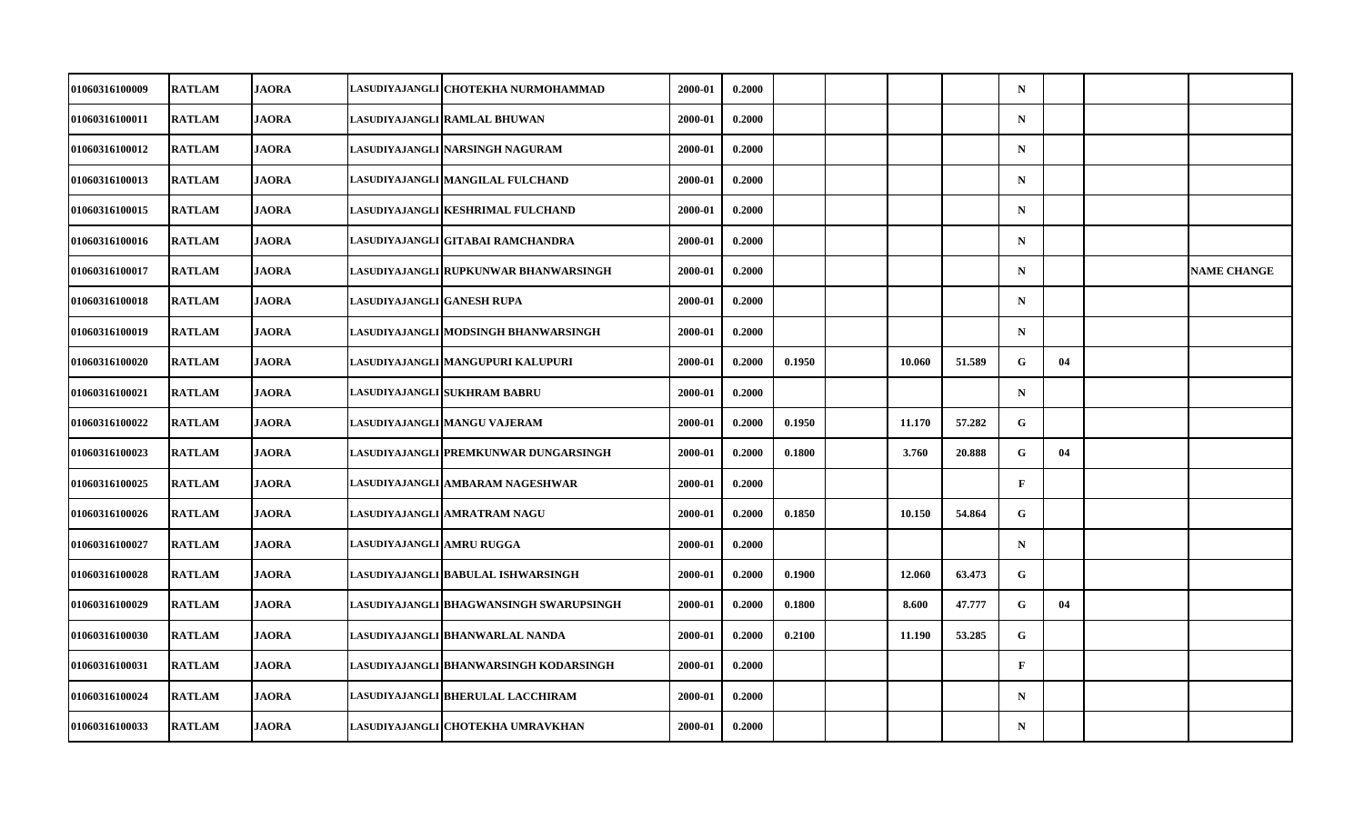| <b>RATLAM</b> | <b>JAORA</b> |              | 2000-01                                                                                                                                                                                                                                                                                                                                                                                                                                                                                                                                                                                                                                                                                                                                                                                                                    | 0.2000 |        |        |        | $\mathbf N$  |    |                    |
|---------------|--------------|--------------|----------------------------------------------------------------------------------------------------------------------------------------------------------------------------------------------------------------------------------------------------------------------------------------------------------------------------------------------------------------------------------------------------------------------------------------------------------------------------------------------------------------------------------------------------------------------------------------------------------------------------------------------------------------------------------------------------------------------------------------------------------------------------------------------------------------------------|--------|--------|--------|--------|--------------|----|--------------------|
| <b>RATLAM</b> | <b>JAORA</b> |              | 2000-01                                                                                                                                                                                                                                                                                                                                                                                                                                                                                                                                                                                                                                                                                                                                                                                                                    | 0.2000 |        |        |        | ${\bf N}$    |    |                    |
| <b>RATLAM</b> |              |              | 2000-01                                                                                                                                                                                                                                                                                                                                                                                                                                                                                                                                                                                                                                                                                                                                                                                                                    | 0.2000 |        |        |        | $\mathbf N$  |    |                    |
| <b>RATLAM</b> | <b>JAORA</b> |              | 2000-01                                                                                                                                                                                                                                                                                                                                                                                                                                                                                                                                                                                                                                                                                                                                                                                                                    | 0.2000 |        |        |        | $\mathbf N$  |    |                    |
| <b>RATLAM</b> | <b>JAORA</b> |              | 2000-01                                                                                                                                                                                                                                                                                                                                                                                                                                                                                                                                                                                                                                                                                                                                                                                                                    | 0.2000 |        |        |        | $\mathbf N$  |    |                    |
| <b>RATLAM</b> | <b>JAORA</b> |              | 2000-01                                                                                                                                                                                                                                                                                                                                                                                                                                                                                                                                                                                                                                                                                                                                                                                                                    | 0.2000 |        |        |        | $\mathbf N$  |    |                    |
| <b>RATLAM</b> | <b>JAORA</b> |              | 2000-01                                                                                                                                                                                                                                                                                                                                                                                                                                                                                                                                                                                                                                                                                                                                                                                                                    | 0.2000 |        |        |        | $\mathbf N$  |    | <b>NAME CHANGE</b> |
| <b>RATLAM</b> | <b>JAORA</b> |              | 2000-01                                                                                                                                                                                                                                                                                                                                                                                                                                                                                                                                                                                                                                                                                                                                                                                                                    | 0.2000 |        |        |        | $\mathbf N$  |    |                    |
| <b>RATLAM</b> | <b>JAORA</b> |              | 2000-01                                                                                                                                                                                                                                                                                                                                                                                                                                                                                                                                                                                                                                                                                                                                                                                                                    | 0.2000 |        |        |        | $\mathbf N$  |    |                    |
| <b>RATLAM</b> | <b>JAORA</b> |              | 2000-01                                                                                                                                                                                                                                                                                                                                                                                                                                                                                                                                                                                                                                                                                                                                                                                                                    | 0.2000 | 0.1950 | 10.060 | 51.589 | G            | 04 |                    |
| <b>RATLAM</b> | <b>JAORA</b> |              | 2000-01                                                                                                                                                                                                                                                                                                                                                                                                                                                                                                                                                                                                                                                                                                                                                                                                                    | 0.2000 |        |        |        | $\mathbf N$  |    |                    |
| <b>RATLAM</b> | <b>JAORA</b> |              | 2000-01                                                                                                                                                                                                                                                                                                                                                                                                                                                                                                                                                                                                                                                                                                                                                                                                                    | 0.2000 | 0.1950 | 11.170 | 57.282 | G            |    |                    |
| <b>RATLAM</b> | <b>JAORA</b> |              | 2000-01                                                                                                                                                                                                                                                                                                                                                                                                                                                                                                                                                                                                                                                                                                                                                                                                                    | 0.2000 | 0.1800 | 3.760  | 20.888 | G            | 04 |                    |
| <b>RATLAM</b> | <b>JAORA</b> |              | 2000-01                                                                                                                                                                                                                                                                                                                                                                                                                                                                                                                                                                                                                                                                                                                                                                                                                    | 0.2000 |        |        |        | $\mathbf{F}$ |    |                    |
| <b>RATLAM</b> | <b>JAORA</b> |              | 2000-01                                                                                                                                                                                                                                                                                                                                                                                                                                                                                                                                                                                                                                                                                                                                                                                                                    | 0.2000 | 0.1850 | 10.150 | 54.864 | G            |    |                    |
| <b>RATLAM</b> | <b>JAORA</b> |              | 2000-01                                                                                                                                                                                                                                                                                                                                                                                                                                                                                                                                                                                                                                                                                                                                                                                                                    | 0.2000 |        |        |        | $\mathbf N$  |    |                    |
| <b>RATLAM</b> | <b>JAORA</b> |              | 2000-01                                                                                                                                                                                                                                                                                                                                                                                                                                                                                                                                                                                                                                                                                                                                                                                                                    | 0.2000 | 0.1900 | 12.060 | 63.473 | G            |    |                    |
| <b>RATLAM</b> | <b>JAORA</b> |              | 2000-01                                                                                                                                                                                                                                                                                                                                                                                                                                                                                                                                                                                                                                                                                                                                                                                                                    | 0.2000 | 0.1800 | 8.600  | 47.777 | G            | 04 |                    |
| <b>RATLAM</b> | <b>JAORA</b> |              | 2000-01                                                                                                                                                                                                                                                                                                                                                                                                                                                                                                                                                                                                                                                                                                                                                                                                                    | 0.2000 | 0.2100 | 11.190 | 53.285 | G            |    |                    |
| <b>RATLAM</b> | <b>JAORA</b> |              | 2000-01                                                                                                                                                                                                                                                                                                                                                                                                                                                                                                                                                                                                                                                                                                                                                                                                                    | 0.2000 |        |        |        | $\mathbf{F}$ |    |                    |
| <b>RATLAM</b> | <b>JAORA</b> |              | 2000-01                                                                                                                                                                                                                                                                                                                                                                                                                                                                                                                                                                                                                                                                                                                                                                                                                    | 0.2000 |        |        |        | $\mathbf N$  |    |                    |
| <b>RATLAM</b> | <b>JAORA</b> |              | 2000-01                                                                                                                                                                                                                                                                                                                                                                                                                                                                                                                                                                                                                                                                                                                                                                                                                    | 0.2000 |        |        |        | $\mathbf N$  |    |                    |
|               |              | <b>JAORA</b> | LASUDIYAJANGLI CHOTEKHA NURMOHAMMAD<br>LASUDIYAJANGLI RAMLAL BHUWAN<br>LASUDIYAJANGLI NARSINGH NAGURAM<br>LASUDIYAJANGLI MANGILAL FULCHAND<br>LASUDIYAJANGLI KESHRIMAL FULCHAND<br>LASUDIYAJANGLI GITABAI RAMCHANDRA<br>LASUDIYAJANGLI RUPKUNWAR BHANWARSINGH<br>LASUDIYAJANGLI GANESH RUPA<br>LASUDIYAJANGLI MODSINGH BHANWARSINGH<br>LASUDIYAJANGLI MANGUPURI KALUPURI<br>LASUDIYAJANGLI SUKHRAM BABRU<br>LASUDIYAJANGLI MANGU VAJERAM<br>LASUDIYAJANGLI PREMKUNWAR DUNGARSINGH<br>LASUDIYAJANGLI AMBARAM NAGESHWAR<br>LASUDIYAJANGLI AMRATRAM NAGU<br>LASUDIYAJANGLI AMRU RUGGA<br>LASUDIYAJANGLI BABULAL ISHWARSINGH<br>LASUDIYAJANGLI BHAGWANSINGH SWARUPSINGH<br>LASUDIYAJANGLI BHANWARLAL NANDA<br>LASUDIYAJANGLI BHANWARSINGH KODARSINGH<br>LASUDIYAJANGLI BHERULAL LACCHIRAM<br>LASUDIYAJANGLI CHOTEKHA UMRAVKHAN |        |        |        |        |              |    |                    |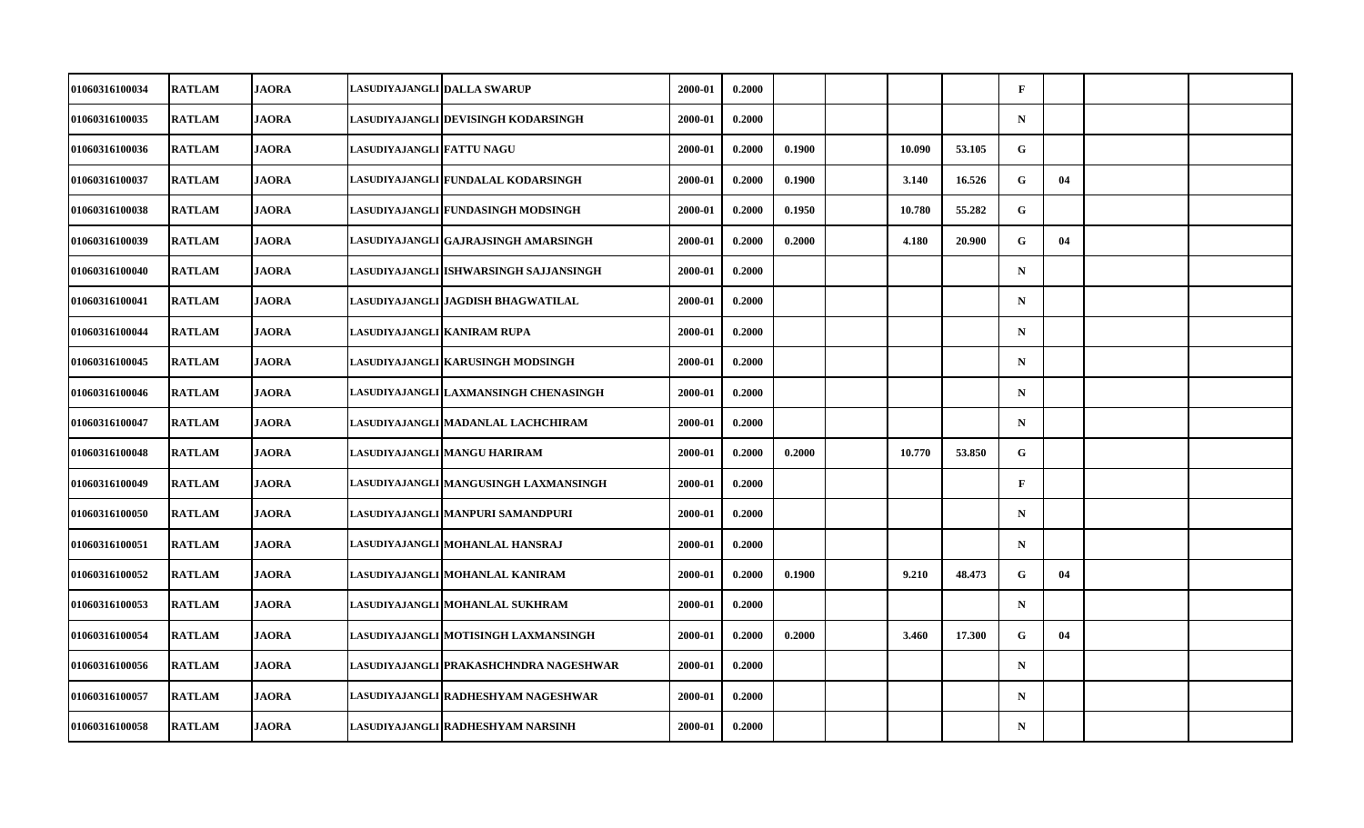| 01060316100034        | <b>RATLAM</b> | <b>JAORA</b> |                           | LASUDIYAJANGLI DALLA SWARUP            | 2000-01 | 0.2000 |        |        |        | $\mathbf{F}$ |    |  |
|-----------------------|---------------|--------------|---------------------------|----------------------------------------|---------|--------|--------|--------|--------|--------------|----|--|
| 01060316100035        | <b>RATLAM</b> | <b>JAORA</b> |                           | LASUDIYAJANGLI DEVISINGH KODARSINGH    | 2000-01 | 0.2000 |        |        |        | $\mathbf N$  |    |  |
| 01060316100036        | <b>RATLAM</b> | <b>JAORA</b> | LASUDIYAJANGLI FATTU NAGU |                                        | 2000-01 | 0.2000 | 0.1900 | 10.090 | 53.105 | G            |    |  |
| 01060316100037        | <b>RATLAM</b> | <b>JAORA</b> |                           | LASUDIYAJANGLI FUNDALAL KODARSINGH     | 2000-01 | 0.2000 | 0.1900 | 3.140  | 16.526 | G            | 04 |  |
| 01060316100038        | <b>RATLAM</b> | <b>JAORA</b> |                           | LASUDIYAJANGLI FUNDASINGH MODSINGH     | 2000-01 | 0.2000 | 0.1950 | 10.780 | 55.282 | G            |    |  |
| 01060316100039        | <b>RATLAM</b> | <b>JAORA</b> |                           | LASUDIYAJANGLI GAJRAJSINGH AMARSINGH   | 2000-01 | 0.2000 | 0.2000 | 4.180  | 20.900 | G            | 04 |  |
| 01060316100040        | <b>RATLAM</b> | <b>JAORA</b> |                           | LASUDIYAJANGLI ISHWARSINGH SAJJANSINGH | 2000-01 | 0.2000 |        |        |        | $\mathbf N$  |    |  |
| <b>01060316100041</b> | <b>RATLAM</b> | <b>JAORA</b> |                           | LASUDIYAJANGLI JAGDISH BHAGWATILAL     | 2000-01 | 0.2000 |        |        |        | $\mathbf N$  |    |  |
| 01060316100044        | <b>RATLAM</b> | <b>JAORA</b> |                           | LASUDIYAJANGLI KANIRAM RUPA            | 2000-01 | 0.2000 |        |        |        | $\mathbf N$  |    |  |
| 01060316100045        | <b>RATLAM</b> | <b>JAORA</b> |                           | LASUDIYAJANGLI KARUSINGH MODSINGH      | 2000-01 | 0.2000 |        |        |        | $\mathbf N$  |    |  |
| <b>01060316100046</b> | <b>RATLAM</b> | <b>JAORA</b> |                           | LASUDIYAJANGLI LAXMANSINGH CHENASINGH  | 2000-01 | 0.2000 |        |        |        | $\mathbf N$  |    |  |
| 01060316100047        | <b>RATLAM</b> | <b>JAORA</b> |                           | LASUDIYAJANGLI MADANLAL LACHCHIRAM     | 2000-01 | 0.2000 |        |        |        | $\mathbf N$  |    |  |
| 01060316100048        | <b>RATLAM</b> | <b>JAORA</b> |                           | LASUDIYAJANGLI MANGU HARIRAM           | 2000-01 | 0.2000 | 0.2000 | 10.770 | 53.850 | G            |    |  |
| 01060316100049        | <b>RATLAM</b> | <b>JAORA</b> |                           | LASUDIYAJANGLI MANGUSINGH LAXMANSINGH  | 2000-01 | 0.2000 |        |        |        | $\mathbf{F}$ |    |  |
| 01060316100050        | <b>RATLAM</b> | <b>JAORA</b> |                           | LASUDIYAJANGLI MANPURI SAMANDPURI      | 2000-01 | 0.2000 |        |        |        | $\mathbf N$  |    |  |
| 01060316100051        | <b>RATLAM</b> | <b>JAORA</b> |                           | LASUDIYAJANGLI MOHANLAL HANSRAJ        | 2000-01 | 0.2000 |        |        |        | $\mathbf N$  |    |  |
| 01060316100052        | <b>RATLAM</b> | <b>JAORA</b> |                           | LASUDIYAJANGLI MOHANLAL KANIRAM        | 2000-01 | 0.2000 | 0.1900 | 9.210  | 48.473 | G            | 04 |  |
| 01060316100053        | <b>RATLAM</b> | <b>JAORA</b> |                           | LASUDIYAJANGLI MOHANLAL SUKHRAM        | 2000-01 | 0.2000 |        |        |        | $\mathbf N$  |    |  |
| 01060316100054        | <b>RATLAM</b> | <b>JAORA</b> |                           | LASUDIYAJANGLI MOTISINGH LAXMANSINGH   | 2000-01 | 0.2000 | 0.2000 | 3.460  | 17.300 | G            | 04 |  |
| 01060316100056        | <b>RATLAM</b> | <b>JAORA</b> |                           | LASUDIYAJANGLI PRAKASHCHNDRA NAGESHWAR | 2000-01 | 0.2000 |        |        |        | $\mathbf N$  |    |  |
| 01060316100057        | <b>RATLAM</b> | <b>JAORA</b> |                           | LASUDIYAJANGLI RADHESHYAM NAGESHWAR    | 2000-01 | 0.2000 |        |        |        | $\mathbf N$  |    |  |
| 01060316100058        | <b>RATLAM</b> | <b>JAORA</b> |                           | LASUDIYAJANGLI RADHESHYAM NARSINH      | 2000-01 | 0.2000 |        |        |        | ${\bf N}$    |    |  |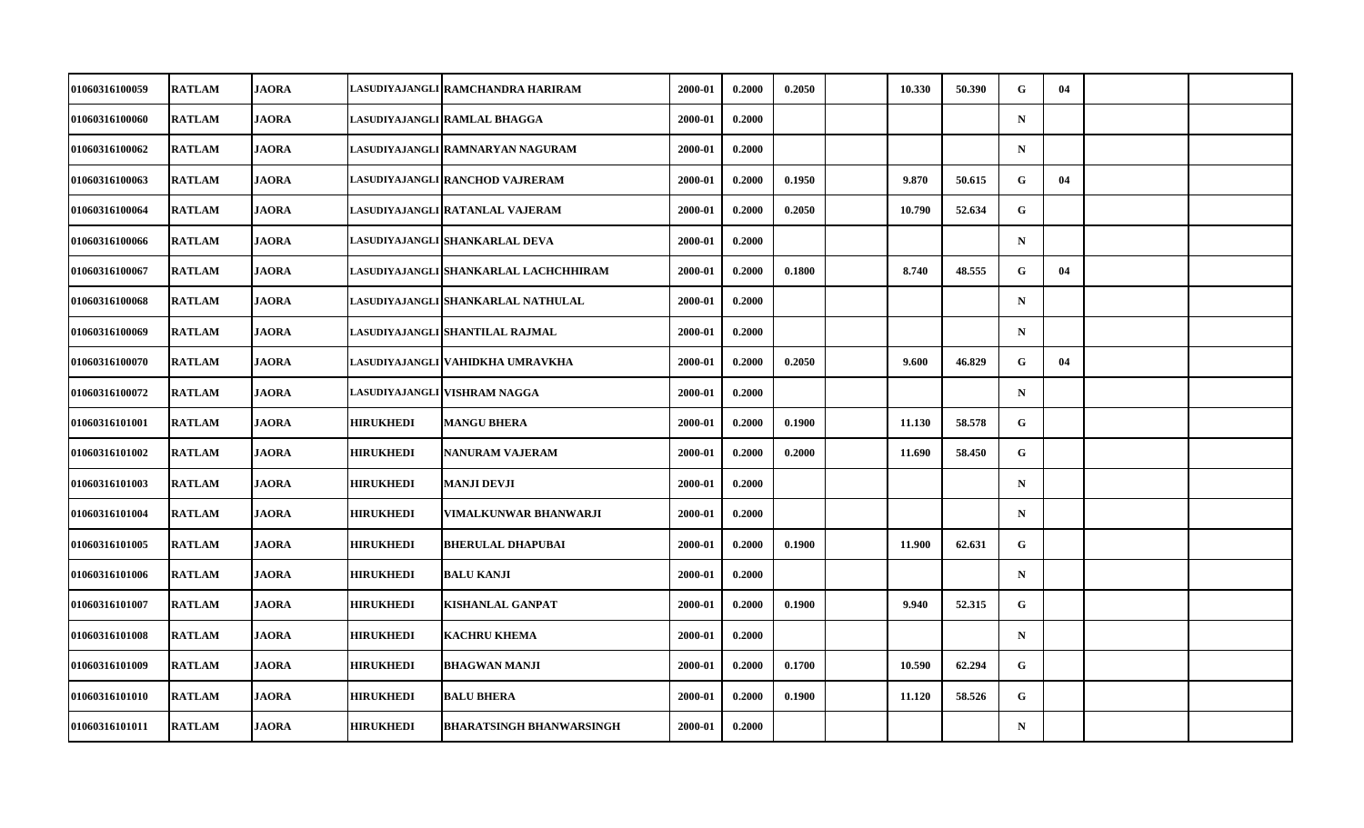| <b>RATLAM</b> | <b>JAORA</b> |                                                                                                                                                                                                                                                                                                                                              | LASUDIYAJANGLI RAMCHANDRA HARIRAM | 2000-01                                                                                                                                                                                                                                                                                                                                                                               | 0.2000 | 0.2050 | 10.330 | 50.390 | G            | 04 |  |
|---------------|--------------|----------------------------------------------------------------------------------------------------------------------------------------------------------------------------------------------------------------------------------------------------------------------------------------------------------------------------------------------|-----------------------------------|---------------------------------------------------------------------------------------------------------------------------------------------------------------------------------------------------------------------------------------------------------------------------------------------------------------------------------------------------------------------------------------|--------|--------|--------|--------|--------------|----|--|
| <b>RATLAM</b> |              |                                                                                                                                                                                                                                                                                                                                              |                                   | 2000-01                                                                                                                                                                                                                                                                                                                                                                               | 0.2000 |        |        |        | $\mathbf N$  |    |  |
| <b>RATLAM</b> |              |                                                                                                                                                                                                                                                                                                                                              |                                   | 2000-01                                                                                                                                                                                                                                                                                                                                                                               | 0.2000 |        |        |        | $\mathbf N$  |    |  |
| <b>RATLAM</b> |              |                                                                                                                                                                                                                                                                                                                                              |                                   | 2000-01                                                                                                                                                                                                                                                                                                                                                                               | 0.2000 | 0.1950 | 9.870  | 50.615 | $\mathbf{G}$ | 04 |  |
| <b>RATLAM</b> |              |                                                                                                                                                                                                                                                                                                                                              |                                   | 2000-01                                                                                                                                                                                                                                                                                                                                                                               | 0.2000 | 0.2050 | 10.790 | 52.634 | G            |    |  |
| <b>RATLAM</b> |              |                                                                                                                                                                                                                                                                                                                                              |                                   | 2000-01                                                                                                                                                                                                                                                                                                                                                                               | 0.2000 |        |        |        | $\mathbf N$  |    |  |
| <b>RATLAM</b> |              |                                                                                                                                                                                                                                                                                                                                              |                                   | 2000-01                                                                                                                                                                                                                                                                                                                                                                               | 0.2000 | 0.1800 | 8.740  | 48.555 | G            | 04 |  |
| <b>RATLAM</b> |              |                                                                                                                                                                                                                                                                                                                                              |                                   | 2000-01                                                                                                                                                                                                                                                                                                                                                                               | 0.2000 |        |        |        | $\mathbf N$  |    |  |
| <b>RATLAM</b> |              |                                                                                                                                                                                                                                                                                                                                              |                                   | 2000-01                                                                                                                                                                                                                                                                                                                                                                               | 0.2000 |        |        |        | $\mathbf N$  |    |  |
| <b>RATLAM</b> |              |                                                                                                                                                                                                                                                                                                                                              |                                   | 2000-01                                                                                                                                                                                                                                                                                                                                                                               | 0.2000 | 0.2050 | 9.600  | 46.829 | G            | 04 |  |
| <b>RATLAM</b> |              |                                                                                                                                                                                                                                                                                                                                              |                                   | 2000-01                                                                                                                                                                                                                                                                                                                                                                               | 0.2000 |        |        |        | $\mathbf N$  |    |  |
| <b>RATLAM</b> |              | <b>HIRUKHEDI</b>                                                                                                                                                                                                                                                                                                                             | <b>MANGU BHERA</b>                | 2000-01                                                                                                                                                                                                                                                                                                                                                                               | 0.2000 | 0.1900 | 11.130 | 58.578 | G            |    |  |
| <b>RATLAM</b> |              | <b>HIRUKHEDI</b>                                                                                                                                                                                                                                                                                                                             | <b>NANURAM VAJERAM</b>            | 2000-01                                                                                                                                                                                                                                                                                                                                                                               | 0.2000 | 0.2000 | 11.690 | 58.450 | G            |    |  |
| <b>RATLAM</b> |              | <b>HIRUKHEDI</b>                                                                                                                                                                                                                                                                                                                             | MANJI DEVJI                       | 2000-01                                                                                                                                                                                                                                                                                                                                                                               | 0.2000 |        |        |        | ${\bf N}$    |    |  |
| <b>RATLAM</b> |              | <b>HIRUKHEDI</b>                                                                                                                                                                                                                                                                                                                             | <b>VIMALKUNWAR BHANWARJI</b>      | 2000-01                                                                                                                                                                                                                                                                                                                                                                               | 0.2000 |        |        |        | $\mathbf N$  |    |  |
| <b>RATLAM</b> |              | <b>HIRUKHEDI</b>                                                                                                                                                                                                                                                                                                                             | <b>BHERULAL DHAPUBAI</b>          | 2000-01                                                                                                                                                                                                                                                                                                                                                                               | 0.2000 | 0.1900 | 11.900 | 62.631 | G            |    |  |
| <b>RATLAM</b> |              | <b>HIRUKHEDI</b>                                                                                                                                                                                                                                                                                                                             | <b>BALU KANJI</b>                 | 2000-01                                                                                                                                                                                                                                                                                                                                                                               | 0.2000 |        |        |        | $\mathbf N$  |    |  |
| <b>RATLAM</b> |              | <b>HIRUKHEDI</b>                                                                                                                                                                                                                                                                                                                             | <b>KISHANLAL GANPAT</b>           | 2000-01                                                                                                                                                                                                                                                                                                                                                                               | 0.2000 | 0.1900 | 9.940  | 52.315 | $\mathbf G$  |    |  |
| <b>RATLAM</b> |              | <b>HIRUKHEDI</b>                                                                                                                                                                                                                                                                                                                             |                                   | 2000-01                                                                                                                                                                                                                                                                                                                                                                               | 0.2000 |        |        |        | $\mathbf N$  |    |  |
| <b>RATLAM</b> |              | <b>HIRUKHEDI</b>                                                                                                                                                                                                                                                                                                                             | <b>BHAGWAN MANJI</b>              | 2000-01                                                                                                                                                                                                                                                                                                                                                                               | 0.2000 | 0.1700 | 10.590 | 62.294 | G            |    |  |
| <b>RATLAM</b> |              | <b>HIRUKHEDI</b>                                                                                                                                                                                                                                                                                                                             | <b>BALU BHERA</b>                 | 2000-01                                                                                                                                                                                                                                                                                                                                                                               | 0.2000 | 0.1900 | 11.120 | 58.526 | $\mathbf{G}$ |    |  |
| <b>RATLAM</b> |              | <b>HIRUKHEDI</b>                                                                                                                                                                                                                                                                                                                             | <b>BHARATSINGH BHANWARSINGH</b>   | 2000-01                                                                                                                                                                                                                                                                                                                                                                               | 0.2000 |        |        |        | ${\bf N}$    |    |  |
|               |              | <b>JAORA</b><br><b>JAORA</b><br><b>JAORA</b><br><b>JAORA</b><br><b>JAORA</b><br><b>JAORA</b><br><b>JAORA</b><br><b>JAORA</b><br><b>JAORA</b><br><b>JAORA</b><br><b>JAORA</b><br><b>JAORA</b><br><b>JAORA</b><br><b>JAORA</b><br><b>JAORA</b><br><b>JAORA</b><br><b>JAORA</b><br><b>JAORA</b><br><b>JAORA</b><br><b>JAORA</b><br><b>JAORA</b> |                                   | LASUDIYAJANGLI RAMLAL BHAGGA<br>LASUDIYAJANGLI RAMNARYAN NAGURAM<br>LASUDIYAJANGLI RANCHOD VAJRERAM<br>LASUDIYAJANGLI RATANLAL VAJERAM<br>LASUDIYAJANGLI SHANKARLAL DEVA<br>LASUDIYAJANGLI SHANKARLAL LACHCHHIRAM<br>LASUDIYAJANGLI SHANKARLAL NATHULAL<br>LASUDIYAJANGLI SHANTILAL RAJMAL<br>LASUDIYAJANGLI VAHIDKHA UMRAVKHA<br>LASUDIYAJANGLI VISHRAM NAGGA<br><b>KACHRU KHEMA</b> |        |        |        |        |              |    |  |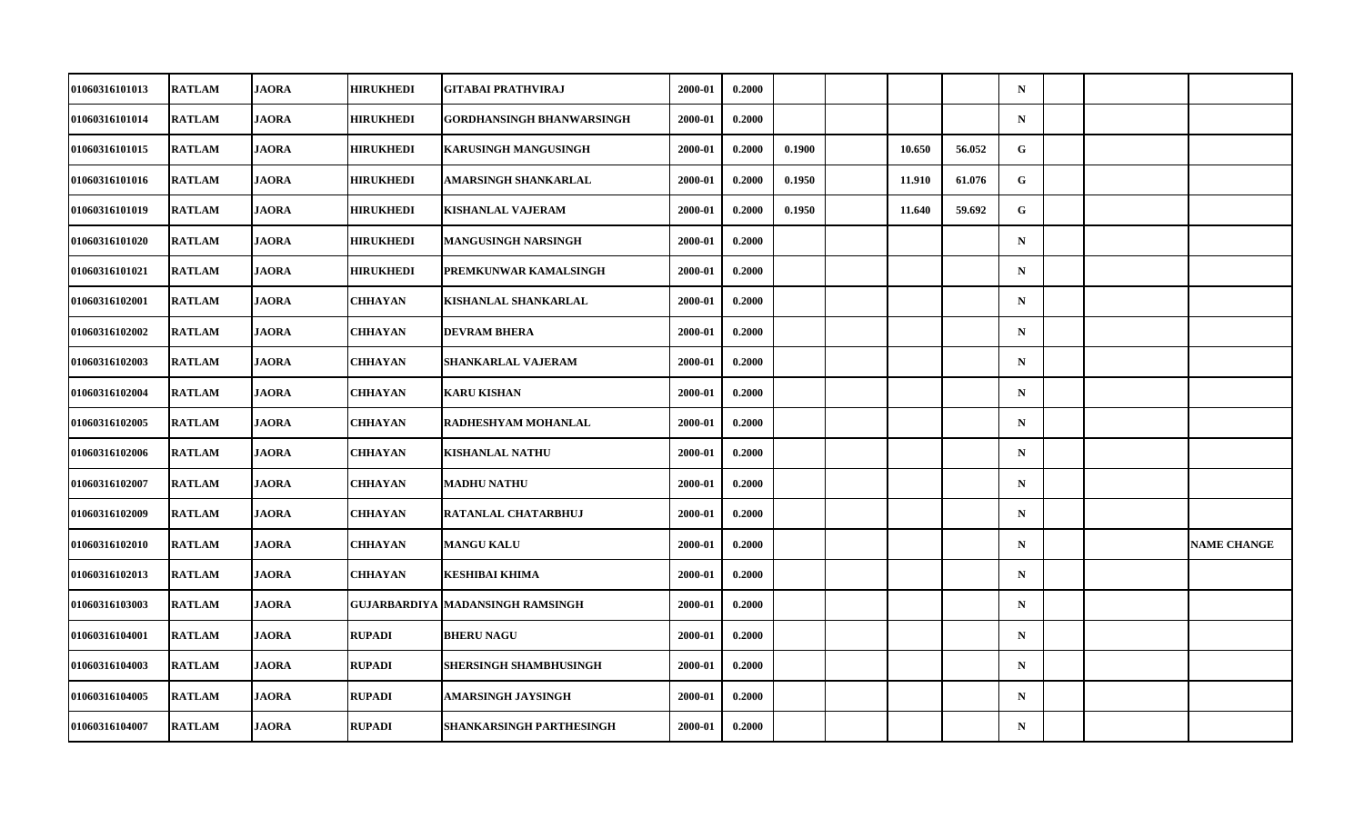| <b>01060316101013</b> | <b>RATLAM</b> | <b>JAORA</b> | <b>HIRUKHEDI</b> | GITABAI PRATHVIRAJ               | 2000-01 | 0.2000 |        |        |        | $\mathbf N$ |  |                    |
|-----------------------|---------------|--------------|------------------|----------------------------------|---------|--------|--------|--------|--------|-------------|--|--------------------|
| 01060316101014        | <b>RATLAM</b> | <b>JAORA</b> | <b>HIRUKHEDI</b> | <b>GORDHANSINGH BHANWARSINGH</b> | 2000-01 | 0.2000 |        |        |        | $\mathbf N$ |  |                    |
| 01060316101015        | <b>RATLAM</b> | <b>JAORA</b> | <b>HIRUKHEDI</b> | <b>KARUSINGH MANGUSINGH</b>      | 2000-01 | 0.2000 | 0.1900 | 10.650 | 56.052 | $\mathbf G$ |  |                    |
| 01060316101016        | <b>RATLAM</b> | <b>JAORA</b> | <b>HIRUKHEDI</b> | AMARSINGH SHANKARLAL             | 2000-01 | 0.2000 | 0.1950 | 11.910 | 61.076 | G           |  |                    |
| <b>01060316101019</b> | <b>RATLAM</b> | <b>JAORA</b> | <b>HIRUKHEDI</b> | <b>KISHANLAL VAJERAM</b>         | 2000-01 | 0.2000 | 0.1950 | 11.640 | 59.692 | G           |  |                    |
| 01060316101020        | <b>RATLAM</b> | <b>JAORA</b> | <b>HIRUKHEDI</b> | MANGUSINGH NARSINGH              | 2000-01 | 0.2000 |        |        |        | $\mathbf N$ |  |                    |
| 01060316101021        | <b>RATLAM</b> | <b>JAORA</b> | <b>HIRUKHEDI</b> | PREMKUNWAR KAMALSINGH            | 2000-01 | 0.2000 |        |        |        | ${\bf N}$   |  |                    |
| 01060316102001        | <b>RATLAM</b> | <b>JAORA</b> | CHHAYAN          | KISHANLAL SHANKARLAL             | 2000-01 | 0.2000 |        |        |        | $\mathbf N$ |  |                    |
| 01060316102002        | <b>RATLAM</b> | <b>JAORA</b> | <b>CHHAYAN</b>   | <b>DEVRAM BHERA</b>              | 2000-01 | 0.2000 |        |        |        | $\mathbf N$ |  |                    |
| 01060316102003        | <b>RATLAM</b> | <b>JAORA</b> | <b>CHHAYAN</b>   | SHANKARLAL VAJERAM               | 2000-01 | 0.2000 |        |        |        | $\mathbf N$ |  |                    |
| 01060316102004        | <b>RATLAM</b> | <b>JAORA</b> | CHHAYAN          | <b>KARU KISHAN</b>               | 2000-01 | 0.2000 |        |        |        | $\mathbf N$ |  |                    |
| 01060316102005        | <b>RATLAM</b> | <b>JAORA</b> | <b>CHHAYAN</b>   | RADHESHYAM MOHANLAL              | 2000-01 | 0.2000 |        |        |        | $\mathbf N$ |  |                    |
| 01060316102006        | <b>RATLAM</b> | <b>JAORA</b> | <b>CHHAYAN</b>   | <b>KISHANLAL NATHU</b>           | 2000-01 | 0.2000 |        |        |        | $\mathbf N$ |  |                    |
| 01060316102007        | <b>RATLAM</b> | <b>JAORA</b> | CHHAYAN          | <b>MADHU NATHU</b>               | 2000-01 | 0.2000 |        |        |        | $\mathbf N$ |  |                    |
| 01060316102009        | <b>RATLAM</b> | <b>JAORA</b> | <b>CHHAYAN</b>   | RATANLAL CHATARBHUJ              | 2000-01 | 0.2000 |        |        |        | $\mathbf N$ |  |                    |
| 01060316102010        | <b>RATLAM</b> | <b>JAORA</b> | <b>CHHAYAN</b>   | <b>MANGU KALU</b>                | 2000-01 | 0.2000 |        |        |        | $\mathbf N$ |  | <b>NAME CHANGE</b> |
| <b>01060316102013</b> | <b>RATLAM</b> | <b>JAORA</b> | CHHAYAN          | KESHIBAI KHIMA                   | 2000-01 | 0.2000 |        |        |        | $\mathbf N$ |  |                    |
| 01060316103003        | <b>RATLAM</b> | <b>JAORA</b> |                  | GUJARBARDIYA MADANSINGH RAMSINGH | 2000-01 | 0.2000 |        |        |        | $\mathbf N$ |  |                    |
| 01060316104001        | <b>RATLAM</b> | <b>JAORA</b> | <b>RUPADI</b>    | <b>BHERU NAGU</b>                | 2000-01 | 0.2000 |        |        |        | $\mathbf N$ |  |                    |
| 01060316104003        | <b>RATLAM</b> | <b>JAORA</b> | <b>RUPADI</b>    | SHERSINGH SHAMBHUSINGH           | 2000-01 | 0.2000 |        |        |        | $\mathbf N$ |  |                    |
| 01060316104005        | <b>RATLAM</b> | <b>JAORA</b> | <b>RUPADI</b>    | AMARSINGH JAYSINGH               | 2000-01 | 0.2000 |        |        |        | $\mathbf N$ |  |                    |
| 01060316104007        | <b>RATLAM</b> | <b>JAORA</b> | <b>RUPADI</b>    | SHANKARSINGH PARTHESINGH         | 2000-01 | 0.2000 |        |        |        | $\mathbf N$ |  |                    |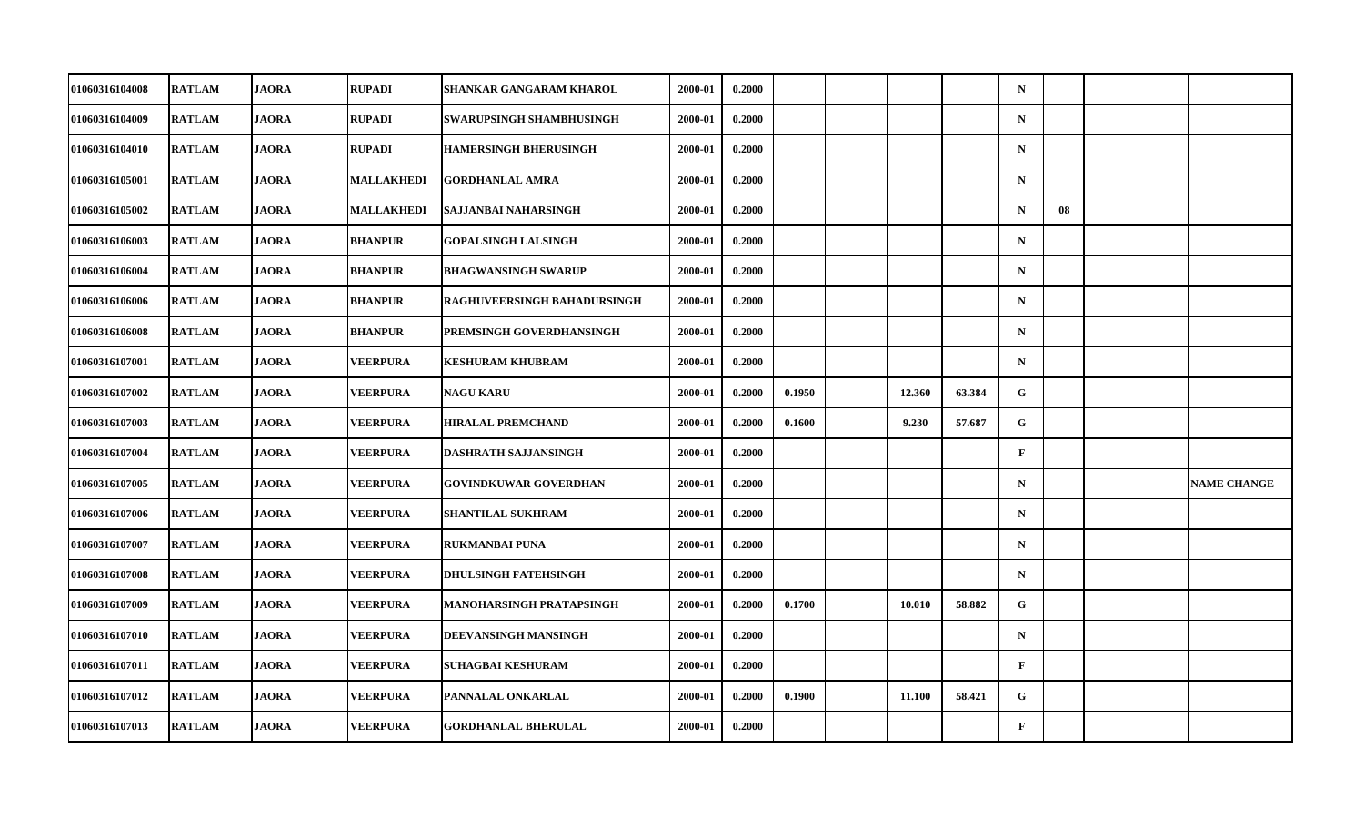| 01060316104008        | <b>RATLAM</b> | <b>JAORA</b> | <b>RUPADI</b>   | <b>SHANKAR GANGARAM KHAROL</b> | 2000-01 | 0.2000 |        |        |        | $\mathbf N$  |    |                    |
|-----------------------|---------------|--------------|-----------------|--------------------------------|---------|--------|--------|--------|--------|--------------|----|--------------------|
| 01060316104009        | <b>RATLAM</b> | <b>JAORA</b> | <b>RUPADI</b>   | SWARUPSINGH SHAMBHUSINGH       | 2000-01 | 0.2000 |        |        |        | ${\bf N}$    |    |                    |
| 01060316104010        | <b>RATLAM</b> | <b>JAORA</b> | <b>RUPADI</b>   | <b>HAMERSINGH BHERUSINGH</b>   | 2000-01 | 0.2000 |        |        |        | $\mathbf N$  |    |                    |
| 01060316105001        | <b>RATLAM</b> | <b>JAORA</b> | MALLAKHEDI      | <b>GORDHANLAL AMRA</b>         | 2000-01 | 0.2000 |        |        |        | $\mathbf N$  |    |                    |
| 01060316105002        | <b>RATLAM</b> | <b>JAORA</b> | MALLAKHEDI      | SAJJANBAI NAHARSINGH           | 2000-01 | 0.2000 |        |        |        | $\mathbf N$  | 08 |                    |
| 01060316106003        | <b>RATLAM</b> | <b>JAORA</b> | <b>BHANPUR</b>  | <b>GOPALSINGH LALSINGH</b>     | 2000-01 | 0.2000 |        |        |        | $\mathbf N$  |    |                    |
| 01060316106004        | <b>RATLAM</b> | <b>JAORA</b> | <b>BHANPUR</b>  | <b>BHAGWANSINGH SWARUP</b>     | 2000-01 | 0.2000 |        |        |        | $\mathbf N$  |    |                    |
| 01060316106006        | <b>RATLAM</b> | <b>JAORA</b> | <b>BHANPUR</b>  | RAGHUVEERSINGH BAHADURSINGH    | 2000-01 | 0.2000 |        |        |        | $\mathbf N$  |    |                    |
| 01060316106008        | <b>RATLAM</b> | <b>JAORA</b> | <b>BHANPUR</b>  | PREMSINGH GOVERDHANSINGH       | 2000-01 | 0.2000 |        |        |        | $\mathbf N$  |    |                    |
| 01060316107001        | <b>RATLAM</b> | <b>JAORA</b> | <b>VEERPURA</b> | <b>KESHURAM KHUBRAM</b>        | 2000-01 | 0.2000 |        |        |        | $\mathbf N$  |    |                    |
| <b>01060316107002</b> | <b>RATLAM</b> | <b>JAORA</b> | <b>VEERPURA</b> | <b>NAGU KARU</b>               | 2000-01 | 0.2000 | 0.1950 | 12.360 | 63.384 | G            |    |                    |
| 01060316107003        | <b>RATLAM</b> | <b>JAORA</b> | <b>VEERPURA</b> | <b>HIRALAL PREMCHAND</b>       | 2000-01 | 0.2000 | 0.1600 | 9.230  | 57.687 | G            |    |                    |
| 01060316107004        | <b>RATLAM</b> | <b>JAORA</b> | <b>VEERPURA</b> | DASHRATH SAJJANSINGH           | 2000-01 | 0.2000 |        |        |        | $\mathbf F$  |    |                    |
| 01060316107005        | <b>RATLAM</b> | <b>JAORA</b> | <b>VEERPURA</b> | <b>GOVINDKUWAR GOVERDHAN</b>   | 2000-01 | 0.2000 |        |        |        | $\mathbf N$  |    | <b>NAME CHANGE</b> |
| 01060316107006        | <b>RATLAM</b> | <b>JAORA</b> | <b>VEERPURA</b> | <b>SHANTILAL SUKHRAM</b>       | 2000-01 | 0.2000 |        |        |        | $\mathbf N$  |    |                    |
| 01060316107007        | <b>RATLAM</b> | <b>JAORA</b> | <b>VEERPURA</b> | <b>RUKMANBAI PUNA</b>          | 2000-01 | 0.2000 |        |        |        | $\mathbf N$  |    |                    |
| <b>01060316107008</b> | <b>RATLAM</b> | <b>JAORA</b> | <b>VEERPURA</b> | <b>DHULSINGH FATEHSINGH</b>    | 2000-01 | 0.2000 |        |        |        | $\mathbf N$  |    |                    |
| 01060316107009        | <b>RATLAM</b> | <b>JAORA</b> | <b>VEERPURA</b> | MANOHARSINGH PRATAPSINGH       | 2000-01 | 0.2000 | 0.1700 | 10.010 | 58.882 | $\mathbf G$  |    |                    |
| <b>01060316107010</b> | <b>RATLAM</b> | <b>JAORA</b> | <b>VEERPURA</b> | DEEVANSINGH MANSINGH           | 2000-01 | 0.2000 |        |        |        | $\mathbf N$  |    |                    |
| 01060316107011        | <b>RATLAM</b> | <b>JAORA</b> | <b>VEERPURA</b> | <b>SUHAGBAI KESHURAM</b>       | 2000-01 | 0.2000 |        |        |        | $\mathbf{F}$ |    |                    |
| 01060316107012        | <b>RATLAM</b> | <b>JAORA</b> | <b>VEERPURA</b> | PANNALAL ONKARLAL              | 2000-01 | 0.2000 | 0.1900 | 11.100 | 58.421 | G            |    |                    |
| 01060316107013        | <b>RATLAM</b> | <b>JAORA</b> | <b>VEERPURA</b> | <b>GORDHANLAL BHERULAL</b>     | 2000-01 | 0.2000 |        |        |        | $\mathbf F$  |    |                    |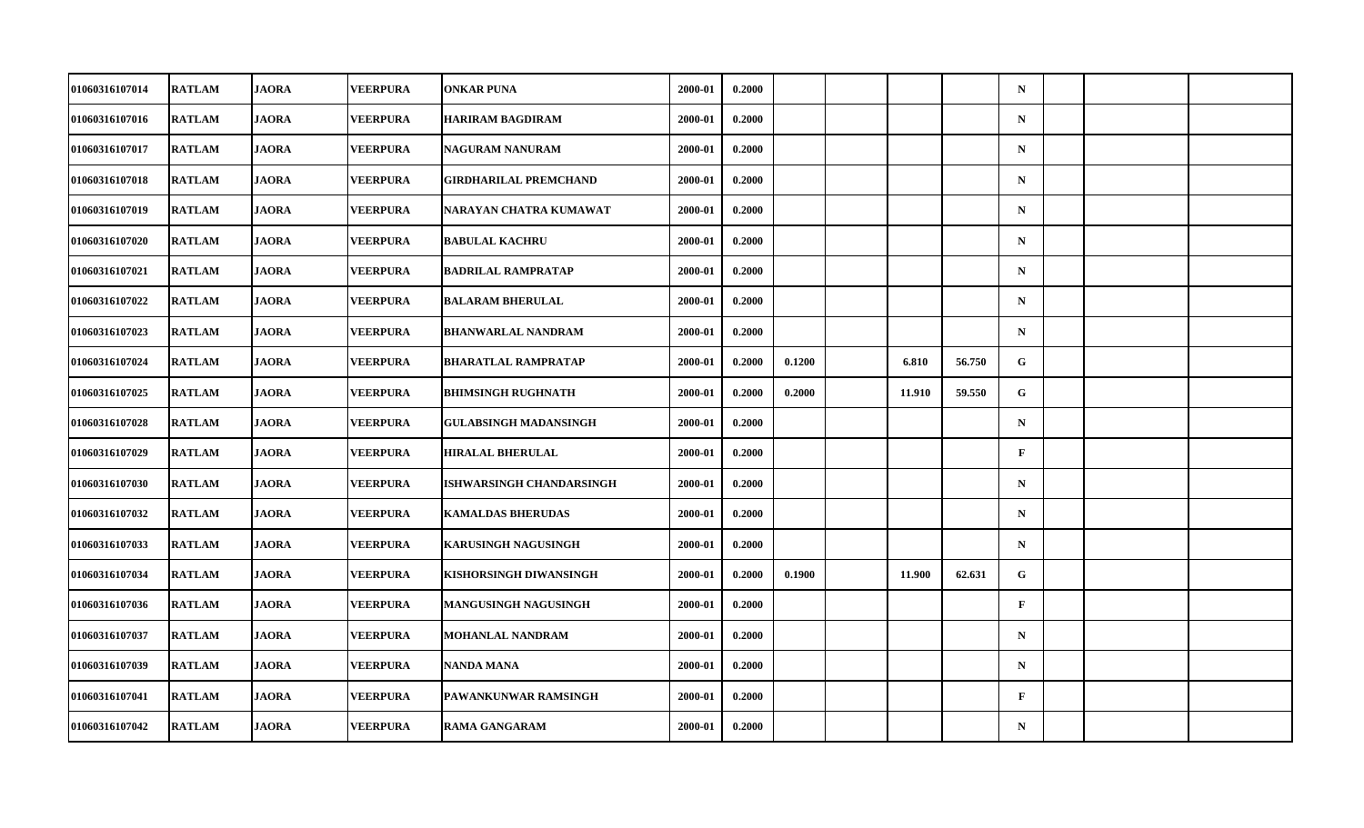| 01060316107014        | <b>RATLAM</b> | <b>JAORA</b> | <b>VEERPURA</b> | <b>ONKAR PUNA</b>            | 2000-01 | 0.2000 |        |        |        | $\mathbf N$  |  |  |
|-----------------------|---------------|--------------|-----------------|------------------------------|---------|--------|--------|--------|--------|--------------|--|--|
| 01060316107016        | <b>RATLAM</b> | <b>JAORA</b> | <b>VEERPURA</b> | <b>HARIRAM BAGDIRAM</b>      | 2000-01 | 0.2000 |        |        |        | $\mathbf N$  |  |  |
| 01060316107017        | <b>RATLAM</b> | <b>JAORA</b> | <b>VEERPURA</b> | <b>NAGURAM NANURAM</b>       | 2000-01 | 0.2000 |        |        |        | $\mathbf N$  |  |  |
| 01060316107018        | <b>RATLAM</b> | <b>JAORA</b> | <b>VEERPURA</b> | GIRDHARILAL PREMCHAND        | 2000-01 | 0.2000 |        |        |        | $\mathbf N$  |  |  |
| <b>01060316107019</b> | <b>RATLAM</b> | <b>JAORA</b> | <b>VEERPURA</b> | NARAYAN CHATRA KUMAWAT       | 2000-01 | 0.2000 |        |        |        | $\mathbf N$  |  |  |
| 01060316107020        | <b>RATLAM</b> | <b>JAORA</b> | <b>VEERPURA</b> | <b>BABULAL KACHRU</b>        | 2000-01 | 0.2000 |        |        |        | $\mathbf N$  |  |  |
| 01060316107021        | <b>RATLAM</b> | <b>JAORA</b> | <b>VEERPURA</b> | <b>BADRILAL RAMPRATAP</b>    | 2000-01 | 0.2000 |        |        |        | ${\bf N}$    |  |  |
| 01060316107022        | <b>RATLAM</b> | <b>JAORA</b> | <b>VEERPURA</b> | <b>BALARAM BHERULAL</b>      | 2000-01 | 0.2000 |        |        |        | $\mathbf N$  |  |  |
| 01060316107023        | <b>RATLAM</b> | <b>JAORA</b> | <b>VEERPURA</b> | <b>BHANWARLAL NANDRAM</b>    | 2000-01 | 0.2000 |        |        |        | $\mathbf N$  |  |  |
| <b>01060316107024</b> | <b>RATLAM</b> | <b>JAORA</b> | <b>VEERPURA</b> | <b>BHARATLAL RAMPRATAP</b>   | 2000-01 | 0.2000 | 0.1200 | 6.810  | 56.750 | $\mathbf{G}$ |  |  |
| 01060316107025        | <b>RATLAM</b> | <b>JAORA</b> | <b>VEERPURA</b> | <b>BHIMSINGH RUGHNATH</b>    | 2000-01 | 0.2000 | 0.2000 | 11.910 | 59.550 | G            |  |  |
| 01060316107028        | <b>RATLAM</b> | <b>JAORA</b> | <b>VEERPURA</b> | <b>GULABSINGH MADANSINGH</b> | 2000-01 | 0.2000 |        |        |        | $\mathbf N$  |  |  |
| 01060316107029        | <b>RATLAM</b> | <b>JAORA</b> | <b>VEERPURA</b> | <b>HIRALAL BHERULAL</b>      | 2000-01 | 0.2000 |        |        |        | $\mathbf{F}$ |  |  |
| 01060316107030        | <b>RATLAM</b> | <b>JAORA</b> | <b>VEERPURA</b> | ISHWARSINGH CHANDARSINGH     | 2000-01 | 0.2000 |        |        |        | $\mathbf N$  |  |  |
| 01060316107032        | <b>RATLAM</b> | <b>JAORA</b> | <b>VEERPURA</b> | <b>KAMALDAS BHERUDAS</b>     | 2000-01 | 0.2000 |        |        |        | $\mathbf N$  |  |  |
| 01060316107033        | <b>RATLAM</b> | <b>JAORA</b> | <b>VEERPURA</b> | <b>KARUSINGH NAGUSINGH</b>   | 2000-01 | 0.2000 |        |        |        | $\mathbf N$  |  |  |
| 01060316107034        | <b>RATLAM</b> | <b>JAORA</b> | <b>VEERPURA</b> | KISHORSINGH DIWANSINGH       | 2000-01 | 0.2000 | 0.1900 | 11.900 | 62.631 | G            |  |  |
| 01060316107036        | <b>RATLAM</b> | <b>JAORA</b> | <b>VEERPURA</b> | <b>MANGUSINGH NAGUSINGH</b>  | 2000-01 | 0.2000 |        |        |        | $\mathbf F$  |  |  |
| 01060316107037        | <b>RATLAM</b> | <b>JAORA</b> | <b>VEERPURA</b> | MOHANLAL NANDRAM             | 2000-01 | 0.2000 |        |        |        | $\mathbf N$  |  |  |
| 01060316107039        | <b>RATLAM</b> | <b>JAORA</b> | <b>VEERPURA</b> | <b>NANDA MANA</b>            | 2000-01 | 0.2000 |        |        |        | $\mathbf N$  |  |  |
| 01060316107041        | <b>RATLAM</b> | <b>JAORA</b> | <b>VEERPURA</b> | PAWANKUNWAR RAMSINGH         | 2000-01 | 0.2000 |        |        |        | $\mathbf{F}$ |  |  |
| 01060316107042        | <b>RATLAM</b> | <b>JAORA</b> | <b>VEERPURA</b> | <b>RAMA GANGARAM</b>         | 2000-01 | 0.2000 |        |        |        | $\mathbf N$  |  |  |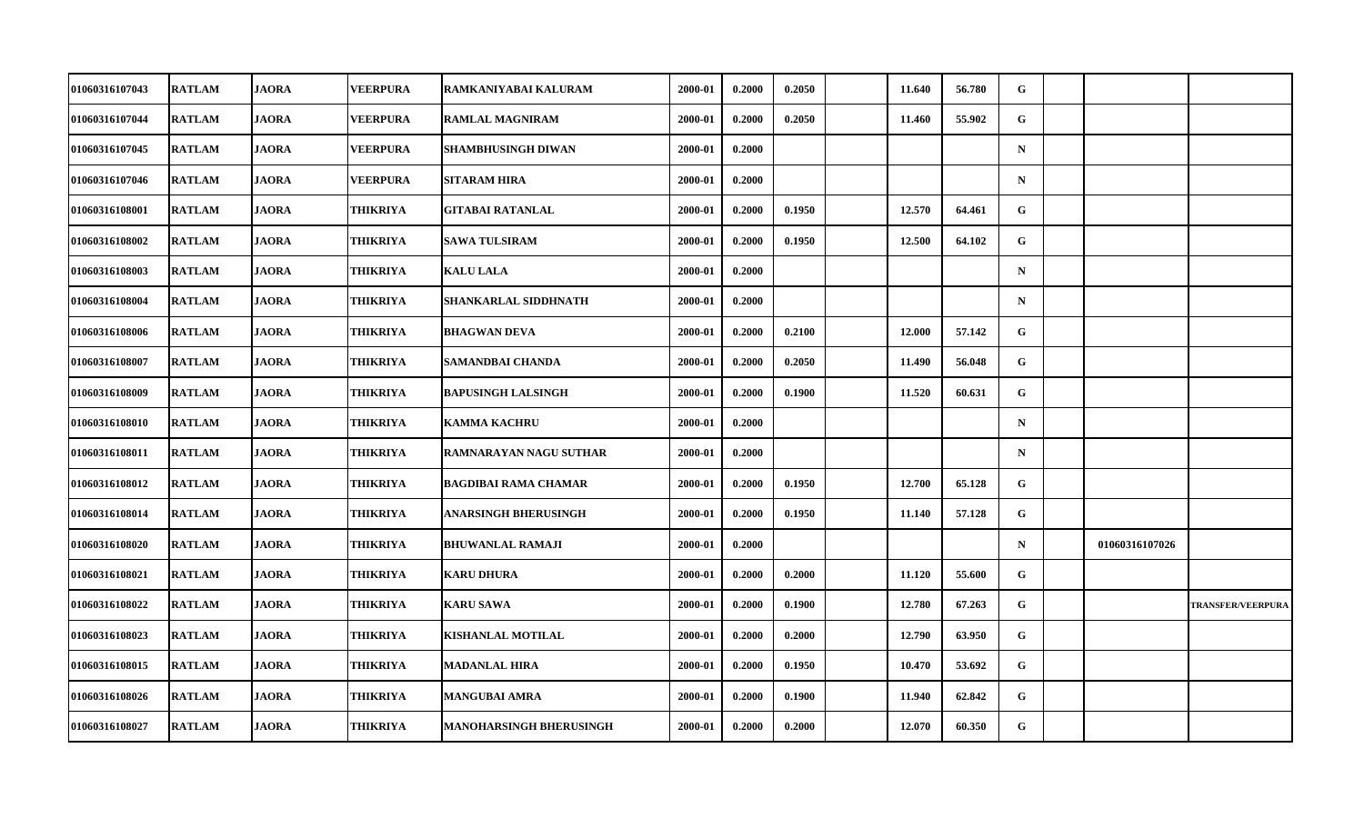| 01060316107043        | <b>RATLAM</b> | <b>JAORA</b> | <b>VEERPURA</b> | RAMKANIYABAI KALURAM           | 2000-01 | 0.2000 | 0.2050 | 11.640 | 56.780 | G            |                |                          |
|-----------------------|---------------|--------------|-----------------|--------------------------------|---------|--------|--------|--------|--------|--------------|----------------|--------------------------|
| 01060316107044        | <b>RATLAM</b> | <b>JAORA</b> | <b>VEERPURA</b> | <b>RAMLAL MAGNIRAM</b>         | 2000-01 | 0.2000 | 0.2050 | 11.460 | 55.902 | G            |                |                          |
| 01060316107045        | <b>RATLAM</b> | <b>JAORA</b> | <b>VEERPURA</b> | SHAMBHUSINGH DIWAN             | 2000-01 | 0.2000 |        |        |        | $\mathbf N$  |                |                          |
| 01060316107046        | <b>RATLAM</b> | <b>JAORA</b> | <b>VEERPURA</b> | SITARAM HIRA                   | 2000-01 | 0.2000 |        |        |        | $\mathbf N$  |                |                          |
| 01060316108001        | <b>RATLAM</b> | <b>JAORA</b> | THIKRIYA        | <b>GITABAI RATANLAL</b>        | 2000-01 | 0.2000 | 0.1950 | 12.570 | 64.461 | G            |                |                          |
| 01060316108002        | <b>RATLAM</b> | <b>JAORA</b> | THIKRIYA        | <b>SAWA TULSIRAM</b>           | 2000-01 | 0.2000 | 0.1950 | 12.500 | 64.102 | G            |                |                          |
| 01060316108003        | <b>RATLAM</b> | <b>JAORA</b> | THIKRIYA        | <b>KALU LALA</b>               | 2000-01 | 0.2000 |        |        |        | $\mathbf N$  |                |                          |
| <b>01060316108004</b> | <b>RATLAM</b> | <b>JAORA</b> | THIKRIYA        | SHANKARLAL SIDDHNATH           | 2000-01 | 0.2000 |        |        |        | $\mathbf N$  |                |                          |
| 01060316108006        | <b>RATLAM</b> | <b>JAORA</b> | THIKRIYA        | <b>BHAGWAN DEVA</b>            | 2000-01 | 0.2000 | 0.2100 | 12.000 | 57.142 | G            |                |                          |
| 01060316108007        | <b>RATLAM</b> | <b>JAORA</b> | THIKRIYA        | SAMANDBAI CHANDA               | 2000-01 | 0.2000 | 0.2050 | 11.490 | 56.048 | G            |                |                          |
| <b>01060316108009</b> | <b>RATLAM</b> | <b>JAORA</b> | THIKRIYA        | <b>BAPUSINGH LALSINGH</b>      | 2000-01 | 0.2000 | 0.1900 | 11.520 | 60.631 | G            |                |                          |
| 01060316108010        | <b>RATLAM</b> | <b>JAORA</b> | THIKRIYA        | <b>KAMMA KACHRU</b>            | 2000-01 | 0.2000 |        |        |        | $\mathbf N$  |                |                          |
| 01060316108011        | <b>RATLAM</b> | <b>JAORA</b> | THIKRIYA        | RAMNARAYAN NAGU SUTHAR         | 2000-01 | 0.2000 |        |        |        | $\mathbf N$  |                |                          |
| 01060316108012        | <b>RATLAM</b> | <b>JAORA</b> | THIKRIYA        | <b>BAGDIBAI RAMA CHAMAR</b>    | 2000-01 | 0.2000 | 0.1950 | 12.700 | 65.128 | G            |                |                          |
| 01060316108014        | <b>RATLAM</b> | <b>JAORA</b> | THIKRIYA        | ANARSINGH BHERUSINGH           | 2000-01 | 0.2000 | 0.1950 | 11.140 | 57.128 | $\mathbf{G}$ |                |                          |
| 01060316108020        | <b>RATLAM</b> | <b>JAORA</b> | THIKRIYA        | <b>BHUWANLAL RAMAJI</b>        | 2000-01 | 0.2000 |        |        |        | $\mathbf N$  | 01060316107026 |                          |
| <b>01060316108021</b> | <b>RATLAM</b> | <b>JAORA</b> | THIKRIYA        | <b>KARU DHURA</b>              | 2000-01 | 0.2000 | 0.2000 | 11.120 | 55.600 | G            |                |                          |
| 01060316108022        | <b>RATLAM</b> | <b>JAORA</b> | THIKRIYA        | <b>KARU SAWA</b>               | 2000-01 | 0.2000 | 0.1900 | 12.780 | 67.263 | G            |                | <b>TRANSFER/VEERPURA</b> |
| 01060316108023        | <b>RATLAM</b> | <b>JAORA</b> | THIKRIYA        | KISHANLAL MOTILAL              | 2000-01 | 0.2000 | 0.2000 | 12.790 | 63.950 | G            |                |                          |
| 01060316108015        | <b>RATLAM</b> | <b>JAORA</b> | THIKRIYA        | MADANLAL HIRA                  | 2000-01 | 0.2000 | 0.1950 | 10.470 | 53.692 | G            |                |                          |
| 01060316108026        | <b>RATLAM</b> | <b>JAORA</b> | THIKRIYA        | <b>MANGUBAI AMRA</b>           | 2000-01 | 0.2000 | 0.1900 | 11.940 | 62.842 | $\mathbf{G}$ |                |                          |
| 01060316108027        | <b>RATLAM</b> | <b>JAORA</b> | THIKRIYA        | <b>MANOHARSINGH BHERUSINGH</b> | 2000-01 | 0.2000 | 0.2000 | 12.070 | 60.350 | G            |                |                          |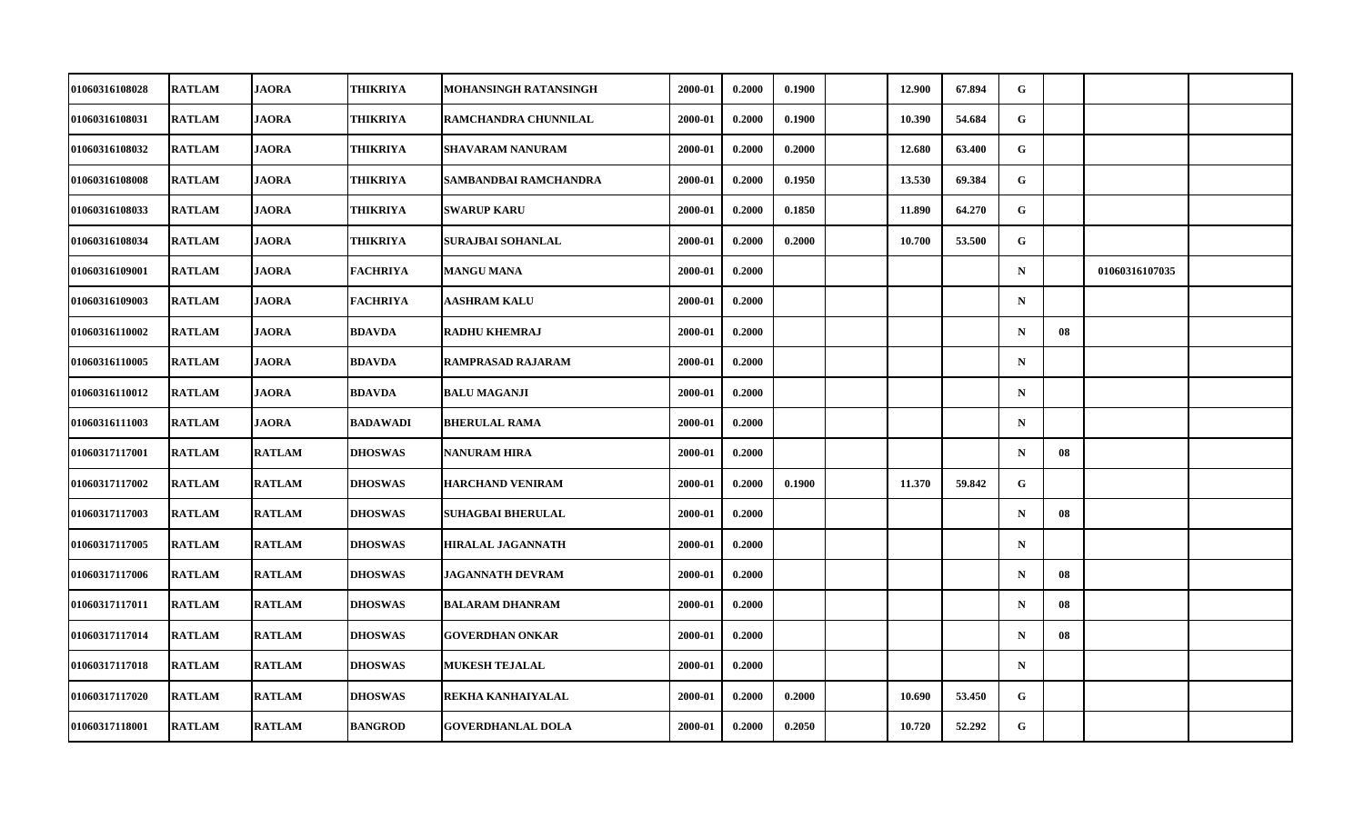| 01060316108028        | <b>RATLAM</b> | <b>JAORA</b>  | THIKRIYA        | MOHANSINGH RATANSINGH    | 2000-01 | 0.2000 | 0.1900 | 12.900 | 67.894 | G           |    |                |  |
|-----------------------|---------------|---------------|-----------------|--------------------------|---------|--------|--------|--------|--------|-------------|----|----------------|--|
| 01060316108031        | <b>RATLAM</b> | <b>JAORA</b>  | THIKRIYA        | RAMCHANDRA CHUNNILAL     | 2000-01 | 0.2000 | 0.1900 | 10.390 | 54.684 | G           |    |                |  |
| 01060316108032        | <b>RATLAM</b> | <b>JAORA</b>  | THIKRIYA        | <b>SHAVARAM NANURAM</b>  | 2000-01 | 0.2000 | 0.2000 | 12.680 | 63.400 | G           |    |                |  |
| 01060316108008        | <b>RATLAM</b> | <b>JAORA</b>  | THIKRIYA        | SAMBANDBAI RAMCHANDRA    | 2000-01 | 0.2000 | 0.1950 | 13.530 | 69.384 | G           |    |                |  |
| 01060316108033        | <b>RATLAM</b> | <b>JAORA</b>  | THIKRIYA        | <b>SWARUP KARU</b>       | 2000-01 | 0.2000 | 0.1850 | 11.890 | 64.270 | G           |    |                |  |
| 01060316108034        | <b>RATLAM</b> | <b>JAORA</b>  | THIKRIYA        | SURAJBAI SOHANLAL        | 2000-01 | 0.2000 | 0.2000 | 10.700 | 53.500 | G           |    |                |  |
| 01060316109001        | <b>RATLAM</b> | <b>JAORA</b>  | <b>FACHRIYA</b> | <b>MANGU MANA</b>        | 2000-01 | 0.2000 |        |        |        | $\mathbf N$ |    | 01060316107035 |  |
| 01060316109003        | <b>RATLAM</b> | <b>JAORA</b>  | FACHRIYA        | <b>AASHRAM KALU</b>      | 2000-01 | 0.2000 |        |        |        | $\mathbf N$ |    |                |  |
| 01060316110002        | <b>RATLAM</b> | <b>JAORA</b>  | <b>BDAVDA</b>   | <b>RADHU KHEMRAJ</b>     | 2000-01 | 0.2000 |        |        |        | $\mathbf N$ | 08 |                |  |
| 01060316110005        | <b>RATLAM</b> | <b>JAORA</b>  | <b>BDAVDA</b>   | <b>RAMPRASAD RAJARAM</b> | 2000-01 | 0.2000 |        |        |        | $\mathbf N$ |    |                |  |
| 01060316110012        | <b>RATLAM</b> | <b>JAORA</b>  | <b>BDAVDA</b>   | <b>BALU MAGANJI</b>      | 2000-01 | 0.2000 |        |        |        | $\mathbf N$ |    |                |  |
| 01060316111003        | <b>RATLAM</b> | <b>JAORA</b>  | <b>BADAWADI</b> | <b>BHERULAL RAMA</b>     | 2000-01 | 0.2000 |        |        |        | $\mathbf N$ |    |                |  |
| 01060317117001        | <b>RATLAM</b> | <b>RATLAM</b> | <b>DHOSWAS</b>  | <b>NANURAM HIRA</b>      | 2000-01 | 0.2000 |        |        |        | $\mathbf N$ | 08 |                |  |
| <b>01060317117002</b> | <b>RATLAM</b> | <b>RATLAM</b> | <b>DHOSWAS</b>  | <b>HARCHAND VENIRAM</b>  | 2000-01 | 0.2000 | 0.1900 | 11.370 | 59.842 | G           |    |                |  |
| 01060317117003        | <b>RATLAM</b> | <b>RATLAM</b> | <b>DHOSWAS</b>  | <b>SUHAGBAI BHERULAL</b> | 2000-01 | 0.2000 |        |        |        | $\mathbf N$ | 08 |                |  |
| 01060317117005        | <b>RATLAM</b> | <b>RATLAM</b> | <b>DHOSWAS</b>  | <b>HIRALAL JAGANNATH</b> | 2000-01 | 0.2000 |        |        |        | $\mathbf N$ |    |                |  |
| <b>01060317117006</b> | <b>RATLAM</b> | <b>RATLAM</b> | <b>DHOSWAS</b>  | JAGANNATH DEVRAM         | 2000-01 | 0.2000 |        |        |        | $\mathbf N$ | 08 |                |  |
| 01060317117011        | <b>RATLAM</b> | <b>RATLAM</b> | <b>DHOSWAS</b>  | <b>BALARAM DHANRAM</b>   | 2000-01 | 0.2000 |        |        |        | $\mathbf N$ | 08 |                |  |
| 01060317117014        | <b>RATLAM</b> | <b>RATLAM</b> | <b>DHOSWAS</b>  | <b>GOVERDHAN ONKAR</b>   | 2000-01 | 0.2000 |        |        |        | $\mathbf N$ | 08 |                |  |
| <b>01060317117018</b> | <b>RATLAM</b> | <b>RATLAM</b> | <b>DHOSWAS</b>  | <b>MUKESH TEJALAL</b>    | 2000-01 | 0.2000 |        |        |        | $\mathbf N$ |    |                |  |
| 01060317117020        | <b>RATLAM</b> | <b>RATLAM</b> | <b>DHOSWAS</b>  | REKHA KANHAIYALAL        | 2000-01 | 0.2000 | 0.2000 | 10.690 | 53.450 | G           |    |                |  |
| 01060317118001        | <b>RATLAM</b> | <b>RATLAM</b> | <b>BANGROD</b>  | <b>GOVERDHANLAL DOLA</b> | 2000-01 | 0.2000 | 0.2050 | 10.720 | 52,292 | ${\bf G}$   |    |                |  |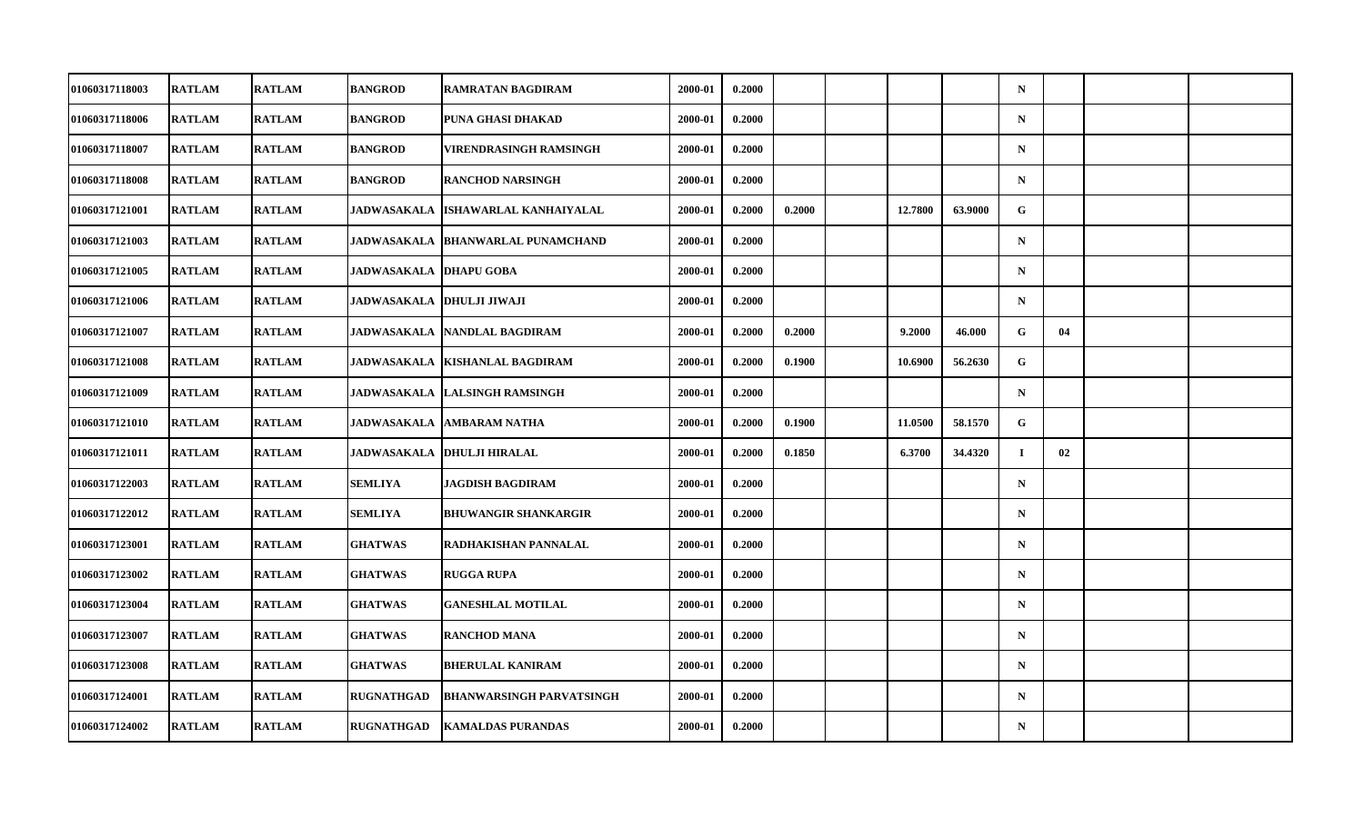| <b>01060317118003</b> | <b>RATLAM</b> | <b>RATLAM</b> | <b>BANGROD</b>             | <b>RAMRATAN BAGDIRAM</b>                 | 2000-01 | 0.2000 |        |         |         | $\mathbf N$ |    |  |
|-----------------------|---------------|---------------|----------------------------|------------------------------------------|---------|--------|--------|---------|---------|-------------|----|--|
| 01060317118006        | <b>RATLAM</b> | <b>RATLAM</b> | <b>BANGROD</b>             | PUNA GHASI DHAKAD                        | 2000-01 | 0.2000 |        |         |         | ${\bf N}$   |    |  |
| 01060317118007        | <b>RATLAM</b> | <b>RATLAM</b> | <b>BANGROD</b>             | <b>VIRENDRASINGH RAMSINGH</b>            | 2000-01 | 0.2000 |        |         |         | $\mathbf N$ |    |  |
| 01060317118008        | <b>RATLAM</b> | <b>RATLAM</b> | BANGROD                    | <b>RANCHOD NARSINGH</b>                  | 2000-01 | 0.2000 |        |         |         | $\mathbf N$ |    |  |
| 01060317121001        | <b>RATLAM</b> | <b>RATLAM</b> | <b>JADWASAKALA</b>         | ISHAWARLAL KANHAIYALAL                   | 2000-01 | 0.2000 | 0.2000 | 12.7800 | 63.9000 | G           |    |  |
| 01060317121003        | <b>RATLAM</b> | <b>RATLAM</b> |                            | <b>JADWASAKALA BHANWARLAL PUNAMCHAND</b> | 2000-01 | 0.2000 |        |         |         | ${\bf N}$   |    |  |
| 01060317121005        | <b>RATLAM</b> | <b>RATLAM</b> | <b>JADWASAKALA</b>         | <b>DHAPU GOBA</b>                        | 2000-01 | 0.2000 |        |         |         | $\mathbf N$ |    |  |
| 01060317121006        | <b>RATLAM</b> | <b>RATLAM</b> | JADWASAKALA  DHULJI JIWAJI |                                          | 2000-01 | 0.2000 |        |         |         | $\mathbf N$ |    |  |
| 01060317121007        | <b>RATLAM</b> | <b>RATLAM</b> | <b>JADWASAKALA</b>         | NANDLAL BAGDIRAM                         | 2000-01 | 0.2000 | 0.2000 | 9.2000  | 46.000  | G           | 04 |  |
| 01060317121008        | <b>RATLAM</b> | <b>RATLAM</b> | <b>JADWASAKALA</b>         | <b>KISHANLAL BAGDIRAM</b>                | 2000-01 | 0.2000 | 0.1900 | 10.6900 | 56.2630 | G           |    |  |
| <b>01060317121009</b> | <b>RATLAM</b> | <b>RATLAM</b> |                            | JADWASAKALA  LALSINGH RAMSINGH           | 2000-01 | 0.2000 |        |         |         | $\mathbf N$ |    |  |
| <b>01060317121010</b> | <b>RATLAM</b> | <b>RATLAM</b> | <b>JADWASAKALA</b>         | <b>AMBARAM NATHA</b>                     | 2000-01 | 0.2000 | 0.1900 | 11.0500 | 58.1570 | G           |    |  |
| 01060317121011        | <b>RATLAM</b> | <b>RATLAM</b> | <b>JADWASAKALA</b>         | <b>DHULJI HIRALAL</b>                    | 2000-01 | 0.2000 | 0.1850 | 6.3700  | 34.4320 | $\mathbf I$ | 02 |  |
| 01060317122003        | <b>RATLAM</b> | <b>RATLAM</b> | SEMLIYA                    | JAGDISH BAGDIRAM                         | 2000-01 | 0.2000 |        |         |         | $\mathbf N$ |    |  |
| 01060317122012        | <b>RATLAM</b> | <b>RATLAM</b> | SEMLIYA                    | <b>BHUWANGIR SHANKARGIR</b>              | 2000-01 | 0.2000 |        |         |         | $\mathbf N$ |    |  |
| 01060317123001        | <b>RATLAM</b> | <b>RATLAM</b> | <b>GHATWAS</b>             | RADHAKISHAN PANNALAL                     | 2000-01 | 0.2000 |        |         |         | $\mathbf N$ |    |  |
| <b>01060317123002</b> | <b>RATLAM</b> | <b>RATLAM</b> | <b>GHATWAS</b>             | <b>RUGGA RUPA</b>                        | 2000-01 | 0.2000 |        |         |         | $\mathbf N$ |    |  |
| 01060317123004        | <b>RATLAM</b> | <b>RATLAM</b> | <b>GHATWAS</b>             | <b>GANESHLAL MOTILAL</b>                 | 2000-01 | 0.2000 |        |         |         | $\mathbf N$ |    |  |
| 01060317123007        | <b>RATLAM</b> | <b>RATLAM</b> | <b>GHATWAS</b>             | <b>RANCHOD MANA</b>                      | 2000-01 | 0.2000 |        |         |         | $\mathbf N$ |    |  |
| 01060317123008        | <b>RATLAM</b> | <b>RATLAM</b> | <b>GHATWAS</b>             | <b>BHERULAL KANIRAM</b>                  | 2000-01 | 0.2000 |        |         |         | $\mathbf N$ |    |  |
| 01060317124001        | <b>RATLAM</b> | <b>RATLAM</b> | <b>RUGNATHGAD</b>          | <b>BHANWARSINGH PARVATSINGH</b>          | 2000-01 | 0.2000 |        |         |         | $\mathbf N$ |    |  |
| 01060317124002        | <b>RATLAM</b> | <b>RATLAM</b> | <b>RUGNATHGAD</b>          | <b>KAMALDAS PURANDAS</b>                 | 2000-01 | 0.2000 |        |         |         | ${\bf N}$   |    |  |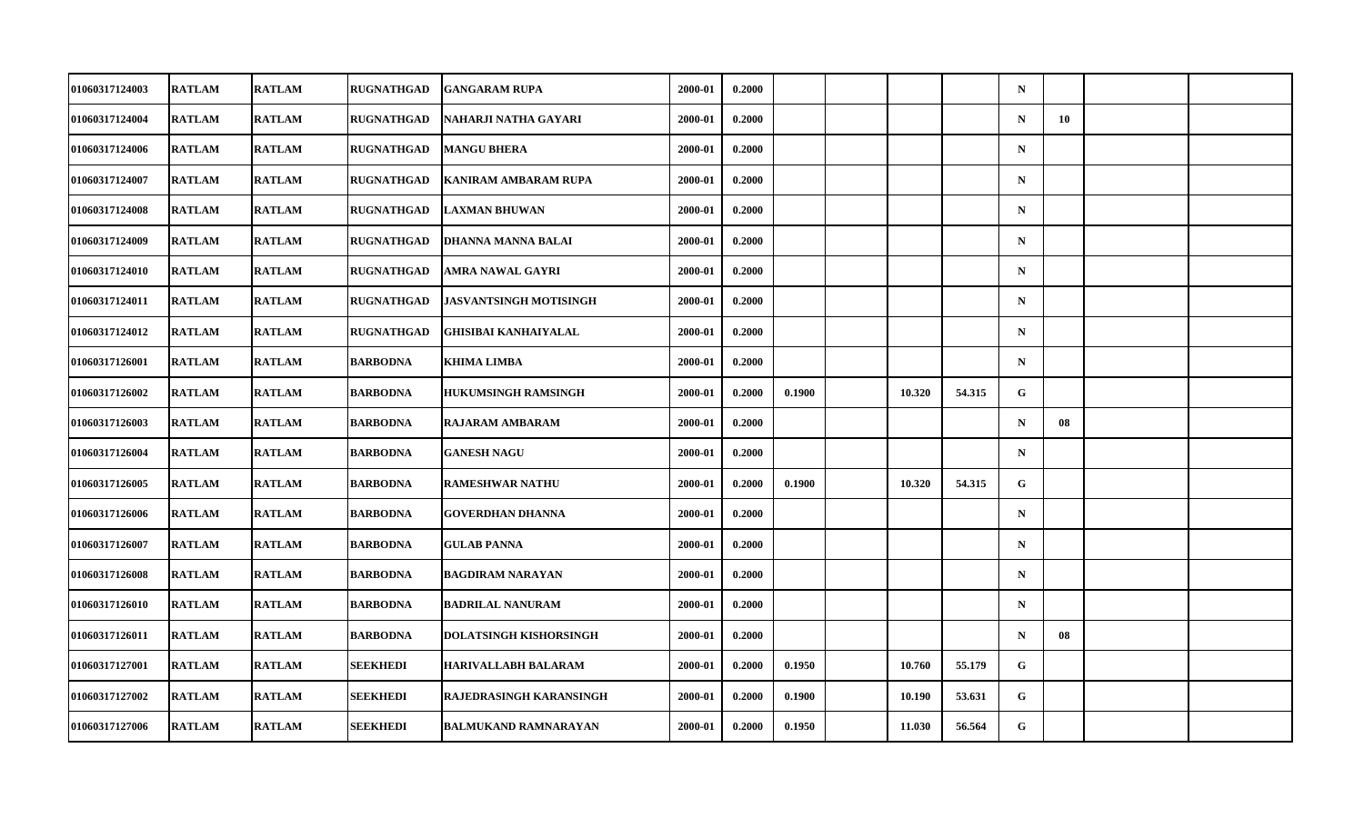| 01060317124003        | <b>RATLAM</b> | <b>RATLAM</b> | <b>RUGNATHGAD</b> | <b>GANGARAM RUPA</b>          | 2000-01 | 0.2000 |        |        |        | $\mathbf N$ |    |  |
|-----------------------|---------------|---------------|-------------------|-------------------------------|---------|--------|--------|--------|--------|-------------|----|--|
| 01060317124004        | <b>RATLAM</b> | <b>RATLAM</b> | <b>RUGNATHGAD</b> | NAHARJI NATHA GAYARI          | 2000-01 | 0.2000 |        |        |        | $\mathbf N$ | 10 |  |
| 01060317124006        | <b>RATLAM</b> | <b>RATLAM</b> | <b>RUGNATHGAD</b> | <b>MANGU BHERA</b>            | 2000-01 | 0.2000 |        |        |        | $\mathbf N$ |    |  |
| 01060317124007        | <b>RATLAM</b> | <b>RATLAM</b> | <b>RUGNATHGAD</b> | <b>KANIRAM AMBARAM RUPA</b>   | 2000-01 | 0.2000 |        |        |        | $\mathbf N$ |    |  |
| 01060317124008        | <b>RATLAM</b> | <b>RATLAM</b> | <b>RUGNATHGAD</b> | <b>LAXMAN BHUWAN</b>          | 2000-01 | 0.2000 |        |        |        | $\mathbf N$ |    |  |
| 01060317124009        | <b>RATLAM</b> | <b>RATLAM</b> | <b>RUGNATHGAD</b> | DHANNA MANNA BALAI            | 2000-01 | 0.2000 |        |        |        | $\mathbf N$ |    |  |
| 01060317124010        | <b>RATLAM</b> | <b>RATLAM</b> | <b>RUGNATHGAD</b> | AMRA NAWAL GAYRI              | 2000-01 | 0.2000 |        |        |        | $\mathbf N$ |    |  |
| 01060317124011        | <b>RATLAM</b> | <b>RATLAM</b> | RUGNATHGAD        | JASVANTSINGH MOTISINGH        | 2000-01 | 0.2000 |        |        |        | $\mathbf N$ |    |  |
| 01060317124012        | <b>RATLAM</b> | <b>RATLAM</b> | <b>RUGNATHGAD</b> | <b>GHISIBAI KANHAIYALAL</b>   | 2000-01 | 0.2000 |        |        |        | $\mathbf N$ |    |  |
| 01060317126001        | <b>RATLAM</b> | <b>RATLAM</b> | <b>BARBODNA</b>   | <b>KHIMA LIMBA</b>            | 2000-01 | 0.2000 |        |        |        | $\mathbf N$ |    |  |
| <b>01060317126002</b> | <b>RATLAM</b> | <b>RATLAM</b> | <b>BARBODNA</b>   | <b>HUKUMSINGH RAMSINGH</b>    | 2000-01 | 0.2000 | 0.1900 | 10.320 | 54.315 | G           |    |  |
| <b>01060317126003</b> | <b>RATLAM</b> | <b>RATLAM</b> | <b>BARBODNA</b>   | <b>RAJARAM AMBARAM</b>        | 2000-01 | 0.2000 |        |        |        | $\mathbf N$ | 08 |  |
| 01060317126004        | <b>RATLAM</b> | <b>RATLAM</b> | <b>BARBODNA</b>   | <b>GANESH NAGU</b>            | 2000-01 | 0.2000 |        |        |        | $\mathbf N$ |    |  |
| 01060317126005        | <b>RATLAM</b> | <b>RATLAM</b> | <b>BARBODNA</b>   | <b>RAMESHWAR NATHU</b>        | 2000-01 | 0.2000 | 0.1900 | 10.320 | 54.315 | G           |    |  |
| 01060317126006        | <b>RATLAM</b> | <b>RATLAM</b> | <b>BARBODNA</b>   | <b>GOVERDHAN DHANNA</b>       | 2000-01 | 0.2000 |        |        |        | $\mathbf N$ |    |  |
| 01060317126007        | <b>RATLAM</b> | <b>RATLAM</b> | <b>BARBODNA</b>   | <b>GULAB PANNA</b>            | 2000-01 | 0.2000 |        |        |        | $\mathbf N$ |    |  |
| <b>01060317126008</b> | <b>RATLAM</b> | <b>RATLAM</b> | <b>BARBODNA</b>   | <b>BAGDIRAM NARAYAN</b>       | 2000-01 | 0.2000 |        |        |        | $\mathbf N$ |    |  |
| 01060317126010        | <b>RATLAM</b> | <b>RATLAM</b> | <b>BARBODNA</b>   | <b>BADRILAL NANURAM</b>       | 2000-01 | 0.2000 |        |        |        | $\mathbf N$ |    |  |
| 01060317126011        | <b>RATLAM</b> | <b>RATLAM</b> | BARBODNA          | <b>DOLATSINGH KISHORSINGH</b> | 2000-01 | 0.2000 |        |        |        | $\mathbf N$ | 08 |  |
| 01060317127001        | <b>RATLAM</b> | <b>RATLAM</b> | SEEKHEDI          | <b>HARIVALLABH BALARAM</b>    | 2000-01 | 0.2000 | 0.1950 | 10.760 | 55.179 | G           |    |  |
| 01060317127002        | <b>RATLAM</b> | <b>RATLAM</b> | <b>SEEKHEDI</b>   | RAJEDRASINGH KARANSINGH       | 2000-01 | 0.2000 | 0.1900 | 10.190 | 53.631 | G           |    |  |
| 01060317127006        | <b>RATLAM</b> | <b>RATLAM</b> | <b>SEEKHEDI</b>   | <b>BALMUKAND RAMNARAYAN</b>   | 2000-01 | 0.2000 | 0.1950 | 11.030 | 56.564 | G           |    |  |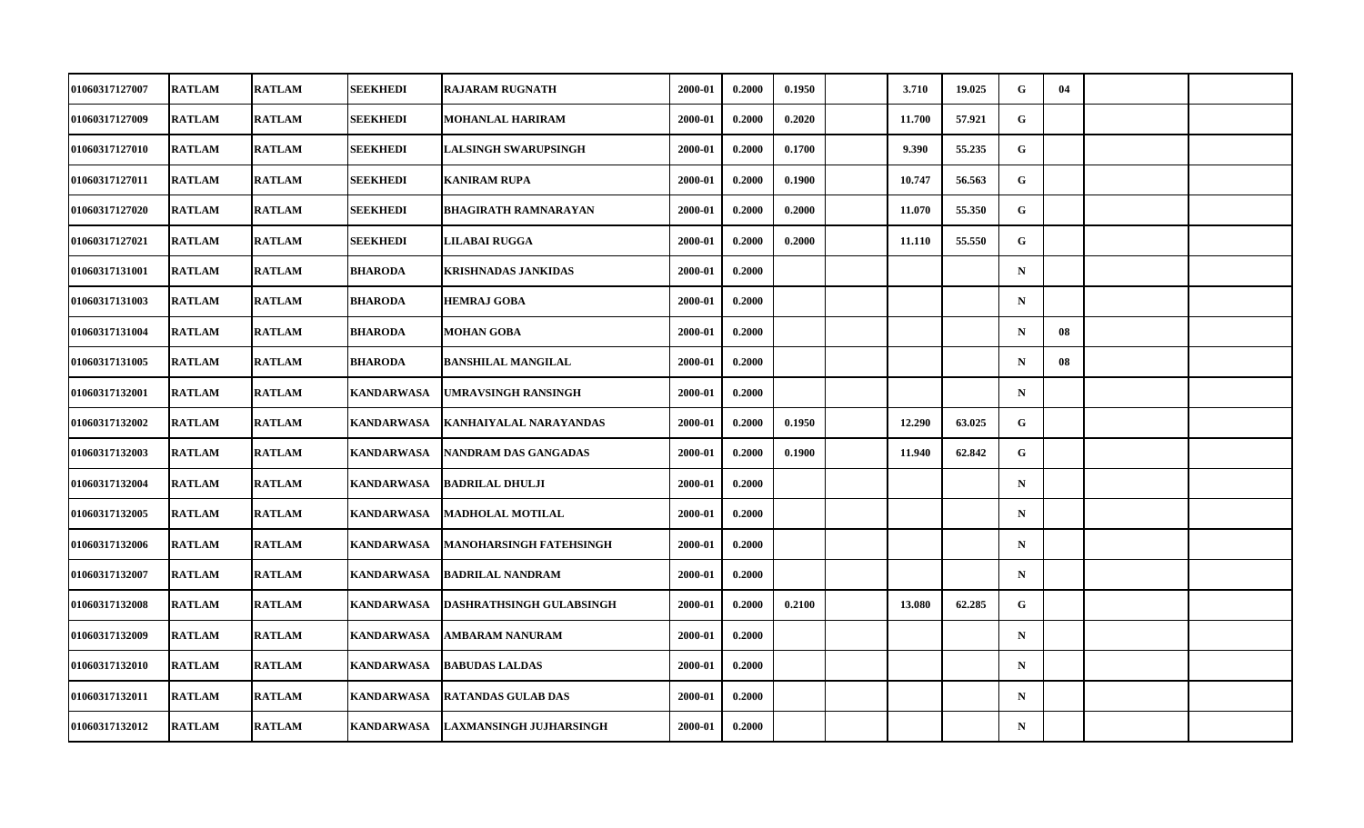| 01060317127007        | <b>RATLAM</b> | <b>RATLAM</b> | SEEKHEDI          | <b>RAJARAM RUGNATH</b>          | 2000-01 | 0.2000 | 0.1950 | 3.710  | 19.025 | G           | 04 |  |
|-----------------------|---------------|---------------|-------------------|---------------------------------|---------|--------|--------|--------|--------|-------------|----|--|
| <b>01060317127009</b> | <b>RATLAM</b> | <b>RATLAM</b> | <b>SEEKHEDI</b>   | MOHANLAL HARIRAM                | 2000-01 | 0.2000 | 0.2020 | 11.700 | 57.921 | G           |    |  |
| 01060317127010        | <b>RATLAM</b> | <b>RATLAM</b> | <b>SEEKHEDI</b>   | <b>LALSINGH SWARUPSINGH</b>     | 2000-01 | 0.2000 | 0.1700 | 9.390  | 55.235 | G           |    |  |
| 01060317127011        | <b>RATLAM</b> | <b>RATLAM</b> | SEEKHEDI          | <b>KANIRAM RUPA</b>             | 2000-01 | 0.2000 | 0.1900 | 10.747 | 56.563 | G           |    |  |
| <b>01060317127020</b> | <b>RATLAM</b> | <b>RATLAM</b> | SEEKHEDI          | <b>BHAGIRATH RAMNARAYAN</b>     | 2000-01 | 0.2000 | 0.2000 | 11.070 | 55.350 | G           |    |  |
| 01060317127021        | <b>RATLAM</b> | <b>RATLAM</b> | <b>SEEKHEDI</b>   | LILABAI RUGGA                   | 2000-01 | 0.2000 | 0.2000 | 11.110 | 55.550 | G           |    |  |
| 01060317131001        | <b>RATLAM</b> | <b>RATLAM</b> | <b>BHARODA</b>    | KRISHNADAS JANKIDAS             | 2000-01 | 0.2000 |        |        |        | $\mathbf N$ |    |  |
| 01060317131003        | <b>RATLAM</b> | <b>RATLAM</b> | <b>BHARODA</b>    | <b>HEMRAJ GOBA</b>              | 2000-01 | 0.2000 |        |        |        | $\mathbf N$ |    |  |
| 01060317131004        | <b>RATLAM</b> | <b>RATLAM</b> | <b>BHARODA</b>    | <b>MOHAN GOBA</b>               | 2000-01 | 0.2000 |        |        |        | $\mathbf N$ | 08 |  |
| 01060317131005        | <b>RATLAM</b> | <b>RATLAM</b> | <b>BHARODA</b>    | <b>BANSHILAL MANGILAL</b>       | 2000-01 | 0.2000 |        |        |        | $\mathbf N$ | 08 |  |
| 01060317132001        | <b>RATLAM</b> | <b>RATLAM</b> | <b>KANDARWASA</b> | <b>UMRAVSINGH RANSINGH</b>      | 2000-01 | 0.2000 |        |        |        | $\mathbf N$ |    |  |
| <b>01060317132002</b> | <b>RATLAM</b> | <b>RATLAM</b> | <b>KANDARWASA</b> | KANHAIYALAL NARAYANDAS          | 2000-01 | 0.2000 | 0.1950 | 12.290 | 63.025 | G           |    |  |
| 01060317132003        | <b>RATLAM</b> | <b>RATLAM</b> | <b>KANDARWASA</b> | NANDRAM DAS GANGADAS            | 2000-01 | 0.2000 | 0.1900 | 11.940 | 62.842 | G           |    |  |
| 01060317132004        | <b>RATLAM</b> | <b>RATLAM</b> | <b>KANDARWASA</b> | <b>BADRILAL DHULJI</b>          | 2000-01 | 0.2000 |        |        |        | $\mathbf N$ |    |  |
| 01060317132005        | <b>RATLAM</b> | <b>RATLAM</b> | <b>KANDARWASA</b> | <b>MADHOLAL MOTILAL</b>         | 2000-01 | 0.2000 |        |        |        | $\mathbf N$ |    |  |
| 01060317132006        | <b>RATLAM</b> | <b>RATLAM</b> | <b>KANDARWASA</b> | <b>MANOHARSINGH FATEHSINGH</b>  | 2000-01 | 0.2000 |        |        |        | $\mathbf N$ |    |  |
| <b>01060317132007</b> | <b>RATLAM</b> | <b>RATLAM</b> | <b>KANDARWASA</b> | <b>BADRILAL NANDRAM</b>         | 2000-01 | 0.2000 |        |        |        | $\mathbf N$ |    |  |
| 01060317132008        | <b>RATLAM</b> | <b>RATLAM</b> | <b>KANDARWASA</b> | <b>DASHRATHSINGH GULABSINGH</b> | 2000-01 | 0.2000 | 0.2100 | 13.080 | 62.285 | $\mathbf G$ |    |  |
| 01060317132009        | <b>RATLAM</b> | <b>RATLAM</b> | <b>KANDARWASA</b> | <b>AMBARAM NANURAM</b>          | 2000-01 | 0.2000 |        |        |        | $\mathbf N$ |    |  |
| <b>01060317132010</b> | <b>RATLAM</b> | <b>RATLAM</b> | KANDARWASA        | <b>BABUDAS LALDAS</b>           | 2000-01 | 0.2000 |        |        |        | $\mathbf N$ |    |  |
| 01060317132011        | <b>RATLAM</b> | <b>RATLAM</b> | <b>KANDARWASA</b> | <b>RATANDAS GULAB DAS</b>       | 2000-01 | 0.2000 |        |        |        | $\mathbf N$ |    |  |
| 01060317132012        | <b>RATLAM</b> | <b>RATLAM</b> | <b>KANDARWASA</b> | <b>LAXMANSINGH JUJHARSINGH</b>  | 2000-01 | 0.2000 |        |        |        | ${\bf N}$   |    |  |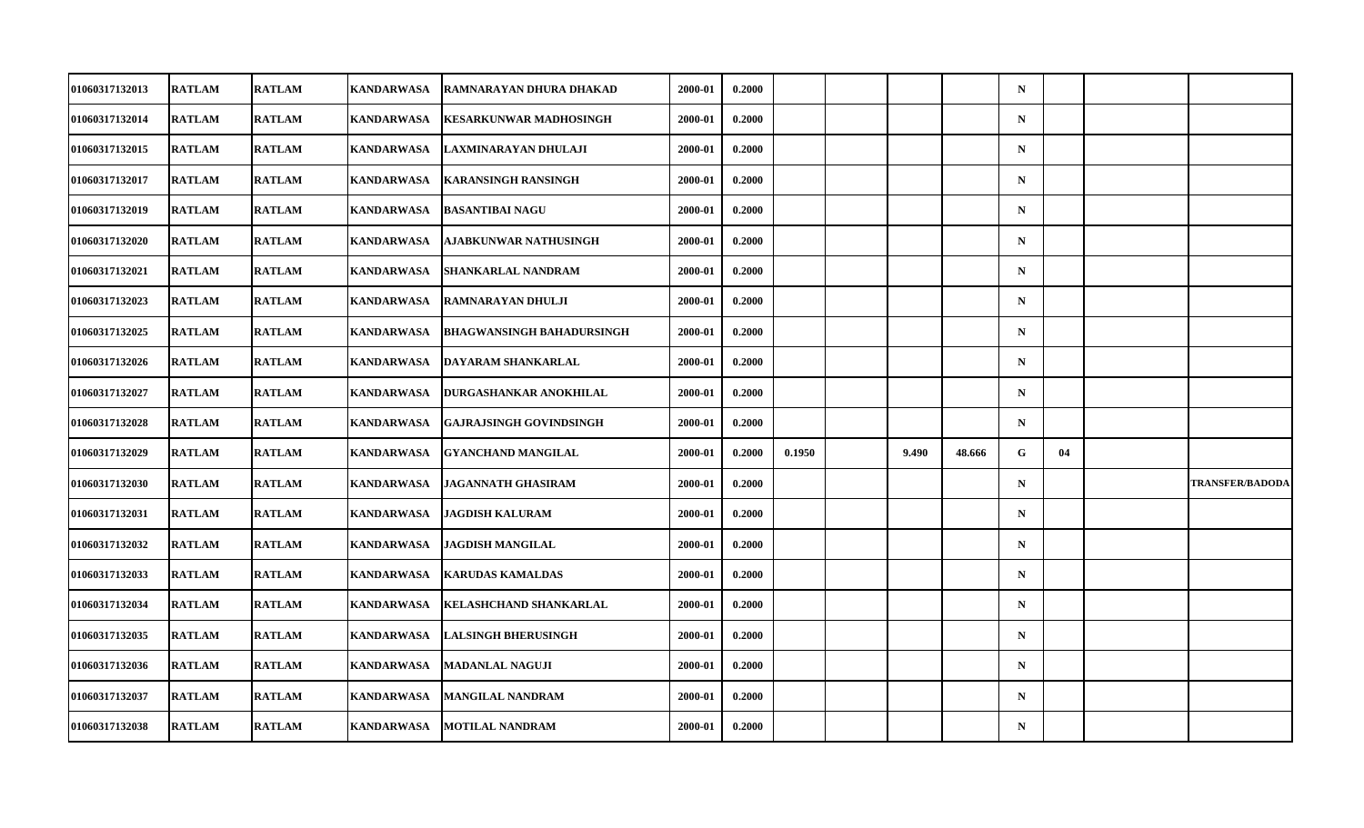| <b>01060317132013</b> | <b>RATLAM</b> | <b>RATLAM</b> | KANDARWASA        | RAMNARAYAN DHURA DHAKAD          | 2000-01 | 0.2000 |        |       |        | $\mathbf N$ |    |                        |
|-----------------------|---------------|---------------|-------------------|----------------------------------|---------|--------|--------|-------|--------|-------------|----|------------------------|
| 01060317132014        | <b>RATLAM</b> | <b>RATLAM</b> | <b>KANDARWASA</b> | <b>KESARKUNWAR MADHOSINGH</b>    | 2000-01 | 0.2000 |        |       |        | $\mathbf N$ |    |                        |
| 01060317132015        | <b>RATLAM</b> | <b>RATLAM</b> | <b>KANDARWASA</b> | LAXMINARAYAN DHULAJI             | 2000-01 | 0.2000 |        |       |        | $\mathbf N$ |    |                        |
| <b>01060317132017</b> | <b>RATLAM</b> | <b>RATLAM</b> | <b>KANDARWASA</b> | <b>KARANSINGH RANSINGH</b>       | 2000-01 | 0.2000 |        |       |        | $\mathbf N$ |    |                        |
| <b>01060317132019</b> | <b>RATLAM</b> | <b>RATLAM</b> | <b>KANDARWASA</b> | <b>BASANTIBAI NAGU</b>           | 2000-01 | 0.2000 |        |       |        | $\mathbf N$ |    |                        |
| 01060317132020        | <b>RATLAM</b> | <b>RATLAM</b> | <b>KANDARWASA</b> | AJABKUNWAR NATHUSINGH            | 2000-01 | 0.2000 |        |       |        | $\mathbf N$ |    |                        |
| 01060317132021        | <b>RATLAM</b> | <b>RATLAM</b> | <b>KANDARWASA</b> | SHANKARLAL NANDRAM               | 2000-01 | 0.2000 |        |       |        | $\mathbf N$ |    |                        |
| <b>01060317132023</b> | <b>RATLAM</b> | <b>RATLAM</b> | KANDARWASA        | RAMNARAYAN DHULJI                | 2000-01 | 0.2000 |        |       |        | $\mathbf N$ |    |                        |
| 01060317132025        | <b>RATLAM</b> | <b>RATLAM</b> | <b>KANDARWASA</b> | <b>BHAGWANSINGH BAHADURSINGH</b> | 2000-01 | 0.2000 |        |       |        | $\mathbf N$ |    |                        |
| 01060317132026        | <b>RATLAM</b> | <b>RATLAM</b> | <b>KANDARWASA</b> | DAYARAM SHANKARLAL               | 2000-01 | 0.2000 |        |       |        | $\mathbf N$ |    |                        |
| <b>01060317132027</b> | <b>RATLAM</b> | <b>RATLAM</b> | KANDARWASA        | DURGASHANKAR ANOKHILAL           | 2000-01 | 0.2000 |        |       |        | $\mathbf N$ |    |                        |
| 01060317132028        | <b>RATLAM</b> | <b>RATLAM</b> | <b>KANDARWASA</b> | <b>GAJRAJSINGH GOVINDSINGH</b>   | 2000-01 | 0.2000 |        |       |        | $\mathbf N$ |    |                        |
| 01060317132029        | <b>RATLAM</b> | <b>RATLAM</b> | <b>KANDARWASA</b> | <b>GYANCHAND MANGILAL</b>        | 2000-01 | 0.2000 | 0.1950 | 9.490 | 48.666 | G           | 04 |                        |
| 01060317132030        | <b>RATLAM</b> | <b>RATLAM</b> | KANDARWASA        | <b>JAGANNATH GHASIRAM</b>        | 2000-01 | 0.2000 |        |       |        | $\mathbf N$ |    | <b>TRANSFER/BADODA</b> |
| 01060317132031        | <b>RATLAM</b> | <b>RATLAM</b> | <b>KANDARWASA</b> | <b>JAGDISH KALURAM</b>           | 2000-01 | 0.2000 |        |       |        | $\mathbf N$ |    |                        |
| 01060317132032        | <b>RATLAM</b> | <b>RATLAM</b> | <b>KANDARWASA</b> | <b>JAGDISH MANGILAL</b>          | 2000-01 | 0.2000 |        |       |        | $\mathbf N$ |    |                        |
| 01060317132033        | <b>RATLAM</b> | <b>RATLAM</b> | KANDARWASA        | <b>KARUDAS KAMALDAS</b>          | 2000-01 | 0.2000 |        |       |        | $\mathbf N$ |    |                        |
| 01060317132034        | <b>RATLAM</b> | <b>RATLAM</b> | <b>KANDARWASA</b> | KELASHCHAND SHANKARLAL           | 2000-01 | 0.2000 |        |       |        | $\mathbf N$ |    |                        |
| 01060317132035        | <b>RATLAM</b> | <b>RATLAM</b> | <b>KANDARWASA</b> | <b>LALSINGH BHERUSINGH</b>       | 2000-01 | 0.2000 |        |       |        | $\mathbf N$ |    |                        |
| 01060317132036        | <b>RATLAM</b> | <b>RATLAM</b> | <b>KANDARWASA</b> | <b>MADANLAL NAGUJI</b>           | 2000-01 | 0.2000 |        |       |        | $\mathbf N$ |    |                        |
| 01060317132037        | <b>RATLAM</b> | <b>RATLAM</b> | <b>KANDARWASA</b> | <b>MANGILAL NANDRAM</b>          | 2000-01 | 0.2000 |        |       |        | $\mathbf N$ |    |                        |
| 01060317132038        | <b>RATLAM</b> | <b>RATLAM</b> | <b>KANDARWASA</b> | <b>MOTILAL NANDRAM</b>           | 2000-01 | 0.2000 |        |       |        | ${\bf N}$   |    |                        |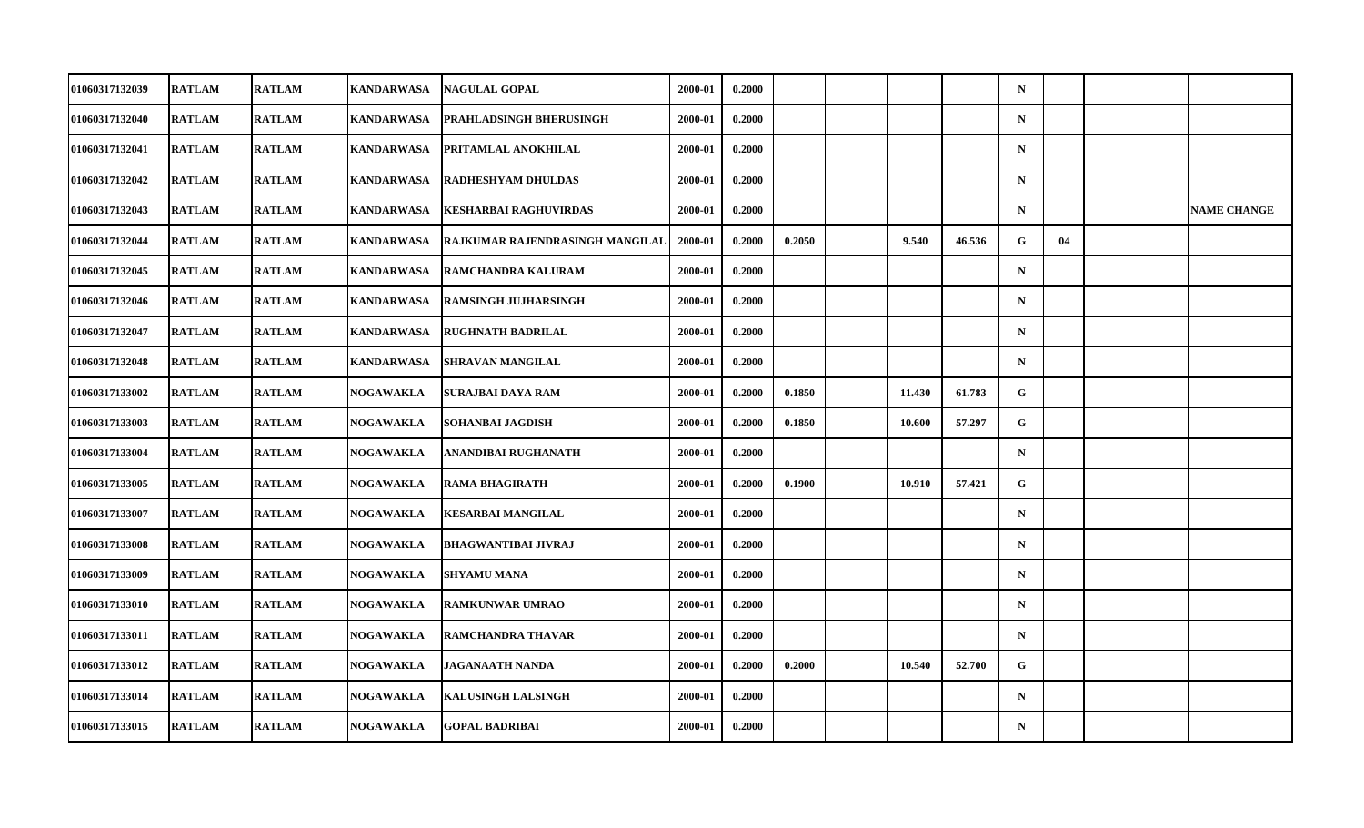| 01060317132039        | <b>RATLAM</b> | <b>RATLAM</b> | KANDARWASA        | <b>NAGULAL GOPAL</b>            | 2000-01 | 0.2000 |        |        |        | $\mathbf N$ |    |                    |
|-----------------------|---------------|---------------|-------------------|---------------------------------|---------|--------|--------|--------|--------|-------------|----|--------------------|
| 01060317132040        | <b>RATLAM</b> | <b>RATLAM</b> | <b>KANDARWASA</b> | PRAHLADSINGH BHERUSINGH         | 2000-01 | 0.2000 |        |        |        | $\mathbf N$ |    |                    |
| 01060317132041        | <b>RATLAM</b> | <b>RATLAM</b> | <b>KANDARWASA</b> | PRITAMLAL ANOKHILAL             | 2000-01 | 0.2000 |        |        |        | $\mathbf N$ |    |                    |
| 01060317132042        | <b>RATLAM</b> | <b>RATLAM</b> | <b>KANDARWASA</b> | <b>RADHESHYAM DHULDAS</b>       | 2000-01 | 0.2000 |        |        |        | $\mathbf N$ |    |                    |
| 01060317132043        | <b>RATLAM</b> | <b>RATLAM</b> | <b>KANDARWASA</b> | <b>KESHARBAI RAGHUVIRDAS</b>    | 2000-01 | 0.2000 |        |        |        | $\mathbf N$ |    | <b>NAME CHANGE</b> |
| 01060317132044        | <b>RATLAM</b> | <b>RATLAM</b> | <b>KANDARWASA</b> | RAJKUMAR RAJENDRASINGH MANGILAL | 2000-01 | 0.2000 | 0.2050 | 9.540  | 46.536 | G           | 04 |                    |
| 01060317132045        | <b>RATLAM</b> | <b>RATLAM</b> | <b>KANDARWASA</b> | <b>RAMCHANDRA KALURAM</b>       | 2000-01 | 0.2000 |        |        |        | $\mathbf N$ |    |                    |
| <b>01060317132046</b> | <b>RATLAM</b> | <b>RATLAM</b> | KANDARWASA        | <b>RAMSINGH JUJHARSINGH</b>     | 2000-01 | 0.2000 |        |        |        | $\mathbf N$ |    |                    |
| 01060317132047        | <b>RATLAM</b> | <b>RATLAM</b> | <b>KANDARWASA</b> | <b>RUGHNATH BADRILAL</b>        | 2000-01 | 0.2000 |        |        |        | $\mathbf N$ |    |                    |
| 01060317132048        | <b>RATLAM</b> | <b>RATLAM</b> | <b>KANDARWASA</b> | <b>SHRAVAN MANGILAL</b>         | 2000-01 | 0.2000 |        |        |        | $\mathbf N$ |    |                    |
| <b>01060317133002</b> | <b>RATLAM</b> | <b>RATLAM</b> | <b>NOGAWAKLA</b>  | SURAJBAI DAYA RAM               | 2000-01 | 0.2000 | 0.1850 | 11.430 | 61.783 | G           |    |                    |
| 01060317133003        | <b>RATLAM</b> | <b>RATLAM</b> | <b>NOGAWAKLA</b>  | SOHANBAI JAGDISH                | 2000-01 | 0.2000 | 0.1850 | 10.600 | 57.297 | G           |    |                    |
| 01060317133004        | <b>RATLAM</b> | <b>RATLAM</b> | NOGAWAKLA         | ANANDIBAI RUGHANATH             | 2000-01 | 0.2000 |        |        |        | $\mathbf N$ |    |                    |
| 01060317133005        | <b>RATLAM</b> | <b>RATLAM</b> | NOGAWAKLA         | <b>RAMA BHAGIRATH</b>           | 2000-01 | 0.2000 | 0.1900 | 10.910 | 57.421 | G           |    |                    |
| 01060317133007        | <b>RATLAM</b> | <b>RATLAM</b> | NOGAWAKLA         | <b>KESARBAI MANGILAL</b>        | 2000-01 | 0.2000 |        |        |        | $\mathbf N$ |    |                    |
| 01060317133008        | <b>RATLAM</b> | <b>RATLAM</b> | <b>NOGAWAKLA</b>  | <b>BHAGWANTIBAI JIVRAJ</b>      | 2000-01 | 0.2000 |        |        |        | $\mathbf N$ |    |                    |
| 01060317133009        | <b>RATLAM</b> | <b>RATLAM</b> | NOGAWAKLA         | <b>SHYAMU MANA</b>              | 2000-01 | 0.2000 |        |        |        | $\mathbf N$ |    |                    |
| 01060317133010        | <b>RATLAM</b> | <b>RATLAM</b> | <b>NOGAWAKLA</b>  | <b>RAMKUNWAR UMRAO</b>          | 2000-01 | 0.2000 |        |        |        | $\mathbf N$ |    |                    |
| 01060317133011        | <b>RATLAM</b> | <b>RATLAM</b> | <b>NOGAWAKLA</b>  | RAMCHANDRA THAVAR               | 2000-01 | 0.2000 |        |        |        | $\mathbf N$ |    |                    |
| 01060317133012        | <b>RATLAM</b> | <b>RATLAM</b> | NOGAWAKLA         | <b>JAGANAATH NANDA</b>          | 2000-01 | 0.2000 | 0.2000 | 10.540 | 52.700 | G           |    |                    |
| 01060317133014        | <b>RATLAM</b> | <b>RATLAM</b> | <b>NOGAWAKLA</b>  | <b>KALUSINGH LALSINGH</b>       | 2000-01 | 0.2000 |        |        |        | $\mathbf N$ |    |                    |
| 01060317133015        | <b>RATLAM</b> | <b>RATLAM</b> | <b>NOGAWAKLA</b>  | <b>GOPAL BADRIBAI</b>           | 2000-01 | 0.2000 |        |        |        | ${\bf N}$   |    |                    |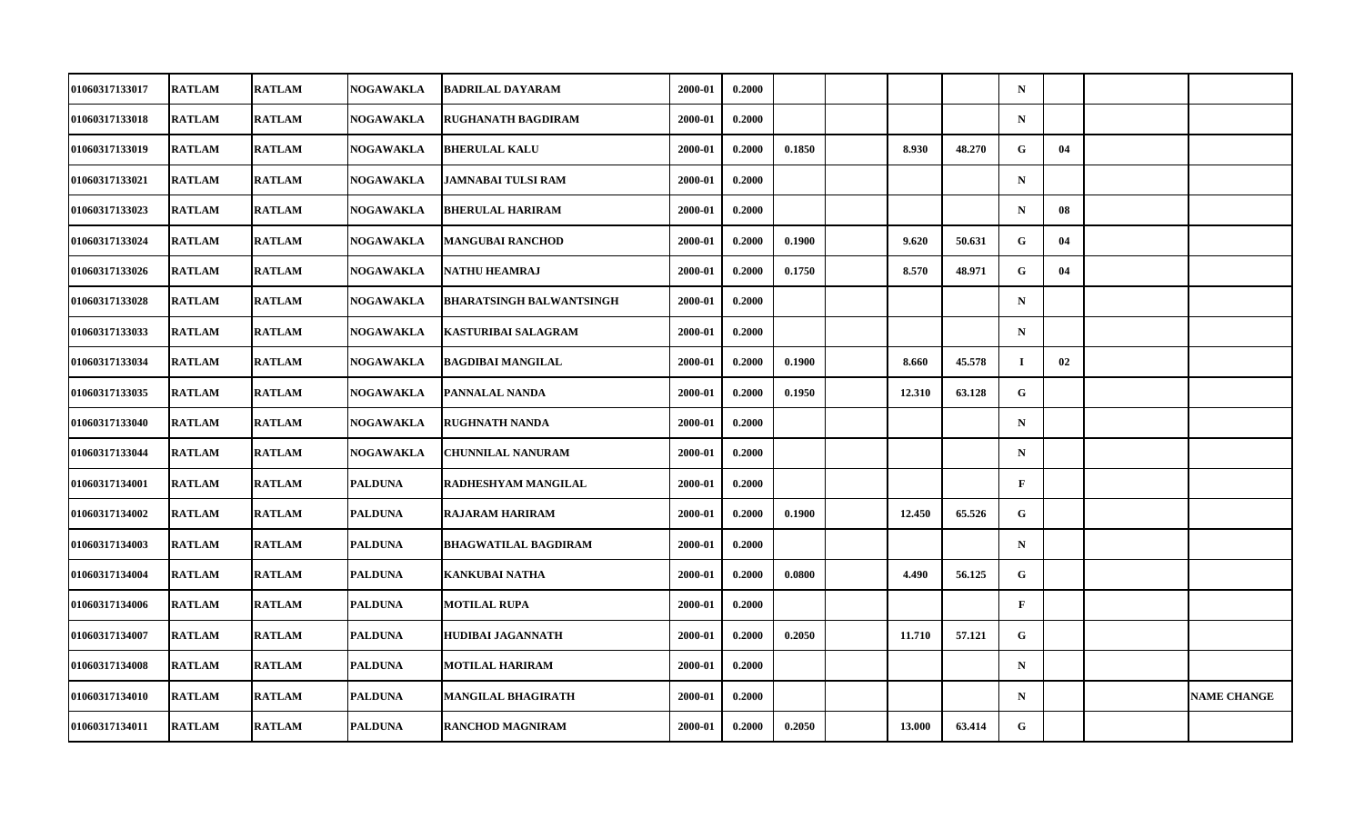| 01060317133017 | <b>RATLAM</b> | <b>RATLAM</b> | <b>NOGAWAKLA</b> | <b>BADRILAL DAYARAM</b>         | 2000-01 | 0.2000 |        |        |        | $\mathbf N$  |    |                    |
|----------------|---------------|---------------|------------------|---------------------------------|---------|--------|--------|--------|--------|--------------|----|--------------------|
| 01060317133018 | <b>RATLAM</b> | <b>RATLAM</b> | <b>NOGAWAKLA</b> | <b>RUGHANATH BAGDIRAM</b>       | 2000-01 | 0.2000 |        |        |        | $\mathbf N$  |    |                    |
| 01060317133019 | <b>RATLAM</b> | <b>RATLAM</b> | NOGAWAKLA        | <b>BHERULAL KALU</b>            | 2000-01 | 0.2000 | 0.1850 | 8.930  | 48.270 | G            | 04 |                    |
| 01060317133021 | <b>RATLAM</b> | <b>RATLAM</b> | <b>NOGAWAKLA</b> | <b>JAMNABAI TULSI RAM</b>       | 2000-01 | 0.2000 |        |        |        | $\mathbf N$  |    |                    |
| 01060317133023 | <b>RATLAM</b> | <b>RATLAM</b> | <b>NOGAWAKLA</b> | <b>BHERULAL HARIRAM</b>         | 2000-01 | 0.2000 |        |        |        | $\mathbf N$  | 08 |                    |
| 01060317133024 | <b>RATLAM</b> | <b>RATLAM</b> | NOGAWAKLA        | <b>MANGUBAI RANCHOD</b>         | 2000-01 | 0.2000 | 0.1900 | 9.620  | 50.631 | G            | 04 |                    |
| 01060317133026 | <b>RATLAM</b> | <b>RATLAM</b> | NOGAWAKLA        | <b>NATHU HEAMRAJ</b>            | 2000-01 | 0.2000 | 0.1750 | 8.570  | 48.971 | G            | 04 |                    |
| 01060317133028 | <b>RATLAM</b> | <b>RATLAM</b> | <b>NOGAWAKLA</b> | <b>BHARATSINGH BALWANTSINGH</b> | 2000-01 | 0.2000 |        |        |        | $\mathbf N$  |    |                    |
| 01060317133033 | <b>RATLAM</b> | <b>RATLAM</b> | NOGAWAKLA        | <b>KASTURIBAI SALAGRAM</b>      | 2000-01 | 0.2000 |        |        |        | $\mathbf N$  |    |                    |
| 01060317133034 | <b>RATLAM</b> | <b>RATLAM</b> | <b>NOGAWAKLA</b> | <b>BAGDIBAI MANGILAL</b>        | 2000-01 | 0.2000 | 0.1900 | 8.660  | 45.578 | $\mathbf I$  | 02 |                    |
| 01060317133035 | <b>RATLAM</b> | <b>RATLAM</b> | NOGAWAKLA        | PANNALAL NANDA                  | 2000-01 | 0.2000 | 0.1950 | 12.310 | 63.128 | G            |    |                    |
| 01060317133040 | <b>RATLAM</b> | <b>RATLAM</b> | <b>NOGAWAKLA</b> | <b>RUGHNATH NANDA</b>           | 2000-01 | 0.2000 |        |        |        | $\mathbf N$  |    |                    |
| 01060317133044 | <b>RATLAM</b> | <b>RATLAM</b> | <b>NOGAWAKLA</b> | <b>CHUNNILAL NANURAM</b>        | 2000-01 | 0.2000 |        |        |        | $\mathbf N$  |    |                    |
| 01060317134001 | <b>RATLAM</b> | <b>RATLAM</b> | <b>PALDUNA</b>   | RADHESHYAM MANGILAL             | 2000-01 | 0.2000 |        |        |        | $\mathbf{F}$ |    |                    |
| 01060317134002 | <b>RATLAM</b> | <b>RATLAM</b> | <b>PALDUNA</b>   | <b>RAJARAM HARIRAM</b>          | 2000-01 | 0.2000 | 0.1900 | 12.450 | 65.526 | ${\bf G}$    |    |                    |
| 01060317134003 | <b>RATLAM</b> | <b>RATLAM</b> | <b>PALDUNA</b>   | <b>BHAGWATILAL BAGDIRAM</b>     | 2000-01 | 0.2000 |        |        |        | $\mathbf N$  |    |                    |
| 01060317134004 | <b>RATLAM</b> | <b>RATLAM</b> | <b>PALDUNA</b>   | KANKUBAI NATHA                  | 2000-01 | 0.2000 | 0.0800 | 4.490  | 56.125 | G            |    |                    |
| 01060317134006 | <b>RATLAM</b> | <b>RATLAM</b> | <b>PALDUNA</b>   | <b>MOTILAL RUPA</b>             | 2000-01 | 0.2000 |        |        |        | $\mathbf{F}$ |    |                    |
| 01060317134007 | <b>RATLAM</b> | <b>RATLAM</b> | <b>PALDUNA</b>   | <b>HUDIBAI JAGANNATH</b>        | 2000-01 | 0.2000 | 0.2050 | 11.710 | 57.121 | G            |    |                    |
| 01060317134008 | <b>RATLAM</b> | <b>RATLAM</b> | <b>PALDUNA</b>   | <b>MOTILAL HARIRAM</b>          | 2000-01 | 0.2000 |        |        |        | $\mathbf N$  |    |                    |
| 01060317134010 | <b>RATLAM</b> | <b>RATLAM</b> | <b>PALDUNA</b>   | <b>MANGILAL BHAGIRATH</b>       | 2000-01 | 0.2000 |        |        |        | $\mathbf N$  |    | <b>NAME CHANGE</b> |
| 01060317134011 | <b>RATLAM</b> | <b>RATLAM</b> | <b>PALDUNA</b>   | <b>RANCHOD MAGNIRAM</b>         | 2000-01 | 0.2000 | 0.2050 | 13.000 | 63.414 | G            |    |                    |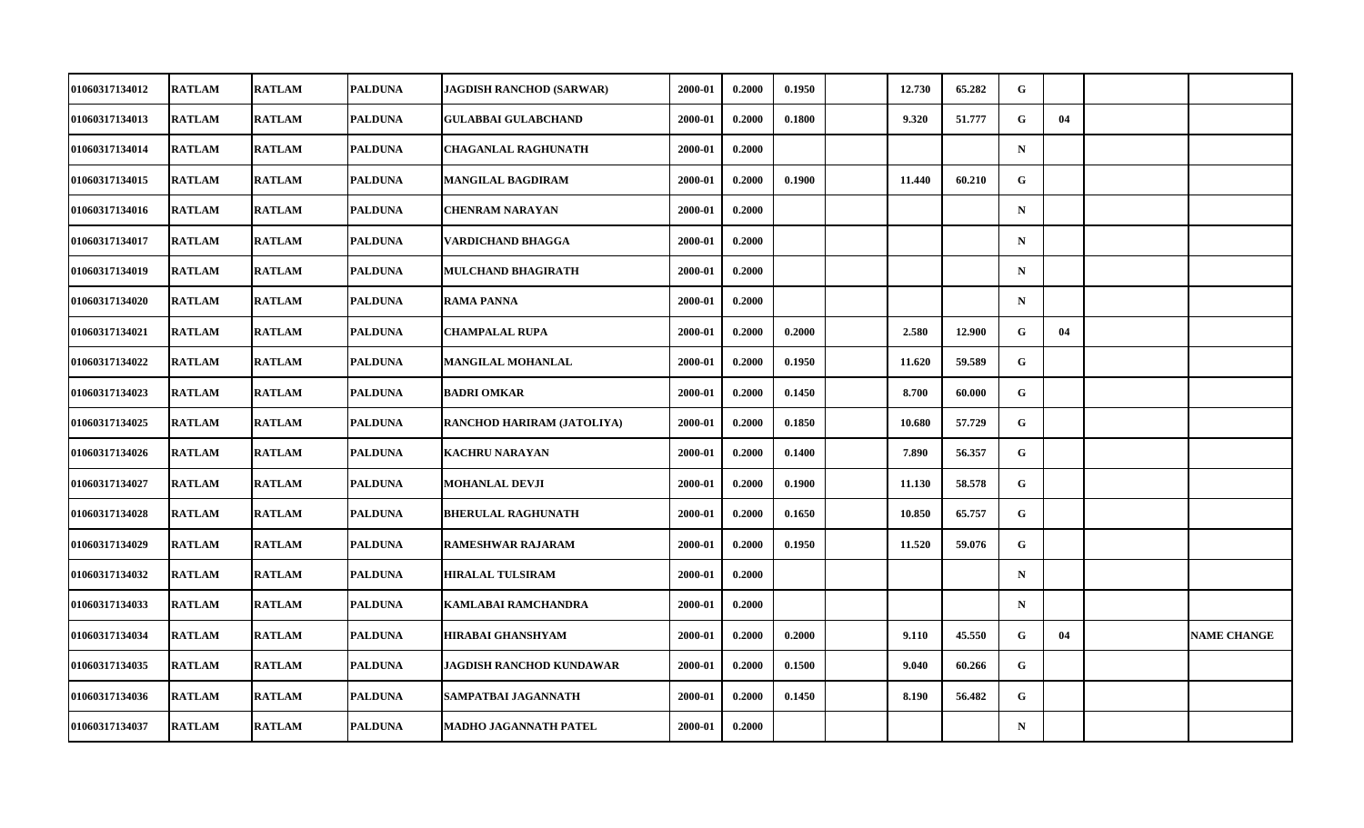| <b>01060317134012</b> | <b>RATLAM</b> | <b>RATLAM</b> | <b>PALDUNA</b> | JAGDISH RANCHOD (SARWAR)          | 2000-01 | 0.2000 | 0.1950 | 12.730 | 65.282 | G            |    |                    |
|-----------------------|---------------|---------------|----------------|-----------------------------------|---------|--------|--------|--------|--------|--------------|----|--------------------|
| 01060317134013        | <b>RATLAM</b> | <b>RATLAM</b> | <b>PALDUNA</b> | <b>GULABBAI GULABCHAND</b>        | 2000-01 | 0.2000 | 0.1800 | 9.320  | 51.777 | G            | 04 |                    |
| 01060317134014        | <b>RATLAM</b> | <b>RATLAM</b> | <b>PALDUNA</b> | <b>CHAGANLAL RAGHUNATH</b>        | 2000-01 | 0.2000 |        |        |        | $\mathbf N$  |    |                    |
| 01060317134015        | <b>RATLAM</b> | <b>RATLAM</b> | <b>PALDUNA</b> | <b>MANGILAL BAGDIRAM</b>          | 2000-01 | 0.2000 | 0.1900 | 11.440 | 60.210 | G            |    |                    |
| 01060317134016        | <b>RATLAM</b> | <b>RATLAM</b> | <b>PALDUNA</b> | <b>CHENRAM NARAYAN</b>            | 2000-01 | 0.2000 |        |        |        | $\mathbf N$  |    |                    |
| 01060317134017        | <b>RATLAM</b> | <b>RATLAM</b> | <b>PALDUNA</b> | VARDICHAND BHAGGA                 | 2000-01 | 0.2000 |        |        |        | $\mathbf N$  |    |                    |
| 01060317134019        | <b>RATLAM</b> | <b>RATLAM</b> | <b>PALDUNA</b> | <b>MULCHAND BHAGIRATH</b>         | 2000-01 | 0.2000 |        |        |        | $\mathbf N$  |    |                    |
| 01060317134020        | <b>RATLAM</b> | <b>RATLAM</b> | <b>PALDUNA</b> | <b>RAMA PANNA</b>                 | 2000-01 | 0.2000 |        |        |        | $\mathbf N$  |    |                    |
| 01060317134021        | <b>RATLAM</b> | <b>RATLAM</b> | <b>PALDUNA</b> | <b>CHAMPALAL RUPA</b>             | 2000-01 | 0.2000 | 0.2000 | 2.580  | 12.900 | G            | 04 |                    |
| 01060317134022        | <b>RATLAM</b> | <b>RATLAM</b> | <b>PALDUNA</b> | <b>MANGILAL MOHANLAL</b>          | 2000-01 | 0.2000 | 0.1950 | 11.620 | 59.589 | G.           |    |                    |
| 01060317134023        | <b>RATLAM</b> | <b>RATLAM</b> | <b>PALDUNA</b> | <b>BADRI OMKAR</b>                | 2000-01 | 0.2000 | 0.1450 | 8.700  | 60.000 | G            |    |                    |
| 01060317134025        | <b>RATLAM</b> | <b>RATLAM</b> | <b>PALDUNA</b> | <b>RANCHOD HARIRAM (JATOLIYA)</b> | 2000-01 | 0.2000 | 0.1850 | 10.680 | 57.729 | G            |    |                    |
| 01060317134026        | <b>RATLAM</b> | <b>RATLAM</b> | <b>PALDUNA</b> | <b>KACHRU NARAYAN</b>             | 2000-01 | 0.2000 | 0.1400 | 7.890  | 56.357 | G            |    |                    |
| 01060317134027        | <b>RATLAM</b> | <b>RATLAM</b> | <b>PALDUNA</b> | MOHANLAL DEVJI                    | 2000-01 | 0.2000 | 0.1900 | 11.130 | 58.578 | $\mathbf{G}$ |    |                    |
| 01060317134028        | <b>RATLAM</b> | <b>RATLAM</b> | <b>PALDUNA</b> | <b>BHERULAL RAGHUNATH</b>         | 2000-01 | 0.2000 | 0.1650 | 10.850 | 65.757 | G            |    |                    |
| 01060317134029        | <b>RATLAM</b> | <b>RATLAM</b> | <b>PALDUNA</b> | <b>RAMESHWAR RAJARAM</b>          | 2000-01 | 0.2000 | 0.1950 | 11.520 | 59.076 | G            |    |                    |
| <b>01060317134032</b> | <b>RATLAM</b> | <b>RATLAM</b> | <b>PALDUNA</b> | <b>HIRALAL TULSIRAM</b>           | 2000-01 | 0.2000 |        |        |        | $\mathbf N$  |    |                    |
| 01060317134033        | <b>RATLAM</b> | <b>RATLAM</b> | <b>PALDUNA</b> | KAMLABAI RAMCHANDRA               | 2000-01 | 0.2000 |        |        |        | $\mathbf N$  |    |                    |
| 01060317134034        | <b>RATLAM</b> | <b>RATLAM</b> | <b>PALDUNA</b> | <b>HIRABAI GHANSHYAM</b>          | 2000-01 | 0.2000 | 0.2000 | 9.110  | 45.550 | G            | 04 | <b>NAME CHANGE</b> |
| 01060317134035        | <b>RATLAM</b> | <b>RATLAM</b> | <b>PALDUNA</b> | JAGDISH RANCHOD KUNDAWAR          | 2000-01 | 0.2000 | 0.1500 | 9.040  | 60.266 | G            |    |                    |
| 01060317134036        | <b>RATLAM</b> | <b>RATLAM</b> | <b>PALDUNA</b> | SAMPATBAI JAGANNATH               | 2000-01 | 0.2000 | 0.1450 | 8.190  | 56.482 | $\mathbf{G}$ |    |                    |
| 01060317134037        | <b>RATLAM</b> | <b>RATLAM</b> | <b>PALDUNA</b> | MADHO JAGANNATH PATEL             | 2000-01 | 0.2000 |        |        |        | $\mathbf N$  |    |                    |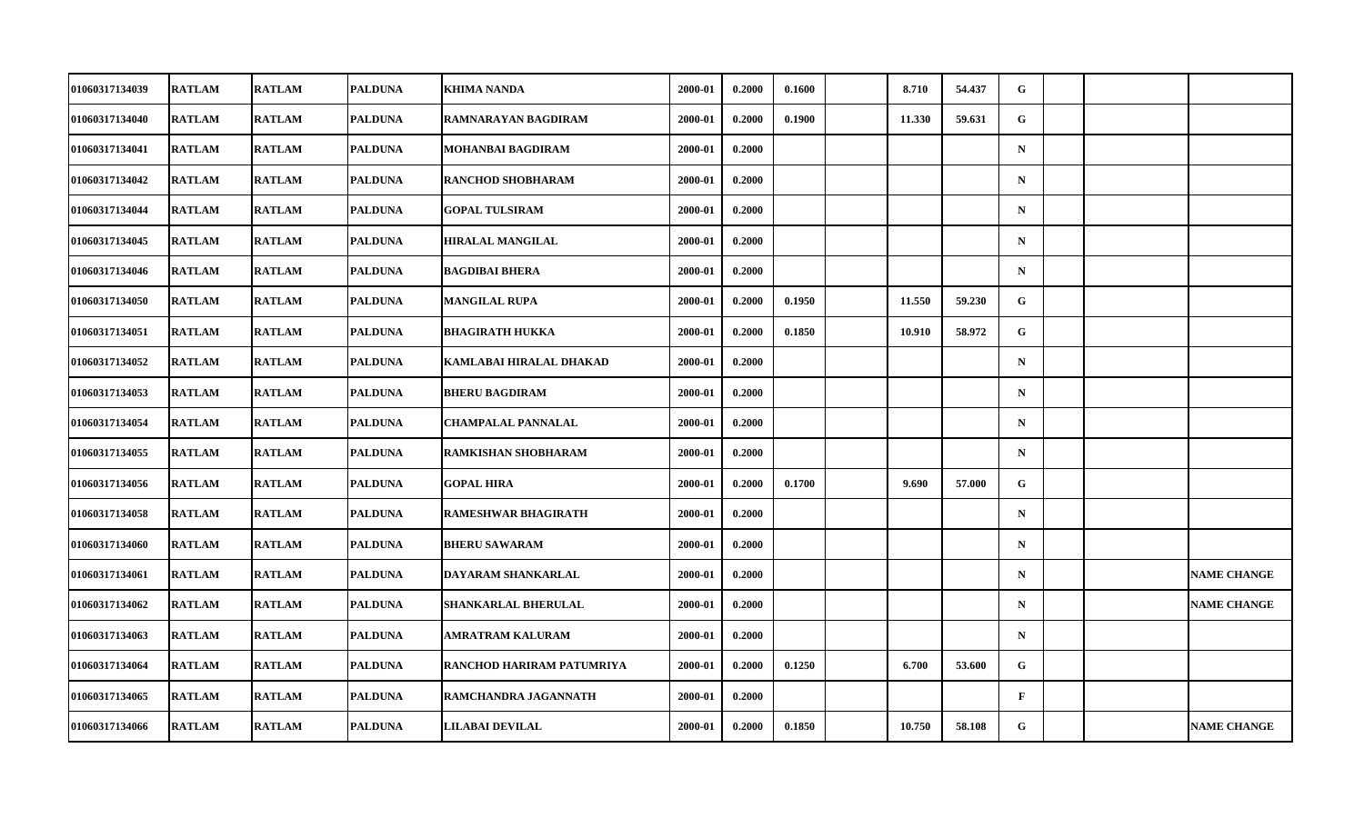| 01060317134039        | <b>RATLAM</b> | <b>RATLAM</b> | <b>PALDUNA</b> | KHIMA NANDA                | 2000-01 | 0.2000 | 0.1600 | 8.710  | 54.437 | G            |  |                    |
|-----------------------|---------------|---------------|----------------|----------------------------|---------|--------|--------|--------|--------|--------------|--|--------------------|
| 01060317134040        | <b>RATLAM</b> | <b>RATLAM</b> | <b>PALDUNA</b> | RAMNARAYAN BAGDIRAM        | 2000-01 | 0.2000 | 0.1900 | 11.330 | 59.631 | G            |  |                    |
| 01060317134041        | <b>RATLAM</b> | <b>RATLAM</b> | <b>PALDUNA</b> | MOHANBAI BAGDIRAM          | 2000-01 | 0.2000 |        |        |        | $\mathbf N$  |  |                    |
| 01060317134042        | <b>RATLAM</b> | <b>RATLAM</b> | <b>PALDUNA</b> | <b>RANCHOD SHOBHARAM</b>   | 2000-01 | 0.2000 |        |        |        | $\mathbf N$  |  |                    |
| 01060317134044        | <b>RATLAM</b> | <b>RATLAM</b> | <b>PALDUNA</b> | <b>GOPAL TULSIRAM</b>      | 2000-01 | 0.2000 |        |        |        | $\mathbf N$  |  |                    |
| 01060317134045        | <b>RATLAM</b> | <b>RATLAM</b> | <b>PALDUNA</b> | <b>HIRALAL MANGILAL</b>    | 2000-01 | 0.2000 |        |        |        | $\mathbf N$  |  |                    |
| 01060317134046        | <b>RATLAM</b> | <b>RATLAM</b> | <b>PALDUNA</b> | <b>BAGDIBAI BHERA</b>      | 2000-01 | 0.2000 |        |        |        | $\mathbf N$  |  |                    |
| <b>01060317134050</b> | <b>RATLAM</b> | <b>RATLAM</b> | <b>PALDUNA</b> | <b>MANGILAL RUPA</b>       | 2000-01 | 0.2000 | 0.1950 | 11.550 | 59.230 | G            |  |                    |
| 01060317134051        | <b>RATLAM</b> | <b>RATLAM</b> | <b>PALDUNA</b> | <b>BHAGIRATH HUKKA</b>     | 2000-01 | 0.2000 | 0.1850 | 10.910 | 58.972 | G            |  |                    |
| 01060317134052        | <b>RATLAM</b> | <b>RATLAM</b> | <b>PALDUNA</b> | KAMLABAI HIRALAL DHAKAD    | 2000-01 | 0.2000 |        |        |        | $\mathbf N$  |  |                    |
| <b>01060317134053</b> | <b>RATLAM</b> | <b>RATLAM</b> | PALDUNA        | <b>BHERU BAGDIRAM</b>      | 2000-01 | 0.2000 |        |        |        | $\mathbf N$  |  |                    |
| 01060317134054        | <b>RATLAM</b> | <b>RATLAM</b> | <b>PALDUNA</b> | <b>CHAMPALAL PANNALAL</b>  | 2000-01 | 0.2000 |        |        |        | $\mathbf N$  |  |                    |
| 01060317134055        | <b>RATLAM</b> | <b>RATLAM</b> | <b>PALDUNA</b> | RAMKISHAN SHOBHARAM        | 2000-01 | 0.2000 |        |        |        | $\mathbf N$  |  |                    |
| 01060317134056        | <b>RATLAM</b> | <b>RATLAM</b> | <b>PALDUNA</b> | <b>GOPAL HIRA</b>          | 2000-01 | 0.2000 | 0.1700 | 9.690  | 57.000 | G            |  |                    |
| 01060317134058        | <b>RATLAM</b> | <b>RATLAM</b> | <b>PALDUNA</b> | <b>RAMESHWAR BHAGIRATH</b> | 2000-01 | 0.2000 |        |        |        | $\mathbf N$  |  |                    |
| 01060317134060        | <b>RATLAM</b> | <b>RATLAM</b> | <b>PALDUNA</b> | <b>BHERU SAWARAM</b>       | 2000-01 | 0.2000 |        |        |        | $\mathbf N$  |  |                    |
| 01060317134061        | <b>RATLAM</b> | <b>RATLAM</b> | <b>PALDUNA</b> | DAYARAM SHANKARLAL         | 2000-01 | 0.2000 |        |        |        | $\mathbf N$  |  | <b>NAME CHANGE</b> |
| 01060317134062        | <b>RATLAM</b> | <b>RATLAM</b> | <b>PALDUNA</b> | SHANKARLAL BHERULAL        | 2000-01 | 0.2000 |        |        |        | $\mathbf N$  |  | <b>NAME CHANGE</b> |
| 01060317134063        | <b>RATLAM</b> | <b>RATLAM</b> | <b>PALDUNA</b> | <b>AMRATRAM KALURAM</b>    | 2000-01 | 0.2000 |        |        |        | $\mathbf N$  |  |                    |
| 01060317134064        | <b>RATLAM</b> | <b>RATLAM</b> | <b>PALDUNA</b> | RANCHOD HARIRAM PATUMRIYA  | 2000-01 | 0.2000 | 0.1250 | 6.700  | 53.600 | G            |  |                    |
| 01060317134065        | <b>RATLAM</b> | <b>RATLAM</b> | PALDUNA        | RAMCHANDRA JAGANNATH       | 2000-01 | 0.2000 |        |        |        | $\mathbf{F}$ |  |                    |
| 01060317134066        | <b>RATLAM</b> | <b>RATLAM</b> | <b>PALDUNA</b> | LILABAI DEVILAL            | 2000-01 | 0.2000 | 0.1850 | 10.750 | 58.108 | G            |  | <b>NAME CHANGE</b> |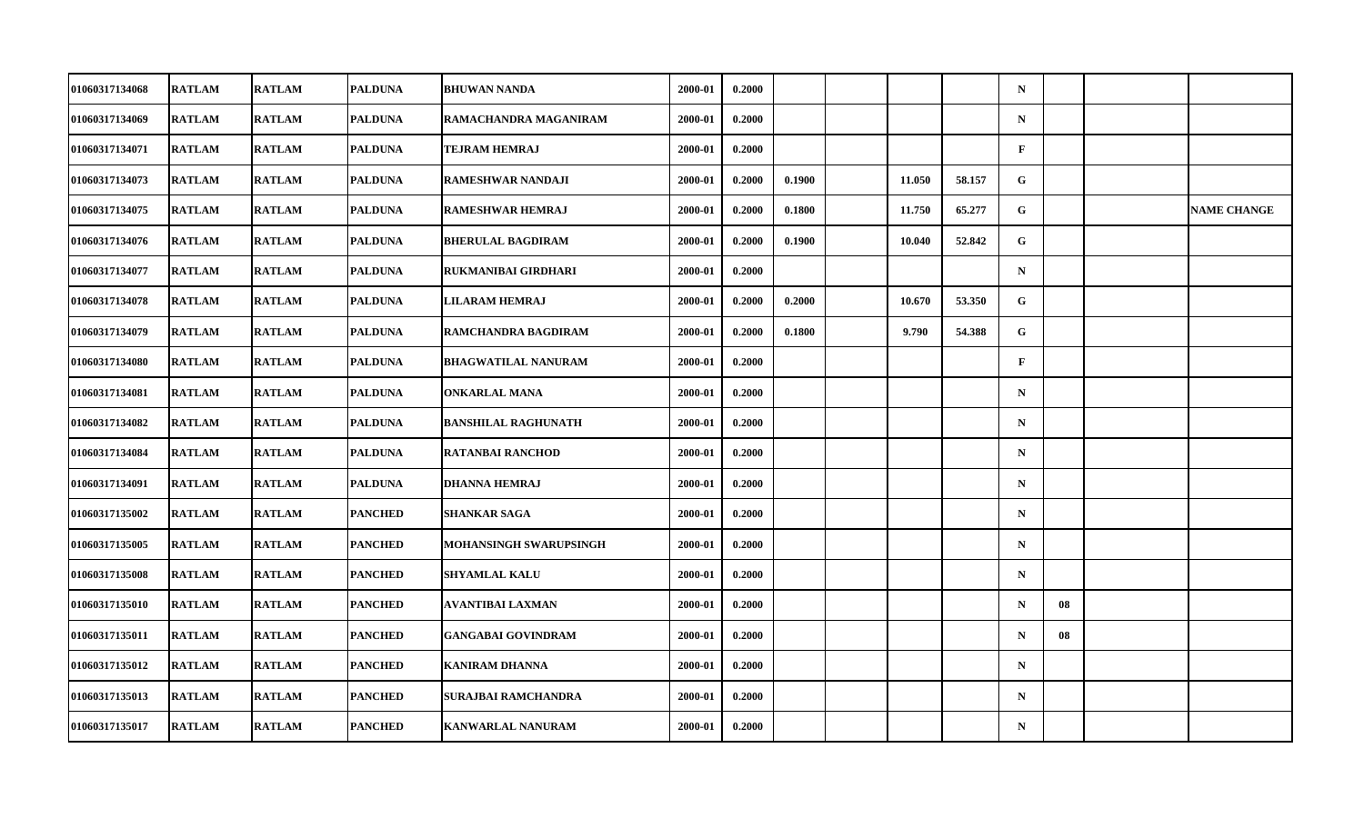| 01060317134068        | <b>RATLAM</b> | <b>RATLAM</b> | <b>PALDUNA</b> | <b>BHUWAN NANDA</b>           | 2000-01 | 0.2000 |        |        |        | $\mathbf N$  |    |                    |
|-----------------------|---------------|---------------|----------------|-------------------------------|---------|--------|--------|--------|--------|--------------|----|--------------------|
| 01060317134069        | <b>RATLAM</b> | <b>RATLAM</b> | PALDUNA        | RAMACHANDRA MAGANIRAM         | 2000-01 | 0.2000 |        |        |        | ${\bf N}$    |    |                    |
| 01060317134071        | <b>RATLAM</b> | <b>RATLAM</b> | <b>PALDUNA</b> | <b>TEJRAM HEMRAJ</b>          | 2000-01 | 0.2000 |        |        |        | $\mathbf{F}$ |    |                    |
| 01060317134073        | <b>RATLAM</b> | <b>RATLAM</b> | <b>PALDUNA</b> | RAMESHWAR NANDAJI             | 2000-01 | 0.2000 | 0.1900 | 11.050 | 58.157 | G            |    |                    |
| 01060317134075        | <b>RATLAM</b> | <b>RATLAM</b> | <b>PALDUNA</b> | <b>RAMESHWAR HEMRAJ</b>       | 2000-01 | 0.2000 | 0.1800 | 11.750 | 65.277 | G            |    | <b>NAME CHANGE</b> |
| 01060317134076        | <b>RATLAM</b> | <b>RATLAM</b> | <b>PALDUNA</b> | <b>BHERULAL BAGDIRAM</b>      | 2000-01 | 0.2000 | 0.1900 | 10.040 | 52.842 | G            |    |                    |
| 01060317134077        | <b>RATLAM</b> | <b>RATLAM</b> | <b>PALDUNA</b> | RUKMANIBAI GIRDHARI           | 2000-01 | 0.2000 |        |        |        | $\mathbf N$  |    |                    |
| 01060317134078        | <b>RATLAM</b> | <b>RATLAM</b> | <b>PALDUNA</b> | <b>LILARAM HEMRAJ</b>         | 2000-01 | 0.2000 | 0.2000 | 10.670 | 53.350 | G            |    |                    |
| 01060317134079        | <b>RATLAM</b> | <b>RATLAM</b> | <b>PALDUNA</b> | RAMCHANDRA BAGDIRAM           | 2000-01 | 0.2000 | 0.1800 | 9.790  | 54.388 | G            |    |                    |
| 01060317134080        | <b>RATLAM</b> | <b>RATLAM</b> | <b>PALDUNA</b> | <b>BHAGWATILAL NANURAM</b>    | 2000-01 | 0.2000 |        |        |        | $\mathbf F$  |    |                    |
| 01060317134081        | <b>RATLAM</b> | <b>RATLAM</b> | <b>PALDUNA</b> | <b>ONKARLAL MANA</b>          | 2000-01 | 0.2000 |        |        |        | $\mathbf N$  |    |                    |
| 01060317134082        | <b>RATLAM</b> | <b>RATLAM</b> | <b>PALDUNA</b> | <b>BANSHILAL RAGHUNATH</b>    | 2000-01 | 0.2000 |        |        |        | $\mathbf N$  |    |                    |
| 01060317134084        | <b>RATLAM</b> | <b>RATLAM</b> | <b>PALDUNA</b> | <b>RATANBAI RANCHOD</b>       | 2000-01 | 0.2000 |        |        |        | ${\bf N}$    |    |                    |
| 01060317134091        | <b>RATLAM</b> | <b>RATLAM</b> | <b>PALDUNA</b> | <b>DHANNA HEMRAJ</b>          | 2000-01 | 0.2000 |        |        |        | $\mathbf N$  |    |                    |
| 01060317135002        | <b>RATLAM</b> | <b>RATLAM</b> | <b>PANCHED</b> | SHANKAR SAGA                  | 2000-01 | 0.2000 |        |        |        | $\mathbf N$  |    |                    |
| 01060317135005        | <b>RATLAM</b> | <b>RATLAM</b> | <b>PANCHED</b> | <b>MOHANSINGH SWARUPSINGH</b> | 2000-01 | 0.2000 |        |        |        | $\mathbf N$  |    |                    |
| <b>01060317135008</b> | <b>RATLAM</b> | <b>RATLAM</b> | <b>PANCHED</b> | <b>SHYAMLAL KALU</b>          | 2000-01 | 0.2000 |        |        |        | $\mathbf N$  |    |                    |
| 01060317135010        | <b>RATLAM</b> | <b>RATLAM</b> | <b>PANCHED</b> | AVANTIBAI LAXMAN              | 2000-01 | 0.2000 |        |        |        | $\mathbf N$  | 08 |                    |
| 01060317135011        | <b>RATLAM</b> | <b>RATLAM</b> | <b>PANCHED</b> | <b>GANGABAI GOVINDRAM</b>     | 2000-01 | 0.2000 |        |        |        | $\mathbf N$  | 08 |                    |
| <b>01060317135012</b> | <b>RATLAM</b> | <b>RATLAM</b> | <b>PANCHED</b> | <b>KANIRAM DHANNA</b>         | 2000-01 | 0.2000 |        |        |        | $\mathbf N$  |    |                    |
| 01060317135013        | <b>RATLAM</b> | <b>RATLAM</b> | <b>PANCHED</b> | SURAJBAI RAMCHANDRA           | 2000-01 | 0.2000 |        |        |        | $\mathbf N$  |    |                    |
| 01060317135017        | <b>RATLAM</b> | <b>RATLAM</b> | <b>PANCHED</b> | <b>KANWARLAL NANURAM</b>      | 2000-01 | 0.2000 |        |        |        | ${\bf N}$    |    |                    |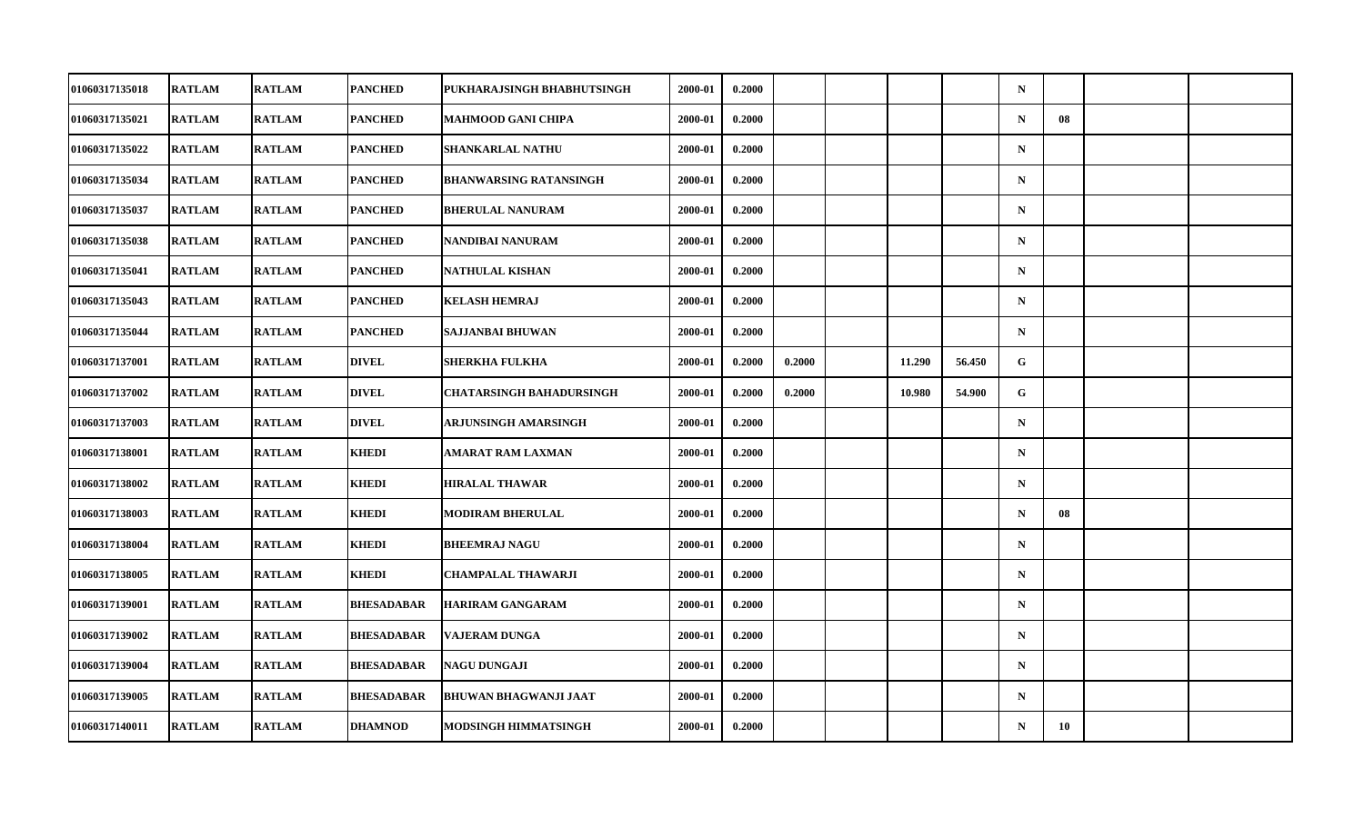| 01060317135018        | <b>RATLAM</b> | <b>RATLAM</b> | <b>PANCHED</b>    | PUKHARAJSINGH BHABHUTSINGH      | 2000-01 | 0.2000 |        |        |        | $\mathbf N$ |    |  |
|-----------------------|---------------|---------------|-------------------|---------------------------------|---------|--------|--------|--------|--------|-------------|----|--|
| 01060317135021        | <b>RATLAM</b> | <b>RATLAM</b> | <b>PANCHED</b>    | MAHMOOD GANI CHIPA              | 2000-01 | 0.2000 |        |        |        | ${\bf N}$   | 08 |  |
| 01060317135022        | <b>RATLAM</b> | <b>RATLAM</b> | <b>PANCHED</b>    | <b>SHANKARLAL NATHU</b>         | 2000-01 | 0.2000 |        |        |        | $\mathbf N$ |    |  |
| 01060317135034        | <b>RATLAM</b> | <b>RATLAM</b> | PANCHED           | <b>BHANWARSING RATANSINGH</b>   | 2000-01 | 0.2000 |        |        |        | $\mathbf N$ |    |  |
| 01060317135037        | <b>RATLAM</b> | <b>RATLAM</b> | PANCHED           | <b>BHERULAL NANURAM</b>         | 2000-01 | 0.2000 |        |        |        | $\mathbf N$ |    |  |
| 01060317135038        | <b>RATLAM</b> | <b>RATLAM</b> | <b>PANCHED</b>    | NANDIBAI NANURAM                | 2000-01 | 0.2000 |        |        |        | $\mathbf N$ |    |  |
| 01060317135041        | <b>RATLAM</b> | <b>RATLAM</b> | <b>PANCHED</b>    | NATHULAL KISHAN                 | 2000-01 | 0.2000 |        |        |        | $\mathbf N$ |    |  |
| 01060317135043        | <b>RATLAM</b> | <b>RATLAM</b> | PANCHED           | <b>KELASH HEMRAJ</b>            | 2000-01 | 0.2000 |        |        |        | $\mathbf N$ |    |  |
| 01060317135044        | <b>RATLAM</b> | <b>RATLAM</b> | <b>PANCHED</b>    | SAJJANBAI BHUWAN                | 2000-01 | 0.2000 |        |        |        | $\mathbf N$ |    |  |
| 01060317137001        | <b>RATLAM</b> | <b>RATLAM</b> | <b>DIVEL</b>      | <b>SHERKHA FULKHA</b>           | 2000-01 | 0.2000 | 0.2000 | 11.290 | 56.450 | G           |    |  |
| <b>01060317137002</b> | <b>RATLAM</b> | <b>RATLAM</b> | <b>DIVEL</b>      | <b>CHATARSINGH BAHADURSINGH</b> | 2000-01 | 0.2000 | 0.2000 | 10.980 | 54.900 | G           |    |  |
| 01060317137003        | <b>RATLAM</b> | <b>RATLAM</b> | <b>DIVEL</b>      | ARJUNSINGH AMARSINGH            | 2000-01 | 0.2000 |        |        |        | $\mathbf N$ |    |  |
| 01060317138001        | <b>RATLAM</b> | <b>RATLAM</b> | <b>KHEDI</b>      | AMARAT RAM LAXMAN               | 2000-01 | 0.2000 |        |        |        | ${\bf N}$   |    |  |
| 01060317138002        | <b>RATLAM</b> | <b>RATLAM</b> | <b>KHEDI</b>      | <b>HIRALAL THAWAR</b>           | 2000-01 | 0.2000 |        |        |        | $\mathbf N$ |    |  |
| 01060317138003        | <b>RATLAM</b> | <b>RATLAM</b> | <b>KHEDI</b>      | <b>MODIRAM BHERULAL</b>         | 2000-01 | 0.2000 |        |        |        | $\mathbf N$ | 08 |  |
| 01060317138004        | <b>RATLAM</b> | <b>RATLAM</b> | <b>KHEDI</b>      | <b>BHEEMRAJ NAGU</b>            | 2000-01 | 0.2000 |        |        |        | $\mathbf N$ |    |  |
| 01060317138005        | <b>RATLAM</b> | <b>RATLAM</b> | <b>KHEDI</b>      | CHAMPALAL THAWARJI              | 2000-01 | 0.2000 |        |        |        | $\mathbf N$ |    |  |
| 01060317139001        | <b>RATLAM</b> | <b>RATLAM</b> | <b>BHESADABAR</b> | <b>HARIRAM GANGARAM</b>         | 2000-01 | 0.2000 |        |        |        | $\mathbf N$ |    |  |
| 01060317139002        | <b>RATLAM</b> | <b>RATLAM</b> | <b>BHESADABAR</b> | <b>VAJERAM DUNGA</b>            | 2000-01 | 0.2000 |        |        |        | $\mathbf N$ |    |  |
| 01060317139004        | <b>RATLAM</b> | <b>RATLAM</b> | <b>BHESADABAR</b> | <b>NAGU DUNGAJI</b>             | 2000-01 | 0.2000 |        |        |        | $\mathbf N$ |    |  |
| 01060317139005        | <b>RATLAM</b> | <b>RATLAM</b> | <b>BHESADABAR</b> | <b>BHUWAN BHAGWANJI JAAT</b>    | 2000-01 | 0.2000 |        |        |        | $\mathbf N$ |    |  |
| 01060317140011        | <b>RATLAM</b> | <b>RATLAM</b> | <b>DHAMNOD</b>    | MODSINGH HIMMATSINGH            | 2000-01 | 0.2000 |        |        |        | $\mathbf N$ | 10 |  |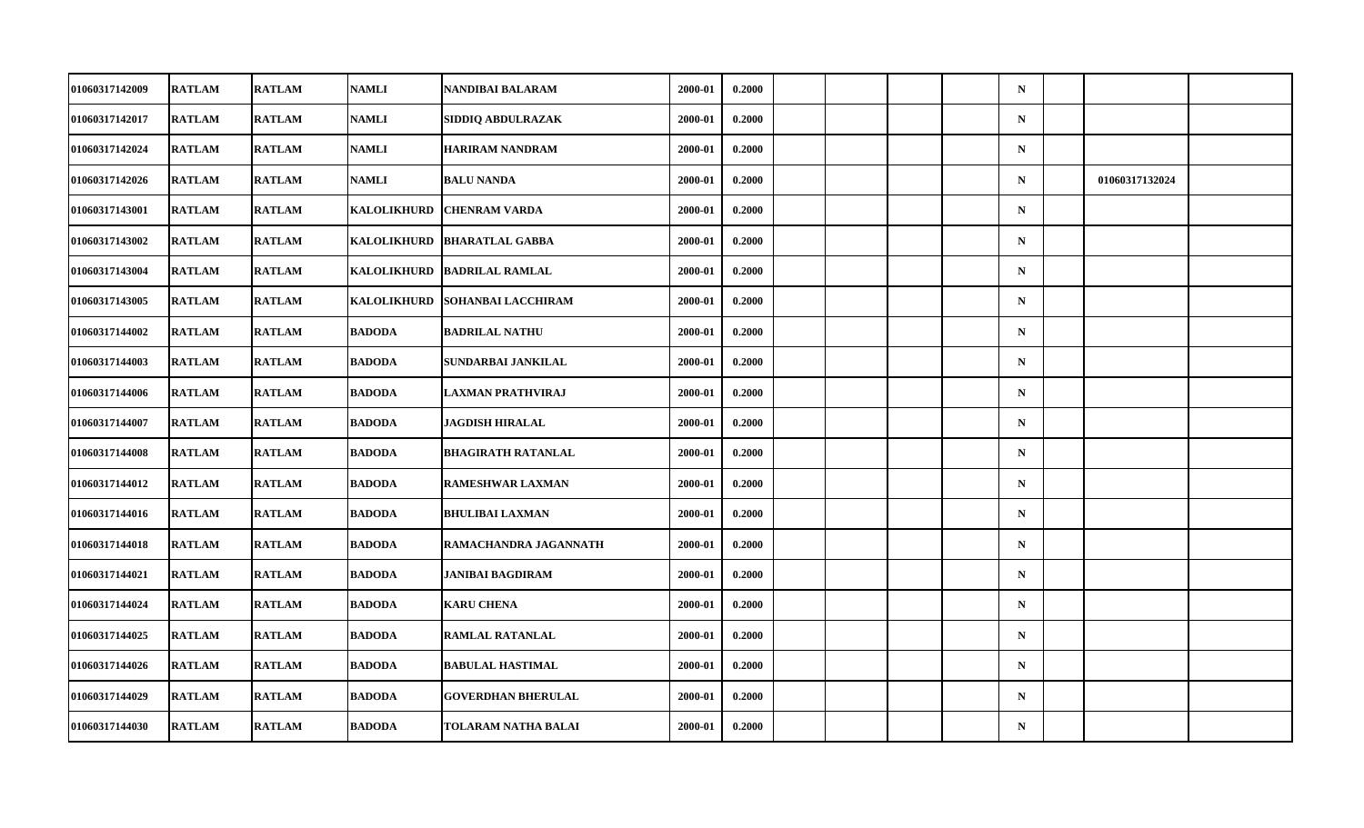| 01060317142009 | <b>RATLAM</b> | <b>RATLAM</b> | <b>NAMLI</b>       | NANDIBAI BALARAM          | 2000-01 | 0.2000 |  |  | $\mathbf N$ |                |  |
|----------------|---------------|---------------|--------------------|---------------------------|---------|--------|--|--|-------------|----------------|--|
| 01060317142017 | <b>RATLAM</b> | <b>RATLAM</b> | <b>NAMLI</b>       | SIDDIQ ABDULRAZAK         | 2000-01 | 0.2000 |  |  | ${\bf N}$   |                |  |
| 01060317142024 | <b>RATLAM</b> | <b>RATLAM</b> | <b>NAMLI</b>       | <b>HARIRAM NANDRAM</b>    | 2000-01 | 0.2000 |  |  | ${\bf N}$   |                |  |
| 01060317142026 | <b>RATLAM</b> | <b>RATLAM</b> | <b>NAMLI</b>       | <b>BALU NANDA</b>         | 2000-01 | 0.2000 |  |  | $\mathbf N$ | 01060317132024 |  |
| 01060317143001 | <b>RATLAM</b> | <b>RATLAM</b> | <b>KALOLIKHURD</b> | <b>CHENRAM VARDA</b>      | 2000-01 | 0.2000 |  |  | $\mathbf N$ |                |  |
| 01060317143002 | <b>RATLAM</b> | <b>RATLAM</b> | <b>KALOLIKHURD</b> | <b>BHARATLAL GABBA</b>    | 2000-01 | 0.2000 |  |  | ${\bf N}$   |                |  |
| 01060317143004 | <b>RATLAM</b> | <b>RATLAM</b> | <b>KALOLIKHURD</b> | <b>BADRILAL RAMLAL</b>    | 2000-01 | 0.2000 |  |  | $\mathbf N$ |                |  |
| 01060317143005 | <b>RATLAM</b> | <b>RATLAM</b> | <b>KALOLIKHURD</b> | <b>SOHANBAI LACCHIRAM</b> | 2000-01 | 0.2000 |  |  | $\mathbf N$ |                |  |
| 01060317144002 | <b>RATLAM</b> | <b>RATLAM</b> | <b>BADODA</b>      | <b>BADRILAL NATHU</b>     | 2000-01 | 0.2000 |  |  | $\mathbf N$ |                |  |
| 01060317144003 | <b>RATLAM</b> | <b>RATLAM</b> | <b>BADODA</b>      | SUNDARBAI JANKILAL        | 2000-01 | 0.2000 |  |  | $\mathbf N$ |                |  |
| 01060317144006 | <b>RATLAM</b> | <b>RATLAM</b> | <b>BADODA</b>      | <b>LAXMAN PRATHVIRAJ</b>  | 2000-01 | 0.2000 |  |  | $\mathbf N$ |                |  |
| 01060317144007 | <b>RATLAM</b> | <b>RATLAM</b> | <b>BADODA</b>      | <b>JAGDISH HIRALAL</b>    | 2000-01 | 0.2000 |  |  | $\mathbf N$ |                |  |
| 01060317144008 | <b>RATLAM</b> | <b>RATLAM</b> | <b>BADODA</b>      | <b>BHAGIRATH RATANLAL</b> | 2000-01 | 0.2000 |  |  | ${\bf N}$   |                |  |
| 01060317144012 | <b>RATLAM</b> | <b>RATLAM</b> | <b>BADODA</b>      | RAMESHWAR LAXMAN          | 2000-01 | 0.2000 |  |  | $\mathbf N$ |                |  |
| 01060317144016 | <b>RATLAM</b> | <b>RATLAM</b> | <b>BADODA</b>      | <b>BHULIBAI LAXMAN</b>    | 2000-01 | 0.2000 |  |  | $\mathbf N$ |                |  |
| 01060317144018 | <b>RATLAM</b> | <b>RATLAM</b> | <b>BADODA</b>      | RAMACHANDRA JAGANNATH     | 2000-01 | 0.2000 |  |  | $\mathbf N$ |                |  |
| 01060317144021 | <b>RATLAM</b> | <b>RATLAM</b> | <b>BADODA</b>      | <b>JANIBAI BAGDIRAM</b>   | 2000-01 | 0.2000 |  |  | $\mathbf N$ |                |  |
| 01060317144024 | <b>RATLAM</b> | <b>RATLAM</b> | <b>BADODA</b>      | <b>KARU CHENA</b>         | 2000-01 | 0.2000 |  |  | $\mathbf N$ |                |  |
| 01060317144025 | <b>RATLAM</b> | <b>RATLAM</b> | <b>BADODA</b>      | <b>RAMLAL RATANLAL</b>    | 2000-01 | 0.2000 |  |  | $\mathbf N$ |                |  |
| 01060317144026 | <b>RATLAM</b> | <b>RATLAM</b> | <b>BADODA</b>      | <b>BABULAL HASTIMAL</b>   | 2000-01 | 0.2000 |  |  | $\mathbf N$ |                |  |
| 01060317144029 | <b>RATLAM</b> | <b>RATLAM</b> | <b>BADODA</b>      | <b>GOVERDHAN BHERULAL</b> | 2000-01 | 0.2000 |  |  | $\mathbf N$ |                |  |
| 01060317144030 | <b>RATLAM</b> | <b>RATLAM</b> | <b>BADODA</b>      | TOLARAM NATHA BALAI       | 2000-01 | 0.2000 |  |  | ${\bf N}$   |                |  |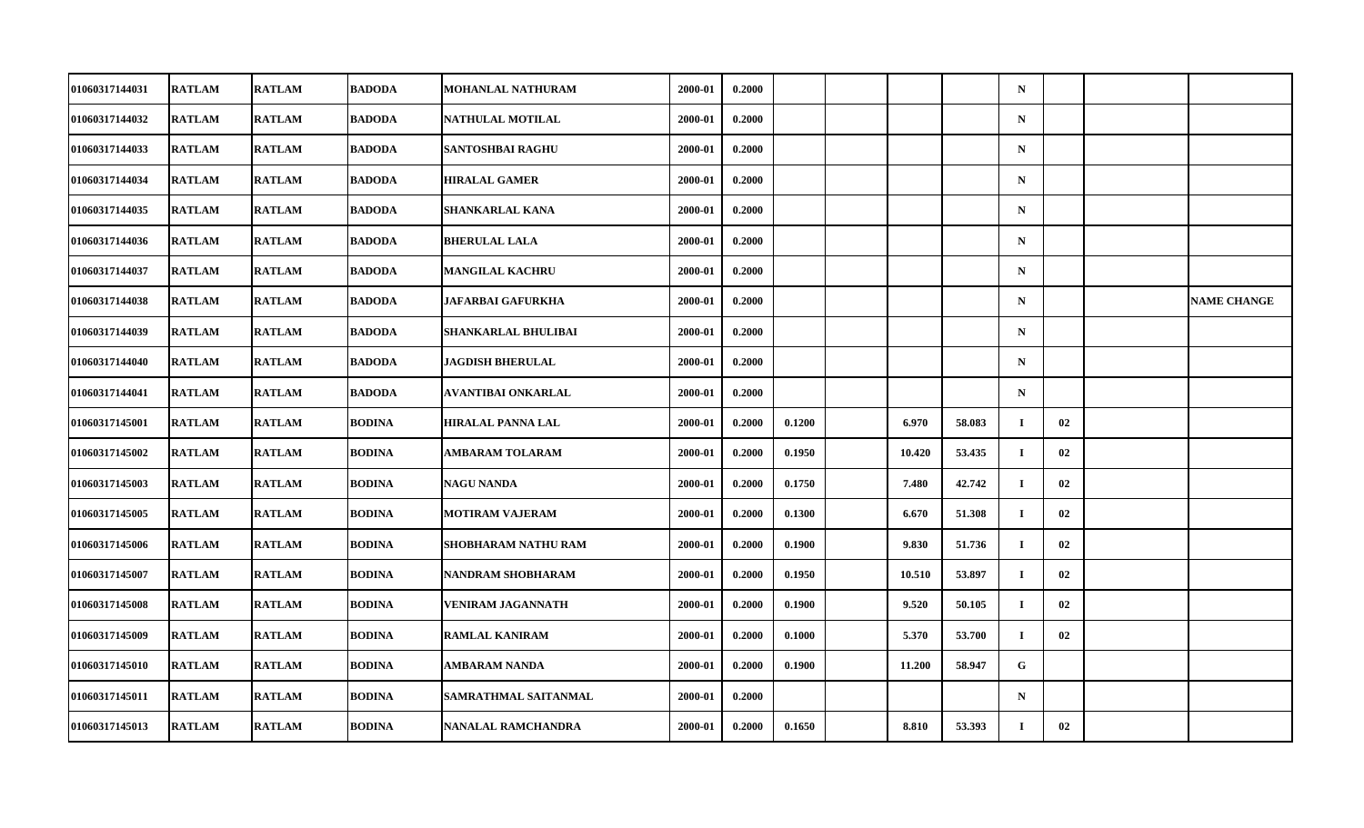| 01060317144031 | <b>RATLAM</b> | <b>RATLAM</b> | <b>BADODA</b> | MOHANLAL NATHURAM           | 2000-01 | 0.2000 |        |        |        | $\mathbf N$ |    |                    |
|----------------|---------------|---------------|---------------|-----------------------------|---------|--------|--------|--------|--------|-------------|----|--------------------|
| 01060317144032 | <b>RATLAM</b> | <b>RATLAM</b> | <b>BADODA</b> | <b>NATHULAL MOTILAL</b>     | 2000-01 | 0.2000 |        |        |        | $\mathbf N$ |    |                    |
| 01060317144033 | <b>RATLAM</b> | <b>RATLAM</b> | <b>BADODA</b> | <b>SANTOSHBAI RAGHU</b>     | 2000-01 | 0.2000 |        |        |        | $\mathbf N$ |    |                    |
| 01060317144034 | <b>RATLAM</b> | <b>RATLAM</b> | <b>BADODA</b> | <b>HIRALAL GAMER</b>        | 2000-01 | 0.2000 |        |        |        | $\mathbf N$ |    |                    |
| 01060317144035 | <b>RATLAM</b> | <b>RATLAM</b> | <b>BADODA</b> | <b>SHANKARLAL KANA</b>      | 2000-01 | 0.2000 |        |        |        | $\mathbf N$ |    |                    |
| 01060317144036 | <b>RATLAM</b> | <b>RATLAM</b> | <b>BADODA</b> | <b>BHERULAL LALA</b>        | 2000-01 | 0.2000 |        |        |        | $\mathbf N$ |    |                    |
| 01060317144037 | <b>RATLAM</b> | <b>RATLAM</b> | <b>BADODA</b> | <b>MANGILAL KACHRU</b>      | 2000-01 | 0.2000 |        |        |        | $\mathbf N$ |    |                    |
| 01060317144038 | <b>RATLAM</b> | <b>RATLAM</b> | <b>BADODA</b> | <b>JAFARBAI GAFURKHA</b>    | 2000-01 | 0.2000 |        |        |        | $\mathbf N$ |    | <b>NAME CHANGE</b> |
| 01060317144039 | <b>RATLAM</b> | <b>RATLAM</b> | <b>BADODA</b> | SHANKARLAL BHULIBAI         | 2000-01 | 0.2000 |        |        |        | $\mathbf N$ |    |                    |
| 01060317144040 | <b>RATLAM</b> | <b>RATLAM</b> | <b>BADODA</b> | <b>JAGDISH BHERULAL</b>     | 2000-01 | 0.2000 |        |        |        | $\mathbf N$ |    |                    |
| 01060317144041 | <b>RATLAM</b> | <b>RATLAM</b> | <b>BADODA</b> | AVANTIBAI ONKARLAL          | 2000-01 | 0.2000 |        |        |        | $\mathbf N$ |    |                    |
| 01060317145001 | <b>RATLAM</b> | <b>RATLAM</b> | BODINA        | <b>HIRALAL PANNA LAL</b>    | 2000-01 | 0.2000 | 0.1200 | 6.970  | 58.083 | $\bf{I}$    | 02 |                    |
| 01060317145002 | <b>RATLAM</b> | <b>RATLAM</b> | <b>BODINA</b> | <b>AMBARAM TOLARAM</b>      | 2000-01 | 0.2000 | 0.1950 | 10.420 | 53.435 | $\bf{I}$    | 02 |                    |
| 01060317145003 | <b>RATLAM</b> | <b>RATLAM</b> | BODINA        | <b>NAGU NANDA</b>           | 2000-01 | 0.2000 | 0.1750 | 7.480  | 42.742 | $\mathbf I$ | 02 |                    |
| 01060317145005 | <b>RATLAM</b> | <b>RATLAM</b> | <b>BODINA</b> | <b>MOTIRAM VAJERAM</b>      | 2000-01 | 0.2000 | 0.1300 | 6.670  | 51.308 | $\bf{I}$    | 02 |                    |
| 01060317145006 | <b>RATLAM</b> | <b>RATLAM</b> | <b>BODINA</b> | <b>SHOBHARAM NATHU RAM</b>  | 2000-01 | 0.2000 | 0.1900 | 9.830  | 51.736 | $\bf{I}$    | 02 |                    |
| 01060317145007 | <b>RATLAM</b> | <b>RATLAM</b> | BODINA        | NANDRAM SHOBHARAM           | 2000-01 | 0.2000 | 0.1950 | 10.510 | 53.897 | $\mathbf I$ | 02 |                    |
| 01060317145008 | <b>RATLAM</b> | <b>RATLAM</b> | BODINA        | <b>VENIRAM JAGANNATH</b>    | 2000-01 | 0.2000 | 0.1900 | 9.520  | 50.105 | $\bf{I}$    | 02 |                    |
| 01060317145009 | <b>RATLAM</b> | <b>RATLAM</b> | <b>BODINA</b> | <b>RAMLAL KANIRAM</b>       | 2000-01 | 0.2000 | 0.1000 | 5.370  | 53.700 | $\bf{I}$    | 02 |                    |
| 01060317145010 | <b>RATLAM</b> | <b>RATLAM</b> | BODINA        | AMBARAM NANDA               | 2000-01 | 0.2000 | 0.1900 | 11.200 | 58.947 | G           |    |                    |
| 01060317145011 | <b>RATLAM</b> | <b>RATLAM</b> | BODINA        | <b>SAMRATHMAL SAITANMAL</b> | 2000-01 | 0.2000 |        |        |        | $\mathbf N$ |    |                    |
| 01060317145013 | <b>RATLAM</b> | <b>RATLAM</b> | BODINA        | <b>NANALAL RAMCHANDRA</b>   | 2000-01 | 0.2000 | 0.1650 | 8.810  | 53.393 | $\bf{I}$    | 02 |                    |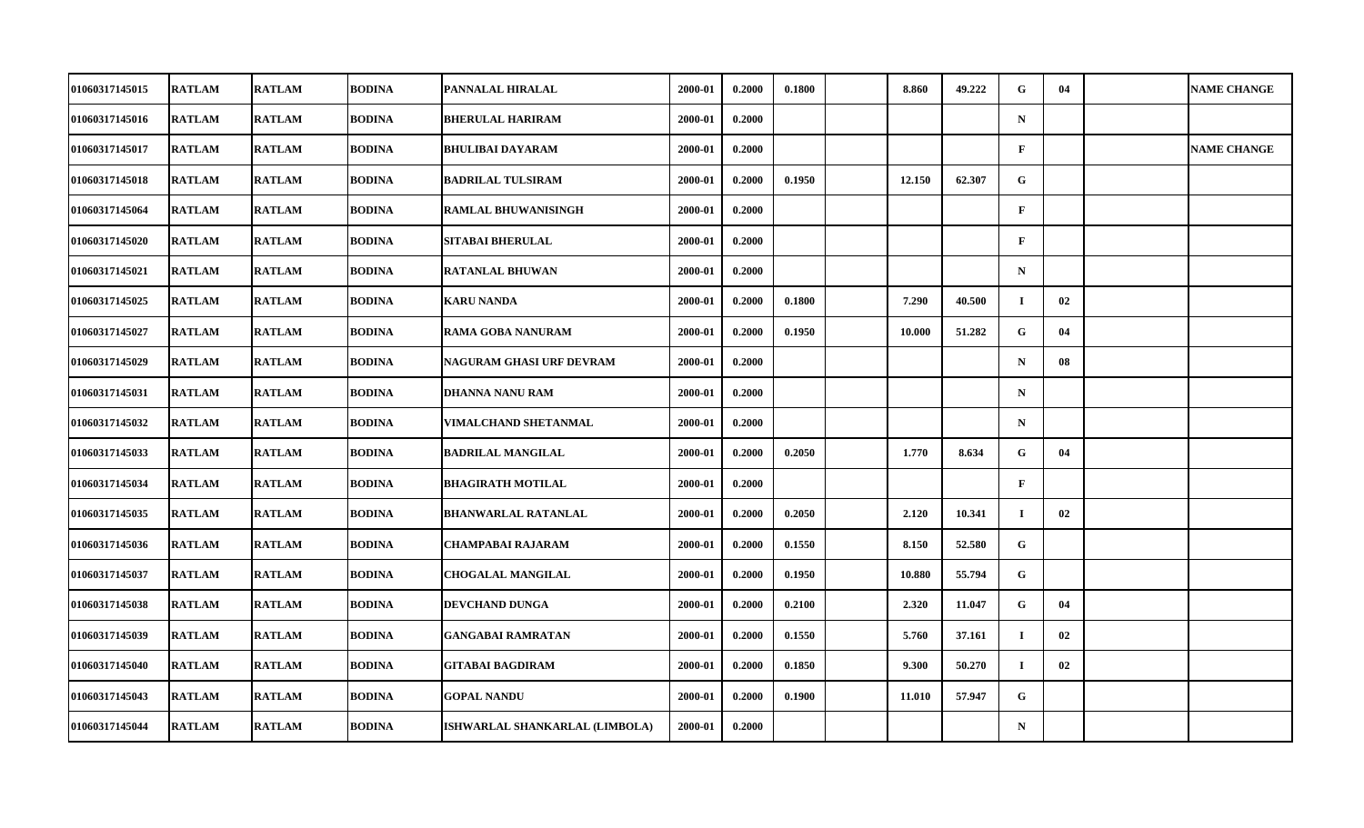| 01060317145015 | <b>RATLAM</b> | <b>RATLAM</b> | <b>BODINA</b> | PANNALAL HIRALAL               | 2000-01 | 0.2000 | 0.1800 | 8.860  | 49.222 | G.           | 04 | <b>NAME CHANGE</b> |
|----------------|---------------|---------------|---------------|--------------------------------|---------|--------|--------|--------|--------|--------------|----|--------------------|
| 01060317145016 | <b>RATLAM</b> | <b>RATLAM</b> | <b>BODINA</b> | <b>BHERULAL HARIRAM</b>        | 2000-01 | 0.2000 |        |        |        | $\mathbf N$  |    |                    |
| 01060317145017 | <b>RATLAM</b> | <b>RATLAM</b> | <b>BODINA</b> | <b>BHULIBAI DAYARAM</b>        | 2000-01 | 0.2000 |        |        |        | $\mathbf{F}$ |    | <b>NAME CHANGE</b> |
| 01060317145018 | <b>RATLAM</b> | <b>RATLAM</b> | <b>BODINA</b> | <b>BADRILAL TULSIRAM</b>       | 2000-01 | 0.2000 | 0.1950 | 12.150 | 62.307 | $\mathbf{G}$ |    |                    |
| 01060317145064 | <b>RATLAM</b> | <b>RATLAM</b> | <b>BODINA</b> | <b>RAMLAL BHUWANISINGH</b>     | 2000-01 | 0.2000 |        |        |        | $\mathbf{F}$ |    |                    |
| 01060317145020 | <b>RATLAM</b> | <b>RATLAM</b> | <b>BODINA</b> | <b>SITABAI BHERULAL</b>        | 2000-01 | 0.2000 |        |        |        | $\mathbf F$  |    |                    |
| 01060317145021 | <b>RATLAM</b> | <b>RATLAM</b> | <b>BODINA</b> | <b>RATANLAL BHUWAN</b>         | 2000-01 | 0.2000 |        |        |        | $\mathbf N$  |    |                    |
| 01060317145025 | <b>RATLAM</b> | <b>RATLAM</b> | <b>BODINA</b> | <b>KARU NANDA</b>              | 2000-01 | 0.2000 | 0.1800 | 7.290  | 40.500 | $\bf{I}$     | 02 |                    |
| 01060317145027 | <b>RATLAM</b> | <b>RATLAM</b> | <b>BODINA</b> | RAMA GOBA NANURAM              | 2000-01 | 0.2000 | 0.1950 | 10.000 | 51.282 | G            | 04 |                    |
| 01060317145029 | <b>RATLAM</b> | <b>RATLAM</b> | <b>BODINA</b> | NAGURAM GHASI URF DEVRAM       | 2000-01 | 0.2000 |        |        |        | $\mathbf N$  | 08 |                    |
| 01060317145031 | <b>RATLAM</b> | <b>RATLAM</b> | <b>BODINA</b> | <b>DHANNA NANU RAM</b>         | 2000-01 | 0.2000 |        |        |        | $\mathbf N$  |    |                    |
| 01060317145032 | <b>RATLAM</b> | <b>RATLAM</b> | <b>BODINA</b> | <b>VIMALCHAND SHETANMAL</b>    | 2000-01 | 0.2000 |        |        |        | $\mathbf N$  |    |                    |
| 01060317145033 | <b>RATLAM</b> | <b>RATLAM</b> | <b>BODINA</b> | <b>BADRILAL MANGILAL</b>       | 2000-01 | 0.2000 | 0.2050 | 1.770  | 8.634  | G            | 04 |                    |
| 01060317145034 | <b>RATLAM</b> | <b>RATLAM</b> | <b>BODINA</b> | <b>BHAGIRATH MOTILAL</b>       | 2000-01 | 0.2000 |        |        |        | $\mathbf{F}$ |    |                    |
| 01060317145035 | <b>RATLAM</b> | <b>RATLAM</b> | <b>BODINA</b> | <b>BHANWARLAL RATANLAL</b>     | 2000-01 | 0.2000 | 0.2050 | 2.120  | 10.341 | $\bf{I}$     | 02 |                    |
| 01060317145036 | <b>RATLAM</b> | <b>RATLAM</b> | <b>BODINA</b> | <b>CHAMPABAI RAJARAM</b>       | 2000-01 | 0.2000 | 0.1550 | 8.150  | 52.580 | G            |    |                    |
| 01060317145037 | <b>RATLAM</b> | <b>RATLAM</b> | <b>BODINA</b> | <b>CHOGALAL MANGILAL</b>       | 2000-01 | 0.2000 | 0.1950 | 10.880 | 55.794 | G            |    |                    |
| 01060317145038 | <b>RATLAM</b> | <b>RATLAM</b> | <b>BODINA</b> | DEVCHAND DUNGA                 | 2000-01 | 0.2000 | 0.2100 | 2.320  | 11.047 | $\mathbf G$  | 04 |                    |
| 01060317145039 | <b>RATLAM</b> | <b>RATLAM</b> | <b>BODINA</b> | <b>GANGABAI RAMRATAN</b>       | 2000-01 | 0.2000 | 0.1550 | 5.760  | 37.161 | $\mathbf{I}$ | 02 |                    |
| 01060317145040 | <b>RATLAM</b> | <b>RATLAM</b> | <b>BODINA</b> | <b>GITABAI BAGDIRAM</b>        | 2000-01 | 0.2000 | 0.1850 | 9.300  | 50.270 | и.           | 02 |                    |
| 01060317145043 | <b>RATLAM</b> | <b>RATLAM</b> | <b>BODINA</b> | <b>GOPAL NANDU</b>             | 2000-01 | 0.2000 | 0.1900 | 11.010 | 57.947 | ${\bf G}$    |    |                    |
| 01060317145044 | <b>RATLAM</b> | <b>RATLAM</b> | <b>BODINA</b> | ISHWARLAL SHANKARLAL (LIMBOLA) | 2000-01 | 0.2000 |        |        |        | ${\bf N}$    |    |                    |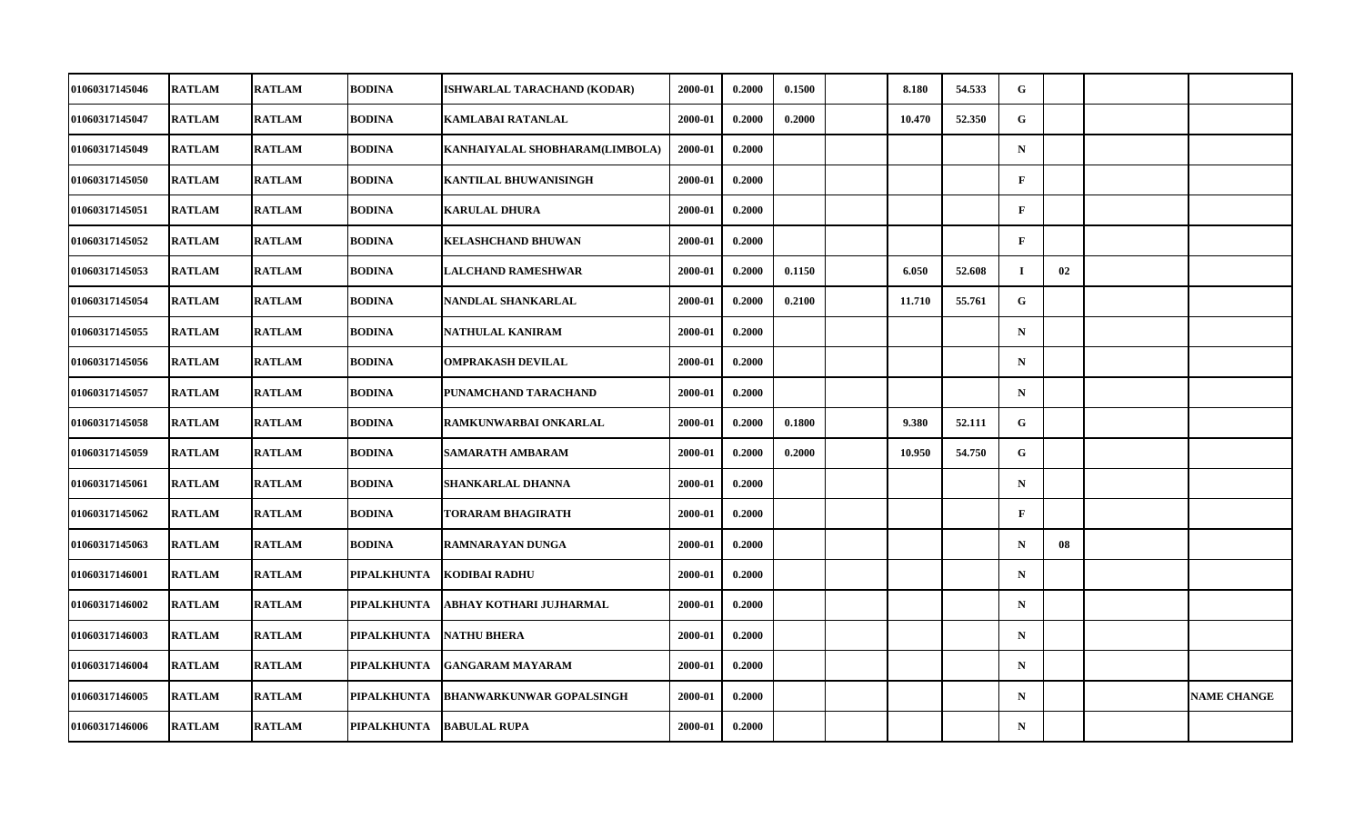| 01060317145046        | <b>RATLAM</b> | <b>RATLAM</b> | <b>BODINA</b>      | ISHWARLAL TARACHAND (KODAR)     | 2000-01 | 0.2000 | 0.1500 | 8.180  | 54.533 | G            |    |                    |
|-----------------------|---------------|---------------|--------------------|---------------------------------|---------|--------|--------|--------|--------|--------------|----|--------------------|
| 01060317145047        | <b>RATLAM</b> | <b>RATLAM</b> | <b>BODINA</b>      | <b>KAMLABAI RATANLAL</b>        | 2000-01 | 0.2000 | 0.2000 | 10.470 | 52.350 | G            |    |                    |
| 01060317145049        | <b>RATLAM</b> | <b>RATLAM</b> | <b>BODINA</b>      | KANHAIYALAL SHOBHARAM(LIMBOLA)  | 2000-01 | 0.2000 |        |        |        | $\mathbf N$  |    |                    |
| 01060317145050        | <b>RATLAM</b> | <b>RATLAM</b> | <b>BODINA</b>      | KANTILAL BHUWANISINGH           | 2000-01 | 0.2000 |        |        |        | $\mathbf F$  |    |                    |
| 01060317145051        | <b>RATLAM</b> | <b>RATLAM</b> | <b>BODINA</b>      | <b>KARULAL DHURA</b>            | 2000-01 | 0.2000 |        |        |        | $\mathbf{F}$ |    |                    |
| 01060317145052        | <b>RATLAM</b> | <b>RATLAM</b> | <b>BODINA</b>      | <b>KELASHCHAND BHUWAN</b>       | 2000-01 | 0.2000 |        |        |        | $\mathbf{F}$ |    |                    |
| 01060317145053        | <b>RATLAM</b> | <b>RATLAM</b> | <b>BODINA</b>      | <b>LALCHAND RAMESHWAR</b>       | 2000-01 | 0.2000 | 0.1150 | 6.050  | 52.608 | $\bf{I}$     | 02 |                    |
| 01060317145054        | <b>RATLAM</b> | <b>RATLAM</b> | <b>BODINA</b>      | NANDLAL SHANKARLAL              | 2000-01 | 0.2000 | 0.2100 | 11.710 | 55.761 | G            |    |                    |
| 01060317145055        | <b>RATLAM</b> | <b>RATLAM</b> | <b>BODINA</b>      | NATHULAL KANIRAM                | 2000-01 | 0.2000 |        |        |        | $\mathbf N$  |    |                    |
| 01060317145056        | <b>RATLAM</b> | <b>RATLAM</b> | <b>BODINA</b>      | <b>OMPRAKASH DEVILAL</b>        | 2000-01 | 0.2000 |        |        |        | $\mathbf N$  |    |                    |
| 01060317145057        | <b>RATLAM</b> | <b>RATLAM</b> | <b>BODINA</b>      | PUNAMCHAND TARACHAND            | 2000-01 | 0.2000 |        |        |        | $\mathbf N$  |    |                    |
| 01060317145058        | <b>RATLAM</b> | <b>RATLAM</b> | <b>BODINA</b>      | RAMKUNWARBAI ONKARLAL           | 2000-01 | 0.2000 | 0.1800 | 9.380  | 52.111 | G            |    |                    |
| 01060317145059        | <b>RATLAM</b> | <b>RATLAM</b> | <b>BODINA</b>      | SAMARATH AMBARAM                | 2000-01 | 0.2000 | 0.2000 | 10.950 | 54.750 | G            |    |                    |
| 01060317145061        | <b>RATLAM</b> | <b>RATLAM</b> | <b>BODINA</b>      | SHANKARLAL DHANNA               | 2000-01 | 0.2000 |        |        |        | $\mathbf N$  |    |                    |
| 01060317145062        | <b>RATLAM</b> | <b>RATLAM</b> | <b>BODINA</b>      | TORARAM BHAGIRATH               | 2000-01 | 0.2000 |        |        |        | $\mathbf{F}$ |    |                    |
| 01060317145063        | <b>RATLAM</b> | <b>RATLAM</b> | <b>BODINA</b>      | RAMNARAYAN DUNGA                | 2000-01 | 0.2000 |        |        |        | $\mathbf N$  | 08 |                    |
| <b>01060317146001</b> | <b>RATLAM</b> | <b>RATLAM</b> | PIPALKHUNTA        | KODIBAI RADHU                   | 2000-01 | 0.2000 |        |        |        | $\mathbf N$  |    |                    |
| 01060317146002        | <b>RATLAM</b> | <b>RATLAM</b> | PIPALKHUNTA        | ABHAY KOTHARI JUJHARMAL         | 2000-01 | 0.2000 |        |        |        | $\mathbf N$  |    |                    |
| 01060317146003        | <b>RATLAM</b> | <b>RATLAM</b> | PIPALKHUNTA        | <b>NATHU BHERA</b>              | 2000-01 | 0.2000 |        |        |        | $\mathbf N$  |    |                    |
| 01060317146004        | <b>RATLAM</b> | <b>RATLAM</b> | PIPALKHUNTA        | <b>GANGARAM MAYARAM</b>         | 2000-01 | 0.2000 |        |        |        | $\mathbf N$  |    |                    |
| 01060317146005        | <b>RATLAM</b> | <b>RATLAM</b> | <b>PIPALKHUNTA</b> | <b>BHANWARKUNWAR GOPALSINGH</b> | 2000-01 | 0.2000 |        |        |        | $\mathbf N$  |    | <b>NAME CHANGE</b> |
| 01060317146006        | <b>RATLAM</b> | <b>RATLAM</b> | <b>PIPALKHUNTA</b> | <b>BABULAL RUPA</b>             | 2000-01 | 0.2000 |        |        |        | ${\bf N}$    |    |                    |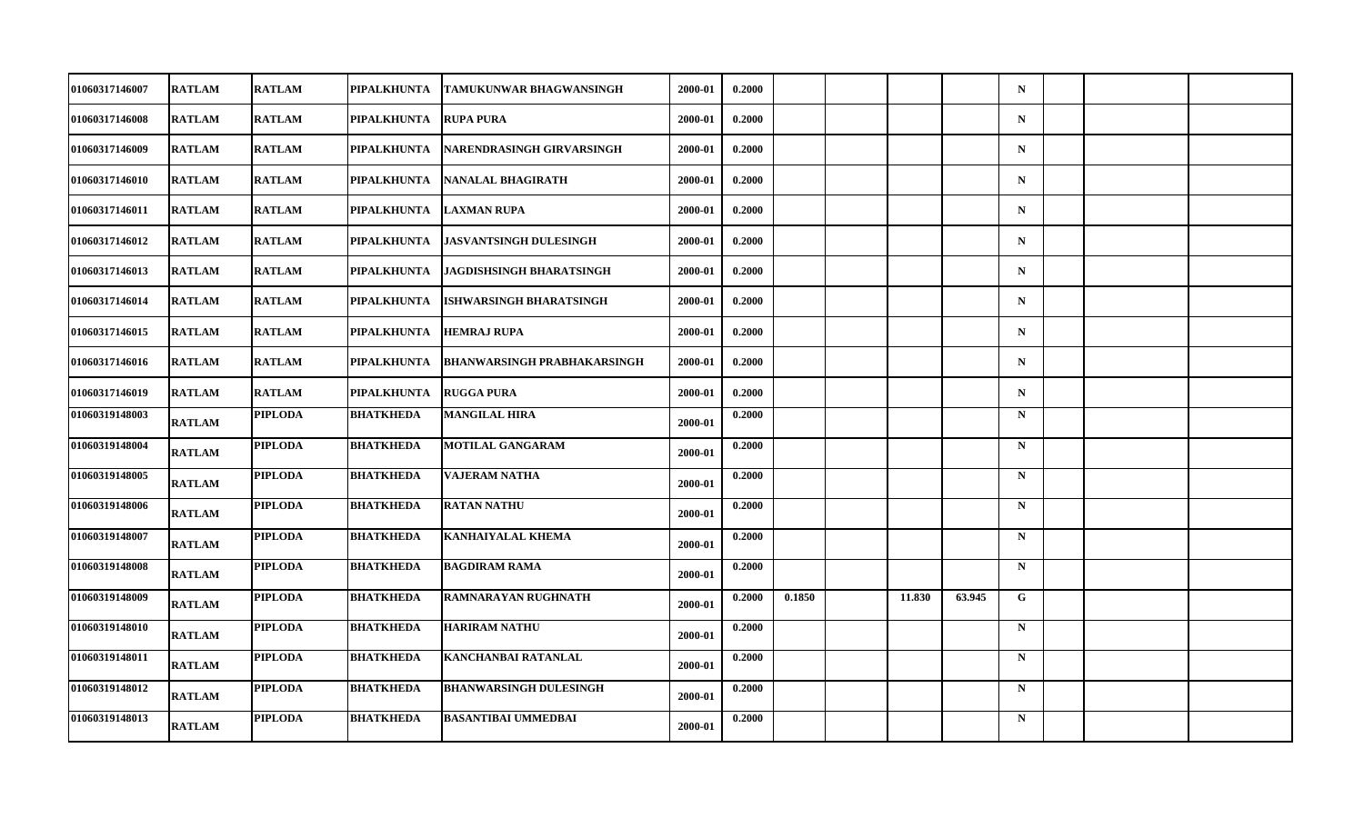| 01060317146007 | <b>RATLAM</b> | <b>RATLAM</b>  | PIPALKHUNTA        | <b>TAMUKUNWAR BHAGWANSINGH</b>     | 2000-01 | 0.2000 |        |        |        | $\mathbf N$ |  |  |
|----------------|---------------|----------------|--------------------|------------------------------------|---------|--------|--------|--------|--------|-------------|--|--|
| 01060317146008 | <b>RATLAM</b> | <b>RATLAM</b>  | <b>PIPALKHUNTA</b> | <b>RUPA PURA</b>                   | 2000-01 | 0.2000 |        |        |        | $\mathbf N$ |  |  |
| 01060317146009 | <b>RATLAM</b> | <b>RATLAM</b>  | PIPALKHUNTA        | NARENDRASINGH GIRVARSINGH          | 2000-01 | 0.2000 |        |        |        | $\mathbf N$ |  |  |
| 01060317146010 | RATLAM        | <b>RATLAM</b>  | PIPALKHUNTA        | NANALAL BHAGIRATH                  | 2000-01 | 0.2000 |        |        |        | $\mathbf N$ |  |  |
| 01060317146011 | <b>RATLAM</b> | <b>RATLAM</b>  | PIPALKHUNTA        | <b>LAXMAN RUPA</b>                 | 2000-01 | 0.2000 |        |        |        | $\mathbf N$ |  |  |
| 01060317146012 | <b>RATLAM</b> | <b>RATLAM</b>  | PIPALKHUNTA        | <b>JASVANTSINGH DULESINGH</b>      | 2000-01 | 0.2000 |        |        |        | $\mathbf N$ |  |  |
| 01060317146013 | RATLAM        | <b>RATLAM</b>  | PIPALKHUNTA        | <b>JAGDISHSINGH BHARATSINGH</b>    | 2000-01 | 0.2000 |        |        |        | $\mathbf N$ |  |  |
| 01060317146014 | <b>RATLAM</b> | <b>RATLAM</b>  | PIPALKHUNTA        | <b>ISHWARSINGH BHARATSINGH</b>     | 2000-01 | 0.2000 |        |        |        | $\mathbf N$ |  |  |
| 01060317146015 | <b>RATLAM</b> | <b>RATLAM</b>  | PIPALKHUNTA        | <b>HEMRAJ RUPA</b>                 | 2000-01 | 0.2000 |        |        |        | $\mathbf N$ |  |  |
| 01060317146016 | <b>RATLAM</b> | <b>RATLAM</b>  | PIPALKHUNTA        | <b>BHANWARSINGH PRABHAKARSINGH</b> | 2000-01 | 0.2000 |        |        |        | $\mathbf N$ |  |  |
| 01060317146019 | <b>RATLAM</b> | <b>RATLAM</b>  | <b>PIPALKHUNTA</b> | <b>RUGGA PURA</b>                  | 2000-01 | 0.2000 |        |        |        | $\mathbf N$ |  |  |
| 01060319148003 | RATLAM        | <b>PIPLODA</b> | <b>BHATKHEDA</b>   | <b>MANGILAL HIRA</b>               | 2000-01 | 0.2000 |        |        |        | $\mathbf N$ |  |  |
| 01060319148004 | <b>RATLAM</b> | <b>PIPLODA</b> | <b>BHATKHEDA</b>   | <b>MOTILAL GANGARAM</b>            | 2000-01 | 0.2000 |        |        |        | $\mathbf N$ |  |  |
| 01060319148005 | RATLAM        | <b>PIPLODA</b> | <b>BHATKHEDA</b>   | <b>VAJERAM NATHA</b>               | 2000-01 | 0.2000 |        |        |        | $\mathbf N$ |  |  |
| 01060319148006 | <b>RATLAM</b> | <b>PIPLODA</b> | <b>BHATKHEDA</b>   | <b>RATAN NATHU</b>                 | 2000-01 | 0.2000 |        |        |        | $\mathbf N$ |  |  |
| 01060319148007 | <b>RATLAM</b> | <b>PIPLODA</b> | <b>BHATKHEDA</b>   | <b>KANHAIYALAL KHEMA</b>           | 2000-01 | 0.2000 |        |        |        | $\mathbf N$ |  |  |
| 01060319148008 | RATLAM        | <b>PIPLODA</b> | <b>BHATKHEDA</b>   | <b>BAGDIRAM RAMA</b>               | 2000-01 | 0.2000 |        |        |        | $\mathbf N$ |  |  |
| 01060319148009 | <b>RATLAM</b> | <b>PIPLODA</b> | <b>BHATKHEDA</b>   | <b>RAMNARAYAN RUGHNATH</b>         | 2000-01 | 0.2000 | 0.1850 | 11.830 | 63.945 | $\mathbf G$ |  |  |
| 01060319148010 | <b>RATLAM</b> | <b>PIPLODA</b> | <b>BHATKHEDA</b>   | <b>HARIRAM NATHU</b>               | 2000-01 | 0.2000 |        |        |        | $\mathbf N$ |  |  |
| 01060319148011 | <b>RATLAM</b> | <b>PIPLODA</b> | <b>BHATKHEDA</b>   | <b>KANCHANBAI RATANLAL</b>         | 2000-01 | 0.2000 |        |        |        | $\mathbf N$ |  |  |
| 01060319148012 | <b>RATLAM</b> | <b>PIPLODA</b> | <b>BHATKHEDA</b>   | <b>BHANWARSINGH DULESINGH</b>      | 2000-01 | 0.2000 |        |        |        | $\mathbf N$ |  |  |
| 01060319148013 | <b>RATLAM</b> | <b>PIPLODA</b> | <b>BHATKHEDA</b>   | <b>BASANTIBAI UMMEDBAI</b>         | 2000-01 | 0.2000 |        |        |        | $\mathbf N$ |  |  |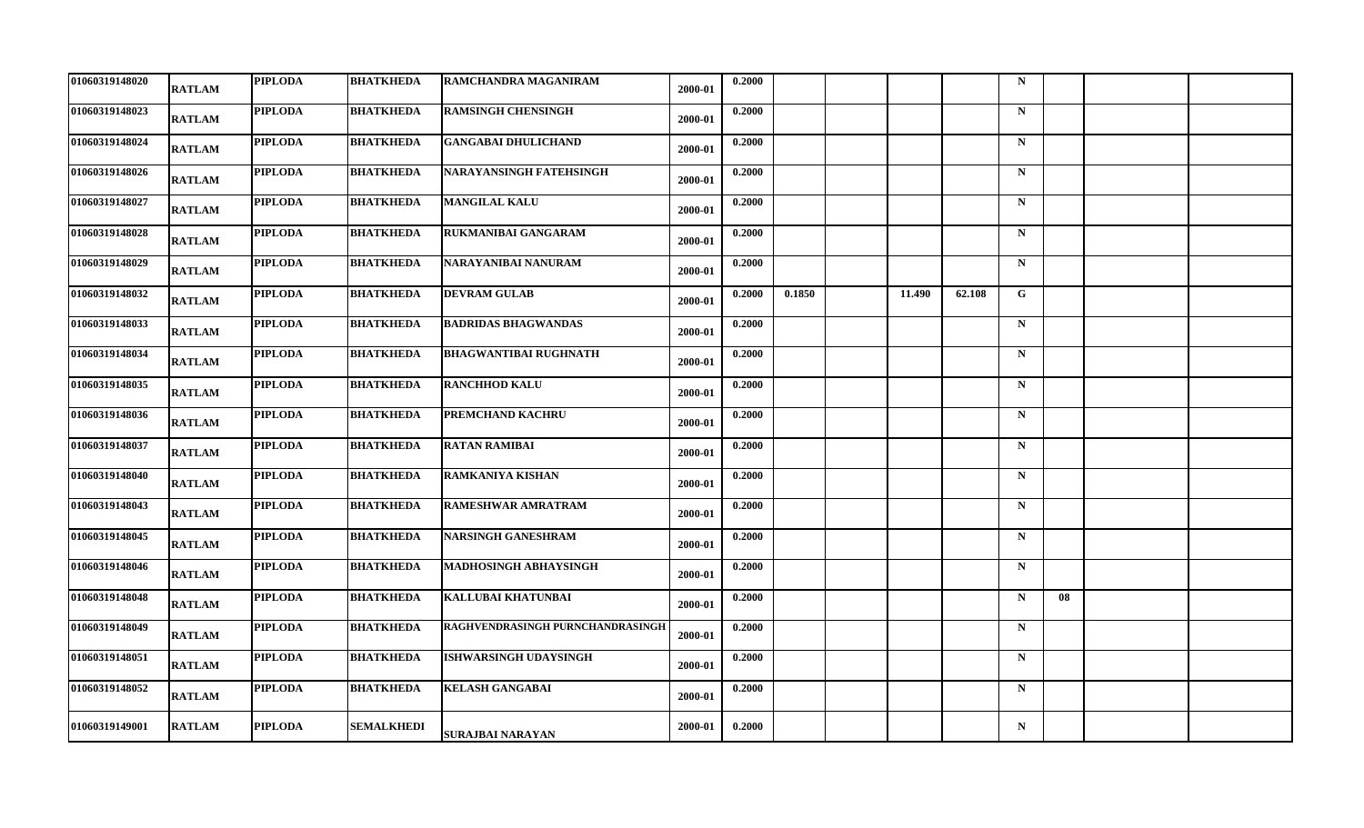| 01060319148020 | <b>RATLAM</b> | <b>PIPLODA</b> | <b>BHATKHEDA</b> | RAMCHANDRA MAGANIRAM             | 2000-01 | 0.2000 |        |        |        | $\mathbf N$ |    |  |
|----------------|---------------|----------------|------------------|----------------------------------|---------|--------|--------|--------|--------|-------------|----|--|
| 01060319148023 | RATLAM        | <b>PIPLODA</b> | <b>BHATKHEDA</b> | <b>RAMSINGH CHENSINGH</b>        | 2000-01 | 0.2000 |        |        |        | $\mathbf N$ |    |  |
| 01060319148024 | RATLAM        | <b>PIPLODA</b> | <b>BHATKHEDA</b> | <b>GANGABAI DHULICHAND</b>       | 2000-01 | 0.2000 |        |        |        | $\mathbf N$ |    |  |
| 01060319148026 | RATLAM        | <b>PIPLODA</b> | <b>BHATKHEDA</b> | NARAYANSINGH FATEHSINGH          | 2000-01 | 0.2000 |        |        |        | $\mathbf N$ |    |  |
| 01060319148027 | <b>RATLAM</b> | <b>PIPLODA</b> | <b>BHATKHEDA</b> | <b>MANGILAL KALU</b>             | 2000-01 | 0.2000 |        |        |        | $\mathbf N$ |    |  |
| 01060319148028 | <b>RATLAM</b> | <b>PIPLODA</b> | <b>BHATKHEDA</b> | RUKMANIBAI GANGARAM              | 2000-01 | 0.2000 |        |        |        | $\mathbf N$ |    |  |
| 01060319148029 | RATLAM        | <b>PIPLODA</b> | <b>BHATKHEDA</b> | NARAYANIBAI NANURAM              | 2000-01 | 0.2000 |        |        |        | $\mathbf N$ |    |  |
| 01060319148032 | <b>RATLAM</b> | <b>PIPLODA</b> | <b>BHATKHEDA</b> | <b>DEVRAM GULAB</b>              | 2000-01 | 0.2000 | 0.1850 | 11.490 | 62.108 | G           |    |  |
| 01060319148033 | RATLAM        | <b>PIPLODA</b> | <b>BHATKHEDA</b> | <b>BADRIDAS BHAGWANDAS</b>       | 2000-01 | 0.2000 |        |        |        | $\mathbf N$ |    |  |
| 01060319148034 | RATLAM        | <b>PIPLODA</b> | <b>BHATKHEDA</b> | <b>BHAGWANTIBAI RUGHNATH</b>     | 2000-01 | 0.2000 |        |        |        | $\mathbf N$ |    |  |
| 01060319148035 | <b>RATLAM</b> | <b>PIPLODA</b> | <b>BHATKHEDA</b> | <b>RANCHHOD KALU</b>             | 2000-01 | 0.2000 |        |        |        | $\mathbf N$ |    |  |
| 01060319148036 | RATLAM        | <b>PIPLODA</b> | <b>BHATKHEDA</b> | PREMCHAND KACHRU                 | 2000-01 | 0.2000 |        |        |        | $\mathbf N$ |    |  |
| 01060319148037 | <b>RATLAM</b> | <b>PIPLODA</b> | <b>BHATKHEDA</b> | <b>RATAN RAMIBAI</b>             | 2000-01 | 0.2000 |        |        |        | $\mathbf N$ |    |  |
| 01060319148040 | RATLAM        | <b>PIPLODA</b> | <b>BHATKHEDA</b> | <b>RAMKANIYA KISHAN</b>          | 2000-01 | 0.2000 |        |        |        | $\mathbf N$ |    |  |
| 01060319148043 | <b>RATLAM</b> | <b>PIPLODA</b> | <b>BHATKHEDA</b> | <b>RAMESHWAR AMRATRAM</b>        | 2000-01 | 0.2000 |        |        |        | $\mathbf N$ |    |  |
| 01060319148045 | <b>RATLAM</b> | <b>PIPLODA</b> | <b>BHATKHEDA</b> | <b>NARSINGH GANESHRAM</b>        | 2000-01 | 0.2000 |        |        |        | $\mathbf N$ |    |  |
| 01060319148046 | RATLAM        | <b>PIPLODA</b> | <b>BHATKHEDA</b> | <b>MADHOSINGH ABHAYSINGH</b>     | 2000-01 | 0.2000 |        |        |        | $\mathbf N$ |    |  |
| 01060319148048 | RATLAM        | <b>PIPLODA</b> | <b>BHATKHEDA</b> | <b>KALLUBAI KHATUNBAI</b>        | 2000-01 | 0.2000 |        |        |        | $\mathbf N$ | 08 |  |
| 01060319148049 | RATLAM        | <b>PIPLODA</b> | <b>BHATKHEDA</b> | RAGHVENDRASINGH PURNCHANDRASINGH | 2000-01 | 0.2000 |        |        |        | $\mathbf N$ |    |  |
| 01060319148051 | RATLAM        | <b>PIPLODA</b> | <b>BHATKHEDA</b> | <b>ISHWARSINGH UDAYSINGH</b>     | 2000-01 | 0.2000 |        |        |        | $\mathbf N$ |    |  |
| 01060319148052 | <b>RATLAM</b> | <b>PIPLODA</b> | <b>BHATKHEDA</b> | <b>KELASH GANGABAI</b>           | 2000-01 | 0.2000 |        |        |        | $\mathbf N$ |    |  |
| 01060319149001 | RATLAM        | <b>PIPLODA</b> | SEMALKHEDI       | <b>SURAJBAI NARAYAN</b>          | 2000-01 | 0.2000 |        |        |        | $\mathbf N$ |    |  |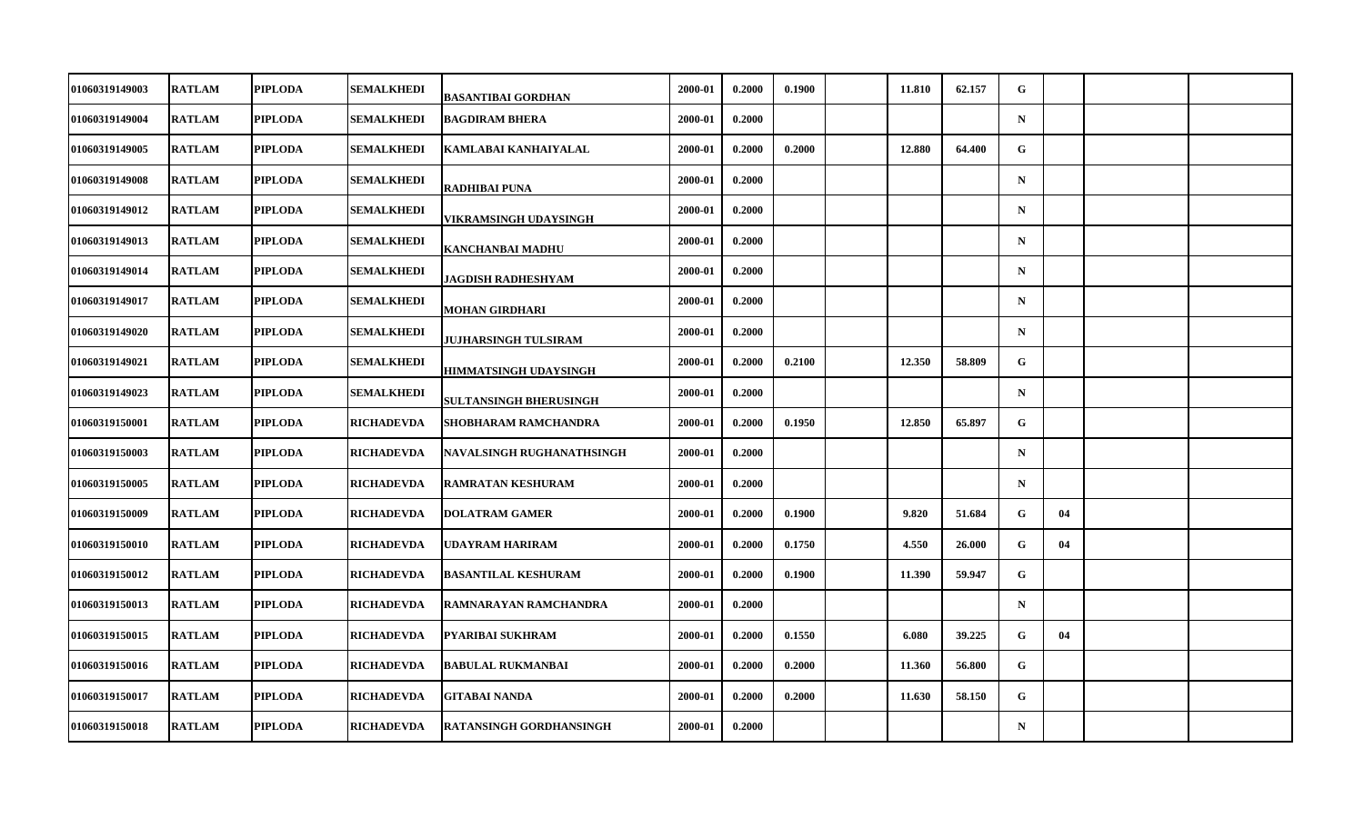| 01060319149003        | <b>RATLAM</b> | <b>PIPLODA</b> | SEMALKHEDI        | BASANTIBAI GORDHAN            | 2000-01 | 0.2000 | 0.1900 | 11.810 | 62.157 | G            |    |  |
|-----------------------|---------------|----------------|-------------------|-------------------------------|---------|--------|--------|--------|--------|--------------|----|--|
| 01060319149004        | <b>RATLAM</b> | <b>PIPLODA</b> | <b>SEMALKHEDI</b> | <b>BAGDIRAM BHERA</b>         | 2000-01 | 0.2000 |        |        |        | $\mathbf N$  |    |  |
| 01060319149005        | <b>RATLAM</b> | <b>PIPLODA</b> | <b>SEMALKHEDI</b> | KAMLABAI KANHAIYALAL          | 2000-01 | 0.2000 | 0.2000 | 12.880 | 64.400 | G            |    |  |
| 01060319149008        | <b>RATLAM</b> | <b>PIPLODA</b> | <b>SEMALKHEDI</b> | <b>RADHIBAI PUNA</b>          | 2000-01 | 0.2000 |        |        |        | $\mathbf N$  |    |  |
| 01060319149012        | <b>RATLAM</b> | <b>PIPLODA</b> | <b>SEMALKHEDI</b> | VIKRAMSINGH UDAYSINGH         | 2000-01 | 0.2000 |        |        |        | $\mathbf N$  |    |  |
| 01060319149013        | <b>RATLAM</b> | <b>PIPLODA</b> | SEMALKHEDI        | <b>KANCHANBAI MADHU</b>       | 2000-01 | 0.2000 |        |        |        | $\mathbf N$  |    |  |
| 01060319149014        | <b>RATLAM</b> | <b>PIPLODA</b> | <b>SEMALKHEDI</b> | JAGDISH RADHESHYAM            | 2000-01 | 0.2000 |        |        |        | $\mathbf N$  |    |  |
| <b>01060319149017</b> | <b>RATLAM</b> | <b>PIPLODA</b> | <b>SEMALKHEDI</b> | <b>MOHAN GIRDHARI</b>         | 2000-01 | 0.2000 |        |        |        | $\mathbf N$  |    |  |
| 01060319149020        | <b>RATLAM</b> | <b>PIPLODA</b> | <b>SEMALKHEDI</b> | JUJHARSINGH TULSIRAM          | 2000-01 | 0.2000 |        |        |        | $\mathbf N$  |    |  |
| 01060319149021        | <b>RATLAM</b> | <b>PIPLODA</b> | <b>SEMALKHEDI</b> | <b>HIMMATSINGH UDAYSINGH</b>  | 2000-01 | 0.2000 | 0.2100 | 12.350 | 58.809 | G            |    |  |
| <b>01060319149023</b> | <b>RATLAM</b> | <b>PIPLODA</b> | <b>SEMALKHEDI</b> | <b>SULTANSINGH BHERUSINGH</b> | 2000-01 | 0.2000 |        |        |        | $\mathbf N$  |    |  |
| 01060319150001        | <b>RATLAM</b> | <b>PIPLODA</b> | <b>RICHADEVDA</b> | <b>SHOBHARAM RAMCHANDRA</b>   | 2000-01 | 0.2000 | 0.1950 | 12.850 | 65.897 | G            |    |  |
| 01060319150003        | <b>RATLAM</b> | <b>PIPLODA</b> | <b>RICHADEVDA</b> | NAVALSINGH RUGHANATHSINGH     | 2000-01 | 0.2000 |        |        |        | $\mathbf N$  |    |  |
| 01060319150005        | <b>RATLAM</b> | <b>PIPLODA</b> | RICHADEVDA        | <b>RAMRATAN KESHURAM</b>      | 2000-01 | 0.2000 |        |        |        | $\mathbf N$  |    |  |
| 01060319150009        | <b>RATLAM</b> | <b>PIPLODA</b> | <b>RICHADEVDA</b> | <b>DOLATRAM GAMER</b>         | 2000-01 | 0.2000 | 0.1900 | 9.820  | 51.684 | G            | 04 |  |
| <b>01060319150010</b> | <b>RATLAM</b> | <b>PIPLODA</b> | <b>RICHADEVDA</b> | UDAYRAM HARIRAM               | 2000-01 | 0.2000 | 0.1750 | 4.550  | 26.000 | G            | 04 |  |
| <b>01060319150012</b> | <b>RATLAM</b> | <b>PIPLODA</b> | RICHADEVDA        | <b>BASANTILAL KESHURAM</b>    | 2000-01 | 0.2000 | 0.1900 | 11.390 | 59.947 | G            |    |  |
| 01060319150013        | <b>RATLAM</b> | <b>PIPLODA</b> | <b>RICHADEVDA</b> | RAMNARAYAN RAMCHANDRA         | 2000-01 | 0.2000 |        |        |        | $\mathbf N$  |    |  |
| 01060319150015        | <b>RATLAM</b> | <b>PIPLODA</b> | RICHADEVDA        | PYARIBAI SUKHRAM              | 2000-01 | 0.2000 | 0.1550 | 6.080  | 39.225 | G            | 04 |  |
| 01060319150016        | <b>RATLAM</b> | <b>PIPLODA</b> | <b>RICHADEVDA</b> | <b>BABULAL RUKMANBAI</b>      | 2000-01 | 0.2000 | 0.2000 | 11.360 | 56.800 | G            |    |  |
| 01060319150017        | <b>RATLAM</b> | <b>PIPLODA</b> | <b>RICHADEVDA</b> | <b>GITABAI NANDA</b>          | 2000-01 | 0.2000 | 0.2000 | 11.630 | 58.150 | $\mathbf{G}$ |    |  |
| 01060319150018        | <b>RATLAM</b> | <b>PIPLODA</b> | <b>RICHADEVDA</b> | RATANSINGH GORDHANSINGH       | 2000-01 | 0.2000 |        |        |        | $\mathbf N$  |    |  |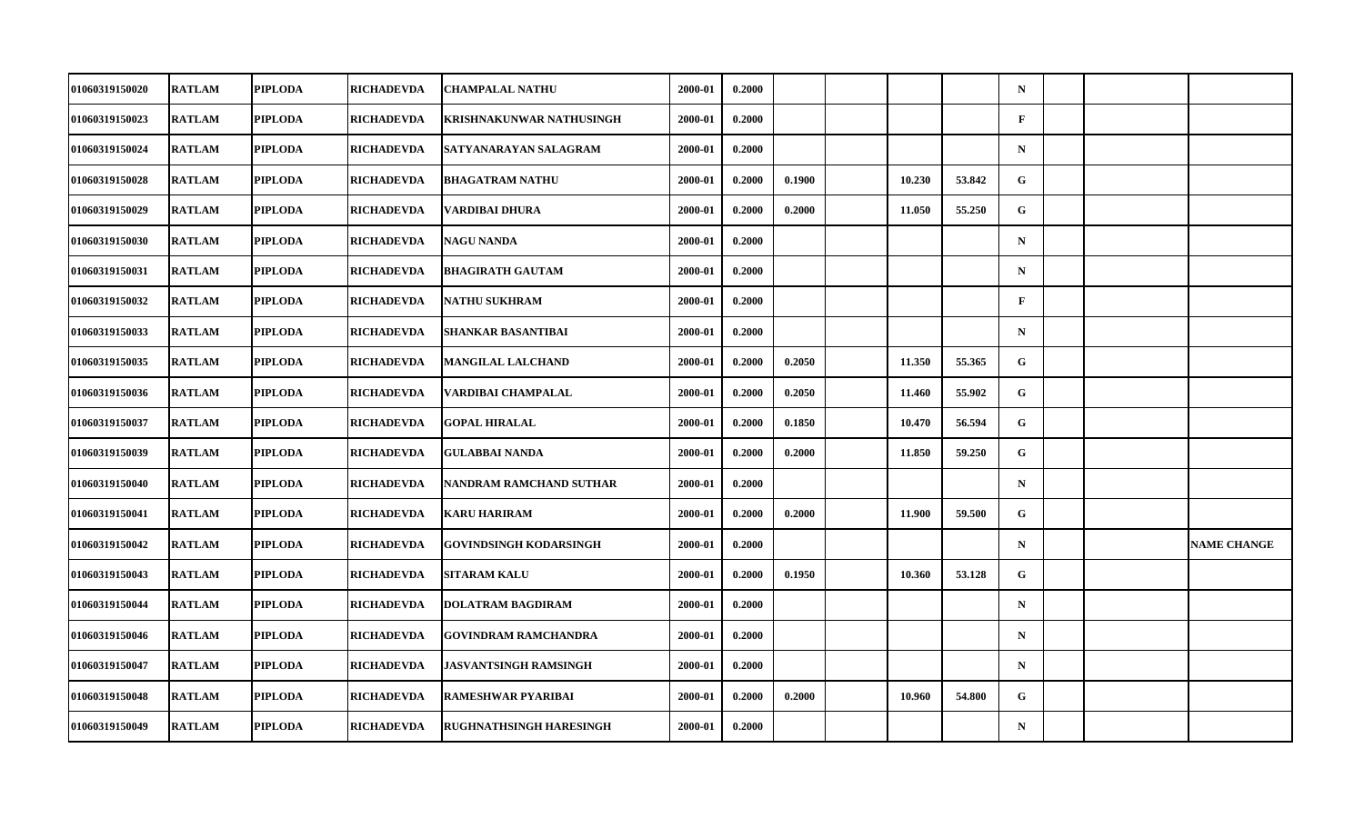| 01060319150020        | <b>RATLAM</b> | <b>PIPLODA</b> | <b>RICHADEVDA</b> | <b>CHAMPALAL NATHU</b>          | 2000-01 | 0.2000 |        |        |        | $\mathbf N$  |  |                    |
|-----------------------|---------------|----------------|-------------------|---------------------------------|---------|--------|--------|--------|--------|--------------|--|--------------------|
| 01060319150023        | <b>RATLAM</b> | <b>PIPLODA</b> | <b>RICHADEVDA</b> | <b>KRISHNAKUNWAR NATHUSINGH</b> | 2000-01 | 0.2000 |        |        |        | $\mathbf{F}$ |  |                    |
| 01060319150024        | <b>RATLAM</b> | <b>PIPLODA</b> | <b>RICHADEVDA</b> | SATYANARAYAN SALAGRAM           | 2000-01 | 0.2000 |        |        |        | $\mathbf N$  |  |                    |
| 01060319150028        | <b>RATLAM</b> | <b>PIPLODA</b> | RICHADEVDA        | <b>BHAGATRAM NATHU</b>          | 2000-01 | 0.2000 | 0.1900 | 10.230 | 53.842 | $\mathbf{G}$ |  |                    |
| 01060319150029        | <b>RATLAM</b> | <b>PIPLODA</b> | RICHADEVDA        | VARDIBAI DHURA                  | 2000-01 | 0.2000 | 0.2000 | 11.050 | 55.250 | G            |  |                    |
| 01060319150030        | <b>RATLAM</b> | <b>PIPLODA</b> | <b>RICHADEVDA</b> | <b>NAGU NANDA</b>               | 2000-01 | 0.2000 |        |        |        | $\mathbf N$  |  |                    |
| 01060319150031        | <b>RATLAM</b> | <b>PIPLODA</b> | <b>RICHADEVDA</b> | <b>BHAGIRATH GAUTAM</b>         | 2000-01 | 0.2000 |        |        |        | $\mathbf N$  |  |                    |
| <b>01060319150032</b> | <b>RATLAM</b> | <b>PIPLODA</b> | RICHADEVDA        | <b>NATHU SUKHRAM</b>            | 2000-01 | 0.2000 |        |        |        | $\mathbf{F}$ |  |                    |
| 01060319150033        | <b>RATLAM</b> | <b>PIPLODA</b> | <b>RICHADEVDA</b> | <b>SHANKAR BASANTIBAI</b>       | 2000-01 | 0.2000 |        |        |        | $\mathbf N$  |  |                    |
| 01060319150035        | <b>RATLAM</b> | <b>PIPLODA</b> | <b>RICHADEVDA</b> | <b>MANGILAL LALCHAND</b>        | 2000-01 | 0.2000 | 0.2050 | 11.350 | 55.365 | G            |  |                    |
| <b>01060319150036</b> | <b>RATLAM</b> | <b>PIPLODA</b> | RICHADEVDA        | VARDIBAI CHAMPALAL              | 2000-01 | 0.2000 | 0.2050 | 11.460 | 55.902 | G            |  |                    |
| 01060319150037        | <b>RATLAM</b> | <b>PIPLODA</b> | <b>RICHADEVDA</b> | <b>GOPAL HIRALAL</b>            | 2000-01 | 0.2000 | 0.1850 | 10.470 | 56.594 | G            |  |                    |
| 01060319150039        | <b>RATLAM</b> | <b>PIPLODA</b> | <b>RICHADEVDA</b> | <b>GULABBAI NANDA</b>           | 2000-01 | 0.2000 | 0.2000 | 11.850 | 59.250 | G            |  |                    |
| 01060319150040        | <b>RATLAM</b> | <b>PIPLODA</b> | <b>RICHADEVDA</b> | NANDRAM RAMCHAND SUTHAR         | 2000-01 | 0.2000 |        |        |        | $\mathbf N$  |  |                    |
| 01060319150041        | <b>RATLAM</b> | <b>PIPLODA</b> | <b>RICHADEVDA</b> | <b>KARU HARIRAM</b>             | 2000-01 | 0.2000 | 0.2000 | 11.900 | 59.500 | $\mathbf G$  |  |                    |
| 01060319150042        | <b>RATLAM</b> | <b>PIPLODA</b> | <b>RICHADEVDA</b> | <b>GOVINDSINGH KODARSINGH</b>   | 2000-01 | 0.2000 |        |        |        | $\mathbf N$  |  | <b>NAME CHANGE</b> |
| 01060319150043        | <b>RATLAM</b> | <b>PIPLODA</b> | <b>RICHADEVDA</b> | <b>SITARAM KALU</b>             | 2000-01 | 0.2000 | 0.1950 | 10.360 | 53.128 | G            |  |                    |
| 01060319150044        | <b>RATLAM</b> | <b>PIPLODA</b> | RICHADEVDA        | <b>DOLATRAM BAGDIRAM</b>        | 2000-01 | 0.2000 |        |        |        | $\mathbf N$  |  |                    |
| 01060319150046        | <b>RATLAM</b> | <b>PIPLODA</b> | RICHADEVDA        | <b>GOVINDRAM RAMCHANDRA</b>     | 2000-01 | 0.2000 |        |        |        | $\mathbf N$  |  |                    |
| 01060319150047        | <b>RATLAM</b> | <b>PIPLODA</b> | <b>RICHADEVDA</b> | <b>JASVANTSINGH RAMSINGH</b>    | 2000-01 | 0.2000 |        |        |        | $\mathbf N$  |  |                    |
| 01060319150048        | <b>RATLAM</b> | <b>PIPLODA</b> | <b>RICHADEVDA</b> | <b>RAMESHWAR PYARIBAI</b>       | 2000-01 | 0.2000 | 0.2000 | 10.960 | 54.800 | G            |  |                    |
| 01060319150049        | <b>RATLAM</b> | <b>PIPLODA</b> | <b>RICHADEVDA</b> | <b>RUGHNATHSINGH HARESINGH</b>  | 2000-01 | 0.2000 |        |        |        | $\mathbf N$  |  |                    |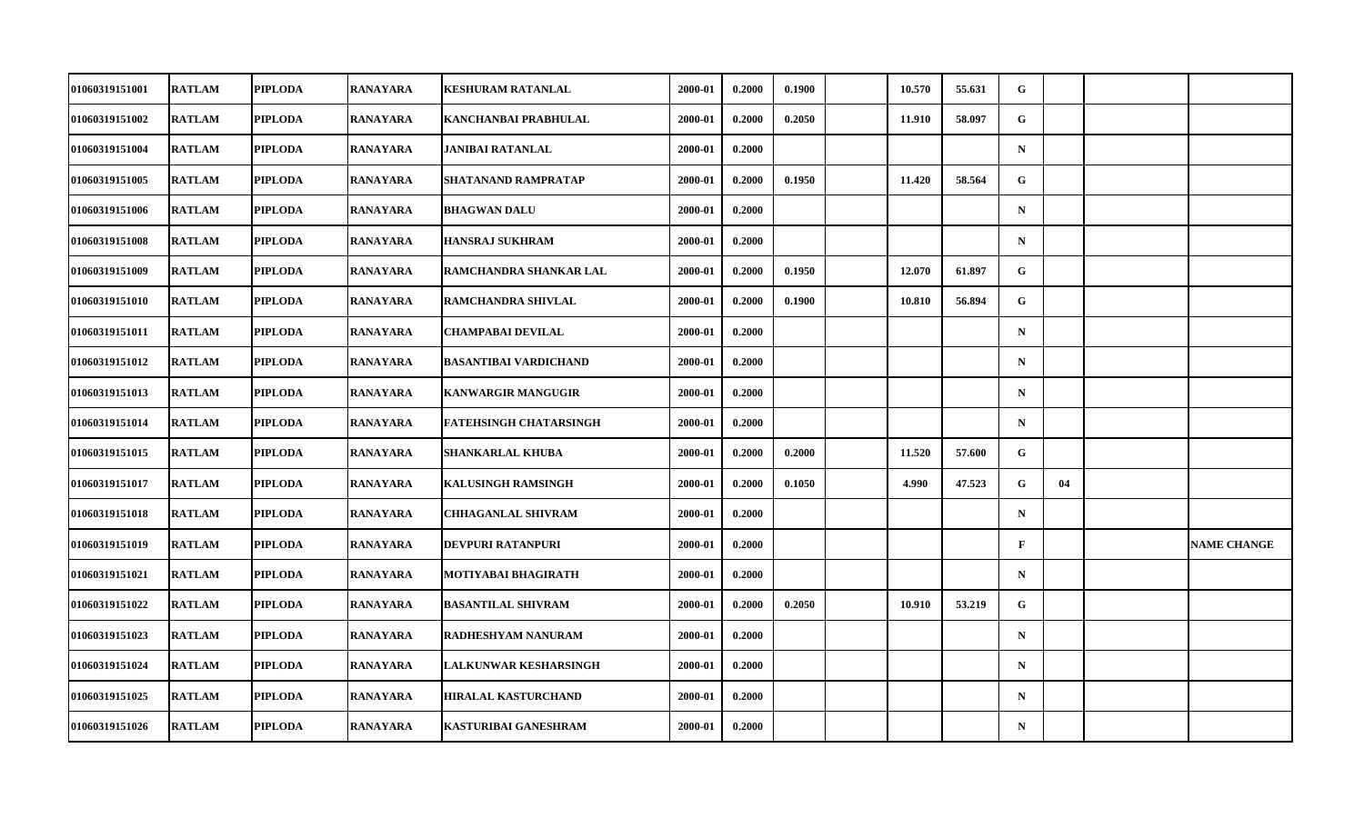| 01060319151001        | <b>RATLAM</b> | <b>PIPLODA</b> | RANAYARA        | KESHURAM RATANLAL             | 2000-01 | 0.2000 | 0.1900 | 10.570 | 55.631 | G            |    |                    |
|-----------------------|---------------|----------------|-----------------|-------------------------------|---------|--------|--------|--------|--------|--------------|----|--------------------|
| 01060319151002        | <b>RATLAM</b> | <b>PIPLODA</b> | <b>RANAYARA</b> | KANCHANBAI PRABHULAL          | 2000-01 | 0.2000 | 0.2050 | 11.910 | 58.097 | G            |    |                    |
| 01060319151004        | <b>RATLAM</b> | <b>PIPLODA</b> | <b>RANAYARA</b> | <b>JANIBAI RATANLAL</b>       | 2000-01 | 0.2000 |        |        |        | $\mathbf N$  |    |                    |
| 01060319151005        | <b>RATLAM</b> | <b>PIPLODA</b> | RANAYARA        | SHATANAND RAMPRATAP           | 2000-01 | 0.2000 | 0.1950 | 11.420 | 58.564 | G            |    |                    |
| 01060319151006        | <b>RATLAM</b> | <b>PIPLODA</b> | RANAYARA        | <b>BHAGWAN DALU</b>           | 2000-01 | 0.2000 |        |        |        | $\mathbf N$  |    |                    |
| 01060319151008        | <b>RATLAM</b> | <b>PIPLODA</b> | <b>RANAYARA</b> | <b>HANSRAJ SUKHRAM</b>        | 2000-01 | 0.2000 |        |        |        | $\mathbf N$  |    |                    |
| 01060319151009        | <b>RATLAM</b> | <b>PIPLODA</b> | <b>RANAYARA</b> | RAMCHANDRA SHANKAR LAL        | 2000-01 | 0.2000 | 0.1950 | 12.070 | 61.897 | G.           |    |                    |
| 01060319151010        | <b>RATLAM</b> | <b>PIPLODA</b> | RANAYARA        | RAMCHANDRA SHIVLAL            | 2000-01 | 0.2000 | 0.1900 | 10.810 | 56.894 | G            |    |                    |
| 01060319151011        | <b>RATLAM</b> | <b>PIPLODA</b> | <b>RANAYARA</b> | <b>CHAMPABAI DEVILAL</b>      | 2000-01 | 0.2000 |        |        |        | $\mathbf N$  |    |                    |
| 01060319151012        | <b>RATLAM</b> | <b>PIPLODA</b> | <b>RANAYARA</b> | <b>BASANTIBAI VARDICHAND</b>  | 2000-01 | 0.2000 |        |        |        | $\mathbf N$  |    |                    |
| <b>01060319151013</b> | <b>RATLAM</b> | <b>PIPLODA</b> | RANAYARA        | <b>KANWARGIR MANGUGIR</b>     | 2000-01 | 0.2000 |        |        |        | $\mathbf N$  |    |                    |
| 01060319151014        | <b>RATLAM</b> | <b>PIPLODA</b> | <b>RANAYARA</b> | <b>FATEHSINGH CHATARSINGH</b> | 2000-01 | 0.2000 |        |        |        | $\mathbf N$  |    |                    |
| 01060319151015        | <b>RATLAM</b> | <b>PIPLODA</b> | <b>RANAYARA</b> | <b>SHANKARLAL KHUBA</b>       | 2000-01 | 0.2000 | 0.2000 | 11.520 | 57.600 | G            |    |                    |
| 01060319151017        | <b>RATLAM</b> | <b>PIPLODA</b> | RANAYARA        | <b>KALUSINGH RAMSINGH</b>     | 2000-01 | 0.2000 | 0.1050 | 4.990  | 47.523 | G            | 04 |                    |
| 01060319151018        | <b>RATLAM</b> | <b>PIPLODA</b> | RANAYARA        | <b>CHHAGANLAL SHIVRAM</b>     | 2000-01 | 0.2000 |        |        |        | $\mathbf N$  |    |                    |
| 01060319151019        | <b>RATLAM</b> | <b>PIPLODA</b> | <b>RANAYARA</b> | DEVPURI RATANPURI             | 2000-01 | 0.2000 |        |        |        | $\mathbf{F}$ |    | <b>NAME CHANGE</b> |
| <b>01060319151021</b> | <b>RATLAM</b> | <b>PIPLODA</b> | RANAYARA        | MOTIYABAI BHAGIRATH           | 2000-01 | 0.2000 |        |        |        | $\mathbf N$  |    |                    |
| 01060319151022        | <b>RATLAM</b> | <b>PIPLODA</b> | <b>RANAYARA</b> | <b>BASANTILAL SHIVRAM</b>     | 2000-01 | 0.2000 | 0.2050 | 10.910 | 53.219 | $\mathbf G$  |    |                    |
| 01060319151023        | <b>RATLAM</b> | <b>PIPLODA</b> | RANAYARA        | RADHESHYAM NANURAM            | 2000-01 | 0.2000 |        |        |        | $\mathbf N$  |    |                    |
| 01060319151024        | <b>RATLAM</b> | <b>PIPLODA</b> | <b>RANAYARA</b> | LALKUNWAR KESHARSINGH         | 2000-01 | 0.2000 |        |        |        | $\mathbf N$  |    |                    |
| 01060319151025        | <b>RATLAM</b> | <b>PIPLODA</b> | <b>RANAYARA</b> | <b>HIRALAL KASTURCHAND</b>    | 2000-01 | 0.2000 |        |        |        | $\mathbf N$  |    |                    |
| 01060319151026        | <b>RATLAM</b> | <b>PIPLODA</b> | RANAYARA        | KASTURIBAI GANESHRAM          | 2000-01 | 0.2000 |        |        |        | $\mathbf N$  |    |                    |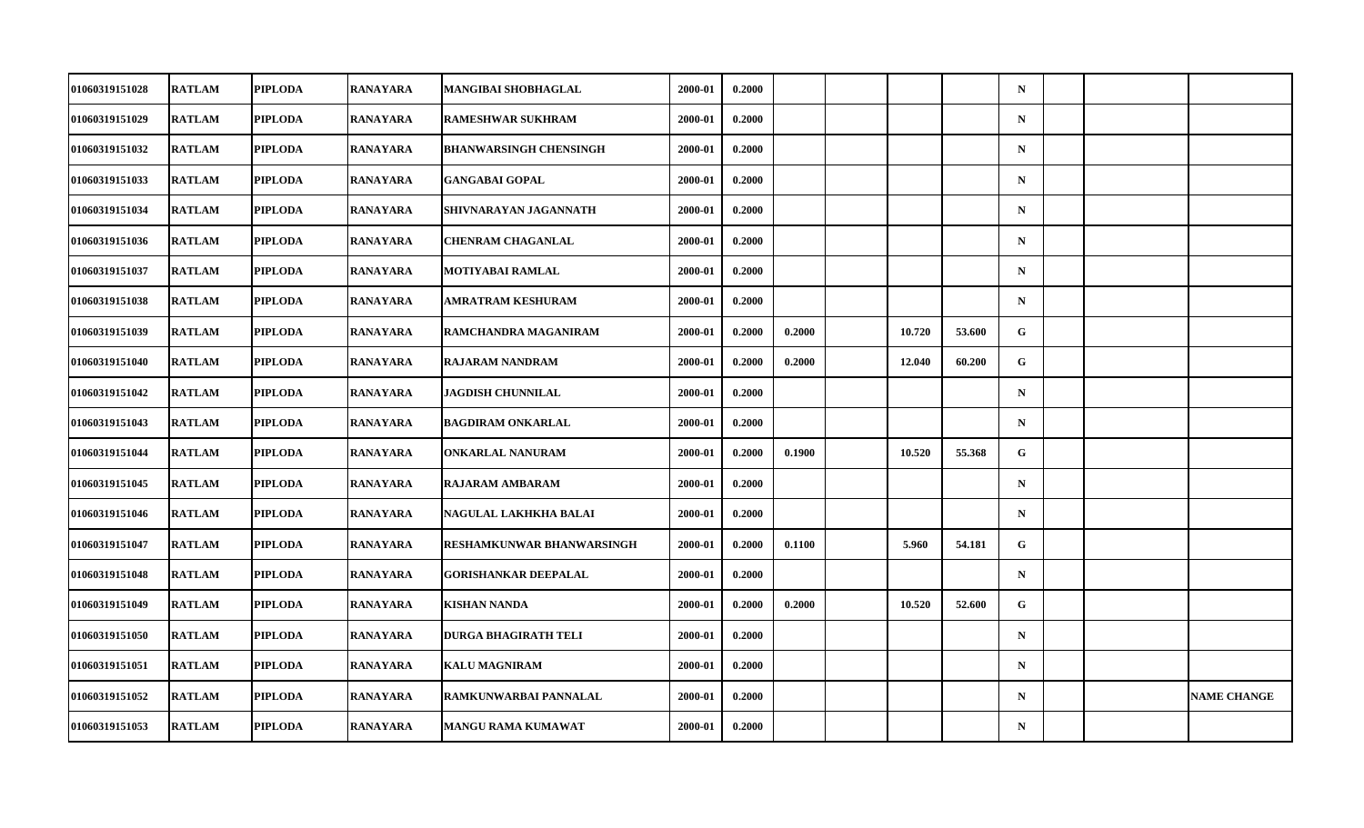| 01060319151028        | <b>RATLAM</b> | <b>PIPLODA</b> | RANAYARA        | MANGIBAI SHOBHAGLAL           | 2000-01 | 0.2000 |        |        |        | $\mathbf N$  |  |                    |
|-----------------------|---------------|----------------|-----------------|-------------------------------|---------|--------|--------|--------|--------|--------------|--|--------------------|
| 01060319151029        | <b>RATLAM</b> | <b>PIPLODA</b> | <b>RANAYARA</b> | <b>RAMESHWAR SUKHRAM</b>      | 2000-01 | 0.2000 |        |        |        | ${\bf N}$    |  |                    |
| 01060319151032        | <b>RATLAM</b> | <b>PIPLODA</b> | <b>RANAYARA</b> | <b>BHANWARSINGH CHENSINGH</b> | 2000-01 | 0.2000 |        |        |        | $\mathbf N$  |  |                    |
| 01060319151033        | <b>RATLAM</b> | <b>PIPLODA</b> | RANAYARA        | <b>GANGABAI GOPAL</b>         | 2000-01 | 0.2000 |        |        |        | $\mathbf N$  |  |                    |
| 01060319151034        | <b>RATLAM</b> | <b>PIPLODA</b> | RANAYARA        | SHIVNARAYAN JAGANNATH         | 2000-01 | 0.2000 |        |        |        | $\mathbf N$  |  |                    |
| 01060319151036        | <b>RATLAM</b> | <b>PIPLODA</b> | <b>RANAYARA</b> | <b>CHENRAM CHAGANLAL</b>      | 2000-01 | 0.2000 |        |        |        | $\mathbf N$  |  |                    |
| 01060319151037        | <b>RATLAM</b> | <b>PIPLODA</b> | <b>RANAYARA</b> | <b>MOTIYABAI RAMLAL</b>       | 2000-01 | 0.2000 |        |        |        | $\mathbf N$  |  |                    |
| 01060319151038        | <b>RATLAM</b> | <b>PIPLODA</b> | RANAYARA        | AMRATRAM KESHURAM             | 2000-01 | 0.2000 |        |        |        | $\mathbf N$  |  |                    |
| 01060319151039        | <b>RATLAM</b> | <b>PIPLODA</b> | <b>RANAYARA</b> | RAMCHANDRA MAGANIRAM          | 2000-01 | 0.2000 | 0.2000 | 10.720 | 53.600 | G            |  |                    |
| 01060319151040        | <b>RATLAM</b> | <b>PIPLODA</b> | <b>RANAYARA</b> | <b>RAJARAM NANDRAM</b>        | 2000-01 | 0.2000 | 0.2000 | 12.040 | 60.200 | $\mathbf{G}$ |  |                    |
| 01060319151042        | <b>RATLAM</b> | <b>PIPLODA</b> | RANAYARA        | <b>JAGDISH CHUNNILAL</b>      | 2000-01 | 0.2000 |        |        |        | $\mathbf N$  |  |                    |
| 01060319151043        | <b>RATLAM</b> | <b>PIPLODA</b> | <b>RANAYARA</b> | <b>BAGDIRAM ONKARLAL</b>      | 2000-01 | 0.2000 |        |        |        | $\mathbf N$  |  |                    |
| 01060319151044        | <b>RATLAM</b> | <b>PIPLODA</b> | <b>RANAYARA</b> | <b>ONKARLAL NANURAM</b>       | 2000-01 | 0.2000 | 0.1900 | 10.520 | 55.368 | G            |  |                    |
| 01060319151045        | <b>RATLAM</b> | <b>PIPLODA</b> | RANAYARA        | <b>RAJARAM AMBARAM</b>        | 2000-01 | 0.2000 |        |        |        | $\mathbf N$  |  |                    |
| 01060319151046        | <b>RATLAM</b> | <b>PIPLODA</b> | RANAYARA        | NAGULAL LAKHKHA BALAI         | 2000-01 | 0.2000 |        |        |        | $\mathbf N$  |  |                    |
| 01060319151047        | <b>RATLAM</b> | <b>PIPLODA</b> | <b>RANAYARA</b> | RESHAMKUNWAR BHANWARSINGH     | 2000-01 | 0.2000 | 0.1100 | 5.960  | 54.181 | G            |  |                    |
| <b>01060319151048</b> | <b>RATLAM</b> | <b>PIPLODA</b> | RANAYARA        | <b>GORISHANKAR DEEPALAL</b>   | 2000-01 | 0.2000 |        |        |        | $\mathbf N$  |  |                    |
| 01060319151049        | <b>RATLAM</b> | <b>PIPLODA</b> | <b>RANAYARA</b> | <b>KISHAN NANDA</b>           | 2000-01 | 0.2000 | 0.2000 | 10.520 | 52.600 | $\mathbf G$  |  |                    |
| 01060319151050        | <b>RATLAM</b> | <b>PIPLODA</b> | RANAYARA        | <b>DURGA BHAGIRATH TELI</b>   | 2000-01 | 0.2000 |        |        |        | $\mathbf N$  |  |                    |
| 01060319151051        | <b>RATLAM</b> | <b>PIPLODA</b> | <b>RANAYARA</b> | <b>KALU MAGNIRAM</b>          | 2000-01 | 0.2000 |        |        |        | $\mathbf N$  |  |                    |
| 01060319151052        | <b>RATLAM</b> | <b>PIPLODA</b> | <b>RANAYARA</b> | RAMKUNWARBAI PANNALAL         | 2000-01 | 0.2000 |        |        |        | $\mathbf N$  |  | <b>NAME CHANGE</b> |
| 01060319151053        | <b>RATLAM</b> | <b>PIPLODA</b> | RANAYARA        | MANGU RAMA KUMAWAT            | 2000-01 | 0.2000 |        |        |        | ${\bf N}$    |  |                    |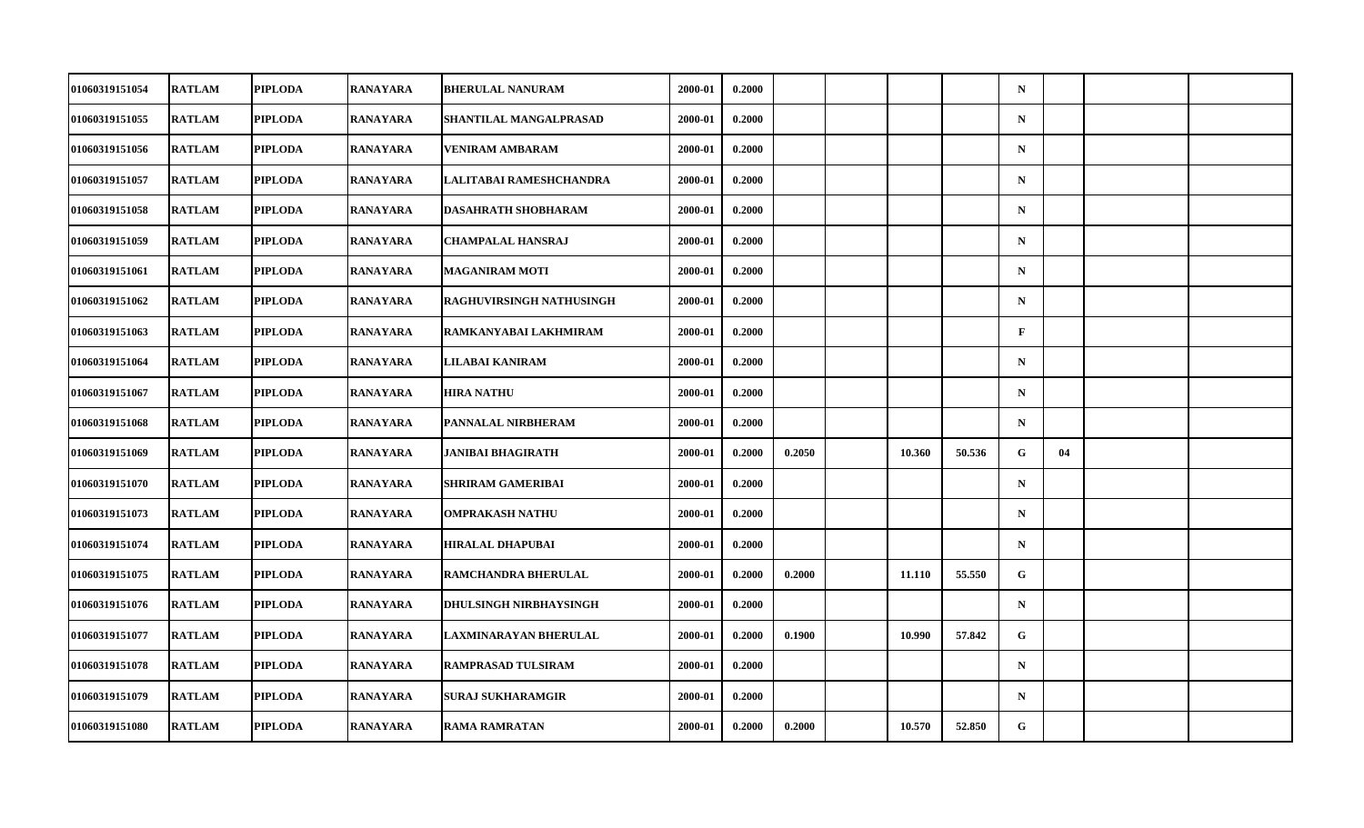| 01060319151054 | <b>RATLAM</b> | <b>PIPLODA</b> | <b>RANAYARA</b> | <b>BHERULAL NANURAM</b>       | 2000-01 | 0.2000 |        |        |        | $\mathbf N$  |    |  |
|----------------|---------------|----------------|-----------------|-------------------------------|---------|--------|--------|--------|--------|--------------|----|--|
| 01060319151055 | <b>RATLAM</b> | <b>PIPLODA</b> | <b>RANAYARA</b> | SHANTILAL MANGALPRASAD        | 2000-01 | 0.2000 |        |        |        | $\mathbf N$  |    |  |
| 01060319151056 | <b>RATLAM</b> | <b>PIPLODA</b> | <b>RANAYARA</b> | <b>VENIRAM AMBARAM</b>        | 2000-01 | 0.2000 |        |        |        | $\mathbf N$  |    |  |
| 01060319151057 | <b>RATLAM</b> | <b>PIPLODA</b> | RANAYARA        | LALITABAI RAMESHCHANDRA       | 2000-01 | 0.2000 |        |        |        | $\mathbf N$  |    |  |
| 01060319151058 | <b>RATLAM</b> | <b>PIPLODA</b> | <b>RANAYARA</b> | <b>DASAHRATH SHOBHARAM</b>    | 2000-01 | 0.2000 |        |        |        | $\mathbf N$  |    |  |
| 01060319151059 | <b>RATLAM</b> | <b>PIPLODA</b> | <b>RANAYARA</b> | <b>CHAMPALAL HANSRAJ</b>      | 2000-01 | 0.2000 |        |        |        | $\mathbf N$  |    |  |
| 01060319151061 | <b>RATLAM</b> | <b>PIPLODA</b> | <b>RANAYARA</b> | <b>MAGANIRAM MOTI</b>         | 2000-01 | 0.2000 |        |        |        | $\mathbf N$  |    |  |
| 01060319151062 | <b>RATLAM</b> | <b>PIPLODA</b> | <b>RANAYARA</b> | RAGHUVIRSINGH NATHUSINGH      | 2000-01 | 0.2000 |        |        |        | $\mathbf N$  |    |  |
| 01060319151063 | <b>RATLAM</b> | <b>PIPLODA</b> | <b>RANAYARA</b> | RAMKANYABAI LAKHMIRAM         | 2000-01 | 0.2000 |        |        |        | $\mathbf{F}$ |    |  |
| 01060319151064 | <b>RATLAM</b> | <b>PIPLODA</b> | <b>RANAYARA</b> | LILABAI KANIRAM               | 2000-01 | 0.2000 |        |        |        | $\mathbf N$  |    |  |
| 01060319151067 | <b>RATLAM</b> | <b>PIPLODA</b> | <b>RANAYARA</b> | <b>HIRA NATHU</b>             | 2000-01 | 0.2000 |        |        |        | $\mathbf N$  |    |  |
| 01060319151068 | <b>RATLAM</b> | <b>PIPLODA</b> | <b>RANAYARA</b> | PANNALAL NIRBHERAM            | 2000-01 | 0.2000 |        |        |        | $\mathbf N$  |    |  |
| 01060319151069 | <b>RATLAM</b> | <b>PIPLODA</b> | <b>RANAYARA</b> | <b>JANIBAI BHAGIRATH</b>      | 2000-01 | 0.2000 | 0.2050 | 10.360 | 50.536 | ${\bf G}$    | 04 |  |
| 01060319151070 | <b>RATLAM</b> | <b>PIPLODA</b> | <b>RANAYARA</b> | <b>SHRIRAM GAMERIBAI</b>      | 2000-01 | 0.2000 |        |        |        | $\mathbf N$  |    |  |
| 01060319151073 | <b>RATLAM</b> | <b>PIPLODA</b> | <b>RANAYARA</b> | <b>OMPRAKASH NATHU</b>        | 2000-01 | 0.2000 |        |        |        | $\mathbf N$  |    |  |
| 01060319151074 | <b>RATLAM</b> | <b>PIPLODA</b> | <b>RANAYARA</b> | <b>HIRALAL DHAPUBAI</b>       | 2000-01 | 0.2000 |        |        |        | $\mathbf N$  |    |  |
| 01060319151075 | <b>RATLAM</b> | <b>PIPLODA</b> | <b>RANAYARA</b> | RAMCHANDRA BHERULAL           | 2000-01 | 0.2000 | 0.2000 | 11.110 | 55.550 | G            |    |  |
| 01060319151076 | <b>RATLAM</b> | <b>PIPLODA</b> | <b>RANAYARA</b> | <b>DHULSINGH NIRBHAYSINGH</b> | 2000-01 | 0.2000 |        |        |        | $\mathbf N$  |    |  |
| 01060319151077 | <b>RATLAM</b> | <b>PIPLODA</b> | <b>RANAYARA</b> | LAXMINARAYAN BHERULAL         | 2000-01 | 0.2000 | 0.1900 | 10.990 | 57.842 | G            |    |  |
| 01060319151078 | <b>RATLAM</b> | <b>PIPLODA</b> | <b>RANAYARA</b> | <b>RAMPRASAD TULSIRAM</b>     | 2000-01 | 0.2000 |        |        |        | $\mathbf N$  |    |  |
| 01060319151079 | <b>RATLAM</b> | <b>PIPLODA</b> | <b>RANAYARA</b> | <b>SURAJ SUKHARAMGIR</b>      | 2000-01 | 0.2000 |        |        |        | $\mathbf N$  |    |  |
| 01060319151080 | <b>RATLAM</b> | <b>PIPLODA</b> | <b>RANAYARA</b> | <b>RAMA RAMRATAN</b>          | 2000-01 | 0.2000 | 0.2000 | 10.570 | 52.850 | G            |    |  |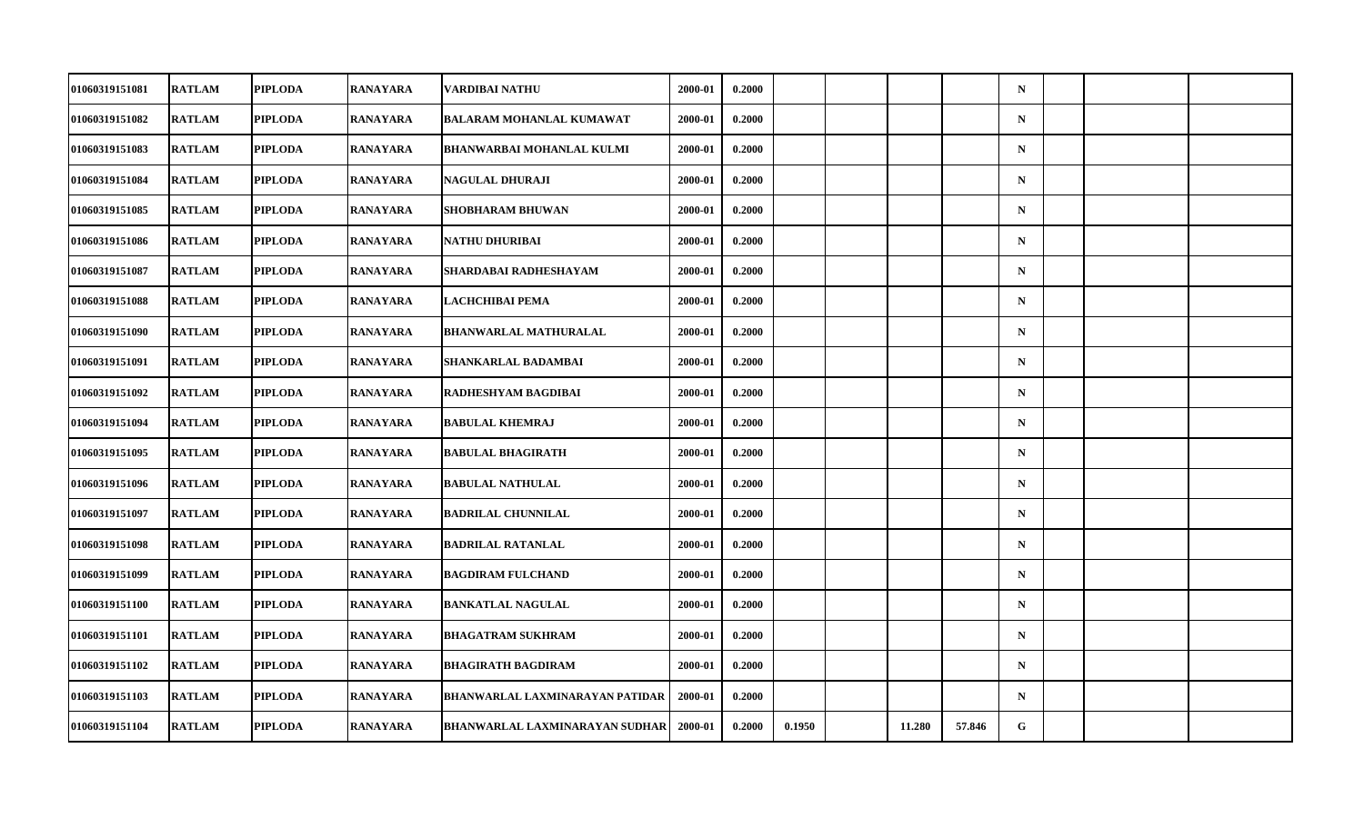| 01060319151081 | <b>RATLAM</b> | <b>PIPLODA</b> | <b>RANAYARA</b> | VARDIBAI NATHU                        | 2000-01 | 0.2000 |        |        |        | $\mathbf N$ |  |  |
|----------------|---------------|----------------|-----------------|---------------------------------------|---------|--------|--------|--------|--------|-------------|--|--|
| 01060319151082 | <b>RATLAM</b> | <b>PIPLODA</b> | <b>RANAYARA</b> | <b>BALARAM MOHANLAL KUMAWAT</b>       | 2000-01 | 0.2000 |        |        |        | $\mathbf N$ |  |  |
| 01060319151083 | <b>RATLAM</b> | <b>PIPLODA</b> | <b>RANAYARA</b> | <b>BHANWARBAI MOHANLAL KULMI</b>      | 2000-01 | 0.2000 |        |        |        | $\mathbf N$ |  |  |
| 01060319151084 | <b>RATLAM</b> | <b>PIPLODA</b> | <b>RANAYARA</b> | <b>NAGULAL DHURAJI</b>                | 2000-01 | 0.2000 |        |        |        | $\mathbf N$ |  |  |
| 01060319151085 | <b>RATLAM</b> | <b>PIPLODA</b> | <b>RANAYARA</b> | SHOBHARAM BHUWAN                      | 2000-01 | 0.2000 |        |        |        | $\mathbf N$ |  |  |
| 01060319151086 | <b>RATLAM</b> | <b>PIPLODA</b> | <b>RANAYARA</b> | <b>NATHU DHURIBAI</b>                 | 2000-01 | 0.2000 |        |        |        | $\mathbf N$ |  |  |
| 01060319151087 | <b>RATLAM</b> | <b>PIPLODA</b> | <b>RANAYARA</b> | SHARDABAI RADHESHAYAM                 | 2000-01 | 0.2000 |        |        |        | ${\bf N}$   |  |  |
| 01060319151088 | <b>RATLAM</b> | <b>PIPLODA</b> | RANAYARA        | LACHCHIBAI PEMA                       | 2000-01 | 0.2000 |        |        |        | $\mathbf N$ |  |  |
| 01060319151090 | <b>RATLAM</b> | <b>PIPLODA</b> | <b>RANAYARA</b> | <b>BHANWARLAL MATHURALAL</b>          | 2000-01 | 0.2000 |        |        |        | $\mathbf N$ |  |  |
| 01060319151091 | <b>RATLAM</b> | <b>PIPLODA</b> | <b>RANAYARA</b> | SHANKARLAL BADAMBAI                   | 2000-01 | 0.2000 |        |        |        | $\mathbf N$ |  |  |
| 01060319151092 | <b>RATLAM</b> | <b>PIPLODA</b> | RANAYARA        | RADHESHYAM BAGDIBAI                   | 2000-01 | 0.2000 |        |        |        | $\mathbf N$ |  |  |
| 01060319151094 | <b>RATLAM</b> | <b>PIPLODA</b> | <b>RANAYARA</b> | <b>BABULAL KHEMRAJ</b>                | 2000-01 | 0.2000 |        |        |        | $\mathbf N$ |  |  |
| 01060319151095 | <b>RATLAM</b> | <b>PIPLODA</b> | <b>RANAYARA</b> | <b>BABULAL BHAGIRATH</b>              | 2000-01 | 0.2000 |        |        |        | $\mathbf N$ |  |  |
| 01060319151096 | <b>RATLAM</b> | <b>PIPLODA</b> | RANAYARA        | <b>BABULAL NATHULAL</b>               | 2000-01 | 0.2000 |        |        |        | $\mathbf N$ |  |  |
| 01060319151097 | <b>RATLAM</b> | <b>PIPLODA</b> | <b>RANAYARA</b> | <b>BADRILAL CHUNNILAL</b>             | 2000-01 | 0.2000 |        |        |        | $\mathbf N$ |  |  |
| 01060319151098 | <b>RATLAM</b> | <b>PIPLODA</b> | <b>RANAYARA</b> | <b>BADRILAL RATANLAL</b>              | 2000-01 | 0.2000 |        |        |        | $\mathbf N$ |  |  |
| 01060319151099 | <b>RATLAM</b> | <b>PIPLODA</b> | RANAYARA        | <b>BAGDIRAM FULCHAND</b>              | 2000-01 | 0.2000 |        |        |        | $\mathbf N$ |  |  |
| 01060319151100 | <b>RATLAM</b> | <b>PIPLODA</b> | RANAYARA        | <b>BANKATLAL NAGULAL</b>              | 2000-01 | 0.2000 |        |        |        | $\mathbf N$ |  |  |
| 01060319151101 | <b>RATLAM</b> | <b>PIPLODA</b> | RANAYARA        | <b>BHAGATRAM SUKHRAM</b>              | 2000-01 | 0.2000 |        |        |        | $\mathbf N$ |  |  |
| 01060319151102 | <b>RATLAM</b> | <b>PIPLODA</b> | <b>RANAYARA</b> | <b>BHAGIRATH BAGDIRAM</b>             | 2000-01 | 0.2000 |        |        |        | $\mathbf N$ |  |  |
| 01060319151103 | <b>RATLAM</b> | <b>PIPLODA</b> | <b>RANAYARA</b> | BHANWARLAL LAXMINARAYAN PATIDAR       | 2000-01 | 0.2000 |        |        |        | $\mathbf N$ |  |  |
| 01060319151104 | <b>RATLAM</b> | <b>PIPLODA</b> | RANAYARA        | <b>BHANWARLAL LAXMINARAYAN SUDHAR</b> | 2000-01 | 0.2000 | 0.1950 | 11.280 | 57.846 | G           |  |  |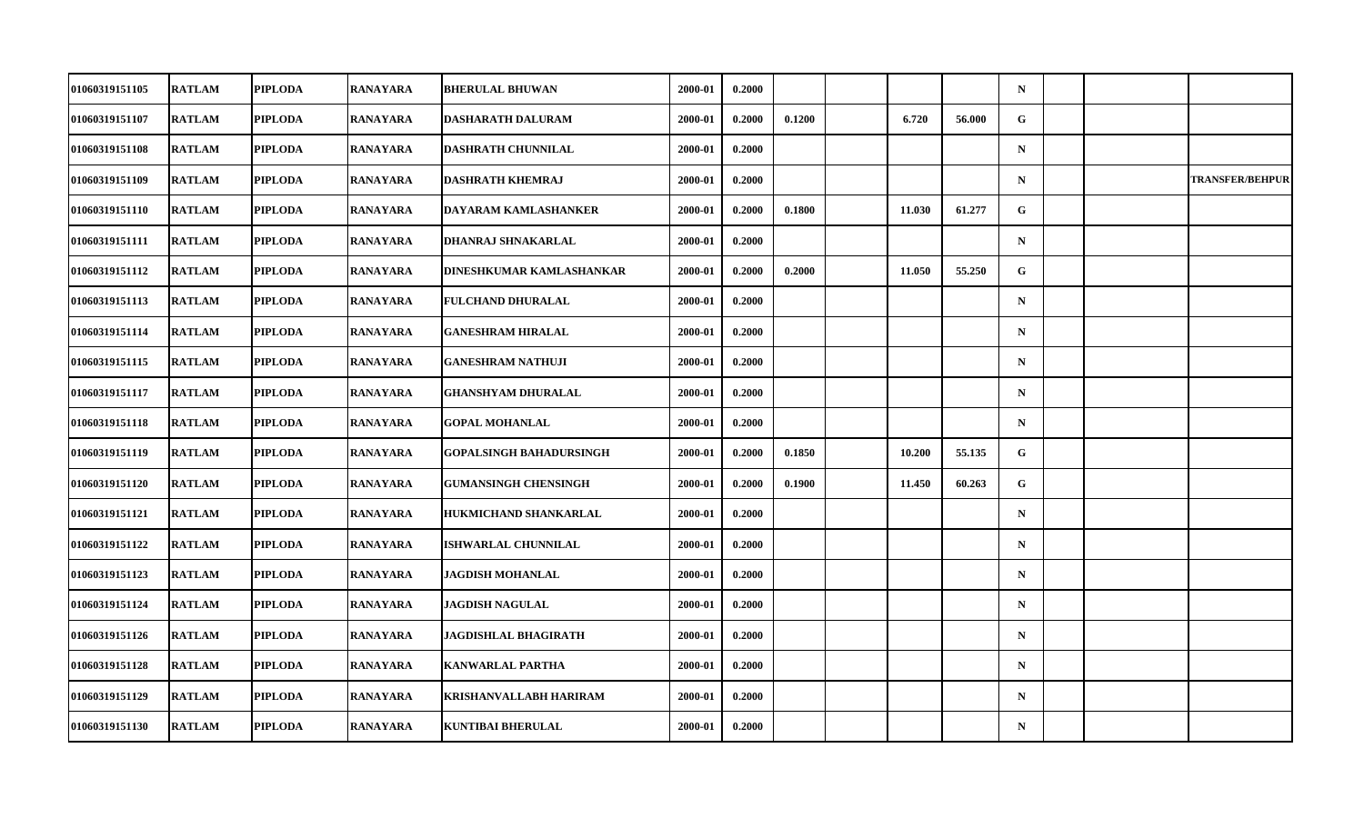| 01060319151105 | <b>RATLAM</b> | <b>PIPLODA</b> | <b>RANAYARA</b> | <b>BHERULAL BHUWAN</b>         | 2000-01 | 0.2000 |        |        |        | $\mathbf N$ |  |                        |
|----------------|---------------|----------------|-----------------|--------------------------------|---------|--------|--------|--------|--------|-------------|--|------------------------|
| 01060319151107 | <b>RATLAM</b> | <b>PIPLODA</b> | <b>RANAYARA</b> | <b>DASHARATH DALURAM</b>       | 2000-01 | 0.2000 | 0.1200 | 6.720  | 56.000 | $\mathbf G$ |  |                        |
| 01060319151108 | <b>RATLAM</b> | <b>PIPLODA</b> | <b>RANAYARA</b> | <b>DASHRATH CHUNNILAL</b>      | 2000-01 | 0.2000 |        |        |        | $\mathbf N$ |  |                        |
| 01060319151109 | <b>RATLAM</b> | <b>PIPLODA</b> | <b>RANAYARA</b> | <b>DASHRATH KHEMRAJ</b>        | 2000-01 | 0.2000 |        |        |        | $\mathbf N$ |  | <b>TRANSFER/BEHPUR</b> |
| 01060319151110 | <b>RATLAM</b> | <b>PIPLODA</b> | <b>RANAYARA</b> | DAYARAM KAMLASHANKER           | 2000-01 | 0.2000 | 0.1800 | 11.030 | 61.277 | G           |  |                        |
| 01060319151111 | <b>RATLAM</b> | <b>PIPLODA</b> | <b>RANAYARA</b> | DHANRAJ SHNAKARLAL             | 2000-01 | 0.2000 |        |        |        | $\mathbf N$ |  |                        |
| 01060319151112 | <b>RATLAM</b> | <b>PIPLODA</b> | <b>RANAYARA</b> | DINESHKUMAR KAMLASHANKAR       | 2000-01 | 0.2000 | 0.2000 | 11.050 | 55.250 | $\mathbf G$ |  |                        |
| 01060319151113 | <b>RATLAM</b> | <b>PIPLODA</b> | RANAYARA        | <b>FULCHAND DHURALAL</b>       | 2000-01 | 0.2000 |        |        |        | $\mathbf N$ |  |                        |
| 01060319151114 | <b>RATLAM</b> | <b>PIPLODA</b> | <b>RANAYARA</b> | <b>GANESHRAM HIRALAL</b>       | 2000-01 | 0.2000 |        |        |        | $\mathbf N$ |  |                        |
| 01060319151115 | <b>RATLAM</b> | <b>PIPLODA</b> | <b>RANAYARA</b> | <b>GANESHRAM NATHUJI</b>       | 2000-01 | 0.2000 |        |        |        | $\mathbf N$ |  |                        |
| 01060319151117 | <b>RATLAM</b> | <b>PIPLODA</b> | RANAYARA        | <b>GHANSHYAM DHURALAL</b>      | 2000-01 | 0.2000 |        |        |        | $\mathbf N$ |  |                        |
| 01060319151118 | <b>RATLAM</b> | <b>PIPLODA</b> | <b>RANAYARA</b> | <b>GOPAL MOHANLAL</b>          | 2000-01 | 0.2000 |        |        |        | $\mathbf N$ |  |                        |
| 01060319151119 | <b>RATLAM</b> | <b>PIPLODA</b> | <b>RANAYARA</b> | <b>GOPALSINGH BAHADURSINGH</b> | 2000-01 | 0.2000 | 0.1850 | 10.200 | 55.135 | G           |  |                        |
| 01060319151120 | <b>RATLAM</b> | <b>PIPLODA</b> | RANAYARA        | <b>GUMANSINGH CHENSINGH</b>    | 2000-01 | 0.2000 | 0.1900 | 11.450 | 60.263 | G           |  |                        |
| 01060319151121 | <b>RATLAM</b> | <b>PIPLODA</b> | <b>RANAYARA</b> | HUKMICHAND SHANKARLAL          | 2000-01 | 0.2000 |        |        |        | $\mathbf N$ |  |                        |
| 01060319151122 | <b>RATLAM</b> | <b>PIPLODA</b> | <b>RANAYARA</b> | <b>ISHWARLAL CHUNNILAL</b>     | 2000-01 | 0.2000 |        |        |        | $\mathbf N$ |  |                        |
| 01060319151123 | <b>RATLAM</b> | <b>PIPLODA</b> | RANAYARA        | JAGDISH MOHANLAL               | 2000-01 | 0.2000 |        |        |        | $\mathbf N$ |  |                        |
| 01060319151124 | <b>RATLAM</b> | <b>PIPLODA</b> | RANAYARA        | <b>JAGDISH NAGULAL</b>         | 2000-01 | 0.2000 |        |        |        | $\mathbf N$ |  |                        |
| 01060319151126 | <b>RATLAM</b> | <b>PIPLODA</b> | RANAYARA        | JAGDISHLAL BHAGIRATH           | 2000-01 | 0.2000 |        |        |        | $\mathbf N$ |  |                        |
| 01060319151128 | <b>RATLAM</b> | <b>PIPLODA</b> | <b>RANAYARA</b> | <b>KANWARLAL PARTHA</b>        | 2000-01 | 0.2000 |        |        |        | $\mathbf N$ |  |                        |
| 01060319151129 | <b>RATLAM</b> | <b>PIPLODA</b> | <b>RANAYARA</b> | KRISHANVALLABH HARIRAM         | 2000-01 | 0.2000 |        |        |        | $\mathbf N$ |  |                        |
| 01060319151130 | <b>RATLAM</b> | <b>PIPLODA</b> | RANAYARA        | <b>KUNTIBAI BHERULAL</b>       | 2000-01 | 0.2000 |        |        |        | $\mathbf N$ |  |                        |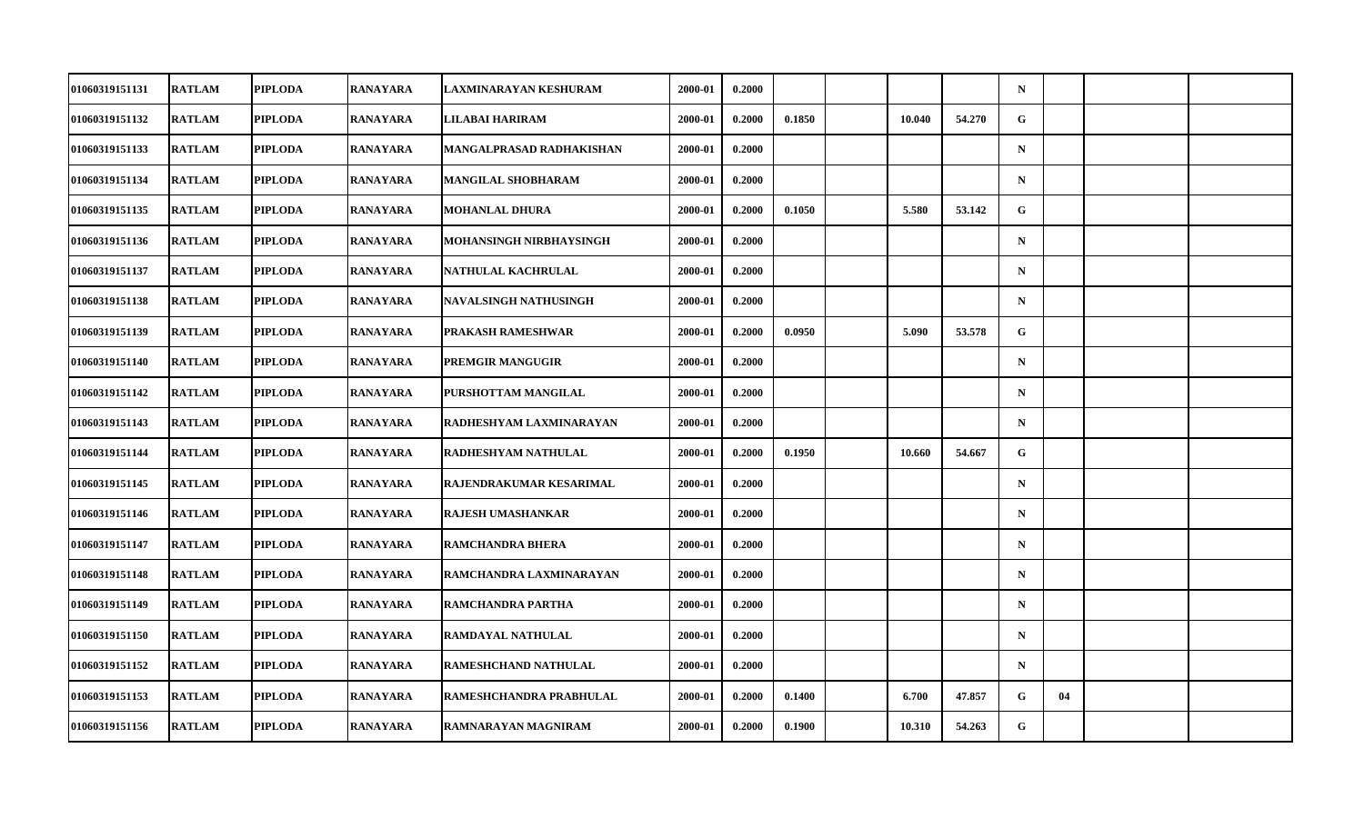| 01060319151131 | <b>RATLAM</b> | <b>PIPLODA</b> | <b>RANAYARA</b> | LAXMINARAYAN KESHURAM        | 2000-01 | 0.2000 |        |        |        | $\mathbf N$ |    |  |
|----------------|---------------|----------------|-----------------|------------------------------|---------|--------|--------|--------|--------|-------------|----|--|
| 01060319151132 | <b>RATLAM</b> | <b>PIPLODA</b> | <b>RANAYARA</b> | LILABAI HARIRAM              | 2000-01 | 0.2000 | 0.1850 | 10.040 | 54.270 | $\mathbf G$ |    |  |
| 01060319151133 | <b>RATLAM</b> | <b>PIPLODA</b> | <b>RANAYARA</b> | MANGALPRASAD RADHAKISHAN     | 2000-01 | 0.2000 |        |        |        | $\mathbf N$ |    |  |
| 01060319151134 | <b>RATLAM</b> | <b>PIPLODA</b> | <b>RANAYARA</b> | MANGILAL SHOBHARAM           | 2000-01 | 0.2000 |        |        |        | $\mathbf N$ |    |  |
| 01060319151135 | <b>RATLAM</b> | <b>PIPLODA</b> | <b>RANAYARA</b> | MOHANLAL DHURA               | 2000-01 | 0.2000 | 0.1050 | 5.580  | 53.142 | G           |    |  |
| 01060319151136 | <b>RATLAM</b> | <b>PIPLODA</b> | <b>RANAYARA</b> | MOHANSINGH NIRBHAYSINGH      | 2000-01 | 0.2000 |        |        |        | $\mathbf N$ |    |  |
| 01060319151137 | <b>RATLAM</b> | <b>PIPLODA</b> | <b>RANAYARA</b> | NATHULAL KACHRULAL           | 2000-01 | 0.2000 |        |        |        | $\mathbf N$ |    |  |
| 01060319151138 | <b>RATLAM</b> | <b>PIPLODA</b> | RANAYARA        | <b>NAVALSINGH NATHUSINGH</b> | 2000-01 | 0.2000 |        |        |        | $\mathbf N$ |    |  |
| 01060319151139 | <b>RATLAM</b> | <b>PIPLODA</b> | <b>RANAYARA</b> | PRAKASH RAMESHWAR            | 2000-01 | 0.2000 | 0.0950 | 5.090  | 53.578 | G           |    |  |
| 01060319151140 | <b>RATLAM</b> | <b>PIPLODA</b> | <b>RANAYARA</b> | PREMGIR MANGUGIR             | 2000-01 | 0.2000 |        |        |        | $\mathbf N$ |    |  |
| 01060319151142 | <b>RATLAM</b> | <b>PIPLODA</b> | RANAYARA        | PURSHOTTAM MANGILAL          | 2000-01 | 0.2000 |        |        |        | $\mathbf N$ |    |  |
| 01060319151143 | <b>RATLAM</b> | <b>PIPLODA</b> | <b>RANAYARA</b> | RADHESHYAM LAXMINARAYAN      | 2000-01 | 0.2000 |        |        |        | $\mathbf N$ |    |  |
| 01060319151144 | <b>RATLAM</b> | <b>PIPLODA</b> | <b>RANAYARA</b> | RADHESHYAM NATHULAL          | 2000-01 | 0.2000 | 0.1950 | 10.660 | 54.667 | G           |    |  |
| 01060319151145 | <b>RATLAM</b> | <b>PIPLODA</b> | RANAYARA        | RAJENDRAKUMAR KESARIMAL      | 2000-01 | 0.2000 |        |        |        | $\mathbf N$ |    |  |
| 01060319151146 | <b>RATLAM</b> | <b>PIPLODA</b> | <b>RANAYARA</b> | <b>RAJESH UMASHANKAR</b>     | 2000-01 | 0.2000 |        |        |        | $\mathbf N$ |    |  |
| 01060319151147 | <b>RATLAM</b> | <b>PIPLODA</b> | <b>RANAYARA</b> | <b>RAMCHANDRA BHERA</b>      | 2000-01 | 0.2000 |        |        |        | $\mathbf N$ |    |  |
| 01060319151148 | <b>RATLAM</b> | <b>PIPLODA</b> | RANAYARA        | RAMCHANDRA LAXMINARAYAN      | 2000-01 | 0.2000 |        |        |        | $\mathbf N$ |    |  |
| 01060319151149 | <b>RATLAM</b> | <b>PIPLODA</b> | RANAYARA        | RAMCHANDRA PARTHA            | 2000-01 | 0.2000 |        |        |        | $\mathbf N$ |    |  |
| 01060319151150 | <b>RATLAM</b> | <b>PIPLODA</b> | RANAYARA        | RAMDAYAL NATHULAL            | 2000-01 | 0.2000 |        |        |        | $\mathbf N$ |    |  |
| 01060319151152 | <b>RATLAM</b> | <b>PIPLODA</b> | <b>RANAYARA</b> | RAMESHCHAND NATHULAL         | 2000-01 | 0.2000 |        |        |        | $\mathbf N$ |    |  |
| 01060319151153 | <b>RATLAM</b> | <b>PIPLODA</b> | <b>RANAYARA</b> | RAMESHCHANDRA PRABHULAL      | 2000-01 | 0.2000 | 0.1400 | 6.700  | 47.857 | G           | 04 |  |
| 01060319151156 | <b>RATLAM</b> | <b>PIPLODA</b> | RANAYARA        | RAMNARAYAN MAGNIRAM          | 2000-01 | 0.2000 | 0.1900 | 10.310 | 54.263 | G           |    |  |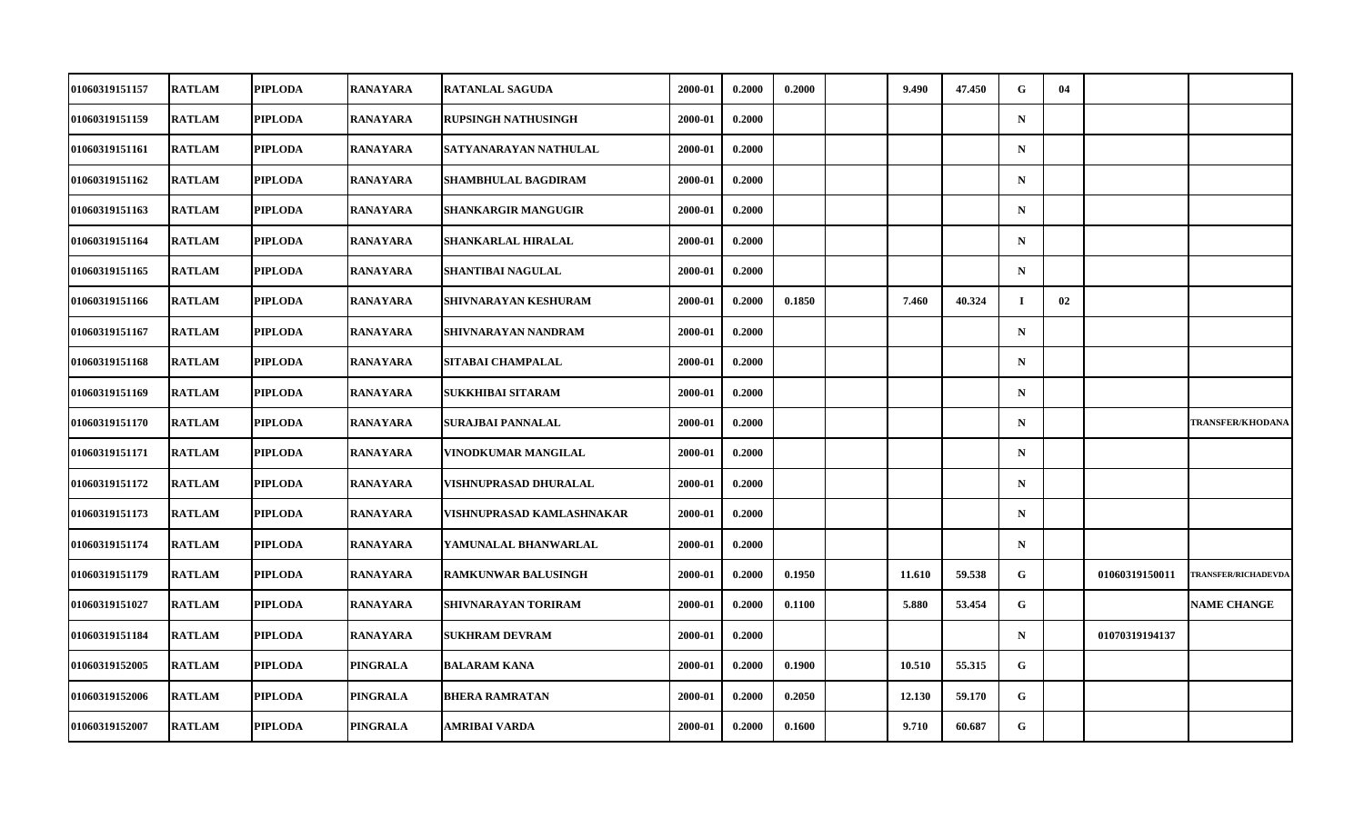| 01060319151157        | <b>RATLAM</b> | <b>PIPLODA</b> | RANAYARA        | <b>RATANLAL SAGUDA</b>     | 2000-01 | 0.2000 | 0.2000 | 9.490  | 47.450 | G            | 04 |                |                            |
|-----------------------|---------------|----------------|-----------------|----------------------------|---------|--------|--------|--------|--------|--------------|----|----------------|----------------------------|
| 01060319151159        | <b>RATLAM</b> | <b>PIPLODA</b> | RANAYARA        | <b>RUPSINGH NATHUSINGH</b> | 2000-01 | 0.2000 |        |        |        | $\mathbf N$  |    |                |                            |
| 01060319151161        | <b>RATLAM</b> | <b>PIPLODA</b> | <b>RANAYARA</b> | SATYANARAYAN NATHULAL      | 2000-01 | 0.2000 |        |        |        | $\mathbf N$  |    |                |                            |
| 01060319151162        | <b>RATLAM</b> | <b>PIPLODA</b> | RANAYARA        | SHAMBHULAL BAGDIRAM        | 2000-01 | 0.2000 |        |        |        | $\mathbf N$  |    |                |                            |
| 01060319151163        | <b>RATLAM</b> | <b>PIPLODA</b> | RANAYARA        | SHANKARGIR MANGUGIR        | 2000-01 | 0.2000 |        |        |        | $\mathbf N$  |    |                |                            |
| 01060319151164        | <b>RATLAM</b> | <b>PIPLODA</b> | <b>RANAYARA</b> | SHANKARLAL HIRALAL         | 2000-01 | 0.2000 |        |        |        | $\mathbf N$  |    |                |                            |
| 01060319151165        | <b>RATLAM</b> | <b>PIPLODA</b> | <b>RANAYARA</b> | SHANTIBAI NAGULAL          | 2000-01 | 0.2000 |        |        |        | $\mathbf N$  |    |                |                            |
| <b>01060319151166</b> | <b>RATLAM</b> | <b>PIPLODA</b> | RANAYARA        | SHIVNARAYAN KESHURAM       | 2000-01 | 0.2000 | 0.1850 | 7.460  | 40.324 | $\bf{I}$     | 02 |                |                            |
| 01060319151167        | <b>RATLAM</b> | <b>PIPLODA</b> | <b>RANAYARA</b> | SHIVNARAYAN NANDRAM        | 2000-01 | 0.2000 |        |        |        | $\mathbf N$  |    |                |                            |
| 01060319151168        | <b>RATLAM</b> | <b>PIPLODA</b> | <b>RANAYARA</b> | SITABAI CHAMPALAL          | 2000-01 | 0.2000 |        |        |        | $\mathbf N$  |    |                |                            |
| <b>01060319151169</b> | <b>RATLAM</b> | <b>PIPLODA</b> | RANAYARA        | SUKKHIBAI SITARAM          | 2000-01 | 0.2000 |        |        |        | $\mathbf N$  |    |                |                            |
| 01060319151170        | <b>RATLAM</b> | <b>PIPLODA</b> | <b>RANAYARA</b> | SURAJBAI PANNALAL          | 2000-01 | 0.2000 |        |        |        | $\mathbf N$  |    |                | <b>TRANSFER/KHODANA</b>    |
| 01060319151171        | <b>RATLAM</b> | <b>PIPLODA</b> | <b>RANAYARA</b> | VINODKUMAR MANGILAL        | 2000-01 | 0.2000 |        |        |        | $\mathbf N$  |    |                |                            |
| 01060319151172        | <b>RATLAM</b> | <b>PIPLODA</b> | RANAYARA        | VISHNUPRASAD DHURALAL      | 2000-01 | 0.2000 |        |        |        | $\mathbf N$  |    |                |                            |
| 01060319151173        | <b>RATLAM</b> | <b>PIPLODA</b> | RANAYARA        | VISHNUPRASAD KAMLASHNAKAR  | 2000-01 | 0.2000 |        |        |        | $\mathbf N$  |    |                |                            |
| 01060319151174        | <b>RATLAM</b> | <b>PIPLODA</b> | RANAYARA        | YAMUNALAL BHANWARLAL       | 2000-01 | 0.2000 |        |        |        | $\mathbf N$  |    |                |                            |
| <b>01060319151179</b> | <b>RATLAM</b> | <b>PIPLODA</b> | RANAYARA        | <b>RAMKUNWAR BALUSINGH</b> | 2000-01 | 0.2000 | 0.1950 | 11.610 | 59.538 | G            |    | 01060319150011 | <b>TRANSFER/RICHADEVDA</b> |
| 01060319151027        | <b>RATLAM</b> | <b>PIPLODA</b> | <b>RANAYARA</b> | SHIVNARAYAN TORIRAM        | 2000-01 | 0.2000 | 0.1100 | 5.880  | 53.454 | G            |    |                | <b>NAME CHANGE</b>         |
| 01060319151184        | <b>RATLAM</b> | <b>PIPLODA</b> | RANAYARA        | <b>SUKHRAM DEVRAM</b>      | 2000-01 | 0.2000 |        |        |        | $\mathbf N$  |    | 01070319194137 |                            |
| 01060319152005        | <b>RATLAM</b> | <b>PIPLODA</b> | PINGRALA        | <b>BALARAM KANA</b>        | 2000-01 | 0.2000 | 0.1900 | 10.510 | 55.315 | G            |    |                |                            |
| 01060319152006        | <b>RATLAM</b> | <b>PIPLODA</b> | PINGRALA        | <b>BHERA RAMRATAN</b>      | 2000-01 | 0.2000 | 0.2050 | 12.130 | 59.170 | $\mathbf{G}$ |    |                |                            |
| 01060319152007        | <b>RATLAM</b> | <b>PIPLODA</b> | PINGRALA        | AMRIBAI VARDA              | 2000-01 | 0.2000 | 0.1600 | 9.710  | 60.687 | G            |    |                |                            |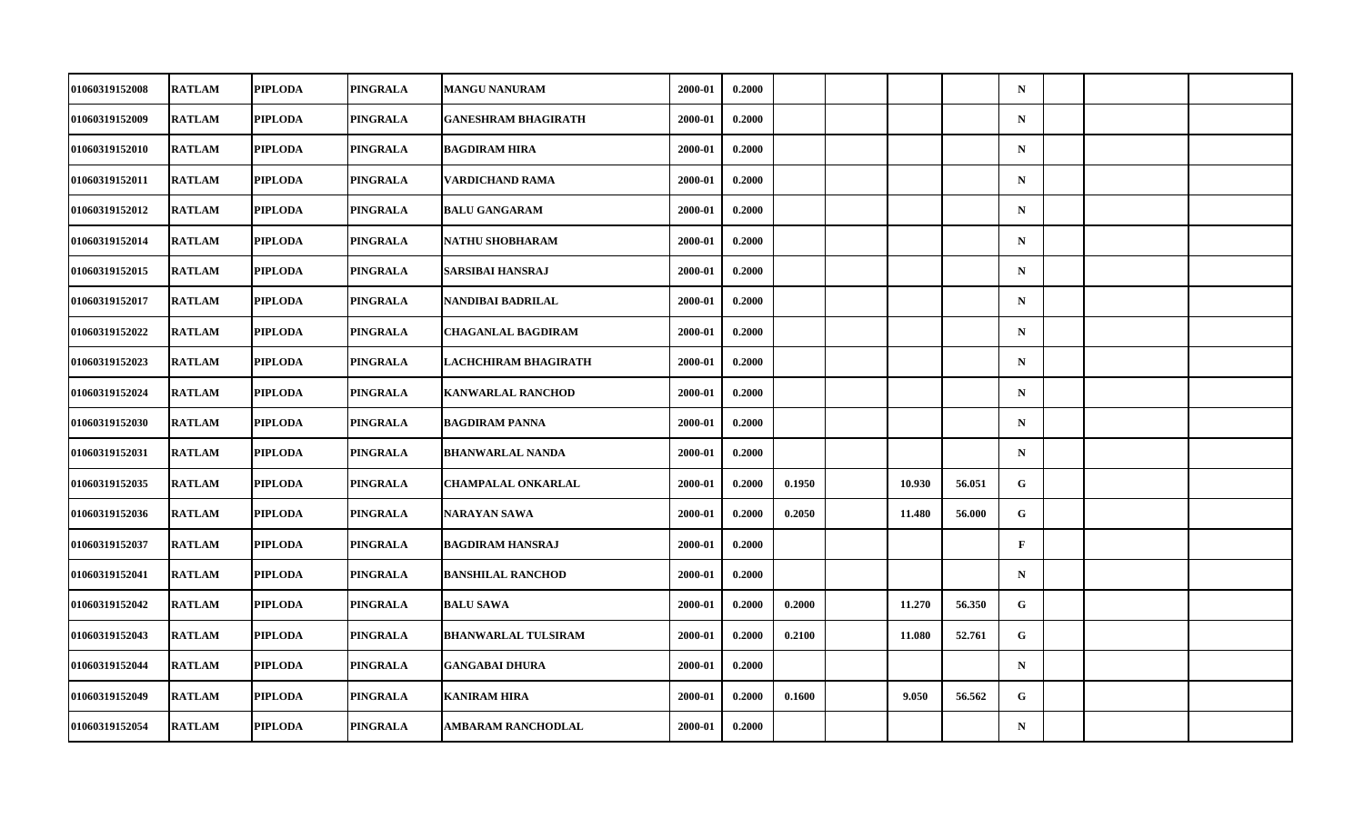| 01060319152008        | <b>RATLAM</b> | <b>PIPLODA</b> | PINGRALA | <b>MANGU NANURAM</b>       | 2000-01 | 0.2000 |        |        |        | $\mathbf N$  |  |  |
|-----------------------|---------------|----------------|----------|----------------------------|---------|--------|--------|--------|--------|--------------|--|--|
| 01060319152009        | <b>RATLAM</b> | <b>PIPLODA</b> | PINGRALA | <b>GANESHRAM BHAGIRATH</b> | 2000-01 | 0.2000 |        |        |        | ${\bf N}$    |  |  |
| 01060319152010        | <b>RATLAM</b> | <b>PIPLODA</b> | PINGRALA | <b>BAGDIRAM HIRA</b>       | 2000-01 | 0.2000 |        |        |        | ${\bf N}$    |  |  |
| 01060319152011        | <b>RATLAM</b> | <b>PIPLODA</b> | PINGRALA | VARDICHAND RAMA            | 2000-01 | 0.2000 |        |        |        | $\mathbf N$  |  |  |
| 01060319152012        | <b>RATLAM</b> | <b>PIPLODA</b> | PINGRALA | <b>BALU GANGARAM</b>       | 2000-01 | 0.2000 |        |        |        | $\mathbf N$  |  |  |
| 01060319152014        | <b>RATLAM</b> | <b>PIPLODA</b> | PINGRALA | NATHU SHOBHARAM            | 2000-01 | 0.2000 |        |        |        | ${\bf N}$    |  |  |
| 01060319152015        | <b>RATLAM</b> | <b>PIPLODA</b> | PINGRALA | SARSIBAI HANSRAJ           | 2000-01 | 0.2000 |        |        |        | $\mathbf N$  |  |  |
| 01060319152017        | <b>RATLAM</b> | <b>PIPLODA</b> | PINGRALA | NANDIBAI BADRILAL          | 2000-01 | 0.2000 |        |        |        | $\mathbf N$  |  |  |
| 01060319152022        | <b>RATLAM</b> | <b>PIPLODA</b> | PINGRALA | <b>CHAGANLAL BAGDIRAM</b>  | 2000-01 | 0.2000 |        |        |        | $\mathbf N$  |  |  |
| 01060319152023        | <b>RATLAM</b> | <b>PIPLODA</b> | PINGRALA | LACHCHIRAM BHAGIRATH       | 2000-01 | 0.2000 |        |        |        | $\mathbf N$  |  |  |
| 01060319152024        | <b>RATLAM</b> | <b>PIPLODA</b> | PINGRALA | <b>KANWARLAL RANCHOD</b>   | 2000-01 | 0.2000 |        |        |        | $\mathbf N$  |  |  |
| 01060319152030        | <b>RATLAM</b> | <b>PIPLODA</b> | PINGRALA | <b>BAGDIRAM PANNA</b>      | 2000-01 | 0.2000 |        |        |        | $\mathbf N$  |  |  |
| 01060319152031        | <b>RATLAM</b> | <b>PIPLODA</b> | PINGRALA | <b>BHANWARLAL NANDA</b>    | 2000-01 | 0.2000 |        |        |        | ${\bf N}$    |  |  |
| 01060319152035        | <b>RATLAM</b> | <b>PIPLODA</b> | PINGRALA | <b>CHAMPALAL ONKARLAL</b>  | 2000-01 | 0.2000 | 0.1950 | 10.930 | 56.051 | G            |  |  |
| 01060319152036        | <b>RATLAM</b> | <b>PIPLODA</b> | PINGRALA | NARAYAN SAWA               | 2000-01 | 0.2000 | 0.2050 | 11.480 | 56.000 | G            |  |  |
| 01060319152037        | <b>RATLAM</b> | <b>PIPLODA</b> | PINGRALA | <b>BAGDIRAM HANSRAJ</b>    | 2000-01 | 0.2000 |        |        |        | $\mathbf{F}$ |  |  |
| <b>01060319152041</b> | <b>RATLAM</b> | <b>PIPLODA</b> | PINGRALA | <b>BANSHILAL RANCHOD</b>   | 2000-01 | 0.2000 |        |        |        | $\mathbf N$  |  |  |
| 01060319152042        | <b>RATLAM</b> | <b>PIPLODA</b> | PINGRALA | <b>BALU SAWA</b>           | 2000-01 | 0.2000 | 0.2000 | 11.270 | 56.350 | $\mathbf G$  |  |  |
| 01060319152043        | <b>RATLAM</b> | <b>PIPLODA</b> | PINGRALA | <b>BHANWARLAL TULSIRAM</b> | 2000-01 | 0.2000 | 0.2100 | 11.080 | 52.761 | G            |  |  |
| 01060319152044        | <b>RATLAM</b> | <b>PIPLODA</b> | PINGRALA | <b>GANGABAI DHURA</b>      | 2000-01 | 0.2000 |        |        |        | $\mathbf N$  |  |  |
| 01060319152049        | <b>RATLAM</b> | <b>PIPLODA</b> | PINGRALA | <b>KANIRAM HIRA</b>        | 2000-01 | 0.2000 | 0.1600 | 9.050  | 56.562 | G            |  |  |
| 01060319152054        | <b>RATLAM</b> | <b>PIPLODA</b> | PINGRALA | <b>AMBARAM RANCHODLAL</b>  | 2000-01 | 0.2000 |        |        |        | ${\bf N}$    |  |  |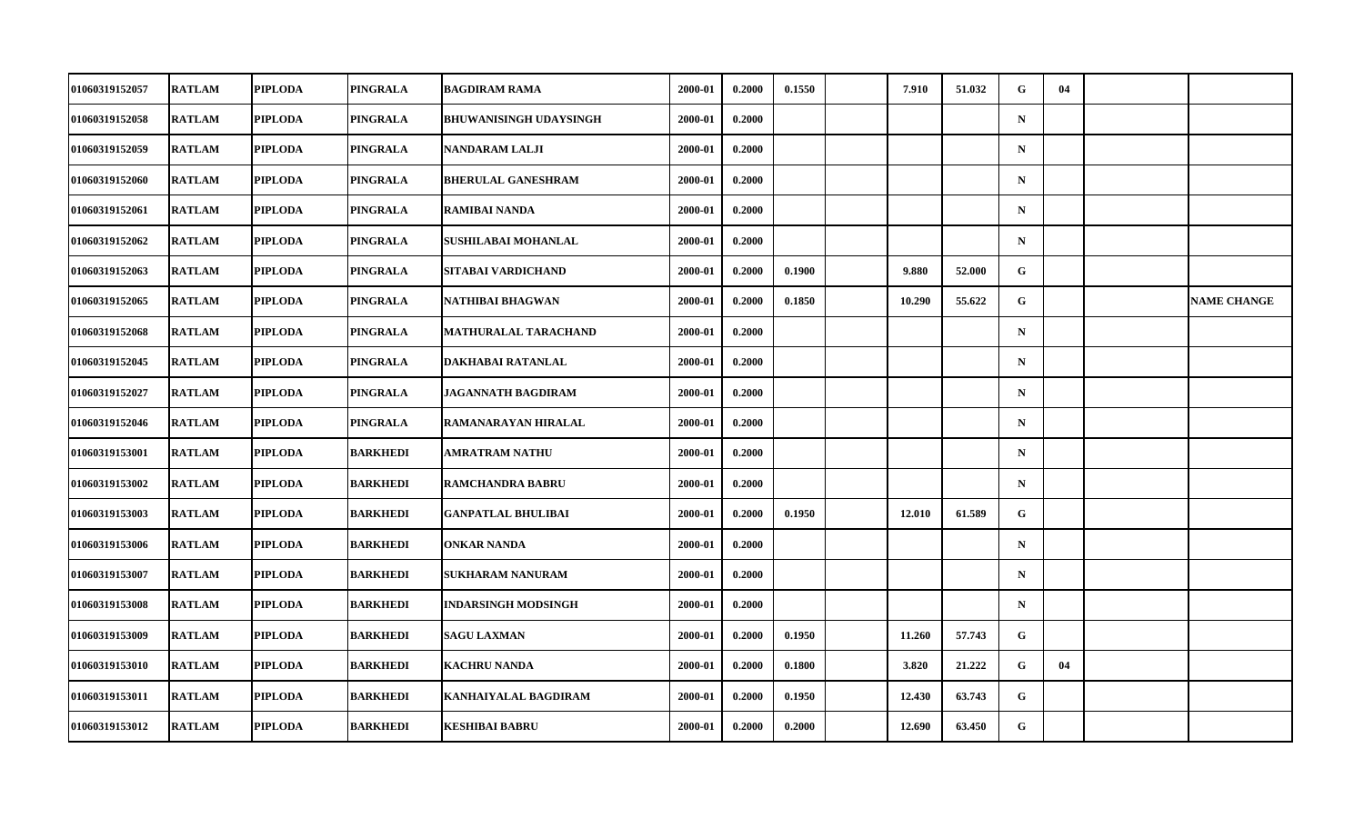| 01060319152057        | <b>RATLAM</b> | <b>PIPLODA</b> | PINGRALA        | <b>BAGDIRAM RAMA</b>          | 2000-01 | 0.2000 | 0.1550 | 7.910  | 51.032 | G            | 04 |                    |
|-----------------------|---------------|----------------|-----------------|-------------------------------|---------|--------|--------|--------|--------|--------------|----|--------------------|
| 01060319152058        | <b>RATLAM</b> | <b>PIPLODA</b> | PINGRALA        | <b>BHUWANISINGH UDAYSINGH</b> | 2000-01 | 0.2000 |        |        |        | $\mathbf N$  |    |                    |
| 01060319152059        | <b>RATLAM</b> | <b>PIPLODA</b> | PINGRALA        | <b>NANDARAM LALJI</b>         | 2000-01 | 0.2000 |        |        |        | $\mathbf N$  |    |                    |
| 01060319152060        | <b>RATLAM</b> | <b>PIPLODA</b> | PINGRALA        | <b>BHERULAL GANESHRAM</b>     | 2000-01 | 0.2000 |        |        |        | $\mathbf N$  |    |                    |
| 01060319152061        | <b>RATLAM</b> | <b>PIPLODA</b> | PINGRALA        | <b>RAMIBAI NANDA</b>          | 2000-01 | 0.2000 |        |        |        | $\mathbf N$  |    |                    |
| 01060319152062        | <b>RATLAM</b> | <b>PIPLODA</b> | PINGRALA        | SUSHILABAI MOHANLAL           | 2000-01 | 0.2000 |        |        |        | $\mathbf N$  |    |                    |
| 01060319152063        | <b>RATLAM</b> | <b>PIPLODA</b> | PINGRALA        | SITABAI VARDICHAND            | 2000-01 | 0.2000 | 0.1900 | 9.880  | 52.000 | G            |    |                    |
| <b>01060319152065</b> | <b>RATLAM</b> | <b>PIPLODA</b> | PINGRALA        | NATHIBAI BHAGWAN              | 2000-01 | 0.2000 | 0.1850 | 10.290 | 55.622 | G            |    | <b>NAME CHANGE</b> |
| 01060319152068        | <b>RATLAM</b> | <b>PIPLODA</b> | PINGRALA        | MATHURALAL TARACHAND          | 2000-01 | 0.2000 |        |        |        | $\mathbf N$  |    |                    |
| 01060319152045        | <b>RATLAM</b> | <b>PIPLODA</b> | <b>PINGRALA</b> | DAKHABAI RATANLAL             | 2000-01 | 0.2000 |        |        |        | $\mathbf N$  |    |                    |
| <b>01060319152027</b> | <b>RATLAM</b> | <b>PIPLODA</b> | PINGRALA        | JAGANNATH BAGDIRAM            | 2000-01 | 0.2000 |        |        |        | $\mathbf N$  |    |                    |
| 01060319152046        | <b>RATLAM</b> | <b>PIPLODA</b> | PINGRALA        | RAMANARAYAN HIRALAL           | 2000-01 | 0.2000 |        |        |        | $\mathbf N$  |    |                    |
| 01060319153001        | <b>RATLAM</b> | <b>PIPLODA</b> | <b>BARKHEDI</b> | AMRATRAM NATHU                | 2000-01 | 0.2000 |        |        |        | $\mathbf N$  |    |                    |
| 01060319153002        | <b>RATLAM</b> | <b>PIPLODA</b> | <b>BARKHEDI</b> | <b>RAMCHANDRA BABRU</b>       | 2000-01 | 0.2000 |        |        |        | $\mathbf N$  |    |                    |
| 01060319153003        | <b>RATLAM</b> | <b>PIPLODA</b> | <b>BARKHEDI</b> | <b>GANPATLAL BHULIBAI</b>     | 2000-01 | 0.2000 | 0.1950 | 12.010 | 61.589 | $\mathbf G$  |    |                    |
| 01060319153006        | <b>RATLAM</b> | <b>PIPLODA</b> | <b>BARKHEDI</b> | <b>ONKAR NANDA</b>            | 2000-01 | 0.2000 |        |        |        | $\mathbf N$  |    |                    |
| 01060319153007        | <b>RATLAM</b> | <b>PIPLODA</b> | <b>BARKHEDI</b> | SUKHARAM NANURAM              | 2000-01 | 0.2000 |        |        |        | $\mathbf N$  |    |                    |
| 01060319153008        | <b>RATLAM</b> | <b>PIPLODA</b> | <b>BARKHEDI</b> | <b>INDARSINGH MODSINGH</b>    | 2000-01 | 0.2000 |        |        |        | $\mathbf N$  |    |                    |
| 01060319153009        | <b>RATLAM</b> | <b>PIPLODA</b> | <b>BARKHEDI</b> | <b>SAGU LAXMAN</b>            | 2000-01 | 0.2000 | 0.1950 | 11.260 | 57.743 | G            |    |                    |
| 01060319153010        | <b>RATLAM</b> | <b>PIPLODA</b> | <b>BARKHEDI</b> | <b>KACHRU NANDA</b>           | 2000-01 | 0.2000 | 0.1800 | 3.820  | 21.222 | G            | 04 |                    |
| 01060319153011        | <b>RATLAM</b> | <b>PIPLODA</b> | <b>BARKHEDI</b> | KANHAIYALAL BAGDIRAM          | 2000-01 | 0.2000 | 0.1950 | 12.430 | 63.743 | $\mathbf{G}$ |    |                    |
| 01060319153012        | <b>RATLAM</b> | <b>PIPLODA</b> | <b>BARKHEDI</b> | <b>KESHIBAI BABRU</b>         | 2000-01 | 0.2000 | 0.2000 | 12.690 | 63.450 | ${\bf G}$    |    |                    |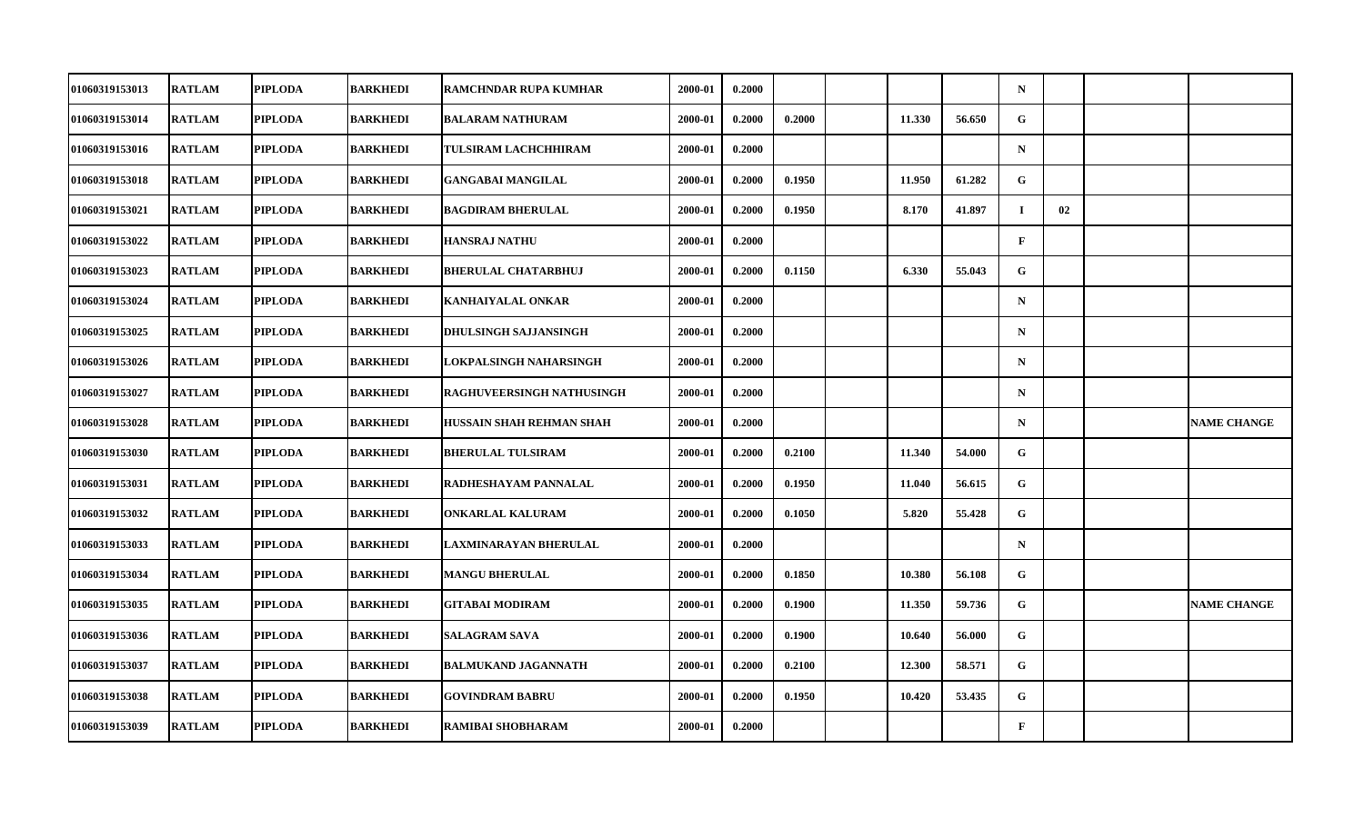| 01060319153013        | <b>RATLAM</b> | <b>PIPLODA</b> | <b>BARKHEDI</b> | <b>RAMCHNDAR RUPA KUMHAR</b> | 2000-01 | 0.2000 |        |        |        | $\mathbf N$  |    |                    |
|-----------------------|---------------|----------------|-----------------|------------------------------|---------|--------|--------|--------|--------|--------------|----|--------------------|
| 01060319153014        | <b>RATLAM</b> | <b>PIPLODA</b> | BARKHEDI        | <b>BALARAM NATHURAM</b>      | 2000-01 | 0.2000 | 0.2000 | 11.330 | 56.650 | G            |    |                    |
| 01060319153016        | <b>RATLAM</b> | <b>PIPLODA</b> | <b>BARKHEDI</b> | TULSIRAM LACHCHHIRAM         | 2000-01 | 0.2000 |        |        |        | $\mathbf N$  |    |                    |
| 01060319153018        | <b>RATLAM</b> | <b>PIPLODA</b> | <b>BARKHEDI</b> | <b>GANGABAI MANGILAL</b>     | 2000-01 | 0.2000 | 0.1950 | 11.950 | 61.282 | G            |    |                    |
| 01060319153021        | <b>RATLAM</b> | <b>PIPLODA</b> | BARKHEDI        | <b>BAGDIRAM BHERULAL</b>     | 2000-01 | 0.2000 | 0.1950 | 8.170  | 41.897 | $\bf{I}$     | 02 |                    |
| 01060319153022        | <b>RATLAM</b> | <b>PIPLODA</b> | <b>BARKHEDI</b> | <b>HANSRAJ NATHU</b>         | 2000-01 | 0.2000 |        |        |        | $\mathbf{F}$ |    |                    |
| 01060319153023        | <b>RATLAM</b> | <b>PIPLODA</b> | <b>BARKHEDI</b> | <b>BHERULAL CHATARBHUJ</b>   | 2000-01 | 0.2000 | 0.1150 | 6.330  | 55.043 | G.           |    |                    |
| 01060319153024        | <b>RATLAM</b> | <b>PIPLODA</b> | BARKHEDI        | KANHAIYALAL ONKAR            | 2000-01 | 0.2000 |        |        |        | $\mathbf N$  |    |                    |
| 01060319153025        | <b>RATLAM</b> | <b>PIPLODA</b> | <b>BARKHEDI</b> | DHULSINGH SAJJANSINGH        | 2000-01 | 0.2000 |        |        |        | $\mathbf N$  |    |                    |
| 01060319153026        | <b>RATLAM</b> | <b>PIPLODA</b> | <b>BARKHEDI</b> | LOKPALSINGH NAHARSINGH       | 2000-01 | 0.2000 |        |        |        | $\mathbf N$  |    |                    |
| 01060319153027        | <b>RATLAM</b> | <b>PIPLODA</b> | BARKHEDI        | RAGHUVEERSINGH NATHUSINGH    | 2000-01 | 0.2000 |        |        |        | $\mathbf N$  |    |                    |
| 01060319153028        | <b>RATLAM</b> | <b>PIPLODA</b> | <b>BARKHEDI</b> | HUSSAIN SHAH REHMAN SHAH     | 2000-01 | 0.2000 |        |        |        | $\mathbf N$  |    | <b>NAME CHANGE</b> |
| 01060319153030        | <b>RATLAM</b> | <b>PIPLODA</b> | <b>BARKHEDI</b> | <b>BHERULAL TULSIRAM</b>     | 2000-01 | 0.2000 | 0.2100 | 11.340 | 54.000 | G            |    |                    |
| 01060319153031        | <b>RATLAM</b> | <b>PIPLODA</b> | <b>BARKHEDI</b> | RADHESHAYAM PANNALAL         | 2000-01 | 0.2000 | 0.1950 | 11.040 | 56.615 | G            |    |                    |
| 01060319153032        | <b>RATLAM</b> | <b>PIPLODA</b> | <b>BARKHEDI</b> | <b>ONKARLAL KALURAM</b>      | 2000-01 | 0.2000 | 0.1050 | 5.820  | 55.428 | G            |    |                    |
| 01060319153033        | <b>RATLAM</b> | <b>PIPLODA</b> | <b>BARKHEDI</b> | LAXMINARAYAN BHERULAL        | 2000-01 | 0.2000 |        |        |        | $\mathbf N$  |    |                    |
| <b>01060319153034</b> | <b>RATLAM</b> | <b>PIPLODA</b> | <b>BARKHEDI</b> | <b>MANGU BHERULAL</b>        | 2000-01 | 0.2000 | 0.1850 | 10.380 | 56.108 | G            |    |                    |
| 01060319153035        | <b>RATLAM</b> | <b>PIPLODA</b> | <b>BARKHEDI</b> | <b>GITABAI MODIRAM</b>       | 2000-01 | 0.2000 | 0.1900 | 11.350 | 59.736 | G            |    | <b>NAME CHANGE</b> |
| 01060319153036        | <b>RATLAM</b> | <b>PIPLODA</b> | BARKHEDI        | <b>SALAGRAM SAVA</b>         | 2000-01 | 0.2000 | 0.1900 | 10.640 | 56.000 | G            |    |                    |
| 01060319153037        | <b>RATLAM</b> | <b>PIPLODA</b> | <b>BARKHEDI</b> | <b>BALMUKAND JAGANNATH</b>   | 2000-01 | 0.2000 | 0.2100 | 12.300 | 58.571 | G            |    |                    |
| 01060319153038        | <b>RATLAM</b> | <b>PIPLODA</b> | <b>BARKHEDI</b> | <b>GOVINDRAM BABRU</b>       | 2000-01 | 0.2000 | 0.1950 | 10.420 | 53.435 | $\mathbf{G}$ |    |                    |
| 01060319153039        | <b>RATLAM</b> | <b>PIPLODA</b> | <b>BARKHEDI</b> | RAMIBAI SHOBHARAM            | 2000-01 | 0.2000 |        |        |        | $\mathbf F$  |    |                    |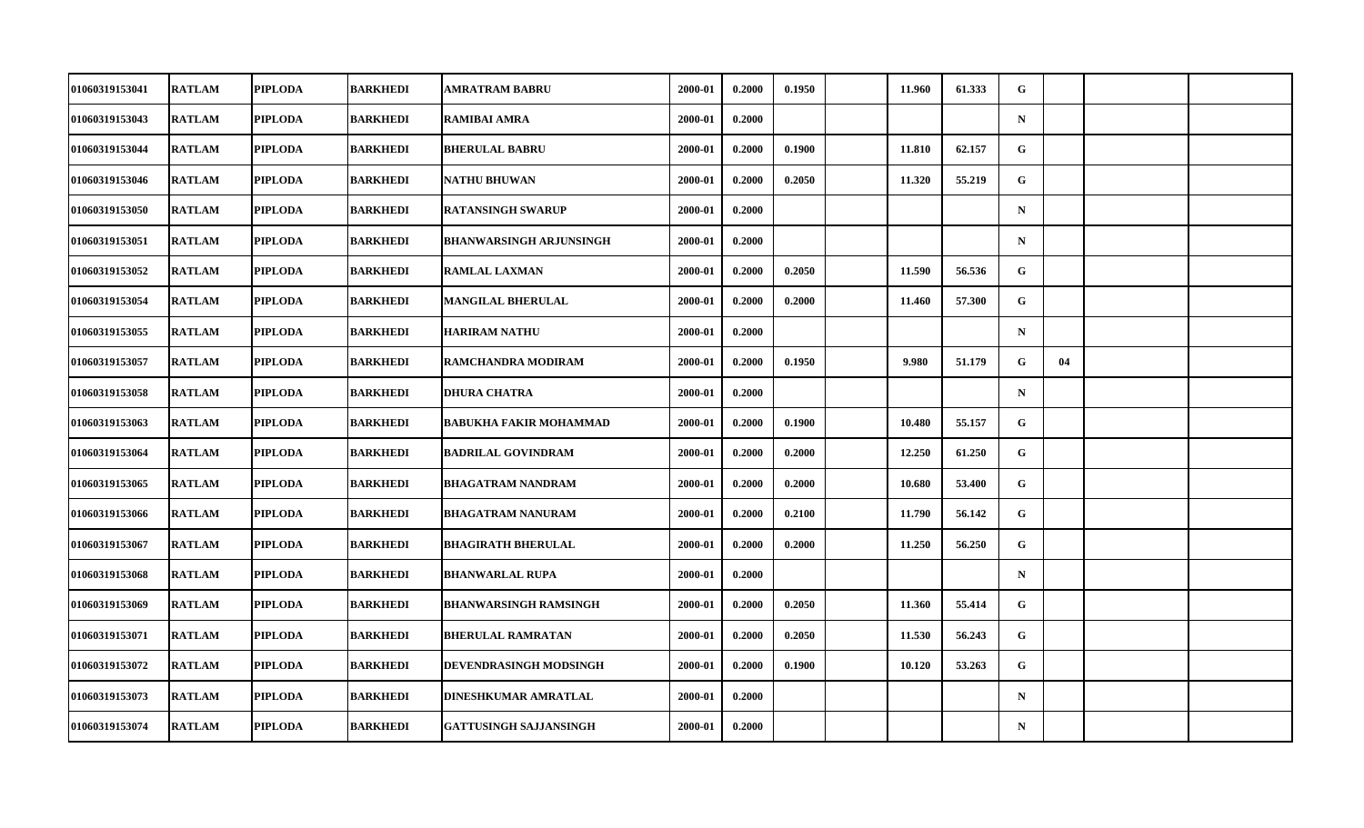| 01060319153041        | <b>RATLAM</b> | <b>PIPLODA</b> | <b>BARKHEDI</b> | AMRATRAM BABRU                 | 2000-01 | 0.2000 | 0.1950 | 11.960 | 61.333 | G            |    |  |
|-----------------------|---------------|----------------|-----------------|--------------------------------|---------|--------|--------|--------|--------|--------------|----|--|
| 01060319153043        | <b>RATLAM</b> | <b>PIPLODA</b> | BARKHEDI        | <b>RAMIBAI AMRA</b>            | 2000-01 | 0.2000 |        |        |        | ${\bf N}$    |    |  |
| 01060319153044        | <b>RATLAM</b> | <b>PIPLODA</b> | <b>BARKHEDI</b> | <b>BHERULAL BABRU</b>          | 2000-01 | 0.2000 | 0.1900 | 11.810 | 62.157 | $\mathbf{G}$ |    |  |
| 01060319153046        | <b>RATLAM</b> | <b>PIPLODA</b> | <b>BARKHEDI</b> | <b>NATHU BHUWAN</b>            | 2000-01 | 0.2000 | 0.2050 | 11.320 | 55.219 | G            |    |  |
| 01060319153050        | <b>RATLAM</b> | <b>PIPLODA</b> | BARKHEDI        | <b>RATANSINGH SWARUP</b>       | 2000-01 | 0.2000 |        |        |        | $\mathbf N$  |    |  |
| 01060319153051        | <b>RATLAM</b> | <b>PIPLODA</b> | <b>BARKHEDI</b> | <b>BHANWARSINGH ARJUNSINGH</b> | 2000-01 | 0.2000 |        |        |        | $\mathbf N$  |    |  |
| 01060319153052        | <b>RATLAM</b> | <b>PIPLODA</b> | <b>BARKHEDI</b> | <b>RAMLAL LAXMAN</b>           | 2000-01 | 0.2000 | 0.2050 | 11.590 | 56.536 | G.           |    |  |
| 01060319153054        | <b>RATLAM</b> | <b>PIPLODA</b> | BARKHEDI        | <b>MANGILAL BHERULAL</b>       | 2000-01 | 0.2000 | 0.2000 | 11.460 | 57.300 | G            |    |  |
| 01060319153055        | <b>RATLAM</b> | <b>PIPLODA</b> | <b>BARKHEDI</b> | <b>HARIRAM NATHU</b>           | 2000-01 | 0.2000 |        |        |        | $\mathbf N$  |    |  |
| 01060319153057        | <b>RATLAM</b> | <b>PIPLODA</b> | <b>BARKHEDI</b> | RAMCHANDRA MODIRAM             | 2000-01 | 0.2000 | 0.1950 | 9.980  | 51.179 | G.           | 04 |  |
| 01060319153058        | <b>RATLAM</b> | <b>PIPLODA</b> | BARKHEDI        | <b>DHURA CHATRA</b>            | 2000-01 | 0.2000 |        |        |        | $\mathbf N$  |    |  |
| 01060319153063        | <b>RATLAM</b> | <b>PIPLODA</b> | <b>BARKHEDI</b> | <b>BABUKHA FAKIR MOHAMMAD</b>  | 2000-01 | 0.2000 | 0.1900 | 10.480 | 55.157 | G            |    |  |
| 01060319153064        | <b>RATLAM</b> | <b>PIPLODA</b> | <b>BARKHEDI</b> | <b>BADRILAL GOVINDRAM</b>      | 2000-01 | 0.2000 | 0.2000 | 12.250 | 61.250 | G            |    |  |
| 01060319153065        | <b>RATLAM</b> | <b>PIPLODA</b> | <b>BARKHEDI</b> | <b>BHAGATRAM NANDRAM</b>       | 2000-01 | 0.2000 | 0.2000 | 10.680 | 53.400 | G            |    |  |
| 01060319153066        | <b>RATLAM</b> | <b>PIPLODA</b> | <b>BARKHEDI</b> | <b>BHAGATRAM NANURAM</b>       | 2000-01 | 0.2000 | 0.2100 | 11.790 | 56.142 | G            |    |  |
| 01060319153067        | <b>RATLAM</b> | <b>PIPLODA</b> | <b>BARKHEDI</b> | <b>BHAGIRATH BHERULAL</b>      | 2000-01 | 0.2000 | 0.2000 | 11.250 | 56.250 | G            |    |  |
| <b>01060319153068</b> | <b>RATLAM</b> | <b>PIPLODA</b> | <b>BARKHEDI</b> | <b>BHANWARLAL RUPA</b>         | 2000-01 | 0.2000 |        |        |        | $\mathbf N$  |    |  |
| 01060319153069        | <b>RATLAM</b> | <b>PIPLODA</b> | <b>BARKHEDI</b> | <b>BHANWARSINGH RAMSINGH</b>   | 2000-01 | 0.2000 | 0.2050 | 11.360 | 55.414 | $\mathbf G$  |    |  |
| 01060319153071        | <b>RATLAM</b> | <b>PIPLODA</b> | BARKHEDI        | <b>BHERULAL RAMRATAN</b>       | 2000-01 | 0.2000 | 0.2050 | 11.530 | 56.243 | G            |    |  |
| 01060319153072        | <b>RATLAM</b> | <b>PIPLODA</b> | <b>BARKHEDI</b> | DEVENDRASINGH MODSINGH         | 2000-01 | 0.2000 | 0.1900 | 10.120 | 53.263 | G            |    |  |
| 01060319153073        | <b>RATLAM</b> | <b>PIPLODA</b> | <b>BARKHEDI</b> | DINESHKUMAR AMRATLAL           | 2000-01 | 0.2000 |        |        |        | $\mathbf N$  |    |  |
| 01060319153074        | <b>RATLAM</b> | <b>PIPLODA</b> | <b>BARKHEDI</b> | <b>GATTUSINGH SAJJANSINGH</b>  | 2000-01 | 0.2000 |        |        |        | $\mathbf N$  |    |  |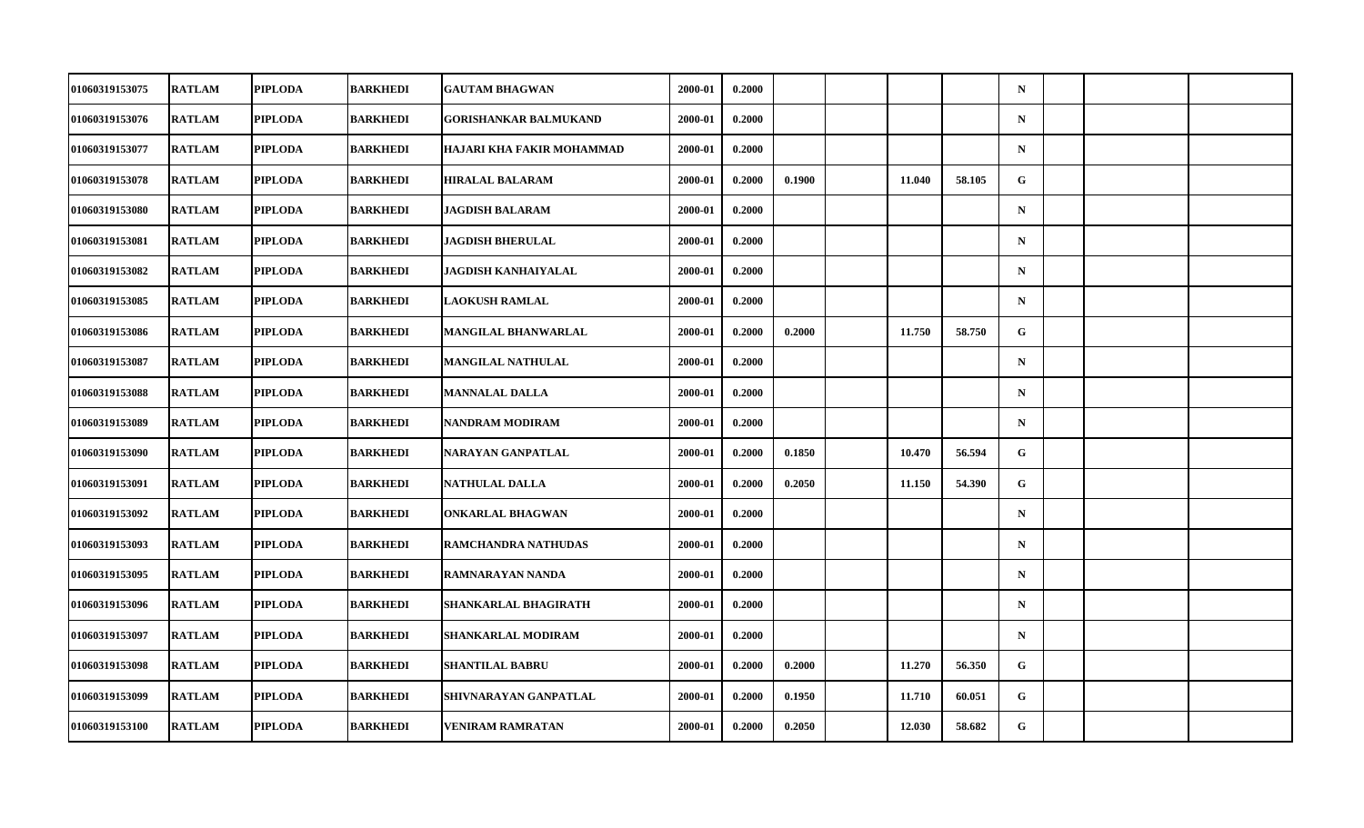| 01060319153075 | <b>RATLAM</b> | <b>PIPLODA</b> | <b>BARKHEDI</b> | <b>GAUTAM BHAGWAN</b>        | 2000-01 | 0.2000 |        |        |        | $\mathbf N$  |  |  |
|----------------|---------------|----------------|-----------------|------------------------------|---------|--------|--------|--------|--------|--------------|--|--|
| 01060319153076 | <b>RATLAM</b> | <b>PIPLODA</b> | <b>BARKHEDI</b> | <b>GORISHANKAR BALMUKAND</b> | 2000-01 | 0.2000 |        |        |        | $\mathbf N$  |  |  |
| 01060319153077 | <b>RATLAM</b> | <b>PIPLODA</b> | <b>BARKHEDI</b> | HAJARI KHA FAKIR MOHAMMAD    | 2000-01 | 0.2000 |        |        |        | $\mathbf N$  |  |  |
| 01060319153078 | <b>RATLAM</b> | <b>PIPLODA</b> | <b>BARKHEDI</b> | <b>HIRALAL BALARAM</b>       | 2000-01 | 0.2000 | 0.1900 | 11.040 | 58.105 | G            |  |  |
| 01060319153080 | <b>RATLAM</b> | <b>PIPLODA</b> | <b>BARKHEDI</b> | JAGDISH BALARAM              | 2000-01 | 0.2000 |        |        |        | $\mathbf N$  |  |  |
| 01060319153081 | <b>RATLAM</b> | <b>PIPLODA</b> | <b>BARKHEDI</b> | <b>JAGDISH BHERULAL</b>      | 2000-01 | 0.2000 |        |        |        | $\mathbf N$  |  |  |
| 01060319153082 | <b>RATLAM</b> | <b>PIPLODA</b> | <b>BARKHEDI</b> | <b>JAGDISH KANHAIYALAL</b>   | 2000-01 | 0.2000 |        |        |        | ${\bf N}$    |  |  |
| 01060319153085 | <b>RATLAM</b> | <b>PIPLODA</b> | <b>BARKHEDI</b> | <b>LAOKUSH RAMLAL</b>        | 2000-01 | 0.2000 |        |        |        | $\mathbf N$  |  |  |
| 01060319153086 | <b>RATLAM</b> | <b>PIPLODA</b> | <b>BARKHEDI</b> | <b>MANGILAL BHANWARLAL</b>   | 2000-01 | 0.2000 | 0.2000 | 11.750 | 58.750 | G            |  |  |
| 01060319153087 | <b>RATLAM</b> | <b>PIPLODA</b> | <b>BARKHEDI</b> | MANGILAL NATHULAL            | 2000-01 | 0.2000 |        |        |        | $\mathbf N$  |  |  |
| 01060319153088 | <b>RATLAM</b> | <b>PIPLODA</b> | BARKHEDI        | <b>MANNALAL DALLA</b>        | 2000-01 | 0.2000 |        |        |        | $\mathbf N$  |  |  |
| 01060319153089 | <b>RATLAM</b> | <b>PIPLODA</b> | <b>BARKHEDI</b> | <b>NANDRAM MODIRAM</b>       | 2000-01 | 0.2000 |        |        |        | $\mathbf N$  |  |  |
| 01060319153090 | <b>RATLAM</b> | <b>PIPLODA</b> | <b>BARKHEDI</b> | NARAYAN GANPATLAL            | 2000-01 | 0.2000 | 0.1850 | 10.470 | 56.594 | G            |  |  |
| 01060319153091 | <b>RATLAM</b> | <b>PIPLODA</b> | BARKHEDI        | <b>NATHULAL DALLA</b>        | 2000-01 | 0.2000 | 0.2050 | 11.150 | 54.390 | G            |  |  |
| 01060319153092 | <b>RATLAM</b> | <b>PIPLODA</b> | BARKHEDI        | <b>ONKARLAL BHAGWAN</b>      | 2000-01 | 0.2000 |        |        |        | $\mathbf N$  |  |  |
| 01060319153093 | <b>RATLAM</b> | <b>PIPLODA</b> | <b>BARKHEDI</b> | RAMCHANDRA NATHUDAS          | 2000-01 | 0.2000 |        |        |        | $\mathbf N$  |  |  |
| 01060319153095 | <b>RATLAM</b> | <b>PIPLODA</b> | <b>BARKHEDI</b> | RAMNARAYAN NANDA             | 2000-01 | 0.2000 |        |        |        | $\mathbf N$  |  |  |
| 01060319153096 | <b>RATLAM</b> | <b>PIPLODA</b> | <b>BARKHEDI</b> | SHANKARLAL BHAGIRATH         | 2000-01 | 0.2000 |        |        |        | $\mathbf N$  |  |  |
| 01060319153097 | <b>RATLAM</b> | <b>PIPLODA</b> | BARKHEDI        | SHANKARLAL MODIRAM           | 2000-01 | 0.2000 |        |        |        | $\mathbf N$  |  |  |
| 01060319153098 | <b>RATLAM</b> | <b>PIPLODA</b> | <b>BARKHEDI</b> | <b>SHANTILAL BABRU</b>       | 2000-01 | 0.2000 | 0.2000 | 11.270 | 56.350 | G            |  |  |
| 01060319153099 | <b>RATLAM</b> | <b>PIPLODA</b> | <b>BARKHEDI</b> | SHIVNARAYAN GANPATLAL        | 2000-01 | 0.2000 | 0.1950 | 11.710 | 60.051 | $\mathbf{G}$ |  |  |
| 01060319153100 | <b>RATLAM</b> | <b>PIPLODA</b> | <b>BARKHEDI</b> | <b>VENIRAM RAMRATAN</b>      | 2000-01 | 0.2000 | 0.2050 | 12.030 | 58.682 | G            |  |  |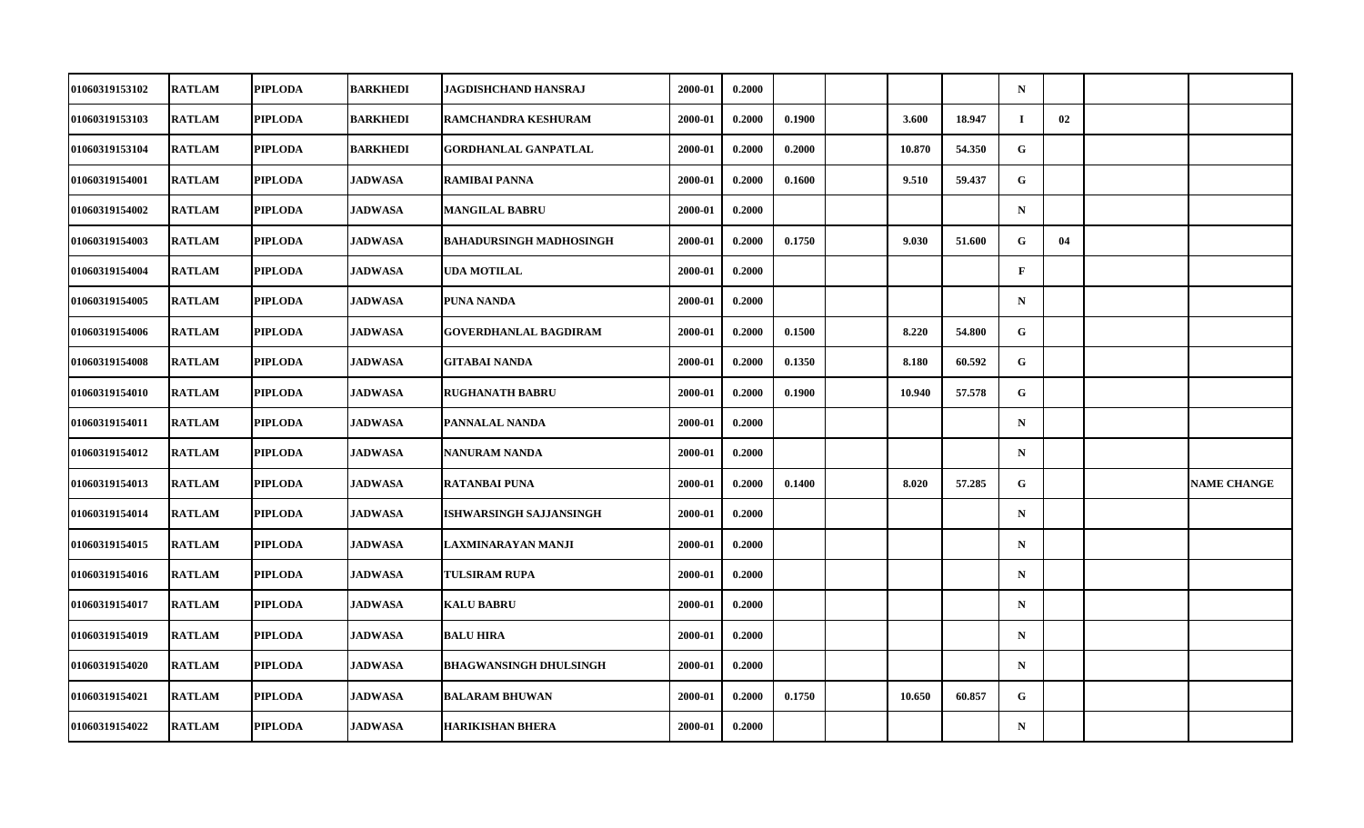| 01060319153102        | <b>RATLAM</b> | <b>PIPLODA</b> | <b>BARKHEDI</b> | JAGDISHCHAND HANSRAJ           | 2000-01 | 0.2000 |        |        |        | $\mathbf N$  |    |                    |
|-----------------------|---------------|----------------|-----------------|--------------------------------|---------|--------|--------|--------|--------|--------------|----|--------------------|
| 01060319153103        | <b>RATLAM</b> | <b>PIPLODA</b> | BARKHEDI        | RAMCHANDRA KESHURAM            | 2000-01 | 0.2000 | 0.1900 | 3.600  | 18.947 | $\bf{I}$     | 02 |                    |
| 01060319153104        | <b>RATLAM</b> | <b>PIPLODA</b> | <b>BARKHEDI</b> | <b>GORDHANLAL GANPATLAL</b>    | 2000-01 | 0.2000 | 0.2000 | 10.870 | 54.350 | G            |    |                    |
| 01060319154001        | <b>RATLAM</b> | <b>PIPLODA</b> | <b>JADWASA</b>  | <b>RAMIBAI PANNA</b>           | 2000-01 | 0.2000 | 0.1600 | 9.510  | 59.437 | G            |    |                    |
| 01060319154002        | <b>RATLAM</b> | <b>PIPLODA</b> | <b>JADWASA</b>  | <b>MANGILAL BABRU</b>          | 2000-01 | 0.2000 |        |        |        | $\mathbf N$  |    |                    |
| 01060319154003        | <b>RATLAM</b> | <b>PIPLODA</b> | <b>JADWASA</b>  | <b>BAHADURSINGH MADHOSINGH</b> | 2000-01 | 0.2000 | 0.1750 | 9.030  | 51.600 | G            | 04 |                    |
| 01060319154004        | <b>RATLAM</b> | <b>PIPLODA</b> | <b>JADWASA</b>  | <b>UDA MOTILAL</b>             | 2000-01 | 0.2000 |        |        |        | $\mathbf{F}$ |    |                    |
| 01060319154005        | <b>RATLAM</b> | <b>PIPLODA</b> | <b>JADWASA</b>  | <b>PUNA NANDA</b>              | 2000-01 | 0.2000 |        |        |        | $\mathbf N$  |    |                    |
| 01060319154006        | <b>RATLAM</b> | <b>PIPLODA</b> | <b>JADWASA</b>  | <b>GOVERDHANLAL BAGDIRAM</b>   | 2000-01 | 0.2000 | 0.1500 | 8.220  | 54.800 | G            |    |                    |
| 01060319154008        | <b>RATLAM</b> | <b>PIPLODA</b> | <b>JADWASA</b>  | <b>GITABAI NANDA</b>           | 2000-01 | 0.2000 | 0.1350 | 8.180  | 60.592 | $\mathbf{G}$ |    |                    |
| 01060319154010        | <b>RATLAM</b> | <b>PIPLODA</b> | <b>JADWASA</b>  | <b>RUGHANATH BABRU</b>         | 2000-01 | 0.2000 | 0.1900 | 10.940 | 57.578 | G            |    |                    |
| 01060319154011        | <b>RATLAM</b> | <b>PIPLODA</b> | <b>JADWASA</b>  | PANNALAL NANDA                 | 2000-01 | 0.2000 |        |        |        | $\mathbf N$  |    |                    |
| 01060319154012        | <b>RATLAM</b> | <b>PIPLODA</b> | <b>JADWASA</b>  | <b>NANURAM NANDA</b>           | 2000-01 | 0.2000 |        |        |        | ${\bf N}$    |    |                    |
| 01060319154013        | <b>RATLAM</b> | <b>PIPLODA</b> | <b>JADWASA</b>  | <b>RATANBAI PUNA</b>           | 2000-01 | 0.2000 | 0.1400 | 8.020  | 57.285 | G            |    | <b>NAME CHANGE</b> |
| 01060319154014        | <b>RATLAM</b> | <b>PIPLODA</b> | <b>JADWASA</b>  | <b>ISHWARSINGH SAJJANSINGH</b> | 2000-01 | 0.2000 |        |        |        | $\mathbf N$  |    |                    |
| 01060319154015        | <b>RATLAM</b> | <b>PIPLODA</b> | <b>JADWASA</b>  | LAXMINARAYAN MANJI             | 2000-01 | 0.2000 |        |        |        | $\mathbf N$  |    |                    |
| <b>01060319154016</b> | <b>RATLAM</b> | <b>PIPLODA</b> | <b>JADWASA</b>  | TULSIRAM RUPA                  | 2000-01 | 0.2000 |        |        |        | $\mathbf N$  |    |                    |
| 01060319154017        | <b>RATLAM</b> | <b>PIPLODA</b> | <b>JADWASA</b>  | <b>KALU BABRU</b>              | 2000-01 | 0.2000 |        |        |        | $\mathbf N$  |    |                    |
| 01060319154019        | <b>RATLAM</b> | <b>PIPLODA</b> | <b>JADWASA</b>  | <b>BALU HIRA</b>               | 2000-01 | 0.2000 |        |        |        | $\mathbf N$  |    |                    |
| 01060319154020        | <b>RATLAM</b> | <b>PIPLODA</b> | <b>JADWASA</b>  | <b>BHAGWANSINGH DHULSINGH</b>  | 2000-01 | 0.2000 |        |        |        | $\mathbf N$  |    |                    |
| 01060319154021        | <b>RATLAM</b> | <b>PIPLODA</b> | <b>JADWASA</b>  | <b>BALARAM BHUWAN</b>          | 2000-01 | 0.2000 | 0.1750 | 10.650 | 60.857 | G            |    |                    |
| 01060319154022        | <b>RATLAM</b> | <b>PIPLODA</b> | <b>JADWASA</b>  | <b>HARIKISHAN BHERA</b>        | 2000-01 | 0.2000 |        |        |        | ${\bf N}$    |    |                    |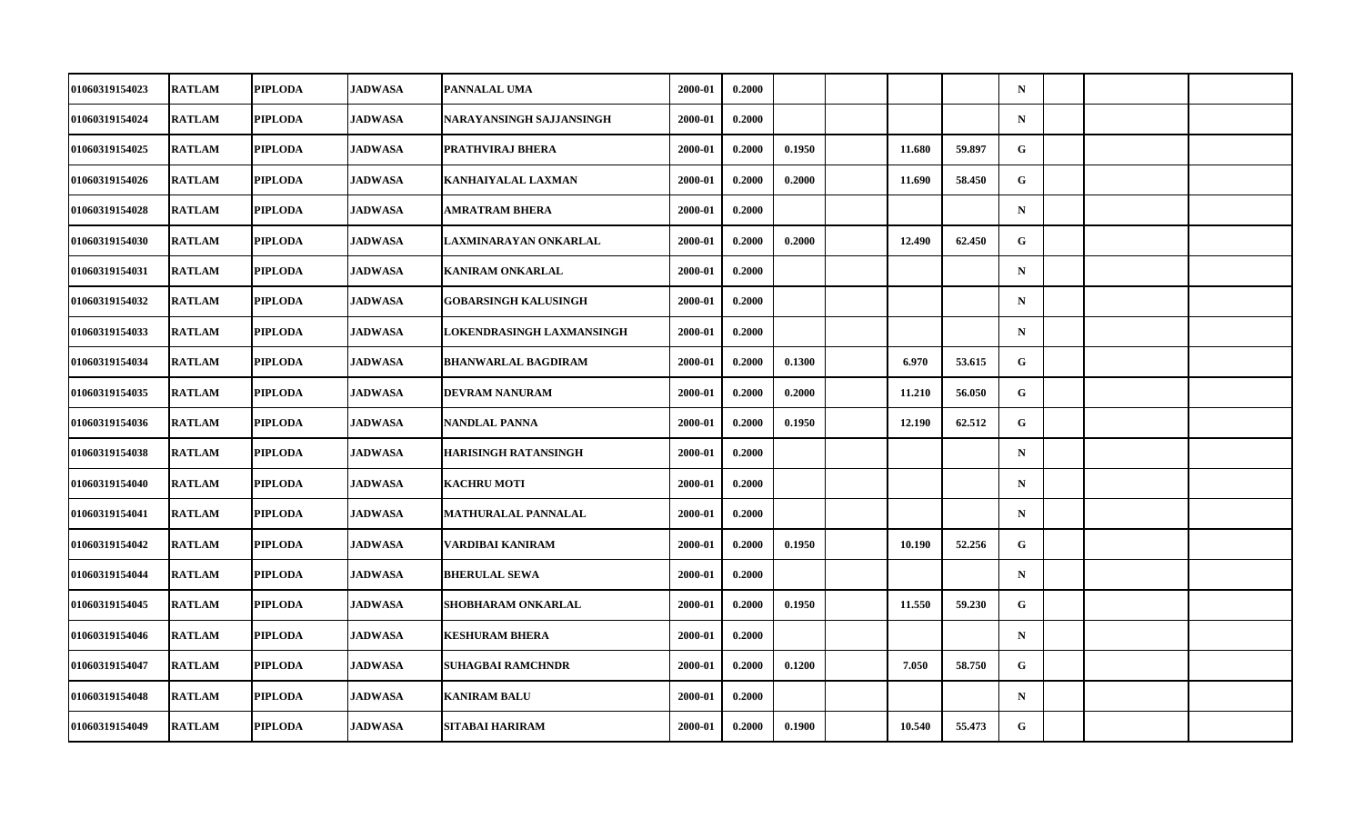| 01060319154023        | <b>RATLAM</b> | <b>PIPLODA</b> | <b>JADWASA</b> | PANNALAL UMA                | 2000-01 | 0.2000 |        |        |        | $\mathbf N$  |  |  |
|-----------------------|---------------|----------------|----------------|-----------------------------|---------|--------|--------|--------|--------|--------------|--|--|
| 01060319154024        | <b>RATLAM</b> | <b>PIPLODA</b> | JADWASA        | NARAYANSINGH SAJJANSINGH    | 2000-01 | 0.2000 |        |        |        | ${\bf N}$    |  |  |
| 01060319154025        | <b>RATLAM</b> | <b>PIPLODA</b> | <b>JADWASA</b> | PRATHVIRAJ BHERA            | 2000-01 | 0.2000 | 0.1950 | 11.680 | 59.897 | G            |  |  |
| 01060319154026        | <b>RATLAM</b> | <b>PIPLODA</b> | <b>JADWASA</b> | KANHAIYALAL LAXMAN          | 2000-01 | 0.2000 | 0.2000 | 11.690 | 58.450 | G            |  |  |
| 01060319154028        | <b>RATLAM</b> | <b>PIPLODA</b> | <b>JADWASA</b> | AMRATRAM BHERA              | 2000-01 | 0.2000 |        |        |        | $\mathbf N$  |  |  |
| 01060319154030        | <b>RATLAM</b> | <b>PIPLODA</b> | <b>JADWASA</b> | LAXMINARAYAN ONKARLAL       | 2000-01 | 0.2000 | 0.2000 | 12.490 | 62.450 | G            |  |  |
| 01060319154031        | <b>RATLAM</b> | <b>PIPLODA</b> | <b>JADWASA</b> | <b>KANIRAM ONKARLAL</b>     | 2000-01 | 0.2000 |        |        |        | $\mathbf N$  |  |  |
| 01060319154032        | <b>RATLAM</b> | <b>PIPLODA</b> | <b>JADWASA</b> | <b>GOBARSINGH KALUSINGH</b> | 2000-01 | 0.2000 |        |        |        | $\mathbf N$  |  |  |
| 01060319154033        | <b>RATLAM</b> | <b>PIPLODA</b> | <b>JADWASA</b> | LOKENDRASINGH LAXMANSINGH   | 2000-01 | 0.2000 |        |        |        | $\mathbf N$  |  |  |
| 01060319154034        | <b>RATLAM</b> | <b>PIPLODA</b> | <b>JADWASA</b> | <b>BHANWARLAL BAGDIRAM</b>  | 2000-01 | 0.2000 | 0.1300 | 6.970  | 53.615 | $\mathbf{G}$ |  |  |
| 01060319154035        | <b>RATLAM</b> | <b>PIPLODA</b> | <b>JADWASA</b> | DEVRAM NANURAM              | 2000-01 | 0.2000 | 0.2000 | 11.210 | 56.050 | G            |  |  |
| 01060319154036        | <b>RATLAM</b> | <b>PIPLODA</b> | <b>JADWASA</b> | NANDLAL PANNA               | 2000-01 | 0.2000 | 0.1950 | 12.190 | 62.512 | G            |  |  |
| 01060319154038        | <b>RATLAM</b> | <b>PIPLODA</b> | <b>JADWASA</b> | <b>HARISINGH RATANSINGH</b> | 2000-01 | 0.2000 |        |        |        | ${\bf N}$    |  |  |
| 01060319154040        | <b>RATLAM</b> | <b>PIPLODA</b> | <b>JADWASA</b> | <b>KACHRU MOTI</b>          | 2000-01 | 0.2000 |        |        |        | $\mathbf N$  |  |  |
| 01060319154041        | <b>RATLAM</b> | <b>PIPLODA</b> | <b>JADWASA</b> | <b>MATHURALAL PANNALAL</b>  | 2000-01 | 0.2000 |        |        |        | $\mathbf N$  |  |  |
| 01060319154042        | <b>RATLAM</b> | <b>PIPLODA</b> | <b>JADWASA</b> | VARDIBAI KANIRAM            | 2000-01 | 0.2000 | 0.1950 | 10.190 | 52.256 | G            |  |  |
| <b>01060319154044</b> | <b>RATLAM</b> | <b>PIPLODA</b> | <b>JADWASA</b> | <b>BHERULAL SEWA</b>        | 2000-01 | 0.2000 |        |        |        | $\mathbf N$  |  |  |
| 01060319154045        | <b>RATLAM</b> | <b>PIPLODA</b> | <b>JADWASA</b> | SHOBHARAM ONKARLAL          | 2000-01 | 0.2000 | 0.1950 | 11.550 | 59.230 | $\mathbf G$  |  |  |
| 01060319154046        | <b>RATLAM</b> | <b>PIPLODA</b> | <b>JADWASA</b> | <b>KESHURAM BHERA</b>       | 2000-01 | 0.2000 |        |        |        | $\mathbf N$  |  |  |
| 01060319154047        | <b>RATLAM</b> | <b>PIPLODA</b> | <b>JADWASA</b> | <b>SUHAGBAI RAMCHNDR</b>    | 2000-01 | 0.2000 | 0.1200 | 7.050  | 58.750 | G            |  |  |
| 01060319154048        | <b>RATLAM</b> | <b>PIPLODA</b> | <b>JADWASA</b> | <b>KANIRAM BALU</b>         | 2000-01 | 0.2000 |        |        |        | $\mathbf N$  |  |  |
| 01060319154049        | <b>RATLAM</b> | <b>PIPLODA</b> | <b>JADWASA</b> | SITABAI HARIRAM             | 2000-01 | 0.2000 | 0.1900 | 10.540 | 55.473 | G            |  |  |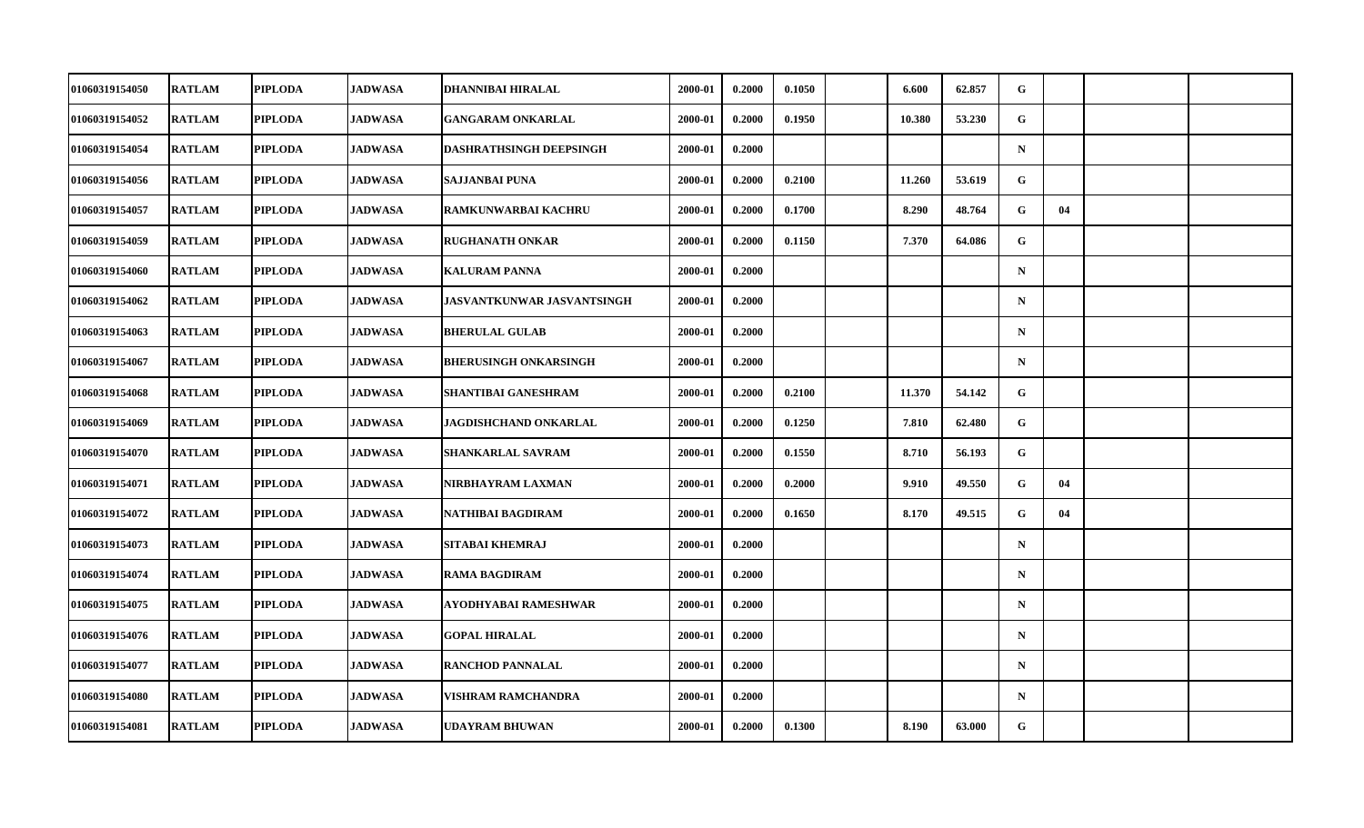| 01060319154050        | <b>RATLAM</b> | <b>PIPLODA</b> | <b>JADWASA</b> | DHANNIBAI HIRALAL              | 2000-01 | 0.2000 | 0.1050 | 6.600  | 62.857 | G           |    |  |
|-----------------------|---------------|----------------|----------------|--------------------------------|---------|--------|--------|--------|--------|-------------|----|--|
| 01060319154052        | <b>RATLAM</b> | <b>PIPLODA</b> | JADWASA        | <b>GANGARAM ONKARLAL</b>       | 2000-01 | 0.2000 | 0.1950 | 10.380 | 53.230 | G           |    |  |
| 01060319154054        | <b>RATLAM</b> | <b>PIPLODA</b> | <b>JADWASA</b> | <b>DASHRATHSINGH DEEPSINGH</b> | 2000-01 | 0.2000 |        |        |        | $\mathbf N$ |    |  |
| 01060319154056        | <b>RATLAM</b> | <b>PIPLODA</b> | <b>JADWASA</b> | <b>SAJJANBAI PUNA</b>          | 2000-01 | 0.2000 | 0.2100 | 11.260 | 53.619 | G           |    |  |
| 01060319154057        | <b>RATLAM</b> | <b>PIPLODA</b> | <b>JADWASA</b> | <b>RAMKUNWARBAI KACHRU</b>     | 2000-01 | 0.2000 | 0.1700 | 8.290  | 48.764 | G           | 04 |  |
| 01060319154059        | <b>RATLAM</b> | <b>PIPLODA</b> | <b>JADWASA</b> | <b>RUGHANATH ONKAR</b>         | 2000-01 | 0.2000 | 0.1150 | 7.370  | 64.086 | G           |    |  |
| 01060319154060        | <b>RATLAM</b> | <b>PIPLODA</b> | <b>JADWASA</b> | <b>KALURAM PANNA</b>           | 2000-01 | 0.2000 |        |        |        | $\mathbf N$ |    |  |
| 01060319154062        | <b>RATLAM</b> | <b>PIPLODA</b> | <b>JADWASA</b> | JASVANTKUNWAR JASVANTSINGH     | 2000-01 | 0.2000 |        |        |        | $\mathbf N$ |    |  |
| 01060319154063        | <b>RATLAM</b> | <b>PIPLODA</b> | <b>JADWASA</b> | <b>BHERULAL GULAB</b>          | 2000-01 | 0.2000 |        |        |        | $\mathbf N$ |    |  |
| 01060319154067        | <b>RATLAM</b> | <b>PIPLODA</b> | <b>JADWASA</b> | <b>BHERUSINGH ONKARSINGH</b>   | 2000-01 | 0.2000 |        |        |        | $\mathbf N$ |    |  |
| 01060319154068        | <b>RATLAM</b> | <b>PIPLODA</b> | <b>JADWASA</b> | <b>SHANTIBAI GANESHRAM</b>     | 2000-01 | 0.2000 | 0.2100 | 11.370 | 54.142 | G           |    |  |
| 01060319154069        | <b>RATLAM</b> | <b>PIPLODA</b> | <b>JADWASA</b> | JAGDISHCHAND ONKARLAL          | 2000-01 | 0.2000 | 0.1250 | 7.810  | 62.480 | G           |    |  |
| 01060319154070        | <b>RATLAM</b> | <b>PIPLODA</b> | <b>JADWASA</b> | <b>SHANKARLAL SAVRAM</b>       | 2000-01 | 0.2000 | 0.1550 | 8.710  | 56.193 | G           |    |  |
| 01060319154071        | <b>RATLAM</b> | <b>PIPLODA</b> | <b>JADWASA</b> | NIRBHAYRAM LAXMAN              | 2000-01 | 0.2000 | 0.2000 | 9.910  | 49.550 | G           | 04 |  |
| 01060319154072        | <b>RATLAM</b> | <b>PIPLODA</b> | <b>JADWASA</b> | NATHIBAI BAGDIRAM              | 2000-01 | 0.2000 | 0.1650 | 8.170  | 49.515 | G           | 04 |  |
| 01060319154073        | <b>RATLAM</b> | <b>PIPLODA</b> | <b>JADWASA</b> | SITABAI KHEMRAJ                | 2000-01 | 0.2000 |        |        |        | $\mathbf N$ |    |  |
| <b>01060319154074</b> | <b>RATLAM</b> | <b>PIPLODA</b> | <b>JADWASA</b> | <b>RAMA BAGDIRAM</b>           | 2000-01 | 0.2000 |        |        |        | $\mathbf N$ |    |  |
| 01060319154075        | <b>RATLAM</b> | <b>PIPLODA</b> | <b>JADWASA</b> | AYODHYABAI RAMESHWAR           | 2000-01 | 0.2000 |        |        |        | $\mathbf N$ |    |  |
| 01060319154076        | <b>RATLAM</b> | <b>PIPLODA</b> | <b>JADWASA</b> | <b>GOPAL HIRALAL</b>           | 2000-01 | 0.2000 |        |        |        | $\mathbf N$ |    |  |
| 01060319154077        | <b>RATLAM</b> | <b>PIPLODA</b> | <b>JADWASA</b> | <b>RANCHOD PANNALAL</b>        | 2000-01 | 0.2000 |        |        |        | $\mathbf N$ |    |  |
| 01060319154080        | <b>RATLAM</b> | <b>PIPLODA</b> | <b>JADWASA</b> | <b>VISHRAM RAMCHANDRA</b>      | 2000-01 | 0.2000 |        |        |        | $\mathbf N$ |    |  |
| 01060319154081        | <b>RATLAM</b> | <b>PIPLODA</b> | <b>JADWASA</b> | <b>UDAYRAM BHUWAN</b>          | 2000-01 | 0.2000 | 0.1300 | 8.190  | 63.000 | G           |    |  |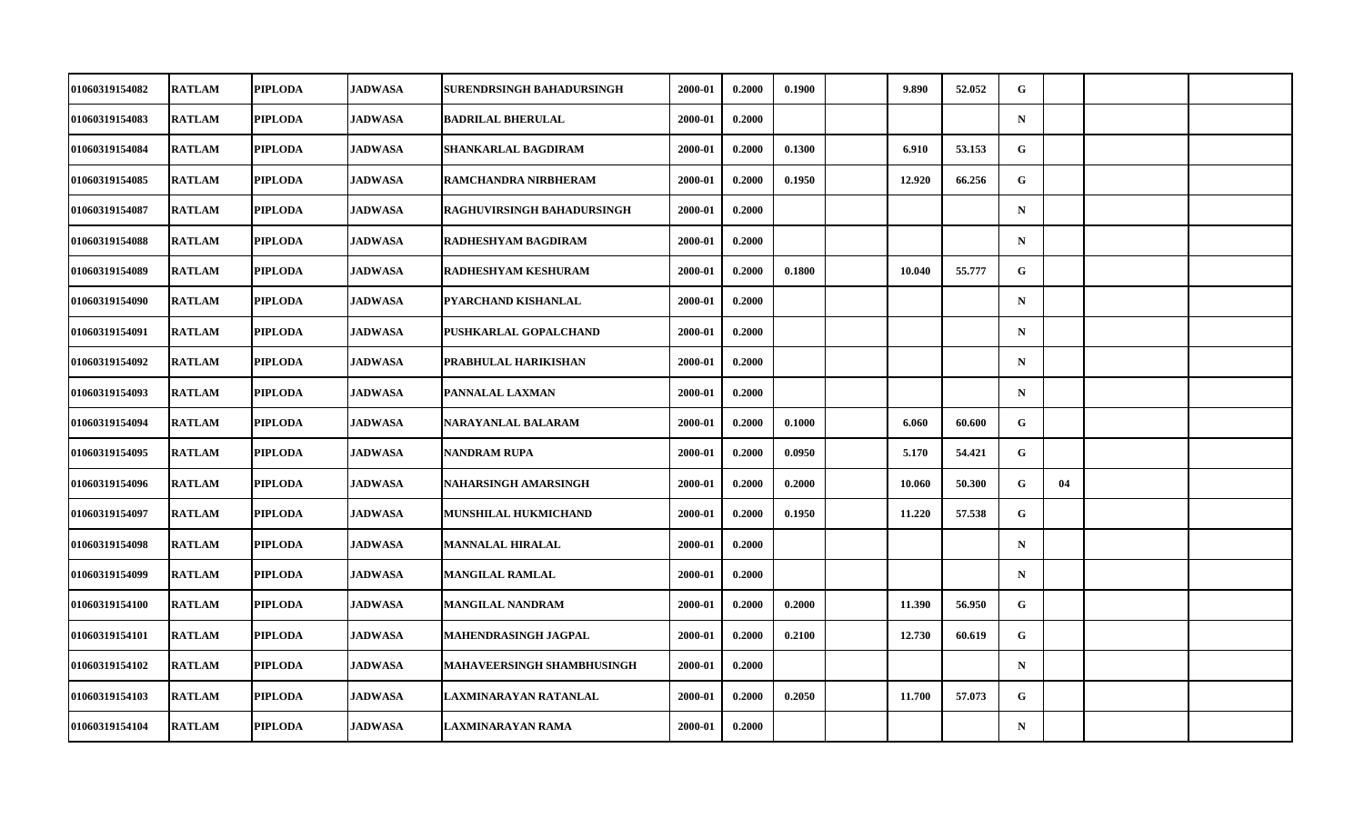| 01060319154082        | <b>RATLAM</b> | <b>PIPLODA</b> | <b>JADWASA</b> | SURENDRSINGH BAHADURSINGH         | 2000-01 | 0.2000 | 0.1900 | 9.890  | 52.052 | G            |    |  |
|-----------------------|---------------|----------------|----------------|-----------------------------------|---------|--------|--------|--------|--------|--------------|----|--|
| 01060319154083        | <b>RATLAM</b> | <b>PIPLODA</b> | JADWASA        | <b>BADRILAL BHERULAL</b>          | 2000-01 | 0.2000 |        |        |        | ${\bf N}$    |    |  |
| 01060319154084        | <b>RATLAM</b> | <b>PIPLODA</b> | <b>JADWASA</b> | <b>SHANKARLAL BAGDIRAM</b>        | 2000-01 | 0.2000 | 0.1300 | 6.910  | 53.153 | $\mathbf{G}$ |    |  |
| 01060319154085        | <b>RATLAM</b> | <b>PIPLODA</b> | <b>JADWASA</b> | RAMCHANDRA NIRBHERAM              | 2000-01 | 0.2000 | 0.1950 | 12.920 | 66.256 | G            |    |  |
| 01060319154087        | <b>RATLAM</b> | <b>PIPLODA</b> | <b>JADWASA</b> | <b>RAGHUVIRSINGH BAHADURSINGH</b> | 2000-01 | 0.2000 |        |        |        | $\mathbf N$  |    |  |
| 01060319154088        | <b>RATLAM</b> | <b>PIPLODA</b> | <b>JADWASA</b> | RADHESHYAM BAGDIRAM               | 2000-01 | 0.2000 |        |        |        | $\mathbf N$  |    |  |
| 01060319154089        | <b>RATLAM</b> | <b>PIPLODA</b> | <b>JADWASA</b> | RADHESHYAM KESHURAM               | 2000-01 | 0.2000 | 0.1800 | 10.040 | 55,777 | G.           |    |  |
| 01060319154090        | <b>RATLAM</b> | <b>PIPLODA</b> | <b>JADWASA</b> | PYARCHAND KISHANLAL               | 2000-01 | 0.2000 |        |        |        | $\mathbf N$  |    |  |
| 01060319154091        | <b>RATLAM</b> | <b>PIPLODA</b> | <b>JADWASA</b> | PUSHKARLAL GOPALCHAND             | 2000-01 | 0.2000 |        |        |        | $\mathbf N$  |    |  |
| 01060319154092        | <b>RATLAM</b> | <b>PIPLODA</b> | <b>JADWASA</b> | PRABHULAL HARIKISHAN              | 2000-01 | 0.2000 |        |        |        | $\mathbf N$  |    |  |
| 01060319154093        | <b>RATLAM</b> | <b>PIPLODA</b> | <b>JADWASA</b> | PANNALAL LAXMAN                   | 2000-01 | 0.2000 |        |        |        | $\mathbf N$  |    |  |
| 01060319154094        | <b>RATLAM</b> | <b>PIPLODA</b> | <b>JADWASA</b> | NARAYANLAL BALARAM                | 2000-01 | 0.2000 | 0.1000 | 6.060  | 60.600 | G            |    |  |
| 01060319154095        | <b>RATLAM</b> | <b>PIPLODA</b> | <b>JADWASA</b> | <b>NANDRAM RUPA</b>               | 2000-01 | 0.2000 | 0.0950 | 5.170  | 54.421 | G.           |    |  |
| 01060319154096        | <b>RATLAM</b> | <b>PIPLODA</b> | <b>JADWASA</b> | NAHARSINGH AMARSINGH              | 2000-01 | 0.2000 | 0.2000 | 10.060 | 50.300 | G            | 04 |  |
| 01060319154097        | <b>RATLAM</b> | <b>PIPLODA</b> | <b>JADWASA</b> | MUNSHILAL HUKMICHAND              | 2000-01 | 0.2000 | 0.1950 | 11.220 | 57.538 | G            |    |  |
| 01060319154098        | <b>RATLAM</b> | <b>PIPLODA</b> | <b>JADWASA</b> | <b>MANNALAL HIRALAL</b>           | 2000-01 | 0.2000 |        |        |        | $\mathbf N$  |    |  |
| <b>01060319154099</b> | <b>RATLAM</b> | <b>PIPLODA</b> | <b>JADWASA</b> | MANGILAL RAMLAL                   | 2000-01 | 0.2000 |        |        |        | $\mathbf N$  |    |  |
| 01060319154100        | <b>RATLAM</b> | <b>PIPLODA</b> | <b>JADWASA</b> | <b>MANGILAL NANDRAM</b>           | 2000-01 | 0.2000 | 0.2000 | 11.390 | 56.950 | $\mathbf G$  |    |  |
| 01060319154101        | <b>RATLAM</b> | <b>PIPLODA</b> | <b>JADWASA</b> | MAHENDRASINGH JAGPAL              | 2000-01 | 0.2000 | 0.2100 | 12.730 | 60.619 | G            |    |  |
| 01060319154102        | <b>RATLAM</b> | <b>PIPLODA</b> | <b>JADWASA</b> | <b>MAHAVEERSINGH SHAMBHUSINGH</b> | 2000-01 | 0.2000 |        |        |        | $\mathbf N$  |    |  |
| 01060319154103        | <b>RATLAM</b> | <b>PIPLODA</b> | <b>JADWASA</b> | LAXMINARAYAN RATANLAL             | 2000-01 | 0.2000 | 0.2050 | 11.700 | 57.073 | G            |    |  |
| 01060319154104        | <b>RATLAM</b> | <b>PIPLODA</b> | <b>JADWASA</b> | LAXMINARAYAN RAMA                 | 2000-01 | 0.2000 |        |        |        | $\mathbf N$  |    |  |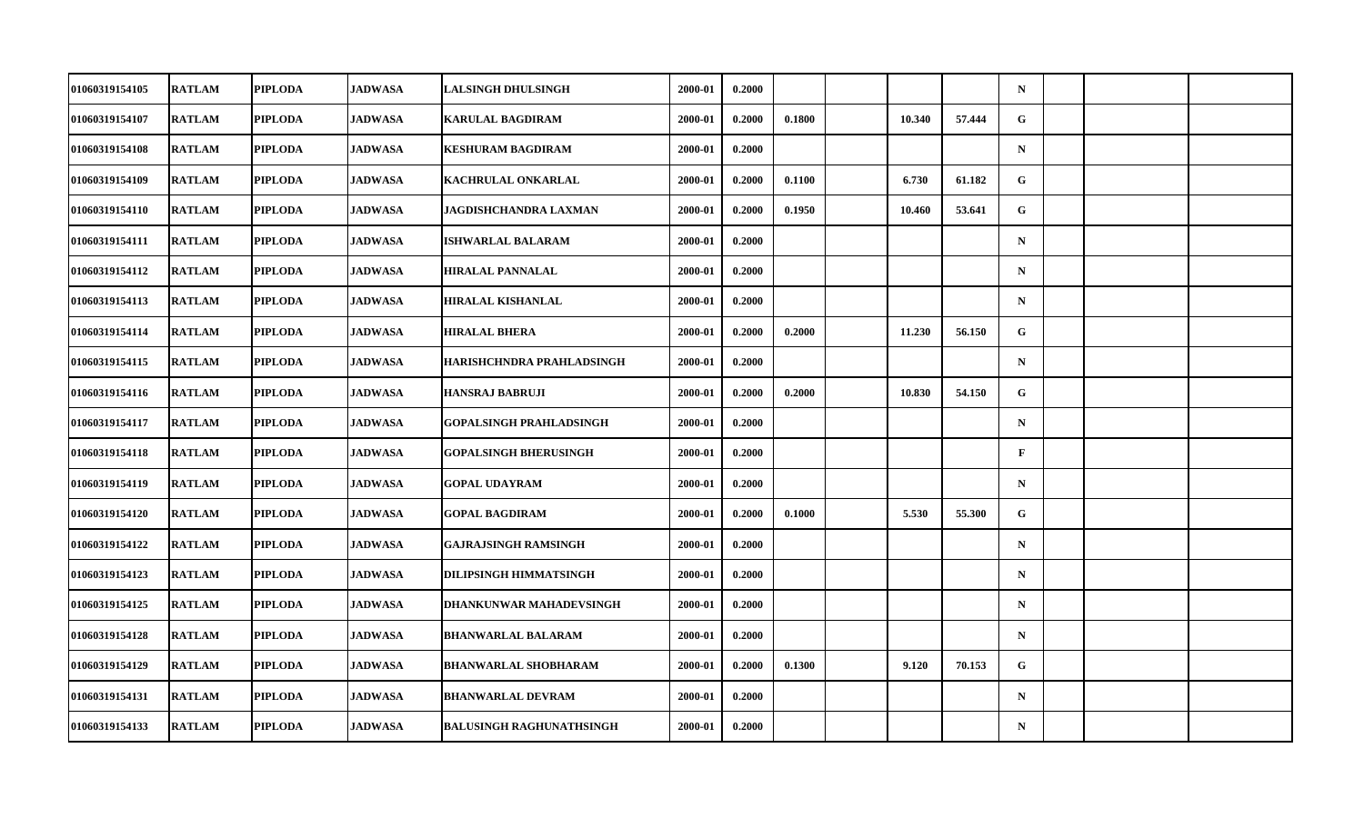| 01060319154105        | <b>RATLAM</b> | <b>PIPLODA</b> | <b>JADWASA</b> | <b>LALSINGH DHULSINGH</b>       | 2000-01 | 0.2000 |        |        |        | $\mathbf N$ |  |  |
|-----------------------|---------------|----------------|----------------|---------------------------------|---------|--------|--------|--------|--------|-------------|--|--|
| 01060319154107        | <b>RATLAM</b> | <b>PIPLODA</b> | JADWASA        | <b>KARULAL BAGDIRAM</b>         | 2000-01 | 0.2000 | 0.1800 | 10.340 | 57.444 | G           |  |  |
| 01060319154108        | <b>RATLAM</b> | <b>PIPLODA</b> | <b>JADWASA</b> | <b>KESHURAM BAGDIRAM</b>        | 2000-01 | 0.2000 |        |        |        | $\mathbf N$ |  |  |
| 01060319154109        | <b>RATLAM</b> | <b>PIPLODA</b> | <b>JADWASA</b> | KACHRULAL ONKARLAL              | 2000-01 | 0.2000 | 0.1100 | 6.730  | 61.182 | G           |  |  |
| 01060319154110        | <b>RATLAM</b> | <b>PIPLODA</b> | <b>JADWASA</b> | JAGDISHCHANDRA LAXMAN           | 2000-01 | 0.2000 | 0.1950 | 10.460 | 53.641 | G           |  |  |
| 01060319154111        | <b>RATLAM</b> | <b>PIPLODA</b> | <b>JADWASA</b> | <b>ISHWARLAL BALARAM</b>        | 2000-01 | 0.2000 |        |        |        | $\mathbf N$ |  |  |
| 01060319154112        | <b>RATLAM</b> | <b>PIPLODA</b> | <b>JADWASA</b> | <b>HIRALAL PANNALAL</b>         | 2000-01 | 0.2000 |        |        |        | $\mathbf N$ |  |  |
| 01060319154113        | <b>RATLAM</b> | <b>PIPLODA</b> | <b>JADWASA</b> | HIRALAL KISHANLAL               | 2000-01 | 0.2000 |        |        |        | $\mathbf N$ |  |  |
| 01060319154114        | <b>RATLAM</b> | <b>PIPLODA</b> | <b>JADWASA</b> | <b>HIRALAL BHERA</b>            | 2000-01 | 0.2000 | 0.2000 | 11.230 | 56.150 | G           |  |  |
| 01060319154115        | <b>RATLAM</b> | <b>PIPLODA</b> | <b>JADWASA</b> | HARISHCHNDRA PRAHLADSINGH       | 2000-01 | 0.2000 |        |        |        | $\mathbf N$ |  |  |
| 01060319154116        | <b>RATLAM</b> | <b>PIPLODA</b> | <b>JADWASA</b> | <b>HANSRAJ BABRUJI</b>          | 2000-01 | 0.2000 | 0.2000 | 10.830 | 54.150 | G           |  |  |
| 01060319154117        | <b>RATLAM</b> | <b>PIPLODA</b> | <b>JADWASA</b> | <b>GOPALSINGH PRAHLADSINGH</b>  | 2000-01 | 0.2000 |        |        |        | $\mathbf N$ |  |  |
| 01060319154118        | <b>RATLAM</b> | <b>PIPLODA</b> | <b>JADWASA</b> | <b>GOPALSINGH BHERUSINGH</b>    | 2000-01 | 0.2000 |        |        |        | $\mathbf F$ |  |  |
| 01060319154119        | <b>RATLAM</b> | <b>PIPLODA</b> | <b>JADWASA</b> | <b>GOPAL UDAYRAM</b>            | 2000-01 | 0.2000 |        |        |        | $\mathbf N$ |  |  |
| 01060319154120        | <b>RATLAM</b> | <b>PIPLODA</b> | <b>JADWASA</b> | <b>GOPAL BAGDIRAM</b>           | 2000-01 | 0.2000 | 0.1000 | 5.530  | 55.300 | G           |  |  |
| 01060319154122        | <b>RATLAM</b> | <b>PIPLODA</b> | <b>JADWASA</b> | <b>GAJRAJSINGH RAMSINGH</b>     | 2000-01 | 0.2000 |        |        |        | $\mathbf N$ |  |  |
| <b>01060319154123</b> | <b>RATLAM</b> | <b>PIPLODA</b> | <b>JADWASA</b> | DILIPSINGH HIMMATSINGH          | 2000-01 | 0.2000 |        |        |        | $\mathbf N$ |  |  |
| 01060319154125        | <b>RATLAM</b> | <b>PIPLODA</b> | <b>JADWASA</b> | <b>DHANKUNWAR MAHADEVSINGH</b>  | 2000-01 | 0.2000 |        |        |        | $\mathbf N$ |  |  |
| 01060319154128        | <b>RATLAM</b> | <b>PIPLODA</b> | <b>JADWASA</b> | <b>BHANWARLAL BALARAM</b>       | 2000-01 | 0.2000 |        |        |        | $\mathbf N$ |  |  |
| 01060319154129        | <b>RATLAM</b> | <b>PIPLODA</b> | <b>JADWASA</b> | <b>BHANWARLAL SHOBHARAM</b>     | 2000-01 | 0.2000 | 0.1300 | 9.120  | 70.153 | G           |  |  |
| 01060319154131        | <b>RATLAM</b> | <b>PIPLODA</b> | <b>JADWASA</b> | <b>BHANWARLAL DEVRAM</b>        | 2000-01 | 0.2000 |        |        |        | $\mathbf N$ |  |  |
| 01060319154133        | <b>RATLAM</b> | <b>PIPLODA</b> | <b>JADWASA</b> | <b>BALUSINGH RAGHUNATHSINGH</b> | 2000-01 | 0.2000 |        |        |        | ${\bf N}$   |  |  |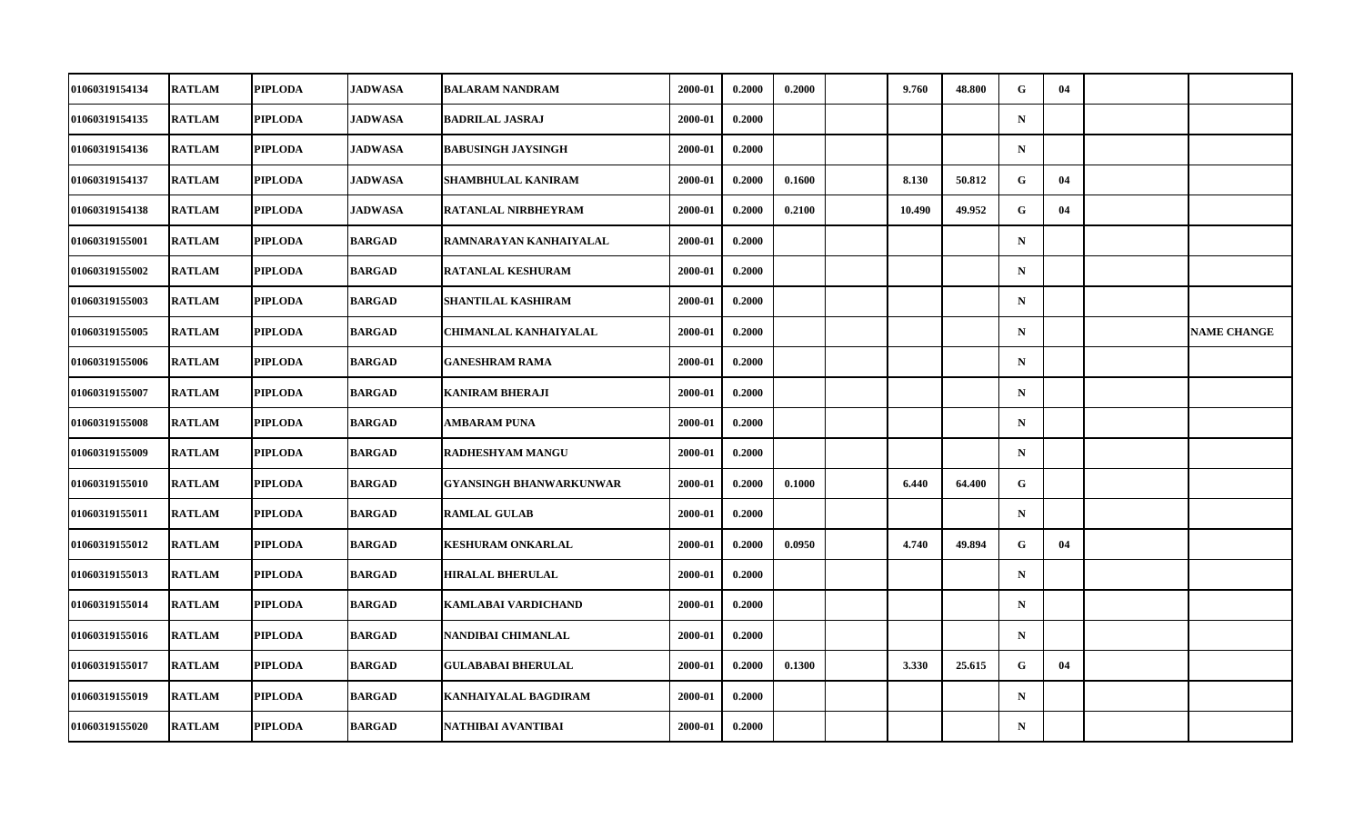| 01060319154134        | <b>RATLAM</b> | <b>PIPLODA</b> | <b>JADWASA</b> | <b>BALARAM NANDRAM</b>         | 2000-01 | 0.2000 | 0.2000 | 9.760  | 48.800 | G            | 04 |                    |
|-----------------------|---------------|----------------|----------------|--------------------------------|---------|--------|--------|--------|--------|--------------|----|--------------------|
| 01060319154135        | <b>RATLAM</b> | <b>PIPLODA</b> | <b>JADWASA</b> | <b>BADRILAL JASRAJ</b>         | 2000-01 | 0.2000 |        |        |        | $\mathbf N$  |    |                    |
| 01060319154136        | <b>RATLAM</b> | <b>PIPLODA</b> | <b>JADWASA</b> | <b>BABUSINGH JAYSINGH</b>      | 2000-01 | 0.2000 |        |        |        | $\mathbf N$  |    |                    |
| 01060319154137        | <b>RATLAM</b> | <b>PIPLODA</b> | <b>JADWASA</b> | SHAMBHULAL KANIRAM             | 2000-01 | 0.2000 | 0.1600 | 8.130  | 50.812 | $\mathbf{G}$ | 04 |                    |
| 01060319154138        | <b>RATLAM</b> | <b>PIPLODA</b> | <b>JADWASA</b> | RATANLAL NIRBHEYRAM            | 2000-01 | 0.2000 | 0.2100 | 10.490 | 49.952 | G            | 04 |                    |
| 01060319155001        | <b>RATLAM</b> | <b>PIPLODA</b> | <b>BARGAD</b>  | RAMNARAYAN KANHAIYALAL         | 2000-01 | 0.2000 |        |        |        | $\mathbf N$  |    |                    |
| 01060319155002        | <b>RATLAM</b> | <b>PIPLODA</b> | <b>BARGAD</b>  | RATANLAL KESHURAM              | 2000-01 | 0.2000 |        |        |        | $\mathbf N$  |    |                    |
| <b>01060319155003</b> | <b>RATLAM</b> | <b>PIPLODA</b> | BARGAD         | SHANTILAL KASHIRAM             | 2000-01 | 0.2000 |        |        |        | $\mathbf N$  |    |                    |
| 01060319155005        | <b>RATLAM</b> | <b>PIPLODA</b> | <b>BARGAD</b>  | <b>CHIMANLAL KANHAIYALAL</b>   | 2000-01 | 0.2000 |        |        |        | $\mathbf N$  |    | <b>NAME CHANGE</b> |
| 01060319155006        | <b>RATLAM</b> | <b>PIPLODA</b> | <b>BARGAD</b>  | <b>GANESHRAM RAMA</b>          | 2000-01 | 0.2000 |        |        |        | $\mathbf N$  |    |                    |
| 01060319155007        | <b>RATLAM</b> | <b>PIPLODA</b> | BARGAD         | <b>KANIRAM BHERAJI</b>         | 2000-01 | 0.2000 |        |        |        | $\mathbf N$  |    |                    |
| 01060319155008        | <b>RATLAM</b> | <b>PIPLODA</b> | <b>BARGAD</b>  | AMBARAM PUNA                   | 2000-01 | 0.2000 |        |        |        | $\mathbf N$  |    |                    |
| 01060319155009        | <b>RATLAM</b> | <b>PIPLODA</b> | <b>BARGAD</b>  | RADHESHYAM MANGU               | 2000-01 | 0.2000 |        |        |        | $\mathbf N$  |    |                    |
| <b>01060319155010</b> | <b>RATLAM</b> | <b>PIPLODA</b> | <b>BARGAD</b>  | <b>GYANSINGH BHANWARKUNWAR</b> | 2000-01 | 0.2000 | 0.1000 | 6.440  | 64.400 | G            |    |                    |
| 01060319155011        | <b>RATLAM</b> | <b>PIPLODA</b> | <b>BARGAD</b>  | <b>RAMLAL GULAB</b>            | 2000-01 | 0.2000 |        |        |        | $\mathbf N$  |    |                    |
| 01060319155012        | <b>RATLAM</b> | <b>PIPLODA</b> | <b>BARGAD</b>  | <b>KESHURAM ONKARLAL</b>       | 2000-01 | 0.2000 | 0.0950 | 4.740  | 49.894 | G            | 04 |                    |
| 01060319155013        | <b>RATLAM</b> | <b>PIPLODA</b> | <b>BARGAD</b>  | <b>HIRALAL BHERULAL</b>        | 2000-01 | 0.2000 |        |        |        | $\mathbf N$  |    |                    |
| 01060319155014        | <b>RATLAM</b> | <b>PIPLODA</b> | <b>BARGAD</b>  | <b>KAMLABAI VARDICHAND</b>     | 2000-01 | 0.2000 |        |        |        | $\mathbf N$  |    |                    |
| 01060319155016        | <b>RATLAM</b> | <b>PIPLODA</b> | <b>BARGAD</b>  | NANDIBAI CHIMANLAL             | 2000-01 | 0.2000 |        |        |        | $\mathbf N$  |    |                    |
| 01060319155017        | <b>RATLAM</b> | <b>PIPLODA</b> | <b>BARGAD</b>  | <b>GULABABAI BHERULAL</b>      | 2000-01 | 0.2000 | 0.1300 | 3.330  | 25.615 | G            | 04 |                    |
| 01060319155019        | <b>RATLAM</b> | <b>PIPLODA</b> | <b>BARGAD</b>  | KANHAIYALAL BAGDIRAM           | 2000-01 | 0.2000 |        |        |        | $\mathbf N$  |    |                    |
| 01060319155020        | <b>RATLAM</b> | <b>PIPLODA</b> | <b>BARGAD</b>  | NATHIBAI AVANTIBAI             | 2000-01 | 0.2000 |        |        |        | ${\bf N}$    |    |                    |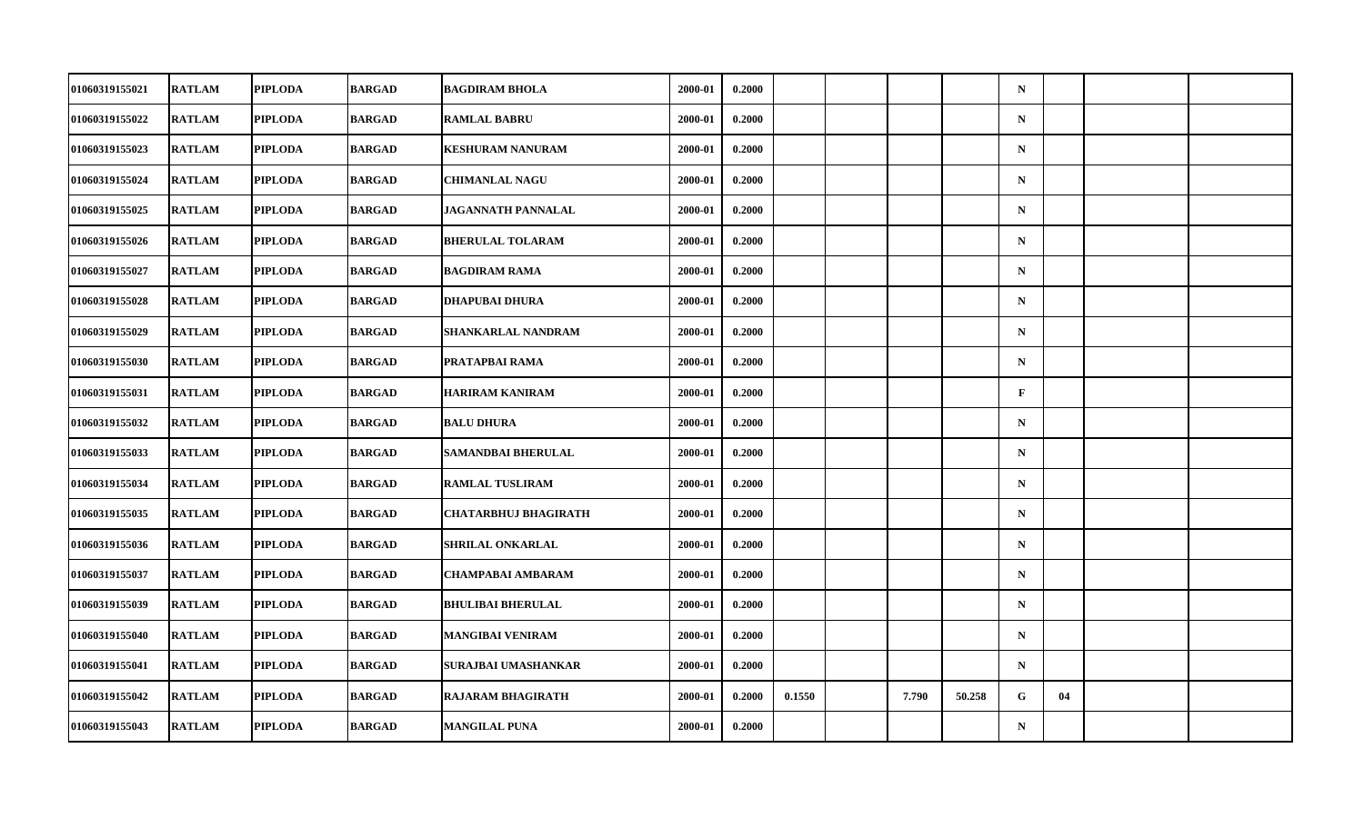| 01060319155021 | <b>RATLAM</b> | <b>PIPLODA</b> | <b>BARGAD</b> | <b>BAGDIRAM BHOLA</b>       | 2000-01 | 0.2000 |        |       |        | $\mathbf N$  |    |  |
|----------------|---------------|----------------|---------------|-----------------------------|---------|--------|--------|-------|--------|--------------|----|--|
| 01060319155022 | <b>RATLAM</b> | <b>PIPLODA</b> | <b>BARGAD</b> | <b>RAMLAL BABRU</b>         | 2000-01 | 0.2000 |        |       |        | ${\bf N}$    |    |  |
| 01060319155023 | <b>RATLAM</b> | <b>PIPLODA</b> | <b>BARGAD</b> | <b>KESHURAM NANURAM</b>     | 2000-01 | 0.2000 |        |       |        | ${\bf N}$    |    |  |
| 01060319155024 | <b>RATLAM</b> | <b>PIPLODA</b> | <b>BARGAD</b> | <b>CHIMANLAL NAGU</b>       | 2000-01 | 0.2000 |        |       |        | $\mathbf N$  |    |  |
| 01060319155025 | <b>RATLAM</b> | <b>PIPLODA</b> | <b>BARGAD</b> | JAGANNATH PANNALAL          | 2000-01 | 0.2000 |        |       |        | $\mathbf N$  |    |  |
| 01060319155026 | <b>RATLAM</b> | <b>PIPLODA</b> | <b>BARGAD</b> | <b>BHERULAL TOLARAM</b>     | 2000-01 | 0.2000 |        |       |        | ${\bf N}$    |    |  |
| 01060319155027 | <b>RATLAM</b> | <b>PIPLODA</b> | <b>BARGAD</b> | <b>BAGDIRAM RAMA</b>        | 2000-01 | 0.2000 |        |       |        | $\mathbf N$  |    |  |
| 01060319155028 | <b>RATLAM</b> | <b>PIPLODA</b> | <b>BARGAD</b> | <b>DHAPUBAI DHURA</b>       | 2000-01 | 0.2000 |        |       |        | $\mathbf N$  |    |  |
| 01060319155029 | <b>RATLAM</b> | <b>PIPLODA</b> | <b>BARGAD</b> | SHANKARLAL NANDRAM          | 2000-01 | 0.2000 |        |       |        | $\mathbf N$  |    |  |
| 01060319155030 | <b>RATLAM</b> | <b>PIPLODA</b> | <b>BARGAD</b> | PRATAPBAI RAMA              | 2000-01 | 0.2000 |        |       |        | $\mathbf N$  |    |  |
| 01060319155031 | <b>RATLAM</b> | <b>PIPLODA</b> | <b>BARGAD</b> | <b>HARIRAM KANIRAM</b>      | 2000-01 | 0.2000 |        |       |        | $\mathbf{F}$ |    |  |
| 01060319155032 | <b>RATLAM</b> | <b>PIPLODA</b> | <b>BARGAD</b> | <b>BALU DHURA</b>           | 2000-01 | 0.2000 |        |       |        | $\mathbf N$  |    |  |
| 01060319155033 | <b>RATLAM</b> | <b>PIPLODA</b> | <b>BARGAD</b> | SAMANDBAI BHERULAL          | 2000-01 | 0.2000 |        |       |        | ${\bf N}$    |    |  |
| 01060319155034 | <b>RATLAM</b> | <b>PIPLODA</b> | <b>BARGAD</b> | <b>RAMLAL TUSLIRAM</b>      | 2000-01 | 0.2000 |        |       |        | $\mathbf N$  |    |  |
| 01060319155035 | <b>RATLAM</b> | <b>PIPLODA</b> | <b>BARGAD</b> | <b>CHATARBHUJ BHAGIRATH</b> | 2000-01 | 0.2000 |        |       |        | $\mathbf N$  |    |  |
| 01060319155036 | <b>RATLAM</b> | <b>PIPLODA</b> | <b>BARGAD</b> | SHRILAL ONKARLAL            | 2000-01 | 0.2000 |        |       |        | $\mathbf N$  |    |  |
| 01060319155037 | <b>RATLAM</b> | <b>PIPLODA</b> | <b>BARGAD</b> | CHAMPABAI AMBARAM           | 2000-01 | 0.2000 |        |       |        | $\mathbf N$  |    |  |
| 01060319155039 | <b>RATLAM</b> | <b>PIPLODA</b> | <b>BARGAD</b> | <b>BHULIBAI BHERULAL</b>    | 2000-01 | 0.2000 |        |       |        | $\mathbf N$  |    |  |
| 01060319155040 | <b>RATLAM</b> | <b>PIPLODA</b> | <b>BARGAD</b> | <b>MANGIBAI VENIRAM</b>     | 2000-01 | 0.2000 |        |       |        | $\mathbf N$  |    |  |
| 01060319155041 | <b>RATLAM</b> | <b>PIPLODA</b> | <b>BARGAD</b> | SURAJBAI UMASHANKAR         | 2000-01 | 0.2000 |        |       |        | $\mathbf N$  |    |  |
| 01060319155042 | <b>RATLAM</b> | <b>PIPLODA</b> | <b>BARGAD</b> | <b>RAJARAM BHAGIRATH</b>    | 2000-01 | 0.2000 | 0.1550 | 7.790 | 50.258 | G            | 04 |  |
| 01060319155043 | <b>RATLAM</b> | <b>PIPLODA</b> | <b>BARGAD</b> | <b>MANGILAL PUNA</b>        | 2000-01 | 0.2000 |        |       |        | ${\bf N}$    |    |  |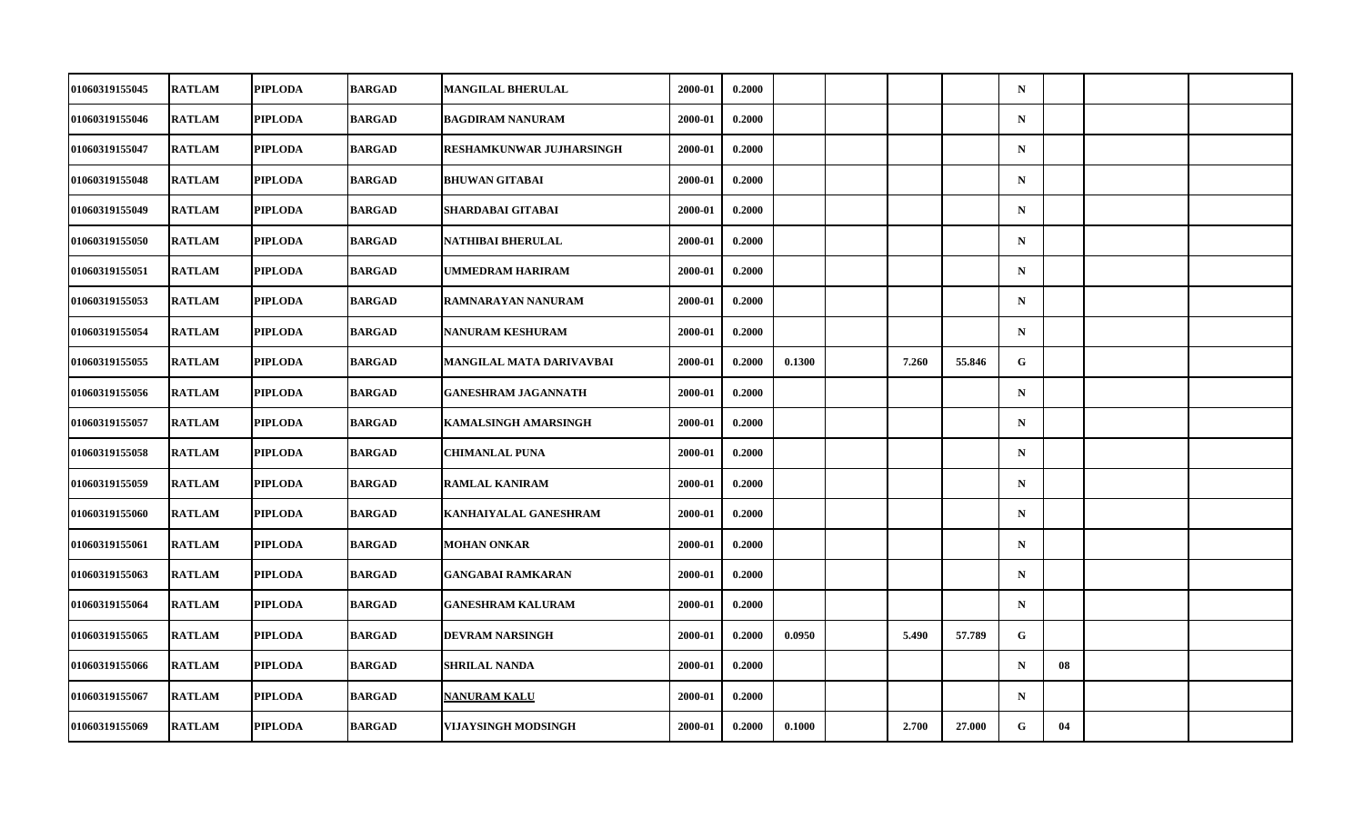| 01060319155045 | <b>RATLAM</b> | <b>PIPLODA</b> | <b>BARGAD</b> | <b>MANGILAL BHERULAL</b>        | 2000-01 | 0.2000 |        |       |        | $\mathbf N$ |    |  |
|----------------|---------------|----------------|---------------|---------------------------------|---------|--------|--------|-------|--------|-------------|----|--|
| 01060319155046 | <b>RATLAM</b> | <b>PIPLODA</b> | <b>BARGAD</b> | <b>BAGDIRAM NANURAM</b>         | 2000-01 | 0.2000 |        |       |        | $\mathbf N$ |    |  |
| 01060319155047 | <b>RATLAM</b> | <b>PIPLODA</b> | <b>BARGAD</b> | <b>RESHAMKUNWAR JUJHARSINGH</b> | 2000-01 | 0.2000 |        |       |        | $\mathbf N$ |    |  |
| 01060319155048 | <b>RATLAM</b> | <b>PIPLODA</b> | <b>BARGAD</b> | <b>BHUWAN GITABAI</b>           | 2000-01 | 0.2000 |        |       |        | $\mathbf N$ |    |  |
| 01060319155049 | <b>RATLAM</b> | <b>PIPLODA</b> | <b>BARGAD</b> | SHARDABAI GITABAI               | 2000-01 | 0.2000 |        |       |        | $\mathbf N$ |    |  |
| 01060319155050 | <b>RATLAM</b> | <b>PIPLODA</b> | <b>BARGAD</b> | NATHIBAI BHERULAL               | 2000-01 | 0.2000 |        |       |        | $\mathbf N$ |    |  |
| 01060319155051 | <b>RATLAM</b> | <b>PIPLODA</b> | <b>BARGAD</b> | UMMEDRAM HARIRAM                | 2000-01 | 0.2000 |        |       |        | $\mathbf N$ |    |  |
| 01060319155053 | <b>RATLAM</b> | <b>PIPLODA</b> | <b>BARGAD</b> | RAMNARAYAN NANURAM              | 2000-01 | 0.2000 |        |       |        | $\mathbf N$ |    |  |
| 01060319155054 | <b>RATLAM</b> | <b>PIPLODA</b> | <b>BARGAD</b> | <b>NANURAM KESHURAM</b>         | 2000-01 | 0.2000 |        |       |        | $\mathbf N$ |    |  |
| 01060319155055 | <b>RATLAM</b> | <b>PIPLODA</b> | <b>BARGAD</b> | MANGILAL MATA DARIVAVBAI        | 2000-01 | 0.2000 | 0.1300 | 7.260 | 55.846 | G           |    |  |
| 01060319155056 | <b>RATLAM</b> | <b>PIPLODA</b> | <b>BARGAD</b> | <b>GANESHRAM JAGANNATH</b>      | 2000-01 | 0.2000 |        |       |        | $\mathbf N$ |    |  |
| 01060319155057 | <b>RATLAM</b> | <b>PIPLODA</b> | <b>BARGAD</b> | <b>KAMALSINGH AMARSINGH</b>     | 2000-01 | 0.2000 |        |       |        | $\mathbf N$ |    |  |
| 01060319155058 | <b>RATLAM</b> | <b>PIPLODA</b> | <b>BARGAD</b> | <b>CHIMANLAL PUNA</b>           | 2000-01 | 0.2000 |        |       |        | $\mathbf N$ |    |  |
| 01060319155059 | <b>RATLAM</b> | <b>PIPLODA</b> | <b>BARGAD</b> | <b>RAMLAL KANIRAM</b>           | 2000-01 | 0.2000 |        |       |        | $\mathbf N$ |    |  |
| 01060319155060 | <b>RATLAM</b> | <b>PIPLODA</b> | <b>BARGAD</b> | KANHAIYALAL GANESHRAM           | 2000-01 | 0.2000 |        |       |        | $\mathbf N$ |    |  |
| 01060319155061 | <b>RATLAM</b> | <b>PIPLODA</b> | <b>BARGAD</b> | <b>MOHAN ONKAR</b>              | 2000-01 | 0.2000 |        |       |        | $\mathbf N$ |    |  |
| 01060319155063 | <b>RATLAM</b> | <b>PIPLODA</b> | <b>BARGAD</b> | <b>GANGABAI RAMKARAN</b>        | 2000-01 | 0.2000 |        |       |        | $\mathbf N$ |    |  |
| 01060319155064 | <b>RATLAM</b> | <b>PIPLODA</b> | <b>BARGAD</b> | <b>GANESHRAM KALURAM</b>        | 2000-01 | 0.2000 |        |       |        | $\mathbf N$ |    |  |
| 01060319155065 | <b>RATLAM</b> | <b>PIPLODA</b> | <b>BARGAD</b> | <b>DEVRAM NARSINGH</b>          | 2000-01 | 0.2000 | 0.0950 | 5.490 | 57.789 | G           |    |  |
| 01060319155066 | <b>RATLAM</b> | <b>PIPLODA</b> | <b>BARGAD</b> | <b>SHRILAL NANDA</b>            | 2000-01 | 0.2000 |        |       |        | $\mathbf N$ | 08 |  |
| 01060319155067 | <b>RATLAM</b> | <b>PIPLODA</b> | <b>BARGAD</b> | <b>NANURAM KALU</b>             | 2000-01 | 0.2000 |        |       |        | $\mathbf N$ |    |  |
| 01060319155069 | <b>RATLAM</b> | <b>PIPLODA</b> | <b>BARGAD</b> | VIJAYSINGH MODSINGH             | 2000-01 | 0.2000 | 0.1000 | 2.700 | 27.000 | G           | 04 |  |
|                |               |                |               |                                 |         |        |        |       |        |             |    |  |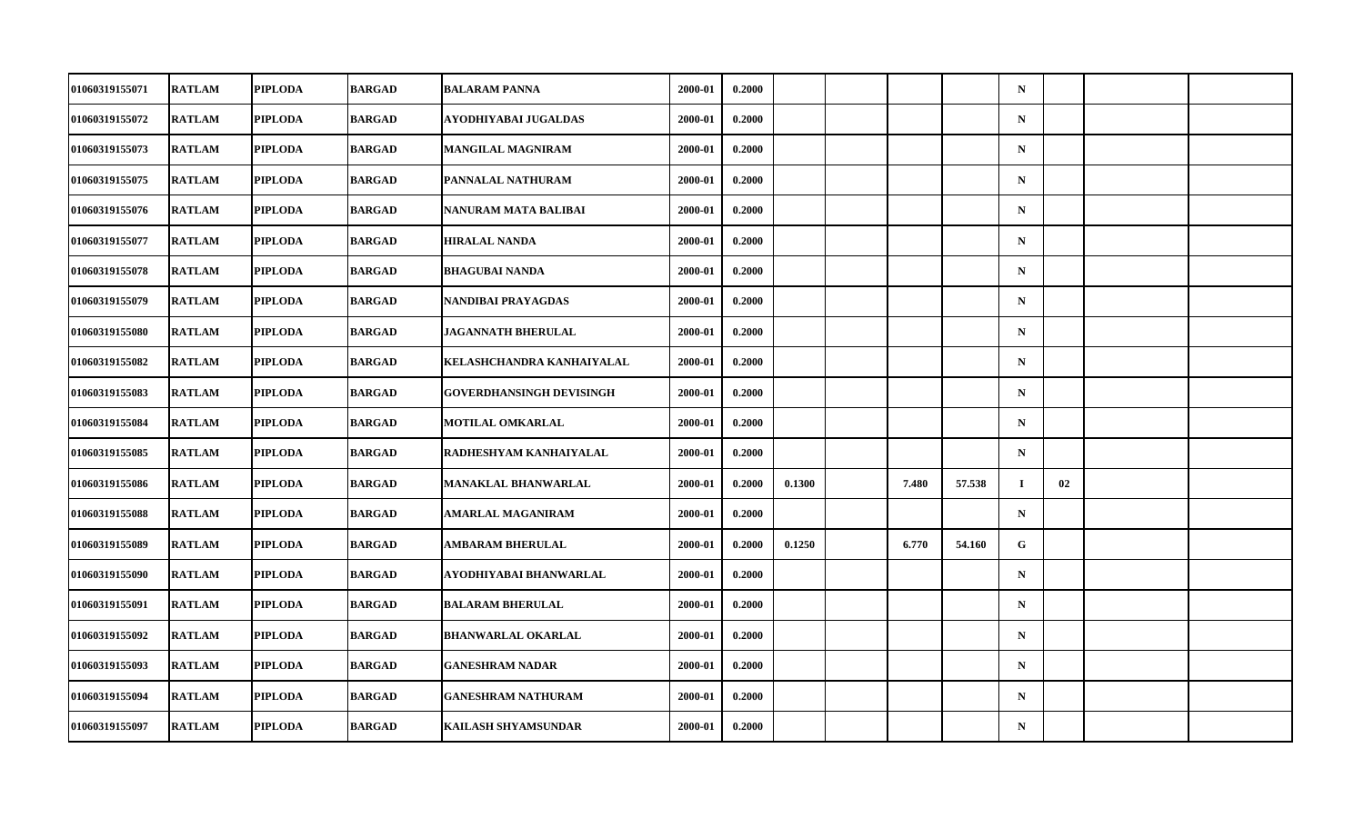| 01060319155071        | <b>RATLAM</b> | <b>PIPLODA</b> | <b>BARGAD</b> | <b>BALARAM PANNA</b>            | 2000-01 | 0.2000 |        |       |        | $\mathbf N$ |    |  |
|-----------------------|---------------|----------------|---------------|---------------------------------|---------|--------|--------|-------|--------|-------------|----|--|
| 01060319155072        | <b>RATLAM</b> | <b>PIPLODA</b> | <b>BARGAD</b> | AYODHIYABAI JUGALDAS            | 2000-01 | 0.2000 |        |       |        | ${\bf N}$   |    |  |
| 01060319155073        | <b>RATLAM</b> | <b>PIPLODA</b> | <b>BARGAD</b> | <b>MANGILAL MAGNIRAM</b>        | 2000-01 | 0.2000 |        |       |        | $\mathbf N$ |    |  |
| 01060319155075        | <b>RATLAM</b> | <b>PIPLODA</b> | <b>BARGAD</b> | PANNALAL NATHURAM               | 2000-01 | 0.2000 |        |       |        | $\mathbf N$ |    |  |
| 01060319155076        | <b>RATLAM</b> | <b>PIPLODA</b> | <b>BARGAD</b> | NANURAM MATA BALIBAI            | 2000-01 | 0.2000 |        |       |        | $\mathbf N$ |    |  |
| 01060319155077        | <b>RATLAM</b> | <b>PIPLODA</b> | <b>BARGAD</b> | <b>HIRALAL NANDA</b>            | 2000-01 | 0.2000 |        |       |        | $\mathbf N$ |    |  |
| 01060319155078        | <b>RATLAM</b> | <b>PIPLODA</b> | <b>BARGAD</b> | <b>BHAGUBAI NANDA</b>           | 2000-01 | 0.2000 |        |       |        | $\mathbf N$ |    |  |
| 01060319155079        | <b>RATLAM</b> | <b>PIPLODA</b> | <b>BARGAD</b> | NANDIBAI PRAYAGDAS              | 2000-01 | 0.2000 |        |       |        | $\mathbf N$ |    |  |
| 01060319155080        | <b>RATLAM</b> | <b>PIPLODA</b> | <b>BARGAD</b> | <b>JAGANNATH BHERULAL</b>       | 2000-01 | 0.2000 |        |       |        | $\mathbf N$ |    |  |
| 01060319155082        | <b>RATLAM</b> | <b>PIPLODA</b> | <b>BARGAD</b> | KELASHCHANDRA KANHAIYALAL       | 2000-01 | 0.2000 |        |       |        | $\mathbf N$ |    |  |
| 01060319155083        | <b>RATLAM</b> | <b>PIPLODA</b> | <b>BARGAD</b> | <b>GOVERDHANSINGH DEVISINGH</b> | 2000-01 | 0.2000 |        |       |        | $\mathbf N$ |    |  |
| 01060319155084        | <b>RATLAM</b> | <b>PIPLODA</b> | <b>BARGAD</b> | <b>MOTILAL OMKARLAL</b>         | 2000-01 | 0.2000 |        |       |        | $\mathbf N$ |    |  |
| 01060319155085        | <b>RATLAM</b> | <b>PIPLODA</b> | <b>BARGAD</b> | RADHESHYAM KANHAIYALAL          | 2000-01 | 0.2000 |        |       |        | $\mathbf N$ |    |  |
| 01060319155086        | <b>RATLAM</b> | <b>PIPLODA</b> | <b>BARGAD</b> | <b>MANAKLAL BHANWARLAL</b>      | 2000-01 | 0.2000 | 0.1300 | 7.480 | 57.538 | $\mathbf I$ | 02 |  |
| 01060319155088        | <b>RATLAM</b> | <b>PIPLODA</b> | <b>BARGAD</b> | AMARLAL MAGANIRAM               | 2000-01 | 0.2000 |        |       |        | $\mathbf N$ |    |  |
| 01060319155089        | <b>RATLAM</b> | <b>PIPLODA</b> | <b>BARGAD</b> | AMBARAM BHERULAL                | 2000-01 | 0.2000 | 0.1250 | 6.770 | 54.160 | G           |    |  |
| <b>01060319155090</b> | <b>RATLAM</b> | <b>PIPLODA</b> | <b>BARGAD</b> | AYODHIYABAI BHANWARLAL          | 2000-01 | 0.2000 |        |       |        | $\mathbf N$ |    |  |
| 01060319155091        | <b>RATLAM</b> | <b>PIPLODA</b> | <b>BARGAD</b> | <b>BALARAM BHERULAL</b>         | 2000-01 | 0.2000 |        |       |        | $\mathbf N$ |    |  |
| 01060319155092        | <b>RATLAM</b> | <b>PIPLODA</b> | <b>BARGAD</b> | <b>BHANWARLAL OKARLAL</b>       | 2000-01 | 0.2000 |        |       |        | $\mathbf N$ |    |  |
| 01060319155093        | <b>RATLAM</b> | <b>PIPLODA</b> | <b>BARGAD</b> | <b>GANESHRAM NADAR</b>          | 2000-01 | 0.2000 |        |       |        | $\mathbf N$ |    |  |
| 01060319155094        | <b>RATLAM</b> | <b>PIPLODA</b> | <b>BARGAD</b> | <b>GANESHRAM NATHURAM</b>       | 2000-01 | 0.2000 |        |       |        | $\mathbf N$ |    |  |
| 01060319155097        | <b>RATLAM</b> | <b>PIPLODA</b> | <b>BARGAD</b> | KAILASH SHYAMSUNDAR             | 2000-01 | 0.2000 |        |       |        | ${\bf N}$   |    |  |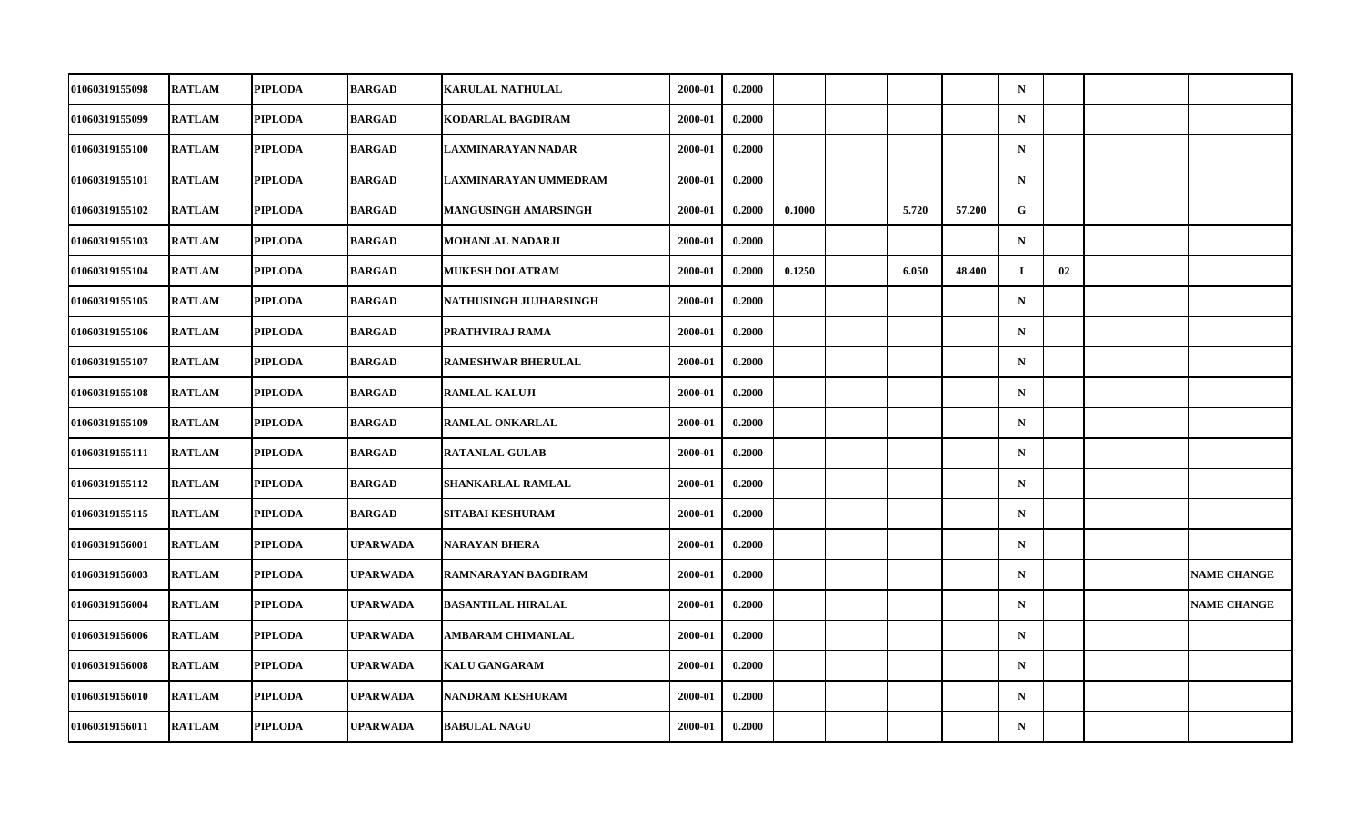| 01060319155098        | <b>RATLAM</b> | <b>PIPLODA</b> | <b>BARGAD</b>   | <b>KARULAL NATHULAL</b>   | 2000-01 | 0.2000 |        |       |        | $\mathbf N$ |    |                    |
|-----------------------|---------------|----------------|-----------------|---------------------------|---------|--------|--------|-------|--------|-------------|----|--------------------|
| 01060319155099        | <b>RATLAM</b> | <b>PIPLODA</b> | <b>BARGAD</b>   | KODARLAL BAGDIRAM         | 2000-01 | 0.2000 |        |       |        | $\mathbf N$ |    |                    |
| 01060319155100        | <b>RATLAM</b> | <b>PIPLODA</b> | <b>BARGAD</b>   | <b>LAXMINARAYAN NADAR</b> | 2000-01 | 0.2000 |        |       |        | $\mathbf N$ |    |                    |
| 01060319155101        | <b>RATLAM</b> | <b>PIPLODA</b> | <b>BARGAD</b>   | LAXMINARAYAN UMMEDRAM     | 2000-01 | 0.2000 |        |       |        | $\mathbf N$ |    |                    |
| 01060319155102        | <b>RATLAM</b> | <b>PIPLODA</b> | <b>BARGAD</b>   | MANGUSINGH AMARSINGH      | 2000-01 | 0.2000 | 0.1000 | 5.720 | 57.200 | G           |    |                    |
| 01060319155103        | <b>RATLAM</b> | <b>PIPLODA</b> | <b>BARGAD</b>   | <b>MOHANLAL NADARJI</b>   | 2000-01 | 0.2000 |        |       |        | $\mathbf N$ |    |                    |
| 01060319155104        | <b>RATLAM</b> | <b>PIPLODA</b> | <b>BARGAD</b>   | <b>MUKESH DOLATRAM</b>    | 2000-01 | 0.2000 | 0.1250 | 6.050 | 48.400 | $\bf{I}$    | 02 |                    |
| <b>01060319155105</b> | <b>RATLAM</b> | <b>PIPLODA</b> | BARGAD          | NATHUSINGH JUJHARSINGH    | 2000-01 | 0.2000 |        |       |        | $\mathbf N$ |    |                    |
| 01060319155106        | <b>RATLAM</b> | <b>PIPLODA</b> | <b>BARGAD</b>   | PRATHVIRAJ RAMA           | 2000-01 | 0.2000 |        |       |        | $\mathbf N$ |    |                    |
| 01060319155107        | <b>RATLAM</b> | <b>PIPLODA</b> | <b>BARGAD</b>   | <b>RAMESHWAR BHERULAL</b> | 2000-01 | 0.2000 |        |       |        | $\mathbf N$ |    |                    |
| 01060319155108        | <b>RATLAM</b> | <b>PIPLODA</b> | BARGAD          | <b>RAMLAL KALUJI</b>      | 2000-01 | 0.2000 |        |       |        | $\mathbf N$ |    |                    |
| 01060319155109        | <b>RATLAM</b> | <b>PIPLODA</b> | <b>BARGAD</b>   | <b>RAMLAL ONKARLAL</b>    | 2000-01 | 0.2000 |        |       |        | $\mathbf N$ |    |                    |
| 01060319155111        | <b>RATLAM</b> | <b>PIPLODA</b> | <b>BARGAD</b>   | <b>RATANLAL GULAB</b>     | 2000-01 | 0.2000 |        |       |        | $\mathbf N$ |    |                    |
| 01060319155112        | <b>RATLAM</b> | <b>PIPLODA</b> | <b>BARGAD</b>   | SHANKARLAL RAMLAL         | 2000-01 | 0.2000 |        |       |        | ${\bf N}$   |    |                    |
| 01060319155115        | <b>RATLAM</b> | <b>PIPLODA</b> | <b>BARGAD</b>   | SITABAI KESHURAM          | 2000-01 | 0.2000 |        |       |        | $\mathbf N$ |    |                    |
| 01060319156001        | <b>RATLAM</b> | <b>PIPLODA</b> | <b>UPARWADA</b> | <b>NARAYAN BHERA</b>      | 2000-01 | 0.2000 |        |       |        | $\mathbf N$ |    |                    |
| 01060319156003        | <b>RATLAM</b> | <b>PIPLODA</b> | <b>UPARWADA</b> | RAMNARAYAN BAGDIRAM       | 2000-01 | 0.2000 |        |       |        | $\mathbf N$ |    | <b>NAME CHANGE</b> |
| 01060319156004        | <b>RATLAM</b> | <b>PIPLODA</b> | <b>UPARWADA</b> | <b>BASANTILAL HIRALAL</b> | 2000-01 | 0.2000 |        |       |        | $\mathbf N$ |    | <b>NAME CHANGE</b> |
| 01060319156006        | <b>RATLAM</b> | <b>PIPLODA</b> | <b>UPARWADA</b> | <b>AMBARAM CHIMANLAL</b>  | 2000-01 | 0.2000 |        |       |        | $\mathbf N$ |    |                    |
| 01060319156008        | <b>RATLAM</b> | <b>PIPLODA</b> | <b>UPARWADA</b> | <b>KALU GANGARAM</b>      | 2000-01 | 0.2000 |        |       |        | $\mathbf N$ |    |                    |
| 01060319156010        | <b>RATLAM</b> | <b>PIPLODA</b> | <b>UPARWADA</b> | NANDRAM KESHURAM          | 2000-01 | 0.2000 |        |       |        | $\mathbf N$ |    |                    |
| 01060319156011        | <b>RATLAM</b> | <b>PIPLODA</b> | <b>UPARWADA</b> | <b>BABULAL NAGU</b>       | 2000-01 | 0.2000 |        |       |        | ${\bf N}$   |    |                    |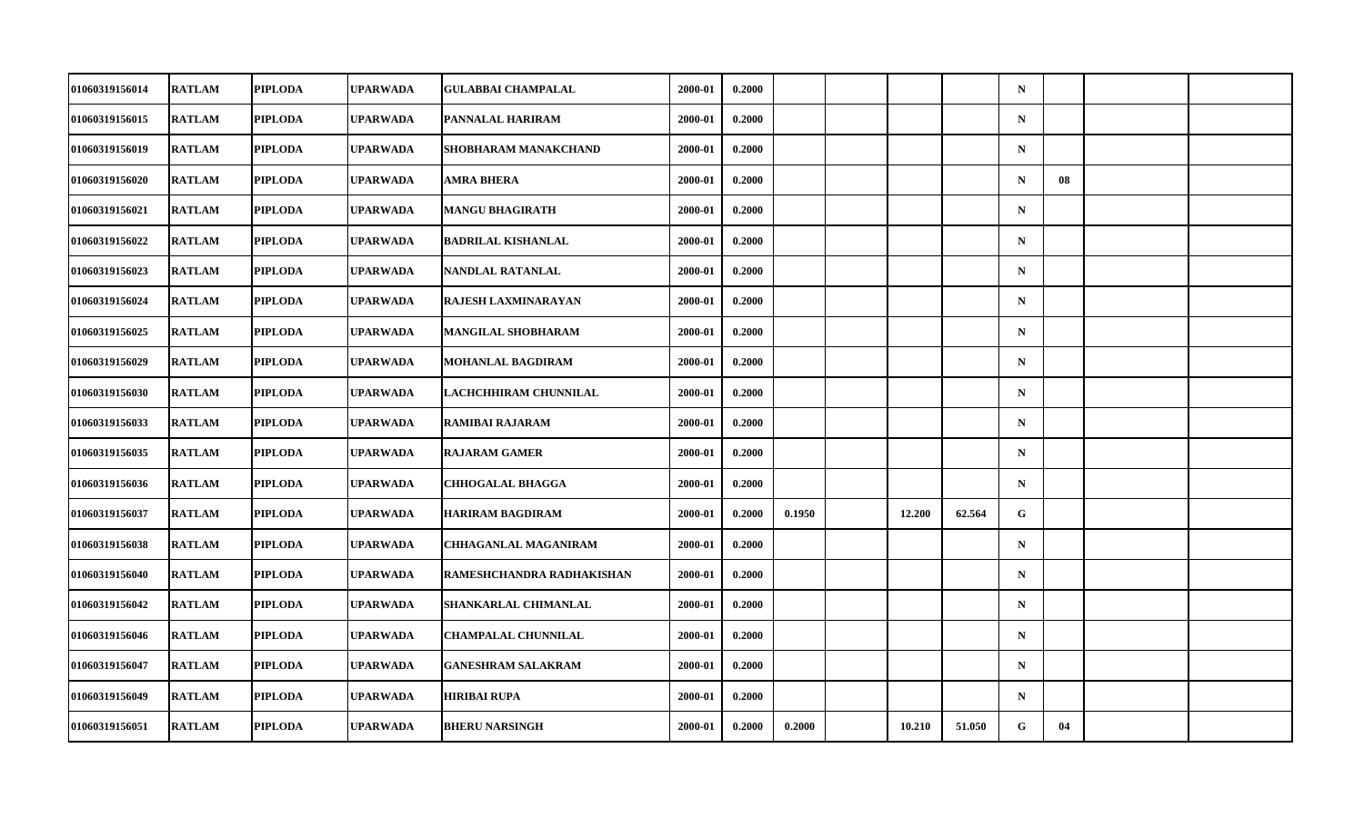| 01060319156014        | <b>RATLAM</b> | <b>PIPLODA</b> | <b>UPARWADA</b> | <b>GULABBAI CHAMPALAL</b>   | 2000-01 | 0.2000 |        |        |        | $\mathbf N$ |    |  |
|-----------------------|---------------|----------------|-----------------|-----------------------------|---------|--------|--------|--------|--------|-------------|----|--|
| 01060319156015        | <b>RATLAM</b> | <b>PIPLODA</b> | UPARWADA        | PANNALAL HARIRAM            | 2000-01 | 0.2000 |        |        |        | ${\bf N}$   |    |  |
| 01060319156019        | <b>RATLAM</b> | <b>PIPLODA</b> | <b>UPARWADA</b> | SHOBHARAM MANAKCHAND        | 2000-01 | 0.2000 |        |        |        | $\mathbf N$ |    |  |
| 01060319156020        | <b>RATLAM</b> | <b>PIPLODA</b> | <b>UPARWADA</b> | AMRA BHERA                  | 2000-01 | 0.2000 |        |        |        | $\mathbf N$ | 08 |  |
| 01060319156021        | <b>RATLAM</b> | <b>PIPLODA</b> | UPARWADA        | <b>MANGU BHAGIRATH</b>      | 2000-01 | 0.2000 |        |        |        | $\mathbf N$ |    |  |
| 01060319156022        | <b>RATLAM</b> | <b>PIPLODA</b> | <b>UPARWADA</b> | <b>BADRILAL KISHANLAL</b>   | 2000-01 | 0.2000 |        |        |        | $\mathbf N$ |    |  |
| 01060319156023        | <b>RATLAM</b> | <b>PIPLODA</b> | <b>UPARWADA</b> | NANDLAL RATANLAL            | 2000-01 | 0.2000 |        |        |        | $\mathbf N$ |    |  |
| 01060319156024        | <b>RATLAM</b> | <b>PIPLODA</b> | UPARWADA        | RAJESH LAXMINARAYAN         | 2000-01 | 0.2000 |        |        |        | $\mathbf N$ |    |  |
| 01060319156025        | <b>RATLAM</b> | <b>PIPLODA</b> | <b>UPARWADA</b> | <b>MANGILAL SHOBHARAM</b>   | 2000-01 | 0.2000 |        |        |        | $\mathbf N$ |    |  |
| 01060319156029        | <b>RATLAM</b> | <b>PIPLODA</b> | <b>UPARWADA</b> | <b>MOHANLAL BAGDIRAM</b>    | 2000-01 | 0.2000 |        |        |        | $\mathbf N$ |    |  |
| 01060319156030        | <b>RATLAM</b> | <b>PIPLODA</b> | UPARWADA        | LACHCHHIRAM CHUNNILAL       | 2000-01 | 0.2000 |        |        |        | $\mathbf N$ |    |  |
| 01060319156033        | <b>RATLAM</b> | <b>PIPLODA</b> | <b>UPARWADA</b> | <b>RAMIBAI RAJARAM</b>      | 2000-01 | 0.2000 |        |        |        | $\mathbf N$ |    |  |
| 01060319156035        | <b>RATLAM</b> | <b>PIPLODA</b> | <b>UPARWADA</b> | <b>RAJARAM GAMER</b>        | 2000-01 | 0.2000 |        |        |        | ${\bf N}$   |    |  |
| 01060319156036        | <b>RATLAM</b> | <b>PIPLODA</b> | <b>UPARWADA</b> | <b>CHHOGALAL BHAGGA</b>     | 2000-01 | 0.2000 |        |        |        | $\mathbf N$ |    |  |
| 01060319156037        | <b>RATLAM</b> | <b>PIPLODA</b> | <b>UPARWADA</b> | <b>HARIRAM BAGDIRAM</b>     | 2000-01 | 0.2000 | 0.1950 | 12.200 | 62.564 | G           |    |  |
| 01060319156038        | <b>RATLAM</b> | <b>PIPLODA</b> | <b>UPARWADA</b> | <b>CHHAGANLAL MAGANIRAM</b> | 2000-01 | 0.2000 |        |        |        | $\mathbf N$ |    |  |
| <b>01060319156040</b> | <b>RATLAM</b> | <b>PIPLODA</b> | <b>UPARWADA</b> | RAMESHCHANDRA RADHAKISHAN   | 2000-01 | 0.2000 |        |        |        | $\mathbf N$ |    |  |
| 01060319156042        | <b>RATLAM</b> | <b>PIPLODA</b> | <b>UPARWADA</b> | SHANKARLAL CHIMANLAL        | 2000-01 | 0.2000 |        |        |        | $\mathbf N$ |    |  |
| 01060319156046        | <b>RATLAM</b> | <b>PIPLODA</b> | <b>UPARWADA</b> | <b>CHAMPALAL CHUNNILAL</b>  | 2000-01 | 0.2000 |        |        |        | $\mathbf N$ |    |  |
| 01060319156047        | <b>RATLAM</b> | <b>PIPLODA</b> | <b>UPARWADA</b> | <b>GANESHRAM SALAKRAM</b>   | 2000-01 | 0.2000 |        |        |        | $\mathbf N$ |    |  |
| 01060319156049        | <b>RATLAM</b> | <b>PIPLODA</b> | <b>UPARWADA</b> | <b>HIRIBAI RUPA</b>         | 2000-01 | 0.2000 |        |        |        | $\mathbf N$ |    |  |
| 01060319156051        | <b>RATLAM</b> | <b>PIPLODA</b> | <b>UPARWADA</b> | <b>BHERU NARSINGH</b>       | 2000-01 | 0.2000 | 0.2000 | 10.210 | 51.050 | G           | 04 |  |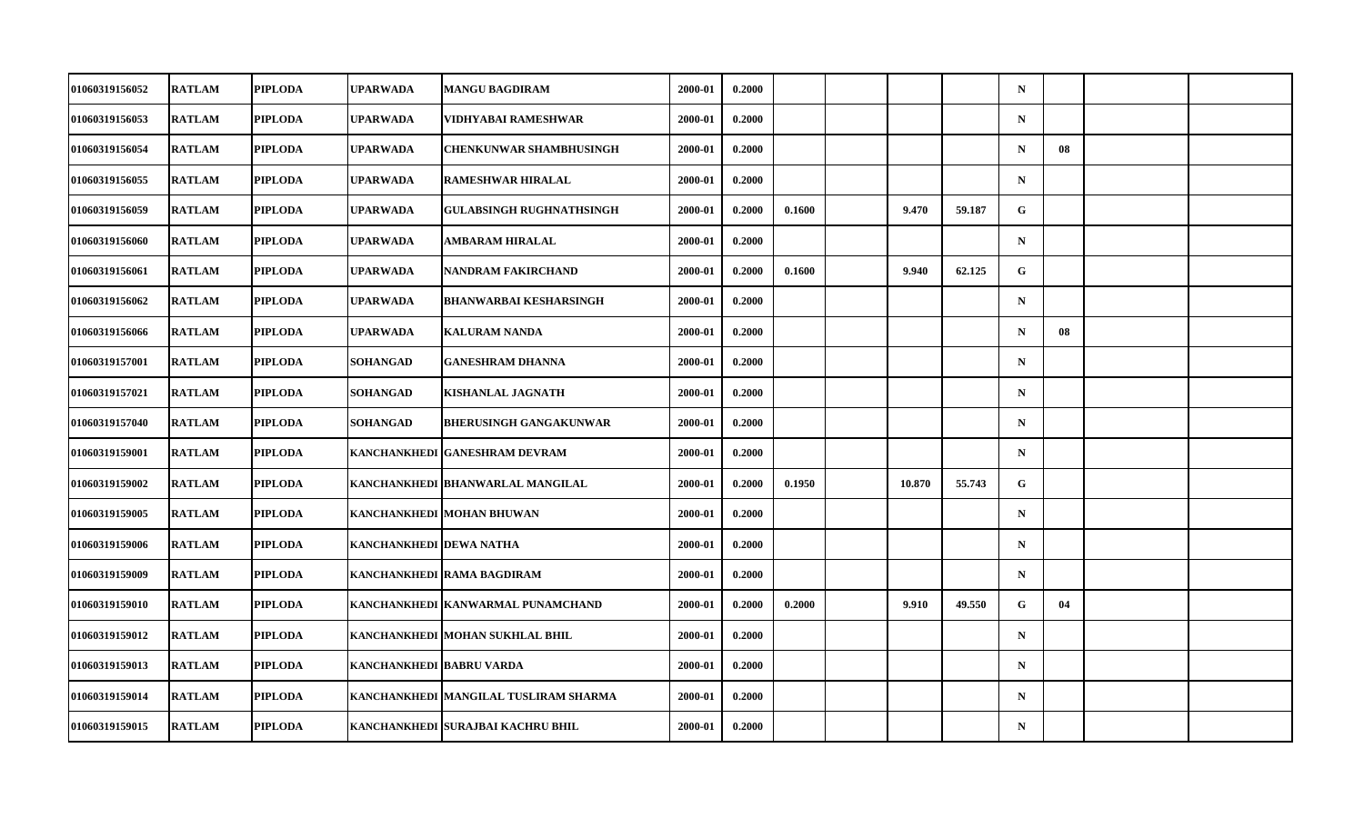| 01060319156052        | <b>RATLAM</b> | <b>PIPLODA</b> | <b>UPARWADA</b>           | <b>MANGU BAGDIRAM</b>                 | 2000-01 | 0.2000 |        |        |        | $\mathbf N$ |    |  |
|-----------------------|---------------|----------------|---------------------------|---------------------------------------|---------|--------|--------|--------|--------|-------------|----|--|
| 01060319156053        | <b>RATLAM</b> | <b>PIPLODA</b> | UPARWADA                  | VIDHYABAI RAMESHWAR                   | 2000-01 | 0.2000 |        |        |        | ${\bf N}$   |    |  |
| 01060319156054        | <b>RATLAM</b> | <b>PIPLODA</b> | <b>UPARWADA</b>           | <b>CHENKUNWAR SHAMBHUSINGH</b>        | 2000-01 | 0.2000 |        |        |        | $\mathbf N$ | 08 |  |
| 01060319156055        | <b>RATLAM</b> | <b>PIPLODA</b> | <b>UPARWADA</b>           | <b>RAMESHWAR HIRALAL</b>              | 2000-01 | 0.2000 |        |        |        | $\mathbf N$ |    |  |
| 01060319156059        | <b>RATLAM</b> | <b>PIPLODA</b> | UPARWADA                  | <b>GULABSINGH RUGHNATHSINGH</b>       | 2000-01 | 0.2000 | 0.1600 | 9.470  | 59.187 | G           |    |  |
| 01060319156060        | <b>RATLAM</b> | <b>PIPLODA</b> | <b>UPARWADA</b>           | <b>AMBARAM HIRALAL</b>                | 2000-01 | 0.2000 |        |        |        | $\mathbf N$ |    |  |
| 01060319156061        | <b>RATLAM</b> | <b>PIPLODA</b> | <b>UPARWADA</b>           | <b>NANDRAM FAKIRCHAND</b>             | 2000-01 | 0.2000 | 0.1600 | 9.940  | 62.125 | G.          |    |  |
| 01060319156062        | <b>RATLAM</b> | <b>PIPLODA</b> | UPARWADA                  | <b>BHANWARBAI KESHARSINGH</b>         | 2000-01 | 0.2000 |        |        |        | $\mathbf N$ |    |  |
| 01060319156066        | <b>RATLAM</b> | <b>PIPLODA</b> | <b>UPARWADA</b>           | <b>KALURAM NANDA</b>                  | 2000-01 | 0.2000 |        |        |        | $\mathbf N$ | 08 |  |
| 01060319157001        | <b>RATLAM</b> | <b>PIPLODA</b> | SOHANGAD                  | <b>GANESHRAM DHANNA</b>               | 2000-01 | 0.2000 |        |        |        | $\mathbf N$ |    |  |
| 01060319157021        | <b>RATLAM</b> | <b>PIPLODA</b> | SOHANGAD                  | <b>KISHANLAL JAGNATH</b>              | 2000-01 | 0.2000 |        |        |        | $\mathbf N$ |    |  |
| 01060319157040        | <b>RATLAM</b> | <b>PIPLODA</b> | <b>SOHANGAD</b>           | <b>BHERUSINGH GANGAKUNWAR</b>         | 2000-01 | 0.2000 |        |        |        | $\mathbf N$ |    |  |
| 01060319159001        | <b>RATLAM</b> | <b>PIPLODA</b> |                           | KANCHANKHEDI GANESHRAM DEVRAM         | 2000-01 | 0.2000 |        |        |        | $\mathbf N$ |    |  |
| 01060319159002        | <b>RATLAM</b> | <b>PIPLODA</b> |                           | KANCHANKHEDI BHANWARLAL MANGILAL      | 2000-01 | 0.2000 | 0.1950 | 10.870 | 55.743 | G           |    |  |
| 01060319159005        | <b>RATLAM</b> | <b>PIPLODA</b> |                           | KANCHANKHEDI MOHAN BHUWAN             | 2000-01 | 0.2000 |        |        |        | $\mathbf N$ |    |  |
| 01060319159006        | <b>RATLAM</b> | <b>PIPLODA</b> | KANCHANKHEDI DEWA NATHA   |                                       | 2000-01 | 0.2000 |        |        |        | $\mathbf N$ |    |  |
| <b>01060319159009</b> | <b>RATLAM</b> | <b>PIPLODA</b> |                           | KANCHANKHEDI  RAMA BAGDIRAM           | 2000-01 | 0.2000 |        |        |        | $\mathbf N$ |    |  |
| 01060319159010        | <b>RATLAM</b> | <b>PIPLODA</b> |                           | KANCHANKHEDI   KANWARMAL PUNAMCHAND   | 2000-01 | 0.2000 | 0.2000 | 9.910  | 49.550 | G           | 04 |  |
| 01060319159012        | <b>RATLAM</b> | <b>PIPLODA</b> |                           | KANCHANKHEDI   MOHAN SUKHLAL BHIL     | 2000-01 | 0.2000 |        |        |        | $\mathbf N$ |    |  |
| 01060319159013        | <b>RATLAM</b> | <b>PIPLODA</b> | KANCHANKHEDI  BABRU VARDA |                                       | 2000-01 | 0.2000 |        |        |        | $\mathbf N$ |    |  |
| 01060319159014        | <b>RATLAM</b> | <b>PIPLODA</b> |                           | KANCHANKHEDI MANGILAL TUSLIRAM SHARMA | 2000-01 | 0.2000 |        |        |        | $\mathbf N$ |    |  |
| 01060319159015        | <b>RATLAM</b> | <b>PIPLODA</b> |                           | KANCHANKHEDI SURAJBAI KACHRU BHIL     | 2000-01 | 0.2000 |        |        |        | $\mathbf N$ |    |  |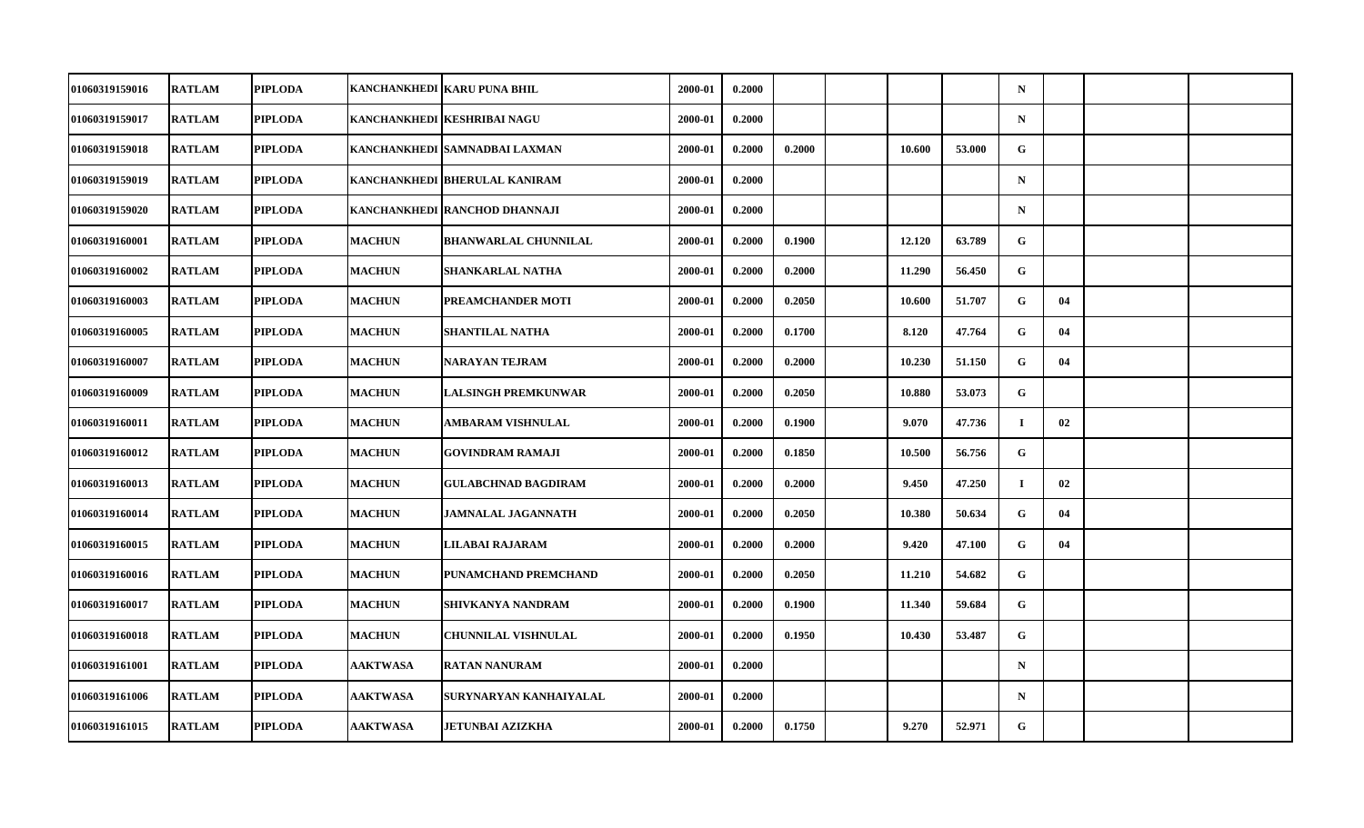| 01060319159016 | <b>RATLAM</b> | <b>PIPLODA</b> |                 | KANCHANKHEDI KARU PUNA BHIL   | 2000-01 | 0.2000 |        |        |        | $\mathbf N$ |    |  |
|----------------|---------------|----------------|-----------------|-------------------------------|---------|--------|--------|--------|--------|-------------|----|--|
| 01060319159017 | <b>RATLAM</b> | <b>PIPLODA</b> |                 | KANCHANKHEDI KESHRIBAI NAGU   | 2000-01 | 0.2000 |        |        |        | $\mathbf N$ |    |  |
| 01060319159018 | <b>RATLAM</b> | <b>PIPLODA</b> |                 | KANCHANKHEDI SAMNADBAI LAXMAN | 2000-01 | 0.2000 | 0.2000 | 10.600 | 53.000 | G           |    |  |
| 01060319159019 | <b>RATLAM</b> | <b>PIPLODA</b> |                 | KANCHANKHEDI BHERULAL KANIRAM | 2000-01 | 0.2000 |        |        |        | $\mathbf N$ |    |  |
| 01060319159020 | <b>RATLAM</b> | <b>PIPLODA</b> |                 | KANCHANKHEDI RANCHOD DHANNAJI | 2000-01 | 0.2000 |        |        |        | $\mathbf N$ |    |  |
| 01060319160001 | <b>RATLAM</b> | <b>PIPLODA</b> | <b>MACHUN</b>   | BHANWARLAL CHUNNILAL          | 2000-01 | 0.2000 | 0.1900 | 12.120 | 63.789 | G           |    |  |
| 01060319160002 | <b>RATLAM</b> | <b>PIPLODA</b> | <b>MACHUN</b>   | <b>SHANKARLAL NATHA</b>       | 2000-01 | 0.2000 | 0.2000 | 11.290 | 56.450 | G           |    |  |
| 01060319160003 | <b>RATLAM</b> | <b>PIPLODA</b> | <b>MACHUN</b>   | PREAMCHANDER MOTI             | 2000-01 | 0.2000 | 0.2050 | 10.600 | 51.707 | G           | 04 |  |
| 01060319160005 | <b>RATLAM</b> | <b>PIPLODA</b> | <b>MACHUN</b>   | <b>SHANTILAL NATHA</b>        | 2000-01 | 0.2000 | 0.1700 | 8.120  | 47.764 | G           | 04 |  |
| 01060319160007 | <b>RATLAM</b> | <b>PIPLODA</b> | <b>MACHUN</b>   | <b>NARAYAN TEJRAM</b>         | 2000-01 | 0.2000 | 0.2000 | 10.230 | 51.150 | G           | 04 |  |
| 01060319160009 | <b>RATLAM</b> | <b>PIPLODA</b> | <b>MACHUN</b>   | <b>LALSINGH PREMKUNWAR</b>    | 2000-01 | 0.2000 | 0.2050 | 10.880 | 53.073 | G           |    |  |
| 01060319160011 | <b>RATLAM</b> | <b>PIPLODA</b> | <b>MACHUN</b>   | AMBARAM VISHNULAL             | 2000-01 | 0.2000 | 0.1900 | 9.070  | 47.736 | Ι.          | 02 |  |
| 01060319160012 | <b>RATLAM</b> | <b>PIPLODA</b> | <b>MACHUN</b>   | <b>GOVINDRAM RAMAJI</b>       | 2000-01 | 0.2000 | 0.1850 | 10.500 | 56.756 | G           |    |  |
| 01060319160013 | <b>RATLAM</b> | <b>PIPLODA</b> | <b>MACHUN</b>   | <b>GULABCHNAD BAGDIRAM</b>    | 2000-01 | 0.2000 | 0.2000 | 9.450  | 47.250 | $\bf{I}$    | 02 |  |
| 01060319160014 | <b>RATLAM</b> | <b>PIPLODA</b> | <b>MACHUN</b>   | <b>JAMNALAL JAGANNATH</b>     | 2000-01 | 0.2000 | 0.2050 | 10.380 | 50.634 | G           | 04 |  |
| 01060319160015 | <b>RATLAM</b> | <b>PIPLODA</b> | <b>MACHUN</b>   | LILABAI RAJARAM               | 2000-01 | 0.2000 | 0.2000 | 9.420  | 47.100 | G           | 04 |  |
| 01060319160016 | <b>RATLAM</b> | <b>PIPLODA</b> | <b>MACHUN</b>   | PUNAMCHAND PREMCHAND          | 2000-01 | 0.2000 | 0.2050 | 11.210 | 54.682 | G           |    |  |
| 01060319160017 | <b>RATLAM</b> | <b>PIPLODA</b> | <b>MACHUN</b>   | <b>SHIVKANYA NANDRAM</b>      | 2000-01 | 0.2000 | 0.1900 | 11.340 | 59.684 | G           |    |  |
| 01060319160018 | <b>RATLAM</b> | <b>PIPLODA</b> | <b>MACHUN</b>   | CHUNNILAL VISHNULAL           | 2000-01 | 0.2000 | 0.1950 | 10.430 | 53.487 | G           |    |  |
| 01060319161001 | <b>RATLAM</b> | <b>PIPLODA</b> | <b>AAKTWASA</b> | <b>RATAN NANURAM</b>          | 2000-01 | 0.2000 |        |        |        | $\mathbf N$ |    |  |
| 01060319161006 | <b>RATLAM</b> | <b>PIPLODA</b> | <b>AAKTWASA</b> | SURYNARYAN KANHAIYALAL        | 2000-01 | 0.2000 |        |        |        | $\mathbf N$ |    |  |
| 01060319161015 | <b>RATLAM</b> | <b>PIPLODA</b> | <b>AAKTWASA</b> | <b>JETUNBAI AZIZKHA</b>       | 2000-01 | 0.2000 | 0.1750 | 9.270  | 52.971 | G           |    |  |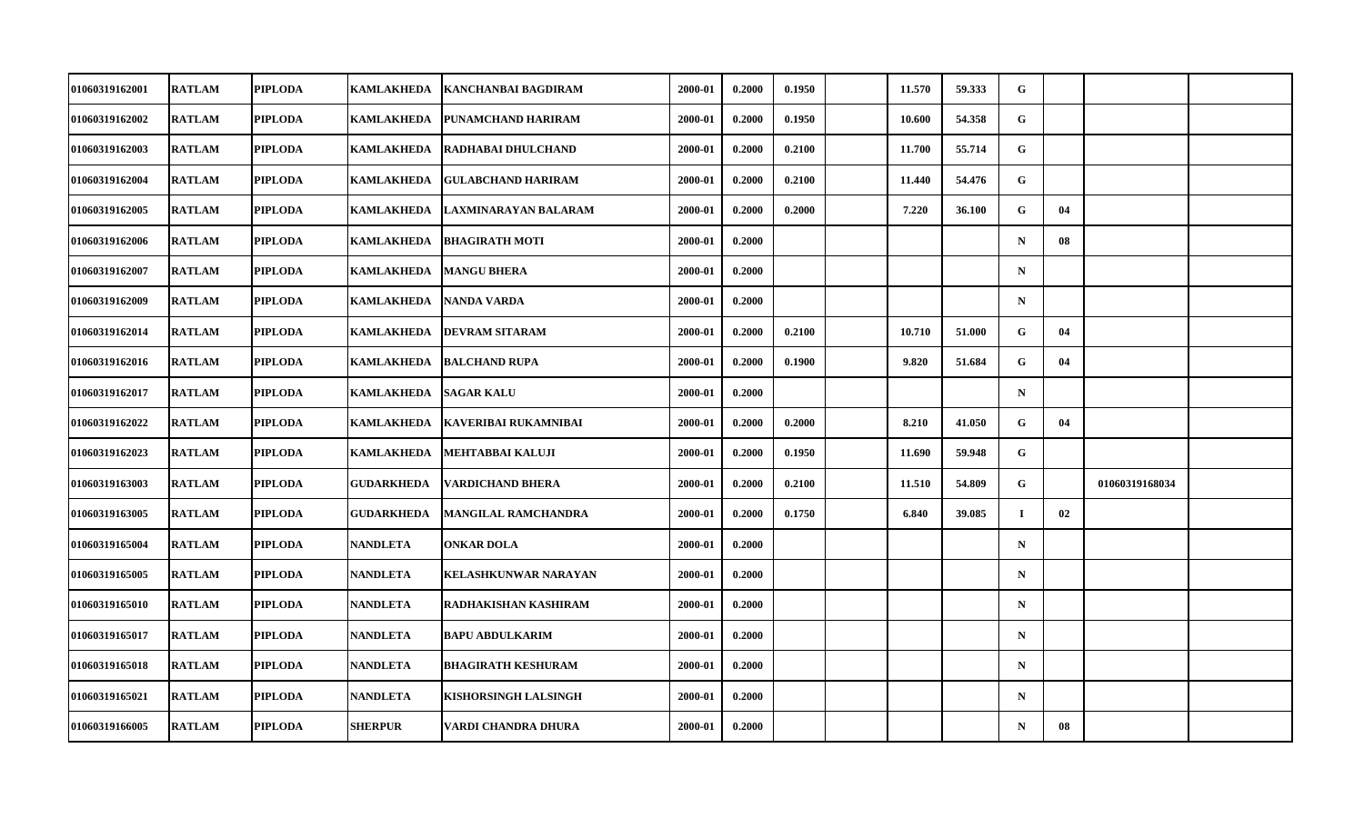| 01060319162001        | <b>RATLAM</b> | <b>PIPLODA</b> | KAMLAKHEDA        | <b>KANCHANBAI BAGDIRAM</b> | 2000-01 | 0.2000 | 0.1950 | 11.570 | 59.333 | G            |    |                |  |
|-----------------------|---------------|----------------|-------------------|----------------------------|---------|--------|--------|--------|--------|--------------|----|----------------|--|
| 01060319162002        | <b>RATLAM</b> | <b>PIPLODA</b> | KAMLAKHEDA        | PUNAMCHAND HARIRAM         | 2000-01 | 0.2000 | 0.1950 | 10.600 | 54.358 | G            |    |                |  |
| 01060319162003        | <b>RATLAM</b> | <b>PIPLODA</b> | <b>KAMLAKHEDA</b> | RADHABAI DHULCHAND         | 2000-01 | 0.2000 | 0.2100 | 11.700 | 55.714 | G            |    |                |  |
| 01060319162004        | <b>RATLAM</b> | <b>PIPLODA</b> | <b>KAMLAKHEDA</b> | <b>GULABCHAND HARIRAM</b>  | 2000-01 | 0.2000 | 0.2100 | 11.440 | 54.476 | $\mathbf{G}$ |    |                |  |
| 01060319162005        | <b>RATLAM</b> | <b>PIPLODA</b> | <b>KAMLAKHEDA</b> | LAXMINARAYAN BALARAM       | 2000-01 | 0.2000 | 0.2000 | 7.220  | 36.100 | G            | 04 |                |  |
| 01060319162006        | <b>RATLAM</b> | <b>PIPLODA</b> | <b>KAMLAKHEDA</b> | <b>BHAGIRATH MOTI</b>      | 2000-01 | 0.2000 |        |        |        | $\mathbf N$  | 08 |                |  |
| 01060319162007        | <b>RATLAM</b> | <b>PIPLODA</b> | <b>KAMLAKHEDA</b> | <b>MANGU BHERA</b>         | 2000-01 | 0.2000 |        |        |        | $\mathbf N$  |    |                |  |
| <b>01060319162009</b> | <b>RATLAM</b> | <b>PIPLODA</b> | KAMLAKHEDA        | NANDA VARDA                | 2000-01 | 0.2000 |        |        |        | $\mathbf N$  |    |                |  |
| 01060319162014        | <b>RATLAM</b> | <b>PIPLODA</b> | <b>KAMLAKHEDA</b> | <b>DEVRAM SITARAM</b>      | 2000-01 | 0.2000 | 0.2100 | 10.710 | 51.000 | G            | 04 |                |  |
| 01060319162016        | <b>RATLAM</b> | <b>PIPLODA</b> | <b>KAMLAKHEDA</b> | <b>BALCHAND RUPA</b>       | 2000-01 | 0.2000 | 0.1900 | 9.820  | 51.684 | G            | 04 |                |  |
| <b>01060319162017</b> | <b>RATLAM</b> | <b>PIPLODA</b> | KAMLAKHEDA        | <b>SAGAR KALU</b>          | 2000-01 | 0.2000 |        |        |        | $\mathbf N$  |    |                |  |
| 01060319162022        | <b>RATLAM</b> | <b>PIPLODA</b> | <b>KAMLAKHEDA</b> | KAVERIBAI RUKAMNIBAI       | 2000-01 | 0.2000 | 0.2000 | 8.210  | 41.050 | G            | 04 |                |  |
| 01060319162023        | <b>RATLAM</b> | <b>PIPLODA</b> | <b>KAMLAKHEDA</b> | <b>MEHTABBAI KALUJI</b>    | 2000-01 | 0.2000 | 0.1950 | 11.690 | 59.948 | G            |    |                |  |
| 01060319163003        | <b>RATLAM</b> | <b>PIPLODA</b> | <b>GUDARKHEDA</b> | <b>VARDICHAND BHERA</b>    | 2000-01 | 0.2000 | 0.2100 | 11.510 | 54.809 | G            |    | 01060319168034 |  |
| 01060319163005        | <b>RATLAM</b> | <b>PIPLODA</b> | <b>GUDARKHEDA</b> | <b>MANGILAL RAMCHANDRA</b> | 2000-01 | 0.2000 | 0.1750 | 6.840  | 39.085 | $\bf{I}$     | 02 |                |  |
| 01060319165004        | <b>RATLAM</b> | <b>PIPLODA</b> | <b>NANDLETA</b>   | <b>ONKAR DOLA</b>          | 2000-01 | 0.2000 |        |        |        | $\mathbf N$  |    |                |  |
| 01060319165005        | <b>RATLAM</b> | <b>PIPLODA</b> | <b>NANDLETA</b>   | KELASHKUNWAR NARAYAN       | 2000-01 | 0.2000 |        |        |        | $\mathbf N$  |    |                |  |
| 01060319165010        | <b>RATLAM</b> | <b>PIPLODA</b> | <b>NANDLETA</b>   | RADHAKISHAN KASHIRAM       | 2000-01 | 0.2000 |        |        |        | $\mathbf N$  |    |                |  |
| 01060319165017        | <b>RATLAM</b> | <b>PIPLODA</b> | <b>NANDLETA</b>   | <b>BAPU ABDULKARIM</b>     | 2000-01 | 0.2000 |        |        |        | $\mathbf N$  |    |                |  |
| 01060319165018        | <b>RATLAM</b> | <b>PIPLODA</b> | <b>NANDLETA</b>   | <b>BHAGIRATH KESHURAM</b>  | 2000-01 | 0.2000 |        |        |        | $\mathbf N$  |    |                |  |
| 01060319165021        | <b>RATLAM</b> | <b>PIPLODA</b> | NANDLETA          | KISHORSINGH LALSINGH       | 2000-01 | 0.2000 |        |        |        | $\mathbf N$  |    |                |  |
| 01060319166005        | <b>RATLAM</b> | <b>PIPLODA</b> | <b>SHERPUR</b>    | VARDI CHANDRA DHURA        | 2000-01 | 0.2000 |        |        |        | $\mathbf N$  | 08 |                |  |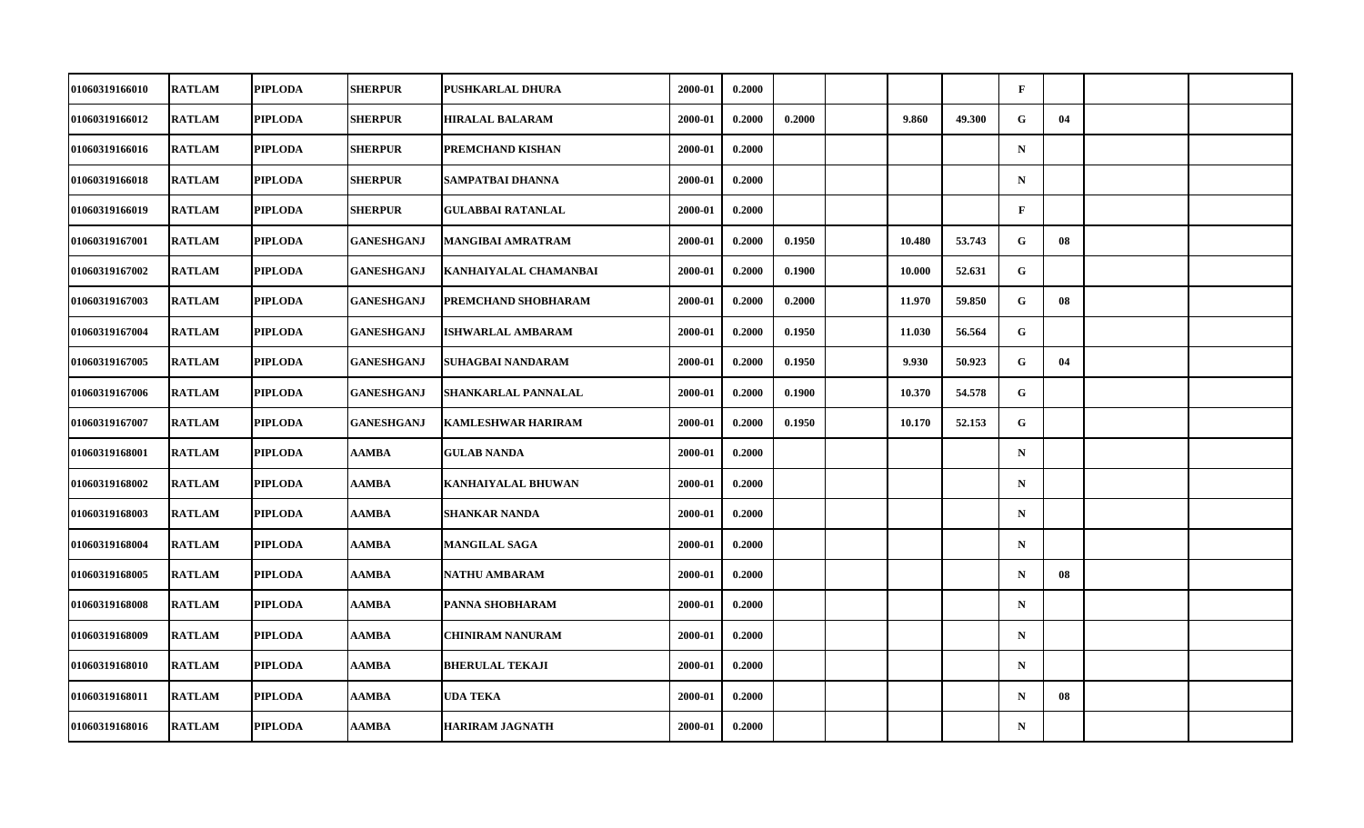| 01060319166010        | <b>RATLAM</b> | <b>PIPLODA</b> | <b>SHERPUR</b>    | PUSHKARLAL DHURA          | 2000-01 | 0.2000 |        |        |        | $\mathbf{F}$ |    |  |
|-----------------------|---------------|----------------|-------------------|---------------------------|---------|--------|--------|--------|--------|--------------|----|--|
| 01060319166012        | <b>RATLAM</b> | <b>PIPLODA</b> | <b>SHERPUR</b>    | <b>HIRALAL BALARAM</b>    | 2000-01 | 0.2000 | 0.2000 | 9.860  | 49.300 | G            | 04 |  |
| 01060319166016        | <b>RATLAM</b> | <b>PIPLODA</b> | <b>SHERPUR</b>    | PREMCHAND KISHAN          | 2000-01 | 0.2000 |        |        |        | $\mathbf N$  |    |  |
| 01060319166018        | <b>RATLAM</b> | <b>PIPLODA</b> | <b>SHERPUR</b>    | SAMPATBAI DHANNA          | 2000-01 | 0.2000 |        |        |        | $\mathbf N$  |    |  |
| 01060319166019        | <b>RATLAM</b> | <b>PIPLODA</b> | <b>SHERPUR</b>    | <b>GULABBAI RATANLAL</b>  | 2000-01 | 0.2000 |        |        |        | $\mathbf{F}$ |    |  |
| 01060319167001        | <b>RATLAM</b> | <b>PIPLODA</b> | <b>GANESHGANJ</b> | <b>MANGIBAI AMRATRAM</b>  | 2000-01 | 0.2000 | 0.1950 | 10.480 | 53.743 | G            | 08 |  |
| 01060319167002        | <b>RATLAM</b> | <b>PIPLODA</b> | <b>GANESHGANJ</b> | KANHAIYALAL CHAMANBAI     | 2000-01 | 0.2000 | 0.1900 | 10.000 | 52.631 | $\mathbf{G}$ |    |  |
| 01060319167003        | <b>RATLAM</b> | <b>PIPLODA</b> | GANESHGANJ        | PREMCHAND SHOBHARAM       | 2000-01 | 0.2000 | 0.2000 | 11.970 | 59.850 | G            | 08 |  |
| 01060319167004        | <b>RATLAM</b> | <b>PIPLODA</b> | <b>GANESHGANJ</b> | <b>ISHWARLAL AMBARAM</b>  | 2000-01 | 0.2000 | 0.1950 | 11.030 | 56.564 | G            |    |  |
| 01060319167005        | <b>RATLAM</b> | <b>PIPLODA</b> | <b>GANESHGANJ</b> | SUHAGBAI NANDARAM         | 2000-01 | 0.2000 | 0.1950 | 9.930  | 50.923 | G.           | 04 |  |
| 01060319167006        | <b>RATLAM</b> | <b>PIPLODA</b> | GANESHGANJ        | SHANKARLAL PANNALAL       | 2000-01 | 0.2000 | 0.1900 | 10.370 | 54.578 | G            |    |  |
| 01060319167007        | <b>RATLAM</b> | <b>PIPLODA</b> | <b>GANESHGANJ</b> | <b>KAMLESHWAR HARIRAM</b> | 2000-01 | 0.2000 | 0.1950 | 10.170 | 52.153 | G            |    |  |
| 01060319168001        | <b>RATLAM</b> | <b>PIPLODA</b> | AAMBA             | <b>GULAB NANDA</b>        | 2000-01 | 0.2000 |        |        |        | ${\bf N}$    |    |  |
| 01060319168002        | <b>RATLAM</b> | <b>PIPLODA</b> | AAMBA             | <b>KANHAIYALAL BHUWAN</b> | 2000-01 | 0.2000 |        |        |        | $\mathbf N$  |    |  |
| 01060319168003        | <b>RATLAM</b> | <b>PIPLODA</b> | AAMBA             | <b>SHANKAR NANDA</b>      | 2000-01 | 0.2000 |        |        |        | $\mathbf N$  |    |  |
| 01060319168004        | <b>RATLAM</b> | <b>PIPLODA</b> | AAMBA             | <b>MANGILAL SAGA</b>      | 2000-01 | 0.2000 |        |        |        | $\mathbf N$  |    |  |
| <b>01060319168005</b> | <b>RATLAM</b> | <b>PIPLODA</b> | AAMBA             | <b>NATHU AMBARAM</b>      | 2000-01 | 0.2000 |        |        |        | $\mathbf N$  | 08 |  |
| 01060319168008        | <b>RATLAM</b> | <b>PIPLODA</b> | AAMBA             | PANNA SHOBHARAM           | 2000-01 | 0.2000 |        |        |        | $\mathbf N$  |    |  |
| 01060319168009        | <b>RATLAM</b> | <b>PIPLODA</b> | AAMBA             | <b>CHINIRAM NANURAM</b>   | 2000-01 | 0.2000 |        |        |        | $\mathbf N$  |    |  |
| 01060319168010        | <b>RATLAM</b> | <b>PIPLODA</b> | AAMBA             | <b>BHERULAL TEKAJI</b>    | 2000-01 | 0.2000 |        |        |        | $\mathbf N$  |    |  |
| 01060319168011        | <b>RATLAM</b> | <b>PIPLODA</b> | AAMBA             | <b>UDA TEKA</b>           | 2000-01 | 0.2000 |        |        |        | $\mathbf N$  | 08 |  |
| 01060319168016        | <b>RATLAM</b> | <b>PIPLODA</b> | AAMBA             | <b>HARIRAM JAGNATH</b>    | 2000-01 | 0.2000 |        |        |        | $\mathbf N$  |    |  |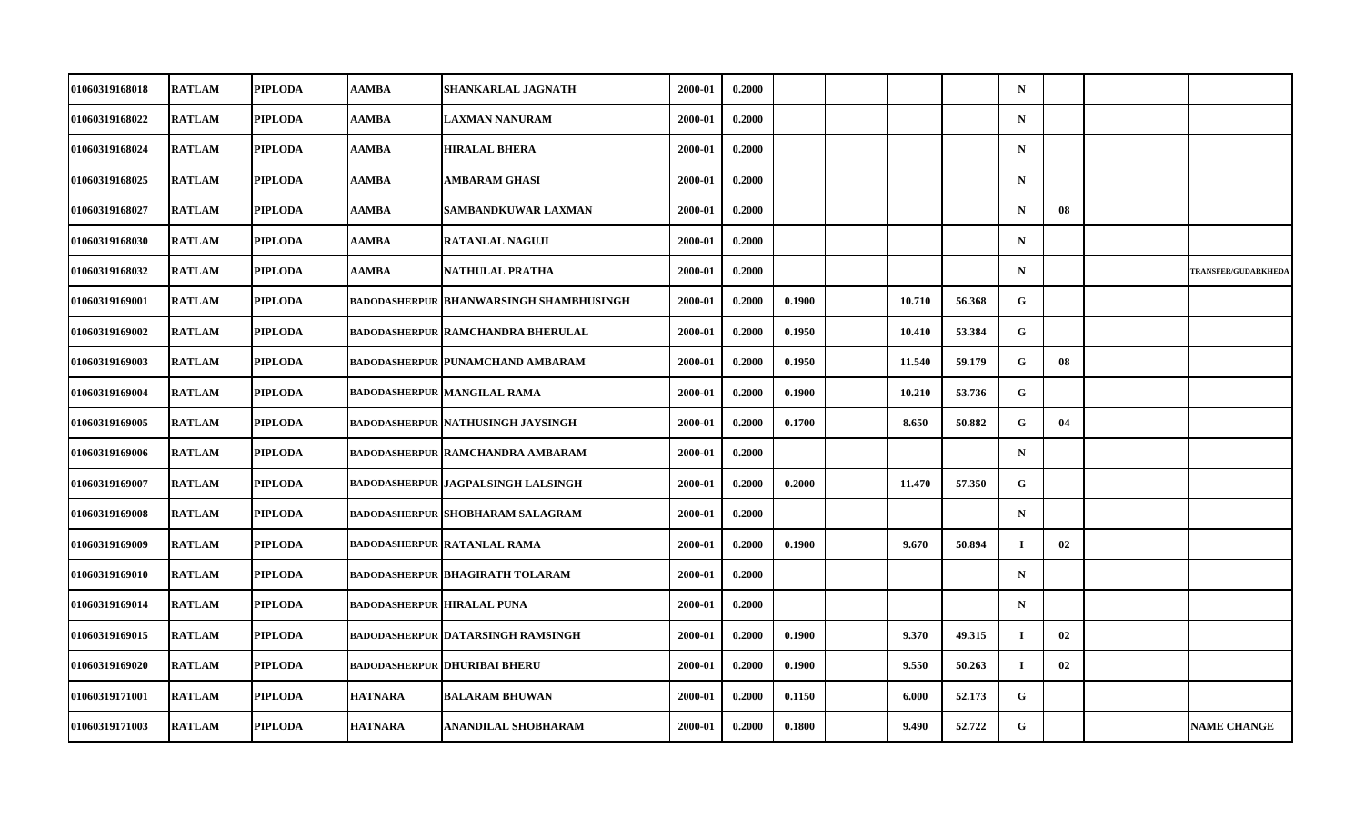| 01060319168018        | <b>RATLAM</b> | <b>PIPLODA</b> | AAMBA                      | SHANKARLAL JAGNATH                       | 2000-01 | 0.2000 |        |        |        | $\mathbf N$  |    |                            |
|-----------------------|---------------|----------------|----------------------------|------------------------------------------|---------|--------|--------|--------|--------|--------------|----|----------------------------|
| 01060319168022        | <b>RATLAM</b> | <b>PIPLODA</b> | AAMBA                      | <b>LAXMAN NANURAM</b>                    | 2000-01 | 0.2000 |        |        |        | $\mathbf N$  |    |                            |
| 01060319168024        | <b>RATLAM</b> | <b>PIPLODA</b> | AAMBA                      | <b>HIRALAL BHERA</b>                     | 2000-01 | 0.2000 |        |        |        | $\mathbf N$  |    |                            |
| 01060319168025        | <b>RATLAM</b> | <b>PIPLODA</b> | AAMBA                      | AMBARAM GHASI                            | 2000-01 | 0.2000 |        |        |        | $\mathbf N$  |    |                            |
| 01060319168027        | <b>RATLAM</b> | <b>PIPLODA</b> | AAMBA                      | SAMBANDKUWAR LAXMAN                      | 2000-01 | 0.2000 |        |        |        | $\mathbf N$  | 08 |                            |
| 01060319168030        | <b>RATLAM</b> | <b>PIPLODA</b> | AAMBA                      | <b>RATANLAL NAGUJI</b>                   | 2000-01 | 0.2000 |        |        |        | $\mathbf N$  |    |                            |
| 01060319168032        | <b>RATLAM</b> | <b>PIPLODA</b> | AAMBA                      | NATHULAL PRATHA                          | 2000-01 | 0.2000 |        |        |        | $\mathbf N$  |    | <b>TRANSFER/GUDARKHEDA</b> |
| 01060319169001        | <b>RATLAM</b> | <b>PIPLODA</b> |                            | BADODASHERPUR BHANWARSINGH SHAMBHUSINGH  | 2000-01 | 0.2000 | 0.1900 | 10.710 | 56.368 | G            |    |                            |
| 01060319169002        | <b>RATLAM</b> | <b>PIPLODA</b> |                            | <b>BADODASHERPUR RAMCHANDRA BHERULAL</b> | 2000-01 | 0.2000 | 0.1950 | 10.410 | 53.384 | G            |    |                            |
| 01060319169003        | <b>RATLAM</b> | <b>PIPLODA</b> |                            | <b>BADODASHERPUR PUNAMCHAND AMBARAM</b>  | 2000-01 | 0.2000 | 0.1950 | 11.540 | 59.179 | G.           | 08 |                            |
| 01060319169004        | <b>RATLAM</b> | <b>PIPLODA</b> |                            | BADODASHERPUR MANGILAL RAMA              | 2000-01 | 0.2000 | 0.1900 | 10.210 | 53.736 | G            |    |                            |
| 01060319169005        | <b>RATLAM</b> | <b>PIPLODA</b> |                            | <b>BADODASHERPUR NATHUSINGH JAYSINGH</b> | 2000-01 | 0.2000 | 0.1700 | 8.650  | 50.882 | G            | 04 |                            |
| 01060319169006        | <b>RATLAM</b> | <b>PIPLODA</b> |                            | <b>BADODASHERPUR RAMCHANDRA AMBARAM</b>  | 2000-01 | 0.2000 |        |        |        | $\mathbf N$  |    |                            |
| 01060319169007        | <b>RATLAM</b> | <b>PIPLODA</b> |                            | BADODASHERPUR   JAGPALSINGH LALSINGH     | 2000-01 | 0.2000 | 0.2000 | 11.470 | 57.350 | G            |    |                            |
| 01060319169008        | <b>RATLAM</b> | <b>PIPLODA</b> |                            | <b>BADODASHERPUR SHOBHARAM SALAGRAM</b>  | 2000-01 | 0.2000 |        |        |        | $\mathbf N$  |    |                            |
| 01060319169009        | <b>RATLAM</b> | <b>PIPLODA</b> |                            | <b>BADODASHERPUR RATANLAL RAMA</b>       | 2000-01 | 0.2000 | 0.1900 | 9.670  | 50.894 | $\bf{I}$     | 02 |                            |
| <b>01060319169010</b> | <b>RATLAM</b> | <b>PIPLODA</b> |                            | BADODASHERPUR  BHAGIRATH TOLARAM         | 2000-01 | 0.2000 |        |        |        | $\mathbf N$  |    |                            |
| 01060319169014        | <b>RATLAM</b> | <b>PIPLODA</b> | BADODASHERPUR HIRALAL PUNA |                                          | 2000-01 | 0.2000 |        |        |        | $\mathbf N$  |    |                            |
| 01060319169015        | <b>RATLAM</b> | <b>PIPLODA</b> |                            | <b>BADODASHERPUR DATARSINGH RAMSINGH</b> | 2000-01 | 0.2000 | 0.1900 | 9.370  | 49.315 | $\mathbf I$  | 02 |                            |
| 01060319169020        | <b>RATLAM</b> | <b>PIPLODA</b> |                            | <b>BADODASHERPUR   DHURIBAI BHERU</b>    | 2000-01 | 0.2000 | 0.1900 | 9.550  | 50.263 | Ι.           | 02 |                            |
| 01060319171001        | <b>RATLAM</b> | <b>PIPLODA</b> | <b>HATNARA</b>             | <b>BALARAM BHUWAN</b>                    | 2000-01 | 0.2000 | 0.1150 | 6.000  | 52.173 | $\mathbf{G}$ |    |                            |
| 01060319171003        | <b>RATLAM</b> | <b>PIPLODA</b> | <b>HATNARA</b>             | <b>ANANDILAL SHOBHARAM</b>               | 2000-01 | 0.2000 | 0.1800 | 9.490  | 52.722 | G            |    | <b>NAME CHANGE</b>         |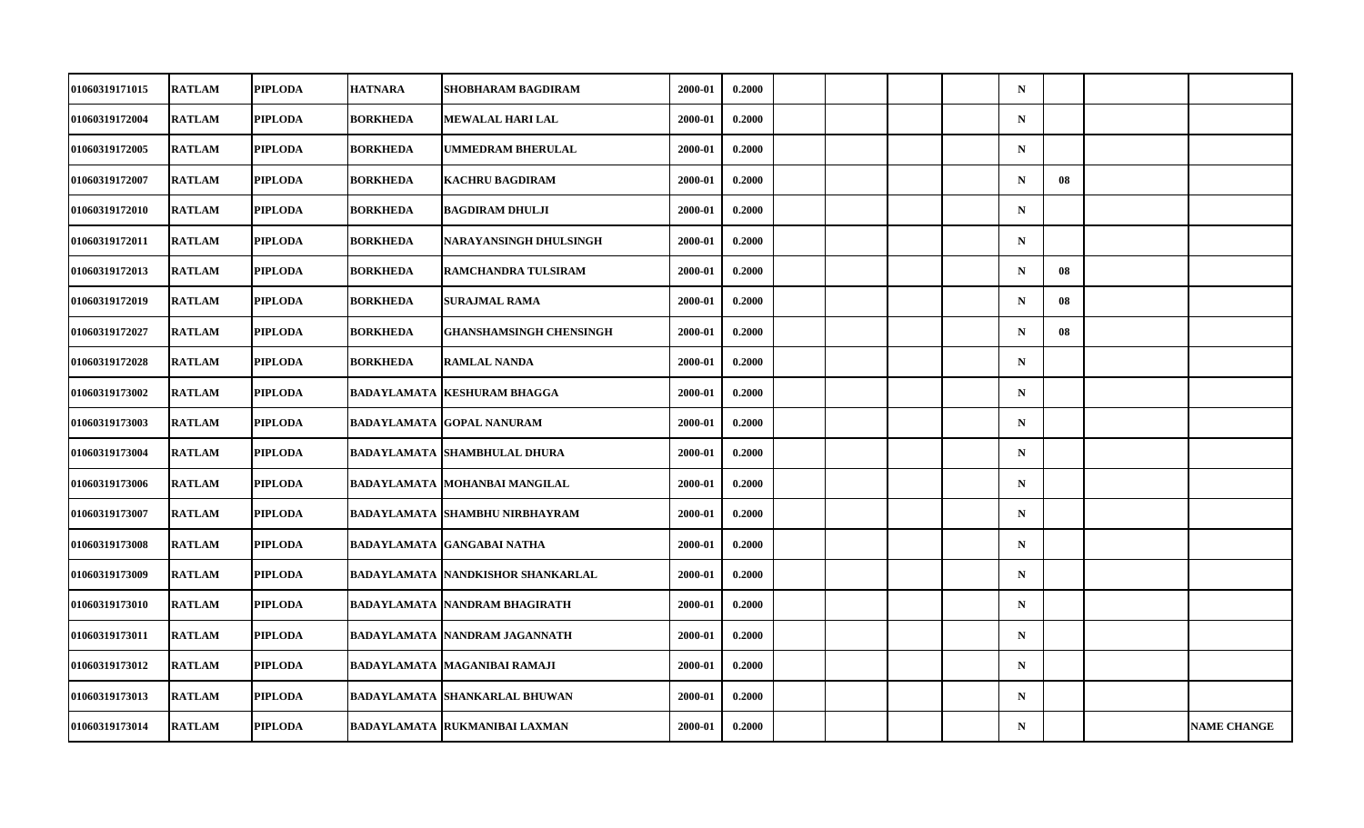| 01060319171015        | <b>RATLAM</b> | <b>PIPLODA</b> | <b>HATNARA</b>  | SHOBHARAM BAGDIRAM                       | 2000-01 | 0.2000 |  |  | $\mathbf N$ |    |                    |
|-----------------------|---------------|----------------|-----------------|------------------------------------------|---------|--------|--|--|-------------|----|--------------------|
| 01060319172004        | <b>RATLAM</b> | <b>PIPLODA</b> | <b>BORKHEDA</b> | MEWALAL HARI LAL                         | 2000-01 | 0.2000 |  |  | $\mathbf N$ |    |                    |
| 01060319172005        | <b>RATLAM</b> | <b>PIPLODA</b> | <b>BORKHEDA</b> | <b>UMMEDRAM BHERULAL</b>                 | 2000-01 | 0.2000 |  |  | $\mathbf N$ |    |                    |
| 01060319172007        | <b>RATLAM</b> | <b>PIPLODA</b> | <b>BORKHEDA</b> | <b>KACHRU BAGDIRAM</b>                   | 2000-01 | 0.2000 |  |  | $\mathbf N$ | 08 |                    |
| 01060319172010        | <b>RATLAM</b> | <b>PIPLODA</b> | <b>BORKHEDA</b> | <b>BAGDIRAM DHULJI</b>                   | 2000-01 | 0.2000 |  |  | $\mathbf N$ |    |                    |
| <b>01060319172011</b> | <b>RATLAM</b> | <b>PIPLODA</b> | <b>BORKHEDA</b> | NARAYANSINGH DHULSINGH                   | 2000-01 | 0.2000 |  |  | $\mathbf N$ |    |                    |
| 01060319172013        | <b>RATLAM</b> | <b>PIPLODA</b> | <b>BORKHEDA</b> | RAMCHANDRA TULSIRAM                      | 2000-01 | 0.2000 |  |  | $\mathbf N$ | 08 |                    |
| 01060319172019        | <b>RATLAM</b> | <b>PIPLODA</b> | <b>BORKHEDA</b> | <b>SURAJMAL RAMA</b>                     | 2000-01 | 0.2000 |  |  | $\mathbf N$ | 08 |                    |
| 01060319172027        | <b>RATLAM</b> | <b>PIPLODA</b> | <b>BORKHEDA</b> | <b>GHANSHAMSINGH CHENSINGH</b>           | 2000-01 | 0.2000 |  |  | $\mathbf N$ | 08 |                    |
| 01060319172028        | <b>RATLAM</b> | <b>PIPLODA</b> | <b>BORKHEDA</b> | <b>RAMLAL NANDA</b>                      | 2000-01 | 0.2000 |  |  | $\mathbf N$ |    |                    |
| 01060319173002        | <b>RATLAM</b> | <b>PIPLODA</b> |                 | <b>BADAYLAMATA   KESHURAM BHAGGA</b>     | 2000-01 | 0.2000 |  |  | $\mathbf N$ |    |                    |
| 01060319173003        | <b>RATLAM</b> | <b>PIPLODA</b> |                 | <b>BADAYLAMATA GOPAL NANURAM</b>         | 2000-01 | 0.2000 |  |  | $\mathbf N$ |    |                    |
| 01060319173004        | <b>RATLAM</b> | <b>PIPLODA</b> |                 | <b>BADAYLAMATA SHAMBHULAL DHURA</b>      | 2000-01 | 0.2000 |  |  | $\mathbf N$ |    |                    |
| 01060319173006        | <b>RATLAM</b> | <b>PIPLODA</b> |                 | <b>BADAYLAMATA MOHANBAI MANGILAL</b>     | 2000-01 | 0.2000 |  |  | $\mathbf N$ |    |                    |
| 01060319173007        | <b>RATLAM</b> | <b>PIPLODA</b> |                 | <b>BADAYLAMATA SHAMBHU NIRBHAYRAM</b>    | 2000-01 | 0.2000 |  |  | $\mathbf N$ |    |                    |
| 01060319173008        | <b>RATLAM</b> | <b>PIPLODA</b> |                 | <b>BADAYLAMATA GANGABAI NATHA</b>        | 2000-01 | 0.2000 |  |  | $\mathbf N$ |    |                    |
| 01060319173009        | <b>RATLAM</b> | <b>PIPLODA</b> |                 | <b>BADAYLAMATA NANDKISHOR SHANKARLAL</b> | 2000-01 | 0.2000 |  |  | $\mathbf N$ |    |                    |
| 01060319173010        | <b>RATLAM</b> | <b>PIPLODA</b> |                 | <b>BADAYLAMATA NANDRAM BHAGIRATH</b>     | 2000-01 | 0.2000 |  |  | $\mathbf N$ |    |                    |
| 01060319173011        | <b>RATLAM</b> | <b>PIPLODA</b> |                 | <b>BADAYLAMATA NANDRAM JAGANNATH</b>     | 2000-01 | 0.2000 |  |  | $\mathbf N$ |    |                    |
| 01060319173012        | <b>RATLAM</b> | <b>PIPLODA</b> |                 | <b>BADAYLAMATA MAGANIBAI RAMAJI</b>      | 2000-01 | 0.2000 |  |  | $\mathbf N$ |    |                    |
| 01060319173013        | <b>RATLAM</b> | <b>PIPLODA</b> |                 | <b>BADAYLAMATA SHANKARLAL BHUWAN</b>     | 2000-01 | 0.2000 |  |  | $\mathbf N$ |    |                    |
| 01060319173014        | <b>RATLAM</b> | <b>PIPLODA</b> |                 | <b>BADAYLAMATA RUKMANIBAI LAXMAN</b>     | 2000-01 | 0.2000 |  |  | $\mathbf N$ |    | <b>NAME CHANGE</b> |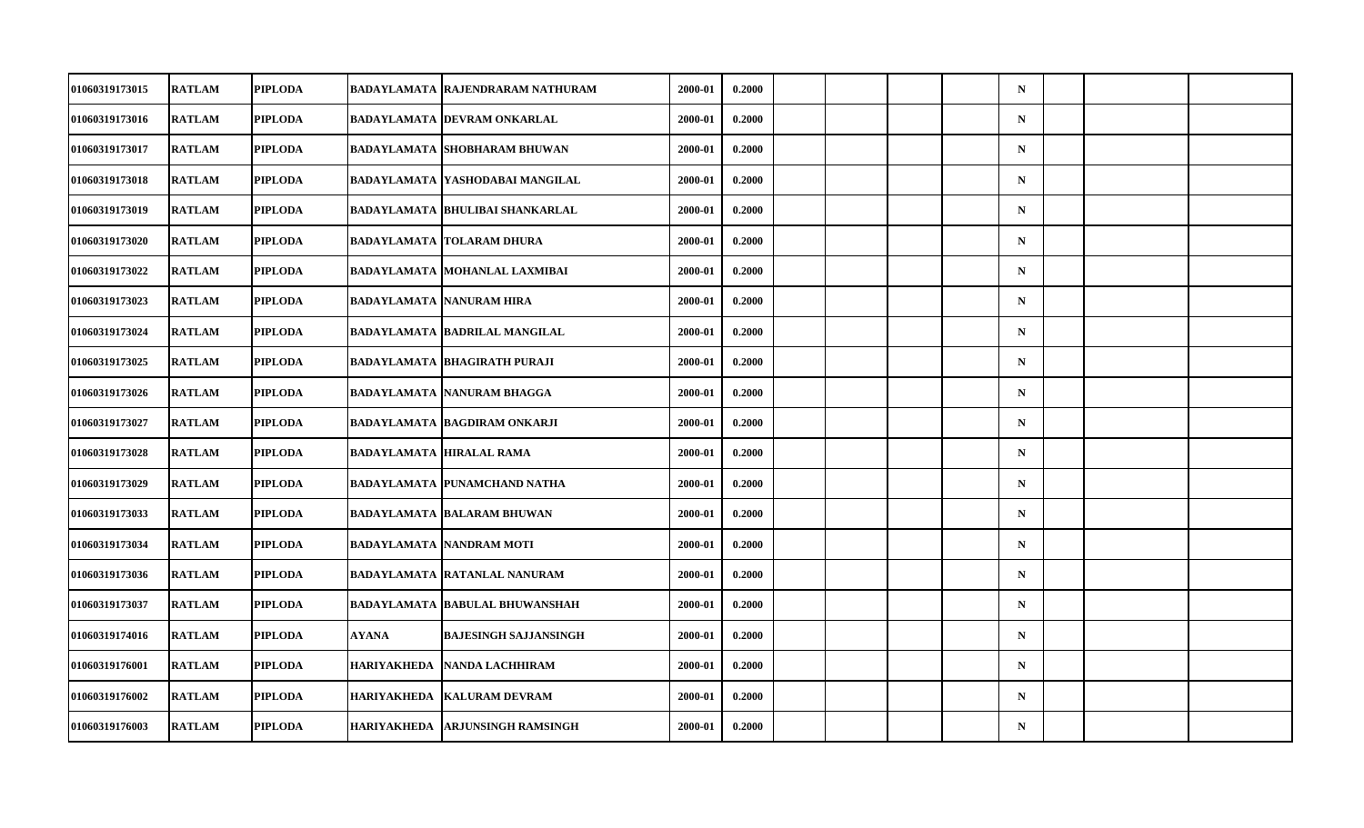| 01060319173015        | <b>RATLAM</b> | <b>PIPLODA</b> |                    | BADAYLAMATA  RAJENDRARAM NATHURAM     | 2000-01     | 0.2000 |  |  | $\mathbf N$ |  |  |
|-----------------------|---------------|----------------|--------------------|---------------------------------------|-------------|--------|--|--|-------------|--|--|
| 01060319173016        | <b>RATLAM</b> | <b>PIPLODA</b> |                    | BADAYLAMATA  DEVRAM ONKARLAL          | 2000-01     | 0.2000 |  |  | ${\bf N}$   |  |  |
| 01060319173017        | <b>RATLAM</b> | <b>PIPLODA</b> |                    | <b>BADAYLAMATA SHOBHARAM BHUWAN</b>   | 2000-01     | 0.2000 |  |  | ${\bf N}$   |  |  |
| 01060319173018        | <b>RATLAM</b> | <b>PIPLODA</b> |                    | BADAYLAMATA  YASHODABAI MANGILAL      | $2000 - 01$ | 0.2000 |  |  | $\mathbf N$ |  |  |
| <b>01060319173019</b> | <b>RATLAM</b> | <b>PIPLODA</b> |                    | BADAYLAMATA  BHULIBAI SHANKARLAL      | 2000-01     | 0.2000 |  |  | $\mathbf N$ |  |  |
| 01060319173020        | <b>RATLAM</b> | <b>PIPLODA</b> |                    | <b>BADAYLAMATA TOLARAM DHURA</b>      | 2000-01     | 0.2000 |  |  | ${\bf N}$   |  |  |
| 01060319173022        | <b>RATLAM</b> | <b>PIPLODA</b> |                    | BADAYLAMATA  MOHANLAL LAXMIBAI        | 2000-01     | 0.2000 |  |  | $\mathbf N$ |  |  |
| <b>01060319173023</b> | <b>RATLAM</b> | <b>PIPLODA</b> |                    | BADAYLAMATA  NANURAM HIRA             | 2000-01     | 0.2000 |  |  | $\mathbf N$ |  |  |
| 01060319173024        | <b>RATLAM</b> | <b>PIPLODA</b> |                    | <b>BADAYLAMATA BADRILAL MANGILAL</b>  | 2000-01     | 0.2000 |  |  | $\mathbf N$ |  |  |
| 01060319173025        | <b>RATLAM</b> | <b>PIPLODA</b> |                    | <b>BADAYLAMATA BHAGIRATH PURAJI</b>   | 2000-01     | 0.2000 |  |  | $\mathbf N$ |  |  |
| 01060319173026        | <b>RATLAM</b> | <b>PIPLODA</b> |                    | BADAYLAMATA NANURAM BHAGGA            | 2000-01     | 0.2000 |  |  | $\mathbf N$ |  |  |
| <b>01060319173027</b> | <b>RATLAM</b> | <b>PIPLODA</b> |                    | <b>BADAYLAMATA BAGDIRAM ONKARJI</b>   | 2000-01     | 0.2000 |  |  | $\mathbf N$ |  |  |
| 01060319173028        | <b>RATLAM</b> | <b>PIPLODA</b> |                    | <b>BADAYLAMATA HIRALAL RAMA</b>       | 2000-01     | 0.2000 |  |  | ${\bf N}$   |  |  |
| 01060319173029        | <b>RATLAM</b> | <b>PIPLODA</b> |                    | BADAYLAMATA  PUNAMCHAND NATHA         | 2000-01     | 0.2000 |  |  | $\mathbf N$ |  |  |
| 01060319173033        | <b>RATLAM</b> | <b>PIPLODA</b> |                    | <b>BADAYLAMATA BALARAM BHUWAN</b>     | 2000-01     | 0.2000 |  |  | $\mathbf N$ |  |  |
| 01060319173034        | <b>RATLAM</b> | <b>PIPLODA</b> |                    | <b>BADAYLAMATA NANDRAM MOTI</b>       | 2000-01     | 0.2000 |  |  | $\mathbf N$ |  |  |
| <b>01060319173036</b> | <b>RATLAM</b> | <b>PIPLODA</b> |                    | <b>BADAYLAMATA  RATANLAL NANURAM</b>  | 2000-01     | 0.2000 |  |  | $\mathbf N$ |  |  |
| 01060319173037        | <b>RATLAM</b> | <b>PIPLODA</b> |                    | <b>BADAYLAMATA BABULAL BHUWANSHAH</b> | 2000-01     | 0.2000 |  |  | $\mathbf N$ |  |  |
| 01060319174016        | <b>RATLAM</b> | <b>PIPLODA</b> | <b>AYANA</b>       | <b>BAJESINGH SAJJANSINGH</b>          | 2000-01     | 0.2000 |  |  | $\mathbf N$ |  |  |
| 01060319176001        | <b>RATLAM</b> | <b>PIPLODA</b> | <b>HARIYAKHEDA</b> | NANDA LACHHIRAM                       | 2000-01     | 0.2000 |  |  | $\mathbf N$ |  |  |
| 01060319176002        | <b>RATLAM</b> | <b>PIPLODA</b> | <b>HARIYAKHEDA</b> | <b>KALURAM DEVRAM</b>                 | 2000-01     | 0.2000 |  |  | $\mathbf N$ |  |  |
| 01060319176003        | <b>RATLAM</b> | <b>PIPLODA</b> | <b>HARIYAKHEDA</b> | <b>ARJUNSINGH RAMSINGH</b>            | 2000-01     | 0.2000 |  |  | ${\bf N}$   |  |  |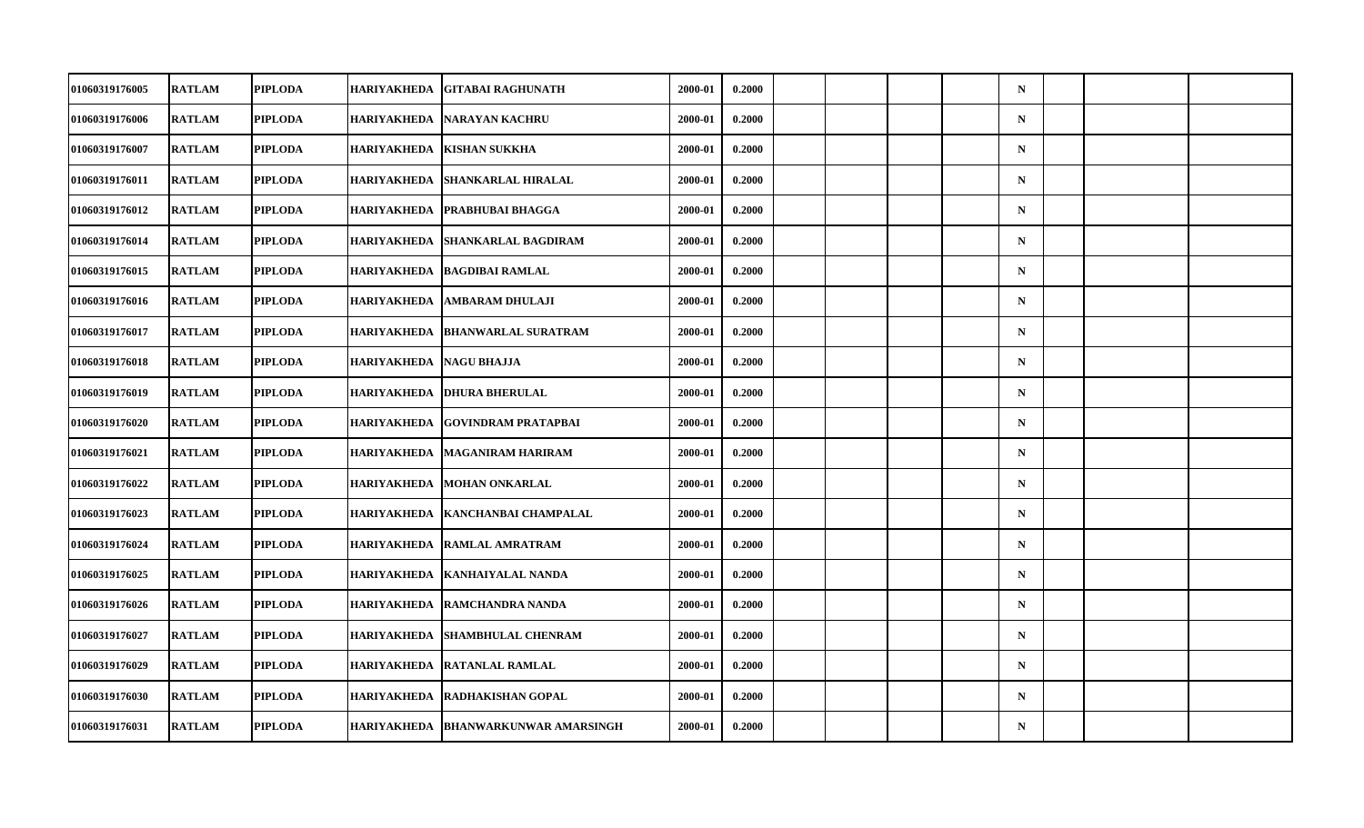| <b>01060319176005</b> | <b>RATLAM</b> | <b>PIPLODA</b> | HARIYAKHEDA        | <b>GITABAI RAGHUNATH</b>        | 2000-01 | 0.2000 |  |  | $\mathbf N$ |  |  |
|-----------------------|---------------|----------------|--------------------|---------------------------------|---------|--------|--|--|-------------|--|--|
| 01060319176006        | <b>RATLAM</b> | <b>PIPLODA</b> | HARIYAKHEDA        | <b>NARAYAN KACHRU</b>           | 2000-01 | 0.2000 |  |  | ${\bf N}$   |  |  |
| 01060319176007        | <b>RATLAM</b> | <b>PIPLODA</b> | <b>HARIYAKHEDA</b> | <b>KISHAN SUKKHA</b>            | 2000-01 | 0.2000 |  |  | $\mathbf N$ |  |  |
| 01060319176011        | <b>RATLAM</b> | <b>PIPLODA</b> | HARIYAKHEDA        | <b>SHANKARLAL HIRALAL</b>       | 2000-01 | 0.2000 |  |  | $\mathbf N$ |  |  |
| <b>01060319176012</b> | <b>RATLAM</b> | <b>PIPLODA</b> | HARIYAKHEDA        | <b>PRABHUBAI BHAGGA</b>         | 2000-01 | 0.2000 |  |  | $\mathbf N$ |  |  |
| 01060319176014        | <b>RATLAM</b> | <b>PIPLODA</b> | <b>HARIYAKHEDA</b> | <b>SHANKARLAL BAGDIRAM</b>      | 2000-01 | 0.2000 |  |  | ${\bf N}$   |  |  |
| 01060319176015        | <b>RATLAM</b> | <b>PIPLODA</b> | <b>HARIYAKHEDA</b> | <b>BAGDIBAI RAMLAL</b>          | 2000-01 | 0.2000 |  |  | $\mathbf N$ |  |  |
| 01060319176016        | <b>RATLAM</b> | <b>PIPLODA</b> | HARIYAKHEDA        | <b>AMBARAM DHULAJI</b>          | 2000-01 | 0.2000 |  |  | $\mathbf N$ |  |  |
| 01060319176017        | <b>RATLAM</b> | <b>PIPLODA</b> | <b>HARIYAKHEDA</b> | <b>BHANWARLAL SURATRAM</b>      | 2000-01 | 0.2000 |  |  | $\mathbf N$ |  |  |
| 01060319176018        | <b>RATLAM</b> | <b>PIPLODA</b> | <b>HARIYAKHEDA</b> | <b>NAGU BHAJJA</b>              | 2000-01 | 0.2000 |  |  | $\mathbf N$ |  |  |
| <b>01060319176019</b> | <b>RATLAM</b> | <b>PIPLODA</b> |                    | HARIYAKHEDA  DHURA BHERULAL     | 2000-01 | 0.2000 |  |  | $\mathbf N$ |  |  |
| <b>01060319176020</b> | <b>RATLAM</b> | <b>PIPLODA</b> | <b>HARIYAKHEDA</b> | <b>GOVINDRAM PRATAPBAI</b>      | 2000-01 | 0.2000 |  |  | $\mathbf N$ |  |  |
| 01060319176021        | <b>RATLAM</b> | <b>PIPLODA</b> | <b>HARIYAKHEDA</b> | <b>MAGANIRAM HARIRAM</b>        | 2000-01 | 0.2000 |  |  | ${\bf N}$   |  |  |
| <b>01060319176022</b> | <b>RATLAM</b> | <b>PIPLODA</b> | <b>HARIYAKHEDA</b> | <b>MOHAN ONKARLAL</b>           | 2000-01 | 0.2000 |  |  | $\mathbf N$ |  |  |
| 01060319176023        | <b>RATLAM</b> | <b>PIPLODA</b> | <b>HARIYAKHEDA</b> | KANCHANBAI CHAMPALAL            | 2000-01 | 0.2000 |  |  | $\mathbf N$ |  |  |
| 01060319176024        | <b>RATLAM</b> | <b>PIPLODA</b> | <b>HARIYAKHEDA</b> | <b>RAMLAL AMRATRAM</b>          | 2000-01 | 0.2000 |  |  | $\mathbf N$ |  |  |
| <b>01060319176025</b> | <b>RATLAM</b> | <b>PIPLODA</b> |                    | HARIYAKHEDA   KANHAIYALAL NANDA | 2000-01 | 0.2000 |  |  | $\mathbf N$ |  |  |
| 01060319176026        | <b>RATLAM</b> | <b>PIPLODA</b> | <b>HARIYAKHEDA</b> | <b>RAMCHANDRA NANDA</b>         | 2000-01 | 0.2000 |  |  | $\mathbf N$ |  |  |
| 01060319176027        | <b>RATLAM</b> | <b>PIPLODA</b> | <b>HARIYAKHEDA</b> | <b>SHAMBHULAL CHENRAM</b>       | 2000-01 | 0.2000 |  |  | $\mathbf N$ |  |  |
| <b>01060319176029</b> | <b>RATLAM</b> | <b>PIPLODA</b> | HARIYAKHEDA        | <b>RATANLAL RAMLAL</b>          | 2000-01 | 0.2000 |  |  | $\mathbf N$ |  |  |
| 01060319176030        | <b>RATLAM</b> | <b>PIPLODA</b> | <b>HARIYAKHEDA</b> | RADHAKISHAN GOPAL               | 2000-01 | 0.2000 |  |  | $\mathbf N$ |  |  |
| 01060319176031        | <b>RATLAM</b> | <b>PIPLODA</b> | <b>HARIYAKHEDA</b> | <b>BHANWARKUNWAR AMARSINGH</b>  | 2000-01 | 0.2000 |  |  | ${\bf N}$   |  |  |